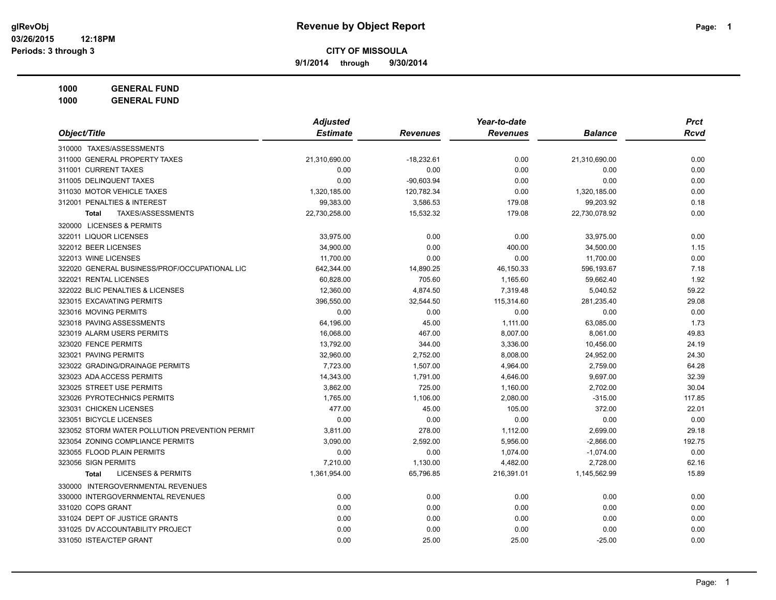**9/1/2014 through 9/30/2014**

**1000 GENERAL FUND**

|                                                | <b>Adjusted</b> |                 | Year-to-date    |                | <b>Prct</b> |
|------------------------------------------------|-----------------|-----------------|-----------------|----------------|-------------|
| Object/Title                                   | <b>Estimate</b> | <b>Revenues</b> | <b>Revenues</b> | <b>Balance</b> | <b>Rcvd</b> |
| 310000 TAXES/ASSESSMENTS                       |                 |                 |                 |                |             |
| 311000 GENERAL PROPERTY TAXES                  | 21,310,690.00   | $-18,232.61$    | 0.00            | 21,310,690.00  | 0.00        |
| 311001 CURRENT TAXES                           | 0.00            | 0.00            | 0.00            | 0.00           | 0.00        |
| 311005 DELINQUENT TAXES                        | 0.00            | $-90,603.94$    | 0.00            | 0.00           | 0.00        |
| 311030 MOTOR VEHICLE TAXES                     | 1,320,185.00    | 120,782.34      | 0.00            | 1,320,185.00   | 0.00        |
| 312001 PENALTIES & INTEREST                    | 99,383.00       | 3,586.53        | 179.08          | 99,203.92      | 0.18        |
| TAXES/ASSESSMENTS<br><b>Total</b>              | 22,730,258.00   | 15,532.32       | 179.08          | 22,730,078.92  | 0.00        |
| 320000 LICENSES & PERMITS                      |                 |                 |                 |                |             |
| 322011 LIQUOR LICENSES                         | 33,975.00       | 0.00            | 0.00            | 33,975.00      | 0.00        |
| 322012 BEER LICENSES                           | 34,900.00       | 0.00            | 400.00          | 34,500.00      | 1.15        |
| 322013 WINE LICENSES                           | 11,700.00       | 0.00            | 0.00            | 11,700.00      | 0.00        |
| 322020 GENERAL BUSINESS/PROF/OCCUPATIONAL LIC  | 642,344.00      | 14,890.25       | 46,150.33       | 596,193.67     | 7.18        |
| 322021 RENTAL LICENSES                         | 60,828.00       | 705.60          | 1,165.60        | 59,662.40      | 1.92        |
| 322022 BLIC PENALTIES & LICENSES               | 12,360.00       | 4,874.50        | 7,319.48        | 5,040.52       | 59.22       |
| 323015 EXCAVATING PERMITS                      | 396,550.00      | 32,544.50       | 115,314.60      | 281,235.40     | 29.08       |
| 323016 MOVING PERMITS                          | 0.00            | 0.00            | 0.00            | 0.00           | 0.00        |
| 323018 PAVING ASSESSMENTS                      | 64,196.00       | 45.00           | 1,111.00        | 63,085.00      | 1.73        |
| 323019 ALARM USERS PERMITS                     | 16,068.00       | 467.00          | 8,007.00        | 8,061.00       | 49.83       |
| 323020 FENCE PERMITS                           | 13,792.00       | 344.00          | 3,336.00        | 10,456.00      | 24.19       |
| 323021 PAVING PERMITS                          | 32,960.00       | 2,752.00        | 8,008.00        | 24,952.00      | 24.30       |
| 323022 GRADING/DRAINAGE PERMITS                | 7,723.00        | 1,507.00        | 4,964.00        | 2,759.00       | 64.28       |
| 323023 ADA ACCESS PERMITS                      | 14,343.00       | 1,791.00        | 4,646.00        | 9,697.00       | 32.39       |
| 323025 STREET USE PERMITS                      | 3,862.00        | 725.00          | 1,160.00        | 2,702.00       | 30.04       |
| 323026 PYROTECHNICS PERMITS                    | 1,765.00        | 1,106.00        | 2,080.00        | $-315.00$      | 117.85      |
| 323031 CHICKEN LICENSES                        | 477.00          | 45.00           | 105.00          | 372.00         | 22.01       |
| 323051 BICYCLE LICENSES                        | 0.00            | 0.00            | 0.00            | 0.00           | 0.00        |
| 323052 STORM WATER POLLUTION PREVENTION PERMIT | 3,811.00        | 278.00          | 1,112.00        | 2,699.00       | 29.18       |
| 323054 ZONING COMPLIANCE PERMITS               | 3,090.00        | 2,592.00        | 5,956.00        | $-2,866.00$    | 192.75      |
| 323055 FLOOD PLAIN PERMITS                     | 0.00            | 0.00            | 1,074.00        | $-1,074.00$    | 0.00        |
| 323056 SIGN PERMITS                            | 7,210.00        | 1,130.00        | 4,482.00        | 2,728.00       | 62.16       |
| <b>LICENSES &amp; PERMITS</b><br><b>Total</b>  | 1,361,954.00    | 65,796.85       | 216,391.01      | 1,145,562.99   | 15.89       |
| 330000 INTERGOVERNMENTAL REVENUES              |                 |                 |                 |                |             |
| 330000 INTERGOVERNMENTAL REVENUES              | 0.00            | 0.00            | 0.00            | 0.00           | 0.00        |
| 331020 COPS GRANT                              | 0.00            | 0.00            | 0.00            | 0.00           | 0.00        |
| 331024 DEPT OF JUSTICE GRANTS                  | 0.00            | 0.00            | 0.00            | 0.00           | 0.00        |
| 331025 DV ACCOUNTABILITY PROJECT               | 0.00            | 0.00            | 0.00            | 0.00           | 0.00        |
| 331050 ISTEA/CTEP GRANT                        | 0.00            | 25.00           | 25.00           | $-25.00$       | 0.00        |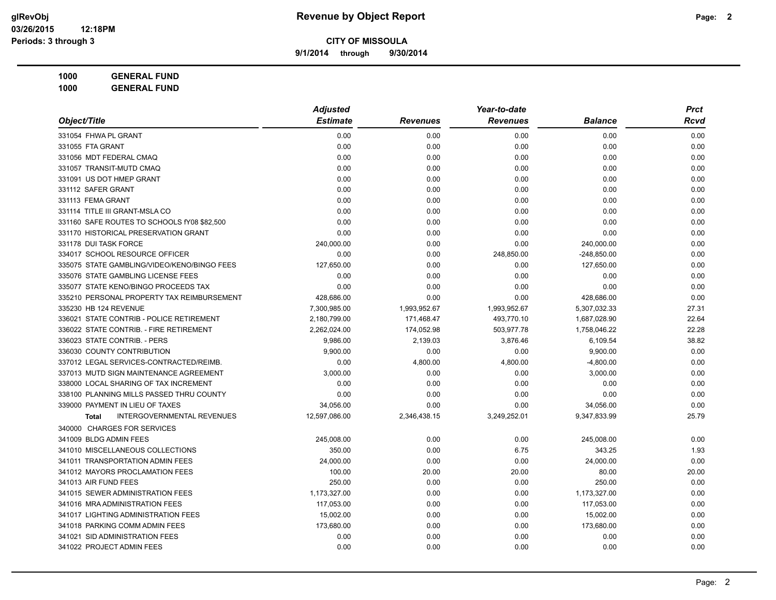**9/1/2014 through 9/30/2014**

**1000 GENERAL FUND 1000 GENERAL FUND**

|                                                   | <b>Adjusted</b> |                 | Year-to-date    |                | <b>Prct</b> |
|---------------------------------------------------|-----------------|-----------------|-----------------|----------------|-------------|
| Object/Title                                      | <b>Estimate</b> | <b>Revenues</b> | <b>Revenues</b> | <b>Balance</b> | Rcvd        |
| 331054 FHWA PL GRANT                              | 0.00            | 0.00            | 0.00            | 0.00           | 0.00        |
| 331055 FTA GRANT                                  | 0.00            | 0.00            | 0.00            | 0.00           | 0.00        |
| 331056 MDT FEDERAL CMAQ                           | 0.00            | 0.00            | 0.00            | 0.00           | 0.00        |
| 331057 TRANSIT-MUTD CMAQ                          | 0.00            | 0.00            | 0.00            | 0.00           | 0.00        |
| 331091 US DOT HMEP GRANT                          | 0.00            | 0.00            | 0.00            | 0.00           | 0.00        |
| 331112 SAFER GRANT                                | 0.00            | 0.00            | 0.00            | 0.00           | 0.00        |
| 331113 FEMA GRANT                                 | 0.00            | 0.00            | 0.00            | 0.00           | 0.00        |
| 331114 TITLE III GRANT-MSLA CO                    | 0.00            | 0.00            | 0.00            | 0.00           | 0.00        |
| 331160 SAFE ROUTES TO SCHOOLS fY08 \$82,500       | 0.00            | 0.00            | 0.00            | 0.00           | 0.00        |
| 331170 HISTORICAL PRESERVATION GRANT              | 0.00            | 0.00            | 0.00            | 0.00           | 0.00        |
| 331178 DUI TASK FORCE                             | 240,000.00      | 0.00            | 0.00            | 240,000.00     | 0.00        |
| 334017 SCHOOL RESOURCE OFFICER                    | 0.00            | 0.00            | 248,850.00      | $-248,850.00$  | 0.00        |
| 335075 STATE GAMBLING/VIDEO/KENO/BINGO FEES       | 127,650.00      | 0.00            | 0.00            | 127,650.00     | 0.00        |
| 335076 STATE GAMBLING LICENSE FEES                | 0.00            | 0.00            | 0.00            | 0.00           | 0.00        |
| 335077 STATE KENO/BINGO PROCEEDS TAX              | 0.00            | 0.00            | 0.00            | 0.00           | 0.00        |
| 335210 PERSONAL PROPERTY TAX REIMBURSEMENT        | 428,686.00      | 0.00            | 0.00            | 428,686.00     | 0.00        |
| 335230 HB 124 REVENUE                             | 7,300,985.00    | 1,993,952.67    | 1,993,952.67    | 5,307,032.33   | 27.31       |
| 336021 STATE CONTRIB - POLICE RETIREMENT          | 2,180,799.00    | 171,468.47      | 493,770.10      | 1,687,028.90   | 22.64       |
| 336022 STATE CONTRIB. - FIRE RETIREMENT           | 2,262,024.00    | 174,052.98      | 503,977.78      | 1,758,046.22   | 22.28       |
| 336023 STATE CONTRIB. - PERS                      | 9.986.00        | 2,139.03        | 3,876.46        | 6,109.54       | 38.82       |
| 336030 COUNTY CONTRIBUTION                        | 9,900.00        | 0.00            | 0.00            | 9,900.00       | 0.00        |
| 337012 LEGAL SERVICES-CONTRACTED/REIMB.           | 0.00            | 4,800.00        | 4,800.00        | $-4,800.00$    | 0.00        |
| 337013 MUTD SIGN MAINTENANCE AGREEMENT            | 3,000.00        | 0.00            | 0.00            | 3,000.00       | 0.00        |
| 338000 LOCAL SHARING OF TAX INCREMENT             | 0.00            | 0.00            | 0.00            | 0.00           | 0.00        |
| 338100 PLANNING MILLS PASSED THRU COUNTY          | 0.00            | 0.00            | 0.00            | 0.00           | 0.00        |
| 339000 PAYMENT IN LIEU OF TAXES                   | 34,056.00       | 0.00            | 0.00            | 34,056.00      | 0.00        |
| <b>INTERGOVERNMENTAL REVENUES</b><br><b>Total</b> | 12,597,086.00   | 2,346,438.15    | 3,249,252.01    | 9,347,833.99   | 25.79       |
| 340000 CHARGES FOR SERVICES                       |                 |                 |                 |                |             |
| 341009 BLDG ADMIN FEES                            | 245,008.00      | 0.00            | 0.00            | 245,008.00     | 0.00        |
| 341010 MISCELLANEOUS COLLECTIONS                  | 350.00          | 0.00            | 6.75            | 343.25         | 1.93        |
| 341011 TRANSPORTATION ADMIN FEES                  | 24,000.00       | 0.00            | 0.00            | 24,000.00      | 0.00        |
| 341012 MAYORS PROCLAMATION FEES                   | 100.00          | 20.00           | 20.00           | 80.00          | 20.00       |
| 341013 AIR FUND FEES                              | 250.00          | 0.00            | 0.00            | 250.00         | 0.00        |
| 341015 SEWER ADMINISTRATION FEES                  | 1,173,327.00    | 0.00            | 0.00            | 1,173,327.00   | 0.00        |
| 341016 MRA ADMINISTRATION FEES                    | 117,053.00      | 0.00            | 0.00            | 117,053.00     | 0.00        |
| 341017 LIGHTING ADMINISTRATION FEES               | 15,002.00       | 0.00            | 0.00            | 15,002.00      | 0.00        |
| 341018 PARKING COMM ADMIN FEES                    | 173,680.00      | 0.00            | 0.00            | 173,680.00     | 0.00        |
| 341021 SID ADMINISTRATION FEES                    | 0.00            | 0.00            | 0.00            | 0.00           | 0.00        |
| 341022 PROJECT ADMIN FEES                         | 0.00            | 0.00            | 0.00            | 0.00           | 0.00        |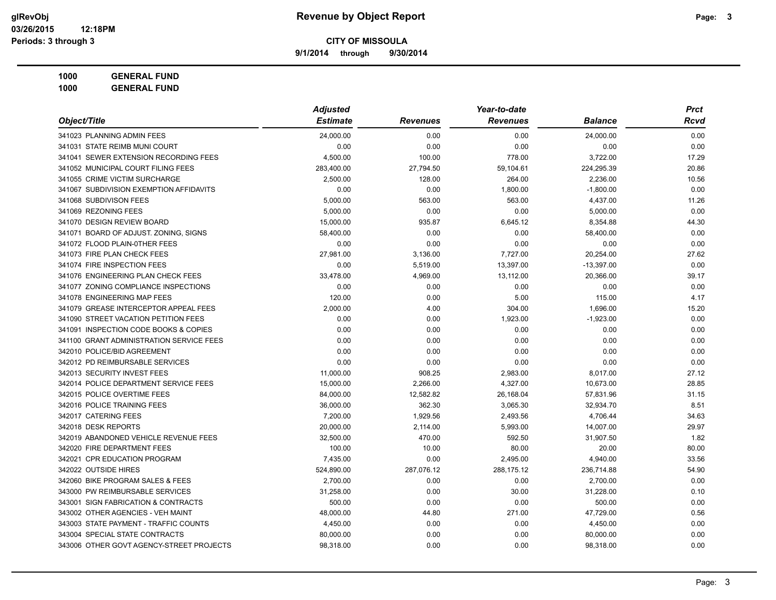**9/1/2014 through 9/30/2014**

**1000 GENERAL FUND 1000 GENERAL FUND**

|                                          | <b>Adjusted</b> |                 | Year-to-date    |                | <b>Prct</b> |
|------------------------------------------|-----------------|-----------------|-----------------|----------------|-------------|
| Object/Title                             | <b>Estimate</b> | <b>Revenues</b> | <b>Revenues</b> | <b>Balance</b> | <b>Rcvd</b> |
| 341023 PLANNING ADMIN FEES               | 24,000.00       | 0.00            | 0.00            | 24,000.00      | 0.00        |
| 341031 STATE REIMB MUNI COURT            | 0.00            | 0.00            | 0.00            | 0.00           | 0.00        |
| 341041 SEWER EXTENSION RECORDING FEES    | 4,500.00        | 100.00          | 778.00          | 3,722.00       | 17.29       |
| 341052 MUNICIPAL COURT FILING FEES       | 283,400.00      | 27,794.50       | 59,104.61       | 224,295.39     | 20.86       |
| 341055 CRIME VICTIM SURCHARGE            | 2,500.00        | 128.00          | 264.00          | 2,236.00       | 10.56       |
| 341067 SUBDIVISION EXEMPTION AFFIDAVITS  | 0.00            | 0.00            | 1,800.00        | $-1,800.00$    | 0.00        |
| 341068 SUBDIVISON FEES                   | 5,000.00        | 563.00          | 563.00          | 4,437.00       | 11.26       |
| 341069 REZONING FEES                     | 5,000.00        | 0.00            | 0.00            | 5,000.00       | 0.00        |
| 341070 DESIGN REVIEW BOARD               | 15,000.00       | 935.87          | 6,645.12        | 8,354.88       | 44.30       |
| 341071 BOARD OF ADJUST. ZONING, SIGNS    | 58,400.00       | 0.00            | 0.00            | 58,400.00      | 0.00        |
| 341072 FLOOD PLAIN-0THER FEES            | 0.00            | 0.00            | 0.00            | 0.00           | 0.00        |
| 341073 FIRE PLAN CHECK FEES              | 27,981.00       | 3,136.00        | 7,727.00        | 20,254.00      | 27.62       |
| 341074 FIRE INSPECTION FEES              | 0.00            | 5,519.00        | 13,397.00       | $-13,397.00$   | 0.00        |
| 341076 ENGINEERING PLAN CHECK FEES       | 33,478.00       | 4,969.00        | 13,112.00       | 20,366.00      | 39.17       |
| 341077 ZONING COMPLIANCE INSPECTIONS     | 0.00            | 0.00            | 0.00            | 0.00           | 0.00        |
| 341078 ENGINEERING MAP FEES              | 120.00          | 0.00            | 5.00            | 115.00         | 4.17        |
| 341079 GREASE INTERCEPTOR APPEAL FEES    | 2,000.00        | 4.00            | 304.00          | 1,696.00       | 15.20       |
| 341090 STREET VACATION PETITION FEES     | 0.00            | 0.00            | 1,923.00        | $-1,923.00$    | 0.00        |
| 341091 INSPECTION CODE BOOKS & COPIES    | 0.00            | 0.00            | 0.00            | 0.00           | 0.00        |
| 341100 GRANT ADMINISTRATION SERVICE FEES | 0.00            | 0.00            | 0.00            | 0.00           | 0.00        |
| 342010 POLICE/BID AGREEMENT              | 0.00            | 0.00            | 0.00            | 0.00           | 0.00        |
| 342012 PD REIMBURSABLE SERVICES          | 0.00            | 0.00            | 0.00            | 0.00           | 0.00        |
| 342013 SECURITY INVEST FEES              | 11,000.00       | 908.25          | 2,983.00        | 8,017.00       | 27.12       |
| 342014 POLICE DEPARTMENT SERVICE FEES    | 15,000.00       | 2,266.00        | 4,327.00        | 10,673.00      | 28.85       |
| 342015 POLICE OVERTIME FEES              | 84,000.00       | 12,582.82       | 26,168.04       | 57,831.96      | 31.15       |
| 342016 POLICE TRAINING FEES              | 36,000.00       | 362.30          | 3,065.30        | 32,934.70      | 8.51        |
| 342017 CATERING FEES                     | 7,200.00        | 1,929.56        | 2,493.56        | 4,706.44       | 34.63       |
| 342018 DESK REPORTS                      | 20,000.00       | 2,114.00        | 5,993.00        | 14,007.00      | 29.97       |
| 342019 ABANDONED VEHICLE REVENUE FEES    | 32,500.00       | 470.00          | 592.50          | 31,907.50      | 1.82        |
| 342020 FIRE DEPARTMENT FEES              | 100.00          | 10.00           | 80.00           | 20.00          | 80.00       |
| 342021 CPR EDUCATION PROGRAM             | 7,435.00        | 0.00            | 2,495.00        | 4,940.00       | 33.56       |
| 342022 OUTSIDE HIRES                     | 524,890.00      | 287,076.12      | 288,175.12      | 236,714.88     | 54.90       |
| 342060 BIKE PROGRAM SALES & FEES         | 2,700.00        | 0.00            | 0.00            | 2,700.00       | 0.00        |
| 343000 PW REIMBURSABLE SERVICES          | 31,258.00       | 0.00            | 30.00           | 31,228.00      | 0.10        |
| 343001 SIGN FABRICATION & CONTRACTS      | 500.00          | 0.00            | 0.00            | 500.00         | 0.00        |
| 343002 OTHER AGENCIES - VEH MAINT        | 48,000.00       | 44.80           | 271.00          | 47,729.00      | 0.56        |
| 343003 STATE PAYMENT - TRAFFIC COUNTS    | 4,450.00        | 0.00            | 0.00            | 4,450.00       | 0.00        |
| 343004 SPECIAL STATE CONTRACTS           | 80,000.00       | 0.00            | 0.00            | 80,000.00      | 0.00        |
| 343006 OTHER GOVT AGENCY-STREET PROJECTS | 98,318.00       | 0.00            | 0.00            | 98,318.00      | 0.00        |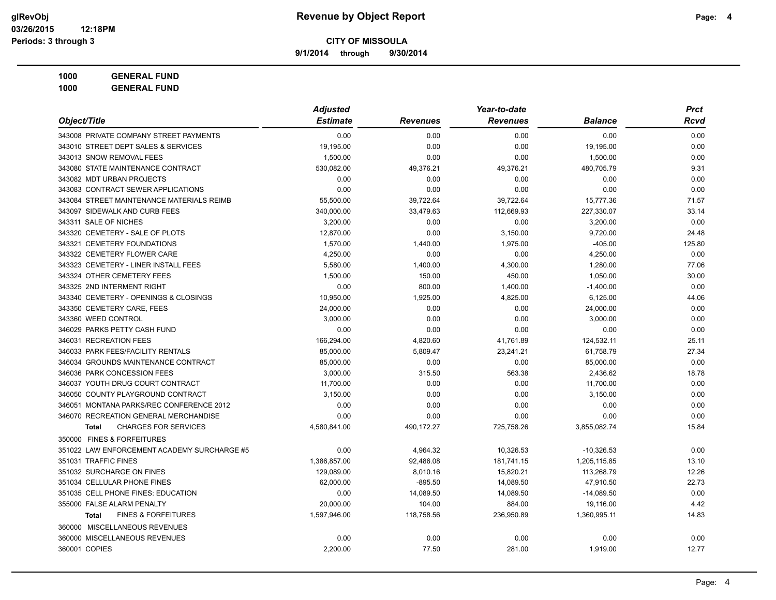**9/1/2014 through 9/30/2014**

|                                             | <b>Adjusted</b> |                 | Year-to-date    |                | <b>Prct</b> |
|---------------------------------------------|-----------------|-----------------|-----------------|----------------|-------------|
| Object/Title                                | <b>Estimate</b> | <b>Revenues</b> | <b>Revenues</b> | <b>Balance</b> | Rcvd        |
| 343008 PRIVATE COMPANY STREET PAYMENTS      | 0.00            | 0.00            | 0.00            | 0.00           | 0.00        |
| 343010 STREET DEPT SALES & SERVICES         | 19,195.00       | 0.00            | 0.00            | 19,195.00      | 0.00        |
| 343013 SNOW REMOVAL FEES                    | 1,500.00        | 0.00            | 0.00            | 1,500.00       | 0.00        |
| 343080 STATE MAINTENANCE CONTRACT           | 530,082.00      | 49,376.21       | 49,376.21       | 480,705.79     | 9.31        |
| 343082 MDT URBAN PROJECTS                   | 0.00            | 0.00            | 0.00            | 0.00           | 0.00        |
| 343083 CONTRACT SEWER APPLICATIONS          | 0.00            | 0.00            | 0.00            | 0.00           | 0.00        |
| 343084 STREET MAINTENANCE MATERIALS REIMB   | 55,500.00       | 39,722.64       | 39,722.64       | 15,777.36      | 71.57       |
| 343097 SIDEWALK AND CURB FEES               | 340,000.00      | 33,479.63       | 112,669.93      | 227,330.07     | 33.14       |
| 343311 SALE OF NICHES                       | 3,200.00        | 0.00            | 0.00            | 3,200.00       | 0.00        |
| 343320 CEMETERY - SALE OF PLOTS             | 12,870.00       | 0.00            | 3,150.00        | 9,720.00       | 24.48       |
| 343321 CEMETERY FOUNDATIONS                 | 1,570.00        | 1,440.00        | 1,975.00        | $-405.00$      | 125.80      |
| 343322 CEMETERY FLOWER CARE                 | 4,250.00        | 0.00            | 0.00            | 4,250.00       | 0.00        |
| 343323 CEMETERY - LINER INSTALL FEES        | 5.580.00        | 1,400.00        | 4,300.00        | 1,280.00       | 77.06       |
| 343324 OTHER CEMETERY FEES                  | 1,500.00        | 150.00          | 450.00          | 1,050.00       | 30.00       |
| 343325 2ND INTERMENT RIGHT                  | 0.00            | 800.00          | 1,400.00        | $-1,400.00$    | 0.00        |
| 343340 CEMETERY - OPENINGS & CLOSINGS       | 10,950.00       | 1,925.00        | 4,825.00        | 6,125.00       | 44.06       |
| 343350 CEMETERY CARE, FEES                  | 24,000.00       | 0.00            | 0.00            | 24,000.00      | 0.00        |
| 343360 WEED CONTROL                         | 3,000.00        | 0.00            | 0.00            | 3,000.00       | 0.00        |
| 346029 PARKS PETTY CASH FUND                | 0.00            | 0.00            | 0.00            | 0.00           | 0.00        |
| 346031 RECREATION FEES                      | 166,294.00      | 4,820.60        | 41,761.89       | 124,532.11     | 25.11       |
| 346033 PARK FEES/FACILITY RENTALS           | 85.000.00       | 5,809.47        | 23,241.21       | 61,758.79      | 27.34       |
| 346034 GROUNDS MAINTENANCE CONTRACT         | 85,000.00       | 0.00            | 0.00            | 85,000.00      | 0.00        |
| 346036 PARK CONCESSION FEES                 | 3,000.00        | 315.50          | 563.38          | 2,436.62       | 18.78       |
| 346037 YOUTH DRUG COURT CONTRACT            | 11,700.00       | 0.00            | 0.00            | 11,700.00      | 0.00        |
| 346050 COUNTY PLAYGROUND CONTRACT           | 3,150.00        | 0.00            | 0.00            | 3,150.00       | 0.00        |
| 346051 MONTANA PARKS/REC CONFERENCE 2012    | 0.00            | 0.00            | 0.00            | 0.00           | 0.00        |
| 346070 RECREATION GENERAL MERCHANDISE       | 0.00            | 0.00            | 0.00            | 0.00           | 0.00        |
| <b>CHARGES FOR SERVICES</b><br><b>Total</b> | 4,580,841.00    | 490,172.27      | 725,758.26      | 3,855,082.74   | 15.84       |
| 350000 FINES & FORFEITURES                  |                 |                 |                 |                |             |
| 351022 LAW ENFORCEMENT ACADEMY SURCHARGE #5 | 0.00            | 4,964.32        | 10,326.53       | $-10,326.53$   | 0.00        |
| 351031 TRAFFIC FINES                        | 1,386,857.00    | 92,486.08       | 181,741.15      | 1,205,115.85   | 13.10       |
| 351032 SURCHARGE ON FINES                   | 129,089.00      | 8,010.16        | 15,820.21       | 113,268.79     | 12.26       |
| 351034 CELLULAR PHONE FINES                 | 62,000.00       | $-895.50$       | 14,089.50       | 47,910.50      | 22.73       |
| 351035 CELL PHONE FINES: EDUCATION          | 0.00            | 14,089.50       | 14,089.50       | $-14,089.50$   | 0.00        |
| 355000 FALSE ALARM PENALTY                  | 20,000.00       | 104.00          | 884.00          | 19,116.00      | 4.42        |
| <b>FINES &amp; FORFEITURES</b><br>Total     | 1,597,946.00    | 118,758.56      | 236,950.89      | 1,360,995.11   | 14.83       |
| 360000 MISCELLANEOUS REVENUES               |                 |                 |                 |                |             |
| 360000 MISCELLANEOUS REVENUES               | 0.00            | 0.00            | 0.00            | 0.00           | 0.00        |
| 360001 COPIES                               | 2,200.00        | 77.50           | 281.00          | 1,919.00       | 12.77       |
|                                             |                 |                 |                 |                |             |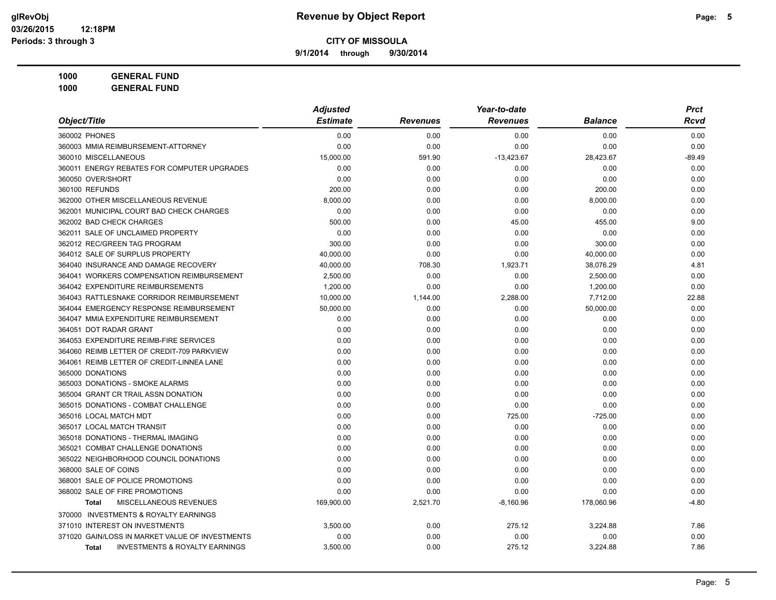**9/1/2014 through 9/30/2014**

**1000 GENERAL FUND 1000 GENERAL FUND**

|                                                    | <b>Adjusted</b> |                 | Year-to-date    |                | <b>Prct</b> |
|----------------------------------------------------|-----------------|-----------------|-----------------|----------------|-------------|
| Object/Title                                       | <b>Estimate</b> | <b>Revenues</b> | <b>Revenues</b> | <b>Balance</b> | Rcvd        |
| 360002 PHONES                                      | 0.00            | 0.00            | 0.00            | 0.00           | 0.00        |
| 360003 MMIA REIMBURSEMENT-ATTORNEY                 | 0.00            | 0.00            | 0.00            | 0.00           | 0.00        |
| 360010 MISCELLANEOUS                               | 15,000.00       | 591.90          | $-13,423.67$    | 28,423.67      | $-89.49$    |
| 360011 ENERGY REBATES FOR COMPUTER UPGRADES        | 0.00            | 0.00            | 0.00            | 0.00           | 0.00        |
| 360050 OVER/SHORT                                  | 0.00            | 0.00            | 0.00            | 0.00           | 0.00        |
| 360100 REFUNDS                                     | 200.00          | 0.00            | 0.00            | 200.00         | 0.00        |
| 362000 OTHER MISCELLANEOUS REVENUE                 | 8,000.00        | 0.00            | 0.00            | 8,000.00       | 0.00        |
| 362001 MUNICIPAL COURT BAD CHECK CHARGES           | 0.00            | 0.00            | 0.00            | 0.00           | 0.00        |
| 362002 BAD CHECK CHARGES                           | 500.00          | 0.00            | 45.00           | 455.00         | 9.00        |
| 362011 SALE OF UNCLAIMED PROPERTY                  | 0.00            | 0.00            | 0.00            | 0.00           | 0.00        |
| 362012 REC/GREEN TAG PROGRAM                       | 300.00          | 0.00            | 0.00            | 300.00         | 0.00        |
| 364012 SALE OF SURPLUS PROPERTY                    | 40,000.00       | 0.00            | 0.00            | 40,000.00      | 0.00        |
| 364040 INSURANCE AND DAMAGE RECOVERY               | 40,000.00       | 708.30          | 1,923.71        | 38,076.29      | 4.81        |
| 364041 WORKERS COMPENSATION REIMBURSEMENT          | 2,500.00        | 0.00            | 0.00            | 2,500.00       | 0.00        |
| 364042 EXPENDITURE REIMBURSEMENTS                  | 1,200.00        | 0.00            | 0.00            | 1,200.00       | 0.00        |
| 364043 RATTLESNAKE CORRIDOR REIMBURSEMENT          | 10,000.00       | 1,144.00        | 2,288.00        | 7,712.00       | 22.88       |
| 364044 EMERGENCY RESPONSE REIMBURSEMENT            | 50,000.00       | 0.00            | 0.00            | 50,000.00      | 0.00        |
| 364047 MMIA EXPENDITURE REIMBURSEMENT              | 0.00            | 0.00            | 0.00            | 0.00           | 0.00        |
| 364051 DOT RADAR GRANT                             | 0.00            | 0.00            | 0.00            | 0.00           | 0.00        |
| 364053 EXPENDITURE REIMB-FIRE SERVICES             | 0.00            | 0.00            | 0.00            | 0.00           | 0.00        |
| 364060 REIMB LETTER OF CREDIT-709 PARKVIEW         | 0.00            | 0.00            | 0.00            | 0.00           | 0.00        |
| 364061 REIMB LETTER OF CREDIT-LINNEA LANE          | 0.00            | 0.00            | 0.00            | 0.00           | 0.00        |
| 365000 DONATIONS                                   | 0.00            | 0.00            | 0.00            | 0.00           | 0.00        |
| 365003 DONATIONS - SMOKE ALARMS                    | 0.00            | 0.00            | 0.00            | 0.00           | 0.00        |
| 365004 GRANT CR TRAIL ASSN DONATION                | 0.00            | 0.00            | 0.00            | 0.00           | 0.00        |
| 365015 DONATIONS - COMBAT CHALLENGE                | 0.00            | 0.00            | 0.00            | 0.00           | 0.00        |
| 365016 LOCAL MATCH MDT                             | 0.00            | 0.00            | 725.00          | $-725.00$      | 0.00        |
| 365017 LOCAL MATCH TRANSIT                         | 0.00            | 0.00            | 0.00            | 0.00           | 0.00        |
| 365018 DONATIONS - THERMAL IMAGING                 | 0.00            | 0.00            | 0.00            | 0.00           | 0.00        |
| 365021 COMBAT CHALLENGE DONATIONS                  | 0.00            | 0.00            | 0.00            | 0.00           | 0.00        |
| 365022 NEIGHBORHOOD COUNCIL DONATIONS              | 0.00            | 0.00            | 0.00            | 0.00           | 0.00        |
| 368000 SALE OF COINS                               | 0.00            | 0.00            | 0.00            | 0.00           | 0.00        |
| 368001 SALE OF POLICE PROMOTIONS                   | 0.00            | 0.00            | 0.00            | 0.00           | 0.00        |
| 368002 SALE OF FIRE PROMOTIONS                     | 0.00            | 0.00            | 0.00            | 0.00           | 0.00        |
| MISCELLANEOUS REVENUES<br><b>Total</b>             | 169,900.00      | 2,521.70        | $-8,160.96$     | 178,060.96     | $-4.80$     |
| 370000 INVESTMENTS & ROYALTY EARNINGS              |                 |                 |                 |                |             |
| 371010 INTEREST ON INVESTMENTS                     | 3,500.00        | 0.00            | 275.12          | 3,224.88       | 7.86        |
| 371020 GAIN/LOSS IN MARKET VALUE OF INVESTMENTS    | 0.00            | 0.00            | 0.00            | 0.00           | 0.00        |
| <b>INVESTMENTS &amp; ROYALTY EARNINGS</b><br>Total | 3,500.00        | 0.00            | 275.12          | 3,224.88       | 7.86        |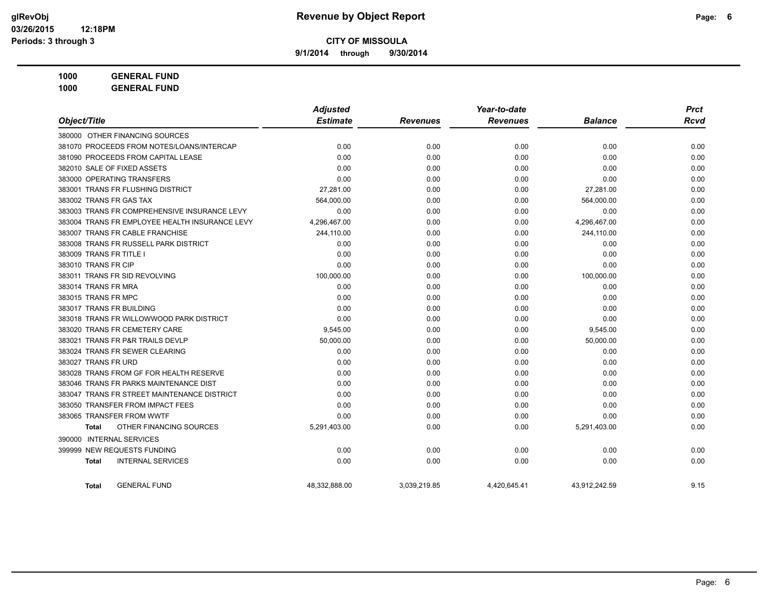**9/1/2014 through 9/30/2014**

|                                                | <b>Adjusted</b> |                 | Year-to-date    |                | <b>Prct</b> |
|------------------------------------------------|-----------------|-----------------|-----------------|----------------|-------------|
| Object/Title                                   | <b>Estimate</b> | <b>Revenues</b> | <b>Revenues</b> | <b>Balance</b> | <b>Rcvd</b> |
| 380000 OTHER FINANCING SOURCES                 |                 |                 |                 |                |             |
| 381070 PROCEEDS FROM NOTES/LOANS/INTERCAP      | 0.00            | 0.00            | 0.00            | 0.00           | 0.00        |
| 381090 PROCEEDS FROM CAPITAL LEASE             | 0.00            | 0.00            | 0.00            | 0.00           | 0.00        |
| 382010 SALE OF FIXED ASSETS                    | 0.00            | 0.00            | 0.00            | 0.00           | 0.00        |
| 383000 OPERATING TRANSFERS                     | 0.00            | 0.00            | 0.00            | 0.00           | 0.00        |
| 383001 TRANS FR FLUSHING DISTRICT              | 27,281.00       | 0.00            | 0.00            | 27,281.00      | 0.00        |
| 383002 TRANS FR GAS TAX                        | 564,000.00      | 0.00            | 0.00            | 564,000.00     | 0.00        |
| 383003 TRANS FR COMPREHENSIVE INSURANCE LEVY   | 0.00            | 0.00            | 0.00            | 0.00           | 0.00        |
| 383004 TRANS FR EMPLOYEE HEALTH INSURANCE LEVY | 4,296,467.00    | 0.00            | 0.00            | 4,296,467.00   | 0.00        |
| 383007 TRANS FR CABLE FRANCHISE                | 244,110.00      | 0.00            | 0.00            | 244,110.00     | 0.00        |
| 383008 TRANS FR RUSSELL PARK DISTRICT          | 0.00            | 0.00            | 0.00            | 0.00           | 0.00        |
| 383009 TRANS FR TITLE I                        | 0.00            | 0.00            | 0.00            | 0.00           | 0.00        |
| 383010 TRANS FR CIP                            | 0.00            | 0.00            | 0.00            | 0.00           | 0.00        |
| 383011 TRANS FR SID REVOLVING                  | 100,000.00      | 0.00            | 0.00            | 100,000.00     | 0.00        |
| 383014 TRANS FR MRA                            | 0.00            | 0.00            | 0.00            | 0.00           | 0.00        |
| 383015 TRANS FR MPC                            | 0.00            | 0.00            | 0.00            | 0.00           | 0.00        |
| 383017 TRANS FR BUILDING                       | 0.00            | 0.00            | 0.00            | 0.00           | 0.00        |
| 383018 TRANS FR WILLOWWOOD PARK DISTRICT       | 0.00            | 0.00            | 0.00            | 0.00           | 0.00        |
| 383020 TRANS FR CEMETERY CARE                  | 9,545.00        | 0.00            | 0.00            | 9,545.00       | 0.00        |
| 383021 TRANS FR P&R TRAILS DEVLP               | 50,000.00       | 0.00            | 0.00            | 50,000.00      | 0.00        |
| 383024 TRANS FR SEWER CLEARING                 | 0.00            | 0.00            | 0.00            | 0.00           | 0.00        |
| 383027 TRANS FR URD                            | 0.00            | 0.00            | 0.00            | 0.00           | 0.00        |
| 383028 TRANS FROM GF FOR HEALTH RESERVE        | 0.00            | 0.00            | 0.00            | 0.00           | 0.00        |
| 383046 TRANS FR PARKS MAINTENANCE DIST         | 0.00            | 0.00            | 0.00            | 0.00           | 0.00        |
| 383047 TRANS FR STREET MAINTENANCE DISTRICT    | 0.00            | 0.00            | 0.00            | 0.00           | 0.00        |
| 383050 TRANSFER FROM IMPACT FEES               | 0.00            | 0.00            | 0.00            | 0.00           | 0.00        |
| 383065 TRANSFER FROM WWTF                      | 0.00            | 0.00            | 0.00            | 0.00           | 0.00        |
| OTHER FINANCING SOURCES<br><b>Total</b>        | 5,291,403.00    | 0.00            | 0.00            | 5,291,403.00   | 0.00        |
| 390000 INTERNAL SERVICES                       |                 |                 |                 |                |             |
| 399999 NEW REQUESTS FUNDING                    | 0.00            | 0.00            | 0.00            | 0.00           | 0.00        |
| <b>INTERNAL SERVICES</b><br><b>Total</b>       | 0.00            | 0.00            | 0.00            | 0.00           | 0.00        |
| <b>GENERAL FUND</b><br>Total                   | 48.332.888.00   | 3,039,219.85    | 4,420,645.41    | 43,912,242.59  | 9.15        |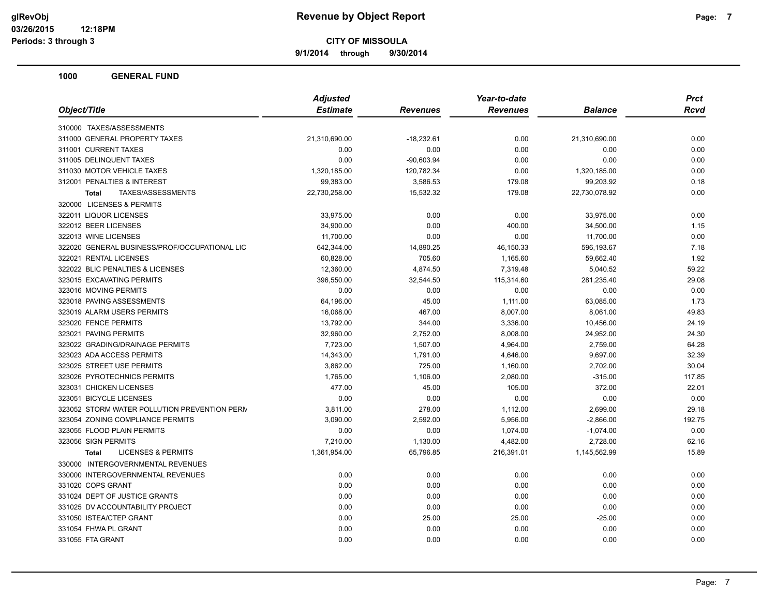**9/1/2014 through 9/30/2014**

| <b>Adjusted</b><br><b>Estimate</b><br>Object/Title<br><b>Revenues</b><br>Revenues<br>310000 TAXES/ASSESSMENTS<br>311000 GENERAL PROPERTY TAXES<br>21,310,690.00<br>$-18,232.61$<br>0.00 |                               |
|-----------------------------------------------------------------------------------------------------------------------------------------------------------------------------------------|-------------------------------|
|                                                                                                                                                                                         | <b>Balance</b><br><b>Rcvd</b> |
|                                                                                                                                                                                         |                               |
|                                                                                                                                                                                         | 21,310,690.00<br>0.00         |
| 311001 CURRENT TAXES<br>0.00<br>0.00<br>0.00                                                                                                                                            | 0.00<br>0.00                  |
| 311005 DELINQUENT TAXES<br>0.00<br>$-90,603.94$<br>0.00                                                                                                                                 | 0.00<br>0.00                  |
| 311030 MOTOR VEHICLE TAXES<br>1,320,185.00<br>120,782.34<br>0.00                                                                                                                        | 1,320,185.00<br>0.00          |
| 99,383.00<br>3,586.53<br>312001 PENALTIES & INTEREST<br>179.08                                                                                                                          | 99,203.92<br>0.18             |
| TAXES/ASSESSMENTS<br>22,730,258.00<br>15,532.32<br>179.08<br><b>Total</b>                                                                                                               | 22,730,078.92<br>0.00         |
| 320000 LICENSES & PERMITS                                                                                                                                                               |                               |
| 322011 LIQUOR LICENSES<br>0.00<br>0.00<br>33,975.00                                                                                                                                     | 33,975.00<br>0.00             |
| 322012 BEER LICENSES<br>0.00<br>400.00<br>34,900.00                                                                                                                                     | 34,500.00<br>1.15             |
| 322013 WINE LICENSES<br>0.00<br>0.00<br>11,700.00                                                                                                                                       | 11,700.00<br>0.00             |
| 322020 GENERAL BUSINESS/PROF/OCCUPATIONAL LIC<br>14,890.25<br>642,344.00<br>46,150.33                                                                                                   | 7.18<br>596,193.67            |
| 322021 RENTAL LICENSES<br>60,828.00<br>705.60<br>1,165.60                                                                                                                               | 1.92<br>59,662.40             |
| 322022 BLIC PENALTIES & LICENSES<br>4,874.50<br>12,360.00<br>7,319.48                                                                                                                   | 59.22<br>5,040.52             |
| 323015 EXCAVATING PERMITS<br>396,550.00<br>32,544.50<br>115,314.60                                                                                                                      | 281,235.40<br>29.08           |
| 323016 MOVING PERMITS<br>0.00<br>0.00<br>0.00                                                                                                                                           | 0.00<br>0.00                  |
| 323018 PAVING ASSESSMENTS<br>64,196.00<br>45.00<br>1,111.00                                                                                                                             | 63,085.00<br>1.73             |
| 323019 ALARM USERS PERMITS<br>8,007.00<br>16,068.00<br>467.00                                                                                                                           | 49.83<br>8,061.00             |
| 323020 FENCE PERMITS<br>13,792.00<br>344.00<br>3,336.00                                                                                                                                 | 10,456.00<br>24.19            |
| 323021 PAVING PERMITS<br>32,960.00<br>2,752.00<br>8,008.00                                                                                                                              | 24,952.00<br>24.30            |
| 323022 GRADING/DRAINAGE PERMITS<br>7,723.00<br>1,507.00<br>4,964.00                                                                                                                     | 2,759.00<br>64.28             |
| 323023 ADA ACCESS PERMITS<br>14,343.00<br>1,791.00<br>4,646.00                                                                                                                          | 9,697.00<br>32.39             |
| 323025 STREET USE PERMITS<br>3,862.00<br>725.00<br>1,160.00                                                                                                                             | 2,702.00<br>30.04             |
| 323026 PYROTECHNICS PERMITS<br>1,765.00<br>1,106.00<br>2,080.00                                                                                                                         | $-315.00$<br>117.85           |
| 323031 CHICKEN LICENSES<br>477.00<br>45.00<br>105.00                                                                                                                                    | 22.01<br>372.00               |
| 323051 BICYCLE LICENSES<br>0.00<br>0.00<br>0.00                                                                                                                                         | 0.00<br>0.00                  |
| 323052 STORM WATER POLLUTION PREVENTION PERM<br>278.00<br>1,112.00<br>3,811.00                                                                                                          | 2,699.00<br>29.18             |
| 323054 ZONING COMPLIANCE PERMITS<br>3,090.00<br>2,592.00<br>5,956.00                                                                                                                    | 192.75<br>$-2,866.00$         |
| 323055 FLOOD PLAIN PERMITS<br>0.00<br>0.00<br>1,074.00                                                                                                                                  | 0.00<br>$-1,074.00$           |
| 323056 SIGN PERMITS<br>7,210.00<br>1,130.00<br>4,482.00                                                                                                                                 | 2,728.00<br>62.16             |
| <b>LICENSES &amp; PERMITS</b><br>1,361,954.00<br>65,796.85<br>216,391.01<br><b>Total</b>                                                                                                | 1,145,562.99<br>15.89         |
| 330000 INTERGOVERNMENTAL REVENUES                                                                                                                                                       |                               |
| 330000 INTERGOVERNMENTAL REVENUES<br>0.00<br>0.00<br>0.00                                                                                                                               | 0.00<br>0.00                  |
| 331020 COPS GRANT<br>0.00<br>0.00<br>0.00                                                                                                                                               | 0.00<br>0.00                  |
| 331024 DEPT OF JUSTICE GRANTS<br>0.00<br>0.00<br>0.00                                                                                                                                   | 0.00<br>0.00                  |
| 331025 DV ACCOUNTABILITY PROJECT<br>0.00<br>0.00<br>0.00                                                                                                                                | 0.00<br>0.00                  |
| 331050 ISTEA/CTEP GRANT<br>25.00<br>25.00<br>0.00                                                                                                                                       | $-25.00$<br>0.00              |
| 331054 FHWA PL GRANT<br>0.00<br>0.00<br>0.00                                                                                                                                            | 0.00<br>0.00                  |
| 331055 FTA GRANT<br>0.00<br>0.00<br>0.00                                                                                                                                                | 0.00<br>0.00                  |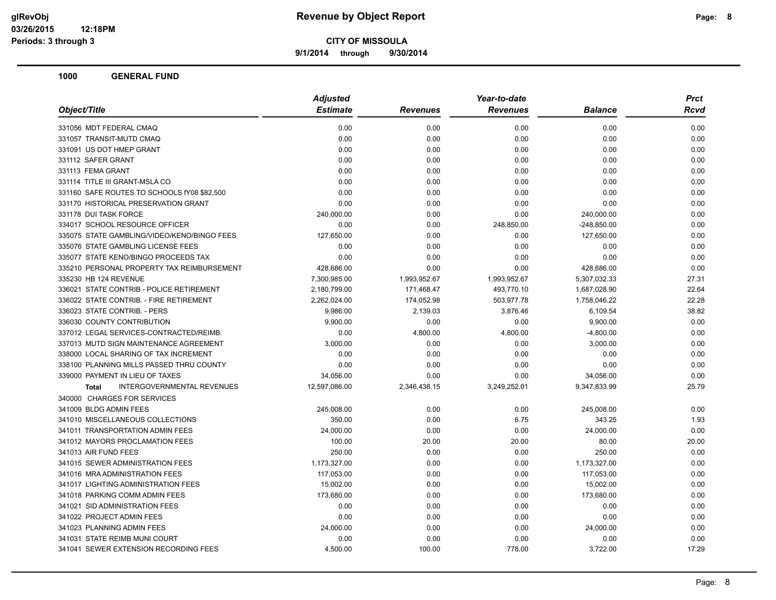**9/1/2014 through 9/30/2014**

|                                             | <b>Adjusted</b> | Year-to-date    |                 |                | <b>Prct</b> |
|---------------------------------------------|-----------------|-----------------|-----------------|----------------|-------------|
| Object/Title                                | <b>Estimate</b> | <b>Revenues</b> | <b>Revenues</b> | <b>Balance</b> | Rcvd        |
| 331056 MDT FEDERAL CMAQ                     | 0.00            | 0.00            | 0.00            | 0.00           | 0.00        |
| 331057 TRANSIT-MUTD CMAQ                    | 0.00            | 0.00            | 0.00            | 0.00           | 0.00        |
| 331091 US DOT HMEP GRANT                    | 0.00            | 0.00            | 0.00            | 0.00           | 0.00        |
| 331112 SAFER GRANT                          | 0.00            | 0.00            | 0.00            | 0.00           | 0.00        |
| 331113 FEMA GRANT                           | 0.00            | 0.00            | 0.00            | 0.00           | 0.00        |
| 331114 TITLE III GRANT-MSLA CO              | 0.00            | 0.00            | 0.00            | 0.00           | 0.00        |
| 331160 SAFE ROUTES TO SCHOOLS fY08 \$82,500 | 0.00            | 0.00            | 0.00            | 0.00           | 0.00        |
| 331170 HISTORICAL PRESERVATION GRANT        | 0.00            | 0.00            | 0.00            | 0.00           | 0.00        |
| 331178 DUI TASK FORCE                       | 240,000.00      | 0.00            | 0.00            | 240,000.00     | 0.00        |
| 334017 SCHOOL RESOURCE OFFICER              | 0.00            | 0.00            | 248,850.00      | $-248,850.00$  | 0.00        |
| 335075 STATE GAMBLING/VIDEO/KENO/BINGO FEES | 127,650.00      | 0.00            | 0.00            | 127,650.00     | 0.00        |
| 335076 STATE GAMBLING LICENSE FEES          | 0.00            | 0.00            | 0.00            | 0.00           | 0.00        |
| 335077 STATE KENO/BINGO PROCEEDS TAX        | 0.00            | 0.00            | 0.00            | 0.00           | 0.00        |
| 335210 PERSONAL PROPERTY TAX REIMBURSEMENT  | 428,686.00      | 0.00            | 0.00            | 428,686.00     | 0.00        |
| 335230 HB 124 REVENUE                       | 7,300,985.00    | 1,993,952.67    | 1,993,952.67    | 5,307,032.33   | 27.31       |
| 336021 STATE CONTRIB - POLICE RETIREMENT    | 2,180,799.00    | 171,468.47      | 493,770.10      | 1,687,028.90   | 22.64       |
| 336022 STATE CONTRIB. - FIRE RETIREMENT     | 2,262,024.00    | 174,052.98      | 503,977.78      | 1,758,046.22   | 22.28       |
| 336023 STATE CONTRIB. - PERS                | 9,986.00        | 2,139.03        | 3,876.46        | 6,109.54       | 38.82       |
| 336030 COUNTY CONTRIBUTION                  | 9,900.00        | 0.00            | 0.00            | 9,900.00       | 0.00        |
| 337012 LEGAL SERVICES-CONTRACTED/REIMB.     | 0.00            | 4,800.00        | 4,800.00        | $-4,800.00$    | 0.00        |
| 337013 MUTD SIGN MAINTENANCE AGREEMENT      | 3,000.00        | 0.00            | 0.00            | 3,000.00       | 0.00        |
| 338000 LOCAL SHARING OF TAX INCREMENT       | 0.00            | 0.00            | 0.00            | 0.00           | 0.00        |
| 338100 PLANNING MILLS PASSED THRU COUNTY    | 0.00            | 0.00            | 0.00            | 0.00           | 0.00        |
| 339000 PAYMENT IN LIEU OF TAXES             | 34,056.00       | 0.00            | 0.00            | 34,056.00      | 0.00        |
| INTERGOVERNMENTAL REVENUES<br><b>Total</b>  | 12,597,086.00   | 2,346,438.15    | 3,249,252.01    | 9,347,833.99   | 25.79       |
| 340000 CHARGES FOR SERVICES                 |                 |                 |                 |                |             |
| 341009 BLDG ADMIN FEES                      | 245,008.00      | 0.00            | 0.00            | 245,008.00     | 0.00        |
| 341010 MISCELLANEOUS COLLECTIONS            | 350.00          | 0.00            | 6.75            | 343.25         | 1.93        |
| 341011 TRANSPORTATION ADMIN FEES            | 24,000.00       | 0.00            | 0.00            | 24,000.00      | 0.00        |
| 341012 MAYORS PROCLAMATION FEES             | 100.00          | 20.00           | 20.00           | 80.00          | 20.00       |
| 341013 AIR FUND FEES                        | 250.00          | 0.00            | 0.00            | 250.00         | 0.00        |
| 341015 SEWER ADMINISTRATION FEES            | 1,173,327.00    | 0.00            | 0.00            | 1,173,327.00   | 0.00        |
| 341016 MRA ADMINISTRATION FEES              | 117,053.00      | 0.00            | 0.00            | 117,053.00     | 0.00        |
| 341017 LIGHTING ADMINISTRATION FEES         | 15,002.00       | 0.00            | 0.00            | 15,002.00      | 0.00        |
| 341018 PARKING COMM ADMIN FEES              | 173,680.00      | 0.00            | 0.00            | 173,680.00     | 0.00        |
| 341021 SID ADMINISTRATION FEES              | 0.00            | 0.00            | 0.00            | 0.00           | 0.00        |
| 341022 PROJECT ADMIN FEES                   | 0.00            | 0.00            | 0.00            | 0.00           | 0.00        |
| 341023 PLANNING ADMIN FEES                  | 24,000.00       | 0.00            | 0.00            | 24,000.00      | 0.00        |
| 341031 STATE REIMB MUNI COURT               | 0.00            | 0.00            | 0.00            | 0.00           | 0.00        |
| 341041 SEWER EXTENSION RECORDING FEES       | 4,500.00        | 100.00          | 778.00          | 3,722.00       | 17.29       |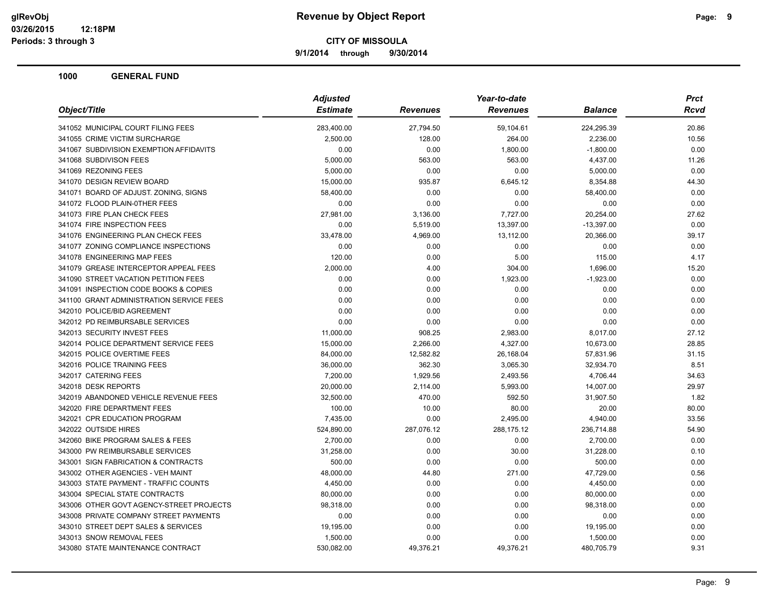**9/1/2014 through 9/30/2014**

|                                          | <b>Adjusted</b> |                 | Year-to-date    |                | <b>Prct</b> |
|------------------------------------------|-----------------|-----------------|-----------------|----------------|-------------|
| Object/Title                             | <b>Estimate</b> | <b>Revenues</b> | <b>Revenues</b> | <b>Balance</b> | <b>Rcvd</b> |
| 341052 MUNICIPAL COURT FILING FEES       | 283,400.00      | 27,794.50       | 59,104.61       | 224,295.39     | 20.86       |
| 341055 CRIME VICTIM SURCHARGE            | 2,500.00        | 128.00          | 264.00          | 2,236.00       | 10.56       |
| 341067 SUBDIVISION EXEMPTION AFFIDAVITS  | 0.00            | 0.00            | 1,800.00        | $-1,800.00$    | 0.00        |
| 341068 SUBDIVISON FEES                   | 5,000.00        | 563.00          | 563.00          | 4,437.00       | 11.26       |
| 341069 REZONING FEES                     | 5,000.00        | 0.00            | 0.00            | 5,000.00       | 0.00        |
| 341070 DESIGN REVIEW BOARD               | 15,000.00       | 935.87          | 6,645.12        | 8,354.88       | 44.30       |
| 341071 BOARD OF ADJUST. ZONING, SIGNS    | 58,400.00       | 0.00            | 0.00            | 58,400.00      | 0.00        |
| 341072 FLOOD PLAIN-0THER FEES            | 0.00            | 0.00            | 0.00            | 0.00           | 0.00        |
| 341073 FIRE PLAN CHECK FEES              | 27,981.00       | 3,136.00        | 7,727.00        | 20,254.00      | 27.62       |
| 341074 FIRE INSPECTION FEES              | 0.00            | 5,519.00        | 13,397.00       | $-13,397.00$   | 0.00        |
| 341076 ENGINEERING PLAN CHECK FEES       | 33,478.00       | 4,969.00        | 13,112.00       | 20,366.00      | 39.17       |
| 341077 ZONING COMPLIANCE INSPECTIONS     | 0.00            | 0.00            | 0.00            | 0.00           | 0.00        |
| 341078 ENGINEERING MAP FEES              | 120.00          | 0.00            | 5.00            | 115.00         | 4.17        |
| 341079 GREASE INTERCEPTOR APPEAL FEES    | 2,000.00        | 4.00            | 304.00          | 1,696.00       | 15.20       |
| 341090 STREET VACATION PETITION FEES     | 0.00            | 0.00            | 1,923.00        | $-1,923.00$    | 0.00        |
| 341091 INSPECTION CODE BOOKS & COPIES    | 0.00            | 0.00            | 0.00            | 0.00           | 0.00        |
| 341100 GRANT ADMINISTRATION SERVICE FEES | 0.00            | 0.00            | 0.00            | 0.00           | 0.00        |
| 342010 POLICE/BID AGREEMENT              | 0.00            | 0.00            | 0.00            | 0.00           | 0.00        |
| 342012 PD REIMBURSABLE SERVICES          | 0.00            | 0.00            | 0.00            | 0.00           | 0.00        |
| 342013 SECURITY INVEST FEES              | 11,000.00       | 908.25          | 2,983.00        | 8,017.00       | 27.12       |
| 342014 POLICE DEPARTMENT SERVICE FEES    | 15,000.00       | 2,266.00        | 4,327.00        | 10,673.00      | 28.85       |
| 342015 POLICE OVERTIME FEES              | 84,000.00       | 12,582.82       | 26,168.04       | 57,831.96      | 31.15       |
| 342016 POLICE TRAINING FEES              | 36,000.00       | 362.30          | 3,065.30        | 32,934.70      | 8.51        |
| 342017 CATERING FEES                     | 7,200.00        | 1,929.56        | 2,493.56        | 4,706.44       | 34.63       |
| 342018 DESK REPORTS                      | 20,000.00       | 2,114.00        | 5,993.00        | 14,007.00      | 29.97       |
| 342019 ABANDONED VEHICLE REVENUE FEES    | 32,500.00       | 470.00          | 592.50          | 31,907.50      | 1.82        |
| 342020 FIRE DEPARTMENT FEES              | 100.00          | 10.00           | 80.00           | 20.00          | 80.00       |
| 342021 CPR EDUCATION PROGRAM             | 7,435.00        | 0.00            | 2,495.00        | 4,940.00       | 33.56       |
| 342022 OUTSIDE HIRES                     | 524,890.00      | 287,076.12      | 288,175.12      | 236,714.88     | 54.90       |
| 342060 BIKE PROGRAM SALES & FEES         | 2,700.00        | 0.00            | 0.00            | 2,700.00       | 0.00        |
| 343000 PW REIMBURSABLE SERVICES          | 31,258.00       | 0.00            | 30.00           | 31,228.00      | 0.10        |
| 343001 SIGN FABRICATION & CONTRACTS      | 500.00          | 0.00            | 0.00            | 500.00         | 0.00        |
| 343002 OTHER AGENCIES - VEH MAINT        | 48,000.00       | 44.80           | 271.00          | 47,729.00      | 0.56        |
| 343003 STATE PAYMENT - TRAFFIC COUNTS    | 4,450.00        | 0.00            | 0.00            | 4,450.00       | 0.00        |
| 343004 SPECIAL STATE CONTRACTS           | 80,000.00       | 0.00            | 0.00            | 80,000.00      | 0.00        |
| 343006 OTHER GOVT AGENCY-STREET PROJECTS | 98,318.00       | 0.00            | 0.00            | 98,318.00      | 0.00        |
| 343008 PRIVATE COMPANY STREET PAYMENTS   | 0.00            | 0.00            | 0.00            | 0.00           | 0.00        |
| 343010 STREET DEPT SALES & SERVICES      | 19,195.00       | 0.00            | 0.00            | 19,195.00      | 0.00        |
| 343013 SNOW REMOVAL FEES                 | 1,500.00        | 0.00            | 0.00            | 1,500.00       | 0.00        |
| 343080 STATE MAINTENANCE CONTRACT        | 530,082.00      | 49,376.21       | 49,376.21       | 480,705.79     | 9.31        |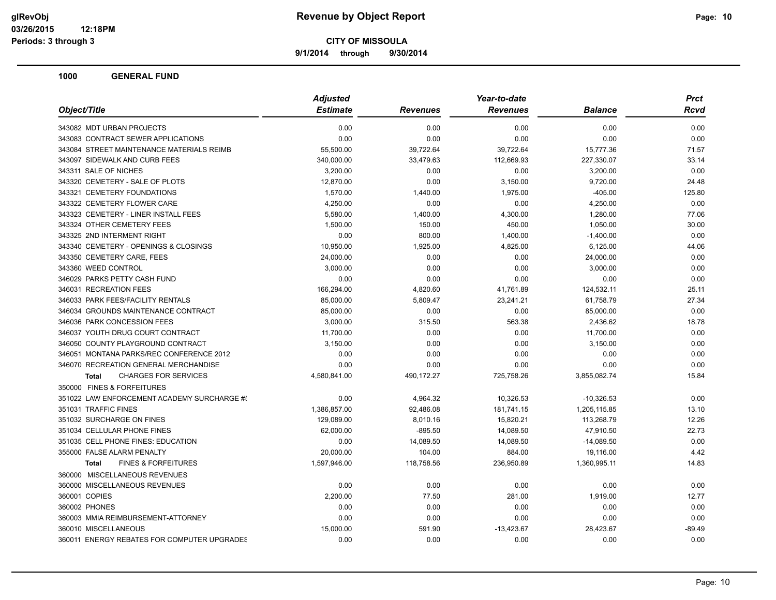**9/1/2014 through 9/30/2014**

| Object/Title                                   | <b>Adjusted</b><br><b>Estimate</b> | <b>Revenues</b> | Year-to-date<br><b>Revenues</b> | <b>Balance</b> | <b>Prct</b><br><b>Rcvd</b> |
|------------------------------------------------|------------------------------------|-----------------|---------------------------------|----------------|----------------------------|
|                                                |                                    |                 |                                 |                |                            |
| 343082 MDT URBAN PROJECTS                      | 0.00                               | 0.00            | 0.00                            | 0.00           | 0.00                       |
| 343083 CONTRACT SEWER APPLICATIONS             | 0.00                               | 0.00            | 0.00                            | 0.00           | 0.00                       |
| 343084 STREET MAINTENANCE MATERIALS REIMB      | 55,500.00                          | 39,722.64       | 39,722.64                       | 15,777.36      | 71.57                      |
| 343097 SIDEWALK AND CURB FEES                  | 340,000.00                         | 33,479.63       | 112,669.93                      | 227,330.07     | 33.14                      |
| 343311 SALE OF NICHES                          | 3,200.00                           | 0.00            | 0.00                            | 3,200.00       | 0.00                       |
| 343320 CEMETERY - SALE OF PLOTS                | 12,870.00                          | 0.00            | 3,150.00                        | 9,720.00       | 24.48                      |
| 343321 CEMETERY FOUNDATIONS                    | 1,570.00                           | 1,440.00        | 1,975.00                        | $-405.00$      | 125.80                     |
| 343322 CEMETERY FLOWER CARE                    | 4,250.00                           | 0.00            | 0.00                            | 4,250.00       | 0.00                       |
| 343323 CEMETERY - LINER INSTALL FEES           | 5,580.00                           | 1,400.00        | 4,300.00                        | 1,280.00       | 77.06                      |
| 343324 OTHER CEMETERY FEES                     | 1,500.00                           | 150.00          | 450.00                          | 1,050.00       | 30.00                      |
| 343325 2ND INTERMENT RIGHT                     | 0.00                               | 800.00          | 1,400.00                        | $-1,400.00$    | 0.00                       |
| 343340 CEMETERY - OPENINGS & CLOSINGS          | 10,950.00                          | 1,925.00        | 4,825.00                        | 6,125.00       | 44.06                      |
| 343350 CEMETERY CARE, FEES                     | 24,000.00                          | 0.00            | 0.00                            | 24,000.00      | 0.00                       |
| 343360 WEED CONTROL                            | 3,000.00                           | 0.00            | 0.00                            | 3,000.00       | 0.00                       |
| 346029 PARKS PETTY CASH FUND                   | 0.00                               | 0.00            | 0.00                            | 0.00           | 0.00                       |
| 346031 RECREATION FEES                         | 166,294.00                         | 4,820.60        | 41,761.89                       | 124,532.11     | 25.11                      |
| 346033 PARK FEES/FACILITY RENTALS              | 85,000.00                          | 5,809.47        | 23,241.21                       | 61,758.79      | 27.34                      |
| 346034 GROUNDS MAINTENANCE CONTRACT            | 85,000.00                          | 0.00            | 0.00                            | 85,000.00      | 0.00                       |
| 346036 PARK CONCESSION FEES                    | 3,000.00                           | 315.50          | 563.38                          | 2,436.62       | 18.78                      |
| 346037 YOUTH DRUG COURT CONTRACT               | 11,700.00                          | 0.00            | 0.00                            | 11,700.00      | 0.00                       |
| 346050 COUNTY PLAYGROUND CONTRACT              | 3,150.00                           | 0.00            | 0.00                            | 3,150.00       | 0.00                       |
| 346051 MONTANA PARKS/REC CONFERENCE 2012       | 0.00                               | 0.00            | 0.00                            | 0.00           | 0.00                       |
| 346070 RECREATION GENERAL MERCHANDISE          | 0.00                               | 0.00            | 0.00                            | 0.00           | 0.00                       |
| <b>CHARGES FOR SERVICES</b><br><b>Total</b>    | 4,580,841.00                       | 490,172.27      | 725,758.26                      | 3,855,082.74   | 15.84                      |
| 350000 FINES & FORFEITURES                     |                                    |                 |                                 |                |                            |
| 351022 LAW ENFORCEMENT ACADEMY SURCHARGE #!    | 0.00                               | 4,964.32        | 10,326.53                       | $-10,326.53$   | 0.00                       |
| 351031 TRAFFIC FINES                           | 1,386,857.00                       | 92,486.08       | 181,741.15                      | 1,205,115.85   | 13.10                      |
| 351032 SURCHARGE ON FINES                      | 129,089.00                         | 8,010.16        | 15,820.21                       | 113,268.79     | 12.26                      |
| 351034 CELLULAR PHONE FINES                    | 62,000.00                          | $-895.50$       | 14,089.50                       | 47,910.50      | 22.73                      |
| 351035 CELL PHONE FINES: EDUCATION             | 0.00                               | 14,089.50       | 14,089.50                       | $-14,089.50$   | 0.00                       |
| 355000 FALSE ALARM PENALTY                     | 20,000.00                          | 104.00          | 884.00                          | 19,116.00      | 4.42                       |
| <b>FINES &amp; FORFEITURES</b><br><b>Total</b> | 1,597,946.00                       | 118,758.56      | 236,950.89                      | 1,360,995.11   | 14.83                      |
| 360000 MISCELLANEOUS REVENUES                  |                                    |                 |                                 |                |                            |
| 360000 MISCELLANEOUS REVENUES                  | 0.00                               | 0.00            | 0.00                            | 0.00           | 0.00                       |
| 360001 COPIES                                  | 2,200.00                           | 77.50           | 281.00                          | 1,919.00       | 12.77                      |
| 360002 PHONES                                  | 0.00                               | 0.00            | 0.00                            | 0.00           | 0.00                       |
| 360003 MMIA REIMBURSEMENT-ATTORNEY             | 0.00                               | 0.00            | 0.00                            | 0.00           | 0.00                       |
| 360010 MISCELLANEOUS                           | 15,000.00                          | 591.90          | $-13,423.67$                    | 28,423.67      | -89.49                     |
|                                                |                                    | 0.00            | 0.00                            | 0.00           | 0.00                       |
| 360011 ENERGY REBATES FOR COMPUTER UPGRADES    | 0.00                               |                 |                                 |                |                            |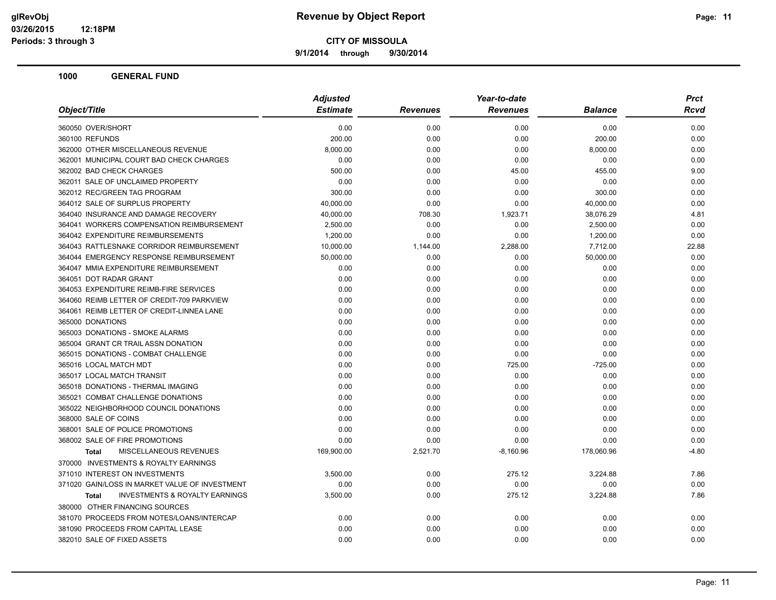**9/1/2014 through 9/30/2014**

| Object/Title                                       | <b>Adjusted</b> |                 | Year-to-date    |                | <b>Prct</b> |
|----------------------------------------------------|-----------------|-----------------|-----------------|----------------|-------------|
|                                                    | <b>Estimate</b> | <b>Revenues</b> | <b>Revenues</b> | <b>Balance</b> | <b>Rcvd</b> |
| 360050 OVER/SHORT                                  | 0.00            | 0.00            | 0.00            | 0.00           | 0.00        |
| 360100 REFUNDS                                     | 200.00          | 0.00            | 0.00            | 200.00         | 0.00        |
| 362000 OTHER MISCELLANEOUS REVENUE                 | 8,000.00        | 0.00            | 0.00            | 8,000.00       | 0.00        |
| 362001 MUNICIPAL COURT BAD CHECK CHARGES           | 0.00            | 0.00            | 0.00            | 0.00           | 0.00        |
| 362002 BAD CHECK CHARGES                           | 500.00          | 0.00            | 45.00           | 455.00         | 9.00        |
| 362011 SALE OF UNCLAIMED PROPERTY                  | 0.00            | 0.00            | 0.00            | 0.00           | 0.00        |
| 362012 REC/GREEN TAG PROGRAM                       | 300.00          | 0.00            | 0.00            | 300.00         | 0.00        |
| 364012 SALE OF SURPLUS PROPERTY                    | 40,000.00       | 0.00            | 0.00            | 40,000.00      | 0.00        |
| 364040 INSURANCE AND DAMAGE RECOVERY               | 40,000.00       | 708.30          | 1,923.71        | 38,076.29      | 4.81        |
| 364041 WORKERS COMPENSATION REIMBURSEMENT          | 2,500.00        | 0.00            | 0.00            | 2,500.00       | 0.00        |
| 364042 EXPENDITURE REIMBURSEMENTS                  | 1,200.00        | 0.00            | 0.00            | 1,200.00       | 0.00        |
| 364043 RATTLESNAKE CORRIDOR REIMBURSEMENT          | 10,000.00       | 1,144.00        | 2,288.00        | 7,712.00       | 22.88       |
| 364044 EMERGENCY RESPONSE REIMBURSEMENT            | 50,000.00       | 0.00            | 0.00            | 50,000.00      | 0.00        |
| 364047 MMIA EXPENDITURE REIMBURSEMENT              | 0.00            | 0.00            | 0.00            | 0.00           | 0.00        |
| 364051 DOT RADAR GRANT                             | 0.00            | 0.00            | 0.00            | 0.00           | 0.00        |
| 364053 EXPENDITURE REIMB-FIRE SERVICES             | 0.00            | 0.00            | 0.00            | 0.00           | 0.00        |
| 364060 REIMB LETTER OF CREDIT-709 PARKVIEW         | 0.00            | 0.00            | 0.00            | 0.00           | 0.00        |
| 364061 REIMB LETTER OF CREDIT-LINNEA LANE          | 0.00            | 0.00            | 0.00            | 0.00           | 0.00        |
| 365000 DONATIONS                                   | 0.00            | 0.00            | 0.00            | 0.00           | 0.00        |
| 365003 DONATIONS - SMOKE ALARMS                    | 0.00            | 0.00            | 0.00            | 0.00           | 0.00        |
| 365004 GRANT CR TRAIL ASSN DONATION                | 0.00            | 0.00            | 0.00            | 0.00           | 0.00        |
| 365015 DONATIONS - COMBAT CHALLENGE                | 0.00            | 0.00            | 0.00            | 0.00           | 0.00        |
| 365016 LOCAL MATCH MDT                             | 0.00            | 0.00            | 725.00          | $-725.00$      | 0.00        |
| 365017 LOCAL MATCH TRANSIT                         | 0.00            | 0.00            | 0.00            | 0.00           | 0.00        |
| 365018 DONATIONS - THERMAL IMAGING                 | 0.00            | 0.00            | 0.00            | 0.00           | 0.00        |
| 365021 COMBAT CHALLENGE DONATIONS                  | 0.00            | 0.00            | 0.00            | 0.00           | 0.00        |
| 365022 NEIGHBORHOOD COUNCIL DONATIONS              | 0.00            | 0.00            | 0.00            | 0.00           | 0.00        |
| 368000 SALE OF COINS                               | 0.00            | 0.00            | 0.00            | 0.00           | 0.00        |
| 368001 SALE OF POLICE PROMOTIONS                   | 0.00            | 0.00            | 0.00            | 0.00           | 0.00        |
| 368002 SALE OF FIRE PROMOTIONS                     | 0.00            | 0.00            | 0.00            | 0.00           | 0.00        |
| <b>MISCELLANEOUS REVENUES</b><br><b>Total</b>      | 169,900.00      | 2,521.70        | $-8,160.96$     | 178,060.96     | $-4.80$     |
| 370000 INVESTMENTS & ROYALTY EARNINGS              |                 |                 |                 |                |             |
| 371010 INTEREST ON INVESTMENTS                     | 3,500.00        | 0.00            | 275.12          | 3,224.88       | 7.86        |
| 371020 GAIN/LOSS IN MARKET VALUE OF INVESTMENT     | 0.00            | 0.00            | 0.00            | 0.00           | 0.00        |
| <b>INVESTMENTS &amp; ROYALTY EARNINGS</b><br>Total | 3,500.00        | 0.00            | 275.12          | 3,224.88       | 7.86        |
| 380000 OTHER FINANCING SOURCES                     |                 |                 |                 |                |             |
| 381070 PROCEEDS FROM NOTES/LOANS/INTERCAP          | 0.00            | 0.00            | 0.00            | 0.00           | 0.00        |
| 381090 PROCEEDS FROM CAPITAL LEASE                 | 0.00            | 0.00            | 0.00            | 0.00           | 0.00        |
| 382010 SALE OF FIXED ASSETS                        | 0.00            | 0.00            | 0.00            | 0.00           | 0.00        |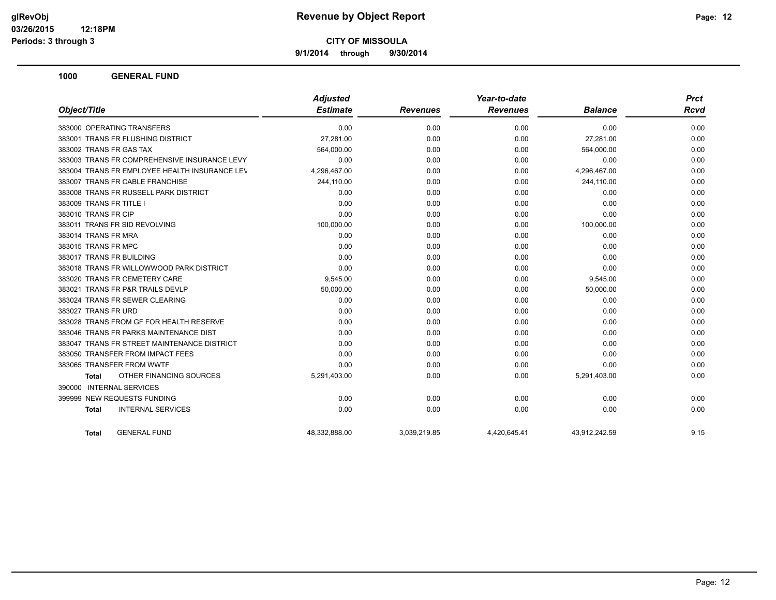**9/1/2014 through 9/30/2014**

|                                               | <b>Adjusted</b> |                 | Year-to-date    |                | <b>Prct</b> |
|-----------------------------------------------|-----------------|-----------------|-----------------|----------------|-------------|
| Object/Title                                  | <b>Estimate</b> | <b>Revenues</b> | <b>Revenues</b> | <b>Balance</b> | <b>Rcvd</b> |
| 383000 OPERATING TRANSFERS                    | 0.00            | 0.00            | 0.00            | 0.00           | 0.00        |
| 383001 TRANS FR FLUSHING DISTRICT             | 27,281.00       | 0.00            | 0.00            | 27,281.00      | 0.00        |
| 383002 TRANS FR GAS TAX                       | 564,000.00      | 0.00            | 0.00            | 564,000.00     | 0.00        |
| 383003 TRANS FR COMPREHENSIVE INSURANCE LEVY  | 0.00            | 0.00            | 0.00            | 0.00           | 0.00        |
| 383004 TRANS FR EMPLOYEE HEALTH INSURANCE LEV | 4,296,467.00    | 0.00            | 0.00            | 4,296,467.00   | 0.00        |
| 383007 TRANS FR CABLE FRANCHISE               | 244,110.00      | 0.00            | 0.00            | 244,110.00     | 0.00        |
| 383008 TRANS FR RUSSELL PARK DISTRICT         | 0.00            | 0.00            | 0.00            | 0.00           | 0.00        |
| 383009 TRANS FR TITLE I                       | 0.00            | 0.00            | 0.00            | 0.00           | 0.00        |
| 383010 TRANS FR CIP                           | 0.00            | 0.00            | 0.00            | 0.00           | 0.00        |
| 383011 TRANS FR SID REVOLVING                 | 100,000.00      | 0.00            | 0.00            | 100,000.00     | 0.00        |
| 383014 TRANS FR MRA                           | 0.00            | 0.00            | 0.00            | 0.00           | 0.00        |
| 383015 TRANS FR MPC                           | 0.00            | 0.00            | 0.00            | 0.00           | 0.00        |
| 383017 TRANS FR BUILDING                      | 0.00            | 0.00            | 0.00            | 0.00           | 0.00        |
| 383018 TRANS FR WILLOWWOOD PARK DISTRICT      | 0.00            | 0.00            | 0.00            | 0.00           | 0.00        |
| 383020 TRANS FR CEMETERY CARE                 | 9,545.00        | 0.00            | 0.00            | 9,545.00       | 0.00        |
| 383021 TRANS FR P&R TRAILS DEVLP              | 50,000.00       | 0.00            | 0.00            | 50,000.00      | 0.00        |
| 383024 TRANS FR SEWER CLEARING                | 0.00            | 0.00            | 0.00            | 0.00           | 0.00        |
| 383027 TRANS FR URD                           | 0.00            | 0.00            | 0.00            | 0.00           | 0.00        |
| 383028 TRANS FROM GF FOR HEALTH RESERVE       | 0.00            | 0.00            | 0.00            | 0.00           | 0.00        |
| 383046 TRANS FR PARKS MAINTENANCE DIST        | 0.00            | 0.00            | 0.00            | 0.00           | 0.00        |
| 383047 TRANS FR STREET MAINTENANCE DISTRICT   | 0.00            | 0.00            | 0.00            | 0.00           | 0.00        |
| 383050 TRANSFER FROM IMPACT FEES              | 0.00            | 0.00            | 0.00            | 0.00           | 0.00        |
| 383065 TRANSFER FROM WWTF                     | 0.00            | 0.00            | 0.00            | 0.00           | 0.00        |
| OTHER FINANCING SOURCES<br><b>Total</b>       | 5,291,403.00    | 0.00            | 0.00            | 5,291,403.00   | 0.00        |
| 390000 INTERNAL SERVICES                      |                 |                 |                 |                |             |
| 399999 NEW REQUESTS FUNDING                   | 0.00            | 0.00            | 0.00            | 0.00           | 0.00        |
| <b>INTERNAL SERVICES</b><br><b>Total</b>      | 0.00            | 0.00            | 0.00            | 0.00           | 0.00        |
| <b>GENERAL FUND</b><br><b>Total</b>           | 48,332,888.00   | 3,039,219.85    | 4,420,645.41    | 43,912,242.59  | 9.15        |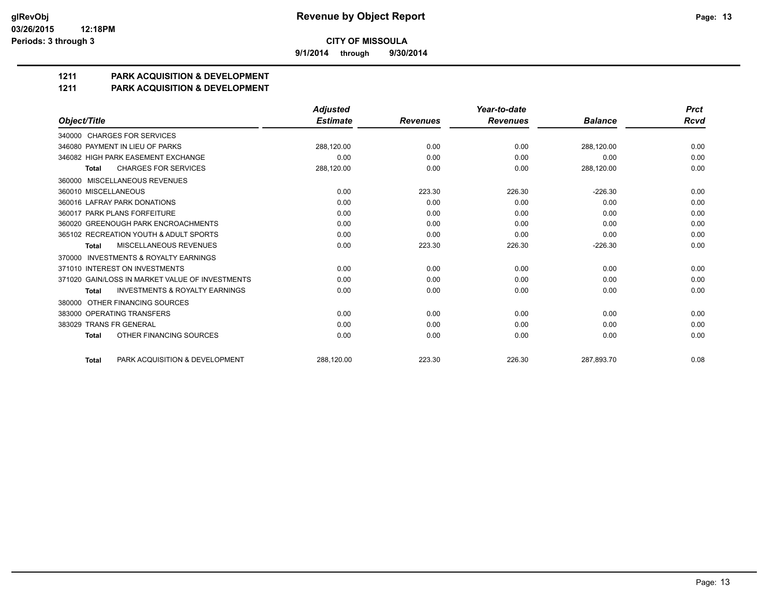**9/1/2014 through 9/30/2014**

## **1211 PARK ACQUISITION & DEVELOPMENT**

#### **1211 PARK ACQUISITION & DEVELOPMENT**

|                                                           | <b>Adjusted</b> |                 | Year-to-date    |                | <b>Prct</b> |
|-----------------------------------------------------------|-----------------|-----------------|-----------------|----------------|-------------|
| Object/Title                                              | <b>Estimate</b> | <b>Revenues</b> | <b>Revenues</b> | <b>Balance</b> | Rcvd        |
| 340000 CHARGES FOR SERVICES                               |                 |                 |                 |                |             |
| 346080 PAYMENT IN LIEU OF PARKS                           | 288,120.00      | 0.00            | 0.00            | 288,120.00     | 0.00        |
| 346082 HIGH PARK EASEMENT EXCHANGE                        | 0.00            | 0.00            | 0.00            | 0.00           | 0.00        |
| <b>CHARGES FOR SERVICES</b><br><b>Total</b>               | 288,120.00      | 0.00            | 0.00            | 288,120.00     | 0.00        |
| MISCELLANEOUS REVENUES<br>360000                          |                 |                 |                 |                |             |
| 360010 MISCELLANEOUS                                      | 0.00            | 223.30          | 226.30          | $-226.30$      | 0.00        |
| 360016 LAFRAY PARK DONATIONS                              | 0.00            | 0.00            | 0.00            | 0.00           | 0.00        |
| 360017 PARK PLANS FORFEITURE                              | 0.00            | 0.00            | 0.00            | 0.00           | 0.00        |
| 360020 GREENOUGH PARK ENCROACHMENTS                       | 0.00            | 0.00            | 0.00            | 0.00           | 0.00        |
| 365102 RECREATION YOUTH & ADULT SPORTS                    | 0.00            | 0.00            | 0.00            | 0.00           | 0.00        |
| MISCELLANEOUS REVENUES<br><b>Total</b>                    | 0.00            | 223.30          | 226.30          | $-226.30$      | 0.00        |
| <b>INVESTMENTS &amp; ROYALTY EARNINGS</b><br>370000       |                 |                 |                 |                |             |
| 371010 INTEREST ON INVESTMENTS                            | 0.00            | 0.00            | 0.00            | 0.00           | 0.00        |
| 371020 GAIN/LOSS IN MARKET VALUE OF INVESTMENTS           | 0.00            | 0.00            | 0.00            | 0.00           | 0.00        |
| <b>INVESTMENTS &amp; ROYALTY EARNINGS</b><br><b>Total</b> | 0.00            | 0.00            | 0.00            | 0.00           | 0.00        |
| OTHER FINANCING SOURCES<br>380000                         |                 |                 |                 |                |             |
| 383000 OPERATING TRANSFERS                                | 0.00            | 0.00            | 0.00            | 0.00           | 0.00        |
| 383029 TRANS FR GENERAL                                   | 0.00            | 0.00            | 0.00            | 0.00           | 0.00        |
| OTHER FINANCING SOURCES<br><b>Total</b>                   | 0.00            | 0.00            | 0.00            | 0.00           | 0.00        |
| PARK ACQUISITION & DEVELOPMENT<br><b>Total</b>            | 288.120.00      | 223.30          | 226.30          | 287.893.70     | 0.08        |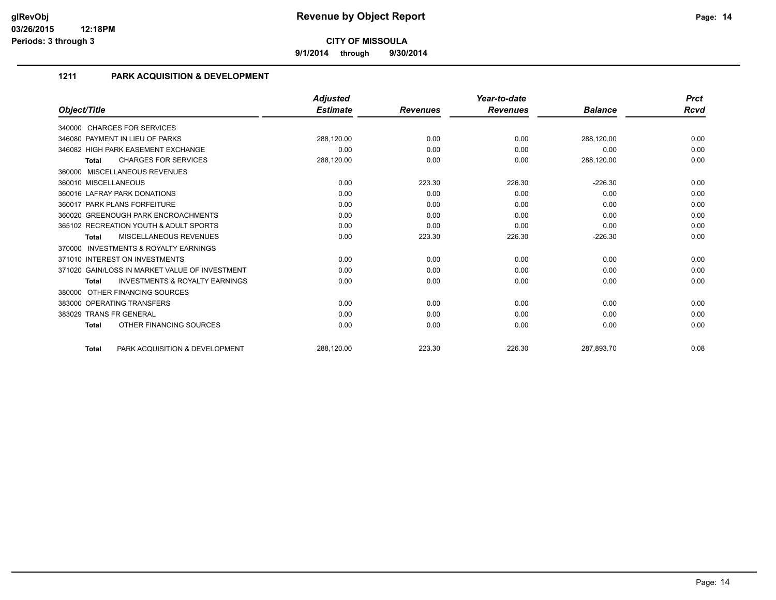**9/1/2014 through 9/30/2014**

## **1211 PARK ACQUISITION & DEVELOPMENT**

|                                                           | <b>Adjusted</b> |                 | Year-to-date    |                | <b>Prct</b> |
|-----------------------------------------------------------|-----------------|-----------------|-----------------|----------------|-------------|
| Object/Title                                              | <b>Estimate</b> | <b>Revenues</b> | <b>Revenues</b> | <b>Balance</b> | Rcvd        |
| 340000 CHARGES FOR SERVICES                               |                 |                 |                 |                |             |
| 346080 PAYMENT IN LIEU OF PARKS                           | 288,120.00      | 0.00            | 0.00            | 288,120.00     | 0.00        |
| 346082 HIGH PARK EASEMENT EXCHANGE                        | 0.00            | 0.00            | 0.00            | 0.00           | 0.00        |
| <b>CHARGES FOR SERVICES</b><br>Total                      | 288,120.00      | 0.00            | 0.00            | 288,120.00     | 0.00        |
| 360000 MISCELLANEOUS REVENUES                             |                 |                 |                 |                |             |
| 360010 MISCELLANEOUS                                      | 0.00            | 223.30          | 226.30          | $-226.30$      | 0.00        |
| 360016 LAFRAY PARK DONATIONS                              | 0.00            | 0.00            | 0.00            | 0.00           | 0.00        |
| 360017 PARK PLANS FORFEITURE                              | 0.00            | 0.00            | 0.00            | 0.00           | 0.00        |
| 360020 GREENOUGH PARK ENCROACHMENTS                       | 0.00            | 0.00            | 0.00            | 0.00           | 0.00        |
| 365102 RECREATION YOUTH & ADULT SPORTS                    | 0.00            | 0.00            | 0.00            | 0.00           | 0.00        |
| <b>MISCELLANEOUS REVENUES</b><br>Total                    | 0.00            | 223.30          | 226.30          | $-226.30$      | 0.00        |
| <b>INVESTMENTS &amp; ROYALTY EARNINGS</b><br>370000       |                 |                 |                 |                |             |
| 371010 INTEREST ON INVESTMENTS                            | 0.00            | 0.00            | 0.00            | 0.00           | 0.00        |
| 371020 GAIN/LOSS IN MARKET VALUE OF INVESTMENT            | 0.00            | 0.00            | 0.00            | 0.00           | 0.00        |
| <b>INVESTMENTS &amp; ROYALTY EARNINGS</b><br><b>Total</b> | 0.00            | 0.00            | 0.00            | 0.00           | 0.00        |
| 380000 OTHER FINANCING SOURCES                            |                 |                 |                 |                |             |
| 383000 OPERATING TRANSFERS                                | 0.00            | 0.00            | 0.00            | 0.00           | 0.00        |
| 383029 TRANS FR GENERAL                                   | 0.00            | 0.00            | 0.00            | 0.00           | 0.00        |
| OTHER FINANCING SOURCES<br><b>Total</b>                   | 0.00            | 0.00            | 0.00            | 0.00           | 0.00        |
| PARK ACQUISITION & DEVELOPMENT<br><b>Total</b>            | 288,120.00      | 223.30          | 226.30          | 287,893.70     | 0.08        |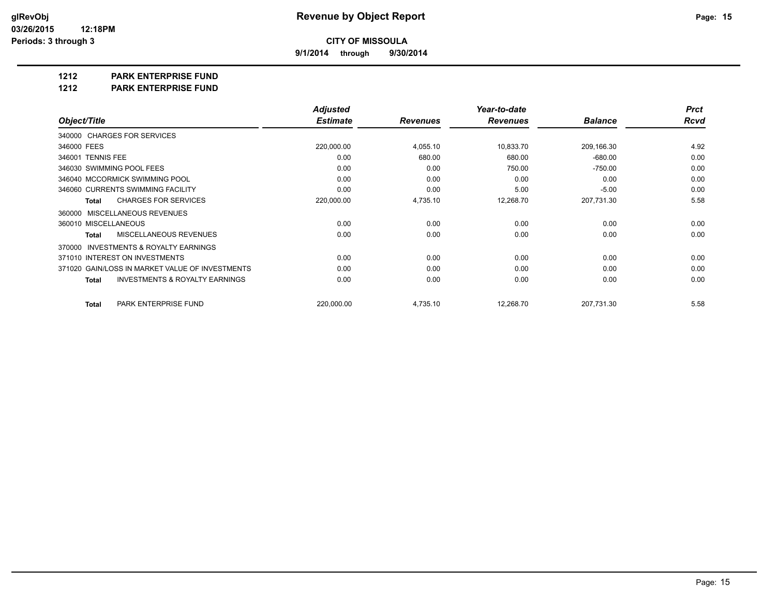**9/1/2014 through 9/30/2014**

**1212 PARK ENTERPRISE FUND**

**1212 PARK ENTERPRISE FUND**

|                                                           | <b>Adjusted</b> |                 | Year-to-date    |                | <b>Prct</b> |
|-----------------------------------------------------------|-----------------|-----------------|-----------------|----------------|-------------|
| Object/Title                                              | <b>Estimate</b> | <b>Revenues</b> | <b>Revenues</b> | <b>Balance</b> | Rcvd        |
| 340000 CHARGES FOR SERVICES                               |                 |                 |                 |                |             |
| 346000 FEES                                               | 220,000.00      | 4,055.10        | 10,833.70       | 209,166.30     | 4.92        |
| 346001 TENNIS FEE                                         | 0.00            | 680.00          | 680.00          | $-680.00$      | 0.00        |
| 346030 SWIMMING POOL FEES                                 | 0.00            | 0.00            | 750.00          | $-750.00$      | 0.00        |
| 346040 MCCORMICK SWIMMING POOL                            | 0.00            | 0.00            | 0.00            | 0.00           | 0.00        |
| 346060 CURRENTS SWIMMING FACILITY                         | 0.00            | 0.00            | 5.00            | $-5.00$        | 0.00        |
| <b>CHARGES FOR SERVICES</b><br>Total                      | 220,000.00      | 4,735.10        | 12,268.70       | 207,731.30     | 5.58        |
| 360000 MISCELLANEOUS REVENUES                             |                 |                 |                 |                |             |
| 360010 MISCELLANEOUS                                      | 0.00            | 0.00            | 0.00            | 0.00           | 0.00        |
| <b>MISCELLANEOUS REVENUES</b><br><b>Total</b>             | 0.00            | 0.00            | 0.00            | 0.00           | 0.00        |
| <b>INVESTMENTS &amp; ROYALTY EARNINGS</b><br>370000       |                 |                 |                 |                |             |
| 371010 INTEREST ON INVESTMENTS                            | 0.00            | 0.00            | 0.00            | 0.00           | 0.00        |
| 371020 GAIN/LOSS IN MARKET VALUE OF INVESTMENTS           | 0.00            | 0.00            | 0.00            | 0.00           | 0.00        |
| <b>INVESTMENTS &amp; ROYALTY EARNINGS</b><br><b>Total</b> | 0.00            | 0.00            | 0.00            | 0.00           | 0.00        |
| PARK ENTERPRISE FUND<br>Total                             | 220,000.00      | 4,735.10        | 12,268.70       | 207,731.30     | 5.58        |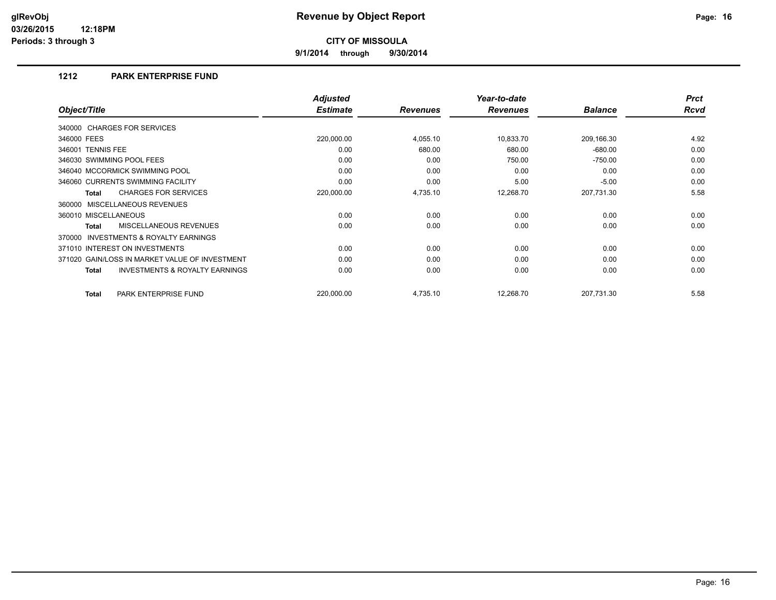**9/1/2014 through 9/30/2014**

#### **1212 PARK ENTERPRISE FUND**

|                                                           | <b>Adjusted</b> |                 | Year-to-date    |                | <b>Prct</b> |
|-----------------------------------------------------------|-----------------|-----------------|-----------------|----------------|-------------|
| Object/Title                                              | <b>Estimate</b> | <b>Revenues</b> | <b>Revenues</b> | <b>Balance</b> | <b>Rcvd</b> |
| 340000 CHARGES FOR SERVICES                               |                 |                 |                 |                |             |
| 346000 FEES                                               | 220,000.00      | 4,055.10        | 10,833.70       | 209,166.30     | 4.92        |
| 346001 TENNIS FEE                                         | 0.00            | 680.00          | 680.00          | $-680.00$      | 0.00        |
| 346030 SWIMMING POOL FEES                                 | 0.00            | 0.00            | 750.00          | $-750.00$      | 0.00        |
| 346040 MCCORMICK SWIMMING POOL                            | 0.00            | 0.00            | 0.00            | 0.00           | 0.00        |
| 346060 CURRENTS SWIMMING FACILITY                         | 0.00            | 0.00            | 5.00            | $-5.00$        | 0.00        |
| <b>CHARGES FOR SERVICES</b><br>Total                      | 220,000.00      | 4,735.10        | 12,268.70       | 207,731.30     | 5.58        |
| 360000 MISCELLANEOUS REVENUES                             |                 |                 |                 |                |             |
| 360010 MISCELLANEOUS                                      | 0.00            | 0.00            | 0.00            | 0.00           | 0.00        |
| MISCELLANEOUS REVENUES<br><b>Total</b>                    | 0.00            | 0.00            | 0.00            | 0.00           | 0.00        |
| <b>INVESTMENTS &amp; ROYALTY EARNINGS</b><br>370000       |                 |                 |                 |                |             |
| 371010 INTEREST ON INVESTMENTS                            | 0.00            | 0.00            | 0.00            | 0.00           | 0.00        |
| 371020 GAIN/LOSS IN MARKET VALUE OF INVESTMENT            | 0.00            | 0.00            | 0.00            | 0.00           | 0.00        |
| <b>INVESTMENTS &amp; ROYALTY EARNINGS</b><br><b>Total</b> | 0.00            | 0.00            | 0.00            | 0.00           | 0.00        |
| PARK ENTERPRISE FUND<br><b>Total</b>                      | 220,000.00      | 4,735.10        | 12,268.70       | 207,731.30     | 5.58        |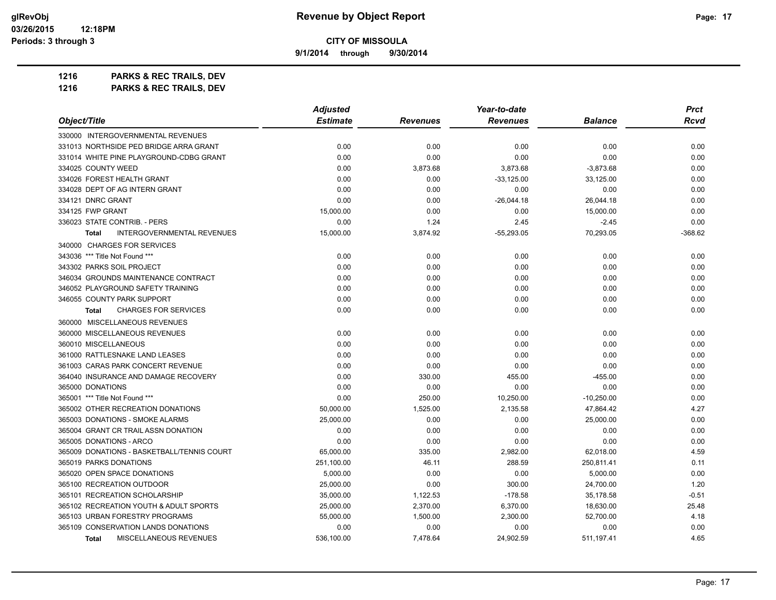**9/1/2014 through 9/30/2014**

| 1216 | <b>PARKS &amp; REC TRAILS, DEV</b> |  |
|------|------------------------------------|--|
|------|------------------------------------|--|

|                                                   | <b>Adjusted</b> |                 | Year-to-date    |                |             |
|---------------------------------------------------|-----------------|-----------------|-----------------|----------------|-------------|
| Object/Title                                      | <b>Estimate</b> | <b>Revenues</b> | <b>Revenues</b> | <b>Balance</b> | <b>Rcvd</b> |
| 330000 INTERGOVERNMENTAL REVENUES                 |                 |                 |                 |                |             |
| 331013 NORTHSIDE PED BRIDGE ARRA GRANT            | 0.00            | 0.00            | 0.00            | 0.00           | 0.00        |
| 331014 WHITE PINE PLAYGROUND-CDBG GRANT           | 0.00            | 0.00            | 0.00            | 0.00           | 0.00        |
| 334025 COUNTY WEED                                | 0.00            | 3,873.68        | 3,873.68        | $-3,873.68$    | 0.00        |
| 334026 FOREST HEALTH GRANT                        | 0.00            | 0.00            | $-33,125.00$    | 33,125.00      | 0.00        |
| 334028 DEPT OF AG INTERN GRANT                    | 0.00            | 0.00            | 0.00            | 0.00           | 0.00        |
| 334121 DNRC GRANT                                 | 0.00            | 0.00            | $-26,044.18$    | 26,044.18      | 0.00        |
| 334125 FWP GRANT                                  | 15,000.00       | 0.00            | 0.00            | 15,000.00      | 0.00        |
| 336023 STATE CONTRIB. - PERS                      | 0.00            | 1.24            | 2.45            | $-2.45$        | 0.00        |
| <b>INTERGOVERNMENTAL REVENUES</b><br><b>Total</b> | 15,000.00       | 3,874.92        | $-55,293.05$    | 70,293.05      | $-368.62$   |
| 340000 CHARGES FOR SERVICES                       |                 |                 |                 |                |             |
| 343036 *** Title Not Found ***                    | 0.00            | 0.00            | 0.00            | 0.00           | 0.00        |
| 343302 PARKS SOIL PROJECT                         | 0.00            | 0.00            | 0.00            | 0.00           | 0.00        |
| 346034 GROUNDS MAINTENANCE CONTRACT               | 0.00            | 0.00            | 0.00            | 0.00           | 0.00        |
| 346052 PLAYGROUND SAFETY TRAINING                 | 0.00            | 0.00            | 0.00            | 0.00           | 0.00        |
| 346055 COUNTY PARK SUPPORT                        | 0.00            | 0.00            | 0.00            | 0.00           | 0.00        |
| <b>CHARGES FOR SERVICES</b><br><b>Total</b>       | 0.00            | 0.00            | 0.00            | 0.00           | 0.00        |
| 360000 MISCELLANEOUS REVENUES                     |                 |                 |                 |                |             |
| 360000 MISCELLANEOUS REVENUES                     | 0.00            | 0.00            | 0.00            | 0.00           | 0.00        |
| 360010 MISCELLANEOUS                              | 0.00            | 0.00            | 0.00            | 0.00           | 0.00        |
| 361000 RATTLESNAKE LAND LEASES                    | 0.00            | 0.00            | 0.00            | 0.00           | 0.00        |
| 361003 CARAS PARK CONCERT REVENUE                 | 0.00            | 0.00            | 0.00            | 0.00           | 0.00        |
| 364040 INSURANCE AND DAMAGE RECOVERY              | 0.00            | 330.00          | 455.00          | $-455.00$      | 0.00        |
| 365000 DONATIONS                                  | 0.00            | 0.00            | 0.00            | 0.00           | 0.00        |
| 365001 *** Title Not Found ***                    | 0.00            | 250.00          | 10,250.00       | $-10,250.00$   | 0.00        |
| 365002 OTHER RECREATION DONATIONS                 | 50,000.00       | 1,525.00        | 2,135.58        | 47,864.42      | 4.27        |
| 365003 DONATIONS - SMOKE ALARMS                   | 25,000.00       | 0.00            | 0.00            | 25,000.00      | 0.00        |
| 365004 GRANT CR TRAIL ASSN DONATION               | 0.00            | 0.00            | 0.00            | 0.00           | 0.00        |
| 365005 DONATIONS - ARCO                           | 0.00            | 0.00            | 0.00            | 0.00           | 0.00        |
| 365009 DONATIONS - BASKETBALL/TENNIS COURT        | 65,000.00       | 335.00          | 2,982.00        | 62,018.00      | 4.59        |
| 365019 PARKS DONATIONS                            | 251,100.00      | 46.11           | 288.59          | 250,811.41     | 0.11        |
| 365020 OPEN SPACE DONATIONS                       | 5,000.00        | 0.00            | 0.00            | 5,000.00       | 0.00        |
| 365100 RECREATION OUTDOOR                         | 25,000.00       | 0.00            | 300.00          | 24,700.00      | 1.20        |
| 365101 RECREATION SCHOLARSHIP                     | 35,000.00       | 1,122.53        | $-178.58$       | 35,178.58      | $-0.51$     |
| 365102 RECREATION YOUTH & ADULT SPORTS            | 25,000.00       | 2,370.00        | 6,370.00        | 18,630.00      | 25.48       |
| 365103 URBAN FORESTRY PROGRAMS                    | 55,000.00       | 1,500.00        | 2,300.00        | 52,700.00      | 4.18        |
| 365109 CONSERVATION LANDS DONATIONS               | 0.00            | 0.00            | 0.00            | 0.00           | 0.00        |
| MISCELLANEOUS REVENUES<br><b>Total</b>            | 536,100.00      | 7,478.64        | 24,902.59       | 511, 197.41    | 4.65        |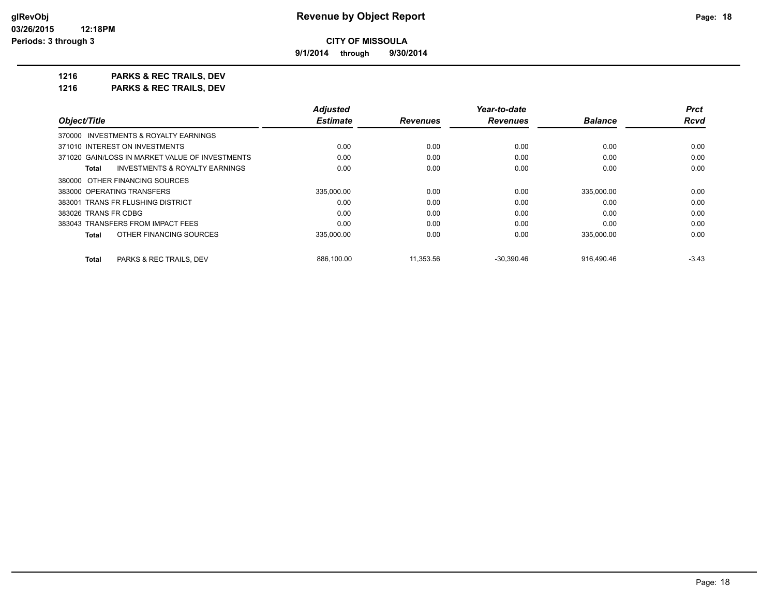**9/1/2014 through 9/30/2014**

**1216 PARKS & REC TRAILS, DEV**

|                                                    | <b>Adjusted</b> |                 | Year-to-date    |                | <b>Prct</b> |
|----------------------------------------------------|-----------------|-----------------|-----------------|----------------|-------------|
| Object/Title                                       | <b>Estimate</b> | <b>Revenues</b> | <b>Revenues</b> | <b>Balance</b> | <b>Rcvd</b> |
| 370000 INVESTMENTS & ROYALTY EARNINGS              |                 |                 |                 |                |             |
| 371010 INTEREST ON INVESTMENTS                     | 0.00            | 0.00            | 0.00            | 0.00           | 0.00        |
| 371020 GAIN/LOSS IN MARKET VALUE OF INVESTMENTS    | 0.00            | 0.00            | 0.00            | 0.00           | 0.00        |
| <b>INVESTMENTS &amp; ROYALTY EARNINGS</b><br>Total | 0.00            | 0.00            | 0.00            | 0.00           | 0.00        |
| 380000 OTHER FINANCING SOURCES                     |                 |                 |                 |                |             |
| 383000 OPERATING TRANSFERS                         | 335.000.00      | 0.00            | 0.00            | 335.000.00     | 0.00        |
| 383001 TRANS FR FLUSHING DISTRICT                  | 0.00            | 0.00            | 0.00            | 0.00           | 0.00        |
| 383026 TRANS FR CDBG                               | 0.00            | 0.00            | 0.00            | 0.00           | 0.00        |
| 383043 TRANSFERS FROM IMPACT FEES                  | 0.00            | 0.00            | 0.00            | 0.00           | 0.00        |
| OTHER FINANCING SOURCES<br><b>Total</b>            | 335,000.00      | 0.00            | 0.00            | 335.000.00     | 0.00        |
| <b>Total</b><br>PARKS & REC TRAILS, DEV            | 886.100.00      | 11.353.56       | $-30.390.46$    | 916.490.46     | $-3.43$     |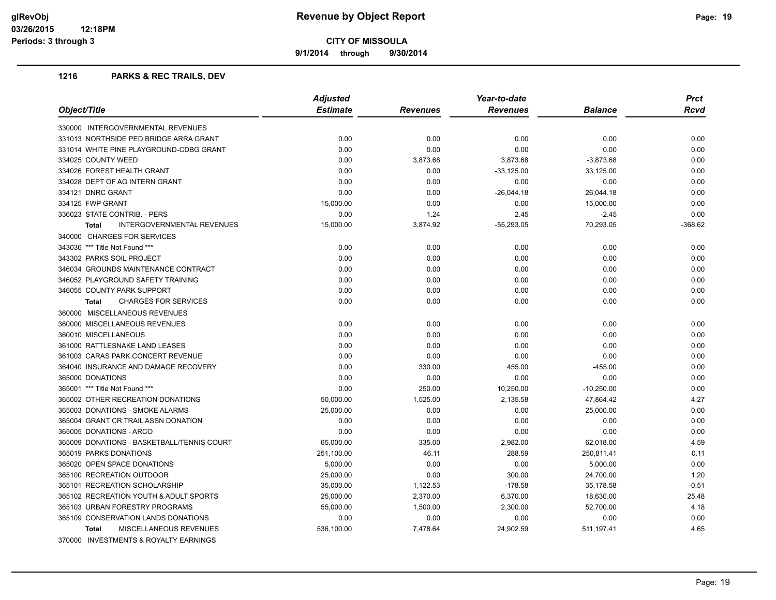**9/1/2014 through 9/30/2014**

|                                                   | <b>Adjusted</b> |                 | Year-to-date    |                |             |
|---------------------------------------------------|-----------------|-----------------|-----------------|----------------|-------------|
| Object/Title                                      | <b>Estimate</b> | <b>Revenues</b> | <b>Revenues</b> | <b>Balance</b> | <b>Rcvd</b> |
| 330000 INTERGOVERNMENTAL REVENUES                 |                 |                 |                 |                |             |
| 331013 NORTHSIDE PED BRIDGE ARRA GRANT            | 0.00            | 0.00            | 0.00            | 0.00           | 0.00        |
| 331014 WHITE PINE PLAYGROUND-CDBG GRANT           | 0.00            | 0.00            | 0.00            | 0.00           | 0.00        |
| 334025 COUNTY WEED                                | 0.00            | 3,873.68        | 3,873.68        | $-3,873.68$    | 0.00        |
| 334026 FOREST HEALTH GRANT                        | 0.00            | 0.00            | $-33,125.00$    | 33,125.00      | 0.00        |
| 334028 DEPT OF AG INTERN GRANT                    | 0.00            | 0.00            | 0.00            | 0.00           | 0.00        |
| 334121 DNRC GRANT                                 | 0.00            | 0.00            | $-26,044.18$    | 26,044.18      | 0.00        |
| 334125 FWP GRANT                                  | 15,000.00       | 0.00            | 0.00            | 15,000.00      | 0.00        |
| 336023 STATE CONTRIB. - PERS                      | 0.00            | 1.24            | 2.45            | $-2.45$        | 0.00        |
| <b>INTERGOVERNMENTAL REVENUES</b><br><b>Total</b> | 15,000.00       | 3,874.92        | $-55,293.05$    | 70,293.05      | $-368.62$   |
| 340000 CHARGES FOR SERVICES                       |                 |                 |                 |                |             |
| 343036 *** Title Not Found ***                    | 0.00            | 0.00            | 0.00            | 0.00           | 0.00        |
| 343302 PARKS SOIL PROJECT                         | 0.00            | 0.00            | 0.00            | 0.00           | 0.00        |
| 346034 GROUNDS MAINTENANCE CONTRACT               | 0.00            | 0.00            | 0.00            | 0.00           | 0.00        |
| 346052 PLAYGROUND SAFETY TRAINING                 | 0.00            | 0.00            | 0.00            | 0.00           | 0.00        |
| 346055 COUNTY PARK SUPPORT                        | 0.00            | 0.00            | 0.00            | 0.00           | 0.00        |
| <b>CHARGES FOR SERVICES</b><br><b>Total</b>       | 0.00            | 0.00            | 0.00            | 0.00           | 0.00        |
| 360000 MISCELLANEOUS REVENUES                     |                 |                 |                 |                |             |
| 360000 MISCELLANEOUS REVENUES                     | 0.00            | 0.00            | 0.00            | 0.00           | 0.00        |
| 360010 MISCELLANEOUS                              | 0.00            | 0.00            | 0.00            | 0.00           | 0.00        |
| 361000 RATTLESNAKE LAND LEASES                    | 0.00            | 0.00            | 0.00            | 0.00           | 0.00        |
| 361003 CARAS PARK CONCERT REVENUE                 | 0.00            | 0.00            | 0.00            | 0.00           | 0.00        |
| 364040 INSURANCE AND DAMAGE RECOVERY              | 0.00            | 330.00          | 455.00          | $-455.00$      | 0.00        |
| 365000 DONATIONS                                  | 0.00            | 0.00            | 0.00            | 0.00           | 0.00        |
| 365001 *** Title Not Found ***                    | 0.00            | 250.00          | 10,250.00       | $-10,250.00$   | 0.00        |
| 365002 OTHER RECREATION DONATIONS                 | 50,000.00       | 1,525.00        | 2,135.58        | 47,864.42      | 4.27        |
| 365003 DONATIONS - SMOKE ALARMS                   | 25,000.00       | 0.00            | 0.00            | 25,000.00      | 0.00        |
| 365004 GRANT CR TRAIL ASSN DONATION               | 0.00            | 0.00            | 0.00            | 0.00           | 0.00        |
| 365005 DONATIONS - ARCO                           | 0.00            | 0.00            | 0.00            | 0.00           | 0.00        |
| 365009 DONATIONS - BASKETBALL/TENNIS COURT        | 65,000.00       | 335.00          | 2,982.00        | 62,018.00      | 4.59        |
| 365019 PARKS DONATIONS                            | 251,100.00      | 46.11           | 288.59          | 250,811.41     | 0.11        |
| 365020 OPEN SPACE DONATIONS                       | 5,000.00        | 0.00            | 0.00            | 5,000.00       | 0.00        |
| 365100 RECREATION OUTDOOR                         | 25,000.00       | 0.00            | 300.00          | 24,700.00      | 1.20        |
| 365101 RECREATION SCHOLARSHIP                     | 35,000.00       | 1,122.53        | $-178.58$       | 35,178.58      | $-0.51$     |
| 365102 RECREATION YOUTH & ADULT SPORTS            | 25,000.00       | 2,370.00        | 6,370.00        | 18,630.00      | 25.48       |
| 365103 URBAN FORESTRY PROGRAMS                    | 55,000.00       | 1,500.00        | 2,300.00        | 52,700.00      | 4.18        |
| 365109 CONSERVATION LANDS DONATIONS               | 0.00            | 0.00            | 0.00            | 0.00           | 0.00        |
| MISCELLANEOUS REVENUES<br><b>Total</b>            | 536,100.00      | 7,478.64        | 24,902.59       | 511,197.41     | 4.65        |
| 370000 INVESTMENTS & ROYALTY EARNINGS             |                 |                 |                 |                |             |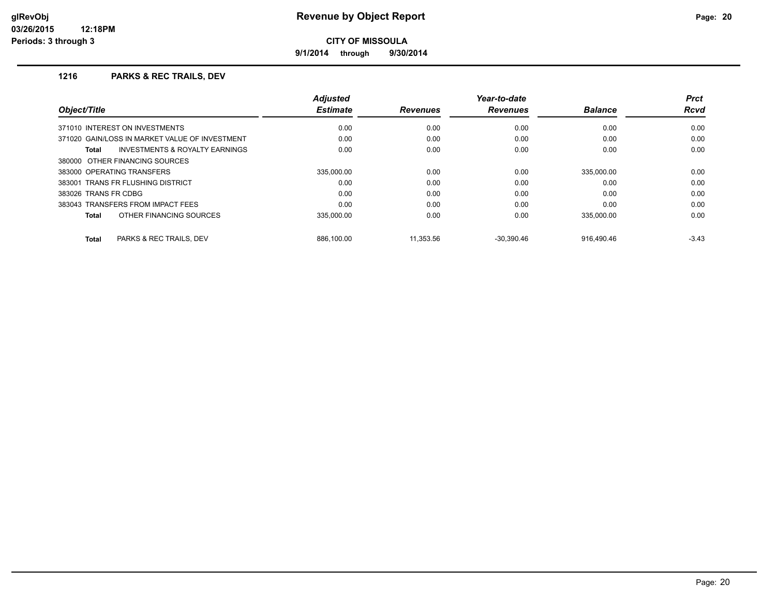**9/1/2014 through 9/30/2014**

| Object/Title                                       | <b>Adjusted</b><br><b>Estimate</b> | <b>Revenues</b> | Year-to-date<br><b>Revenues</b> | <b>Balance</b> | <b>Prct</b><br><b>Rcvd</b> |
|----------------------------------------------------|------------------------------------|-----------------|---------------------------------|----------------|----------------------------|
| 371010 INTEREST ON INVESTMENTS                     | 0.00                               | 0.00            | 0.00                            | 0.00           | 0.00                       |
| 371020 GAIN/LOSS IN MARKET VALUE OF INVESTMENT     | 0.00                               | 0.00            | 0.00                            | 0.00           | 0.00                       |
| <b>INVESTMENTS &amp; ROYALTY EARNINGS</b><br>Total | 0.00                               | 0.00            | 0.00                            | 0.00           | 0.00                       |
| 380000 OTHER FINANCING SOURCES                     |                                    |                 |                                 |                |                            |
| 383000 OPERATING TRANSFERS                         | 335.000.00                         | 0.00            | 0.00                            | 335.000.00     | 0.00                       |
| 383001 TRANS FR FLUSHING DISTRICT                  | 0.00                               | 0.00            | 0.00                            | 0.00           | 0.00                       |
| 383026 TRANS FR CDBG                               | 0.00                               | 0.00            | 0.00                            | 0.00           | 0.00                       |
| 383043 TRANSFERS FROM IMPACT FEES                  | 0.00                               | 0.00            | 0.00                            | 0.00           | 0.00                       |
| OTHER FINANCING SOURCES<br>Total                   | 335.000.00                         | 0.00            | 0.00                            | 335.000.00     | 0.00                       |
| PARKS & REC TRAILS, DEV<br><b>Total</b>            | 886.100.00                         | 11.353.56       | $-30.390.46$                    | 916.490.46     | $-3.43$                    |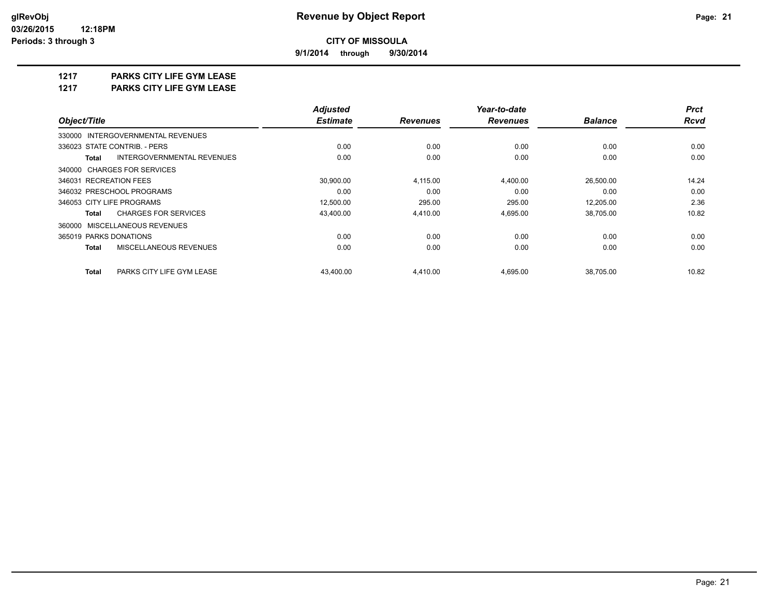**9/1/2014 through 9/30/2014**

## **1217 PARKS CITY LIFE GYM LEASE**

**1217 PARKS CITY LIFE GYM LEASE**

|                                            | <b>Adjusted</b> |                 | Year-to-date    |                | <b>Prct</b> |
|--------------------------------------------|-----------------|-----------------|-----------------|----------------|-------------|
| Object/Title                               | <b>Estimate</b> | <b>Revenues</b> | <b>Revenues</b> | <b>Balance</b> | <b>Rcvd</b> |
| 330000 INTERGOVERNMENTAL REVENUES          |                 |                 |                 |                |             |
| 336023 STATE CONTRIB. - PERS               | 0.00            | 0.00            | 0.00            | 0.00           | 0.00        |
| INTERGOVERNMENTAL REVENUES<br><b>Total</b> | 0.00            | 0.00            | 0.00            | 0.00           | 0.00        |
| 340000 CHARGES FOR SERVICES                |                 |                 |                 |                |             |
| 346031 RECREATION FEES                     | 30,900.00       | 4,115.00        | 4,400.00        | 26,500.00      | 14.24       |
| 346032 PRESCHOOL PROGRAMS                  | 0.00            | 0.00            | 0.00            | 0.00           | 0.00        |
| 346053 CITY LIFE PROGRAMS                  | 12,500.00       | 295.00          | 295.00          | 12,205.00      | 2.36        |
| <b>CHARGES FOR SERVICES</b><br>Total       | 43,400.00       | 4,410.00        | 4,695.00        | 38,705.00      | 10.82       |
| 360000 MISCELLANEOUS REVENUES              |                 |                 |                 |                |             |
| 365019 PARKS DONATIONS                     | 0.00            | 0.00            | 0.00            | 0.00           | 0.00        |
| MISCELLANEOUS REVENUES<br><b>Total</b>     | 0.00            | 0.00            | 0.00            | 0.00           | 0.00        |
| <b>Total</b><br>PARKS CITY LIFE GYM LEASE  | 43.400.00       | 4.410.00        | 4,695.00        | 38.705.00      | 10.82       |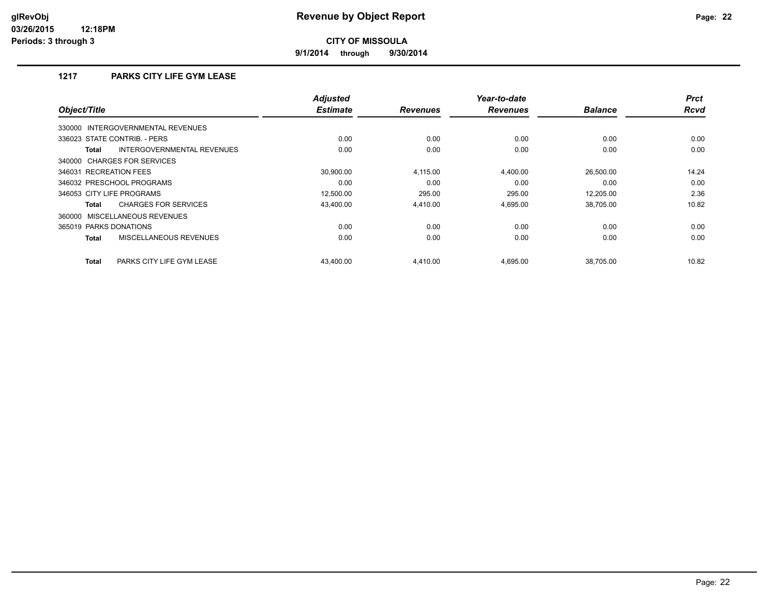**9/1/2014 through 9/30/2014**

## **1217 PARKS CITY LIFE GYM LEASE**

| Object/Title                                | <b>Adjusted</b><br><b>Estimate</b> | <b>Revenues</b> | Year-to-date<br><b>Revenues</b> | <b>Balance</b> | <b>Prct</b><br><b>Rcvd</b> |
|---------------------------------------------|------------------------------------|-----------------|---------------------------------|----------------|----------------------------|
| 330000 INTERGOVERNMENTAL REVENUES           |                                    |                 |                                 |                |                            |
| 336023 STATE CONTRIB. - PERS                | 0.00                               | 0.00            | 0.00                            | 0.00           | 0.00                       |
| INTERGOVERNMENTAL REVENUES<br><b>Total</b>  | 0.00                               | 0.00            | 0.00                            | 0.00           | 0.00                       |
| 340000 CHARGES FOR SERVICES                 |                                    |                 |                                 |                |                            |
| 346031 RECREATION FEES                      | 30,900.00                          | 4,115.00        | 4,400.00                        | 26,500.00      | 14.24                      |
| 346032 PRESCHOOL PROGRAMS                   | 0.00                               | 0.00            | 0.00                            | 0.00           | 0.00                       |
| 346053 CITY LIFE PROGRAMS                   | 12.500.00                          | 295.00          | 295.00                          | 12.205.00      | 2.36                       |
| <b>CHARGES FOR SERVICES</b><br><b>Total</b> | 43,400.00                          | 4.410.00        | 4,695.00                        | 38,705.00      | 10.82                      |
| 360000 MISCELLANEOUS REVENUES               |                                    |                 |                                 |                |                            |
| 365019 PARKS DONATIONS                      | 0.00                               | 0.00            | 0.00                            | 0.00           | 0.00                       |
| MISCELLANEOUS REVENUES<br><b>Total</b>      | 0.00                               | 0.00            | 0.00                            | 0.00           | 0.00                       |
| <b>Total</b><br>PARKS CITY LIFE GYM LEASE   | 43.400.00                          | 4,410.00        | 4,695.00                        | 38.705.00      | 10.82                      |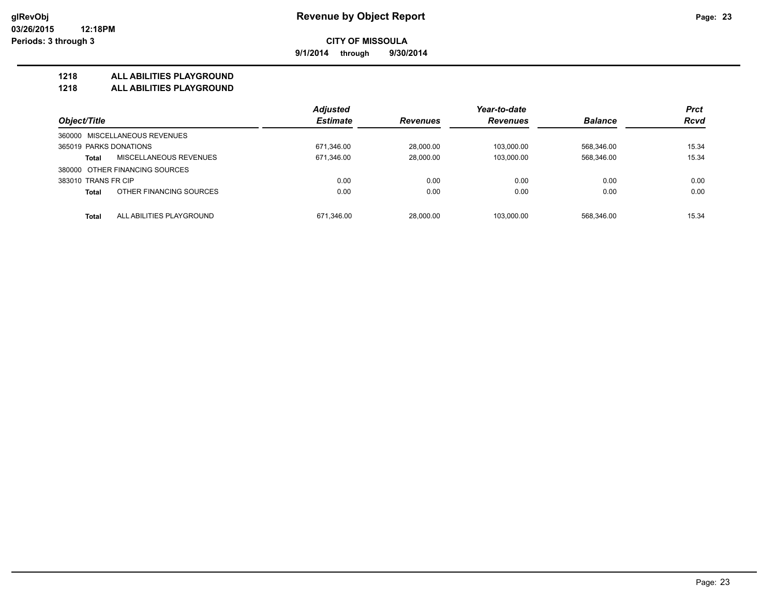**9/1/2014 through 9/30/2014**

#### **1218 ALL ABILITIES PLAYGROUND**

**1218 ALL ABILITIES PLAYGROUND**

|                                          | <b>Adjusted</b> |                 | Year-to-date    |                | <b>Prct</b> |
|------------------------------------------|-----------------|-----------------|-----------------|----------------|-------------|
| Object/Title                             | <b>Estimate</b> | <b>Revenues</b> | <b>Revenues</b> | <b>Balance</b> | <b>Rcvd</b> |
| 360000 MISCELLANEOUS REVENUES            |                 |                 |                 |                |             |
| 365019 PARKS DONATIONS                   | 671.346.00      | 28,000.00       | 103.000.00      | 568.346.00     | 15.34       |
| MISCELLANEOUS REVENUES<br><b>Total</b>   | 671,346.00      | 28,000.00       | 103.000.00      | 568,346.00     | 15.34       |
| 380000 OTHER FINANCING SOURCES           |                 |                 |                 |                |             |
| 383010 TRANS FR CIP                      | 0.00            | 0.00            | 0.00            | 0.00           | 0.00        |
| OTHER FINANCING SOURCES<br><b>Total</b>  | 0.00            | 0.00            | 0.00            | 0.00           | 0.00        |
|                                          |                 |                 |                 |                |             |
| ALL ABILITIES PLAYGROUND<br><b>Total</b> | 671.346.00      | 28.000.00       | 103.000.00      | 568.346.00     | 15.34       |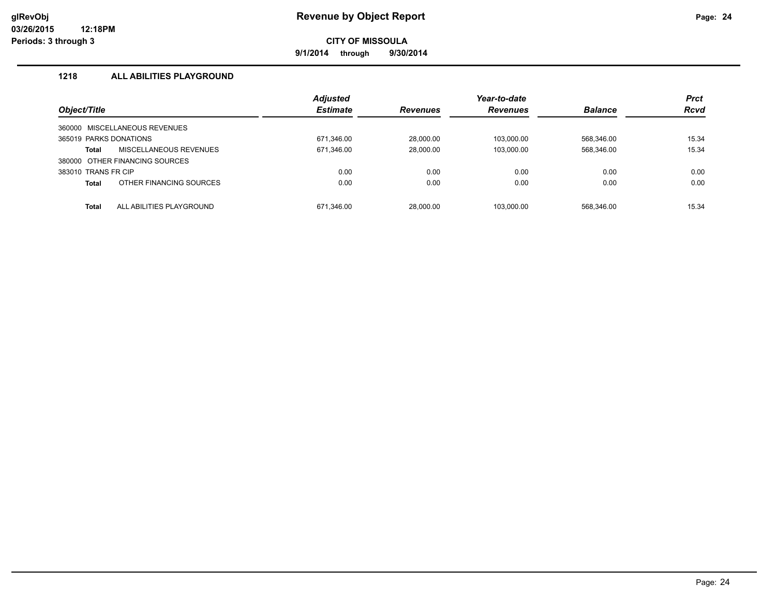**9/1/2014 through 9/30/2014**

## **1218 ALL ABILITIES PLAYGROUND**

|                        |                                | <b>Adjusted</b> |                 | Year-to-date    |                | <b>Prct</b> |
|------------------------|--------------------------------|-----------------|-----------------|-----------------|----------------|-------------|
| Object/Title           |                                | <b>Estimate</b> | <b>Revenues</b> | <b>Revenues</b> | <b>Balance</b> | <b>Rcvd</b> |
| 360000                 | MISCELLANEOUS REVENUES         |                 |                 |                 |                |             |
| 365019 PARKS DONATIONS |                                | 671,346.00      | 28,000.00       | 103.000.00      | 568.346.00     | 15.34       |
| Total                  | MISCELLANEOUS REVENUES         | 671,346.00      | 28.000.00       | 103,000.00      | 568,346.00     | 15.34       |
|                        | 380000 OTHER FINANCING SOURCES |                 |                 |                 |                |             |
| 383010 TRANS FR CIP    |                                | 0.00            | 0.00            | 0.00            | 0.00           | 0.00        |
| <b>Total</b>           | OTHER FINANCING SOURCES        | 0.00            | 0.00            | 0.00            | 0.00           | 0.00        |
| Total                  | ALL ABILITIES PLAYGROUND       | 671,346.00      | 28.000.00       | 103.000.00      | 568.346.00     | 15.34       |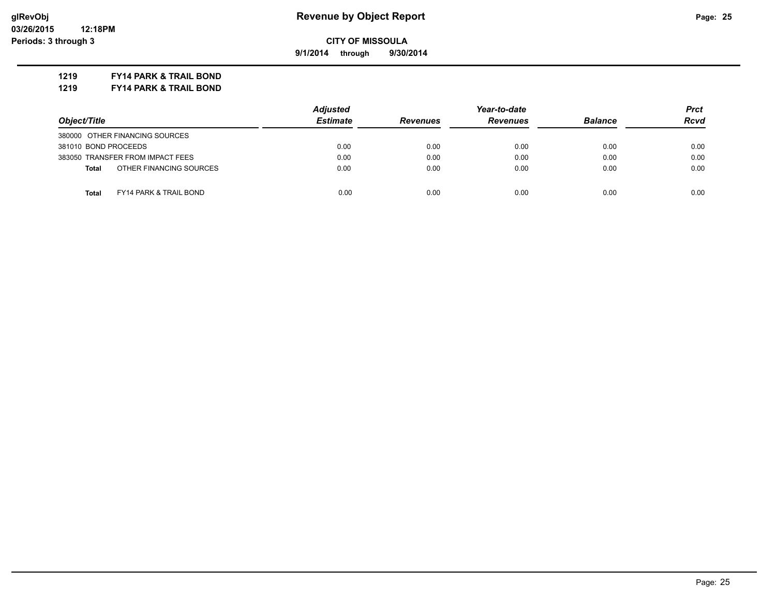**9/1/2014 through 9/30/2014**

**1219 FY14 PARK & TRAIL BOND**

**1219 FY14 PARK & TRAIL BOND**

|                                         | <b>Adjusted</b> |                 | Year-to-date    |                | Prct        |
|-----------------------------------------|-----------------|-----------------|-----------------|----------------|-------------|
| Object/Title                            | <b>Estimate</b> | <b>Revenues</b> | <b>Revenues</b> | <b>Balance</b> | <b>Rcvd</b> |
| 380000 OTHER FINANCING SOURCES          |                 |                 |                 |                |             |
| 381010 BOND PROCEEDS                    | 0.00            | 0.00            | 0.00            | 0.00           | 0.00        |
| 383050 TRANSFER FROM IMPACT FEES        | 0.00            | 0.00            | 0.00            | 0.00           | 0.00        |
| OTHER FINANCING SOURCES<br><b>Total</b> | 0.00            | 0.00            | 0.00            | 0.00           | 0.00        |
| <b>Total</b><br>FY14 PARK & TRAIL BOND  | 0.00            | 0.00            | 0.00            | 0.00           | 0.00        |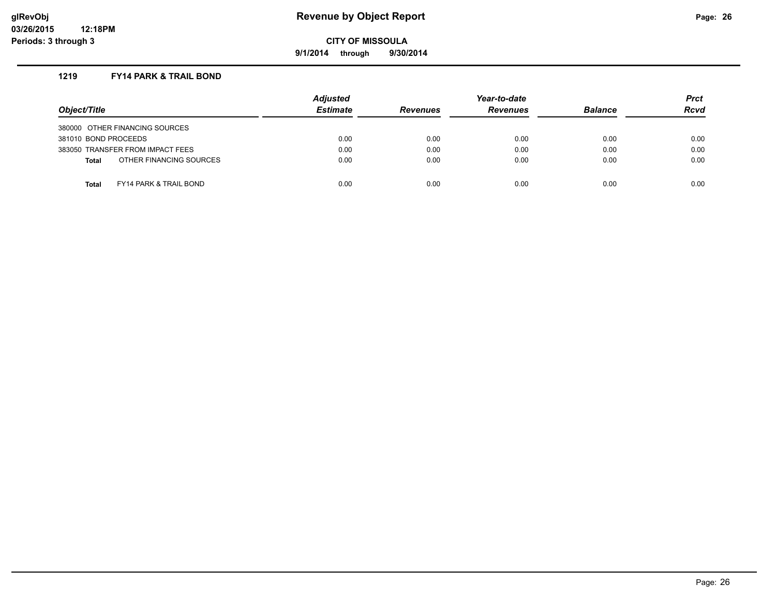## **glRevObj Revenue by Object Report Page: 26**

**CITY OF MISSOULA**

**9/1/2014 through 9/30/2014**

#### **1219 FY14 PARK & TRAIL BOND**

| Object/Title         |                                  | <b>Adjusted</b><br><b>Estimate</b> | <b>Revenues</b> | Year-to-date<br><b>Revenues</b> | <b>Balance</b> | <b>Prct</b><br><b>Rcvd</b> |
|----------------------|----------------------------------|------------------------------------|-----------------|---------------------------------|----------------|----------------------------|
|                      | 380000 OTHER FINANCING SOURCES   |                                    |                 |                                 |                |                            |
| 381010 BOND PROCEEDS |                                  | 0.00                               | 0.00            | 0.00                            | 0.00           | 0.00                       |
|                      | 383050 TRANSFER FROM IMPACT FEES | 0.00                               | 0.00            | 0.00                            | 0.00           | 0.00                       |
| <b>Total</b>         | OTHER FINANCING SOURCES          | 0.00                               | 0.00            | 0.00                            | 0.00           | 0.00                       |
|                      |                                  |                                    |                 |                                 |                |                            |
| <b>Total</b>         | FY14 PARK & TRAIL BOND           | 0.00                               | 0.00            | 0.00                            | 0.00           | 0.00                       |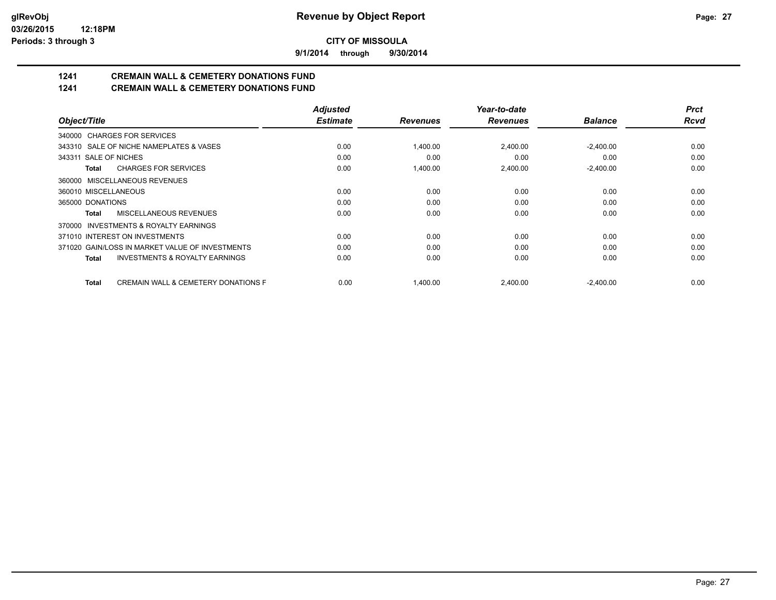**9/1/2014 through 9/30/2014**

# **1241 CREMAIN WALL & CEMETERY DONATIONS FUND**

## **1241 CREMAIN WALL & CEMETERY DONATIONS FUND**

|                                                         | <b>Adjusted</b> |                 | Year-to-date    |                | <b>Prct</b> |
|---------------------------------------------------------|-----------------|-----------------|-----------------|----------------|-------------|
| Object/Title                                            | <b>Estimate</b> | <b>Revenues</b> | <b>Revenues</b> | <b>Balance</b> | <b>Rcvd</b> |
| 340000 CHARGES FOR SERVICES                             |                 |                 |                 |                |             |
| 343310 SALE OF NICHE NAMEPLATES & VASES                 | 0.00            | 1,400.00        | 2,400.00        | $-2,400.00$    | 0.00        |
| 343311 SALE OF NICHES                                   | 0.00            | 0.00            | 0.00            | 0.00           | 0.00        |
| <b>CHARGES FOR SERVICES</b><br>Total                    | 0.00            | 1.400.00        | 2.400.00        | $-2.400.00$    | 0.00        |
| 360000 MISCELLANEOUS REVENUES                           |                 |                 |                 |                |             |
| 360010 MISCELLANEOUS                                    | 0.00            | 0.00            | 0.00            | 0.00           | 0.00        |
| 365000 DONATIONS                                        | 0.00            | 0.00            | 0.00            | 0.00           | 0.00        |
| MISCELLANEOUS REVENUES<br>Total                         | 0.00            | 0.00            | 0.00            | 0.00           | 0.00        |
| INVESTMENTS & ROYALTY EARNINGS<br>370000                |                 |                 |                 |                |             |
| 371010 INTEREST ON INVESTMENTS                          | 0.00            | 0.00            | 0.00            | 0.00           | 0.00        |
| 371020 GAIN/LOSS IN MARKET VALUE OF INVESTMENTS         | 0.00            | 0.00            | 0.00            | 0.00           | 0.00        |
| <b>INVESTMENTS &amp; ROYALTY EARNINGS</b><br>Total      | 0.00            | 0.00            | 0.00            | 0.00           | 0.00        |
| <b>CREMAIN WALL &amp; CEMETERY DONATIONS F</b><br>Total | 0.00            | 1,400.00        | 2,400.00        | $-2,400.00$    | 0.00        |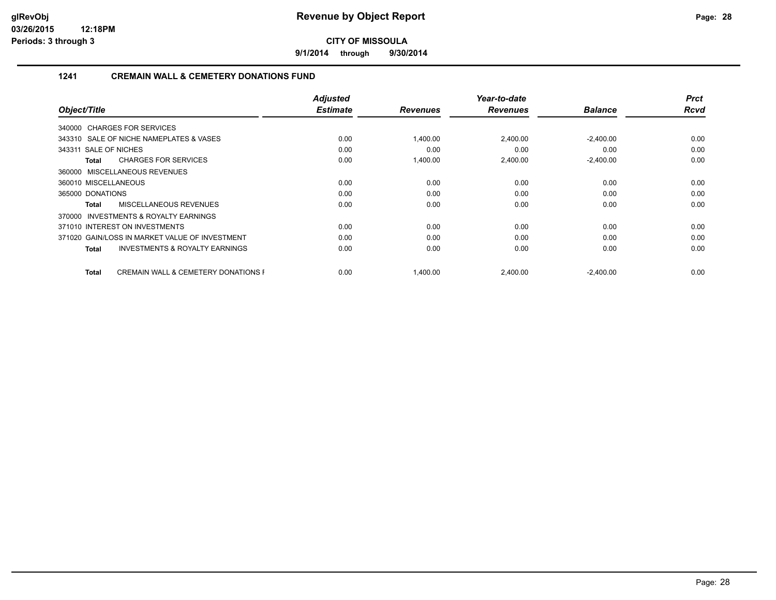**9/1/2014 through 9/30/2014**

## **1241 CREMAIN WALL & CEMETERY DONATIONS FUND**

|                                                                | <b>Adjusted</b> |                 | Year-to-date    |                | <b>Prct</b> |
|----------------------------------------------------------------|-----------------|-----------------|-----------------|----------------|-------------|
| Object/Title                                                   | <b>Estimate</b> | <b>Revenues</b> | <b>Revenues</b> | <b>Balance</b> | <b>Rcvd</b> |
| 340000 CHARGES FOR SERVICES                                    |                 |                 |                 |                |             |
| 343310 SALE OF NICHE NAMEPLATES & VASES                        | 0.00            | 1,400.00        | 2,400.00        | $-2,400.00$    | 0.00        |
| 343311 SALE OF NICHES                                          | 0.00            | 0.00            | 0.00            | 0.00           | 0.00        |
| <b>CHARGES FOR SERVICES</b><br>Total                           | 0.00            | 1,400.00        | 2,400.00        | $-2,400.00$    | 0.00        |
| 360000 MISCELLANEOUS REVENUES                                  |                 |                 |                 |                |             |
| 360010 MISCELLANEOUS                                           | 0.00            | 0.00            | 0.00            | 0.00           | 0.00        |
| 365000 DONATIONS                                               | 0.00            | 0.00            | 0.00            | 0.00           | 0.00        |
| <b>MISCELLANEOUS REVENUES</b><br>Total                         | 0.00            | 0.00            | 0.00            | 0.00           | 0.00        |
| <b>INVESTMENTS &amp; ROYALTY EARNINGS</b><br>370000            |                 |                 |                 |                |             |
| 371010 INTEREST ON INVESTMENTS                                 | 0.00            | 0.00            | 0.00            | 0.00           | 0.00        |
| 371020 GAIN/LOSS IN MARKET VALUE OF INVESTMENT                 | 0.00            | 0.00            | 0.00            | 0.00           | 0.00        |
| <b>INVESTMENTS &amp; ROYALTY EARNINGS</b><br>Total             | 0.00            | 0.00            | 0.00            | 0.00           | 0.00        |
| <b>CREMAIN WALL &amp; CEMETERY DONATIONS F</b><br><b>Total</b> | 0.00            | 1,400.00        | 2,400.00        | $-2,400.00$    | 0.00        |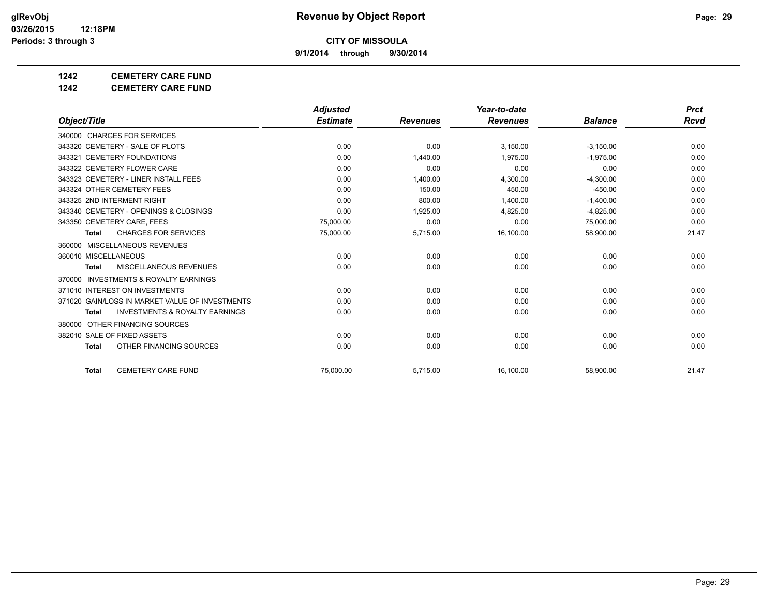**9/1/2014 through 9/30/2014**

## **1242 CEMETERY CARE FUND**

**1242 CEMETERY CARE FUND**

|                                                           | <b>Adjusted</b> |                 | Year-to-date    |                | <b>Prct</b> |
|-----------------------------------------------------------|-----------------|-----------------|-----------------|----------------|-------------|
| Object/Title                                              | <b>Estimate</b> | <b>Revenues</b> | <b>Revenues</b> | <b>Balance</b> | Rcvd        |
| 340000 CHARGES FOR SERVICES                               |                 |                 |                 |                |             |
| 343320 CEMETERY - SALE OF PLOTS                           | 0.00            | 0.00            | 3,150.00        | $-3,150.00$    | 0.00        |
| 343321 CEMETERY FOUNDATIONS                               | 0.00            | 1.440.00        | 1.975.00        | $-1.975.00$    | 0.00        |
| 343322 CEMETERY FLOWER CARE                               | 0.00            | 0.00            | 0.00            | 0.00           | 0.00        |
| 343323 CEMETERY - LINER INSTALL FEES                      | 0.00            | 1,400.00        | 4,300.00        | $-4,300.00$    | 0.00        |
| 343324 OTHER CEMETERY FEES                                | 0.00            | 150.00          | 450.00          | $-450.00$      | 0.00        |
| 343325 2ND INTERMENT RIGHT                                | 0.00            | 800.00          | 1.400.00        | $-1,400.00$    | 0.00        |
| 343340 CEMETERY - OPENINGS & CLOSINGS                     | 0.00            | 1,925.00        | 4,825.00        | $-4,825.00$    | 0.00        |
| 343350 CEMETERY CARE, FEES                                | 75,000.00       | 0.00            | 0.00            | 75,000.00      | 0.00        |
| <b>CHARGES FOR SERVICES</b><br><b>Total</b>               | 75,000.00       | 5,715.00        | 16,100.00       | 58,900.00      | 21.47       |
| 360000 MISCELLANEOUS REVENUES                             |                 |                 |                 |                |             |
| 360010 MISCELLANEOUS                                      | 0.00            | 0.00            | 0.00            | 0.00           | 0.00        |
| MISCELLANEOUS REVENUES<br><b>Total</b>                    | 0.00            | 0.00            | 0.00            | 0.00           | 0.00        |
| <b>INVESTMENTS &amp; ROYALTY EARNINGS</b><br>370000       |                 |                 |                 |                |             |
| 371010 INTEREST ON INVESTMENTS                            | 0.00            | 0.00            | 0.00            | 0.00           | 0.00        |
| 371020 GAIN/LOSS IN MARKET VALUE OF INVESTMENTS           | 0.00            | 0.00            | 0.00            | 0.00           | 0.00        |
| <b>INVESTMENTS &amp; ROYALTY EARNINGS</b><br><b>Total</b> | 0.00            | 0.00            | 0.00            | 0.00           | 0.00        |
| 380000 OTHER FINANCING SOURCES                            |                 |                 |                 |                |             |
| 382010 SALE OF FIXED ASSETS                               | 0.00            | 0.00            | 0.00            | 0.00           | 0.00        |
| OTHER FINANCING SOURCES<br><b>Total</b>                   | 0.00            | 0.00            | 0.00            | 0.00           | 0.00        |
| <b>CEMETERY CARE FUND</b><br><b>Total</b>                 | 75.000.00       | 5,715.00        | 16.100.00       | 58,900.00      | 21.47       |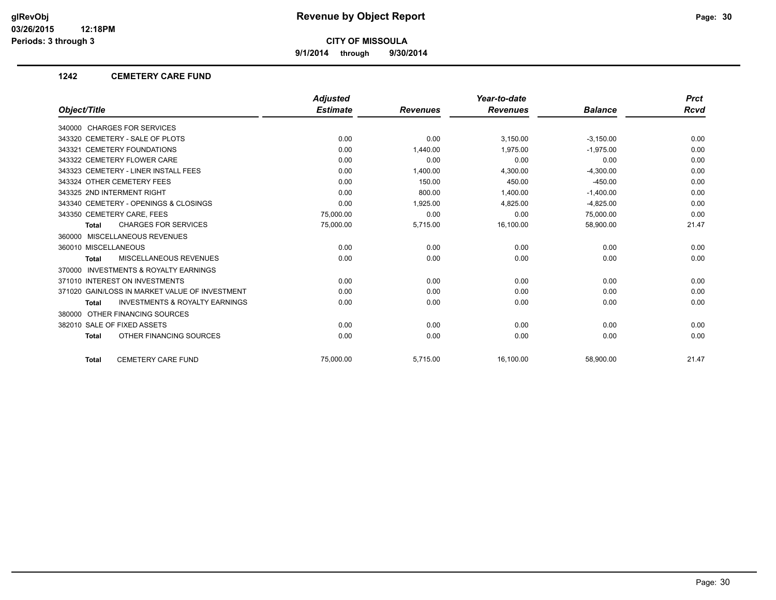**9/1/2014 through 9/30/2014**

#### **1242 CEMETERY CARE FUND**

|                                                           | <b>Adjusted</b> |                 | Year-to-date    |                | <b>Prct</b> |
|-----------------------------------------------------------|-----------------|-----------------|-----------------|----------------|-------------|
| Object/Title                                              | <b>Estimate</b> | <b>Revenues</b> | <b>Revenues</b> | <b>Balance</b> | <b>Rcvd</b> |
| 340000 CHARGES FOR SERVICES                               |                 |                 |                 |                |             |
| 343320 CEMETERY - SALE OF PLOTS                           | 0.00            | 0.00            | 3,150.00        | $-3,150.00$    | 0.00        |
| 343321 CEMETERY FOUNDATIONS                               | 0.00            | 1,440.00        | 1,975.00        | $-1,975.00$    | 0.00        |
| 343322 CEMETERY FLOWER CARE                               | 0.00            | 0.00            | 0.00            | 0.00           | 0.00        |
| 343323 CEMETERY - LINER INSTALL FEES                      | 0.00            | 1,400.00        | 4,300.00        | $-4,300.00$    | 0.00        |
| 343324 OTHER CEMETERY FEES                                | 0.00            | 150.00          | 450.00          | $-450.00$      | 0.00        |
| 343325 2ND INTERMENT RIGHT                                | 0.00            | 800.00          | 1,400.00        | $-1,400.00$    | 0.00        |
| 343340 CEMETERY - OPENINGS & CLOSINGS                     | 0.00            | 1,925.00        | 4,825.00        | $-4,825.00$    | 0.00        |
| 343350 CEMETERY CARE, FEES                                | 75,000.00       | 0.00            | 0.00            | 75,000.00      | 0.00        |
| <b>CHARGES FOR SERVICES</b><br><b>Total</b>               | 75,000.00       | 5,715.00        | 16,100.00       | 58,900.00      | 21.47       |
| 360000 MISCELLANEOUS REVENUES                             |                 |                 |                 |                |             |
| 360010 MISCELLANEOUS                                      | 0.00            | 0.00            | 0.00            | 0.00           | 0.00        |
| <b>MISCELLANEOUS REVENUES</b><br><b>Total</b>             | 0.00            | 0.00            | 0.00            | 0.00           | 0.00        |
| <b>INVESTMENTS &amp; ROYALTY EARNINGS</b><br>370000       |                 |                 |                 |                |             |
| 371010 INTEREST ON INVESTMENTS                            | 0.00            | 0.00            | 0.00            | 0.00           | 0.00        |
| 371020 GAIN/LOSS IN MARKET VALUE OF INVESTMENT            | 0.00            | 0.00            | 0.00            | 0.00           | 0.00        |
| <b>INVESTMENTS &amp; ROYALTY EARNINGS</b><br><b>Total</b> | 0.00            | 0.00            | 0.00            | 0.00           | 0.00        |
| 380000 OTHER FINANCING SOURCES                            |                 |                 |                 |                |             |
| 382010 SALE OF FIXED ASSETS                               | 0.00            | 0.00            | 0.00            | 0.00           | 0.00        |
| OTHER FINANCING SOURCES<br><b>Total</b>                   | 0.00            | 0.00            | 0.00            | 0.00           | 0.00        |
| <b>CEMETERY CARE FUND</b><br><b>Total</b>                 | 75.000.00       | 5,715.00        | 16,100.00       | 58,900.00      | 21.47       |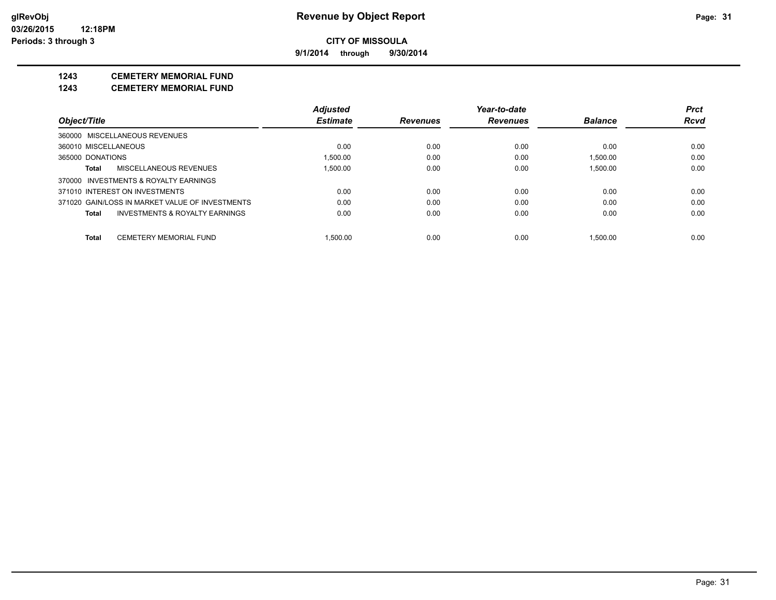**9/1/2014 through 9/30/2014**

## **1243 CEMETERY MEMORIAL FUND**

**1243 CEMETERY MEMORIAL FUND**

|                      |                                                 | <b>Adjusted</b> |                 | Year-to-date    |                | <b>Prct</b> |
|----------------------|-------------------------------------------------|-----------------|-----------------|-----------------|----------------|-------------|
| Object/Title         |                                                 | <b>Estimate</b> | <b>Revenues</b> | <b>Revenues</b> | <b>Balance</b> | <b>Rcvd</b> |
|                      | 360000 MISCELLANEOUS REVENUES                   |                 |                 |                 |                |             |
| 360010 MISCELLANEOUS |                                                 | 0.00            | 0.00            | 0.00            | 0.00           | 0.00        |
| 365000 DONATIONS     |                                                 | 1.500.00        | 0.00            | 0.00            | 1.500.00       | 0.00        |
| Total                | MISCELLANEOUS REVENUES                          | 1.500.00        | 0.00            | 0.00            | 1.500.00       | 0.00        |
|                      | 370000 INVESTMENTS & ROYALTY EARNINGS           |                 |                 |                 |                |             |
|                      | 371010 INTEREST ON INVESTMENTS                  | 0.00            | 0.00            | 0.00            | 0.00           | 0.00        |
|                      | 371020 GAIN/LOSS IN MARKET VALUE OF INVESTMENTS | 0.00            | 0.00            | 0.00            | 0.00           | 0.00        |
| Total                | INVESTMENTS & ROYALTY EARNINGS                  | 0.00            | 0.00            | 0.00            | 0.00           | 0.00        |
| Total                | <b>CEMETERY MEMORIAL FUND</b>                   | 1.500.00        | 0.00            | 0.00            | 1.500.00       | 0.00        |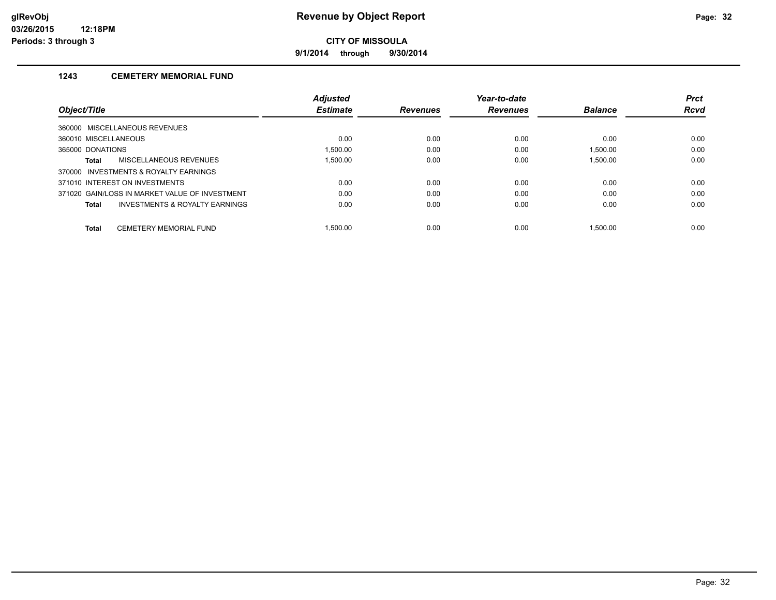**9/1/2014 through 9/30/2014**

### **1243 CEMETERY MEMORIAL FUND**

|                      |                                                | <b>Adjusted</b> |                 | Year-to-date    |                | <b>Prct</b> |
|----------------------|------------------------------------------------|-----------------|-----------------|-----------------|----------------|-------------|
| Object/Title         |                                                | <b>Estimate</b> | <b>Revenues</b> | <b>Revenues</b> | <b>Balance</b> | <b>Rcvd</b> |
|                      | 360000 MISCELLANEOUS REVENUES                  |                 |                 |                 |                |             |
| 360010 MISCELLANEOUS |                                                | 0.00            | 0.00            | 0.00            | 0.00           | 0.00        |
| 365000 DONATIONS     |                                                | 1.500.00        | 0.00            | 0.00            | 1.500.00       | 0.00        |
| Total                | MISCELLANEOUS REVENUES                         | 1.500.00        | 0.00            | 0.00            | 1.500.00       | 0.00        |
|                      | 370000 INVESTMENTS & ROYALTY EARNINGS          |                 |                 |                 |                |             |
|                      | 371010 INTEREST ON INVESTMENTS                 | 0.00            | 0.00            | 0.00            | 0.00           | 0.00        |
|                      | 371020 GAIN/LOSS IN MARKET VALUE OF INVESTMENT | 0.00            | 0.00            | 0.00            | 0.00           | 0.00        |
| Total                | <b>INVESTMENTS &amp; ROYALTY EARNINGS</b>      | 0.00            | 0.00            | 0.00            | 0.00           | 0.00        |
| <b>Total</b>         | CEMETERY MEMORIAL FUND                         | .500.00         | 0.00            | 0.00            | 1.500.00       | 0.00        |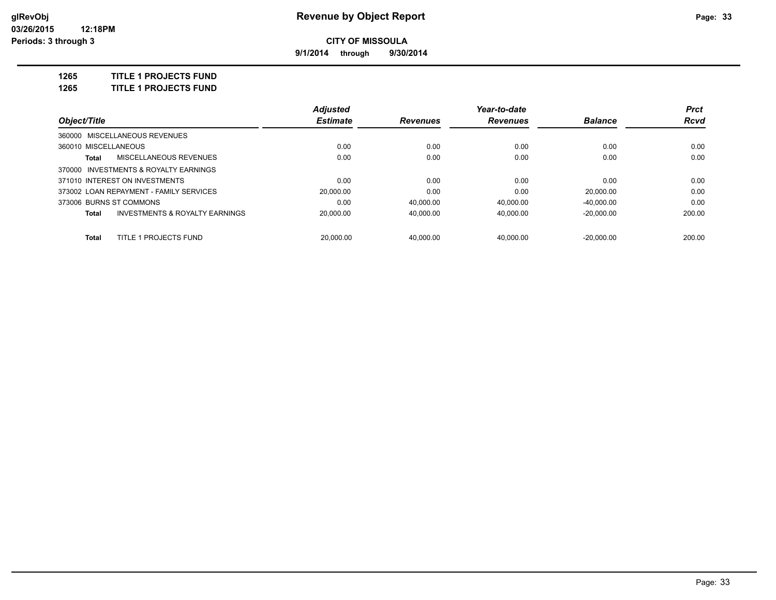**9/1/2014 through 9/30/2014**

**1265 TITLE 1 PROJECTS FUND**

**1265 TITLE 1 PROJECTS FUND**

|                         |                                           | <b>Adjusted</b> |                 | Year-to-date    |                | <b>Prct</b> |
|-------------------------|-------------------------------------------|-----------------|-----------------|-----------------|----------------|-------------|
| Object/Title            |                                           | <b>Estimate</b> | <b>Revenues</b> | <b>Revenues</b> | <b>Balance</b> | Rcvd        |
|                         | 360000 MISCELLANEOUS REVENUES             |                 |                 |                 |                |             |
| 360010 MISCELLANEOUS    |                                           | 0.00            | 0.00            | 0.00            | 0.00           | 0.00        |
| Total                   | MISCELLANEOUS REVENUES                    | 0.00            | 0.00            | 0.00            | 0.00           | 0.00        |
|                         | 370000 INVESTMENTS & ROYALTY EARNINGS     |                 |                 |                 |                |             |
|                         | 371010 INTEREST ON INVESTMENTS            | 0.00            | 0.00            | 0.00            | 0.00           | 0.00        |
|                         | 373002 LOAN REPAYMENT - FAMILY SERVICES   | 20.000.00       | 0.00            | 0.00            | 20.000.00      | 0.00        |
| 373006 BURNS ST COMMONS |                                           | 0.00            | 40.000.00       | 40.000.00       | $-40.000.00$   | 0.00        |
| Total                   | <b>INVESTMENTS &amp; ROYALTY EARNINGS</b> | 20,000.00       | 40,000.00       | 40.000.00       | $-20.000.00$   | 200.00      |
| Total                   | TITLE 1 PROJECTS FUND                     | 20.000.00       | 40.000.00       | 40.000.00       | $-20.000.00$   | 200.00      |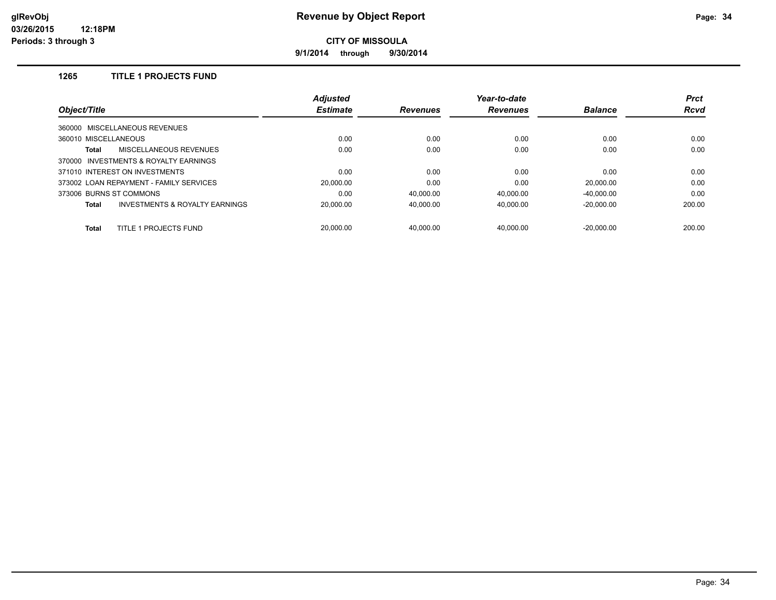**9/1/2014 through 9/30/2014**

## **1265 TITLE 1 PROJECTS FUND**

| Object/Title                            | <b>Adjusted</b> |                 | Year-to-date    |                | <b>Prct</b> |
|-----------------------------------------|-----------------|-----------------|-----------------|----------------|-------------|
|                                         | <b>Estimate</b> | <b>Revenues</b> | <b>Revenues</b> | <b>Balance</b> | <b>Rcvd</b> |
| 360000 MISCELLANEOUS REVENUES           |                 |                 |                 |                |             |
| 360010 MISCELLANEOUS                    | 0.00            | 0.00            | 0.00            | 0.00           | 0.00        |
| MISCELLANEOUS REVENUES<br><b>Total</b>  | 0.00            | 0.00            | 0.00            | 0.00           | 0.00        |
| 370000 INVESTMENTS & ROYALTY EARNINGS   |                 |                 |                 |                |             |
| 371010 INTEREST ON INVESTMENTS          | 0.00            | 0.00            | 0.00            | 0.00           | 0.00        |
| 373002 LOAN REPAYMENT - FAMILY SERVICES | 20,000.00       | 0.00            | 0.00            | 20,000.00      | 0.00        |
| 373006 BURNS ST COMMONS                 | 0.00            | 40.000.00       | 40.000.00       | $-40.000.00$   | 0.00        |
| INVESTMENTS & ROYALTY EARNINGS<br>Total | 20.000.00       | 40.000.00       | 40.000.00       | $-20.000.00$   | 200.00      |
| TITLE 1 PROJECTS FUND<br><b>Total</b>   | 20.000.00       | 40.000.00       | 40.000.00       | $-20.000.00$   | 200.00      |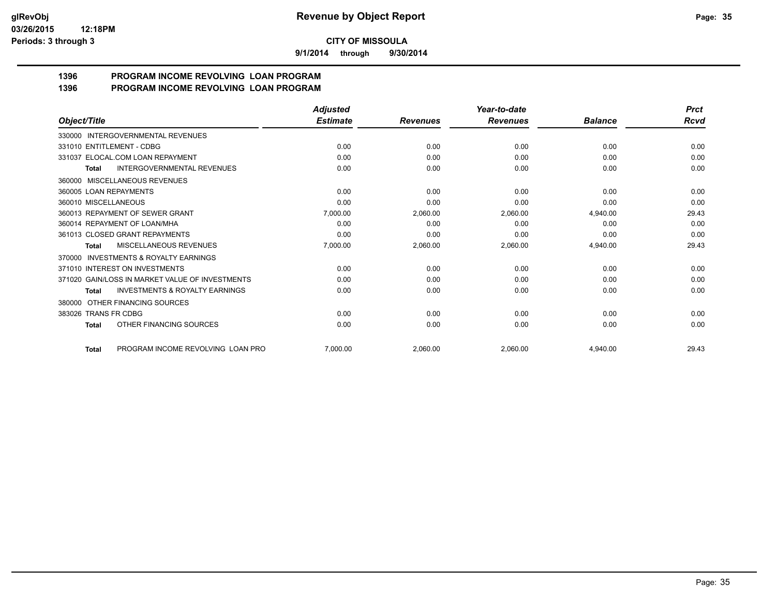**9/1/2014 through 9/30/2014**

#### **1396 PROGRAM INCOME REVOLVING LOAN PROGRAM 1396 PROGRAM INCOME REVOLVING LOAN PROGRAM**

| Object/Title                                              | <b>Adjusted</b> |                 | Year-to-date<br><b>Revenues</b> | <b>Balance</b> | <b>Prct</b><br>Rcvd |
|-----------------------------------------------------------|-----------------|-----------------|---------------------------------|----------------|---------------------|
|                                                           | <b>Estimate</b> | <b>Revenues</b> |                                 |                |                     |
| <b>INTERGOVERNMENTAL REVENUES</b><br>330000               |                 |                 |                                 |                |                     |
| 331010 ENTITLEMENT - CDBG                                 | 0.00            | 0.00            | 0.00                            | 0.00           | 0.00                |
| 331037 ELOCAL.COM LOAN REPAYMENT                          | 0.00            | 0.00            | 0.00                            | 0.00           | 0.00                |
| <b>INTERGOVERNMENTAL REVENUES</b><br><b>Total</b>         | 0.00            | 0.00            | 0.00                            | 0.00           | 0.00                |
| MISCELLANEOUS REVENUES<br>360000                          |                 |                 |                                 |                |                     |
| 360005 LOAN REPAYMENTS                                    | 0.00            | 0.00            | 0.00                            | 0.00           | 0.00                |
| 360010 MISCELLANEOUS                                      | 0.00            | 0.00            | 0.00                            | 0.00           | 0.00                |
| 360013 REPAYMENT OF SEWER GRANT                           | 7.000.00        | 2.060.00        | 2,060.00                        | 4,940.00       | 29.43               |
| 360014 REPAYMENT OF LOAN/MHA                              | 0.00            | 0.00            | 0.00                            | 0.00           | 0.00                |
| 361013 CLOSED GRANT REPAYMENTS                            | 0.00            | 0.00            | 0.00                            | 0.00           | 0.00                |
| <b>MISCELLANEOUS REVENUES</b><br><b>Total</b>             | 7,000.00        | 2,060.00        | 2,060.00                        | 4,940.00       | 29.43               |
| <b>INVESTMENTS &amp; ROYALTY EARNINGS</b><br>370000       |                 |                 |                                 |                |                     |
| 371010 INTEREST ON INVESTMENTS                            | 0.00            | 0.00            | 0.00                            | 0.00           | 0.00                |
| 371020 GAIN/LOSS IN MARKET VALUE OF INVESTMENTS           | 0.00            | 0.00            | 0.00                            | 0.00           | 0.00                |
| <b>INVESTMENTS &amp; ROYALTY EARNINGS</b><br><b>Total</b> | 0.00            | 0.00            | 0.00                            | 0.00           | 0.00                |
| OTHER FINANCING SOURCES<br>380000                         |                 |                 |                                 |                |                     |
| 383026 TRANS FR CDBG                                      | 0.00            | 0.00            | 0.00                            | 0.00           | 0.00                |
| OTHER FINANCING SOURCES<br><b>Total</b>                   | 0.00            | 0.00            | 0.00                            | 0.00           | 0.00                |
| PROGRAM INCOME REVOLVING LOAN PRO<br><b>Total</b>         | 7,000.00        | 2.060.00        | 2.060.00                        | 4.940.00       | 29.43               |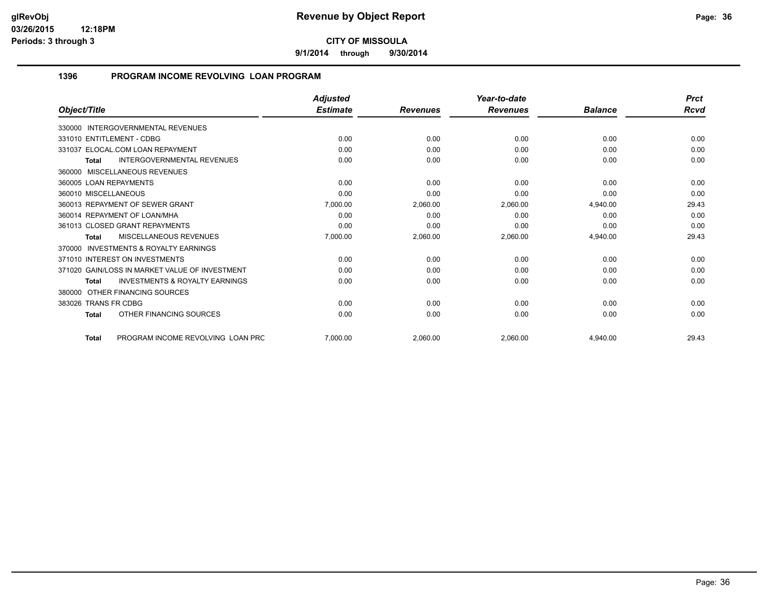**9/1/2014 through 9/30/2014**

### **1396 PROGRAM INCOME REVOLVING LOAN PROGRAM**

|                                                    | <b>Adjusted</b> |                 | Year-to-date<br><b>Revenues</b> | <b>Balance</b> | <b>Prct</b><br>Rcvd |
|----------------------------------------------------|-----------------|-----------------|---------------------------------|----------------|---------------------|
| Object/Title                                       | <b>Estimate</b> | <b>Revenues</b> |                                 |                |                     |
| 330000 INTERGOVERNMENTAL REVENUES                  |                 |                 |                                 |                |                     |
| 331010 ENTITLEMENT - CDBG                          | 0.00            | 0.00            | 0.00                            | 0.00           | 0.00                |
| 331037 ELOCAL.COM LOAN REPAYMENT                   | 0.00            | 0.00            | 0.00                            | 0.00           | 0.00                |
| <b>INTERGOVERNMENTAL REVENUES</b><br>Total         | 0.00            | 0.00            | 0.00                            | 0.00           | 0.00                |
| 360000 MISCELLANEOUS REVENUES                      |                 |                 |                                 |                |                     |
| 360005 LOAN REPAYMENTS                             | 0.00            | 0.00            | 0.00                            | 0.00           | 0.00                |
| 360010 MISCELLANEOUS                               | 0.00            | 0.00            | 0.00                            | 0.00           | 0.00                |
| 360013 REPAYMENT OF SEWER GRANT                    | 7,000.00        | 2,060.00        | 2,060.00                        | 4,940.00       | 29.43               |
| 360014 REPAYMENT OF LOAN/MHA                       | 0.00            | 0.00            | 0.00                            | 0.00           | 0.00                |
| 361013 CLOSED GRANT REPAYMENTS                     | 0.00            | 0.00            | 0.00                            | 0.00           | 0.00                |
| <b>MISCELLANEOUS REVENUES</b><br>Total             | 7,000.00        | 2,060.00        | 2,060.00                        | 4,940.00       | 29.43               |
| INVESTMENTS & ROYALTY EARNINGS<br>370000           |                 |                 |                                 |                |                     |
| 371010 INTEREST ON INVESTMENTS                     | 0.00            | 0.00            | 0.00                            | 0.00           | 0.00                |
| 371020 GAIN/LOSS IN MARKET VALUE OF INVESTMENT     | 0.00            | 0.00            | 0.00                            | 0.00           | 0.00                |
| <b>INVESTMENTS &amp; ROYALTY EARNINGS</b><br>Total | 0.00            | 0.00            | 0.00                            | 0.00           | 0.00                |
| OTHER FINANCING SOURCES<br>380000                  |                 |                 |                                 |                |                     |
| 383026 TRANS FR CDBG                               | 0.00            | 0.00            | 0.00                            | 0.00           | 0.00                |
| OTHER FINANCING SOURCES<br>Total                   | 0.00            | 0.00            | 0.00                            | 0.00           | 0.00                |
| PROGRAM INCOME REVOLVING LOAN PRC<br>Total         | 7.000.00        | 2.060.00        | 2.060.00                        | 4.940.00       | 29.43               |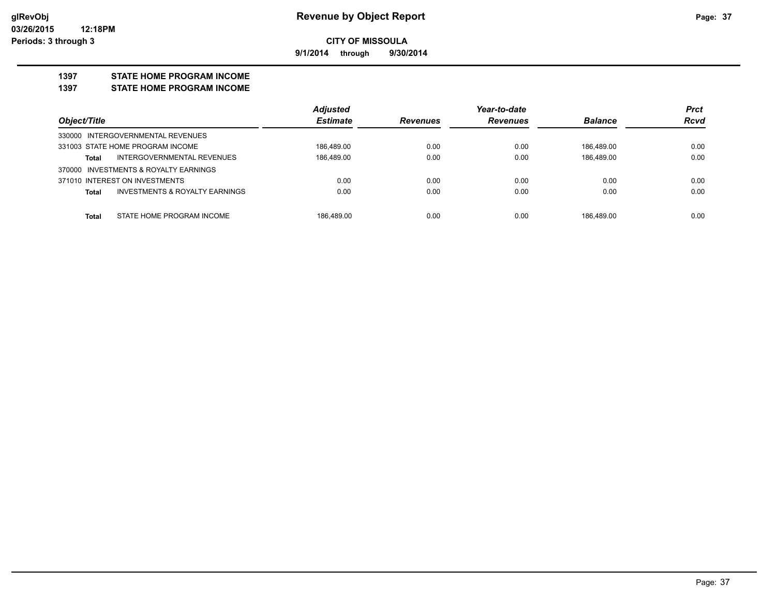**9/1/2014 through 9/30/2014**

#### **1397 STATE HOME PROGRAM INCOME**

**1397 STATE HOME PROGRAM INCOME**

|                                                           | <b>Adjusted</b> |                 | Year-to-date    |                | Prct |
|-----------------------------------------------------------|-----------------|-----------------|-----------------|----------------|------|
| Object/Title                                              | <b>Estimate</b> | <b>Revenues</b> | <b>Revenues</b> | <b>Balance</b> | Rcvd |
| 330000 INTERGOVERNMENTAL REVENUES                         |                 |                 |                 |                |      |
| 331003 STATE HOME PROGRAM INCOME                          | 186.489.00      | 0.00            | 0.00            | 186.489.00     | 0.00 |
| INTERGOVERNMENTAL REVENUES<br><b>Total</b>                | 186.489.00      | 0.00            | 0.00            | 186.489.00     | 0.00 |
| 370000 INVESTMENTS & ROYALTY EARNINGS                     |                 |                 |                 |                |      |
| 371010 INTEREST ON INVESTMENTS                            | 0.00            | 0.00            | 0.00            | 0.00           | 0.00 |
| <b>INVESTMENTS &amp; ROYALTY EARNINGS</b><br><b>Total</b> | 0.00            | 0.00            | 0.00            | 0.00           | 0.00 |
| STATE HOME PROGRAM INCOME<br><b>Total</b>                 | 186.489.00      | 0.00            | 0.00            | 186.489.00     | 0.00 |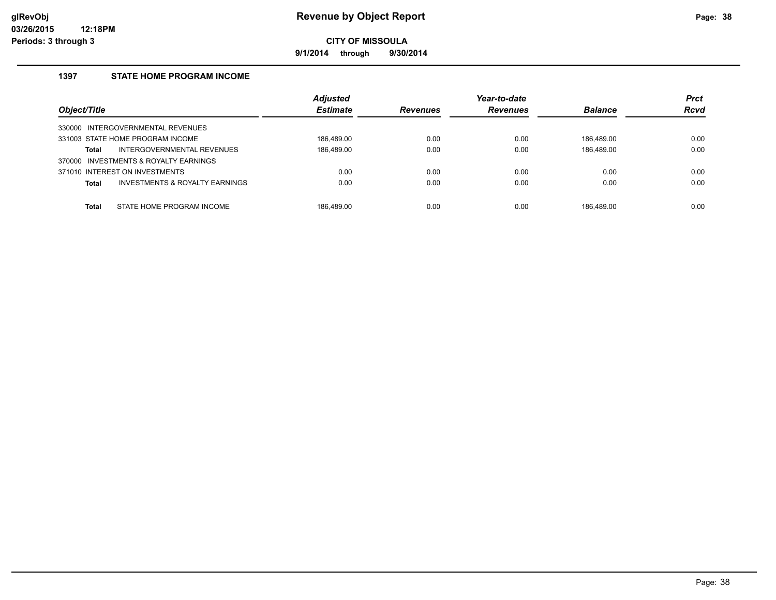**9/1/2014 through 9/30/2014**

### **1397 STATE HOME PROGRAM INCOME**

| Object/Title |                                           | <b>Adjusted</b><br><b>Estimate</b> | <b>Revenues</b> | Year-to-date<br><b>Revenues</b> | <b>Balance</b> | <b>Prct</b><br><b>Rcvd</b> |
|--------------|-------------------------------------------|------------------------------------|-----------------|---------------------------------|----------------|----------------------------|
|              |                                           |                                    |                 |                                 |                |                            |
|              | 330000 INTERGOVERNMENTAL REVENUES         |                                    |                 |                                 |                |                            |
|              | 331003 STATE HOME PROGRAM INCOME          | 186.489.00                         | 0.00            | 0.00                            | 186.489.00     | 0.00                       |
| Total        | INTERGOVERNMENTAL REVENUES                | 186,489.00                         | 0.00            | 0.00                            | 186,489.00     | 0.00                       |
|              | 370000 INVESTMENTS & ROYALTY EARNINGS     |                                    |                 |                                 |                |                            |
|              | 371010 INTEREST ON INVESTMENTS            | 0.00                               | 0.00            | 0.00                            | 0.00           | 0.00                       |
| Total        | <b>INVESTMENTS &amp; ROYALTY EARNINGS</b> | 0.00                               | 0.00            | 0.00                            | 0.00           | 0.00                       |
| <b>Total</b> | STATE HOME PROGRAM INCOME                 | 186.489.00                         | 0.00            | 0.00                            | 186.489.00     | 0.00                       |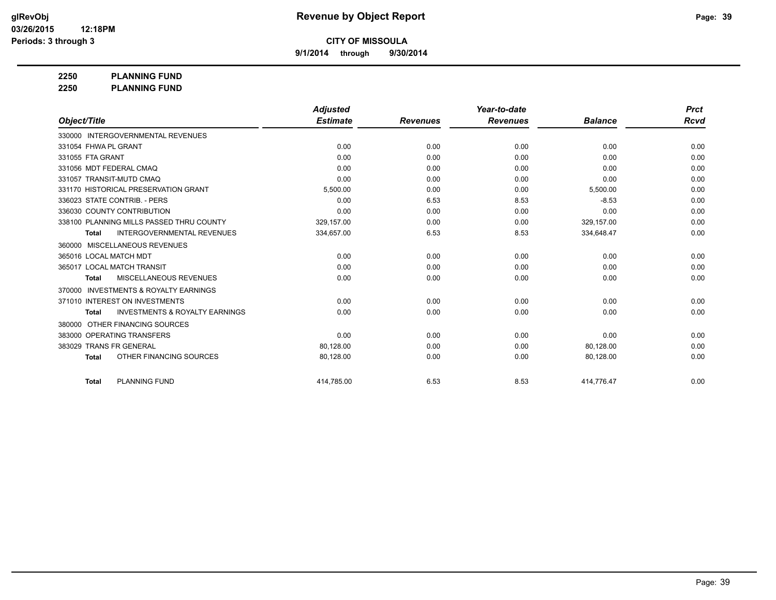**9/1/2014 through 9/30/2014**

**2250 PLANNING FUND**

**2250 PLANNING FUND**

|                                                           | <b>Adjusted</b> |                 | Year-to-date    |                | <b>Prct</b> |
|-----------------------------------------------------------|-----------------|-----------------|-----------------|----------------|-------------|
| Object/Title                                              | <b>Estimate</b> | <b>Revenues</b> | <b>Revenues</b> | <b>Balance</b> | <b>Rcvd</b> |
| 330000 INTERGOVERNMENTAL REVENUES                         |                 |                 |                 |                |             |
| 331054 FHWA PL GRANT                                      | 0.00            | 0.00            | 0.00            | 0.00           | 0.00        |
| 331055 FTA GRANT                                          | 0.00            | 0.00            | 0.00            | 0.00           | 0.00        |
| 331056 MDT FEDERAL CMAQ                                   | 0.00            | 0.00            | 0.00            | 0.00           | 0.00        |
| 331057 TRANSIT-MUTD CMAQ                                  | 0.00            | 0.00            | 0.00            | 0.00           | 0.00        |
| 331170 HISTORICAL PRESERVATION GRANT                      | 5,500.00        | 0.00            | 0.00            | 5,500.00       | 0.00        |
| 336023 STATE CONTRIB. - PERS                              | 0.00            | 6.53            | 8.53            | $-8.53$        | 0.00        |
| 336030 COUNTY CONTRIBUTION                                | 0.00            | 0.00            | 0.00            | 0.00           | 0.00        |
| 338100 PLANNING MILLS PASSED THRU COUNTY                  | 329.157.00      | 0.00            | 0.00            | 329.157.00     | 0.00        |
| <b>INTERGOVERNMENTAL REVENUES</b><br><b>Total</b>         | 334,657.00      | 6.53            | 8.53            | 334,648.47     | 0.00        |
| MISCELLANEOUS REVENUES<br>360000                          |                 |                 |                 |                |             |
| 365016 LOCAL MATCH MDT                                    | 0.00            | 0.00            | 0.00            | 0.00           | 0.00        |
| 365017 LOCAL MATCH TRANSIT                                | 0.00            | 0.00            | 0.00            | 0.00           | 0.00        |
| MISCELLANEOUS REVENUES<br><b>Total</b>                    | 0.00            | 0.00            | 0.00            | 0.00           | 0.00        |
| <b>INVESTMENTS &amp; ROYALTY EARNINGS</b><br>370000       |                 |                 |                 |                |             |
| 371010 INTEREST ON INVESTMENTS                            | 0.00            | 0.00            | 0.00            | 0.00           | 0.00        |
| <b>INVESTMENTS &amp; ROYALTY EARNINGS</b><br><b>Total</b> | 0.00            | 0.00            | 0.00            | 0.00           | 0.00        |
| OTHER FINANCING SOURCES<br>380000                         |                 |                 |                 |                |             |
| 383000 OPERATING TRANSFERS                                | 0.00            | 0.00            | 0.00            | 0.00           | 0.00        |
| 383029 TRANS FR GENERAL                                   | 80,128.00       | 0.00            | 0.00            | 80,128.00      | 0.00        |
| OTHER FINANCING SOURCES<br><b>Total</b>                   | 80,128.00       | 0.00            | 0.00            | 80,128.00      | 0.00        |
|                                                           |                 |                 |                 |                |             |
| <b>PLANNING FUND</b><br><b>Total</b>                      | 414,785.00      | 6.53            | 8.53            | 414,776.47     | 0.00        |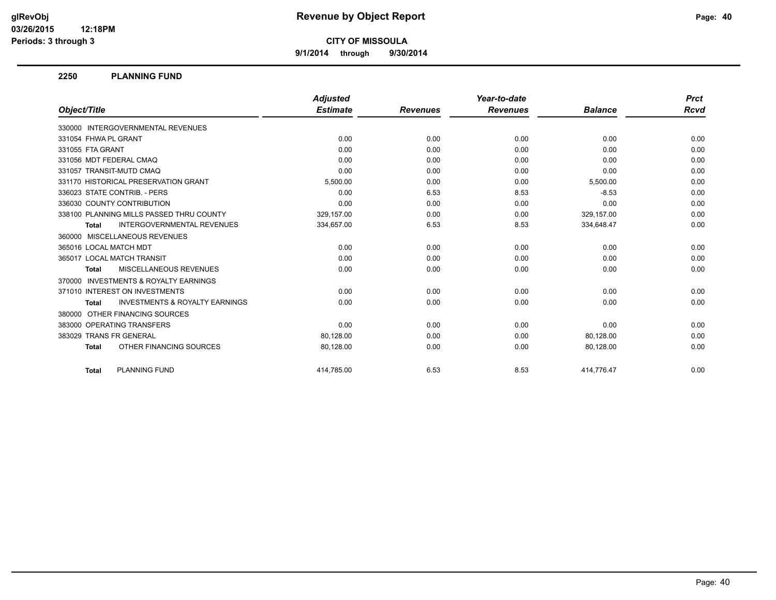**9/1/2014 through 9/30/2014**

#### **2250 PLANNING FUND**

|                                                           | <b>Adjusted</b> |                 | Year-to-date    |                | <b>Prct</b> |
|-----------------------------------------------------------|-----------------|-----------------|-----------------|----------------|-------------|
| Object/Title                                              | <b>Estimate</b> | <b>Revenues</b> | <b>Revenues</b> | <b>Balance</b> | Rcvd        |
| 330000 INTERGOVERNMENTAL REVENUES                         |                 |                 |                 |                |             |
| 331054 FHWA PL GRANT                                      | 0.00            | 0.00            | 0.00            | 0.00           | 0.00        |
| 331055 FTA GRANT                                          | 0.00            | 0.00            | 0.00            | 0.00           | 0.00        |
| 331056 MDT FEDERAL CMAQ                                   | 0.00            | 0.00            | 0.00            | 0.00           | 0.00        |
| 331057 TRANSIT-MUTD CMAQ                                  | 0.00            | 0.00            | 0.00            | 0.00           | 0.00        |
| 331170 HISTORICAL PRESERVATION GRANT                      | 5,500.00        | 0.00            | 0.00            | 5,500.00       | 0.00        |
| 336023 STATE CONTRIB. - PERS                              | 0.00            | 6.53            | 8.53            | $-8.53$        | 0.00        |
| 336030 COUNTY CONTRIBUTION                                | 0.00            | 0.00            | 0.00            | 0.00           | 0.00        |
| 338100 PLANNING MILLS PASSED THRU COUNTY                  | 329,157.00      | 0.00            | 0.00            | 329,157.00     | 0.00        |
| <b>INTERGOVERNMENTAL REVENUES</b><br><b>Total</b>         | 334,657.00      | 6.53            | 8.53            | 334,648.47     | 0.00        |
| 360000 MISCELLANEOUS REVENUES                             |                 |                 |                 |                |             |
| 365016 LOCAL MATCH MDT                                    | 0.00            | 0.00            | 0.00            | 0.00           | 0.00        |
| 365017 LOCAL MATCH TRANSIT                                | 0.00            | 0.00            | 0.00            | 0.00           | 0.00        |
| MISCELLANEOUS REVENUES<br><b>Total</b>                    | 0.00            | 0.00            | 0.00            | 0.00           | 0.00        |
| 370000 INVESTMENTS & ROYALTY EARNINGS                     |                 |                 |                 |                |             |
| 371010 INTEREST ON INVESTMENTS                            | 0.00            | 0.00            | 0.00            | 0.00           | 0.00        |
| <b>INVESTMENTS &amp; ROYALTY EARNINGS</b><br><b>Total</b> | 0.00            | 0.00            | 0.00            | 0.00           | 0.00        |
| 380000 OTHER FINANCING SOURCES                            |                 |                 |                 |                |             |
| 383000 OPERATING TRANSFERS                                | 0.00            | 0.00            | 0.00            | 0.00           | 0.00        |
| 383029 TRANS FR GENERAL                                   | 80.128.00       | 0.00            | 0.00            | 80,128.00      | 0.00        |
| OTHER FINANCING SOURCES<br><b>Total</b>                   | 80,128.00       | 0.00            | 0.00            | 80,128.00      | 0.00        |
| <b>PLANNING FUND</b><br><b>Total</b>                      | 414.785.00      | 6.53            | 8.53            | 414.776.47     | 0.00        |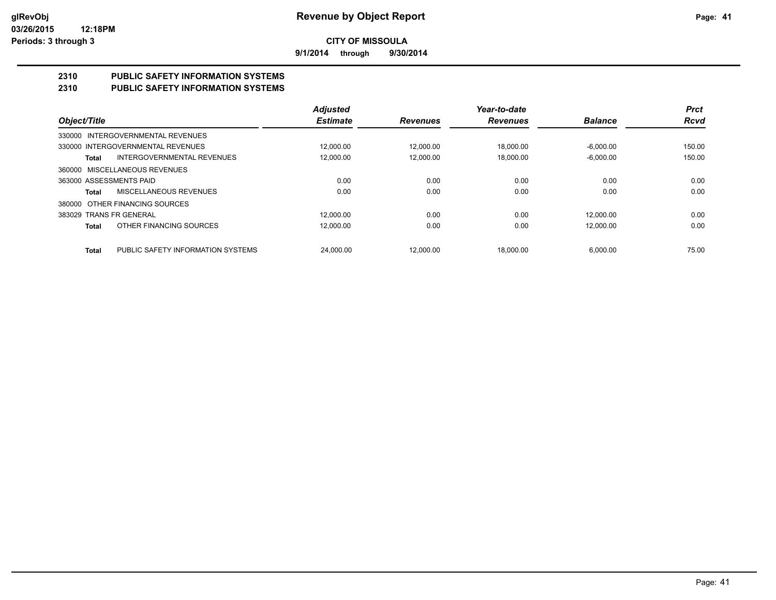**9/1/2014 through 9/30/2014**

#### **2310 PUBLIC SAFETY INFORMATION SYSTEMS 2310 PUBLIC SAFETY INFORMATION SYSTEMS**

#### *Object/Title Adjusted Estimate Revenues Year-to-date Revenues Balance Prct Rcvd* 330000 INTERGOVERNMENTAL REVENUES 330000 INTERGOVERNMENTAL REVENUES 12,000.00 12,000.00 150.00 **Total** INTERGOVERNMENTAL REVENUES 12,000.00 12,000.00 18,000.00 -6,000.00 150.00 360000 MISCELLANEOUS REVENUES 363000 ASSESSMENTS PAID 0.00 0.00 0.00 0.00 0.00 **Total** MISCELLANEOUS REVENUES 0.00 0.00 0.00 0.00 0.00 380000 OTHER FINANCING SOURCES 383029 TRANS FR GENERAL 12,000.00 0.00 0.00 12,000.00 0.00 **Total OTHER FINANCING SOURCES** 12,000.00 0.00 0.00 0.00 0.00 12,000.00 0.00 0.00 0.00 **Total** PUBLIC SAFETY INFORMATION SYSTEMS 24,000.00 12,000.00 18,000.00 6,000.00 75.00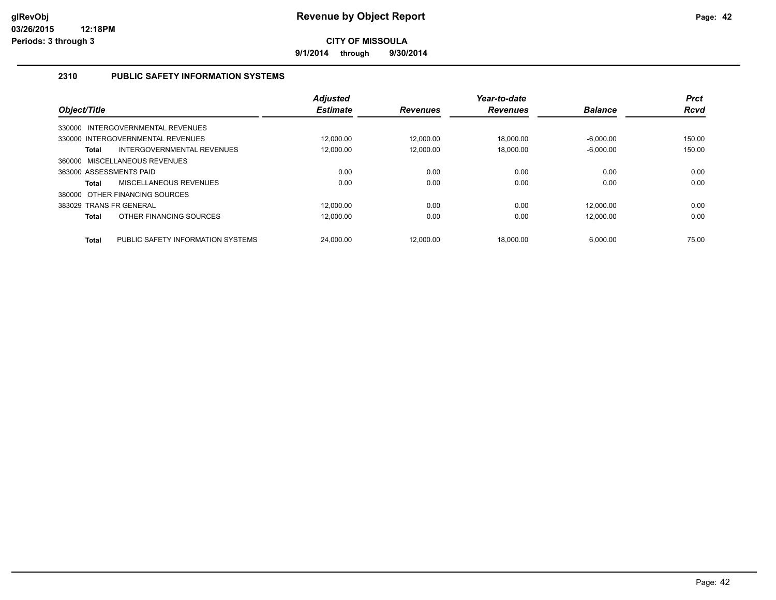**9/1/2014 through 9/30/2014**

### **2310 PUBLIC SAFETY INFORMATION SYSTEMS**

| Object/Title                                      | <b>Adjusted</b><br><b>Estimate</b> | <b>Revenues</b> | Year-to-date<br><b>Revenues</b> | <b>Balance</b> | <b>Prct</b><br><b>Rcvd</b> |
|---------------------------------------------------|------------------------------------|-----------------|---------------------------------|----------------|----------------------------|
| 330000 INTERGOVERNMENTAL REVENUES                 |                                    |                 |                                 |                |                            |
| 330000 INTERGOVERNMENTAL REVENUES                 | 12.000.00                          | 12.000.00       | 18.000.00                       | $-6.000.00$    | 150.00                     |
| INTERGOVERNMENTAL REVENUES<br><b>Total</b>        | 12.000.00                          | 12.000.00       | 18.000.00                       | $-6.000.00$    | 150.00                     |
| 360000 MISCELLANEOUS REVENUES                     |                                    |                 |                                 |                |                            |
| 363000 ASSESSMENTS PAID                           | 0.00                               | 0.00            | 0.00                            | 0.00           | 0.00                       |
| MISCELLANEOUS REVENUES<br><b>Total</b>            | 0.00                               | 0.00            | 0.00                            | 0.00           | 0.00                       |
| 380000 OTHER FINANCING SOURCES                    |                                    |                 |                                 |                |                            |
| 383029 TRANS FR GENERAL                           | 12.000.00                          | 0.00            | 0.00                            | 12.000.00      | 0.00                       |
| OTHER FINANCING SOURCES<br><b>Total</b>           | 12.000.00                          | 0.00            | 0.00                            | 12.000.00      | 0.00                       |
| PUBLIC SAFETY INFORMATION SYSTEMS<br><b>Total</b> | 24.000.00                          | 12.000.00       | 18.000.00                       | 6.000.00       | 75.00                      |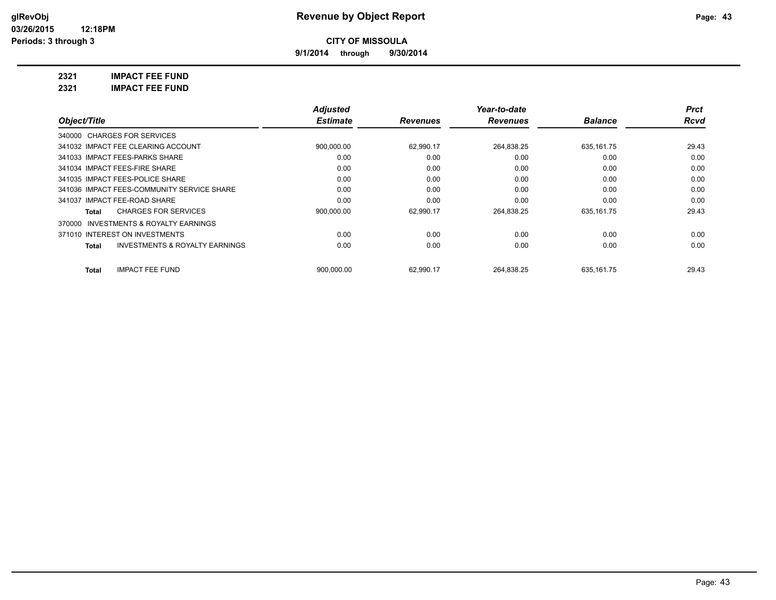**9/1/2014 through 9/30/2014**

**2321 IMPACT FEE FUND**

**2321 IMPACT FEE FUND**

|                                                           | <b>Adjusted</b> |                 | Year-to-date    |                | <b>Prct</b> |
|-----------------------------------------------------------|-----------------|-----------------|-----------------|----------------|-------------|
| Object/Title                                              | <b>Estimate</b> | <b>Revenues</b> | <b>Revenues</b> | <b>Balance</b> | Rcvd        |
| 340000 CHARGES FOR SERVICES                               |                 |                 |                 |                |             |
| 341032 IMPACT FEE CLEARING ACCOUNT                        | 900,000.00      | 62,990.17       | 264,838.25      | 635.161.75     | 29.43       |
| 341033 IMPACT FEES-PARKS SHARE                            | 0.00            | 0.00            | 0.00            | 0.00           | 0.00        |
| 341034 IMPACT FEES-FIRE SHARE                             | 0.00            | 0.00            | 0.00            | 0.00           | 0.00        |
| 341035 IMPACT FEES-POLICE SHARE                           | 0.00            | 0.00            | 0.00            | 0.00           | 0.00        |
| 341036 IMPACT FEES-COMMUNITY SERVICE SHARE                | 0.00            | 0.00            | 0.00            | 0.00           | 0.00        |
| 341037 IMPACT FEE-ROAD SHARE                              | 0.00            | 0.00            | 0.00            | 0.00           | 0.00        |
| <b>CHARGES FOR SERVICES</b><br>Total                      | 900,000.00      | 62,990.17       | 264,838.25      | 635,161.75     | 29.43       |
| 370000 INVESTMENTS & ROYALTY EARNINGS                     |                 |                 |                 |                |             |
| 371010 INTEREST ON INVESTMENTS                            | 0.00            | 0.00            | 0.00            | 0.00           | 0.00        |
| <b>INVESTMENTS &amp; ROYALTY EARNINGS</b><br><b>Total</b> | 0.00            | 0.00            | 0.00            | 0.00           | 0.00        |
| <b>IMPACT FEE FUND</b><br><b>Total</b>                    | 900.000.00      | 62.990.17       | 264.838.25      | 635.161.75     | 29.43       |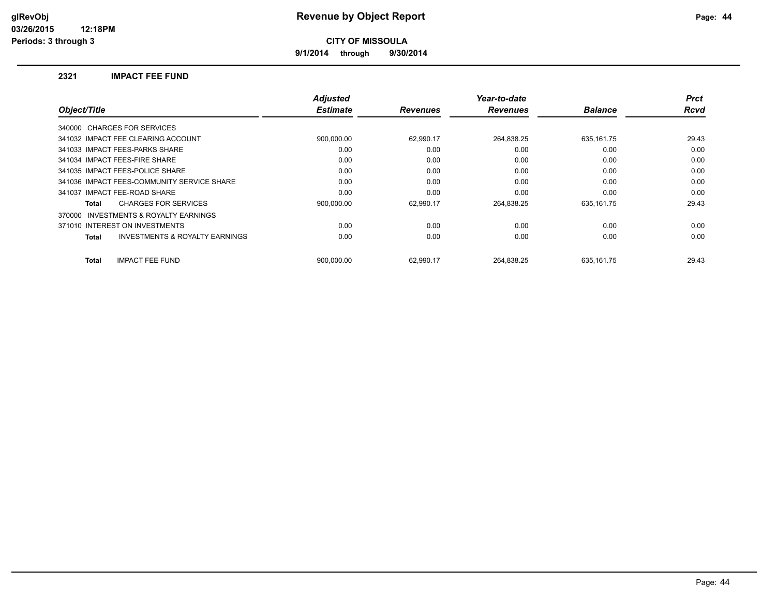**9/1/2014 through 9/30/2014**

#### **2321 IMPACT FEE FUND**

|                                                     | <b>Adjusted</b> |                 | Year-to-date    |                | <b>Prct</b> |
|-----------------------------------------------------|-----------------|-----------------|-----------------|----------------|-------------|
| Object/Title                                        | <b>Estimate</b> | <b>Revenues</b> | <b>Revenues</b> | <b>Balance</b> | <b>Rcvd</b> |
| 340000 CHARGES FOR SERVICES                         |                 |                 |                 |                |             |
| 341032 IMPACT FEE CLEARING ACCOUNT                  | 900,000.00      | 62.990.17       | 264,838.25      | 635,161.75     | 29.43       |
| 341033 IMPACT FEES-PARKS SHARE                      | 0.00            | 0.00            | 0.00            | 0.00           | 0.00        |
| 341034 IMPACT FEES-FIRE SHARE                       | 0.00            | 0.00            | 0.00            | 0.00           | 0.00        |
| 341035 IMPACT FEES-POLICE SHARE                     | 0.00            | 0.00            | 0.00            | 0.00           | 0.00        |
| 341036 IMPACT FEES-COMMUNITY SERVICE SHARE          | 0.00            | 0.00            | 0.00            | 0.00           | 0.00        |
| 341037 IMPACT FEE-ROAD SHARE                        | 0.00            | 0.00            | 0.00            | 0.00           | 0.00        |
| <b>CHARGES FOR SERVICES</b><br>Total                | 900,000.00      | 62,990.17       | 264,838.25      | 635,161.75     | 29.43       |
| <b>INVESTMENTS &amp; ROYALTY EARNINGS</b><br>370000 |                 |                 |                 |                |             |
| 371010 INTEREST ON INVESTMENTS                      | 0.00            | 0.00            | 0.00            | 0.00           | 0.00        |
| <b>INVESTMENTS &amp; ROYALTY EARNINGS</b><br>Total  | 0.00            | 0.00            | 0.00            | 0.00           | 0.00        |
| <b>IMPACT FEE FUND</b><br><b>Total</b>              | 900,000.00      | 62.990.17       | 264,838.25      | 635, 161.75    | 29.43       |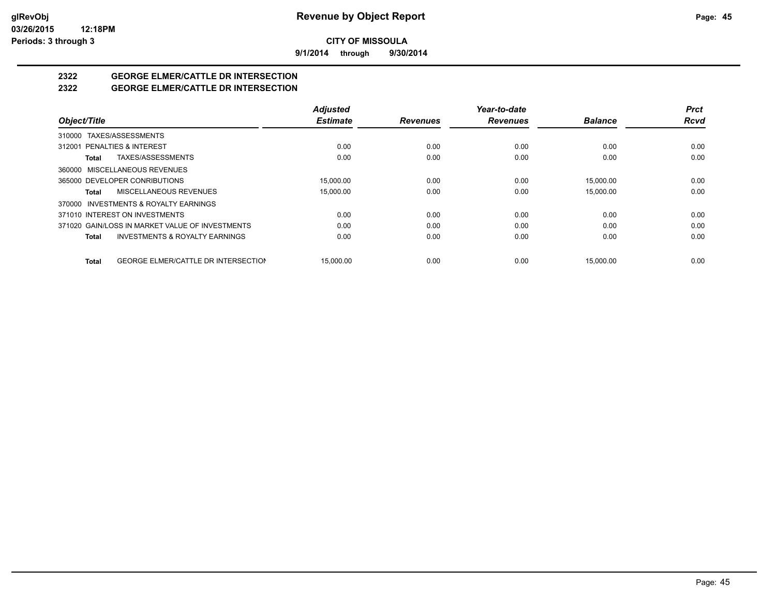**9/1/2014 through 9/30/2014**

# **2322 GEORGE ELMER/CATTLE DR INTERSECTION**

## **2322 GEORGE ELMER/CATTLE DR INTERSECTION**

|                                                            | <b>Adjusted</b> |                 | Year-to-date    |                | <b>Prct</b> |
|------------------------------------------------------------|-----------------|-----------------|-----------------|----------------|-------------|
| Object/Title                                               | <b>Estimate</b> | <b>Revenues</b> | <b>Revenues</b> | <b>Balance</b> | Rcvd        |
| 310000 TAXES/ASSESSMENTS                                   |                 |                 |                 |                |             |
| 312001 PENALTIES & INTEREST                                | 0.00            | 0.00            | 0.00            | 0.00           | 0.00        |
| TAXES/ASSESSMENTS<br>Total                                 | 0.00            | 0.00            | 0.00            | 0.00           | 0.00        |
| 360000 MISCELLANEOUS REVENUES                              |                 |                 |                 |                |             |
| 365000 DEVELOPER CONRIBUTIONS                              | 15.000.00       | 0.00            | 0.00            | 15.000.00      | 0.00        |
| MISCELLANEOUS REVENUES<br>Total                            | 15.000.00       | 0.00            | 0.00            | 15.000.00      | 0.00        |
| 370000 INVESTMENTS & ROYALTY EARNINGS                      |                 |                 |                 |                |             |
| 371010 INTEREST ON INVESTMENTS                             | 0.00            | 0.00            | 0.00            | 0.00           | 0.00        |
| 371020 GAIN/LOSS IN MARKET VALUE OF INVESTMENTS            | 0.00            | 0.00            | 0.00            | 0.00           | 0.00        |
| <b>INVESTMENTS &amp; ROYALTY EARNINGS</b><br>Total         | 0.00            | 0.00            | 0.00            | 0.00           | 0.00        |
| <b>GEORGE ELMER/CATTLE DR INTERSECTION</b><br><b>Total</b> | 15.000.00       | 0.00            | 0.00            | 15.000.00      | 0.00        |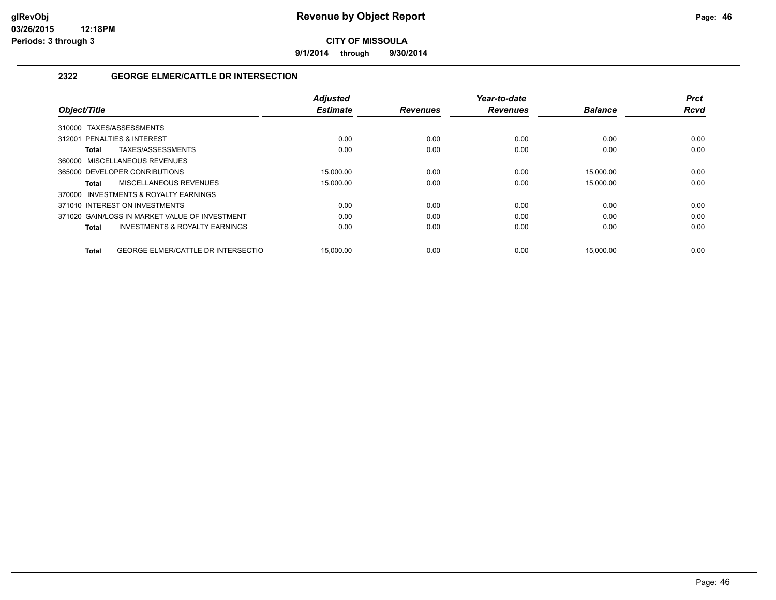**9/1/2014 through 9/30/2014**

### **2322 GEORGE ELMER/CATTLE DR INTERSECTION**

|                                                     | <b>Adjusted</b> |                 | Year-to-date    |                | <b>Prct</b> |
|-----------------------------------------------------|-----------------|-----------------|-----------------|----------------|-------------|
| Object/Title                                        | <b>Estimate</b> | <b>Revenues</b> | <b>Revenues</b> | <b>Balance</b> | <b>Rcvd</b> |
| TAXES/ASSESSMENTS<br>310000                         |                 |                 |                 |                |             |
| 312001 PENALTIES & INTEREST                         | 0.00            | 0.00            | 0.00            | 0.00           | 0.00        |
| TAXES/ASSESSMENTS<br>Total                          | 0.00            | 0.00            | 0.00            | 0.00           | 0.00        |
| 360000 MISCELLANEOUS REVENUES                       |                 |                 |                 |                |             |
| 365000 DEVELOPER CONRIBUTIONS                       | 15.000.00       | 0.00            | 0.00            | 15,000.00      | 0.00        |
| MISCELLANEOUS REVENUES<br>Total                     | 15.000.00       | 0.00            | 0.00            | 15,000.00      | 0.00        |
| <b>INVESTMENTS &amp; ROYALTY EARNINGS</b><br>370000 |                 |                 |                 |                |             |
| 371010 INTEREST ON INVESTMENTS                      | 0.00            | 0.00            | 0.00            | 0.00           | 0.00        |
| 371020 GAIN/LOSS IN MARKET VALUE OF INVESTMENT      | 0.00            | 0.00            | 0.00            | 0.00           | 0.00        |
| <b>INVESTMENTS &amp; ROYALTY EARNINGS</b><br>Total  | 0.00            | 0.00            | 0.00            | 0.00           | 0.00        |
|                                                     |                 |                 |                 |                |             |
| <b>GEORGE ELMER/CATTLE DR INTERSECTIOL</b><br>Total | 15.000.00       | 0.00            | 0.00            | 15.000.00      | 0.00        |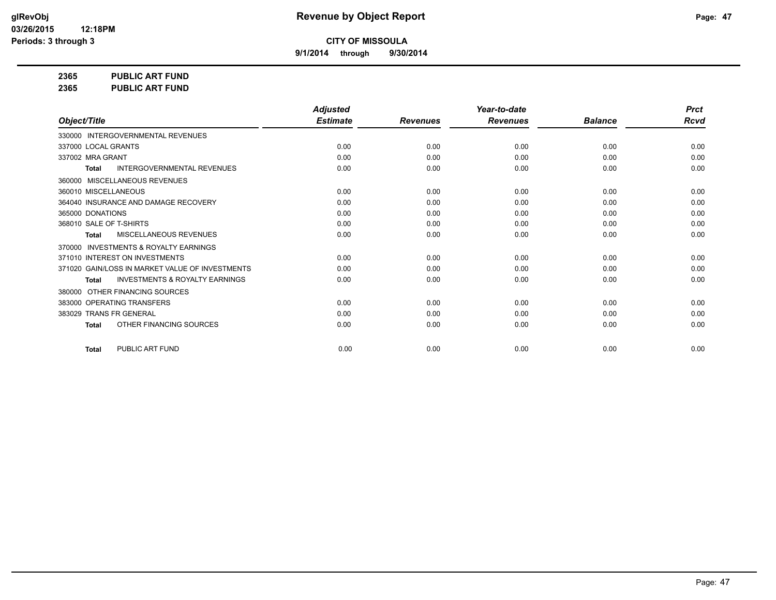**9/1/2014 through 9/30/2014**

**2365 PUBLIC ART FUND**

**2365 PUBLIC ART FUND**

|                                                           | <b>Adjusted</b> |                 | Year-to-date    |                | <b>Prct</b> |
|-----------------------------------------------------------|-----------------|-----------------|-----------------|----------------|-------------|
| Object/Title                                              | <b>Estimate</b> | <b>Revenues</b> | <b>Revenues</b> | <b>Balance</b> | <b>Rcvd</b> |
| 330000 INTERGOVERNMENTAL REVENUES                         |                 |                 |                 |                |             |
| 337000 LOCAL GRANTS                                       | 0.00            | 0.00            | 0.00            | 0.00           | 0.00        |
| 337002 MRA GRANT                                          | 0.00            | 0.00            | 0.00            | 0.00           | 0.00        |
| <b>INTERGOVERNMENTAL REVENUES</b><br><b>Total</b>         | 0.00            | 0.00            | 0.00            | 0.00           | 0.00        |
| 360000 MISCELLANEOUS REVENUES                             |                 |                 |                 |                |             |
| 360010 MISCELLANEOUS                                      | 0.00            | 0.00            | 0.00            | 0.00           | 0.00        |
| 364040 INSURANCE AND DAMAGE RECOVERY                      | 0.00            | 0.00            | 0.00            | 0.00           | 0.00        |
| 365000 DONATIONS                                          | 0.00            | 0.00            | 0.00            | 0.00           | 0.00        |
| 368010 SALE OF T-SHIRTS                                   | 0.00            | 0.00            | 0.00            | 0.00           | 0.00        |
| MISCELLANEOUS REVENUES<br><b>Total</b>                    | 0.00            | 0.00            | 0.00            | 0.00           | 0.00        |
| <b>INVESTMENTS &amp; ROYALTY EARNINGS</b><br>370000       |                 |                 |                 |                |             |
| 371010 INTEREST ON INVESTMENTS                            | 0.00            | 0.00            | 0.00            | 0.00           | 0.00        |
| 371020 GAIN/LOSS IN MARKET VALUE OF INVESTMENTS           | 0.00            | 0.00            | 0.00            | 0.00           | 0.00        |
| <b>INVESTMENTS &amp; ROYALTY EARNINGS</b><br><b>Total</b> | 0.00            | 0.00            | 0.00            | 0.00           | 0.00        |
| OTHER FINANCING SOURCES<br>380000                         |                 |                 |                 |                |             |
| 383000 OPERATING TRANSFERS                                | 0.00            | 0.00            | 0.00            | 0.00           | 0.00        |
| 383029 TRANS FR GENERAL                                   | 0.00            | 0.00            | 0.00            | 0.00           | 0.00        |
| OTHER FINANCING SOURCES<br><b>Total</b>                   | 0.00            | 0.00            | 0.00            | 0.00           | 0.00        |
| PUBLIC ART FUND<br><b>Total</b>                           | 0.00            | 0.00            | 0.00            | 0.00           | 0.00        |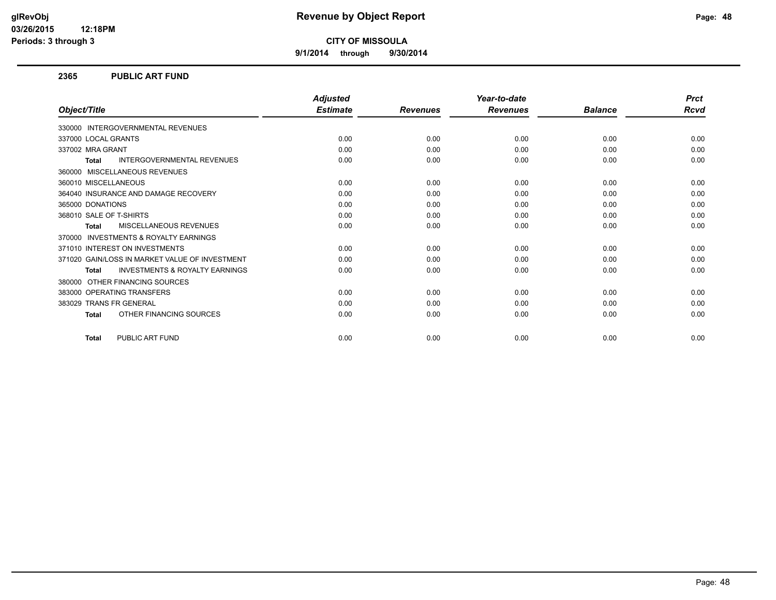**9/1/2014 through 9/30/2014**

#### **2365 PUBLIC ART FUND**

|                                                           | <b>Adjusted</b> |                 | Year-to-date    |                | <b>Prct</b> |
|-----------------------------------------------------------|-----------------|-----------------|-----------------|----------------|-------------|
| Object/Title                                              | <b>Estimate</b> | <b>Revenues</b> | <b>Revenues</b> | <b>Balance</b> | Rcvd        |
| INTERGOVERNMENTAL REVENUES<br>330000                      |                 |                 |                 |                |             |
| 337000 LOCAL GRANTS                                       | 0.00            | 0.00            | 0.00            | 0.00           | 0.00        |
| 337002 MRA GRANT                                          | 0.00            | 0.00            | 0.00            | 0.00           | 0.00        |
| <b>INTERGOVERNMENTAL REVENUES</b><br><b>Total</b>         | 0.00            | 0.00            | 0.00            | 0.00           | 0.00        |
| MISCELLANEOUS REVENUES<br>360000                          |                 |                 |                 |                |             |
| 360010 MISCELLANEOUS                                      | 0.00            | 0.00            | 0.00            | 0.00           | 0.00        |
| 364040 INSURANCE AND DAMAGE RECOVERY                      | 0.00            | 0.00            | 0.00            | 0.00           | 0.00        |
| 365000 DONATIONS                                          | 0.00            | 0.00            | 0.00            | 0.00           | 0.00        |
| 368010 SALE OF T-SHIRTS                                   | 0.00            | 0.00            | 0.00            | 0.00           | 0.00        |
| MISCELLANEOUS REVENUES<br><b>Total</b>                    | 0.00            | 0.00            | 0.00            | 0.00           | 0.00        |
| <b>INVESTMENTS &amp; ROYALTY EARNINGS</b><br>370000       |                 |                 |                 |                |             |
| 371010 INTEREST ON INVESTMENTS                            | 0.00            | 0.00            | 0.00            | 0.00           | 0.00        |
| 371020 GAIN/LOSS IN MARKET VALUE OF INVESTMENT            | 0.00            | 0.00            | 0.00            | 0.00           | 0.00        |
| <b>INVESTMENTS &amp; ROYALTY EARNINGS</b><br><b>Total</b> | 0.00            | 0.00            | 0.00            | 0.00           | 0.00        |
| OTHER FINANCING SOURCES<br>380000                         |                 |                 |                 |                |             |
| 383000 OPERATING TRANSFERS                                | 0.00            | 0.00            | 0.00            | 0.00           | 0.00        |
| 383029 TRANS FR GENERAL                                   | 0.00            | 0.00            | 0.00            | 0.00           | 0.00        |
| OTHER FINANCING SOURCES<br><b>Total</b>                   | 0.00            | 0.00            | 0.00            | 0.00           | 0.00        |
| PUBLIC ART FUND<br><b>Total</b>                           | 0.00            | 0.00            | 0.00            | 0.00           | 0.00        |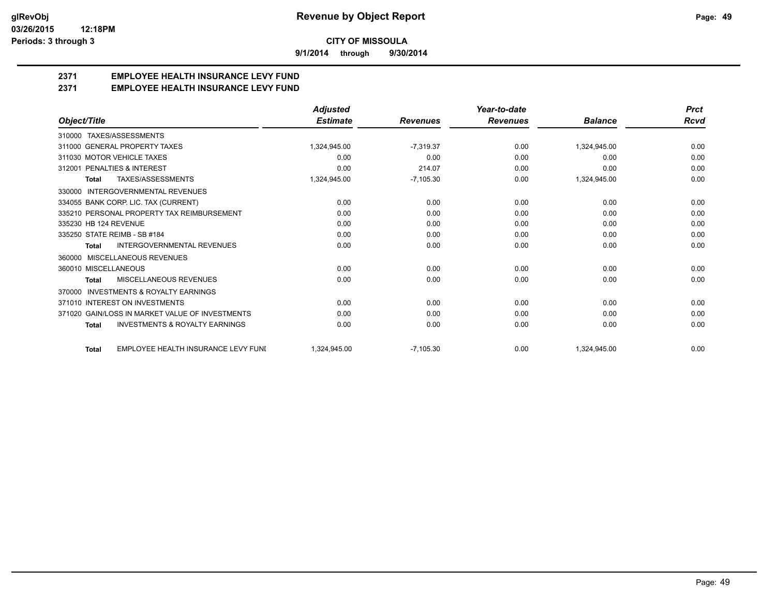**9/1/2014 through 9/30/2014**

## **2371 EMPLOYEE HEALTH INSURANCE LEVY FUND**

**2371 EMPLOYEE HEALTH INSURANCE LEVY FUND**

|                                                           | <b>Adjusted</b> |                 | Year-to-date    |                | <b>Prct</b> |
|-----------------------------------------------------------|-----------------|-----------------|-----------------|----------------|-------------|
| Object/Title                                              | <b>Estimate</b> | <b>Revenues</b> | <b>Revenues</b> | <b>Balance</b> | <b>Rcvd</b> |
| 310000 TAXES/ASSESSMENTS                                  |                 |                 |                 |                |             |
| 311000 GENERAL PROPERTY TAXES                             | 1,324,945.00    | $-7,319.37$     | 0.00            | 1,324,945.00   | 0.00        |
| 311030 MOTOR VEHICLE TAXES                                | 0.00            | 0.00            | 0.00            | 0.00           | 0.00        |
| 312001 PENALTIES & INTEREST                               | 0.00            | 214.07          | 0.00            | 0.00           | 0.00        |
| <b>TAXES/ASSESSMENTS</b><br><b>Total</b>                  | 1,324,945.00    | $-7,105.30$     | 0.00            | 1,324,945.00   | 0.00        |
| INTERGOVERNMENTAL REVENUES<br>330000                      |                 |                 |                 |                |             |
| 334055 BANK CORP. LIC. TAX (CURRENT)                      | 0.00            | 0.00            | 0.00            | 0.00           | 0.00        |
| 335210 PERSONAL PROPERTY TAX REIMBURSEMENT                | 0.00            | 0.00            | 0.00            | 0.00           | 0.00        |
| 335230 HB 124 REVENUE                                     | 0.00            | 0.00            | 0.00            | 0.00           | 0.00        |
| 335250 STATE REIMB - SB #184                              | 0.00            | 0.00            | 0.00            | 0.00           | 0.00        |
| INTERGOVERNMENTAL REVENUES<br><b>Total</b>                | 0.00            | 0.00            | 0.00            | 0.00           | 0.00        |
| MISCELLANEOUS REVENUES<br>360000                          |                 |                 |                 |                |             |
| 360010 MISCELLANEOUS                                      | 0.00            | 0.00            | 0.00            | 0.00           | 0.00        |
| <b>MISCELLANEOUS REVENUES</b><br><b>Total</b>             | 0.00            | 0.00            | 0.00            | 0.00           | 0.00        |
| <b>INVESTMENTS &amp; ROYALTY EARNINGS</b><br>370000       |                 |                 |                 |                |             |
| 371010 INTEREST ON INVESTMENTS                            | 0.00            | 0.00            | 0.00            | 0.00           | 0.00        |
| 371020 GAIN/LOSS IN MARKET VALUE OF INVESTMENTS           | 0.00            | 0.00            | 0.00            | 0.00           | 0.00        |
| <b>INVESTMENTS &amp; ROYALTY EARNINGS</b><br><b>Total</b> | 0.00            | 0.00            | 0.00            | 0.00           | 0.00        |
| EMPLOYEE HEALTH INSURANCE LEVY FUNI<br><b>Total</b>       | 1,324,945.00    | $-7,105.30$     | 0.00            | 1,324,945.00   | 0.00        |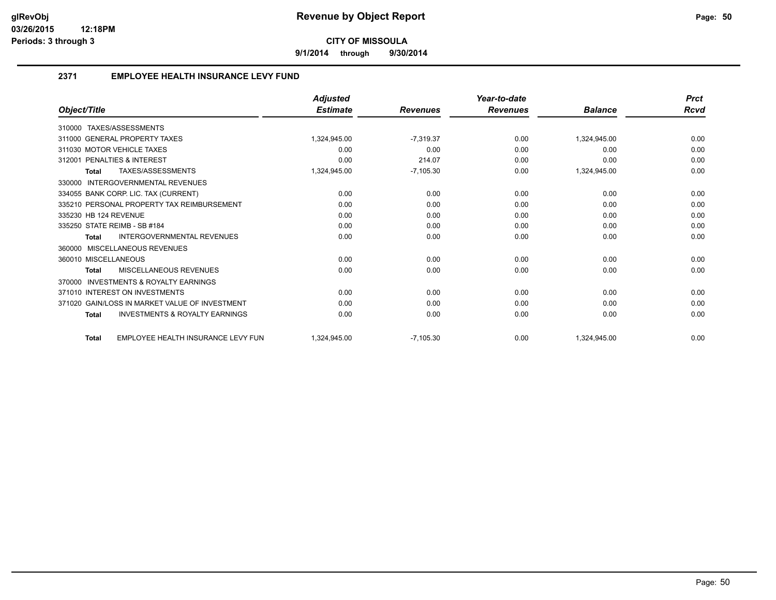**9/1/2014 through 9/30/2014**

## **2371 EMPLOYEE HEALTH INSURANCE LEVY FUND**

|                                                           | <b>Adjusted</b> |                 | Year-to-date    |                | <b>Prct</b> |
|-----------------------------------------------------------|-----------------|-----------------|-----------------|----------------|-------------|
| Object/Title                                              | <b>Estimate</b> | <b>Revenues</b> | <b>Revenues</b> | <b>Balance</b> | Rcvd        |
| TAXES/ASSESSMENTS<br>310000                               |                 |                 |                 |                |             |
| 311000 GENERAL PROPERTY TAXES                             | 1.324.945.00    | $-7.319.37$     | 0.00            | 1,324,945.00   | 0.00        |
| 311030 MOTOR VEHICLE TAXES                                | 0.00            | 0.00            | 0.00            | 0.00           | 0.00        |
| 312001 PENALTIES & INTEREST                               | 0.00            | 214.07          | 0.00            | 0.00           | 0.00        |
| TAXES/ASSESSMENTS<br><b>Total</b>                         | 1,324,945.00    | $-7,105.30$     | 0.00            | 1,324,945.00   | 0.00        |
| <b>INTERGOVERNMENTAL REVENUES</b><br>330000               |                 |                 |                 |                |             |
| 334055 BANK CORP. LIC. TAX (CURRENT)                      | 0.00            | 0.00            | 0.00            | 0.00           | 0.00        |
| 335210 PERSONAL PROPERTY TAX REIMBURSEMENT                | 0.00            | 0.00            | 0.00            | 0.00           | 0.00        |
| 335230 HB 124 REVENUE                                     | 0.00            | 0.00            | 0.00            | 0.00           | 0.00        |
| 335250 STATE REIMB - SB #184                              | 0.00            | 0.00            | 0.00            | 0.00           | 0.00        |
| <b>INTERGOVERNMENTAL REVENUES</b><br><b>Total</b>         | 0.00            | 0.00            | 0.00            | 0.00           | 0.00        |
| <b>MISCELLANEOUS REVENUES</b><br>360000                   |                 |                 |                 |                |             |
| 360010 MISCELLANEOUS                                      | 0.00            | 0.00            | 0.00            | 0.00           | 0.00        |
| MISCELLANEOUS REVENUES<br><b>Total</b>                    | 0.00            | 0.00            | 0.00            | 0.00           | 0.00        |
| INVESTMENTS & ROYALTY EARNINGS<br>370000                  |                 |                 |                 |                |             |
| 371010 INTEREST ON INVESTMENTS                            | 0.00            | 0.00            | 0.00            | 0.00           | 0.00        |
| 371020 GAIN/LOSS IN MARKET VALUE OF INVESTMENT            | 0.00            | 0.00            | 0.00            | 0.00           | 0.00        |
| <b>INVESTMENTS &amp; ROYALTY EARNINGS</b><br><b>Total</b> | 0.00            | 0.00            | 0.00            | 0.00           | 0.00        |
| EMPLOYEE HEALTH INSURANCE LEVY FUN<br><b>Total</b>        | 1.324.945.00    | $-7.105.30$     | 0.00            | 1,324,945.00   | 0.00        |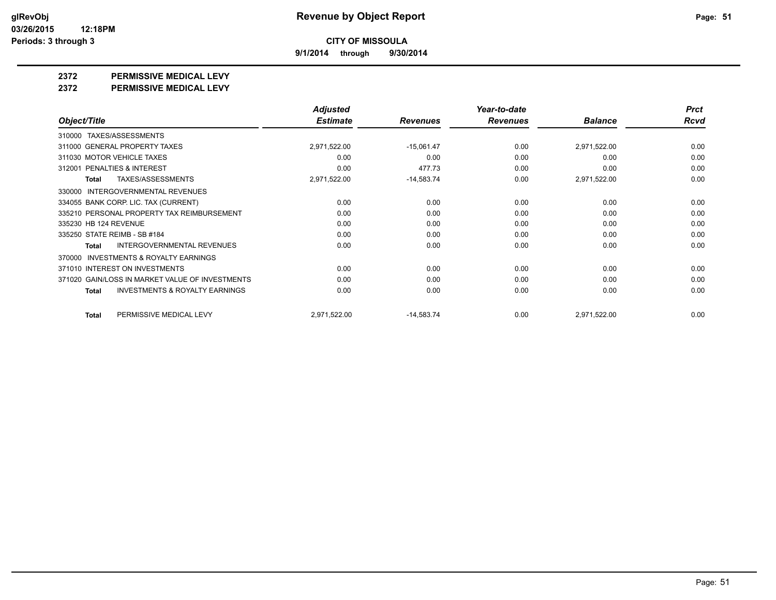**9/1/2014 through 9/30/2014**

**2372 PERMISSIVE MEDICAL LEVY**

**2372 PERMISSIVE MEDICAL LEVY**

|                                                     | <b>Adjusted</b> |                 | Year-to-date    |                | <b>Prct</b> |
|-----------------------------------------------------|-----------------|-----------------|-----------------|----------------|-------------|
| Object/Title                                        | <b>Estimate</b> | <b>Revenues</b> | <b>Revenues</b> | <b>Balance</b> | <b>Rcvd</b> |
| 310000 TAXES/ASSESSMENTS                            |                 |                 |                 |                |             |
| 311000 GENERAL PROPERTY TAXES                       | 2,971,522.00    | $-15,061.47$    | 0.00            | 2,971,522.00   | 0.00        |
| 311030 MOTOR VEHICLE TAXES                          | 0.00            | 0.00            | 0.00            | 0.00           | 0.00        |
| PENALTIES & INTEREST<br>312001                      | 0.00            | 477.73          | 0.00            | 0.00           | 0.00        |
| TAXES/ASSESSMENTS<br>Total                          | 2,971,522.00    | $-14,583.74$    | 0.00            | 2,971,522.00   | 0.00        |
| INTERGOVERNMENTAL REVENUES<br>330000                |                 |                 |                 |                |             |
| 334055 BANK CORP. LIC. TAX (CURRENT)                | 0.00            | 0.00            | 0.00            | 0.00           | 0.00        |
| 335210 PERSONAL PROPERTY TAX REIMBURSEMENT          | 0.00            | 0.00            | 0.00            | 0.00           | 0.00        |
| 335230 HB 124 REVENUE                               | 0.00            | 0.00            | 0.00            | 0.00           | 0.00        |
| 335250 STATE REIMB - SB #184                        | 0.00            | 0.00            | 0.00            | 0.00           | 0.00        |
| <b>INTERGOVERNMENTAL REVENUES</b><br>Total          | 0.00            | 0.00            | 0.00            | 0.00           | 0.00        |
| <b>INVESTMENTS &amp; ROYALTY EARNINGS</b><br>370000 |                 |                 |                 |                |             |
| 371010 INTEREST ON INVESTMENTS                      | 0.00            | 0.00            | 0.00            | 0.00           | 0.00        |
| 371020 GAIN/LOSS IN MARKET VALUE OF INVESTMENTS     | 0.00            | 0.00            | 0.00            | 0.00           | 0.00        |
| <b>INVESTMENTS &amp; ROYALTY EARNINGS</b><br>Total  | 0.00            | 0.00            | 0.00            | 0.00           | 0.00        |
| PERMISSIVE MEDICAL LEVY<br>Total                    | 2,971,522.00    | $-14,583.74$    | 0.00            | 2,971,522.00   | 0.00        |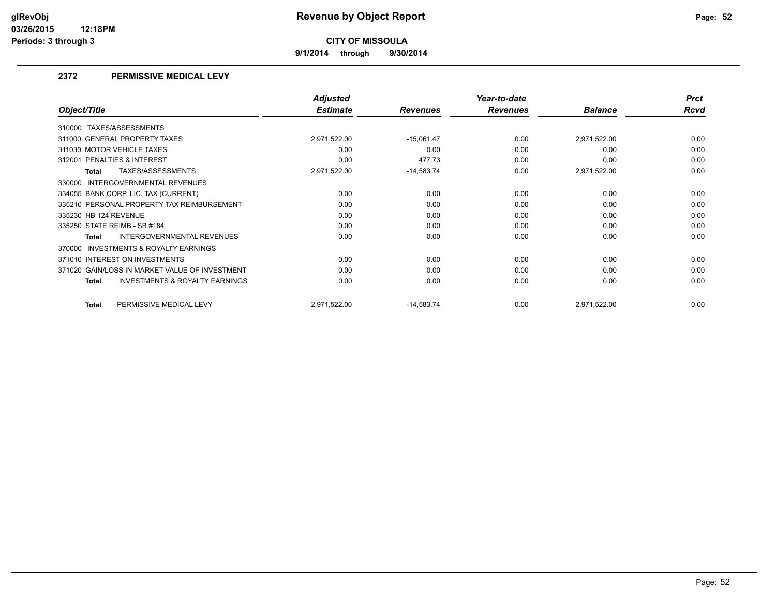**9/1/2014 through 9/30/2014**

#### **2372 PERMISSIVE MEDICAL LEVY**

|                                                           | <b>Adjusted</b> |                 | Year-to-date    |                | <b>Prct</b> |
|-----------------------------------------------------------|-----------------|-----------------|-----------------|----------------|-------------|
| Object/Title                                              | <b>Estimate</b> | <b>Revenues</b> | <b>Revenues</b> | <b>Balance</b> | <b>Rcvd</b> |
| TAXES/ASSESSMENTS<br>310000                               |                 |                 |                 |                |             |
| 311000 GENERAL PROPERTY TAXES                             | 2,971,522.00    | $-15,061.47$    | 0.00            | 2,971,522.00   | 0.00        |
| 311030 MOTOR VEHICLE TAXES                                | 0.00            | 0.00            | 0.00            | 0.00           | 0.00        |
| PENALTIES & INTEREST<br>312001                            | 0.00            | 477.73          | 0.00            | 0.00           | 0.00        |
| TAXES/ASSESSMENTS<br>Total                                | 2,971,522.00    | $-14,583.74$    | 0.00            | 2,971,522.00   | 0.00        |
| 330000 INTERGOVERNMENTAL REVENUES                         |                 |                 |                 |                |             |
| 334055 BANK CORP. LIC. TAX (CURRENT)                      | 0.00            | 0.00            | 0.00            | 0.00           | 0.00        |
| 335210 PERSONAL PROPERTY TAX REIMBURSEMENT                | 0.00            | 0.00            | 0.00            | 0.00           | 0.00        |
| 335230 HB 124 REVENUE                                     | 0.00            | 0.00            | 0.00            | 0.00           | 0.00        |
| 335250 STATE REIMB - SB #184                              | 0.00            | 0.00            | 0.00            | 0.00           | 0.00        |
| <b>INTERGOVERNMENTAL REVENUES</b><br>Total                | 0.00            | 0.00            | 0.00            | 0.00           | 0.00        |
| INVESTMENTS & ROYALTY EARNINGS<br>370000                  |                 |                 |                 |                |             |
| 371010 INTEREST ON INVESTMENTS                            | 0.00            | 0.00            | 0.00            | 0.00           | 0.00        |
| 371020 GAIN/LOSS IN MARKET VALUE OF INVESTMENT            | 0.00            | 0.00            | 0.00            | 0.00           | 0.00        |
| <b>INVESTMENTS &amp; ROYALTY EARNINGS</b><br><b>Total</b> | 0.00            | 0.00            | 0.00            | 0.00           | 0.00        |
| PERMISSIVE MEDICAL LEVY<br><b>Total</b>                   | 2,971,522.00    | $-14,583.74$    | 0.00            | 2,971,522.00   | 0.00        |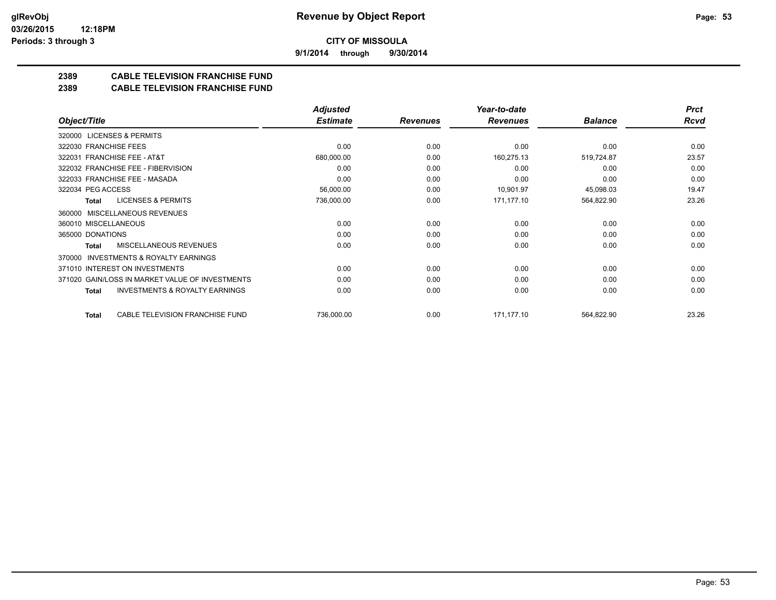**9/1/2014 through 9/30/2014**

## **2389 CABLE TELEVISION FRANCHISE FUND**

#### **2389 CABLE TELEVISION FRANCHISE FUND**

|                                                     | <b>Adjusted</b> |                 | Year-to-date    |                | <b>Prct</b> |
|-----------------------------------------------------|-----------------|-----------------|-----------------|----------------|-------------|
| Object/Title                                        | <b>Estimate</b> | <b>Revenues</b> | <b>Revenues</b> | <b>Balance</b> | <b>Rcvd</b> |
| 320000 LICENSES & PERMITS                           |                 |                 |                 |                |             |
| 322030 FRANCHISE FEES                               | 0.00            | 0.00            | 0.00            | 0.00           | 0.00        |
| <b>FRANCHISE FEE - AT&amp;T</b><br>322031           | 680,000.00      | 0.00            | 160,275.13      | 519,724.87     | 23.57       |
| 322032 FRANCHISE FEE - FIBERVISION                  | 0.00            | 0.00            | 0.00            | 0.00           | 0.00        |
| 322033 FRANCHISE FEE - MASADA                       | 0.00            | 0.00            | 0.00            | 0.00           | 0.00        |
| 322034 PEG ACCESS                                   | 56,000.00       | 0.00            | 10,901.97       | 45,098.03      | 19.47       |
| <b>LICENSES &amp; PERMITS</b><br>Total              | 736,000.00      | 0.00            | 171,177.10      | 564,822.90     | 23.26       |
| 360000 MISCELLANEOUS REVENUES                       |                 |                 |                 |                |             |
| 360010 MISCELLANEOUS                                | 0.00            | 0.00            | 0.00            | 0.00           | 0.00        |
| 365000 DONATIONS                                    | 0.00            | 0.00            | 0.00            | 0.00           | 0.00        |
| <b>MISCELLANEOUS REVENUES</b><br>Total              | 0.00            | 0.00            | 0.00            | 0.00           | 0.00        |
| <b>INVESTMENTS &amp; ROYALTY EARNINGS</b><br>370000 |                 |                 |                 |                |             |
| 371010 INTEREST ON INVESTMENTS                      | 0.00            | 0.00            | 0.00            | 0.00           | 0.00        |
| 371020 GAIN/LOSS IN MARKET VALUE OF INVESTMENTS     | 0.00            | 0.00            | 0.00            | 0.00           | 0.00        |
| <b>INVESTMENTS &amp; ROYALTY EARNINGS</b><br>Total  | 0.00            | 0.00            | 0.00            | 0.00           | 0.00        |
| CABLE TELEVISION FRANCHISE FUND<br>Total            | 736,000.00      | 0.00            | 171,177.10      | 564,822.90     | 23.26       |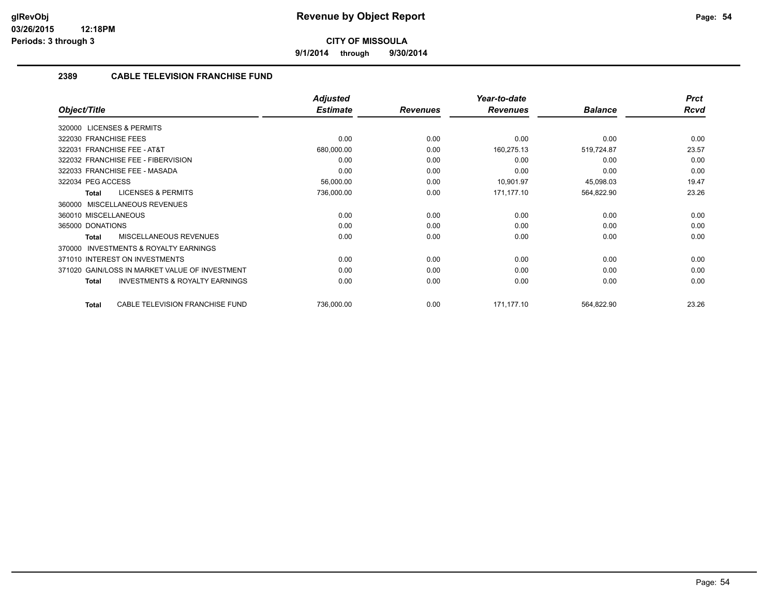**9/1/2014 through 9/30/2014**

### **2389 CABLE TELEVISION FRANCHISE FUND**

|                                                           | <b>Adjusted</b> |                 | Year-to-date    |                | <b>Prct</b> |
|-----------------------------------------------------------|-----------------|-----------------|-----------------|----------------|-------------|
| Object/Title                                              | <b>Estimate</b> | <b>Revenues</b> | <b>Revenues</b> | <b>Balance</b> | Rcvd        |
| 320000 LICENSES & PERMITS                                 |                 |                 |                 |                |             |
| 322030 FRANCHISE FEES                                     | 0.00            | 0.00            | 0.00            | 0.00           | 0.00        |
| 322031 FRANCHISE FEE - AT&T                               | 680,000.00      | 0.00            | 160,275.13      | 519,724.87     | 23.57       |
| 322032 FRANCHISE FEE - FIBERVISION                        | 0.00            | 0.00            | 0.00            | 0.00           | 0.00        |
| 322033 FRANCHISE FEE - MASADA                             | 0.00            | 0.00            | 0.00            | 0.00           | 0.00        |
| 322034 PEG ACCESS                                         | 56,000.00       | 0.00            | 10,901.97       | 45,098.03      | 19.47       |
| <b>LICENSES &amp; PERMITS</b><br><b>Total</b>             | 736,000.00      | 0.00            | 171,177.10      | 564,822.90     | 23.26       |
| MISCELLANEOUS REVENUES<br>360000                          |                 |                 |                 |                |             |
| 360010 MISCELLANEOUS                                      | 0.00            | 0.00            | 0.00            | 0.00           | 0.00        |
| 365000 DONATIONS                                          | 0.00            | 0.00            | 0.00            | 0.00           | 0.00        |
| MISCELLANEOUS REVENUES<br><b>Total</b>                    | 0.00            | 0.00            | 0.00            | 0.00           | 0.00        |
| <b>INVESTMENTS &amp; ROYALTY EARNINGS</b><br>370000       |                 |                 |                 |                |             |
| 371010 INTEREST ON INVESTMENTS                            | 0.00            | 0.00            | 0.00            | 0.00           | 0.00        |
| 371020 GAIN/LOSS IN MARKET VALUE OF INVESTMENT            | 0.00            | 0.00            | 0.00            | 0.00           | 0.00        |
| <b>INVESTMENTS &amp; ROYALTY EARNINGS</b><br><b>Total</b> | 0.00            | 0.00            | 0.00            | 0.00           | 0.00        |
| CABLE TELEVISION FRANCHISE FUND<br><b>Total</b>           | 736,000.00      | 0.00            | 171.177.10      | 564,822.90     | 23.26       |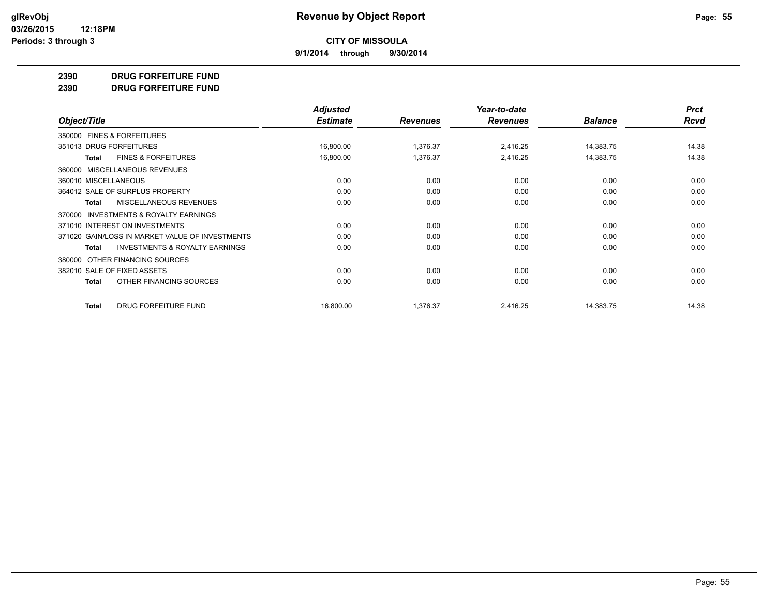**9/1/2014 through 9/30/2014**

#### **2390 DRUG FORFEITURE FUND**

**2390 DRUG FORFEITURE FUND**

|                                                    | <b>Adjusted</b> |                 | Year-to-date    |                | <b>Prct</b> |
|----------------------------------------------------|-----------------|-----------------|-----------------|----------------|-------------|
| Object/Title                                       | <b>Estimate</b> | <b>Revenues</b> | <b>Revenues</b> | <b>Balance</b> | Rcvd        |
| 350000 FINES & FORFEITURES                         |                 |                 |                 |                |             |
| 351013 DRUG FORFEITURES                            | 16,800.00       | 1,376.37        | 2,416.25        | 14,383.75      | 14.38       |
| <b>FINES &amp; FORFEITURES</b><br>Total            | 16,800.00       | 1,376.37        | 2,416.25        | 14,383.75      | 14.38       |
| 360000 MISCELLANEOUS REVENUES                      |                 |                 |                 |                |             |
| 360010 MISCELLANEOUS                               | 0.00            | 0.00            | 0.00            | 0.00           | 0.00        |
| 364012 SALE OF SURPLUS PROPERTY                    | 0.00            | 0.00            | 0.00            | 0.00           | 0.00        |
| <b>MISCELLANEOUS REVENUES</b><br>Total             | 0.00            | 0.00            | 0.00            | 0.00           | 0.00        |
| 370000 INVESTMENTS & ROYALTY EARNINGS              |                 |                 |                 |                |             |
| 371010 INTEREST ON INVESTMENTS                     | 0.00            | 0.00            | 0.00            | 0.00           | 0.00        |
| 371020 GAIN/LOSS IN MARKET VALUE OF INVESTMENTS    | 0.00            | 0.00            | 0.00            | 0.00           | 0.00        |
| <b>INVESTMENTS &amp; ROYALTY EARNINGS</b><br>Total | 0.00            | 0.00            | 0.00            | 0.00           | 0.00        |
| OTHER FINANCING SOURCES<br>380000                  |                 |                 |                 |                |             |
| 382010 SALE OF FIXED ASSETS                        | 0.00            | 0.00            | 0.00            | 0.00           | 0.00        |
| OTHER FINANCING SOURCES<br>Total                   | 0.00            | 0.00            | 0.00            | 0.00           | 0.00        |
| DRUG FORFEITURE FUND<br><b>Total</b>               | 16,800.00       | 1,376.37        | 2,416.25        | 14,383.75      | 14.38       |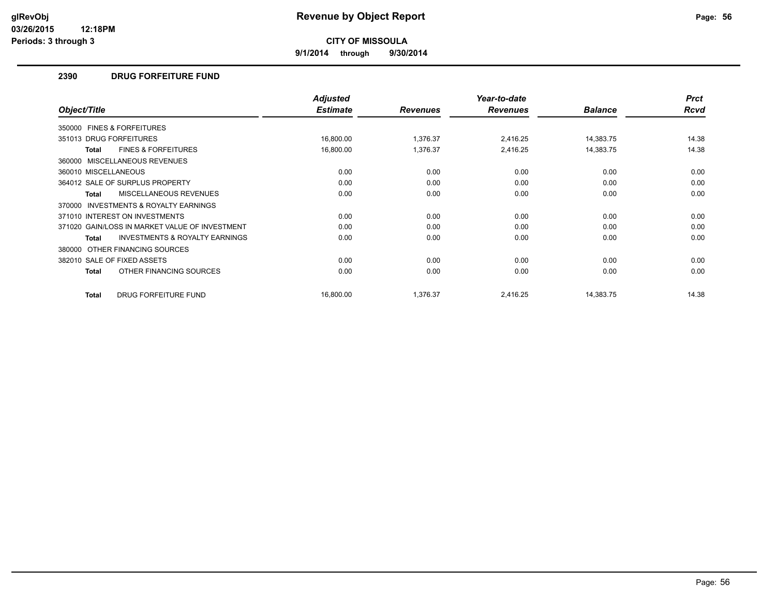**9/1/2014 through 9/30/2014**

### **2390 DRUG FORFEITURE FUND**

|                                                           | <b>Adjusted</b> |                 | Year-to-date    |                | <b>Prct</b> |
|-----------------------------------------------------------|-----------------|-----------------|-----------------|----------------|-------------|
| Object/Title                                              | <b>Estimate</b> | <b>Revenues</b> | <b>Revenues</b> | <b>Balance</b> | <b>Rcvd</b> |
| 350000 FINES & FORFEITURES                                |                 |                 |                 |                |             |
| 351013 DRUG FORFEITURES                                   | 16,800.00       | 1,376.37        | 2,416.25        | 14,383.75      | 14.38       |
| <b>FINES &amp; FORFEITURES</b><br><b>Total</b>            | 16,800.00       | 1,376.37        | 2,416.25        | 14,383.75      | 14.38       |
| 360000 MISCELLANEOUS REVENUES                             |                 |                 |                 |                |             |
| 360010 MISCELLANEOUS                                      | 0.00            | 0.00            | 0.00            | 0.00           | 0.00        |
| 364012 SALE OF SURPLUS PROPERTY                           | 0.00            | 0.00            | 0.00            | 0.00           | 0.00        |
| <b>MISCELLANEOUS REVENUES</b><br>Total                    | 0.00            | 0.00            | 0.00            | 0.00           | 0.00        |
| <b>INVESTMENTS &amp; ROYALTY EARNINGS</b><br>370000       |                 |                 |                 |                |             |
| 371010 INTEREST ON INVESTMENTS                            | 0.00            | 0.00            | 0.00            | 0.00           | 0.00        |
| 371020 GAIN/LOSS IN MARKET VALUE OF INVESTMENT            | 0.00            | 0.00            | 0.00            | 0.00           | 0.00        |
| <b>INVESTMENTS &amp; ROYALTY EARNINGS</b><br><b>Total</b> | 0.00            | 0.00            | 0.00            | 0.00           | 0.00        |
| OTHER FINANCING SOURCES<br>380000                         |                 |                 |                 |                |             |
| 382010 SALE OF FIXED ASSETS                               | 0.00            | 0.00            | 0.00            | 0.00           | 0.00        |
| OTHER FINANCING SOURCES<br><b>Total</b>                   | 0.00            | 0.00            | 0.00            | 0.00           | 0.00        |
| DRUG FORFEITURE FUND<br><b>Total</b>                      | 16,800.00       | 1,376.37        | 2.416.25        | 14,383.75      | 14.38       |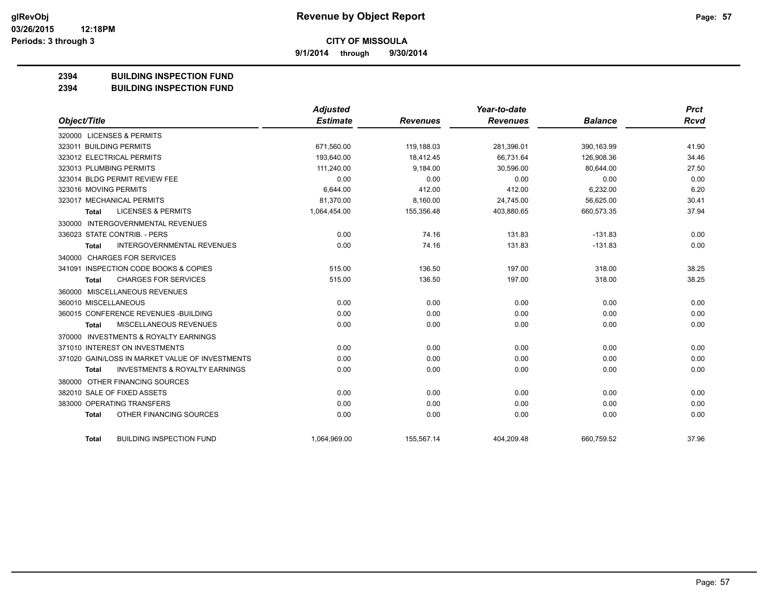**9/1/2014 through 9/30/2014**

## **2394 BUILDING INSPECTION FUND**

#### **2394 BUILDING INSPECTION FUND**

|                                                           | <b>Adjusted</b> |                 | Year-to-date    |                | <b>Prct</b> |
|-----------------------------------------------------------|-----------------|-----------------|-----------------|----------------|-------------|
| Object/Title                                              | <b>Estimate</b> | <b>Revenues</b> | <b>Revenues</b> | <b>Balance</b> | <b>Rcvd</b> |
| 320000 LICENSES & PERMITS                                 |                 |                 |                 |                |             |
| 323011 BUILDING PERMITS                                   | 671,560.00      | 119,188.03      | 281,396.01      | 390,163.99     | 41.90       |
| 323012 ELECTRICAL PERMITS                                 | 193,640.00      | 18.412.45       | 66.731.64       | 126.908.36     | 34.46       |
| 323013 PLUMBING PERMITS                                   | 111,240.00      | 9,184.00        | 30,596.00       | 80,644.00      | 27.50       |
| 323014 BLDG PERMIT REVIEW FEE                             | 0.00            | 0.00            | 0.00            | 0.00           | 0.00        |
| 323016 MOVING PERMITS                                     | 6,644.00        | 412.00          | 412.00          | 6,232.00       | 6.20        |
| 323017 MECHANICAL PERMITS                                 | 81,370.00       | 8,160.00        | 24,745.00       | 56,625.00      | 30.41       |
| <b>LICENSES &amp; PERMITS</b><br>Total                    | 1,064,454.00    | 155,356.48      | 403,880.65      | 660,573.35     | 37.94       |
| 330000 INTERGOVERNMENTAL REVENUES                         |                 |                 |                 |                |             |
| 336023 STATE CONTRIB. - PERS                              | 0.00            | 74.16           | 131.83          | $-131.83$      | 0.00        |
| <b>INTERGOVERNMENTAL REVENUES</b><br><b>Total</b>         | 0.00            | 74.16           | 131.83          | $-131.83$      | 0.00        |
| 340000 CHARGES FOR SERVICES                               |                 |                 |                 |                |             |
| 341091 INSPECTION CODE BOOKS & COPIES                     | 515.00          | 136.50          | 197.00          | 318.00         | 38.25       |
| <b>CHARGES FOR SERVICES</b><br><b>Total</b>               | 515.00          | 136.50          | 197.00          | 318.00         | 38.25       |
| 360000 MISCELLANEOUS REVENUES                             |                 |                 |                 |                |             |
| 360010 MISCELLANEOUS                                      | 0.00            | 0.00            | 0.00            | 0.00           | 0.00        |
| 360015 CONFERENCE REVENUES - BUILDING                     | 0.00            | 0.00            | 0.00            | 0.00           | 0.00        |
| MISCELLANEOUS REVENUES<br><b>Total</b>                    | 0.00            | 0.00            | 0.00            | 0.00           | 0.00        |
| 370000 INVESTMENTS & ROYALTY EARNINGS                     |                 |                 |                 |                |             |
| 371010 INTEREST ON INVESTMENTS                            | 0.00            | 0.00            | 0.00            | 0.00           | 0.00        |
| 371020 GAIN/LOSS IN MARKET VALUE OF INVESTMENTS           | 0.00            | 0.00            | 0.00            | 0.00           | 0.00        |
| <b>INVESTMENTS &amp; ROYALTY EARNINGS</b><br><b>Total</b> | 0.00            | 0.00            | 0.00            | 0.00           | 0.00        |
| 380000 OTHER FINANCING SOURCES                            |                 |                 |                 |                |             |
| 382010 SALE OF FIXED ASSETS                               | 0.00            | 0.00            | 0.00            | 0.00           | 0.00        |
| 383000 OPERATING TRANSFERS                                | 0.00            | 0.00            | 0.00            | 0.00           | 0.00        |
| OTHER FINANCING SOURCES<br><b>Total</b>                   | 0.00            | 0.00            | 0.00            | 0.00           | 0.00        |
| <b>BUILDING INSPECTION FUND</b><br><b>Total</b>           | 1,064,969.00    | 155,567.14      | 404,209.48      | 660,759.52     | 37.96       |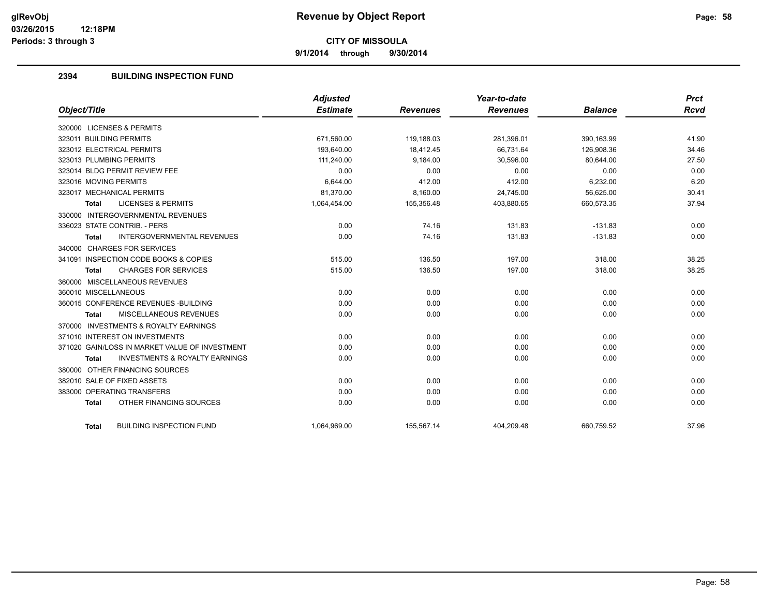**9/1/2014 through 9/30/2014**

## **2394 BUILDING INSPECTION FUND**

| Object/Title                                              | <b>Adjusted</b><br><b>Estimate</b> | <b>Revenues</b> | Year-to-date<br><b>Revenues</b> | <b>Balance</b> | <b>Prct</b><br><b>Rcvd</b> |
|-----------------------------------------------------------|------------------------------------|-----------------|---------------------------------|----------------|----------------------------|
|                                                           |                                    |                 |                                 |                |                            |
| 320000 LICENSES & PERMITS                                 |                                    |                 |                                 |                |                            |
| 323011 BUILDING PERMITS                                   | 671,560.00                         | 119,188.03      | 281,396.01                      | 390,163.99     | 41.90                      |
| 323012 ELECTRICAL PERMITS                                 | 193.640.00                         | 18.412.45       | 66.731.64                       | 126.908.36     | 34.46                      |
| 323013 PLUMBING PERMITS                                   | 111,240.00                         | 9,184.00        | 30,596.00                       | 80,644.00      | 27.50                      |
| 323014 BLDG PERMIT REVIEW FEE                             | 0.00                               | 0.00            | 0.00                            | 0.00           | 0.00                       |
| 323016 MOVING PERMITS                                     | 6,644.00                           | 412.00          | 412.00                          | 6.232.00       | 6.20                       |
| 323017 MECHANICAL PERMITS                                 | 81,370.00                          | 8,160.00        | 24,745.00                       | 56,625.00      | 30.41                      |
| <b>LICENSES &amp; PERMITS</b><br><b>Total</b>             | 1,064,454.00                       | 155,356.48      | 403,880.65                      | 660,573.35     | 37.94                      |
| 330000 INTERGOVERNMENTAL REVENUES                         |                                    |                 |                                 |                |                            |
| 336023 STATE CONTRIB. - PERS                              | 0.00                               | 74.16           | 131.83                          | $-131.83$      | 0.00                       |
| <b>INTERGOVERNMENTAL REVENUES</b><br><b>Total</b>         | 0.00                               | 74.16           | 131.83                          | $-131.83$      | 0.00                       |
| 340000 CHARGES FOR SERVICES                               |                                    |                 |                                 |                |                            |
| 341091 INSPECTION CODE BOOKS & COPIES                     | 515.00                             | 136.50          | 197.00                          | 318.00         | 38.25                      |
| <b>CHARGES FOR SERVICES</b><br><b>Total</b>               | 515.00                             | 136.50          | 197.00                          | 318.00         | 38.25                      |
| 360000 MISCELLANEOUS REVENUES                             |                                    |                 |                                 |                |                            |
| 360010 MISCELLANEOUS                                      | 0.00                               | 0.00            | 0.00                            | 0.00           | 0.00                       |
| 360015 CONFERENCE REVENUES - BUILDING                     | 0.00                               | 0.00            | 0.00                            | 0.00           | 0.00                       |
| MISCELLANEOUS REVENUES<br><b>Total</b>                    | 0.00                               | 0.00            | 0.00                            | 0.00           | 0.00                       |
| 370000 INVESTMENTS & ROYALTY EARNINGS                     |                                    |                 |                                 |                |                            |
| 371010 INTEREST ON INVESTMENTS                            | 0.00                               | 0.00            | 0.00                            | 0.00           | 0.00                       |
| 371020 GAIN/LOSS IN MARKET VALUE OF INVESTMENT            | 0.00                               | 0.00            | 0.00                            | 0.00           | 0.00                       |
| <b>INVESTMENTS &amp; ROYALTY EARNINGS</b><br><b>Total</b> | 0.00                               | 0.00            | 0.00                            | 0.00           | 0.00                       |
| 380000 OTHER FINANCING SOURCES                            |                                    |                 |                                 |                |                            |
| 382010 SALE OF FIXED ASSETS                               | 0.00                               | 0.00            | 0.00                            | 0.00           | 0.00                       |
| 383000 OPERATING TRANSFERS                                | 0.00                               | 0.00            | 0.00                            | 0.00           | 0.00                       |
| OTHER FINANCING SOURCES<br><b>Total</b>                   | 0.00                               | 0.00            | 0.00                            | 0.00           | 0.00                       |
| <b>BUILDING INSPECTION FUND</b><br><b>Total</b>           | 1,064,969.00                       | 155,567.14      | 404,209.48                      | 660,759.52     | 37.96                      |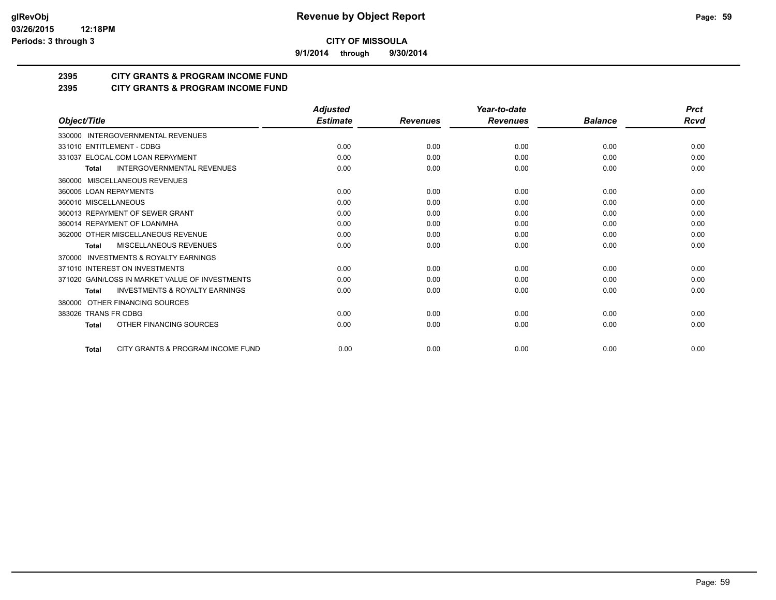**9/1/2014 through 9/30/2014**

## **2395 CITY GRANTS & PROGRAM INCOME FUND**

## **2395 CITY GRANTS & PROGRAM INCOME FUND**

|                                                           | <b>Adjusted</b> |                 | Year-to-date    |                | <b>Prct</b> |
|-----------------------------------------------------------|-----------------|-----------------|-----------------|----------------|-------------|
| Object/Title                                              | <b>Estimate</b> | <b>Revenues</b> | <b>Revenues</b> | <b>Balance</b> | Rcvd        |
| 330000 INTERGOVERNMENTAL REVENUES                         |                 |                 |                 |                |             |
| 331010 ENTITLEMENT - CDBG                                 | 0.00            | 0.00            | 0.00            | 0.00           | 0.00        |
| 331037 ELOCAL.COM LOAN REPAYMENT                          | 0.00            | 0.00            | 0.00            | 0.00           | 0.00        |
| <b>INTERGOVERNMENTAL REVENUES</b><br><b>Total</b>         | 0.00            | 0.00            | 0.00            | 0.00           | 0.00        |
| MISCELLANEOUS REVENUES<br>360000                          |                 |                 |                 |                |             |
| 360005 LOAN REPAYMENTS                                    | 0.00            | 0.00            | 0.00            | 0.00           | 0.00        |
| 360010 MISCELLANEOUS                                      | 0.00            | 0.00            | 0.00            | 0.00           | 0.00        |
| 360013 REPAYMENT OF SEWER GRANT                           | 0.00            | 0.00            | 0.00            | 0.00           | 0.00        |
| 360014 REPAYMENT OF LOAN/MHA                              | 0.00            | 0.00            | 0.00            | 0.00           | 0.00        |
| 362000 OTHER MISCELLANEOUS REVENUE                        | 0.00            | 0.00            | 0.00            | 0.00           | 0.00        |
| <b>MISCELLANEOUS REVENUES</b><br><b>Total</b>             | 0.00            | 0.00            | 0.00            | 0.00           | 0.00        |
| <b>INVESTMENTS &amp; ROYALTY EARNINGS</b><br>370000       |                 |                 |                 |                |             |
| 371010 INTEREST ON INVESTMENTS                            | 0.00            | 0.00            | 0.00            | 0.00           | 0.00        |
| 371020 GAIN/LOSS IN MARKET VALUE OF INVESTMENTS           | 0.00            | 0.00            | 0.00            | 0.00           | 0.00        |
| <b>INVESTMENTS &amp; ROYALTY EARNINGS</b><br><b>Total</b> | 0.00            | 0.00            | 0.00            | 0.00           | 0.00        |
| OTHER FINANCING SOURCES<br>380000                         |                 |                 |                 |                |             |
| 383026 TRANS FR CDBG                                      | 0.00            | 0.00            | 0.00            | 0.00           | 0.00        |
| OTHER FINANCING SOURCES<br><b>Total</b>                   | 0.00            | 0.00            | 0.00            | 0.00           | 0.00        |
| CITY GRANTS & PROGRAM INCOME FUND<br><b>Total</b>         | 0.00            | 0.00            | 0.00            | 0.00           | 0.00        |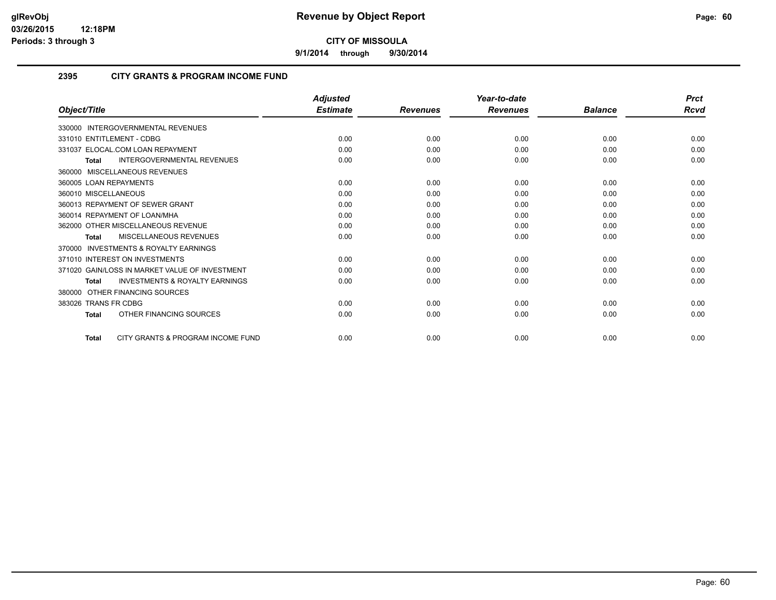**9/1/2014 through 9/30/2014**

#### **2395 CITY GRANTS & PROGRAM INCOME FUND**

|                        |                                                | <b>Adjusted</b> |                 | Year-to-date    |                | <b>Prct</b> |
|------------------------|------------------------------------------------|-----------------|-----------------|-----------------|----------------|-------------|
| Object/Title           |                                                | <b>Estimate</b> | <b>Revenues</b> | <b>Revenues</b> | <b>Balance</b> | Rcvd        |
| 330000                 | <b>INTERGOVERNMENTAL REVENUES</b>              |                 |                 |                 |                |             |
|                        | 331010 ENTITLEMENT - CDBG                      | 0.00            | 0.00            | 0.00            | 0.00           | 0.00        |
|                        | 331037 ELOCAL.COM LOAN REPAYMENT               | 0.00            | 0.00            | 0.00            | 0.00           | 0.00        |
| <b>Total</b>           | <b>INTERGOVERNMENTAL REVENUES</b>              | 0.00            | 0.00            | 0.00            | 0.00           | 0.00        |
|                        | 360000 MISCELLANEOUS REVENUES                  |                 |                 |                 |                |             |
| 360005 LOAN REPAYMENTS |                                                | 0.00            | 0.00            | 0.00            | 0.00           | 0.00        |
| 360010 MISCELLANEOUS   |                                                | 0.00            | 0.00            | 0.00            | 0.00           | 0.00        |
|                        | 360013 REPAYMENT OF SEWER GRANT                | 0.00            | 0.00            | 0.00            | 0.00           | 0.00        |
|                        | 360014 REPAYMENT OF LOAN/MHA                   | 0.00            | 0.00            | 0.00            | 0.00           | 0.00        |
|                        | 362000 OTHER MISCELLANEOUS REVENUE             | 0.00            | 0.00            | 0.00            | 0.00           | 0.00        |
| Total                  | <b>MISCELLANEOUS REVENUES</b>                  | 0.00            | 0.00            | 0.00            | 0.00           | 0.00        |
| 370000                 | <b>INVESTMENTS &amp; ROYALTY EARNINGS</b>      |                 |                 |                 |                |             |
|                        | 371010 INTEREST ON INVESTMENTS                 | 0.00            | 0.00            | 0.00            | 0.00           | 0.00        |
|                        | 371020 GAIN/LOSS IN MARKET VALUE OF INVESTMENT | 0.00            | 0.00            | 0.00            | 0.00           | 0.00        |
| <b>Total</b>           | <b>INVESTMENTS &amp; ROYALTY EARNINGS</b>      | 0.00            | 0.00            | 0.00            | 0.00           | 0.00        |
| 380000                 | OTHER FINANCING SOURCES                        |                 |                 |                 |                |             |
| 383026 TRANS FR CDBG   |                                                | 0.00            | 0.00            | 0.00            | 0.00           | 0.00        |
| <b>Total</b>           | OTHER FINANCING SOURCES                        | 0.00            | 0.00            | 0.00            | 0.00           | 0.00        |
| <b>Total</b>           | CITY GRANTS & PROGRAM INCOME FUND              | 0.00            | 0.00            | 0.00            | 0.00           | 0.00        |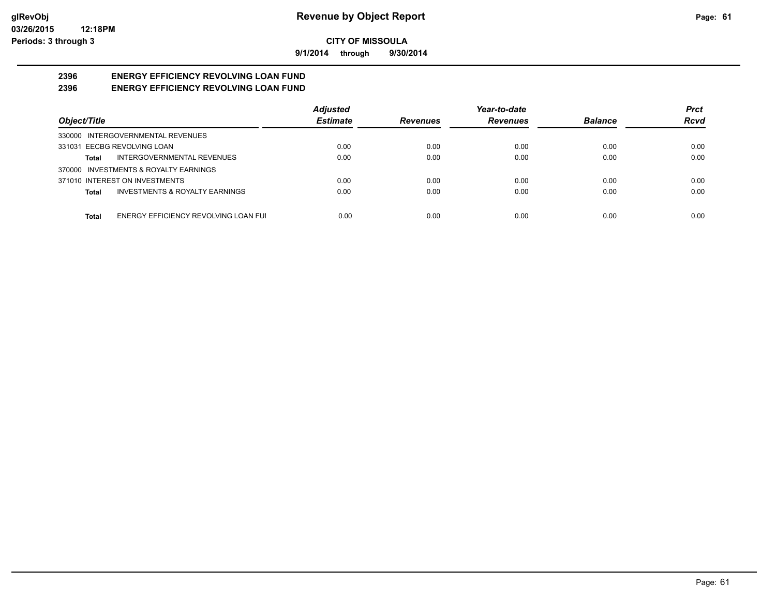**9/1/2014 through 9/30/2014**

#### **2396 ENERGY EFFICIENCY REVOLVING LOAN FUND 2396 ENERGY EFFICIENCY REVOLVING LOAN FUND**

|                                                    | <b>Adjusted</b> |                 | Year-to-date    |                | <b>Prct</b> |
|----------------------------------------------------|-----------------|-----------------|-----------------|----------------|-------------|
| Object/Title                                       | <b>Estimate</b> | <b>Revenues</b> | <b>Revenues</b> | <b>Balance</b> | <b>Rcvd</b> |
| 330000 INTERGOVERNMENTAL REVENUES                  |                 |                 |                 |                |             |
| 331031 EECBG REVOLVING LOAN                        | 0.00            | 0.00            | 0.00            | 0.00           | 0.00        |
| INTERGOVERNMENTAL REVENUES<br>Total                | 0.00            | 0.00            | 0.00            | 0.00           | 0.00        |
| 370000 INVESTMENTS & ROYALTY EARNINGS              |                 |                 |                 |                |             |
| 371010 INTEREST ON INVESTMENTS                     | 0.00            | 0.00            | 0.00            | 0.00           | 0.00        |
| <b>INVESTMENTS &amp; ROYALTY EARNINGS</b><br>Total | 0.00            | 0.00            | 0.00            | 0.00           | 0.00        |
|                                                    |                 |                 |                 |                |             |
| ENERGY EFFICIENCY REVOLVING LOAN FUI<br>Total      | 0.00            | 0.00            | 0.00            | 0.00           | 0.00        |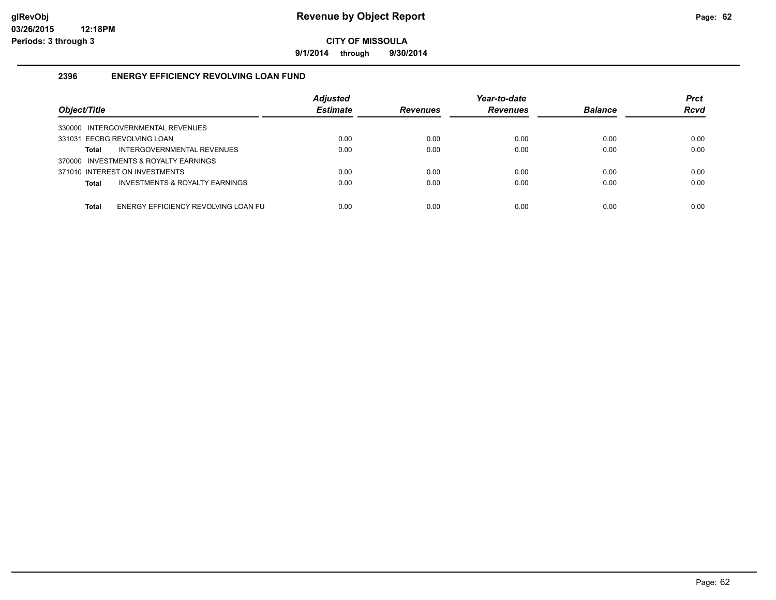**9/1/2014 through 9/30/2014**

### **2396 ENERGY EFFICIENCY REVOLVING LOAN FUND**

| Object/Title                                        | <b>Adjusted</b><br><b>Estimate</b> | <b>Revenues</b> | Year-to-date<br><b>Revenues</b> | <b>Balance</b> | <b>Prct</b><br><b>Rcvd</b> |
|-----------------------------------------------------|------------------------------------|-----------------|---------------------------------|----------------|----------------------------|
| 330000 INTERGOVERNMENTAL REVENUES                   |                                    |                 |                                 |                |                            |
| 331031 EECBG REVOLVING LOAN                         | 0.00                               | 0.00            | 0.00                            | 0.00           | 0.00                       |
| INTERGOVERNMENTAL REVENUES<br>Total                 | 0.00                               | 0.00            | 0.00                            | 0.00           | 0.00                       |
| 370000 INVESTMENTS & ROYALTY EARNINGS               |                                    |                 |                                 |                |                            |
| 371010 INTEREST ON INVESTMENTS                      | 0.00                               | 0.00            | 0.00                            | 0.00           | 0.00                       |
| INVESTMENTS & ROYALTY EARNINGS<br><b>Total</b>      | 0.00                               | 0.00            | 0.00                            | 0.00           | 0.00                       |
|                                                     |                                    |                 |                                 |                |                            |
| ENERGY EFFICIENCY REVOLVING LOAN FU<br><b>Total</b> | 0.00                               | 0.00            | 0.00                            | 0.00           | 0.00                       |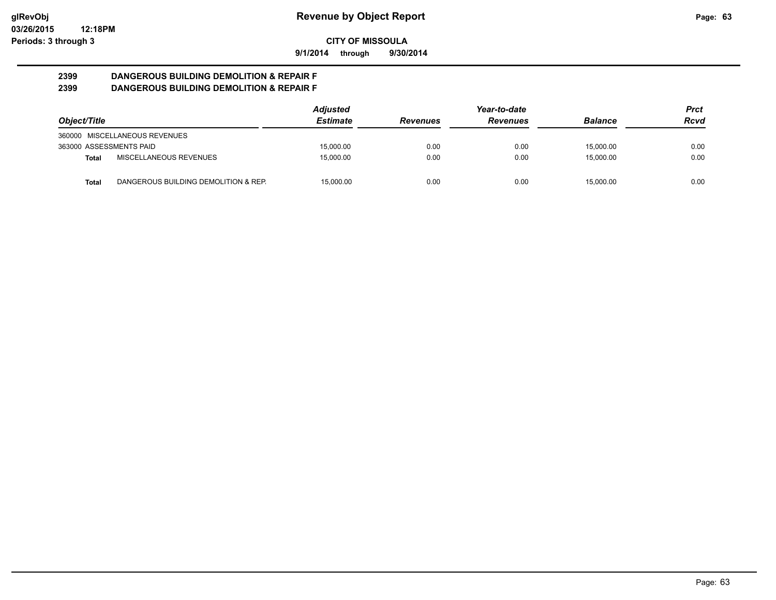**9/1/2014 through 9/30/2014**

#### **2399 DANGEROUS BUILDING DEMOLITION & REPAIR F 2399 DANGEROUS BUILDING DEMOLITION & REPAIR F**

|                         |                                      | <b>Adjusted</b> |                 | Year-to-date    |                | Prct |
|-------------------------|--------------------------------------|-----------------|-----------------|-----------------|----------------|------|
| Object/Title            |                                      | <b>Estimate</b> | <b>Revenues</b> | <b>Revenues</b> | <b>Balance</b> | Rcvd |
|                         | 360000 MISCELLANEOUS REVENUES        |                 |                 |                 |                |      |
| 363000 ASSESSMENTS PAID |                                      | 15.000.00       | 0.00            | 0.00            | 15.000.00      | 0.00 |
| Total                   | MISCELLANEOUS REVENUES               | 15.000.00       | 0.00            | 0.00            | 15.000.00      | 0.00 |
| Total                   | DANGEROUS BUILDING DEMOLITION & REP. | 15.000.00       | 0.00            | 0.00            | 15.000.00      | 0.00 |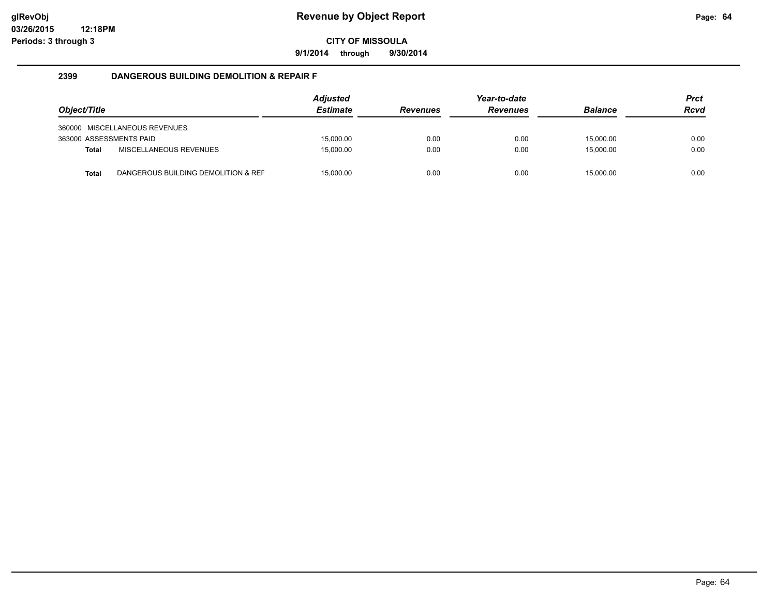**9/1/2014 through 9/30/2014**

#### **2399 DANGEROUS BUILDING DEMOLITION & REPAIR F**

| Object/Title            |                                     | <b>Adjusted</b><br><b>Estimate</b> | <b>Revenues</b> | Year-to-date<br><b>Revenues</b> | <b>Balance</b> | <b>Prct</b><br><b>Rcvd</b> |
|-------------------------|-------------------------------------|------------------------------------|-----------------|---------------------------------|----------------|----------------------------|
|                         | 360000 MISCELLANEOUS REVENUES       |                                    |                 |                                 |                |                            |
| 363000 ASSESSMENTS PAID |                                     | 15.000.00                          | 0.00            | 0.00                            | 15.000.00      | 0.00                       |
| <b>Total</b>            | MISCELLANEOUS REVENUES              | 15.000.00                          | 0.00            | 0.00                            | 15.000.00      | 0.00                       |
| <b>Total</b>            | DANGEROUS BUILDING DEMOLITION & REF | 15.000.00                          | 0.00            | 0.00                            | 15.000.00      | 0.00                       |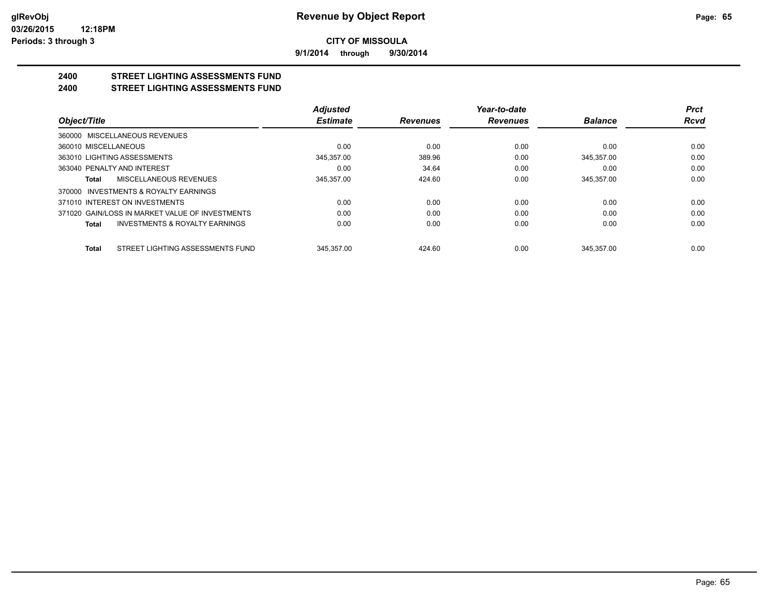**9/1/2014 through 9/30/2014**

#### **2400 STREET LIGHTING ASSESSMENTS FUND 2400 STREET LIGHTING ASSESSMENTS FUND**

|                                                  | <b>Adjusted</b> |                 | Year-to-date    |                | <b>Prct</b> |
|--------------------------------------------------|-----------------|-----------------|-----------------|----------------|-------------|
| Object/Title                                     | <b>Estimate</b> | <b>Revenues</b> | <b>Revenues</b> | <b>Balance</b> | Rcvd        |
| 360000 MISCELLANEOUS REVENUES                    |                 |                 |                 |                |             |
| 360010 MISCELLANEOUS                             | 0.00            | 0.00            | 0.00            | 0.00           | 0.00        |
| 363010 LIGHTING ASSESSMENTS                      | 345.357.00      | 389.96          | 0.00            | 345.357.00     | 0.00        |
| 363040 PENALTY AND INTEREST                      | 0.00            | 34.64           | 0.00            | 0.00           | 0.00        |
| MISCELLANEOUS REVENUES<br>Total                  | 345,357.00      | 424.60          | 0.00            | 345.357.00     | 0.00        |
| 370000 INVESTMENTS & ROYALTY EARNINGS            |                 |                 |                 |                |             |
| 371010 INTEREST ON INVESTMENTS                   | 0.00            | 0.00            | 0.00            | 0.00           | 0.00        |
| 371020 GAIN/LOSS IN MARKET VALUE OF INVESTMENTS  | 0.00            | 0.00            | 0.00            | 0.00           | 0.00        |
| INVESTMENTS & ROYALTY EARNINGS<br><b>Total</b>   | 0.00            | 0.00            | 0.00            | 0.00           | 0.00        |
| STREET LIGHTING ASSESSMENTS FUND<br><b>Total</b> | 345.357.00      | 424.60          | 0.00            | 345.357.00     | 0.00        |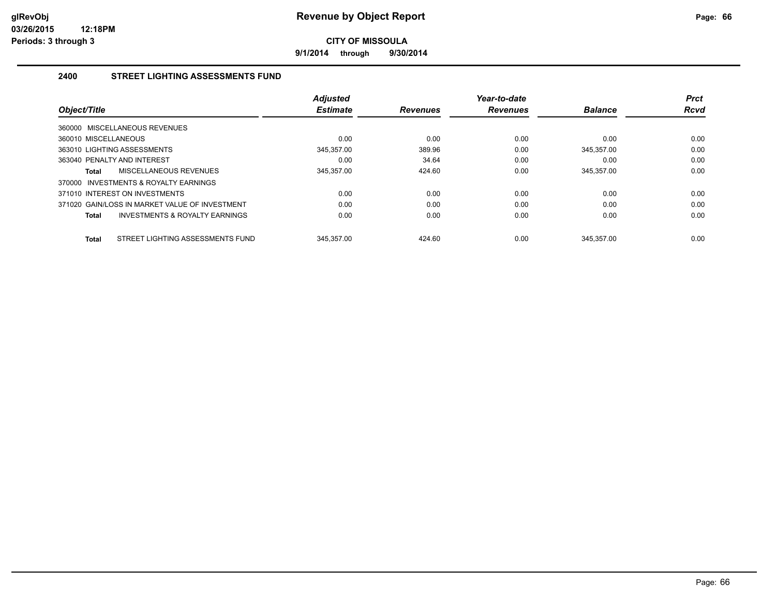**9/1/2014 through 9/30/2014**

### **2400 STREET LIGHTING ASSESSMENTS FUND**

| Object/Title                                              | <b>Adiusted</b><br><b>Estimate</b> | <b>Revenues</b> | Year-to-date<br><b>Revenues</b> | <b>Balance</b> | <b>Prct</b><br><b>Rcvd</b> |
|-----------------------------------------------------------|------------------------------------|-----------------|---------------------------------|----------------|----------------------------|
| 360000 MISCELLANEOUS REVENUES                             |                                    |                 |                                 |                |                            |
| 360010 MISCELLANEOUS                                      | 0.00                               | 0.00            | 0.00                            | 0.00           | 0.00                       |
| 363010 LIGHTING ASSESSMENTS                               | 345,357.00                         | 389.96          | 0.00                            | 345,357.00     | 0.00                       |
| 363040 PENALTY AND INTEREST                               | 0.00                               | 34.64           | 0.00                            | 0.00           | 0.00                       |
| MISCELLANEOUS REVENUES<br><b>Total</b>                    | 345,357.00                         | 424.60          | 0.00                            | 345,357.00     | 0.00                       |
| 370000 INVESTMENTS & ROYALTY EARNINGS                     |                                    |                 |                                 |                |                            |
| 371010 INTEREST ON INVESTMENTS                            | 0.00                               | 0.00            | 0.00                            | 0.00           | 0.00                       |
| 371020 GAIN/LOSS IN MARKET VALUE OF INVESTMENT            | 0.00                               | 0.00            | 0.00                            | 0.00           | 0.00                       |
| <b>INVESTMENTS &amp; ROYALTY EARNINGS</b><br><b>Total</b> | 0.00                               | 0.00            | 0.00                            | 0.00           | 0.00                       |
| STREET LIGHTING ASSESSMENTS FUND<br><b>Total</b>          | 345.357.00                         | 424.60          | 0.00                            | 345.357.00     | 0.00                       |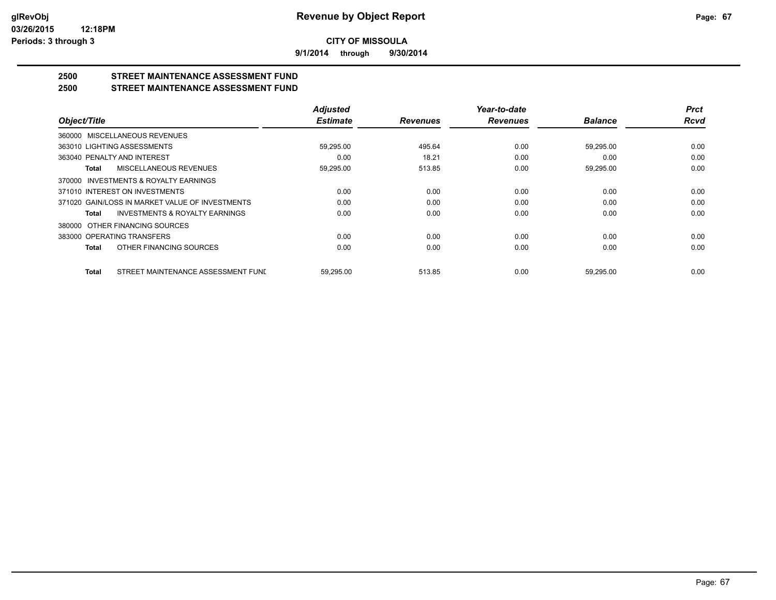**9/1/2014 through 9/30/2014**

## **2500 STREET MAINTENANCE ASSESSMENT FUND**

## **2500 STREET MAINTENANCE ASSESSMENT FUND**

|                                                           | <b>Adjusted</b> |                 | Year-to-date    |                | <b>Prct</b> |
|-----------------------------------------------------------|-----------------|-----------------|-----------------|----------------|-------------|
| Object/Title                                              | <b>Estimate</b> | <b>Revenues</b> | <b>Revenues</b> | <b>Balance</b> | <b>Rcvd</b> |
| 360000 MISCELLANEOUS REVENUES                             |                 |                 |                 |                |             |
| 363010 LIGHTING ASSESSMENTS                               | 59,295.00       | 495.64          | 0.00            | 59,295.00      | 0.00        |
| 363040 PENALTY AND INTEREST                               | 0.00            | 18.21           | 0.00            | 0.00           | 0.00        |
| MISCELLANEOUS REVENUES<br>Total                           | 59,295.00       | 513.85          | 0.00            | 59,295.00      | 0.00        |
| INVESTMENTS & ROYALTY EARNINGS<br>370000                  |                 |                 |                 |                |             |
| 371010 INTEREST ON INVESTMENTS                            | 0.00            | 0.00            | 0.00            | 0.00           | 0.00        |
| 371020 GAIN/LOSS IN MARKET VALUE OF INVESTMENTS           | 0.00            | 0.00            | 0.00            | 0.00           | 0.00        |
| <b>INVESTMENTS &amp; ROYALTY EARNINGS</b><br><b>Total</b> | 0.00            | 0.00            | 0.00            | 0.00           | 0.00        |
| OTHER FINANCING SOURCES<br>380000                         |                 |                 |                 |                |             |
| 383000 OPERATING TRANSFERS                                | 0.00            | 0.00            | 0.00            | 0.00           | 0.00        |
| OTHER FINANCING SOURCES<br><b>Total</b>                   | 0.00            | 0.00            | 0.00            | 0.00           | 0.00        |
| STREET MAINTENANCE ASSESSMENT FUNI<br><b>Total</b>        | 59.295.00       | 513.85          | 0.00            | 59.295.00      | 0.00        |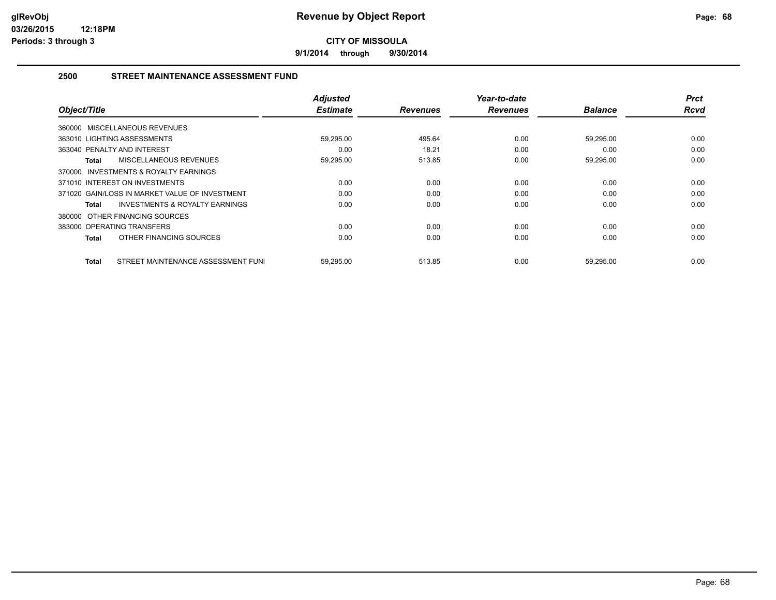**9/1/2014 through 9/30/2014**

#### **2500 STREET MAINTENANCE ASSESSMENT FUND**

| Object/Title                                       | <b>Adjusted</b><br><b>Estimate</b> | <b>Revenues</b> | Year-to-date<br><b>Revenues</b> | <b>Balance</b> | <b>Prct</b><br><b>Rcvd</b> |
|----------------------------------------------------|------------------------------------|-----------------|---------------------------------|----------------|----------------------------|
| 360000 MISCELLANEOUS REVENUES                      |                                    |                 |                                 |                |                            |
| 363010 LIGHTING ASSESSMENTS                        | 59.295.00                          | 495.64          | 0.00                            | 59,295.00      | 0.00                       |
| 363040 PENALTY AND INTEREST                        | 0.00                               | 18.21           | 0.00                            | 0.00           | 0.00                       |
| MISCELLANEOUS REVENUES<br>Total                    | 59,295.00                          | 513.85          | 0.00                            | 59,295.00      | 0.00                       |
| 370000 INVESTMENTS & ROYALTY EARNINGS              |                                    |                 |                                 |                |                            |
| 371010 INTEREST ON INVESTMENTS                     | 0.00                               | 0.00            | 0.00                            | 0.00           | 0.00                       |
| 371020 GAIN/LOSS IN MARKET VALUE OF INVESTMENT     | 0.00                               | 0.00            | 0.00                            | 0.00           | 0.00                       |
| <b>INVESTMENTS &amp; ROYALTY EARNINGS</b><br>Total | 0.00                               | 0.00            | 0.00                            | 0.00           | 0.00                       |
| 380000 OTHER FINANCING SOURCES                     |                                    |                 |                                 |                |                            |
| 383000 OPERATING TRANSFERS                         | 0.00                               | 0.00            | 0.00                            | 0.00           | 0.00                       |
| OTHER FINANCING SOURCES<br>Total                   | 0.00                               | 0.00            | 0.00                            | 0.00           | 0.00                       |
| STREET MAINTENANCE ASSESSMENT FUNI<br>Total        | 59,295.00                          | 513.85          | 0.00                            | 59,295.00      | 0.00                       |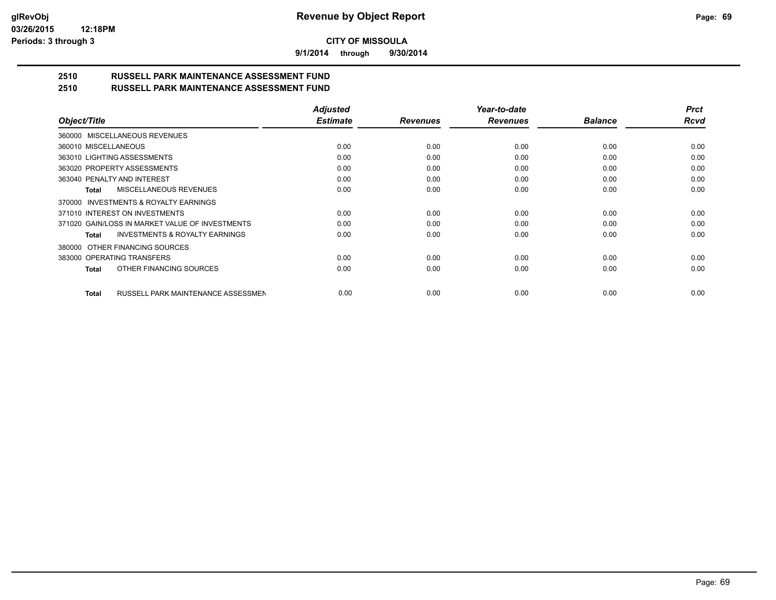**9/1/2014 through 9/30/2014**

# **2510 RUSSELL PARK MAINTENANCE ASSESSMENT FUND**

| 2510 | <b>RUSSELL PARK MAINTENANCE ASSESSMENT FUND</b> |  |
|------|-------------------------------------------------|--|
|      |                                                 |  |

|                                                    | <b>Adjusted</b> |                 | Year-to-date    |                | <b>Prct</b> |
|----------------------------------------------------|-----------------|-----------------|-----------------|----------------|-------------|
| Object/Title                                       | <b>Estimate</b> | <b>Revenues</b> | <b>Revenues</b> | <b>Balance</b> | <b>Rcvd</b> |
| 360000 MISCELLANEOUS REVENUES                      |                 |                 |                 |                |             |
| 360010 MISCELLANEOUS                               | 0.00            | 0.00            | 0.00            | 0.00           | 0.00        |
| 363010 LIGHTING ASSESSMENTS                        | 0.00            | 0.00            | 0.00            | 0.00           | 0.00        |
| 363020 PROPERTY ASSESSMENTS                        | 0.00            | 0.00            | 0.00            | 0.00           | 0.00        |
| 363040 PENALTY AND INTEREST                        | 0.00            | 0.00            | 0.00            | 0.00           | 0.00        |
| <b>MISCELLANEOUS REVENUES</b><br>Total             | 0.00            | 0.00            | 0.00            | 0.00           | 0.00        |
| INVESTMENTS & ROYALTY EARNINGS<br>370000           |                 |                 |                 |                |             |
| 371010 INTEREST ON INVESTMENTS                     | 0.00            | 0.00            | 0.00            | 0.00           | 0.00        |
| 371020 GAIN/LOSS IN MARKET VALUE OF INVESTMENTS    | 0.00            | 0.00            | 0.00            | 0.00           | 0.00        |
| <b>INVESTMENTS &amp; ROYALTY EARNINGS</b><br>Total | 0.00            | 0.00            | 0.00            | 0.00           | 0.00        |
| OTHER FINANCING SOURCES<br>380000                  |                 |                 |                 |                |             |
| 383000 OPERATING TRANSFERS                         | 0.00            | 0.00            | 0.00            | 0.00           | 0.00        |
| OTHER FINANCING SOURCES<br>Total                   | 0.00            | 0.00            | 0.00            | 0.00           | 0.00        |
|                                                    |                 |                 |                 |                |             |
| RUSSELL PARK MAINTENANCE ASSESSMEN<br><b>Total</b> | 0.00            | 0.00            | 0.00            | 0.00           | 0.00        |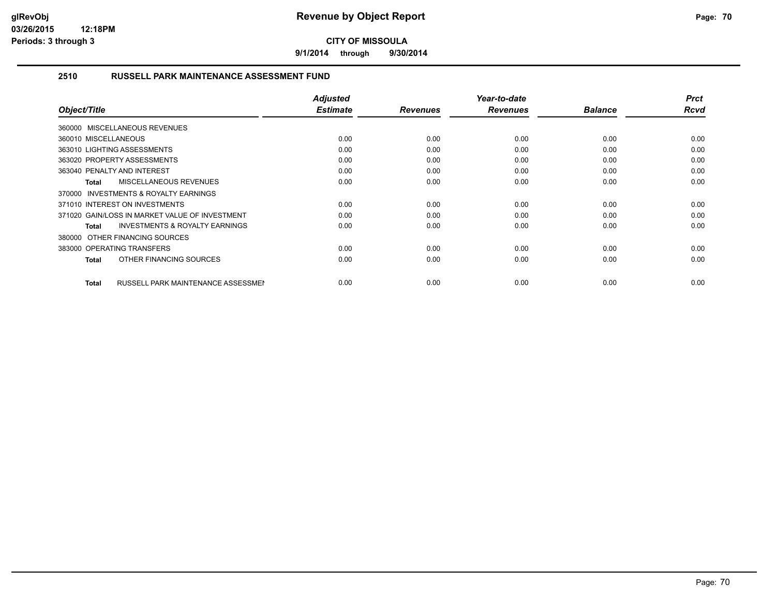**9/1/2014 through 9/30/2014**

#### **2510 RUSSELL PARK MAINTENANCE ASSESSMENT FUND**

| Object/Title                                              | <b>Adjusted</b><br><b>Estimate</b> | <b>Revenues</b> | Year-to-date<br><b>Revenues</b> | <b>Balance</b> | <b>Prct</b><br>Rcvd |
|-----------------------------------------------------------|------------------------------------|-----------------|---------------------------------|----------------|---------------------|
| 360000 MISCELLANEOUS REVENUES                             |                                    |                 |                                 |                |                     |
| 360010 MISCELLANEOUS                                      | 0.00                               | 0.00            | 0.00                            | 0.00           | 0.00                |
| 363010 LIGHTING ASSESSMENTS                               | 0.00                               | 0.00            | 0.00                            | 0.00           | 0.00                |
| 363020 PROPERTY ASSESSMENTS                               | 0.00                               | 0.00            | 0.00                            | 0.00           | 0.00                |
| 363040 PENALTY AND INTEREST                               | 0.00                               | 0.00            | 0.00                            | 0.00           | 0.00                |
| <b>MISCELLANEOUS REVENUES</b><br><b>Total</b>             | 0.00                               | 0.00            | 0.00                            | 0.00           | 0.00                |
| <b>INVESTMENTS &amp; ROYALTY EARNINGS</b><br>370000       |                                    |                 |                                 |                |                     |
| 371010 INTEREST ON INVESTMENTS                            | 0.00                               | 0.00            | 0.00                            | 0.00           | 0.00                |
| 371020 GAIN/LOSS IN MARKET VALUE OF INVESTMENT            | 0.00                               | 0.00            | 0.00                            | 0.00           | 0.00                |
| <b>INVESTMENTS &amp; ROYALTY EARNINGS</b><br>Total        | 0.00                               | 0.00            | 0.00                            | 0.00           | 0.00                |
| 380000 OTHER FINANCING SOURCES                            |                                    |                 |                                 |                |                     |
| 383000 OPERATING TRANSFERS                                | 0.00                               | 0.00            | 0.00                            | 0.00           | 0.00                |
| OTHER FINANCING SOURCES<br>Total                          | 0.00                               | 0.00            | 0.00                            | 0.00           | 0.00                |
|                                                           |                                    |                 |                                 |                |                     |
| <b>RUSSELL PARK MAINTENANCE ASSESSMEN</b><br><b>Total</b> | 0.00                               | 0.00            | 0.00                            | 0.00           | 0.00                |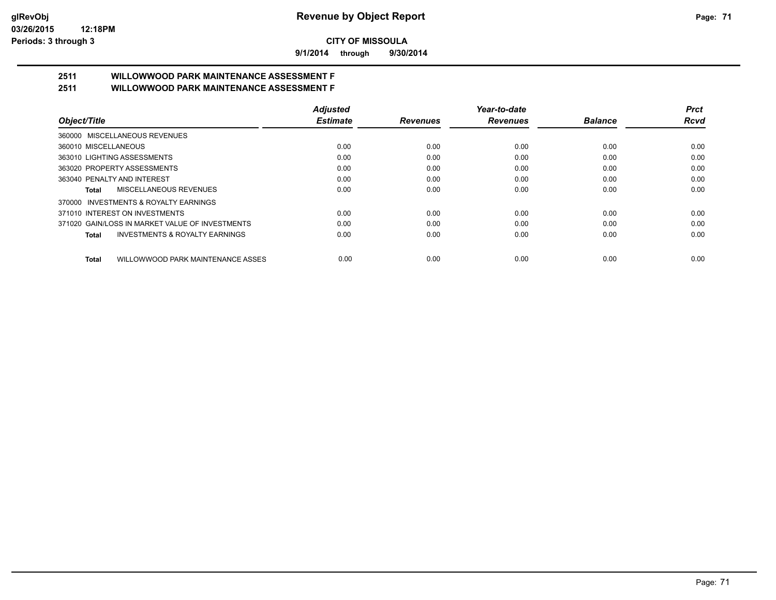**9/1/2014 through 9/30/2014**

# **2511 WILLOWWOOD PARK MAINTENANCE ASSESSMENT F**

**2511 WILLOWWOOD PARK MAINTENANCE ASSESSMENT F**

|                                                   | <b>Adjusted</b> |                 | Year-to-date    |                | Prct |
|---------------------------------------------------|-----------------|-----------------|-----------------|----------------|------|
| Object/Title                                      | <b>Estimate</b> | <b>Revenues</b> | <b>Revenues</b> | <b>Balance</b> | Rcvd |
| 360000 MISCELLANEOUS REVENUES                     |                 |                 |                 |                |      |
| 360010 MISCELLANEOUS                              | 0.00            | 0.00            | 0.00            | 0.00           | 0.00 |
| 363010 LIGHTING ASSESSMENTS                       | 0.00            | 0.00            | 0.00            | 0.00           | 0.00 |
| 363020 PROPERTY ASSESSMENTS                       | 0.00            | 0.00            | 0.00            | 0.00           | 0.00 |
| 363040 PENALTY AND INTEREST                       | 0.00            | 0.00            | 0.00            | 0.00           | 0.00 |
| MISCELLANEOUS REVENUES<br>Total                   | 0.00            | 0.00            | 0.00            | 0.00           | 0.00 |
| 370000 INVESTMENTS & ROYALTY EARNINGS             |                 |                 |                 |                |      |
| 371010 INTEREST ON INVESTMENTS                    | 0.00            | 0.00            | 0.00            | 0.00           | 0.00 |
| 371020 GAIN/LOSS IN MARKET VALUE OF INVESTMENTS   | 0.00            | 0.00            | 0.00            | 0.00           | 0.00 |
| INVESTMENTS & ROYALTY EARNINGS<br>Total           | 0.00            | 0.00            | 0.00            | 0.00           | 0.00 |
| WILLOWWOOD PARK MAINTENANCE ASSES<br><b>Total</b> | 0.00            | 0.00            | 0.00            | 0.00           | 0.00 |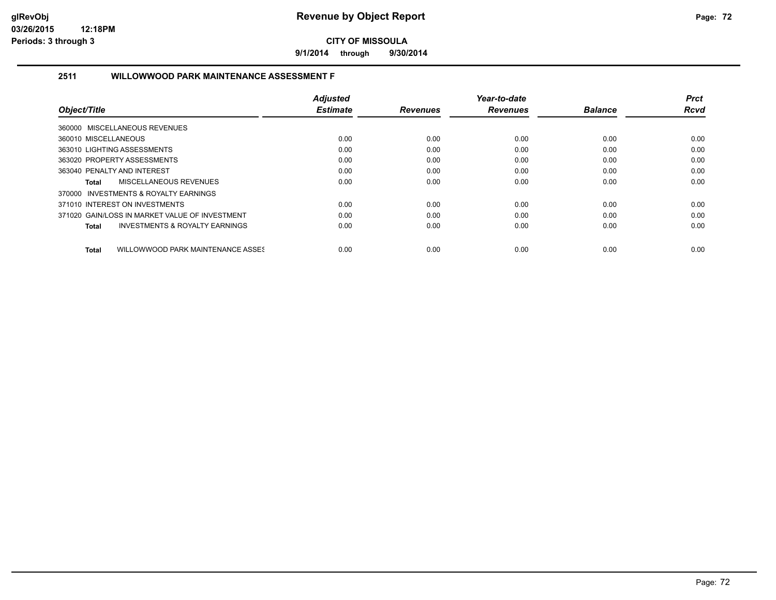**9/1/2014 through 9/30/2014**

#### **2511 WILLOWWOOD PARK MAINTENANCE ASSESSMENT F**

|                                                    | <b>Adjusted</b> |                 | Year-to-date    |                | <b>Prct</b> |
|----------------------------------------------------|-----------------|-----------------|-----------------|----------------|-------------|
| Object/Title                                       | <b>Estimate</b> | <b>Revenues</b> | <b>Revenues</b> | <b>Balance</b> | <b>Rcvd</b> |
| 360000 MISCELLANEOUS REVENUES                      |                 |                 |                 |                |             |
| 360010 MISCELLANEOUS                               | 0.00            | 0.00            | 0.00            | 0.00           | 0.00        |
| 363010 LIGHTING ASSESSMENTS                        | 0.00            | 0.00            | 0.00            | 0.00           | 0.00        |
| 363020 PROPERTY ASSESSMENTS                        | 0.00            | 0.00            | 0.00            | 0.00           | 0.00        |
| 363040 PENALTY AND INTEREST                        | 0.00            | 0.00            | 0.00            | 0.00           | 0.00        |
| <b>MISCELLANEOUS REVENUES</b><br>Total             | 0.00            | 0.00            | 0.00            | 0.00           | 0.00        |
| 370000 INVESTMENTS & ROYALTY EARNINGS              |                 |                 |                 |                |             |
| 371010 INTEREST ON INVESTMENTS                     | 0.00            | 0.00            | 0.00            | 0.00           | 0.00        |
| 371020 GAIN/LOSS IN MARKET VALUE OF INVESTMENT     | 0.00            | 0.00            | 0.00            | 0.00           | 0.00        |
| <b>INVESTMENTS &amp; ROYALTY EARNINGS</b><br>Total | 0.00            | 0.00            | 0.00            | 0.00           | 0.00        |
| WILLOWWOOD PARK MAINTENANCE ASSES<br>Total         | 0.00            | 0.00            | 0.00            | 0.00           | 0.00        |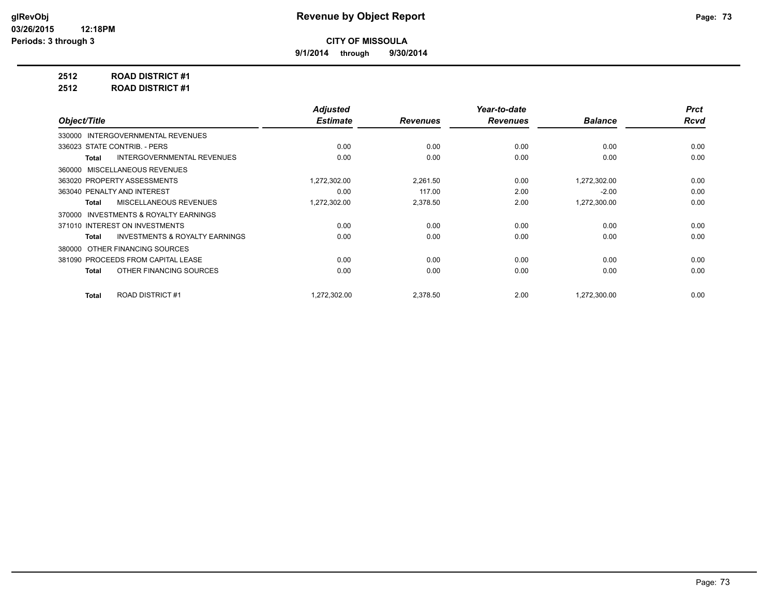**9/1/2014 through 9/30/2014**

**2512 ROAD DISTRICT #1**

**2512 ROAD DISTRICT #1**

|                                                    | <b>Adjusted</b> |                 | Year-to-date    |                | <b>Prct</b> |
|----------------------------------------------------|-----------------|-----------------|-----------------|----------------|-------------|
| Object/Title                                       | <b>Estimate</b> | <b>Revenues</b> | <b>Revenues</b> | <b>Balance</b> | <b>Rcvd</b> |
| 330000 INTERGOVERNMENTAL REVENUES                  |                 |                 |                 |                |             |
| 336023 STATE CONTRIB. - PERS                       | 0.00            | 0.00            | 0.00            | 0.00           | 0.00        |
| <b>INTERGOVERNMENTAL REVENUES</b><br>Total         | 0.00            | 0.00            | 0.00            | 0.00           | 0.00        |
| 360000 MISCELLANEOUS REVENUES                      |                 |                 |                 |                |             |
| 363020 PROPERTY ASSESSMENTS                        | 1,272,302.00    | 2,261.50        | 0.00            | 1,272,302.00   | 0.00        |
| 363040 PENALTY AND INTEREST                        | 0.00            | 117.00          | 2.00            | $-2.00$        | 0.00        |
| MISCELLANEOUS REVENUES<br>Total                    | 1,272,302.00    | 2,378.50        | 2.00            | 1,272,300.00   | 0.00        |
| INVESTMENTS & ROYALTY EARNINGS<br>370000           |                 |                 |                 |                |             |
| 371010 INTEREST ON INVESTMENTS                     | 0.00            | 0.00            | 0.00            | 0.00           | 0.00        |
| <b>INVESTMENTS &amp; ROYALTY EARNINGS</b><br>Total | 0.00            | 0.00            | 0.00            | 0.00           | 0.00        |
| OTHER FINANCING SOURCES<br>380000                  |                 |                 |                 |                |             |
| 381090 PROCEEDS FROM CAPITAL LEASE                 | 0.00            | 0.00            | 0.00            | 0.00           | 0.00        |
| OTHER FINANCING SOURCES<br>Total                   | 0.00            | 0.00            | 0.00            | 0.00           | 0.00        |
|                                                    |                 |                 |                 |                |             |
| ROAD DISTRICT #1<br><b>Total</b>                   | 1,272,302.00    | 2,378.50        | 2.00            | 1,272,300.00   | 0.00        |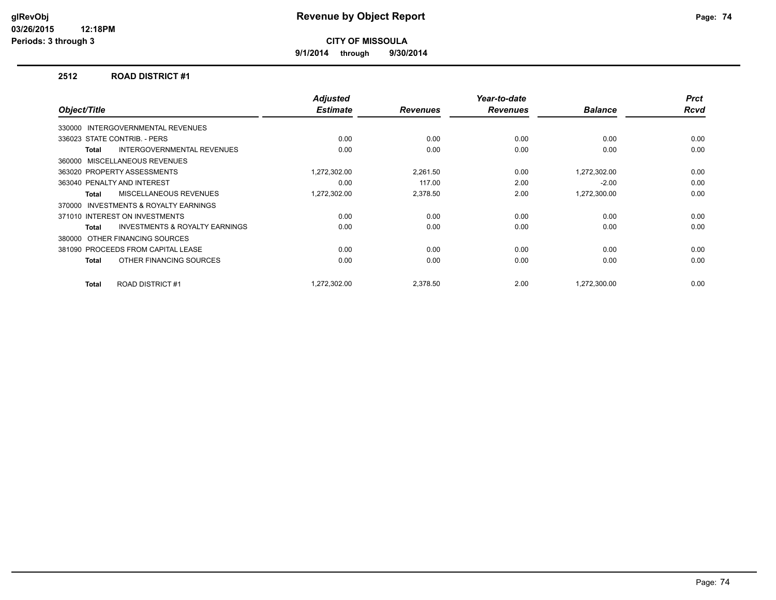**9/1/2014 through 9/30/2014**

### **2512 ROAD DISTRICT #1**

| Object/Title                       |                                           | <b>Adjusted</b><br><b>Estimate</b> | <b>Revenues</b> | Year-to-date<br><b>Revenues</b> | <b>Balance</b> | <b>Prct</b><br><b>Rcvd</b> |
|------------------------------------|-------------------------------------------|------------------------------------|-----------------|---------------------------------|----------------|----------------------------|
| 330000                             | INTERGOVERNMENTAL REVENUES                |                                    |                 |                                 |                |                            |
| 336023 STATE CONTRIB. - PERS       |                                           | 0.00                               | 0.00            | 0.00                            | 0.00           | 0.00                       |
| <b>Total</b>                       | <b>INTERGOVERNMENTAL REVENUES</b>         | 0.00                               | 0.00            | 0.00                            | 0.00           | 0.00                       |
| 360000 MISCELLANEOUS REVENUES      |                                           |                                    |                 |                                 |                |                            |
| 363020 PROPERTY ASSESSMENTS        |                                           | 1,272,302.00                       | 2,261.50        | 0.00                            | 1,272,302.00   | 0.00                       |
| 363040 PENALTY AND INTEREST        |                                           | 0.00                               | 117.00          | 2.00                            | $-2.00$        | 0.00                       |
| <b>Total</b>                       | MISCELLANEOUS REVENUES                    | 1,272,302.00                       | 2,378.50        | 2.00                            | 1,272,300.00   | 0.00                       |
| 370000                             | <b>INVESTMENTS &amp; ROYALTY EARNINGS</b> |                                    |                 |                                 |                |                            |
| 371010 INTEREST ON INVESTMENTS     |                                           | 0.00                               | 0.00            | 0.00                            | 0.00           | 0.00                       |
| <b>Total</b>                       | <b>INVESTMENTS &amp; ROYALTY EARNINGS</b> | 0.00                               | 0.00            | 0.00                            | 0.00           | 0.00                       |
| 380000                             | OTHER FINANCING SOURCES                   |                                    |                 |                                 |                |                            |
| 381090 PROCEEDS FROM CAPITAL LEASE |                                           | 0.00                               | 0.00            | 0.00                            | 0.00           | 0.00                       |
| <b>Total</b>                       | OTHER FINANCING SOURCES                   | 0.00                               | 0.00            | 0.00                            | 0.00           | 0.00                       |
| <b>Total</b>                       | <b>ROAD DISTRICT #1</b>                   | 1.272.302.00                       | 2.378.50        | 2.00                            | 1.272.300.00   | 0.00                       |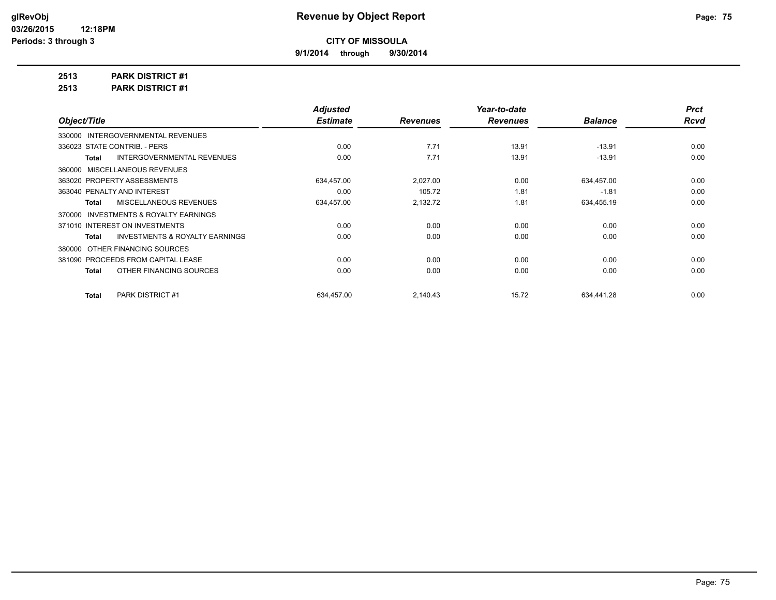**9/1/2014 through 9/30/2014**

**2513 PARK DISTRICT #1**

**2513 PARK DISTRICT #1**

| <b>Adjusted</b> |                 | Year-to-date    |                | <b>Prct</b> |
|-----------------|-----------------|-----------------|----------------|-------------|
| <b>Estimate</b> | <b>Revenues</b> | <b>Revenues</b> | <b>Balance</b> | <b>Rcvd</b> |
|                 |                 |                 |                |             |
| 0.00            | 7.71            | 13.91           | $-13.91$       | 0.00        |
| 0.00            | 7.71            | 13.91           | $-13.91$       | 0.00        |
|                 |                 |                 |                |             |
| 634,457.00      | 2,027.00        | 0.00            | 634,457.00     | 0.00        |
| 0.00            | 105.72          | 1.81            | $-1.81$        | 0.00        |
| 634,457.00      | 2,132.72        | 1.81            | 634,455.19     | 0.00        |
|                 |                 |                 |                |             |
| 0.00            | 0.00            | 0.00            | 0.00           | 0.00        |
| 0.00            | 0.00            | 0.00            | 0.00           | 0.00        |
|                 |                 |                 |                |             |
| 0.00            | 0.00            | 0.00            | 0.00           | 0.00        |
| 0.00            | 0.00            | 0.00            | 0.00           | 0.00        |
|                 |                 |                 |                | 0.00        |
|                 | 634.457.00      | 2,140.43        | 15.72          | 634,441.28  |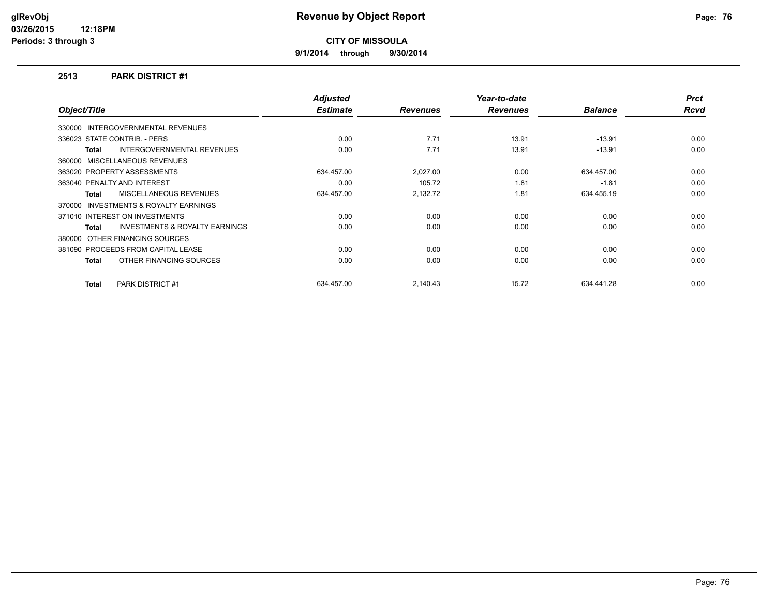**9/1/2014 through 9/30/2014**

### **2513 PARK DISTRICT #1**

| Object/Title                                        |                                           | <b>Adjusted</b><br><b>Estimate</b> | <b>Revenues</b> | Year-to-date<br><b>Revenues</b> | <b>Balance</b> | <b>Prct</b><br>Rcvd |
|-----------------------------------------------------|-------------------------------------------|------------------------------------|-----------------|---------------------------------|----------------|---------------------|
|                                                     |                                           |                                    |                 |                                 |                |                     |
| 330000 INTERGOVERNMENTAL REVENUES                   |                                           |                                    |                 |                                 |                |                     |
| 336023 STATE CONTRIB. - PERS                        |                                           | 0.00                               | 7.71            | 13.91                           | $-13.91$       | 0.00                |
| Total                                               | <b>INTERGOVERNMENTAL REVENUES</b>         | 0.00                               | 7.71            | 13.91                           | $-13.91$       | 0.00                |
| MISCELLANEOUS REVENUES<br>360000                    |                                           |                                    |                 |                                 |                |                     |
| 363020 PROPERTY ASSESSMENTS                         |                                           | 634,457.00                         | 2,027.00        | 0.00                            | 634,457.00     | 0.00                |
| 363040 PENALTY AND INTEREST                         |                                           | 0.00                               | 105.72          | 1.81                            | $-1.81$        | 0.00                |
| Total                                               | <b>MISCELLANEOUS REVENUES</b>             | 634,457.00                         | 2,132.72        | 1.81                            | 634,455.19     | 0.00                |
| <b>INVESTMENTS &amp; ROYALTY EARNINGS</b><br>370000 |                                           |                                    |                 |                                 |                |                     |
| 371010 INTEREST ON INVESTMENTS                      |                                           | 0.00                               | 0.00            | 0.00                            | 0.00           | 0.00                |
| Total                                               | <b>INVESTMENTS &amp; ROYALTY EARNINGS</b> | 0.00                               | 0.00            | 0.00                            | 0.00           | 0.00                |
| 380000 OTHER FINANCING SOURCES                      |                                           |                                    |                 |                                 |                |                     |
| 381090 PROCEEDS FROM CAPITAL LEASE                  |                                           | 0.00                               | 0.00            | 0.00                            | 0.00           | 0.00                |
| Total                                               | OTHER FINANCING SOURCES                   | 0.00                               | 0.00            | 0.00                            | 0.00           | 0.00                |
| PARK DISTRICT #1<br>Total                           |                                           | 634,457.00                         | 2,140.43        | 15.72                           | 634,441.28     | 0.00                |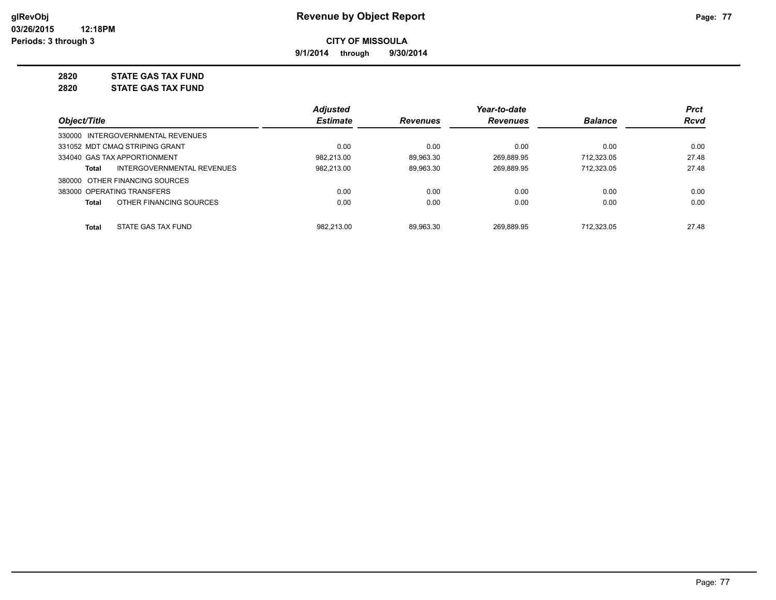**9/1/2014 through 9/30/2014**

# **2820 STATE GAS TAX FUND**

**2820 STATE GAS TAX FUND**

|                                     | <b>Adjusted</b> |                 | Year-to-date    |                | <b>Prct</b> |
|-------------------------------------|-----------------|-----------------|-----------------|----------------|-------------|
| Object/Title                        | <b>Estimate</b> | <b>Revenues</b> | <b>Revenues</b> | <b>Balance</b> | <b>Rcvd</b> |
| 330000 INTERGOVERNMENTAL REVENUES   |                 |                 |                 |                |             |
| 331052 MDT CMAQ STRIPING GRANT      | 0.00            | 0.00            | 0.00            | 0.00           | 0.00        |
| 334040 GAS TAX APPORTIONMENT        | 982.213.00      | 89.963.30       | 269.889.95      | 712.323.05     | 27.48       |
| INTERGOVERNMENTAL REVENUES<br>Total | 982,213.00      | 89,963.30       | 269,889.95      | 712.323.05     | 27.48       |
| 380000 OTHER FINANCING SOURCES      |                 |                 |                 |                |             |
| 383000 OPERATING TRANSFERS          | 0.00            | 0.00            | 0.00            | 0.00           | 0.00        |
| OTHER FINANCING SOURCES<br>Total    | 0.00            | 0.00            | 0.00            | 0.00           | 0.00        |
|                                     |                 |                 |                 |                |             |
| STATE GAS TAX FUND<br><b>Total</b>  | 982.213.00      | 89.963.30       | 269.889.95      | 712.323.05     | 27.48       |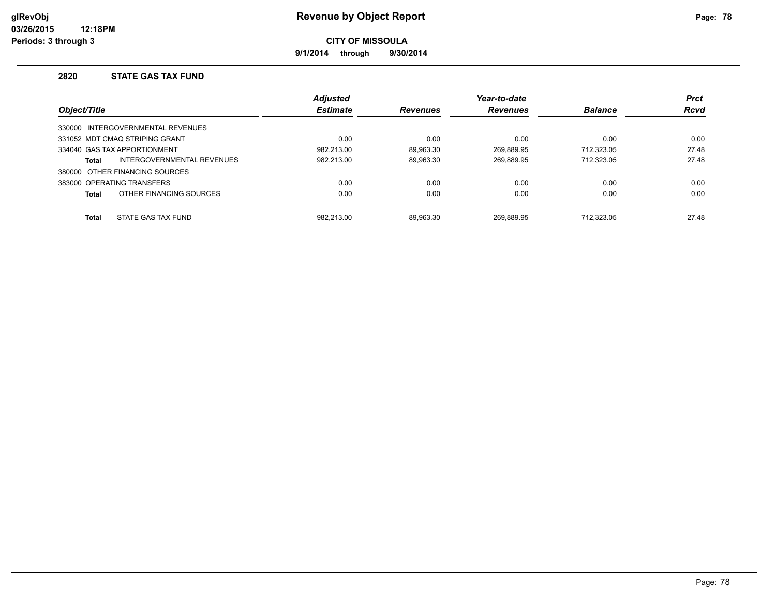**9/1/2014 through 9/30/2014**

### **2820 STATE GAS TAX FUND**

|              |                                   | <b>Adjusted</b> |                 | Year-to-date    |                | <b>Prct</b> |
|--------------|-----------------------------------|-----------------|-----------------|-----------------|----------------|-------------|
| Object/Title |                                   | <b>Estimate</b> | <b>Revenues</b> | <b>Revenues</b> | <b>Balance</b> | <b>Rcvd</b> |
|              | 330000 INTERGOVERNMENTAL REVENUES |                 |                 |                 |                |             |
|              | 331052 MDT CMAQ STRIPING GRANT    | 0.00            | 0.00            | 0.00            | 0.00           | 0.00        |
|              | 334040 GAS TAX APPORTIONMENT      | 982.213.00      | 89.963.30       | 269.889.95      | 712.323.05     | 27.48       |
| Total        | INTERGOVERNMENTAL REVENUES        | 982.213.00      | 89.963.30       | 269,889.95      | 712.323.05     | 27.48       |
|              | 380000 OTHER FINANCING SOURCES    |                 |                 |                 |                |             |
|              | 383000 OPERATING TRANSFERS        | 0.00            | 0.00            | 0.00            | 0.00           | 0.00        |
| <b>Total</b> | OTHER FINANCING SOURCES           | 0.00            | 0.00            | 0.00            | 0.00           | 0.00        |
| <b>Total</b> | STATE GAS TAX FUND                | 982.213.00      | 89.963.30       | 269.889.95      | 712.323.05     | 27.48       |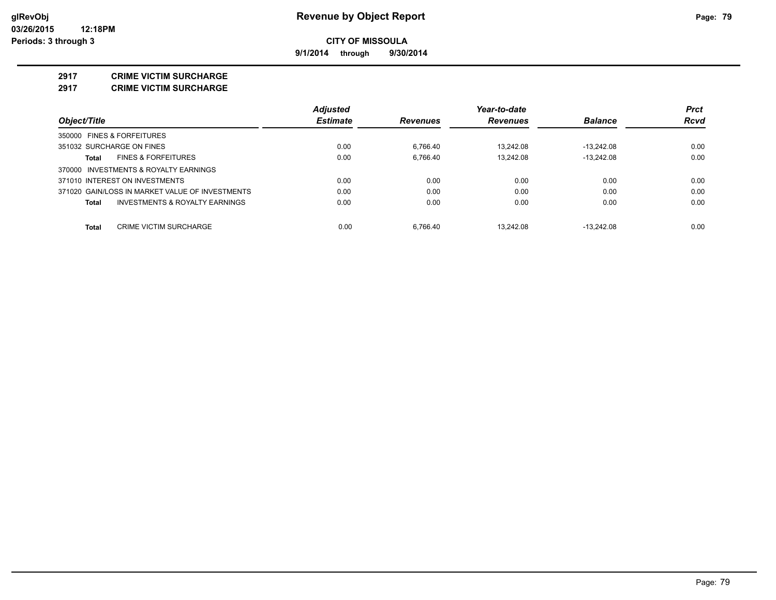**9/1/2014 through 9/30/2014**

#### **2917 CRIME VICTIM SURCHARGE**

**2917 CRIME VICTIM SURCHARGE**

|                                                    | <b>Adjusted</b> |                 | Year-to-date    |                | <b>Prct</b> |
|----------------------------------------------------|-----------------|-----------------|-----------------|----------------|-------------|
| Object/Title                                       | <b>Estimate</b> | <b>Revenues</b> | <b>Revenues</b> | <b>Balance</b> | Rcvd        |
| 350000 FINES & FORFEITURES                         |                 |                 |                 |                |             |
| 351032 SURCHARGE ON FINES                          | 0.00            | 6.766.40        | 13.242.08       | $-13.242.08$   | 0.00        |
| <b>FINES &amp; FORFEITURES</b><br>Total            | 0.00            | 6,766.40        | 13.242.08       | $-13.242.08$   | 0.00        |
| 370000 INVESTMENTS & ROYALTY EARNINGS              |                 |                 |                 |                |             |
| 371010 INTEREST ON INVESTMENTS                     | 0.00            | 0.00            | 0.00            | 0.00           | 0.00        |
| 371020 GAIN/LOSS IN MARKET VALUE OF INVESTMENTS    | 0.00            | 0.00            | 0.00            | 0.00           | 0.00        |
| <b>INVESTMENTS &amp; ROYALTY EARNINGS</b><br>Total | 0.00            | 0.00            | 0.00            | 0.00           | 0.00        |
| CRIME VICTIM SURCHARGE<br>Total                    | 0.00            | 6.766.40        | 13.242.08       | $-13.242.08$   | 0.00        |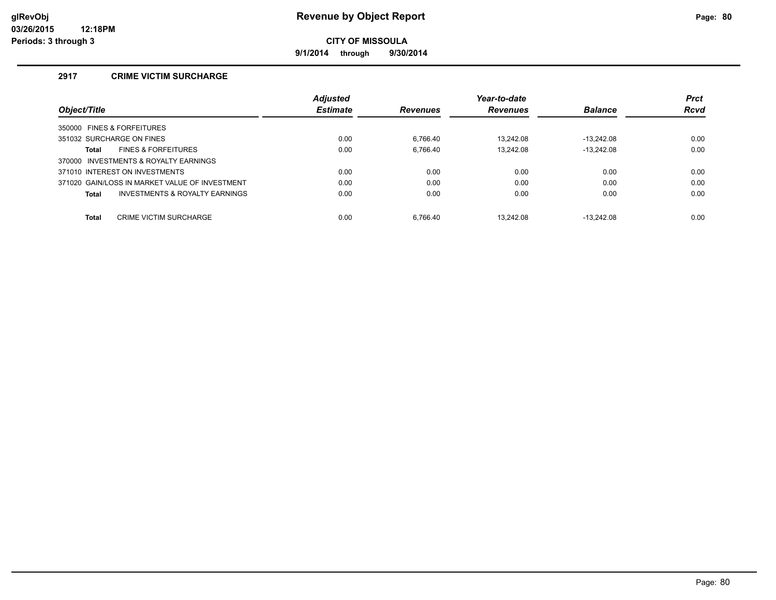**9/1/2014 through 9/30/2014**

### **2917 CRIME VICTIM SURCHARGE**

|                                                | Adjusted        |                 | Year-to-date    |                | <b>Prct</b> |
|------------------------------------------------|-----------------|-----------------|-----------------|----------------|-------------|
| Object/Title                                   | <b>Estimate</b> | <b>Revenues</b> | <b>Revenues</b> | <b>Balance</b> | <b>Rcvd</b> |
| 350000 FINES & FORFEITURES                     |                 |                 |                 |                |             |
| 351032 SURCHARGE ON FINES                      | 0.00            | 6.766.40        | 13.242.08       | $-13.242.08$   | 0.00        |
| <b>FINES &amp; FORFEITURES</b><br><b>Total</b> | 0.00            | 6.766.40        | 13.242.08       | $-13.242.08$   | 0.00        |
| 370000 INVESTMENTS & ROYALTY EARNINGS          |                 |                 |                 |                |             |
| 371010 INTEREST ON INVESTMENTS                 | 0.00            | 0.00            | 0.00            | 0.00           | 0.00        |
| 371020 GAIN/LOSS IN MARKET VALUE OF INVESTMENT | 0.00            | 0.00            | 0.00            | 0.00           | 0.00        |
| INVESTMENTS & ROYALTY EARNINGS<br>Total        | 0.00            | 0.00            | 0.00            | 0.00           | 0.00        |
|                                                |                 |                 |                 |                |             |
| CRIME VICTIM SURCHARGE<br><b>Total</b>         | 0.00            | 6.766.40        | 13.242.08       | $-13.242.08$   | 0.00        |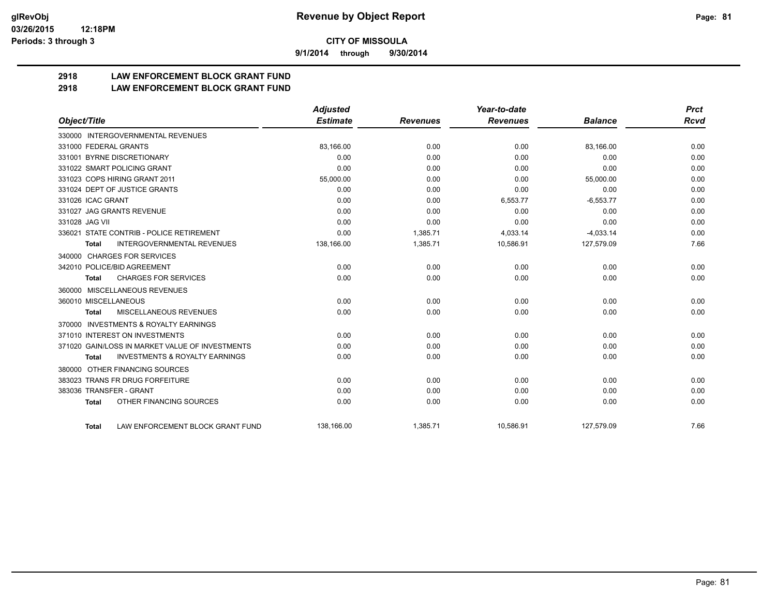**9/1/2014 through 9/30/2014**

# **2918 LAW ENFORCEMENT BLOCK GRANT FUND**

**2918 LAW ENFORCEMENT BLOCK GRANT FUND**

|                         |                                                 | <b>Adjusted</b> |                 | Year-to-date    |                | <b>Prct</b> |
|-------------------------|-------------------------------------------------|-----------------|-----------------|-----------------|----------------|-------------|
| Object/Title            |                                                 | <b>Estimate</b> | <b>Revenues</b> | <b>Revenues</b> | <b>Balance</b> | Rcvd        |
|                         | 330000 INTERGOVERNMENTAL REVENUES               |                 |                 |                 |                |             |
| 331000 FEDERAL GRANTS   |                                                 | 83,166.00       | 0.00            | 0.00            | 83,166.00      | 0.00        |
|                         | 331001 BYRNE DISCRETIONARY                      | 0.00            | 0.00            | 0.00            | 0.00           | 0.00        |
|                         | 331022 SMART POLICING GRANT                     | 0.00            | 0.00            | 0.00            | 0.00           | 0.00        |
|                         | 331023 COPS HIRING GRANT 2011                   | 55,000.00       | 0.00            | 0.00            | 55,000.00      | 0.00        |
|                         | 331024 DEPT OF JUSTICE GRANTS                   | 0.00            | 0.00            | 0.00            | 0.00           | 0.00        |
| 331026 ICAC GRANT       |                                                 | 0.00            | 0.00            | 6,553.77        | $-6,553.77$    | 0.00        |
|                         | 331027 JAG GRANTS REVENUE                       | 0.00            | 0.00            | 0.00            | 0.00           | 0.00        |
| 331028 JAG VII          |                                                 | 0.00            | 0.00            | 0.00            | 0.00           | 0.00        |
|                         | 336021 STATE CONTRIB - POLICE RETIREMENT        | 0.00            | 1,385.71        | 4,033.14        | $-4,033.14$    | 0.00        |
| <b>Total</b>            | <b>INTERGOVERNMENTAL REVENUES</b>               | 138,166.00      | 1,385.71        | 10,586.91       | 127,579.09     | 7.66        |
|                         | 340000 CHARGES FOR SERVICES                     |                 |                 |                 |                |             |
|                         | 342010 POLICE/BID AGREEMENT                     | 0.00            | 0.00            | 0.00            | 0.00           | 0.00        |
| <b>Total</b>            | <b>CHARGES FOR SERVICES</b>                     | 0.00            | 0.00            | 0.00            | 0.00           | 0.00        |
| 360000                  | MISCELLANEOUS REVENUES                          |                 |                 |                 |                |             |
| 360010 MISCELLANEOUS    |                                                 | 0.00            | 0.00            | 0.00            | 0.00           | 0.00        |
| <b>Total</b>            | MISCELLANEOUS REVENUES                          | 0.00            | 0.00            | 0.00            | 0.00           | 0.00        |
| 370000                  | <b>INVESTMENTS &amp; ROYALTY EARNINGS</b>       |                 |                 |                 |                |             |
|                         | 371010 INTEREST ON INVESTMENTS                  | 0.00            | 0.00            | 0.00            | 0.00           | 0.00        |
|                         | 371020 GAIN/LOSS IN MARKET VALUE OF INVESTMENTS | 0.00            | 0.00            | 0.00            | 0.00           | 0.00        |
| <b>Total</b>            | <b>INVESTMENTS &amp; ROYALTY EARNINGS</b>       | 0.00            | 0.00            | 0.00            | 0.00           | 0.00        |
| 380000                  | OTHER FINANCING SOURCES                         |                 |                 |                 |                |             |
|                         | 383023 TRANS FR DRUG FORFEITURE                 | 0.00            | 0.00            | 0.00            | 0.00           | 0.00        |
| 383036 TRANSFER - GRANT |                                                 | 0.00            | 0.00            | 0.00            | 0.00           | 0.00        |
| <b>Total</b>            | OTHER FINANCING SOURCES                         | 0.00            | 0.00            | 0.00            | 0.00           | 0.00        |
| <b>Total</b>            | LAW ENFORCEMENT BLOCK GRANT FUND                | 138,166.00      | 1,385.71        | 10,586.91       | 127,579.09     | 7.66        |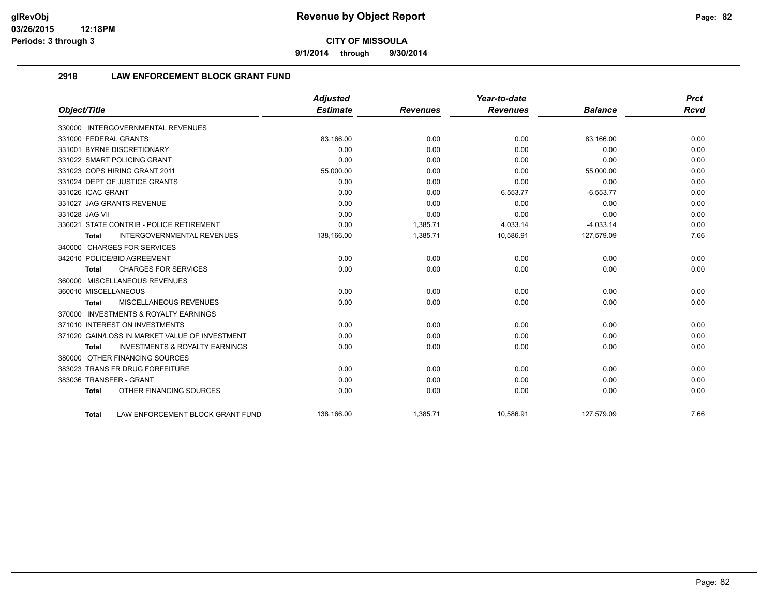**9/1/2014 through 9/30/2014**

# **2918 LAW ENFORCEMENT BLOCK GRANT FUND**

|                                                           | <b>Adjusted</b> |                 | Year-to-date    |                | <b>Prct</b> |
|-----------------------------------------------------------|-----------------|-----------------|-----------------|----------------|-------------|
| Object/Title                                              | <b>Estimate</b> | <b>Revenues</b> | <b>Revenues</b> | <b>Balance</b> | <b>Rcvd</b> |
| 330000 INTERGOVERNMENTAL REVENUES                         |                 |                 |                 |                |             |
| 331000 FEDERAL GRANTS                                     | 83,166.00       | 0.00            | 0.00            | 83,166.00      | 0.00        |
| 331001 BYRNE DISCRETIONARY                                | 0.00            | 0.00            | 0.00            | 0.00           | 0.00        |
| 331022 SMART POLICING GRANT                               | 0.00            | 0.00            | 0.00            | 0.00           | 0.00        |
| 331023 COPS HIRING GRANT 2011                             | 55,000.00       | 0.00            | 0.00            | 55,000.00      | 0.00        |
| 331024 DEPT OF JUSTICE GRANTS                             | 0.00            | 0.00            | 0.00            | 0.00           | 0.00        |
| 331026 ICAC GRANT                                         | 0.00            | 0.00            | 6,553.77        | $-6,553.77$    | 0.00        |
| 331027 JAG GRANTS REVENUE                                 | 0.00            | 0.00            | 0.00            | 0.00           | 0.00        |
| 331028 JAG VII                                            | 0.00            | 0.00            | 0.00            | 0.00           | 0.00        |
| 336021 STATE CONTRIB - POLICE RETIREMENT                  | 0.00            | 1,385.71        | 4,033.14        | $-4,033.14$    | 0.00        |
| <b>INTERGOVERNMENTAL REVENUES</b><br><b>Total</b>         | 138,166.00      | 1,385.71        | 10,586.91       | 127,579.09     | 7.66        |
| 340000 CHARGES FOR SERVICES                               |                 |                 |                 |                |             |
| 342010 POLICE/BID AGREEMENT                               | 0.00            | 0.00            | 0.00            | 0.00           | 0.00        |
| <b>CHARGES FOR SERVICES</b><br><b>Total</b>               | 0.00            | 0.00            | 0.00            | 0.00           | 0.00        |
| 360000 MISCELLANEOUS REVENUES                             |                 |                 |                 |                |             |
| 360010 MISCELLANEOUS                                      | 0.00            | 0.00            | 0.00            | 0.00           | 0.00        |
| MISCELLANEOUS REVENUES<br><b>Total</b>                    | 0.00            | 0.00            | 0.00            | 0.00           | 0.00        |
| 370000 INVESTMENTS & ROYALTY EARNINGS                     |                 |                 |                 |                |             |
| 371010 INTEREST ON INVESTMENTS                            | 0.00            | 0.00            | 0.00            | 0.00           | 0.00        |
| 371020 GAIN/LOSS IN MARKET VALUE OF INVESTMENT            | 0.00            | 0.00            | 0.00            | 0.00           | 0.00        |
| <b>INVESTMENTS &amp; ROYALTY EARNINGS</b><br><b>Total</b> | 0.00            | 0.00            | 0.00            | 0.00           | 0.00        |
| 380000 OTHER FINANCING SOURCES                            |                 |                 |                 |                |             |
| 383023 TRANS FR DRUG FORFEITURE                           | 0.00            | 0.00            | 0.00            | 0.00           | 0.00        |
| 383036 TRANSFER - GRANT                                   | 0.00            | 0.00            | 0.00            | 0.00           | 0.00        |
| OTHER FINANCING SOURCES<br><b>Total</b>                   | 0.00            | 0.00            | 0.00            | 0.00           | 0.00        |
| LAW ENFORCEMENT BLOCK GRANT FUND<br>Total                 | 138.166.00      | 1.385.71        | 10,586.91       | 127.579.09     | 7.66        |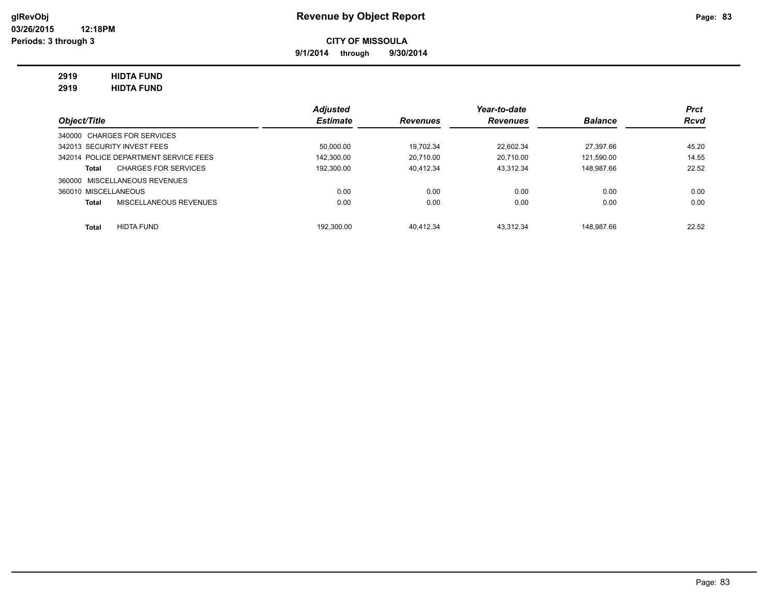**9/1/2014 through 9/30/2014**

# **2919 HIDTA FUND**

**2919 HIDTA FUND**

|                                       | <b>Adjusted</b> |                 | Year-to-date    |                | <b>Prct</b> |
|---------------------------------------|-----------------|-----------------|-----------------|----------------|-------------|
| Object/Title                          | <b>Estimate</b> | <b>Revenues</b> | <b>Revenues</b> | <b>Balance</b> | <b>Rcvd</b> |
| 340000 CHARGES FOR SERVICES           |                 |                 |                 |                |             |
| 342013 SECURITY INVEST FEES           | 50.000.00       | 19.702.34       | 22.602.34       | 27.397.66      | 45.20       |
| 342014 POLICE DEPARTMENT SERVICE FEES | 142.300.00      | 20.710.00       | 20.710.00       | 121.590.00     | 14.55       |
| <b>CHARGES FOR SERVICES</b><br>Total  | 192,300.00      | 40,412.34       | 43.312.34       | 148.987.66     | 22.52       |
| 360000 MISCELLANEOUS REVENUES         |                 |                 |                 |                |             |
| 360010 MISCELLANEOUS                  | 0.00            | 0.00            | 0.00            | 0.00           | 0.00        |
| MISCELLANEOUS REVENUES<br>Total       | 0.00            | 0.00            | 0.00            | 0.00           | 0.00        |
| <b>Total</b><br>HIDTA FUND            | 192.300.00      | 40.412.34       | 43.312.34       | 148.987.66     | 22.52       |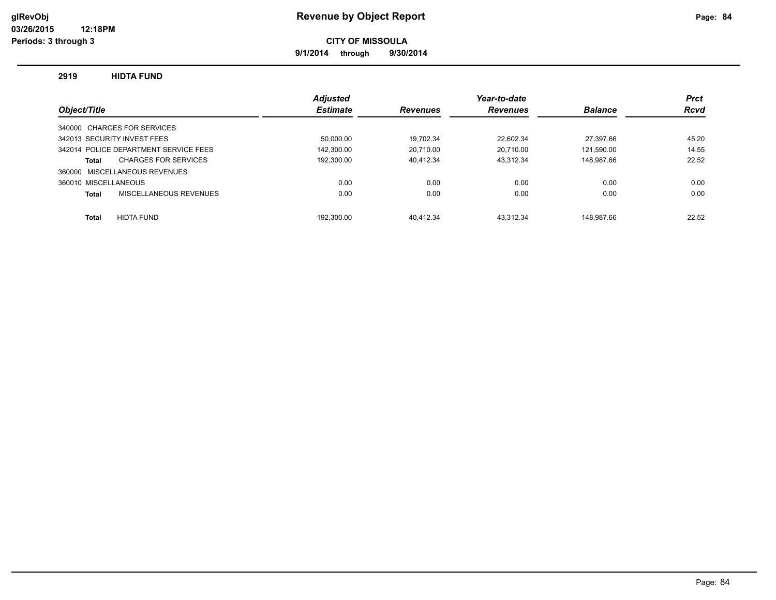**9/1/2014 through 9/30/2014**

### **2919 HIDTA FUND**

|                                       | <b>Adjusted</b> |                 | Year-to-date    |                | <b>Prct</b> |
|---------------------------------------|-----------------|-----------------|-----------------|----------------|-------------|
| Object/Title                          | <b>Estimate</b> | <b>Revenues</b> | <b>Revenues</b> | <b>Balance</b> | <b>Rcvd</b> |
| 340000 CHARGES FOR SERVICES           |                 |                 |                 |                |             |
| 342013 SECURITY INVEST FEES           | 50.000.00       | 19.702.34       | 22.602.34       | 27.397.66      | 45.20       |
| 342014 POLICE DEPARTMENT SERVICE FEES | 142.300.00      | 20.710.00       | 20.710.00       | 121.590.00     | 14.55       |
| <b>CHARGES FOR SERVICES</b><br>Total  | 192,300.00      | 40,412.34       | 43.312.34       | 148,987.66     | 22.52       |
| 360000 MISCELLANEOUS REVENUES         |                 |                 |                 |                |             |
| 360010 MISCELLANEOUS                  | 0.00            | 0.00            | 0.00            | 0.00           | 0.00        |
| MISCELLANEOUS REVENUES<br>Total       | 0.00            | 0.00            | 0.00            | 0.00           | 0.00        |
|                                       |                 |                 |                 |                |             |
| <b>HIDTA FUND</b><br><b>Total</b>     | 192.300.00      | 40.412.34       | 43.312.34       | 148.987.66     | 22.52       |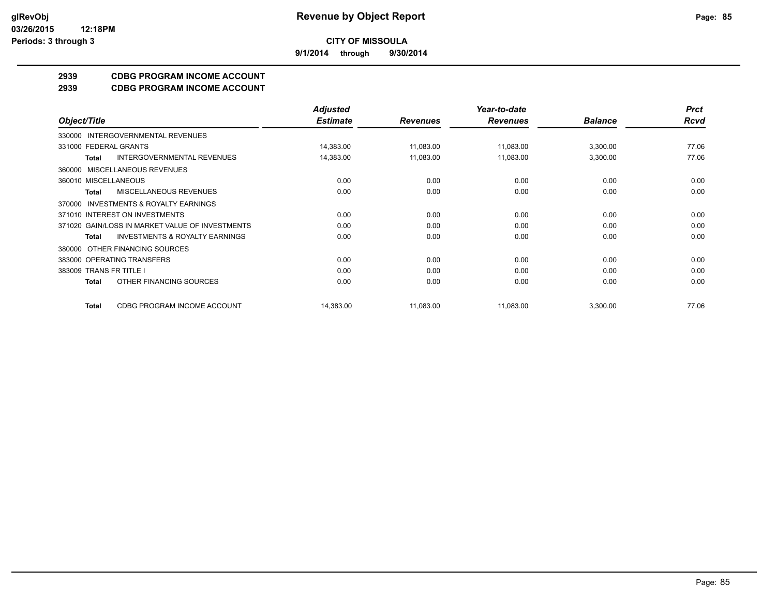**9/1/2014 through 9/30/2014**

# **2939 CDBG PROGRAM INCOME ACCOUNT**

**2939 CDBG PROGRAM INCOME ACCOUNT**

|                                                           | <b>Adjusted</b> |                 | Year-to-date    |                | <b>Prct</b> |
|-----------------------------------------------------------|-----------------|-----------------|-----------------|----------------|-------------|
| Object/Title                                              | <b>Estimate</b> | <b>Revenues</b> | <b>Revenues</b> | <b>Balance</b> | <b>Rcvd</b> |
| INTERGOVERNMENTAL REVENUES<br>330000                      |                 |                 |                 |                |             |
| 331000 FEDERAL GRANTS                                     | 14,383.00       | 11,083.00       | 11,083.00       | 3,300.00       | 77.06       |
| <b>INTERGOVERNMENTAL REVENUES</b><br><b>Total</b>         | 14,383.00       | 11,083.00       | 11,083.00       | 3,300.00       | 77.06       |
| MISCELLANEOUS REVENUES<br>360000                          |                 |                 |                 |                |             |
| 360010 MISCELLANEOUS                                      | 0.00            | 0.00            | 0.00            | 0.00           | 0.00        |
| MISCELLANEOUS REVENUES<br>Total                           | 0.00            | 0.00            | 0.00            | 0.00           | 0.00        |
| <b>INVESTMENTS &amp; ROYALTY EARNINGS</b><br>370000       |                 |                 |                 |                |             |
| 371010 INTEREST ON INVESTMENTS                            | 0.00            | 0.00            | 0.00            | 0.00           | 0.00        |
| 371020 GAIN/LOSS IN MARKET VALUE OF INVESTMENTS           | 0.00            | 0.00            | 0.00            | 0.00           | 0.00        |
| <b>INVESTMENTS &amp; ROYALTY EARNINGS</b><br><b>Total</b> | 0.00            | 0.00            | 0.00            | 0.00           | 0.00        |
| OTHER FINANCING SOURCES<br>380000                         |                 |                 |                 |                |             |
| 383000 OPERATING TRANSFERS                                | 0.00            | 0.00            | 0.00            | 0.00           | 0.00        |
| 383009 TRANS FR TITLE I                                   | 0.00            | 0.00            | 0.00            | 0.00           | 0.00        |
| OTHER FINANCING SOURCES<br><b>Total</b>                   | 0.00            | 0.00            | 0.00            | 0.00           | 0.00        |
| CDBG PROGRAM INCOME ACCOUNT<br><b>Total</b>               | 14,383.00       | 11,083.00       | 11,083.00       | 3,300.00       | 77.06       |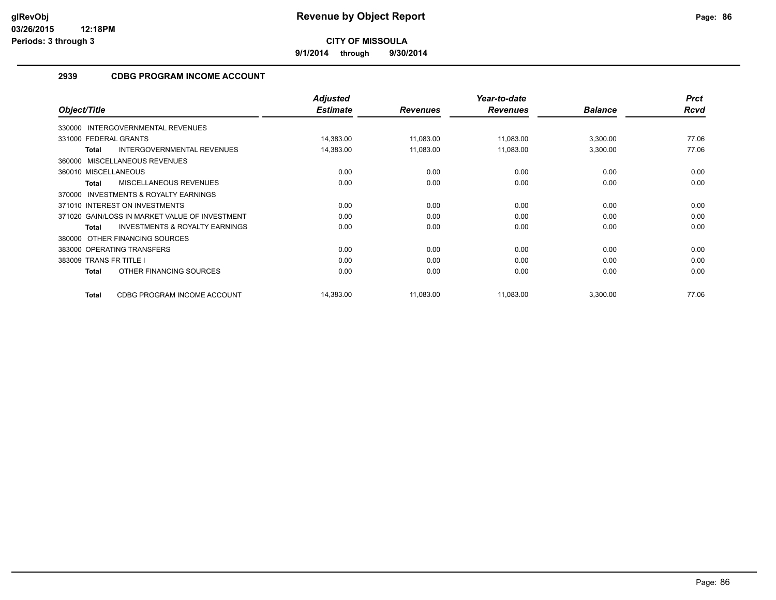**9/1/2014 through 9/30/2014**

# **2939 CDBG PROGRAM INCOME ACCOUNT**

| Object/Title                                              | <b>Adjusted</b><br><b>Estimate</b> |                 | Year-to-date    | <b>Balance</b> | <b>Prct</b><br><b>Rcvd</b> |
|-----------------------------------------------------------|------------------------------------|-----------------|-----------------|----------------|----------------------------|
|                                                           |                                    | <b>Revenues</b> | <b>Revenues</b> |                |                            |
| 330000 INTERGOVERNMENTAL REVENUES                         |                                    |                 |                 |                |                            |
| 331000 FEDERAL GRANTS                                     | 14,383.00                          | 11,083.00       | 11,083.00       | 3,300.00       | 77.06                      |
| <b>INTERGOVERNMENTAL REVENUES</b><br><b>Total</b>         | 14,383.00                          | 11,083.00       | 11,083.00       | 3,300.00       | 77.06                      |
| 360000 MISCELLANEOUS REVENUES                             |                                    |                 |                 |                |                            |
| 360010 MISCELLANEOUS                                      | 0.00                               | 0.00            | 0.00            | 0.00           | 0.00                       |
| MISCELLANEOUS REVENUES<br><b>Total</b>                    | 0.00                               | 0.00            | 0.00            | 0.00           | 0.00                       |
| <b>INVESTMENTS &amp; ROYALTY EARNINGS</b><br>370000       |                                    |                 |                 |                |                            |
| 371010 INTEREST ON INVESTMENTS                            | 0.00                               | 0.00            | 0.00            | 0.00           | 0.00                       |
| 371020 GAIN/LOSS IN MARKET VALUE OF INVESTMENT            | 0.00                               | 0.00            | 0.00            | 0.00           | 0.00                       |
| <b>INVESTMENTS &amp; ROYALTY EARNINGS</b><br><b>Total</b> | 0.00                               | 0.00            | 0.00            | 0.00           | 0.00                       |
| OTHER FINANCING SOURCES<br>380000                         |                                    |                 |                 |                |                            |
| 383000 OPERATING TRANSFERS                                | 0.00                               | 0.00            | 0.00            | 0.00           | 0.00                       |
| 383009 TRANS FR TITLE I                                   | 0.00                               | 0.00            | 0.00            | 0.00           | 0.00                       |
| OTHER FINANCING SOURCES<br><b>Total</b>                   | 0.00                               | 0.00            | 0.00            | 0.00           | 0.00                       |
| CDBG PROGRAM INCOME ACCOUNT<br><b>Total</b>               | 14,383.00                          | 11,083.00       | 11,083.00       | 3,300.00       | 77.06                      |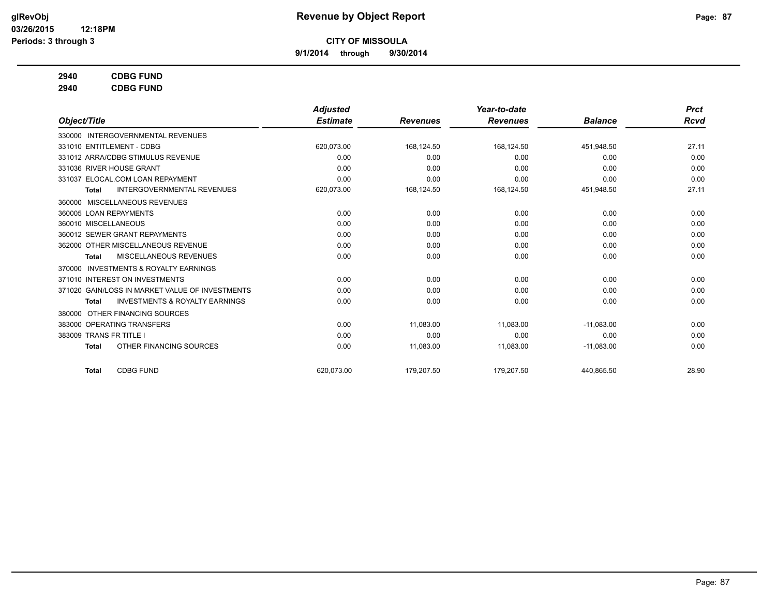**9/1/2014 through 9/30/2014**

### **2940 CDBG FUND**

**2940 CDBG FUND**

|                                                           | <b>Adjusted</b> |                 | Year-to-date    |                | <b>Prct</b> |
|-----------------------------------------------------------|-----------------|-----------------|-----------------|----------------|-------------|
| Object/Title                                              | <b>Estimate</b> | <b>Revenues</b> | <b>Revenues</b> | <b>Balance</b> | Rcvd        |
| 330000 INTERGOVERNMENTAL REVENUES                         |                 |                 |                 |                |             |
| 331010 ENTITLEMENT - CDBG                                 | 620,073.00      | 168,124.50      | 168,124.50      | 451,948.50     | 27.11       |
| 331012 ARRA/CDBG STIMULUS REVENUE                         | 0.00            | 0.00            | 0.00            | 0.00           | 0.00        |
| 331036 RIVER HOUSE GRANT                                  | 0.00            | 0.00            | 0.00            | 0.00           | 0.00        |
| 331037 ELOCAL.COM LOAN REPAYMENT                          | 0.00            | 0.00            | 0.00            | 0.00           | 0.00        |
| <b>INTERGOVERNMENTAL REVENUES</b><br><b>Total</b>         | 620,073.00      | 168,124.50      | 168,124.50      | 451,948.50     | 27.11       |
| 360000 MISCELLANEOUS REVENUES                             |                 |                 |                 |                |             |
| 360005 LOAN REPAYMENTS                                    | 0.00            | 0.00            | 0.00            | 0.00           | 0.00        |
| 360010 MISCELLANEOUS                                      | 0.00            | 0.00            | 0.00            | 0.00           | 0.00        |
| 360012 SEWER GRANT REPAYMENTS                             | 0.00            | 0.00            | 0.00            | 0.00           | 0.00        |
| 362000 OTHER MISCELLANEOUS REVENUE                        | 0.00            | 0.00            | 0.00            | 0.00           | 0.00        |
| MISCELLANEOUS REVENUES<br><b>Total</b>                    | 0.00            | 0.00            | 0.00            | 0.00           | 0.00        |
| <b>INVESTMENTS &amp; ROYALTY EARNINGS</b><br>370000       |                 |                 |                 |                |             |
| 371010 INTEREST ON INVESTMENTS                            | 0.00            | 0.00            | 0.00            | 0.00           | 0.00        |
| 371020 GAIN/LOSS IN MARKET VALUE OF INVESTMENTS           | 0.00            | 0.00            | 0.00            | 0.00           | 0.00        |
| <b>INVESTMENTS &amp; ROYALTY EARNINGS</b><br><b>Total</b> | 0.00            | 0.00            | 0.00            | 0.00           | 0.00        |
| OTHER FINANCING SOURCES<br>380000                         |                 |                 |                 |                |             |
| 383000 OPERATING TRANSFERS                                | 0.00            | 11,083.00       | 11,083.00       | $-11,083.00$   | 0.00        |
| 383009 TRANS FR TITLE I                                   | 0.00            | 0.00            | 0.00            | 0.00           | 0.00        |
| OTHER FINANCING SOURCES<br><b>Total</b>                   | 0.00            | 11,083.00       | 11,083.00       | $-11,083.00$   | 0.00        |
| <b>CDBG FUND</b><br><b>Total</b>                          | 620.073.00      | 179.207.50      | 179.207.50      | 440.865.50     | 28.90       |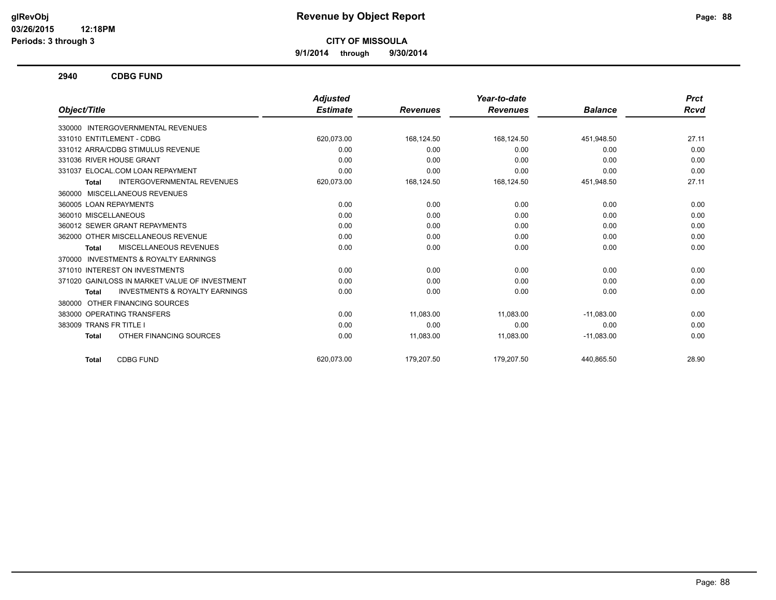**9/1/2014 through 9/30/2014**

**2940 CDBG FUND**

|                                                     | <b>Adjusted</b> |                 | Year-to-date    |                | <b>Prct</b> |
|-----------------------------------------------------|-----------------|-----------------|-----------------|----------------|-------------|
| Object/Title                                        | <b>Estimate</b> | <b>Revenues</b> | <b>Revenues</b> | <b>Balance</b> | <b>Rcvd</b> |
| 330000 INTERGOVERNMENTAL REVENUES                   |                 |                 |                 |                |             |
| 331010 ENTITLEMENT - CDBG                           | 620,073.00      | 168,124.50      | 168,124.50      | 451,948.50     | 27.11       |
| 331012 ARRA/CDBG STIMULUS REVENUE                   | 0.00            | 0.00            | 0.00            | 0.00           | 0.00        |
| 331036 RIVER HOUSE GRANT                            | 0.00            | 0.00            | 0.00            | 0.00           | 0.00        |
| 331037 ELOCAL.COM LOAN REPAYMENT                    | 0.00            | 0.00            | 0.00            | 0.00           | 0.00        |
| <b>INTERGOVERNMENTAL REVENUES</b><br><b>Total</b>   | 620,073.00      | 168,124.50      | 168,124.50      | 451,948.50     | 27.11       |
| <b>MISCELLANEOUS REVENUES</b><br>360000             |                 |                 |                 |                |             |
| 360005 LOAN REPAYMENTS                              | 0.00            | 0.00            | 0.00            | 0.00           | 0.00        |
| 360010 MISCELLANEOUS                                | 0.00            | 0.00            | 0.00            | 0.00           | 0.00        |
| 360012 SEWER GRANT REPAYMENTS                       | 0.00            | 0.00            | 0.00            | 0.00           | 0.00        |
| 362000 OTHER MISCELLANEOUS REVENUE                  | 0.00            | 0.00            | 0.00            | 0.00           | 0.00        |
| <b>MISCELLANEOUS REVENUES</b><br><b>Total</b>       | 0.00            | 0.00            | 0.00            | 0.00           | 0.00        |
| <b>INVESTMENTS &amp; ROYALTY EARNINGS</b><br>370000 |                 |                 |                 |                |             |
| 371010 INTEREST ON INVESTMENTS                      | 0.00            | 0.00            | 0.00            | 0.00           | 0.00        |
| 371020 GAIN/LOSS IN MARKET VALUE OF INVESTMENT      | 0.00            | 0.00            | 0.00            | 0.00           | 0.00        |
| <b>INVESTMENTS &amp; ROYALTY EARNINGS</b><br>Total  | 0.00            | 0.00            | 0.00            | 0.00           | 0.00        |
| OTHER FINANCING SOURCES<br>380000                   |                 |                 |                 |                |             |
| 383000 OPERATING TRANSFERS                          | 0.00            | 11.083.00       | 11,083.00       | $-11,083.00$   | 0.00        |
| 383009 TRANS FR TITLE I                             | 0.00            | 0.00            | 0.00            | 0.00           | 0.00        |
| OTHER FINANCING SOURCES<br><b>Total</b>             | 0.00            | 11,083.00       | 11,083.00       | $-11,083.00$   | 0.00        |
| <b>CDBG FUND</b><br><b>Total</b>                    | 620.073.00      | 179,207.50      | 179,207.50      | 440.865.50     | 28.90       |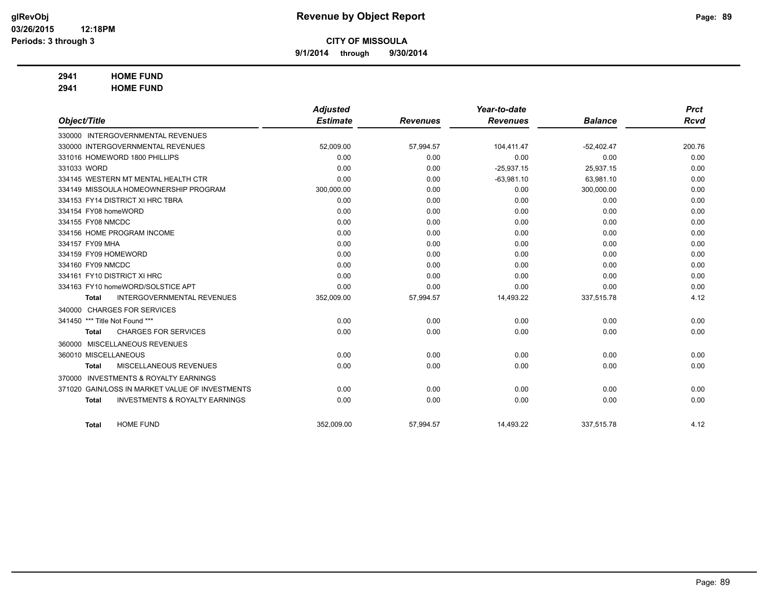**9/1/2014 through 9/30/2014**

# **2941 HOME FUND**

**2941 HOME FUND**

|                             |                                                 | <b>Adjusted</b> |                 | Year-to-date    |                | <b>Prct</b> |
|-----------------------------|-------------------------------------------------|-----------------|-----------------|-----------------|----------------|-------------|
| Object/Title                |                                                 | <b>Estimate</b> | <b>Revenues</b> | <b>Revenues</b> | <b>Balance</b> | <b>Rcvd</b> |
|                             | 330000 INTERGOVERNMENTAL REVENUES               |                 |                 |                 |                |             |
|                             | 330000 INTERGOVERNMENTAL REVENUES               | 52,009.00       | 57,994.57       | 104,411.47      | $-52,402.47$   | 200.76      |
|                             | 331016 HOMEWORD 1800 PHILLIPS                   | 0.00            | 0.00            | 0.00            | 0.00           | 0.00        |
| 331033 WORD                 |                                                 | 0.00            | 0.00            | $-25,937.15$    | 25,937.15      | 0.00        |
|                             | 334145 WESTERN MT MENTAL HEALTH CTR             | 0.00            | 0.00            | $-63,981.10$    | 63,981.10      | 0.00        |
|                             | 334149 MISSOULA HOMEOWNERSHIP PROGRAM           | 300,000.00      | 0.00            | 0.00            | 300,000.00     | 0.00        |
|                             | 334153 FY14 DISTRICT XI HRC TBRA                | 0.00            | 0.00            | 0.00            | 0.00           | 0.00        |
| 334154 FY08 homeWORD        |                                                 | 0.00            | 0.00            | 0.00            | 0.00           | 0.00        |
| 334155 FY08 NMCDC           |                                                 | 0.00            | 0.00            | 0.00            | 0.00           | 0.00        |
|                             | 334156 HOME PROGRAM INCOME                      | 0.00            | 0.00            | 0.00            | 0.00           | 0.00        |
| 334157 FY09 MHA             |                                                 | 0.00            | 0.00            | 0.00            | 0.00           | 0.00        |
| 334159 FY09 HOMEWORD        |                                                 | 0.00            | 0.00            | 0.00            | 0.00           | 0.00        |
| 334160 FY09 NMCDC           |                                                 | 0.00            | 0.00            | 0.00            | 0.00           | 0.00        |
| 334161 FY10 DISTRICT XI HRC |                                                 | 0.00            | 0.00            | 0.00            | 0.00           | 0.00        |
|                             | 334163 FY10 homeWORD/SOLSTICE APT               | 0.00            | 0.00            | 0.00            | 0.00           | 0.00        |
| <b>Total</b>                | <b>INTERGOVERNMENTAL REVENUES</b>               | 352,009.00      | 57,994.57       | 14,493.22       | 337,515.78     | 4.12        |
|                             | 340000 CHARGES FOR SERVICES                     |                 |                 |                 |                |             |
| 341450                      | *** Title Not Found ***                         | 0.00            | 0.00            | 0.00            | 0.00           | 0.00        |
| <b>Total</b>                | <b>CHARGES FOR SERVICES</b>                     | 0.00            | 0.00            | 0.00            | 0.00           | 0.00        |
|                             | 360000 MISCELLANEOUS REVENUES                   |                 |                 |                 |                |             |
| 360010 MISCELLANEOUS        |                                                 | 0.00            | 0.00            | 0.00            | 0.00           | 0.00        |
| <b>Total</b>                | MISCELLANEOUS REVENUES                          | 0.00            | 0.00            | 0.00            | 0.00           | 0.00        |
| 370000                      | <b>INVESTMENTS &amp; ROYALTY EARNINGS</b>       |                 |                 |                 |                |             |
|                             | 371020 GAIN/LOSS IN MARKET VALUE OF INVESTMENTS | 0.00            | 0.00            | 0.00            | 0.00           | 0.00        |
| <b>Total</b>                | <b>INVESTMENTS &amp; ROYALTY EARNINGS</b>       | 0.00            | 0.00            | 0.00            | 0.00           | 0.00        |
|                             |                                                 |                 |                 |                 |                |             |
| <b>Total</b>                | <b>HOME FUND</b>                                | 352,009.00      | 57,994.57       | 14,493.22       | 337,515.78     | 4.12        |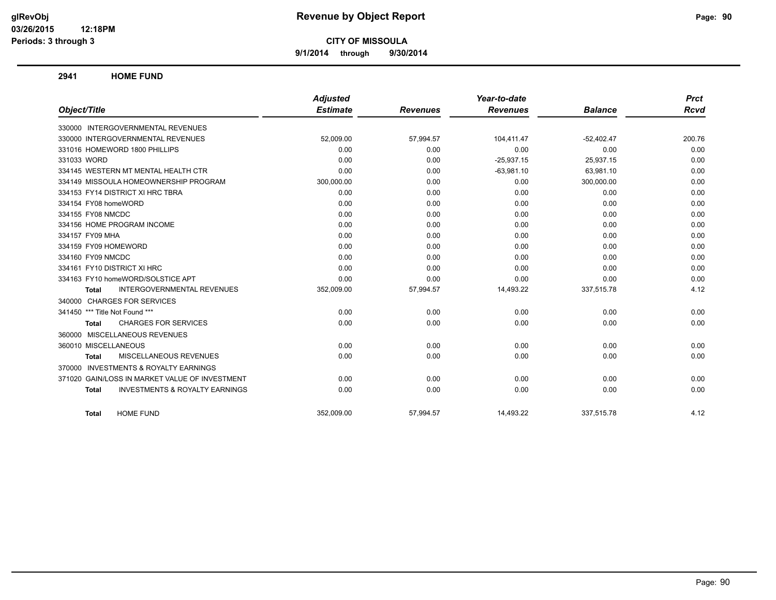**9/1/2014 through 9/30/2014**

**2941 HOME FUND**

|                                                           | <b>Adjusted</b> |                 | Year-to-date    |                | <b>Prct</b> |
|-----------------------------------------------------------|-----------------|-----------------|-----------------|----------------|-------------|
| Object/Title                                              | <b>Estimate</b> | <b>Revenues</b> | <b>Revenues</b> | <b>Balance</b> | Rcvd        |
| 330000 INTERGOVERNMENTAL REVENUES                         |                 |                 |                 |                |             |
| 330000 INTERGOVERNMENTAL REVENUES                         | 52.009.00       | 57,994.57       | 104.411.47      | $-52,402.47$   | 200.76      |
| 331016 HOMEWORD 1800 PHILLIPS                             | 0.00            | 0.00            | 0.00            | 0.00           | 0.00        |
| 331033 WORD                                               | 0.00            | 0.00            | $-25,937.15$    | 25,937.15      | 0.00        |
| 334145 WESTERN MT MENTAL HEALTH CTR                       | 0.00            | 0.00            | $-63,981.10$    | 63.981.10      | 0.00        |
| 334149 MISSOULA HOMEOWNERSHIP PROGRAM                     | 300,000.00      | 0.00            | 0.00            | 300,000.00     | 0.00        |
| 334153 FY14 DISTRICT XI HRC TBRA                          | 0.00            | 0.00            | 0.00            | 0.00           | 0.00        |
| 334154 FY08 homeWORD                                      | 0.00            | 0.00            | 0.00            | 0.00           | 0.00        |
| 334155 FY08 NMCDC                                         | 0.00            | 0.00            | 0.00            | 0.00           | 0.00        |
| 334156 HOME PROGRAM INCOME                                | 0.00            | 0.00            | 0.00            | 0.00           | 0.00        |
| 334157 FY09 MHA                                           | 0.00            | 0.00            | 0.00            | 0.00           | 0.00        |
| 334159 FY09 HOMEWORD                                      | 0.00            | 0.00            | 0.00            | 0.00           | 0.00        |
| 334160 FY09 NMCDC                                         | 0.00            | 0.00            | 0.00            | 0.00           | 0.00        |
| 334161 FY10 DISTRICT XI HRC                               | 0.00            | 0.00            | 0.00            | 0.00           | 0.00        |
| 334163 FY10 homeWORD/SOLSTICE APT                         | 0.00            | 0.00            | 0.00            | 0.00           | 0.00        |
| <b>INTERGOVERNMENTAL REVENUES</b><br><b>Total</b>         | 352,009.00      | 57,994.57       | 14,493.22       | 337,515.78     | 4.12        |
| 340000 CHARGES FOR SERVICES                               |                 |                 |                 |                |             |
| 341450 *** Title Not Found ***                            | 0.00            | 0.00            | 0.00            | 0.00           | 0.00        |
| <b>CHARGES FOR SERVICES</b><br><b>Total</b>               | 0.00            | 0.00            | 0.00            | 0.00           | 0.00        |
| 360000 MISCELLANEOUS REVENUES                             |                 |                 |                 |                |             |
| 360010 MISCELLANEOUS                                      | 0.00            | 0.00            | 0.00            | 0.00           | 0.00        |
| MISCELLANEOUS REVENUES<br><b>Total</b>                    | 0.00            | 0.00            | 0.00            | 0.00           | 0.00        |
| 370000 INVESTMENTS & ROYALTY EARNINGS                     |                 |                 |                 |                |             |
| 371020 GAIN/LOSS IN MARKET VALUE OF INVESTMENT            | 0.00            | 0.00            | 0.00            | 0.00           | 0.00        |
| <b>INVESTMENTS &amp; ROYALTY EARNINGS</b><br><b>Total</b> | 0.00            | 0.00            | 0.00            | 0.00           | 0.00        |
| <b>HOME FUND</b><br><b>Total</b>                          | 352,009.00      | 57,994.57       | 14,493.22       | 337,515.78     | 4.12        |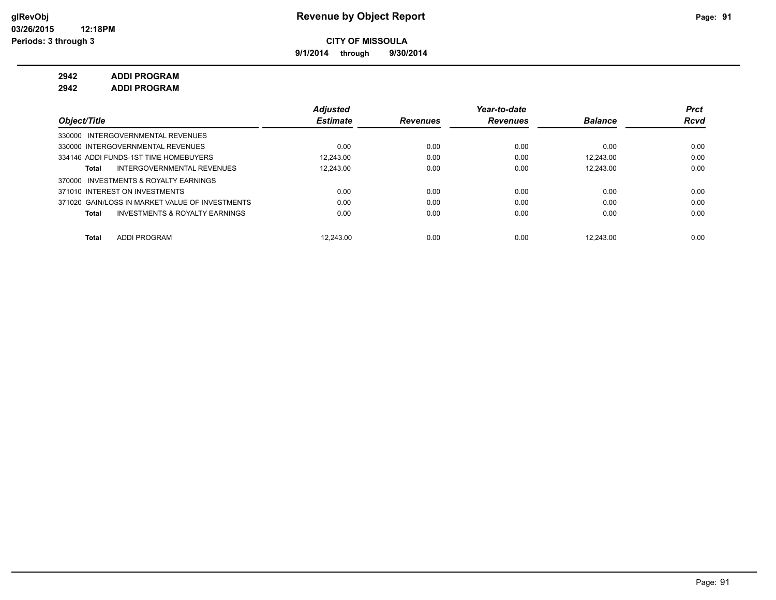**9/1/2014 through 9/30/2014**

**2942 ADDI PROGRAM**

**2942 ADDI PROGRAM**

|                                                 | <b>Adjusted</b> |                 | Year-to-date    |                | <b>Prct</b> |
|-------------------------------------------------|-----------------|-----------------|-----------------|----------------|-------------|
| Object/Title                                    | <b>Estimate</b> | <b>Revenues</b> | <b>Revenues</b> | <b>Balance</b> | <b>Rcvd</b> |
| 330000 INTERGOVERNMENTAL REVENUES               |                 |                 |                 |                |             |
| 330000 INTERGOVERNMENTAL REVENUES               | 0.00            | 0.00            | 0.00            | 0.00           | 0.00        |
| 334146 ADDI FUNDS-1ST TIME HOMEBUYERS           | 12.243.00       | 0.00            | 0.00            | 12.243.00      | 0.00        |
| INTERGOVERNMENTAL REVENUES<br>Total             | 12.243.00       | 0.00            | 0.00            | 12.243.00      | 0.00        |
| 370000 INVESTMENTS & ROYALTY EARNINGS           |                 |                 |                 |                |             |
| 371010 INTEREST ON INVESTMENTS                  | 0.00            | 0.00            | 0.00            | 0.00           | 0.00        |
| 371020 GAIN/LOSS IN MARKET VALUE OF INVESTMENTS | 0.00            | 0.00            | 0.00            | 0.00           | 0.00        |
| INVESTMENTS & ROYALTY EARNINGS<br>Total         | 0.00            | 0.00            | 0.00            | 0.00           | 0.00        |
|                                                 |                 |                 |                 |                |             |
| <b>ADDI PROGRAM</b><br>Total                    | 12.243.00       | 0.00            | 0.00            | 12.243.00      | 0.00        |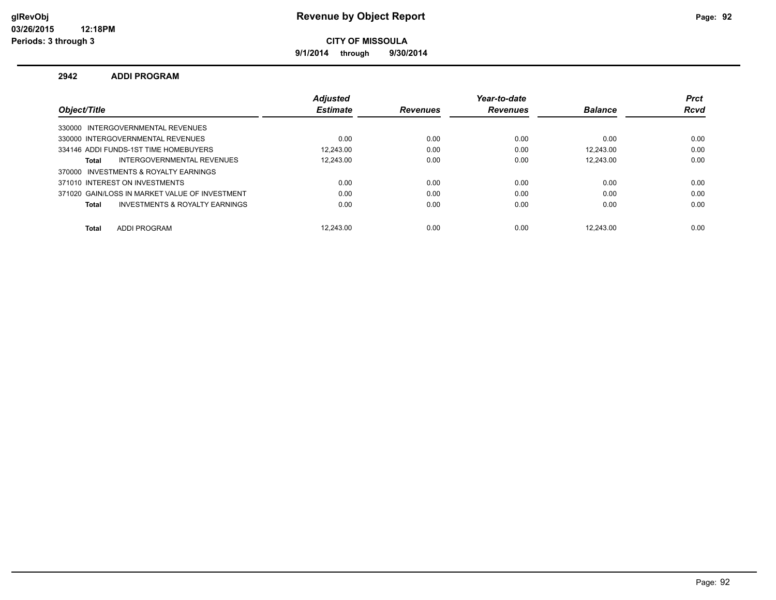# **glRevObj Revenue by Object Report Page: 92**

**CITY OF MISSOULA**

**9/1/2014 through 9/30/2014**

### **2942 ADDI PROGRAM**

|                                                | <b>Adjusted</b> |                 | Year-to-date    |                | <b>Prct</b> |
|------------------------------------------------|-----------------|-----------------|-----------------|----------------|-------------|
| Object/Title                                   | <b>Estimate</b> | <b>Revenues</b> | <b>Revenues</b> | <b>Balance</b> | <b>Rcvd</b> |
| 330000 INTERGOVERNMENTAL REVENUES              |                 |                 |                 |                |             |
| 330000 INTERGOVERNMENTAL REVENUES              | 0.00            | 0.00            | 0.00            | 0.00           | 0.00        |
| 334146 ADDI FUNDS-1ST TIME HOMEBUYERS          | 12.243.00       | 0.00            | 0.00            | 12.243.00      | 0.00        |
| INTERGOVERNMENTAL REVENUES<br><b>Total</b>     | 12.243.00       | 0.00            | 0.00            | 12.243.00      | 0.00        |
| 370000 INVESTMENTS & ROYALTY EARNINGS          |                 |                 |                 |                |             |
| 371010 INTEREST ON INVESTMENTS                 | 0.00            | 0.00            | 0.00            | 0.00           | 0.00        |
| 371020 GAIN/LOSS IN MARKET VALUE OF INVESTMENT | 0.00            | 0.00            | 0.00            | 0.00           | 0.00        |
| INVESTMENTS & ROYALTY EARNINGS<br><b>Total</b> | 0.00            | 0.00            | 0.00            | 0.00           | 0.00        |
| <b>ADDI PROGRAM</b><br><b>Total</b>            | 12.243.00       | 0.00            | 0.00            | 12.243.00      | 0.00        |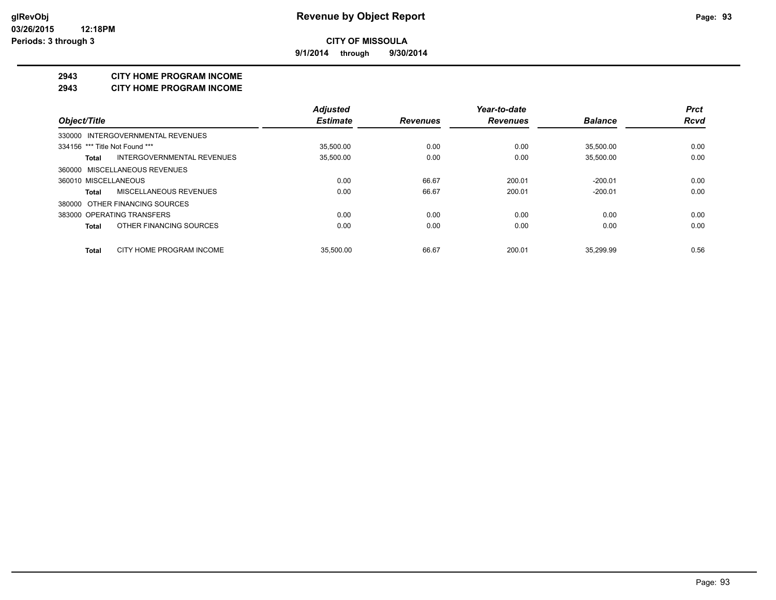**9/1/2014 through 9/30/2014**

### **2943 CITY HOME PROGRAM INCOME**

#### **2943 CITY HOME PROGRAM INCOME**

|                                     | <b>Adjusted</b> |                 | Year-to-date    | <b>Prct</b>    |             |
|-------------------------------------|-----------------|-----------------|-----------------|----------------|-------------|
| Object/Title                        | <b>Estimate</b> | <b>Revenues</b> | <b>Revenues</b> | <b>Balance</b> | <b>Rcvd</b> |
| 330000 INTERGOVERNMENTAL REVENUES   |                 |                 |                 |                |             |
| 334156 *** Title Not Found ***      | 35,500.00       | 0.00            | 0.00            | 35,500.00      | 0.00        |
| INTERGOVERNMENTAL REVENUES<br>Total | 35,500.00       | 0.00            | 0.00            | 35.500.00      | 0.00        |
| 360000 MISCELLANEOUS REVENUES       |                 |                 |                 |                |             |
| 360010 MISCELLANEOUS                | 0.00            | 66.67           | 200.01          | $-200.01$      | 0.00        |
| MISCELLANEOUS REVENUES<br>Total     | 0.00            | 66.67           | 200.01          | $-200.01$      | 0.00        |
| 380000 OTHER FINANCING SOURCES      |                 |                 |                 |                |             |
| 383000 OPERATING TRANSFERS          | 0.00            | 0.00            | 0.00            | 0.00           | 0.00        |
| OTHER FINANCING SOURCES<br>Total    | 0.00            | 0.00            | 0.00            | 0.00           | 0.00        |
| CITY HOME PROGRAM INCOME<br>Total   | 35.500.00       | 66.67           | 200.01          | 35.299.99      | 0.56        |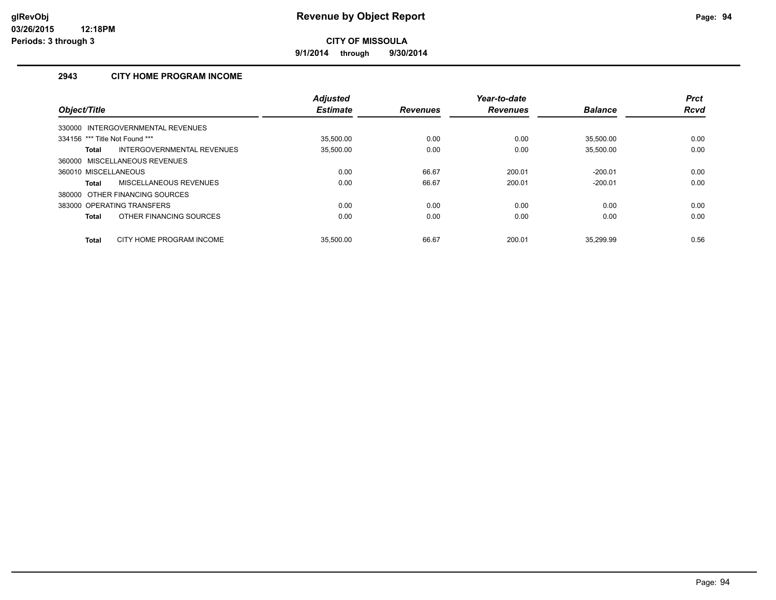**9/1/2014 through 9/30/2014**

# **2943 CITY HOME PROGRAM INCOME**

| Object/Title                             | <b>Adjusted</b><br><b>Estimate</b> | <b>Revenues</b> | Year-to-date<br><b>Revenues</b> | <b>Balance</b> | <b>Prct</b><br><b>Rcvd</b> |
|------------------------------------------|------------------------------------|-----------------|---------------------------------|----------------|----------------------------|
| INTERGOVERNMENTAL REVENUES<br>330000     |                                    |                 |                                 |                |                            |
| 334156 *** Title Not Found ***           | 35.500.00                          | 0.00            | 0.00                            | 35.500.00      | 0.00                       |
|                                          |                                    |                 |                                 |                |                            |
| INTERGOVERNMENTAL REVENUES<br>Total      | 35,500.00                          | 0.00            | 0.00                            | 35,500.00      | 0.00                       |
| MISCELLANEOUS REVENUES<br>360000         |                                    |                 |                                 |                |                            |
| 360010 MISCELLANEOUS                     | 0.00                               | 66.67           | 200.01                          | $-200.01$      | 0.00                       |
| MISCELLANEOUS REVENUES<br>Total          | 0.00                               | 66.67           | 200.01                          | $-200.01$      | 0.00                       |
| 380000 OTHER FINANCING SOURCES           |                                    |                 |                                 |                |                            |
| 383000 OPERATING TRANSFERS               | 0.00                               | 0.00            | 0.00                            | 0.00           | 0.00                       |
| OTHER FINANCING SOURCES<br><b>Total</b>  | 0.00                               | 0.00            | 0.00                            | 0.00           | 0.00                       |
| CITY HOME PROGRAM INCOME<br><b>Total</b> | 35.500.00                          | 66.67           | 200.01                          | 35.299.99      | 0.56                       |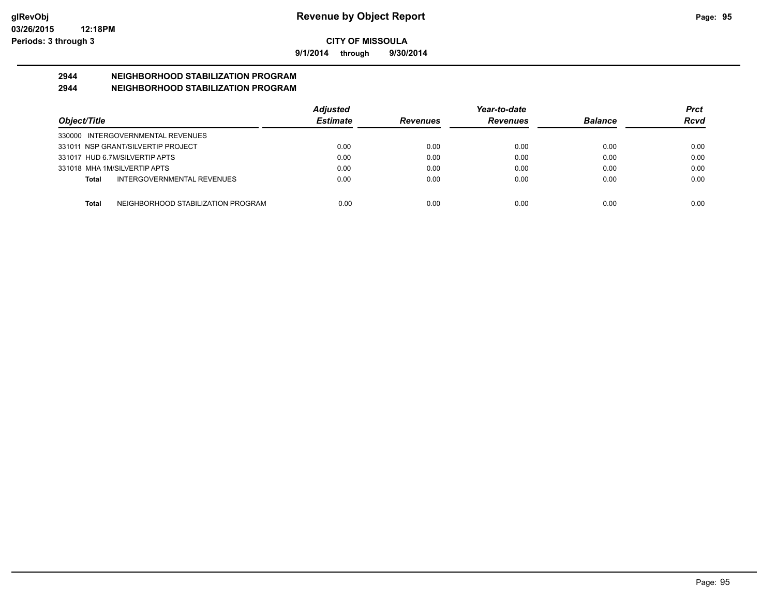**9/1/2014 through 9/30/2014**

# **2944 NEIGHBORHOOD STABILIZATION PROGRAM**

# **2944 NEIGHBORHOOD STABILIZATION PROGRAM**

|                                                    | <b>Adjusted</b> |                 | Year-to-date    |                | Prct |
|----------------------------------------------------|-----------------|-----------------|-----------------|----------------|------|
| Object/Title                                       | <b>Estimate</b> | <b>Revenues</b> | <b>Revenues</b> | <b>Balance</b> | Rcvd |
| 330000 INTERGOVERNMENTAL REVENUES                  |                 |                 |                 |                |      |
| 331011 NSP GRANT/SILVERTIP PROJECT                 | 0.00            | 0.00            | 0.00            | 0.00           | 0.00 |
| 331017 HUD 6.7M/SILVERTIP APTS                     | 0.00            | 0.00            | 0.00            | 0.00           | 0.00 |
| 331018 MHA 1M/SILVERTIP APTS                       | 0.00            | 0.00            | 0.00            | 0.00           | 0.00 |
| INTERGOVERNMENTAL REVENUES<br>Total                | 0.00            | 0.00            | 0.00            | 0.00           | 0.00 |
| NEIGHBORHOOD STABILIZATION PROGRAM<br><b>Total</b> | 0.00            | 0.00            | 0.00            | 0.00           | 0.00 |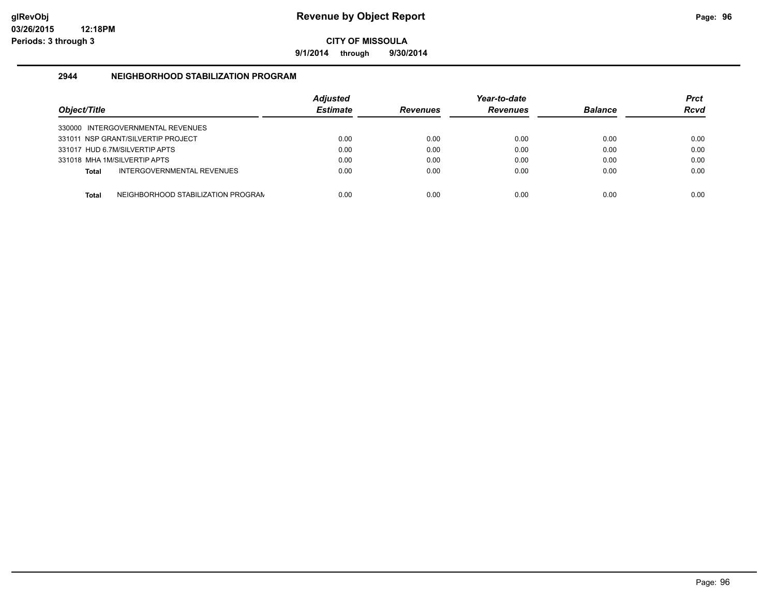**9/1/2014 through 9/30/2014**

### **2944 NEIGHBORHOOD STABILIZATION PROGRAM**

| Object/Title                                | <b>Adiusted</b><br><b>Estimate</b> | <b>Revenues</b> | Year-to-date<br><b>Revenues</b> | <b>Balance</b> | <b>Prct</b><br><b>Rcvd</b> |
|---------------------------------------------|------------------------------------|-----------------|---------------------------------|----------------|----------------------------|
| 330000 INTERGOVERNMENTAL REVENUES           |                                    |                 |                                 |                |                            |
| 331011 NSP GRANT/SILVERTIP PROJECT          | 0.00                               | 0.00            | 0.00                            | 0.00           | 0.00                       |
| 331017 HUD 6.7M/SILVERTIP APTS              | 0.00                               | 0.00            | 0.00                            | 0.00           | 0.00                       |
| 331018 MHA 1M/SILVERTIP APTS                | 0.00                               | 0.00            | 0.00                            | 0.00           | 0.00                       |
| INTERGOVERNMENTAL REVENUES<br>Total         | 0.00                               | 0.00            | 0.00                            | 0.00           | 0.00                       |
| NEIGHBORHOOD STABILIZATION PROGRAM<br>Total | 0.00                               | 0.00            | 0.00                            | 0.00           | 0.00                       |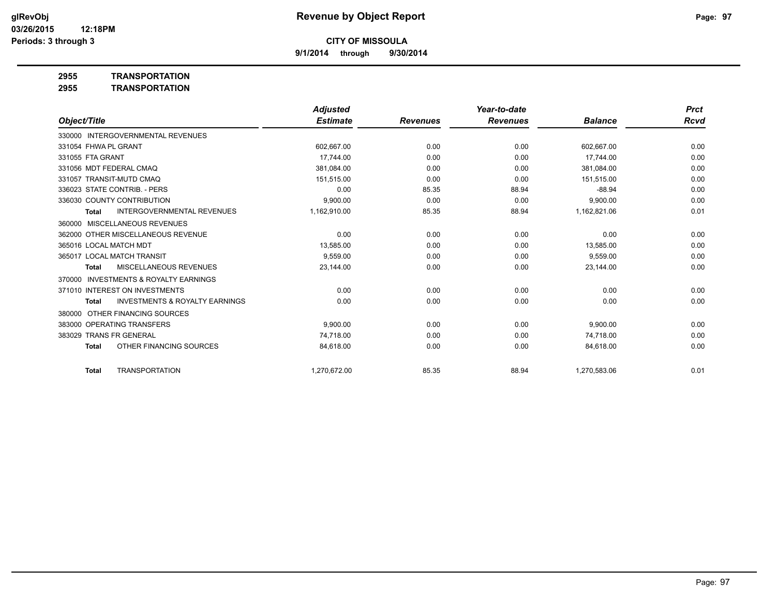**9/1/2014 through 9/30/2014**

**2955 TRANSPORTATION**

**2955 TRANSPORTATION**

|                                                           | <b>Adjusted</b> |                 | Year-to-date    |                | <b>Prct</b> |
|-----------------------------------------------------------|-----------------|-----------------|-----------------|----------------|-------------|
| Object/Title                                              | <b>Estimate</b> | <b>Revenues</b> | <b>Revenues</b> | <b>Balance</b> | Rcvd        |
| 330000 INTERGOVERNMENTAL REVENUES                         |                 |                 |                 |                |             |
| 331054 FHWA PL GRANT                                      | 602,667.00      | 0.00            | 0.00            | 602,667.00     | 0.00        |
| 331055 FTA GRANT                                          | 17.744.00       | 0.00            | 0.00            | 17,744.00      | 0.00        |
| 331056 MDT FEDERAL CMAQ                                   | 381,084.00      | 0.00            | 0.00            | 381,084.00     | 0.00        |
| 331057 TRANSIT-MUTD CMAQ                                  | 151,515.00      | 0.00            | 0.00            | 151,515.00     | 0.00        |
| 336023 STATE CONTRIB. - PERS                              | 0.00            | 85.35           | 88.94           | $-88.94$       | 0.00        |
| 336030 COUNTY CONTRIBUTION                                | 9,900.00        | 0.00            | 0.00            | 9,900.00       | 0.00        |
| <b>INTERGOVERNMENTAL REVENUES</b><br><b>Total</b>         | 1,162,910.00    | 85.35           | 88.94           | 1,162,821.06   | 0.01        |
| 360000 MISCELLANEOUS REVENUES                             |                 |                 |                 |                |             |
| 362000 OTHER MISCELLANEOUS REVENUE                        | 0.00            | 0.00            | 0.00            | 0.00           | 0.00        |
| 365016 LOCAL MATCH MDT                                    | 13,585.00       | 0.00            | 0.00            | 13,585.00      | 0.00        |
| 365017 LOCAL MATCH TRANSIT                                | 9.559.00        | 0.00            | 0.00            | 9,559.00       | 0.00        |
| <b>MISCELLANEOUS REVENUES</b><br><b>Total</b>             | 23,144.00       | 0.00            | 0.00            | 23,144.00      | 0.00        |
| INVESTMENTS & ROYALTY EARNINGS<br>370000                  |                 |                 |                 |                |             |
| 371010 INTEREST ON INVESTMENTS                            | 0.00            | 0.00            | 0.00            | 0.00           | 0.00        |
| <b>INVESTMENTS &amp; ROYALTY EARNINGS</b><br><b>Total</b> | 0.00            | 0.00            | 0.00            | 0.00           | 0.00        |
| OTHER FINANCING SOURCES<br>380000                         |                 |                 |                 |                |             |
| 383000 OPERATING TRANSFERS                                | 9.900.00        | 0.00            | 0.00            | 9,900.00       | 0.00        |
| 383029 TRANS FR GENERAL                                   | 74.718.00       | 0.00            | 0.00            | 74.718.00      | 0.00        |
| OTHER FINANCING SOURCES<br><b>Total</b>                   | 84,618.00       | 0.00            | 0.00            | 84,618.00      | 0.00        |
| <b>TRANSPORTATION</b><br><b>Total</b>                     | 1.270.672.00    | 85.35           | 88.94           | 1,270,583.06   | 0.01        |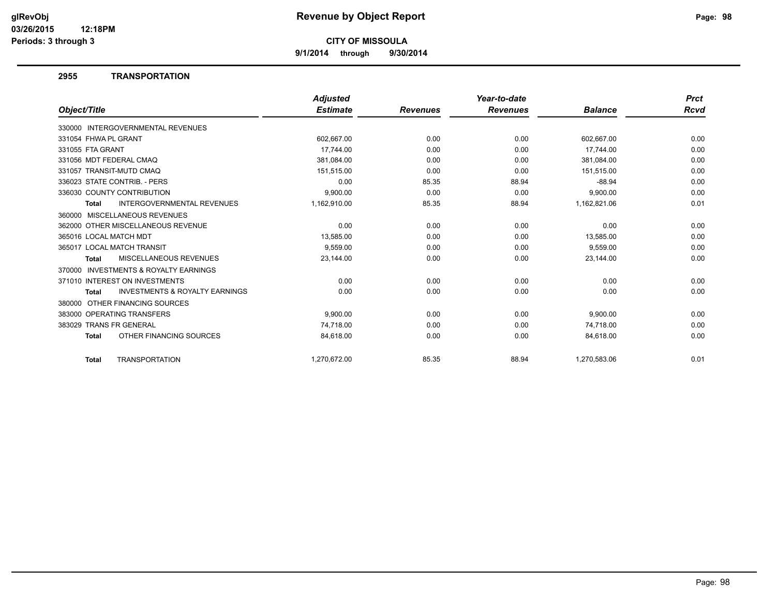**9/1/2014 through 9/30/2014**

### **2955 TRANSPORTATION**

|                                                           | <b>Adjusted</b> |                 | Year-to-date    |                | <b>Prct</b> |
|-----------------------------------------------------------|-----------------|-----------------|-----------------|----------------|-------------|
| Object/Title                                              | <b>Estimate</b> | <b>Revenues</b> | <b>Revenues</b> | <b>Balance</b> | Rcvd        |
| <b>INTERGOVERNMENTAL REVENUES</b><br>330000               |                 |                 |                 |                |             |
| 331054 FHWA PL GRANT                                      | 602,667.00      | 0.00            | 0.00            | 602,667.00     | 0.00        |
| 331055 FTA GRANT                                          | 17,744.00       | 0.00            | 0.00            | 17,744.00      | 0.00        |
| 331056 MDT FEDERAL CMAO                                   | 381,084.00      | 0.00            | 0.00            | 381,084.00     | 0.00        |
| 331057 TRANSIT-MUTD CMAQ                                  | 151,515.00      | 0.00            | 0.00            | 151,515.00     | 0.00        |
| 336023 STATE CONTRIB. - PERS                              | 0.00            | 85.35           | 88.94           | $-88.94$       | 0.00        |
| 336030 COUNTY CONTRIBUTION                                | 9,900.00        | 0.00            | 0.00            | 9,900.00       | 0.00        |
| <b>INTERGOVERNMENTAL REVENUES</b><br><b>Total</b>         | 1,162,910.00    | 85.35           | 88.94           | 1,162,821.06   | 0.01        |
| 360000 MISCELLANEOUS REVENUES                             |                 |                 |                 |                |             |
| 362000 OTHER MISCELLANEOUS REVENUE                        | 0.00            | 0.00            | 0.00            | 0.00           | 0.00        |
| 365016 LOCAL MATCH MDT                                    | 13,585.00       | 0.00            | 0.00            | 13,585.00      | 0.00        |
| 365017 LOCAL MATCH TRANSIT                                | 9,559.00        | 0.00            | 0.00            | 9,559.00       | 0.00        |
| MISCELLANEOUS REVENUES<br><b>Total</b>                    | 23,144.00       | 0.00            | 0.00            | 23,144.00      | 0.00        |
| 370000 INVESTMENTS & ROYALTY EARNINGS                     |                 |                 |                 |                |             |
| 371010 INTEREST ON INVESTMENTS                            | 0.00            | 0.00            | 0.00            | 0.00           | 0.00        |
| <b>INVESTMENTS &amp; ROYALTY EARNINGS</b><br><b>Total</b> | 0.00            | 0.00            | 0.00            | 0.00           | 0.00        |
| OTHER FINANCING SOURCES<br>380000                         |                 |                 |                 |                |             |
| 383000 OPERATING TRANSFERS                                | 9,900.00        | 0.00            | 0.00            | 9,900.00       | 0.00        |
| 383029 TRANS FR GENERAL                                   | 74,718.00       | 0.00            | 0.00            | 74,718.00      | 0.00        |
| OTHER FINANCING SOURCES<br><b>Total</b>                   | 84,618.00       | 0.00            | 0.00            | 84,618.00      | 0.00        |
| <b>TRANSPORTATION</b><br><b>Total</b>                     | 1.270.672.00    | 85.35           | 88.94           | 1,270,583.06   | 0.01        |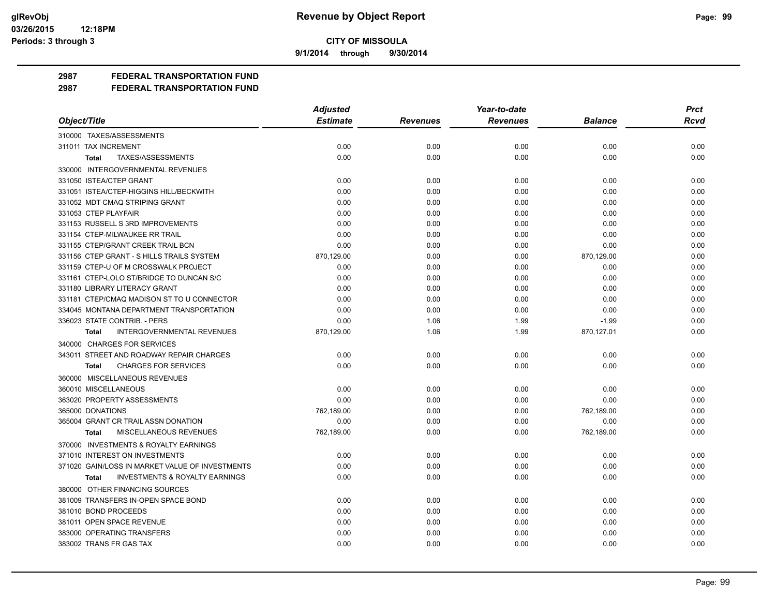**9/1/2014 through 9/30/2014**

**2987 FEDERAL TRANSPORTATION FUND**

|                                                    | <b>Adjusted</b> |                 | Year-to-date    |                | <b>Prct</b> |
|----------------------------------------------------|-----------------|-----------------|-----------------|----------------|-------------|
| Object/Title                                       | <b>Estimate</b> | <b>Revenues</b> | <b>Revenues</b> | <b>Balance</b> | Rcvd        |
| 310000 TAXES/ASSESSMENTS                           |                 |                 |                 |                |             |
| 311011 TAX INCREMENT                               | 0.00            | 0.00            | 0.00            | 0.00           | 0.00        |
| TAXES/ASSESSMENTS<br>Total                         | 0.00            | 0.00            | 0.00            | 0.00           | 0.00        |
| 330000 INTERGOVERNMENTAL REVENUES                  |                 |                 |                 |                |             |
| 331050 ISTEA/CTEP GRANT                            | 0.00            | 0.00            | 0.00            | 0.00           | 0.00        |
| 331051 ISTEA/CTEP-HIGGINS HILL/BECKWITH            | 0.00            | 0.00            | 0.00            | 0.00           | 0.00        |
| 331052 MDT CMAQ STRIPING GRANT                     | 0.00            | 0.00            | 0.00            | 0.00           | 0.00        |
| 331053 CTEP PLAYFAIR                               | 0.00            | 0.00            | 0.00            | 0.00           | 0.00        |
| 331153 RUSSELL S 3RD IMPROVEMENTS                  | 0.00            | 0.00            | 0.00            | 0.00           | 0.00        |
| 331154 CTEP-MILWAUKEE RR TRAIL                     | 0.00            | 0.00            | 0.00            | 0.00           | 0.00        |
| 331155 CTEP/GRANT CREEK TRAIL BCN                  | 0.00            | 0.00            | 0.00            | 0.00           | 0.00        |
| 331156 CTEP GRANT - S HILLS TRAILS SYSTEM          | 870,129.00      | 0.00            | 0.00            | 870,129.00     | 0.00        |
| 331159 CTEP-U OF M CROSSWALK PROJECT               | 0.00            | 0.00            | 0.00            | 0.00           | 0.00        |
| 331161 CTEP-LOLO ST/BRIDGE TO DUNCAN S/C           | 0.00            | 0.00            | 0.00            | 0.00           | 0.00        |
| 331180 LIBRARY LITERACY GRANT                      | 0.00            | 0.00            | 0.00            | 0.00           | 0.00        |
| 331181 CTEP/CMAQ MADISON ST TO U CONNECTOR         | 0.00            | 0.00            | 0.00            | 0.00           | 0.00        |
| 334045 MONTANA DEPARTMENT TRANSPORTATION           | 0.00            | 0.00            | 0.00            | 0.00           | 0.00        |
| 336023 STATE CONTRIB. - PERS                       | 0.00            | 1.06            | 1.99            | $-1.99$        | 0.00        |
| <b>INTERGOVERNMENTAL REVENUES</b><br>Total         | 870,129.00      | 1.06            | 1.99            | 870,127.01     | 0.00        |
| 340000 CHARGES FOR SERVICES                        |                 |                 |                 |                |             |
| 343011 STREET AND ROADWAY REPAIR CHARGES           | 0.00            | 0.00            | 0.00            | 0.00           | 0.00        |
| <b>CHARGES FOR SERVICES</b><br><b>Total</b>        | 0.00            | 0.00            | 0.00            | 0.00           | 0.00        |
| 360000 MISCELLANEOUS REVENUES                      |                 |                 |                 |                |             |
| 360010 MISCELLANEOUS                               | 0.00            | 0.00            | 0.00            | 0.00           | 0.00        |
| 363020 PROPERTY ASSESSMENTS                        | 0.00            | 0.00            | 0.00            | 0.00           | 0.00        |
| 365000 DONATIONS                                   | 762,189.00      | 0.00            | 0.00            | 762,189.00     | 0.00        |
| 365004 GRANT CR TRAIL ASSN DONATION                | 0.00            | 0.00            | 0.00            | 0.00           | 0.00        |
| MISCELLANEOUS REVENUES<br>Total                    | 762,189.00      | 0.00            | 0.00            | 762,189.00     | 0.00        |
| 370000 INVESTMENTS & ROYALTY EARNINGS              |                 |                 |                 |                |             |
| 371010 INTEREST ON INVESTMENTS                     | 0.00            | 0.00            | 0.00            | 0.00           | 0.00        |
| 371020 GAIN/LOSS IN MARKET VALUE OF INVESTMENTS    | 0.00            | 0.00            | 0.00            | 0.00           | 0.00        |
| <b>INVESTMENTS &amp; ROYALTY EARNINGS</b><br>Total | 0.00            | 0.00            | 0.00            | 0.00           | 0.00        |
| 380000 OTHER FINANCING SOURCES                     |                 |                 |                 |                |             |
| 381009 TRANSFERS IN-OPEN SPACE BOND                | 0.00            | 0.00            | 0.00            | 0.00           | 0.00        |
| 381010 BOND PROCEEDS                               | 0.00            | 0.00            | 0.00            | 0.00           | 0.00        |
| 381011 OPEN SPACE REVENUE                          | 0.00            | 0.00            | 0.00            | 0.00           | 0.00        |
| 383000 OPERATING TRANSFERS                         | 0.00            | 0.00            | 0.00            | 0.00           | 0.00        |
| 383002 TRANS FR GAS TAX                            | 0.00            | 0.00            | 0.00            | 0.00           | 0.00        |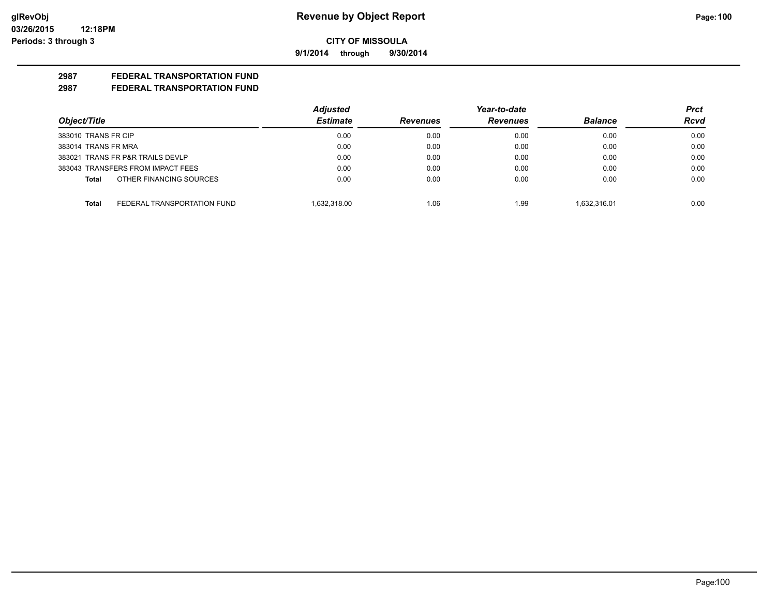**9/1/2014 through 9/30/2014**

# **2987 FEDERAL TRANSPORTATION FUND**

|                                             | <b>Adjusted</b> |                 | Year-to-date    |                | <b>Prct</b> |
|---------------------------------------------|-----------------|-----------------|-----------------|----------------|-------------|
| Object/Title                                | <b>Estimate</b> | <b>Revenues</b> | <b>Revenues</b> | <b>Balance</b> | <b>Rcvd</b> |
| 383010 TRANS FR CIP                         | 0.00            | 0.00            | 0.00            | 0.00           | 0.00        |
| 383014 TRANS FR MRA                         | 0.00            | 0.00            | 0.00            | 0.00           | 0.00        |
| 383021 TRANS FR P&R TRAILS DEVLP            | 0.00            | 0.00            | 0.00            | 0.00           | 0.00        |
| 383043 TRANSFERS FROM IMPACT FEES           | 0.00            | 0.00            | 0.00            | 0.00           | 0.00        |
| OTHER FINANCING SOURCES<br>Total            | 0.00            | 0.00            | 0.00            | 0.00           | 0.00        |
| FEDERAL TRANSPORTATION FUND<br><b>Total</b> | 1.632.318.00    | 1.06            | 1.99            | 1.632.316.01   | 0.00        |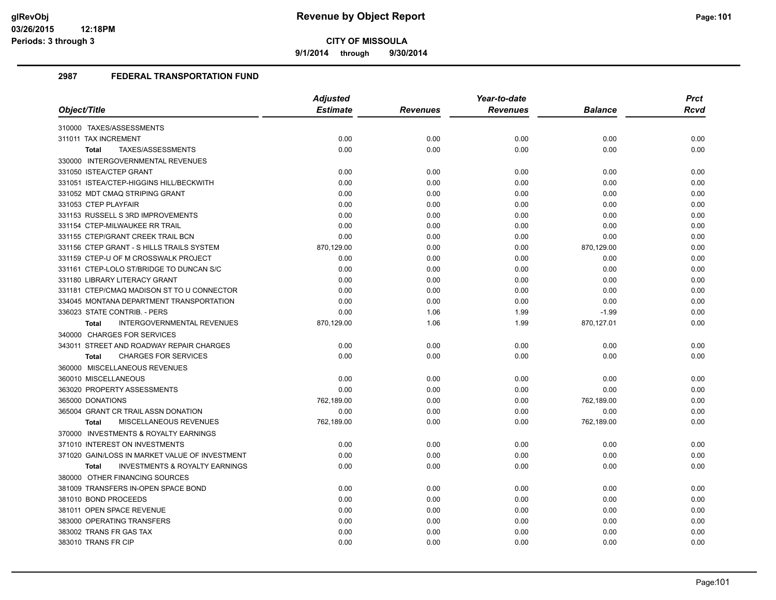**9/1/2014 through 9/30/2014**

|                                                    | <b>Adjusted</b> |                 | Year-to-date    |                | <b>Prct</b> |
|----------------------------------------------------|-----------------|-----------------|-----------------|----------------|-------------|
| Object/Title                                       | <b>Estimate</b> | <b>Revenues</b> | <b>Revenues</b> | <b>Balance</b> | <b>Rcvd</b> |
| 310000 TAXES/ASSESSMENTS                           |                 |                 |                 |                |             |
| 311011 TAX INCREMENT                               | 0.00            | 0.00            | 0.00            | 0.00           | 0.00        |
| TAXES/ASSESSMENTS<br><b>Total</b>                  | 0.00            | 0.00            | 0.00            | 0.00           | 0.00        |
| 330000 INTERGOVERNMENTAL REVENUES                  |                 |                 |                 |                |             |
| 331050 ISTEA/CTEP GRANT                            | 0.00            | 0.00            | 0.00            | 0.00           | 0.00        |
| 331051 ISTEA/CTEP-HIGGINS HILL/BECKWITH            | 0.00            | 0.00            | 0.00            | 0.00           | 0.00        |
| 331052 MDT CMAQ STRIPING GRANT                     | 0.00            | 0.00            | 0.00            | 0.00           | 0.00        |
| 331053 CTEP PLAYFAIR                               | 0.00            | 0.00            | 0.00            | 0.00           | 0.00        |
| 331153 RUSSELL S 3RD IMPROVEMENTS                  | 0.00            | 0.00            | 0.00            | 0.00           | 0.00        |
| 331154 CTEP-MILWAUKEE RR TRAIL                     | 0.00            | 0.00            | 0.00            | 0.00           | 0.00        |
| 331155 CTEP/GRANT CREEK TRAIL BCN                  | 0.00            | 0.00            | 0.00            | 0.00           | 0.00        |
| 331156 CTEP GRANT - S HILLS TRAILS SYSTEM          | 870,129.00      | 0.00            | 0.00            | 870,129.00     | 0.00        |
| 331159 CTEP-U OF M CROSSWALK PROJECT               | 0.00            | 0.00            | 0.00            | 0.00           | 0.00        |
| 331161 CTEP-LOLO ST/BRIDGE TO DUNCAN S/C           | 0.00            | 0.00            | 0.00            | 0.00           | 0.00        |
| 331180 LIBRARY LITERACY GRANT                      | 0.00            | 0.00            | 0.00            | 0.00           | 0.00        |
| 331181 CTEP/CMAQ MADISON ST TO U CONNECTOR         | 0.00            | 0.00            | 0.00            | 0.00           | 0.00        |
| 334045 MONTANA DEPARTMENT TRANSPORTATION           | 0.00            | 0.00            | 0.00            | 0.00           | 0.00        |
| 336023 STATE CONTRIB. - PERS                       | 0.00            | 1.06            | 1.99            | $-1.99$        | 0.00        |
| INTERGOVERNMENTAL REVENUES<br>Total                | 870,129.00      | 1.06            | 1.99            | 870,127.01     | 0.00        |
| 340000 CHARGES FOR SERVICES                        |                 |                 |                 |                |             |
| 343011 STREET AND ROADWAY REPAIR CHARGES           | 0.00            | 0.00            | 0.00            | 0.00           | 0.00        |
| <b>CHARGES FOR SERVICES</b><br><b>Total</b>        | 0.00            | 0.00            | 0.00            | 0.00           | 0.00        |
| 360000 MISCELLANEOUS REVENUES                      |                 |                 |                 |                |             |
| 360010 MISCELLANEOUS                               | 0.00            | 0.00            | 0.00            | 0.00           | 0.00        |
| 363020 PROPERTY ASSESSMENTS                        | 0.00            | 0.00            | 0.00            | 0.00           | 0.00        |
| 365000 DONATIONS                                   | 762,189.00      | 0.00            | 0.00            | 762,189.00     | 0.00        |
| 365004 GRANT CR TRAIL ASSN DONATION                | 0.00            | 0.00            | 0.00            | 0.00           | 0.00        |
| <b>MISCELLANEOUS REVENUES</b><br><b>Total</b>      | 762,189.00      | 0.00            | 0.00            | 762,189.00     | 0.00        |
| 370000 INVESTMENTS & ROYALTY EARNINGS              |                 |                 |                 |                |             |
| 371010 INTEREST ON INVESTMENTS                     | 0.00            | 0.00            | 0.00            | 0.00           | 0.00        |
| 371020 GAIN/LOSS IN MARKET VALUE OF INVESTMENT     | 0.00            | 0.00            | 0.00            | 0.00           | 0.00        |
| <b>INVESTMENTS &amp; ROYALTY EARNINGS</b><br>Total | 0.00            | 0.00            | 0.00            | 0.00           | 0.00        |
| 380000 OTHER FINANCING SOURCES                     |                 |                 |                 |                |             |
| 381009 TRANSFERS IN-OPEN SPACE BOND                | 0.00            | 0.00            | 0.00            | 0.00           | 0.00        |
| 381010 BOND PROCEEDS                               | 0.00            | 0.00            | 0.00            | 0.00           | 0.00        |
| 381011 OPEN SPACE REVENUE                          | 0.00            | 0.00            | 0.00            | 0.00           | 0.00        |
| 383000 OPERATING TRANSFERS                         | 0.00            | 0.00            | 0.00            | 0.00           | 0.00        |
| 383002 TRANS FR GAS TAX                            | 0.00            | 0.00            | 0.00            | 0.00           | 0.00        |
| 383010 TRANS FR CIP                                | 0.00            | 0.00            | 0.00            | 0.00           | 0.00        |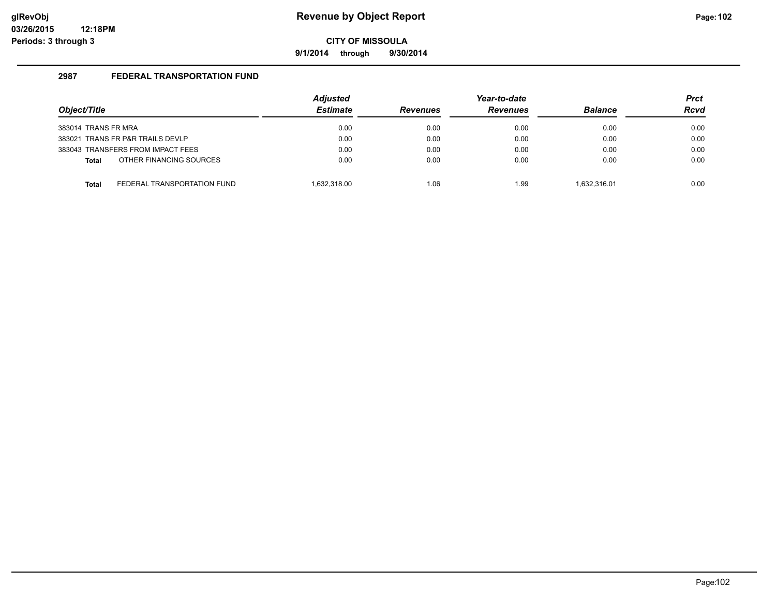**9/1/2014 through 9/30/2014**

| Object/Title        |                                   | <b>Adjusted</b><br><b>Estimate</b> | <b>Revenues</b> | Year-to-date<br><b>Revenues</b> | <b>Balance</b> | <b>Prct</b><br><b>Rcvd</b> |
|---------------------|-----------------------------------|------------------------------------|-----------------|---------------------------------|----------------|----------------------------|
| 383014 TRANS FR MRA |                                   | 0.00                               | 0.00            | 0.00                            | 0.00           | 0.00                       |
|                     | 383021 TRANS FR P&R TRAILS DEVLP  | 0.00                               | 0.00            | 0.00                            | 0.00           | 0.00                       |
|                     | 383043 TRANSFERS FROM IMPACT FEES | 0.00                               | 0.00            | 0.00                            | 0.00           | 0.00                       |
| <b>Total</b>        | OTHER FINANCING SOURCES           | 0.00                               | 0.00            | 0.00                            | 0.00           | 0.00                       |
| <b>Total</b>        | FEDERAL TRANSPORTATION FUND       | 1.632.318.00                       | 1.06            | 1.99                            | 1.632.316.01   | 0.00                       |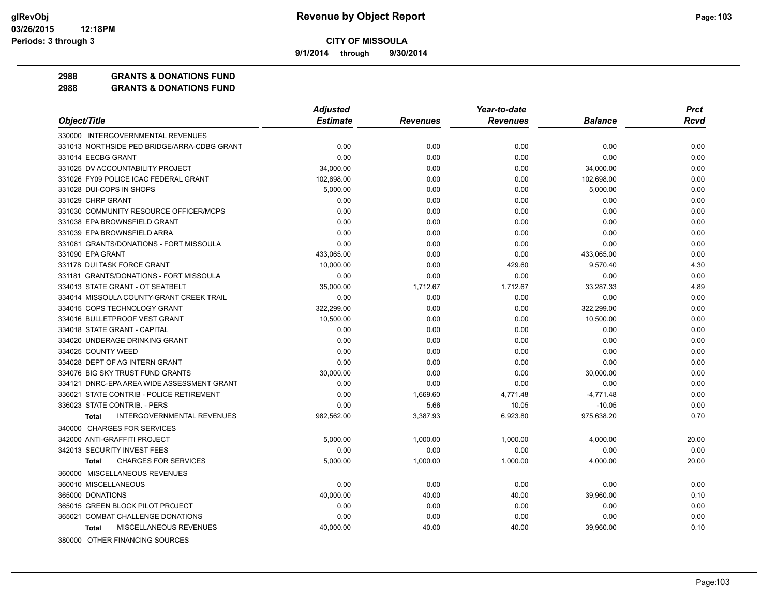**9/1/2014 through 9/30/2014**

### **2988 GRANTS & DONATIONS FUND**

|                                                   | <b>Adjusted</b> |                 | Year-to-date    |                | <b>Prct</b> |
|---------------------------------------------------|-----------------|-----------------|-----------------|----------------|-------------|
| Object/Title                                      | <b>Estimate</b> | <b>Revenues</b> | <b>Revenues</b> | <b>Balance</b> | <b>Rcvd</b> |
| 330000 INTERGOVERNMENTAL REVENUES                 |                 |                 |                 |                |             |
| 331013 NORTHSIDE PED BRIDGE/ARRA-CDBG GRANT       | 0.00            | 0.00            | 0.00            | 0.00           | 0.00        |
| 331014 EECBG GRANT                                | 0.00            | 0.00            | 0.00            | 0.00           | 0.00        |
| 331025 DV ACCOUNTABILITY PROJECT                  | 34,000.00       | 0.00            | 0.00            | 34,000.00      | 0.00        |
| 331026 FY09 POLICE ICAC FEDERAL GRANT             | 102,698.00      | 0.00            | 0.00            | 102,698.00     | 0.00        |
| 331028 DUI-COPS IN SHOPS                          | 5.000.00        | 0.00            | 0.00            | 5,000.00       | 0.00        |
| 331029 CHRP GRANT                                 | 0.00            | 0.00            | 0.00            | 0.00           | 0.00        |
| 331030 COMMUNITY RESOURCE OFFICER/MCPS            | 0.00            | 0.00            | 0.00            | 0.00           | 0.00        |
| 331038 EPA BROWNSFIELD GRANT                      | 0.00            | 0.00            | 0.00            | 0.00           | 0.00        |
| 331039 EPA BROWNSFIELD ARRA                       | 0.00            | 0.00            | 0.00            | 0.00           | 0.00        |
| 331081 GRANTS/DONATIONS - FORT MISSOULA           | 0.00            | 0.00            | 0.00            | 0.00           | 0.00        |
| 331090 EPA GRANT                                  | 433,065.00      | 0.00            | 0.00            | 433,065.00     | 0.00        |
| 331178 DUI TASK FORCE GRANT                       | 10,000.00       | 0.00            | 429.60          | 9,570.40       | 4.30        |
| 331181 GRANTS/DONATIONS - FORT MISSOULA           | 0.00            | 0.00            | 0.00            | 0.00           | 0.00        |
| 334013 STATE GRANT - OT SEATBELT                  | 35,000.00       | 1,712.67        | 1,712.67        | 33,287.33      | 4.89        |
| 334014 MISSOULA COUNTY-GRANT CREEK TRAIL          | 0.00            | 0.00            | 0.00            | 0.00           | 0.00        |
| 334015 COPS TECHNOLOGY GRANT                      | 322.299.00      | 0.00            | 0.00            | 322,299.00     | 0.00        |
| 334016 BULLETPROOF VEST GRANT                     | 10.500.00       | 0.00            | 0.00            | 10,500.00      | 0.00        |
| 334018 STATE GRANT - CAPITAL                      | 0.00            | 0.00            | 0.00            | 0.00           | 0.00        |
| 334020 UNDERAGE DRINKING GRANT                    | 0.00            | 0.00            | 0.00            | 0.00           | 0.00        |
| 334025 COUNTY WEED                                | 0.00            | 0.00            | 0.00            | 0.00           | 0.00        |
| 334028 DEPT OF AG INTERN GRANT                    | 0.00            | 0.00            | 0.00            | 0.00           | 0.00        |
| 334076 BIG SKY TRUST FUND GRANTS                  | 30,000.00       | 0.00            | 0.00            | 30,000.00      | 0.00        |
| 334121 DNRC-EPA AREA WIDE ASSESSMENT GRANT        | 0.00            | 0.00            | 0.00            | 0.00           | 0.00        |
| 336021 STATE CONTRIB - POLICE RETIREMENT          | 0.00            | 1,669.60        | 4,771.48        | $-4,771.48$    | 0.00        |
| 336023 STATE CONTRIB. - PERS                      | 0.00            | 5.66            | 10.05           | $-10.05$       | 0.00        |
| <b>INTERGOVERNMENTAL REVENUES</b><br><b>Total</b> | 982,562.00      | 3,387.93        | 6,923.80        | 975,638.20     | 0.70        |
| 340000 CHARGES FOR SERVICES                       |                 |                 |                 |                |             |
| 342000 ANTI-GRAFFITI PROJECT                      | 5,000.00        | 1,000.00        | 1,000.00        | 4,000.00       | 20.00       |
| 342013 SECURITY INVEST FEES                       | 0.00            | 0.00            | 0.00            | 0.00           | 0.00        |
| <b>CHARGES FOR SERVICES</b><br><b>Total</b>       | 5.000.00        | 1,000.00        | 1.000.00        | 4,000.00       | 20.00       |
| 360000 MISCELLANEOUS REVENUES                     |                 |                 |                 |                |             |
| 360010 MISCELLANEOUS                              | 0.00            | 0.00            | 0.00            | 0.00           | 0.00        |
| 365000 DONATIONS                                  | 40,000.00       | 40.00           | 40.00           | 39,960.00      | 0.10        |
| 365015 GREEN BLOCK PILOT PROJECT                  | 0.00            | 0.00            | 0.00            | 0.00           | 0.00        |
| 365021 COMBAT CHALLENGE DONATIONS                 | 0.00            | 0.00            | 0.00            | 0.00           | 0.00        |
| MISCELLANEOUS REVENUES<br><b>Total</b>            | 40,000.00       | 40.00           | 40.00           | 39,960.00      | 0.10        |
| 380000 OTHER FINANCING SOURCES                    |                 |                 |                 |                |             |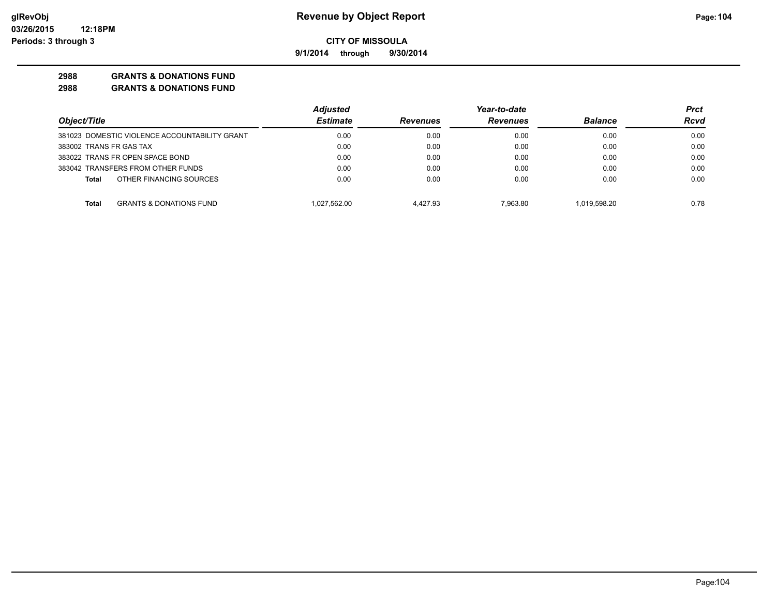**9/1/2014 through 9/30/2014**

### **2988 GRANTS & DONATIONS FUND**

|                                               | <b>Adjusted</b> |                 | Year-to-date    |                | Prct |
|-----------------------------------------------|-----------------|-----------------|-----------------|----------------|------|
| Object/Title                                  | <b>Estimate</b> | <b>Revenues</b> | <b>Revenues</b> | <b>Balance</b> | Rcvd |
| 381023 DOMESTIC VIOLENCE ACCOUNTABILITY GRANT | 0.00            | 0.00            | 0.00            | 0.00           | 0.00 |
| 383002 TRANS FR GAS TAX                       | 0.00            | 0.00            | 0.00            | 0.00           | 0.00 |
| 383022 TRANS FR OPEN SPACE BOND               | 0.00            | 0.00            | 0.00            | 0.00           | 0.00 |
| 383042 TRANSFERS FROM OTHER FUNDS             | 0.00            | 0.00            | 0.00            | 0.00           | 0.00 |
| OTHER FINANCING SOURCES<br>Total              | 0.00            | 0.00            | 0.00            | 0.00           | 0.00 |
| <b>GRANTS &amp; DONATIONS FUND</b><br>Total   | 1.027.562.00    | 4.427.93        | 7.963.80        | 1.019.598.20   | 0.78 |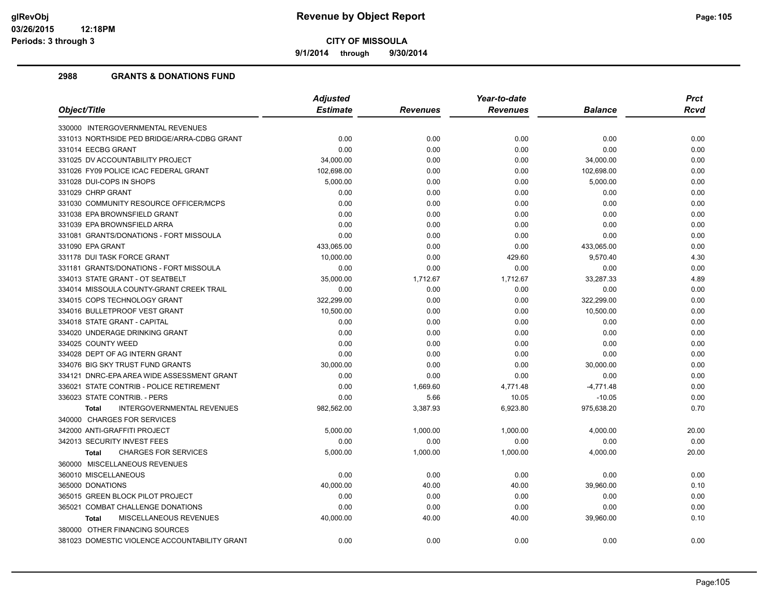**9/1/2014 through 9/30/2014**

| <b>Estimate</b><br><b>Revenues</b><br><b>Balance</b><br><b>Revenues</b><br>0.00<br>0.00<br>0.00<br>0.00<br>0.00<br>0.00<br>0.00<br>0.00<br>0.00<br>34,000.00<br>0.00<br>0.00<br>34,000.00<br>0.00<br>102,698.00<br>0.00<br>0.00<br>102,698.00<br>0.00<br>5,000.00<br>0.00<br>0.00<br>5,000.00<br>0.00<br>0.00<br>0.00<br>0.00<br>0.00<br>0.00<br>0.00<br>0.00<br>0.00<br>0.00<br>0.00<br>0.00<br>0.00<br>0.00<br>0.00<br>0.00<br>0.00<br>0.00<br>0.00<br>0.00<br>0.00<br>0.00<br>0.00<br>0.00<br>0.00<br>0.00<br>433,065.00<br>0.00<br>0.00<br>433,065.00<br>0.00<br>10,000.00<br>9,570.40<br>0.00<br>429.60<br>4.30<br>0.00<br>0.00<br>0.00<br>0.00<br>0.00<br>35,000.00<br>1,712.67<br>1,712.67<br>33,287.33<br>4.89<br>0.00<br>0.00<br>0.00<br>0.00<br>0.00<br>322,299.00<br>0.00<br>0.00<br>322,299.00<br>0.00<br>10,500.00<br>0.00<br>10,500.00<br>0.00<br>0.00<br>0.00<br>0.00<br>0.00<br>0.00<br>0.00<br>0.00<br>0.00<br>0.00<br>0.00<br>0.00<br>0.00<br>0.00<br>0.00<br>0.00<br>0.00<br>0.00<br>0.00<br>0.00<br>0.00<br>0.00<br>30,000.00<br>0.00<br>0.00<br>30,000.00<br>0.00<br>0.00<br>0.00<br>0.00<br>0.00<br>0.00<br>0.00<br>4,771.48<br>$-4,771.48$<br>0.00<br>1,669.60<br>0.00<br>5.66<br>0.00<br>10.05<br>$-10.05$<br><b>INTERGOVERNMENTAL REVENUES</b><br>6,923.80<br>975,638.20<br>0.70<br>982,562.00<br>3,387.93<br><b>Total</b><br>5,000.00<br>1,000.00<br>1,000.00<br>4,000.00<br>20.00<br>0.00<br>0.00<br>0.00<br>0.00<br>0.00<br><b>CHARGES FOR SERVICES</b><br>5,000.00<br>1,000.00<br>1,000.00<br>4,000.00<br>20.00<br><b>Total</b><br>360000 MISCELLANEOUS REVENUES<br>360010 MISCELLANEOUS<br>0.00<br>0.00<br>0.00<br>0.00<br>0.00<br>40,000.00<br>40.00<br>40.00<br>39,960.00<br>0.10<br>0.00<br>0.00<br>0.00<br>0.00<br>0.00<br>365021 COMBAT CHALLENGE DONATIONS<br>0.00<br>0.00<br>0.00<br>0.00<br>0.00<br>MISCELLANEOUS REVENUES<br>40,000.00<br>40.00<br>40.00<br>39,960.00<br>0.10<br><b>Total</b><br>380000 OTHER FINANCING SOURCES |                                               | <b>Adjusted</b><br>Year-to-date |      |      | <b>Prct</b> |             |
|------------------------------------------------------------------------------------------------------------------------------------------------------------------------------------------------------------------------------------------------------------------------------------------------------------------------------------------------------------------------------------------------------------------------------------------------------------------------------------------------------------------------------------------------------------------------------------------------------------------------------------------------------------------------------------------------------------------------------------------------------------------------------------------------------------------------------------------------------------------------------------------------------------------------------------------------------------------------------------------------------------------------------------------------------------------------------------------------------------------------------------------------------------------------------------------------------------------------------------------------------------------------------------------------------------------------------------------------------------------------------------------------------------------------------------------------------------------------------------------------------------------------------------------------------------------------------------------------------------------------------------------------------------------------------------------------------------------------------------------------------------------------------------------------------------------------------------------------------------------------------------------------------------------------------------------------------------------------|-----------------------------------------------|---------------------------------|------|------|-------------|-------------|
|                                                                                                                                                                                                                                                                                                                                                                                                                                                                                                                                                                                                                                                                                                                                                                                                                                                                                                                                                                                                                                                                                                                                                                                                                                                                                                                                                                                                                                                                                                                                                                                                                                                                                                                                                                                                                                                                                                                                                                        | Object/Title                                  |                                 |      |      |             | <b>Rcvd</b> |
|                                                                                                                                                                                                                                                                                                                                                                                                                                                                                                                                                                                                                                                                                                                                                                                                                                                                                                                                                                                                                                                                                                                                                                                                                                                                                                                                                                                                                                                                                                                                                                                                                                                                                                                                                                                                                                                                                                                                                                        | 330000 INTERGOVERNMENTAL REVENUES             |                                 |      |      |             |             |
|                                                                                                                                                                                                                                                                                                                                                                                                                                                                                                                                                                                                                                                                                                                                                                                                                                                                                                                                                                                                                                                                                                                                                                                                                                                                                                                                                                                                                                                                                                                                                                                                                                                                                                                                                                                                                                                                                                                                                                        | 331013 NORTHSIDE PED BRIDGE/ARRA-CDBG GRANT   |                                 |      |      |             | 0.00        |
|                                                                                                                                                                                                                                                                                                                                                                                                                                                                                                                                                                                                                                                                                                                                                                                                                                                                                                                                                                                                                                                                                                                                                                                                                                                                                                                                                                                                                                                                                                                                                                                                                                                                                                                                                                                                                                                                                                                                                                        | 331014 EECBG GRANT                            |                                 |      |      |             |             |
|                                                                                                                                                                                                                                                                                                                                                                                                                                                                                                                                                                                                                                                                                                                                                                                                                                                                                                                                                                                                                                                                                                                                                                                                                                                                                                                                                                                                                                                                                                                                                                                                                                                                                                                                                                                                                                                                                                                                                                        | 331025 DV ACCOUNTABILITY PROJECT              |                                 |      |      |             |             |
|                                                                                                                                                                                                                                                                                                                                                                                                                                                                                                                                                                                                                                                                                                                                                                                                                                                                                                                                                                                                                                                                                                                                                                                                                                                                                                                                                                                                                                                                                                                                                                                                                                                                                                                                                                                                                                                                                                                                                                        | 331026 FY09 POLICE ICAC FEDERAL GRANT         |                                 |      |      |             |             |
|                                                                                                                                                                                                                                                                                                                                                                                                                                                                                                                                                                                                                                                                                                                                                                                                                                                                                                                                                                                                                                                                                                                                                                                                                                                                                                                                                                                                                                                                                                                                                                                                                                                                                                                                                                                                                                                                                                                                                                        | 331028 DUI-COPS IN SHOPS                      |                                 |      |      |             |             |
|                                                                                                                                                                                                                                                                                                                                                                                                                                                                                                                                                                                                                                                                                                                                                                                                                                                                                                                                                                                                                                                                                                                                                                                                                                                                                                                                                                                                                                                                                                                                                                                                                                                                                                                                                                                                                                                                                                                                                                        | 331029 CHRP GRANT                             |                                 |      |      |             |             |
|                                                                                                                                                                                                                                                                                                                                                                                                                                                                                                                                                                                                                                                                                                                                                                                                                                                                                                                                                                                                                                                                                                                                                                                                                                                                                                                                                                                                                                                                                                                                                                                                                                                                                                                                                                                                                                                                                                                                                                        | 331030 COMMUNITY RESOURCE OFFICER/MCPS        |                                 |      |      |             |             |
|                                                                                                                                                                                                                                                                                                                                                                                                                                                                                                                                                                                                                                                                                                                                                                                                                                                                                                                                                                                                                                                                                                                                                                                                                                                                                                                                                                                                                                                                                                                                                                                                                                                                                                                                                                                                                                                                                                                                                                        | 331038 EPA BROWNSFIELD GRANT                  |                                 |      |      |             |             |
|                                                                                                                                                                                                                                                                                                                                                                                                                                                                                                                                                                                                                                                                                                                                                                                                                                                                                                                                                                                                                                                                                                                                                                                                                                                                                                                                                                                                                                                                                                                                                                                                                                                                                                                                                                                                                                                                                                                                                                        | 331039 EPA BROWNSFIELD ARRA                   |                                 |      |      |             |             |
|                                                                                                                                                                                                                                                                                                                                                                                                                                                                                                                                                                                                                                                                                                                                                                                                                                                                                                                                                                                                                                                                                                                                                                                                                                                                                                                                                                                                                                                                                                                                                                                                                                                                                                                                                                                                                                                                                                                                                                        | 331081 GRANTS/DONATIONS - FORT MISSOULA       |                                 |      |      |             |             |
|                                                                                                                                                                                                                                                                                                                                                                                                                                                                                                                                                                                                                                                                                                                                                                                                                                                                                                                                                                                                                                                                                                                                                                                                                                                                                                                                                                                                                                                                                                                                                                                                                                                                                                                                                                                                                                                                                                                                                                        | 331090 EPA GRANT                              |                                 |      |      |             |             |
|                                                                                                                                                                                                                                                                                                                                                                                                                                                                                                                                                                                                                                                                                                                                                                                                                                                                                                                                                                                                                                                                                                                                                                                                                                                                                                                                                                                                                                                                                                                                                                                                                                                                                                                                                                                                                                                                                                                                                                        | 331178 DUI TASK FORCE GRANT                   |                                 |      |      |             |             |
|                                                                                                                                                                                                                                                                                                                                                                                                                                                                                                                                                                                                                                                                                                                                                                                                                                                                                                                                                                                                                                                                                                                                                                                                                                                                                                                                                                                                                                                                                                                                                                                                                                                                                                                                                                                                                                                                                                                                                                        | 331181 GRANTS/DONATIONS - FORT MISSOULA       |                                 |      |      |             |             |
|                                                                                                                                                                                                                                                                                                                                                                                                                                                                                                                                                                                                                                                                                                                                                                                                                                                                                                                                                                                                                                                                                                                                                                                                                                                                                                                                                                                                                                                                                                                                                                                                                                                                                                                                                                                                                                                                                                                                                                        | 334013 STATE GRANT - OT SEATBELT              |                                 |      |      |             |             |
|                                                                                                                                                                                                                                                                                                                                                                                                                                                                                                                                                                                                                                                                                                                                                                                                                                                                                                                                                                                                                                                                                                                                                                                                                                                                                                                                                                                                                                                                                                                                                                                                                                                                                                                                                                                                                                                                                                                                                                        | 334014 MISSOULA COUNTY-GRANT CREEK TRAIL      |                                 |      |      |             |             |
|                                                                                                                                                                                                                                                                                                                                                                                                                                                                                                                                                                                                                                                                                                                                                                                                                                                                                                                                                                                                                                                                                                                                                                                                                                                                                                                                                                                                                                                                                                                                                                                                                                                                                                                                                                                                                                                                                                                                                                        | 334015 COPS TECHNOLOGY GRANT                  |                                 |      |      |             |             |
|                                                                                                                                                                                                                                                                                                                                                                                                                                                                                                                                                                                                                                                                                                                                                                                                                                                                                                                                                                                                                                                                                                                                                                                                                                                                                                                                                                                                                                                                                                                                                                                                                                                                                                                                                                                                                                                                                                                                                                        | 334016 BULLETPROOF VEST GRANT                 |                                 |      |      |             |             |
|                                                                                                                                                                                                                                                                                                                                                                                                                                                                                                                                                                                                                                                                                                                                                                                                                                                                                                                                                                                                                                                                                                                                                                                                                                                                                                                                                                                                                                                                                                                                                                                                                                                                                                                                                                                                                                                                                                                                                                        | 334018 STATE GRANT - CAPITAL                  |                                 |      |      |             |             |
|                                                                                                                                                                                                                                                                                                                                                                                                                                                                                                                                                                                                                                                                                                                                                                                                                                                                                                                                                                                                                                                                                                                                                                                                                                                                                                                                                                                                                                                                                                                                                                                                                                                                                                                                                                                                                                                                                                                                                                        | 334020 UNDERAGE DRINKING GRANT                |                                 |      |      |             |             |
|                                                                                                                                                                                                                                                                                                                                                                                                                                                                                                                                                                                                                                                                                                                                                                                                                                                                                                                                                                                                                                                                                                                                                                                                                                                                                                                                                                                                                                                                                                                                                                                                                                                                                                                                                                                                                                                                                                                                                                        | 334025 COUNTY WEED                            |                                 |      |      |             |             |
|                                                                                                                                                                                                                                                                                                                                                                                                                                                                                                                                                                                                                                                                                                                                                                                                                                                                                                                                                                                                                                                                                                                                                                                                                                                                                                                                                                                                                                                                                                                                                                                                                                                                                                                                                                                                                                                                                                                                                                        | 334028 DEPT OF AG INTERN GRANT                |                                 |      |      |             |             |
|                                                                                                                                                                                                                                                                                                                                                                                                                                                                                                                                                                                                                                                                                                                                                                                                                                                                                                                                                                                                                                                                                                                                                                                                                                                                                                                                                                                                                                                                                                                                                                                                                                                                                                                                                                                                                                                                                                                                                                        | 334076 BIG SKY TRUST FUND GRANTS              |                                 |      |      |             |             |
|                                                                                                                                                                                                                                                                                                                                                                                                                                                                                                                                                                                                                                                                                                                                                                                                                                                                                                                                                                                                                                                                                                                                                                                                                                                                                                                                                                                                                                                                                                                                                                                                                                                                                                                                                                                                                                                                                                                                                                        | 334121 DNRC-EPA AREA WIDE ASSESSMENT GRANT    |                                 |      |      |             |             |
|                                                                                                                                                                                                                                                                                                                                                                                                                                                                                                                                                                                                                                                                                                                                                                                                                                                                                                                                                                                                                                                                                                                                                                                                                                                                                                                                                                                                                                                                                                                                                                                                                                                                                                                                                                                                                                                                                                                                                                        | 336021 STATE CONTRIB - POLICE RETIREMENT      |                                 |      |      |             |             |
|                                                                                                                                                                                                                                                                                                                                                                                                                                                                                                                                                                                                                                                                                                                                                                                                                                                                                                                                                                                                                                                                                                                                                                                                                                                                                                                                                                                                                                                                                                                                                                                                                                                                                                                                                                                                                                                                                                                                                                        | 336023 STATE CONTRIB. - PERS                  |                                 |      |      |             |             |
|                                                                                                                                                                                                                                                                                                                                                                                                                                                                                                                                                                                                                                                                                                                                                                                                                                                                                                                                                                                                                                                                                                                                                                                                                                                                                                                                                                                                                                                                                                                                                                                                                                                                                                                                                                                                                                                                                                                                                                        |                                               |                                 |      |      |             |             |
|                                                                                                                                                                                                                                                                                                                                                                                                                                                                                                                                                                                                                                                                                                                                                                                                                                                                                                                                                                                                                                                                                                                                                                                                                                                                                                                                                                                                                                                                                                                                                                                                                                                                                                                                                                                                                                                                                                                                                                        | 340000 CHARGES FOR SERVICES                   |                                 |      |      |             |             |
|                                                                                                                                                                                                                                                                                                                                                                                                                                                                                                                                                                                                                                                                                                                                                                                                                                                                                                                                                                                                                                                                                                                                                                                                                                                                                                                                                                                                                                                                                                                                                                                                                                                                                                                                                                                                                                                                                                                                                                        | 342000 ANTI-GRAFFITI PROJECT                  |                                 |      |      |             |             |
|                                                                                                                                                                                                                                                                                                                                                                                                                                                                                                                                                                                                                                                                                                                                                                                                                                                                                                                                                                                                                                                                                                                                                                                                                                                                                                                                                                                                                                                                                                                                                                                                                                                                                                                                                                                                                                                                                                                                                                        | 342013 SECURITY INVEST FEES                   |                                 |      |      |             |             |
|                                                                                                                                                                                                                                                                                                                                                                                                                                                                                                                                                                                                                                                                                                                                                                                                                                                                                                                                                                                                                                                                                                                                                                                                                                                                                                                                                                                                                                                                                                                                                                                                                                                                                                                                                                                                                                                                                                                                                                        |                                               |                                 |      |      |             |             |
|                                                                                                                                                                                                                                                                                                                                                                                                                                                                                                                                                                                                                                                                                                                                                                                                                                                                                                                                                                                                                                                                                                                                                                                                                                                                                                                                                                                                                                                                                                                                                                                                                                                                                                                                                                                                                                                                                                                                                                        |                                               |                                 |      |      |             |             |
|                                                                                                                                                                                                                                                                                                                                                                                                                                                                                                                                                                                                                                                                                                                                                                                                                                                                                                                                                                                                                                                                                                                                                                                                                                                                                                                                                                                                                                                                                                                                                                                                                                                                                                                                                                                                                                                                                                                                                                        |                                               |                                 |      |      |             |             |
|                                                                                                                                                                                                                                                                                                                                                                                                                                                                                                                                                                                                                                                                                                                                                                                                                                                                                                                                                                                                                                                                                                                                                                                                                                                                                                                                                                                                                                                                                                                                                                                                                                                                                                                                                                                                                                                                                                                                                                        | 365000 DONATIONS                              |                                 |      |      |             |             |
|                                                                                                                                                                                                                                                                                                                                                                                                                                                                                                                                                                                                                                                                                                                                                                                                                                                                                                                                                                                                                                                                                                                                                                                                                                                                                                                                                                                                                                                                                                                                                                                                                                                                                                                                                                                                                                                                                                                                                                        | 365015 GREEN BLOCK PILOT PROJECT              |                                 |      |      |             |             |
|                                                                                                                                                                                                                                                                                                                                                                                                                                                                                                                                                                                                                                                                                                                                                                                                                                                                                                                                                                                                                                                                                                                                                                                                                                                                                                                                                                                                                                                                                                                                                                                                                                                                                                                                                                                                                                                                                                                                                                        |                                               |                                 |      |      |             |             |
|                                                                                                                                                                                                                                                                                                                                                                                                                                                                                                                                                                                                                                                                                                                                                                                                                                                                                                                                                                                                                                                                                                                                                                                                                                                                                                                                                                                                                                                                                                                                                                                                                                                                                                                                                                                                                                                                                                                                                                        |                                               |                                 |      |      |             |             |
|                                                                                                                                                                                                                                                                                                                                                                                                                                                                                                                                                                                                                                                                                                                                                                                                                                                                                                                                                                                                                                                                                                                                                                                                                                                                                                                                                                                                                                                                                                                                                                                                                                                                                                                                                                                                                                                                                                                                                                        |                                               |                                 |      |      |             |             |
|                                                                                                                                                                                                                                                                                                                                                                                                                                                                                                                                                                                                                                                                                                                                                                                                                                                                                                                                                                                                                                                                                                                                                                                                                                                                                                                                                                                                                                                                                                                                                                                                                                                                                                                                                                                                                                                                                                                                                                        | 381023 DOMESTIC VIOLENCE ACCOUNTABILITY GRANT | 0.00                            | 0.00 | 0.00 | 0.00        | 0.00        |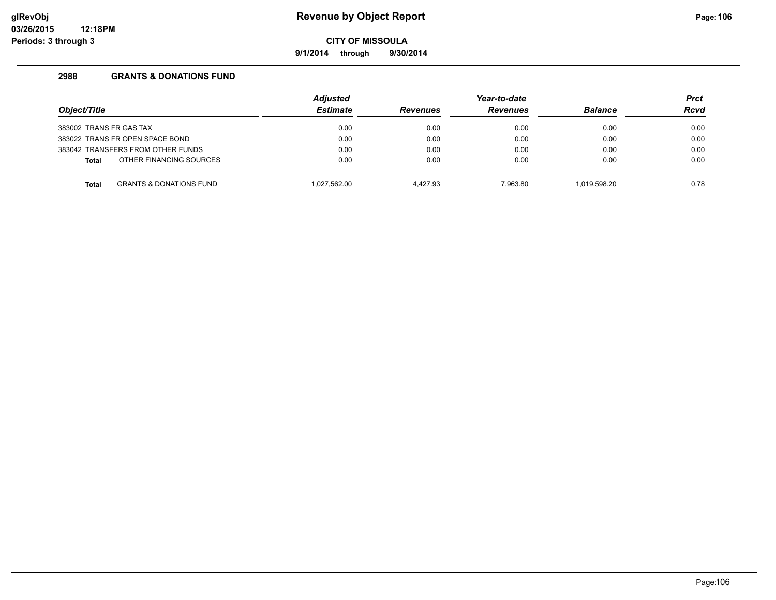**9/1/2014 through 9/30/2014**

| Object/Title                                       |                         | <b>Adjusted</b><br><b>Estimate</b> | <b>Revenues</b> | Year-to-date<br><b>Revenues</b> | <b>Balance</b> | <b>Prct</b><br><b>Rcvd</b> |
|----------------------------------------------------|-------------------------|------------------------------------|-----------------|---------------------------------|----------------|----------------------------|
|                                                    |                         |                                    |                 |                                 |                |                            |
| 383002 TRANS FR GAS TAX                            |                         | 0.00                               | 0.00            | 0.00                            | 0.00           | 0.00                       |
| 383022 TRANS FR OPEN SPACE BOND                    |                         | 0.00                               | 0.00            | 0.00                            | 0.00           | 0.00                       |
| 383042 TRANSFERS FROM OTHER FUNDS                  |                         | 0.00                               | 0.00            | 0.00                            | 0.00           | 0.00                       |
| <b>Total</b>                                       | OTHER FINANCING SOURCES | 0.00                               | 0.00            | 0.00                            | 0.00           | 0.00                       |
| <b>GRANTS &amp; DONATIONS FUND</b><br><b>Total</b> |                         | 1.027.562.00                       | 4.427.93        | 7.963.80                        | 1.019.598.20   | 0.78                       |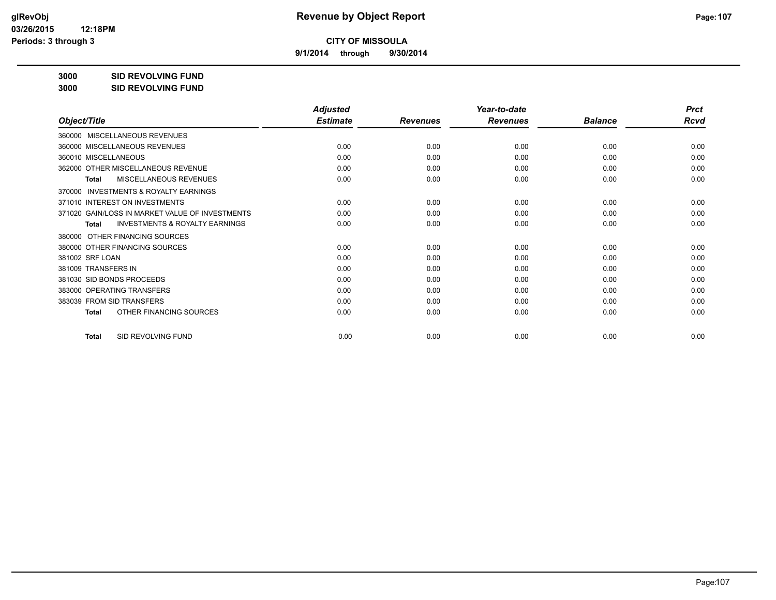**9/1/2014 through 9/30/2014**

**3000 SID REVOLVING FUND**

**3000 SID REVOLVING FUND**

|                                                           | <b>Adjusted</b> |                 | Year-to-date    |                | <b>Prct</b> |
|-----------------------------------------------------------|-----------------|-----------------|-----------------|----------------|-------------|
| Object/Title                                              | <b>Estimate</b> | <b>Revenues</b> | <b>Revenues</b> | <b>Balance</b> | <b>Rcvd</b> |
| MISCELLANEOUS REVENUES<br>360000                          |                 |                 |                 |                |             |
| 360000 MISCELLANEOUS REVENUES                             | 0.00            | 0.00            | 0.00            | 0.00           | 0.00        |
| 360010 MISCELLANEOUS                                      | 0.00            | 0.00            | 0.00            | 0.00           | 0.00        |
| 362000 OTHER MISCELLANEOUS REVENUE                        | 0.00            | 0.00            | 0.00            | 0.00           | 0.00        |
| MISCELLANEOUS REVENUES<br><b>Total</b>                    | 0.00            | 0.00            | 0.00            | 0.00           | 0.00        |
| <b>INVESTMENTS &amp; ROYALTY EARNINGS</b><br>370000       |                 |                 |                 |                |             |
| 371010 INTEREST ON INVESTMENTS                            | 0.00            | 0.00            | 0.00            | 0.00           | 0.00        |
| 371020 GAIN/LOSS IN MARKET VALUE OF INVESTMENTS           | 0.00            | 0.00            | 0.00            | 0.00           | 0.00        |
| <b>INVESTMENTS &amp; ROYALTY EARNINGS</b><br><b>Total</b> | 0.00            | 0.00            | 0.00            | 0.00           | 0.00        |
| OTHER FINANCING SOURCES<br>380000                         |                 |                 |                 |                |             |
| 380000 OTHER FINANCING SOURCES                            | 0.00            | 0.00            | 0.00            | 0.00           | 0.00        |
| 381002 SRF LOAN                                           | 0.00            | 0.00            | 0.00            | 0.00           | 0.00        |
| 381009 TRANSFERS IN                                       | 0.00            | 0.00            | 0.00            | 0.00           | 0.00        |
| 381030 SID BONDS PROCEEDS                                 | 0.00            | 0.00            | 0.00            | 0.00           | 0.00        |
| 383000 OPERATING TRANSFERS                                | 0.00            | 0.00            | 0.00            | 0.00           | 0.00        |
| 383039 FROM SID TRANSFERS                                 | 0.00            | 0.00            | 0.00            | 0.00           | 0.00        |
| OTHER FINANCING SOURCES<br>Total                          | 0.00            | 0.00            | 0.00            | 0.00           | 0.00        |
| SID REVOLVING FUND<br><b>Total</b>                        | 0.00            | 0.00            | 0.00            | 0.00           | 0.00        |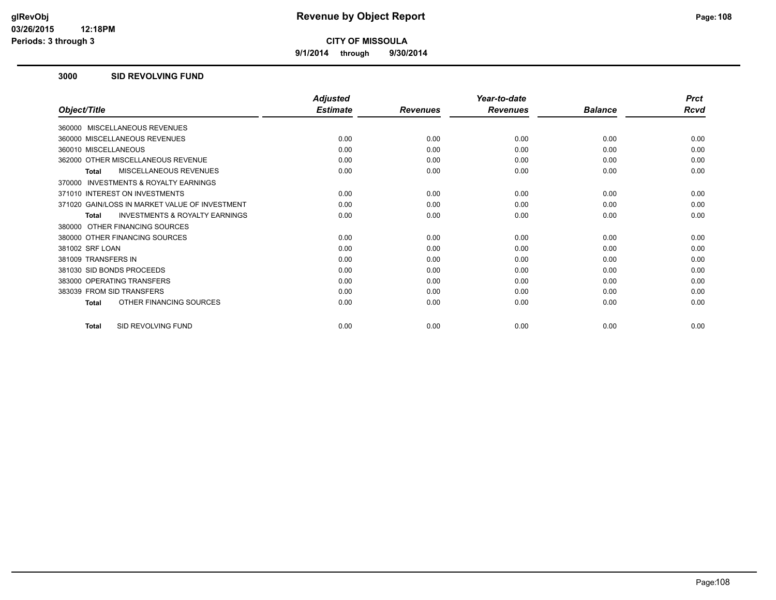**9/1/2014 through 9/30/2014**

### **3000 SID REVOLVING FUND**

|                                                           | <b>Adjusted</b> |                 | Year-to-date    |                | <b>Prct</b> |
|-----------------------------------------------------------|-----------------|-----------------|-----------------|----------------|-------------|
| Object/Title                                              | <b>Estimate</b> | <b>Revenues</b> | <b>Revenues</b> | <b>Balance</b> | Rcvd        |
| 360000 MISCELLANEOUS REVENUES                             |                 |                 |                 |                |             |
| 360000 MISCELLANEOUS REVENUES                             | 0.00            | 0.00            | 0.00            | 0.00           | 0.00        |
| 360010 MISCELLANEOUS                                      | 0.00            | 0.00            | 0.00            | 0.00           | 0.00        |
| 362000 OTHER MISCELLANEOUS REVENUE                        | 0.00            | 0.00            | 0.00            | 0.00           | 0.00        |
| <b>MISCELLANEOUS REVENUES</b><br><b>Total</b>             | 0.00            | 0.00            | 0.00            | 0.00           | 0.00        |
| INVESTMENTS & ROYALTY EARNINGS<br>370000                  |                 |                 |                 |                |             |
| 371010 INTEREST ON INVESTMENTS                            | 0.00            | 0.00            | 0.00            | 0.00           | 0.00        |
| 371020 GAIN/LOSS IN MARKET VALUE OF INVESTMENT            | 0.00            | 0.00            | 0.00            | 0.00           | 0.00        |
| <b>INVESTMENTS &amp; ROYALTY EARNINGS</b><br><b>Total</b> | 0.00            | 0.00            | 0.00            | 0.00           | 0.00        |
| 380000 OTHER FINANCING SOURCES                            |                 |                 |                 |                |             |
| 380000 OTHER FINANCING SOURCES                            | 0.00            | 0.00            | 0.00            | 0.00           | 0.00        |
| 381002 SRF LOAN                                           | 0.00            | 0.00            | 0.00            | 0.00           | 0.00        |
| 381009 TRANSFERS IN                                       | 0.00            | 0.00            | 0.00            | 0.00           | 0.00        |
| 381030 SID BONDS PROCEEDS                                 | 0.00            | 0.00            | 0.00            | 0.00           | 0.00        |
| 383000 OPERATING TRANSFERS                                | 0.00            | 0.00            | 0.00            | 0.00           | 0.00        |
| 383039 FROM SID TRANSFERS                                 | 0.00            | 0.00            | 0.00            | 0.00           | 0.00        |
| OTHER FINANCING SOURCES<br><b>Total</b>                   | 0.00            | 0.00            | 0.00            | 0.00           | 0.00        |
| SID REVOLVING FUND<br><b>Total</b>                        | 0.00            | 0.00            | 0.00            | 0.00           | 0.00        |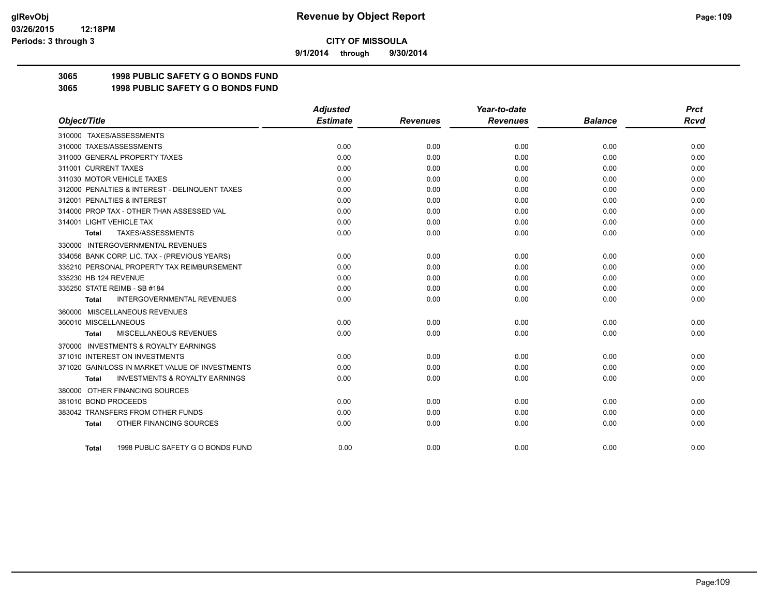**9/1/2014 through 9/30/2014**

## **3065 1998 PUBLIC SAFETY G O BONDS FUND**

**3065 1998 PUBLIC SAFETY G O BONDS FUND**

|                                                     | <b>Adjusted</b> |                 | Year-to-date    |                | <b>Prct</b> |
|-----------------------------------------------------|-----------------|-----------------|-----------------|----------------|-------------|
| Object/Title                                        | <b>Estimate</b> | <b>Revenues</b> | <b>Revenues</b> | <b>Balance</b> | <b>Rcvd</b> |
| 310000 TAXES/ASSESSMENTS                            |                 |                 |                 |                |             |
| 310000 TAXES/ASSESSMENTS                            | 0.00            | 0.00            | 0.00            | 0.00           | 0.00        |
| 311000 GENERAL PROPERTY TAXES                       | 0.00            | 0.00            | 0.00            | 0.00           | 0.00        |
| 311001 CURRENT TAXES                                | 0.00            | 0.00            | 0.00            | 0.00           | 0.00        |
| 311030 MOTOR VEHICLE TAXES                          | 0.00            | 0.00            | 0.00            | 0.00           | 0.00        |
| 312000 PENALTIES & INTEREST - DELINQUENT TAXES      | 0.00            | 0.00            | 0.00            | 0.00           | 0.00        |
| 312001 PENALTIES & INTEREST                         | 0.00            | 0.00            | 0.00            | 0.00           | 0.00        |
| 314000 PROP TAX - OTHER THAN ASSESSED VAL           | 0.00            | 0.00            | 0.00            | 0.00           | 0.00        |
| 314001 LIGHT VEHICLE TAX                            | 0.00            | 0.00            | 0.00            | 0.00           | 0.00        |
| TAXES/ASSESSMENTS<br>Total                          | 0.00            | 0.00            | 0.00            | 0.00           | 0.00        |
| 330000 INTERGOVERNMENTAL REVENUES                   |                 |                 |                 |                |             |
| 334056 BANK CORP. LIC. TAX - (PREVIOUS YEARS)       | 0.00            | 0.00            | 0.00            | 0.00           | 0.00        |
| 335210 PERSONAL PROPERTY TAX REIMBURSEMENT          | 0.00            | 0.00            | 0.00            | 0.00           | 0.00        |
| 335230 HB 124 REVENUE                               | 0.00            | 0.00            | 0.00            | 0.00           | 0.00        |
| 335250 STATE REIMB - SB #184                        | 0.00            | 0.00            | 0.00            | 0.00           | 0.00        |
| <b>INTERGOVERNMENTAL REVENUES</b><br><b>Total</b>   | 0.00            | 0.00            | 0.00            | 0.00           | 0.00        |
| 360000 MISCELLANEOUS REVENUES                       |                 |                 |                 |                |             |
| 360010 MISCELLANEOUS                                | 0.00            | 0.00            | 0.00            | 0.00           | 0.00        |
| <b>MISCELLANEOUS REVENUES</b><br>Total              | 0.00            | 0.00            | 0.00            | 0.00           | 0.00        |
| <b>INVESTMENTS &amp; ROYALTY EARNINGS</b><br>370000 |                 |                 |                 |                |             |
| 371010 INTEREST ON INVESTMENTS                      | 0.00            | 0.00            | 0.00            | 0.00           | 0.00        |
| 371020 GAIN/LOSS IN MARKET VALUE OF INVESTMENTS     | 0.00            | 0.00            | 0.00            | 0.00           | 0.00        |
| <b>INVESTMENTS &amp; ROYALTY EARNINGS</b><br>Total  | 0.00            | 0.00            | 0.00            | 0.00           | 0.00        |
| 380000 OTHER FINANCING SOURCES                      |                 |                 |                 |                |             |
| 381010 BOND PROCEEDS                                | 0.00            | 0.00            | 0.00            | 0.00           | 0.00        |
| 383042 TRANSFERS FROM OTHER FUNDS                   | 0.00            | 0.00            | 0.00            | 0.00           | 0.00        |
| OTHER FINANCING SOURCES<br><b>Total</b>             | 0.00            | 0.00            | 0.00            | 0.00           | 0.00        |
|                                                     |                 |                 |                 |                |             |
| 1998 PUBLIC SAFETY G O BONDS FUND<br>Total          | 0.00            | 0.00            | 0.00            | 0.00           | 0.00        |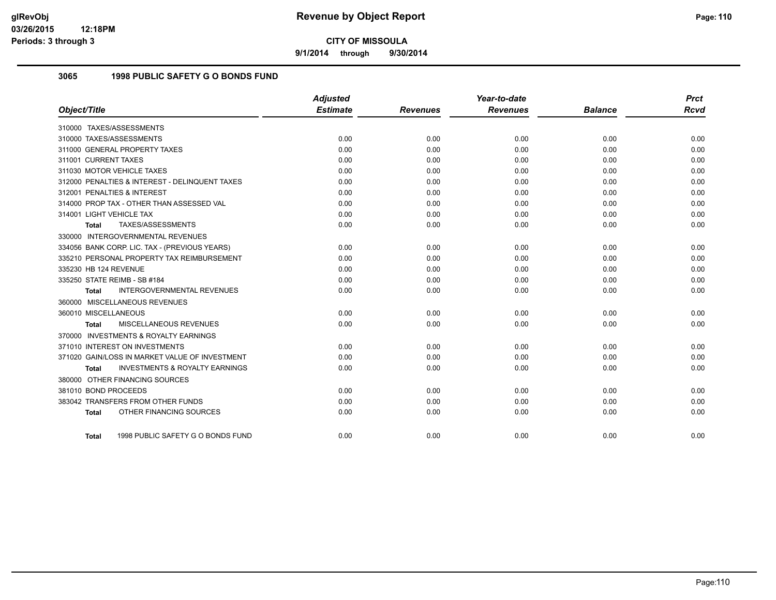**9/1/2014 through 9/30/2014**

#### **3065 1998 PUBLIC SAFETY G O BONDS FUND**

|                                                    | <b>Adjusted</b> |                 | Year-to-date    |                | <b>Prct</b> |
|----------------------------------------------------|-----------------|-----------------|-----------------|----------------|-------------|
| Object/Title                                       | <b>Estimate</b> | <b>Revenues</b> | <b>Revenues</b> | <b>Balance</b> | <b>Rcvd</b> |
| 310000 TAXES/ASSESSMENTS                           |                 |                 |                 |                |             |
| 310000 TAXES/ASSESSMENTS                           | 0.00            | 0.00            | 0.00            | 0.00           | 0.00        |
| 311000 GENERAL PROPERTY TAXES                      | 0.00            | 0.00            | 0.00            | 0.00           | 0.00        |
| 311001 CURRENT TAXES                               | 0.00            | 0.00            | 0.00            | 0.00           | 0.00        |
| 311030 MOTOR VEHICLE TAXES                         | 0.00            | 0.00            | 0.00            | 0.00           | 0.00        |
| 312000 PENALTIES & INTEREST - DELINQUENT TAXES     | 0.00            | 0.00            | 0.00            | 0.00           | 0.00        |
| 312001 PENALTIES & INTEREST                        | 0.00            | 0.00            | 0.00            | 0.00           | 0.00        |
| 314000 PROP TAX - OTHER THAN ASSESSED VAL          | 0.00            | 0.00            | 0.00            | 0.00           | 0.00        |
| 314001 LIGHT VEHICLE TAX                           | 0.00            | 0.00            | 0.00            | 0.00           | 0.00        |
| TAXES/ASSESSMENTS<br>Total                         | 0.00            | 0.00            | 0.00            | 0.00           | 0.00        |
| 330000 INTERGOVERNMENTAL REVENUES                  |                 |                 |                 |                |             |
| 334056 BANK CORP. LIC. TAX - (PREVIOUS YEARS)      | 0.00            | 0.00            | 0.00            | 0.00           | 0.00        |
| 335210 PERSONAL PROPERTY TAX REIMBURSEMENT         | 0.00            | 0.00            | 0.00            | 0.00           | 0.00        |
| 335230 HB 124 REVENUE                              | 0.00            | 0.00            | 0.00            | 0.00           | 0.00        |
| 335250 STATE REIMB - SB #184                       | 0.00            | 0.00            | 0.00            | 0.00           | 0.00        |
| INTERGOVERNMENTAL REVENUES<br><b>Total</b>         | 0.00            | 0.00            | 0.00            | 0.00           | 0.00        |
| 360000 MISCELLANEOUS REVENUES                      |                 |                 |                 |                |             |
| 360010 MISCELLANEOUS                               | 0.00            | 0.00            | 0.00            | 0.00           | 0.00        |
| <b>MISCELLANEOUS REVENUES</b><br>Total             | 0.00            | 0.00            | 0.00            | 0.00           | 0.00        |
| 370000 INVESTMENTS & ROYALTY EARNINGS              |                 |                 |                 |                |             |
| 371010 INTEREST ON INVESTMENTS                     | 0.00            | 0.00            | 0.00            | 0.00           | 0.00        |
| 371020 GAIN/LOSS IN MARKET VALUE OF INVESTMENT     | 0.00            | 0.00            | 0.00            | 0.00           | 0.00        |
| <b>INVESTMENTS &amp; ROYALTY EARNINGS</b><br>Total | 0.00            | 0.00            | 0.00            | 0.00           | 0.00        |
| 380000 OTHER FINANCING SOURCES                     |                 |                 |                 |                |             |
| 381010 BOND PROCEEDS                               | 0.00            | 0.00            | 0.00            | 0.00           | 0.00        |
| 383042 TRANSFERS FROM OTHER FUNDS                  | 0.00            | 0.00            | 0.00            | 0.00           | 0.00        |
| OTHER FINANCING SOURCES<br><b>Total</b>            | 0.00            | 0.00            | 0.00            | 0.00           | 0.00        |
| 1998 PUBLIC SAFETY G O BONDS FUND<br>Total         | 0.00            | 0.00            | 0.00            | 0.00           | 0.00        |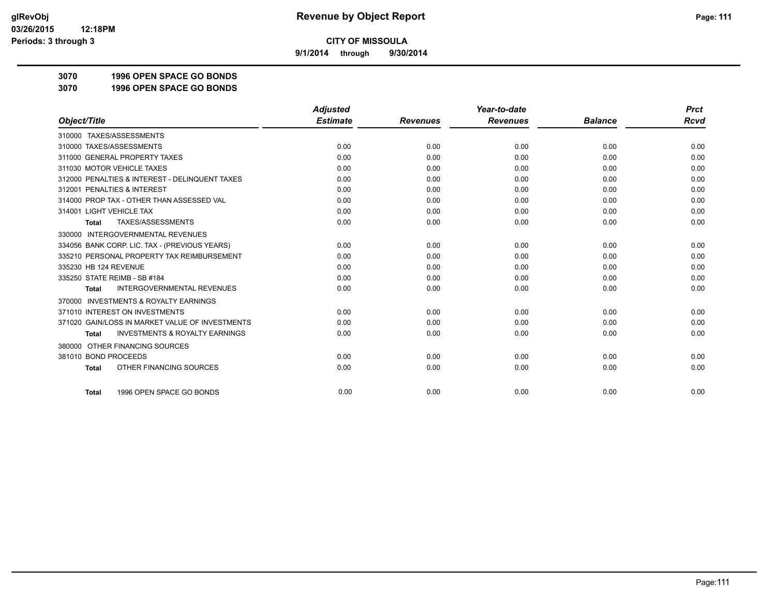**9/1/2014 through 9/30/2014**

**3070 1996 OPEN SPACE GO BONDS**

**3070 1996 OPEN SPACE GO BONDS**

|                                                           | <b>Adjusted</b> |                 | Year-to-date    |                | <b>Prct</b> |
|-----------------------------------------------------------|-----------------|-----------------|-----------------|----------------|-------------|
| Object/Title                                              | <b>Estimate</b> | <b>Revenues</b> | <b>Revenues</b> | <b>Balance</b> | <b>Rcvd</b> |
| 310000 TAXES/ASSESSMENTS                                  |                 |                 |                 |                |             |
| 310000 TAXES/ASSESSMENTS                                  | 0.00            | 0.00            | 0.00            | 0.00           | 0.00        |
| 311000 GENERAL PROPERTY TAXES                             | 0.00            | 0.00            | 0.00            | 0.00           | 0.00        |
| 311030 MOTOR VEHICLE TAXES                                | 0.00            | 0.00            | 0.00            | 0.00           | 0.00        |
| 312000 PENALTIES & INTEREST - DELINQUENT TAXES            | 0.00            | 0.00            | 0.00            | 0.00           | 0.00        |
| 312001 PENALTIES & INTEREST                               | 0.00            | 0.00            | 0.00            | 0.00           | 0.00        |
| 314000 PROP TAX - OTHER THAN ASSESSED VAL                 | 0.00            | 0.00            | 0.00            | 0.00           | 0.00        |
| 314001 LIGHT VEHICLE TAX                                  | 0.00            | 0.00            | 0.00            | 0.00           | 0.00        |
| TAXES/ASSESSMENTS<br><b>Total</b>                         | 0.00            | 0.00            | 0.00            | 0.00           | 0.00        |
| 330000 INTERGOVERNMENTAL REVENUES                         |                 |                 |                 |                |             |
| 334056 BANK CORP. LIC. TAX - (PREVIOUS YEARS)             | 0.00            | 0.00            | 0.00            | 0.00           | 0.00        |
| 335210 PERSONAL PROPERTY TAX REIMBURSEMENT                | 0.00            | 0.00            | 0.00            | 0.00           | 0.00        |
| 335230 HB 124 REVENUE                                     | 0.00            | 0.00            | 0.00            | 0.00           | 0.00        |
| 335250 STATE REIMB - SB #184                              | 0.00            | 0.00            | 0.00            | 0.00           | 0.00        |
| <b>INTERGOVERNMENTAL REVENUES</b><br><b>Total</b>         | 0.00            | 0.00            | 0.00            | 0.00           | 0.00        |
| <b>INVESTMENTS &amp; ROYALTY EARNINGS</b><br>370000       |                 |                 |                 |                |             |
| 371010 INTEREST ON INVESTMENTS                            | 0.00            | 0.00            | 0.00            | 0.00           | 0.00        |
| 371020 GAIN/LOSS IN MARKET VALUE OF INVESTMENTS           | 0.00            | 0.00            | 0.00            | 0.00           | 0.00        |
| <b>INVESTMENTS &amp; ROYALTY EARNINGS</b><br><b>Total</b> | 0.00            | 0.00            | 0.00            | 0.00           | 0.00        |
| OTHER FINANCING SOURCES<br>380000                         |                 |                 |                 |                |             |
| 381010 BOND PROCEEDS                                      | 0.00            | 0.00            | 0.00            | 0.00           | 0.00        |
| OTHER FINANCING SOURCES<br><b>Total</b>                   | 0.00            | 0.00            | 0.00            | 0.00           | 0.00        |
| 1996 OPEN SPACE GO BONDS<br><b>Total</b>                  | 0.00            | 0.00            | 0.00            | 0.00           | 0.00        |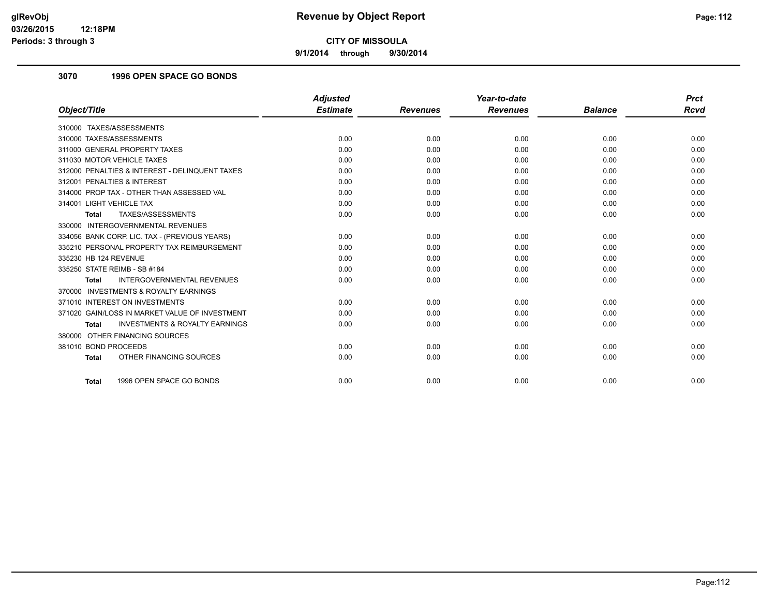**9/1/2014 through 9/30/2014**

### **3070 1996 OPEN SPACE GO BONDS**

|                                                           | <b>Adjusted</b> |                 | Year-to-date    |                | <b>Prct</b> |
|-----------------------------------------------------------|-----------------|-----------------|-----------------|----------------|-------------|
| Object/Title                                              | <b>Estimate</b> | <b>Revenues</b> | <b>Revenues</b> | <b>Balance</b> | <b>Rcvd</b> |
| 310000 TAXES/ASSESSMENTS                                  |                 |                 |                 |                |             |
| 310000 TAXES/ASSESSMENTS                                  | 0.00            | 0.00            | 0.00            | 0.00           | 0.00        |
| 311000 GENERAL PROPERTY TAXES                             | 0.00            | 0.00            | 0.00            | 0.00           | 0.00        |
| 311030 MOTOR VEHICLE TAXES                                | 0.00            | 0.00            | 0.00            | 0.00           | 0.00        |
| 312000 PENALTIES & INTEREST - DELINQUENT TAXES            | 0.00            | 0.00            | 0.00            | 0.00           | 0.00        |
| 312001 PENALTIES & INTEREST                               | 0.00            | 0.00            | 0.00            | 0.00           | 0.00        |
| 314000 PROP TAX - OTHER THAN ASSESSED VAL                 | 0.00            | 0.00            | 0.00            | 0.00           | 0.00        |
| 314001 LIGHT VEHICLE TAX                                  | 0.00            | 0.00            | 0.00            | 0.00           | 0.00        |
| TAXES/ASSESSMENTS<br>Total                                | 0.00            | 0.00            | 0.00            | 0.00           | 0.00        |
| 330000 INTERGOVERNMENTAL REVENUES                         |                 |                 |                 |                |             |
| 334056 BANK CORP. LIC. TAX - (PREVIOUS YEARS)             | 0.00            | 0.00            | 0.00            | 0.00           | 0.00        |
| 335210 PERSONAL PROPERTY TAX REIMBURSEMENT                | 0.00            | 0.00            | 0.00            | 0.00           | 0.00        |
| 335230 HB 124 REVENUE                                     | 0.00            | 0.00            | 0.00            | 0.00           | 0.00        |
| 335250 STATE REIMB - SB #184                              | 0.00            | 0.00            | 0.00            | 0.00           | 0.00        |
| <b>INTERGOVERNMENTAL REVENUES</b><br><b>Total</b>         | 0.00            | 0.00            | 0.00            | 0.00           | 0.00        |
| 370000 INVESTMENTS & ROYALTY EARNINGS                     |                 |                 |                 |                |             |
| 371010 INTEREST ON INVESTMENTS                            | 0.00            | 0.00            | 0.00            | 0.00           | 0.00        |
| 371020 GAIN/LOSS IN MARKET VALUE OF INVESTMENT            | 0.00            | 0.00            | 0.00            | 0.00           | 0.00        |
| <b>INVESTMENTS &amp; ROYALTY EARNINGS</b><br><b>Total</b> | 0.00            | 0.00            | 0.00            | 0.00           | 0.00        |
| 380000 OTHER FINANCING SOURCES                            |                 |                 |                 |                |             |
| 381010 BOND PROCEEDS                                      | 0.00            | 0.00            | 0.00            | 0.00           | 0.00        |
| OTHER FINANCING SOURCES<br><b>Total</b>                   | 0.00            | 0.00            | 0.00            | 0.00           | 0.00        |
|                                                           |                 |                 |                 |                |             |
| 1996 OPEN SPACE GO BONDS<br><b>Total</b>                  | 0.00            | 0.00            | 0.00            | 0.00           | 0.00        |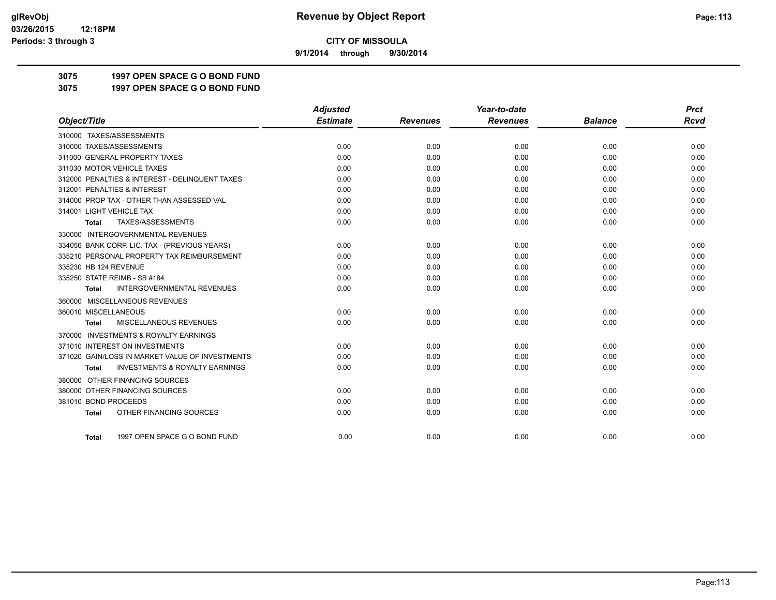**9/1/2014 through 9/30/2014**

**3075 1997 OPEN SPACE G O BOND FUND**

**3075 1997 OPEN SPACE G O BOND FUND**

|                                                           | <b>Adjusted</b> |                 | Year-to-date    |                | <b>Prct</b> |
|-----------------------------------------------------------|-----------------|-----------------|-----------------|----------------|-------------|
| Object/Title                                              | <b>Estimate</b> | <b>Revenues</b> | <b>Revenues</b> | <b>Balance</b> | <b>Rcvd</b> |
| 310000 TAXES/ASSESSMENTS                                  |                 |                 |                 |                |             |
| 310000 TAXES/ASSESSMENTS                                  | 0.00            | 0.00            | 0.00            | 0.00           | 0.00        |
| 311000 GENERAL PROPERTY TAXES                             | 0.00            | 0.00            | 0.00            | 0.00           | 0.00        |
| 311030 MOTOR VEHICLE TAXES                                | 0.00            | 0.00            | 0.00            | 0.00           | 0.00        |
| 312000 PENALTIES & INTEREST - DELINQUENT TAXES            | 0.00            | 0.00            | 0.00            | 0.00           | 0.00        |
| 312001 PENALTIES & INTEREST                               | 0.00            | 0.00            | 0.00            | 0.00           | 0.00        |
| 314000 PROP TAX - OTHER THAN ASSESSED VAL                 | 0.00            | 0.00            | 0.00            | 0.00           | 0.00        |
| 314001 LIGHT VEHICLE TAX                                  | 0.00            | 0.00            | 0.00            | 0.00           | 0.00        |
| TAXES/ASSESSMENTS<br>Total                                | 0.00            | 0.00            | 0.00            | 0.00           | 0.00        |
| 330000 INTERGOVERNMENTAL REVENUES                         |                 |                 |                 |                |             |
| 334056 BANK CORP. LIC. TAX - (PREVIOUS YEARS)             | 0.00            | 0.00            | 0.00            | 0.00           | 0.00        |
| 335210 PERSONAL PROPERTY TAX REIMBURSEMENT                | 0.00            | 0.00            | 0.00            | 0.00           | 0.00        |
| 335230 HB 124 REVENUE                                     | 0.00            | 0.00            | 0.00            | 0.00           | 0.00        |
| 335250 STATE REIMB - SB #184                              | 0.00            | 0.00            | 0.00            | 0.00           | 0.00        |
| <b>INTERGOVERNMENTAL REVENUES</b><br><b>Total</b>         | 0.00            | 0.00            | 0.00            | 0.00           | 0.00        |
| 360000 MISCELLANEOUS REVENUES                             |                 |                 |                 |                |             |
| 360010 MISCELLANEOUS                                      | 0.00            | 0.00            | 0.00            | 0.00           | 0.00        |
| MISCELLANEOUS REVENUES<br><b>Total</b>                    | 0.00            | 0.00            | 0.00            | 0.00           | 0.00        |
| <b>INVESTMENTS &amp; ROYALTY EARNINGS</b><br>370000       |                 |                 |                 |                |             |
| 371010 INTEREST ON INVESTMENTS                            | 0.00            | 0.00            | 0.00            | 0.00           | 0.00        |
| 371020 GAIN/LOSS IN MARKET VALUE OF INVESTMENTS           | 0.00            | 0.00            | 0.00            | 0.00           | 0.00        |
| <b>INVESTMENTS &amp; ROYALTY EARNINGS</b><br><b>Total</b> | 0.00            | 0.00            | 0.00            | 0.00           | 0.00        |
| 380000 OTHER FINANCING SOURCES                            |                 |                 |                 |                |             |
| 380000 OTHER FINANCING SOURCES                            | 0.00            | 0.00            | 0.00            | 0.00           | 0.00        |
| 381010 BOND PROCEEDS                                      | 0.00            | 0.00            | 0.00            | 0.00           | 0.00        |
| OTHER FINANCING SOURCES<br><b>Total</b>                   | 0.00            | 0.00            | 0.00            | 0.00           | 0.00        |
|                                                           |                 |                 |                 |                |             |
| 1997 OPEN SPACE G O BOND FUND<br>Total                    | 0.00            | 0.00            | 0.00            | 0.00           | 0.00        |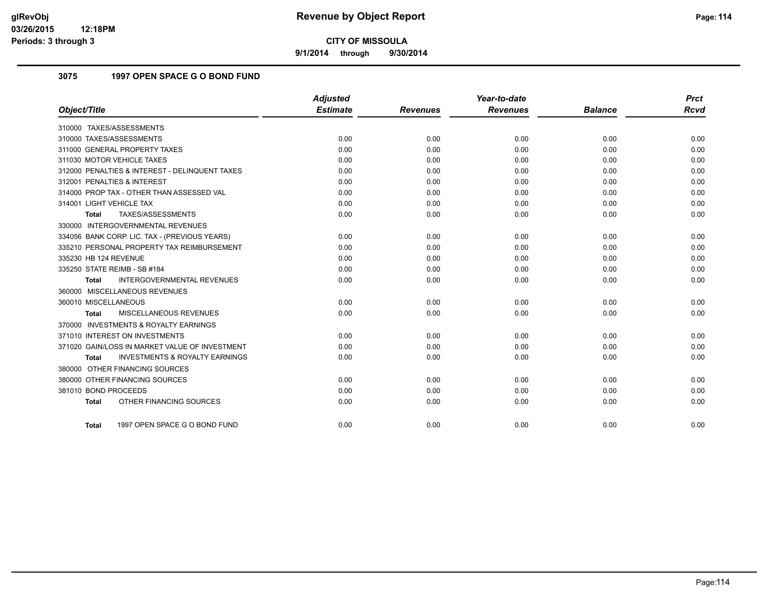**9/1/2014 through 9/30/2014**

#### **3075 1997 OPEN SPACE G O BOND FUND**

|                                                           | <b>Adjusted</b> |                 | Year-to-date    |                | <b>Prct</b> |
|-----------------------------------------------------------|-----------------|-----------------|-----------------|----------------|-------------|
| Object/Title                                              | <b>Estimate</b> | <b>Revenues</b> | <b>Revenues</b> | <b>Balance</b> | <b>Rcvd</b> |
| 310000 TAXES/ASSESSMENTS                                  |                 |                 |                 |                |             |
| 310000 TAXES/ASSESSMENTS                                  | 0.00            | 0.00            | 0.00            | 0.00           | 0.00        |
| 311000 GENERAL PROPERTY TAXES                             | 0.00            | 0.00            | 0.00            | 0.00           | 0.00        |
| 311030 MOTOR VEHICLE TAXES                                | 0.00            | 0.00            | 0.00            | 0.00           | 0.00        |
| 312000 PENALTIES & INTEREST - DELINQUENT TAXES            | 0.00            | 0.00            | 0.00            | 0.00           | 0.00        |
| 312001 PENALTIES & INTEREST                               | 0.00            | 0.00            | 0.00            | 0.00           | 0.00        |
| 314000 PROP TAX - OTHER THAN ASSESSED VAL                 | 0.00            | 0.00            | 0.00            | 0.00           | 0.00        |
| 314001 LIGHT VEHICLE TAX                                  | 0.00            | 0.00            | 0.00            | 0.00           | 0.00        |
| TAXES/ASSESSMENTS<br><b>Total</b>                         | 0.00            | 0.00            | 0.00            | 0.00           | 0.00        |
| 330000 INTERGOVERNMENTAL REVENUES                         |                 |                 |                 |                |             |
| 334056 BANK CORP. LIC. TAX - (PREVIOUS YEARS)             | 0.00            | 0.00            | 0.00            | 0.00           | 0.00        |
| 335210 PERSONAL PROPERTY TAX REIMBURSEMENT                | 0.00            | 0.00            | 0.00            | 0.00           | 0.00        |
| 335230 HB 124 REVENUE                                     | 0.00            | 0.00            | 0.00            | 0.00           | 0.00        |
| 335250 STATE REIMB - SB #184                              | 0.00            | 0.00            | 0.00            | 0.00           | 0.00        |
| INTERGOVERNMENTAL REVENUES<br><b>Total</b>                | 0.00            | 0.00            | 0.00            | 0.00           | 0.00        |
| 360000 MISCELLANEOUS REVENUES                             |                 |                 |                 |                |             |
| 360010 MISCELLANEOUS                                      | 0.00            | 0.00            | 0.00            | 0.00           | 0.00        |
| <b>MISCELLANEOUS REVENUES</b><br><b>Total</b>             | 0.00            | 0.00            | 0.00            | 0.00           | 0.00        |
| 370000 INVESTMENTS & ROYALTY EARNINGS                     |                 |                 |                 |                |             |
| 371010 INTEREST ON INVESTMENTS                            | 0.00            | 0.00            | 0.00            | 0.00           | 0.00        |
| 371020 GAIN/LOSS IN MARKET VALUE OF INVESTMENT            | 0.00            | 0.00            | 0.00            | 0.00           | 0.00        |
| <b>INVESTMENTS &amp; ROYALTY EARNINGS</b><br><b>Total</b> | 0.00            | 0.00            | 0.00            | 0.00           | 0.00        |
| 380000 OTHER FINANCING SOURCES                            |                 |                 |                 |                |             |
| 380000 OTHER FINANCING SOURCES                            | 0.00            | 0.00            | 0.00            | 0.00           | 0.00        |
| 381010 BOND PROCEEDS                                      | 0.00            | 0.00            | 0.00            | 0.00           | 0.00        |
| OTHER FINANCING SOURCES<br><b>Total</b>                   | 0.00            | 0.00            | 0.00            | 0.00           | 0.00        |
| 1997 OPEN SPACE G O BOND FUND<br>Total                    | 0.00            | 0.00            | 0.00            | 0.00           | 0.00        |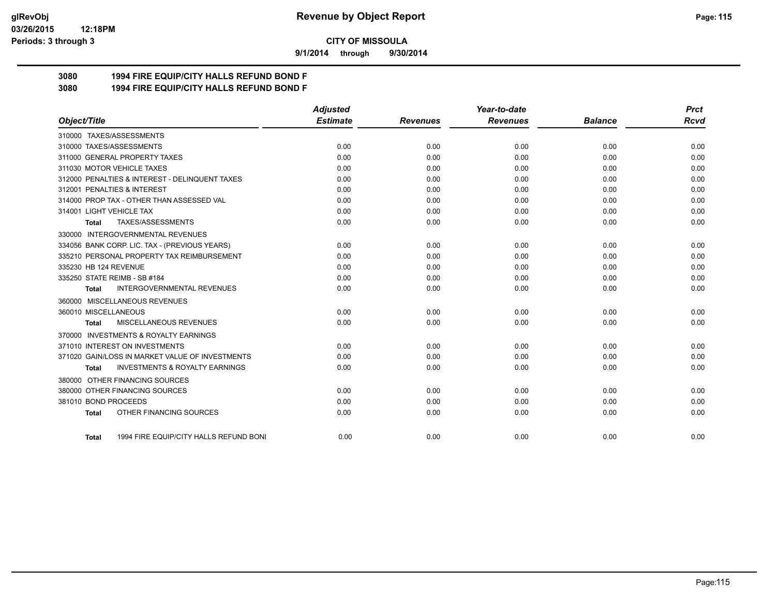**9/1/2014 through 9/30/2014**

## **3080 1994 FIRE EQUIP/CITY HALLS REFUND BOND F**

**3080 1994 FIRE EQUIP/CITY HALLS REFUND BOND F**

|                                                           | <b>Adjusted</b> |                 | Year-to-date    |                | <b>Prct</b> |
|-----------------------------------------------------------|-----------------|-----------------|-----------------|----------------|-------------|
| Object/Title                                              | <b>Estimate</b> | <b>Revenues</b> | <b>Revenues</b> | <b>Balance</b> | Rcvd        |
| 310000 TAXES/ASSESSMENTS                                  |                 |                 |                 |                |             |
| 310000 TAXES/ASSESSMENTS                                  | 0.00            | 0.00            | 0.00            | 0.00           | 0.00        |
| 311000 GENERAL PROPERTY TAXES                             | 0.00            | 0.00            | 0.00            | 0.00           | 0.00        |
| 311030 MOTOR VEHICLE TAXES                                | 0.00            | 0.00            | 0.00            | 0.00           | 0.00        |
| 312000 PENALTIES & INTEREST - DELINQUENT TAXES            | 0.00            | 0.00            | 0.00            | 0.00           | 0.00        |
| 312001 PENALTIES & INTEREST                               | 0.00            | 0.00            | 0.00            | 0.00           | 0.00        |
| 314000 PROP TAX - OTHER THAN ASSESSED VAL                 | 0.00            | 0.00            | 0.00            | 0.00           | 0.00        |
| 314001 LIGHT VEHICLE TAX                                  | 0.00            | 0.00            | 0.00            | 0.00           | 0.00        |
| TAXES/ASSESSMENTS<br>Total                                | 0.00            | 0.00            | 0.00            | 0.00           | 0.00        |
| 330000 INTERGOVERNMENTAL REVENUES                         |                 |                 |                 |                |             |
| 334056 BANK CORP. LIC. TAX - (PREVIOUS YEARS)             | 0.00            | 0.00            | 0.00            | 0.00           | 0.00        |
| 335210 PERSONAL PROPERTY TAX REIMBURSEMENT                | 0.00            | 0.00            | 0.00            | 0.00           | 0.00        |
| 335230 HB 124 REVENUE                                     | 0.00            | 0.00            | 0.00            | 0.00           | 0.00        |
| 335250 STATE REIMB - SB #184                              | 0.00            | 0.00            | 0.00            | 0.00           | 0.00        |
| <b>INTERGOVERNMENTAL REVENUES</b><br><b>Total</b>         | 0.00            | 0.00            | 0.00            | 0.00           | 0.00        |
| 360000 MISCELLANEOUS REVENUES                             |                 |                 |                 |                |             |
| 360010 MISCELLANEOUS                                      | 0.00            | 0.00            | 0.00            | 0.00           | 0.00        |
| MISCELLANEOUS REVENUES<br><b>Total</b>                    | 0.00            | 0.00            | 0.00            | 0.00           | 0.00        |
| 370000 INVESTMENTS & ROYALTY EARNINGS                     |                 |                 |                 |                |             |
| 371010 INTEREST ON INVESTMENTS                            | 0.00            | 0.00            | 0.00            | 0.00           | 0.00        |
| 371020 GAIN/LOSS IN MARKET VALUE OF INVESTMENTS           | 0.00            | 0.00            | 0.00            | 0.00           | 0.00        |
| <b>INVESTMENTS &amp; ROYALTY EARNINGS</b><br><b>Total</b> | 0.00            | 0.00            | 0.00            | 0.00           | 0.00        |
| 380000 OTHER FINANCING SOURCES                            |                 |                 |                 |                |             |
| 380000 OTHER FINANCING SOURCES                            | 0.00            | 0.00            | 0.00            | 0.00           | 0.00        |
| 381010 BOND PROCEEDS                                      | 0.00            | 0.00            | 0.00            | 0.00           | 0.00        |
| OTHER FINANCING SOURCES<br><b>Total</b>                   | 0.00            | 0.00            | 0.00            | 0.00           | 0.00        |
|                                                           |                 |                 |                 |                |             |
| 1994 FIRE EQUIP/CITY HALLS REFUND BONI<br>Total           | 0.00            | 0.00            | 0.00            | 0.00           | 0.00        |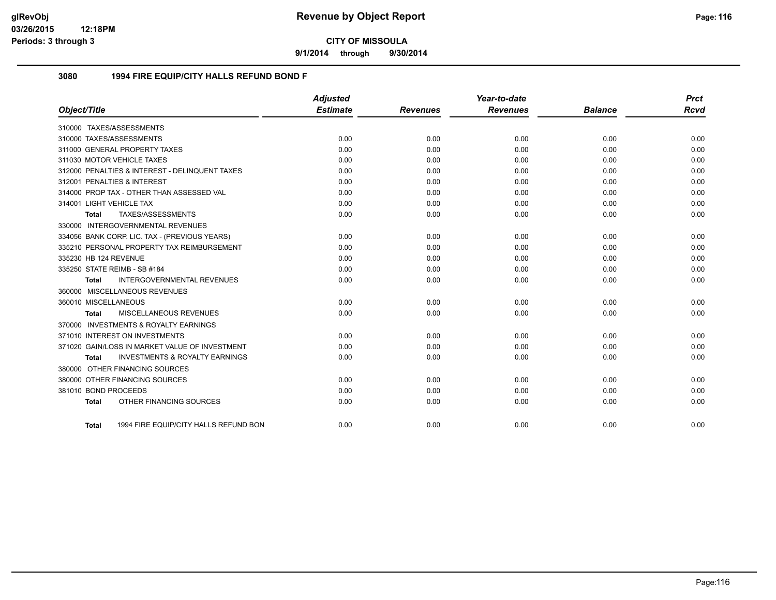**9/1/2014 through 9/30/2014**

#### **3080 1994 FIRE EQUIP/CITY HALLS REFUND BOND F**

|                          |                                                | <b>Adjusted</b> |                 | Year-to-date    |                | <b>Prct</b> |
|--------------------------|------------------------------------------------|-----------------|-----------------|-----------------|----------------|-------------|
| Object/Title             |                                                | <b>Estimate</b> | <b>Revenues</b> | <b>Revenues</b> | <b>Balance</b> | <b>Rcvd</b> |
|                          | 310000 TAXES/ASSESSMENTS                       |                 |                 |                 |                |             |
|                          | 310000 TAXES/ASSESSMENTS                       | 0.00            | 0.00            | 0.00            | 0.00           | 0.00        |
|                          | 311000 GENERAL PROPERTY TAXES                  | 0.00            | 0.00            | 0.00            | 0.00           | 0.00        |
|                          | 311030 MOTOR VEHICLE TAXES                     | 0.00            | 0.00            | 0.00            | 0.00           | 0.00        |
|                          | 312000 PENALTIES & INTEREST - DELINQUENT TAXES | 0.00            | 0.00            | 0.00            | 0.00           | 0.00        |
|                          | 312001 PENALTIES & INTEREST                    | 0.00            | 0.00            | 0.00            | 0.00           | 0.00        |
|                          | 314000 PROP TAX - OTHER THAN ASSESSED VAL      | 0.00            | 0.00            | 0.00            | 0.00           | 0.00        |
| 314001 LIGHT VEHICLE TAX |                                                | 0.00            | 0.00            | 0.00            | 0.00           | 0.00        |
| Total                    | TAXES/ASSESSMENTS                              | 0.00            | 0.00            | 0.00            | 0.00           | 0.00        |
|                          | 330000 INTERGOVERNMENTAL REVENUES              |                 |                 |                 |                |             |
|                          | 334056 BANK CORP. LIC. TAX - (PREVIOUS YEARS)  | 0.00            | 0.00            | 0.00            | 0.00           | 0.00        |
|                          | 335210 PERSONAL PROPERTY TAX REIMBURSEMENT     | 0.00            | 0.00            | 0.00            | 0.00           | 0.00        |
| 335230 HB 124 REVENUE    |                                                | 0.00            | 0.00            | 0.00            | 0.00           | 0.00        |
|                          | 335250 STATE REIMB - SB #184                   | 0.00            | 0.00            | 0.00            | 0.00           | 0.00        |
| <b>Total</b>             | <b>INTERGOVERNMENTAL REVENUES</b>              | 0.00            | 0.00            | 0.00            | 0.00           | 0.00        |
|                          | 360000 MISCELLANEOUS REVENUES                  |                 |                 |                 |                |             |
| 360010 MISCELLANEOUS     |                                                | 0.00            | 0.00            | 0.00            | 0.00           | 0.00        |
| <b>Total</b>             | <b>MISCELLANEOUS REVENUES</b>                  | 0.00            | 0.00            | 0.00            | 0.00           | 0.00        |
|                          | 370000 INVESTMENTS & ROYALTY EARNINGS          |                 |                 |                 |                |             |
|                          | 371010 INTEREST ON INVESTMENTS                 | 0.00            | 0.00            | 0.00            | 0.00           | 0.00        |
|                          | 371020 GAIN/LOSS IN MARKET VALUE OF INVESTMENT | 0.00            | 0.00            | 0.00            | 0.00           | 0.00        |
| <b>Total</b>             | <b>INVESTMENTS &amp; ROYALTY EARNINGS</b>      | 0.00            | 0.00            | 0.00            | 0.00           | 0.00        |
|                          | 380000 OTHER FINANCING SOURCES                 |                 |                 |                 |                |             |
|                          | 380000 OTHER FINANCING SOURCES                 | 0.00            | 0.00            | 0.00            | 0.00           | 0.00        |
| 381010 BOND PROCEEDS     |                                                | 0.00            | 0.00            | 0.00            | 0.00           | 0.00        |
| <b>Total</b>             | OTHER FINANCING SOURCES                        | 0.00            | 0.00            | 0.00            | 0.00           | 0.00        |
|                          |                                                |                 |                 |                 |                |             |
| Total                    | 1994 FIRE EQUIP/CITY HALLS REFUND BON          | 0.00            | 0.00            | 0.00            | 0.00           | 0.00        |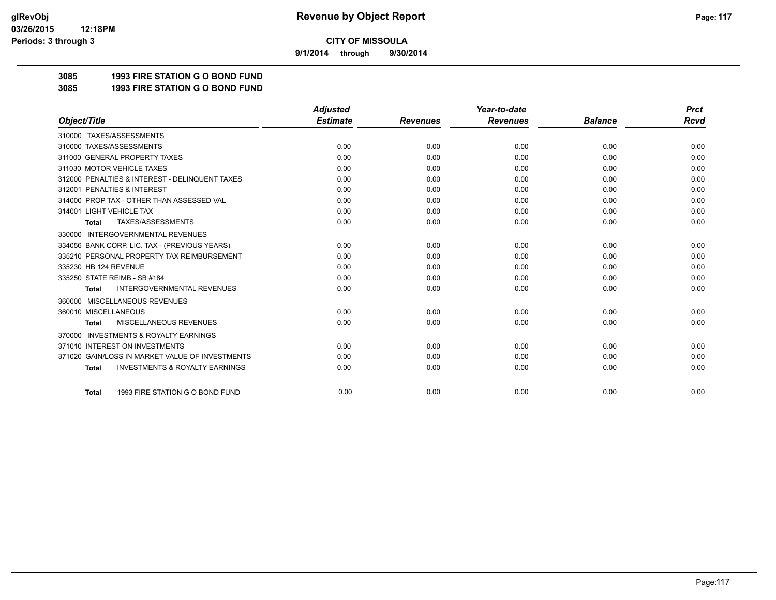**9/1/2014 through 9/30/2014**

## **3085 1993 FIRE STATION G O BOND FUND**

**3085 1993 FIRE STATION G O BOND FUND**

|                                                           | <b>Adjusted</b> |                 | Year-to-date    |                | <b>Prct</b> |
|-----------------------------------------------------------|-----------------|-----------------|-----------------|----------------|-------------|
| Object/Title                                              | <b>Estimate</b> | <b>Revenues</b> | <b>Revenues</b> | <b>Balance</b> | <b>Rcvd</b> |
| 310000 TAXES/ASSESSMENTS                                  |                 |                 |                 |                |             |
| 310000 TAXES/ASSESSMENTS                                  | 0.00            | 0.00            | 0.00            | 0.00           | 0.00        |
| 311000 GENERAL PROPERTY TAXES                             | 0.00            | 0.00            | 0.00            | 0.00           | 0.00        |
| 311030 MOTOR VEHICLE TAXES                                | 0.00            | 0.00            | 0.00            | 0.00           | 0.00        |
| 312000 PENALTIES & INTEREST - DELINQUENT TAXES            | 0.00            | 0.00            | 0.00            | 0.00           | 0.00        |
| 312001 PENALTIES & INTEREST                               | 0.00            | 0.00            | 0.00            | 0.00           | 0.00        |
| 314000 PROP TAX - OTHER THAN ASSESSED VAL                 | 0.00            | 0.00            | 0.00            | 0.00           | 0.00        |
| 314001 LIGHT VEHICLE TAX                                  | 0.00            | 0.00            | 0.00            | 0.00           | 0.00        |
| TAXES/ASSESSMENTS<br><b>Total</b>                         | 0.00            | 0.00            | 0.00            | 0.00           | 0.00        |
| 330000 INTERGOVERNMENTAL REVENUES                         |                 |                 |                 |                |             |
| 334056 BANK CORP. LIC. TAX - (PREVIOUS YEARS)             | 0.00            | 0.00            | 0.00            | 0.00           | 0.00        |
| 335210 PERSONAL PROPERTY TAX REIMBURSEMENT                | 0.00            | 0.00            | 0.00            | 0.00           | 0.00        |
| 335230 HB 124 REVENUE                                     | 0.00            | 0.00            | 0.00            | 0.00           | 0.00        |
| 335250 STATE REIMB - SB #184                              | 0.00            | 0.00            | 0.00            | 0.00           | 0.00        |
| <b>INTERGOVERNMENTAL REVENUES</b><br><b>Total</b>         | 0.00            | 0.00            | 0.00            | 0.00           | 0.00        |
| MISCELLANEOUS REVENUES<br>360000                          |                 |                 |                 |                |             |
| 360010 MISCELLANEOUS                                      | 0.00            | 0.00            | 0.00            | 0.00           | 0.00        |
| MISCELLANEOUS REVENUES<br><b>Total</b>                    | 0.00            | 0.00            | 0.00            | 0.00           | 0.00        |
| <b>INVESTMENTS &amp; ROYALTY EARNINGS</b><br>370000       |                 |                 |                 |                |             |
| 371010 INTEREST ON INVESTMENTS                            | 0.00            | 0.00            | 0.00            | 0.00           | 0.00        |
| 371020 GAIN/LOSS IN MARKET VALUE OF INVESTMENTS           | 0.00            | 0.00            | 0.00            | 0.00           | 0.00        |
| <b>INVESTMENTS &amp; ROYALTY EARNINGS</b><br><b>Total</b> | 0.00            | 0.00            | 0.00            | 0.00           | 0.00        |
| 1993 FIRE STATION G O BOND FUND<br><b>Total</b>           | 0.00            | 0.00            | 0.00            | 0.00           | 0.00        |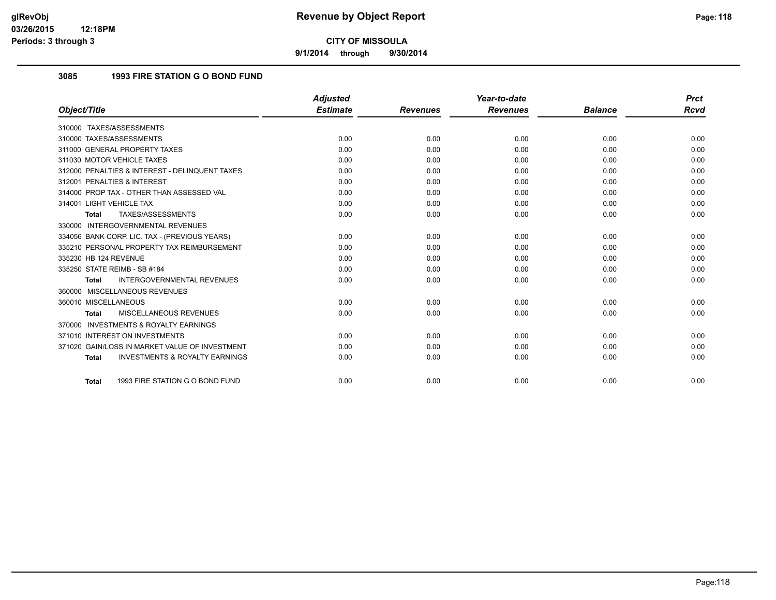**9/1/2014 through 9/30/2014**

### **3085 1993 FIRE STATION G O BOND FUND**

|                                                           | <b>Adjusted</b> |                 | Year-to-date    |                | <b>Prct</b> |
|-----------------------------------------------------------|-----------------|-----------------|-----------------|----------------|-------------|
| Object/Title                                              | <b>Estimate</b> | <b>Revenues</b> | <b>Revenues</b> | <b>Balance</b> | Rcvd        |
| 310000 TAXES/ASSESSMENTS                                  |                 |                 |                 |                |             |
| 310000 TAXES/ASSESSMENTS                                  | 0.00            | 0.00            | 0.00            | 0.00           | 0.00        |
| 311000 GENERAL PROPERTY TAXES                             | 0.00            | 0.00            | 0.00            | 0.00           | 0.00        |
| 311030 MOTOR VEHICLE TAXES                                | 0.00            | 0.00            | 0.00            | 0.00           | 0.00        |
| 312000 PENALTIES & INTEREST - DELINQUENT TAXES            | 0.00            | 0.00            | 0.00            | 0.00           | 0.00        |
| 312001 PENALTIES & INTEREST                               | 0.00            | 0.00            | 0.00            | 0.00           | 0.00        |
| 314000 PROP TAX - OTHER THAN ASSESSED VAL                 | 0.00            | 0.00            | 0.00            | 0.00           | 0.00        |
| 314001 LIGHT VEHICLE TAX                                  | 0.00            | 0.00            | 0.00            | 0.00           | 0.00        |
| TAXES/ASSESSMENTS<br><b>Total</b>                         | 0.00            | 0.00            | 0.00            | 0.00           | 0.00        |
| 330000 INTERGOVERNMENTAL REVENUES                         |                 |                 |                 |                |             |
| 334056 BANK CORP. LIC. TAX - (PREVIOUS YEARS)             | 0.00            | 0.00            | 0.00            | 0.00           | 0.00        |
| 335210 PERSONAL PROPERTY TAX REIMBURSEMENT                | 0.00            | 0.00            | 0.00            | 0.00           | 0.00        |
| 335230 HB 124 REVENUE                                     | 0.00            | 0.00            | 0.00            | 0.00           | 0.00        |
| 335250 STATE REIMB - SB #184                              | 0.00            | 0.00            | 0.00            | 0.00           | 0.00        |
| <b>INTERGOVERNMENTAL REVENUES</b><br><b>Total</b>         | 0.00            | 0.00            | 0.00            | 0.00           | 0.00        |
| 360000 MISCELLANEOUS REVENUES                             |                 |                 |                 |                |             |
| 360010 MISCELLANEOUS                                      | 0.00            | 0.00            | 0.00            | 0.00           | 0.00        |
| <b>MISCELLANEOUS REVENUES</b><br><b>Total</b>             | 0.00            | 0.00            | 0.00            | 0.00           | 0.00        |
| 370000 INVESTMENTS & ROYALTY EARNINGS                     |                 |                 |                 |                |             |
| 371010 INTEREST ON INVESTMENTS                            | 0.00            | 0.00            | 0.00            | 0.00           | 0.00        |
| 371020 GAIN/LOSS IN MARKET VALUE OF INVESTMENT            | 0.00            | 0.00            | 0.00            | 0.00           | 0.00        |
| <b>INVESTMENTS &amp; ROYALTY EARNINGS</b><br><b>Total</b> | 0.00            | 0.00            | 0.00            | 0.00           | 0.00        |
| 1993 FIRE STATION G O BOND FUND<br><b>Total</b>           | 0.00            | 0.00            | 0.00            | 0.00           | 0.00        |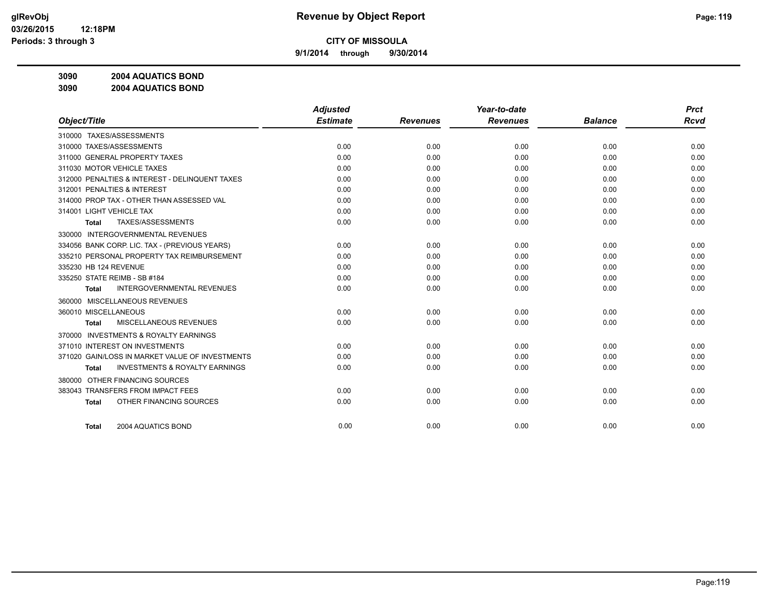**9/1/2014 through 9/30/2014**

**3090 2004 AQUATICS BOND**

**3090 2004 AQUATICS BOND**

|                                                     | <b>Adjusted</b> |                 | Year-to-date    |                | <b>Prct</b> |
|-----------------------------------------------------|-----------------|-----------------|-----------------|----------------|-------------|
| Object/Title                                        | <b>Estimate</b> | <b>Revenues</b> | <b>Revenues</b> | <b>Balance</b> | <b>Rcvd</b> |
| 310000 TAXES/ASSESSMENTS                            |                 |                 |                 |                |             |
| 310000 TAXES/ASSESSMENTS                            | 0.00            | 0.00            | 0.00            | 0.00           | 0.00        |
| 311000 GENERAL PROPERTY TAXES                       | 0.00            | 0.00            | 0.00            | 0.00           | 0.00        |
| 311030 MOTOR VEHICLE TAXES                          | 0.00            | 0.00            | 0.00            | 0.00           | 0.00        |
| 312000 PENALTIES & INTEREST - DELINQUENT TAXES      | 0.00            | 0.00            | 0.00            | 0.00           | 0.00        |
| 312001 PENALTIES & INTEREST                         | 0.00            | 0.00            | 0.00            | 0.00           | 0.00        |
| 314000 PROP TAX - OTHER THAN ASSESSED VAL           | 0.00            | 0.00            | 0.00            | 0.00           | 0.00        |
| 314001 LIGHT VEHICLE TAX                            | 0.00            | 0.00            | 0.00            | 0.00           | 0.00        |
| TAXES/ASSESSMENTS<br>Total                          | 0.00            | 0.00            | 0.00            | 0.00           | 0.00        |
| <b>INTERGOVERNMENTAL REVENUES</b><br>330000         |                 |                 |                 |                |             |
| 334056 BANK CORP. LIC. TAX - (PREVIOUS YEARS)       | 0.00            | 0.00            | 0.00            | 0.00           | 0.00        |
| 335210 PERSONAL PROPERTY TAX REIMBURSEMENT          | 0.00            | 0.00            | 0.00            | 0.00           | 0.00        |
| 335230 HB 124 REVENUE                               | 0.00            | 0.00            | 0.00            | 0.00           | 0.00        |
| 335250 STATE REIMB - SB #184                        | 0.00            | 0.00            | 0.00            | 0.00           | 0.00        |
| <b>INTERGOVERNMENTAL REVENUES</b><br><b>Total</b>   | 0.00            | 0.00            | 0.00            | 0.00           | 0.00        |
| 360000 MISCELLANEOUS REVENUES                       |                 |                 |                 |                |             |
| 360010 MISCELLANEOUS                                | 0.00            | 0.00            | 0.00            | 0.00           | 0.00        |
| <b>MISCELLANEOUS REVENUES</b><br><b>Total</b>       | 0.00            | 0.00            | 0.00            | 0.00           | 0.00        |
| <b>INVESTMENTS &amp; ROYALTY EARNINGS</b><br>370000 |                 |                 |                 |                |             |
| 371010 INTEREST ON INVESTMENTS                      | 0.00            | 0.00            | 0.00            | 0.00           | 0.00        |
| 371020 GAIN/LOSS IN MARKET VALUE OF INVESTMENTS     | 0.00            | 0.00            | 0.00            | 0.00           | 0.00        |
| <b>INVESTMENTS &amp; ROYALTY EARNINGS</b><br>Total  | 0.00            | 0.00            | 0.00            | 0.00           | 0.00        |
| OTHER FINANCING SOURCES<br>380000                   |                 |                 |                 |                |             |
| 383043 TRANSFERS FROM IMPACT FEES                   | 0.00            | 0.00            | 0.00            | 0.00           | 0.00        |
| OTHER FINANCING SOURCES<br><b>Total</b>             | 0.00            | 0.00            | 0.00            | 0.00           | 0.00        |
|                                                     |                 |                 |                 |                |             |
| 2004 AQUATICS BOND<br><b>Total</b>                  | 0.00            | 0.00            | 0.00            | 0.00           | 0.00        |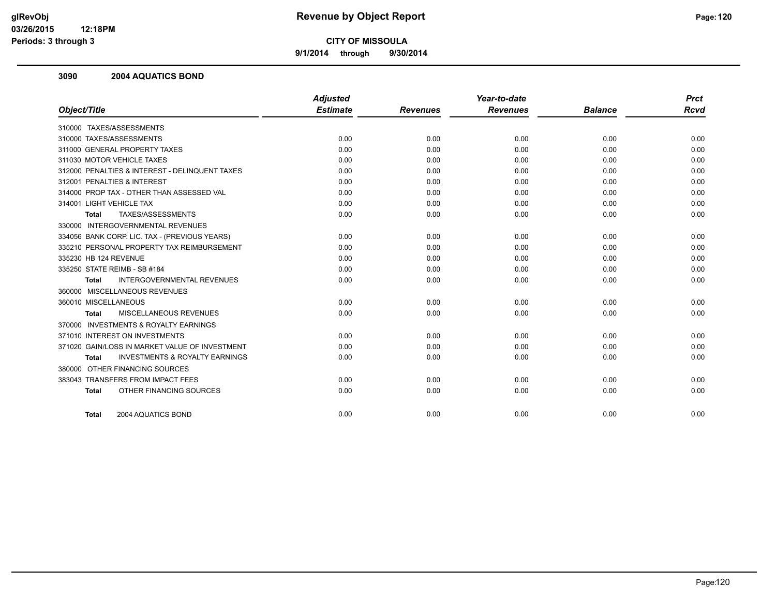**9/1/2014 through 9/30/2014**

#### **3090 2004 AQUATICS BOND**

|                                                           | <b>Adjusted</b> |                 | Year-to-date    |                | <b>Prct</b> |
|-----------------------------------------------------------|-----------------|-----------------|-----------------|----------------|-------------|
| Object/Title                                              | <b>Estimate</b> | <b>Revenues</b> | <b>Revenues</b> | <b>Balance</b> | <b>Rcvd</b> |
| 310000 TAXES/ASSESSMENTS                                  |                 |                 |                 |                |             |
| 310000 TAXES/ASSESSMENTS                                  | 0.00            | 0.00            | 0.00            | 0.00           | 0.00        |
| 311000 GENERAL PROPERTY TAXES                             | 0.00            | 0.00            | 0.00            | 0.00           | 0.00        |
| 311030 MOTOR VEHICLE TAXES                                | 0.00            | 0.00            | 0.00            | 0.00           | 0.00        |
| 312000 PENALTIES & INTEREST - DELINQUENT TAXES            | 0.00            | 0.00            | 0.00            | 0.00           | 0.00        |
| 312001 PENALTIES & INTEREST                               | 0.00            | 0.00            | 0.00            | 0.00           | 0.00        |
| 314000 PROP TAX - OTHER THAN ASSESSED VAL                 | 0.00            | 0.00            | 0.00            | 0.00           | 0.00        |
| 314001 LIGHT VEHICLE TAX                                  | 0.00            | 0.00            | 0.00            | 0.00           | 0.00        |
| TAXES/ASSESSMENTS<br><b>Total</b>                         | 0.00            | 0.00            | 0.00            | 0.00           | 0.00        |
| 330000 INTERGOVERNMENTAL REVENUES                         |                 |                 |                 |                |             |
| 334056 BANK CORP. LIC. TAX - (PREVIOUS YEARS)             | 0.00            | 0.00            | 0.00            | 0.00           | 0.00        |
| 335210 PERSONAL PROPERTY TAX REIMBURSEMENT                | 0.00            | 0.00            | 0.00            | 0.00           | 0.00        |
| 335230 HB 124 REVENUE                                     | 0.00            | 0.00            | 0.00            | 0.00           | 0.00        |
| 335250 STATE REIMB - SB #184                              | 0.00            | 0.00            | 0.00            | 0.00           | 0.00        |
| INTERGOVERNMENTAL REVENUES<br><b>Total</b>                | 0.00            | 0.00            | 0.00            | 0.00           | 0.00        |
| 360000 MISCELLANEOUS REVENUES                             |                 |                 |                 |                |             |
| 360010 MISCELLANEOUS                                      | 0.00            | 0.00            | 0.00            | 0.00           | 0.00        |
| MISCELLANEOUS REVENUES<br>Total                           | 0.00            | 0.00            | 0.00            | 0.00           | 0.00        |
| 370000 INVESTMENTS & ROYALTY EARNINGS                     |                 |                 |                 |                |             |
| 371010 INTEREST ON INVESTMENTS                            | 0.00            | 0.00            | 0.00            | 0.00           | 0.00        |
| 371020 GAIN/LOSS IN MARKET VALUE OF INVESTMENT            | 0.00            | 0.00            | 0.00            | 0.00           | 0.00        |
| <b>INVESTMENTS &amp; ROYALTY EARNINGS</b><br><b>Total</b> | 0.00            | 0.00            | 0.00            | 0.00           | 0.00        |
| 380000 OTHER FINANCING SOURCES                            |                 |                 |                 |                |             |
| 383043 TRANSFERS FROM IMPACT FEES                         | 0.00            | 0.00            | 0.00            | 0.00           | 0.00        |
| OTHER FINANCING SOURCES<br><b>Total</b>                   | 0.00            | 0.00            | 0.00            | 0.00           | 0.00        |
| 2004 AQUATICS BOND<br><b>Total</b>                        | 0.00            | 0.00            | 0.00            | 0.00           | 0.00        |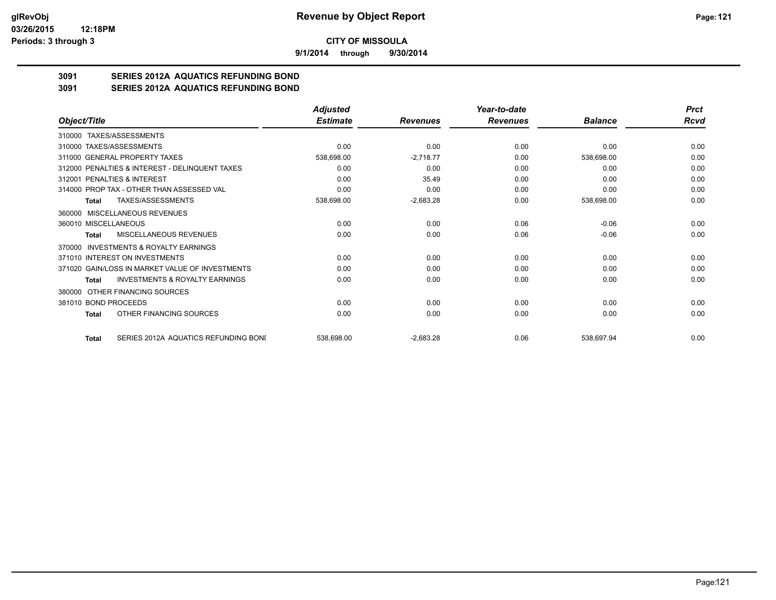**9/1/2014 through 9/30/2014**

# **3091 SERIES 2012A AQUATICS REFUNDING BOND**

**3091 SERIES 2012A AQUATICS REFUNDING BOND**

|                                                           | <b>Adjusted</b> |                 | Year-to-date    |                | <b>Prct</b> |
|-----------------------------------------------------------|-----------------|-----------------|-----------------|----------------|-------------|
| Object/Title                                              | <b>Estimate</b> | <b>Revenues</b> | <b>Revenues</b> | <b>Balance</b> | Rcvd        |
| 310000 TAXES/ASSESSMENTS                                  |                 |                 |                 |                |             |
| 310000 TAXES/ASSESSMENTS                                  | 0.00            | 0.00            | 0.00            | 0.00           | 0.00        |
| 311000 GENERAL PROPERTY TAXES                             | 538,698.00      | $-2,718.77$     | 0.00            | 538,698.00     | 0.00        |
| 312000 PENALTIES & INTEREST - DELINQUENT TAXES            | 0.00            | 0.00            | 0.00            | 0.00           | 0.00        |
| 312001 PENALTIES & INTEREST                               | 0.00            | 35.49           | 0.00            | 0.00           | 0.00        |
| 314000 PROP TAX - OTHER THAN ASSESSED VAL                 | 0.00            | 0.00            | 0.00            | 0.00           | 0.00        |
| TAXES/ASSESSMENTS<br>Total                                | 538,698.00      | $-2,683.28$     | 0.00            | 538,698.00     | 0.00        |
| 360000 MISCELLANEOUS REVENUES                             |                 |                 |                 |                |             |
| 360010 MISCELLANEOUS                                      | 0.00            | 0.00            | 0.06            | $-0.06$        | 0.00        |
| MISCELLANEOUS REVENUES<br>Total                           | 0.00            | 0.00            | 0.06            | $-0.06$        | 0.00        |
| INVESTMENTS & ROYALTY EARNINGS<br>370000                  |                 |                 |                 |                |             |
| 371010 INTEREST ON INVESTMENTS                            | 0.00            | 0.00            | 0.00            | 0.00           | 0.00        |
| 371020 GAIN/LOSS IN MARKET VALUE OF INVESTMENTS           | 0.00            | 0.00            | 0.00            | 0.00           | 0.00        |
| <b>INVESTMENTS &amp; ROYALTY EARNINGS</b><br><b>Total</b> | 0.00            | 0.00            | 0.00            | 0.00           | 0.00        |
| OTHER FINANCING SOURCES<br>380000                         |                 |                 |                 |                |             |
| 381010 BOND PROCEEDS                                      | 0.00            | 0.00            | 0.00            | 0.00           | 0.00        |
| OTHER FINANCING SOURCES<br>Total                          | 0.00            | 0.00            | 0.00            | 0.00           | 0.00        |
| SERIES 2012A AQUATICS REFUNDING BONI<br>Total             | 538,698.00      | $-2,683.28$     | 0.06            | 538,697.94     | 0.00        |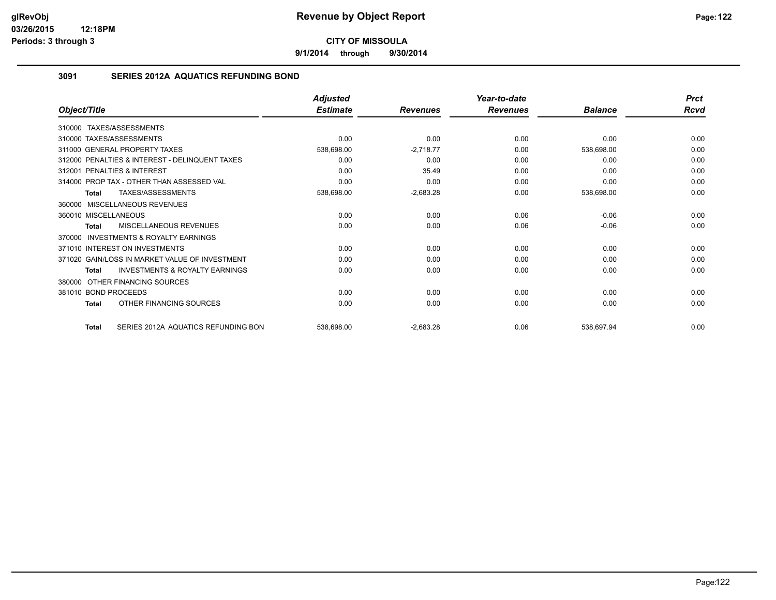**9/1/2014 through 9/30/2014**

#### **3091 SERIES 2012A AQUATICS REFUNDING BOND**

|                                                           | <b>Adjusted</b> |                 | Year-to-date    |                | <b>Prct</b> |
|-----------------------------------------------------------|-----------------|-----------------|-----------------|----------------|-------------|
| Object/Title                                              | <b>Estimate</b> | <b>Revenues</b> | <b>Revenues</b> | <b>Balance</b> | <b>Rcvd</b> |
| 310000 TAXES/ASSESSMENTS                                  |                 |                 |                 |                |             |
| 310000 TAXES/ASSESSMENTS                                  | 0.00            | 0.00            | 0.00            | 0.00           | 0.00        |
| 311000 GENERAL PROPERTY TAXES                             | 538,698.00      | $-2,718.77$     | 0.00            | 538,698.00     | 0.00        |
| 312000 PENALTIES & INTEREST - DELINQUENT TAXES            | 0.00            | 0.00            | 0.00            | 0.00           | 0.00        |
| PENALTIES & INTEREST<br>312001                            | 0.00            | 35.49           | 0.00            | 0.00           | 0.00        |
| 314000 PROP TAX - OTHER THAN ASSESSED VAL                 | 0.00            | 0.00            | 0.00            | 0.00           | 0.00        |
| TAXES/ASSESSMENTS<br>Total                                | 538,698.00      | $-2,683.28$     | 0.00            | 538,698.00     | 0.00        |
| 360000 MISCELLANEOUS REVENUES                             |                 |                 |                 |                |             |
| 360010 MISCELLANEOUS                                      | 0.00            | 0.00            | 0.06            | $-0.06$        | 0.00        |
| MISCELLANEOUS REVENUES<br>Total                           | 0.00            | 0.00            | 0.06            | $-0.06$        | 0.00        |
| INVESTMENTS & ROYALTY EARNINGS<br>370000                  |                 |                 |                 |                |             |
| 371010 INTEREST ON INVESTMENTS                            | 0.00            | 0.00            | 0.00            | 0.00           | 0.00        |
| 371020 GAIN/LOSS IN MARKET VALUE OF INVESTMENT            | 0.00            | 0.00            | 0.00            | 0.00           | 0.00        |
| <b>INVESTMENTS &amp; ROYALTY EARNINGS</b><br><b>Total</b> | 0.00            | 0.00            | 0.00            | 0.00           | 0.00        |
| OTHER FINANCING SOURCES<br>380000                         |                 |                 |                 |                |             |
| 381010 BOND PROCEEDS                                      | 0.00            | 0.00            | 0.00            | 0.00           | 0.00        |
| OTHER FINANCING SOURCES<br><b>Total</b>                   | 0.00            | 0.00            | 0.00            | 0.00           | 0.00        |
| SERIES 2012A AQUATICS REFUNDING BON<br><b>Total</b>       | 538,698.00      | $-2,683.28$     | 0.06            | 538,697.94     | 0.00        |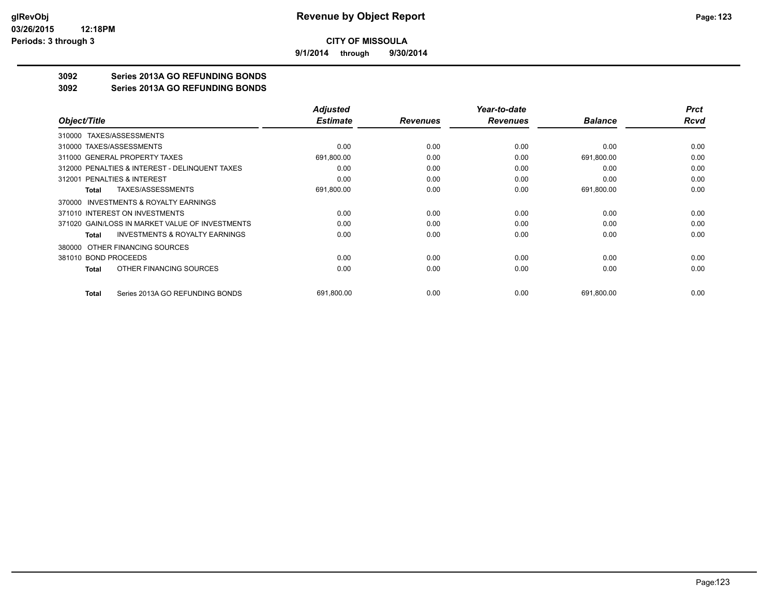**9/1/2014 through 9/30/2014**

## **3092 Series 2013A GO REFUNDING BONDS**

#### **3092 Series 2013A GO REFUNDING BONDS**

|                                                    | <b>Adjusted</b> |                 | Year-to-date    |                | <b>Prct</b> |
|----------------------------------------------------|-----------------|-----------------|-----------------|----------------|-------------|
| Object/Title                                       | <b>Estimate</b> | <b>Revenues</b> | <b>Revenues</b> | <b>Balance</b> | Rcvd        |
| 310000 TAXES/ASSESSMENTS                           |                 |                 |                 |                |             |
| 310000 TAXES/ASSESSMENTS                           | 0.00            | 0.00            | 0.00            | 0.00           | 0.00        |
| 311000 GENERAL PROPERTY TAXES                      | 691,800.00      | 0.00            | 0.00            | 691,800.00     | 0.00        |
| 312000 PENALTIES & INTEREST - DELINQUENT TAXES     | 0.00            | 0.00            | 0.00            | 0.00           | 0.00        |
| 312001 PENALTIES & INTEREST                        | 0.00            | 0.00            | 0.00            | 0.00           | 0.00        |
| TAXES/ASSESSMENTS<br>Total                         | 691,800.00      | 0.00            | 0.00            | 691,800.00     | 0.00        |
| INVESTMENTS & ROYALTY EARNINGS<br>370000           |                 |                 |                 |                |             |
| 371010 INTEREST ON INVESTMENTS                     | 0.00            | 0.00            | 0.00            | 0.00           | 0.00        |
| 371020 GAIN/LOSS IN MARKET VALUE OF INVESTMENTS    | 0.00            | 0.00            | 0.00            | 0.00           | 0.00        |
| <b>INVESTMENTS &amp; ROYALTY EARNINGS</b><br>Total | 0.00            | 0.00            | 0.00            | 0.00           | 0.00        |
| OTHER FINANCING SOURCES<br>380000                  |                 |                 |                 |                |             |
| 381010 BOND PROCEEDS                               | 0.00            | 0.00            | 0.00            | 0.00           | 0.00        |
| OTHER FINANCING SOURCES<br>Total                   | 0.00            | 0.00            | 0.00            | 0.00           | 0.00        |
| Series 2013A GO REFUNDING BONDS<br>Total           | 691,800.00      | 0.00            | 0.00            | 691,800.00     | 0.00        |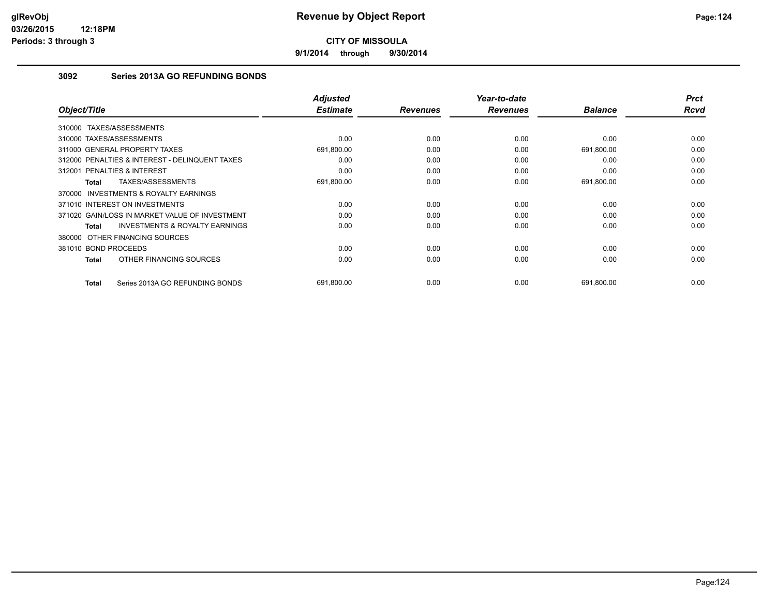**9/1/2014 through 9/30/2014**

## **3092 Series 2013A GO REFUNDING BONDS**

| Object/Title                                              | <b>Adjusted</b><br><b>Estimate</b> | <b>Revenues</b> | Year-to-date<br><b>Revenues</b> | <b>Balance</b> | <b>Prct</b><br><b>Rcvd</b> |
|-----------------------------------------------------------|------------------------------------|-----------------|---------------------------------|----------------|----------------------------|
|                                                           |                                    |                 |                                 |                |                            |
| 310000 TAXES/ASSESSMENTS                                  |                                    |                 |                                 |                |                            |
| 310000 TAXES/ASSESSMENTS                                  | 0.00                               | 0.00            | 0.00                            | 0.00           | 0.00                       |
| 311000 GENERAL PROPERTY TAXES                             | 691,800.00                         | 0.00            | 0.00                            | 691,800.00     | 0.00                       |
| 312000 PENALTIES & INTEREST - DELINQUENT TAXES            | 0.00                               | 0.00            | 0.00                            | 0.00           | 0.00                       |
| PENALTIES & INTEREST<br>312001                            | 0.00                               | 0.00            | 0.00                            | 0.00           | 0.00                       |
| TAXES/ASSESSMENTS<br>Total                                | 691,800.00                         | 0.00            | 0.00                            | 691,800.00     | 0.00                       |
| <b>INVESTMENTS &amp; ROYALTY EARNINGS</b><br>370000       |                                    |                 |                                 |                |                            |
| 371010 INTEREST ON INVESTMENTS                            | 0.00                               | 0.00            | 0.00                            | 0.00           | 0.00                       |
| 371020 GAIN/LOSS IN MARKET VALUE OF INVESTMENT            | 0.00                               | 0.00            | 0.00                            | 0.00           | 0.00                       |
| <b>INVESTMENTS &amp; ROYALTY EARNINGS</b><br><b>Total</b> | 0.00                               | 0.00            | 0.00                            | 0.00           | 0.00                       |
| 380000 OTHER FINANCING SOURCES                            |                                    |                 |                                 |                |                            |
| 381010 BOND PROCEEDS                                      | 0.00                               | 0.00            | 0.00                            | 0.00           | 0.00                       |
| OTHER FINANCING SOURCES<br>Total                          | 0.00                               | 0.00            | 0.00                            | 0.00           | 0.00                       |
| Series 2013A GO REFUNDING BONDS<br><b>Total</b>           | 691,800.00                         | 0.00            | 0.00                            | 691,800.00     | 0.00                       |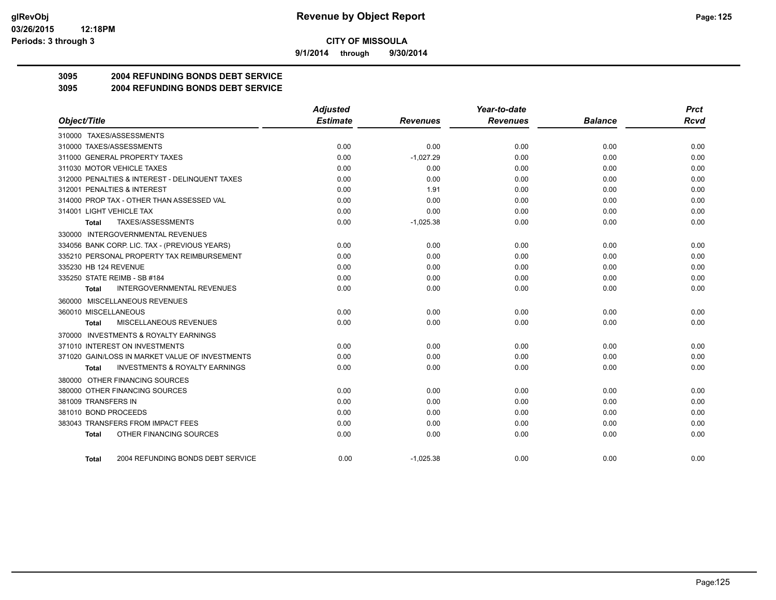**9/1/2014 through 9/30/2014**

# **3095 2004 REFUNDING BONDS DEBT SERVICE**

#### **3095 2004 REFUNDING BONDS DEBT SERVICE**

|                          |                                                 | <b>Adjusted</b> |                 | Year-to-date    |                | <b>Prct</b> |
|--------------------------|-------------------------------------------------|-----------------|-----------------|-----------------|----------------|-------------|
| Object/Title             |                                                 | <b>Estimate</b> | <b>Revenues</b> | <b>Revenues</b> | <b>Balance</b> | Rcvd        |
|                          | 310000 TAXES/ASSESSMENTS                        |                 |                 |                 |                |             |
|                          | 310000 TAXES/ASSESSMENTS                        | 0.00            | 0.00            | 0.00            | 0.00           | 0.00        |
|                          | 311000 GENERAL PROPERTY TAXES                   | 0.00            | $-1,027.29$     | 0.00            | 0.00           | 0.00        |
|                          | 311030 MOTOR VEHICLE TAXES                      | 0.00            | 0.00            | 0.00            | 0.00           | 0.00        |
|                          | 312000 PENALTIES & INTEREST - DELINQUENT TAXES  | 0.00            | 0.00            | 0.00            | 0.00           | 0.00        |
|                          | 312001 PENALTIES & INTEREST                     | 0.00            | 1.91            | 0.00            | 0.00           | 0.00        |
|                          | 314000 PROP TAX - OTHER THAN ASSESSED VAL       | 0.00            | 0.00            | 0.00            | 0.00           | 0.00        |
| 314001 LIGHT VEHICLE TAX |                                                 | 0.00            | 0.00            | 0.00            | 0.00           | 0.00        |
| Total                    | TAXES/ASSESSMENTS                               | 0.00            | $-1,025.38$     | 0.00            | 0.00           | 0.00        |
|                          | 330000 INTERGOVERNMENTAL REVENUES               |                 |                 |                 |                |             |
|                          | 334056 BANK CORP. LIC. TAX - (PREVIOUS YEARS)   | 0.00            | 0.00            | 0.00            | 0.00           | 0.00        |
|                          | 335210 PERSONAL PROPERTY TAX REIMBURSEMENT      | 0.00            | 0.00            | 0.00            | 0.00           | 0.00        |
| 335230 HB 124 REVENUE    |                                                 | 0.00            | 0.00            | 0.00            | 0.00           | 0.00        |
|                          | 335250 STATE REIMB - SB #184                    | 0.00            | 0.00            | 0.00            | 0.00           | 0.00        |
| Total                    | <b>INTERGOVERNMENTAL REVENUES</b>               | 0.00            | 0.00            | 0.00            | 0.00           | 0.00        |
|                          | 360000 MISCELLANEOUS REVENUES                   |                 |                 |                 |                |             |
| 360010 MISCELLANEOUS     |                                                 | 0.00            | 0.00            | 0.00            | 0.00           | 0.00        |
| <b>Total</b>             | MISCELLANEOUS REVENUES                          | 0.00            | 0.00            | 0.00            | 0.00           | 0.00        |
|                          | 370000 INVESTMENTS & ROYALTY EARNINGS           |                 |                 |                 |                |             |
|                          | 371010 INTEREST ON INVESTMENTS                  | 0.00            | 0.00            | 0.00            | 0.00           | 0.00        |
|                          | 371020 GAIN/LOSS IN MARKET VALUE OF INVESTMENTS | 0.00            | 0.00            | 0.00            | 0.00           | 0.00        |
| Total                    | <b>INVESTMENTS &amp; ROYALTY EARNINGS</b>       | 0.00            | 0.00            | 0.00            | 0.00           | 0.00        |
|                          | 380000 OTHER FINANCING SOURCES                  |                 |                 |                 |                |             |
|                          | 380000 OTHER FINANCING SOURCES                  | 0.00            | 0.00            | 0.00            | 0.00           | 0.00        |
| 381009 TRANSFERS IN      |                                                 | 0.00            | 0.00            | 0.00            | 0.00           | 0.00        |
| 381010 BOND PROCEEDS     |                                                 | 0.00            | 0.00            | 0.00            | 0.00           | 0.00        |
|                          | 383043 TRANSFERS FROM IMPACT FEES               | 0.00            | 0.00            | 0.00            | 0.00           | 0.00        |
| Total                    | OTHER FINANCING SOURCES                         | 0.00            | 0.00            | 0.00            | 0.00           | 0.00        |
| Total                    | 2004 REFUNDING BONDS DEBT SERVICE               | 0.00            | $-1,025.38$     | 0.00            | 0.00           | 0.00        |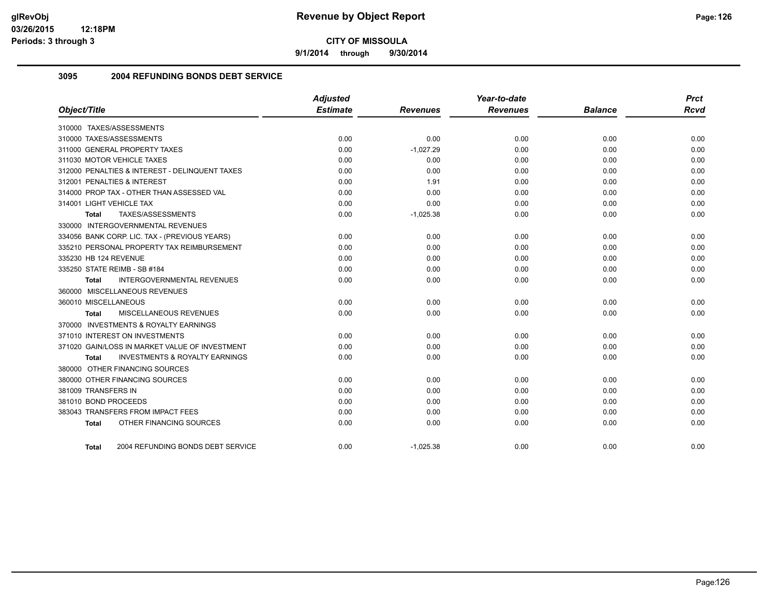**9/1/2014 through 9/30/2014**

#### **3095 2004 REFUNDING BONDS DEBT SERVICE**

| Object/Title                                       | <b>Adjusted</b><br><b>Estimate</b> | <b>Revenues</b> | Year-to-date<br><b>Revenues</b> | <b>Balance</b> | <b>Prct</b><br><b>Rcvd</b> |
|----------------------------------------------------|------------------------------------|-----------------|---------------------------------|----------------|----------------------------|
|                                                    |                                    |                 |                                 |                |                            |
| 310000 TAXES/ASSESSMENTS                           |                                    |                 |                                 |                |                            |
| 310000 TAXES/ASSESSMENTS                           | 0.00                               | 0.00            | 0.00                            | 0.00           | 0.00                       |
| 311000 GENERAL PROPERTY TAXES                      | 0.00                               | $-1,027.29$     | 0.00                            | 0.00           | 0.00                       |
| 311030 MOTOR VEHICLE TAXES                         | 0.00                               | 0.00            | 0.00                            | 0.00           | 0.00                       |
| 312000 PENALTIES & INTEREST - DELINQUENT TAXES     | 0.00                               | 0.00            | 0.00                            | 0.00           | 0.00                       |
| 312001 PENALTIES & INTEREST                        | 0.00                               | 1.91            | 0.00                            | 0.00           | 0.00                       |
| 314000 PROP TAX - OTHER THAN ASSESSED VAL          | 0.00                               | 0.00            | 0.00                            | 0.00           | 0.00                       |
| 314001 LIGHT VEHICLE TAX                           | 0.00                               | 0.00            | 0.00                            | 0.00           | 0.00                       |
| TAXES/ASSESSMENTS<br>Total                         | 0.00                               | $-1,025.38$     | 0.00                            | 0.00           | 0.00                       |
| 330000 INTERGOVERNMENTAL REVENUES                  |                                    |                 |                                 |                |                            |
| 334056 BANK CORP. LIC. TAX - (PREVIOUS YEARS)      | 0.00                               | 0.00            | 0.00                            | 0.00           | 0.00                       |
| 335210 PERSONAL PROPERTY TAX REIMBURSEMENT         | 0.00                               | 0.00            | 0.00                            | 0.00           | 0.00                       |
| 335230 HB 124 REVENUE                              | 0.00                               | 0.00            | 0.00                            | 0.00           | 0.00                       |
| 335250 STATE REIMB - SB #184                       | 0.00                               | 0.00            | 0.00                            | 0.00           | 0.00                       |
| INTERGOVERNMENTAL REVENUES<br>Total                | 0.00                               | 0.00            | 0.00                            | 0.00           | 0.00                       |
| 360000 MISCELLANEOUS REVENUES                      |                                    |                 |                                 |                |                            |
| 360010 MISCELLANEOUS                               | 0.00                               | 0.00            | 0.00                            | 0.00           | 0.00                       |
| MISCELLANEOUS REVENUES<br>Total                    | 0.00                               | 0.00            | 0.00                            | 0.00           | 0.00                       |
| 370000 INVESTMENTS & ROYALTY EARNINGS              |                                    |                 |                                 |                |                            |
| 371010 INTEREST ON INVESTMENTS                     | 0.00                               | 0.00            | 0.00                            | 0.00           | 0.00                       |
| 371020 GAIN/LOSS IN MARKET VALUE OF INVESTMENT     | 0.00                               | 0.00            | 0.00                            | 0.00           | 0.00                       |
| <b>INVESTMENTS &amp; ROYALTY EARNINGS</b><br>Total | 0.00                               | 0.00            | 0.00                            | 0.00           | 0.00                       |
| 380000 OTHER FINANCING SOURCES                     |                                    |                 |                                 |                |                            |
| 380000 OTHER FINANCING SOURCES                     | 0.00                               | 0.00            | 0.00                            | 0.00           | 0.00                       |
| 381009 TRANSFERS IN                                | 0.00                               | 0.00            | 0.00                            | 0.00           | 0.00                       |
| 381010 BOND PROCEEDS                               | 0.00                               | 0.00            | 0.00                            | 0.00           | 0.00                       |
| 383043 TRANSFERS FROM IMPACT FEES                  | 0.00                               | 0.00            | 0.00                            | 0.00           | 0.00                       |
| OTHER FINANCING SOURCES<br><b>Total</b>            | 0.00                               | 0.00            | 0.00                            | 0.00           | 0.00                       |
| 2004 REFUNDING BONDS DEBT SERVICE<br><b>Total</b>  | 0.00                               | $-1,025.38$     | 0.00                            | 0.00           | 0.00                       |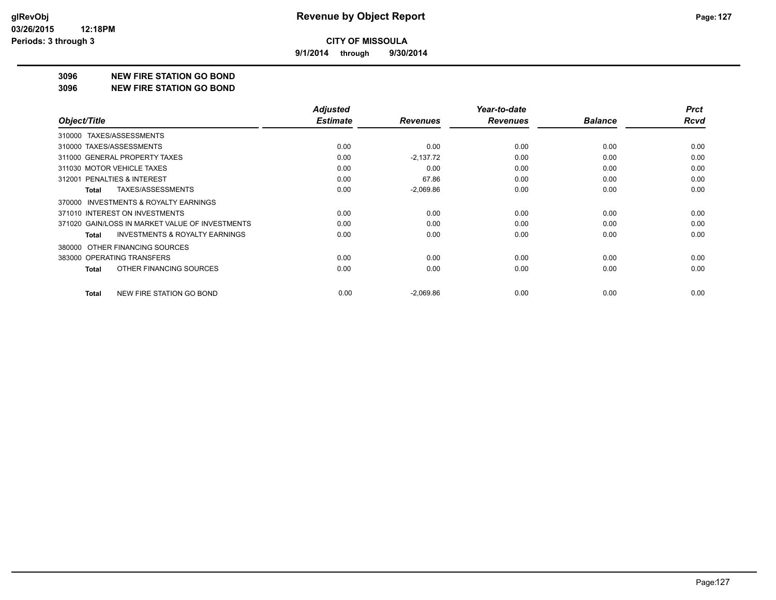**9/1/2014 through 9/30/2014**

#### **3096 NEW FIRE STATION GO BOND**

#### **3096 NEW FIRE STATION GO BOND**

|                                                           | <b>Adjusted</b> |                 | Year-to-date    |                | <b>Prct</b> |
|-----------------------------------------------------------|-----------------|-----------------|-----------------|----------------|-------------|
| Object/Title                                              | <b>Estimate</b> | <b>Revenues</b> | <b>Revenues</b> | <b>Balance</b> | <b>Rcvd</b> |
| 310000 TAXES/ASSESSMENTS                                  |                 |                 |                 |                |             |
| 310000 TAXES/ASSESSMENTS                                  | 0.00            | 0.00            | 0.00            | 0.00           | 0.00        |
| 311000 GENERAL PROPERTY TAXES                             | 0.00            | $-2,137.72$     | 0.00            | 0.00           | 0.00        |
| 311030 MOTOR VEHICLE TAXES                                | 0.00            | 0.00            | 0.00            | 0.00           | 0.00        |
| 312001 PENALTIES & INTEREST                               | 0.00            | 67.86           | 0.00            | 0.00           | 0.00        |
| TAXES/ASSESSMENTS<br><b>Total</b>                         | 0.00            | $-2,069.86$     | 0.00            | 0.00           | 0.00        |
| 370000 INVESTMENTS & ROYALTY EARNINGS                     |                 |                 |                 |                |             |
| 371010 INTEREST ON INVESTMENTS                            | 0.00            | 0.00            | 0.00            | 0.00           | 0.00        |
| 371020 GAIN/LOSS IN MARKET VALUE OF INVESTMENTS           | 0.00            | 0.00            | 0.00            | 0.00           | 0.00        |
| <b>INVESTMENTS &amp; ROYALTY EARNINGS</b><br><b>Total</b> | 0.00            | 0.00            | 0.00            | 0.00           | 0.00        |
| OTHER FINANCING SOURCES<br>380000                         |                 |                 |                 |                |             |
| 383000 OPERATING TRANSFERS                                | 0.00            | 0.00            | 0.00            | 0.00           | 0.00        |
| OTHER FINANCING SOURCES<br><b>Total</b>                   | 0.00            | 0.00            | 0.00            | 0.00           | 0.00        |
| NEW FIRE STATION GO BOND<br><b>Total</b>                  | 0.00            | $-2,069.86$     | 0.00            | 0.00           | 0.00        |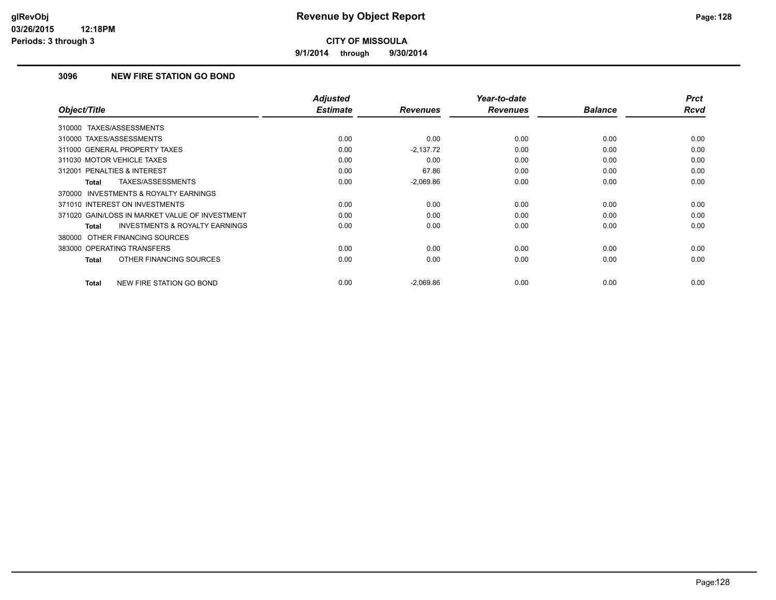**9/1/2014 through 9/30/2014**

## **3096 NEW FIRE STATION GO BOND**

| Object/Title                                              | <b>Adjusted</b><br><b>Estimate</b> | <b>Revenues</b> | Year-to-date<br><b>Revenues</b> | <b>Balance</b> | <b>Prct</b><br><b>Rcvd</b> |
|-----------------------------------------------------------|------------------------------------|-----------------|---------------------------------|----------------|----------------------------|
| TAXES/ASSESSMENTS<br>310000                               |                                    |                 |                                 |                |                            |
| 310000 TAXES/ASSESSMENTS                                  | 0.00                               | 0.00            | 0.00                            | 0.00           | 0.00                       |
| 311000 GENERAL PROPERTY TAXES                             | 0.00                               | $-2,137.72$     | 0.00                            | 0.00           | 0.00                       |
| 311030 MOTOR VEHICLE TAXES                                | 0.00                               | 0.00            | 0.00                            | 0.00           | 0.00                       |
| PENALTIES & INTEREST<br>312001                            | 0.00                               | 67.86           | 0.00                            | 0.00           | 0.00                       |
| TAXES/ASSESSMENTS<br>Total                                | 0.00                               | $-2,069.86$     | 0.00                            | 0.00           | 0.00                       |
| <b>INVESTMENTS &amp; ROYALTY EARNINGS</b><br>370000       |                                    |                 |                                 |                |                            |
| 371010 INTEREST ON INVESTMENTS                            | 0.00                               | 0.00            | 0.00                            | 0.00           | 0.00                       |
| 371020 GAIN/LOSS IN MARKET VALUE OF INVESTMENT            | 0.00                               | 0.00            | 0.00                            | 0.00           | 0.00                       |
| <b>INVESTMENTS &amp; ROYALTY EARNINGS</b><br><b>Total</b> | 0.00                               | 0.00            | 0.00                            | 0.00           | 0.00                       |
| 380000 OTHER FINANCING SOURCES                            |                                    |                 |                                 |                |                            |
| 383000 OPERATING TRANSFERS                                | 0.00                               | 0.00            | 0.00                            | 0.00           | 0.00                       |
| OTHER FINANCING SOURCES<br><b>Total</b>                   | 0.00                               | 0.00            | 0.00                            | 0.00           | 0.00                       |
| NEW FIRE STATION GO BOND<br><b>Total</b>                  | 0.00                               | $-2,069.86$     | 0.00                            | 0.00           | 0.00                       |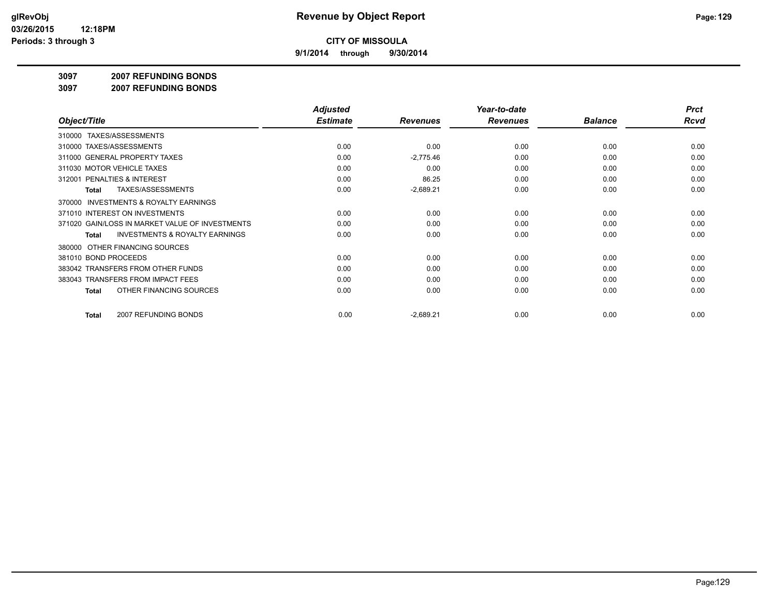**9/1/2014 through 9/30/2014**

#### **3097 2007 REFUNDING BONDS**

**3097 2007 REFUNDING BONDS**

|                                                           | <b>Adjusted</b> |                 | Year-to-date    |                | <b>Prct</b> |
|-----------------------------------------------------------|-----------------|-----------------|-----------------|----------------|-------------|
| Object/Title                                              | <b>Estimate</b> | <b>Revenues</b> | <b>Revenues</b> | <b>Balance</b> | <b>Rcvd</b> |
| 310000 TAXES/ASSESSMENTS                                  |                 |                 |                 |                |             |
| 310000 TAXES/ASSESSMENTS                                  | 0.00            | 0.00            | 0.00            | 0.00           | 0.00        |
| 311000 GENERAL PROPERTY TAXES                             | 0.00            | $-2,775.46$     | 0.00            | 0.00           | 0.00        |
| 311030 MOTOR VEHICLE TAXES                                | 0.00            | 0.00            | 0.00            | 0.00           | 0.00        |
| 312001 PENALTIES & INTEREST                               | 0.00            | 86.25           | 0.00            | 0.00           | 0.00        |
| <b>TAXES/ASSESSMENTS</b><br>Total                         | 0.00            | $-2,689.21$     | 0.00            | 0.00           | 0.00        |
| <b>INVESTMENTS &amp; ROYALTY EARNINGS</b><br>370000       |                 |                 |                 |                |             |
| 371010 INTEREST ON INVESTMENTS                            | 0.00            | 0.00            | 0.00            | 0.00           | 0.00        |
| 371020 GAIN/LOSS IN MARKET VALUE OF INVESTMENTS           | 0.00            | 0.00            | 0.00            | 0.00           | 0.00        |
| <b>INVESTMENTS &amp; ROYALTY EARNINGS</b><br><b>Total</b> | 0.00            | 0.00            | 0.00            | 0.00           | 0.00        |
| OTHER FINANCING SOURCES<br>380000                         |                 |                 |                 |                |             |
| 381010 BOND PROCEEDS                                      | 0.00            | 0.00            | 0.00            | 0.00           | 0.00        |
| 383042 TRANSFERS FROM OTHER FUNDS                         | 0.00            | 0.00            | 0.00            | 0.00           | 0.00        |
| 383043 TRANSFERS FROM IMPACT FEES                         | 0.00            | 0.00            | 0.00            | 0.00           | 0.00        |
| OTHER FINANCING SOURCES<br>Total                          | 0.00            | 0.00            | 0.00            | 0.00           | 0.00        |
| 2007 REFUNDING BONDS<br>Total                             | 0.00            | $-2,689.21$     | 0.00            | 0.00           | 0.00        |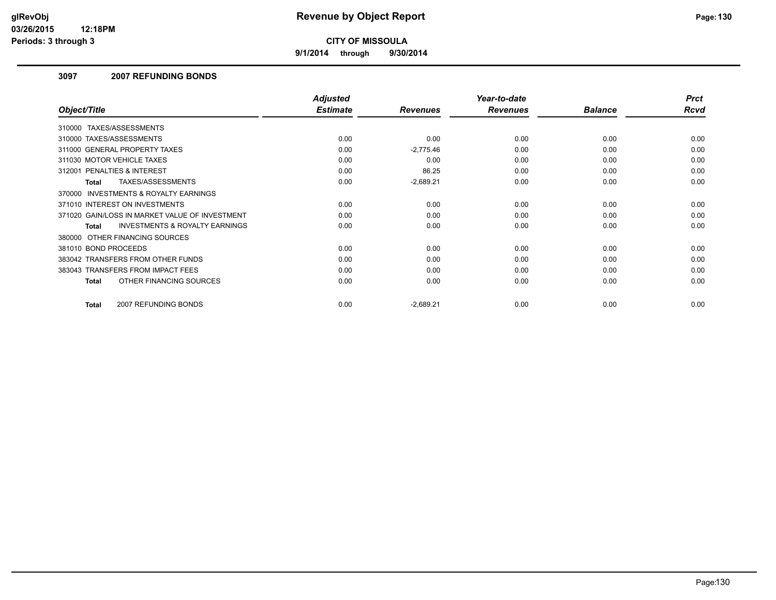**9/1/2014 through 9/30/2014**

#### **3097 2007 REFUNDING BONDS**

|                                                           | <b>Adjusted</b> |                 | Year-to-date    |                | <b>Prct</b> |
|-----------------------------------------------------------|-----------------|-----------------|-----------------|----------------|-------------|
| Object/Title                                              | <b>Estimate</b> | <b>Revenues</b> | <b>Revenues</b> | <b>Balance</b> | Rcvd        |
| TAXES/ASSESSMENTS<br>310000                               |                 |                 |                 |                |             |
| 310000 TAXES/ASSESSMENTS                                  | 0.00            | 0.00            | 0.00            | 0.00           | 0.00        |
| 311000 GENERAL PROPERTY TAXES                             | 0.00            | $-2,775.46$     | 0.00            | 0.00           | 0.00        |
| 311030 MOTOR VEHICLE TAXES                                | 0.00            | 0.00            | 0.00            | 0.00           | 0.00        |
| 312001 PENALTIES & INTEREST                               | 0.00            | 86.25           | 0.00            | 0.00           | 0.00        |
| TAXES/ASSESSMENTS<br><b>Total</b>                         | 0.00            | $-2,689.21$     | 0.00            | 0.00           | 0.00        |
| <b>INVESTMENTS &amp; ROYALTY EARNINGS</b><br>370000       |                 |                 |                 |                |             |
| 371010 INTEREST ON INVESTMENTS                            | 0.00            | 0.00            | 0.00            | 0.00           | 0.00        |
| 371020 GAIN/LOSS IN MARKET VALUE OF INVESTMENT            | 0.00            | 0.00            | 0.00            | 0.00           | 0.00        |
| <b>INVESTMENTS &amp; ROYALTY EARNINGS</b><br><b>Total</b> | 0.00            | 0.00            | 0.00            | 0.00           | 0.00        |
| 380000 OTHER FINANCING SOURCES                            |                 |                 |                 |                |             |
| 381010 BOND PROCEEDS                                      | 0.00            | 0.00            | 0.00            | 0.00           | 0.00        |
| 383042 TRANSFERS FROM OTHER FUNDS                         | 0.00            | 0.00            | 0.00            | 0.00           | 0.00        |
| 383043 TRANSFERS FROM IMPACT FEES                         | 0.00            | 0.00            | 0.00            | 0.00           | 0.00        |
| OTHER FINANCING SOURCES<br><b>Total</b>                   | 0.00            | 0.00            | 0.00            | 0.00           | 0.00        |
|                                                           |                 |                 |                 |                |             |
| 2007 REFUNDING BONDS<br>Total                             | 0.00            | $-2,689.21$     | 0.00            | 0.00           | 0.00        |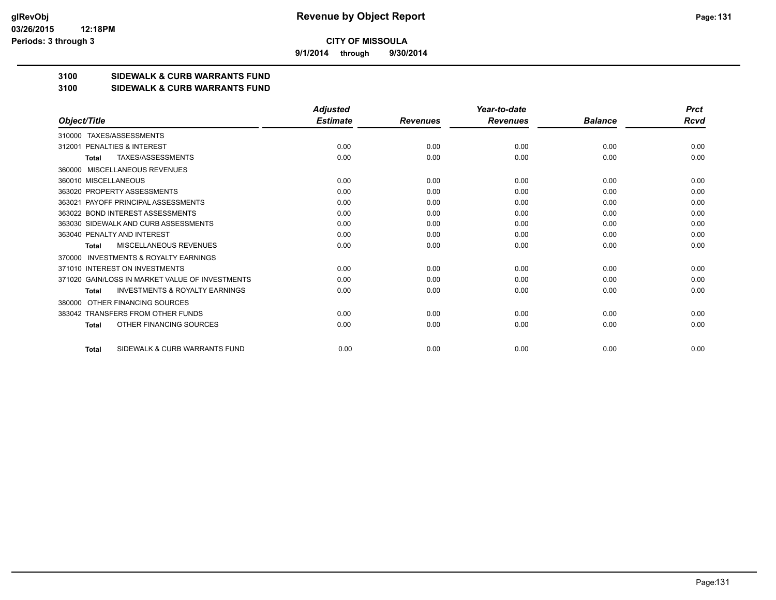**9/1/2014 through 9/30/2014**

## **3100 SIDEWALK & CURB WARRANTS FUND**

#### **3100 SIDEWALK & CURB WARRANTS FUND**

|                                                           | <b>Adjusted</b> |                 | Year-to-date    |                | <b>Prct</b> |
|-----------------------------------------------------------|-----------------|-----------------|-----------------|----------------|-------------|
| Object/Title                                              | <b>Estimate</b> | <b>Revenues</b> | <b>Revenues</b> | <b>Balance</b> | Rcvd        |
| 310000 TAXES/ASSESSMENTS                                  |                 |                 |                 |                |             |
| PENALTIES & INTEREST<br>312001                            | 0.00            | 0.00            | 0.00            | 0.00           | 0.00        |
| TAXES/ASSESSMENTS<br><b>Total</b>                         | 0.00            | 0.00            | 0.00            | 0.00           | 0.00        |
| MISCELLANEOUS REVENUES<br>360000                          |                 |                 |                 |                |             |
| 360010 MISCELLANEOUS                                      | 0.00            | 0.00            | 0.00            | 0.00           | 0.00        |
| 363020 PROPERTY ASSESSMENTS                               | 0.00            | 0.00            | 0.00            | 0.00           | 0.00        |
| 363021 PAYOFF PRINCIPAL ASSESSMENTS                       | 0.00            | 0.00            | 0.00            | 0.00           | 0.00        |
| 363022 BOND INTEREST ASSESSMENTS                          | 0.00            | 0.00            | 0.00            | 0.00           | 0.00        |
| 363030 SIDEWALK AND CURB ASSESSMENTS                      | 0.00            | 0.00            | 0.00            | 0.00           | 0.00        |
| 363040 PENALTY AND INTEREST                               | 0.00            | 0.00            | 0.00            | 0.00           | 0.00        |
| MISCELLANEOUS REVENUES<br><b>Total</b>                    | 0.00            | 0.00            | 0.00            | 0.00           | 0.00        |
| <b>INVESTMENTS &amp; ROYALTY EARNINGS</b><br>370000       |                 |                 |                 |                |             |
| 371010 INTEREST ON INVESTMENTS                            | 0.00            | 0.00            | 0.00            | 0.00           | 0.00        |
| 371020 GAIN/LOSS IN MARKET VALUE OF INVESTMENTS           | 0.00            | 0.00            | 0.00            | 0.00           | 0.00        |
| <b>INVESTMENTS &amp; ROYALTY EARNINGS</b><br><b>Total</b> | 0.00            | 0.00            | 0.00            | 0.00           | 0.00        |
| OTHER FINANCING SOURCES<br>380000                         |                 |                 |                 |                |             |
| 383042 TRANSFERS FROM OTHER FUNDS                         | 0.00            | 0.00            | 0.00            | 0.00           | 0.00        |
| OTHER FINANCING SOURCES<br><b>Total</b>                   | 0.00            | 0.00            | 0.00            | 0.00           | 0.00        |
| SIDEWALK & CURB WARRANTS FUND<br><b>Total</b>             | 0.00            | 0.00            | 0.00            | 0.00           | 0.00        |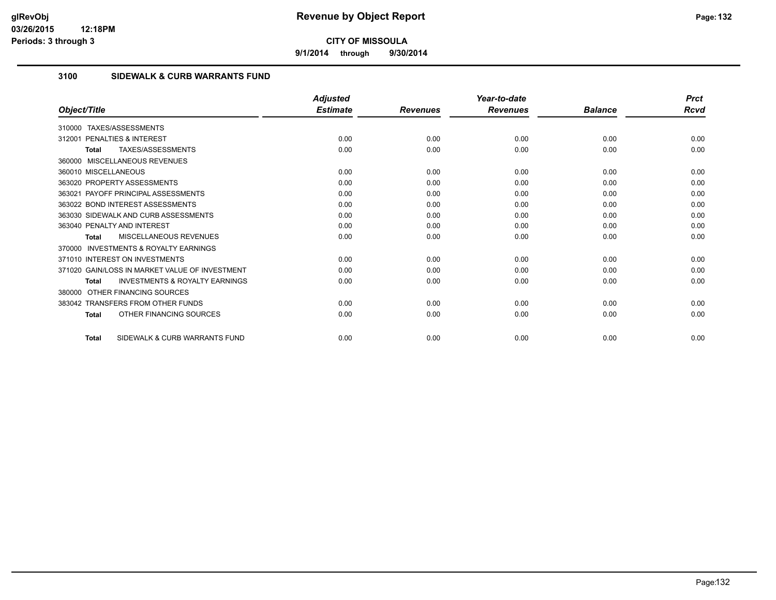**9/1/2014 through 9/30/2014**

## **3100 SIDEWALK & CURB WARRANTS FUND**

|                                                           | <b>Adjusted</b> |                 | Year-to-date    |                | <b>Prct</b> |
|-----------------------------------------------------------|-----------------|-----------------|-----------------|----------------|-------------|
| Object/Title                                              | <b>Estimate</b> | <b>Revenues</b> | <b>Revenues</b> | <b>Balance</b> | Rcvd        |
| TAXES/ASSESSMENTS<br>310000                               |                 |                 |                 |                |             |
| 312001 PENALTIES & INTEREST                               | 0.00            | 0.00            | 0.00            | 0.00           | 0.00        |
| <b>TAXES/ASSESSMENTS</b><br><b>Total</b>                  | 0.00            | 0.00            | 0.00            | 0.00           | 0.00        |
| 360000 MISCELLANEOUS REVENUES                             |                 |                 |                 |                |             |
| 360010 MISCELLANEOUS                                      | 0.00            | 0.00            | 0.00            | 0.00           | 0.00        |
| 363020 PROPERTY ASSESSMENTS                               | 0.00            | 0.00            | 0.00            | 0.00           | 0.00        |
| 363021 PAYOFF PRINCIPAL ASSESSMENTS                       | 0.00            | 0.00            | 0.00            | 0.00           | 0.00        |
| 363022 BOND INTEREST ASSESSMENTS                          | 0.00            | 0.00            | 0.00            | 0.00           | 0.00        |
| 363030 SIDEWALK AND CURB ASSESSMENTS                      | 0.00            | 0.00            | 0.00            | 0.00           | 0.00        |
| 363040 PENALTY AND INTEREST                               | 0.00            | 0.00            | 0.00            | 0.00           | 0.00        |
| MISCELLANEOUS REVENUES<br><b>Total</b>                    | 0.00            | 0.00            | 0.00            | 0.00           | 0.00        |
| <b>INVESTMENTS &amp; ROYALTY EARNINGS</b><br>370000       |                 |                 |                 |                |             |
| 371010 INTEREST ON INVESTMENTS                            | 0.00            | 0.00            | 0.00            | 0.00           | 0.00        |
| 371020 GAIN/LOSS IN MARKET VALUE OF INVESTMENT            | 0.00            | 0.00            | 0.00            | 0.00           | 0.00        |
| <b>INVESTMENTS &amp; ROYALTY EARNINGS</b><br><b>Total</b> | 0.00            | 0.00            | 0.00            | 0.00           | 0.00        |
| OTHER FINANCING SOURCES<br>380000                         |                 |                 |                 |                |             |
| 383042 TRANSFERS FROM OTHER FUNDS                         | 0.00            | 0.00            | 0.00            | 0.00           | 0.00        |
| OTHER FINANCING SOURCES<br><b>Total</b>                   | 0.00            | 0.00            | 0.00            | 0.00           | 0.00        |
| SIDEWALK & CURB WARRANTS FUND<br><b>Total</b>             | 0.00            | 0.00            | 0.00            | 0.00           | 0.00        |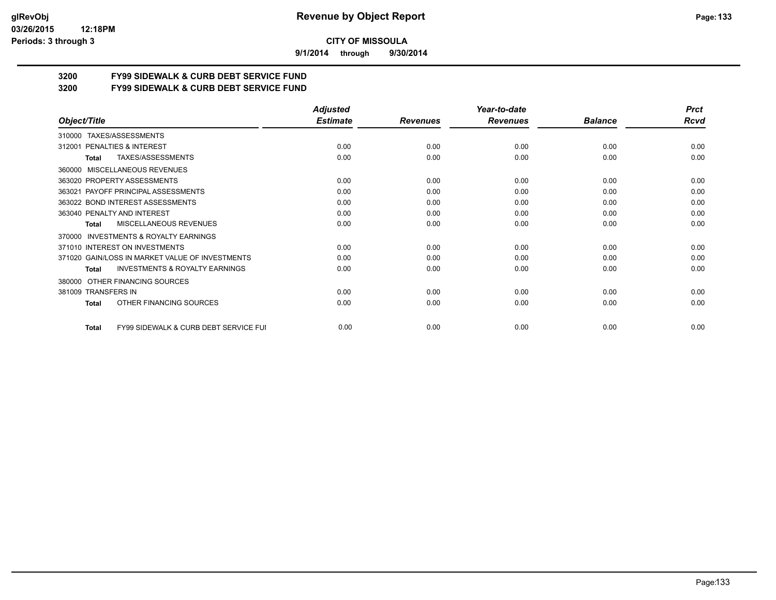**9/1/2014 through 9/30/2014**

# **3200 FY99 SIDEWALK & CURB DEBT SERVICE FUND**

**3200 FY99 SIDEWALK & CURB DEBT SERVICE FUND**

|                                                           | <b>Adjusted</b> |                 | Year-to-date    |                | <b>Prct</b> |
|-----------------------------------------------------------|-----------------|-----------------|-----------------|----------------|-------------|
| Object/Title                                              | <b>Estimate</b> | <b>Revenues</b> | <b>Revenues</b> | <b>Balance</b> | Rcvd        |
| TAXES/ASSESSMENTS<br>310000                               |                 |                 |                 |                |             |
| PENALTIES & INTEREST<br>312001                            | 0.00            | 0.00            | 0.00            | 0.00           | 0.00        |
| TAXES/ASSESSMENTS<br>Total                                | 0.00            | 0.00            | 0.00            | 0.00           | 0.00        |
| MISCELLANEOUS REVENUES<br>360000                          |                 |                 |                 |                |             |
| 363020 PROPERTY ASSESSMENTS                               | 0.00            | 0.00            | 0.00            | 0.00           | 0.00        |
| 363021 PAYOFF PRINCIPAL ASSESSMENTS                       | 0.00            | 0.00            | 0.00            | 0.00           | 0.00        |
| 363022 BOND INTEREST ASSESSMENTS                          | 0.00            | 0.00            | 0.00            | 0.00           | 0.00        |
| 363040 PENALTY AND INTEREST                               | 0.00            | 0.00            | 0.00            | 0.00           | 0.00        |
| MISCELLANEOUS REVENUES<br>Total                           | 0.00            | 0.00            | 0.00            | 0.00           | 0.00        |
| <b>INVESTMENTS &amp; ROYALTY EARNINGS</b><br>370000       |                 |                 |                 |                |             |
| 371010 INTEREST ON INVESTMENTS                            | 0.00            | 0.00            | 0.00            | 0.00           | 0.00        |
| 371020 GAIN/LOSS IN MARKET VALUE OF INVESTMENTS           | 0.00            | 0.00            | 0.00            | 0.00           | 0.00        |
| <b>INVESTMENTS &amp; ROYALTY EARNINGS</b><br><b>Total</b> | 0.00            | 0.00            | 0.00            | 0.00           | 0.00        |
| OTHER FINANCING SOURCES<br>380000                         |                 |                 |                 |                |             |
| 381009 TRANSFERS IN                                       | 0.00            | 0.00            | 0.00            | 0.00           | 0.00        |
| OTHER FINANCING SOURCES<br><b>Total</b>                   | 0.00            | 0.00            | 0.00            | 0.00           | 0.00        |
| FY99 SIDEWALK & CURB DEBT SERVICE FUI<br><b>Total</b>     | 0.00            | 0.00            | 0.00            | 0.00           | 0.00        |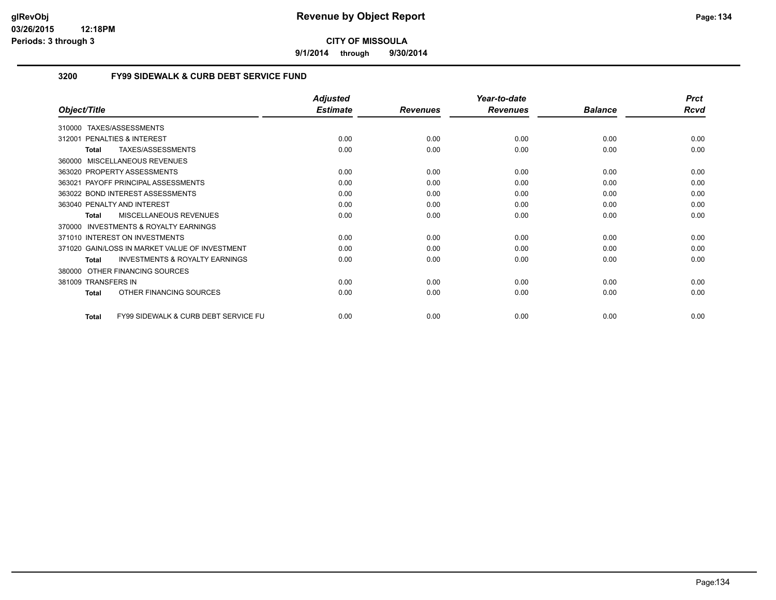**9/1/2014 through 9/30/2014**

### **3200 FY99 SIDEWALK & CURB DEBT SERVICE FUND**

|                                                                 | <b>Adjusted</b> |                 | Year-to-date    |                | <b>Prct</b> |
|-----------------------------------------------------------------|-----------------|-----------------|-----------------|----------------|-------------|
| Object/Title                                                    | <b>Estimate</b> | <b>Revenues</b> | <b>Revenues</b> | <b>Balance</b> | <b>Rcvd</b> |
| TAXES/ASSESSMENTS<br>310000                                     |                 |                 |                 |                |             |
| <b>PENALTIES &amp; INTEREST</b><br>312001                       | 0.00            | 0.00            | 0.00            | 0.00           | 0.00        |
| TAXES/ASSESSMENTS<br>Total                                      | 0.00            | 0.00            | 0.00            | 0.00           | 0.00        |
| MISCELLANEOUS REVENUES<br>360000                                |                 |                 |                 |                |             |
| 363020 PROPERTY ASSESSMENTS                                     | 0.00            | 0.00            | 0.00            | 0.00           | 0.00        |
| PAYOFF PRINCIPAL ASSESSMENTS<br>363021                          | 0.00            | 0.00            | 0.00            | 0.00           | 0.00        |
| 363022 BOND INTEREST ASSESSMENTS                                | 0.00            | 0.00            | 0.00            | 0.00           | 0.00        |
| 363040 PENALTY AND INTEREST                                     | 0.00            | 0.00            | 0.00            | 0.00           | 0.00        |
| <b>MISCELLANEOUS REVENUES</b><br>Total                          | 0.00            | 0.00            | 0.00            | 0.00           | 0.00        |
| INVESTMENTS & ROYALTY EARNINGS<br>370000                        |                 |                 |                 |                |             |
| 371010 INTEREST ON INVESTMENTS                                  | 0.00            | 0.00            | 0.00            | 0.00           | 0.00        |
| 371020 GAIN/LOSS IN MARKET VALUE OF INVESTMENT                  | 0.00            | 0.00            | 0.00            | 0.00           | 0.00        |
| <b>INVESTMENTS &amp; ROYALTY EARNINGS</b><br>Total              | 0.00            | 0.00            | 0.00            | 0.00           | 0.00        |
| OTHER FINANCING SOURCES<br>380000                               |                 |                 |                 |                |             |
| 381009 TRANSFERS IN                                             | 0.00            | 0.00            | 0.00            | 0.00           | 0.00        |
| OTHER FINANCING SOURCES<br><b>Total</b>                         | 0.00            | 0.00            | 0.00            | 0.00           | 0.00        |
| <b>FY99 SIDEWALK &amp; CURB DEBT SERVICE FU</b><br><b>Total</b> | 0.00            | 0.00            | 0.00            | 0.00           | 0.00        |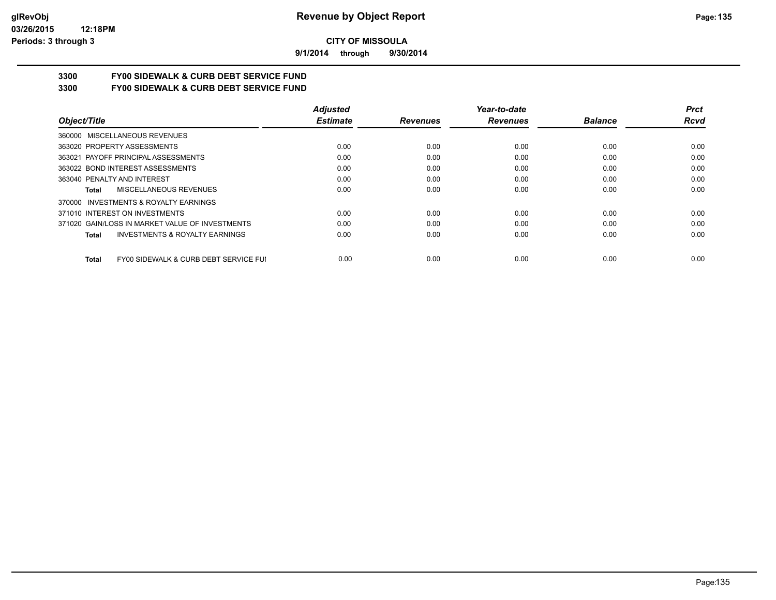**9/1/2014 through 9/30/2014**

# **3300 FY00 SIDEWALK & CURB DEBT SERVICE FUND**

**3300 FY00 SIDEWALK & CURB DEBT SERVICE FUND**

|                                                           | <b>Adjusted</b> |                 | Year-to-date    |                | <b>Prct</b> |
|-----------------------------------------------------------|-----------------|-----------------|-----------------|----------------|-------------|
| Object/Title                                              | <b>Estimate</b> | <b>Revenues</b> | <b>Revenues</b> | <b>Balance</b> | Rcvd        |
| 360000 MISCELLANEOUS REVENUES                             |                 |                 |                 |                |             |
| 363020 PROPERTY ASSESSMENTS                               | 0.00            | 0.00            | 0.00            | 0.00           | 0.00        |
| 363021 PAYOFF PRINCIPAL ASSESSMENTS                       | 0.00            | 0.00            | 0.00            | 0.00           | 0.00        |
| 363022 BOND INTEREST ASSESSMENTS                          | 0.00            | 0.00            | 0.00            | 0.00           | 0.00        |
| 363040 PENALTY AND INTEREST                               | 0.00            | 0.00            | 0.00            | 0.00           | 0.00        |
| MISCELLANEOUS REVENUES<br>Total                           | 0.00            | 0.00            | 0.00            | 0.00           | 0.00        |
| INVESTMENTS & ROYALTY EARNINGS<br>370000                  |                 |                 |                 |                |             |
| 371010 INTEREST ON INVESTMENTS                            | 0.00            | 0.00            | 0.00            | 0.00           | 0.00        |
| 371020 GAIN/LOSS IN MARKET VALUE OF INVESTMENTS           | 0.00            | 0.00            | 0.00            | 0.00           | 0.00        |
| <b>INVESTMENTS &amp; ROYALTY EARNINGS</b><br><b>Total</b> | 0.00            | 0.00            | 0.00            | 0.00           | 0.00        |
| FY00 SIDEWALK & CURB DEBT SERVICE FUI<br><b>Total</b>     | 0.00            | 0.00            | 0.00            | 0.00           | 0.00        |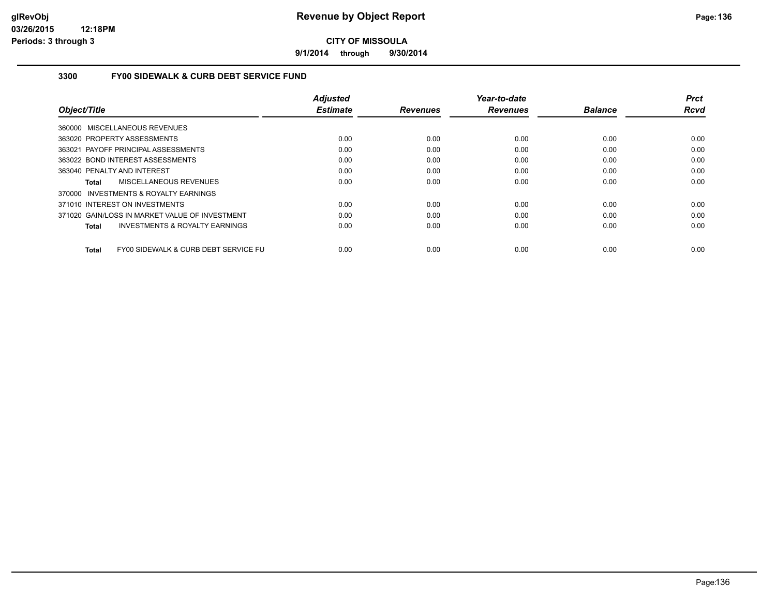**9/1/2014 through 9/30/2014**

#### **3300 FY00 SIDEWALK & CURB DEBT SERVICE FUND**

|                                                    | <b>Adjusted</b> |                 | Year-to-date    |                | Prct        |
|----------------------------------------------------|-----------------|-----------------|-----------------|----------------|-------------|
| Object/Title                                       | <b>Estimate</b> | <b>Revenues</b> | <b>Revenues</b> | <b>Balance</b> | <b>Rcvd</b> |
| 360000 MISCELLANEOUS REVENUES                      |                 |                 |                 |                |             |
| 363020 PROPERTY ASSESSMENTS                        | 0.00            | 0.00            | 0.00            | 0.00           | 0.00        |
| 363021 PAYOFF PRINCIPAL ASSESSMENTS                | 0.00            | 0.00            | 0.00            | 0.00           | 0.00        |
| 363022 BOND INTEREST ASSESSMENTS                   | 0.00            | 0.00            | 0.00            | 0.00           | 0.00        |
| 363040 PENALTY AND INTEREST                        | 0.00            | 0.00            | 0.00            | 0.00           | 0.00        |
| MISCELLANEOUS REVENUES<br>Total                    | 0.00            | 0.00            | 0.00            | 0.00           | 0.00        |
| 370000 INVESTMENTS & ROYALTY EARNINGS              |                 |                 |                 |                |             |
| 371010 INTEREST ON INVESTMENTS                     | 0.00            | 0.00            | 0.00            | 0.00           | 0.00        |
| 371020 GAIN/LOSS IN MARKET VALUE OF INVESTMENT     | 0.00            | 0.00            | 0.00            | 0.00           | 0.00        |
| <b>INVESTMENTS &amp; ROYALTY EARNINGS</b><br>Total | 0.00            | 0.00            | 0.00            | 0.00           | 0.00        |
| FY00 SIDEWALK & CURB DEBT SERVICE FU<br>Total      | 0.00            | 0.00            | 0.00            | 0.00           | 0.00        |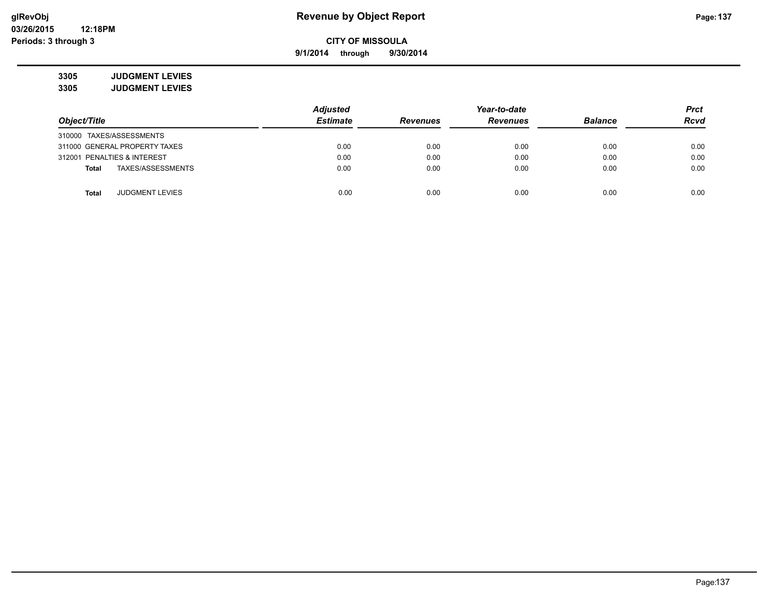**9/1/2014 through 9/30/2014**

**3305 JUDGMENT LEVIES 3305 JUDGMENT LEVIES**

|                                        | <b>Adjusted</b> |                 | Year-to-date    |                | <b>Prct</b> |
|----------------------------------------|-----------------|-----------------|-----------------|----------------|-------------|
| Object/Title                           | <b>Estimate</b> | <b>Revenues</b> | <b>Revenues</b> | <b>Balance</b> | <b>Rcvd</b> |
| 310000 TAXES/ASSESSMENTS               |                 |                 |                 |                |             |
| 311000 GENERAL PROPERTY TAXES          | 0.00            | 0.00            | 0.00            | 0.00           | 0.00        |
| 312001 PENALTIES & INTEREST            | 0.00            | 0.00            | 0.00            | 0.00           | 0.00        |
| TAXES/ASSESSMENTS<br>Total             | 0.00            | 0.00            | 0.00            | 0.00           | 0.00        |
|                                        |                 |                 |                 |                |             |
| <b>JUDGMENT LEVIES</b><br><b>Total</b> | 0.00            | 0.00            | 0.00            | 0.00           | 0.00        |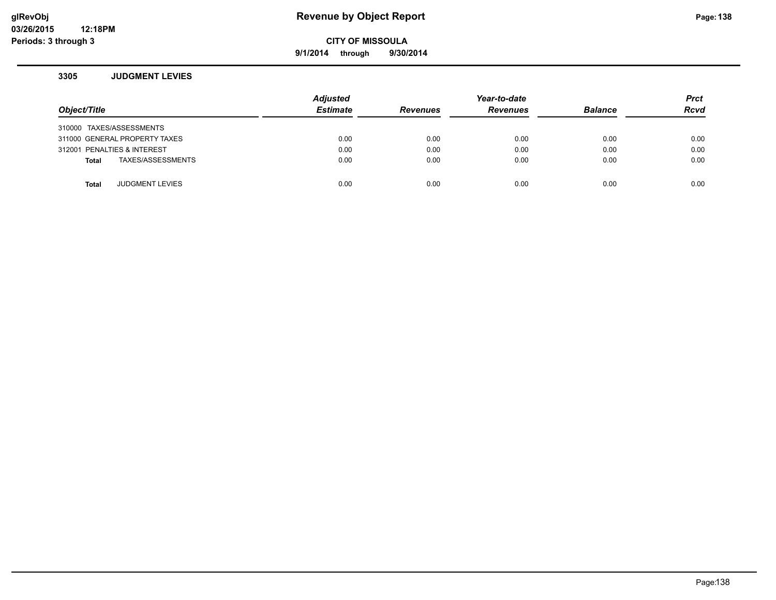## **glRevObj Revenue by Object Report Page:138**

**CITY OF MISSOULA**

**9/1/2014 through 9/30/2014**

#### **3305 JUDGMENT LEVIES**

| Object/Title                           | <b>Adjusted</b><br><b>Estimate</b> | <b>Revenues</b> | Year-to-date<br><b>Revenues</b> | <b>Balance</b> | <b>Prct</b><br><b>Rcvd</b> |
|----------------------------------------|------------------------------------|-----------------|---------------------------------|----------------|----------------------------|
| 310000 TAXES/ASSESSMENTS               |                                    |                 |                                 |                |                            |
| 311000 GENERAL PROPERTY TAXES          | 0.00                               | 0.00            | 0.00                            | 0.00           | 0.00                       |
| 312001 PENALTIES & INTEREST            | 0.00                               | 0.00            | 0.00                            | 0.00           | 0.00                       |
| TAXES/ASSESSMENTS<br><b>Total</b>      | 0.00                               | 0.00            | 0.00                            | 0.00           | 0.00                       |
|                                        |                                    |                 |                                 |                |                            |
| <b>JUDGMENT LEVIES</b><br><b>Total</b> | 0.00                               | 0.00            | 0.00                            | 0.00           | 0.00                       |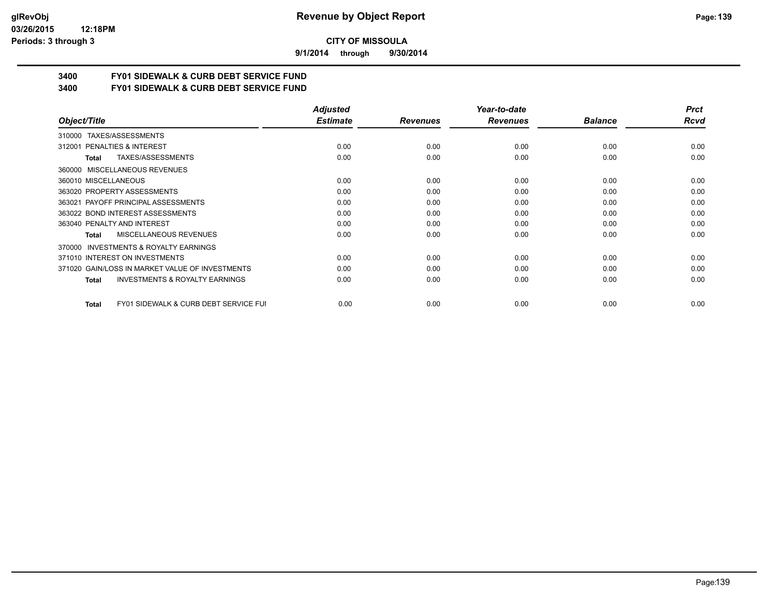**9/1/2014 through 9/30/2014**

# **3400 FY01 SIDEWALK & CURB DEBT SERVICE FUND**

**3400 FY01 SIDEWALK & CURB DEBT SERVICE FUND**

|                                                     | <b>Adjusted</b> |                 | Year-to-date    |                | <b>Prct</b> |
|-----------------------------------------------------|-----------------|-----------------|-----------------|----------------|-------------|
| Object/Title                                        | <b>Estimate</b> | <b>Revenues</b> | <b>Revenues</b> | <b>Balance</b> | Rcvd        |
| TAXES/ASSESSMENTS<br>310000                         |                 |                 |                 |                |             |
| 312001 PENALTIES & INTEREST                         | 0.00            | 0.00            | 0.00            | 0.00           | 0.00        |
| TAXES/ASSESSMENTS<br>Total                          | 0.00            | 0.00            | 0.00            | 0.00           | 0.00        |
| MISCELLANEOUS REVENUES<br>360000                    |                 |                 |                 |                |             |
| 360010 MISCELLANEOUS                                | 0.00            | 0.00            | 0.00            | 0.00           | 0.00        |
| 363020 PROPERTY ASSESSMENTS                         | 0.00            | 0.00            | 0.00            | 0.00           | 0.00        |
| 363021 PAYOFF PRINCIPAL ASSESSMENTS                 | 0.00            | 0.00            | 0.00            | 0.00           | 0.00        |
| 363022 BOND INTEREST ASSESSMENTS                    | 0.00            | 0.00            | 0.00            | 0.00           | 0.00        |
| 363040 PENALTY AND INTEREST                         | 0.00            | 0.00            | 0.00            | 0.00           | 0.00        |
| MISCELLANEOUS REVENUES<br>Total                     | 0.00            | 0.00            | 0.00            | 0.00           | 0.00        |
| <b>INVESTMENTS &amp; ROYALTY EARNINGS</b><br>370000 |                 |                 |                 |                |             |
| 371010 INTEREST ON INVESTMENTS                      | 0.00            | 0.00            | 0.00            | 0.00           | 0.00        |
| 371020 GAIN/LOSS IN MARKET VALUE OF INVESTMENTS     | 0.00            | 0.00            | 0.00            | 0.00           | 0.00        |
| <b>INVESTMENTS &amp; ROYALTY EARNINGS</b><br>Total  | 0.00            | 0.00            | 0.00            | 0.00           | 0.00        |
| FY01 SIDEWALK & CURB DEBT SERVICE FUI<br>Total      | 0.00            | 0.00            | 0.00            | 0.00           | 0.00        |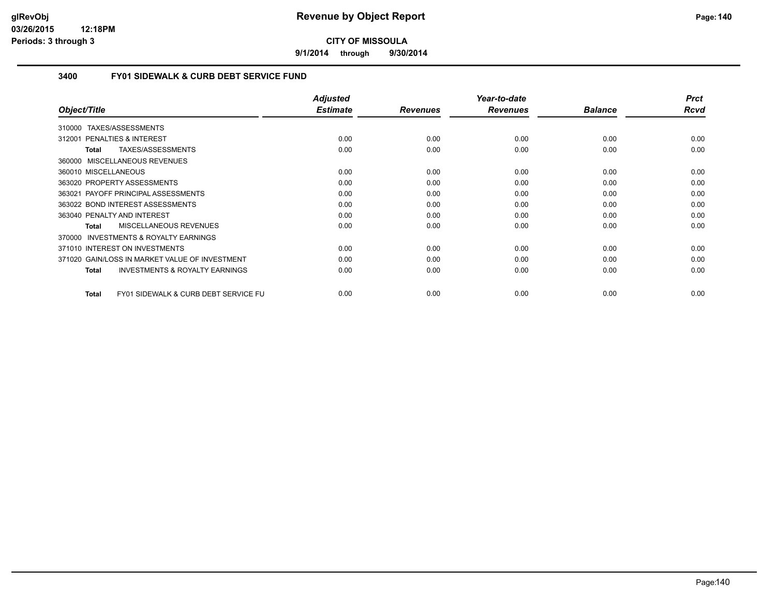**9/1/2014 through 9/30/2014**

#### **3400 FY01 SIDEWALK & CURB DEBT SERVICE FUND**

|                                                                 | <b>Adjusted</b> |                 | Year-to-date    |                | <b>Prct</b> |
|-----------------------------------------------------------------|-----------------|-----------------|-----------------|----------------|-------------|
| Object/Title                                                    | <b>Estimate</b> | <b>Revenues</b> | <b>Revenues</b> | <b>Balance</b> | Rcvd        |
| TAXES/ASSESSMENTS<br>310000                                     |                 |                 |                 |                |             |
| 312001 PENALTIES & INTEREST                                     | 0.00            | 0.00            | 0.00            | 0.00           | 0.00        |
| TAXES/ASSESSMENTS<br>Total                                      | 0.00            | 0.00            | 0.00            | 0.00           | 0.00        |
| MISCELLANEOUS REVENUES<br>360000                                |                 |                 |                 |                |             |
| 360010 MISCELLANEOUS                                            | 0.00            | 0.00            | 0.00            | 0.00           | 0.00        |
| 363020 PROPERTY ASSESSMENTS                                     | 0.00            | 0.00            | 0.00            | 0.00           | 0.00        |
| 363021 PAYOFF PRINCIPAL ASSESSMENTS                             | 0.00            | 0.00            | 0.00            | 0.00           | 0.00        |
| 363022 BOND INTEREST ASSESSMENTS                                | 0.00            | 0.00            | 0.00            | 0.00           | 0.00        |
| 363040 PENALTY AND INTEREST                                     | 0.00            | 0.00            | 0.00            | 0.00           | 0.00        |
| MISCELLANEOUS REVENUES<br><b>Total</b>                          | 0.00            | 0.00            | 0.00            | 0.00           | 0.00        |
| INVESTMENTS & ROYALTY EARNINGS<br>370000                        |                 |                 |                 |                |             |
| 371010 INTEREST ON INVESTMENTS                                  | 0.00            | 0.00            | 0.00            | 0.00           | 0.00        |
| 371020 GAIN/LOSS IN MARKET VALUE OF INVESTMENT                  | 0.00            | 0.00            | 0.00            | 0.00           | 0.00        |
| <b>INVESTMENTS &amp; ROYALTY EARNINGS</b><br>Total              | 0.00            | 0.00            | 0.00            | 0.00           | 0.00        |
| <b>FY01 SIDEWALK &amp; CURB DEBT SERVICE FU</b><br><b>Total</b> | 0.00            | 0.00            | 0.00            | 0.00           | 0.00        |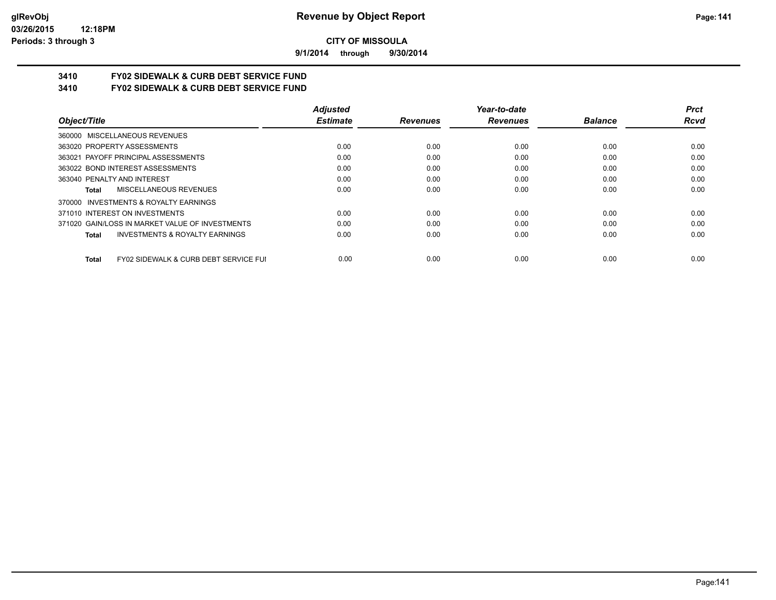**9/1/2014 through 9/30/2014**

# **3410 FY02 SIDEWALK & CURB DEBT SERVICE FUND**

**3410 FY02 SIDEWALK & CURB DEBT SERVICE FUND**

|                                                                  | <b>Adjusted</b> |                 | Year-to-date    |                | <b>Prct</b> |
|------------------------------------------------------------------|-----------------|-----------------|-----------------|----------------|-------------|
| Object/Title                                                     | <b>Estimate</b> | <b>Revenues</b> | <b>Revenues</b> | <b>Balance</b> | Rcvd        |
| 360000 MISCELLANEOUS REVENUES                                    |                 |                 |                 |                |             |
| 363020 PROPERTY ASSESSMENTS                                      | 0.00            | 0.00            | 0.00            | 0.00           | 0.00        |
| 363021 PAYOFF PRINCIPAL ASSESSMENTS                              | 0.00            | 0.00            | 0.00            | 0.00           | 0.00        |
| 363022 BOND INTEREST ASSESSMENTS                                 | 0.00            | 0.00            | 0.00            | 0.00           | 0.00        |
| 363040 PENALTY AND INTEREST                                      | 0.00            | 0.00            | 0.00            | 0.00           | 0.00        |
| MISCELLANEOUS REVENUES<br>Total                                  | 0.00            | 0.00            | 0.00            | 0.00           | 0.00        |
| INVESTMENTS & ROYALTY EARNINGS<br>370000                         |                 |                 |                 |                |             |
| 371010 INTEREST ON INVESTMENTS                                   | 0.00            | 0.00            | 0.00            | 0.00           | 0.00        |
| 371020 GAIN/LOSS IN MARKET VALUE OF INVESTMENTS                  | 0.00            | 0.00            | 0.00            | 0.00           | 0.00        |
| <b>INVESTMENTS &amp; ROYALTY EARNINGS</b><br><b>Total</b>        | 0.00            | 0.00            | 0.00            | 0.00           | 0.00        |
| <b>FY02 SIDEWALK &amp; CURB DEBT SERVICE FUI</b><br><b>Total</b> | 0.00            | 0.00            | 0.00            | 0.00           | 0.00        |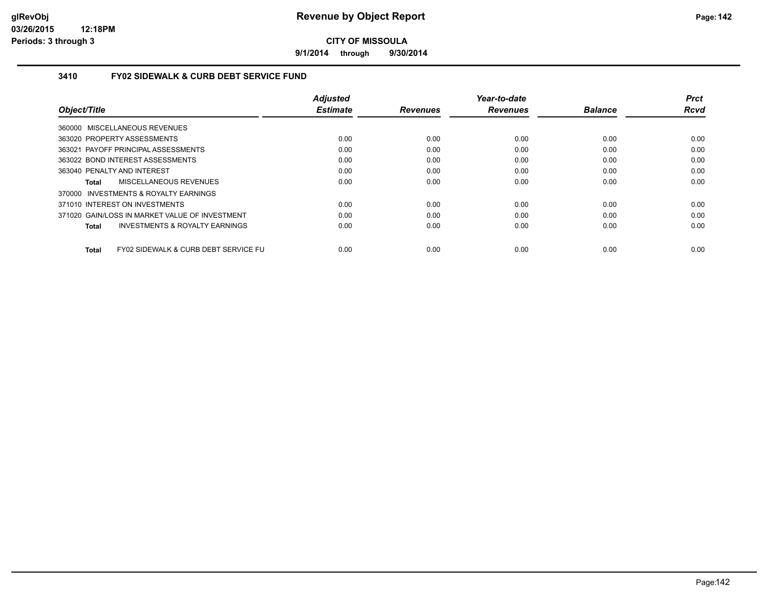**9/1/2014 through 9/30/2014**

### **3410 FY02 SIDEWALK & CURB DEBT SERVICE FUND**

|                                                      | <b>Adjusted</b> |                 | Year-to-date    |                | <b>Prct</b> |
|------------------------------------------------------|-----------------|-----------------|-----------------|----------------|-------------|
| Object/Title                                         | <b>Estimate</b> | <b>Revenues</b> | <b>Revenues</b> | <b>Balance</b> | <b>Rcvd</b> |
| 360000 MISCELLANEOUS REVENUES                        |                 |                 |                 |                |             |
| 363020 PROPERTY ASSESSMENTS                          | 0.00            | 0.00            | 0.00            | 0.00           | 0.00        |
| 363021 PAYOFF PRINCIPAL ASSESSMENTS                  | 0.00            | 0.00            | 0.00            | 0.00           | 0.00        |
| 363022 BOND INTEREST ASSESSMENTS                     | 0.00            | 0.00            | 0.00            | 0.00           | 0.00        |
| 363040 PENALTY AND INTEREST                          | 0.00            | 0.00            | 0.00            | 0.00           | 0.00        |
| MISCELLANEOUS REVENUES<br>Total                      | 0.00            | 0.00            | 0.00            | 0.00           | 0.00        |
| 370000 INVESTMENTS & ROYALTY EARNINGS                |                 |                 |                 |                |             |
| 371010 INTEREST ON INVESTMENTS                       | 0.00            | 0.00            | 0.00            | 0.00           | 0.00        |
| 371020 GAIN/LOSS IN MARKET VALUE OF INVESTMENT       | 0.00            | 0.00            | 0.00            | 0.00           | 0.00        |
| <b>INVESTMENTS &amp; ROYALTY EARNINGS</b><br>Total   | 0.00            | 0.00            | 0.00            | 0.00           | 0.00        |
| FY02 SIDEWALK & CURB DEBT SERVICE FU<br><b>Total</b> | 0.00            | 0.00            | 0.00            | 0.00           | 0.00        |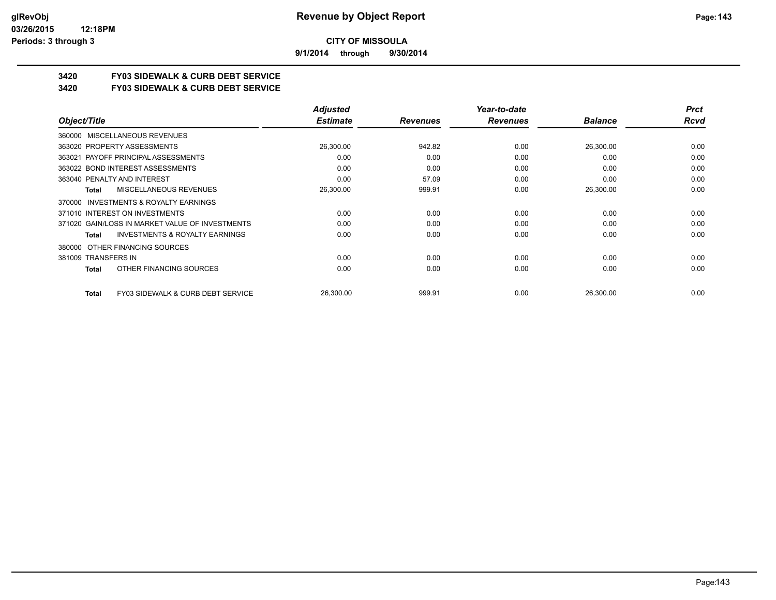**9/1/2014 through 9/30/2014**

# **3420 FY03 SIDEWALK & CURB DEBT SERVICE**

**3420 FY03 SIDEWALK & CURB DEBT SERVICE**

|                                                              | <b>Adjusted</b> |                 | Year-to-date    |                | <b>Prct</b> |
|--------------------------------------------------------------|-----------------|-----------------|-----------------|----------------|-------------|
| Object/Title                                                 | <b>Estimate</b> | <b>Revenues</b> | <b>Revenues</b> | <b>Balance</b> | Rcvd        |
| 360000 MISCELLANEOUS REVENUES                                |                 |                 |                 |                |             |
| 363020 PROPERTY ASSESSMENTS                                  | 26,300.00       | 942.82          | 0.00            | 26,300.00      | 0.00        |
| 363021 PAYOFF PRINCIPAL ASSESSMENTS                          | 0.00            | 0.00            | 0.00            | 0.00           | 0.00        |
| 363022 BOND INTEREST ASSESSMENTS                             | 0.00            | 0.00            | 0.00            | 0.00           | 0.00        |
| 363040 PENALTY AND INTEREST                                  | 0.00            | 57.09           | 0.00            | 0.00           | 0.00        |
| MISCELLANEOUS REVENUES<br><b>Total</b>                       | 26,300.00       | 999.91          | 0.00            | 26,300.00      | 0.00        |
| 370000 INVESTMENTS & ROYALTY EARNINGS                        |                 |                 |                 |                |             |
| 371010 INTEREST ON INVESTMENTS                               | 0.00            | 0.00            | 0.00            | 0.00           | 0.00        |
| 371020 GAIN/LOSS IN MARKET VALUE OF INVESTMENTS              | 0.00            | 0.00            | 0.00            | 0.00           | 0.00        |
| <b>INVESTMENTS &amp; ROYALTY EARNINGS</b><br><b>Total</b>    | 0.00            | 0.00            | 0.00            | 0.00           | 0.00        |
| OTHER FINANCING SOURCES<br>380000                            |                 |                 |                 |                |             |
| 381009 TRANSFERS IN                                          | 0.00            | 0.00            | 0.00            | 0.00           | 0.00        |
| OTHER FINANCING SOURCES<br><b>Total</b>                      | 0.00            | 0.00            | 0.00            | 0.00           | 0.00        |
| <b>FY03 SIDEWALK &amp; CURB DEBT SERVICE</b><br><b>Total</b> | 26,300.00       | 999.91          | 0.00            | 26,300.00      | 0.00        |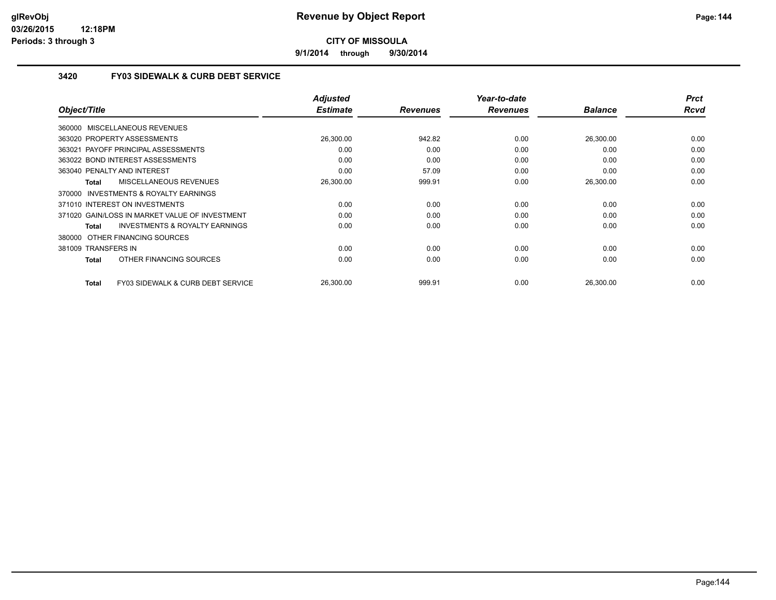**9/1/2014 through 9/30/2014**

#### **3420 FY03 SIDEWALK & CURB DEBT SERVICE**

| Object/Title                                       | <b>Adjusted</b><br><b>Estimate</b> | <b>Revenues</b> | Year-to-date<br><b>Revenues</b> | <b>Balance</b> | <b>Prct</b><br><b>Rcvd</b> |
|----------------------------------------------------|------------------------------------|-----------------|---------------------------------|----------------|----------------------------|
|                                                    |                                    |                 |                                 |                |                            |
| 360000 MISCELLANEOUS REVENUES                      |                                    |                 |                                 |                |                            |
| 363020 PROPERTY ASSESSMENTS                        | 26,300.00                          | 942.82          | 0.00                            | 26,300.00      | 0.00                       |
| 363021 PAYOFF PRINCIPAL ASSESSMENTS                | 0.00                               | 0.00            | 0.00                            | 0.00           | 0.00                       |
| 363022 BOND INTEREST ASSESSMENTS                   | 0.00                               | 0.00            | 0.00                            | 0.00           | 0.00                       |
| 363040 PENALTY AND INTEREST                        | 0.00                               | 57.09           | 0.00                            | 0.00           | 0.00                       |
| <b>MISCELLANEOUS REVENUES</b><br>Total             | 26,300.00                          | 999.91          | 0.00                            | 26,300.00      | 0.00                       |
| 370000 INVESTMENTS & ROYALTY EARNINGS              |                                    |                 |                                 |                |                            |
| 371010 INTEREST ON INVESTMENTS                     | 0.00                               | 0.00            | 0.00                            | 0.00           | 0.00                       |
| 371020 GAIN/LOSS IN MARKET VALUE OF INVESTMENT     | 0.00                               | 0.00            | 0.00                            | 0.00           | 0.00                       |
| <b>INVESTMENTS &amp; ROYALTY EARNINGS</b><br>Total | 0.00                               | 0.00            | 0.00                            | 0.00           | 0.00                       |
| 380000 OTHER FINANCING SOURCES                     |                                    |                 |                                 |                |                            |
| 381009 TRANSFERS IN                                | 0.00                               | 0.00            | 0.00                            | 0.00           | 0.00                       |
| OTHER FINANCING SOURCES<br>Total                   | 0.00                               | 0.00            | 0.00                            | 0.00           | 0.00                       |
|                                                    |                                    |                 |                                 |                |                            |
| FY03 SIDEWALK & CURB DEBT SERVICE<br>Total         | 26.300.00                          | 999.91          | 0.00                            | 26.300.00      | 0.00                       |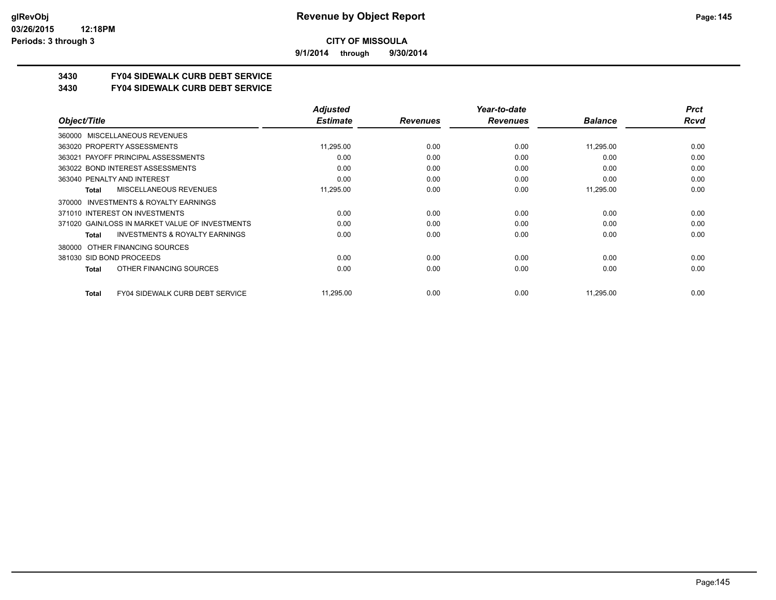**9/1/2014 through 9/30/2014**

## **3430 FY04 SIDEWALK CURB DEBT SERVICE**

### **3430 FY04 SIDEWALK CURB DEBT SERVICE**

|                                                        | <b>Adjusted</b> |                 | Year-to-date    |                | <b>Prct</b> |
|--------------------------------------------------------|-----------------|-----------------|-----------------|----------------|-------------|
| Object/Title                                           | <b>Estimate</b> | <b>Revenues</b> | <b>Revenues</b> | <b>Balance</b> | Rcvd        |
| 360000 MISCELLANEOUS REVENUES                          |                 |                 |                 |                |             |
| 363020 PROPERTY ASSESSMENTS                            | 11,295.00       | 0.00            | 0.00            | 11,295.00      | 0.00        |
| 363021 PAYOFF PRINCIPAL ASSESSMENTS                    | 0.00            | 0.00            | 0.00            | 0.00           | 0.00        |
| 363022 BOND INTEREST ASSESSMENTS                       | 0.00            | 0.00            | 0.00            | 0.00           | 0.00        |
| 363040 PENALTY AND INTEREST                            | 0.00            | 0.00            | 0.00            | 0.00           | 0.00        |
| MISCELLANEOUS REVENUES<br>Total                        | 11,295.00       | 0.00            | 0.00            | 11,295.00      | 0.00        |
| 370000 INVESTMENTS & ROYALTY EARNINGS                  |                 |                 |                 |                |             |
| 371010 INTEREST ON INVESTMENTS                         | 0.00            | 0.00            | 0.00            | 0.00           | 0.00        |
| 371020 GAIN/LOSS IN MARKET VALUE OF INVESTMENTS        | 0.00            | 0.00            | 0.00            | 0.00           | 0.00        |
| <b>INVESTMENTS &amp; ROYALTY EARNINGS</b><br>Total     | 0.00            | 0.00            | 0.00            | 0.00           | 0.00        |
| OTHER FINANCING SOURCES<br>380000                      |                 |                 |                 |                |             |
| 381030 SID BOND PROCEEDS                               | 0.00            | 0.00            | 0.00            | 0.00           | 0.00        |
| OTHER FINANCING SOURCES<br>Total                       | 0.00            | 0.00            | 0.00            | 0.00           | 0.00        |
| <b>FY04 SIDEWALK CURB DEBT SERVICE</b><br><b>Total</b> | 11,295.00       | 0.00            | 0.00            | 11,295.00      | 0.00        |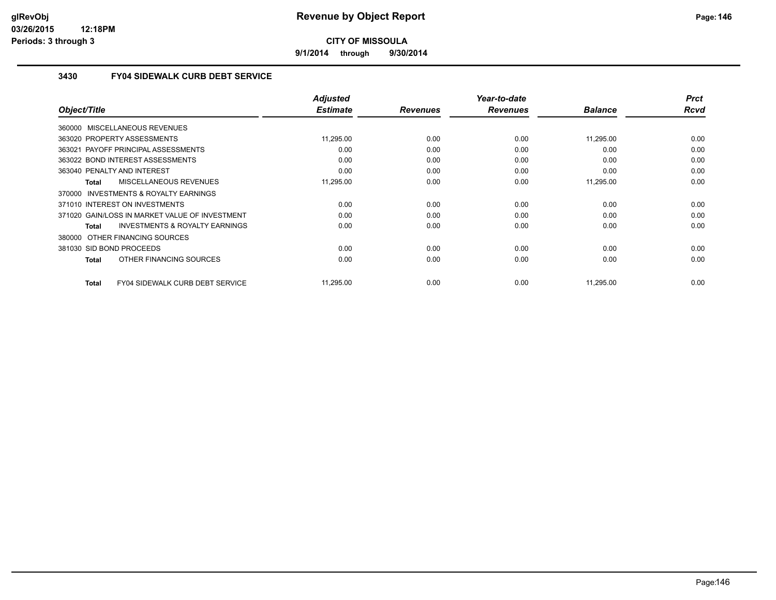**9/1/2014 through 9/30/2014**

### **3430 FY04 SIDEWALK CURB DEBT SERVICE**

|                                                    | <b>Adjusted</b> |                 | Year-to-date    |                | <b>Prct</b> |
|----------------------------------------------------|-----------------|-----------------|-----------------|----------------|-------------|
| Object/Title                                       | <b>Estimate</b> | <b>Revenues</b> | <b>Revenues</b> | <b>Balance</b> | <b>Rcvd</b> |
| 360000 MISCELLANEOUS REVENUES                      |                 |                 |                 |                |             |
| 363020 PROPERTY ASSESSMENTS                        | 11,295.00       | 0.00            | 0.00            | 11,295.00      | 0.00        |
| 363021 PAYOFF PRINCIPAL ASSESSMENTS                | 0.00            | 0.00            | 0.00            | 0.00           | 0.00        |
| 363022 BOND INTEREST ASSESSMENTS                   | 0.00            | 0.00            | 0.00            | 0.00           | 0.00        |
| 363040 PENALTY AND INTEREST                        | 0.00            | 0.00            | 0.00            | 0.00           | 0.00        |
| MISCELLANEOUS REVENUES<br>Total                    | 11,295.00       | 0.00            | 0.00            | 11,295.00      | 0.00        |
| 370000 INVESTMENTS & ROYALTY EARNINGS              |                 |                 |                 |                |             |
| 371010 INTEREST ON INVESTMENTS                     | 0.00            | 0.00            | 0.00            | 0.00           | 0.00        |
| 371020 GAIN/LOSS IN MARKET VALUE OF INVESTMENT     | 0.00            | 0.00            | 0.00            | 0.00           | 0.00        |
| <b>INVESTMENTS &amp; ROYALTY EARNINGS</b><br>Total | 0.00            | 0.00            | 0.00            | 0.00           | 0.00        |
| 380000 OTHER FINANCING SOURCES                     |                 |                 |                 |                |             |
| 381030 SID BOND PROCEEDS                           | 0.00            | 0.00            | 0.00            | 0.00           | 0.00        |
| OTHER FINANCING SOURCES<br>Total                   | 0.00            | 0.00            | 0.00            | 0.00           | 0.00        |
| FY04 SIDEWALK CURB DEBT SERVICE<br><b>Total</b>    | 11,295.00       | 0.00            | 0.00            | 11,295.00      | 0.00        |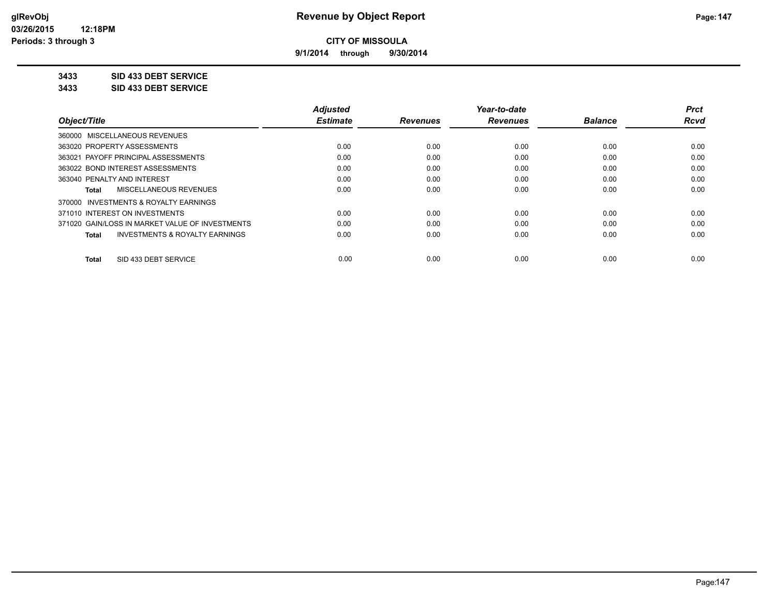**9/1/2014 through 9/30/2014**

**3433 SID 433 DEBT SERVICE**

**3433 SID 433 DEBT SERVICE**

|                                                    | <b>Adjusted</b> |                 | Year-to-date    |                | <b>Prct</b> |
|----------------------------------------------------|-----------------|-----------------|-----------------|----------------|-------------|
| Object/Title                                       | <b>Estimate</b> | <b>Revenues</b> | <b>Revenues</b> | <b>Balance</b> | <b>Rcvd</b> |
| 360000 MISCELLANEOUS REVENUES                      |                 |                 |                 |                |             |
| 363020 PROPERTY ASSESSMENTS                        | 0.00            | 0.00            | 0.00            | 0.00           | 0.00        |
| 363021 PAYOFF PRINCIPAL ASSESSMENTS                | 0.00            | 0.00            | 0.00            | 0.00           | 0.00        |
| 363022 BOND INTEREST ASSESSMENTS                   | 0.00            | 0.00            | 0.00            | 0.00           | 0.00        |
| 363040 PENALTY AND INTEREST                        | 0.00            | 0.00            | 0.00            | 0.00           | 0.00        |
| MISCELLANEOUS REVENUES<br>Total                    | 0.00            | 0.00            | 0.00            | 0.00           | 0.00        |
| 370000 INVESTMENTS & ROYALTY EARNINGS              |                 |                 |                 |                |             |
| 371010 INTEREST ON INVESTMENTS                     | 0.00            | 0.00            | 0.00            | 0.00           | 0.00        |
| 371020 GAIN/LOSS IN MARKET VALUE OF INVESTMENTS    | 0.00            | 0.00            | 0.00            | 0.00           | 0.00        |
| <b>INVESTMENTS &amp; ROYALTY EARNINGS</b><br>Total | 0.00            | 0.00            | 0.00            | 0.00           | 0.00        |
| SID 433 DEBT SERVICE<br>Total                      | 0.00            | 0.00            | 0.00            | 0.00           | 0.00        |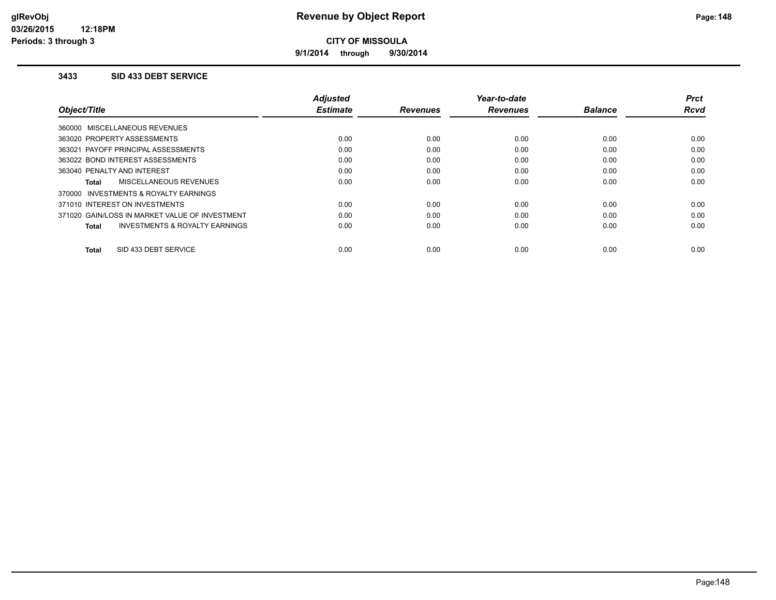**9/1/2014 through 9/30/2014**

### **3433 SID 433 DEBT SERVICE**

|                                                    | <b>Adjusted</b> |                 | Year-to-date    |                | <b>Prct</b> |
|----------------------------------------------------|-----------------|-----------------|-----------------|----------------|-------------|
| Object/Title                                       | <b>Estimate</b> | <b>Revenues</b> | <b>Revenues</b> | <b>Balance</b> | <b>Rcvd</b> |
| 360000 MISCELLANEOUS REVENUES                      |                 |                 |                 |                |             |
| 363020 PROPERTY ASSESSMENTS                        | 0.00            | 0.00            | 0.00            | 0.00           | 0.00        |
| 363021 PAYOFF PRINCIPAL ASSESSMENTS                | 0.00            | 0.00            | 0.00            | 0.00           | 0.00        |
| 363022 BOND INTEREST ASSESSMENTS                   | 0.00            | 0.00            | 0.00            | 0.00           | 0.00        |
| 363040 PENALTY AND INTEREST                        | 0.00            | 0.00            | 0.00            | 0.00           | 0.00        |
| MISCELLANEOUS REVENUES<br>Total                    | 0.00            | 0.00            | 0.00            | 0.00           | 0.00        |
| 370000 INVESTMENTS & ROYALTY EARNINGS              |                 |                 |                 |                |             |
| 371010 INTEREST ON INVESTMENTS                     | 0.00            | 0.00            | 0.00            | 0.00           | 0.00        |
| 371020 GAIN/LOSS IN MARKET VALUE OF INVESTMENT     | 0.00            | 0.00            | 0.00            | 0.00           | 0.00        |
| <b>INVESTMENTS &amp; ROYALTY EARNINGS</b><br>Total | 0.00            | 0.00            | 0.00            | 0.00           | 0.00        |
|                                                    |                 |                 |                 |                |             |
| SID 433 DEBT SERVICE<br>Total                      | 0.00            | 0.00            | 0.00            | 0.00           | 0.00        |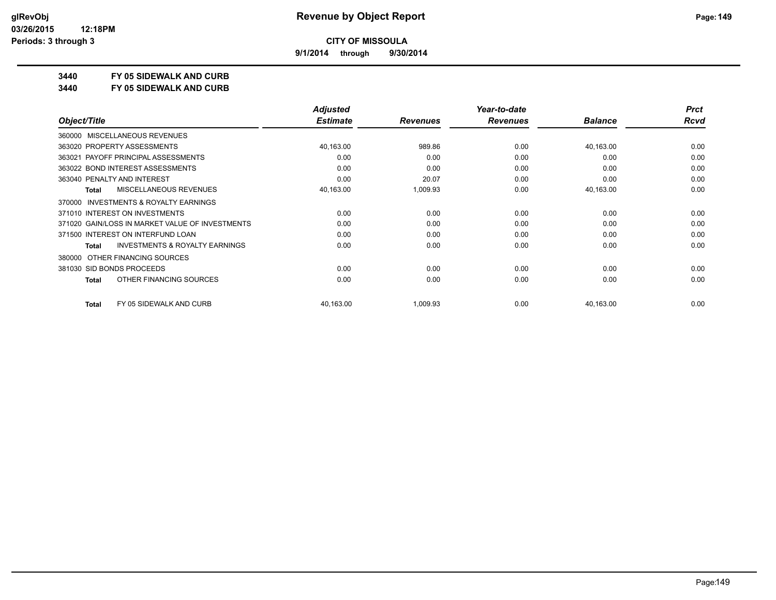**9/1/2014 through 9/30/2014**

## **3440 FY 05 SIDEWALK AND CURB**

**3440 FY 05 SIDEWALK AND CURB**

|                                       |                                                 | <b>Adjusted</b> |                 | Year-to-date    |                | <b>Prct</b> |
|---------------------------------------|-------------------------------------------------|-----------------|-----------------|-----------------|----------------|-------------|
| Object/Title                          |                                                 | <b>Estimate</b> | <b>Revenues</b> | <b>Revenues</b> | <b>Balance</b> | Rcvd        |
| 360000 MISCELLANEOUS REVENUES         |                                                 |                 |                 |                 |                |             |
| 363020 PROPERTY ASSESSMENTS           |                                                 | 40,163.00       | 989.86          | 0.00            | 40,163.00      | 0.00        |
| 363021 PAYOFF PRINCIPAL ASSESSMENTS   |                                                 | 0.00            | 0.00            | 0.00            | 0.00           | 0.00        |
| 363022 BOND INTEREST ASSESSMENTS      |                                                 | 0.00            | 0.00            | 0.00            | 0.00           | 0.00        |
| 363040 PENALTY AND INTEREST           |                                                 | 0.00            | 20.07           | 0.00            | 0.00           | 0.00        |
| <b>Total</b>                          | <b>MISCELLANEOUS REVENUES</b>                   | 40,163.00       | 1,009.93        | 0.00            | 40,163.00      | 0.00        |
| 370000 INVESTMENTS & ROYALTY EARNINGS |                                                 |                 |                 |                 |                |             |
| 371010 INTEREST ON INVESTMENTS        |                                                 | 0.00            | 0.00            | 0.00            | 0.00           | 0.00        |
|                                       | 371020 GAIN/LOSS IN MARKET VALUE OF INVESTMENTS | 0.00            | 0.00            | 0.00            | 0.00           | 0.00        |
| 371500 INTEREST ON INTERFUND LOAN     |                                                 | 0.00            | 0.00            | 0.00            | 0.00           | 0.00        |
| Total                                 | <b>INVESTMENTS &amp; ROYALTY EARNINGS</b>       | 0.00            | 0.00            | 0.00            | 0.00           | 0.00        |
| OTHER FINANCING SOURCES<br>380000     |                                                 |                 |                 |                 |                |             |
| 381030 SID BONDS PROCEEDS             |                                                 | 0.00            | 0.00            | 0.00            | 0.00           | 0.00        |
| Total                                 | OTHER FINANCING SOURCES                         | 0.00            | 0.00            | 0.00            | 0.00           | 0.00        |
| <b>Total</b>                          | FY 05 SIDEWALK AND CURB                         | 40,163.00       | 1,009.93        | 0.00            | 40,163.00      | 0.00        |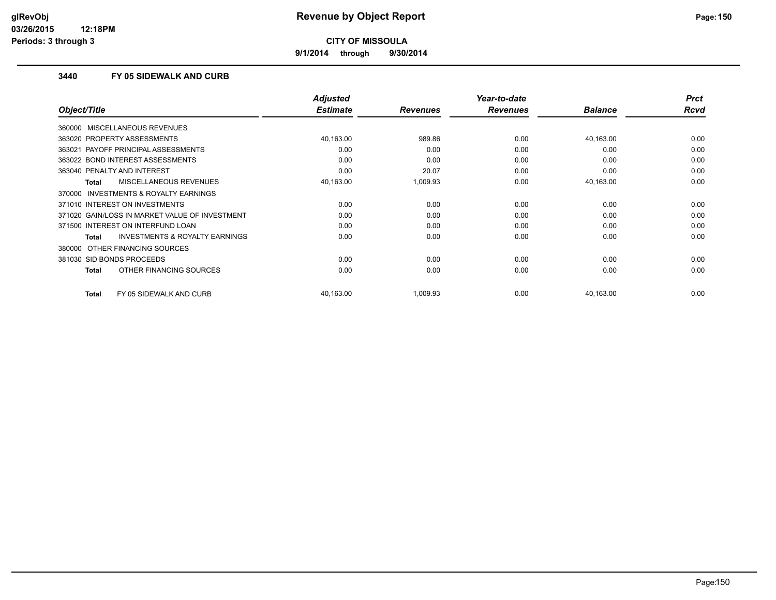**9/1/2014 through 9/30/2014**

### **3440 FY 05 SIDEWALK AND CURB**

|                                                     | <b>Adjusted</b> |                 | Year-to-date    |                | <b>Prct</b> |
|-----------------------------------------------------|-----------------|-----------------|-----------------|----------------|-------------|
| Object/Title                                        | <b>Estimate</b> | <b>Revenues</b> | <b>Revenues</b> | <b>Balance</b> | <b>Rcvd</b> |
| 360000 MISCELLANEOUS REVENUES                       |                 |                 |                 |                |             |
| 363020 PROPERTY ASSESSMENTS                         | 40,163.00       | 989.86          | 0.00            | 40,163.00      | 0.00        |
| 363021 PAYOFF PRINCIPAL ASSESSMENTS                 | 0.00            | 0.00            | 0.00            | 0.00           | 0.00        |
| 363022 BOND INTEREST ASSESSMENTS                    | 0.00            | 0.00            | 0.00            | 0.00           | 0.00        |
| 363040 PENALTY AND INTEREST                         | 0.00            | 20.07           | 0.00            | 0.00           | 0.00        |
| MISCELLANEOUS REVENUES<br><b>Total</b>              | 40,163.00       | 1,009.93        | 0.00            | 40,163.00      | 0.00        |
| <b>INVESTMENTS &amp; ROYALTY EARNINGS</b><br>370000 |                 |                 |                 |                |             |
| 371010 INTEREST ON INVESTMENTS                      | 0.00            | 0.00            | 0.00            | 0.00           | 0.00        |
| 371020 GAIN/LOSS IN MARKET VALUE OF INVESTMENT      | 0.00            | 0.00            | 0.00            | 0.00           | 0.00        |
| 371500 INTEREST ON INTERFUND LOAN                   | 0.00            | 0.00            | 0.00            | 0.00           | 0.00        |
| <b>INVESTMENTS &amp; ROYALTY EARNINGS</b><br>Total  | 0.00            | 0.00            | 0.00            | 0.00           | 0.00        |
| 380000 OTHER FINANCING SOURCES                      |                 |                 |                 |                |             |
| 381030 SID BONDS PROCEEDS                           | 0.00            | 0.00            | 0.00            | 0.00           | 0.00        |
| OTHER FINANCING SOURCES<br><b>Total</b>             | 0.00            | 0.00            | 0.00            | 0.00           | 0.00        |
| <b>Total</b><br>FY 05 SIDEWALK AND CURB             | 40,163.00       | 1,009.93        | 0.00            | 40,163.00      | 0.00        |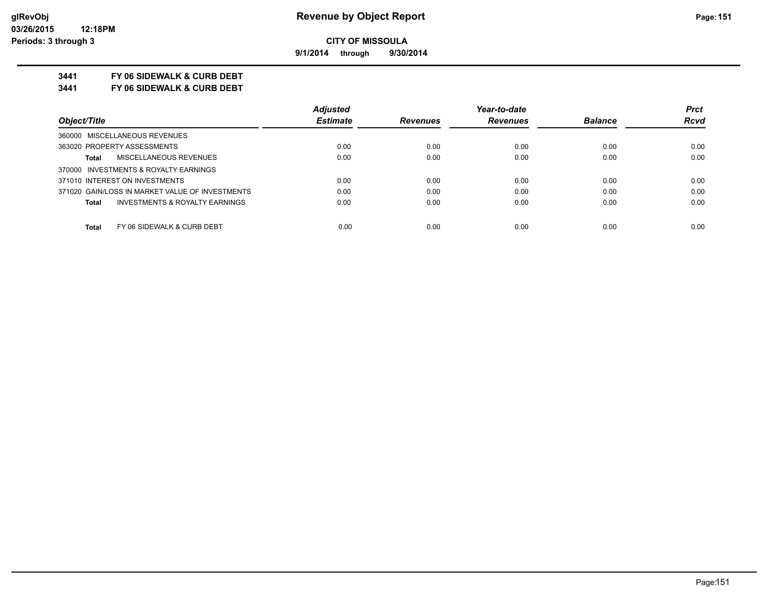**9/1/2014 through 9/30/2014**

## **3441 FY 06 SIDEWALK & CURB DEBT**

**3441 FY 06 SIDEWALK & CURB DEBT**

|                                                    | <b>Adjusted</b> |                 | Year-to-date    |                | <b>Prct</b> |
|----------------------------------------------------|-----------------|-----------------|-----------------|----------------|-------------|
| Object/Title                                       | <b>Estimate</b> | <b>Revenues</b> | <b>Revenues</b> | <b>Balance</b> | <b>Rcvd</b> |
| 360000 MISCELLANEOUS REVENUES                      |                 |                 |                 |                |             |
| 363020 PROPERTY ASSESSMENTS                        | 0.00            | 0.00            | 0.00            | 0.00           | 0.00        |
| MISCELLANEOUS REVENUES<br><b>Total</b>             | 0.00            | 0.00            | 0.00            | 0.00           | 0.00        |
| 370000 INVESTMENTS & ROYALTY EARNINGS              |                 |                 |                 |                |             |
| 371010 INTEREST ON INVESTMENTS                     | 0.00            | 0.00            | 0.00            | 0.00           | 0.00        |
| 371020 GAIN/LOSS IN MARKET VALUE OF INVESTMENTS    | 0.00            | 0.00            | 0.00            | 0.00           | 0.00        |
| <b>INVESTMENTS &amp; ROYALTY EARNINGS</b><br>Total | 0.00            | 0.00            | 0.00            | 0.00           | 0.00        |
|                                                    |                 |                 |                 |                |             |
| Total<br>FY 06 SIDEWALK & CURB DEBT                | 0.00            | 0.00            | 0.00            | 0.00           | 0.00        |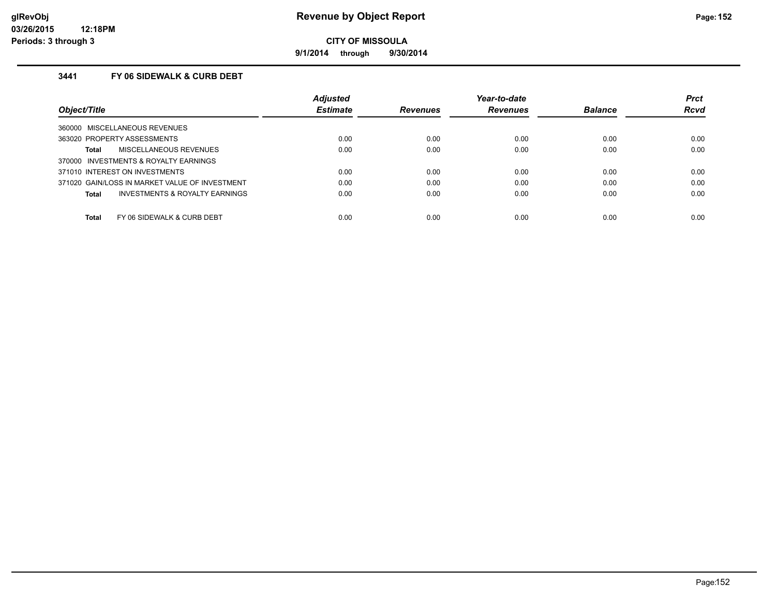**9/1/2014 through 9/30/2014**

## **3441 FY 06 SIDEWALK & CURB DEBT**

|                                                    | <b>Adjusted</b> |                 | Year-to-date    |                | <b>Prct</b> |
|----------------------------------------------------|-----------------|-----------------|-----------------|----------------|-------------|
| Object/Title                                       | <b>Estimate</b> | <b>Revenues</b> | <b>Revenues</b> | <b>Balance</b> | <b>Rcvd</b> |
| 360000 MISCELLANEOUS REVENUES                      |                 |                 |                 |                |             |
| 363020 PROPERTY ASSESSMENTS                        | 0.00            | 0.00            | 0.00            | 0.00           | 0.00        |
| <b>MISCELLANEOUS REVENUES</b><br>Total             | 0.00            | 0.00            | 0.00            | 0.00           | 0.00        |
| 370000 INVESTMENTS & ROYALTY EARNINGS              |                 |                 |                 |                |             |
| 371010 INTEREST ON INVESTMENTS                     | 0.00            | 0.00            | 0.00            | 0.00           | 0.00        |
| 371020 GAIN/LOSS IN MARKET VALUE OF INVESTMENT     | 0.00            | 0.00            | 0.00            | 0.00           | 0.00        |
| <b>INVESTMENTS &amp; ROYALTY EARNINGS</b><br>Total | 0.00            | 0.00            | 0.00            | 0.00           | 0.00        |
| <b>Total</b><br>FY 06 SIDEWALK & CURB DEBT         | 0.00            | 0.00            | 0.00            | 0.00           | 0.00        |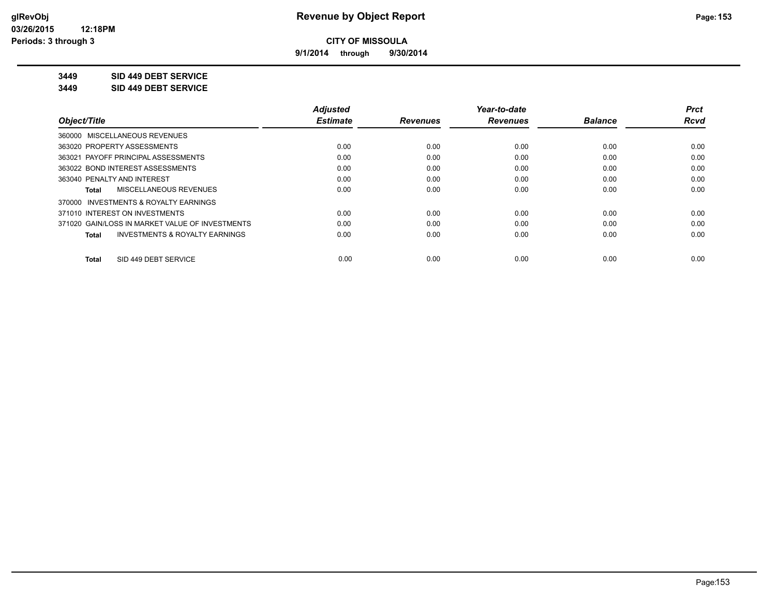**9/1/2014 through 9/30/2014**

**3449 SID 449 DEBT SERVICE**

**3449 SID 449 DEBT SERVICE**

|                                                           | <b>Adjusted</b> |                 | Year-to-date    |                | <b>Prct</b> |
|-----------------------------------------------------------|-----------------|-----------------|-----------------|----------------|-------------|
| Object/Title                                              | <b>Estimate</b> | <b>Revenues</b> | <b>Revenues</b> | <b>Balance</b> | Rcvd        |
| 360000 MISCELLANEOUS REVENUES                             |                 |                 |                 |                |             |
| 363020 PROPERTY ASSESSMENTS                               | 0.00            | 0.00            | 0.00            | 0.00           | 0.00        |
| 363021 PAYOFF PRINCIPAL ASSESSMENTS                       | 0.00            | 0.00            | 0.00            | 0.00           | 0.00        |
| 363022 BOND INTEREST ASSESSMENTS                          | 0.00            | 0.00            | 0.00            | 0.00           | 0.00        |
| 363040 PENALTY AND INTEREST                               | 0.00            | 0.00            | 0.00            | 0.00           | 0.00        |
| MISCELLANEOUS REVENUES<br>Total                           | 0.00            | 0.00            | 0.00            | 0.00           | 0.00        |
| 370000 INVESTMENTS & ROYALTY EARNINGS                     |                 |                 |                 |                |             |
| 371010 INTEREST ON INVESTMENTS                            | 0.00            | 0.00            | 0.00            | 0.00           | 0.00        |
| 371020 GAIN/LOSS IN MARKET VALUE OF INVESTMENTS           | 0.00            | 0.00            | 0.00            | 0.00           | 0.00        |
| <b>INVESTMENTS &amp; ROYALTY EARNINGS</b><br><b>Total</b> | 0.00            | 0.00            | 0.00            | 0.00           | 0.00        |
| SID 449 DEBT SERVICE<br>Total                             | 0.00            | 0.00            | 0.00            | 0.00           | 0.00        |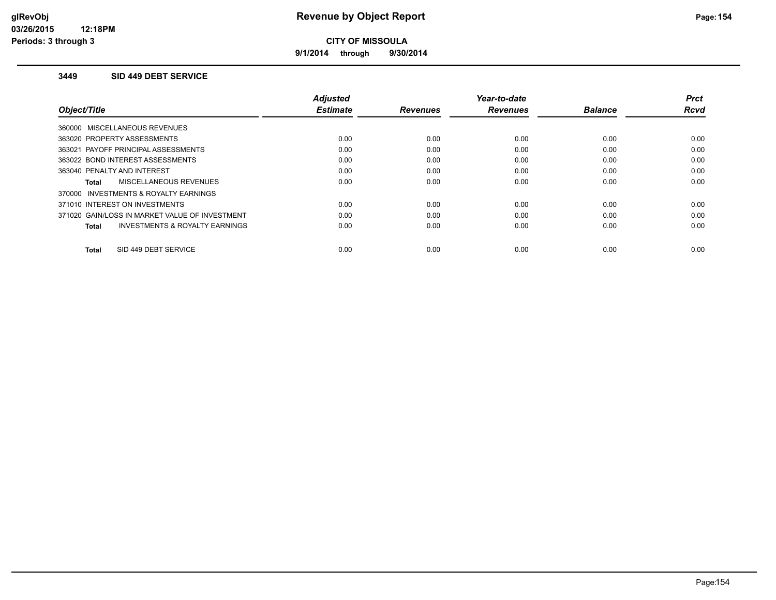**9/1/2014 through 9/30/2014**

### **3449 SID 449 DEBT SERVICE**

|                                                    | <b>Adjusted</b> |                 | Year-to-date    |                | <b>Prct</b> |
|----------------------------------------------------|-----------------|-----------------|-----------------|----------------|-------------|
| Object/Title                                       | <b>Estimate</b> | <b>Revenues</b> | <b>Revenues</b> | <b>Balance</b> | <b>Rcvd</b> |
| 360000 MISCELLANEOUS REVENUES                      |                 |                 |                 |                |             |
| 363020 PROPERTY ASSESSMENTS                        | 0.00            | 0.00            | 0.00            | 0.00           | 0.00        |
| 363021 PAYOFF PRINCIPAL ASSESSMENTS                | 0.00            | 0.00            | 0.00            | 0.00           | 0.00        |
| 363022 BOND INTEREST ASSESSMENTS                   | 0.00            | 0.00            | 0.00            | 0.00           | 0.00        |
| 363040 PENALTY AND INTEREST                        | 0.00            | 0.00            | 0.00            | 0.00           | 0.00        |
| MISCELLANEOUS REVENUES<br>Total                    | 0.00            | 0.00            | 0.00            | 0.00           | 0.00        |
| 370000 INVESTMENTS & ROYALTY EARNINGS              |                 |                 |                 |                |             |
| 371010 INTEREST ON INVESTMENTS                     | 0.00            | 0.00            | 0.00            | 0.00           | 0.00        |
| 371020 GAIN/LOSS IN MARKET VALUE OF INVESTMENT     | 0.00            | 0.00            | 0.00            | 0.00           | 0.00        |
| <b>INVESTMENTS &amp; ROYALTY EARNINGS</b><br>Total | 0.00            | 0.00            | 0.00            | 0.00           | 0.00        |
| SID 449 DEBT SERVICE<br><b>Total</b>               | 0.00            | 0.00            | 0.00            | 0.00           | 0.00        |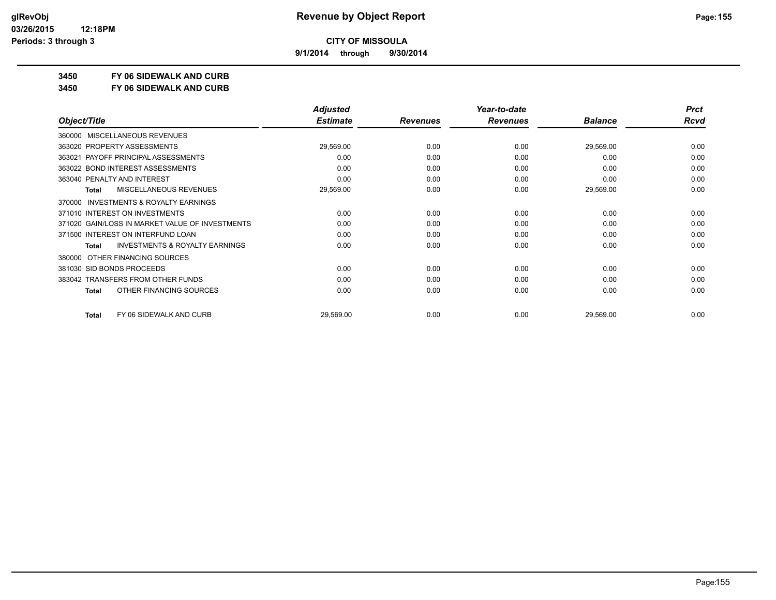**9/1/2014 through 9/30/2014**

## **3450 FY 06 SIDEWALK AND CURB**

**3450 FY 06 SIDEWALK AND CURB**

|                                                     | <b>Adjusted</b> |                 | Year-to-date    |                | <b>Prct</b> |
|-----------------------------------------------------|-----------------|-----------------|-----------------|----------------|-------------|
| Object/Title                                        | <b>Estimate</b> | <b>Revenues</b> | <b>Revenues</b> | <b>Balance</b> | <b>Rcvd</b> |
| <b>MISCELLANEOUS REVENUES</b><br>360000             |                 |                 |                 |                |             |
| 363020 PROPERTY ASSESSMENTS                         | 29,569.00       | 0.00            | 0.00            | 29,569.00      | 0.00        |
| 363021 PAYOFF PRINCIPAL ASSESSMENTS                 | 0.00            | 0.00            | 0.00            | 0.00           | 0.00        |
| 363022 BOND INTEREST ASSESSMENTS                    | 0.00            | 0.00            | 0.00            | 0.00           | 0.00        |
| 363040 PENALTY AND INTEREST                         | 0.00            | 0.00            | 0.00            | 0.00           | 0.00        |
| MISCELLANEOUS REVENUES<br>Total                     | 29,569.00       | 0.00            | 0.00            | 29,569.00      | 0.00        |
| <b>INVESTMENTS &amp; ROYALTY EARNINGS</b><br>370000 |                 |                 |                 |                |             |
| 371010 INTEREST ON INVESTMENTS                      | 0.00            | 0.00            | 0.00            | 0.00           | 0.00        |
| 371020 GAIN/LOSS IN MARKET VALUE OF INVESTMENTS     | 0.00            | 0.00            | 0.00            | 0.00           | 0.00        |
| 371500 INTEREST ON INTERFUND LOAN                   | 0.00            | 0.00            | 0.00            | 0.00           | 0.00        |
| <b>INVESTMENTS &amp; ROYALTY EARNINGS</b><br>Total  | 0.00            | 0.00            | 0.00            | 0.00           | 0.00        |
| OTHER FINANCING SOURCES<br>380000                   |                 |                 |                 |                |             |
| 381030 SID BONDS PROCEEDS                           | 0.00            | 0.00            | 0.00            | 0.00           | 0.00        |
| 383042 TRANSFERS FROM OTHER FUNDS                   | 0.00            | 0.00            | 0.00            | 0.00           | 0.00        |
| OTHER FINANCING SOURCES<br>Total                    | 0.00            | 0.00            | 0.00            | 0.00           | 0.00        |
| FY 06 SIDEWALK AND CURB<br><b>Total</b>             | 29,569.00       | 0.00            | 0.00            | 29,569.00      | 0.00        |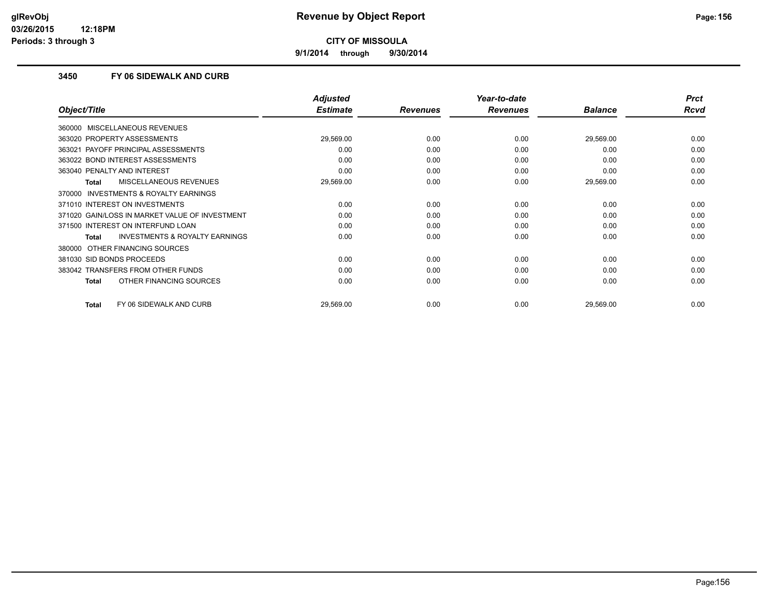**9/1/2014 through 9/30/2014**

### **3450 FY 06 SIDEWALK AND CURB**

|                                                    | <b>Adjusted</b> |                 | Year-to-date    |                | <b>Prct</b> |
|----------------------------------------------------|-----------------|-----------------|-----------------|----------------|-------------|
| Object/Title                                       | <b>Estimate</b> | <b>Revenues</b> | <b>Revenues</b> | <b>Balance</b> | <b>Rcvd</b> |
| 360000 MISCELLANEOUS REVENUES                      |                 |                 |                 |                |             |
| 363020 PROPERTY ASSESSMENTS                        | 29,569.00       | 0.00            | 0.00            | 29,569.00      | 0.00        |
| PAYOFF PRINCIPAL ASSESSMENTS<br>363021             | 0.00            | 0.00            | 0.00            | 0.00           | 0.00        |
| 363022 BOND INTEREST ASSESSMENTS                   | 0.00            | 0.00            | 0.00            | 0.00           | 0.00        |
| 363040 PENALTY AND INTEREST                        | 0.00            | 0.00            | 0.00            | 0.00           | 0.00        |
| MISCELLANEOUS REVENUES<br><b>Total</b>             | 29,569.00       | 0.00            | 0.00            | 29,569.00      | 0.00        |
| INVESTMENTS & ROYALTY EARNINGS<br>370000           |                 |                 |                 |                |             |
| 371010 INTEREST ON INVESTMENTS                     | 0.00            | 0.00            | 0.00            | 0.00           | 0.00        |
| 371020 GAIN/LOSS IN MARKET VALUE OF INVESTMENT     | 0.00            | 0.00            | 0.00            | 0.00           | 0.00        |
| 371500 INTEREST ON INTERFUND LOAN                  | 0.00            | 0.00            | 0.00            | 0.00           | 0.00        |
| <b>INVESTMENTS &amp; ROYALTY EARNINGS</b><br>Total | 0.00            | 0.00            | 0.00            | 0.00           | 0.00        |
| OTHER FINANCING SOURCES<br>380000                  |                 |                 |                 |                |             |
| 381030 SID BONDS PROCEEDS                          | 0.00            | 0.00            | 0.00            | 0.00           | 0.00        |
| 383042 TRANSFERS FROM OTHER FUNDS                  | 0.00            | 0.00            | 0.00            | 0.00           | 0.00        |
| OTHER FINANCING SOURCES<br><b>Total</b>            | 0.00            | 0.00            | 0.00            | 0.00           | 0.00        |
|                                                    |                 |                 |                 |                |             |
| FY 06 SIDEWALK AND CURB<br><b>Total</b>            | 29,569.00       | 0.00            | 0.00            | 29,569.00      | 0.00        |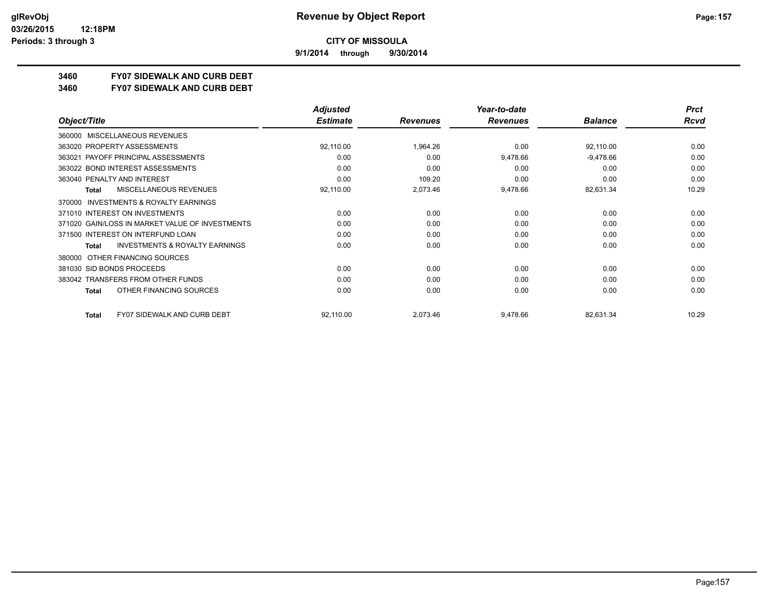**9/1/2014 through 9/30/2014**

# **3460 FY07 SIDEWALK AND CURB DEBT**

#### **3460 FY07 SIDEWALK AND CURB DEBT**

|                                                     | <b>Adjusted</b> |                 | Year-to-date    |                | <b>Prct</b> |
|-----------------------------------------------------|-----------------|-----------------|-----------------|----------------|-------------|
| Object/Title                                        | <b>Estimate</b> | <b>Revenues</b> | <b>Revenues</b> | <b>Balance</b> | Rcvd        |
| MISCELLANEOUS REVENUES<br>360000                    |                 |                 |                 |                |             |
| 363020 PROPERTY ASSESSMENTS                         | 92,110.00       | 1,964.26        | 0.00            | 92,110.00      | 0.00        |
| PAYOFF PRINCIPAL ASSESSMENTS<br>363021              | 0.00            | 0.00            | 9,478.66        | $-9,478.66$    | 0.00        |
| 363022 BOND INTEREST ASSESSMENTS                    | 0.00            | 0.00            | 0.00            | 0.00           | 0.00        |
| 363040 PENALTY AND INTEREST                         | 0.00            | 109.20          | 0.00            | 0.00           | 0.00        |
| MISCELLANEOUS REVENUES<br><b>Total</b>              | 92,110.00       | 2,073.46        | 9,478.66        | 82,631.34      | 10.29       |
| <b>INVESTMENTS &amp; ROYALTY EARNINGS</b><br>370000 |                 |                 |                 |                |             |
| 371010 INTEREST ON INVESTMENTS                      | 0.00            | 0.00            | 0.00            | 0.00           | 0.00        |
| 371020 GAIN/LOSS IN MARKET VALUE OF INVESTMENTS     | 0.00            | 0.00            | 0.00            | 0.00           | 0.00        |
| 371500 INTEREST ON INTERFUND LOAN                   | 0.00            | 0.00            | 0.00            | 0.00           | 0.00        |
| <b>INVESTMENTS &amp; ROYALTY EARNINGS</b><br>Total  | 0.00            | 0.00            | 0.00            | 0.00           | 0.00        |
| OTHER FINANCING SOURCES<br>380000                   |                 |                 |                 |                |             |
| 381030 SID BONDS PROCEEDS                           | 0.00            | 0.00            | 0.00            | 0.00           | 0.00        |
| 383042 TRANSFERS FROM OTHER FUNDS                   | 0.00            | 0.00            | 0.00            | 0.00           | 0.00        |
| OTHER FINANCING SOURCES<br><b>Total</b>             | 0.00            | 0.00            | 0.00            | 0.00           | 0.00        |
| <b>FY07 SIDEWALK AND CURB DEBT</b><br>Total         | 92,110.00       | 2,073.46        | 9,478.66        | 82,631.34      | 10.29       |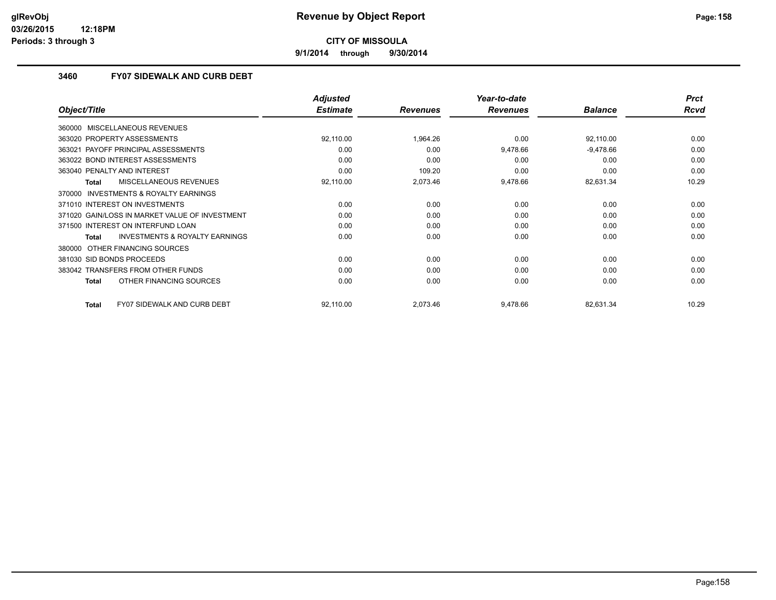**9/1/2014 through 9/30/2014**

### **3460 FY07 SIDEWALK AND CURB DEBT**

|                                                    | <b>Adjusted</b> |                 | Year-to-date    |                | <b>Prct</b> |
|----------------------------------------------------|-----------------|-----------------|-----------------|----------------|-------------|
| Object/Title                                       | <b>Estimate</b> | <b>Revenues</b> | <b>Revenues</b> | <b>Balance</b> | <b>Rcvd</b> |
| 360000 MISCELLANEOUS REVENUES                      |                 |                 |                 |                |             |
| 363020 PROPERTY ASSESSMENTS                        | 92,110.00       | 1,964.26        | 0.00            | 92,110.00      | 0.00        |
| PAYOFF PRINCIPAL ASSESSMENTS<br>363021             | 0.00            | 0.00            | 9,478.66        | $-9,478.66$    | 0.00        |
| 363022 BOND INTEREST ASSESSMENTS                   | 0.00            | 0.00            | 0.00            | 0.00           | 0.00        |
| 363040 PENALTY AND INTEREST                        | 0.00            | 109.20          | 0.00            | 0.00           | 0.00        |
| MISCELLANEOUS REVENUES<br>Total                    | 92,110.00       | 2,073.46        | 9,478.66        | 82,631.34      | 10.29       |
| INVESTMENTS & ROYALTY EARNINGS<br>370000           |                 |                 |                 |                |             |
| 371010 INTEREST ON INVESTMENTS                     | 0.00            | 0.00            | 0.00            | 0.00           | 0.00        |
| 371020 GAIN/LOSS IN MARKET VALUE OF INVESTMENT     | 0.00            | 0.00            | 0.00            | 0.00           | 0.00        |
| 371500 INTEREST ON INTERFUND LOAN                  | 0.00            | 0.00            | 0.00            | 0.00           | 0.00        |
| <b>INVESTMENTS &amp; ROYALTY EARNINGS</b><br>Total | 0.00            | 0.00            | 0.00            | 0.00           | 0.00        |
| OTHER FINANCING SOURCES<br>380000                  |                 |                 |                 |                |             |
| 381030 SID BONDS PROCEEDS                          | 0.00            | 0.00            | 0.00            | 0.00           | 0.00        |
| 383042 TRANSFERS FROM OTHER FUNDS                  | 0.00            | 0.00            | 0.00            | 0.00           | 0.00        |
| OTHER FINANCING SOURCES<br><b>Total</b>            | 0.00            | 0.00            | 0.00            | 0.00           | 0.00        |
| <b>FY07 SIDEWALK AND CURB DEBT</b><br><b>Total</b> | 92,110.00       | 2,073.46        | 9,478.66        | 82,631.34      | 10.29       |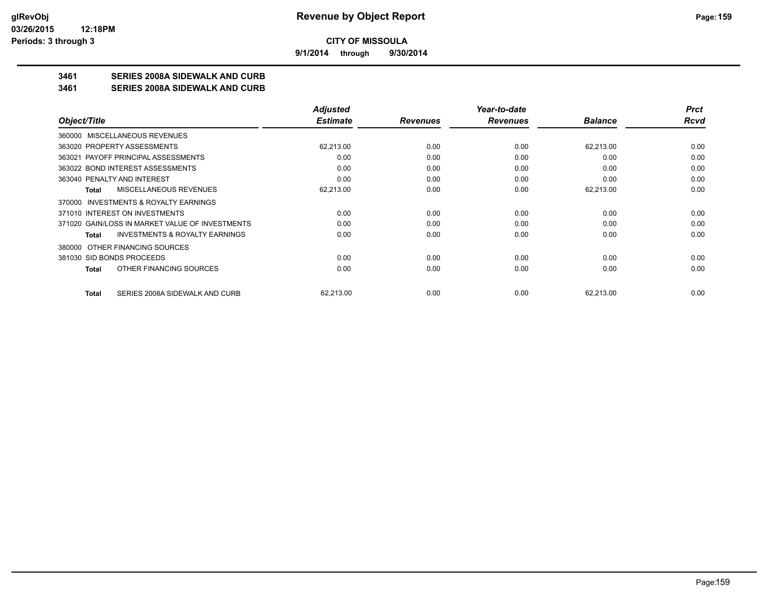**9/1/2014 through 9/30/2014**

## **3461 SERIES 2008A SIDEWALK AND CURB**

#### **3461 SERIES 2008A SIDEWALK AND CURB**

|                                                    | <b>Adjusted</b> |                 | Year-to-date    |                | <b>Prct</b> |
|----------------------------------------------------|-----------------|-----------------|-----------------|----------------|-------------|
| Object/Title                                       | <b>Estimate</b> | <b>Revenues</b> | <b>Revenues</b> | <b>Balance</b> | Rcvd        |
| 360000 MISCELLANEOUS REVENUES                      |                 |                 |                 |                |             |
| 363020 PROPERTY ASSESSMENTS                        | 62,213.00       | 0.00            | 0.00            | 62,213.00      | 0.00        |
| 363021 PAYOFF PRINCIPAL ASSESSMENTS                | 0.00            | 0.00            | 0.00            | 0.00           | 0.00        |
| 363022 BOND INTEREST ASSESSMENTS                   | 0.00            | 0.00            | 0.00            | 0.00           | 0.00        |
| 363040 PENALTY AND INTEREST                        | 0.00            | 0.00            | 0.00            | 0.00           | 0.00        |
| MISCELLANEOUS REVENUES<br>Total                    | 62,213.00       | 0.00            | 0.00            | 62,213.00      | 0.00        |
| 370000 INVESTMENTS & ROYALTY EARNINGS              |                 |                 |                 |                |             |
| 371010 INTEREST ON INVESTMENTS                     | 0.00            | 0.00            | 0.00            | 0.00           | 0.00        |
| 371020 GAIN/LOSS IN MARKET VALUE OF INVESTMENTS    | 0.00            | 0.00            | 0.00            | 0.00           | 0.00        |
| <b>INVESTMENTS &amp; ROYALTY EARNINGS</b><br>Total | 0.00            | 0.00            | 0.00            | 0.00           | 0.00        |
| OTHER FINANCING SOURCES<br>380000                  |                 |                 |                 |                |             |
| 381030 SID BONDS PROCEEDS                          | 0.00            | 0.00            | 0.00            | 0.00           | 0.00        |
| OTHER FINANCING SOURCES<br>Total                   | 0.00            | 0.00            | 0.00            | 0.00           | 0.00        |
| SERIES 2008A SIDEWALK AND CURB<br><b>Total</b>     | 62,213.00       | 0.00            | 0.00            | 62,213.00      | 0.00        |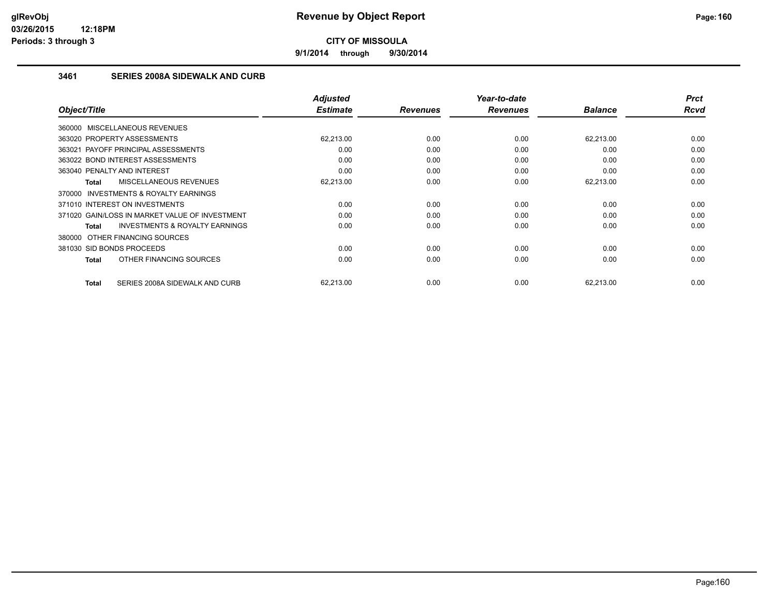**9/1/2014 through 9/30/2014**

## **3461 SERIES 2008A SIDEWALK AND CURB**

| Object/Title                                              | <b>Adjusted</b><br><b>Estimate</b> | <b>Revenues</b> | Year-to-date<br><b>Revenues</b> | <b>Balance</b> | <b>Prct</b><br><b>Rcvd</b> |
|-----------------------------------------------------------|------------------------------------|-----------------|---------------------------------|----------------|----------------------------|
|                                                           |                                    |                 |                                 |                |                            |
| 360000 MISCELLANEOUS REVENUES                             |                                    |                 |                                 |                |                            |
| 363020 PROPERTY ASSESSMENTS                               | 62,213.00                          | 0.00            | 0.00                            | 62,213.00      | 0.00                       |
| 363021 PAYOFF PRINCIPAL ASSESSMENTS                       | 0.00                               | 0.00            | 0.00                            | 0.00           | 0.00                       |
| 363022 BOND INTEREST ASSESSMENTS                          | 0.00                               | 0.00            | 0.00                            | 0.00           | 0.00                       |
| 363040 PENALTY AND INTEREST                               | 0.00                               | 0.00            | 0.00                            | 0.00           | 0.00                       |
| <b>MISCELLANEOUS REVENUES</b><br><b>Total</b>             | 62,213.00                          | 0.00            | 0.00                            | 62,213.00      | 0.00                       |
| INVESTMENTS & ROYALTY EARNINGS<br>370000                  |                                    |                 |                                 |                |                            |
| 371010 INTEREST ON INVESTMENTS                            | 0.00                               | 0.00            | 0.00                            | 0.00           | 0.00                       |
| 371020 GAIN/LOSS IN MARKET VALUE OF INVESTMENT            | 0.00                               | 0.00            | 0.00                            | 0.00           | 0.00                       |
| <b>INVESTMENTS &amp; ROYALTY EARNINGS</b><br><b>Total</b> | 0.00                               | 0.00            | 0.00                            | 0.00           | 0.00                       |
| 380000 OTHER FINANCING SOURCES                            |                                    |                 |                                 |                |                            |
| 381030 SID BONDS PROCEEDS                                 | 0.00                               | 0.00            | 0.00                            | 0.00           | 0.00                       |
| OTHER FINANCING SOURCES<br><b>Total</b>                   | 0.00                               | 0.00            | 0.00                            | 0.00           | 0.00                       |
| SERIES 2008A SIDEWALK AND CURB<br><b>Total</b>            | 62,213.00                          | 0.00            | 0.00                            | 62,213.00      | 0.00                       |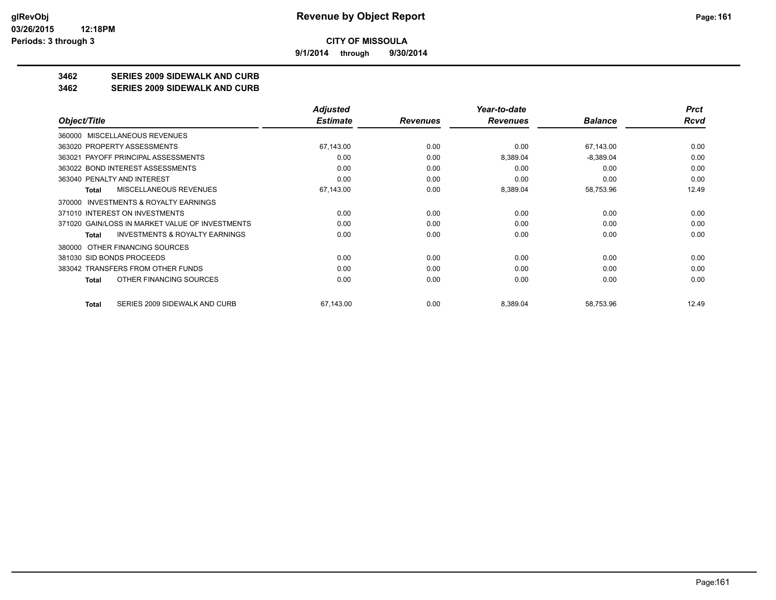**9/1/2014 through 9/30/2014**

## **3462 SERIES 2009 SIDEWALK AND CURB**

#### **3462 SERIES 2009 SIDEWALK AND CURB**

|                                                    | Adjusted        |                 | Year-to-date    |                | <b>Prct</b> |
|----------------------------------------------------|-----------------|-----------------|-----------------|----------------|-------------|
| Object/Title                                       | <b>Estimate</b> | <b>Revenues</b> | <b>Revenues</b> | <b>Balance</b> | Rcvd        |
| <b>MISCELLANEOUS REVENUES</b><br>360000            |                 |                 |                 |                |             |
| 363020 PROPERTY ASSESSMENTS                        | 67,143.00       | 0.00            | 0.00            | 67,143.00      | 0.00        |
| 363021 PAYOFF PRINCIPAL ASSESSMENTS                | 0.00            | 0.00            | 8,389.04        | $-8,389.04$    | 0.00        |
| 363022 BOND INTEREST ASSESSMENTS                   | 0.00            | 0.00            | 0.00            | 0.00           | 0.00        |
| 363040 PENALTY AND INTEREST                        | 0.00            | 0.00            | 0.00            | 0.00           | 0.00        |
| MISCELLANEOUS REVENUES<br><b>Total</b>             | 67,143.00       | 0.00            | 8,389.04        | 58,753.96      | 12.49       |
| INVESTMENTS & ROYALTY EARNINGS<br>370000           |                 |                 |                 |                |             |
| 371010 INTEREST ON INVESTMENTS                     | 0.00            | 0.00            | 0.00            | 0.00           | 0.00        |
| 371020 GAIN/LOSS IN MARKET VALUE OF INVESTMENTS    | 0.00            | 0.00            | 0.00            | 0.00           | 0.00        |
| <b>INVESTMENTS &amp; ROYALTY EARNINGS</b><br>Total | 0.00            | 0.00            | 0.00            | 0.00           | 0.00        |
| 380000 OTHER FINANCING SOURCES                     |                 |                 |                 |                |             |
| 381030 SID BONDS PROCEEDS                          | 0.00            | 0.00            | 0.00            | 0.00           | 0.00        |
| 383042 TRANSFERS FROM OTHER FUNDS                  | 0.00            | 0.00            | 0.00            | 0.00           | 0.00        |
| OTHER FINANCING SOURCES<br><b>Total</b>            | 0.00            | 0.00            | 0.00            | 0.00           | 0.00        |
| SERIES 2009 SIDEWALK AND CURB<br>Total             | 67,143.00       | 0.00            | 8,389.04        | 58,753.96      | 12.49       |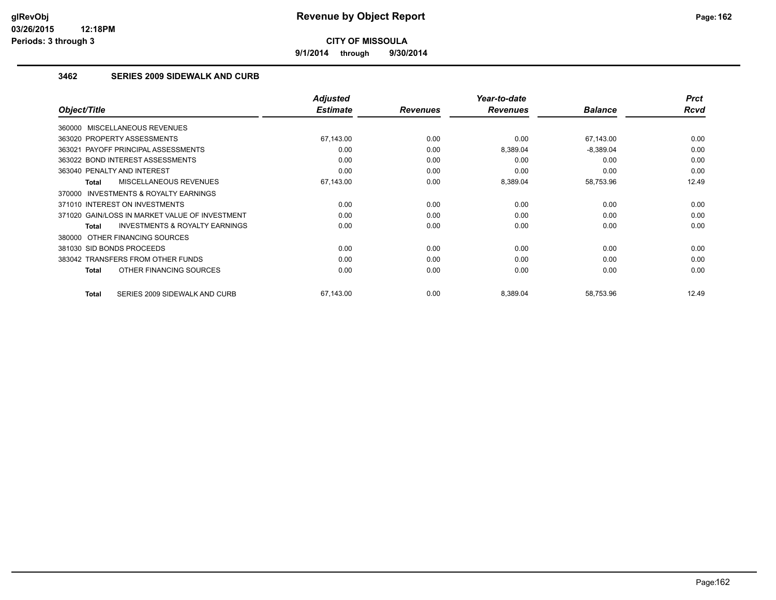**9/1/2014 through 9/30/2014**

### **3462 SERIES 2009 SIDEWALK AND CURB**

|                                                           | <b>Adjusted</b> |                 | Year-to-date    |                | <b>Prct</b> |
|-----------------------------------------------------------|-----------------|-----------------|-----------------|----------------|-------------|
| Object/Title                                              | <b>Estimate</b> | <b>Revenues</b> | <b>Revenues</b> | <b>Balance</b> | <b>Rcvd</b> |
| 360000 MISCELLANEOUS REVENUES                             |                 |                 |                 |                |             |
| 363020 PROPERTY ASSESSMENTS                               | 67,143.00       | 0.00            | 0.00            | 67,143.00      | 0.00        |
| 363021 PAYOFF PRINCIPAL ASSESSMENTS                       | 0.00            | 0.00            | 8,389.04        | $-8,389.04$    | 0.00        |
| 363022 BOND INTEREST ASSESSMENTS                          | 0.00            | 0.00            | 0.00            | 0.00           | 0.00        |
| 363040 PENALTY AND INTEREST                               | 0.00            | 0.00            | 0.00            | 0.00           | 0.00        |
| MISCELLANEOUS REVENUES<br><b>Total</b>                    | 67,143.00       | 0.00            | 8,389.04        | 58,753.96      | 12.49       |
| <b>INVESTMENTS &amp; ROYALTY EARNINGS</b><br>370000       |                 |                 |                 |                |             |
| 371010 INTEREST ON INVESTMENTS                            | 0.00            | 0.00            | 0.00            | 0.00           | 0.00        |
| 371020 GAIN/LOSS IN MARKET VALUE OF INVESTMENT            | 0.00            | 0.00            | 0.00            | 0.00           | 0.00        |
| <b>INVESTMENTS &amp; ROYALTY EARNINGS</b><br><b>Total</b> | 0.00            | 0.00            | 0.00            | 0.00           | 0.00        |
| 380000 OTHER FINANCING SOURCES                            |                 |                 |                 |                |             |
| 381030 SID BONDS PROCEEDS                                 | 0.00            | 0.00            | 0.00            | 0.00           | 0.00        |
| 383042 TRANSFERS FROM OTHER FUNDS                         | 0.00            | 0.00            | 0.00            | 0.00           | 0.00        |
| OTHER FINANCING SOURCES<br><b>Total</b>                   | 0.00            | 0.00            | 0.00            | 0.00           | 0.00        |
| SERIES 2009 SIDEWALK AND CURB<br><b>Total</b>             | 67,143.00       | 0.00            | 8,389.04        | 58,753.96      | 12.49       |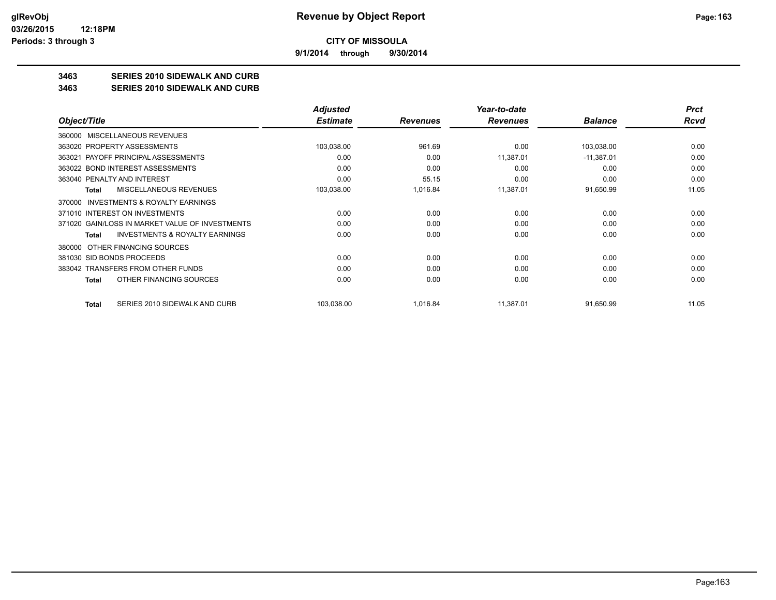**9/1/2014 through 9/30/2014**

# **3463 SERIES 2010 SIDEWALK AND CURB**

#### **3463 SERIES 2010 SIDEWALK AND CURB**

|                                                    | Adjusted        |                 | Year-to-date    |                | <b>Prct</b> |
|----------------------------------------------------|-----------------|-----------------|-----------------|----------------|-------------|
| Object/Title                                       | <b>Estimate</b> | <b>Revenues</b> | <b>Revenues</b> | <b>Balance</b> | Rcvd        |
| <b>MISCELLANEOUS REVENUES</b><br>360000            |                 |                 |                 |                |             |
| 363020 PROPERTY ASSESSMENTS                        | 103,038.00      | 961.69          | 0.00            | 103,038.00     | 0.00        |
| 363021 PAYOFF PRINCIPAL ASSESSMENTS                | 0.00            | 0.00            | 11,387.01       | $-11,387.01$   | 0.00        |
| 363022 BOND INTEREST ASSESSMENTS                   | 0.00            | 0.00            | 0.00            | 0.00           | 0.00        |
| 363040 PENALTY AND INTEREST                        | 0.00            | 55.15           | 0.00            | 0.00           | 0.00        |
| MISCELLANEOUS REVENUES<br><b>Total</b>             | 103,038.00      | 1,016.84        | 11,387.01       | 91,650.99      | 11.05       |
| INVESTMENTS & ROYALTY EARNINGS<br>370000           |                 |                 |                 |                |             |
| 371010 INTEREST ON INVESTMENTS                     | 0.00            | 0.00            | 0.00            | 0.00           | 0.00        |
| 371020 GAIN/LOSS IN MARKET VALUE OF INVESTMENTS    | 0.00            | 0.00            | 0.00            | 0.00           | 0.00        |
| <b>INVESTMENTS &amp; ROYALTY EARNINGS</b><br>Total | 0.00            | 0.00            | 0.00            | 0.00           | 0.00        |
| OTHER FINANCING SOURCES<br>380000                  |                 |                 |                 |                |             |
| 381030 SID BONDS PROCEEDS                          | 0.00            | 0.00            | 0.00            | 0.00           | 0.00        |
| 383042 TRANSFERS FROM OTHER FUNDS                  | 0.00            | 0.00            | 0.00            | 0.00           | 0.00        |
| OTHER FINANCING SOURCES<br><b>Total</b>            | 0.00            | 0.00            | 0.00            | 0.00           | 0.00        |
| SERIES 2010 SIDEWALK AND CURB<br>Total             | 103,038.00      | 1,016.84        | 11,387.01       | 91,650.99      | 11.05       |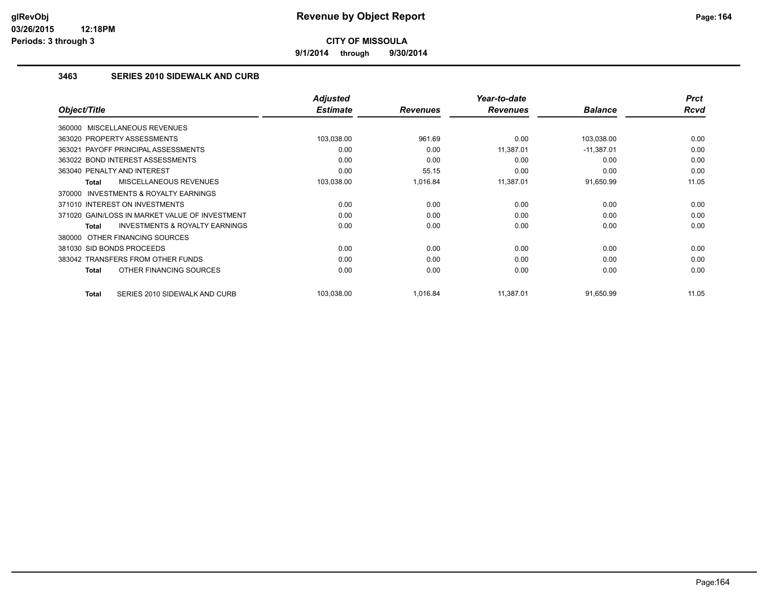**9/1/2014 through 9/30/2014**

### **3463 SERIES 2010 SIDEWALK AND CURB**

|                                                           | <b>Adjusted</b> |                 | Year-to-date    |                | <b>Prct</b> |
|-----------------------------------------------------------|-----------------|-----------------|-----------------|----------------|-------------|
| Object/Title                                              | <b>Estimate</b> | <b>Revenues</b> | <b>Revenues</b> | <b>Balance</b> | <b>Rcvd</b> |
| 360000 MISCELLANEOUS REVENUES                             |                 |                 |                 |                |             |
| 363020 PROPERTY ASSESSMENTS                               | 103,038.00      | 961.69          | 0.00            | 103,038.00     | 0.00        |
| 363021 PAYOFF PRINCIPAL ASSESSMENTS                       | 0.00            | 0.00            | 11,387.01       | $-11,387.01$   | 0.00        |
| 363022 BOND INTEREST ASSESSMENTS                          | 0.00            | 0.00            | 0.00            | 0.00           | 0.00        |
| 363040 PENALTY AND INTEREST                               | 0.00            | 55.15           | 0.00            | 0.00           | 0.00        |
| MISCELLANEOUS REVENUES<br><b>Total</b>                    | 103,038.00      | 1,016.84        | 11,387.01       | 91,650.99      | 11.05       |
| INVESTMENTS & ROYALTY EARNINGS<br>370000                  |                 |                 |                 |                |             |
| 371010 INTEREST ON INVESTMENTS                            | 0.00            | 0.00            | 0.00            | 0.00           | 0.00        |
| 371020 GAIN/LOSS IN MARKET VALUE OF INVESTMENT            | 0.00            | 0.00            | 0.00            | 0.00           | 0.00        |
| <b>INVESTMENTS &amp; ROYALTY EARNINGS</b><br><b>Total</b> | 0.00            | 0.00            | 0.00            | 0.00           | 0.00        |
| 380000 OTHER FINANCING SOURCES                            |                 |                 |                 |                |             |
| 381030 SID BONDS PROCEEDS                                 | 0.00            | 0.00            | 0.00            | 0.00           | 0.00        |
| 383042 TRANSFERS FROM OTHER FUNDS                         | 0.00            | 0.00            | 0.00            | 0.00           | 0.00        |
| OTHER FINANCING SOURCES<br><b>Total</b>                   | 0.00            | 0.00            | 0.00            | 0.00           | 0.00        |
| <b>Total</b><br>SERIES 2010 SIDEWALK AND CURB             | 103,038.00      | 1.016.84        | 11,387.01       | 91,650.99      | 11.05       |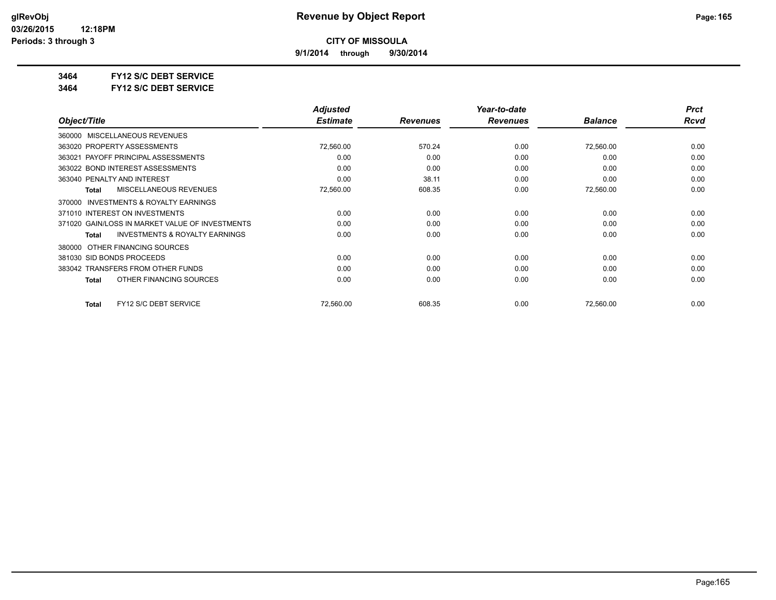**9/1/2014 through 9/30/2014**

## **3464 FY12 S/C DEBT SERVICE**

**3464 FY12 S/C DEBT SERVICE**

|                                                    | <b>Adjusted</b> |                 | Year-to-date    |                | <b>Prct</b> |
|----------------------------------------------------|-----------------|-----------------|-----------------|----------------|-------------|
| Object/Title                                       | <b>Estimate</b> | <b>Revenues</b> | <b>Revenues</b> | <b>Balance</b> | Rcvd        |
| 360000 MISCELLANEOUS REVENUES                      |                 |                 |                 |                |             |
| 363020 PROPERTY ASSESSMENTS                        | 72,560.00       | 570.24          | 0.00            | 72,560.00      | 0.00        |
| 363021 PAYOFF PRINCIPAL ASSESSMENTS                | 0.00            | 0.00            | 0.00            | 0.00           | 0.00        |
| 363022 BOND INTEREST ASSESSMENTS                   | 0.00            | 0.00            | 0.00            | 0.00           | 0.00        |
| 363040 PENALTY AND INTEREST                        | 0.00            | 38.11           | 0.00            | 0.00           | 0.00        |
| MISCELLANEOUS REVENUES<br>Total                    | 72,560.00       | 608.35          | 0.00            | 72,560.00      | 0.00        |
| INVESTMENTS & ROYALTY EARNINGS<br>370000           |                 |                 |                 |                |             |
| 371010 INTEREST ON INVESTMENTS                     | 0.00            | 0.00            | 0.00            | 0.00           | 0.00        |
| 371020 GAIN/LOSS IN MARKET VALUE OF INVESTMENTS    | 0.00            | 0.00            | 0.00            | 0.00           | 0.00        |
| <b>INVESTMENTS &amp; ROYALTY EARNINGS</b><br>Total | 0.00            | 0.00            | 0.00            | 0.00           | 0.00        |
| OTHER FINANCING SOURCES<br>380000                  |                 |                 |                 |                |             |
| 381030 SID BONDS PROCEEDS                          | 0.00            | 0.00            | 0.00            | 0.00           | 0.00        |
| 383042 TRANSFERS FROM OTHER FUNDS                  | 0.00            | 0.00            | 0.00            | 0.00           | 0.00        |
| OTHER FINANCING SOURCES<br>Total                   | 0.00            | 0.00            | 0.00            | 0.00           | 0.00        |
| FY12 S/C DEBT SERVICE<br><b>Total</b>              | 72,560.00       | 608.35          | 0.00            | 72,560.00      | 0.00        |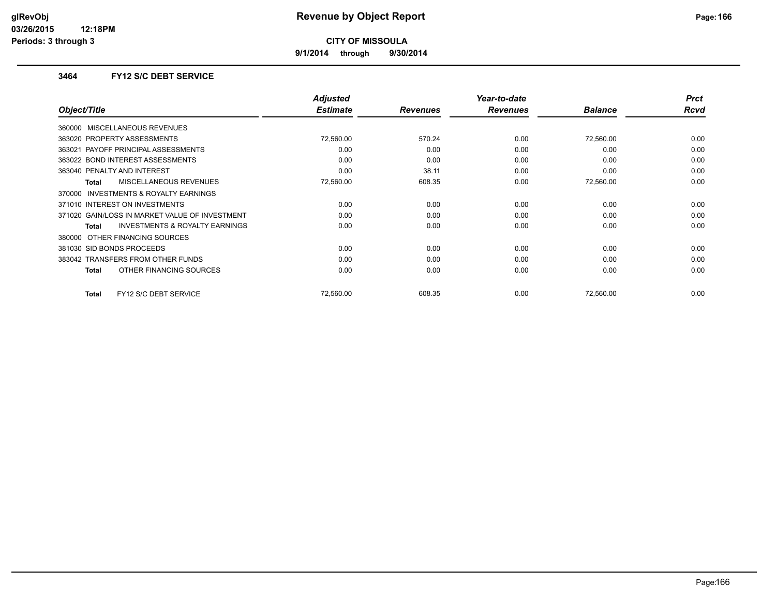**9/1/2014 through 9/30/2014**

### **3464 FY12 S/C DEBT SERVICE**

|                                                           | <b>Adjusted</b> |                 | Year-to-date    |                | <b>Prct</b> |
|-----------------------------------------------------------|-----------------|-----------------|-----------------|----------------|-------------|
| Object/Title                                              | <b>Estimate</b> | <b>Revenues</b> | <b>Revenues</b> | <b>Balance</b> | Rcvd        |
| 360000 MISCELLANEOUS REVENUES                             |                 |                 |                 |                |             |
| 363020 PROPERTY ASSESSMENTS                               | 72,560.00       | 570.24          | 0.00            | 72,560.00      | 0.00        |
| 363021 PAYOFF PRINCIPAL ASSESSMENTS                       | 0.00            | 0.00            | 0.00            | 0.00           | 0.00        |
| 363022 BOND INTEREST ASSESSMENTS                          | 0.00            | 0.00            | 0.00            | 0.00           | 0.00        |
| 363040 PENALTY AND INTEREST                               | 0.00            | 38.11           | 0.00            | 0.00           | 0.00        |
| MISCELLANEOUS REVENUES<br>Total                           | 72,560.00       | 608.35          | 0.00            | 72,560.00      | 0.00        |
| <b>INVESTMENTS &amp; ROYALTY EARNINGS</b><br>370000       |                 |                 |                 |                |             |
| 371010 INTEREST ON INVESTMENTS                            | 0.00            | 0.00            | 0.00            | 0.00           | 0.00        |
| 371020 GAIN/LOSS IN MARKET VALUE OF INVESTMENT            | 0.00            | 0.00            | 0.00            | 0.00           | 0.00        |
| <b>INVESTMENTS &amp; ROYALTY EARNINGS</b><br><b>Total</b> | 0.00            | 0.00            | 0.00            | 0.00           | 0.00        |
| 380000 OTHER FINANCING SOURCES                            |                 |                 |                 |                |             |
| 381030 SID BONDS PROCEEDS                                 | 0.00            | 0.00            | 0.00            | 0.00           | 0.00        |
| 383042 TRANSFERS FROM OTHER FUNDS                         | 0.00            | 0.00            | 0.00            | 0.00           | 0.00        |
| OTHER FINANCING SOURCES<br>Total                          | 0.00            | 0.00            | 0.00            | 0.00           | 0.00        |
|                                                           |                 |                 |                 |                |             |
| FY12 S/C DEBT SERVICE<br>Total                            | 72,560.00       | 608.35          | 0.00            | 72,560.00      | 0.00        |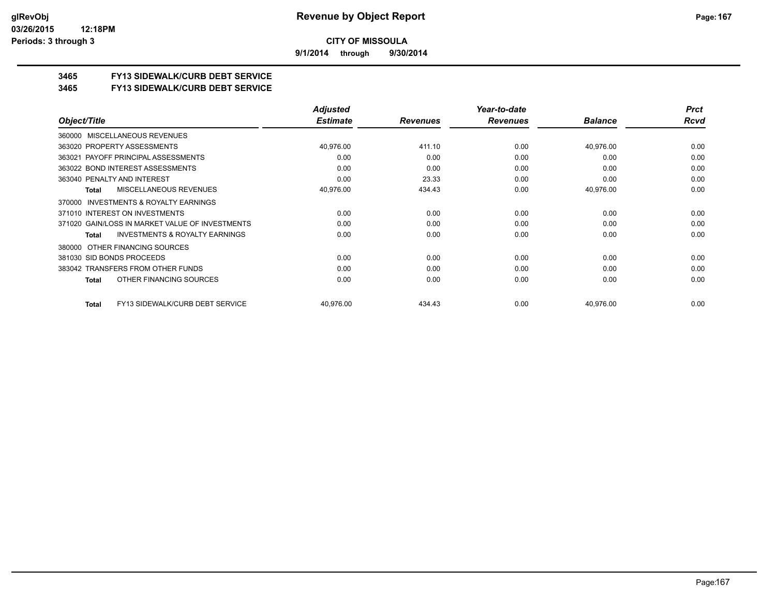**9/1/2014 through 9/30/2014**

## **3465 FY13 SIDEWALK/CURB DEBT SERVICE**

### **3465 FY13 SIDEWALK/CURB DEBT SERVICE**

|                                                     | <b>Adjusted</b> |                 | Year-to-date    |                | <b>Prct</b> |
|-----------------------------------------------------|-----------------|-----------------|-----------------|----------------|-------------|
| Object/Title                                        | <b>Estimate</b> | <b>Revenues</b> | <b>Revenues</b> | <b>Balance</b> | Rcvd        |
| 360000 MISCELLANEOUS REVENUES                       |                 |                 |                 |                |             |
| 363020 PROPERTY ASSESSMENTS                         | 40,976.00       | 411.10          | 0.00            | 40,976.00      | 0.00        |
| 363021 PAYOFF PRINCIPAL ASSESSMENTS                 | 0.00            | 0.00            | 0.00            | 0.00           | 0.00        |
| 363022 BOND INTEREST ASSESSMENTS                    | 0.00            | 0.00            | 0.00            | 0.00           | 0.00        |
| 363040 PENALTY AND INTEREST                         | 0.00            | 23.33           | 0.00            | 0.00           | 0.00        |
| <b>MISCELLANEOUS REVENUES</b><br>Total              | 40,976.00       | 434.43          | 0.00            | 40,976.00      | 0.00        |
| <b>INVESTMENTS &amp; ROYALTY EARNINGS</b><br>370000 |                 |                 |                 |                |             |
| 371010 INTEREST ON INVESTMENTS                      | 0.00            | 0.00            | 0.00            | 0.00           | 0.00        |
| 371020 GAIN/LOSS IN MARKET VALUE OF INVESTMENTS     | 0.00            | 0.00            | 0.00            | 0.00           | 0.00        |
| <b>INVESTMENTS &amp; ROYALTY EARNINGS</b><br>Total  | 0.00            | 0.00            | 0.00            | 0.00           | 0.00        |
| 380000 OTHER FINANCING SOURCES                      |                 |                 |                 |                |             |
| 381030 SID BONDS PROCEEDS                           | 0.00            | 0.00            | 0.00            | 0.00           | 0.00        |
| 383042 TRANSFERS FROM OTHER FUNDS                   | 0.00            | 0.00            | 0.00            | 0.00           | 0.00        |
| OTHER FINANCING SOURCES<br>Total                    | 0.00            | 0.00            | 0.00            | 0.00           | 0.00        |
| FY13 SIDEWALK/CURB DEBT SERVICE<br>Total            | 40,976.00       | 434.43          | 0.00            | 40,976.00      | 0.00        |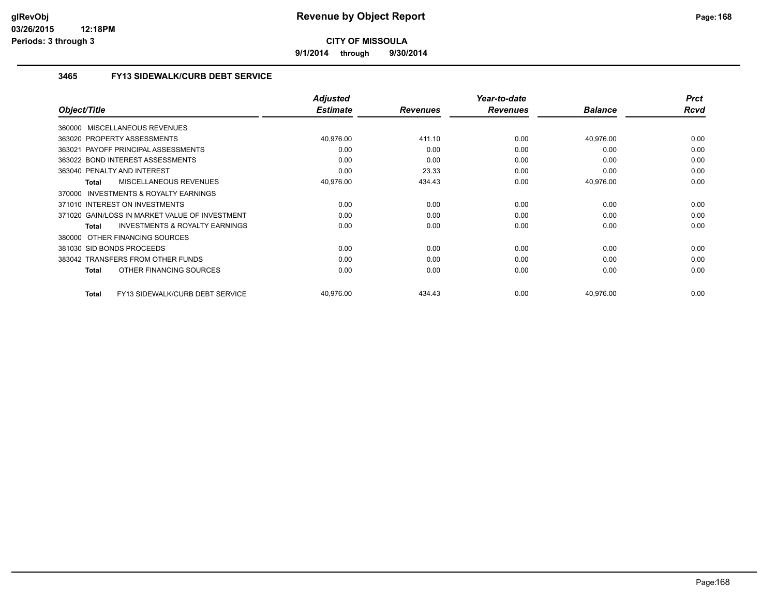**9/1/2014 through 9/30/2014**

## **3465 FY13 SIDEWALK/CURB DEBT SERVICE**

|                                                           | <b>Adjusted</b> |                 | Year-to-date    |                | <b>Prct</b> |
|-----------------------------------------------------------|-----------------|-----------------|-----------------|----------------|-------------|
| Object/Title                                              | <b>Estimate</b> | <b>Revenues</b> | <b>Revenues</b> | <b>Balance</b> | Rcvd        |
| 360000 MISCELLANEOUS REVENUES                             |                 |                 |                 |                |             |
| 363020 PROPERTY ASSESSMENTS                               | 40,976.00       | 411.10          | 0.00            | 40,976.00      | 0.00        |
| PAYOFF PRINCIPAL ASSESSMENTS<br>363021                    | 0.00            | 0.00            | 0.00            | 0.00           | 0.00        |
| 363022 BOND INTEREST ASSESSMENTS                          | 0.00            | 0.00            | 0.00            | 0.00           | 0.00        |
| 363040 PENALTY AND INTEREST                               | 0.00            | 23.33           | 0.00            | 0.00           | 0.00        |
| <b>MISCELLANEOUS REVENUES</b><br><b>Total</b>             | 40,976.00       | 434.43          | 0.00            | 40,976.00      | 0.00        |
| 370000 INVESTMENTS & ROYALTY EARNINGS                     |                 |                 |                 |                |             |
| 371010 INTEREST ON INVESTMENTS                            | 0.00            | 0.00            | 0.00            | 0.00           | 0.00        |
| 371020 GAIN/LOSS IN MARKET VALUE OF INVESTMENT            | 0.00            | 0.00            | 0.00            | 0.00           | 0.00        |
| <b>INVESTMENTS &amp; ROYALTY EARNINGS</b><br><b>Total</b> | 0.00            | 0.00            | 0.00            | 0.00           | 0.00        |
| OTHER FINANCING SOURCES<br>380000                         |                 |                 |                 |                |             |
| 381030 SID BONDS PROCEEDS                                 | 0.00            | 0.00            | 0.00            | 0.00           | 0.00        |
| 383042 TRANSFERS FROM OTHER FUNDS                         | 0.00            | 0.00            | 0.00            | 0.00           | 0.00        |
| OTHER FINANCING SOURCES<br><b>Total</b>                   | 0.00            | 0.00            | 0.00            | 0.00           | 0.00        |
| FY13 SIDEWALK/CURB DEBT SERVICE<br><b>Total</b>           | 40,976.00       | 434.43          | 0.00            | 40,976.00      | 0.00        |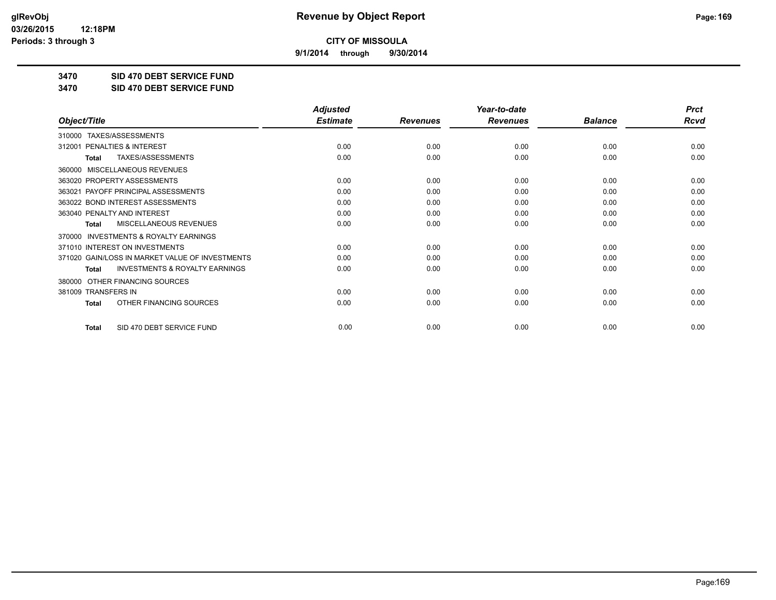**9/1/2014 through 9/30/2014**

**3470 SID 470 DEBT SERVICE FUND**

**3470 SID 470 DEBT SERVICE FUND**

|                                                           | <b>Adjusted</b> |                 | Year-to-date    |                | <b>Prct</b> |
|-----------------------------------------------------------|-----------------|-----------------|-----------------|----------------|-------------|
| Object/Title                                              | <b>Estimate</b> | <b>Revenues</b> | <b>Revenues</b> | <b>Balance</b> | <b>Rcvd</b> |
| TAXES/ASSESSMENTS<br>310000                               |                 |                 |                 |                |             |
| PENALTIES & INTEREST<br>312001                            | 0.00            | 0.00            | 0.00            | 0.00           | 0.00        |
| TAXES/ASSESSMENTS<br><b>Total</b>                         | 0.00            | 0.00            | 0.00            | 0.00           | 0.00        |
| MISCELLANEOUS REVENUES<br>360000                          |                 |                 |                 |                |             |
| 363020 PROPERTY ASSESSMENTS                               | 0.00            | 0.00            | 0.00            | 0.00           | 0.00        |
| 363021 PAYOFF PRINCIPAL ASSESSMENTS                       | 0.00            | 0.00            | 0.00            | 0.00           | 0.00        |
| 363022 BOND INTEREST ASSESSMENTS                          | 0.00            | 0.00            | 0.00            | 0.00           | 0.00        |
| 363040 PENALTY AND INTEREST                               | 0.00            | 0.00            | 0.00            | 0.00           | 0.00        |
| MISCELLANEOUS REVENUES<br><b>Total</b>                    | 0.00            | 0.00            | 0.00            | 0.00           | 0.00        |
| <b>INVESTMENTS &amp; ROYALTY EARNINGS</b><br>370000       |                 |                 |                 |                |             |
| 371010 INTEREST ON INVESTMENTS                            | 0.00            | 0.00            | 0.00            | 0.00           | 0.00        |
| 371020 GAIN/LOSS IN MARKET VALUE OF INVESTMENTS           | 0.00            | 0.00            | 0.00            | 0.00           | 0.00        |
| <b>INVESTMENTS &amp; ROYALTY EARNINGS</b><br><b>Total</b> | 0.00            | 0.00            | 0.00            | 0.00           | 0.00        |
| OTHER FINANCING SOURCES<br>380000                         |                 |                 |                 |                |             |
| 381009 TRANSFERS IN                                       | 0.00            | 0.00            | 0.00            | 0.00           | 0.00        |
| OTHER FINANCING SOURCES<br><b>Total</b>                   | 0.00            | 0.00            | 0.00            | 0.00           | 0.00        |
| SID 470 DEBT SERVICE FUND<br><b>Total</b>                 | 0.00            | 0.00            | 0.00            | 0.00           | 0.00        |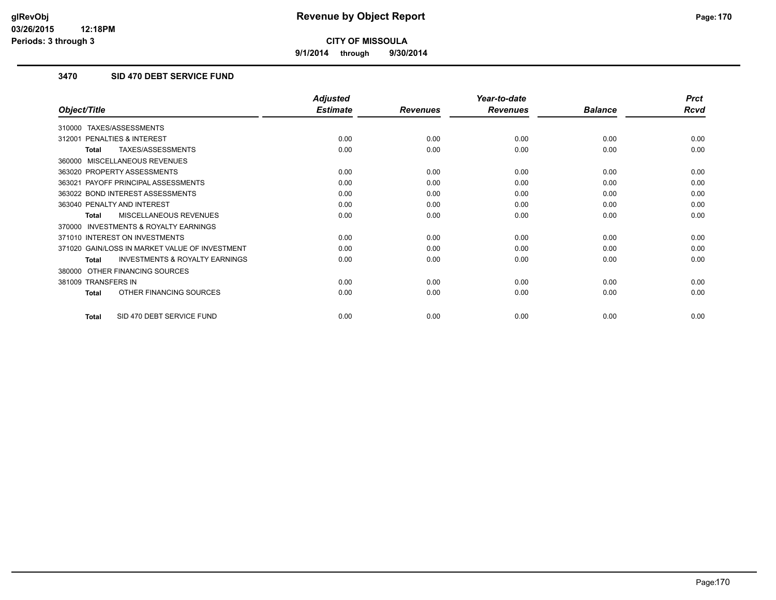**9/1/2014 through 9/30/2014**

## **3470 SID 470 DEBT SERVICE FUND**

|                                                           | <b>Adjusted</b> |                 | Year-to-date    |                | <b>Prct</b> |
|-----------------------------------------------------------|-----------------|-----------------|-----------------|----------------|-------------|
| Object/Title                                              | <b>Estimate</b> | <b>Revenues</b> | <b>Revenues</b> | <b>Balance</b> | <b>Rcvd</b> |
| TAXES/ASSESSMENTS<br>310000                               |                 |                 |                 |                |             |
| PENALTIES & INTEREST<br>312001                            | 0.00            | 0.00            | 0.00            | 0.00           | 0.00        |
| TAXES/ASSESSMENTS<br><b>Total</b>                         | 0.00            | 0.00            | 0.00            | 0.00           | 0.00        |
| MISCELLANEOUS REVENUES<br>360000                          |                 |                 |                 |                |             |
| 363020 PROPERTY ASSESSMENTS                               | 0.00            | 0.00            | 0.00            | 0.00           | 0.00        |
| 363021 PAYOFF PRINCIPAL ASSESSMENTS                       | 0.00            | 0.00            | 0.00            | 0.00           | 0.00        |
| 363022 BOND INTEREST ASSESSMENTS                          | 0.00            | 0.00            | 0.00            | 0.00           | 0.00        |
| 363040 PENALTY AND INTEREST                               | 0.00            | 0.00            | 0.00            | 0.00           | 0.00        |
| <b>MISCELLANEOUS REVENUES</b><br><b>Total</b>             | 0.00            | 0.00            | 0.00            | 0.00           | 0.00        |
| <b>INVESTMENTS &amp; ROYALTY EARNINGS</b><br>370000       |                 |                 |                 |                |             |
| 371010 INTEREST ON INVESTMENTS                            | 0.00            | 0.00            | 0.00            | 0.00           | 0.00        |
| 371020 GAIN/LOSS IN MARKET VALUE OF INVESTMENT            | 0.00            | 0.00            | 0.00            | 0.00           | 0.00        |
| <b>INVESTMENTS &amp; ROYALTY EARNINGS</b><br><b>Total</b> | 0.00            | 0.00            | 0.00            | 0.00           | 0.00        |
| OTHER FINANCING SOURCES<br>380000                         |                 |                 |                 |                |             |
| 381009 TRANSFERS IN                                       | 0.00            | 0.00            | 0.00            | 0.00           | 0.00        |
| OTHER FINANCING SOURCES<br><b>Total</b>                   | 0.00            | 0.00            | 0.00            | 0.00           | 0.00        |
| SID 470 DEBT SERVICE FUND<br><b>Total</b>                 | 0.00            | 0.00            | 0.00            | 0.00           | 0.00        |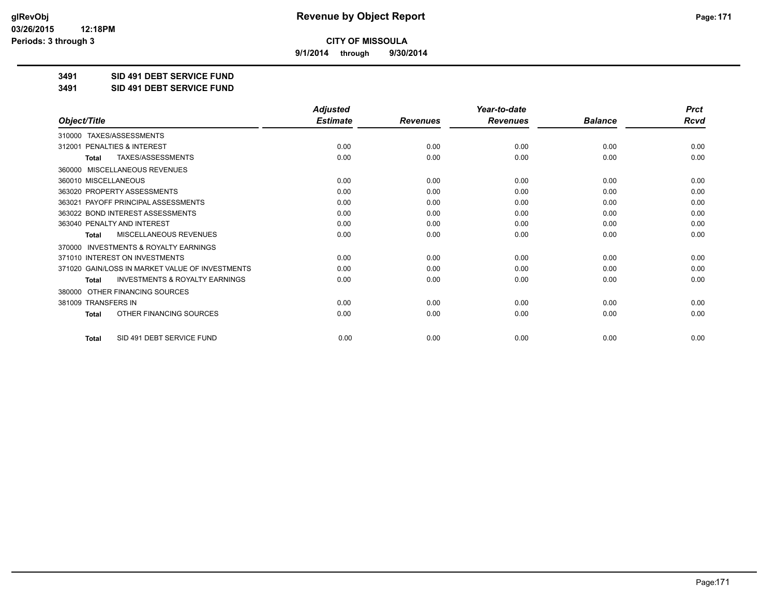**9/1/2014 through 9/30/2014**

**3491 SID 491 DEBT SERVICE FUND**

**3491 SID 491 DEBT SERVICE FUND**

|                                                     | <b>Adjusted</b> |                 | Year-to-date    |                | <b>Prct</b> |
|-----------------------------------------------------|-----------------|-----------------|-----------------|----------------|-------------|
| Object/Title                                        | <b>Estimate</b> | <b>Revenues</b> | <b>Revenues</b> | <b>Balance</b> | <b>Rcvd</b> |
| 310000 TAXES/ASSESSMENTS                            |                 |                 |                 |                |             |
| <b>PENALTIES &amp; INTEREST</b><br>312001           | 0.00            | 0.00            | 0.00            | 0.00           | 0.00        |
| TAXES/ASSESSMENTS<br><b>Total</b>                   | 0.00            | 0.00            | 0.00            | 0.00           | 0.00        |
| MISCELLANEOUS REVENUES<br>360000                    |                 |                 |                 |                |             |
| 360010 MISCELLANEOUS                                | 0.00            | 0.00            | 0.00            | 0.00           | 0.00        |
| 363020 PROPERTY ASSESSMENTS                         | 0.00            | 0.00            | 0.00            | 0.00           | 0.00        |
| 363021 PAYOFF PRINCIPAL ASSESSMENTS                 | 0.00            | 0.00            | 0.00            | 0.00           | 0.00        |
| 363022 BOND INTEREST ASSESSMENTS                    | 0.00            | 0.00            | 0.00            | 0.00           | 0.00        |
| 363040 PENALTY AND INTEREST                         | 0.00            | 0.00            | 0.00            | 0.00           | 0.00        |
| MISCELLANEOUS REVENUES<br><b>Total</b>              | 0.00            | 0.00            | 0.00            | 0.00           | 0.00        |
| <b>INVESTMENTS &amp; ROYALTY EARNINGS</b><br>370000 |                 |                 |                 |                |             |
| 371010 INTEREST ON INVESTMENTS                      | 0.00            | 0.00            | 0.00            | 0.00           | 0.00        |
| 371020 GAIN/LOSS IN MARKET VALUE OF INVESTMENTS     | 0.00            | 0.00            | 0.00            | 0.00           | 0.00        |
| <b>INVESTMENTS &amp; ROYALTY EARNINGS</b><br>Total  | 0.00            | 0.00            | 0.00            | 0.00           | 0.00        |
| OTHER FINANCING SOURCES<br>380000                   |                 |                 |                 |                |             |
| 381009 TRANSFERS IN                                 | 0.00            | 0.00            | 0.00            | 0.00           | 0.00        |
| OTHER FINANCING SOURCES<br>Total                    | 0.00            | 0.00            | 0.00            | 0.00           | 0.00        |
| SID 491 DEBT SERVICE FUND<br><b>Total</b>           | 0.00            | 0.00            | 0.00            | 0.00           | 0.00        |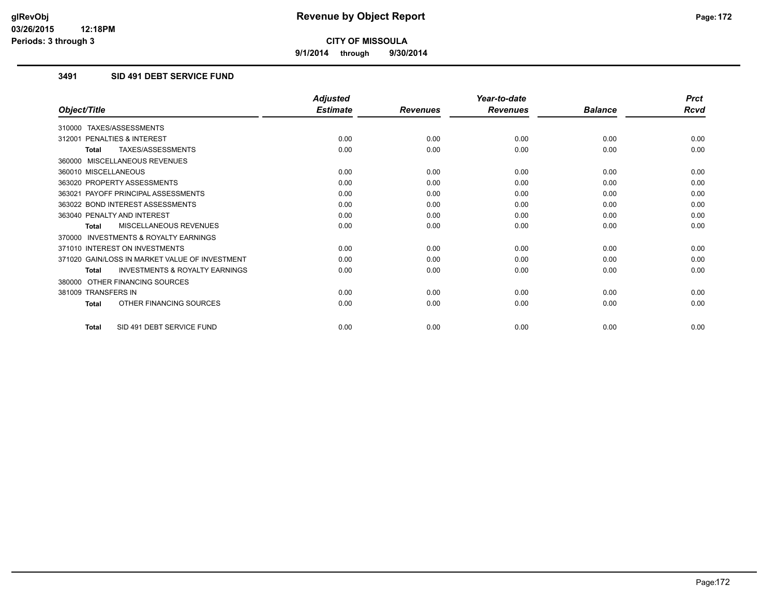**9/1/2014 through 9/30/2014**

## **3491 SID 491 DEBT SERVICE FUND**

|                                                           | <b>Adjusted</b> |                 | Year-to-date    |                | <b>Prct</b> |
|-----------------------------------------------------------|-----------------|-----------------|-----------------|----------------|-------------|
| Object/Title                                              | <b>Estimate</b> | <b>Revenues</b> | <b>Revenues</b> | <b>Balance</b> | <b>Rcvd</b> |
| 310000 TAXES/ASSESSMENTS                                  |                 |                 |                 |                |             |
| PENALTIES & INTEREST<br>312001                            | 0.00            | 0.00            | 0.00            | 0.00           | 0.00        |
| TAXES/ASSESSMENTS<br><b>Total</b>                         | 0.00            | 0.00            | 0.00            | 0.00           | 0.00        |
| 360000 MISCELLANEOUS REVENUES                             |                 |                 |                 |                |             |
| 360010 MISCELLANEOUS                                      | 0.00            | 0.00            | 0.00            | 0.00           | 0.00        |
| 363020 PROPERTY ASSESSMENTS                               | 0.00            | 0.00            | 0.00            | 0.00           | 0.00        |
| 363021 PAYOFF PRINCIPAL ASSESSMENTS                       | 0.00            | 0.00            | 0.00            | 0.00           | 0.00        |
| 363022 BOND INTEREST ASSESSMENTS                          | 0.00            | 0.00            | 0.00            | 0.00           | 0.00        |
| 363040 PENALTY AND INTEREST                               | 0.00            | 0.00            | 0.00            | 0.00           | 0.00        |
| MISCELLANEOUS REVENUES<br><b>Total</b>                    | 0.00            | 0.00            | 0.00            | 0.00           | 0.00        |
| <b>INVESTMENTS &amp; ROYALTY EARNINGS</b><br>370000       |                 |                 |                 |                |             |
| 371010 INTEREST ON INVESTMENTS                            | 0.00            | 0.00            | 0.00            | 0.00           | 0.00        |
| 371020 GAIN/LOSS IN MARKET VALUE OF INVESTMENT            | 0.00            | 0.00            | 0.00            | 0.00           | 0.00        |
| <b>INVESTMENTS &amp; ROYALTY EARNINGS</b><br><b>Total</b> | 0.00            | 0.00            | 0.00            | 0.00           | 0.00        |
| OTHER FINANCING SOURCES<br>380000                         |                 |                 |                 |                |             |
| 381009 TRANSFERS IN                                       | 0.00            | 0.00            | 0.00            | 0.00           | 0.00        |
| OTHER FINANCING SOURCES<br><b>Total</b>                   | 0.00            | 0.00            | 0.00            | 0.00           | 0.00        |
| SID 491 DEBT SERVICE FUND<br><b>Total</b>                 | 0.00            | 0.00            | 0.00            | 0.00           | 0.00        |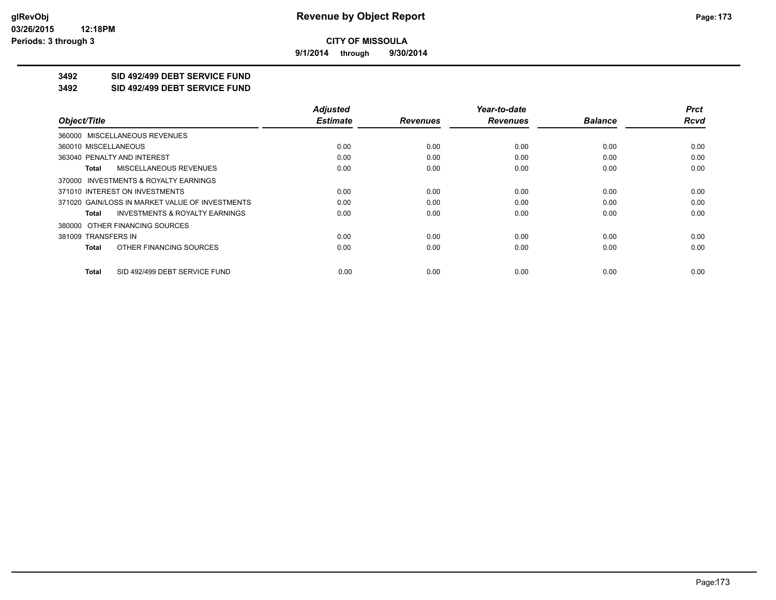**9/1/2014 through 9/30/2014**

## **3492 SID 492/499 DEBT SERVICE FUND**

**3492 SID 492/499 DEBT SERVICE FUND**

|                                                    | <b>Adjusted</b> |                 | Year-to-date    |                | <b>Prct</b> |
|----------------------------------------------------|-----------------|-----------------|-----------------|----------------|-------------|
| Object/Title                                       | <b>Estimate</b> | <b>Revenues</b> | <b>Revenues</b> | <b>Balance</b> | <b>Rcvd</b> |
| 360000 MISCELLANEOUS REVENUES                      |                 |                 |                 |                |             |
| 360010 MISCELLANEOUS                               | 0.00            | 0.00            | 0.00            | 0.00           | 0.00        |
| 363040 PENALTY AND INTEREST                        | 0.00            | 0.00            | 0.00            | 0.00           | 0.00        |
| <b>MISCELLANEOUS REVENUES</b><br>Total             | 0.00            | 0.00            | 0.00            | 0.00           | 0.00        |
| 370000 INVESTMENTS & ROYALTY EARNINGS              |                 |                 |                 |                |             |
| 371010 INTEREST ON INVESTMENTS                     | 0.00            | 0.00            | 0.00            | 0.00           | 0.00        |
| 371020 GAIN/LOSS IN MARKET VALUE OF INVESTMENTS    | 0.00            | 0.00            | 0.00            | 0.00           | 0.00        |
| <b>INVESTMENTS &amp; ROYALTY EARNINGS</b><br>Total | 0.00            | 0.00            | 0.00            | 0.00           | 0.00        |
| 380000 OTHER FINANCING SOURCES                     |                 |                 |                 |                |             |
| 381009 TRANSFERS IN                                | 0.00            | 0.00            | 0.00            | 0.00           | 0.00        |
| OTHER FINANCING SOURCES<br>Total                   | 0.00            | 0.00            | 0.00            | 0.00           | 0.00        |
| SID 492/499 DEBT SERVICE FUND<br>Total             | 0.00            | 0.00            | 0.00            | 0.00           | 0.00        |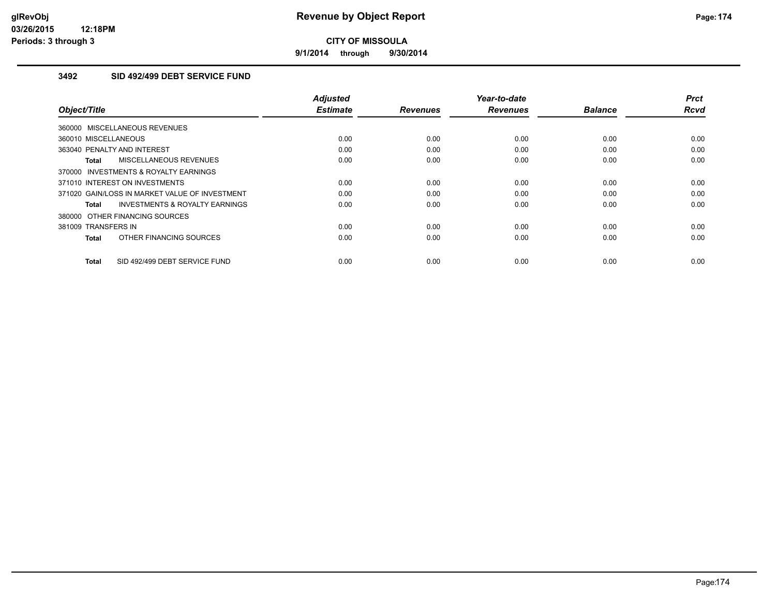**9/1/2014 through 9/30/2014**

### **3492 SID 492/499 DEBT SERVICE FUND**

| Object/Title                                   | <b>Adjusted</b><br><b>Estimate</b> | <b>Revenues</b> | Year-to-date<br><b>Revenues</b> | <b>Balance</b> | <b>Prct</b><br>Rcvd |
|------------------------------------------------|------------------------------------|-----------------|---------------------------------|----------------|---------------------|
| 360000 MISCELLANEOUS REVENUES                  |                                    |                 |                                 |                |                     |
| 360010 MISCELLANEOUS                           | 0.00                               | 0.00            | 0.00                            | 0.00           | 0.00                |
| 363040 PENALTY AND INTEREST                    | 0.00                               | 0.00            | 0.00                            | 0.00           | 0.00                |
| <b>MISCELLANEOUS REVENUES</b><br>Total         | 0.00                               | 0.00            | 0.00                            | 0.00           | 0.00                |
| 370000 INVESTMENTS & ROYALTY EARNINGS          |                                    |                 |                                 |                |                     |
| 371010 INTEREST ON INVESTMENTS                 | 0.00                               | 0.00            | 0.00                            | 0.00           | 0.00                |
| 371020 GAIN/LOSS IN MARKET VALUE OF INVESTMENT | 0.00                               | 0.00            | 0.00                            | 0.00           | 0.00                |
| INVESTMENTS & ROYALTY EARNINGS<br>Total        | 0.00                               | 0.00            | 0.00                            | 0.00           | 0.00                |
| 380000 OTHER FINANCING SOURCES                 |                                    |                 |                                 |                |                     |
| 381009 TRANSFERS IN                            | 0.00                               | 0.00            | 0.00                            | 0.00           | 0.00                |
| OTHER FINANCING SOURCES<br><b>Total</b>        | 0.00                               | 0.00            | 0.00                            | 0.00           | 0.00                |
| SID 492/499 DEBT SERVICE FUND<br><b>Total</b>  | 0.00                               | 0.00            | 0.00                            | 0.00           | 0.00                |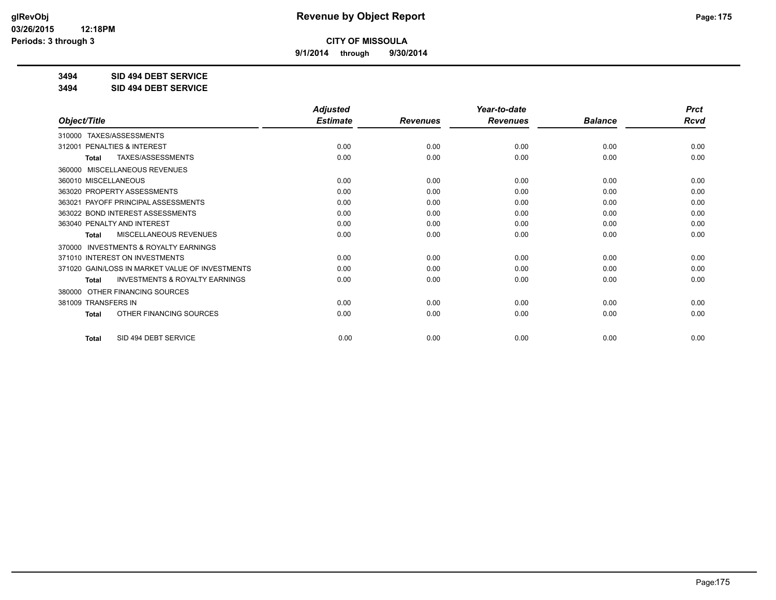**9/1/2014 through 9/30/2014**

**3494 SID 494 DEBT SERVICE**

**3494 SID 494 DEBT SERVICE**

|                                                     | <b>Adjusted</b> |                 | Year-to-date    |                | <b>Prct</b> |
|-----------------------------------------------------|-----------------|-----------------|-----------------|----------------|-------------|
| Object/Title                                        | <b>Estimate</b> | <b>Revenues</b> | <b>Revenues</b> | <b>Balance</b> | <b>Rcvd</b> |
| TAXES/ASSESSMENTS<br>310000                         |                 |                 |                 |                |             |
| PENALTIES & INTEREST<br>312001                      | 0.00            | 0.00            | 0.00            | 0.00           | 0.00        |
| TAXES/ASSESSMENTS<br><b>Total</b>                   | 0.00            | 0.00            | 0.00            | 0.00           | 0.00        |
| MISCELLANEOUS REVENUES<br>360000                    |                 |                 |                 |                |             |
| 360010 MISCELLANEOUS                                | 0.00            | 0.00            | 0.00            | 0.00           | 0.00        |
| 363020 PROPERTY ASSESSMENTS                         | 0.00            | 0.00            | 0.00            | 0.00           | 0.00        |
| 363021 PAYOFF PRINCIPAL ASSESSMENTS                 | 0.00            | 0.00            | 0.00            | 0.00           | 0.00        |
| 363022 BOND INTEREST ASSESSMENTS                    | 0.00            | 0.00            | 0.00            | 0.00           | 0.00        |
| 363040 PENALTY AND INTEREST                         | 0.00            | 0.00            | 0.00            | 0.00           | 0.00        |
| MISCELLANEOUS REVENUES<br>Total                     | 0.00            | 0.00            | 0.00            | 0.00           | 0.00        |
| <b>INVESTMENTS &amp; ROYALTY EARNINGS</b><br>370000 |                 |                 |                 |                |             |
| 371010 INTEREST ON INVESTMENTS                      | 0.00            | 0.00            | 0.00            | 0.00           | 0.00        |
| 371020 GAIN/LOSS IN MARKET VALUE OF INVESTMENTS     | 0.00            | 0.00            | 0.00            | 0.00           | 0.00        |
| <b>INVESTMENTS &amp; ROYALTY EARNINGS</b><br>Total  | 0.00            | 0.00            | 0.00            | 0.00           | 0.00        |
| OTHER FINANCING SOURCES<br>380000                   |                 |                 |                 |                |             |
| 381009 TRANSFERS IN                                 | 0.00            | 0.00            | 0.00            | 0.00           | 0.00        |
| OTHER FINANCING SOURCES<br><b>Total</b>             | 0.00            | 0.00            | 0.00            | 0.00           | 0.00        |
| SID 494 DEBT SERVICE<br><b>Total</b>                | 0.00            | 0.00            | 0.00            | 0.00           | 0.00        |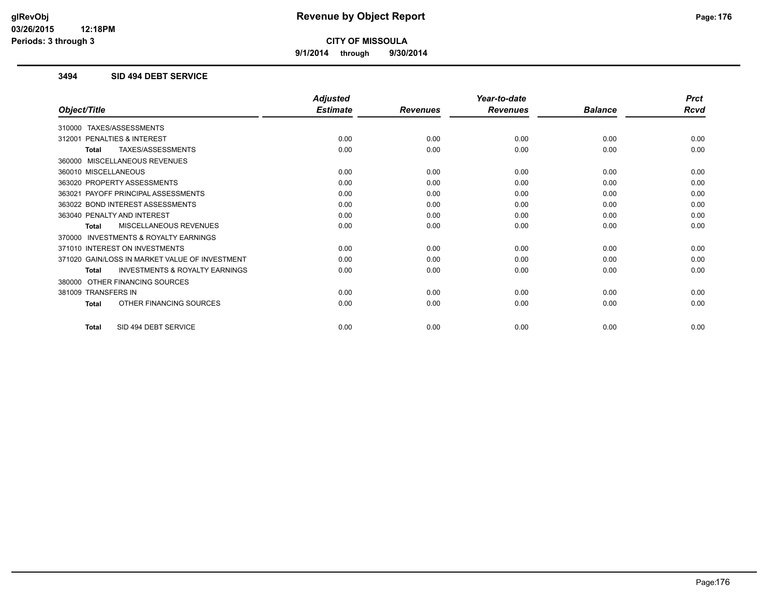**9/1/2014 through 9/30/2014**

### **3494 SID 494 DEBT SERVICE**

|                                                           | <b>Adjusted</b> |                 | Year-to-date    |                | <b>Prct</b> |
|-----------------------------------------------------------|-----------------|-----------------|-----------------|----------------|-------------|
| Object/Title                                              | <b>Estimate</b> | <b>Revenues</b> | <b>Revenues</b> | <b>Balance</b> | <b>Rcvd</b> |
| 310000 TAXES/ASSESSMENTS                                  |                 |                 |                 |                |             |
| PENALTIES & INTEREST<br>312001                            | 0.00            | 0.00            | 0.00            | 0.00           | 0.00        |
| TAXES/ASSESSMENTS<br><b>Total</b>                         | 0.00            | 0.00            | 0.00            | 0.00           | 0.00        |
| 360000 MISCELLANEOUS REVENUES                             |                 |                 |                 |                |             |
| 360010 MISCELLANEOUS                                      | 0.00            | 0.00            | 0.00            | 0.00           | 0.00        |
| 363020 PROPERTY ASSESSMENTS                               | 0.00            | 0.00            | 0.00            | 0.00           | 0.00        |
| 363021 PAYOFF PRINCIPAL ASSESSMENTS                       | 0.00            | 0.00            | 0.00            | 0.00           | 0.00        |
| 363022 BOND INTEREST ASSESSMENTS                          | 0.00            | 0.00            | 0.00            | 0.00           | 0.00        |
| 363040 PENALTY AND INTEREST                               | 0.00            | 0.00            | 0.00            | 0.00           | 0.00        |
| MISCELLANEOUS REVENUES<br><b>Total</b>                    | 0.00            | 0.00            | 0.00            | 0.00           | 0.00        |
| 370000 INVESTMENTS & ROYALTY EARNINGS                     |                 |                 |                 |                |             |
| 371010 INTEREST ON INVESTMENTS                            | 0.00            | 0.00            | 0.00            | 0.00           | 0.00        |
| 371020 GAIN/LOSS IN MARKET VALUE OF INVESTMENT            | 0.00            | 0.00            | 0.00            | 0.00           | 0.00        |
| <b>INVESTMENTS &amp; ROYALTY EARNINGS</b><br><b>Total</b> | 0.00            | 0.00            | 0.00            | 0.00           | 0.00        |
| 380000 OTHER FINANCING SOURCES                            |                 |                 |                 |                |             |
| 381009 TRANSFERS IN                                       | 0.00            | 0.00            | 0.00            | 0.00           | 0.00        |
| OTHER FINANCING SOURCES<br><b>Total</b>                   | 0.00            | 0.00            | 0.00            | 0.00           | 0.00        |
| SID 494 DEBT SERVICE<br><b>Total</b>                      | 0.00            | 0.00            | 0.00            | 0.00           | 0.00        |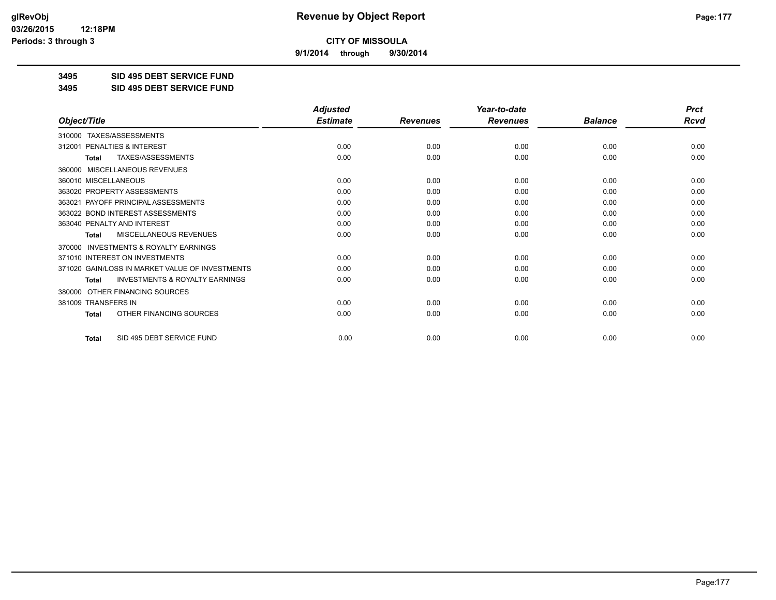**9/1/2014 through 9/30/2014**

**3495 SID 495 DEBT SERVICE FUND**

**3495 SID 495 DEBT SERVICE FUND**

|                                                           | <b>Adjusted</b> |                 | Year-to-date    |                | <b>Prct</b> |
|-----------------------------------------------------------|-----------------|-----------------|-----------------|----------------|-------------|
| Object/Title                                              | <b>Estimate</b> | <b>Revenues</b> | <b>Revenues</b> | <b>Balance</b> | <b>Rcvd</b> |
| TAXES/ASSESSMENTS<br>310000                               |                 |                 |                 |                |             |
| 312001 PENALTIES & INTEREST                               | 0.00            | 0.00            | 0.00            | 0.00           | 0.00        |
| TAXES/ASSESSMENTS<br><b>Total</b>                         | 0.00            | 0.00            | 0.00            | 0.00           | 0.00        |
| MISCELLANEOUS REVENUES<br>360000                          |                 |                 |                 |                |             |
| 360010 MISCELLANEOUS                                      | 0.00            | 0.00            | 0.00            | 0.00           | 0.00        |
| 363020 PROPERTY ASSESSMENTS                               | 0.00            | 0.00            | 0.00            | 0.00           | 0.00        |
| 363021 PAYOFF PRINCIPAL ASSESSMENTS                       | 0.00            | 0.00            | 0.00            | 0.00           | 0.00        |
| 363022 BOND INTEREST ASSESSMENTS                          | 0.00            | 0.00            | 0.00            | 0.00           | 0.00        |
| 363040 PENALTY AND INTEREST                               | 0.00            | 0.00            | 0.00            | 0.00           | 0.00        |
| MISCELLANEOUS REVENUES<br><b>Total</b>                    | 0.00            | 0.00            | 0.00            | 0.00           | 0.00        |
| <b>INVESTMENTS &amp; ROYALTY EARNINGS</b><br>370000       |                 |                 |                 |                |             |
| 371010 INTEREST ON INVESTMENTS                            | 0.00            | 0.00            | 0.00            | 0.00           | 0.00        |
| 371020 GAIN/LOSS IN MARKET VALUE OF INVESTMENTS           | 0.00            | 0.00            | 0.00            | 0.00           | 0.00        |
| <b>INVESTMENTS &amp; ROYALTY EARNINGS</b><br><b>Total</b> | 0.00            | 0.00            | 0.00            | 0.00           | 0.00        |
| OTHER FINANCING SOURCES<br>380000                         |                 |                 |                 |                |             |
| 381009 TRANSFERS IN                                       | 0.00            | 0.00            | 0.00            | 0.00           | 0.00        |
| OTHER FINANCING SOURCES<br><b>Total</b>                   | 0.00            | 0.00            | 0.00            | 0.00           | 0.00        |
| SID 495 DEBT SERVICE FUND<br><b>Total</b>                 | 0.00            | 0.00            | 0.00            | 0.00           | 0.00        |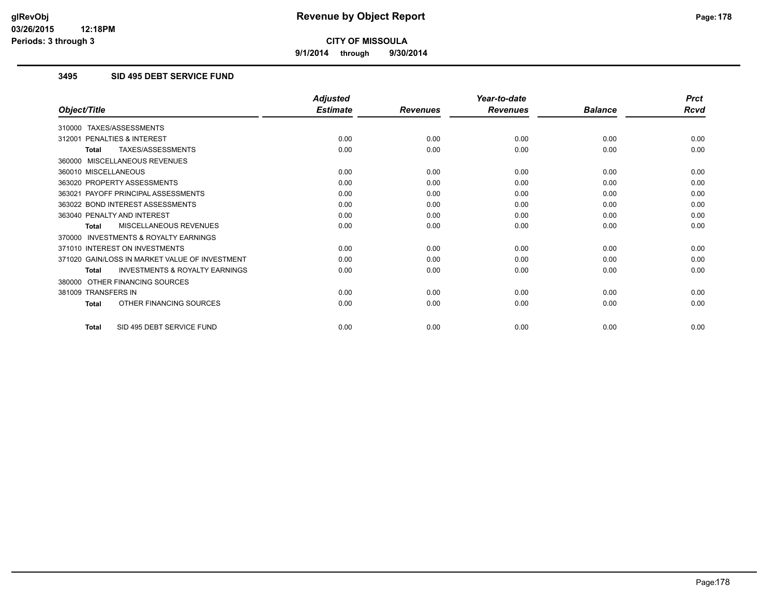**9/1/2014 through 9/30/2014**

### **3495 SID 495 DEBT SERVICE FUND**

|                                                           | <b>Adjusted</b> |                 | Year-to-date    |                | <b>Prct</b> |
|-----------------------------------------------------------|-----------------|-----------------|-----------------|----------------|-------------|
| Object/Title                                              | <b>Estimate</b> | <b>Revenues</b> | <b>Revenues</b> | <b>Balance</b> | <b>Rcvd</b> |
| 310000 TAXES/ASSESSMENTS                                  |                 |                 |                 |                |             |
| PENALTIES & INTEREST<br>312001                            | 0.00            | 0.00            | 0.00            | 0.00           | 0.00        |
| TAXES/ASSESSMENTS<br><b>Total</b>                         | 0.00            | 0.00            | 0.00            | 0.00           | 0.00        |
| 360000 MISCELLANEOUS REVENUES                             |                 |                 |                 |                |             |
| 360010 MISCELLANEOUS                                      | 0.00            | 0.00            | 0.00            | 0.00           | 0.00        |
| 363020 PROPERTY ASSESSMENTS                               | 0.00            | 0.00            | 0.00            | 0.00           | 0.00        |
| 363021 PAYOFF PRINCIPAL ASSESSMENTS                       | 0.00            | 0.00            | 0.00            | 0.00           | 0.00        |
| 363022 BOND INTEREST ASSESSMENTS                          | 0.00            | 0.00            | 0.00            | 0.00           | 0.00        |
| 363040 PENALTY AND INTEREST                               | 0.00            | 0.00            | 0.00            | 0.00           | 0.00        |
| MISCELLANEOUS REVENUES<br><b>Total</b>                    | 0.00            | 0.00            | 0.00            | 0.00           | 0.00        |
| <b>INVESTMENTS &amp; ROYALTY EARNINGS</b><br>370000       |                 |                 |                 |                |             |
| 371010 INTEREST ON INVESTMENTS                            | 0.00            | 0.00            | 0.00            | 0.00           | 0.00        |
| 371020 GAIN/LOSS IN MARKET VALUE OF INVESTMENT            | 0.00            | 0.00            | 0.00            | 0.00           | 0.00        |
| <b>INVESTMENTS &amp; ROYALTY EARNINGS</b><br><b>Total</b> | 0.00            | 0.00            | 0.00            | 0.00           | 0.00        |
| OTHER FINANCING SOURCES<br>380000                         |                 |                 |                 |                |             |
| 381009 TRANSFERS IN                                       | 0.00            | 0.00            | 0.00            | 0.00           | 0.00        |
| OTHER FINANCING SOURCES<br><b>Total</b>                   | 0.00            | 0.00            | 0.00            | 0.00           | 0.00        |
| SID 495 DEBT SERVICE FUND<br><b>Total</b>                 | 0.00            | 0.00            | 0.00            | 0.00           | 0.00        |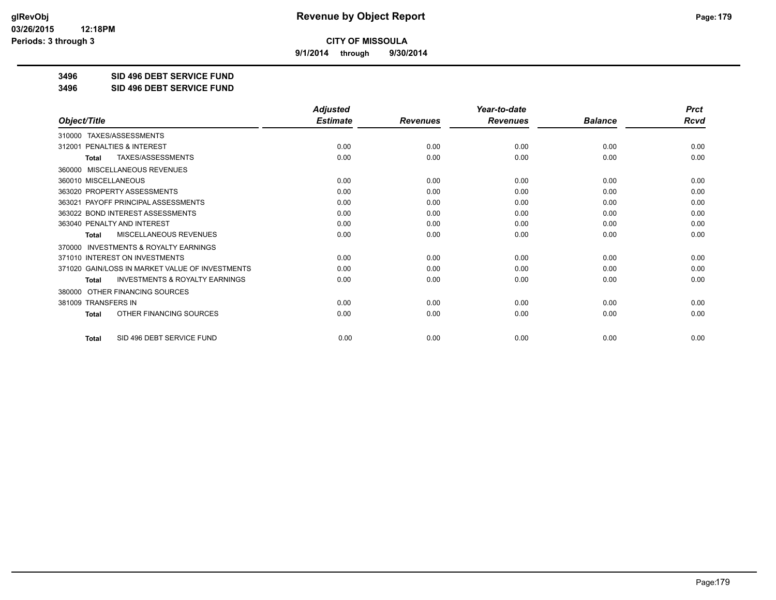**9/1/2014 through 9/30/2014**

**3496 SID 496 DEBT SERVICE FUND**

**3496 SID 496 DEBT SERVICE FUND**

|                                                           | <b>Adjusted</b> |                 | Year-to-date    |                |             |
|-----------------------------------------------------------|-----------------|-----------------|-----------------|----------------|-------------|
| Object/Title                                              | <b>Estimate</b> | <b>Revenues</b> | <b>Revenues</b> | <b>Balance</b> | <b>Rcvd</b> |
| 310000 TAXES/ASSESSMENTS                                  |                 |                 |                 |                |             |
| PENALTIES & INTEREST<br>312001                            | 0.00            | 0.00            | 0.00            | 0.00           | 0.00        |
| <b>TAXES/ASSESSMENTS</b><br><b>Total</b>                  | 0.00            | 0.00            | 0.00            | 0.00           | 0.00        |
| MISCELLANEOUS REVENUES<br>360000                          |                 |                 |                 |                |             |
| 360010 MISCELLANEOUS                                      | 0.00            | 0.00            | 0.00            | 0.00           | 0.00        |
| 363020 PROPERTY ASSESSMENTS                               | 0.00            | 0.00            | 0.00            | 0.00           | 0.00        |
| 363021 PAYOFF PRINCIPAL ASSESSMENTS                       | 0.00            | 0.00            | 0.00            | 0.00           | 0.00        |
| 363022 BOND INTEREST ASSESSMENTS                          | 0.00            | 0.00            | 0.00            | 0.00           | 0.00        |
| 363040 PENALTY AND INTEREST                               | 0.00            | 0.00            | 0.00            | 0.00           | 0.00        |
| MISCELLANEOUS REVENUES<br>Total                           | 0.00            | 0.00            | 0.00            | 0.00           | 0.00        |
| <b>INVESTMENTS &amp; ROYALTY EARNINGS</b><br>370000       |                 |                 |                 |                |             |
| 371010 INTEREST ON INVESTMENTS                            | 0.00            | 0.00            | 0.00            | 0.00           | 0.00        |
| 371020 GAIN/LOSS IN MARKET VALUE OF INVESTMENTS           | 0.00            | 0.00            | 0.00            | 0.00           | 0.00        |
| <b>INVESTMENTS &amp; ROYALTY EARNINGS</b><br><b>Total</b> | 0.00            | 0.00            | 0.00            | 0.00           | 0.00        |
| OTHER FINANCING SOURCES<br>380000                         |                 |                 |                 |                |             |
| 381009 TRANSFERS IN                                       | 0.00            | 0.00            | 0.00            | 0.00           | 0.00        |
| OTHER FINANCING SOURCES<br><b>Total</b>                   | 0.00            | 0.00            | 0.00            | 0.00           | 0.00        |
| SID 496 DEBT SERVICE FUND<br><b>Total</b>                 | 0.00            | 0.00            | 0.00            | 0.00           | 0.00        |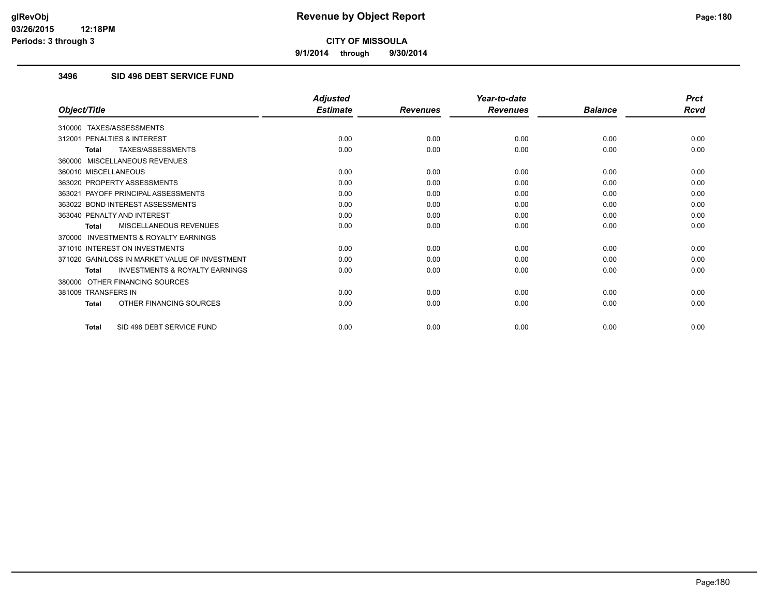**9/1/2014 through 9/30/2014**

### **3496 SID 496 DEBT SERVICE FUND**

|                                                           | <b>Adjusted</b> |                 | Year-to-date    |                | <b>Prct</b> |
|-----------------------------------------------------------|-----------------|-----------------|-----------------|----------------|-------------|
| Object/Title                                              | <b>Estimate</b> | <b>Revenues</b> | <b>Revenues</b> | <b>Balance</b> | <b>Rcvd</b> |
| 310000 TAXES/ASSESSMENTS                                  |                 |                 |                 |                |             |
| PENALTIES & INTEREST<br>312001                            | 0.00            | 0.00            | 0.00            | 0.00           | 0.00        |
| TAXES/ASSESSMENTS<br><b>Total</b>                         | 0.00            | 0.00            | 0.00            | 0.00           | 0.00        |
| 360000 MISCELLANEOUS REVENUES                             |                 |                 |                 |                |             |
| 360010 MISCELLANEOUS                                      | 0.00            | 0.00            | 0.00            | 0.00           | 0.00        |
| 363020 PROPERTY ASSESSMENTS                               | 0.00            | 0.00            | 0.00            | 0.00           | 0.00        |
| 363021 PAYOFF PRINCIPAL ASSESSMENTS                       | 0.00            | 0.00            | 0.00            | 0.00           | 0.00        |
| 363022 BOND INTEREST ASSESSMENTS                          | 0.00            | 0.00            | 0.00            | 0.00           | 0.00        |
| 363040 PENALTY AND INTEREST                               | 0.00            | 0.00            | 0.00            | 0.00           | 0.00        |
| MISCELLANEOUS REVENUES<br><b>Total</b>                    | 0.00            | 0.00            | 0.00            | 0.00           | 0.00        |
| <b>INVESTMENTS &amp; ROYALTY EARNINGS</b><br>370000       |                 |                 |                 |                |             |
| 371010 INTEREST ON INVESTMENTS                            | 0.00            | 0.00            | 0.00            | 0.00           | 0.00        |
| 371020 GAIN/LOSS IN MARKET VALUE OF INVESTMENT            | 0.00            | 0.00            | 0.00            | 0.00           | 0.00        |
| <b>INVESTMENTS &amp; ROYALTY EARNINGS</b><br><b>Total</b> | 0.00            | 0.00            | 0.00            | 0.00           | 0.00        |
| OTHER FINANCING SOURCES<br>380000                         |                 |                 |                 |                |             |
| 381009 TRANSFERS IN                                       | 0.00            | 0.00            | 0.00            | 0.00           | 0.00        |
| OTHER FINANCING SOURCES<br><b>Total</b>                   | 0.00            | 0.00            | 0.00            | 0.00           | 0.00        |
| SID 496 DEBT SERVICE FUND<br><b>Total</b>                 | 0.00            | 0.00            | 0.00            | 0.00           | 0.00        |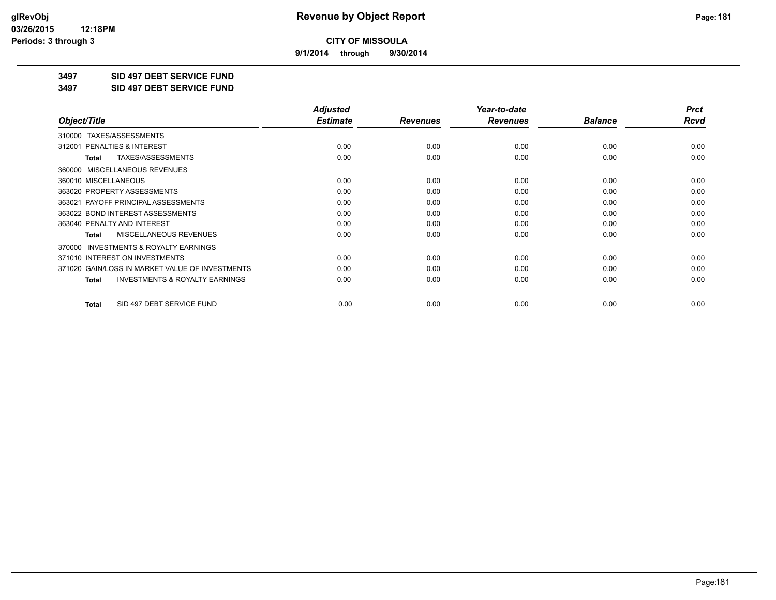**9/1/2014 through 9/30/2014**

**3497 SID 497 DEBT SERVICE FUND**

**3497 SID 497 DEBT SERVICE FUND**

|                                                           | <b>Adjusted</b> |                 | Year-to-date    |                | <b>Prct</b> |
|-----------------------------------------------------------|-----------------|-----------------|-----------------|----------------|-------------|
| Object/Title                                              | <b>Estimate</b> | <b>Revenues</b> | <b>Revenues</b> | <b>Balance</b> | Rcvd        |
| 310000 TAXES/ASSESSMENTS                                  |                 |                 |                 |                |             |
| <b>PENALTIES &amp; INTEREST</b><br>312001                 | 0.00            | 0.00            | 0.00            | 0.00           | 0.00        |
| TAXES/ASSESSMENTS<br>Total                                | 0.00            | 0.00            | 0.00            | 0.00           | 0.00        |
| 360000 MISCELLANEOUS REVENUES                             |                 |                 |                 |                |             |
| 360010 MISCELLANEOUS                                      | 0.00            | 0.00            | 0.00            | 0.00           | 0.00        |
| 363020 PROPERTY ASSESSMENTS                               | 0.00            | 0.00            | 0.00            | 0.00           | 0.00        |
| 363021 PAYOFF PRINCIPAL ASSESSMENTS                       | 0.00            | 0.00            | 0.00            | 0.00           | 0.00        |
| 363022 BOND INTEREST ASSESSMENTS                          | 0.00            | 0.00            | 0.00            | 0.00           | 0.00        |
| 363040 PENALTY AND INTEREST                               | 0.00            | 0.00            | 0.00            | 0.00           | 0.00        |
| <b>MISCELLANEOUS REVENUES</b><br>Total                    | 0.00            | 0.00            | 0.00            | 0.00           | 0.00        |
| <b>INVESTMENTS &amp; ROYALTY EARNINGS</b><br>370000       |                 |                 |                 |                |             |
| 371010 INTEREST ON INVESTMENTS                            | 0.00            | 0.00            | 0.00            | 0.00           | 0.00        |
| 371020 GAIN/LOSS IN MARKET VALUE OF INVESTMENTS           | 0.00            | 0.00            | 0.00            | 0.00           | 0.00        |
| <b>INVESTMENTS &amp; ROYALTY EARNINGS</b><br><b>Total</b> | 0.00            | 0.00            | 0.00            | 0.00           | 0.00        |
|                                                           |                 |                 |                 |                |             |
| SID 497 DEBT SERVICE FUND<br><b>Total</b>                 | 0.00            | 0.00            | 0.00            | 0.00           | 0.00        |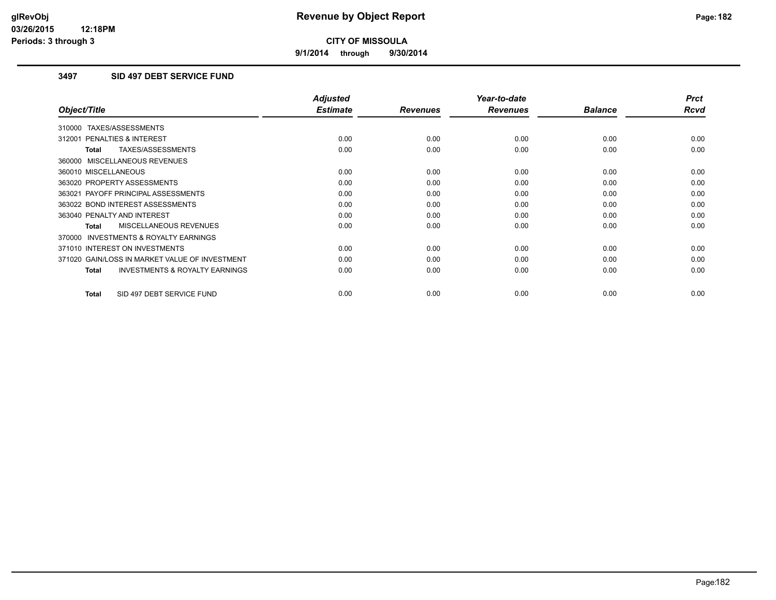**9/1/2014 through 9/30/2014**

### **3497 SID 497 DEBT SERVICE FUND**

|                                                           | <b>Adjusted</b> |                 | Year-to-date    |                | <b>Prct</b> |
|-----------------------------------------------------------|-----------------|-----------------|-----------------|----------------|-------------|
| Object/Title                                              | <b>Estimate</b> | <b>Revenues</b> | <b>Revenues</b> | <b>Balance</b> | <b>Rcvd</b> |
| 310000 TAXES/ASSESSMENTS                                  |                 |                 |                 |                |             |
| 312001 PENALTIES & INTEREST                               | 0.00            | 0.00            | 0.00            | 0.00           | 0.00        |
| TAXES/ASSESSMENTS<br><b>Total</b>                         | 0.00            | 0.00            | 0.00            | 0.00           | 0.00        |
| 360000 MISCELLANEOUS REVENUES                             |                 |                 |                 |                |             |
| 360010 MISCELLANEOUS                                      | 0.00            | 0.00            | 0.00            | 0.00           | 0.00        |
| 363020 PROPERTY ASSESSMENTS                               | 0.00            | 0.00            | 0.00            | 0.00           | 0.00        |
| 363021 PAYOFF PRINCIPAL ASSESSMENTS                       | 0.00            | 0.00            | 0.00            | 0.00           | 0.00        |
| 363022 BOND INTEREST ASSESSMENTS                          | 0.00            | 0.00            | 0.00            | 0.00           | 0.00        |
| 363040 PENALTY AND INTEREST                               | 0.00            | 0.00            | 0.00            | 0.00           | 0.00        |
| <b>MISCELLANEOUS REVENUES</b><br><b>Total</b>             | 0.00            | 0.00            | 0.00            | 0.00           | 0.00        |
| <b>INVESTMENTS &amp; ROYALTY EARNINGS</b><br>370000       |                 |                 |                 |                |             |
| 371010 INTEREST ON INVESTMENTS                            | 0.00            | 0.00            | 0.00            | 0.00           | 0.00        |
| 371020 GAIN/LOSS IN MARKET VALUE OF INVESTMENT            | 0.00            | 0.00            | 0.00            | 0.00           | 0.00        |
| <b>INVESTMENTS &amp; ROYALTY EARNINGS</b><br><b>Total</b> | 0.00            | 0.00            | 0.00            | 0.00           | 0.00        |
| SID 497 DEBT SERVICE FUND<br><b>Total</b>                 | 0.00            | 0.00            | 0.00            | 0.00           | 0.00        |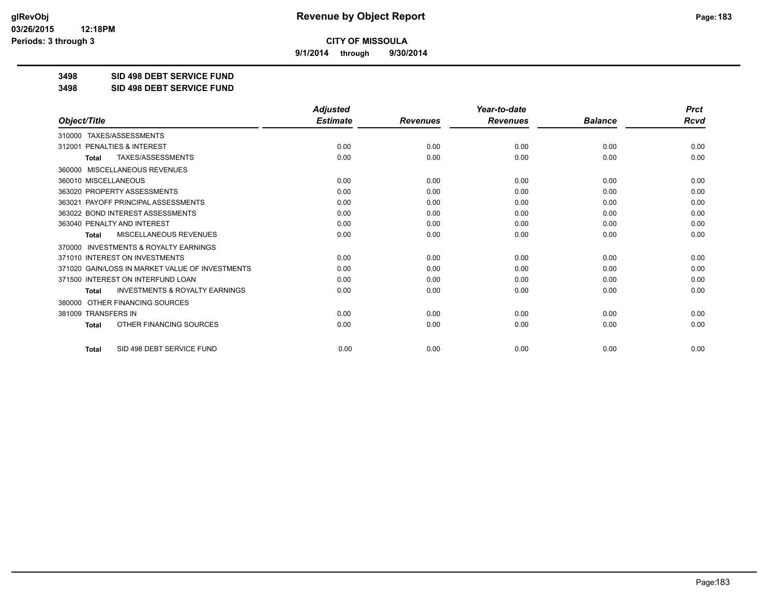**9/1/2014 through 9/30/2014**

**3498 SID 498 DEBT SERVICE FUND**

**3498 SID 498 DEBT SERVICE FUND**

|                                                           | <b>Adjusted</b> |                 | Year-to-date    |                | <b>Prct</b> |
|-----------------------------------------------------------|-----------------|-----------------|-----------------|----------------|-------------|
| Object/Title                                              | <b>Estimate</b> | <b>Revenues</b> | <b>Revenues</b> | <b>Balance</b> | <b>Rcvd</b> |
| TAXES/ASSESSMENTS<br>310000                               |                 |                 |                 |                |             |
| PENALTIES & INTEREST<br>312001                            | 0.00            | 0.00            | 0.00            | 0.00           | 0.00        |
| <b>TAXES/ASSESSMENTS</b><br><b>Total</b>                  | 0.00            | 0.00            | 0.00            | 0.00           | 0.00        |
| 360000 MISCELLANEOUS REVENUES                             |                 |                 |                 |                |             |
| 360010 MISCELLANEOUS                                      | 0.00            | 0.00            | 0.00            | 0.00           | 0.00        |
| 363020 PROPERTY ASSESSMENTS                               | 0.00            | 0.00            | 0.00            | 0.00           | 0.00        |
| PAYOFF PRINCIPAL ASSESSMENTS<br>363021                    | 0.00            | 0.00            | 0.00            | 0.00           | 0.00        |
| 363022 BOND INTEREST ASSESSMENTS                          | 0.00            | 0.00            | 0.00            | 0.00           | 0.00        |
| 363040 PENALTY AND INTEREST                               | 0.00            | 0.00            | 0.00            | 0.00           | 0.00        |
| MISCELLANEOUS REVENUES<br><b>Total</b>                    | 0.00            | 0.00            | 0.00            | 0.00           | 0.00        |
| 370000 INVESTMENTS & ROYALTY EARNINGS                     |                 |                 |                 |                |             |
| 371010 INTEREST ON INVESTMENTS                            | 0.00            | 0.00            | 0.00            | 0.00           | 0.00        |
| 371020 GAIN/LOSS IN MARKET VALUE OF INVESTMENTS           | 0.00            | 0.00            | 0.00            | 0.00           | 0.00        |
| 371500 INTEREST ON INTERFUND LOAN                         | 0.00            | 0.00            | 0.00            | 0.00           | 0.00        |
| <b>INVESTMENTS &amp; ROYALTY EARNINGS</b><br><b>Total</b> | 0.00            | 0.00            | 0.00            | 0.00           | 0.00        |
| OTHER FINANCING SOURCES<br>380000                         |                 |                 |                 |                |             |
| 381009 TRANSFERS IN                                       | 0.00            | 0.00            | 0.00            | 0.00           | 0.00        |
| OTHER FINANCING SOURCES<br><b>Total</b>                   | 0.00            | 0.00            | 0.00            | 0.00           | 0.00        |
| SID 498 DEBT SERVICE FUND<br>Total                        | 0.00            | 0.00            | 0.00            | 0.00           | 0.00        |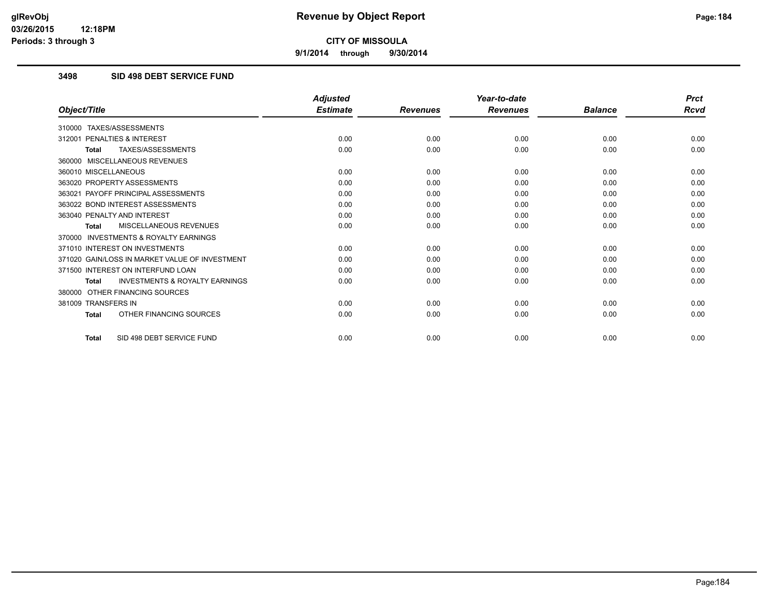**9/1/2014 through 9/30/2014**

### **3498 SID 498 DEBT SERVICE FUND**

|                                                           | <b>Adjusted</b> |                 | Year-to-date    |                | <b>Prct</b> |
|-----------------------------------------------------------|-----------------|-----------------|-----------------|----------------|-------------|
| Object/Title                                              | <b>Estimate</b> | <b>Revenues</b> | <b>Revenues</b> | <b>Balance</b> | Rcvd        |
| TAXES/ASSESSMENTS<br>310000                               |                 |                 |                 |                |             |
| 312001 PENALTIES & INTEREST                               | 0.00            | 0.00            | 0.00            | 0.00           | 0.00        |
| <b>TAXES/ASSESSMENTS</b><br><b>Total</b>                  | 0.00            | 0.00            | 0.00            | 0.00           | 0.00        |
| 360000 MISCELLANEOUS REVENUES                             |                 |                 |                 |                |             |
| 360010 MISCELLANEOUS                                      | 0.00            | 0.00            | 0.00            | 0.00           | 0.00        |
| 363020 PROPERTY ASSESSMENTS                               | 0.00            | 0.00            | 0.00            | 0.00           | 0.00        |
| 363021 PAYOFF PRINCIPAL ASSESSMENTS                       | 0.00            | 0.00            | 0.00            | 0.00           | 0.00        |
| 363022 BOND INTEREST ASSESSMENTS                          | 0.00            | 0.00            | 0.00            | 0.00           | 0.00        |
| 363040 PENALTY AND INTEREST                               | 0.00            | 0.00            | 0.00            | 0.00           | 0.00        |
| <b>MISCELLANEOUS REVENUES</b><br><b>Total</b>             | 0.00            | 0.00            | 0.00            | 0.00           | 0.00        |
| <b>INVESTMENTS &amp; ROYALTY EARNINGS</b><br>370000       |                 |                 |                 |                |             |
| 371010 INTEREST ON INVESTMENTS                            | 0.00            | 0.00            | 0.00            | 0.00           | 0.00        |
| 371020 GAIN/LOSS IN MARKET VALUE OF INVESTMENT            | 0.00            | 0.00            | 0.00            | 0.00           | 0.00        |
| 371500 INTEREST ON INTERFUND LOAN                         | 0.00            | 0.00            | 0.00            | 0.00           | 0.00        |
| <b>INVESTMENTS &amp; ROYALTY EARNINGS</b><br><b>Total</b> | 0.00            | 0.00            | 0.00            | 0.00           | 0.00        |
| OTHER FINANCING SOURCES<br>380000                         |                 |                 |                 |                |             |
| 381009 TRANSFERS IN                                       | 0.00            | 0.00            | 0.00            | 0.00           | 0.00        |
| OTHER FINANCING SOURCES<br><b>Total</b>                   | 0.00            | 0.00            | 0.00            | 0.00           | 0.00        |
| SID 498 DEBT SERVICE FUND<br><b>Total</b>                 | 0.00            | 0.00            | 0.00            | 0.00           | 0.00        |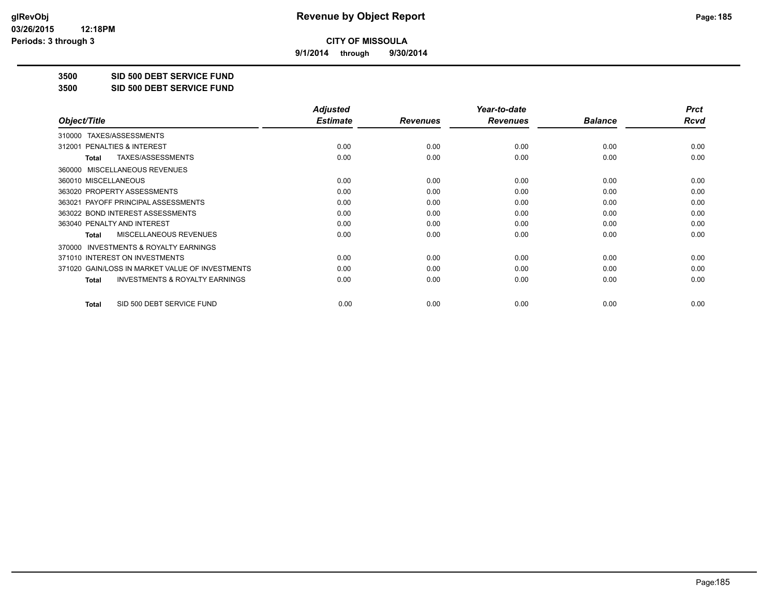**9/1/2014 through 9/30/2014**

**3500 SID 500 DEBT SERVICE FUND**

**3500 SID 500 DEBT SERVICE FUND**

|                                                           | <b>Adjusted</b> |                 | Year-to-date    |                | <b>Prct</b> |
|-----------------------------------------------------------|-----------------|-----------------|-----------------|----------------|-------------|
| Object/Title                                              | <b>Estimate</b> | <b>Revenues</b> | <b>Revenues</b> | <b>Balance</b> | Rcvd        |
| TAXES/ASSESSMENTS<br>310000                               |                 |                 |                 |                |             |
| 312001 PENALTIES & INTEREST                               | 0.00            | 0.00            | 0.00            | 0.00           | 0.00        |
| TAXES/ASSESSMENTS<br><b>Total</b>                         | 0.00            | 0.00            | 0.00            | 0.00           | 0.00        |
| MISCELLANEOUS REVENUES<br>360000                          |                 |                 |                 |                |             |
| 360010 MISCELLANEOUS                                      | 0.00            | 0.00            | 0.00            | 0.00           | 0.00        |
| 363020 PROPERTY ASSESSMENTS                               | 0.00            | 0.00            | 0.00            | 0.00           | 0.00        |
| 363021 PAYOFF PRINCIPAL ASSESSMENTS                       | 0.00            | 0.00            | 0.00            | 0.00           | 0.00        |
| 363022 BOND INTEREST ASSESSMENTS                          | 0.00            | 0.00            | 0.00            | 0.00           | 0.00        |
| 363040 PENALTY AND INTEREST                               | 0.00            | 0.00            | 0.00            | 0.00           | 0.00        |
| MISCELLANEOUS REVENUES<br><b>Total</b>                    | 0.00            | 0.00            | 0.00            | 0.00           | 0.00        |
| <b>INVESTMENTS &amp; ROYALTY EARNINGS</b><br>370000       |                 |                 |                 |                |             |
| 371010 INTEREST ON INVESTMENTS                            | 0.00            | 0.00            | 0.00            | 0.00           | 0.00        |
| 371020 GAIN/LOSS IN MARKET VALUE OF INVESTMENTS           | 0.00            | 0.00            | 0.00            | 0.00           | 0.00        |
| <b>INVESTMENTS &amp; ROYALTY EARNINGS</b><br><b>Total</b> | 0.00            | 0.00            | 0.00            | 0.00           | 0.00        |
| SID 500 DEBT SERVICE FUND<br><b>Total</b>                 | 0.00            | 0.00            | 0.00            | 0.00           | 0.00        |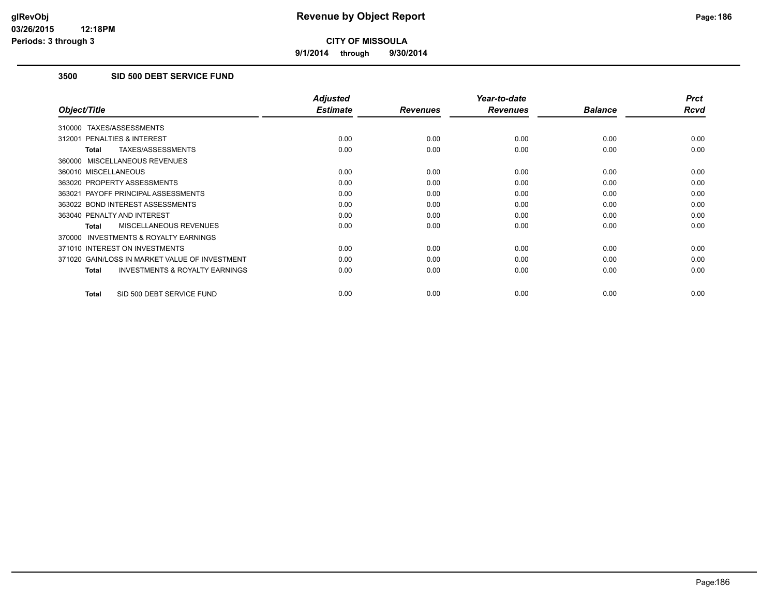**9/1/2014 through 9/30/2014**

# **3500 SID 500 DEBT SERVICE FUND**

|                                                           | <b>Adjusted</b> |                 | Year-to-date    |                | <b>Prct</b> |
|-----------------------------------------------------------|-----------------|-----------------|-----------------|----------------|-------------|
| Object/Title                                              | <b>Estimate</b> | <b>Revenues</b> | <b>Revenues</b> | <b>Balance</b> | <b>Rcvd</b> |
| 310000 TAXES/ASSESSMENTS                                  |                 |                 |                 |                |             |
| 312001 PENALTIES & INTEREST                               | 0.00            | 0.00            | 0.00            | 0.00           | 0.00        |
| TAXES/ASSESSMENTS<br><b>Total</b>                         | 0.00            | 0.00            | 0.00            | 0.00           | 0.00        |
| 360000 MISCELLANEOUS REVENUES                             |                 |                 |                 |                |             |
| 360010 MISCELLANEOUS                                      | 0.00            | 0.00            | 0.00            | 0.00           | 0.00        |
| 363020 PROPERTY ASSESSMENTS                               | 0.00            | 0.00            | 0.00            | 0.00           | 0.00        |
| 363021 PAYOFF PRINCIPAL ASSESSMENTS                       | 0.00            | 0.00            | 0.00            | 0.00           | 0.00        |
| 363022 BOND INTEREST ASSESSMENTS                          | 0.00            | 0.00            | 0.00            | 0.00           | 0.00        |
| 363040 PENALTY AND INTEREST                               | 0.00            | 0.00            | 0.00            | 0.00           | 0.00        |
| MISCELLANEOUS REVENUES<br>Total                           | 0.00            | 0.00            | 0.00            | 0.00           | 0.00        |
| <b>INVESTMENTS &amp; ROYALTY EARNINGS</b><br>370000       |                 |                 |                 |                |             |
| 371010 INTEREST ON INVESTMENTS                            | 0.00            | 0.00            | 0.00            | 0.00           | 0.00        |
| 371020 GAIN/LOSS IN MARKET VALUE OF INVESTMENT            | 0.00            | 0.00            | 0.00            | 0.00           | 0.00        |
| <b>INVESTMENTS &amp; ROYALTY EARNINGS</b><br><b>Total</b> | 0.00            | 0.00            | 0.00            | 0.00           | 0.00        |
| SID 500 DEBT SERVICE FUND<br><b>Total</b>                 | 0.00            | 0.00            | 0.00            | 0.00           | 0.00        |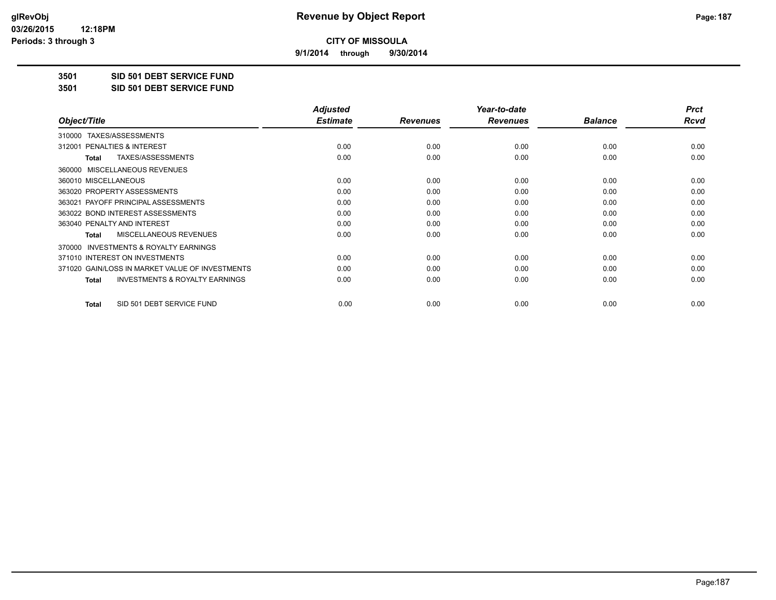**9/1/2014 through 9/30/2014**

**3501 SID 501 DEBT SERVICE FUND**

**3501 SID 501 DEBT SERVICE FUND**

|                                                           | <b>Adjusted</b> |                 | Year-to-date    |                | <b>Prct</b> |
|-----------------------------------------------------------|-----------------|-----------------|-----------------|----------------|-------------|
| Object/Title                                              | <b>Estimate</b> | <b>Revenues</b> | <b>Revenues</b> | <b>Balance</b> | Rcvd        |
| TAXES/ASSESSMENTS<br>310000                               |                 |                 |                 |                |             |
| 312001 PENALTIES & INTEREST                               | 0.00            | 0.00            | 0.00            | 0.00           | 0.00        |
| TAXES/ASSESSMENTS<br><b>Total</b>                         | 0.00            | 0.00            | 0.00            | 0.00           | 0.00        |
| MISCELLANEOUS REVENUES<br>360000                          |                 |                 |                 |                |             |
| 360010 MISCELLANEOUS                                      | 0.00            | 0.00            | 0.00            | 0.00           | 0.00        |
| 363020 PROPERTY ASSESSMENTS                               | 0.00            | 0.00            | 0.00            | 0.00           | 0.00        |
| 363021 PAYOFF PRINCIPAL ASSESSMENTS                       | 0.00            | 0.00            | 0.00            | 0.00           | 0.00        |
| 363022 BOND INTEREST ASSESSMENTS                          | 0.00            | 0.00            | 0.00            | 0.00           | 0.00        |
| 363040 PENALTY AND INTEREST                               | 0.00            | 0.00            | 0.00            | 0.00           | 0.00        |
| MISCELLANEOUS REVENUES<br>Total                           | 0.00            | 0.00            | 0.00            | 0.00           | 0.00        |
| INVESTMENTS & ROYALTY EARNINGS<br>370000                  |                 |                 |                 |                |             |
| 371010 INTEREST ON INVESTMENTS                            | 0.00            | 0.00            | 0.00            | 0.00           | 0.00        |
| 371020 GAIN/LOSS IN MARKET VALUE OF INVESTMENTS           | 0.00            | 0.00            | 0.00            | 0.00           | 0.00        |
| <b>INVESTMENTS &amp; ROYALTY EARNINGS</b><br><b>Total</b> | 0.00            | 0.00            | 0.00            | 0.00           | 0.00        |
| SID 501 DEBT SERVICE FUND<br>Total                        | 0.00            | 0.00            | 0.00            | 0.00           | 0.00        |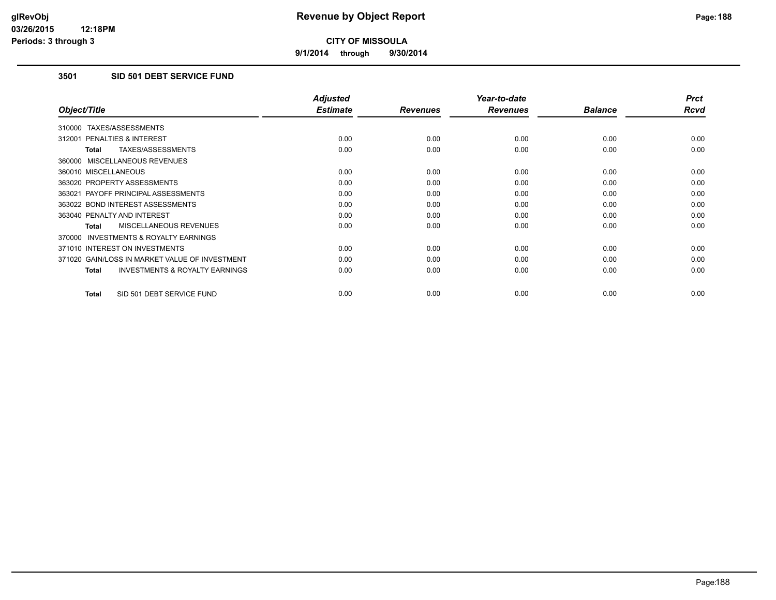**9/1/2014 through 9/30/2014**

# **3501 SID 501 DEBT SERVICE FUND**

|                                                     | <b>Adjusted</b> |                 | Year-to-date    |                | <b>Prct</b> |
|-----------------------------------------------------|-----------------|-----------------|-----------------|----------------|-------------|
| Object/Title                                        | <b>Estimate</b> | <b>Revenues</b> | <b>Revenues</b> | <b>Balance</b> | <b>Rcvd</b> |
| 310000 TAXES/ASSESSMENTS                            |                 |                 |                 |                |             |
| 312001 PENALTIES & INTEREST                         | 0.00            | 0.00            | 0.00            | 0.00           | 0.00        |
| TAXES/ASSESSMENTS<br><b>Total</b>                   | 0.00            | 0.00            | 0.00            | 0.00           | 0.00        |
| 360000 MISCELLANEOUS REVENUES                       |                 |                 |                 |                |             |
| 360010 MISCELLANEOUS                                | 0.00            | 0.00            | 0.00            | 0.00           | 0.00        |
| 363020 PROPERTY ASSESSMENTS                         | 0.00            | 0.00            | 0.00            | 0.00           | 0.00        |
| 363021 PAYOFF PRINCIPAL ASSESSMENTS                 | 0.00            | 0.00            | 0.00            | 0.00           | 0.00        |
| 363022 BOND INTEREST ASSESSMENTS                    | 0.00            | 0.00            | 0.00            | 0.00           | 0.00        |
| 363040 PENALTY AND INTEREST                         | 0.00            | 0.00            | 0.00            | 0.00           | 0.00        |
| <b>MISCELLANEOUS REVENUES</b><br>Total              | 0.00            | 0.00            | 0.00            | 0.00           | 0.00        |
| <b>INVESTMENTS &amp; ROYALTY EARNINGS</b><br>370000 |                 |                 |                 |                |             |
| 371010 INTEREST ON INVESTMENTS                      | 0.00            | 0.00            | 0.00            | 0.00           | 0.00        |
| 371020 GAIN/LOSS IN MARKET VALUE OF INVESTMENT      | 0.00            | 0.00            | 0.00            | 0.00           | 0.00        |
| <b>INVESTMENTS &amp; ROYALTY EARNINGS</b><br>Total  | 0.00            | 0.00            | 0.00            | 0.00           | 0.00        |
| SID 501 DEBT SERVICE FUND<br><b>Total</b>           | 0.00            | 0.00            | 0.00            | 0.00           | 0.00        |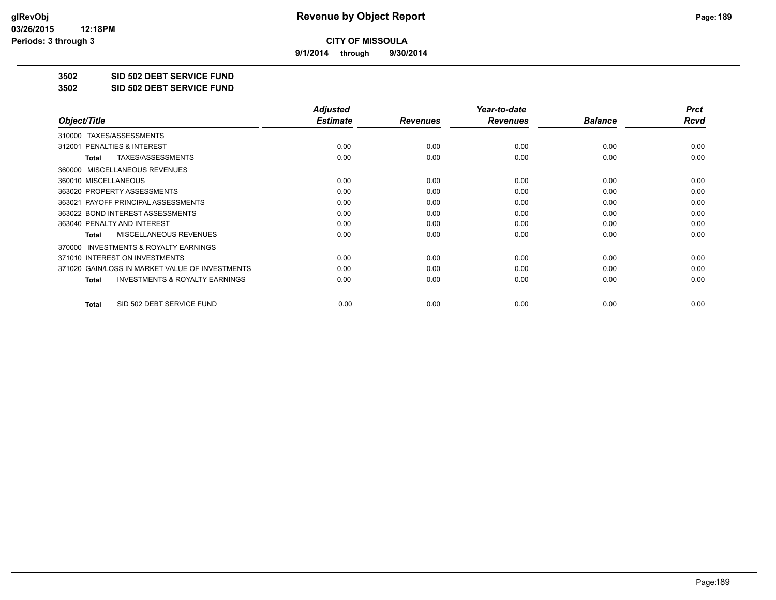**9/1/2014 through 9/30/2014**

**3502 SID 502 DEBT SERVICE FUND**

**3502 SID 502 DEBT SERVICE FUND**

|                                                           | <b>Adjusted</b> |                 | Year-to-date    |                | <b>Prct</b> |
|-----------------------------------------------------------|-----------------|-----------------|-----------------|----------------|-------------|
| Object/Title                                              | <b>Estimate</b> | <b>Revenues</b> | <b>Revenues</b> | <b>Balance</b> | Rcvd        |
| TAXES/ASSESSMENTS<br>310000                               |                 |                 |                 |                |             |
| 312001 PENALTIES & INTEREST                               | 0.00            | 0.00            | 0.00            | 0.00           | 0.00        |
| TAXES/ASSESSMENTS<br>Total                                | 0.00            | 0.00            | 0.00            | 0.00           | 0.00        |
| MISCELLANEOUS REVENUES<br>360000                          |                 |                 |                 |                |             |
| 360010 MISCELLANEOUS                                      | 0.00            | 0.00            | 0.00            | 0.00           | 0.00        |
| 363020 PROPERTY ASSESSMENTS                               | 0.00            | 0.00            | 0.00            | 0.00           | 0.00        |
| 363021 PAYOFF PRINCIPAL ASSESSMENTS                       | 0.00            | 0.00            | 0.00            | 0.00           | 0.00        |
| 363022 BOND INTEREST ASSESSMENTS                          | 0.00            | 0.00            | 0.00            | 0.00           | 0.00        |
| 363040 PENALTY AND INTEREST                               | 0.00            | 0.00            | 0.00            | 0.00           | 0.00        |
| <b>MISCELLANEOUS REVENUES</b><br><b>Total</b>             | 0.00            | 0.00            | 0.00            | 0.00           | 0.00        |
| 370000 INVESTMENTS & ROYALTY EARNINGS                     |                 |                 |                 |                |             |
| 371010 INTEREST ON INVESTMENTS                            | 0.00            | 0.00            | 0.00            | 0.00           | 0.00        |
| 371020 GAIN/LOSS IN MARKET VALUE OF INVESTMENTS           | 0.00            | 0.00            | 0.00            | 0.00           | 0.00        |
| <b>INVESTMENTS &amp; ROYALTY EARNINGS</b><br><b>Total</b> | 0.00            | 0.00            | 0.00            | 0.00           | 0.00        |
| SID 502 DEBT SERVICE FUND<br><b>Total</b>                 | 0.00            | 0.00            | 0.00            | 0.00           | 0.00        |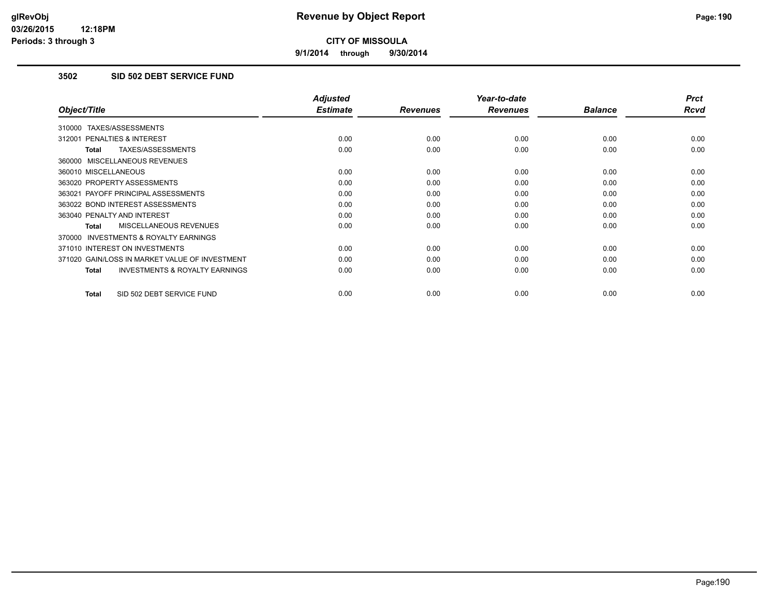**9/1/2014 through 9/30/2014**

# **3502 SID 502 DEBT SERVICE FUND**

|                                                     | <b>Adjusted</b> |                 | Year-to-date    |                | <b>Prct</b> |
|-----------------------------------------------------|-----------------|-----------------|-----------------|----------------|-------------|
| Object/Title                                        | <b>Estimate</b> | <b>Revenues</b> | <b>Revenues</b> | <b>Balance</b> | <b>Rcvd</b> |
| 310000 TAXES/ASSESSMENTS                            |                 |                 |                 |                |             |
| 312001 PENALTIES & INTEREST                         | 0.00            | 0.00            | 0.00            | 0.00           | 0.00        |
| TAXES/ASSESSMENTS<br><b>Total</b>                   | 0.00            | 0.00            | 0.00            | 0.00           | 0.00        |
| 360000 MISCELLANEOUS REVENUES                       |                 |                 |                 |                |             |
| 360010 MISCELLANEOUS                                | 0.00            | 0.00            | 0.00            | 0.00           | 0.00        |
| 363020 PROPERTY ASSESSMENTS                         | 0.00            | 0.00            | 0.00            | 0.00           | 0.00        |
| 363021 PAYOFF PRINCIPAL ASSESSMENTS                 | 0.00            | 0.00            | 0.00            | 0.00           | 0.00        |
| 363022 BOND INTEREST ASSESSMENTS                    | 0.00            | 0.00            | 0.00            | 0.00           | 0.00        |
| 363040 PENALTY AND INTEREST                         | 0.00            | 0.00            | 0.00            | 0.00           | 0.00        |
| <b>MISCELLANEOUS REVENUES</b><br>Total              | 0.00            | 0.00            | 0.00            | 0.00           | 0.00        |
| <b>INVESTMENTS &amp; ROYALTY EARNINGS</b><br>370000 |                 |                 |                 |                |             |
| 371010 INTEREST ON INVESTMENTS                      | 0.00            | 0.00            | 0.00            | 0.00           | 0.00        |
| 371020 GAIN/LOSS IN MARKET VALUE OF INVESTMENT      | 0.00            | 0.00            | 0.00            | 0.00           | 0.00        |
| <b>INVESTMENTS &amp; ROYALTY EARNINGS</b><br>Total  | 0.00            | 0.00            | 0.00            | 0.00           | 0.00        |
| SID 502 DEBT SERVICE FUND<br><b>Total</b>           | 0.00            | 0.00            | 0.00            | 0.00           | 0.00        |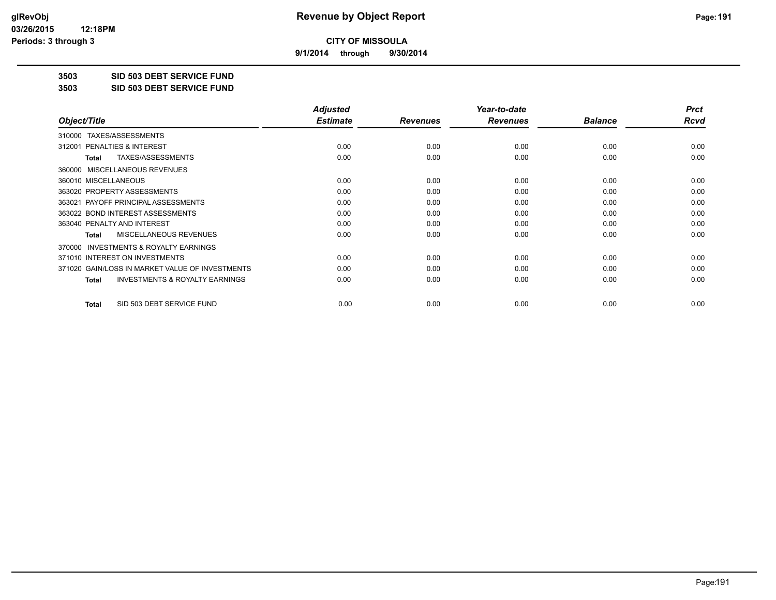**9/1/2014 through 9/30/2014**

**3503 SID 503 DEBT SERVICE FUND**

**3503 SID 503 DEBT SERVICE FUND**

|                                                           | <b>Adjusted</b> |                 | Year-to-date    |                | <b>Prct</b> |
|-----------------------------------------------------------|-----------------|-----------------|-----------------|----------------|-------------|
| Object/Title                                              | <b>Estimate</b> | <b>Revenues</b> | <b>Revenues</b> | <b>Balance</b> | Rcvd        |
| TAXES/ASSESSMENTS<br>310000                               |                 |                 |                 |                |             |
| 312001 PENALTIES & INTEREST                               | 0.00            | 0.00            | 0.00            | 0.00           | 0.00        |
| TAXES/ASSESSMENTS<br>Total                                | 0.00            | 0.00            | 0.00            | 0.00           | 0.00        |
| MISCELLANEOUS REVENUES<br>360000                          |                 |                 |                 |                |             |
| 360010 MISCELLANEOUS                                      | 0.00            | 0.00            | 0.00            | 0.00           | 0.00        |
| 363020 PROPERTY ASSESSMENTS                               | 0.00            | 0.00            | 0.00            | 0.00           | 0.00        |
| 363021 PAYOFF PRINCIPAL ASSESSMENTS                       | 0.00            | 0.00            | 0.00            | 0.00           | 0.00        |
| 363022 BOND INTEREST ASSESSMENTS                          | 0.00            | 0.00            | 0.00            | 0.00           | 0.00        |
| 363040 PENALTY AND INTEREST                               | 0.00            | 0.00            | 0.00            | 0.00           | 0.00        |
| <b>MISCELLANEOUS REVENUES</b><br>Total                    | 0.00            | 0.00            | 0.00            | 0.00           | 0.00        |
| <b>INVESTMENTS &amp; ROYALTY EARNINGS</b><br>370000       |                 |                 |                 |                |             |
| 371010 INTEREST ON INVESTMENTS                            | 0.00            | 0.00            | 0.00            | 0.00           | 0.00        |
| 371020 GAIN/LOSS IN MARKET VALUE OF INVESTMENTS           | 0.00            | 0.00            | 0.00            | 0.00           | 0.00        |
| <b>INVESTMENTS &amp; ROYALTY EARNINGS</b><br><b>Total</b> | 0.00            | 0.00            | 0.00            | 0.00           | 0.00        |
| SID 503 DEBT SERVICE FUND<br>Total                        | 0.00            | 0.00            | 0.00            | 0.00           | 0.00        |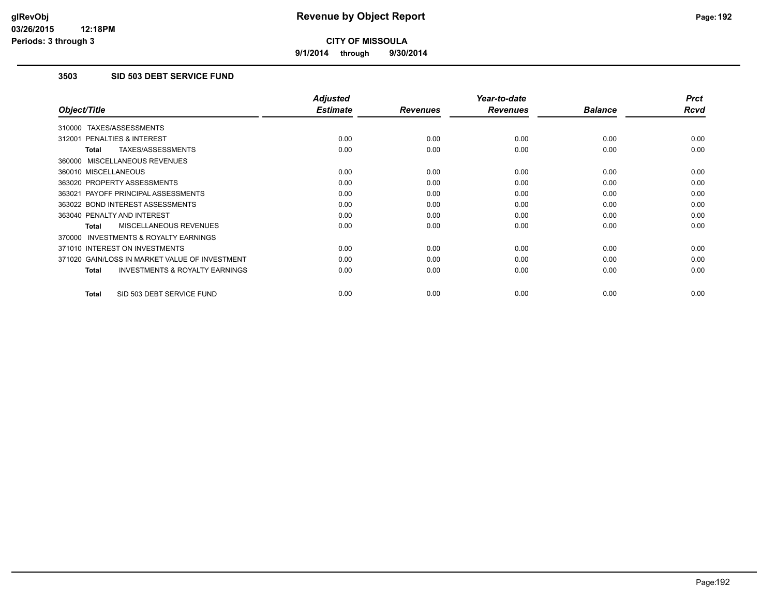**9/1/2014 through 9/30/2014**

# **3503 SID 503 DEBT SERVICE FUND**

|                                                           | <b>Adjusted</b> |                 | Year-to-date    |                | <b>Prct</b> |
|-----------------------------------------------------------|-----------------|-----------------|-----------------|----------------|-------------|
| Object/Title                                              | <b>Estimate</b> | <b>Revenues</b> | <b>Revenues</b> | <b>Balance</b> | <b>Rcvd</b> |
| 310000 TAXES/ASSESSMENTS                                  |                 |                 |                 |                |             |
| 312001 PENALTIES & INTEREST                               | 0.00            | 0.00            | 0.00            | 0.00           | 0.00        |
| TAXES/ASSESSMENTS<br><b>Total</b>                         | 0.00            | 0.00            | 0.00            | 0.00           | 0.00        |
| 360000 MISCELLANEOUS REVENUES                             |                 |                 |                 |                |             |
| 360010 MISCELLANEOUS                                      | 0.00            | 0.00            | 0.00            | 0.00           | 0.00        |
| 363020 PROPERTY ASSESSMENTS                               | 0.00            | 0.00            | 0.00            | 0.00           | 0.00        |
| 363021 PAYOFF PRINCIPAL ASSESSMENTS                       | 0.00            | 0.00            | 0.00            | 0.00           | 0.00        |
| 363022 BOND INTEREST ASSESSMENTS                          | 0.00            | 0.00            | 0.00            | 0.00           | 0.00        |
| 363040 PENALTY AND INTEREST                               | 0.00            | 0.00            | 0.00            | 0.00           | 0.00        |
| <b>MISCELLANEOUS REVENUES</b><br><b>Total</b>             | 0.00            | 0.00            | 0.00            | 0.00           | 0.00        |
| <b>INVESTMENTS &amp; ROYALTY EARNINGS</b><br>370000       |                 |                 |                 |                |             |
| 371010 INTEREST ON INVESTMENTS                            | 0.00            | 0.00            | 0.00            | 0.00           | 0.00        |
| 371020 GAIN/LOSS IN MARKET VALUE OF INVESTMENT            | 0.00            | 0.00            | 0.00            | 0.00           | 0.00        |
| <b>INVESTMENTS &amp; ROYALTY EARNINGS</b><br><b>Total</b> | 0.00            | 0.00            | 0.00            | 0.00           | 0.00        |
| SID 503 DEBT SERVICE FUND<br><b>Total</b>                 | 0.00            | 0.00            | 0.00            | 0.00           | 0.00        |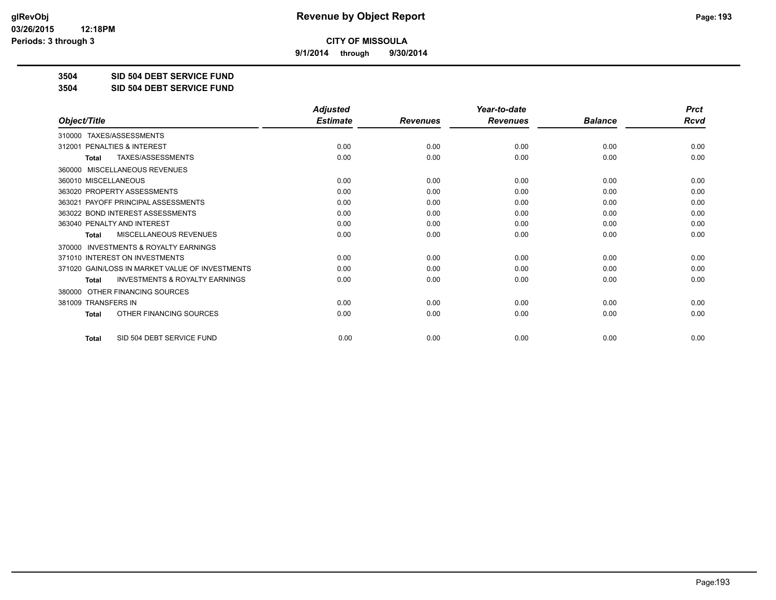**9/1/2014 through 9/30/2014**

**3504 SID 504 DEBT SERVICE FUND**

**3504 SID 504 DEBT SERVICE FUND**

|                                                           | <b>Adjusted</b> |                 | Year-to-date    |                | <b>Prct</b> |
|-----------------------------------------------------------|-----------------|-----------------|-----------------|----------------|-------------|
| Object/Title                                              | <b>Estimate</b> | <b>Revenues</b> | <b>Revenues</b> | <b>Balance</b> | <b>Rcvd</b> |
| 310000 TAXES/ASSESSMENTS                                  |                 |                 |                 |                |             |
| 312001 PENALTIES & INTEREST                               | 0.00            | 0.00            | 0.00            | 0.00           | 0.00        |
| <b>TAXES/ASSESSMENTS</b><br><b>Total</b>                  | 0.00            | 0.00            | 0.00            | 0.00           | 0.00        |
| MISCELLANEOUS REVENUES<br>360000                          |                 |                 |                 |                |             |
| 360010 MISCELLANEOUS                                      | 0.00            | 0.00            | 0.00            | 0.00           | 0.00        |
| 363020 PROPERTY ASSESSMENTS                               | 0.00            | 0.00            | 0.00            | 0.00           | 0.00        |
| 363021 PAYOFF PRINCIPAL ASSESSMENTS                       | 0.00            | 0.00            | 0.00            | 0.00           | 0.00        |
| 363022 BOND INTEREST ASSESSMENTS                          | 0.00            | 0.00            | 0.00            | 0.00           | 0.00        |
| 363040 PENALTY AND INTEREST                               | 0.00            | 0.00            | 0.00            | 0.00           | 0.00        |
| <b>MISCELLANEOUS REVENUES</b><br><b>Total</b>             | 0.00            | 0.00            | 0.00            | 0.00           | 0.00        |
| <b>INVESTMENTS &amp; ROYALTY EARNINGS</b><br>370000       |                 |                 |                 |                |             |
| 371010 INTEREST ON INVESTMENTS                            | 0.00            | 0.00            | 0.00            | 0.00           | 0.00        |
| 371020 GAIN/LOSS IN MARKET VALUE OF INVESTMENTS           | 0.00            | 0.00            | 0.00            | 0.00           | 0.00        |
| <b>INVESTMENTS &amp; ROYALTY EARNINGS</b><br><b>Total</b> | 0.00            | 0.00            | 0.00            | 0.00           | 0.00        |
| OTHER FINANCING SOURCES<br>380000                         |                 |                 |                 |                |             |
| 381009 TRANSFERS IN                                       | 0.00            | 0.00            | 0.00            | 0.00           | 0.00        |
| OTHER FINANCING SOURCES<br><b>Total</b>                   | 0.00            | 0.00            | 0.00            | 0.00           | 0.00        |
| SID 504 DEBT SERVICE FUND<br><b>Total</b>                 | 0.00            | 0.00            | 0.00            | 0.00           | 0.00        |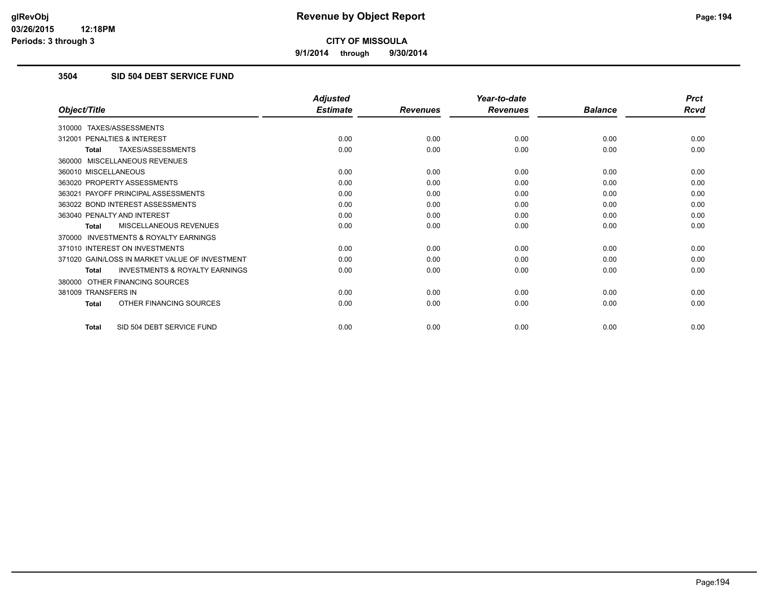**9/1/2014 through 9/30/2014**

# **3504 SID 504 DEBT SERVICE FUND**

|                                                           | <b>Adjusted</b> |                 | Year-to-date    |                | <b>Prct</b> |
|-----------------------------------------------------------|-----------------|-----------------|-----------------|----------------|-------------|
| Object/Title                                              | <b>Estimate</b> | <b>Revenues</b> | <b>Revenues</b> | <b>Balance</b> | <b>Rcvd</b> |
| 310000 TAXES/ASSESSMENTS                                  |                 |                 |                 |                |             |
| PENALTIES & INTEREST<br>312001                            | 0.00            | 0.00            | 0.00            | 0.00           | 0.00        |
| TAXES/ASSESSMENTS<br><b>Total</b>                         | 0.00            | 0.00            | 0.00            | 0.00           | 0.00        |
| 360000 MISCELLANEOUS REVENUES                             |                 |                 |                 |                |             |
| 360010 MISCELLANEOUS                                      | 0.00            | 0.00            | 0.00            | 0.00           | 0.00        |
| 363020 PROPERTY ASSESSMENTS                               | 0.00            | 0.00            | 0.00            | 0.00           | 0.00        |
| 363021 PAYOFF PRINCIPAL ASSESSMENTS                       | 0.00            | 0.00            | 0.00            | 0.00           | 0.00        |
| 363022 BOND INTEREST ASSESSMENTS                          | 0.00            | 0.00            | 0.00            | 0.00           | 0.00        |
| 363040 PENALTY AND INTEREST                               | 0.00            | 0.00            | 0.00            | 0.00           | 0.00        |
| <b>MISCELLANEOUS REVENUES</b><br><b>Total</b>             | 0.00            | 0.00            | 0.00            | 0.00           | 0.00        |
| <b>INVESTMENTS &amp; ROYALTY EARNINGS</b><br>370000       |                 |                 |                 |                |             |
| 371010 INTEREST ON INVESTMENTS                            | 0.00            | 0.00            | 0.00            | 0.00           | 0.00        |
| 371020 GAIN/LOSS IN MARKET VALUE OF INVESTMENT            | 0.00            | 0.00            | 0.00            | 0.00           | 0.00        |
| <b>INVESTMENTS &amp; ROYALTY EARNINGS</b><br><b>Total</b> | 0.00            | 0.00            | 0.00            | 0.00           | 0.00        |
| OTHER FINANCING SOURCES<br>380000                         |                 |                 |                 |                |             |
| 381009 TRANSFERS IN                                       | 0.00            | 0.00            | 0.00            | 0.00           | 0.00        |
| OTHER FINANCING SOURCES<br><b>Total</b>                   | 0.00            | 0.00            | 0.00            | 0.00           | 0.00        |
| SID 504 DEBT SERVICE FUND<br><b>Total</b>                 | 0.00            | 0.00            | 0.00            | 0.00           | 0.00        |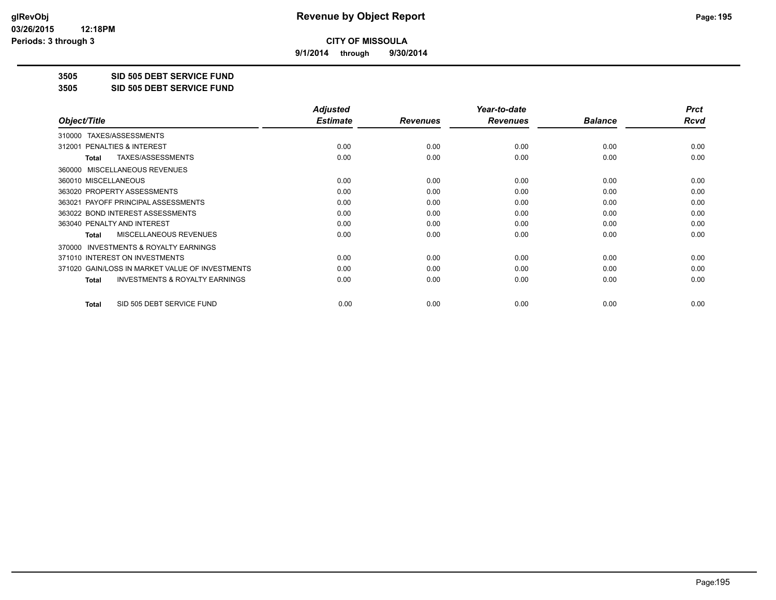**9/1/2014 through 9/30/2014**

**3505 SID 505 DEBT SERVICE FUND**

**3505 SID 505 DEBT SERVICE FUND**

|                                                           | <b>Adjusted</b> |                 | Year-to-date    |                | <b>Prct</b> |
|-----------------------------------------------------------|-----------------|-----------------|-----------------|----------------|-------------|
| Object/Title                                              | <b>Estimate</b> | <b>Revenues</b> | <b>Revenues</b> | <b>Balance</b> | Rcvd        |
| TAXES/ASSESSMENTS<br>310000                               |                 |                 |                 |                |             |
| 312001 PENALTIES & INTEREST                               | 0.00            | 0.00            | 0.00            | 0.00           | 0.00        |
| TAXES/ASSESSMENTS<br><b>Total</b>                         | 0.00            | 0.00            | 0.00            | 0.00           | 0.00        |
| MISCELLANEOUS REVENUES<br>360000                          |                 |                 |                 |                |             |
| 360010 MISCELLANEOUS                                      | 0.00            | 0.00            | 0.00            | 0.00           | 0.00        |
| 363020 PROPERTY ASSESSMENTS                               | 0.00            | 0.00            | 0.00            | 0.00           | 0.00        |
| 363021 PAYOFF PRINCIPAL ASSESSMENTS                       | 0.00            | 0.00            | 0.00            | 0.00           | 0.00        |
| 363022 BOND INTEREST ASSESSMENTS                          | 0.00            | 0.00            | 0.00            | 0.00           | 0.00        |
| 363040 PENALTY AND INTEREST                               | 0.00            | 0.00            | 0.00            | 0.00           | 0.00        |
| MISCELLANEOUS REVENUES<br>Total                           | 0.00            | 0.00            | 0.00            | 0.00           | 0.00        |
| INVESTMENTS & ROYALTY EARNINGS<br>370000                  |                 |                 |                 |                |             |
| 371010 INTEREST ON INVESTMENTS                            | 0.00            | 0.00            | 0.00            | 0.00           | 0.00        |
| 371020 GAIN/LOSS IN MARKET VALUE OF INVESTMENTS           | 0.00            | 0.00            | 0.00            | 0.00           | 0.00        |
| <b>INVESTMENTS &amp; ROYALTY EARNINGS</b><br><b>Total</b> | 0.00            | 0.00            | 0.00            | 0.00           | 0.00        |
| SID 505 DEBT SERVICE FUND<br>Total                        | 0.00            | 0.00            | 0.00            | 0.00           | 0.00        |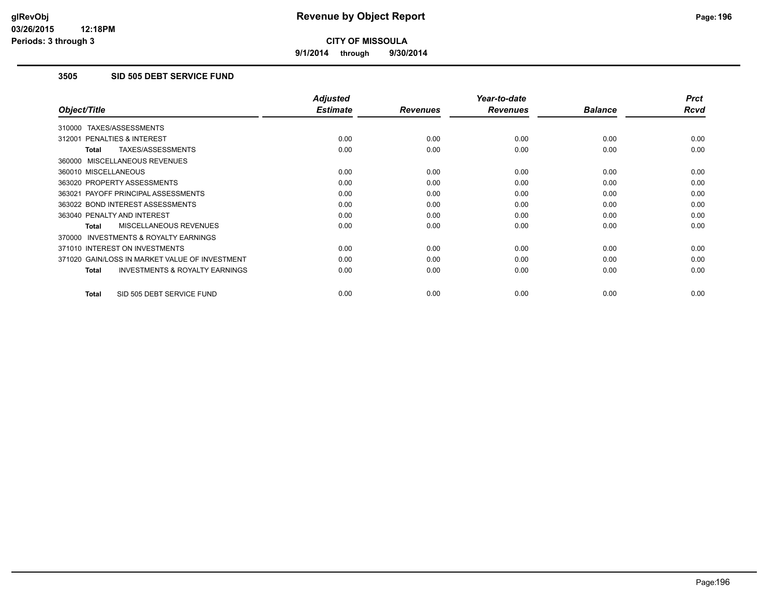**9/1/2014 through 9/30/2014**

### **3505 SID 505 DEBT SERVICE FUND**

|                                                           | <b>Adjusted</b> |                 | Year-to-date    |                | <b>Prct</b> |
|-----------------------------------------------------------|-----------------|-----------------|-----------------|----------------|-------------|
| Object/Title                                              | <b>Estimate</b> | <b>Revenues</b> | <b>Revenues</b> | <b>Balance</b> | <b>Rcvd</b> |
| 310000 TAXES/ASSESSMENTS                                  |                 |                 |                 |                |             |
| 312001 PENALTIES & INTEREST                               | 0.00            | 0.00            | 0.00            | 0.00           | 0.00        |
| TAXES/ASSESSMENTS<br><b>Total</b>                         | 0.00            | 0.00            | 0.00            | 0.00           | 0.00        |
| 360000 MISCELLANEOUS REVENUES                             |                 |                 |                 |                |             |
| 360010 MISCELLANEOUS                                      | 0.00            | 0.00            | 0.00            | 0.00           | 0.00        |
| 363020 PROPERTY ASSESSMENTS                               | 0.00            | 0.00            | 0.00            | 0.00           | 0.00        |
| 363021 PAYOFF PRINCIPAL ASSESSMENTS                       | 0.00            | 0.00            | 0.00            | 0.00           | 0.00        |
| 363022 BOND INTEREST ASSESSMENTS                          | 0.00            | 0.00            | 0.00            | 0.00           | 0.00        |
| 363040 PENALTY AND INTEREST                               | 0.00            | 0.00            | 0.00            | 0.00           | 0.00        |
| MISCELLANEOUS REVENUES<br>Total                           | 0.00            | 0.00            | 0.00            | 0.00           | 0.00        |
| <b>INVESTMENTS &amp; ROYALTY EARNINGS</b><br>370000       |                 |                 |                 |                |             |
| 371010 INTEREST ON INVESTMENTS                            | 0.00            | 0.00            | 0.00            | 0.00           | 0.00        |
| 371020 GAIN/LOSS IN MARKET VALUE OF INVESTMENT            | 0.00            | 0.00            | 0.00            | 0.00           | 0.00        |
| <b>INVESTMENTS &amp; ROYALTY EARNINGS</b><br><b>Total</b> | 0.00            | 0.00            | 0.00            | 0.00           | 0.00        |
|                                                           |                 |                 |                 |                |             |
| SID 505 DEBT SERVICE FUND<br><b>Total</b>                 | 0.00            | 0.00            | 0.00            | 0.00           | 0.00        |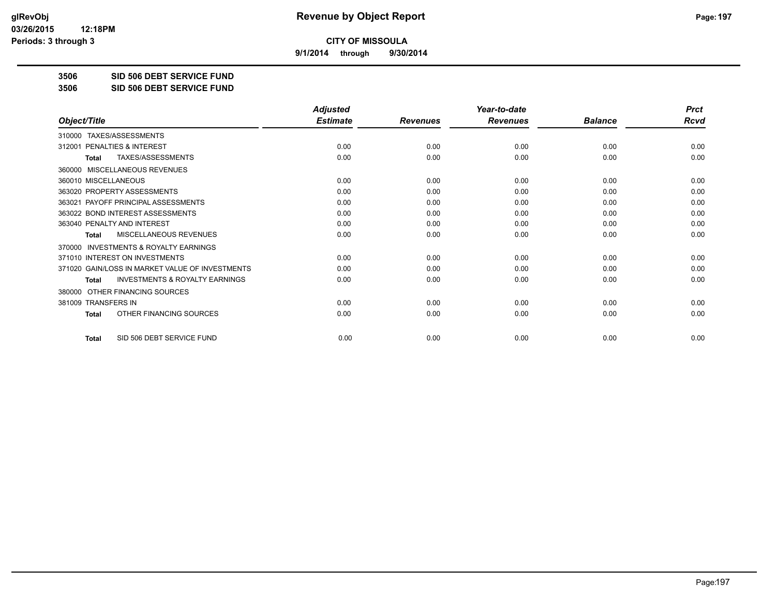**9/1/2014 through 9/30/2014**

**3506 SID 506 DEBT SERVICE FUND**

**3506 SID 506 DEBT SERVICE FUND**

|                                                           | <b>Adjusted</b> |                 | Year-to-date    |                | <b>Prct</b> |
|-----------------------------------------------------------|-----------------|-----------------|-----------------|----------------|-------------|
| Object/Title                                              | <b>Estimate</b> | <b>Revenues</b> | <b>Revenues</b> | <b>Balance</b> | Rcvd        |
| TAXES/ASSESSMENTS<br>310000                               |                 |                 |                 |                |             |
| PENALTIES & INTEREST<br>312001                            | 0.00            | 0.00            | 0.00            | 0.00           | 0.00        |
| TAXES/ASSESSMENTS<br>Total                                | 0.00            | 0.00            | 0.00            | 0.00           | 0.00        |
| MISCELLANEOUS REVENUES<br>360000                          |                 |                 |                 |                |             |
| 360010 MISCELLANEOUS                                      | 0.00            | 0.00            | 0.00            | 0.00           | 0.00        |
| 363020 PROPERTY ASSESSMENTS                               | 0.00            | 0.00            | 0.00            | 0.00           | 0.00        |
| 363021 PAYOFF PRINCIPAL ASSESSMENTS                       | 0.00            | 0.00            | 0.00            | 0.00           | 0.00        |
| 363022 BOND INTEREST ASSESSMENTS                          | 0.00            | 0.00            | 0.00            | 0.00           | 0.00        |
| 363040 PENALTY AND INTEREST                               | 0.00            | 0.00            | 0.00            | 0.00           | 0.00        |
| <b>MISCELLANEOUS REVENUES</b><br><b>Total</b>             | 0.00            | 0.00            | 0.00            | 0.00           | 0.00        |
| <b>INVESTMENTS &amp; ROYALTY EARNINGS</b><br>370000       |                 |                 |                 |                |             |
| 371010 INTEREST ON INVESTMENTS                            | 0.00            | 0.00            | 0.00            | 0.00           | 0.00        |
| 371020 GAIN/LOSS IN MARKET VALUE OF INVESTMENTS           | 0.00            | 0.00            | 0.00            | 0.00           | 0.00        |
| <b>INVESTMENTS &amp; ROYALTY EARNINGS</b><br><b>Total</b> | 0.00            | 0.00            | 0.00            | 0.00           | 0.00        |
| OTHER FINANCING SOURCES<br>380000                         |                 |                 |                 |                |             |
| 381009 TRANSFERS IN                                       | 0.00            | 0.00            | 0.00            | 0.00           | 0.00        |
| OTHER FINANCING SOURCES<br><b>Total</b>                   | 0.00            | 0.00            | 0.00            | 0.00           | 0.00        |
| SID 506 DEBT SERVICE FUND<br><b>Total</b>                 | 0.00            | 0.00            | 0.00            | 0.00           | 0.00        |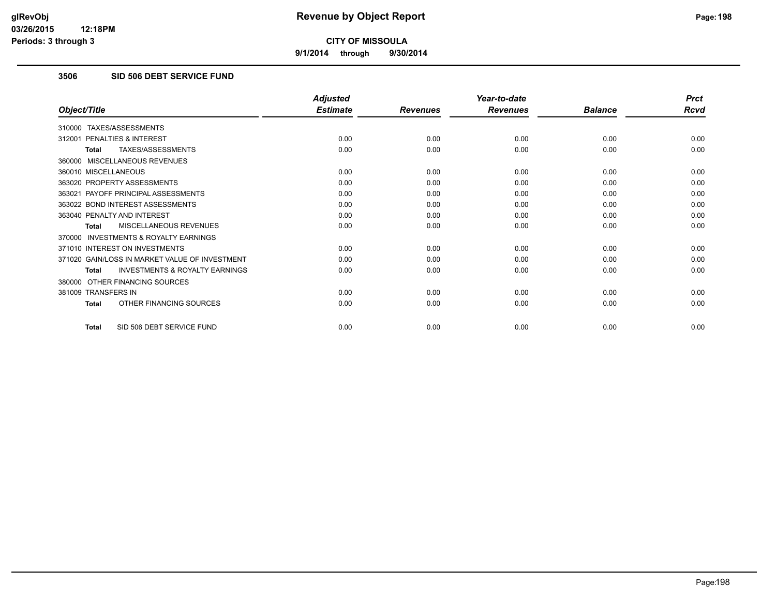**9/1/2014 through 9/30/2014**

# **3506 SID 506 DEBT SERVICE FUND**

|                                                           | <b>Adjusted</b> |                 | Year-to-date    |                | <b>Prct</b> |
|-----------------------------------------------------------|-----------------|-----------------|-----------------|----------------|-------------|
| Object/Title                                              | <b>Estimate</b> | <b>Revenues</b> | <b>Revenues</b> | <b>Balance</b> | <b>Rcvd</b> |
| 310000 TAXES/ASSESSMENTS                                  |                 |                 |                 |                |             |
| 312001 PENALTIES & INTEREST                               | 0.00            | 0.00            | 0.00            | 0.00           | 0.00        |
| TAXES/ASSESSMENTS<br><b>Total</b>                         | 0.00            | 0.00            | 0.00            | 0.00           | 0.00        |
| 360000 MISCELLANEOUS REVENUES                             |                 |                 |                 |                |             |
| 360010 MISCELLANEOUS                                      | 0.00            | 0.00            | 0.00            | 0.00           | 0.00        |
| 363020 PROPERTY ASSESSMENTS                               | 0.00            | 0.00            | 0.00            | 0.00           | 0.00        |
| 363021 PAYOFF PRINCIPAL ASSESSMENTS                       | 0.00            | 0.00            | 0.00            | 0.00           | 0.00        |
| 363022 BOND INTEREST ASSESSMENTS                          | 0.00            | 0.00            | 0.00            | 0.00           | 0.00        |
| 363040 PENALTY AND INTEREST                               | 0.00            | 0.00            | 0.00            | 0.00           | 0.00        |
| MISCELLANEOUS REVENUES<br><b>Total</b>                    | 0.00            | 0.00            | 0.00            | 0.00           | 0.00        |
| <b>INVESTMENTS &amp; ROYALTY EARNINGS</b><br>370000       |                 |                 |                 |                |             |
| 371010 INTEREST ON INVESTMENTS                            | 0.00            | 0.00            | 0.00            | 0.00           | 0.00        |
| 371020 GAIN/LOSS IN MARKET VALUE OF INVESTMENT            | 0.00            | 0.00            | 0.00            | 0.00           | 0.00        |
| <b>INVESTMENTS &amp; ROYALTY EARNINGS</b><br><b>Total</b> | 0.00            | 0.00            | 0.00            | 0.00           | 0.00        |
| OTHER FINANCING SOURCES<br>380000                         |                 |                 |                 |                |             |
| 381009 TRANSFERS IN                                       | 0.00            | 0.00            | 0.00            | 0.00           | 0.00        |
| OTHER FINANCING SOURCES<br><b>Total</b>                   | 0.00            | 0.00            | 0.00            | 0.00           | 0.00        |
| SID 506 DEBT SERVICE FUND<br><b>Total</b>                 | 0.00            | 0.00            | 0.00            | 0.00           | 0.00        |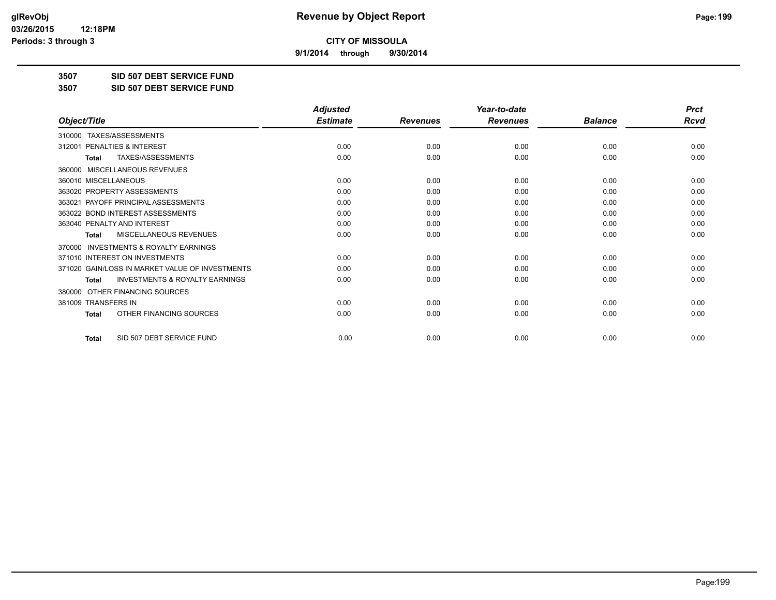**9/1/2014 through 9/30/2014**

**3507 SID 507 DEBT SERVICE FUND**

**3507 SID 507 DEBT SERVICE FUND**

|                                                           | <b>Adjusted</b> |                 | Year-to-date    |                | <b>Prct</b> |
|-----------------------------------------------------------|-----------------|-----------------|-----------------|----------------|-------------|
| Object/Title                                              | <b>Estimate</b> | <b>Revenues</b> | <b>Revenues</b> | <b>Balance</b> | <b>Rcvd</b> |
| TAXES/ASSESSMENTS<br>310000                               |                 |                 |                 |                |             |
| 312001 PENALTIES & INTEREST                               | 0.00            | 0.00            | 0.00            | 0.00           | 0.00        |
| TAXES/ASSESSMENTS<br><b>Total</b>                         | 0.00            | 0.00            | 0.00            | 0.00           | 0.00        |
| MISCELLANEOUS REVENUES<br>360000                          |                 |                 |                 |                |             |
| 360010 MISCELLANEOUS                                      | 0.00            | 0.00            | 0.00            | 0.00           | 0.00        |
| 363020 PROPERTY ASSESSMENTS                               | 0.00            | 0.00            | 0.00            | 0.00           | 0.00        |
| 363021 PAYOFF PRINCIPAL ASSESSMENTS                       | 0.00            | 0.00            | 0.00            | 0.00           | 0.00        |
| 363022 BOND INTEREST ASSESSMENTS                          | 0.00            | 0.00            | 0.00            | 0.00           | 0.00        |
| 363040 PENALTY AND INTEREST                               | 0.00            | 0.00            | 0.00            | 0.00           | 0.00        |
| MISCELLANEOUS REVENUES<br><b>Total</b>                    | 0.00            | 0.00            | 0.00            | 0.00           | 0.00        |
| <b>INVESTMENTS &amp; ROYALTY EARNINGS</b><br>370000       |                 |                 |                 |                |             |
| 371010 INTEREST ON INVESTMENTS                            | 0.00            | 0.00            | 0.00            | 0.00           | 0.00        |
| 371020 GAIN/LOSS IN MARKET VALUE OF INVESTMENTS           | 0.00            | 0.00            | 0.00            | 0.00           | 0.00        |
| <b>INVESTMENTS &amp; ROYALTY EARNINGS</b><br><b>Total</b> | 0.00            | 0.00            | 0.00            | 0.00           | 0.00        |
| OTHER FINANCING SOURCES<br>380000                         |                 |                 |                 |                |             |
| 381009 TRANSFERS IN                                       | 0.00            | 0.00            | 0.00            | 0.00           | 0.00        |
| OTHER FINANCING SOURCES<br><b>Total</b>                   | 0.00            | 0.00            | 0.00            | 0.00           | 0.00        |
| SID 507 DEBT SERVICE FUND<br><b>Total</b>                 | 0.00            | 0.00            | 0.00            | 0.00           | 0.00        |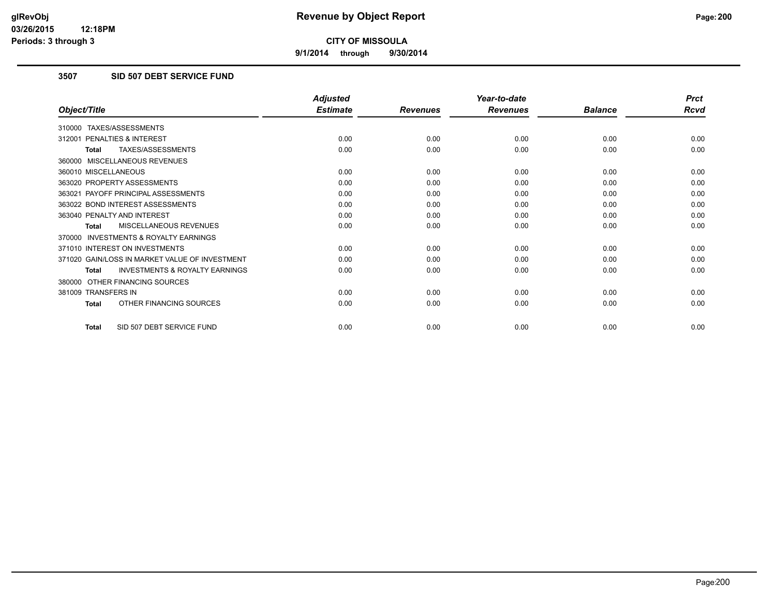**9/1/2014 through 9/30/2014**

# **3507 SID 507 DEBT SERVICE FUND**

|                                                           | <b>Adjusted</b> |                 | Year-to-date    |                | <b>Prct</b> |
|-----------------------------------------------------------|-----------------|-----------------|-----------------|----------------|-------------|
| Object/Title                                              | <b>Estimate</b> | <b>Revenues</b> | <b>Revenues</b> | <b>Balance</b> | <b>Rcvd</b> |
| 310000 TAXES/ASSESSMENTS                                  |                 |                 |                 |                |             |
| 312001 PENALTIES & INTEREST                               | 0.00            | 0.00            | 0.00            | 0.00           | 0.00        |
| TAXES/ASSESSMENTS<br><b>Total</b>                         | 0.00            | 0.00            | 0.00            | 0.00           | 0.00        |
| 360000 MISCELLANEOUS REVENUES                             |                 |                 |                 |                |             |
| 360010 MISCELLANEOUS                                      | 0.00            | 0.00            | 0.00            | 0.00           | 0.00        |
| 363020 PROPERTY ASSESSMENTS                               | 0.00            | 0.00            | 0.00            | 0.00           | 0.00        |
| 363021 PAYOFF PRINCIPAL ASSESSMENTS                       | 0.00            | 0.00            | 0.00            | 0.00           | 0.00        |
| 363022 BOND INTEREST ASSESSMENTS                          | 0.00            | 0.00            | 0.00            | 0.00           | 0.00        |
| 363040 PENALTY AND INTEREST                               | 0.00            | 0.00            | 0.00            | 0.00           | 0.00        |
| MISCELLANEOUS REVENUES<br>Total                           | 0.00            | 0.00            | 0.00            | 0.00           | 0.00        |
| 370000 INVESTMENTS & ROYALTY EARNINGS                     |                 |                 |                 |                |             |
| 371010 INTEREST ON INVESTMENTS                            | 0.00            | 0.00            | 0.00            | 0.00           | 0.00        |
| 371020 GAIN/LOSS IN MARKET VALUE OF INVESTMENT            | 0.00            | 0.00            | 0.00            | 0.00           | 0.00        |
| <b>INVESTMENTS &amp; ROYALTY EARNINGS</b><br><b>Total</b> | 0.00            | 0.00            | 0.00            | 0.00           | 0.00        |
| 380000 OTHER FINANCING SOURCES                            |                 |                 |                 |                |             |
| 381009 TRANSFERS IN                                       | 0.00            | 0.00            | 0.00            | 0.00           | 0.00        |
| OTHER FINANCING SOURCES<br><b>Total</b>                   | 0.00            | 0.00            | 0.00            | 0.00           | 0.00        |
| SID 507 DEBT SERVICE FUND<br><b>Total</b>                 | 0.00            | 0.00            | 0.00            | 0.00           | 0.00        |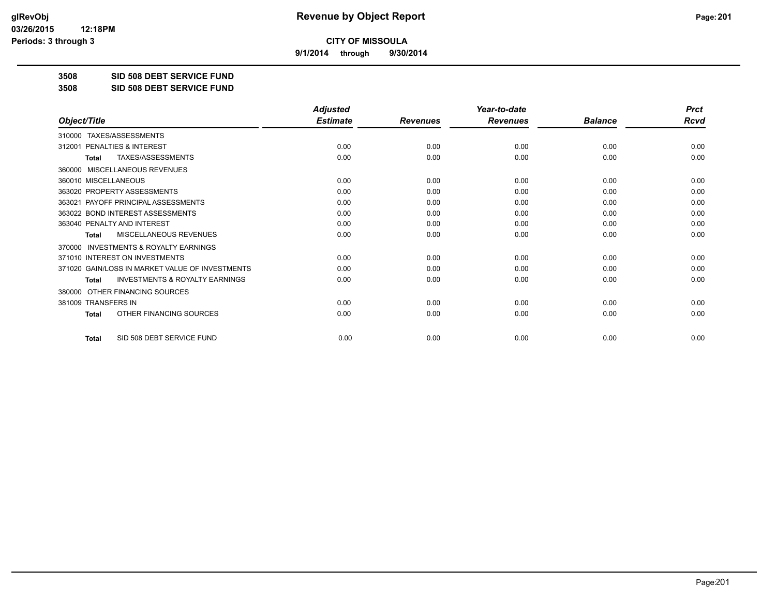**9/1/2014 through 9/30/2014**

**3508 SID 508 DEBT SERVICE FUND**

**3508 SID 508 DEBT SERVICE FUND**

|                                                           | <b>Adjusted</b> |                 | Year-to-date    |                | <b>Prct</b> |
|-----------------------------------------------------------|-----------------|-----------------|-----------------|----------------|-------------|
| Object/Title                                              | <b>Estimate</b> | <b>Revenues</b> | <b>Revenues</b> | <b>Balance</b> | <b>Rcvd</b> |
| TAXES/ASSESSMENTS<br>310000                               |                 |                 |                 |                |             |
| 312001 PENALTIES & INTEREST                               | 0.00            | 0.00            | 0.00            | 0.00           | 0.00        |
| TAXES/ASSESSMENTS<br><b>Total</b>                         | 0.00            | 0.00            | 0.00            | 0.00           | 0.00        |
| MISCELLANEOUS REVENUES<br>360000                          |                 |                 |                 |                |             |
| 360010 MISCELLANEOUS                                      | 0.00            | 0.00            | 0.00            | 0.00           | 0.00        |
| 363020 PROPERTY ASSESSMENTS                               | 0.00            | 0.00            | 0.00            | 0.00           | 0.00        |
| 363021 PAYOFF PRINCIPAL ASSESSMENTS                       | 0.00            | 0.00            | 0.00            | 0.00           | 0.00        |
| 363022 BOND INTEREST ASSESSMENTS                          | 0.00            | 0.00            | 0.00            | 0.00           | 0.00        |
| 363040 PENALTY AND INTEREST                               | 0.00            | 0.00            | 0.00            | 0.00           | 0.00        |
| MISCELLANEOUS REVENUES<br><b>Total</b>                    | 0.00            | 0.00            | 0.00            | 0.00           | 0.00        |
| <b>INVESTMENTS &amp; ROYALTY EARNINGS</b><br>370000       |                 |                 |                 |                |             |
| 371010 INTEREST ON INVESTMENTS                            | 0.00            | 0.00            | 0.00            | 0.00           | 0.00        |
| 371020 GAIN/LOSS IN MARKET VALUE OF INVESTMENTS           | 0.00            | 0.00            | 0.00            | 0.00           | 0.00        |
| <b>INVESTMENTS &amp; ROYALTY EARNINGS</b><br><b>Total</b> | 0.00            | 0.00            | 0.00            | 0.00           | 0.00        |
| OTHER FINANCING SOURCES<br>380000                         |                 |                 |                 |                |             |
| 381009 TRANSFERS IN                                       | 0.00            | 0.00            | 0.00            | 0.00           | 0.00        |
| OTHER FINANCING SOURCES<br><b>Total</b>                   | 0.00            | 0.00            | 0.00            | 0.00           | 0.00        |
| SID 508 DEBT SERVICE FUND<br><b>Total</b>                 | 0.00            | 0.00            | 0.00            | 0.00           | 0.00        |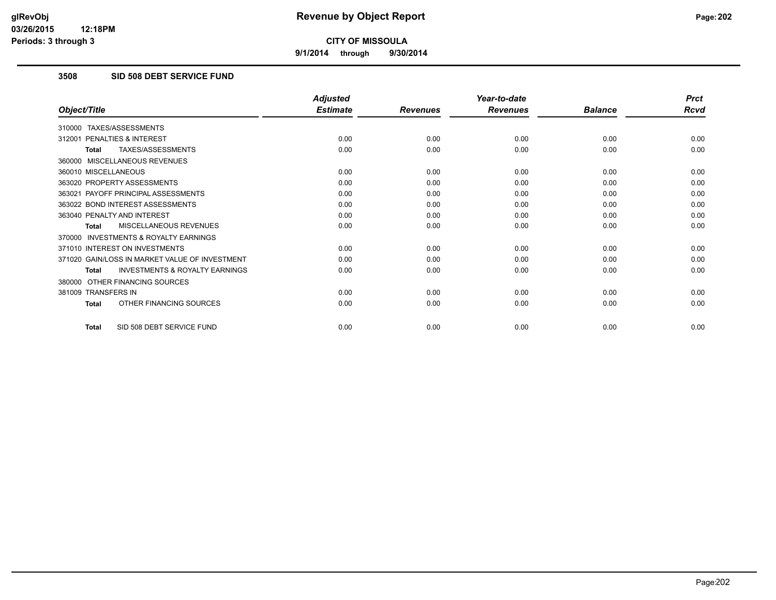**9/1/2014 through 9/30/2014**

# **3508 SID 508 DEBT SERVICE FUND**

|                                                           | <b>Adjusted</b> |                 | Year-to-date    |                | <b>Prct</b> |
|-----------------------------------------------------------|-----------------|-----------------|-----------------|----------------|-------------|
| Object/Title                                              | <b>Estimate</b> | <b>Revenues</b> | <b>Revenues</b> | <b>Balance</b> | <b>Rcvd</b> |
| 310000 TAXES/ASSESSMENTS                                  |                 |                 |                 |                |             |
| 312001 PENALTIES & INTEREST                               | 0.00            | 0.00            | 0.00            | 0.00           | 0.00        |
| TAXES/ASSESSMENTS<br><b>Total</b>                         | 0.00            | 0.00            | 0.00            | 0.00           | 0.00        |
| 360000 MISCELLANEOUS REVENUES                             |                 |                 |                 |                |             |
| 360010 MISCELLANEOUS                                      | 0.00            | 0.00            | 0.00            | 0.00           | 0.00        |
| 363020 PROPERTY ASSESSMENTS                               | 0.00            | 0.00            | 0.00            | 0.00           | 0.00        |
| 363021 PAYOFF PRINCIPAL ASSESSMENTS                       | 0.00            | 0.00            | 0.00            | 0.00           | 0.00        |
| 363022 BOND INTEREST ASSESSMENTS                          | 0.00            | 0.00            | 0.00            | 0.00           | 0.00        |
| 363040 PENALTY AND INTEREST                               | 0.00            | 0.00            | 0.00            | 0.00           | 0.00        |
| MISCELLANEOUS REVENUES<br><b>Total</b>                    | 0.00            | 0.00            | 0.00            | 0.00           | 0.00        |
| <b>INVESTMENTS &amp; ROYALTY EARNINGS</b><br>370000       |                 |                 |                 |                |             |
| 371010 INTEREST ON INVESTMENTS                            | 0.00            | 0.00            | 0.00            | 0.00           | 0.00        |
| 371020 GAIN/LOSS IN MARKET VALUE OF INVESTMENT            | 0.00            | 0.00            | 0.00            | 0.00           | 0.00        |
| <b>INVESTMENTS &amp; ROYALTY EARNINGS</b><br><b>Total</b> | 0.00            | 0.00            | 0.00            | 0.00           | 0.00        |
| OTHER FINANCING SOURCES<br>380000                         |                 |                 |                 |                |             |
| 381009 TRANSFERS IN                                       | 0.00            | 0.00            | 0.00            | 0.00           | 0.00        |
| OTHER FINANCING SOURCES<br><b>Total</b>                   | 0.00            | 0.00            | 0.00            | 0.00           | 0.00        |
| SID 508 DEBT SERVICE FUND<br><b>Total</b>                 | 0.00            | 0.00            | 0.00            | 0.00           | 0.00        |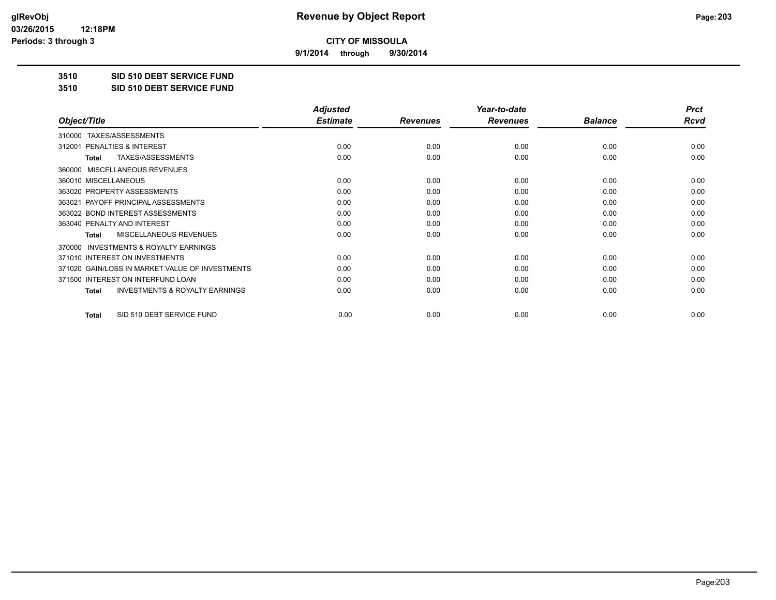**9/1/2014 through 9/30/2014**

**3510 SID 510 DEBT SERVICE FUND**

**3510 SID 510 DEBT SERVICE FUND**

|                                                           | <b>Adjusted</b> |                 | Year-to-date    |                | <b>Prct</b> |
|-----------------------------------------------------------|-----------------|-----------------|-----------------|----------------|-------------|
| Object/Title                                              | <b>Estimate</b> | <b>Revenues</b> | <b>Revenues</b> | <b>Balance</b> | <b>Rcvd</b> |
| TAXES/ASSESSMENTS<br>310000                               |                 |                 |                 |                |             |
| PENALTIES & INTEREST<br>312001                            | 0.00            | 0.00            | 0.00            | 0.00           | 0.00        |
| TAXES/ASSESSMENTS<br><b>Total</b>                         | 0.00            | 0.00            | 0.00            | 0.00           | 0.00        |
| 360000 MISCELLANEOUS REVENUES                             |                 |                 |                 |                |             |
| 360010 MISCELLANEOUS                                      | 0.00            | 0.00            | 0.00            | 0.00           | 0.00        |
| 363020 PROPERTY ASSESSMENTS                               | 0.00            | 0.00            | 0.00            | 0.00           | 0.00        |
| 363021 PAYOFF PRINCIPAL ASSESSMENTS                       | 0.00            | 0.00            | 0.00            | 0.00           | 0.00        |
| 363022 BOND INTEREST ASSESSMENTS                          | 0.00            | 0.00            | 0.00            | 0.00           | 0.00        |
| 363040 PENALTY AND INTEREST                               | 0.00            | 0.00            | 0.00            | 0.00           | 0.00        |
| <b>MISCELLANEOUS REVENUES</b><br><b>Total</b>             | 0.00            | 0.00            | 0.00            | 0.00           | 0.00        |
| <b>INVESTMENTS &amp; ROYALTY EARNINGS</b><br>370000       |                 |                 |                 |                |             |
| 371010 INTEREST ON INVESTMENTS                            | 0.00            | 0.00            | 0.00            | 0.00           | 0.00        |
| 371020 GAIN/LOSS IN MARKET VALUE OF INVESTMENTS           | 0.00            | 0.00            | 0.00            | 0.00           | 0.00        |
| 371500 INTEREST ON INTERFUND LOAN                         | 0.00            | 0.00            | 0.00            | 0.00           | 0.00        |
| <b>INVESTMENTS &amp; ROYALTY EARNINGS</b><br><b>Total</b> | 0.00            | 0.00            | 0.00            | 0.00           | 0.00        |
| SID 510 DEBT SERVICE FUND<br><b>Total</b>                 | 0.00            | 0.00            | 0.00            | 0.00           | 0.00        |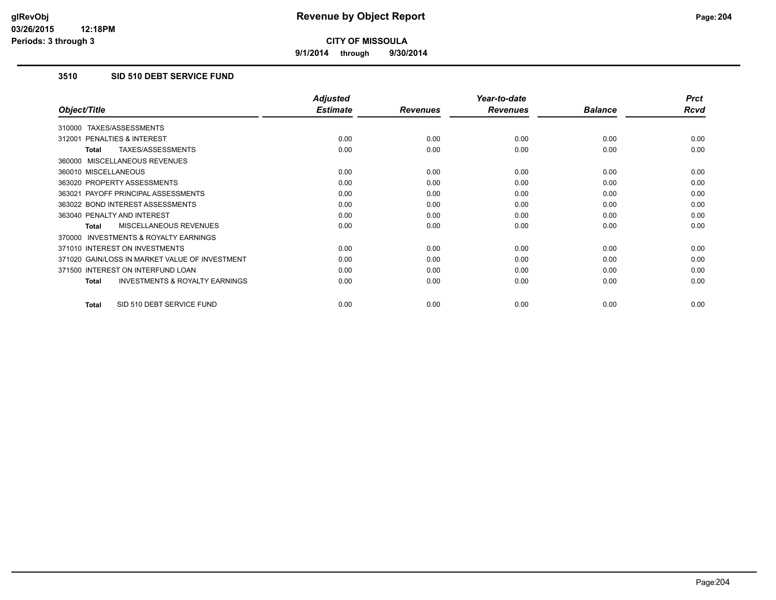**9/1/2014 through 9/30/2014**

# **3510 SID 510 DEBT SERVICE FUND**

|                                                           | <b>Adjusted</b> |                 | Year-to-date    |                | <b>Prct</b> |
|-----------------------------------------------------------|-----------------|-----------------|-----------------|----------------|-------------|
| Object/Title                                              | <b>Estimate</b> | <b>Revenues</b> | <b>Revenues</b> | <b>Balance</b> | Rcvd        |
| TAXES/ASSESSMENTS<br>310000                               |                 |                 |                 |                |             |
| <b>PENALTIES &amp; INTEREST</b><br>312001                 | 0.00            | 0.00            | 0.00            | 0.00           | 0.00        |
| TAXES/ASSESSMENTS<br><b>Total</b>                         | 0.00            | 0.00            | 0.00            | 0.00           | 0.00        |
| 360000 MISCELLANEOUS REVENUES                             |                 |                 |                 |                |             |
| 360010 MISCELLANEOUS                                      | 0.00            | 0.00            | 0.00            | 0.00           | 0.00        |
| 363020 PROPERTY ASSESSMENTS                               | 0.00            | 0.00            | 0.00            | 0.00           | 0.00        |
| 363021 PAYOFF PRINCIPAL ASSESSMENTS                       | 0.00            | 0.00            | 0.00            | 0.00           | 0.00        |
| 363022 BOND INTEREST ASSESSMENTS                          | 0.00            | 0.00            | 0.00            | 0.00           | 0.00        |
| 363040 PENALTY AND INTEREST                               | 0.00            | 0.00            | 0.00            | 0.00           | 0.00        |
| <b>MISCELLANEOUS REVENUES</b><br><b>Total</b>             | 0.00            | 0.00            | 0.00            | 0.00           | 0.00        |
| <b>INVESTMENTS &amp; ROYALTY EARNINGS</b><br>370000       |                 |                 |                 |                |             |
| 371010 INTEREST ON INVESTMENTS                            | 0.00            | 0.00            | 0.00            | 0.00           | 0.00        |
| 371020 GAIN/LOSS IN MARKET VALUE OF INVESTMENT            | 0.00            | 0.00            | 0.00            | 0.00           | 0.00        |
| 371500 INTEREST ON INTERFUND LOAN                         | 0.00            | 0.00            | 0.00            | 0.00           | 0.00        |
| <b>INVESTMENTS &amp; ROYALTY EARNINGS</b><br><b>Total</b> | 0.00            | 0.00            | 0.00            | 0.00           | 0.00        |
|                                                           |                 |                 |                 |                |             |
| SID 510 DEBT SERVICE FUND<br><b>Total</b>                 | 0.00            | 0.00            | 0.00            | 0.00           | 0.00        |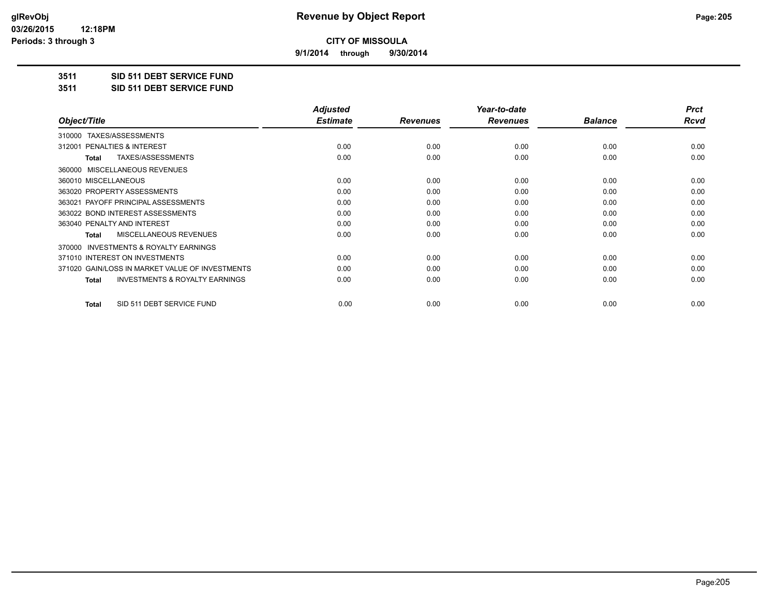**9/1/2014 through 9/30/2014**

**3511 SID 511 DEBT SERVICE FUND**

**3511 SID 511 DEBT SERVICE FUND**

|                                                           | <b>Adjusted</b> |                 | Year-to-date    |                | <b>Prct</b> |
|-----------------------------------------------------------|-----------------|-----------------|-----------------|----------------|-------------|
| Object/Title                                              | <b>Estimate</b> | <b>Revenues</b> | <b>Revenues</b> | <b>Balance</b> | <b>Rcvd</b> |
| TAXES/ASSESSMENTS<br>310000                               |                 |                 |                 |                |             |
| 312001 PENALTIES & INTEREST                               | 0.00            | 0.00            | 0.00            | 0.00           | 0.00        |
| TAXES/ASSESSMENTS<br>Total                                | 0.00            | 0.00            | 0.00            | 0.00           | 0.00        |
| MISCELLANEOUS REVENUES<br>360000                          |                 |                 |                 |                |             |
| 360010 MISCELLANEOUS                                      | 0.00            | 0.00            | 0.00            | 0.00           | 0.00        |
| 363020 PROPERTY ASSESSMENTS                               | 0.00            | 0.00            | 0.00            | 0.00           | 0.00        |
| 363021 PAYOFF PRINCIPAL ASSESSMENTS                       | 0.00            | 0.00            | 0.00            | 0.00           | 0.00        |
| 363022 BOND INTEREST ASSESSMENTS                          | 0.00            | 0.00            | 0.00            | 0.00           | 0.00        |
| 363040 PENALTY AND INTEREST                               | 0.00            | 0.00            | 0.00            | 0.00           | 0.00        |
| MISCELLANEOUS REVENUES<br><b>Total</b>                    | 0.00            | 0.00            | 0.00            | 0.00           | 0.00        |
| <b>INVESTMENTS &amp; ROYALTY EARNINGS</b><br>370000       |                 |                 |                 |                |             |
| 371010 INTEREST ON INVESTMENTS                            | 0.00            | 0.00            | 0.00            | 0.00           | 0.00        |
| 371020 GAIN/LOSS IN MARKET VALUE OF INVESTMENTS           | 0.00            | 0.00            | 0.00            | 0.00           | 0.00        |
| <b>INVESTMENTS &amp; ROYALTY EARNINGS</b><br><b>Total</b> | 0.00            | 0.00            | 0.00            | 0.00           | 0.00        |
| SID 511 DEBT SERVICE FUND<br><b>Total</b>                 | 0.00            | 0.00            | 0.00            | 0.00           | 0.00        |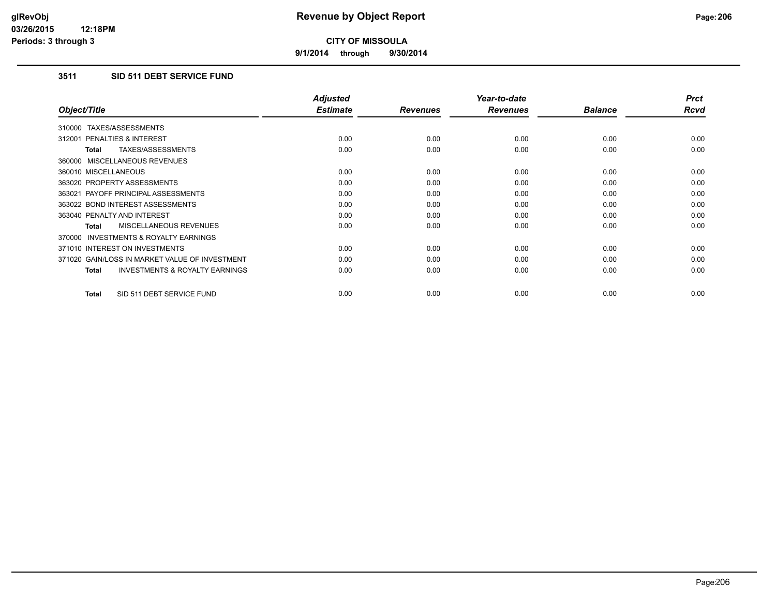**9/1/2014 through 9/30/2014**

# **3511 SID 511 DEBT SERVICE FUND**

|                                                           | <b>Adjusted</b> |                 | Year-to-date    |                | <b>Prct</b> |
|-----------------------------------------------------------|-----------------|-----------------|-----------------|----------------|-------------|
| Object/Title                                              | <b>Estimate</b> | <b>Revenues</b> | <b>Revenues</b> | <b>Balance</b> | <b>Rcvd</b> |
| 310000 TAXES/ASSESSMENTS                                  |                 |                 |                 |                |             |
| 312001 PENALTIES & INTEREST                               | 0.00            | 0.00            | 0.00            | 0.00           | 0.00        |
| TAXES/ASSESSMENTS<br><b>Total</b>                         | 0.00            | 0.00            | 0.00            | 0.00           | 0.00        |
| 360000 MISCELLANEOUS REVENUES                             |                 |                 |                 |                |             |
| 360010 MISCELLANEOUS                                      | 0.00            | 0.00            | 0.00            | 0.00           | 0.00        |
| 363020 PROPERTY ASSESSMENTS                               | 0.00            | 0.00            | 0.00            | 0.00           | 0.00        |
| 363021 PAYOFF PRINCIPAL ASSESSMENTS                       | 0.00            | 0.00            | 0.00            | 0.00           | 0.00        |
| 363022 BOND INTEREST ASSESSMENTS                          | 0.00            | 0.00            | 0.00            | 0.00           | 0.00        |
| 363040 PENALTY AND INTEREST                               | 0.00            | 0.00            | 0.00            | 0.00           | 0.00        |
| MISCELLANEOUS REVENUES<br><b>Total</b>                    | 0.00            | 0.00            | 0.00            | 0.00           | 0.00        |
| INVESTMENTS & ROYALTY EARNINGS<br>370000                  |                 |                 |                 |                |             |
| 371010 INTEREST ON INVESTMENTS                            | 0.00            | 0.00            | 0.00            | 0.00           | 0.00        |
| 371020 GAIN/LOSS IN MARKET VALUE OF INVESTMENT            | 0.00            | 0.00            | 0.00            | 0.00           | 0.00        |
| <b>INVESTMENTS &amp; ROYALTY EARNINGS</b><br><b>Total</b> | 0.00            | 0.00            | 0.00            | 0.00           | 0.00        |
| SID 511 DEBT SERVICE FUND<br><b>Total</b>                 | 0.00            | 0.00            | 0.00            | 0.00           | 0.00        |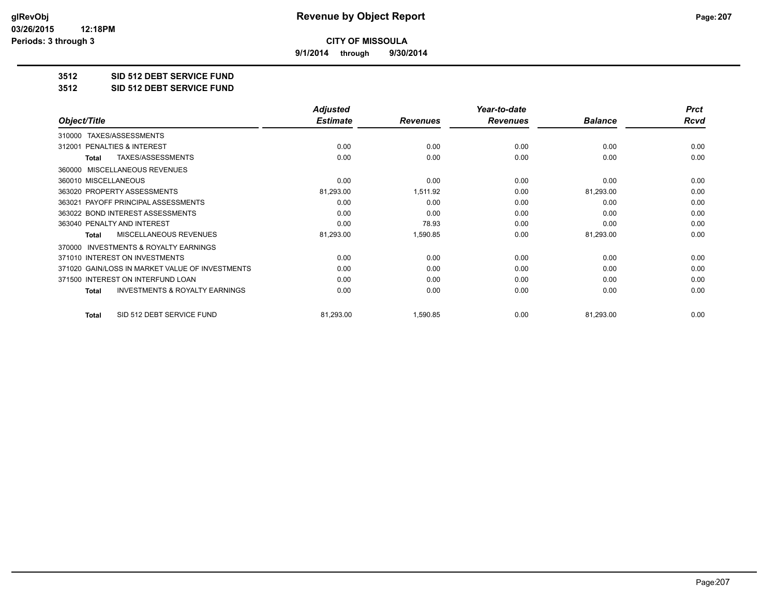**9/1/2014 through 9/30/2014**

### **3512 SID 512 DEBT SERVICE FUND**

**3512 SID 512 DEBT SERVICE FUND**

|                                                           | <b>Adjusted</b> |                 | Year-to-date    |                | <b>Prct</b> |
|-----------------------------------------------------------|-----------------|-----------------|-----------------|----------------|-------------|
| Object/Title                                              | <b>Estimate</b> | <b>Revenues</b> | <b>Revenues</b> | <b>Balance</b> | Rcvd        |
| TAXES/ASSESSMENTS<br>310000                               |                 |                 |                 |                |             |
| PENALTIES & INTEREST<br>312001                            | 0.00            | 0.00            | 0.00            | 0.00           | 0.00        |
| TAXES/ASSESSMENTS<br><b>Total</b>                         | 0.00            | 0.00            | 0.00            | 0.00           | 0.00        |
| MISCELLANEOUS REVENUES<br>360000                          |                 |                 |                 |                |             |
| 360010 MISCELLANEOUS                                      | 0.00            | 0.00            | 0.00            | 0.00           | 0.00        |
| 363020 PROPERTY ASSESSMENTS                               | 81,293.00       | 1,511.92        | 0.00            | 81,293.00      | 0.00        |
| 363021 PAYOFF PRINCIPAL ASSESSMENTS                       | 0.00            | 0.00            | 0.00            | 0.00           | 0.00        |
| 363022 BOND INTEREST ASSESSMENTS                          | 0.00            | 0.00            | 0.00            | 0.00           | 0.00        |
| 363040 PENALTY AND INTEREST                               | 0.00            | 78.93           | 0.00            | 0.00           | 0.00        |
| <b>MISCELLANEOUS REVENUES</b><br><b>Total</b>             | 81,293.00       | 1,590.85        | 0.00            | 81,293.00      | 0.00        |
| <b>INVESTMENTS &amp; ROYALTY EARNINGS</b><br>370000       |                 |                 |                 |                |             |
| 371010 INTEREST ON INVESTMENTS                            | 0.00            | 0.00            | 0.00            | 0.00           | 0.00        |
| 371020 GAIN/LOSS IN MARKET VALUE OF INVESTMENTS           | 0.00            | 0.00            | 0.00            | 0.00           | 0.00        |
| 371500 INTEREST ON INTERFUND LOAN                         | 0.00            | 0.00            | 0.00            | 0.00           | 0.00        |
| <b>INVESTMENTS &amp; ROYALTY EARNINGS</b><br><b>Total</b> | 0.00            | 0.00            | 0.00            | 0.00           | 0.00        |
| SID 512 DEBT SERVICE FUND<br><b>Total</b>                 | 81,293.00       | 1,590.85        | 0.00            | 81,293.00      | 0.00        |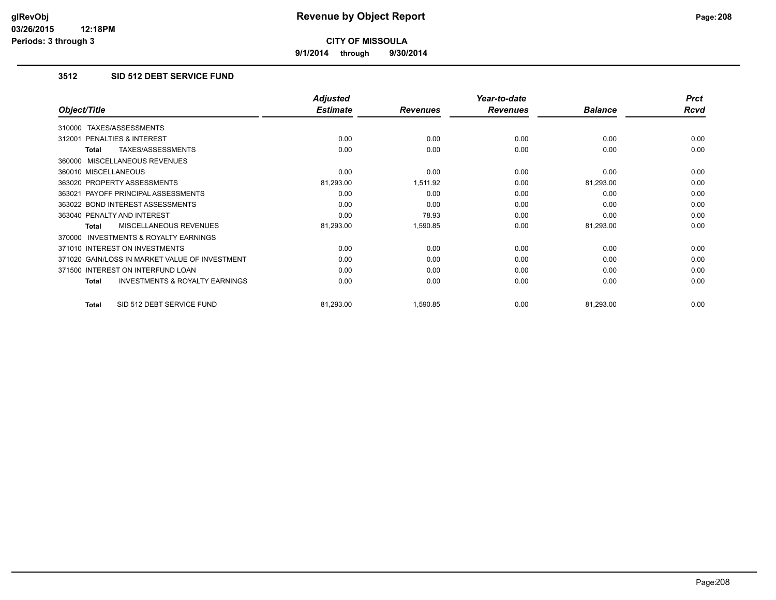**9/1/2014 through 9/30/2014**

# **3512 SID 512 DEBT SERVICE FUND**

|                                                    | <b>Adjusted</b> |                 | Year-to-date    |                | <b>Prct</b> |
|----------------------------------------------------|-----------------|-----------------|-----------------|----------------|-------------|
| Object/Title                                       | <b>Estimate</b> | <b>Revenues</b> | <b>Revenues</b> | <b>Balance</b> | <b>Rcvd</b> |
| TAXES/ASSESSMENTS<br>310000                        |                 |                 |                 |                |             |
| <b>PENALTIES &amp; INTEREST</b><br>312001          | 0.00            | 0.00            | 0.00            | 0.00           | 0.00        |
| TAXES/ASSESSMENTS<br>Total                         | 0.00            | 0.00            | 0.00            | 0.00           | 0.00        |
| 360000 MISCELLANEOUS REVENUES                      |                 |                 |                 |                |             |
| 360010 MISCELLANEOUS                               | 0.00            | 0.00            | 0.00            | 0.00           | 0.00        |
| 363020 PROPERTY ASSESSMENTS                        | 81,293.00       | 1,511.92        | 0.00            | 81,293.00      | 0.00        |
| 363021 PAYOFF PRINCIPAL ASSESSMENTS                | 0.00            | 0.00            | 0.00            | 0.00           | 0.00        |
| 363022 BOND INTEREST ASSESSMENTS                   | 0.00            | 0.00            | 0.00            | 0.00           | 0.00        |
| 363040 PENALTY AND INTEREST                        | 0.00            | 78.93           | 0.00            | 0.00           | 0.00        |
| MISCELLANEOUS REVENUES<br><b>Total</b>             | 81,293.00       | 1,590.85        | 0.00            | 81,293.00      | 0.00        |
| 370000 INVESTMENTS & ROYALTY EARNINGS              |                 |                 |                 |                |             |
| 371010 INTEREST ON INVESTMENTS                     | 0.00            | 0.00            | 0.00            | 0.00           | 0.00        |
| 371020 GAIN/LOSS IN MARKET VALUE OF INVESTMENT     | 0.00            | 0.00            | 0.00            | 0.00           | 0.00        |
| 371500 INTEREST ON INTERFUND LOAN                  | 0.00            | 0.00            | 0.00            | 0.00           | 0.00        |
| <b>INVESTMENTS &amp; ROYALTY EARNINGS</b><br>Total | 0.00            | 0.00            | 0.00            | 0.00           | 0.00        |
| SID 512 DEBT SERVICE FUND<br>Total                 | 81,293.00       | 1,590.85        | 0.00            | 81,293.00      | 0.00        |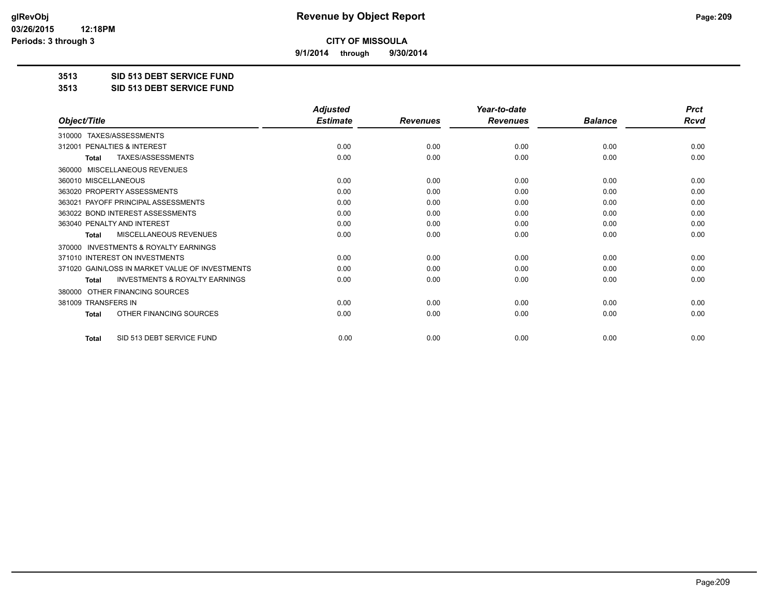**9/1/2014 through 9/30/2014**

**3513 SID 513 DEBT SERVICE FUND**

**3513 SID 513 DEBT SERVICE FUND**

|                                                           | <b>Adjusted</b> |                 | Year-to-date    |                | <b>Prct</b> |
|-----------------------------------------------------------|-----------------|-----------------|-----------------|----------------|-------------|
| Object/Title                                              | <b>Estimate</b> | <b>Revenues</b> | <b>Revenues</b> | <b>Balance</b> | <b>Rcvd</b> |
| TAXES/ASSESSMENTS<br>310000                               |                 |                 |                 |                |             |
| PENALTIES & INTEREST<br>312001                            | 0.00            | 0.00            | 0.00            | 0.00           | 0.00        |
| TAXES/ASSESSMENTS<br><b>Total</b>                         | 0.00            | 0.00            | 0.00            | 0.00           | 0.00        |
| <b>MISCELLANEOUS REVENUES</b><br>360000                   |                 |                 |                 |                |             |
| 360010 MISCELLANEOUS                                      | 0.00            | 0.00            | 0.00            | 0.00           | 0.00        |
| 363020 PROPERTY ASSESSMENTS                               | 0.00            | 0.00            | 0.00            | 0.00           | 0.00        |
| 363021 PAYOFF PRINCIPAL ASSESSMENTS                       | 0.00            | 0.00            | 0.00            | 0.00           | 0.00        |
| 363022 BOND INTEREST ASSESSMENTS                          | 0.00            | 0.00            | 0.00            | 0.00           | 0.00        |
| 363040 PENALTY AND INTEREST                               | 0.00            | 0.00            | 0.00            | 0.00           | 0.00        |
| MISCELLANEOUS REVENUES<br><b>Total</b>                    | 0.00            | 0.00            | 0.00            | 0.00           | 0.00        |
| <b>INVESTMENTS &amp; ROYALTY EARNINGS</b><br>370000       |                 |                 |                 |                |             |
| 371010 INTEREST ON INVESTMENTS                            | 0.00            | 0.00            | 0.00            | 0.00           | 0.00        |
| 371020 GAIN/LOSS IN MARKET VALUE OF INVESTMENTS           | 0.00            | 0.00            | 0.00            | 0.00           | 0.00        |
| <b>INVESTMENTS &amp; ROYALTY EARNINGS</b><br><b>Total</b> | 0.00            | 0.00            | 0.00            | 0.00           | 0.00        |
| OTHER FINANCING SOURCES<br>380000                         |                 |                 |                 |                |             |
| 381009 TRANSFERS IN                                       | 0.00            | 0.00            | 0.00            | 0.00           | 0.00        |
| OTHER FINANCING SOURCES<br><b>Total</b>                   | 0.00            | 0.00            | 0.00            | 0.00           | 0.00        |
| SID 513 DEBT SERVICE FUND<br><b>Total</b>                 | 0.00            | 0.00            | 0.00            | 0.00           | 0.00        |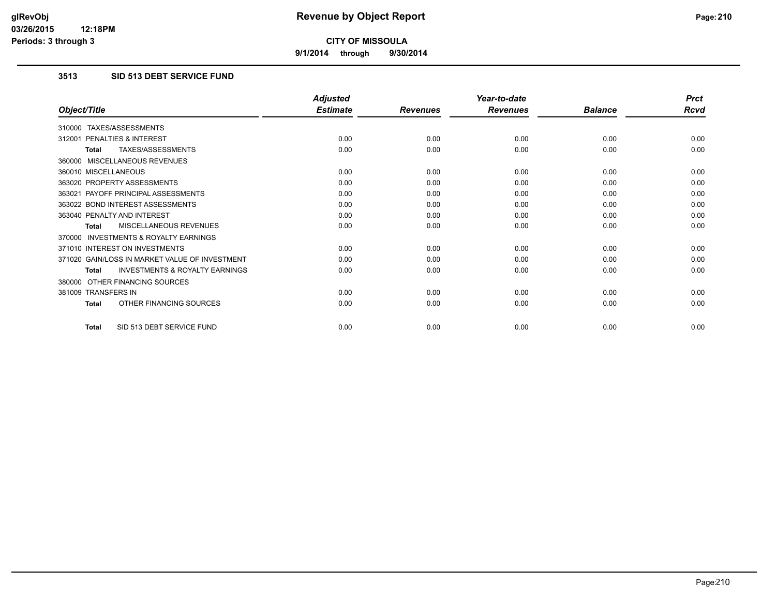**9/1/2014 through 9/30/2014**

# **3513 SID 513 DEBT SERVICE FUND**

|                                                           | <b>Adjusted</b> |                 | Year-to-date    |                | <b>Prct</b> |
|-----------------------------------------------------------|-----------------|-----------------|-----------------|----------------|-------------|
| Object/Title                                              | <b>Estimate</b> | <b>Revenues</b> | <b>Revenues</b> | <b>Balance</b> | <b>Rcvd</b> |
| 310000 TAXES/ASSESSMENTS                                  |                 |                 |                 |                |             |
| 312001 PENALTIES & INTEREST                               | 0.00            | 0.00            | 0.00            | 0.00           | 0.00        |
| TAXES/ASSESSMENTS<br><b>Total</b>                         | 0.00            | 0.00            | 0.00            | 0.00           | 0.00        |
| 360000 MISCELLANEOUS REVENUES                             |                 |                 |                 |                |             |
| 360010 MISCELLANEOUS                                      | 0.00            | 0.00            | 0.00            | 0.00           | 0.00        |
| 363020 PROPERTY ASSESSMENTS                               | 0.00            | 0.00            | 0.00            | 0.00           | 0.00        |
| 363021 PAYOFF PRINCIPAL ASSESSMENTS                       | 0.00            | 0.00            | 0.00            | 0.00           | 0.00        |
| 363022 BOND INTEREST ASSESSMENTS                          | 0.00            | 0.00            | 0.00            | 0.00           | 0.00        |
| 363040 PENALTY AND INTEREST                               | 0.00            | 0.00            | 0.00            | 0.00           | 0.00        |
| MISCELLANEOUS REVENUES<br><b>Total</b>                    | 0.00            | 0.00            | 0.00            | 0.00           | 0.00        |
| <b>INVESTMENTS &amp; ROYALTY EARNINGS</b><br>370000       |                 |                 |                 |                |             |
| 371010 INTEREST ON INVESTMENTS                            | 0.00            | 0.00            | 0.00            | 0.00           | 0.00        |
| 371020 GAIN/LOSS IN MARKET VALUE OF INVESTMENT            | 0.00            | 0.00            | 0.00            | 0.00           | 0.00        |
| <b>INVESTMENTS &amp; ROYALTY EARNINGS</b><br><b>Total</b> | 0.00            | 0.00            | 0.00            | 0.00           | 0.00        |
| 380000 OTHER FINANCING SOURCES                            |                 |                 |                 |                |             |
| 381009 TRANSFERS IN                                       | 0.00            | 0.00            | 0.00            | 0.00           | 0.00        |
| OTHER FINANCING SOURCES<br>Total                          | 0.00            | 0.00            | 0.00            | 0.00           | 0.00        |
| SID 513 DEBT SERVICE FUND<br>Total                        | 0.00            | 0.00            | 0.00            | 0.00           | 0.00        |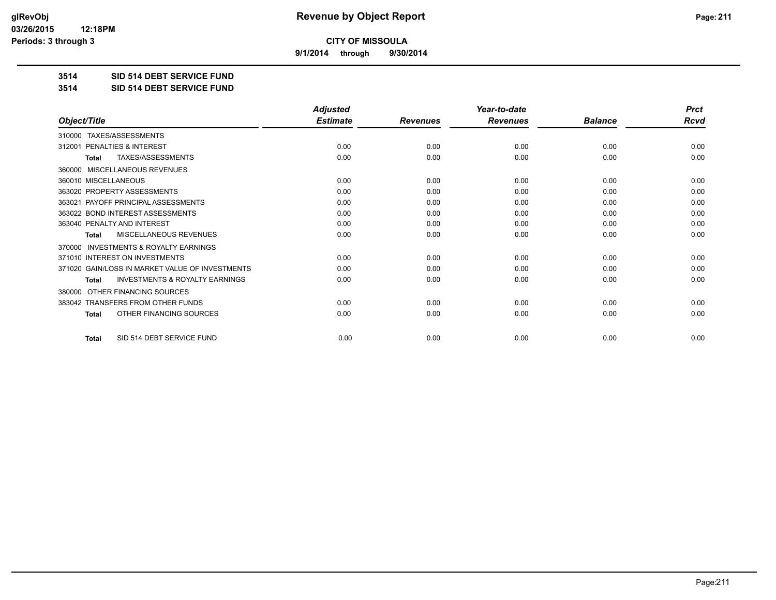**9/1/2014 through 9/30/2014**

**3514 SID 514 DEBT SERVICE FUND**

**3514 SID 514 DEBT SERVICE FUND**

|                                                     | <b>Adjusted</b> |                 | Year-to-date    |                | <b>Prct</b> |
|-----------------------------------------------------|-----------------|-----------------|-----------------|----------------|-------------|
| Object/Title                                        | <b>Estimate</b> | <b>Revenues</b> | <b>Revenues</b> | <b>Balance</b> | Rcvd        |
| TAXES/ASSESSMENTS<br>310000                         |                 |                 |                 |                |             |
| PENALTIES & INTEREST<br>312001                      | 0.00            | 0.00            | 0.00            | 0.00           | 0.00        |
| TAXES/ASSESSMENTS<br><b>Total</b>                   | 0.00            | 0.00            | 0.00            | 0.00           | 0.00        |
| MISCELLANEOUS REVENUES<br>360000                    |                 |                 |                 |                |             |
| 360010 MISCELLANEOUS                                | 0.00            | 0.00            | 0.00            | 0.00           | 0.00        |
| 363020 PROPERTY ASSESSMENTS                         | 0.00            | 0.00            | 0.00            | 0.00           | 0.00        |
| 363021 PAYOFF PRINCIPAL ASSESSMENTS                 | 0.00            | 0.00            | 0.00            | 0.00           | 0.00        |
| 363022 BOND INTEREST ASSESSMENTS                    | 0.00            | 0.00            | 0.00            | 0.00           | 0.00        |
| 363040 PENALTY AND INTEREST                         | 0.00            | 0.00            | 0.00            | 0.00           | 0.00        |
| MISCELLANEOUS REVENUES<br>Total                     | 0.00            | 0.00            | 0.00            | 0.00           | 0.00        |
| <b>INVESTMENTS &amp; ROYALTY EARNINGS</b><br>370000 |                 |                 |                 |                |             |
| 371010 INTEREST ON INVESTMENTS                      | 0.00            | 0.00            | 0.00            | 0.00           | 0.00        |
| 371020 GAIN/LOSS IN MARKET VALUE OF INVESTMENTS     | 0.00            | 0.00            | 0.00            | 0.00           | 0.00        |
| <b>INVESTMENTS &amp; ROYALTY EARNINGS</b><br>Total  | 0.00            | 0.00            | 0.00            | 0.00           | 0.00        |
| OTHER FINANCING SOURCES<br>380000                   |                 |                 |                 |                |             |
| 383042 TRANSFERS FROM OTHER FUNDS                   | 0.00            | 0.00            | 0.00            | 0.00           | 0.00        |
| OTHER FINANCING SOURCES<br><b>Total</b>             | 0.00            | 0.00            | 0.00            | 0.00           | 0.00        |
| SID 514 DEBT SERVICE FUND<br><b>Total</b>           | 0.00            | 0.00            | 0.00            | 0.00           | 0.00        |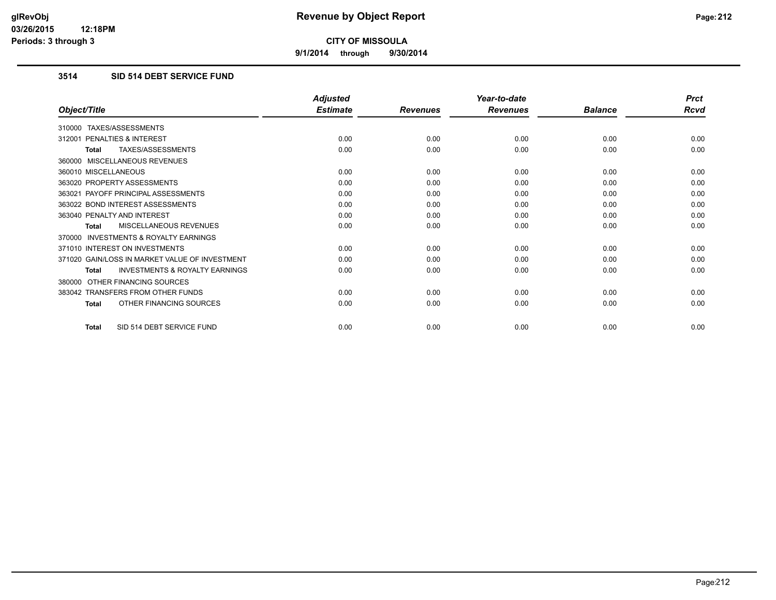**9/1/2014 through 9/30/2014**

# **3514 SID 514 DEBT SERVICE FUND**

|                                                           | <b>Adjusted</b> |                 | Year-to-date    |                | <b>Prct</b> |
|-----------------------------------------------------------|-----------------|-----------------|-----------------|----------------|-------------|
| Object/Title                                              | <b>Estimate</b> | <b>Revenues</b> | <b>Revenues</b> | <b>Balance</b> | Rcvd        |
| 310000 TAXES/ASSESSMENTS                                  |                 |                 |                 |                |             |
| PENALTIES & INTEREST<br>312001                            | 0.00            | 0.00            | 0.00            | 0.00           | 0.00        |
| TAXES/ASSESSMENTS<br><b>Total</b>                         | 0.00            | 0.00            | 0.00            | 0.00           | 0.00        |
| MISCELLANEOUS REVENUES<br>360000                          |                 |                 |                 |                |             |
| 360010 MISCELLANEOUS                                      | 0.00            | 0.00            | 0.00            | 0.00           | 0.00        |
| 363020 PROPERTY ASSESSMENTS                               | 0.00            | 0.00            | 0.00            | 0.00           | 0.00        |
| 363021 PAYOFF PRINCIPAL ASSESSMENTS                       | 0.00            | 0.00            | 0.00            | 0.00           | 0.00        |
| 363022 BOND INTEREST ASSESSMENTS                          | 0.00            | 0.00            | 0.00            | 0.00           | 0.00        |
| 363040 PENALTY AND INTEREST                               | 0.00            | 0.00            | 0.00            | 0.00           | 0.00        |
| <b>MISCELLANEOUS REVENUES</b><br><b>Total</b>             | 0.00            | 0.00            | 0.00            | 0.00           | 0.00        |
| <b>INVESTMENTS &amp; ROYALTY EARNINGS</b><br>370000       |                 |                 |                 |                |             |
| 371010 INTEREST ON INVESTMENTS                            | 0.00            | 0.00            | 0.00            | 0.00           | 0.00        |
| 371020 GAIN/LOSS IN MARKET VALUE OF INVESTMENT            | 0.00            | 0.00            | 0.00            | 0.00           | 0.00        |
| <b>INVESTMENTS &amp; ROYALTY EARNINGS</b><br><b>Total</b> | 0.00            | 0.00            | 0.00            | 0.00           | 0.00        |
| OTHER FINANCING SOURCES<br>380000                         |                 |                 |                 |                |             |
| 383042 TRANSFERS FROM OTHER FUNDS                         | 0.00            | 0.00            | 0.00            | 0.00           | 0.00        |
| OTHER FINANCING SOURCES<br><b>Total</b>                   | 0.00            | 0.00            | 0.00            | 0.00           | 0.00        |
| SID 514 DEBT SERVICE FUND<br><b>Total</b>                 | 0.00            | 0.00            | 0.00            | 0.00           | 0.00        |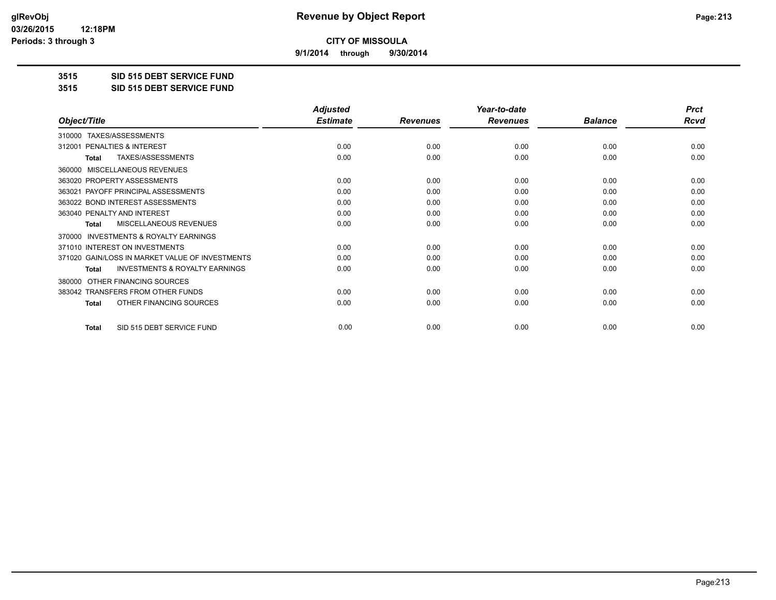**9/1/2014 through 9/30/2014**

**3515 SID 515 DEBT SERVICE FUND**

**3515 SID 515 DEBT SERVICE FUND**

|                                                           | <b>Adjusted</b> |                 | Year-to-date    |                | <b>Prct</b> |
|-----------------------------------------------------------|-----------------|-----------------|-----------------|----------------|-------------|
| Object/Title                                              | <b>Estimate</b> | <b>Revenues</b> | <b>Revenues</b> | <b>Balance</b> | <b>Rcvd</b> |
| TAXES/ASSESSMENTS<br>310000                               |                 |                 |                 |                |             |
| PENALTIES & INTEREST<br>312001                            | 0.00            | 0.00            | 0.00            | 0.00           | 0.00        |
| TAXES/ASSESSMENTS<br>Total                                | 0.00            | 0.00            | 0.00            | 0.00           | 0.00        |
| MISCELLANEOUS REVENUES<br>360000                          |                 |                 |                 |                |             |
| 363020 PROPERTY ASSESSMENTS                               | 0.00            | 0.00            | 0.00            | 0.00           | 0.00        |
| 363021 PAYOFF PRINCIPAL ASSESSMENTS                       | 0.00            | 0.00            | 0.00            | 0.00           | 0.00        |
| 363022 BOND INTEREST ASSESSMENTS                          | 0.00            | 0.00            | 0.00            | 0.00           | 0.00        |
| 363040 PENALTY AND INTEREST                               | 0.00            | 0.00            | 0.00            | 0.00           | 0.00        |
| MISCELLANEOUS REVENUES<br><b>Total</b>                    | 0.00            | 0.00            | 0.00            | 0.00           | 0.00        |
| <b>INVESTMENTS &amp; ROYALTY EARNINGS</b><br>370000       |                 |                 |                 |                |             |
| 371010 INTEREST ON INVESTMENTS                            | 0.00            | 0.00            | 0.00            | 0.00           | 0.00        |
| 371020 GAIN/LOSS IN MARKET VALUE OF INVESTMENTS           | 0.00            | 0.00            | 0.00            | 0.00           | 0.00        |
| <b>INVESTMENTS &amp; ROYALTY EARNINGS</b><br><b>Total</b> | 0.00            | 0.00            | 0.00            | 0.00           | 0.00        |
| OTHER FINANCING SOURCES<br>380000                         |                 |                 |                 |                |             |
| 383042 TRANSFERS FROM OTHER FUNDS                         | 0.00            | 0.00            | 0.00            | 0.00           | 0.00        |
| OTHER FINANCING SOURCES<br><b>Total</b>                   | 0.00            | 0.00            | 0.00            | 0.00           | 0.00        |
|                                                           |                 |                 |                 |                |             |
| SID 515 DEBT SERVICE FUND<br><b>Total</b>                 | 0.00            | 0.00            | 0.00            | 0.00           | 0.00        |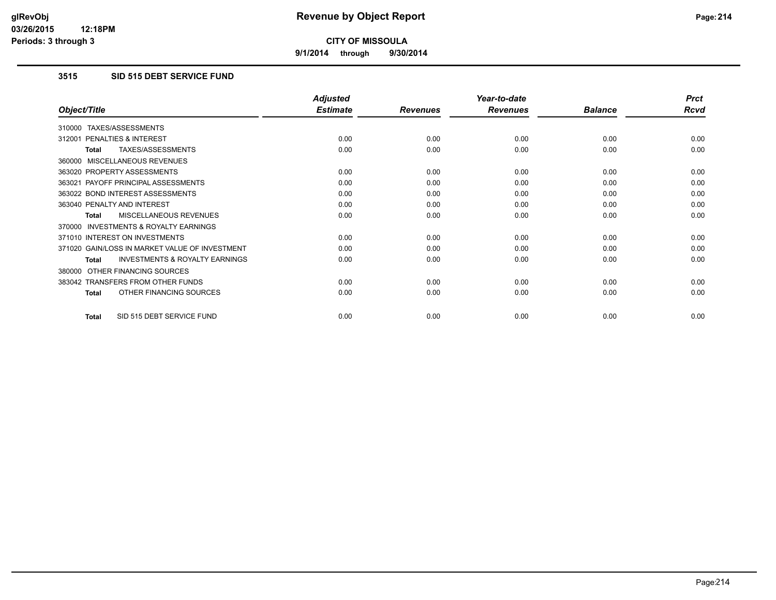**9/1/2014 through 9/30/2014**

# **3515 SID 515 DEBT SERVICE FUND**

|                                                           | <b>Adjusted</b> |                 | Year-to-date    |                | <b>Prct</b> |
|-----------------------------------------------------------|-----------------|-----------------|-----------------|----------------|-------------|
| Object/Title                                              | <b>Estimate</b> | <b>Revenues</b> | <b>Revenues</b> | <b>Balance</b> | <b>Rcvd</b> |
| TAXES/ASSESSMENTS<br>310000                               |                 |                 |                 |                |             |
| 312001 PENALTIES & INTEREST                               | 0.00            | 0.00            | 0.00            | 0.00           | 0.00        |
| TAXES/ASSESSMENTS<br><b>Total</b>                         | 0.00            | 0.00            | 0.00            | 0.00           | 0.00        |
| MISCELLANEOUS REVENUES<br>360000                          |                 |                 |                 |                |             |
| 363020 PROPERTY ASSESSMENTS                               | 0.00            | 0.00            | 0.00            | 0.00           | 0.00        |
| 363021 PAYOFF PRINCIPAL ASSESSMENTS                       | 0.00            | 0.00            | 0.00            | 0.00           | 0.00        |
| 363022 BOND INTEREST ASSESSMENTS                          | 0.00            | 0.00            | 0.00            | 0.00           | 0.00        |
| 363040 PENALTY AND INTEREST                               | 0.00            | 0.00            | 0.00            | 0.00           | 0.00        |
| MISCELLANEOUS REVENUES<br><b>Total</b>                    | 0.00            | 0.00            | 0.00            | 0.00           | 0.00        |
| <b>INVESTMENTS &amp; ROYALTY EARNINGS</b><br>370000       |                 |                 |                 |                |             |
| 371010 INTEREST ON INVESTMENTS                            | 0.00            | 0.00            | 0.00            | 0.00           | 0.00        |
| 371020 GAIN/LOSS IN MARKET VALUE OF INVESTMENT            | 0.00            | 0.00            | 0.00            | 0.00           | 0.00        |
| <b>INVESTMENTS &amp; ROYALTY EARNINGS</b><br><b>Total</b> | 0.00            | 0.00            | 0.00            | 0.00           | 0.00        |
| OTHER FINANCING SOURCES<br>380000                         |                 |                 |                 |                |             |
| 383042 TRANSFERS FROM OTHER FUNDS                         | 0.00            | 0.00            | 0.00            | 0.00           | 0.00        |
| OTHER FINANCING SOURCES<br><b>Total</b>                   | 0.00            | 0.00            | 0.00            | 0.00           | 0.00        |
| SID 515 DEBT SERVICE FUND<br>Total                        | 0.00            | 0.00            | 0.00            | 0.00           | 0.00        |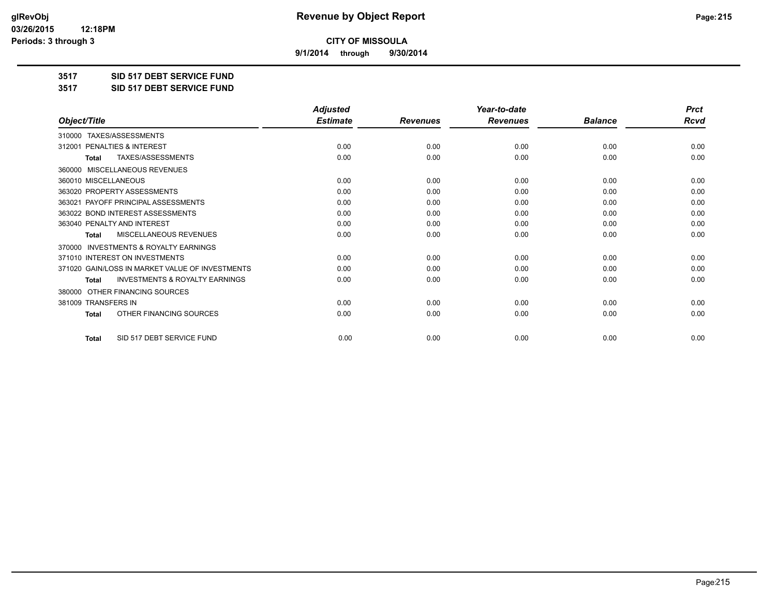**9/1/2014 through 9/30/2014**

**3517 SID 517 DEBT SERVICE FUND**

**3517 SID 517 DEBT SERVICE FUND**

|                                                           | <b>Adjusted</b> |                 | Year-to-date    |                | <b>Prct</b> |
|-----------------------------------------------------------|-----------------|-----------------|-----------------|----------------|-------------|
| Object/Title                                              | <b>Estimate</b> | <b>Revenues</b> | <b>Revenues</b> | <b>Balance</b> | <b>Rcvd</b> |
| TAXES/ASSESSMENTS<br>310000                               |                 |                 |                 |                |             |
| 312001 PENALTIES & INTEREST                               | 0.00            | 0.00            | 0.00            | 0.00           | 0.00        |
| TAXES/ASSESSMENTS<br><b>Total</b>                         | 0.00            | 0.00            | 0.00            | 0.00           | 0.00        |
| MISCELLANEOUS REVENUES<br>360000                          |                 |                 |                 |                |             |
| 360010 MISCELLANEOUS                                      | 0.00            | 0.00            | 0.00            | 0.00           | 0.00        |
| 363020 PROPERTY ASSESSMENTS                               | 0.00            | 0.00            | 0.00            | 0.00           | 0.00        |
| 363021 PAYOFF PRINCIPAL ASSESSMENTS                       | 0.00            | 0.00            | 0.00            | 0.00           | 0.00        |
| 363022 BOND INTEREST ASSESSMENTS                          | 0.00            | 0.00            | 0.00            | 0.00           | 0.00        |
| 363040 PENALTY AND INTEREST                               | 0.00            | 0.00            | 0.00            | 0.00           | 0.00        |
| <b>MISCELLANEOUS REVENUES</b><br><b>Total</b>             | 0.00            | 0.00            | 0.00            | 0.00           | 0.00        |
| <b>INVESTMENTS &amp; ROYALTY EARNINGS</b><br>370000       |                 |                 |                 |                |             |
| 371010 INTEREST ON INVESTMENTS                            | 0.00            | 0.00            | 0.00            | 0.00           | 0.00        |
| 371020 GAIN/LOSS IN MARKET VALUE OF INVESTMENTS           | 0.00            | 0.00            | 0.00            | 0.00           | 0.00        |
| <b>INVESTMENTS &amp; ROYALTY EARNINGS</b><br><b>Total</b> | 0.00            | 0.00            | 0.00            | 0.00           | 0.00        |
| OTHER FINANCING SOURCES<br>380000                         |                 |                 |                 |                |             |
| 381009 TRANSFERS IN                                       | 0.00            | 0.00            | 0.00            | 0.00           | 0.00        |
| OTHER FINANCING SOURCES<br>Total                          | 0.00            | 0.00            | 0.00            | 0.00           | 0.00        |
| SID 517 DEBT SERVICE FUND<br><b>Total</b>                 | 0.00            | 0.00            | 0.00            | 0.00           | 0.00        |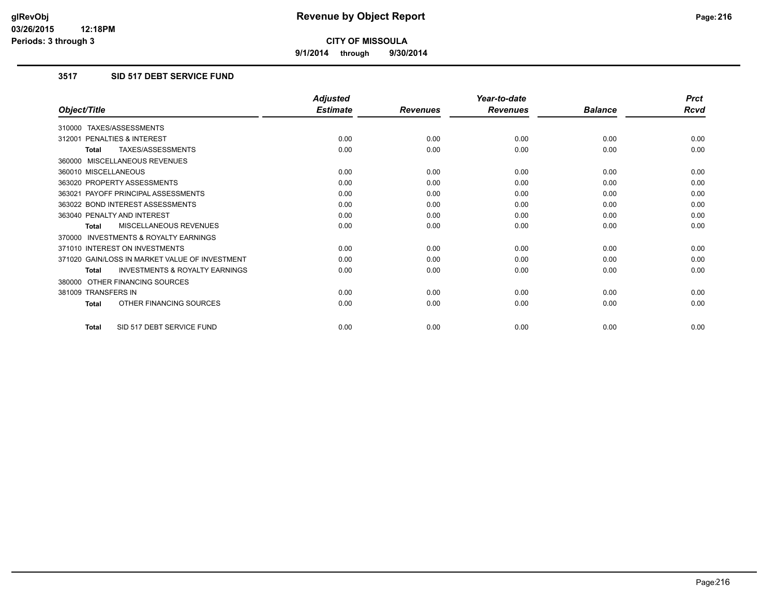**9/1/2014 through 9/30/2014**

# **3517 SID 517 DEBT SERVICE FUND**

|                                                           | <b>Adjusted</b> |                 | Year-to-date    |                | <b>Prct</b> |
|-----------------------------------------------------------|-----------------|-----------------|-----------------|----------------|-------------|
| Object/Title                                              | <b>Estimate</b> | <b>Revenues</b> | <b>Revenues</b> | <b>Balance</b> | <b>Rcvd</b> |
| 310000 TAXES/ASSESSMENTS                                  |                 |                 |                 |                |             |
| 312001 PENALTIES & INTEREST                               | 0.00            | 0.00            | 0.00            | 0.00           | 0.00        |
| TAXES/ASSESSMENTS<br><b>Total</b>                         | 0.00            | 0.00            | 0.00            | 0.00           | 0.00        |
| 360000 MISCELLANEOUS REVENUES                             |                 |                 |                 |                |             |
| 360010 MISCELLANEOUS                                      | 0.00            | 0.00            | 0.00            | 0.00           | 0.00        |
| 363020 PROPERTY ASSESSMENTS                               | 0.00            | 0.00            | 0.00            | 0.00           | 0.00        |
| 363021 PAYOFF PRINCIPAL ASSESSMENTS                       | 0.00            | 0.00            | 0.00            | 0.00           | 0.00        |
| 363022 BOND INTEREST ASSESSMENTS                          | 0.00            | 0.00            | 0.00            | 0.00           | 0.00        |
| 363040 PENALTY AND INTEREST                               | 0.00            | 0.00            | 0.00            | 0.00           | 0.00        |
| MISCELLANEOUS REVENUES<br><b>Total</b>                    | 0.00            | 0.00            | 0.00            | 0.00           | 0.00        |
| <b>INVESTMENTS &amp; ROYALTY EARNINGS</b><br>370000       |                 |                 |                 |                |             |
| 371010 INTEREST ON INVESTMENTS                            | 0.00            | 0.00            | 0.00            | 0.00           | 0.00        |
| 371020 GAIN/LOSS IN MARKET VALUE OF INVESTMENT            | 0.00            | 0.00            | 0.00            | 0.00           | 0.00        |
| <b>INVESTMENTS &amp; ROYALTY EARNINGS</b><br><b>Total</b> | 0.00            | 0.00            | 0.00            | 0.00           | 0.00        |
| 380000 OTHER FINANCING SOURCES                            |                 |                 |                 |                |             |
| 381009 TRANSFERS IN                                       | 0.00            | 0.00            | 0.00            | 0.00           | 0.00        |
| OTHER FINANCING SOURCES<br><b>Total</b>                   | 0.00            | 0.00            | 0.00            | 0.00           | 0.00        |
| SID 517 DEBT SERVICE FUND<br>Total                        | 0.00            | 0.00            | 0.00            | 0.00           | 0.00        |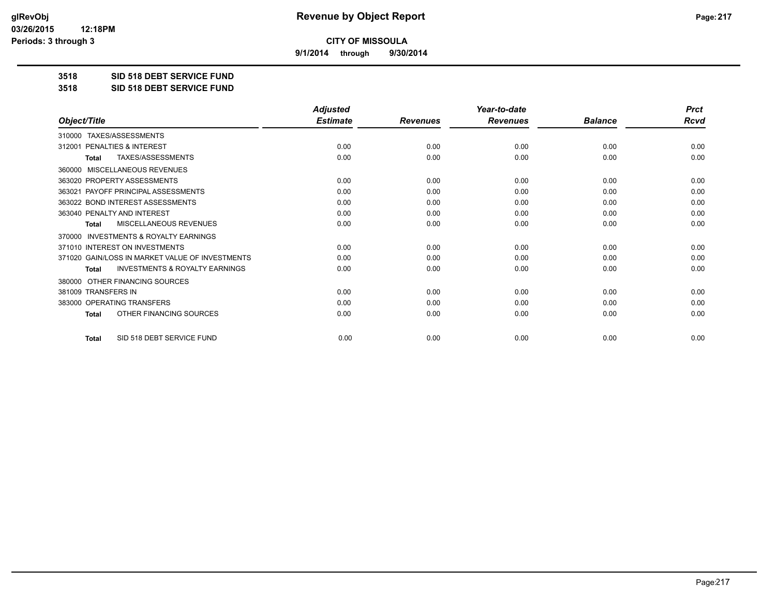**9/1/2014 through 9/30/2014**

**3518 SID 518 DEBT SERVICE FUND**

**3518 SID 518 DEBT SERVICE FUND**

|                                                           | <b>Adjusted</b> |                 | Year-to-date    |                | <b>Prct</b> |
|-----------------------------------------------------------|-----------------|-----------------|-----------------|----------------|-------------|
| Object/Title                                              | <b>Estimate</b> | <b>Revenues</b> | <b>Revenues</b> | <b>Balance</b> | <b>Rcvd</b> |
| 310000 TAXES/ASSESSMENTS                                  |                 |                 |                 |                |             |
| PENALTIES & INTEREST<br>312001                            | 0.00            | 0.00            | 0.00            | 0.00           | 0.00        |
| <b>TAXES/ASSESSMENTS</b><br><b>Total</b>                  | 0.00            | 0.00            | 0.00            | 0.00           | 0.00        |
| MISCELLANEOUS REVENUES<br>360000                          |                 |                 |                 |                |             |
| 363020 PROPERTY ASSESSMENTS                               | 0.00            | 0.00            | 0.00            | 0.00           | 0.00        |
| 363021 PAYOFF PRINCIPAL ASSESSMENTS                       | 0.00            | 0.00            | 0.00            | 0.00           | 0.00        |
| 363022 BOND INTEREST ASSESSMENTS                          | 0.00            | 0.00            | 0.00            | 0.00           | 0.00        |
| 363040 PENALTY AND INTEREST                               | 0.00            | 0.00            | 0.00            | 0.00           | 0.00        |
| <b>MISCELLANEOUS REVENUES</b><br><b>Total</b>             | 0.00            | 0.00            | 0.00            | 0.00           | 0.00        |
| <b>INVESTMENTS &amp; ROYALTY EARNINGS</b><br>370000       |                 |                 |                 |                |             |
| 371010 INTEREST ON INVESTMENTS                            | 0.00            | 0.00            | 0.00            | 0.00           | 0.00        |
| 371020 GAIN/LOSS IN MARKET VALUE OF INVESTMENTS           | 0.00            | 0.00            | 0.00            | 0.00           | 0.00        |
| <b>INVESTMENTS &amp; ROYALTY EARNINGS</b><br><b>Total</b> | 0.00            | 0.00            | 0.00            | 0.00           | 0.00        |
| OTHER FINANCING SOURCES<br>380000                         |                 |                 |                 |                |             |
| 381009 TRANSFERS IN                                       | 0.00            | 0.00            | 0.00            | 0.00           | 0.00        |
| 383000 OPERATING TRANSFERS                                | 0.00            | 0.00            | 0.00            | 0.00           | 0.00        |
| OTHER FINANCING SOURCES<br><b>Total</b>                   | 0.00            | 0.00            | 0.00            | 0.00           | 0.00        |
| SID 518 DEBT SERVICE FUND<br><b>Total</b>                 | 0.00            | 0.00            | 0.00            | 0.00           | 0.00        |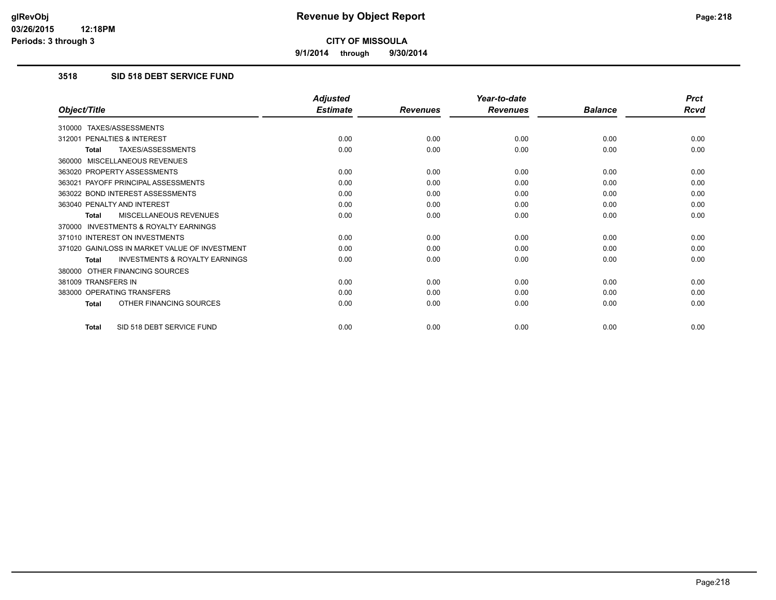**9/1/2014 through 9/30/2014**

### **3518 SID 518 DEBT SERVICE FUND**

|                                                           | <b>Adjusted</b> |                 | Year-to-date    |                | <b>Prct</b> |
|-----------------------------------------------------------|-----------------|-----------------|-----------------|----------------|-------------|
| Object/Title                                              | <b>Estimate</b> | <b>Revenues</b> | <b>Revenues</b> | <b>Balance</b> | <b>Rcvd</b> |
| 310000 TAXES/ASSESSMENTS                                  |                 |                 |                 |                |             |
| 312001 PENALTIES & INTEREST                               | 0.00            | 0.00            | 0.00            | 0.00           | 0.00        |
| <b>TAXES/ASSESSMENTS</b><br><b>Total</b>                  | 0.00            | 0.00            | 0.00            | 0.00           | 0.00        |
| 360000 MISCELLANEOUS REVENUES                             |                 |                 |                 |                |             |
| 363020 PROPERTY ASSESSMENTS                               | 0.00            | 0.00            | 0.00            | 0.00           | 0.00        |
| 363021 PAYOFF PRINCIPAL ASSESSMENTS                       | 0.00            | 0.00            | 0.00            | 0.00           | 0.00        |
| 363022 BOND INTEREST ASSESSMENTS                          | 0.00            | 0.00            | 0.00            | 0.00           | 0.00        |
| 363040 PENALTY AND INTEREST                               | 0.00            | 0.00            | 0.00            | 0.00           | 0.00        |
| MISCELLANEOUS REVENUES<br>Total                           | 0.00            | 0.00            | 0.00            | 0.00           | 0.00        |
| <b>INVESTMENTS &amp; ROYALTY EARNINGS</b><br>370000       |                 |                 |                 |                |             |
| 371010 INTEREST ON INVESTMENTS                            | 0.00            | 0.00            | 0.00            | 0.00           | 0.00        |
| 371020 GAIN/LOSS IN MARKET VALUE OF INVESTMENT            | 0.00            | 0.00            | 0.00            | 0.00           | 0.00        |
| <b>INVESTMENTS &amp; ROYALTY EARNINGS</b><br><b>Total</b> | 0.00            | 0.00            | 0.00            | 0.00           | 0.00        |
| 380000 OTHER FINANCING SOURCES                            |                 |                 |                 |                |             |
| 381009 TRANSFERS IN                                       | 0.00            | 0.00            | 0.00            | 0.00           | 0.00        |
| 383000 OPERATING TRANSFERS                                | 0.00            | 0.00            | 0.00            | 0.00           | 0.00        |
| OTHER FINANCING SOURCES<br><b>Total</b>                   | 0.00            | 0.00            | 0.00            | 0.00           | 0.00        |
| SID 518 DEBT SERVICE FUND<br><b>Total</b>                 | 0.00            | 0.00            | 0.00            | 0.00           | 0.00        |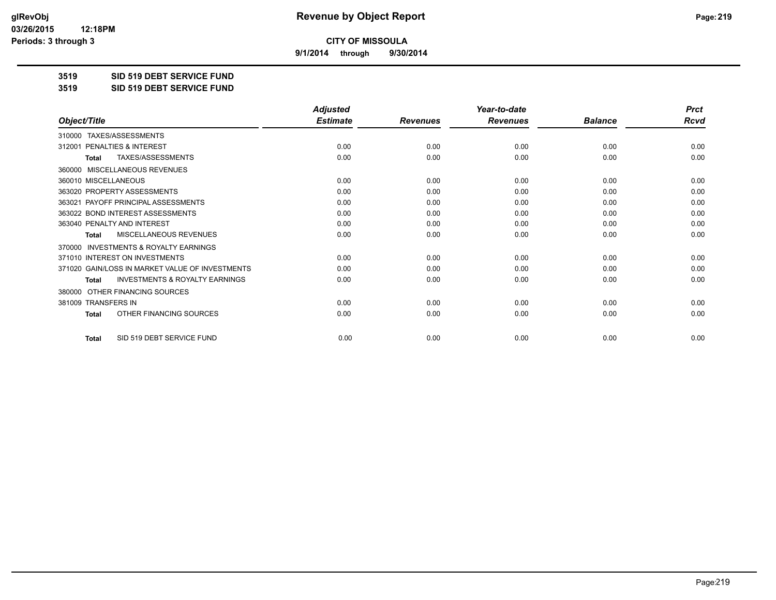**9/1/2014 through 9/30/2014**

**3519 SID 519 DEBT SERVICE FUND**

**3519 SID 519 DEBT SERVICE FUND**

|                                                     | <b>Adjusted</b> |                 | Year-to-date    |                | <b>Prct</b> |
|-----------------------------------------------------|-----------------|-----------------|-----------------|----------------|-------------|
| Object/Title                                        | <b>Estimate</b> | <b>Revenues</b> | <b>Revenues</b> | <b>Balance</b> | <b>Rcvd</b> |
| 310000 TAXES/ASSESSMENTS                            |                 |                 |                 |                |             |
| <b>PENALTIES &amp; INTEREST</b><br>312001           | 0.00            | 0.00            | 0.00            | 0.00           | 0.00        |
| TAXES/ASSESSMENTS<br><b>Total</b>                   | 0.00            | 0.00            | 0.00            | 0.00           | 0.00        |
| MISCELLANEOUS REVENUES<br>360000                    |                 |                 |                 |                |             |
| 360010 MISCELLANEOUS                                | 0.00            | 0.00            | 0.00            | 0.00           | 0.00        |
| 363020 PROPERTY ASSESSMENTS                         | 0.00            | 0.00            | 0.00            | 0.00           | 0.00        |
| 363021 PAYOFF PRINCIPAL ASSESSMENTS                 | 0.00            | 0.00            | 0.00            | 0.00           | 0.00        |
| 363022 BOND INTEREST ASSESSMENTS                    | 0.00            | 0.00            | 0.00            | 0.00           | 0.00        |
| 363040 PENALTY AND INTEREST                         | 0.00            | 0.00            | 0.00            | 0.00           | 0.00        |
| MISCELLANEOUS REVENUES<br><b>Total</b>              | 0.00            | 0.00            | 0.00            | 0.00           | 0.00        |
| <b>INVESTMENTS &amp; ROYALTY EARNINGS</b><br>370000 |                 |                 |                 |                |             |
| 371010 INTEREST ON INVESTMENTS                      | 0.00            | 0.00            | 0.00            | 0.00           | 0.00        |
| 371020 GAIN/LOSS IN MARKET VALUE OF INVESTMENTS     | 0.00            | 0.00            | 0.00            | 0.00           | 0.00        |
| <b>INVESTMENTS &amp; ROYALTY EARNINGS</b><br>Total  | 0.00            | 0.00            | 0.00            | 0.00           | 0.00        |
| OTHER FINANCING SOURCES<br>380000                   |                 |                 |                 |                |             |
| 381009 TRANSFERS IN                                 | 0.00            | 0.00            | 0.00            | 0.00           | 0.00        |
| OTHER FINANCING SOURCES<br>Total                    | 0.00            | 0.00            | 0.00            | 0.00           | 0.00        |
| SID 519 DEBT SERVICE FUND<br><b>Total</b>           | 0.00            | 0.00            | 0.00            | 0.00           | 0.00        |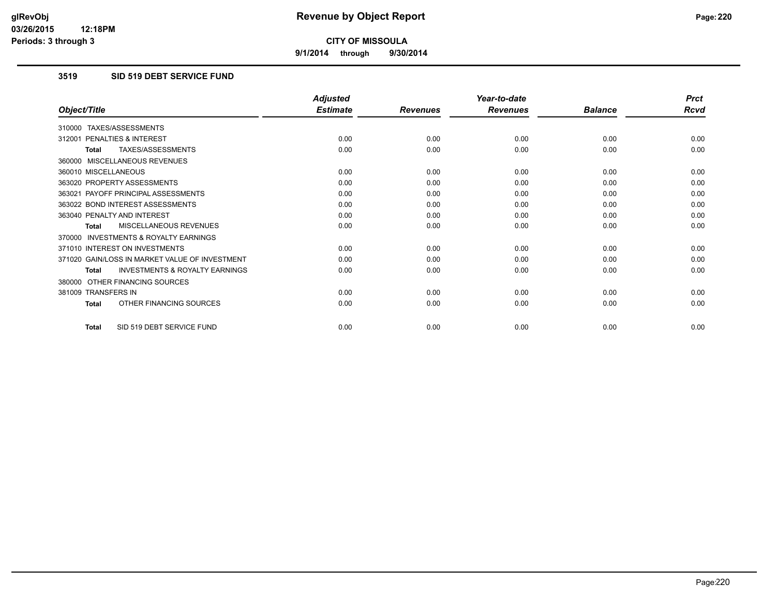**9/1/2014 through 9/30/2014**

### **3519 SID 519 DEBT SERVICE FUND**

|                                                           | <b>Adjusted</b> |                 | Year-to-date    |                | <b>Prct</b> |
|-----------------------------------------------------------|-----------------|-----------------|-----------------|----------------|-------------|
| Object/Title                                              | <b>Estimate</b> | <b>Revenues</b> | <b>Revenues</b> | <b>Balance</b> | <b>Rcvd</b> |
| 310000 TAXES/ASSESSMENTS                                  |                 |                 |                 |                |             |
| PENALTIES & INTEREST<br>312001                            | 0.00            | 0.00            | 0.00            | 0.00           | 0.00        |
| TAXES/ASSESSMENTS<br><b>Total</b>                         | 0.00            | 0.00            | 0.00            | 0.00           | 0.00        |
| 360000 MISCELLANEOUS REVENUES                             |                 |                 |                 |                |             |
| 360010 MISCELLANEOUS                                      | 0.00            | 0.00            | 0.00            | 0.00           | 0.00        |
| 363020 PROPERTY ASSESSMENTS                               | 0.00            | 0.00            | 0.00            | 0.00           | 0.00        |
| 363021 PAYOFF PRINCIPAL ASSESSMENTS                       | 0.00            | 0.00            | 0.00            | 0.00           | 0.00        |
| 363022 BOND INTEREST ASSESSMENTS                          | 0.00            | 0.00            | 0.00            | 0.00           | 0.00        |
| 363040 PENALTY AND INTEREST                               | 0.00            | 0.00            | 0.00            | 0.00           | 0.00        |
| MISCELLANEOUS REVENUES<br><b>Total</b>                    | 0.00            | 0.00            | 0.00            | 0.00           | 0.00        |
| <b>INVESTMENTS &amp; ROYALTY EARNINGS</b><br>370000       |                 |                 |                 |                |             |
| 371010 INTEREST ON INVESTMENTS                            | 0.00            | 0.00            | 0.00            | 0.00           | 0.00        |
| 371020 GAIN/LOSS IN MARKET VALUE OF INVESTMENT            | 0.00            | 0.00            | 0.00            | 0.00           | 0.00        |
| <b>INVESTMENTS &amp; ROYALTY EARNINGS</b><br><b>Total</b> | 0.00            | 0.00            | 0.00            | 0.00           | 0.00        |
| 380000 OTHER FINANCING SOURCES                            |                 |                 |                 |                |             |
| 381009 TRANSFERS IN                                       | 0.00            | 0.00            | 0.00            | 0.00           | 0.00        |
| OTHER FINANCING SOURCES<br><b>Total</b>                   | 0.00            | 0.00            | 0.00            | 0.00           | 0.00        |
| SID 519 DEBT SERVICE FUND<br><b>Total</b>                 | 0.00            | 0.00            | 0.00            | 0.00           | 0.00        |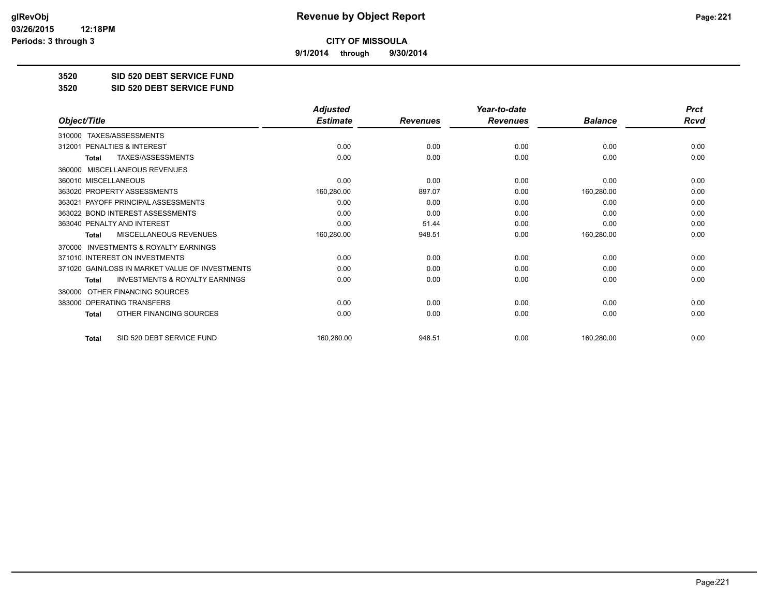**9/1/2014 through 9/30/2014**

**3520 SID 520 DEBT SERVICE FUND**

**3520 SID 520 DEBT SERVICE FUND**

|                                                           | <b>Adjusted</b> |                 | Year-to-date    |                | <b>Prct</b> |
|-----------------------------------------------------------|-----------------|-----------------|-----------------|----------------|-------------|
| Object/Title                                              | <b>Estimate</b> | <b>Revenues</b> | <b>Revenues</b> | <b>Balance</b> | <b>Rcvd</b> |
| TAXES/ASSESSMENTS<br>310000                               |                 |                 |                 |                |             |
| PENALTIES & INTEREST<br>312001                            | 0.00            | 0.00            | 0.00            | 0.00           | 0.00        |
| TAXES/ASSESSMENTS<br><b>Total</b>                         | 0.00            | 0.00            | 0.00            | 0.00           | 0.00        |
| MISCELLANEOUS REVENUES<br>360000                          |                 |                 |                 |                |             |
| 360010 MISCELLANEOUS                                      | 0.00            | 0.00            | 0.00            | 0.00           | 0.00        |
| 363020 PROPERTY ASSESSMENTS                               | 160,280.00      | 897.07          | 0.00            | 160,280.00     | 0.00        |
| 363021 PAYOFF PRINCIPAL ASSESSMENTS                       | 0.00            | 0.00            | 0.00            | 0.00           | 0.00        |
| 363022 BOND INTEREST ASSESSMENTS                          | 0.00            | 0.00            | 0.00            | 0.00           | 0.00        |
| 363040 PENALTY AND INTEREST                               | 0.00            | 51.44           | 0.00            | 0.00           | 0.00        |
| MISCELLANEOUS REVENUES<br><b>Total</b>                    | 160,280.00      | 948.51          | 0.00            | 160,280.00     | 0.00        |
| <b>INVESTMENTS &amp; ROYALTY EARNINGS</b><br>370000       |                 |                 |                 |                |             |
| 371010 INTEREST ON INVESTMENTS                            | 0.00            | 0.00            | 0.00            | 0.00           | 0.00        |
| 371020 GAIN/LOSS IN MARKET VALUE OF INVESTMENTS           | 0.00            | 0.00            | 0.00            | 0.00           | 0.00        |
| <b>INVESTMENTS &amp; ROYALTY EARNINGS</b><br><b>Total</b> | 0.00            | 0.00            | 0.00            | 0.00           | 0.00        |
| OTHER FINANCING SOURCES<br>380000                         |                 |                 |                 |                |             |
| 383000 OPERATING TRANSFERS                                | 0.00            | 0.00            | 0.00            | 0.00           | 0.00        |
| OTHER FINANCING SOURCES<br>Total                          | 0.00            | 0.00            | 0.00            | 0.00           | 0.00        |
| SID 520 DEBT SERVICE FUND<br><b>Total</b>                 | 160,280.00      | 948.51          | 0.00            | 160,280.00     | 0.00        |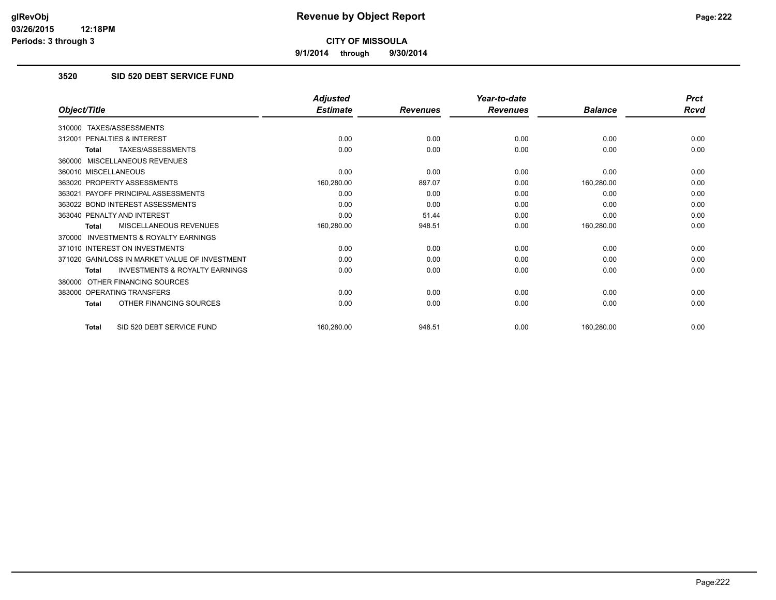**9/1/2014 through 9/30/2014**

### **3520 SID 520 DEBT SERVICE FUND**

|                                                           | <b>Adjusted</b> |                 | Year-to-date    |                | <b>Prct</b> |
|-----------------------------------------------------------|-----------------|-----------------|-----------------|----------------|-------------|
| Object/Title                                              | <b>Estimate</b> | <b>Revenues</b> | <b>Revenues</b> | <b>Balance</b> | <b>Rcvd</b> |
| 310000 TAXES/ASSESSMENTS                                  |                 |                 |                 |                |             |
| PENALTIES & INTEREST<br>312001                            | 0.00            | 0.00            | 0.00            | 0.00           | 0.00        |
| TAXES/ASSESSMENTS<br><b>Total</b>                         | 0.00            | 0.00            | 0.00            | 0.00           | 0.00        |
| MISCELLANEOUS REVENUES<br>360000                          |                 |                 |                 |                |             |
| 360010 MISCELLANEOUS                                      | 0.00            | 0.00            | 0.00            | 0.00           | 0.00        |
| 363020 PROPERTY ASSESSMENTS                               | 160,280.00      | 897.07          | 0.00            | 160,280.00     | 0.00        |
| 363021 PAYOFF PRINCIPAL ASSESSMENTS                       | 0.00            | 0.00            | 0.00            | 0.00           | 0.00        |
| 363022 BOND INTEREST ASSESSMENTS                          | 0.00            | 0.00            | 0.00            | 0.00           | 0.00        |
| 363040 PENALTY AND INTEREST                               | 0.00            | 51.44           | 0.00            | 0.00           | 0.00        |
| MISCELLANEOUS REVENUES<br><b>Total</b>                    | 160,280.00      | 948.51          | 0.00            | 160,280.00     | 0.00        |
| <b>INVESTMENTS &amp; ROYALTY EARNINGS</b><br>370000       |                 |                 |                 |                |             |
| 371010 INTEREST ON INVESTMENTS                            | 0.00            | 0.00            | 0.00            | 0.00           | 0.00        |
| 371020 GAIN/LOSS IN MARKET VALUE OF INVESTMENT            | 0.00            | 0.00            | 0.00            | 0.00           | 0.00        |
| <b>INVESTMENTS &amp; ROYALTY EARNINGS</b><br><b>Total</b> | 0.00            | 0.00            | 0.00            | 0.00           | 0.00        |
| OTHER FINANCING SOURCES<br>380000                         |                 |                 |                 |                |             |
| 383000 OPERATING TRANSFERS                                | 0.00            | 0.00            | 0.00            | 0.00           | 0.00        |
| OTHER FINANCING SOURCES<br><b>Total</b>                   | 0.00            | 0.00            | 0.00            | 0.00           | 0.00        |
| SID 520 DEBT SERVICE FUND<br><b>Total</b>                 | 160,280.00      | 948.51          | 0.00            | 160,280.00     | 0.00        |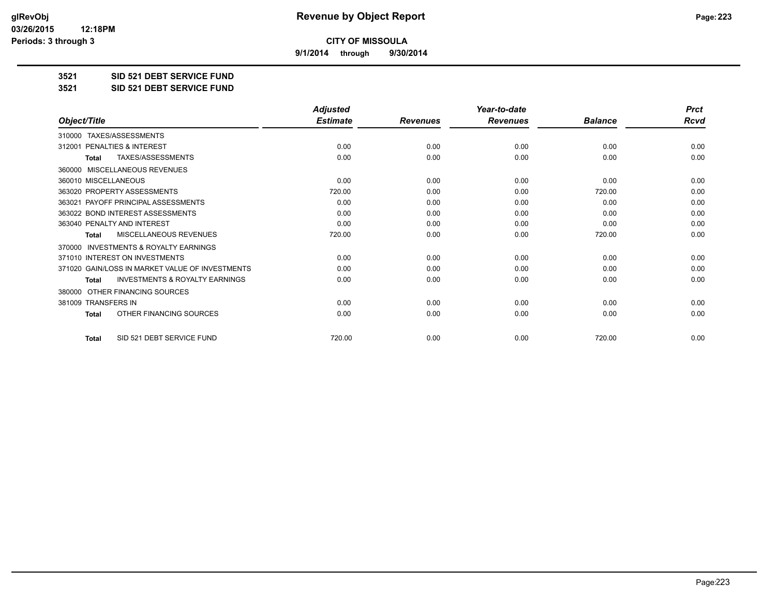**9/1/2014 through 9/30/2014**

**3521 SID 521 DEBT SERVICE FUND**

**3521 SID 521 DEBT SERVICE FUND**

|                                                           | <b>Adjusted</b> |                 | Year-to-date    |                | <b>Prct</b> |
|-----------------------------------------------------------|-----------------|-----------------|-----------------|----------------|-------------|
| Object/Title                                              | <b>Estimate</b> | <b>Revenues</b> | <b>Revenues</b> | <b>Balance</b> | <b>Rcvd</b> |
| TAXES/ASSESSMENTS<br>310000                               |                 |                 |                 |                |             |
| 312001 PENALTIES & INTEREST                               | 0.00            | 0.00            | 0.00            | 0.00           | 0.00        |
| TAXES/ASSESSMENTS<br><b>Total</b>                         | 0.00            | 0.00            | 0.00            | 0.00           | 0.00        |
| MISCELLANEOUS REVENUES<br>360000                          |                 |                 |                 |                |             |
| 360010 MISCELLANEOUS                                      | 0.00            | 0.00            | 0.00            | 0.00           | 0.00        |
| 363020 PROPERTY ASSESSMENTS                               | 720.00          | 0.00            | 0.00            | 720.00         | 0.00        |
| 363021 PAYOFF PRINCIPAL ASSESSMENTS                       | 0.00            | 0.00            | 0.00            | 0.00           | 0.00        |
| 363022 BOND INTEREST ASSESSMENTS                          | 0.00            | 0.00            | 0.00            | 0.00           | 0.00        |
| 363040 PENALTY AND INTEREST                               | 0.00            | 0.00            | 0.00            | 0.00           | 0.00        |
| MISCELLANEOUS REVENUES<br><b>Total</b>                    | 720.00          | 0.00            | 0.00            | 720.00         | 0.00        |
| <b>INVESTMENTS &amp; ROYALTY EARNINGS</b><br>370000       |                 |                 |                 |                |             |
| 371010 INTEREST ON INVESTMENTS                            | 0.00            | 0.00            | 0.00            | 0.00           | 0.00        |
| 371020 GAIN/LOSS IN MARKET VALUE OF INVESTMENTS           | 0.00            | 0.00            | 0.00            | 0.00           | 0.00        |
| <b>INVESTMENTS &amp; ROYALTY EARNINGS</b><br><b>Total</b> | 0.00            | 0.00            | 0.00            | 0.00           | 0.00        |
| OTHER FINANCING SOURCES<br>380000                         |                 |                 |                 |                |             |
| 381009 TRANSFERS IN                                       | 0.00            | 0.00            | 0.00            | 0.00           | 0.00        |
| OTHER FINANCING SOURCES<br>Total                          | 0.00            | 0.00            | 0.00            | 0.00           | 0.00        |
| SID 521 DEBT SERVICE FUND<br><b>Total</b>                 | 720.00          | 0.00            | 0.00            | 720.00         | 0.00        |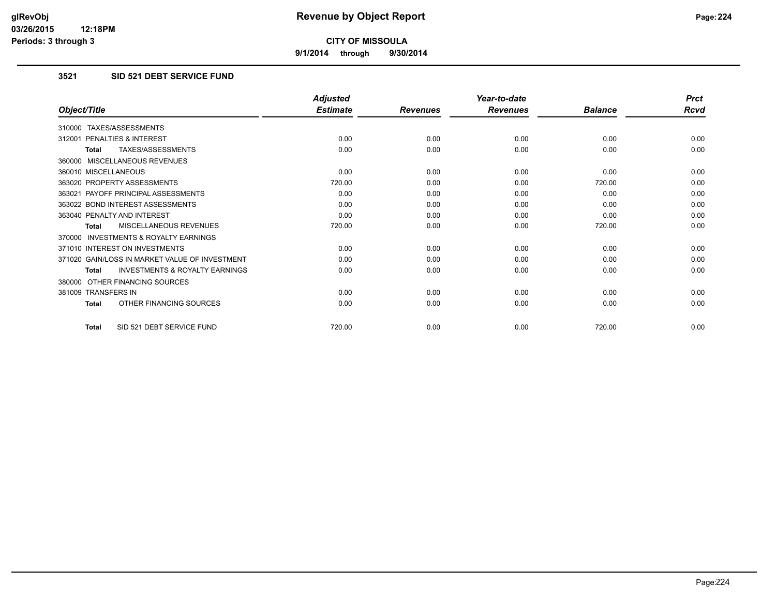**9/1/2014 through 9/30/2014**

### **3521 SID 521 DEBT SERVICE FUND**

|                                                           | <b>Adjusted</b> |                 | Year-to-date    |                | <b>Prct</b> |
|-----------------------------------------------------------|-----------------|-----------------|-----------------|----------------|-------------|
| Object/Title                                              | <b>Estimate</b> | <b>Revenues</b> | <b>Revenues</b> | <b>Balance</b> | <b>Rcvd</b> |
| 310000 TAXES/ASSESSMENTS                                  |                 |                 |                 |                |             |
| 312001 PENALTIES & INTEREST                               | 0.00            | 0.00            | 0.00            | 0.00           | 0.00        |
| <b>TAXES/ASSESSMENTS</b><br><b>Total</b>                  | 0.00            | 0.00            | 0.00            | 0.00           | 0.00        |
| 360000 MISCELLANEOUS REVENUES                             |                 |                 |                 |                |             |
| 360010 MISCELLANEOUS                                      | 0.00            | 0.00            | 0.00            | 0.00           | 0.00        |
| 363020 PROPERTY ASSESSMENTS                               | 720.00          | 0.00            | 0.00            | 720.00         | 0.00        |
| 363021 PAYOFF PRINCIPAL ASSESSMENTS                       | 0.00            | 0.00            | 0.00            | 0.00           | 0.00        |
| 363022 BOND INTEREST ASSESSMENTS                          | 0.00            | 0.00            | 0.00            | 0.00           | 0.00        |
| 363040 PENALTY AND INTEREST                               | 0.00            | 0.00            | 0.00            | 0.00           | 0.00        |
| <b>MISCELLANEOUS REVENUES</b><br><b>Total</b>             | 720.00          | 0.00            | 0.00            | 720.00         | 0.00        |
| <b>INVESTMENTS &amp; ROYALTY EARNINGS</b><br>370000       |                 |                 |                 |                |             |
| 371010 INTEREST ON INVESTMENTS                            | 0.00            | 0.00            | 0.00            | 0.00           | 0.00        |
| 371020 GAIN/LOSS IN MARKET VALUE OF INVESTMENT            | 0.00            | 0.00            | 0.00            | 0.00           | 0.00        |
| <b>INVESTMENTS &amp; ROYALTY EARNINGS</b><br><b>Total</b> | 0.00            | 0.00            | 0.00            | 0.00           | 0.00        |
| OTHER FINANCING SOURCES<br>380000                         |                 |                 |                 |                |             |
| 381009 TRANSFERS IN                                       | 0.00            | 0.00            | 0.00            | 0.00           | 0.00        |
| OTHER FINANCING SOURCES<br><b>Total</b>                   | 0.00            | 0.00            | 0.00            | 0.00           | 0.00        |
| SID 521 DEBT SERVICE FUND<br><b>Total</b>                 | 720.00          | 0.00            | 0.00            | 720.00         | 0.00        |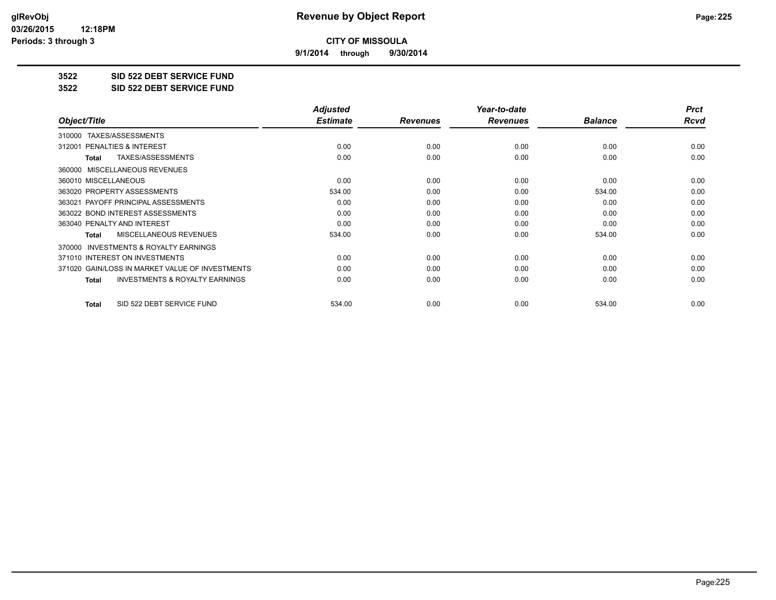**9/1/2014 through 9/30/2014**

**3522 SID 522 DEBT SERVICE FUND**

**3522 SID 522 DEBT SERVICE FUND**

|                                                           | <b>Adjusted</b> |                 | Year-to-date    |                | <b>Prct</b> |
|-----------------------------------------------------------|-----------------|-----------------|-----------------|----------------|-------------|
| Object/Title                                              | <b>Estimate</b> | <b>Revenues</b> | <b>Revenues</b> | <b>Balance</b> | Rcvd        |
| TAXES/ASSESSMENTS<br>310000                               |                 |                 |                 |                |             |
| 312001 PENALTIES & INTEREST                               | 0.00            | 0.00            | 0.00            | 0.00           | 0.00        |
| TAXES/ASSESSMENTS<br>Total                                | 0.00            | 0.00            | 0.00            | 0.00           | 0.00        |
| MISCELLANEOUS REVENUES<br>360000                          |                 |                 |                 |                |             |
| 360010 MISCELLANEOUS                                      | 0.00            | 0.00            | 0.00            | 0.00           | 0.00        |
| 363020 PROPERTY ASSESSMENTS                               | 534.00          | 0.00            | 0.00            | 534.00         | 0.00        |
| 363021 PAYOFF PRINCIPAL ASSESSMENTS                       | 0.00            | 0.00            | 0.00            | 0.00           | 0.00        |
| 363022 BOND INTEREST ASSESSMENTS                          | 0.00            | 0.00            | 0.00            | 0.00           | 0.00        |
| 363040 PENALTY AND INTEREST                               | 0.00            | 0.00            | 0.00            | 0.00           | 0.00        |
| <b>MISCELLANEOUS REVENUES</b><br>Total                    | 534.00          | 0.00            | 0.00            | 534.00         | 0.00        |
| <b>INVESTMENTS &amp; ROYALTY EARNINGS</b><br>370000       |                 |                 |                 |                |             |
| 371010 INTEREST ON INVESTMENTS                            | 0.00            | 0.00            | 0.00            | 0.00           | 0.00        |
| 371020 GAIN/LOSS IN MARKET VALUE OF INVESTMENTS           | 0.00            | 0.00            | 0.00            | 0.00           | 0.00        |
| <b>INVESTMENTS &amp; ROYALTY EARNINGS</b><br><b>Total</b> | 0.00            | 0.00            | 0.00            | 0.00           | 0.00        |
| SID 522 DEBT SERVICE FUND<br>Total                        | 534.00          | 0.00            | 0.00            | 534.00         | 0.00        |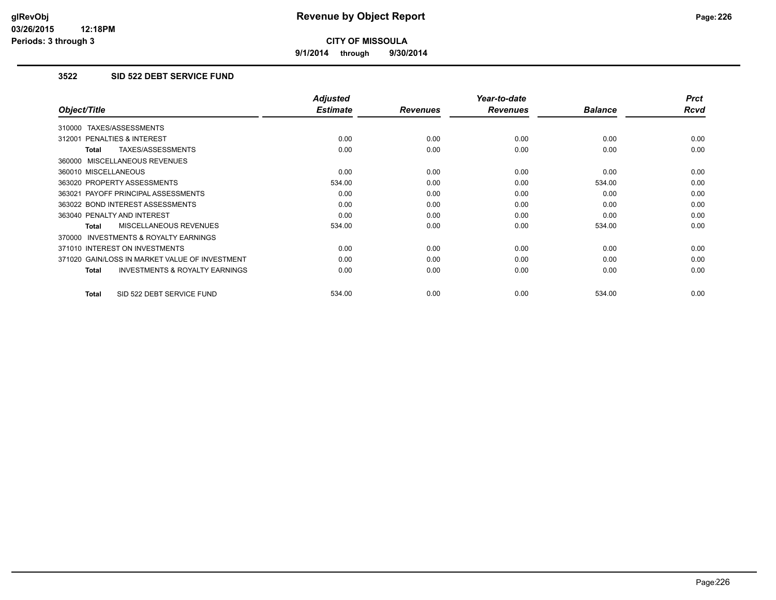**9/1/2014 through 9/30/2014**

### **3522 SID 522 DEBT SERVICE FUND**

|                                                     | <b>Adjusted</b> |                 | Year-to-date    |                | <b>Prct</b> |
|-----------------------------------------------------|-----------------|-----------------|-----------------|----------------|-------------|
| Object/Title                                        | <b>Estimate</b> | <b>Revenues</b> | <b>Revenues</b> | <b>Balance</b> | <b>Rcvd</b> |
| 310000 TAXES/ASSESSMENTS                            |                 |                 |                 |                |             |
| 312001 PENALTIES & INTEREST                         | 0.00            | 0.00            | 0.00            | 0.00           | 0.00        |
| <b>TAXES/ASSESSMENTS</b><br><b>Total</b>            | 0.00            | 0.00            | 0.00            | 0.00           | 0.00        |
| 360000 MISCELLANEOUS REVENUES                       |                 |                 |                 |                |             |
| 360010 MISCELLANEOUS                                | 0.00            | 0.00            | 0.00            | 0.00           | 0.00        |
| 363020 PROPERTY ASSESSMENTS                         | 534.00          | 0.00            | 0.00            | 534.00         | 0.00        |
| 363021 PAYOFF PRINCIPAL ASSESSMENTS                 | 0.00            | 0.00            | 0.00            | 0.00           | 0.00        |
| 363022 BOND INTEREST ASSESSMENTS                    | 0.00            | 0.00            | 0.00            | 0.00           | 0.00        |
| 363040 PENALTY AND INTEREST                         | 0.00            | 0.00            | 0.00            | 0.00           | 0.00        |
| <b>MISCELLANEOUS REVENUES</b><br><b>Total</b>       | 534.00          | 0.00            | 0.00            | 534.00         | 0.00        |
| <b>INVESTMENTS &amp; ROYALTY EARNINGS</b><br>370000 |                 |                 |                 |                |             |
| 371010 INTEREST ON INVESTMENTS                      | 0.00            | 0.00            | 0.00            | 0.00           | 0.00        |
| 371020 GAIN/LOSS IN MARKET VALUE OF INVESTMENT      | 0.00            | 0.00            | 0.00            | 0.00           | 0.00        |
| <b>INVESTMENTS &amp; ROYALTY EARNINGS</b><br>Total  | 0.00            | 0.00            | 0.00            | 0.00           | 0.00        |
| SID 522 DEBT SERVICE FUND<br><b>Total</b>           | 534.00          | 0.00            | 0.00            | 534.00         | 0.00        |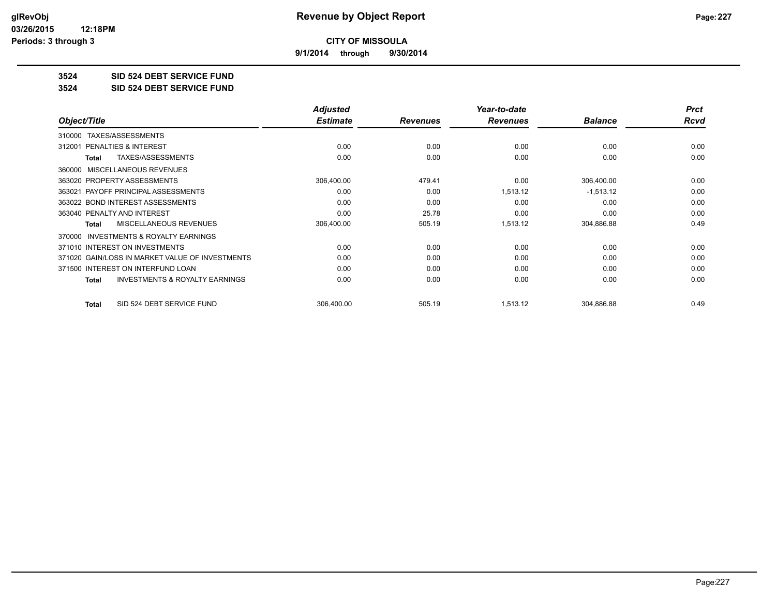**9/1/2014 through 9/30/2014**

**3524 SID 524 DEBT SERVICE FUND**

**3524 SID 524 DEBT SERVICE FUND**

|                                                           | <b>Adjusted</b> |                 | Year-to-date    |                | <b>Prct</b> |
|-----------------------------------------------------------|-----------------|-----------------|-----------------|----------------|-------------|
| Object/Title                                              | <b>Estimate</b> | <b>Revenues</b> | <b>Revenues</b> | <b>Balance</b> | <b>Rcvd</b> |
| TAXES/ASSESSMENTS<br>310000                               |                 |                 |                 |                |             |
| <b>PENALTIES &amp; INTEREST</b><br>312001                 | 0.00            | 0.00            | 0.00            | 0.00           | 0.00        |
| TAXES/ASSESSMENTS<br><b>Total</b>                         | 0.00            | 0.00            | 0.00            | 0.00           | 0.00        |
| MISCELLANEOUS REVENUES<br>360000                          |                 |                 |                 |                |             |
| 363020 PROPERTY ASSESSMENTS                               | 306,400.00      | 479.41          | 0.00            | 306,400.00     | 0.00        |
| 363021 PAYOFF PRINCIPAL ASSESSMENTS                       | 0.00            | 0.00            | 1,513.12        | $-1,513.12$    | 0.00        |
| 363022 BOND INTEREST ASSESSMENTS                          | 0.00            | 0.00            | 0.00            | 0.00           | 0.00        |
| 363040 PENALTY AND INTEREST                               | 0.00            | 25.78           | 0.00            | 0.00           | 0.00        |
| <b>MISCELLANEOUS REVENUES</b><br><b>Total</b>             | 306,400.00      | 505.19          | 1,513.12        | 304,886.88     | 0.49        |
| <b>INVESTMENTS &amp; ROYALTY EARNINGS</b><br>370000       |                 |                 |                 |                |             |
| 371010 INTEREST ON INVESTMENTS                            | 0.00            | 0.00            | 0.00            | 0.00           | 0.00        |
| 371020 GAIN/LOSS IN MARKET VALUE OF INVESTMENTS           | 0.00            | 0.00            | 0.00            | 0.00           | 0.00        |
| 371500 INTEREST ON INTERFUND LOAN                         | 0.00            | 0.00            | 0.00            | 0.00           | 0.00        |
| <b>INVESTMENTS &amp; ROYALTY EARNINGS</b><br><b>Total</b> | 0.00            | 0.00            | 0.00            | 0.00           | 0.00        |
| SID 524 DEBT SERVICE FUND<br><b>Total</b>                 | 306,400.00      | 505.19          | 1,513.12        | 304,886.88     | 0.49        |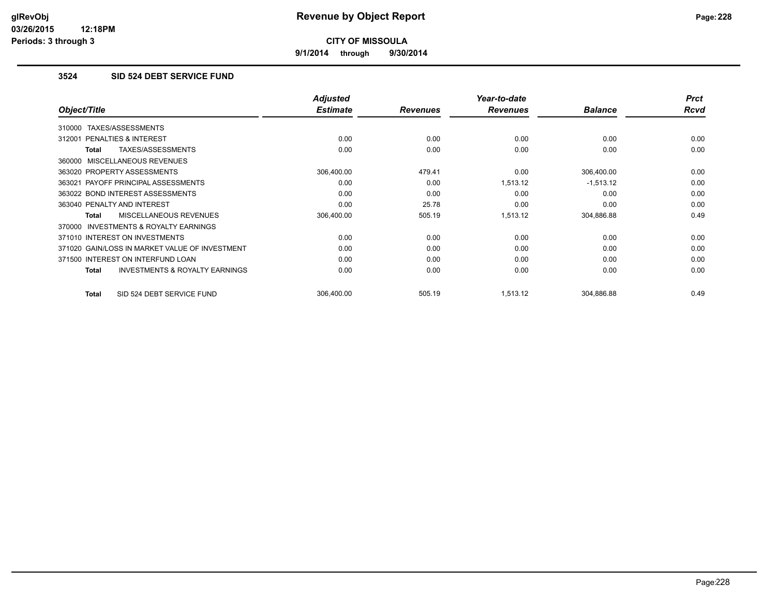**9/1/2014 through 9/30/2014**

### **3524 SID 524 DEBT SERVICE FUND**

|                                                     | <b>Adjusted</b> |                 | Year-to-date    |                | <b>Prct</b> |
|-----------------------------------------------------|-----------------|-----------------|-----------------|----------------|-------------|
| Object/Title                                        | <b>Estimate</b> | <b>Revenues</b> | <b>Revenues</b> | <b>Balance</b> | <b>Rcvd</b> |
| 310000 TAXES/ASSESSMENTS                            |                 |                 |                 |                |             |
| 312001 PENALTIES & INTEREST                         | 0.00            | 0.00            | 0.00            | 0.00           | 0.00        |
| TAXES/ASSESSMENTS<br>Total                          | 0.00            | 0.00            | 0.00            | 0.00           | 0.00        |
| 360000 MISCELLANEOUS REVENUES                       |                 |                 |                 |                |             |
| 363020 PROPERTY ASSESSMENTS                         | 306,400.00      | 479.41          | 0.00            | 306,400.00     | 0.00        |
| 363021 PAYOFF PRINCIPAL ASSESSMENTS                 | 0.00            | 0.00            | 1,513.12        | $-1,513.12$    | 0.00        |
| 363022 BOND INTEREST ASSESSMENTS                    | 0.00            | 0.00            | 0.00            | 0.00           | 0.00        |
| 363040 PENALTY AND INTEREST                         | 0.00            | 25.78           | 0.00            | 0.00           | 0.00        |
| MISCELLANEOUS REVENUES<br><b>Total</b>              | 306,400.00      | 505.19          | 1,513.12        | 304,886.88     | 0.49        |
| <b>INVESTMENTS &amp; ROYALTY EARNINGS</b><br>370000 |                 |                 |                 |                |             |
| 371010 INTEREST ON INVESTMENTS                      | 0.00            | 0.00            | 0.00            | 0.00           | 0.00        |
| 371020 GAIN/LOSS IN MARKET VALUE OF INVESTMENT      | 0.00            | 0.00            | 0.00            | 0.00           | 0.00        |
| 371500 INTEREST ON INTERFUND LOAN                   | 0.00            | 0.00            | 0.00            | 0.00           | 0.00        |
| <b>INVESTMENTS &amp; ROYALTY EARNINGS</b><br>Total  | 0.00            | 0.00            | 0.00            | 0.00           | 0.00        |
| SID 524 DEBT SERVICE FUND<br>Total                  | 306,400.00      | 505.19          | 1.513.12        | 304,886.88     | 0.49        |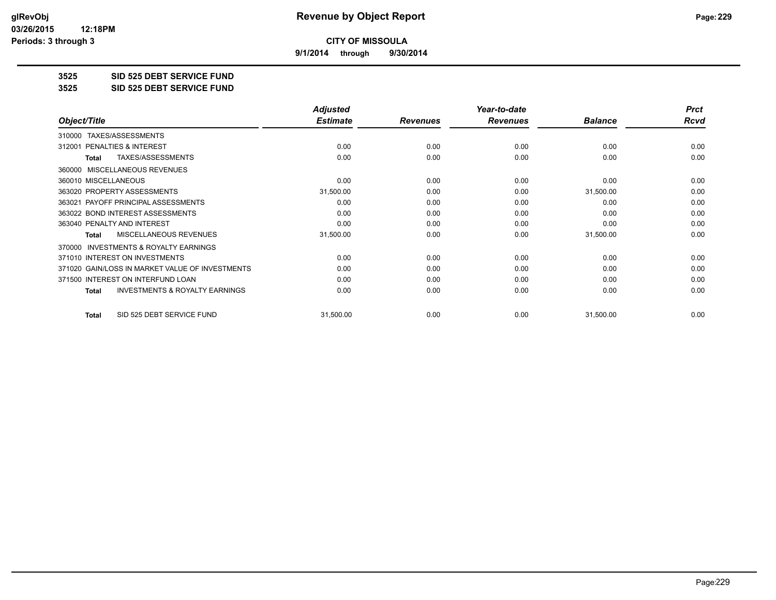**9/1/2014 through 9/30/2014**

**3525 SID 525 DEBT SERVICE FUND**

**3525 SID 525 DEBT SERVICE FUND**

|                                                           | <b>Adjusted</b> |                 | Year-to-date    |                | <b>Prct</b> |
|-----------------------------------------------------------|-----------------|-----------------|-----------------|----------------|-------------|
| Object/Title                                              | <b>Estimate</b> | <b>Revenues</b> | <b>Revenues</b> | <b>Balance</b> | <b>Rcvd</b> |
| TAXES/ASSESSMENTS<br>310000                               |                 |                 |                 |                |             |
| <b>PENALTIES &amp; INTEREST</b><br>312001                 | 0.00            | 0.00            | 0.00            | 0.00           | 0.00        |
| TAXES/ASSESSMENTS<br><b>Total</b>                         | 0.00            | 0.00            | 0.00            | 0.00           | 0.00        |
| 360000 MISCELLANEOUS REVENUES                             |                 |                 |                 |                |             |
| 360010 MISCELLANEOUS                                      | 0.00            | 0.00            | 0.00            | 0.00           | 0.00        |
| 363020 PROPERTY ASSESSMENTS                               | 31,500.00       | 0.00            | 0.00            | 31,500.00      | 0.00        |
| 363021 PAYOFF PRINCIPAL ASSESSMENTS                       | 0.00            | 0.00            | 0.00            | 0.00           | 0.00        |
| 363022 BOND INTEREST ASSESSMENTS                          | 0.00            | 0.00            | 0.00            | 0.00           | 0.00        |
| 363040 PENALTY AND INTEREST                               | 0.00            | 0.00            | 0.00            | 0.00           | 0.00        |
| <b>MISCELLANEOUS REVENUES</b><br><b>Total</b>             | 31,500.00       | 0.00            | 0.00            | 31,500.00      | 0.00        |
| <b>INVESTMENTS &amp; ROYALTY EARNINGS</b><br>370000       |                 |                 |                 |                |             |
| 371010 INTEREST ON INVESTMENTS                            | 0.00            | 0.00            | 0.00            | 0.00           | 0.00        |
| 371020 GAIN/LOSS IN MARKET VALUE OF INVESTMENTS           | 0.00            | 0.00            | 0.00            | 0.00           | 0.00        |
| 371500 INTEREST ON INTERFUND LOAN                         | 0.00            | 0.00            | 0.00            | 0.00           | 0.00        |
| <b>INVESTMENTS &amp; ROYALTY EARNINGS</b><br><b>Total</b> | 0.00            | 0.00            | 0.00            | 0.00           | 0.00        |
| SID 525 DEBT SERVICE FUND<br><b>Total</b>                 | 31,500.00       | 0.00            | 0.00            | 31,500.00      | 0.00        |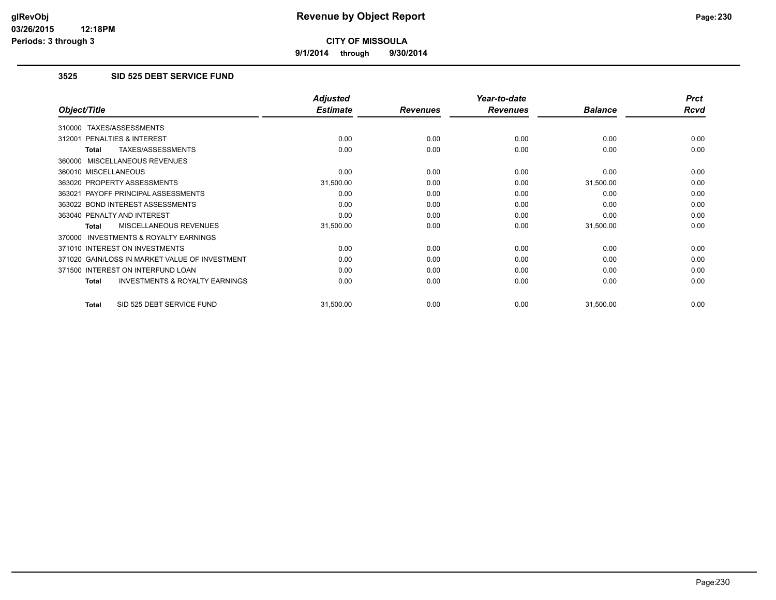**9/1/2014 through 9/30/2014**

### **3525 SID 525 DEBT SERVICE FUND**

|                                                    | <b>Adjusted</b> |                 | Year-to-date    |                | <b>Prct</b> |
|----------------------------------------------------|-----------------|-----------------|-----------------|----------------|-------------|
| Object/Title                                       | <b>Estimate</b> | <b>Revenues</b> | <b>Revenues</b> | <b>Balance</b> | Rcvd        |
| TAXES/ASSESSMENTS<br>310000                        |                 |                 |                 |                |             |
| 312001 PENALTIES & INTEREST                        | 0.00            | 0.00            | 0.00            | 0.00           | 0.00        |
| TAXES/ASSESSMENTS<br>Total                         | 0.00            | 0.00            | 0.00            | 0.00           | 0.00        |
| 360000 MISCELLANEOUS REVENUES                      |                 |                 |                 |                |             |
| 360010 MISCELLANEOUS                               | 0.00            | 0.00            | 0.00            | 0.00           | 0.00        |
| 363020 PROPERTY ASSESSMENTS                        | 31,500.00       | 0.00            | 0.00            | 31,500.00      | 0.00        |
| 363021 PAYOFF PRINCIPAL ASSESSMENTS                | 0.00            | 0.00            | 0.00            | 0.00           | 0.00        |
| 363022 BOND INTEREST ASSESSMENTS                   | 0.00            | 0.00            | 0.00            | 0.00           | 0.00        |
| 363040 PENALTY AND INTEREST                        | 0.00            | 0.00            | 0.00            | 0.00           | 0.00        |
| MISCELLANEOUS REVENUES<br>Total                    | 31,500.00       | 0.00            | 0.00            | 31,500.00      | 0.00        |
| 370000 INVESTMENTS & ROYALTY EARNINGS              |                 |                 |                 |                |             |
| 371010 INTEREST ON INVESTMENTS                     | 0.00            | 0.00            | 0.00            | 0.00           | 0.00        |
| 371020 GAIN/LOSS IN MARKET VALUE OF INVESTMENT     | 0.00            | 0.00            | 0.00            | 0.00           | 0.00        |
| 371500 INTEREST ON INTERFUND LOAN                  | 0.00            | 0.00            | 0.00            | 0.00           | 0.00        |
| <b>INVESTMENTS &amp; ROYALTY EARNINGS</b><br>Total | 0.00            | 0.00            | 0.00            | 0.00           | 0.00        |
| SID 525 DEBT SERVICE FUND<br>Total                 | 31,500.00       | 0.00            | 0.00            | 31,500.00      | 0.00        |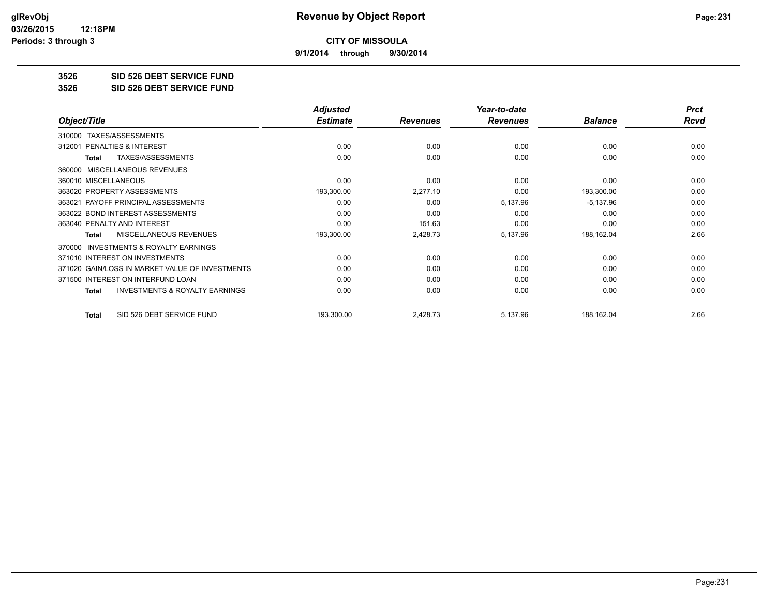**9/1/2014 through 9/30/2014**

**3526 SID 526 DEBT SERVICE FUND**

**3526 SID 526 DEBT SERVICE FUND**

|                                                           | <b>Adjusted</b> |                 | Year-to-date    |                | <b>Prct</b> |
|-----------------------------------------------------------|-----------------|-----------------|-----------------|----------------|-------------|
| Object/Title                                              | <b>Estimate</b> | <b>Revenues</b> | <b>Revenues</b> | <b>Balance</b> | <b>Rcvd</b> |
| TAXES/ASSESSMENTS<br>310000                               |                 |                 |                 |                |             |
| <b>PENALTIES &amp; INTEREST</b><br>312001                 | 0.00            | 0.00            | 0.00            | 0.00           | 0.00        |
| TAXES/ASSESSMENTS<br><b>Total</b>                         | 0.00            | 0.00            | 0.00            | 0.00           | 0.00        |
| MISCELLANEOUS REVENUES<br>360000                          |                 |                 |                 |                |             |
| 360010 MISCELLANEOUS                                      | 0.00            | 0.00            | 0.00            | 0.00           | 0.00        |
| 363020 PROPERTY ASSESSMENTS                               | 193,300.00      | 2,277.10        | 0.00            | 193,300.00     | 0.00        |
| 363021 PAYOFF PRINCIPAL ASSESSMENTS                       | 0.00            | 0.00            | 5,137.96        | $-5,137.96$    | 0.00        |
| 363022 BOND INTEREST ASSESSMENTS                          | 0.00            | 0.00            | 0.00            | 0.00           | 0.00        |
| 363040 PENALTY AND INTEREST                               | 0.00            | 151.63          | 0.00            | 0.00           | 0.00        |
| <b>MISCELLANEOUS REVENUES</b><br><b>Total</b>             | 193,300.00      | 2,428.73        | 5,137.96        | 188,162.04     | 2.66        |
| <b>INVESTMENTS &amp; ROYALTY EARNINGS</b><br>370000       |                 |                 |                 |                |             |
| 371010 INTEREST ON INVESTMENTS                            | 0.00            | 0.00            | 0.00            | 0.00           | 0.00        |
| 371020 GAIN/LOSS IN MARKET VALUE OF INVESTMENTS           | 0.00            | 0.00            | 0.00            | 0.00           | 0.00        |
| 371500 INTEREST ON INTERFUND LOAN                         | 0.00            | 0.00            | 0.00            | 0.00           | 0.00        |
| <b>INVESTMENTS &amp; ROYALTY EARNINGS</b><br><b>Total</b> | 0.00            | 0.00            | 0.00            | 0.00           | 0.00        |
| SID 526 DEBT SERVICE FUND<br><b>Total</b>                 | 193,300.00      | 2,428.73        | 5,137.96        | 188,162.04     | 2.66        |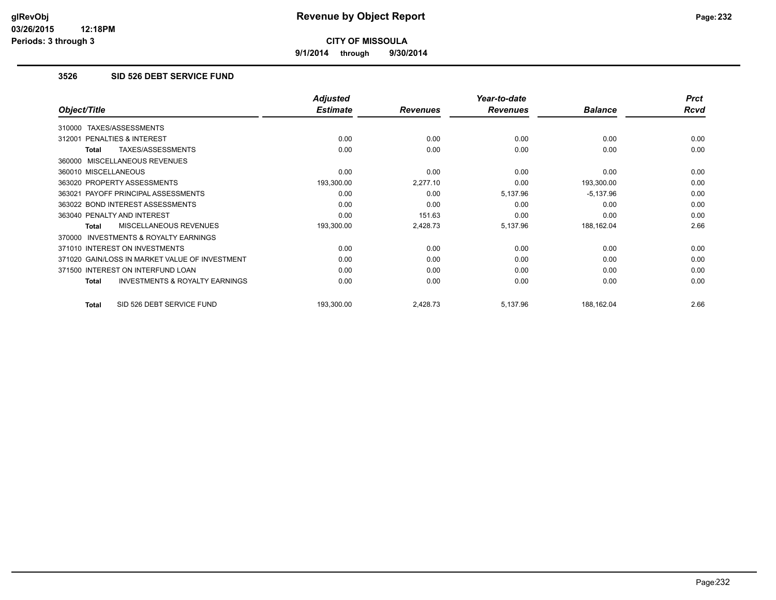**9/1/2014 through 9/30/2014**

### **3526 SID 526 DEBT SERVICE FUND**

|                                                    | <b>Adjusted</b> |                 | Year-to-date    |                | <b>Prct</b> |
|----------------------------------------------------|-----------------|-----------------|-----------------|----------------|-------------|
| Object/Title                                       | <b>Estimate</b> | <b>Revenues</b> | <b>Revenues</b> | <b>Balance</b> | <b>Rcvd</b> |
| TAXES/ASSESSMENTS<br>310000                        |                 |                 |                 |                |             |
| <b>PENALTIES &amp; INTEREST</b><br>312001          | 0.00            | 0.00            | 0.00            | 0.00           | 0.00        |
| TAXES/ASSESSMENTS<br>Total                         | 0.00            | 0.00            | 0.00            | 0.00           | 0.00        |
| 360000 MISCELLANEOUS REVENUES                      |                 |                 |                 |                |             |
| 360010 MISCELLANEOUS                               | 0.00            | 0.00            | 0.00            | 0.00           | 0.00        |
| 363020 PROPERTY ASSESSMENTS                        | 193,300.00      | 2,277.10        | 0.00            | 193,300.00     | 0.00        |
| 363021 PAYOFF PRINCIPAL ASSESSMENTS                | 0.00            | 0.00            | 5,137.96        | $-5,137.96$    | 0.00        |
| 363022 BOND INTEREST ASSESSMENTS                   | 0.00            | 0.00            | 0.00            | 0.00           | 0.00        |
| 363040 PENALTY AND INTEREST                        | 0.00            | 151.63          | 0.00            | 0.00           | 0.00        |
| MISCELLANEOUS REVENUES<br>Total                    | 193,300.00      | 2,428.73        | 5,137.96        | 188,162.04     | 2.66        |
| 370000 INVESTMENTS & ROYALTY EARNINGS              |                 |                 |                 |                |             |
| 371010 INTEREST ON INVESTMENTS                     | 0.00            | 0.00            | 0.00            | 0.00           | 0.00        |
| 371020 GAIN/LOSS IN MARKET VALUE OF INVESTMENT     | 0.00            | 0.00            | 0.00            | 0.00           | 0.00        |
| 371500 INTEREST ON INTERFUND LOAN                  | 0.00            | 0.00            | 0.00            | 0.00           | 0.00        |
| <b>INVESTMENTS &amp; ROYALTY EARNINGS</b><br>Total | 0.00            | 0.00            | 0.00            | 0.00           | 0.00        |
| SID 526 DEBT SERVICE FUND<br>Total                 | 193,300.00      | 2,428.73        | 5,137.96        | 188,162.04     | 2.66        |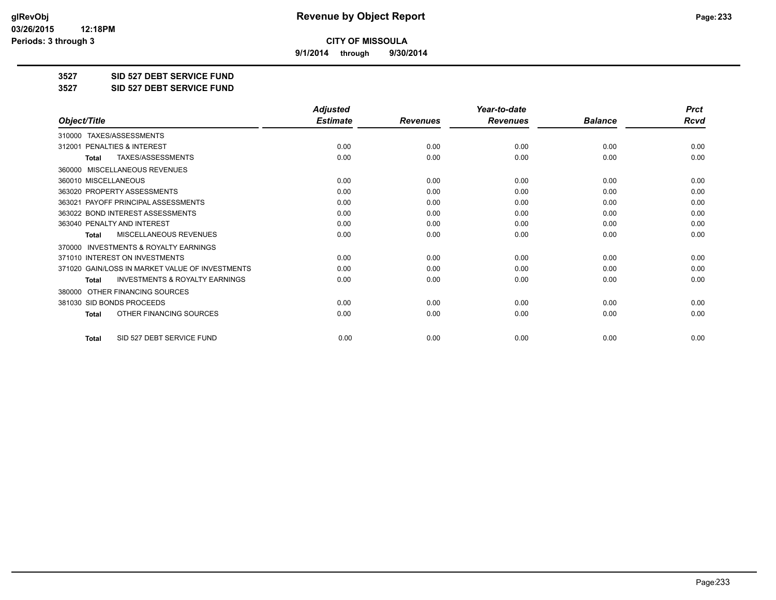**9/1/2014 through 9/30/2014**

**3527 SID 527 DEBT SERVICE FUND**

**3527 SID 527 DEBT SERVICE FUND**

|                                                     | <b>Adjusted</b> |                 | Year-to-date    |                | <b>Prct</b> |
|-----------------------------------------------------|-----------------|-----------------|-----------------|----------------|-------------|
| Object/Title                                        | <b>Estimate</b> | <b>Revenues</b> | <b>Revenues</b> | <b>Balance</b> | <b>Rcvd</b> |
| 310000 TAXES/ASSESSMENTS                            |                 |                 |                 |                |             |
| <b>PENALTIES &amp; INTEREST</b><br>312001           | 0.00            | 0.00            | 0.00            | 0.00           | 0.00        |
| TAXES/ASSESSMENTS<br><b>Total</b>                   | 0.00            | 0.00            | 0.00            | 0.00           | 0.00        |
| MISCELLANEOUS REVENUES<br>360000                    |                 |                 |                 |                |             |
| 360010 MISCELLANEOUS                                | 0.00            | 0.00            | 0.00            | 0.00           | 0.00        |
| 363020 PROPERTY ASSESSMENTS                         | 0.00            | 0.00            | 0.00            | 0.00           | 0.00        |
| 363021 PAYOFF PRINCIPAL ASSESSMENTS                 | 0.00            | 0.00            | 0.00            | 0.00           | 0.00        |
| 363022 BOND INTEREST ASSESSMENTS                    | 0.00            | 0.00            | 0.00            | 0.00           | 0.00        |
| 363040 PENALTY AND INTEREST                         | 0.00            | 0.00            | 0.00            | 0.00           | 0.00        |
| MISCELLANEOUS REVENUES<br><b>Total</b>              | 0.00            | 0.00            | 0.00            | 0.00           | 0.00        |
| <b>INVESTMENTS &amp; ROYALTY EARNINGS</b><br>370000 |                 |                 |                 |                |             |
| 371010 INTEREST ON INVESTMENTS                      | 0.00            | 0.00            | 0.00            | 0.00           | 0.00        |
| 371020 GAIN/LOSS IN MARKET VALUE OF INVESTMENTS     | 0.00            | 0.00            | 0.00            | 0.00           | 0.00        |
| <b>INVESTMENTS &amp; ROYALTY EARNINGS</b><br>Total  | 0.00            | 0.00            | 0.00            | 0.00           | 0.00        |
| OTHER FINANCING SOURCES<br>380000                   |                 |                 |                 |                |             |
| 381030 SID BONDS PROCEEDS                           | 0.00            | 0.00            | 0.00            | 0.00           | 0.00        |
| OTHER FINANCING SOURCES<br><b>Total</b>             | 0.00            | 0.00            | 0.00            | 0.00           | 0.00        |
| SID 527 DEBT SERVICE FUND<br><b>Total</b>           | 0.00            | 0.00            | 0.00            | 0.00           | 0.00        |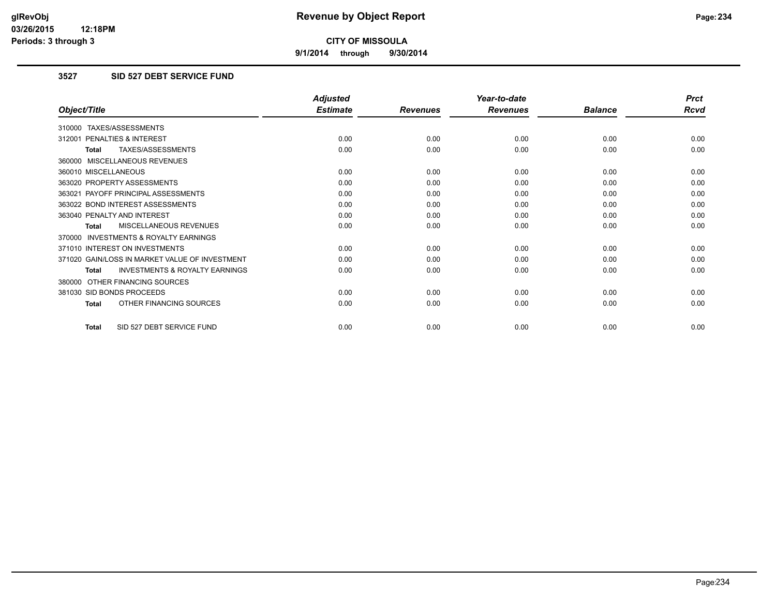**9/1/2014 through 9/30/2014**

### **3527 SID 527 DEBT SERVICE FUND**

|                                                           | <b>Adjusted</b> |                 | Year-to-date    |                | <b>Prct</b> |
|-----------------------------------------------------------|-----------------|-----------------|-----------------|----------------|-------------|
| Object/Title                                              | <b>Estimate</b> | <b>Revenues</b> | <b>Revenues</b> | <b>Balance</b> | <b>Rcvd</b> |
| 310000 TAXES/ASSESSMENTS                                  |                 |                 |                 |                |             |
| 312001 PENALTIES & INTEREST                               | 0.00            | 0.00            | 0.00            | 0.00           | 0.00        |
| TAXES/ASSESSMENTS<br><b>Total</b>                         | 0.00            | 0.00            | 0.00            | 0.00           | 0.00        |
| 360000 MISCELLANEOUS REVENUES                             |                 |                 |                 |                |             |
| 360010 MISCELLANEOUS                                      | 0.00            | 0.00            | 0.00            | 0.00           | 0.00        |
| 363020 PROPERTY ASSESSMENTS                               | 0.00            | 0.00            | 0.00            | 0.00           | 0.00        |
| 363021 PAYOFF PRINCIPAL ASSESSMENTS                       | 0.00            | 0.00            | 0.00            | 0.00           | 0.00        |
| 363022 BOND INTEREST ASSESSMENTS                          | 0.00            | 0.00            | 0.00            | 0.00           | 0.00        |
| 363040 PENALTY AND INTEREST                               | 0.00            | 0.00            | 0.00            | 0.00           | 0.00        |
| MISCELLANEOUS REVENUES<br>Total                           | 0.00            | 0.00            | 0.00            | 0.00           | 0.00        |
| 370000 INVESTMENTS & ROYALTY EARNINGS                     |                 |                 |                 |                |             |
| 371010 INTEREST ON INVESTMENTS                            | 0.00            | 0.00            | 0.00            | 0.00           | 0.00        |
| 371020 GAIN/LOSS IN MARKET VALUE OF INVESTMENT            | 0.00            | 0.00            | 0.00            | 0.00           | 0.00        |
| <b>INVESTMENTS &amp; ROYALTY EARNINGS</b><br><b>Total</b> | 0.00            | 0.00            | 0.00            | 0.00           | 0.00        |
| 380000 OTHER FINANCING SOURCES                            |                 |                 |                 |                |             |
| 381030 SID BONDS PROCEEDS                                 | 0.00            | 0.00            | 0.00            | 0.00           | 0.00        |
| OTHER FINANCING SOURCES<br><b>Total</b>                   | 0.00            | 0.00            | 0.00            | 0.00           | 0.00        |
| SID 527 DEBT SERVICE FUND<br><b>Total</b>                 | 0.00            | 0.00            | 0.00            | 0.00           | 0.00        |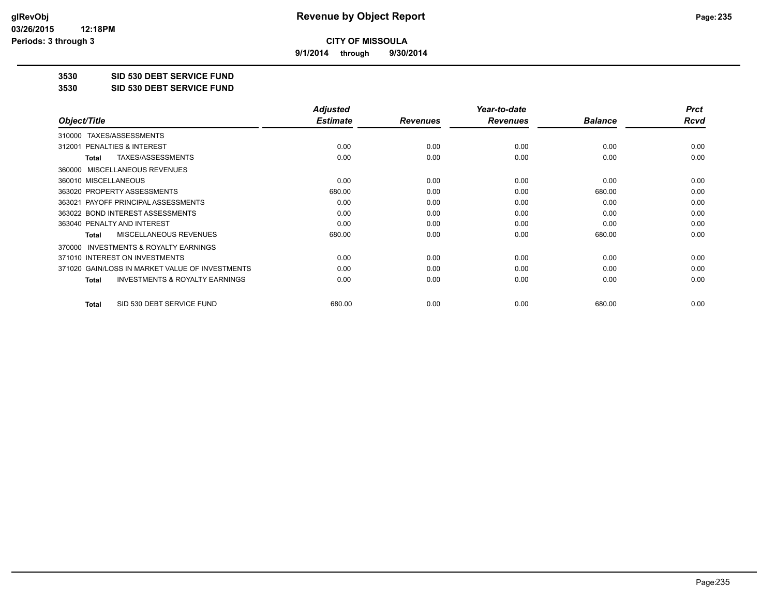**9/1/2014 through 9/30/2014**

**3530 SID 530 DEBT SERVICE FUND**

**3530 SID 530 DEBT SERVICE FUND**

|                                                           | <b>Adjusted</b> |                 | Year-to-date    |                | <b>Prct</b> |
|-----------------------------------------------------------|-----------------|-----------------|-----------------|----------------|-------------|
| Object/Title                                              | <b>Estimate</b> | <b>Revenues</b> | <b>Revenues</b> | <b>Balance</b> | Rcvd        |
| TAXES/ASSESSMENTS<br>310000                               |                 |                 |                 |                |             |
| 312001 PENALTIES & INTEREST                               | 0.00            | 0.00            | 0.00            | 0.00           | 0.00        |
| TAXES/ASSESSMENTS<br>Total                                | 0.00            | 0.00            | 0.00            | 0.00           | 0.00        |
| MISCELLANEOUS REVENUES<br>360000                          |                 |                 |                 |                |             |
| 360010 MISCELLANEOUS                                      | 0.00            | 0.00            | 0.00            | 0.00           | 0.00        |
| 363020 PROPERTY ASSESSMENTS                               | 680.00          | 0.00            | 0.00            | 680.00         | 0.00        |
| 363021 PAYOFF PRINCIPAL ASSESSMENTS                       | 0.00            | 0.00            | 0.00            | 0.00           | 0.00        |
| 363022 BOND INTEREST ASSESSMENTS                          | 0.00            | 0.00            | 0.00            | 0.00           | 0.00        |
| 363040 PENALTY AND INTEREST                               | 0.00            | 0.00            | 0.00            | 0.00           | 0.00        |
| <b>MISCELLANEOUS REVENUES</b><br>Total                    | 680.00          | 0.00            | 0.00            | 680.00         | 0.00        |
| <b>INVESTMENTS &amp; ROYALTY EARNINGS</b><br>370000       |                 |                 |                 |                |             |
| 371010 INTEREST ON INVESTMENTS                            | 0.00            | 0.00            | 0.00            | 0.00           | 0.00        |
| 371020 GAIN/LOSS IN MARKET VALUE OF INVESTMENTS           | 0.00            | 0.00            | 0.00            | 0.00           | 0.00        |
| <b>INVESTMENTS &amp; ROYALTY EARNINGS</b><br><b>Total</b> | 0.00            | 0.00            | 0.00            | 0.00           | 0.00        |
| SID 530 DEBT SERVICE FUND<br>Total                        | 680.00          | 0.00            | 0.00            | 680.00         | 0.00        |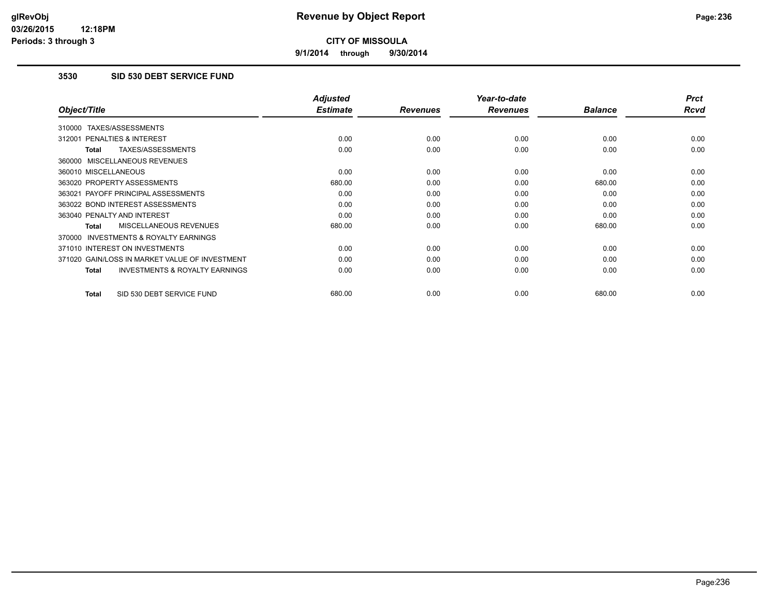**9/1/2014 through 9/30/2014**

### **3530 SID 530 DEBT SERVICE FUND**

|                                                           | <b>Adjusted</b> |                 | Year-to-date    |                | <b>Prct</b> |
|-----------------------------------------------------------|-----------------|-----------------|-----------------|----------------|-------------|
| Object/Title                                              | <b>Estimate</b> | <b>Revenues</b> | <b>Revenues</b> | <b>Balance</b> | <b>Rcvd</b> |
| 310000 TAXES/ASSESSMENTS                                  |                 |                 |                 |                |             |
| PENALTIES & INTEREST<br>312001                            | 0.00            | 0.00            | 0.00            | 0.00           | 0.00        |
| TAXES/ASSESSMENTS<br>Total                                | 0.00            | 0.00            | 0.00            | 0.00           | 0.00        |
| 360000 MISCELLANEOUS REVENUES                             |                 |                 |                 |                |             |
| 360010 MISCELLANEOUS                                      | 0.00            | 0.00            | 0.00            | 0.00           | 0.00        |
| 363020 PROPERTY ASSESSMENTS                               | 680.00          | 0.00            | 0.00            | 680.00         | 0.00        |
| 363021 PAYOFF PRINCIPAL ASSESSMENTS                       | 0.00            | 0.00            | 0.00            | 0.00           | 0.00        |
| 363022 BOND INTEREST ASSESSMENTS                          | 0.00            | 0.00            | 0.00            | 0.00           | 0.00        |
| 363040 PENALTY AND INTEREST                               | 0.00            | 0.00            | 0.00            | 0.00           | 0.00        |
| <b>MISCELLANEOUS REVENUES</b><br>Total                    | 680.00          | 0.00            | 0.00            | 680.00         | 0.00        |
| <b>INVESTMENTS &amp; ROYALTY EARNINGS</b><br>370000       |                 |                 |                 |                |             |
| 371010 INTEREST ON INVESTMENTS                            | 0.00            | 0.00            | 0.00            | 0.00           | 0.00        |
| 371020 GAIN/LOSS IN MARKET VALUE OF INVESTMENT            | 0.00            | 0.00            | 0.00            | 0.00           | 0.00        |
| <b>INVESTMENTS &amp; ROYALTY EARNINGS</b><br><b>Total</b> | 0.00            | 0.00            | 0.00            | 0.00           | 0.00        |
| SID 530 DEBT SERVICE FUND<br><b>Total</b>                 | 680.00          | 0.00            | 0.00            | 680.00         | 0.00        |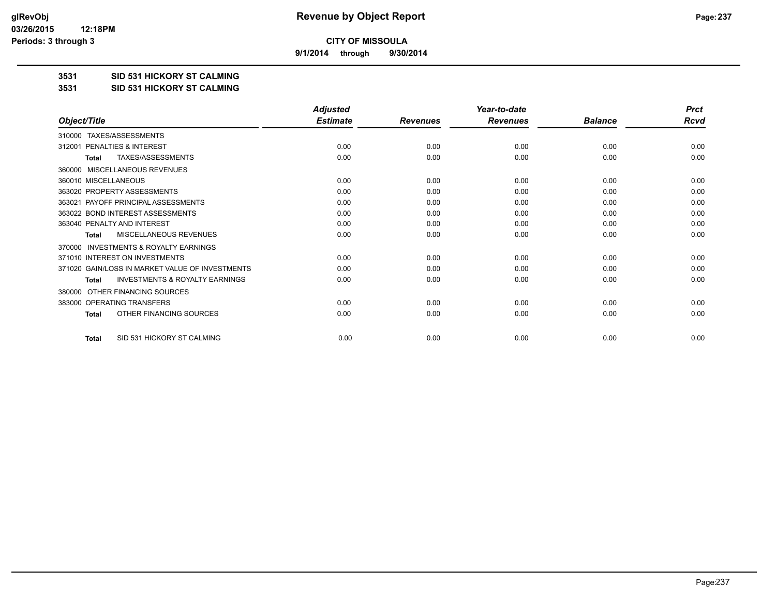**9/1/2014 through 9/30/2014**

**3531 SID 531 HICKORY ST CALMING**

**3531 SID 531 HICKORY ST CALMING**

|                                                           | <b>Adjusted</b> |                 | Year-to-date    |                | <b>Prct</b> |
|-----------------------------------------------------------|-----------------|-----------------|-----------------|----------------|-------------|
| Object/Title                                              | <b>Estimate</b> | <b>Revenues</b> | <b>Revenues</b> | <b>Balance</b> | <b>Rcvd</b> |
| TAXES/ASSESSMENTS<br>310000                               |                 |                 |                 |                |             |
| 312001 PENALTIES & INTEREST                               | 0.00            | 0.00            | 0.00            | 0.00           | 0.00        |
| TAXES/ASSESSMENTS<br><b>Total</b>                         | 0.00            | 0.00            | 0.00            | 0.00           | 0.00        |
| <b>MISCELLANEOUS REVENUES</b><br>360000                   |                 |                 |                 |                |             |
| 360010 MISCELLANEOUS                                      | 0.00            | 0.00            | 0.00            | 0.00           | 0.00        |
| 363020 PROPERTY ASSESSMENTS                               | 0.00            | 0.00            | 0.00            | 0.00           | 0.00        |
| 363021 PAYOFF PRINCIPAL ASSESSMENTS                       | 0.00            | 0.00            | 0.00            | 0.00           | 0.00        |
| 363022 BOND INTEREST ASSESSMENTS                          | 0.00            | 0.00            | 0.00            | 0.00           | 0.00        |
| 363040 PENALTY AND INTEREST                               | 0.00            | 0.00            | 0.00            | 0.00           | 0.00        |
| MISCELLANEOUS REVENUES<br><b>Total</b>                    | 0.00            | 0.00            | 0.00            | 0.00           | 0.00        |
| <b>INVESTMENTS &amp; ROYALTY EARNINGS</b><br>370000       |                 |                 |                 |                |             |
| 371010 INTEREST ON INVESTMENTS                            | 0.00            | 0.00            | 0.00            | 0.00           | 0.00        |
| 371020 GAIN/LOSS IN MARKET VALUE OF INVESTMENTS           | 0.00            | 0.00            | 0.00            | 0.00           | 0.00        |
| <b>INVESTMENTS &amp; ROYALTY EARNINGS</b><br><b>Total</b> | 0.00            | 0.00            | 0.00            | 0.00           | 0.00        |
| OTHER FINANCING SOURCES<br>380000                         |                 |                 |                 |                |             |
| 383000 OPERATING TRANSFERS                                | 0.00            | 0.00            | 0.00            | 0.00           | 0.00        |
| OTHER FINANCING SOURCES<br><b>Total</b>                   | 0.00            | 0.00            | 0.00            | 0.00           | 0.00        |
| SID 531 HICKORY ST CALMING<br><b>Total</b>                | 0.00            | 0.00            | 0.00            | 0.00           | 0.00        |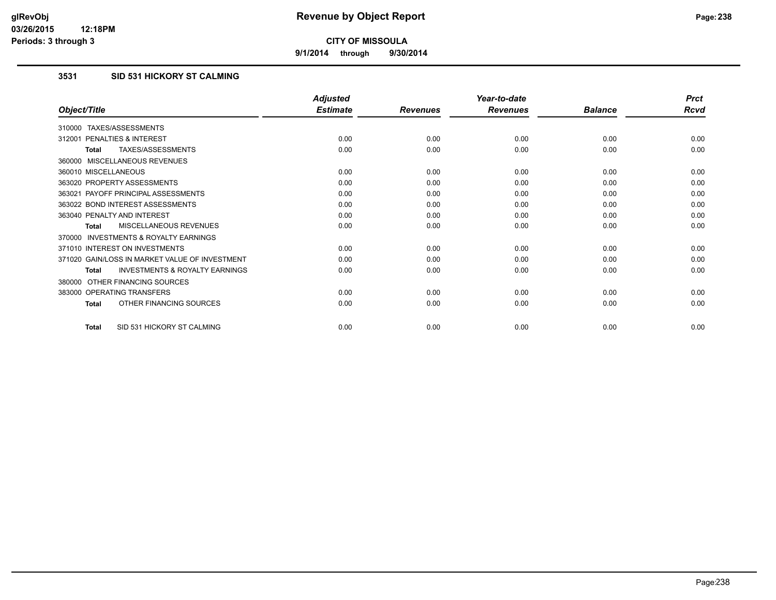**9/1/2014 through 9/30/2014**

### **3531 SID 531 HICKORY ST CALMING**

|                                                           | <b>Adjusted</b> |                 | Year-to-date    |                | <b>Prct</b> |
|-----------------------------------------------------------|-----------------|-----------------|-----------------|----------------|-------------|
| Object/Title                                              | <b>Estimate</b> | <b>Revenues</b> | <b>Revenues</b> | <b>Balance</b> | Rcvd        |
| 310000 TAXES/ASSESSMENTS                                  |                 |                 |                 |                |             |
| 312001 PENALTIES & INTEREST                               | 0.00            | 0.00            | 0.00            | 0.00           | 0.00        |
| <b>TAXES/ASSESSMENTS</b><br><b>Total</b>                  | 0.00            | 0.00            | 0.00            | 0.00           | 0.00        |
| 360000 MISCELLANEOUS REVENUES                             |                 |                 |                 |                |             |
| 360010 MISCELLANEOUS                                      | 0.00            | 0.00            | 0.00            | 0.00           | 0.00        |
| 363020 PROPERTY ASSESSMENTS                               | 0.00            | 0.00            | 0.00            | 0.00           | 0.00        |
| 363021 PAYOFF PRINCIPAL ASSESSMENTS                       | 0.00            | 0.00            | 0.00            | 0.00           | 0.00        |
| 363022 BOND INTEREST ASSESSMENTS                          | 0.00            | 0.00            | 0.00            | 0.00           | 0.00        |
| 363040 PENALTY AND INTEREST                               | 0.00            | 0.00            | 0.00            | 0.00           | 0.00        |
| <b>MISCELLANEOUS REVENUES</b><br><b>Total</b>             | 0.00            | 0.00            | 0.00            | 0.00           | 0.00        |
| <b>INVESTMENTS &amp; ROYALTY EARNINGS</b><br>370000       |                 |                 |                 |                |             |
| 371010 INTEREST ON INVESTMENTS                            | 0.00            | 0.00            | 0.00            | 0.00           | 0.00        |
| 371020 GAIN/LOSS IN MARKET VALUE OF INVESTMENT            | 0.00            | 0.00            | 0.00            | 0.00           | 0.00        |
| <b>INVESTMENTS &amp; ROYALTY EARNINGS</b><br><b>Total</b> | 0.00            | 0.00            | 0.00            | 0.00           | 0.00        |
| OTHER FINANCING SOURCES<br>380000                         |                 |                 |                 |                |             |
| 383000 OPERATING TRANSFERS                                | 0.00            | 0.00            | 0.00            | 0.00           | 0.00        |
| OTHER FINANCING SOURCES<br><b>Total</b>                   | 0.00            | 0.00            | 0.00            | 0.00           | 0.00        |
| SID 531 HICKORY ST CALMING<br>Total                       | 0.00            | 0.00            | 0.00            | 0.00           | 0.00        |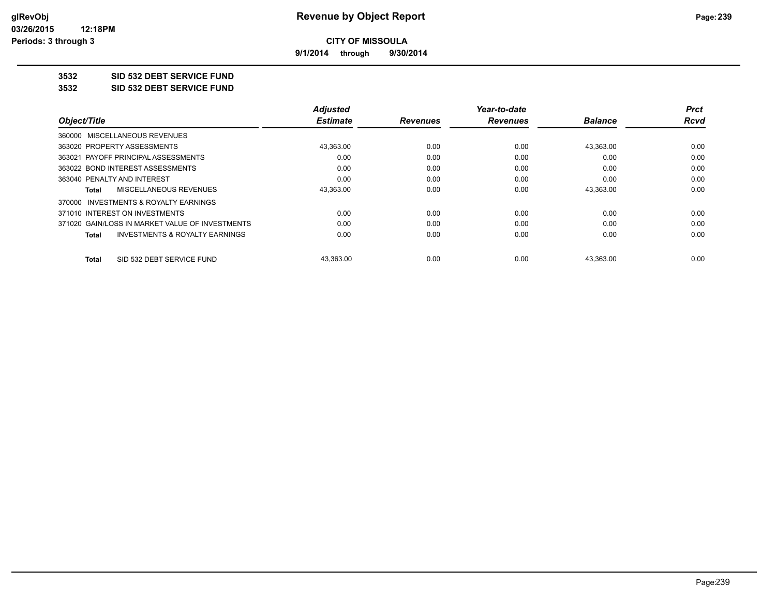**9/1/2014 through 9/30/2014**

### **3532 SID 532 DEBT SERVICE FUND**

**3532 SID 532 DEBT SERVICE FUND**

|                                                           | <b>Adjusted</b> |                 | Year-to-date    |                | <b>Prct</b> |
|-----------------------------------------------------------|-----------------|-----------------|-----------------|----------------|-------------|
| Object/Title                                              | <b>Estimate</b> | <b>Revenues</b> | <b>Revenues</b> | <b>Balance</b> | Rcvd        |
| 360000 MISCELLANEOUS REVENUES                             |                 |                 |                 |                |             |
| 363020 PROPERTY ASSESSMENTS                               | 43,363.00       | 0.00            | 0.00            | 43,363.00      | 0.00        |
| 363021 PAYOFF PRINCIPAL ASSESSMENTS                       | 0.00            | 0.00            | 0.00            | 0.00           | 0.00        |
| 363022 BOND INTEREST ASSESSMENTS                          | 0.00            | 0.00            | 0.00            | 0.00           | 0.00        |
| 363040 PENALTY AND INTEREST                               | 0.00            | 0.00            | 0.00            | 0.00           | 0.00        |
| MISCELLANEOUS REVENUES<br>Total                           | 43,363.00       | 0.00            | 0.00            | 43,363.00      | 0.00        |
| 370000 INVESTMENTS & ROYALTY EARNINGS                     |                 |                 |                 |                |             |
| 371010 INTEREST ON INVESTMENTS                            | 0.00            | 0.00            | 0.00            | 0.00           | 0.00        |
| 371020 GAIN/LOSS IN MARKET VALUE OF INVESTMENTS           | 0.00            | 0.00            | 0.00            | 0.00           | 0.00        |
| <b>INVESTMENTS &amp; ROYALTY EARNINGS</b><br><b>Total</b> | 0.00            | 0.00            | 0.00            | 0.00           | 0.00        |
| SID 532 DEBT SERVICE FUND<br>Total                        | 43.363.00       | 0.00            | 0.00            | 43.363.00      | 0.00        |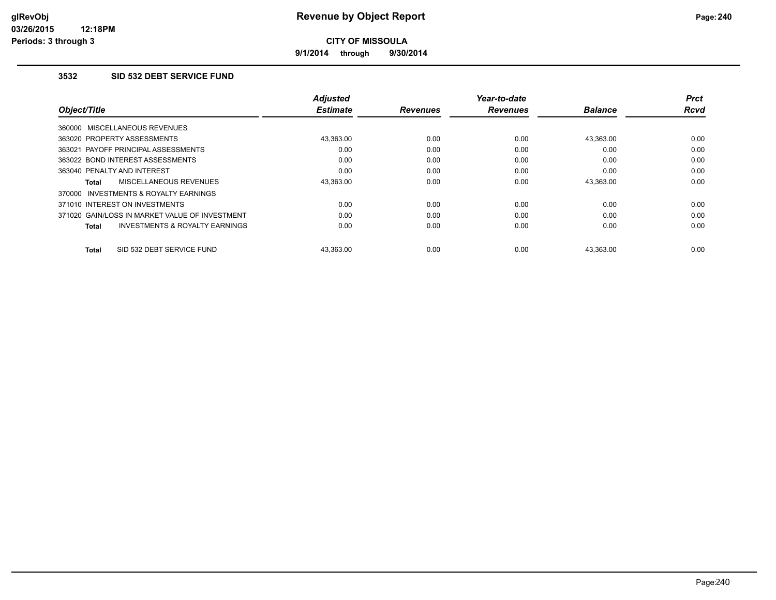**9/1/2014 through 9/30/2014**

### **3532 SID 532 DEBT SERVICE FUND**

|                                                           | <b>Adjusted</b> |                 | Year-to-date    |                | Prct        |
|-----------------------------------------------------------|-----------------|-----------------|-----------------|----------------|-------------|
| Object/Title                                              | <b>Estimate</b> | <b>Revenues</b> | <b>Revenues</b> | <b>Balance</b> | <b>Rcvd</b> |
| 360000 MISCELLANEOUS REVENUES                             |                 |                 |                 |                |             |
| 363020 PROPERTY ASSESSMENTS                               | 43.363.00       | 0.00            | 0.00            | 43.363.00      | 0.00        |
| 363021 PAYOFF PRINCIPAL ASSESSMENTS                       | 0.00            | 0.00            | 0.00            | 0.00           | 0.00        |
| 363022 BOND INTEREST ASSESSMENTS                          | 0.00            | 0.00            | 0.00            | 0.00           | 0.00        |
| 363040 PENALTY AND INTEREST                               | 0.00            | 0.00            | 0.00            | 0.00           | 0.00        |
| MISCELLANEOUS REVENUES<br>Total                           | 43,363.00       | 0.00            | 0.00            | 43,363.00      | 0.00        |
| INVESTMENTS & ROYALTY EARNINGS<br>370000                  |                 |                 |                 |                |             |
| 371010 INTEREST ON INVESTMENTS                            | 0.00            | 0.00            | 0.00            | 0.00           | 0.00        |
| 371020 GAIN/LOSS IN MARKET VALUE OF INVESTMENT            | 0.00            | 0.00            | 0.00            | 0.00           | 0.00        |
| <b>INVESTMENTS &amp; ROYALTY EARNINGS</b><br><b>Total</b> | 0.00            | 0.00            | 0.00            | 0.00           | 0.00        |
| SID 532 DEBT SERVICE FUND<br><b>Total</b>                 | 43.363.00       | 0.00            | 0.00            | 43.363.00      | 0.00        |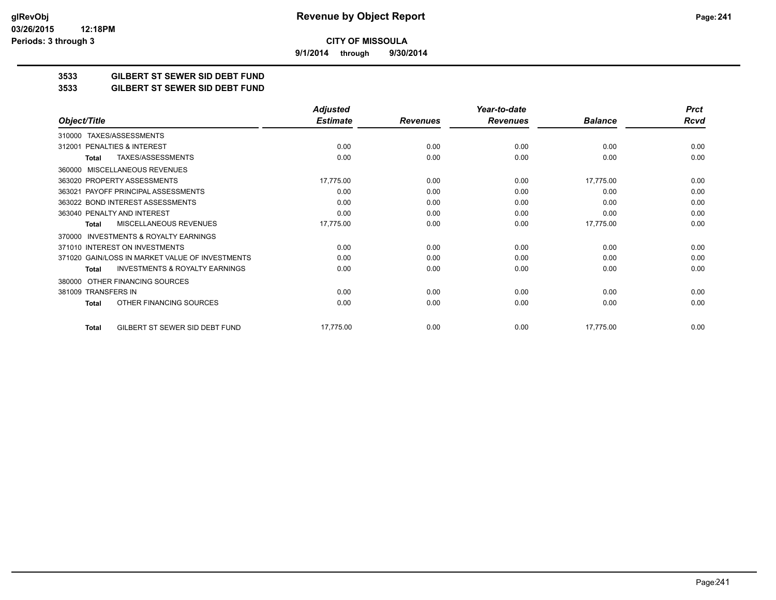**9/1/2014 through 9/30/2014**

## **3533 GILBERT ST SEWER SID DEBT FUND**

#### **3533 GILBERT ST SEWER SID DEBT FUND**

|                                                           | <b>Adjusted</b> |                 | Year-to-date    |                | <b>Prct</b> |
|-----------------------------------------------------------|-----------------|-----------------|-----------------|----------------|-------------|
| Object/Title                                              | <b>Estimate</b> | <b>Revenues</b> | <b>Revenues</b> | <b>Balance</b> | <b>Rcvd</b> |
| TAXES/ASSESSMENTS<br>310000                               |                 |                 |                 |                |             |
| PENALTIES & INTEREST<br>312001                            | 0.00            | 0.00            | 0.00            | 0.00           | 0.00        |
| TAXES/ASSESSMENTS<br>Total                                | 0.00            | 0.00            | 0.00            | 0.00           | 0.00        |
| MISCELLANEOUS REVENUES<br>360000                          |                 |                 |                 |                |             |
| 363020 PROPERTY ASSESSMENTS                               | 17,775.00       | 0.00            | 0.00            | 17,775.00      | 0.00        |
| 363021 PAYOFF PRINCIPAL ASSESSMENTS                       | 0.00            | 0.00            | 0.00            | 0.00           | 0.00        |
| 363022 BOND INTEREST ASSESSMENTS                          | 0.00            | 0.00            | 0.00            | 0.00           | 0.00        |
| 363040 PENALTY AND INTEREST                               | 0.00            | 0.00            | 0.00            | 0.00           | 0.00        |
| MISCELLANEOUS REVENUES<br>Total                           | 17,775.00       | 0.00            | 0.00            | 17,775.00      | 0.00        |
| <b>INVESTMENTS &amp; ROYALTY EARNINGS</b><br>370000       |                 |                 |                 |                |             |
| 371010 INTEREST ON INVESTMENTS                            | 0.00            | 0.00            | 0.00            | 0.00           | 0.00        |
| 371020 GAIN/LOSS IN MARKET VALUE OF INVESTMENTS           | 0.00            | 0.00            | 0.00            | 0.00           | 0.00        |
| <b>INVESTMENTS &amp; ROYALTY EARNINGS</b><br><b>Total</b> | 0.00            | 0.00            | 0.00            | 0.00           | 0.00        |
| OTHER FINANCING SOURCES<br>380000                         |                 |                 |                 |                |             |
| 381009 TRANSFERS IN                                       | 0.00            | 0.00            | 0.00            | 0.00           | 0.00        |
| OTHER FINANCING SOURCES<br>Total                          | 0.00            | 0.00            | 0.00            | 0.00           | 0.00        |
| GILBERT ST SEWER SID DEBT FUND<br><b>Total</b>            | 17,775.00       | 0.00            | 0.00            | 17,775.00      | 0.00        |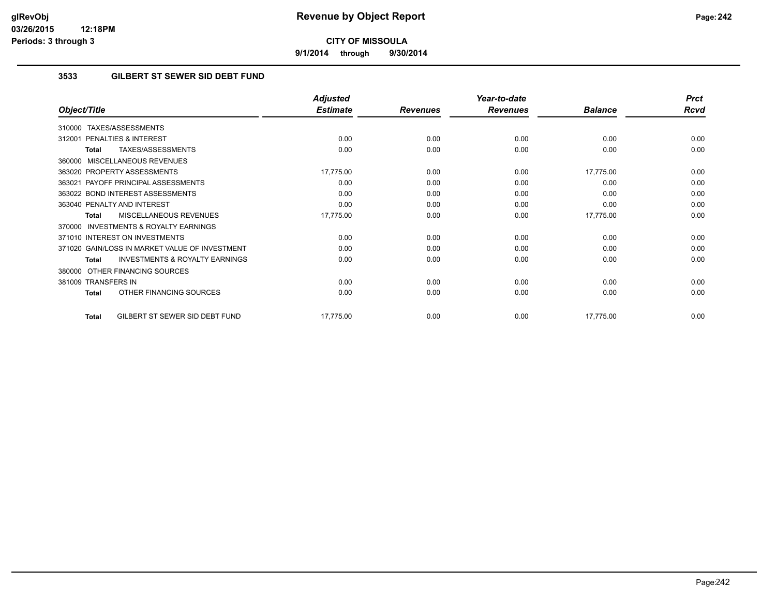**9/1/2014 through 9/30/2014**

### **3533 GILBERT ST SEWER SID DEBT FUND**

|                                                           | <b>Adjusted</b> |                 | Year-to-date    |                | <b>Prct</b> |
|-----------------------------------------------------------|-----------------|-----------------|-----------------|----------------|-------------|
| Object/Title                                              | <b>Estimate</b> | <b>Revenues</b> | <b>Revenues</b> | <b>Balance</b> | <b>Rcvd</b> |
| TAXES/ASSESSMENTS<br>310000                               |                 |                 |                 |                |             |
| PENALTIES & INTEREST<br>312001                            | 0.00            | 0.00            | 0.00            | 0.00           | 0.00        |
| TAXES/ASSESSMENTS<br><b>Total</b>                         | 0.00            | 0.00            | 0.00            | 0.00           | 0.00        |
| 360000 MISCELLANEOUS REVENUES                             |                 |                 |                 |                |             |
| 363020 PROPERTY ASSESSMENTS                               | 17,775.00       | 0.00            | 0.00            | 17,775.00      | 0.00        |
| 363021 PAYOFF PRINCIPAL ASSESSMENTS                       | 0.00            | 0.00            | 0.00            | 0.00           | 0.00        |
| 363022 BOND INTEREST ASSESSMENTS                          | 0.00            | 0.00            | 0.00            | 0.00           | 0.00        |
| 363040 PENALTY AND INTEREST                               | 0.00            | 0.00            | 0.00            | 0.00           | 0.00        |
| <b>MISCELLANEOUS REVENUES</b><br><b>Total</b>             | 17,775.00       | 0.00            | 0.00            | 17,775.00      | 0.00        |
| 370000 INVESTMENTS & ROYALTY EARNINGS                     |                 |                 |                 |                |             |
| 371010 INTEREST ON INVESTMENTS                            | 0.00            | 0.00            | 0.00            | 0.00           | 0.00        |
| 371020 GAIN/LOSS IN MARKET VALUE OF INVESTMENT            | 0.00            | 0.00            | 0.00            | 0.00           | 0.00        |
| <b>INVESTMENTS &amp; ROYALTY EARNINGS</b><br><b>Total</b> | 0.00            | 0.00            | 0.00            | 0.00           | 0.00        |
| OTHER FINANCING SOURCES<br>380000                         |                 |                 |                 |                |             |
| 381009 TRANSFERS IN                                       | 0.00            | 0.00            | 0.00            | 0.00           | 0.00        |
| OTHER FINANCING SOURCES<br><b>Total</b>                   | 0.00            | 0.00            | 0.00            | 0.00           | 0.00        |
| GILBERT ST SEWER SID DEBT FUND<br><b>Total</b>            | 17,775.00       | 0.00            | 0.00            | 17,775.00      | 0.00        |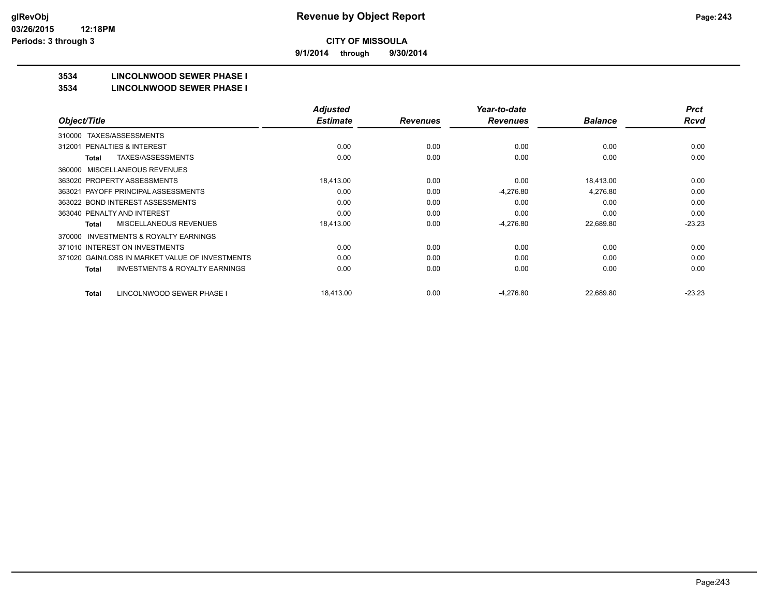**9/1/2014 through 9/30/2014**

## **3534 LINCOLNWOOD SEWER PHASE I**

#### **3534 LINCOLNWOOD SEWER PHASE I**

|                                                           | <b>Adjusted</b> |                 | Year-to-date    |                | <b>Prct</b> |
|-----------------------------------------------------------|-----------------|-----------------|-----------------|----------------|-------------|
| Object/Title                                              | <b>Estimate</b> | <b>Revenues</b> | <b>Revenues</b> | <b>Balance</b> | <b>Rcvd</b> |
| TAXES/ASSESSMENTS<br>310000                               |                 |                 |                 |                |             |
| <b>PENALTIES &amp; INTEREST</b><br>312001                 | 0.00            | 0.00            | 0.00            | 0.00           | 0.00        |
| TAXES/ASSESSMENTS<br><b>Total</b>                         | 0.00            | 0.00            | 0.00            | 0.00           | 0.00        |
| MISCELLANEOUS REVENUES<br>360000                          |                 |                 |                 |                |             |
| 363020 PROPERTY ASSESSMENTS                               | 18,413.00       | 0.00            | 0.00            | 18,413.00      | 0.00        |
| 363021 PAYOFF PRINCIPAL ASSESSMENTS                       | 0.00            | 0.00            | $-4,276.80$     | 4,276.80       | 0.00        |
| 363022 BOND INTEREST ASSESSMENTS                          | 0.00            | 0.00            | 0.00            | 0.00           | 0.00        |
| 363040 PENALTY AND INTEREST                               | 0.00            | 0.00            | 0.00            | 0.00           | 0.00        |
| MISCELLANEOUS REVENUES<br><b>Total</b>                    | 18,413.00       | 0.00            | $-4,276.80$     | 22,689.80      | $-23.23$    |
| INVESTMENTS & ROYALTY EARNINGS<br>370000                  |                 |                 |                 |                |             |
| 371010 INTEREST ON INVESTMENTS                            | 0.00            | 0.00            | 0.00            | 0.00           | 0.00        |
| 371020 GAIN/LOSS IN MARKET VALUE OF INVESTMENTS           | 0.00            | 0.00            | 0.00            | 0.00           | 0.00        |
| <b>INVESTMENTS &amp; ROYALTY EARNINGS</b><br><b>Total</b> | 0.00            | 0.00            | 0.00            | 0.00           | 0.00        |
| LINCOLNWOOD SEWER PHASE I<br><b>Total</b>                 | 18,413.00       | 0.00            | $-4.276.80$     | 22,689.80      | $-23.23$    |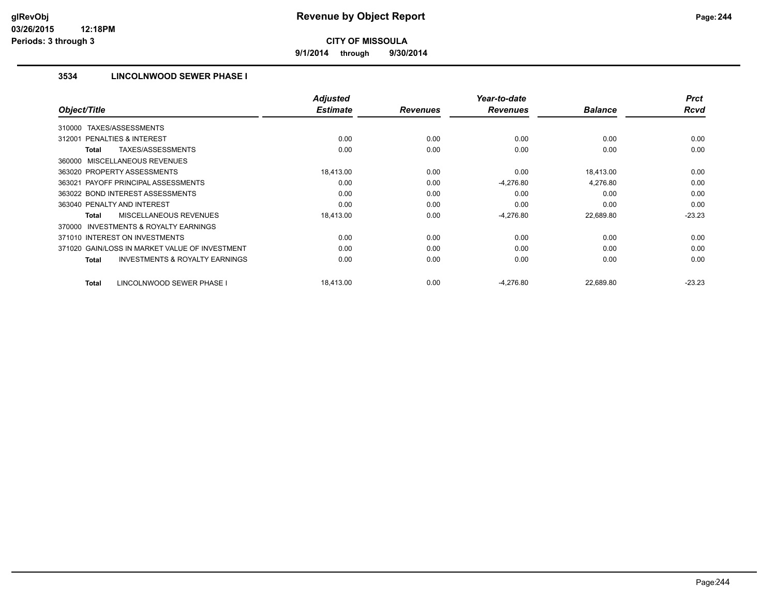**9/1/2014 through 9/30/2014**

### **3534 LINCOLNWOOD SEWER PHASE I**

|                                                           | <b>Adjusted</b> |                 | Year-to-date    |                | <b>Prct</b> |
|-----------------------------------------------------------|-----------------|-----------------|-----------------|----------------|-------------|
| Object/Title                                              | <b>Estimate</b> | <b>Revenues</b> | <b>Revenues</b> | <b>Balance</b> | <b>Rcvd</b> |
| TAXES/ASSESSMENTS<br>310000                               |                 |                 |                 |                |             |
| PENALTIES & INTEREST<br>312001                            | 0.00            | 0.00            | 0.00            | 0.00           | 0.00        |
| TAXES/ASSESSMENTS<br>Total                                | 0.00            | 0.00            | 0.00            | 0.00           | 0.00        |
| 360000 MISCELLANEOUS REVENUES                             |                 |                 |                 |                |             |
| 363020 PROPERTY ASSESSMENTS                               | 18,413.00       | 0.00            | 0.00            | 18,413.00      | 0.00        |
| 363021 PAYOFF PRINCIPAL ASSESSMENTS                       | 0.00            | 0.00            | $-4,276.80$     | 4,276.80       | 0.00        |
| 363022 BOND INTEREST ASSESSMENTS                          | 0.00            | 0.00            | 0.00            | 0.00           | 0.00        |
| 363040 PENALTY AND INTEREST                               | 0.00            | 0.00            | 0.00            | 0.00           | 0.00        |
| <b>MISCELLANEOUS REVENUES</b><br><b>Total</b>             | 18,413.00       | 0.00            | $-4,276.80$     | 22,689.80      | $-23.23$    |
| <b>INVESTMENTS &amp; ROYALTY EARNINGS</b><br>370000       |                 |                 |                 |                |             |
| 371010 INTEREST ON INVESTMENTS                            | 0.00            | 0.00            | 0.00            | 0.00           | 0.00        |
| 371020 GAIN/LOSS IN MARKET VALUE OF INVESTMENT            | 0.00            | 0.00            | 0.00            | 0.00           | 0.00        |
| <b>INVESTMENTS &amp; ROYALTY EARNINGS</b><br><b>Total</b> | 0.00            | 0.00            | 0.00            | 0.00           | 0.00        |
| LINCOLNWOOD SEWER PHASE I<br><b>Total</b>                 | 18,413.00       | 0.00            | $-4,276.80$     | 22,689.80      | $-23.23$    |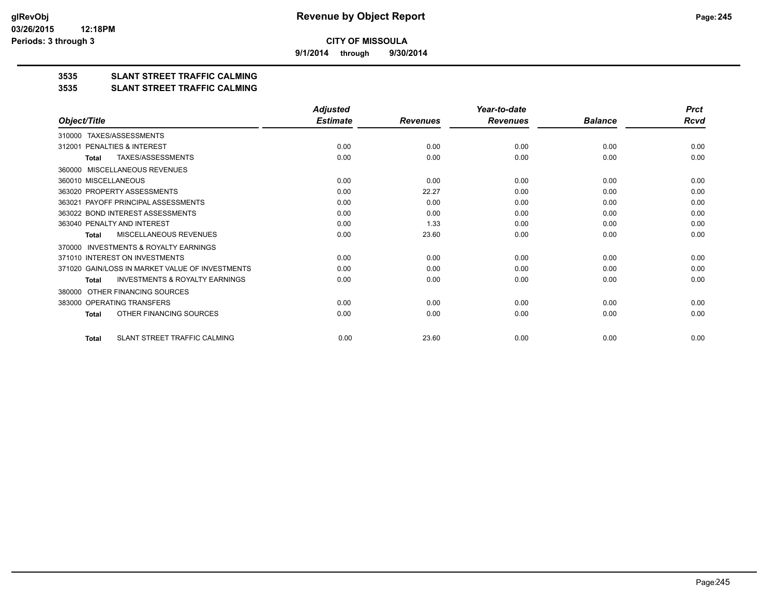**9/1/2014 through 9/30/2014**

### **3535 SLANT STREET TRAFFIC CALMING**

#### **3535 SLANT STREET TRAFFIC CALMING**

|                                                           | <b>Adjusted</b> |                 | Year-to-date    |                | <b>Prct</b> |
|-----------------------------------------------------------|-----------------|-----------------|-----------------|----------------|-------------|
| Object/Title                                              | <b>Estimate</b> | <b>Revenues</b> | <b>Revenues</b> | <b>Balance</b> | <b>Rcvd</b> |
| TAXES/ASSESSMENTS<br>310000                               |                 |                 |                 |                |             |
| <b>PENALTIES &amp; INTEREST</b><br>312001                 | 0.00            | 0.00            | 0.00            | 0.00           | 0.00        |
| TAXES/ASSESSMENTS<br><b>Total</b>                         | 0.00            | 0.00            | 0.00            | 0.00           | 0.00        |
| MISCELLANEOUS REVENUES<br>360000                          |                 |                 |                 |                |             |
| 360010 MISCELLANEOUS                                      | 0.00            | 0.00            | 0.00            | 0.00           | 0.00        |
| 363020 PROPERTY ASSESSMENTS                               | 0.00            | 22.27           | 0.00            | 0.00           | 0.00        |
| 363021 PAYOFF PRINCIPAL ASSESSMENTS                       | 0.00            | 0.00            | 0.00            | 0.00           | 0.00        |
| 363022 BOND INTEREST ASSESSMENTS                          | 0.00            | 0.00            | 0.00            | 0.00           | 0.00        |
| 363040 PENALTY AND INTEREST                               | 0.00            | 1.33            | 0.00            | 0.00           | 0.00        |
| MISCELLANEOUS REVENUES<br><b>Total</b>                    | 0.00            | 23.60           | 0.00            | 0.00           | 0.00        |
| <b>INVESTMENTS &amp; ROYALTY EARNINGS</b><br>370000       |                 |                 |                 |                |             |
| 371010 INTEREST ON INVESTMENTS                            | 0.00            | 0.00            | 0.00            | 0.00           | 0.00        |
| 371020 GAIN/LOSS IN MARKET VALUE OF INVESTMENTS           | 0.00            | 0.00            | 0.00            | 0.00           | 0.00        |
| <b>INVESTMENTS &amp; ROYALTY EARNINGS</b><br><b>Total</b> | 0.00            | 0.00            | 0.00            | 0.00           | 0.00        |
| OTHER FINANCING SOURCES<br>380000                         |                 |                 |                 |                |             |
| 383000 OPERATING TRANSFERS                                | 0.00            | 0.00            | 0.00            | 0.00           | 0.00        |
| OTHER FINANCING SOURCES<br><b>Total</b>                   | 0.00            | 0.00            | 0.00            | 0.00           | 0.00        |
| SLANT STREET TRAFFIC CALMING<br><b>Total</b>              | 0.00            | 23.60           | 0.00            | 0.00           | 0.00        |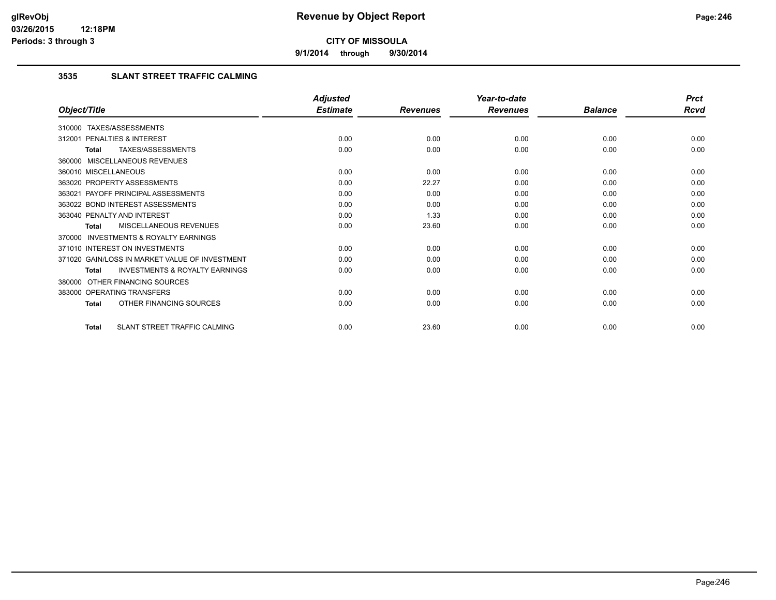**9/1/2014 through 9/30/2014**

### **3535 SLANT STREET TRAFFIC CALMING**

|                                                           | <b>Adjusted</b> |                 | Year-to-date    |                | <b>Prct</b> |
|-----------------------------------------------------------|-----------------|-----------------|-----------------|----------------|-------------|
| Object/Title                                              | <b>Estimate</b> | <b>Revenues</b> | <b>Revenues</b> | <b>Balance</b> | <b>Rcvd</b> |
| 310000 TAXES/ASSESSMENTS                                  |                 |                 |                 |                |             |
| PENALTIES & INTEREST<br>312001                            | 0.00            | 0.00            | 0.00            | 0.00           | 0.00        |
| TAXES/ASSESSMENTS<br><b>Total</b>                         | 0.00            | 0.00            | 0.00            | 0.00           | 0.00        |
| 360000 MISCELLANEOUS REVENUES                             |                 |                 |                 |                |             |
| 360010 MISCELLANEOUS                                      | 0.00            | 0.00            | 0.00            | 0.00           | 0.00        |
| 363020 PROPERTY ASSESSMENTS                               | 0.00            | 22.27           | 0.00            | 0.00           | 0.00        |
| 363021 PAYOFF PRINCIPAL ASSESSMENTS                       | 0.00            | 0.00            | 0.00            | 0.00           | 0.00        |
| 363022 BOND INTEREST ASSESSMENTS                          | 0.00            | 0.00            | 0.00            | 0.00           | 0.00        |
| 363040 PENALTY AND INTEREST                               | 0.00            | 1.33            | 0.00            | 0.00           | 0.00        |
| MISCELLANEOUS REVENUES<br><b>Total</b>                    | 0.00            | 23.60           | 0.00            | 0.00           | 0.00        |
| INVESTMENTS & ROYALTY EARNINGS<br>370000                  |                 |                 |                 |                |             |
| 371010 INTEREST ON INVESTMENTS                            | 0.00            | 0.00            | 0.00            | 0.00           | 0.00        |
| 371020 GAIN/LOSS IN MARKET VALUE OF INVESTMENT            | 0.00            | 0.00            | 0.00            | 0.00           | 0.00        |
| <b>INVESTMENTS &amp; ROYALTY EARNINGS</b><br><b>Total</b> | 0.00            | 0.00            | 0.00            | 0.00           | 0.00        |
| OTHER FINANCING SOURCES<br>380000                         |                 |                 |                 |                |             |
| 383000 OPERATING TRANSFERS                                | 0.00            | 0.00            | 0.00            | 0.00           | 0.00        |
| OTHER FINANCING SOURCES<br><b>Total</b>                   | 0.00            | 0.00            | 0.00            | 0.00           | 0.00        |
| SLANT STREET TRAFFIC CALMING<br><b>Total</b>              | 0.00            | 23.60           | 0.00            | 0.00           | 0.00        |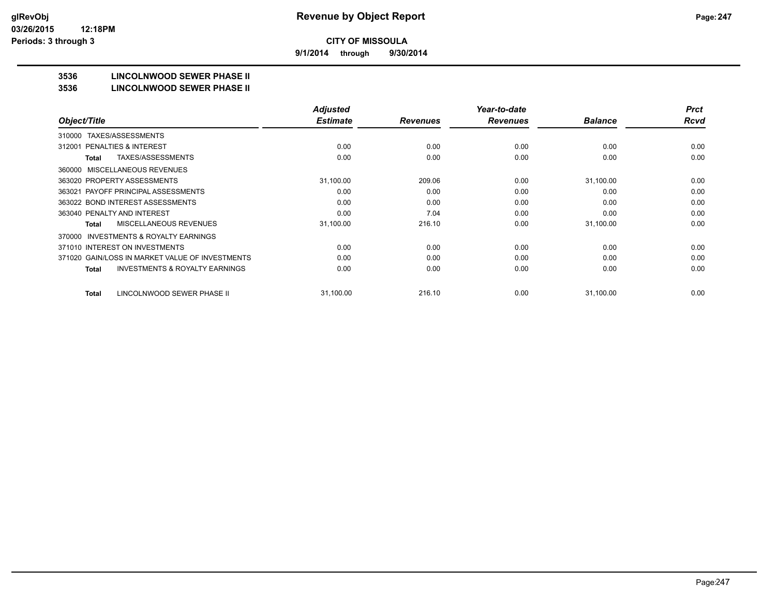**9/1/2014 through 9/30/2014**

## **3536 LINCOLNWOOD SEWER PHASE II**

#### **3536 LINCOLNWOOD SEWER PHASE II**

|                                                    | <b>Adjusted</b> |                 | Year-to-date    |                | <b>Prct</b> |
|----------------------------------------------------|-----------------|-----------------|-----------------|----------------|-------------|
| Object/Title                                       | <b>Estimate</b> | <b>Revenues</b> | <b>Revenues</b> | <b>Balance</b> | <b>Rcvd</b> |
| TAXES/ASSESSMENTS<br>310000                        |                 |                 |                 |                |             |
| PENALTIES & INTEREST<br>312001                     | 0.00            | 0.00            | 0.00            | 0.00           | 0.00        |
| TAXES/ASSESSMENTS<br>Total                         | 0.00            | 0.00            | 0.00            | 0.00           | 0.00        |
| MISCELLANEOUS REVENUES<br>360000                   |                 |                 |                 |                |             |
| 363020 PROPERTY ASSESSMENTS                        | 31,100.00       | 209.06          | 0.00            | 31,100.00      | 0.00        |
| 363021 PAYOFF PRINCIPAL ASSESSMENTS                | 0.00            | 0.00            | 0.00            | 0.00           | 0.00        |
| 363022 BOND INTEREST ASSESSMENTS                   | 0.00            | 0.00            | 0.00            | 0.00           | 0.00        |
| 363040 PENALTY AND INTEREST                        | 0.00            | 7.04            | 0.00            | 0.00           | 0.00        |
| MISCELLANEOUS REVENUES<br>Total                    | 31,100.00       | 216.10          | 0.00            | 31,100.00      | 0.00        |
| INVESTMENTS & ROYALTY EARNINGS<br>370000           |                 |                 |                 |                |             |
| 371010 INTEREST ON INVESTMENTS                     | 0.00            | 0.00            | 0.00            | 0.00           | 0.00        |
| 371020 GAIN/LOSS IN MARKET VALUE OF INVESTMENTS    | 0.00            | 0.00            | 0.00            | 0.00           | 0.00        |
| <b>INVESTMENTS &amp; ROYALTY EARNINGS</b><br>Total | 0.00            | 0.00            | 0.00            | 0.00           | 0.00        |
| LINCOLNWOOD SEWER PHASE II<br><b>Total</b>         | 31,100.00       | 216.10          | 0.00            | 31,100.00      | 0.00        |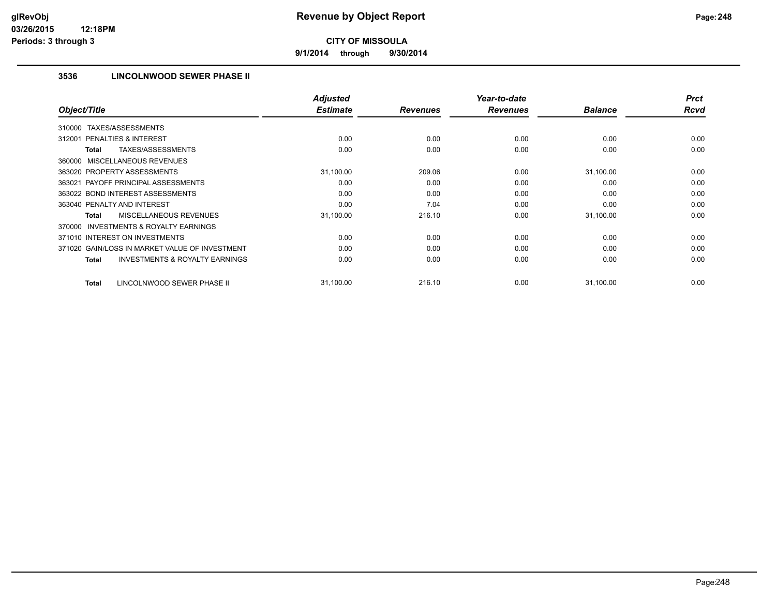**9/1/2014 through 9/30/2014**

### **3536 LINCOLNWOOD SEWER PHASE II**

|                                                           | <b>Adjusted</b> |                 | Year-to-date    |                | <b>Prct</b> |
|-----------------------------------------------------------|-----------------|-----------------|-----------------|----------------|-------------|
| Object/Title                                              | <b>Estimate</b> | <b>Revenues</b> | <b>Revenues</b> | <b>Balance</b> | <b>Rcvd</b> |
| TAXES/ASSESSMENTS<br>310000                               |                 |                 |                 |                |             |
| 312001 PENALTIES & INTEREST                               | 0.00            | 0.00            | 0.00            | 0.00           | 0.00        |
| <b>TAXES/ASSESSMENTS</b><br><b>Total</b>                  | 0.00            | 0.00            | 0.00            | 0.00           | 0.00        |
| 360000 MISCELLANEOUS REVENUES                             |                 |                 |                 |                |             |
| 363020 PROPERTY ASSESSMENTS                               | 31,100.00       | 209.06          | 0.00            | 31,100.00      | 0.00        |
| 363021 PAYOFF PRINCIPAL ASSESSMENTS                       | 0.00            | 0.00            | 0.00            | 0.00           | 0.00        |
| 363022 BOND INTEREST ASSESSMENTS                          | 0.00            | 0.00            | 0.00            | 0.00           | 0.00        |
| 363040 PENALTY AND INTEREST                               | 0.00            | 7.04            | 0.00            | 0.00           | 0.00        |
| MISCELLANEOUS REVENUES<br><b>Total</b>                    | 31,100.00       | 216.10          | 0.00            | 31,100.00      | 0.00        |
| <b>INVESTMENTS &amp; ROYALTY EARNINGS</b><br>370000       |                 |                 |                 |                |             |
| 371010 INTEREST ON INVESTMENTS                            | 0.00            | 0.00            | 0.00            | 0.00           | 0.00        |
| 371020 GAIN/LOSS IN MARKET VALUE OF INVESTMENT            | 0.00            | 0.00            | 0.00            | 0.00           | 0.00        |
| <b>INVESTMENTS &amp; ROYALTY EARNINGS</b><br><b>Total</b> | 0.00            | 0.00            | 0.00            | 0.00           | 0.00        |
| LINCOLNWOOD SEWER PHASE II<br><b>Total</b>                | 31,100.00       | 216.10          | 0.00            | 31,100.00      | 0.00        |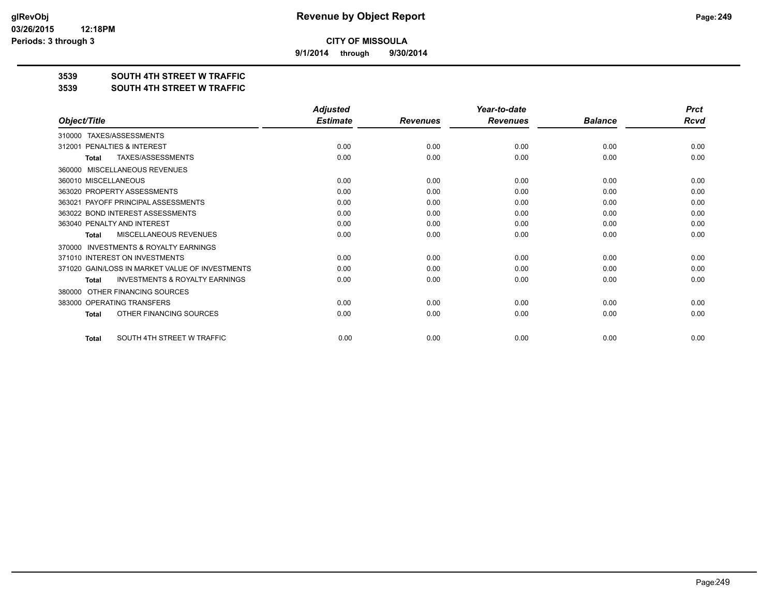**9/1/2014 through 9/30/2014**

## **3539 SOUTH 4TH STREET W TRAFFIC**

#### **3539 SOUTH 4TH STREET W TRAFFIC**

|                                                           | <b>Adjusted</b> |                 | Year-to-date    |                | <b>Prct</b> |
|-----------------------------------------------------------|-----------------|-----------------|-----------------|----------------|-------------|
| Object/Title                                              | <b>Estimate</b> | <b>Revenues</b> | <b>Revenues</b> | <b>Balance</b> | <b>Rcvd</b> |
| TAXES/ASSESSMENTS<br>310000                               |                 |                 |                 |                |             |
| PENALTIES & INTEREST<br>312001                            | 0.00            | 0.00            | 0.00            | 0.00           | 0.00        |
| TAXES/ASSESSMENTS<br><b>Total</b>                         | 0.00            | 0.00            | 0.00            | 0.00           | 0.00        |
| MISCELLANEOUS REVENUES<br>360000                          |                 |                 |                 |                |             |
| 360010 MISCELLANEOUS                                      | 0.00            | 0.00            | 0.00            | 0.00           | 0.00        |
| 363020 PROPERTY ASSESSMENTS                               | 0.00            | 0.00            | 0.00            | 0.00           | 0.00        |
| 363021 PAYOFF PRINCIPAL ASSESSMENTS                       | 0.00            | 0.00            | 0.00            | 0.00           | 0.00        |
| 363022 BOND INTEREST ASSESSMENTS                          | 0.00            | 0.00            | 0.00            | 0.00           | 0.00        |
| 363040 PENALTY AND INTEREST                               | 0.00            | 0.00            | 0.00            | 0.00           | 0.00        |
| MISCELLANEOUS REVENUES<br>Total                           | 0.00            | 0.00            | 0.00            | 0.00           | 0.00        |
| <b>INVESTMENTS &amp; ROYALTY EARNINGS</b><br>370000       |                 |                 |                 |                |             |
| 371010 INTEREST ON INVESTMENTS                            | 0.00            | 0.00            | 0.00            | 0.00           | 0.00        |
| 371020 GAIN/LOSS IN MARKET VALUE OF INVESTMENTS           | 0.00            | 0.00            | 0.00            | 0.00           | 0.00        |
| <b>INVESTMENTS &amp; ROYALTY EARNINGS</b><br><b>Total</b> | 0.00            | 0.00            | 0.00            | 0.00           | 0.00        |
| OTHER FINANCING SOURCES<br>380000                         |                 |                 |                 |                |             |
| 383000 OPERATING TRANSFERS                                | 0.00            | 0.00            | 0.00            | 0.00           | 0.00        |
| OTHER FINANCING SOURCES<br>Total                          | 0.00            | 0.00            | 0.00            | 0.00           | 0.00        |
| SOUTH 4TH STREET W TRAFFIC<br><b>Total</b>                | 0.00            | 0.00            | 0.00            | 0.00           | 0.00        |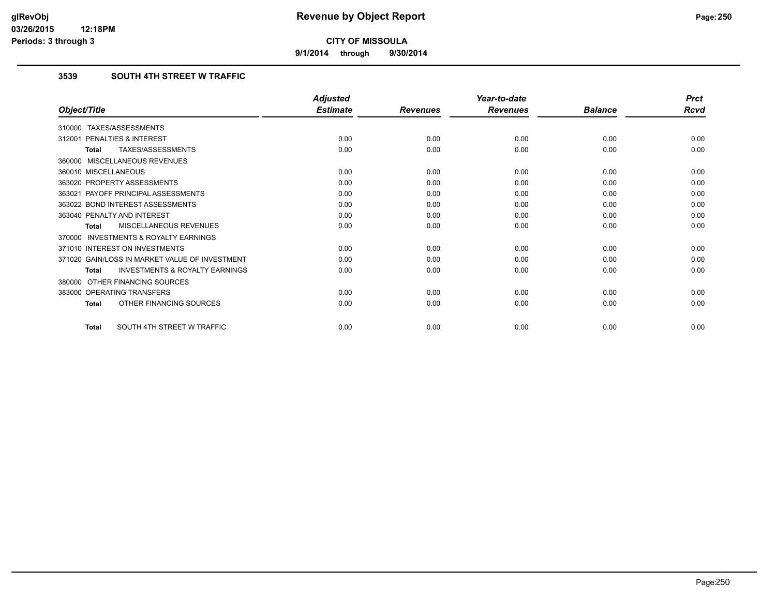**9/1/2014 through 9/30/2014**

### **3539 SOUTH 4TH STREET W TRAFFIC**

|                                                           | <b>Adjusted</b> |                 | Year-to-date    |                | <b>Prct</b> |
|-----------------------------------------------------------|-----------------|-----------------|-----------------|----------------|-------------|
| Object/Title                                              | <b>Estimate</b> | <b>Revenues</b> | <b>Revenues</b> | <b>Balance</b> | Rcvd        |
| 310000 TAXES/ASSESSMENTS                                  |                 |                 |                 |                |             |
| PENALTIES & INTEREST<br>312001                            | 0.00            | 0.00            | 0.00            | 0.00           | 0.00        |
| TAXES/ASSESSMENTS<br><b>Total</b>                         | 0.00            | 0.00            | 0.00            | 0.00           | 0.00        |
| 360000 MISCELLANEOUS REVENUES                             |                 |                 |                 |                |             |
| 360010 MISCELLANEOUS                                      | 0.00            | 0.00            | 0.00            | 0.00           | 0.00        |
| 363020 PROPERTY ASSESSMENTS                               | 0.00            | 0.00            | 0.00            | 0.00           | 0.00        |
| 363021 PAYOFF PRINCIPAL ASSESSMENTS                       | 0.00            | 0.00            | 0.00            | 0.00           | 0.00        |
| 363022 BOND INTEREST ASSESSMENTS                          | 0.00            | 0.00            | 0.00            | 0.00           | 0.00        |
| 363040 PENALTY AND INTEREST                               | 0.00            | 0.00            | 0.00            | 0.00           | 0.00        |
| MISCELLANEOUS REVENUES<br><b>Total</b>                    | 0.00            | 0.00            | 0.00            | 0.00           | 0.00        |
| <b>INVESTMENTS &amp; ROYALTY EARNINGS</b><br>370000       |                 |                 |                 |                |             |
| 371010 INTEREST ON INVESTMENTS                            | 0.00            | 0.00            | 0.00            | 0.00           | 0.00        |
| 371020 GAIN/LOSS IN MARKET VALUE OF INVESTMENT            | 0.00            | 0.00            | 0.00            | 0.00           | 0.00        |
| <b>INVESTMENTS &amp; ROYALTY EARNINGS</b><br><b>Total</b> | 0.00            | 0.00            | 0.00            | 0.00           | 0.00        |
| OTHER FINANCING SOURCES<br>380000                         |                 |                 |                 |                |             |
| 383000 OPERATING TRANSFERS                                | 0.00            | 0.00            | 0.00            | 0.00           | 0.00        |
| OTHER FINANCING SOURCES<br><b>Total</b>                   | 0.00            | 0.00            | 0.00            | 0.00           | 0.00        |
| SOUTH 4TH STREET W TRAFFIC<br><b>Total</b>                | 0.00            | 0.00            | 0.00            | 0.00           | 0.00        |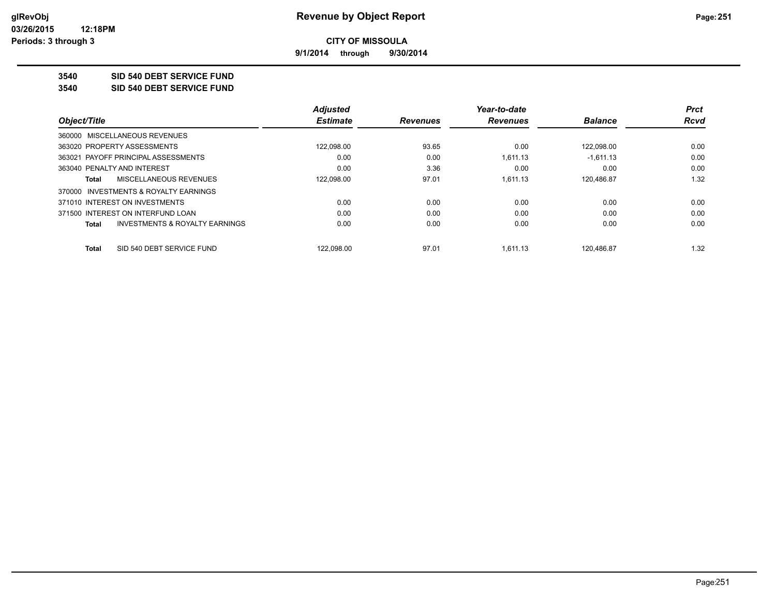**9/1/2014 through 9/30/2014**

**3540 SID 540 DEBT SERVICE FUND**

**3540 SID 540 DEBT SERVICE FUND**

|              |                                           | <b>Adjusted</b> |                 | Year-to-date    |                | <b>Prct</b> |
|--------------|-------------------------------------------|-----------------|-----------------|-----------------|----------------|-------------|
| Object/Title |                                           | <b>Estimate</b> | <b>Revenues</b> | <b>Revenues</b> | <b>Balance</b> | Rcvd        |
|              | 360000 MISCELLANEOUS REVENUES             |                 |                 |                 |                |             |
|              | 363020 PROPERTY ASSESSMENTS               | 122,098.00      | 93.65           | 0.00            | 122.098.00     | 0.00        |
|              | 363021 PAYOFF PRINCIPAL ASSESSMENTS       | 0.00            | 0.00            | 1,611.13        | $-1.611.13$    | 0.00        |
|              | 363040 PENALTY AND INTEREST               | 0.00            | 3.36            | 0.00            | 0.00           | 0.00        |
| Total        | MISCELLANEOUS REVENUES                    | 122,098.00      | 97.01           | 1.611.13        | 120.486.87     | 1.32        |
|              | 370000 INVESTMENTS & ROYALTY EARNINGS     |                 |                 |                 |                |             |
|              | 371010 INTEREST ON INVESTMENTS            | 0.00            | 0.00            | 0.00            | 0.00           | 0.00        |
|              | 371500 INTEREST ON INTERFUND LOAN         | 0.00            | 0.00            | 0.00            | 0.00           | 0.00        |
| <b>Total</b> | <b>INVESTMENTS &amp; ROYALTY EARNINGS</b> | 0.00            | 0.00            | 0.00            | 0.00           | 0.00        |
| Total        | SID 540 DEBT SERVICE FUND                 | 122.098.00      | 97.01           | 1.611.13        | 120.486.87     | 1.32        |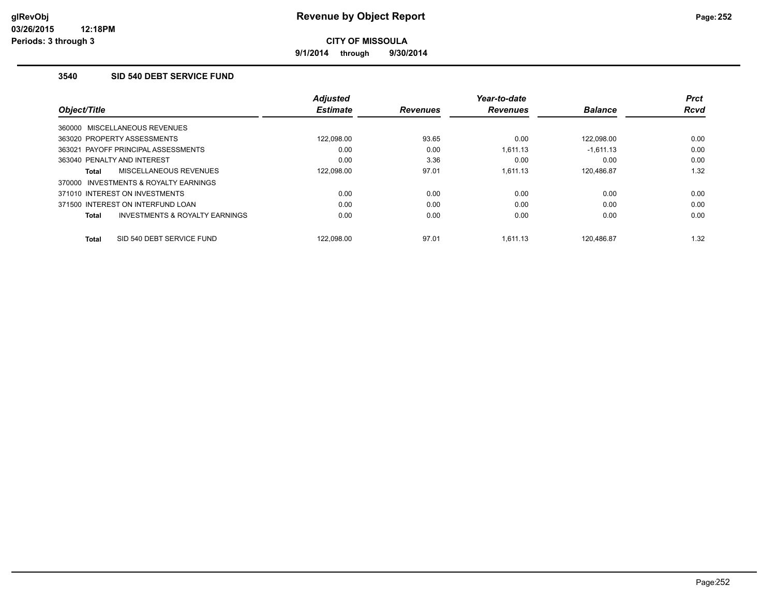**9/1/2014 through 9/30/2014**

### **3540 SID 540 DEBT SERVICE FUND**

|                             |                                           | <b>Adjusted</b> |                 | Year-to-date    |                | <b>Prct</b> |
|-----------------------------|-------------------------------------------|-----------------|-----------------|-----------------|----------------|-------------|
| Object/Title                |                                           | <b>Estimate</b> | <b>Revenues</b> | <b>Revenues</b> | <b>Balance</b> | <b>Rcvd</b> |
|                             | 360000 MISCELLANEOUS REVENUES             |                 |                 |                 |                |             |
| 363020 PROPERTY ASSESSMENTS |                                           | 122.098.00      | 93.65           | 0.00            | 122.098.00     | 0.00        |
|                             | 363021 PAYOFF PRINCIPAL ASSESSMENTS       | 0.00            | 0.00            | 1.611.13        | $-1.611.13$    | 0.00        |
| 363040 PENALTY AND INTEREST |                                           | 0.00            | 3.36            | 0.00            | 0.00           | 0.00        |
| Total                       | MISCELLANEOUS REVENUES                    | 122,098.00      | 97.01           | 1.611.13        | 120,486.87     | 1.32        |
| 370000                      | INVESTMENTS & ROYALTY EARNINGS            |                 |                 |                 |                |             |
|                             | 371010 INTEREST ON INVESTMENTS            | 0.00            | 0.00            | 0.00            | 0.00           | 0.00        |
|                             | 371500 INTEREST ON INTERFUND LOAN         | 0.00            | 0.00            | 0.00            | 0.00           | 0.00        |
| Total                       | <b>INVESTMENTS &amp; ROYALTY EARNINGS</b> | 0.00            | 0.00            | 0.00            | 0.00           | 0.00        |
|                             |                                           |                 |                 |                 |                |             |
| Total                       | SID 540 DEBT SERVICE FUND                 | 122.098.00      | 97.01           | 1.611.13        | 120.486.87     | 1.32        |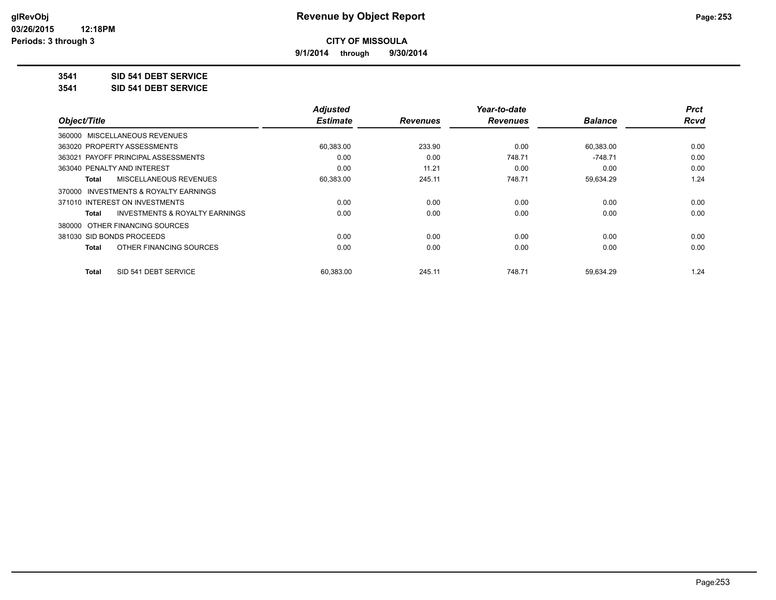**9/1/2014 through 9/30/2014**

### **3541 SID 541 DEBT SERVICE**

**3541 SID 541 DEBT SERVICE**

|                                         | <b>Adjusted</b> |                 | Year-to-date    |                | <b>Prct</b> |
|-----------------------------------------|-----------------|-----------------|-----------------|----------------|-------------|
| Object/Title                            | <b>Estimate</b> | <b>Revenues</b> | <b>Revenues</b> | <b>Balance</b> | <b>Rcvd</b> |
| 360000 MISCELLANEOUS REVENUES           |                 |                 |                 |                |             |
| 363020 PROPERTY ASSESSMENTS             | 60,383.00       | 233.90          | 0.00            | 60,383.00      | 0.00        |
| 363021 PAYOFF PRINCIPAL ASSESSMENTS     | 0.00            | 0.00            | 748.71          | $-748.71$      | 0.00        |
| 363040 PENALTY AND INTEREST             | 0.00            | 11.21           | 0.00            | 0.00           | 0.00        |
| MISCELLANEOUS REVENUES<br>Total         | 60,383.00       | 245.11          | 748.71          | 59,634.29      | 1.24        |
| 370000 INVESTMENTS & ROYALTY EARNINGS   |                 |                 |                 |                |             |
| 371010 INTEREST ON INVESTMENTS          | 0.00            | 0.00            | 0.00            | 0.00           | 0.00        |
| INVESTMENTS & ROYALTY EARNINGS<br>Total | 0.00            | 0.00            | 0.00            | 0.00           | 0.00        |
| 380000 OTHER FINANCING SOURCES          |                 |                 |                 |                |             |
| 381030 SID BONDS PROCEEDS               | 0.00            | 0.00            | 0.00            | 0.00           | 0.00        |
| OTHER FINANCING SOURCES<br>Total        | 0.00            | 0.00            | 0.00            | 0.00           | 0.00        |
| SID 541 DEBT SERVICE<br>Total           | 60.383.00       | 245.11          | 748.71          | 59.634.29      | 1.24        |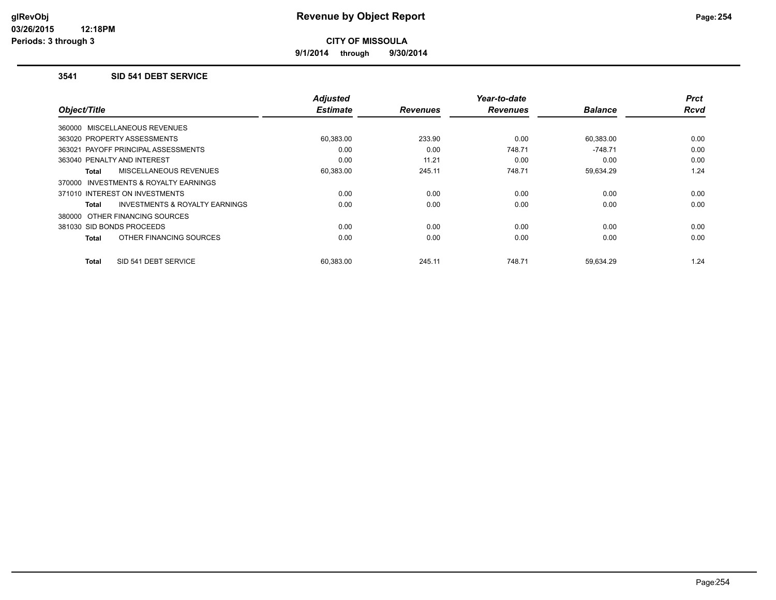**9/1/2014 through 9/30/2014**

#### **3541 SID 541 DEBT SERVICE**

| Object/Title                                       | <b>Adjusted</b><br><b>Estimate</b> | <b>Revenues</b> | Year-to-date<br><b>Revenues</b> | <b>Balance</b> | <b>Prct</b><br><b>Rcvd</b> |
|----------------------------------------------------|------------------------------------|-----------------|---------------------------------|----------------|----------------------------|
| 360000 MISCELLANEOUS REVENUES                      |                                    |                 |                                 |                |                            |
| 363020 PROPERTY ASSESSMENTS                        | 60,383.00                          | 233.90          | 0.00                            | 60,383.00      | 0.00                       |
| 363021 PAYOFF PRINCIPAL ASSESSMENTS                | 0.00                               | 0.00            | 748.71                          | $-748.71$      | 0.00                       |
| 363040 PENALTY AND INTEREST                        | 0.00                               | 11.21           | 0.00                            | 0.00           | 0.00                       |
| MISCELLANEOUS REVENUES<br>Total                    | 60,383.00                          | 245.11          | 748.71                          | 59,634.29      | 1.24                       |
| INVESTMENTS & ROYALTY EARNINGS<br>370000           |                                    |                 |                                 |                |                            |
| 371010 INTEREST ON INVESTMENTS                     | 0.00                               | 0.00            | 0.00                            | 0.00           | 0.00                       |
| <b>INVESTMENTS &amp; ROYALTY EARNINGS</b><br>Total | 0.00                               | 0.00            | 0.00                            | 0.00           | 0.00                       |
| 380000 OTHER FINANCING SOURCES                     |                                    |                 |                                 |                |                            |
| 381030 SID BONDS PROCEEDS                          | 0.00                               | 0.00            | 0.00                            | 0.00           | 0.00                       |
| OTHER FINANCING SOURCES<br><b>Total</b>            | 0.00                               | 0.00            | 0.00                            | 0.00           | 0.00                       |
| SID 541 DEBT SERVICE<br><b>Total</b>               | 60,383.00                          | 245.11          | 748.71                          | 59,634.29      | 1.24                       |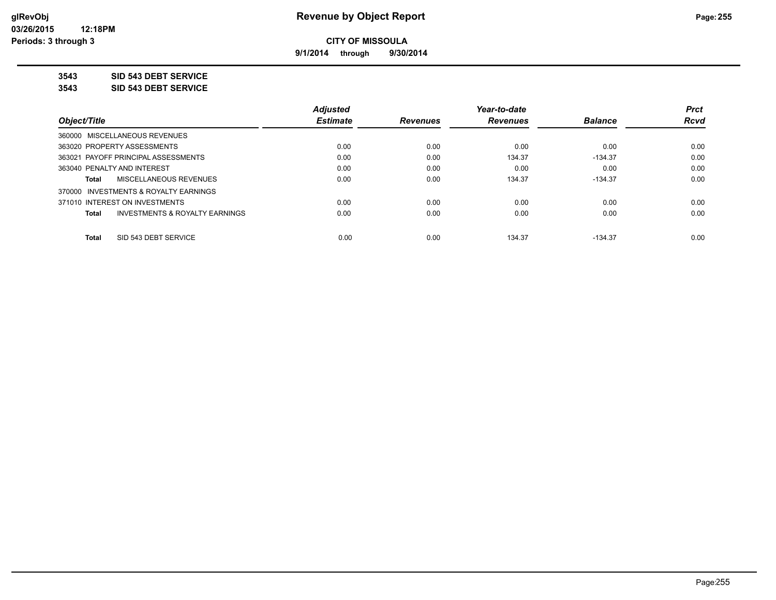**9/1/2014 through 9/30/2014**

**3543 SID 543 DEBT SERVICE**

**3543 SID 543 DEBT SERVICE**

|                                           | <b>Adjusted</b>      |                 | Year-to-date    |                | <b>Prct</b> |
|-------------------------------------------|----------------------|-----------------|-----------------|----------------|-------------|
|                                           | <b>Estimate</b>      | <b>Revenues</b> | <b>Revenues</b> | <b>Balance</b> | <b>Rcvd</b> |
| 360000 MISCELLANEOUS REVENUES             |                      |                 |                 |                |             |
| 363020 PROPERTY ASSESSMENTS               | 0.00                 | 0.00            | 0.00            | 0.00           | 0.00        |
| 363021 PAYOFF PRINCIPAL ASSESSMENTS       | 0.00                 | 0.00            | 134.37          | $-134.37$      | 0.00        |
| 363040 PENALTY AND INTEREST               | 0.00                 | 0.00            | 0.00            | 0.00           | 0.00        |
| MISCELLANEOUS REVENUES                    | 0.00                 | 0.00            | 134.37          | $-134.37$      | 0.00        |
| 370000 INVESTMENTS & ROYALTY EARNINGS     |                      |                 |                 |                |             |
| 371010 INTEREST ON INVESTMENTS            | 0.00                 | 0.00            | 0.00            | 0.00           | 0.00        |
| <b>INVESTMENTS &amp; ROYALTY EARNINGS</b> | 0.00                 | 0.00            | 0.00            | 0.00           | 0.00        |
|                                           |                      |                 |                 |                | 0.00        |
|                                           | SID 543 DEBT SERVICE | 0.00            | 0.00            | 134.37         | -134.37     |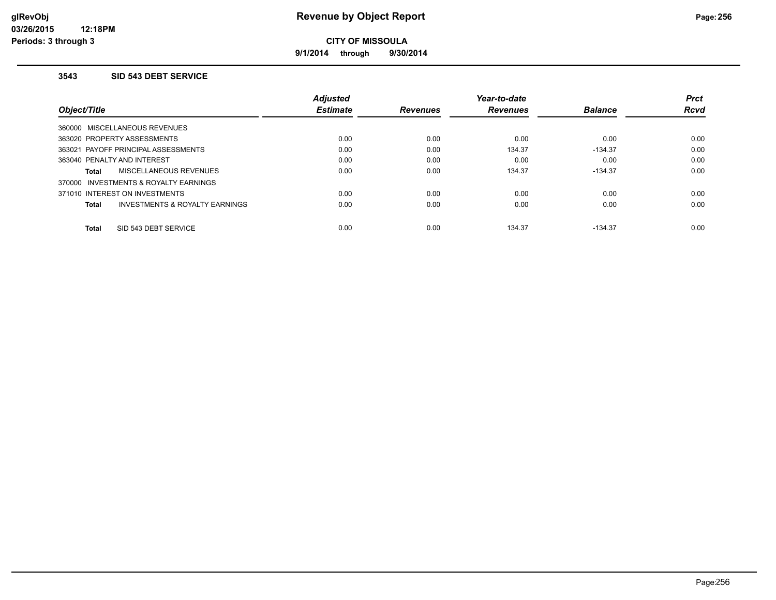**9/1/2014 through 9/30/2014**

#### **3543 SID 543 DEBT SERVICE**

|                                                    | <b>Adjusted</b> |                 | Year-to-date    |                | <b>Prct</b> |
|----------------------------------------------------|-----------------|-----------------|-----------------|----------------|-------------|
| Object/Title                                       | <b>Estimate</b> | <b>Revenues</b> | <b>Revenues</b> | <b>Balance</b> | <b>Rcvd</b> |
| 360000 MISCELLANEOUS REVENUES                      |                 |                 |                 |                |             |
| 363020 PROPERTY ASSESSMENTS                        | 0.00            | 0.00            | 0.00            | 0.00           | 0.00        |
| 363021 PAYOFF PRINCIPAL ASSESSMENTS                | 0.00            | 0.00            | 134.37          | $-134.37$      | 0.00        |
| 363040 PENALTY AND INTEREST                        | 0.00            | 0.00            | 0.00            | 0.00           | 0.00        |
| <b>MISCELLANEOUS REVENUES</b><br>Total             | 0.00            | 0.00            | 134.37          | $-134.37$      | 0.00        |
| 370000 INVESTMENTS & ROYALTY EARNINGS              |                 |                 |                 |                |             |
| 371010 INTEREST ON INVESTMENTS                     | 0.00            | 0.00            | 0.00            | 0.00           | 0.00        |
| <b>INVESTMENTS &amp; ROYALTY EARNINGS</b><br>Total | 0.00            | 0.00            | 0.00            | 0.00           | 0.00        |
| SID 543 DEBT SERVICE<br><b>Total</b>               | 0.00            | 0.00            | 134.37          | $-134.37$      | 0.00        |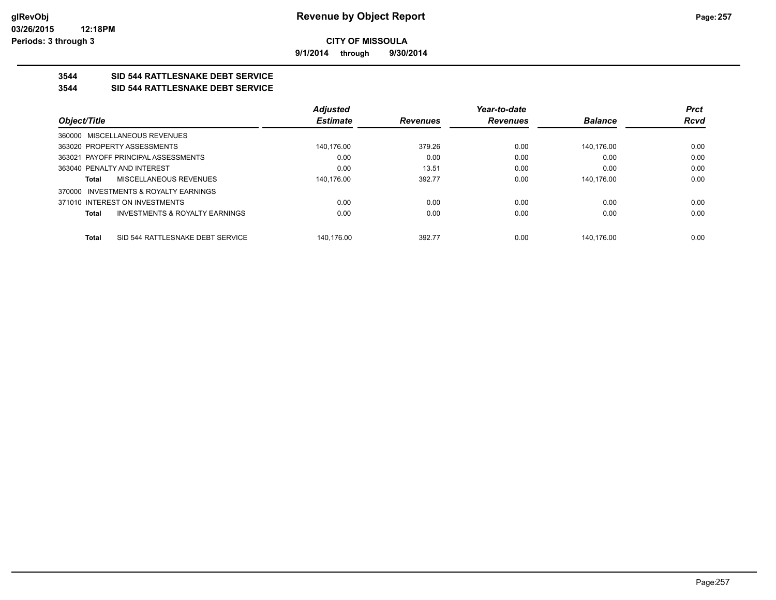**9/1/2014 through 9/30/2014**

# **3544 SID 544 RATTLESNAKE DEBT SERVICE**

### **3544 SID 544 RATTLESNAKE DEBT SERVICE**

|                                                    | <b>Adjusted</b> |                 | Year-to-date    |                | <b>Prct</b> |
|----------------------------------------------------|-----------------|-----------------|-----------------|----------------|-------------|
| Object/Title                                       | <b>Estimate</b> | <b>Revenues</b> | <b>Revenues</b> | <b>Balance</b> | <b>Rcvd</b> |
| 360000 MISCELLANEOUS REVENUES                      |                 |                 |                 |                |             |
| 363020 PROPERTY ASSESSMENTS                        | 140,176.00      | 379.26          | 0.00            | 140.176.00     | 0.00        |
| 363021 PAYOFF PRINCIPAL ASSESSMENTS                | 0.00            | 0.00            | 0.00            | 0.00           | 0.00        |
| 363040 PENALTY AND INTEREST                        | 0.00            | 13.51           | 0.00            | 0.00           | 0.00        |
| MISCELLANEOUS REVENUES<br>Total                    | 140.176.00      | 392.77          | 0.00            | 140.176.00     | 0.00        |
| 370000 INVESTMENTS & ROYALTY EARNINGS              |                 |                 |                 |                |             |
| 371010 INTEREST ON INVESTMENTS                     | 0.00            | 0.00            | 0.00            | 0.00           | 0.00        |
| <b>INVESTMENTS &amp; ROYALTY EARNINGS</b><br>Total | 0.00            | 0.00            | 0.00            | 0.00           | 0.00        |
|                                                    |                 |                 |                 |                |             |
| SID 544 RATTLESNAKE DEBT SERVICE<br>Total          | 140.176.00      | 392.77          | 0.00            | 140.176.00     | 0.00        |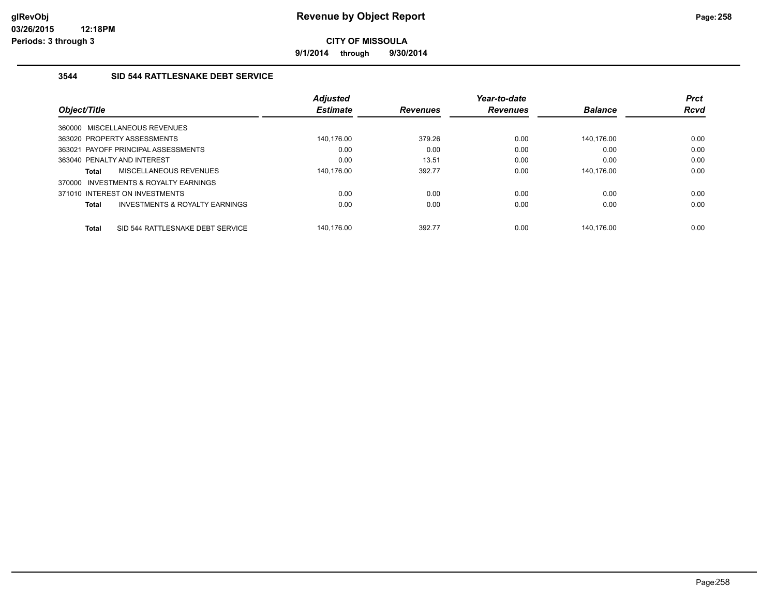**9/1/2014 through 9/30/2014**

### **3544 SID 544 RATTLESNAKE DEBT SERVICE**

|              |                                       | <b>Adjusted</b> |                 | Year-to-date    |                | <b>Prct</b> |
|--------------|---------------------------------------|-----------------|-----------------|-----------------|----------------|-------------|
| Object/Title |                                       | <b>Estimate</b> | <b>Revenues</b> | <b>Revenues</b> | <b>Balance</b> | <b>Rcvd</b> |
|              | 360000 MISCELLANEOUS REVENUES         |                 |                 |                 |                |             |
|              | 363020 PROPERTY ASSESSMENTS           | 140.176.00      | 379.26          | 0.00            | 140.176.00     | 0.00        |
|              | 363021 PAYOFF PRINCIPAL ASSESSMENTS   | 0.00            | 0.00            | 0.00            | 0.00           | 0.00        |
|              | 363040 PENALTY AND INTEREST           | 0.00            | 13.51           | 0.00            | 0.00           | 0.00        |
| <b>Total</b> | <b>MISCELLANEOUS REVENUES</b>         | 140.176.00      | 392.77          | 0.00            | 140.176.00     | 0.00        |
|              | 370000 INVESTMENTS & ROYALTY EARNINGS |                 |                 |                 |                |             |
|              | 371010 INTEREST ON INVESTMENTS        | 0.00            | 0.00            | 0.00            | 0.00           | 0.00        |
| Total        | INVESTMENTS & ROYALTY EARNINGS        | 0.00            | 0.00            | 0.00            | 0.00           | 0.00        |
| <b>Total</b> | SID 544 RATTLESNAKE DEBT SERVICE      | 140.176.00      | 392.77          | 0.00            | 140.176.00     | 0.00        |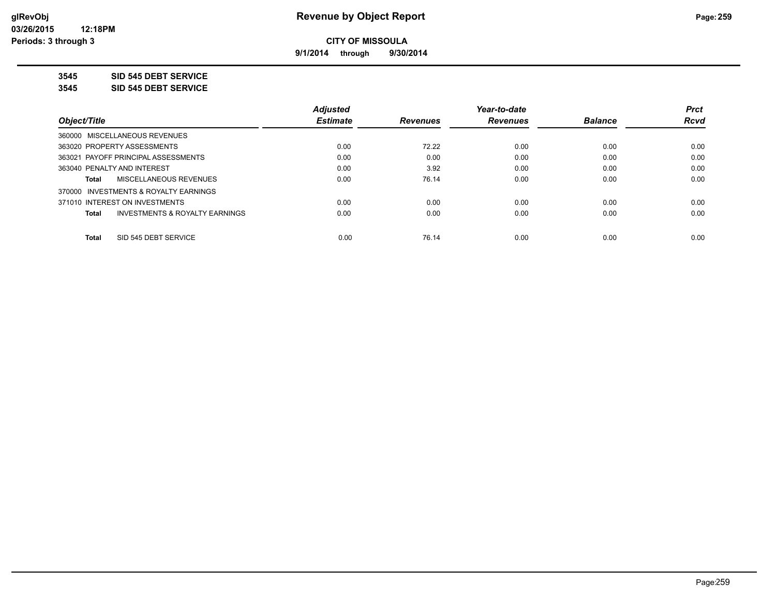**9/1/2014 through 9/30/2014**

**3545 SID 545 DEBT SERVICE**

**3545 SID 545 DEBT SERVICE**

|                                                    | <b>Adjusted</b> |                 | Year-to-date    |                | <b>Prct</b> |
|----------------------------------------------------|-----------------|-----------------|-----------------|----------------|-------------|
| Object/Title                                       | <b>Estimate</b> | <b>Revenues</b> | <b>Revenues</b> | <b>Balance</b> | <b>Rcvd</b> |
| 360000 MISCELLANEOUS REVENUES                      |                 |                 |                 |                |             |
| 363020 PROPERTY ASSESSMENTS                        | 0.00            | 72.22           | 0.00            | 0.00           | 0.00        |
| 363021 PAYOFF PRINCIPAL ASSESSMENTS                | 0.00            | 0.00            | 0.00            | 0.00           | 0.00        |
| 363040 PENALTY AND INTEREST                        | 0.00            | 3.92            | 0.00            | 0.00           | 0.00        |
| MISCELLANEOUS REVENUES<br>Total                    | 0.00            | 76.14           | 0.00            | 0.00           | 0.00        |
| 370000 INVESTMENTS & ROYALTY EARNINGS              |                 |                 |                 |                |             |
| 371010 INTEREST ON INVESTMENTS                     | 0.00            | 0.00            | 0.00            | 0.00           | 0.00        |
| <b>INVESTMENTS &amp; ROYALTY EARNINGS</b><br>Total | 0.00            | 0.00            | 0.00            | 0.00           | 0.00        |
| SID 545 DEBT SERVICE<br><b>Total</b>               | 0.00            | 76.14           | 0.00            | 0.00           | 0.00        |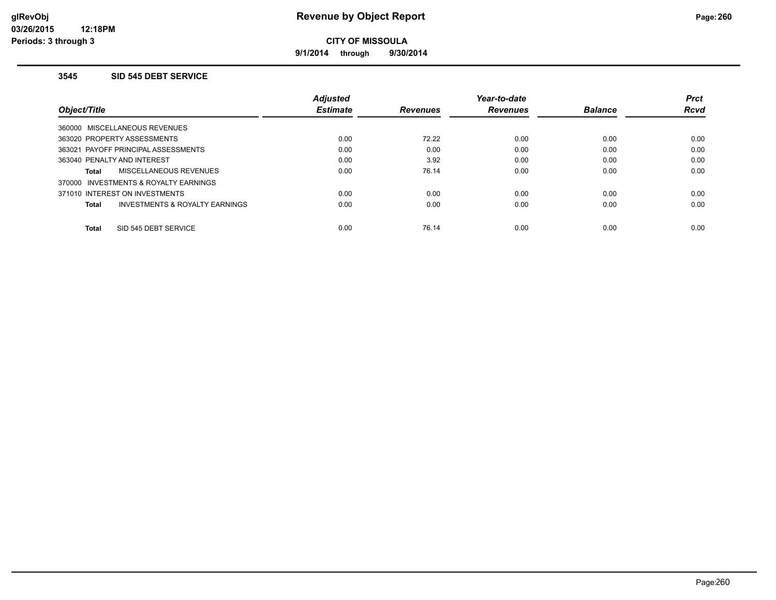**9/1/2014 through 9/30/2014**

#### **3545 SID 545 DEBT SERVICE**

|                                          | Adjusted        |                 | Year-to-date    |                | <b>Prct</b> |
|------------------------------------------|-----------------|-----------------|-----------------|----------------|-------------|
| Object/Title                             | <b>Estimate</b> | <b>Revenues</b> | <b>Revenues</b> | <b>Balance</b> | <b>Rcvd</b> |
| 360000 MISCELLANEOUS REVENUES            |                 |                 |                 |                |             |
| 363020 PROPERTY ASSESSMENTS              | 0.00            | 72.22           | 0.00            | 0.00           | 0.00        |
| 363021 PAYOFF PRINCIPAL ASSESSMENTS      | 0.00            | 0.00            | 0.00            | 0.00           | 0.00        |
| 363040 PENALTY AND INTEREST              | 0.00            | 3.92            | 0.00            | 0.00           | 0.00        |
| MISCELLANEOUS REVENUES<br>Total          | 0.00            | 76.14           | 0.00            | 0.00           | 0.00        |
| INVESTMENTS & ROYALTY EARNINGS<br>370000 |                 |                 |                 |                |             |
| 371010 INTEREST ON INVESTMENTS           | 0.00            | 0.00            | 0.00            | 0.00           | 0.00        |
| INVESTMENTS & ROYALTY EARNINGS<br>Total  | 0.00            | 0.00            | 0.00            | 0.00           | 0.00        |
| SID 545 DEBT SERVICE<br><b>Total</b>     | 0.00            | 76.14           | 0.00            | 0.00           | 0.00        |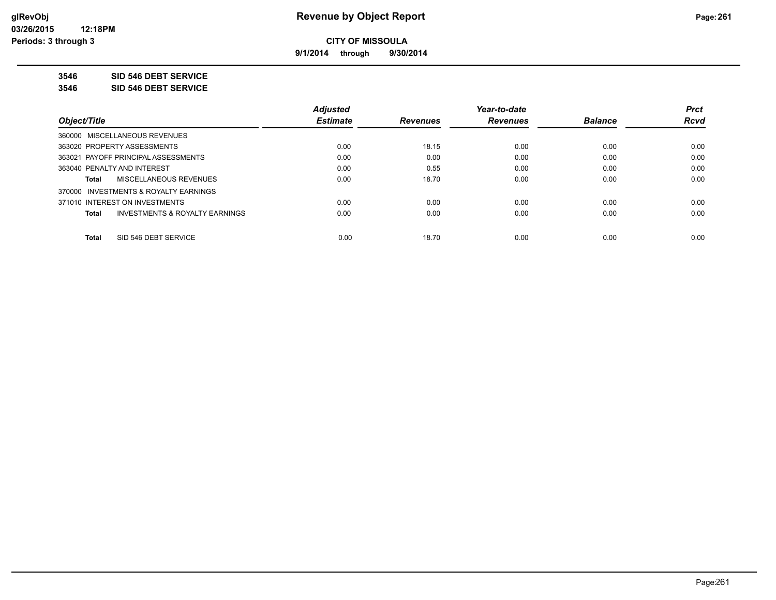**9/1/2014 through 9/30/2014**

**3546 SID 546 DEBT SERVICE**

**3546 SID 546 DEBT SERVICE**

|                                                    | <b>Adjusted</b> |                 | Year-to-date    |                | <b>Prct</b> |
|----------------------------------------------------|-----------------|-----------------|-----------------|----------------|-------------|
| Object/Title                                       | <b>Estimate</b> | <b>Revenues</b> | <b>Revenues</b> | <b>Balance</b> | <b>Rcvd</b> |
| 360000 MISCELLANEOUS REVENUES                      |                 |                 |                 |                |             |
| 363020 PROPERTY ASSESSMENTS                        | 0.00            | 18.15           | 0.00            | 0.00           | 0.00        |
| 363021 PAYOFF PRINCIPAL ASSESSMENTS                | 0.00            | 0.00            | 0.00            | 0.00           | 0.00        |
| 363040 PENALTY AND INTEREST                        | 0.00            | 0.55            | 0.00            | 0.00           | 0.00        |
| MISCELLANEOUS REVENUES<br>Total                    | 0.00            | 18.70           | 0.00            | 0.00           | 0.00        |
| 370000 INVESTMENTS & ROYALTY EARNINGS              |                 |                 |                 |                |             |
| 371010 INTEREST ON INVESTMENTS                     | 0.00            | 0.00            | 0.00            | 0.00           | 0.00        |
| <b>INVESTMENTS &amp; ROYALTY EARNINGS</b><br>Total | 0.00            | 0.00            | 0.00            | 0.00           | 0.00        |
| SID 546 DEBT SERVICE<br><b>Total</b>               | 0.00            | 18.70           | 0.00            | 0.00           | 0.00        |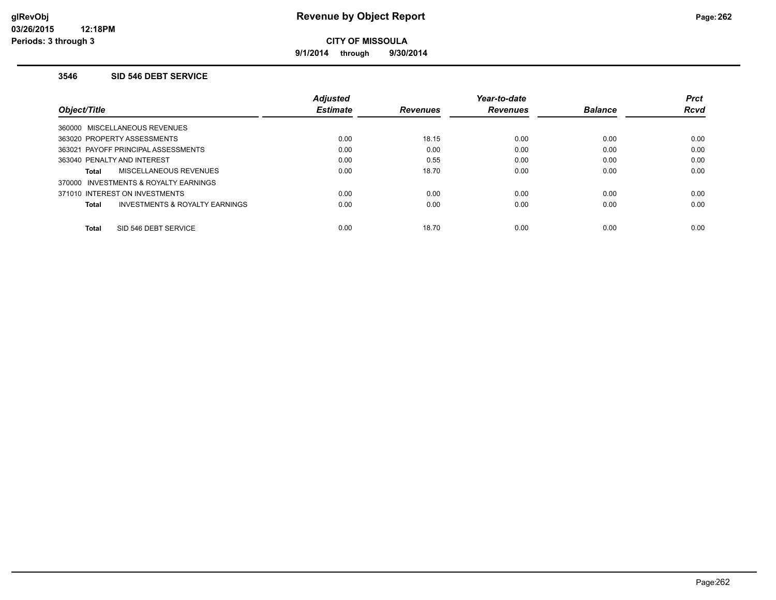**9/1/2014 through 9/30/2014**

#### **3546 SID 546 DEBT SERVICE**

|                                          | Adjusted        |                 | Year-to-date    |                | <b>Prct</b> |
|------------------------------------------|-----------------|-----------------|-----------------|----------------|-------------|
| Object/Title                             | <b>Estimate</b> | <b>Revenues</b> | <b>Revenues</b> | <b>Balance</b> | <b>Rcvd</b> |
| 360000 MISCELLANEOUS REVENUES            |                 |                 |                 |                |             |
| 363020 PROPERTY ASSESSMENTS              | 0.00            | 18.15           | 0.00            | 0.00           | 0.00        |
| 363021 PAYOFF PRINCIPAL ASSESSMENTS      | 0.00            | 0.00            | 0.00            | 0.00           | 0.00        |
| 363040 PENALTY AND INTEREST              | 0.00            | 0.55            | 0.00            | 0.00           | 0.00        |
| MISCELLANEOUS REVENUES<br>Total          | 0.00            | 18.70           | 0.00            | 0.00           | 0.00        |
| INVESTMENTS & ROYALTY EARNINGS<br>370000 |                 |                 |                 |                |             |
| 371010 INTEREST ON INVESTMENTS           | 0.00            | 0.00            | 0.00            | 0.00           | 0.00        |
| INVESTMENTS & ROYALTY EARNINGS<br>Total  | 0.00            | 0.00            | 0.00            | 0.00           | 0.00        |
| SID 546 DEBT SERVICE<br><b>Total</b>     | 0.00            | 18.70           | 0.00            | 0.00           | 0.00        |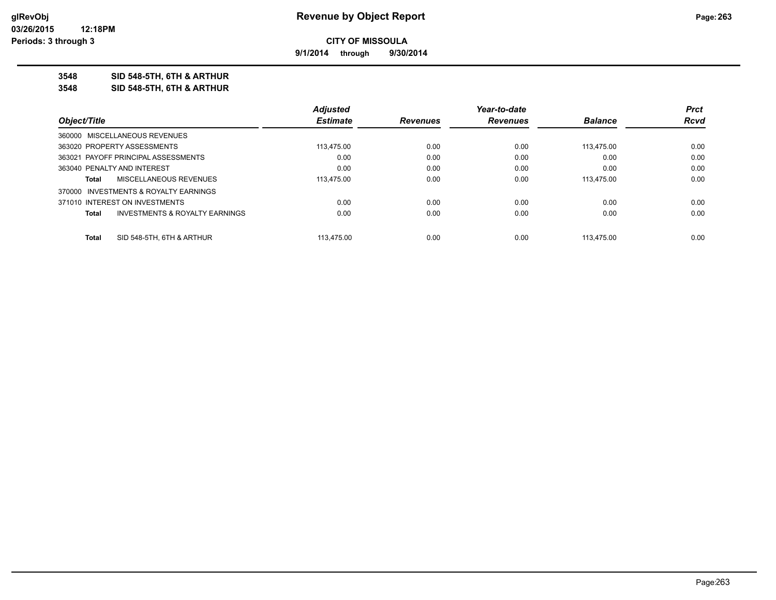**9/1/2014 through 9/30/2014**

**3548 SID 548-5TH, 6TH & ARTHUR**

**3548 SID 548-5TH, 6TH & ARTHUR**

|              |                                           | <b>Adjusted</b> |                 | Year-to-date    |                | <b>Prct</b> |
|--------------|-------------------------------------------|-----------------|-----------------|-----------------|----------------|-------------|
| Object/Title |                                           | <b>Estimate</b> | <b>Revenues</b> | <b>Revenues</b> | <b>Balance</b> | Rcvd        |
|              | 360000 MISCELLANEOUS REVENUES             |                 |                 |                 |                |             |
|              | 363020 PROPERTY ASSESSMENTS               | 113.475.00      | 0.00            | 0.00            | 113.475.00     | 0.00        |
|              | 363021 PAYOFF PRINCIPAL ASSESSMENTS       | 0.00            | 0.00            | 0.00            | 0.00           | 0.00        |
|              | 363040 PENALTY AND INTEREST               | 0.00            | 0.00            | 0.00            | 0.00           | 0.00        |
| Total        | MISCELLANEOUS REVENUES                    | 113.475.00      | 0.00            | 0.00            | 113.475.00     | 0.00        |
|              | 370000 INVESTMENTS & ROYALTY EARNINGS     |                 |                 |                 |                |             |
|              | 371010 INTEREST ON INVESTMENTS            | 0.00            | 0.00            | 0.00            | 0.00           | 0.00        |
| Total        | <b>INVESTMENTS &amp; ROYALTY EARNINGS</b> | 0.00            | 0.00            | 0.00            | 0.00           | 0.00        |
| Total        | SID 548-5TH, 6TH & ARTHUR                 | 113.475.00      | 0.00            | 0.00            | 113.475.00     | 0.00        |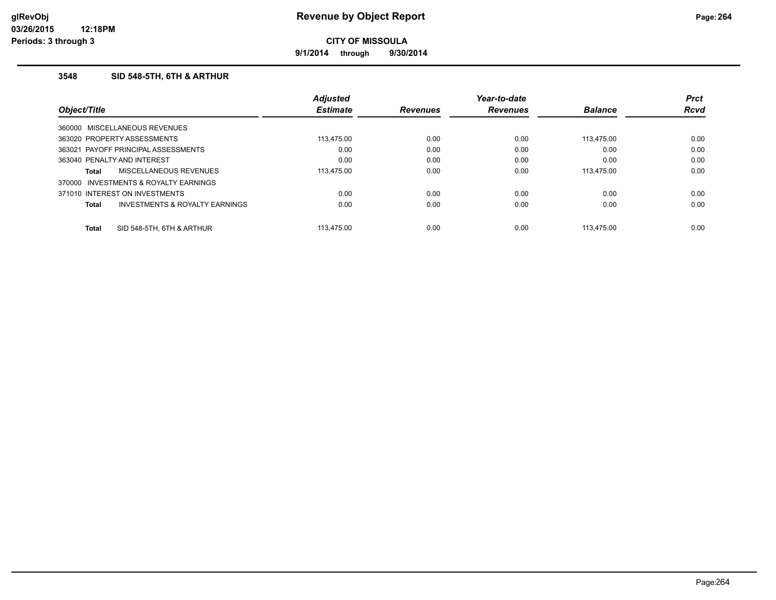**9/1/2014 through 9/30/2014**

### **3548 SID 548-5TH, 6TH & ARTHUR**

|              |                                     | <b>Adjusted</b> |                 | Year-to-date    |                | <b>Prct</b> |
|--------------|-------------------------------------|-----------------|-----------------|-----------------|----------------|-------------|
| Object/Title |                                     | <b>Estimate</b> | <b>Revenues</b> | <b>Revenues</b> | <b>Balance</b> | <b>Rcvd</b> |
|              | 360000 MISCELLANEOUS REVENUES       |                 |                 |                 |                |             |
|              | 363020 PROPERTY ASSESSMENTS         | 113.475.00      | 0.00            | 0.00            | 113.475.00     | 0.00        |
|              | 363021 PAYOFF PRINCIPAL ASSESSMENTS | 0.00            | 0.00            | 0.00            | 0.00           | 0.00        |
|              | 363040 PENALTY AND INTEREST         | 0.00            | 0.00            | 0.00            | 0.00           | 0.00        |
| Total        | MISCELLANEOUS REVENUES              | 113.475.00      | 0.00            | 0.00            | 113.475.00     | 0.00        |
| 370000       | INVESTMENTS & ROYALTY EARNINGS      |                 |                 |                 |                |             |
|              | 371010 INTEREST ON INVESTMENTS      | 0.00            | 0.00            | 0.00            | 0.00           | 0.00        |
| Total        | INVESTMENTS & ROYALTY EARNINGS      | 0.00            | 0.00            | 0.00            | 0.00           | 0.00        |
| <b>Total</b> | SID 548-5TH, 6TH & ARTHUR           | 113.475.00      | 0.00            | 0.00            | 113.475.00     | 0.00        |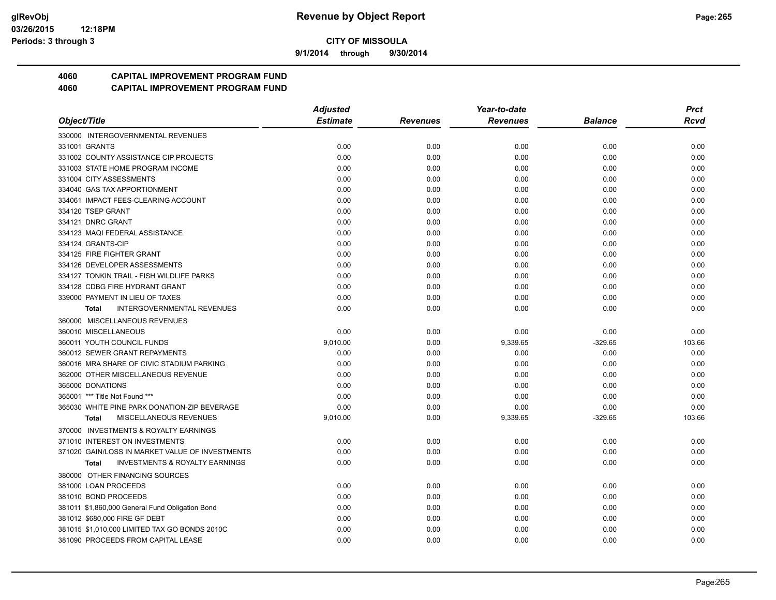**9/1/2014 through 9/30/2014**

# **4060 CAPITAL IMPROVEMENT PROGRAM FUND**

|                                                    | <b>Adjusted</b> |                 | Year-to-date    |           | <b>Prct</b> |
|----------------------------------------------------|-----------------|-----------------|-----------------|-----------|-------------|
| Object/Title                                       | <b>Estimate</b> | <b>Revenues</b> | <b>Revenues</b> | Balance   | Rcvd        |
| 330000 INTERGOVERNMENTAL REVENUES                  |                 |                 |                 |           |             |
| 331001 GRANTS                                      | 0.00            | 0.00            | 0.00            | 0.00      | 0.00        |
| 331002 COUNTY ASSISTANCE CIP PROJECTS              | 0.00            | 0.00            | 0.00            | 0.00      | 0.00        |
| 331003 STATE HOME PROGRAM INCOME                   | 0.00            | 0.00            | 0.00            | 0.00      | 0.00        |
| 331004 CITY ASSESSMENTS                            | 0.00            | 0.00            | 0.00            | 0.00      | 0.00        |
| 334040 GAS TAX APPORTIONMENT                       | 0.00            | 0.00            | 0.00            | 0.00      | 0.00        |
| 334061 IMPACT FEES-CLEARING ACCOUNT                | 0.00            | 0.00            | 0.00            | 0.00      | 0.00        |
| 334120 TSEP GRANT                                  | 0.00            | 0.00            | 0.00            | 0.00      | 0.00        |
| 334121 DNRC GRANT                                  | 0.00            | 0.00            | 0.00            | 0.00      | 0.00        |
| 334123 MAQI FEDERAL ASSISTANCE                     | 0.00            | 0.00            | 0.00            | 0.00      | 0.00        |
| 334124 GRANTS-CIP                                  | 0.00            | 0.00            | 0.00            | 0.00      | 0.00        |
| 334125 FIRE FIGHTER GRANT                          | 0.00            | 0.00            | 0.00            | 0.00      | 0.00        |
| 334126 DEVELOPER ASSESSMENTS                       | 0.00            | 0.00            | 0.00            | 0.00      | 0.00        |
| 334127 TONKIN TRAIL - FISH WILDLIFE PARKS          | 0.00            | 0.00            | 0.00            | 0.00      | 0.00        |
| 334128 CDBG FIRE HYDRANT GRANT                     | 0.00            | 0.00            | 0.00            | 0.00      | 0.00        |
| 339000 PAYMENT IN LIEU OF TAXES                    | 0.00            | 0.00            | 0.00            | 0.00      | 0.00        |
| <b>INTERGOVERNMENTAL REVENUES</b><br><b>Total</b>  | 0.00            | 0.00            | 0.00            | 0.00      | 0.00        |
| 360000 MISCELLANEOUS REVENUES                      |                 |                 |                 |           |             |
| 360010 MISCELLANEOUS                               | 0.00            | 0.00            | 0.00            | 0.00      | 0.00        |
| 360011 YOUTH COUNCIL FUNDS                         | 9,010.00        | 0.00            | 9,339.65        | $-329.65$ | 103.66      |
| 360012 SEWER GRANT REPAYMENTS                      | 0.00            | 0.00            | 0.00            | 0.00      | 0.00        |
| 360016 MRA SHARE OF CIVIC STADIUM PARKING          | 0.00            | 0.00            | 0.00            | 0.00      | 0.00        |
| 362000 OTHER MISCELLANEOUS REVENUE                 | 0.00            | 0.00            | 0.00            | 0.00      | 0.00        |
| 365000 DONATIONS                                   | 0.00            | 0.00            | 0.00            | 0.00      | 0.00        |
| 365001 *** Title Not Found ***                     | 0.00            | 0.00            | 0.00            | 0.00      | 0.00        |
| 365030 WHITE PINE PARK DONATION-ZIP BEVERAGE       | 0.00            | 0.00            | 0.00            | 0.00      | 0.00        |
| MISCELLANEOUS REVENUES<br><b>Total</b>             | 9,010.00        | 0.00            | 9,339.65        | $-329.65$ | 103.66      |
| 370000 INVESTMENTS & ROYALTY EARNINGS              |                 |                 |                 |           |             |
| 371010 INTEREST ON INVESTMENTS                     | 0.00            | 0.00            | 0.00            | 0.00      | 0.00        |
| 371020 GAIN/LOSS IN MARKET VALUE OF INVESTMENTS    | 0.00            | 0.00            | 0.00            | 0.00      | 0.00        |
| <b>INVESTMENTS &amp; ROYALTY EARNINGS</b><br>Total | 0.00            | 0.00            | 0.00            | 0.00      | 0.00        |
| 380000 OTHER FINANCING SOURCES                     |                 |                 |                 |           |             |
| 381000 LOAN PROCEEDS                               | 0.00            | 0.00            | 0.00            | 0.00      | 0.00        |
| 381010 BOND PROCEEDS                               | 0.00            | 0.00            | 0.00            | 0.00      | 0.00        |
| 381011 \$1,860,000 General Fund Obligation Bond    | 0.00            | 0.00            | 0.00            | 0.00      | 0.00        |
| 381012 \$680,000 FIRE GF DEBT                      | 0.00            | 0.00            | 0.00            | 0.00      | 0.00        |
| 381015 \$1,010,000 LIMITED TAX GO BONDS 2010C      | 0.00            | 0.00            | 0.00            | 0.00      | 0.00        |
| 381090 PROCEEDS FROM CAPITAL LEASE                 | 0.00            | 0.00            | 0.00            | 0.00      | 0.00        |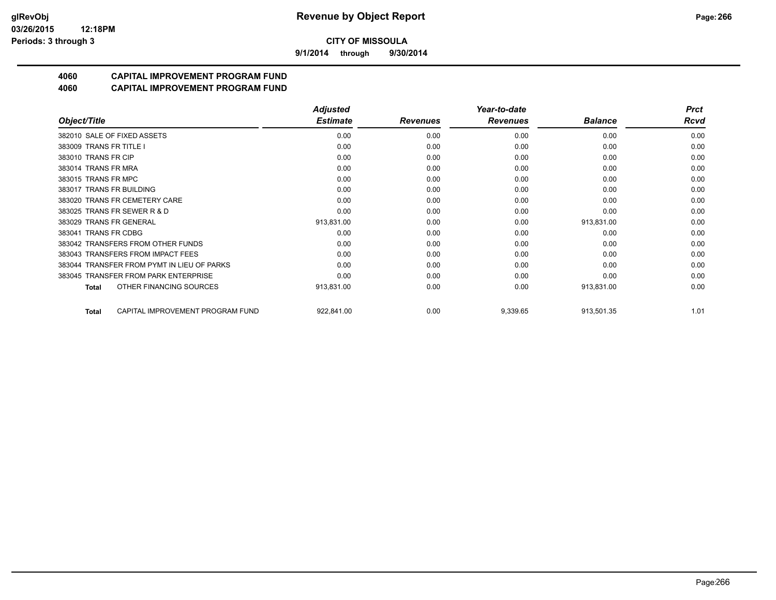**9/1/2014 through 9/30/2014**

# **4060 CAPITAL IMPROVEMENT PROGRAM FUND**

|                                            | <b>Adjusted</b> |                 | Year-to-date    |                | <b>Prct</b> |
|--------------------------------------------|-----------------|-----------------|-----------------|----------------|-------------|
| Object/Title                               | <b>Estimate</b> | <b>Revenues</b> | <b>Revenues</b> | <b>Balance</b> | <b>Rcvd</b> |
| 382010 SALE OF FIXED ASSETS                | 0.00            | 0.00            | 0.00            | 0.00           | 0.00        |
| 383009 TRANS FR TITLE I                    | 0.00            | 0.00            | 0.00            | 0.00           | 0.00        |
| 383010 TRANS FR CIP                        | 0.00            | 0.00            | 0.00            | 0.00           | 0.00        |
| 383014 TRANS FR MRA                        | 0.00            | 0.00            | 0.00            | 0.00           | 0.00        |
| 383015 TRANS FR MPC                        | 0.00            | 0.00            | 0.00            | 0.00           | 0.00        |
| 383017 TRANS FR BUILDING                   | 0.00            | 0.00            | 0.00            | 0.00           | 0.00        |
| 383020 TRANS FR CEMETERY CARE              | 0.00            | 0.00            | 0.00            | 0.00           | 0.00        |
| 383025 TRANS FR SEWER R & D                | 0.00            | 0.00            | 0.00            | 0.00           | 0.00        |
| 383029 TRANS FR GENERAL                    | 913,831.00      | 0.00            | 0.00            | 913,831.00     | 0.00        |
| 383041 TRANS FR CDBG                       | 0.00            | 0.00            | 0.00            | 0.00           | 0.00        |
| 383042 TRANSFERS FROM OTHER FUNDS          | 0.00            | 0.00            | 0.00            | 0.00           | 0.00        |
| 383043 TRANSFERS FROM IMPACT FEES          | 0.00            | 0.00            | 0.00            | 0.00           | 0.00        |
| 383044 TRANSFER FROM PYMT IN LIEU OF PARKS | 0.00            | 0.00            | 0.00            | 0.00           | 0.00        |
| 383045 TRANSFER FROM PARK ENTERPRISE       | 0.00            | 0.00            | 0.00            | 0.00           | 0.00        |
| OTHER FINANCING SOURCES<br>Total           | 913,831.00      | 0.00            | 0.00            | 913,831.00     | 0.00        |
| CAPITAL IMPROVEMENT PROGRAM FUND<br>Total  | 922,841.00      | 0.00            | 9,339.65        | 913,501.35     | 1.01        |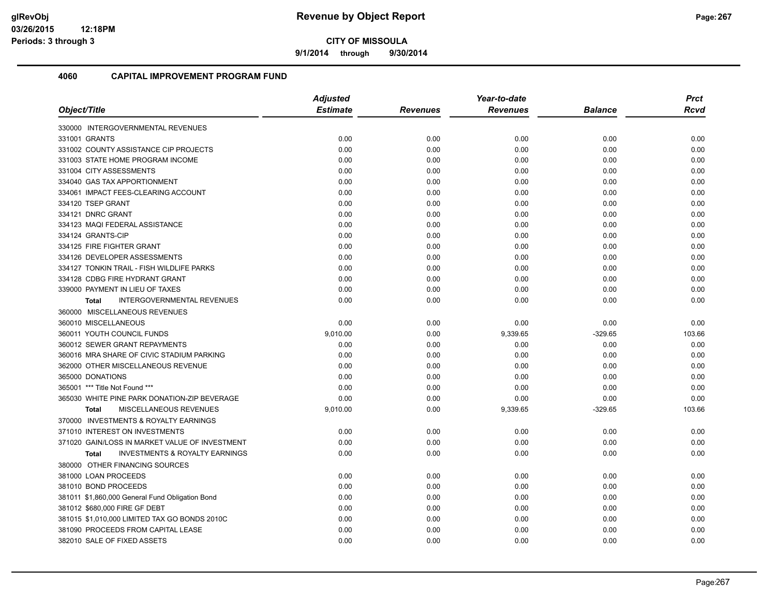**9/1/2014 through 9/30/2014**

|                                                    | <b>Adjusted</b> |                 | Year-to-date    |                | <b>Prct</b> |
|----------------------------------------------------|-----------------|-----------------|-----------------|----------------|-------------|
| Object/Title                                       | <b>Estimate</b> | <b>Revenues</b> | <b>Revenues</b> | <b>Balance</b> | <b>Rcvd</b> |
| 330000 INTERGOVERNMENTAL REVENUES                  |                 |                 |                 |                |             |
| 331001 GRANTS                                      | 0.00            | 0.00            | 0.00            | 0.00           | 0.00        |
| 331002 COUNTY ASSISTANCE CIP PROJECTS              | 0.00            | 0.00            | 0.00            | 0.00           | 0.00        |
| 331003 STATE HOME PROGRAM INCOME                   | 0.00            | 0.00            | 0.00            | 0.00           | 0.00        |
| 331004 CITY ASSESSMENTS                            | 0.00            | 0.00            | 0.00            | 0.00           | 0.00        |
| 334040 GAS TAX APPORTIONMENT                       | 0.00            | 0.00            | 0.00            | 0.00           | 0.00        |
| 334061 IMPACT FEES-CLEARING ACCOUNT                | 0.00            | 0.00            | 0.00            | 0.00           | 0.00        |
| 334120 TSEP GRANT                                  | 0.00            | 0.00            | 0.00            | 0.00           | 0.00        |
| 334121 DNRC GRANT                                  | 0.00            | 0.00            | 0.00            | 0.00           | 0.00        |
| 334123 MAQI FEDERAL ASSISTANCE                     | 0.00            | 0.00            | 0.00            | 0.00           | 0.00        |
| 334124 GRANTS-CIP                                  | 0.00            | 0.00            | 0.00            | 0.00           | 0.00        |
| 334125 FIRE FIGHTER GRANT                          | 0.00            | 0.00            | 0.00            | 0.00           | 0.00        |
| 334126 DEVELOPER ASSESSMENTS                       | 0.00            | 0.00            | 0.00            | 0.00           | 0.00        |
| 334127 TONKIN TRAIL - FISH WILDLIFE PARKS          | 0.00            | 0.00            | 0.00            | 0.00           | 0.00        |
| 334128 CDBG FIRE HYDRANT GRANT                     | 0.00            | 0.00            | 0.00            | 0.00           | 0.00        |
| 339000 PAYMENT IN LIEU OF TAXES                    | 0.00            | 0.00            | 0.00            | 0.00           | 0.00        |
| <b>INTERGOVERNMENTAL REVENUES</b><br><b>Total</b>  | 0.00            | 0.00            | 0.00            | 0.00           | 0.00        |
| 360000 MISCELLANEOUS REVENUES                      |                 |                 |                 |                |             |
| 360010 MISCELLANEOUS                               | 0.00            | 0.00            | 0.00            | 0.00           | 0.00        |
| 360011 YOUTH COUNCIL FUNDS                         | 9,010.00        | 0.00            | 9,339.65        | $-329.65$      | 103.66      |
| 360012 SEWER GRANT REPAYMENTS                      | 0.00            | 0.00            | 0.00            | 0.00           | 0.00        |
| 360016 MRA SHARE OF CIVIC STADIUM PARKING          | 0.00            | 0.00            | 0.00            | 0.00           | 0.00        |
| 362000 OTHER MISCELLANEOUS REVENUE                 | 0.00            | 0.00            | 0.00            | 0.00           | 0.00        |
| 365000 DONATIONS                                   | 0.00            | 0.00            | 0.00            | 0.00           | 0.00        |
| 365001 *** Title Not Found ***                     | 0.00            | 0.00            | 0.00            | 0.00           | 0.00        |
| 365030 WHITE PINE PARK DONATION-ZIP BEVERAGE       | 0.00            | 0.00            | 0.00            | 0.00           | 0.00        |
| <b>MISCELLANEOUS REVENUES</b><br><b>Total</b>      | 9,010.00        | 0.00            | 9,339.65        | $-329.65$      | 103.66      |
| 370000 INVESTMENTS & ROYALTY EARNINGS              |                 |                 |                 |                |             |
| 371010 INTEREST ON INVESTMENTS                     | 0.00            | 0.00            | 0.00            | 0.00           | 0.00        |
| 371020 GAIN/LOSS IN MARKET VALUE OF INVESTMENT     | 0.00            | 0.00            | 0.00            | 0.00           | 0.00        |
| <b>INVESTMENTS &amp; ROYALTY EARNINGS</b><br>Total | 0.00            | 0.00            | 0.00            | 0.00           | 0.00        |
| 380000 OTHER FINANCING SOURCES                     |                 |                 |                 |                |             |
| 381000 LOAN PROCEEDS                               | 0.00            | 0.00            | 0.00            | 0.00           | 0.00        |
| 381010 BOND PROCEEDS                               | 0.00            | 0.00            | 0.00            | 0.00           | 0.00        |
| 381011 \$1,860,000 General Fund Obligation Bond    | 0.00            | 0.00            | 0.00            | 0.00           | 0.00        |
| 381012 \$680,000 FIRE GF DEBT                      | 0.00            | 0.00            | 0.00            | 0.00           | 0.00        |
| 381015 \$1,010,000 LIMITED TAX GO BONDS 2010C      | 0.00            | 0.00            | 0.00            | 0.00           | 0.00        |
| 381090 PROCEEDS FROM CAPITAL LEASE                 | 0.00            | 0.00            | 0.00            | 0.00           | 0.00        |
| 382010 SALE OF FIXED ASSETS                        | 0.00            | 0.00            | 0.00            | 0.00           | 0.00        |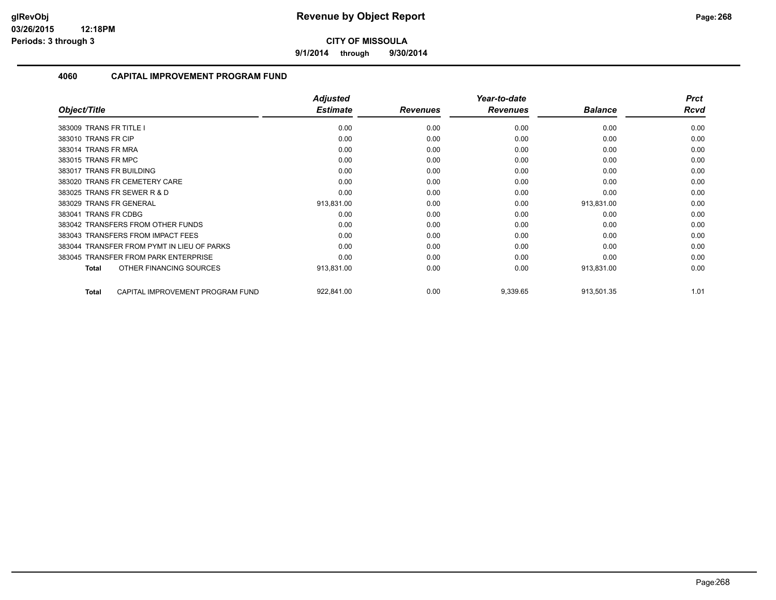**9/1/2014 through 9/30/2014**

| Object/Title                                     | <b>Adjusted</b><br><b>Estimate</b> | <b>Revenues</b> | Year-to-date<br><b>Revenues</b> | <b>Balance</b> | <b>Prct</b><br><b>Rcvd</b> |
|--------------------------------------------------|------------------------------------|-----------------|---------------------------------|----------------|----------------------------|
|                                                  |                                    |                 |                                 |                |                            |
| 383009 TRANS FR TITLE I                          | 0.00                               | 0.00            | 0.00                            | 0.00           | 0.00                       |
| 383010 TRANS FR CIP                              | 0.00                               | 0.00            | 0.00                            | 0.00           | 0.00                       |
| 383014 TRANS FR MRA                              | 0.00                               | 0.00            | 0.00                            | 0.00           | 0.00                       |
| 383015 TRANS FR MPC                              | 0.00                               | 0.00            | 0.00                            | 0.00           | 0.00                       |
| 383017 TRANS FR BUILDING                         | 0.00                               | 0.00            | 0.00                            | 0.00           | 0.00                       |
| 383020 TRANS FR CEMETERY CARE                    | 0.00                               | 0.00            | 0.00                            | 0.00           | 0.00                       |
| 383025 TRANS FR SEWER R & D                      | 0.00                               | 0.00            | 0.00                            | 0.00           | 0.00                       |
| 383029 TRANS FR GENERAL                          | 913,831.00                         | 0.00            | 0.00                            | 913,831.00     | 0.00                       |
| <b>TRANS FR CDBG</b><br>383041                   | 0.00                               | 0.00            | 0.00                            | 0.00           | 0.00                       |
| 383042 TRANSFERS FROM OTHER FUNDS                | 0.00                               | 0.00            | 0.00                            | 0.00           | 0.00                       |
| 383043 TRANSFERS FROM IMPACT FEES                | 0.00                               | 0.00            | 0.00                            | 0.00           | 0.00                       |
| 383044 TRANSFER FROM PYMT IN LIEU OF PARKS       | 0.00                               | 0.00            | 0.00                            | 0.00           | 0.00                       |
| 383045 TRANSFER FROM PARK ENTERPRISE             | 0.00                               | 0.00            | 0.00                            | 0.00           | 0.00                       |
| OTHER FINANCING SOURCES<br><b>Total</b>          | 913,831.00                         | 0.00            | 0.00                            | 913,831.00     | 0.00                       |
| CAPITAL IMPROVEMENT PROGRAM FUND<br><b>Total</b> | 922,841.00                         | 0.00            | 9,339.65                        | 913,501.35     | 1.01                       |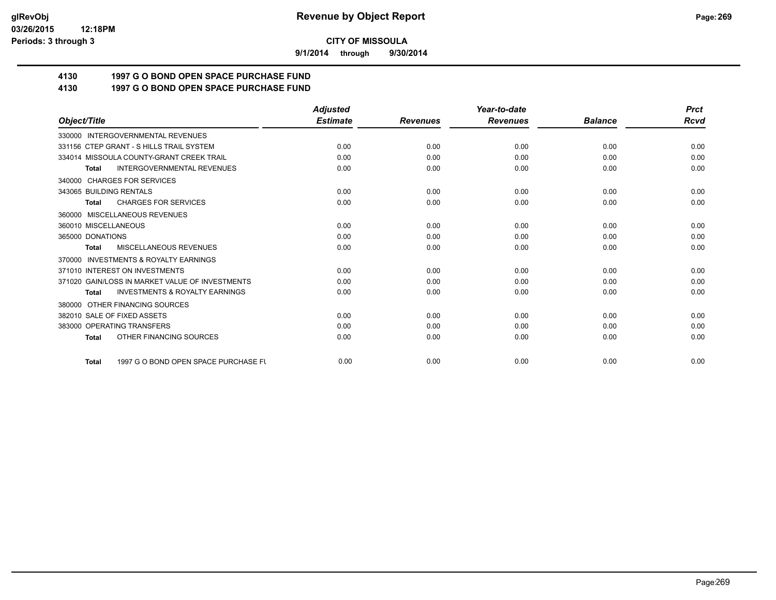**9/1/2014 through 9/30/2014**

# **4130 1997 G O BOND OPEN SPACE PURCHASE FUND**

### **4130 1997 G O BOND OPEN SPACE PURCHASE FUND**

|                                                           | <b>Adjusted</b> |                 | Year-to-date    |                | <b>Prct</b> |
|-----------------------------------------------------------|-----------------|-----------------|-----------------|----------------|-------------|
| Object/Title                                              | <b>Estimate</b> | <b>Revenues</b> | <b>Revenues</b> | <b>Balance</b> | Rcvd        |
| 330000 INTERGOVERNMENTAL REVENUES                         |                 |                 |                 |                |             |
| 331156 CTEP GRANT - S HILLS TRAIL SYSTEM                  | 0.00            | 0.00            | 0.00            | 0.00           | 0.00        |
| 334014 MISSOULA COUNTY-GRANT CREEK TRAIL                  | 0.00            | 0.00            | 0.00            | 0.00           | 0.00        |
| <b>INTERGOVERNMENTAL REVENUES</b><br><b>Total</b>         | 0.00            | 0.00            | 0.00            | 0.00           | 0.00        |
| 340000 CHARGES FOR SERVICES                               |                 |                 |                 |                |             |
| 343065 BUILDING RENTALS                                   | 0.00            | 0.00            | 0.00            | 0.00           | 0.00        |
| <b>CHARGES FOR SERVICES</b><br><b>Total</b>               | 0.00            | 0.00            | 0.00            | 0.00           | 0.00        |
| 360000 MISCELLANEOUS REVENUES                             |                 |                 |                 |                |             |
| 360010 MISCELLANEOUS                                      | 0.00            | 0.00            | 0.00            | 0.00           | 0.00        |
| 365000 DONATIONS                                          | 0.00            | 0.00            | 0.00            | 0.00           | 0.00        |
| <b>MISCELLANEOUS REVENUES</b><br><b>Total</b>             | 0.00            | 0.00            | 0.00            | 0.00           | 0.00        |
| 370000 INVESTMENTS & ROYALTY EARNINGS                     |                 |                 |                 |                |             |
| 371010 INTEREST ON INVESTMENTS                            | 0.00            | 0.00            | 0.00            | 0.00           | 0.00        |
| 371020 GAIN/LOSS IN MARKET VALUE OF INVESTMENTS           | 0.00            | 0.00            | 0.00            | 0.00           | 0.00        |
| <b>INVESTMENTS &amp; ROYALTY EARNINGS</b><br><b>Total</b> | 0.00            | 0.00            | 0.00            | 0.00           | 0.00        |
| 380000 OTHER FINANCING SOURCES                            |                 |                 |                 |                |             |
| 382010 SALE OF FIXED ASSETS                               | 0.00            | 0.00            | 0.00            | 0.00           | 0.00        |
| 383000 OPERATING TRANSFERS                                | 0.00            | 0.00            | 0.00            | 0.00           | 0.00        |
| OTHER FINANCING SOURCES<br><b>Total</b>                   | 0.00            | 0.00            | 0.00            | 0.00           | 0.00        |
| 1997 G O BOND OPEN SPACE PURCHASE FU<br><b>Total</b>      | 0.00            | 0.00            | 0.00            | 0.00           | 0.00        |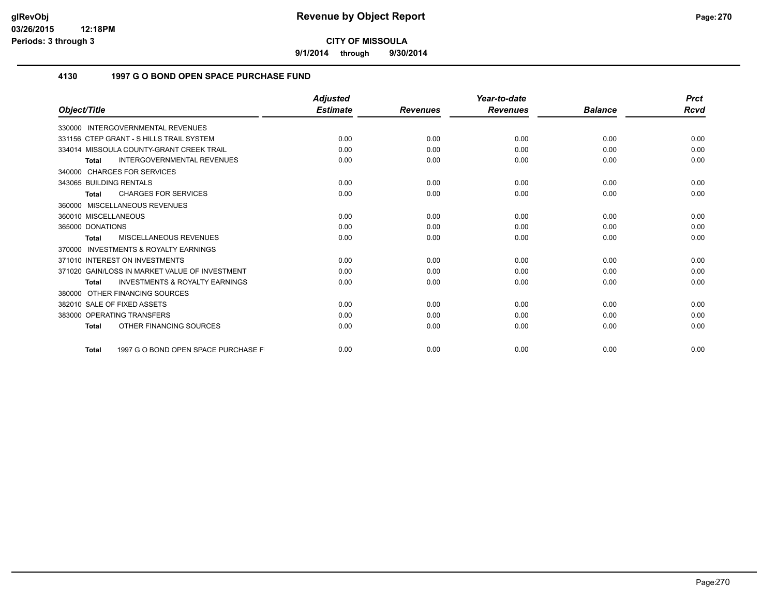**9/1/2014 through 9/30/2014**

#### **4130 1997 G O BOND OPEN SPACE PURCHASE FUND**

|                                                           | <b>Adjusted</b> |                 | Year-to-date    |                | <b>Prct</b> |
|-----------------------------------------------------------|-----------------|-----------------|-----------------|----------------|-------------|
| Object/Title                                              | <b>Estimate</b> | <b>Revenues</b> | <b>Revenues</b> | <b>Balance</b> | Rcvd        |
| 330000 INTERGOVERNMENTAL REVENUES                         |                 |                 |                 |                |             |
| 331156 CTEP GRANT - S HILLS TRAIL SYSTEM                  | 0.00            | 0.00            | 0.00            | 0.00           | 0.00        |
| 334014 MISSOULA COUNTY-GRANT CREEK TRAIL                  | 0.00            | 0.00            | 0.00            | 0.00           | 0.00        |
| <b>INTERGOVERNMENTAL REVENUES</b><br><b>Total</b>         | 0.00            | 0.00            | 0.00            | 0.00           | 0.00        |
| 340000 CHARGES FOR SERVICES                               |                 |                 |                 |                |             |
| 343065 BUILDING RENTALS                                   | 0.00            | 0.00            | 0.00            | 0.00           | 0.00        |
| <b>CHARGES FOR SERVICES</b><br><b>Total</b>               | 0.00            | 0.00            | 0.00            | 0.00           | 0.00        |
| 360000 MISCELLANEOUS REVENUES                             |                 |                 |                 |                |             |
| 360010 MISCELLANEOUS                                      | 0.00            | 0.00            | 0.00            | 0.00           | 0.00        |
| 365000 DONATIONS                                          | 0.00            | 0.00            | 0.00            | 0.00           | 0.00        |
| <b>MISCELLANEOUS REVENUES</b><br><b>Total</b>             | 0.00            | 0.00            | 0.00            | 0.00           | 0.00        |
| 370000 INVESTMENTS & ROYALTY EARNINGS                     |                 |                 |                 |                |             |
| 371010 INTEREST ON INVESTMENTS                            | 0.00            | 0.00            | 0.00            | 0.00           | 0.00        |
| 371020 GAIN/LOSS IN MARKET VALUE OF INVESTMENT            | 0.00            | 0.00            | 0.00            | 0.00           | 0.00        |
| <b>INVESTMENTS &amp; ROYALTY EARNINGS</b><br><b>Total</b> | 0.00            | 0.00            | 0.00            | 0.00           | 0.00        |
| 380000 OTHER FINANCING SOURCES                            |                 |                 |                 |                |             |
| 382010 SALE OF FIXED ASSETS                               | 0.00            | 0.00            | 0.00            | 0.00           | 0.00        |
| 383000 OPERATING TRANSFERS                                | 0.00            | 0.00            | 0.00            | 0.00           | 0.00        |
| OTHER FINANCING SOURCES<br><b>Total</b>                   | 0.00            | 0.00            | 0.00            | 0.00           | 0.00        |
| 1997 G O BOND OPEN SPACE PURCHASE F<br><b>Total</b>       | 0.00            | 0.00            | 0.00            | 0.00           | 0.00        |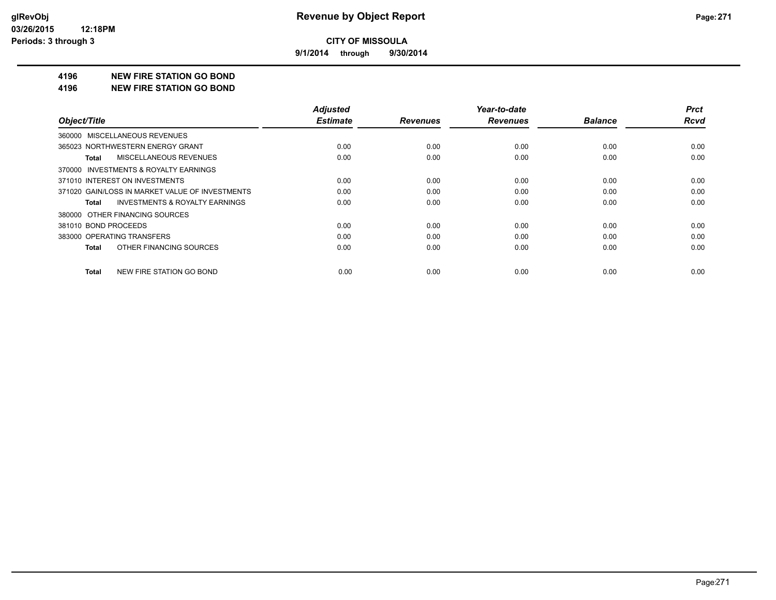**9/1/2014 through 9/30/2014**

#### **4196 NEW FIRE STATION GO BOND**

#### **4196 NEW FIRE STATION GO BOND**

| Object/Title                                       | <b>Adjusted</b><br><b>Estimate</b> | <b>Revenues</b> | Year-to-date<br><b>Revenues</b> | <b>Balance</b> | <b>Prct</b><br><b>Rcvd</b> |
|----------------------------------------------------|------------------------------------|-----------------|---------------------------------|----------------|----------------------------|
| 360000 MISCELLANEOUS REVENUES                      |                                    |                 |                                 |                |                            |
| 365023 NORTHWESTERN ENERGY GRANT                   | 0.00                               | 0.00            | 0.00                            | 0.00           | 0.00                       |
| MISCELLANEOUS REVENUES<br><b>Total</b>             | 0.00                               | 0.00            | 0.00                            | 0.00           | 0.00                       |
| 370000 INVESTMENTS & ROYALTY EARNINGS              |                                    |                 |                                 |                |                            |
| 371010 INTEREST ON INVESTMENTS                     | 0.00                               | 0.00            | 0.00                            | 0.00           | 0.00                       |
| 371020 GAIN/LOSS IN MARKET VALUE OF INVESTMENTS    | 0.00                               | 0.00            | 0.00                            | 0.00           | 0.00                       |
| <b>INVESTMENTS &amp; ROYALTY EARNINGS</b><br>Total | 0.00                               | 0.00            | 0.00                            | 0.00           | 0.00                       |
| 380000 OTHER FINANCING SOURCES                     |                                    |                 |                                 |                |                            |
| 381010 BOND PROCEEDS                               | 0.00                               | 0.00            | 0.00                            | 0.00           | 0.00                       |
| 383000 OPERATING TRANSFERS                         | 0.00                               | 0.00            | 0.00                            | 0.00           | 0.00                       |
| OTHER FINANCING SOURCES<br><b>Total</b>            | 0.00                               | 0.00            | 0.00                            | 0.00           | 0.00                       |
|                                                    |                                    |                 |                                 |                |                            |
| <b>NEW FIRE STATION GO BOND</b><br>Total           | 0.00                               | 0.00            | 0.00                            | 0.00           | 0.00                       |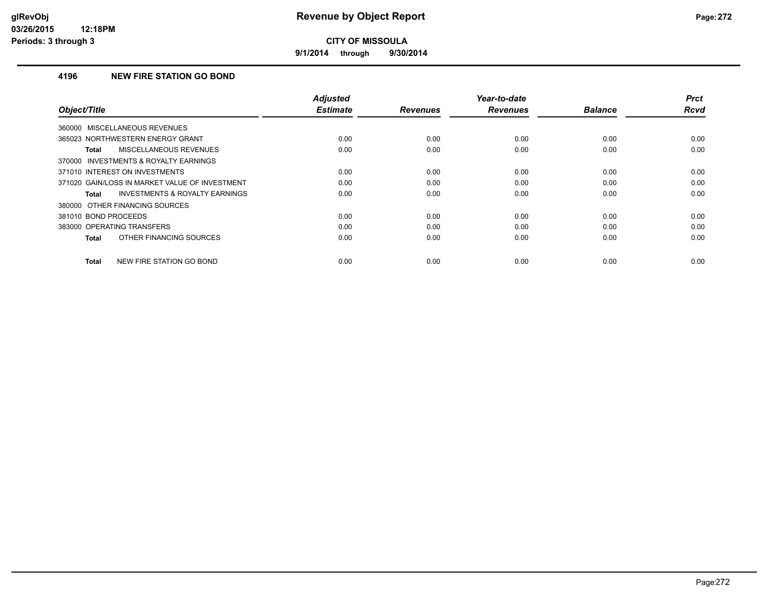**9/1/2014 through 9/30/2014**

### **4196 NEW FIRE STATION GO BOND**

| Object/Title                                              | <b>Adjusted</b><br><b>Estimate</b> | <b>Revenues</b> | Year-to-date<br><b>Revenues</b> | <b>Balance</b> | <b>Prct</b><br>Rcvd |
|-----------------------------------------------------------|------------------------------------|-----------------|---------------------------------|----------------|---------------------|
| 360000 MISCELLANEOUS REVENUES                             |                                    |                 |                                 |                |                     |
| 365023 NORTHWESTERN ENERGY GRANT                          | 0.00                               | 0.00            | 0.00                            | 0.00           | 0.00                |
| MISCELLANEOUS REVENUES<br><b>Total</b>                    | 0.00                               | 0.00            | 0.00                            | 0.00           | 0.00                |
| 370000 INVESTMENTS & ROYALTY EARNINGS                     |                                    |                 |                                 |                |                     |
| 371010 INTEREST ON INVESTMENTS                            | 0.00                               | 0.00            | 0.00                            | 0.00           | 0.00                |
| 371020 GAIN/LOSS IN MARKET VALUE OF INVESTMENT            | 0.00                               | 0.00            | 0.00                            | 0.00           | 0.00                |
| <b>INVESTMENTS &amp; ROYALTY EARNINGS</b><br><b>Total</b> | 0.00                               | 0.00            | 0.00                            | 0.00           | 0.00                |
| 380000 OTHER FINANCING SOURCES                            |                                    |                 |                                 |                |                     |
| 381010 BOND PROCEEDS                                      | 0.00                               | 0.00            | 0.00                            | 0.00           | 0.00                |
| 383000 OPERATING TRANSFERS                                | 0.00                               | 0.00            | 0.00                            | 0.00           | 0.00                |
| OTHER FINANCING SOURCES<br><b>Total</b>                   | 0.00                               | 0.00            | 0.00                            | 0.00           | 0.00                |
| <b>Total</b><br>NEW FIRE STATION GO BOND                  | 0.00                               | 0.00            | 0.00                            | 0.00           | 0.00                |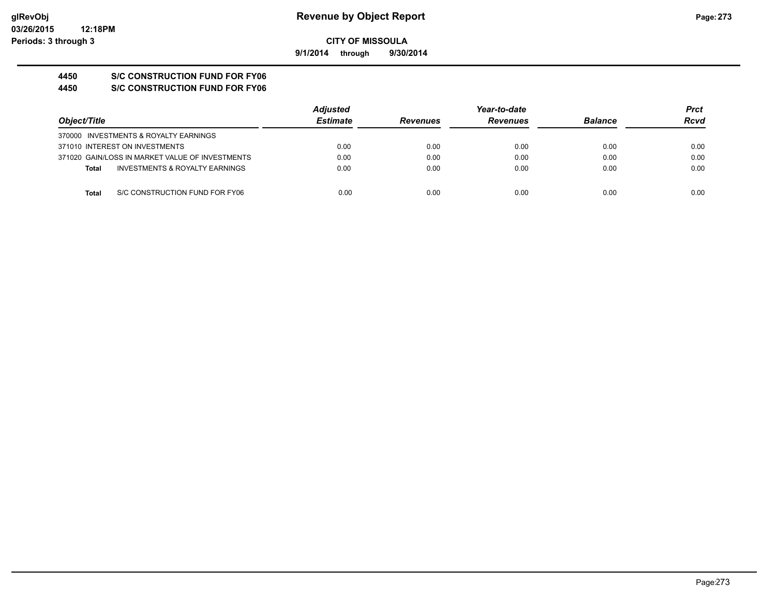**9/1/2014 through 9/30/2014**

# **4450 S/C CONSTRUCTION FUND FOR FY06**

**4450 S/C CONSTRUCTION FUND FOR FY06**

|                                                 | <b>Adjusted</b> |                 | Year-to-date    |                | <b>Prct</b> |
|-------------------------------------------------|-----------------|-----------------|-----------------|----------------|-------------|
| Object/Title                                    | <b>Estimate</b> | <b>Revenues</b> | <b>Revenues</b> | <b>Balance</b> | Rcvd        |
| 370000 INVESTMENTS & ROYALTY EARNINGS           |                 |                 |                 |                |             |
| 371010 INTEREST ON INVESTMENTS                  | 0.00            | 0.00            | 0.00            | 0.00           | 0.00        |
| 371020 GAIN/LOSS IN MARKET VALUE OF INVESTMENTS | 0.00            | 0.00            | 0.00            | 0.00           | 0.00        |
| INVESTMENTS & ROYALTY EARNINGS<br><b>Total</b>  | 0.00            | 0.00            | 0.00            | 0.00           | 0.00        |
|                                                 |                 |                 |                 |                |             |
| S/C CONSTRUCTION FUND FOR FY06<br>Total         | 0.00            | 0.00            | 0.00            | 0.00           | 0.00        |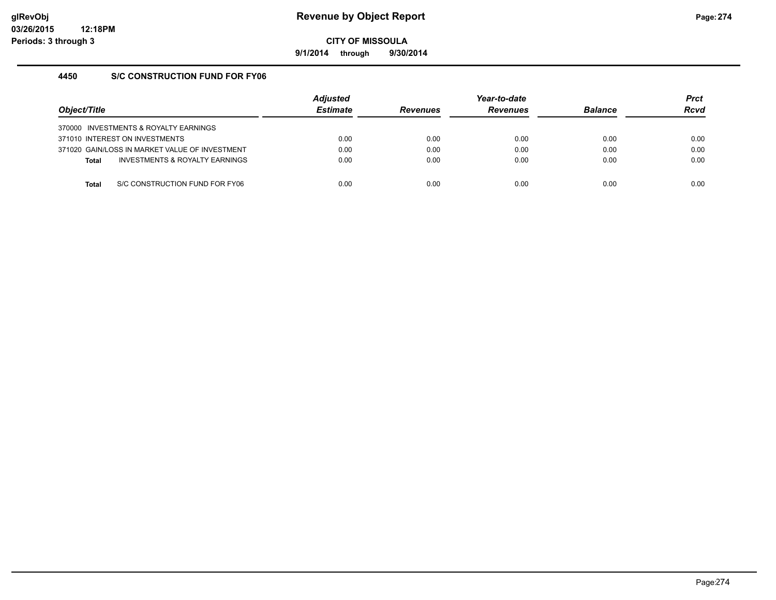**9/1/2014 through 9/30/2014**

### **4450 S/C CONSTRUCTION FUND FOR FY06**

| Object/Title |                                                | <b>Adiusted</b><br><b>Estimate</b> | <b>Revenues</b> | Year-to-date<br><b>Revenues</b> | <b>Balance</b> | <b>Prct</b><br><b>Rcvd</b> |
|--------------|------------------------------------------------|------------------------------------|-----------------|---------------------------------|----------------|----------------------------|
|              | 370000 INVESTMENTS & ROYALTY EARNINGS          |                                    |                 |                                 |                |                            |
|              | 371010 INTEREST ON INVESTMENTS                 | 0.00                               | 0.00            | 0.00                            | 0.00           | 0.00                       |
|              | 371020 GAIN/LOSS IN MARKET VALUE OF INVESTMENT | 0.00                               | 0.00            | 0.00                            | 0.00           | 0.00                       |
| <b>Total</b> | INVESTMENTS & ROYALTY EARNINGS                 | 0.00                               | 0.00            | 0.00                            | 0.00           | 0.00                       |
|              |                                                |                                    |                 |                                 |                |                            |
| Total        | S/C CONSTRUCTION FUND FOR FY06                 | 0.00                               | 0.00            | 0.00                            | 0.00           | 0.00                       |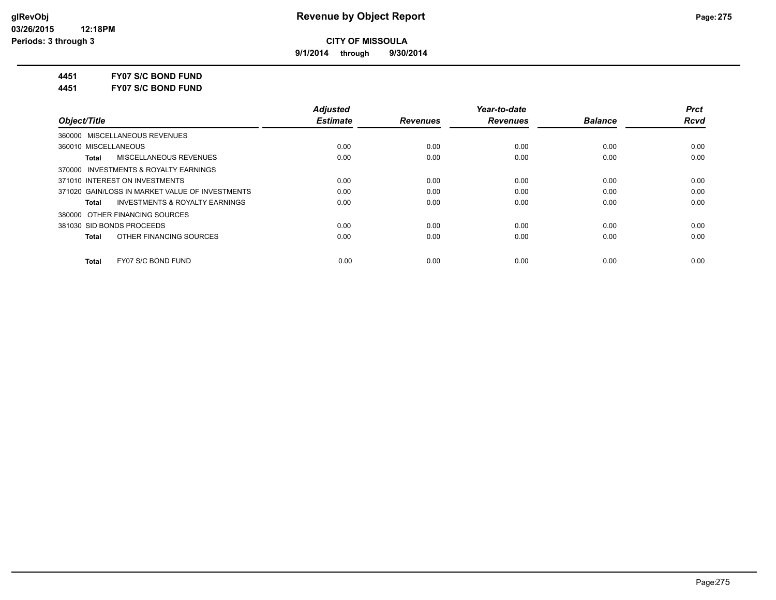**9/1/2014 through 9/30/2014**

**4451 FY07 S/C BOND FUND**

**4451 FY07 S/C BOND FUND**

|                                                    | <b>Adiusted</b> |                 | Year-to-date    |                | <b>Prct</b> |
|----------------------------------------------------|-----------------|-----------------|-----------------|----------------|-------------|
| Object/Title                                       | <b>Estimate</b> | <b>Revenues</b> | <b>Revenues</b> | <b>Balance</b> | <b>Rcvd</b> |
| 360000 MISCELLANEOUS REVENUES                      |                 |                 |                 |                |             |
| 360010 MISCELLANEOUS                               | 0.00            | 0.00            | 0.00            | 0.00           | 0.00        |
| MISCELLANEOUS REVENUES<br><b>Total</b>             | 0.00            | 0.00            | 0.00            | 0.00           | 0.00        |
| 370000 INVESTMENTS & ROYALTY EARNINGS              |                 |                 |                 |                |             |
| 371010 INTEREST ON INVESTMENTS                     | 0.00            | 0.00            | 0.00            | 0.00           | 0.00        |
| 371020 GAIN/LOSS IN MARKET VALUE OF INVESTMENTS    | 0.00            | 0.00            | 0.00            | 0.00           | 0.00        |
| <b>INVESTMENTS &amp; ROYALTY EARNINGS</b><br>Total | 0.00            | 0.00            | 0.00            | 0.00           | 0.00        |
| 380000 OTHER FINANCING SOURCES                     |                 |                 |                 |                |             |
| 381030 SID BONDS PROCEEDS                          | 0.00            | 0.00            | 0.00            | 0.00           | 0.00        |
| OTHER FINANCING SOURCES<br><b>Total</b>            | 0.00            | 0.00            | 0.00            | 0.00           | 0.00        |
| FY07 S/C BOND FUND<br><b>Total</b>                 | 0.00            | 0.00            | 0.00            | 0.00           | 0.00        |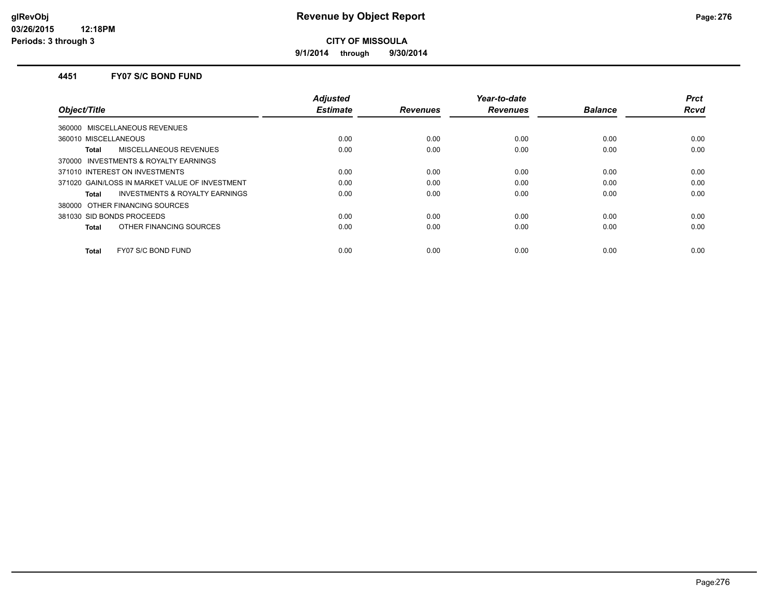**9/1/2014 through 9/30/2014**

#### **4451 FY07 S/C BOND FUND**

| Object/Title                                       | <b>Adjusted</b><br><b>Estimate</b> | <b>Revenues</b> | Year-to-date<br><b>Revenues</b> | <b>Balance</b> | <b>Prct</b><br><b>Rcvd</b> |
|----------------------------------------------------|------------------------------------|-----------------|---------------------------------|----------------|----------------------------|
| <b>MISCELLANEOUS REVENUES</b><br>360000            |                                    |                 |                                 |                |                            |
| 360010 MISCELLANEOUS                               | 0.00                               | 0.00            | 0.00                            | 0.00           | 0.00                       |
| MISCELLANEOUS REVENUES<br>Total                    | 0.00                               | 0.00            | 0.00                            | 0.00           | 0.00                       |
| 370000 INVESTMENTS & ROYALTY EARNINGS              |                                    |                 |                                 |                |                            |
| 371010 INTEREST ON INVESTMENTS                     | 0.00                               | 0.00            | 0.00                            | 0.00           | 0.00                       |
| 371020 GAIN/LOSS IN MARKET VALUE OF INVESTMENT     | 0.00                               | 0.00            | 0.00                            | 0.00           | 0.00                       |
| <b>INVESTMENTS &amp; ROYALTY EARNINGS</b><br>Total | 0.00                               | 0.00            | 0.00                            | 0.00           | 0.00                       |
| 380000 OTHER FINANCING SOURCES                     |                                    |                 |                                 |                |                            |
| 381030 SID BONDS PROCEEDS                          | 0.00                               | 0.00            | 0.00                            | 0.00           | 0.00                       |
| OTHER FINANCING SOURCES<br><b>Total</b>            | 0.00                               | 0.00            | 0.00                            | 0.00           | 0.00                       |
| FY07 S/C BOND FUND<br><b>Total</b>                 | 0.00                               | 0.00            | 0.00                            | 0.00           | 0.00                       |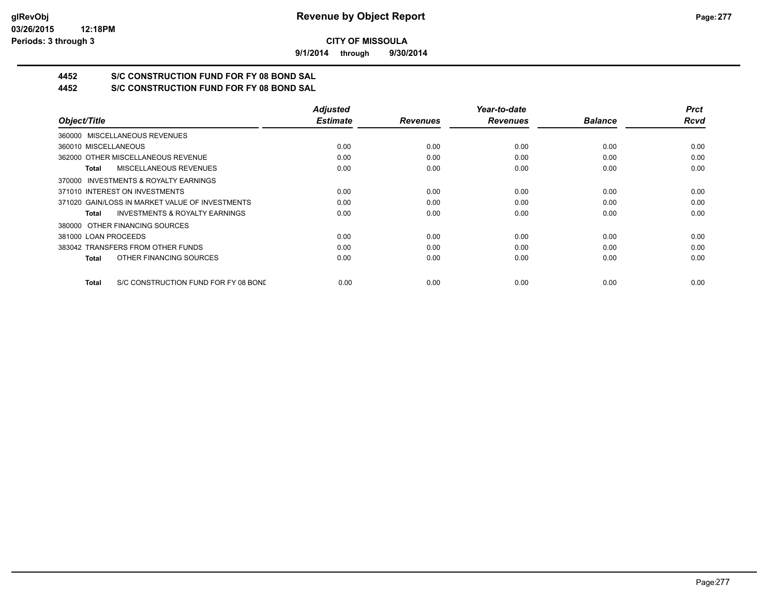**9/1/2014 through 9/30/2014**

# **4452 S/C CONSTRUCTION FUND FOR FY 08 BOND SAL**

**4452 S/C CONSTRUCTION FUND FOR FY 08 BOND SAL**

|                                                      | <b>Adjusted</b> |                 | Year-to-date    |                | <b>Prct</b> |
|------------------------------------------------------|-----------------|-----------------|-----------------|----------------|-------------|
| Object/Title                                         | <b>Estimate</b> | <b>Revenues</b> | <b>Revenues</b> | <b>Balance</b> | <b>Rcvd</b> |
| 360000 MISCELLANEOUS REVENUES                        |                 |                 |                 |                |             |
| 360010 MISCELLANEOUS                                 | 0.00            | 0.00            | 0.00            | 0.00           | 0.00        |
| 362000 OTHER MISCELLANEOUS REVENUE                   | 0.00            | 0.00            | 0.00            | 0.00           | 0.00        |
| <b>MISCELLANEOUS REVENUES</b><br>Total               | 0.00            | 0.00            | 0.00            | 0.00           | 0.00        |
| 370000 INVESTMENTS & ROYALTY EARNINGS                |                 |                 |                 |                |             |
| 371010 INTEREST ON INVESTMENTS                       | 0.00            | 0.00            | 0.00            | 0.00           | 0.00        |
| 371020 GAIN/LOSS IN MARKET VALUE OF INVESTMENTS      | 0.00            | 0.00            | 0.00            | 0.00           | 0.00        |
| <b>INVESTMENTS &amp; ROYALTY EARNINGS</b><br>Total   | 0.00            | 0.00            | 0.00            | 0.00           | 0.00        |
| 380000 OTHER FINANCING SOURCES                       |                 |                 |                 |                |             |
| 381000 LOAN PROCEEDS                                 | 0.00            | 0.00            | 0.00            | 0.00           | 0.00        |
| 383042 TRANSFERS FROM OTHER FUNDS                    | 0.00            | 0.00            | 0.00            | 0.00           | 0.00        |
| OTHER FINANCING SOURCES<br><b>Total</b>              | 0.00            | 0.00            | 0.00            | 0.00           | 0.00        |
| S/C CONSTRUCTION FUND FOR FY 08 BOND<br><b>Total</b> | 0.00            | 0.00            | 0.00            | 0.00           | 0.00        |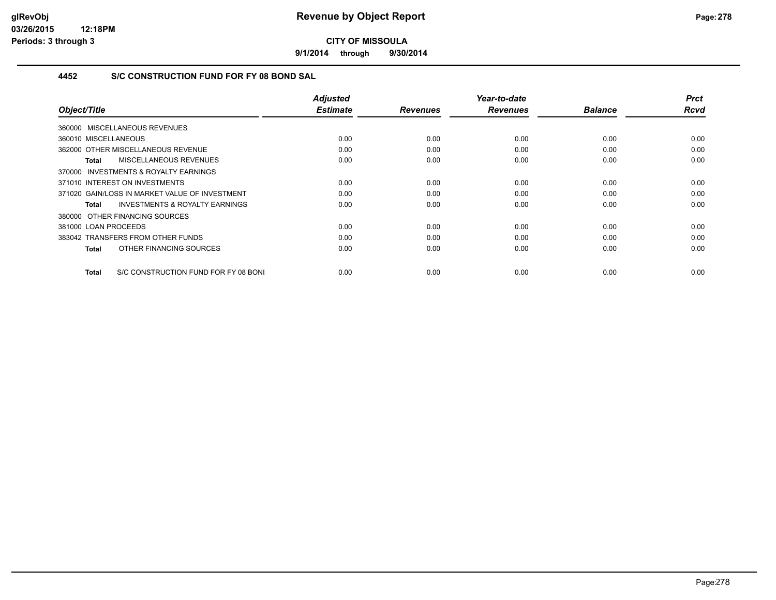**9/1/2014 through 9/30/2014**

### **4452 S/C CONSTRUCTION FUND FOR FY 08 BOND SAL**

|                                                      | <b>Adjusted</b><br><b>Estimate</b> | <b>Revenues</b> | Year-to-date<br><b>Revenues</b> | <b>Balance</b> | <b>Prct</b><br><b>Rcvd</b> |
|------------------------------------------------------|------------------------------------|-----------------|---------------------------------|----------------|----------------------------|
| Object/Title                                         |                                    |                 |                                 |                |                            |
| 360000 MISCELLANEOUS REVENUES                        |                                    |                 |                                 |                |                            |
| 360010 MISCELLANEOUS                                 | 0.00                               | 0.00            | 0.00                            | 0.00           | 0.00                       |
| 362000 OTHER MISCELLANEOUS REVENUE                   | 0.00                               | 0.00            | 0.00                            | 0.00           | 0.00                       |
| MISCELLANEOUS REVENUES<br>Total                      | 0.00                               | 0.00            | 0.00                            | 0.00           | 0.00                       |
| <b>INVESTMENTS &amp; ROYALTY EARNINGS</b><br>370000  |                                    |                 |                                 |                |                            |
| 371010 INTEREST ON INVESTMENTS                       | 0.00                               | 0.00            | 0.00                            | 0.00           | 0.00                       |
| 371020 GAIN/LOSS IN MARKET VALUE OF INVESTMENT       | 0.00                               | 0.00            | 0.00                            | 0.00           | 0.00                       |
| <b>INVESTMENTS &amp; ROYALTY EARNINGS</b><br>Total   | 0.00                               | 0.00            | 0.00                            | 0.00           | 0.00                       |
| 380000 OTHER FINANCING SOURCES                       |                                    |                 |                                 |                |                            |
| 381000 LOAN PROCEEDS                                 | 0.00                               | 0.00            | 0.00                            | 0.00           | 0.00                       |
| 383042 TRANSFERS FROM OTHER FUNDS                    | 0.00                               | 0.00            | 0.00                            | 0.00           | 0.00                       |
| OTHER FINANCING SOURCES<br>Total                     | 0.00                               | 0.00            | 0.00                            | 0.00           | 0.00                       |
|                                                      |                                    |                 |                                 |                |                            |
| S/C CONSTRUCTION FUND FOR FY 08 BONI<br><b>Total</b> | 0.00                               | 0.00            | 0.00                            | 0.00           | 0.00                       |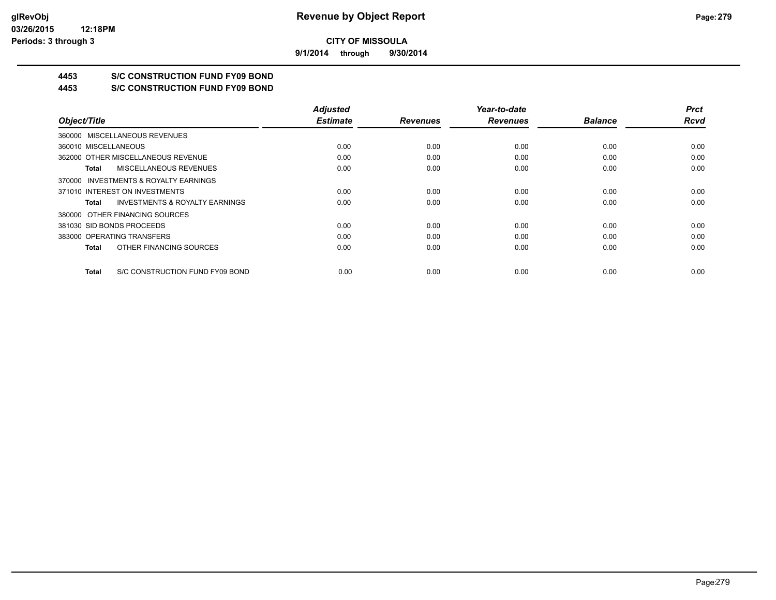**9/1/2014 through 9/30/2014**

# **4453 S/C CONSTRUCTION FUND FY09 BOND**

**4453 S/C CONSTRUCTION FUND FY09 BOND**

|                                                    | <b>Adjusted</b> |                 | Year-to-date    |                | <b>Prct</b> |
|----------------------------------------------------|-----------------|-----------------|-----------------|----------------|-------------|
| Object/Title                                       | <b>Estimate</b> | <b>Revenues</b> | <b>Revenues</b> | <b>Balance</b> | <b>Rcvd</b> |
| 360000 MISCELLANEOUS REVENUES                      |                 |                 |                 |                |             |
| 360010 MISCELLANEOUS                               | 0.00            | 0.00            | 0.00            | 0.00           | 0.00        |
| 362000 OTHER MISCELLANEOUS REVENUE                 | 0.00            | 0.00            | 0.00            | 0.00           | 0.00        |
| MISCELLANEOUS REVENUES<br>Total                    | 0.00            | 0.00            | 0.00            | 0.00           | 0.00        |
| 370000 INVESTMENTS & ROYALTY EARNINGS              |                 |                 |                 |                |             |
| 371010 INTEREST ON INVESTMENTS                     | 0.00            | 0.00            | 0.00            | 0.00           | 0.00        |
| <b>INVESTMENTS &amp; ROYALTY EARNINGS</b><br>Total | 0.00            | 0.00            | 0.00            | 0.00           | 0.00        |
| 380000 OTHER FINANCING SOURCES                     |                 |                 |                 |                |             |
| 381030 SID BONDS PROCEEDS                          | 0.00            | 0.00            | 0.00            | 0.00           | 0.00        |
| 383000 OPERATING TRANSFERS                         | 0.00            | 0.00            | 0.00            | 0.00           | 0.00        |
| OTHER FINANCING SOURCES<br>Total                   | 0.00            | 0.00            | 0.00            | 0.00           | 0.00        |
| S/C CONSTRUCTION FUND FY09 BOND<br>Total           | 0.00            | 0.00            | 0.00            | 0.00           | 0.00        |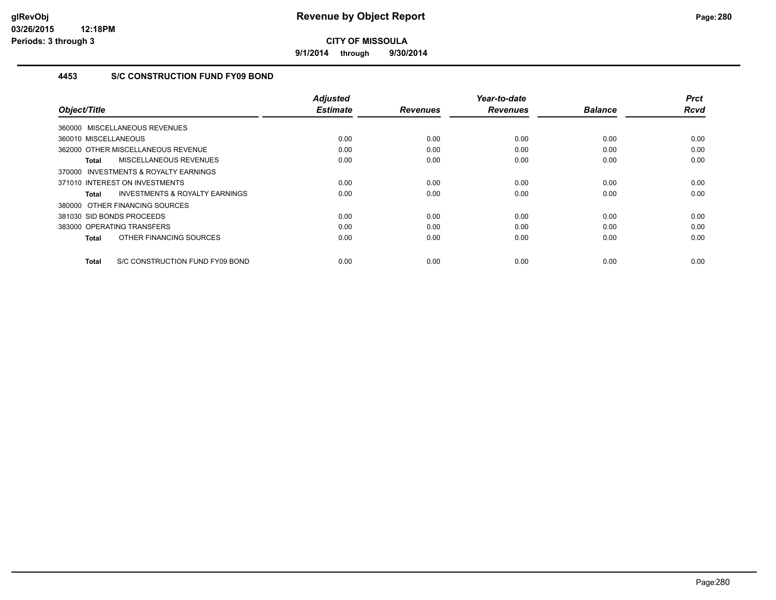**9/1/2014 through 9/30/2014**

### **4453 S/C CONSTRUCTION FUND FY09 BOND**

|                                                     | <b>Adjusted</b><br><b>Estimate</b> | <b>Revenues</b> | Year-to-date<br><b>Revenues</b> | <b>Balance</b> | <b>Prct</b><br><b>Rcvd</b> |
|-----------------------------------------------------|------------------------------------|-----------------|---------------------------------|----------------|----------------------------|
| Object/Title                                        |                                    |                 |                                 |                |                            |
| 360000 MISCELLANEOUS REVENUES                       |                                    |                 |                                 |                |                            |
| 360010 MISCELLANEOUS                                | 0.00                               | 0.00            | 0.00                            | 0.00           | 0.00                       |
| 362000 OTHER MISCELLANEOUS REVENUE                  | 0.00                               | 0.00            | 0.00                            | 0.00           | 0.00                       |
| MISCELLANEOUS REVENUES<br>Total                     | 0.00                               | 0.00            | 0.00                            | 0.00           | 0.00                       |
| <b>INVESTMENTS &amp; ROYALTY EARNINGS</b><br>370000 |                                    |                 |                                 |                |                            |
| 371010 INTEREST ON INVESTMENTS                      | 0.00                               | 0.00            | 0.00                            | 0.00           | 0.00                       |
| <b>INVESTMENTS &amp; ROYALTY EARNINGS</b><br>Total  | 0.00                               | 0.00            | 0.00                            | 0.00           | 0.00                       |
| 380000 OTHER FINANCING SOURCES                      |                                    |                 |                                 |                |                            |
| 381030 SID BONDS PROCEEDS                           | 0.00                               | 0.00            | 0.00                            | 0.00           | 0.00                       |
| 383000 OPERATING TRANSFERS                          | 0.00                               | 0.00            | 0.00                            | 0.00           | 0.00                       |
| OTHER FINANCING SOURCES<br>Total                    | 0.00                               | 0.00            | 0.00                            | 0.00           | 0.00                       |
| S/C CONSTRUCTION FUND FY09 BOND<br><b>Total</b>     | 0.00                               | 0.00            | 0.00                            | 0.00           | 0.00                       |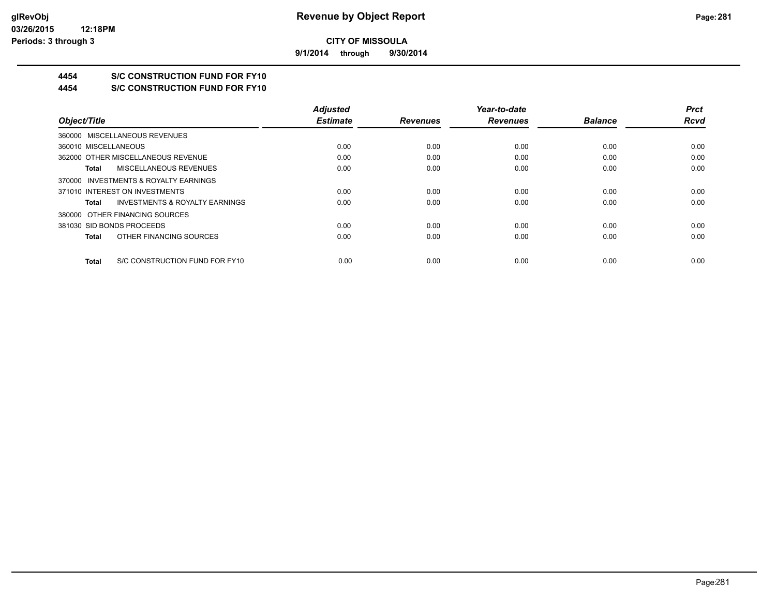**9/1/2014 through 9/30/2014**

# **4454 S/C CONSTRUCTION FUND FOR FY10**

**4454 S/C CONSTRUCTION FUND FOR FY10**

|                                                    | <b>Adjusted</b> |                 | Year-to-date    |                | <b>Prct</b> |
|----------------------------------------------------|-----------------|-----------------|-----------------|----------------|-------------|
| Object/Title                                       | <b>Estimate</b> | <b>Revenues</b> | <b>Revenues</b> | <b>Balance</b> | <b>Rcvd</b> |
| 360000 MISCELLANEOUS REVENUES                      |                 |                 |                 |                |             |
| 360010 MISCELLANEOUS                               | 0.00            | 0.00            | 0.00            | 0.00           | 0.00        |
| 362000 OTHER MISCELLANEOUS REVENUE                 | 0.00            | 0.00            | 0.00            | 0.00           | 0.00        |
| MISCELLANEOUS REVENUES<br>Total                    | 0.00            | 0.00            | 0.00            | 0.00           | 0.00        |
| 370000 INVESTMENTS & ROYALTY EARNINGS              |                 |                 |                 |                |             |
| 371010 INTEREST ON INVESTMENTS                     | 0.00            | 0.00            | 0.00            | 0.00           | 0.00        |
| <b>INVESTMENTS &amp; ROYALTY EARNINGS</b><br>Total | 0.00            | 0.00            | 0.00            | 0.00           | 0.00        |
| 380000 OTHER FINANCING SOURCES                     |                 |                 |                 |                |             |
| 381030 SID BONDS PROCEEDS                          | 0.00            | 0.00            | 0.00            | 0.00           | 0.00        |
| OTHER FINANCING SOURCES<br>Total                   | 0.00            | 0.00            | 0.00            | 0.00           | 0.00        |
| S/C CONSTRUCTION FUND FOR FY10<br>Total            | 0.00            | 0.00            | 0.00            | 0.00           | 0.00        |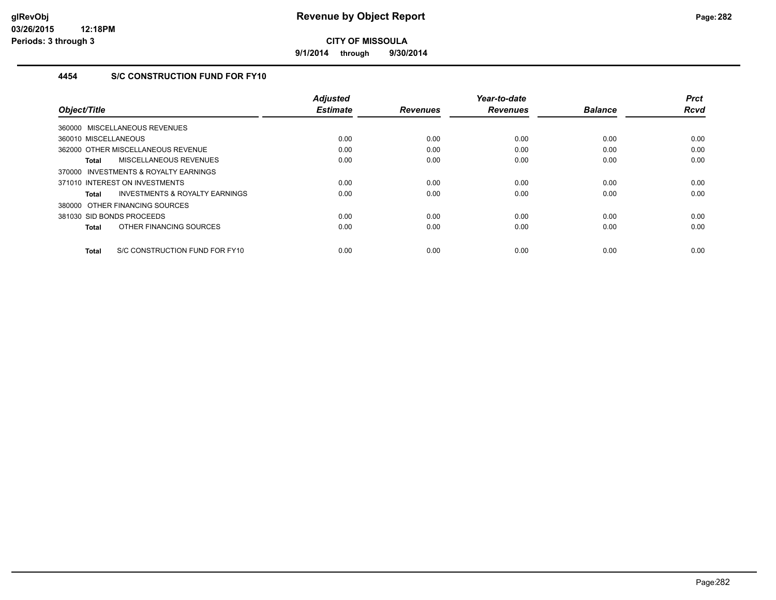**9/1/2014 through 9/30/2014**

### **4454 S/C CONSTRUCTION FUND FOR FY10**

| Object/Title                                   | <b>Adjusted</b><br><b>Estimate</b> | <b>Revenues</b> | Year-to-date<br><b>Revenues</b> | <b>Balance</b> | <b>Prct</b><br><b>Rcvd</b> |
|------------------------------------------------|------------------------------------|-----------------|---------------------------------|----------------|----------------------------|
|                                                |                                    |                 |                                 |                |                            |
| 360000 MISCELLANEOUS REVENUES                  |                                    |                 |                                 |                |                            |
| 360010 MISCELLANEOUS                           | 0.00                               | 0.00            | 0.00                            | 0.00           | 0.00                       |
| 362000 OTHER MISCELLANEOUS REVENUE             | 0.00                               | 0.00            | 0.00                            | 0.00           | 0.00                       |
| <b>MISCELLANEOUS REVENUES</b><br><b>Total</b>  | 0.00                               | 0.00            | 0.00                            | 0.00           | 0.00                       |
| 370000 INVESTMENTS & ROYALTY EARNINGS          |                                    |                 |                                 |                |                            |
| 371010 INTEREST ON INVESTMENTS                 | 0.00                               | 0.00            | 0.00                            | 0.00           | 0.00                       |
| INVESTMENTS & ROYALTY EARNINGS<br><b>Total</b> | 0.00                               | 0.00            | 0.00                            | 0.00           | 0.00                       |
| 380000 OTHER FINANCING SOURCES                 |                                    |                 |                                 |                |                            |
| 381030 SID BONDS PROCEEDS                      | 0.00                               | 0.00            | 0.00                            | 0.00           | 0.00                       |
| OTHER FINANCING SOURCES<br><b>Total</b>        | 0.00                               | 0.00            | 0.00                            | 0.00           | 0.00                       |
| S/C CONSTRUCTION FUND FOR FY10<br><b>Total</b> | 0.00                               | 0.00            | 0.00                            | 0.00           | 0.00                       |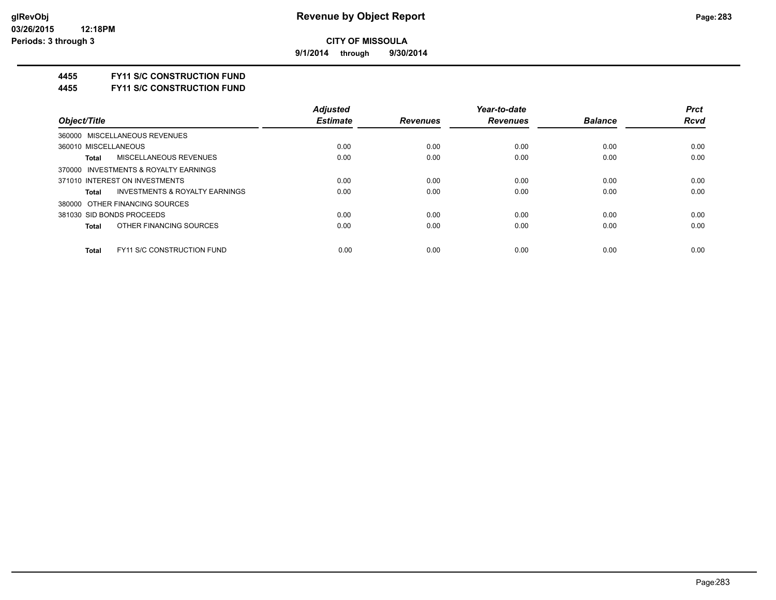**9/1/2014 through 9/30/2014**

### **4455 FY11 S/C CONSTRUCTION FUND**

**4455 FY11 S/C CONSTRUCTION FUND**

|                                                    | <b>Adjusted</b> |                 | Year-to-date    |                | <b>Prct</b> |
|----------------------------------------------------|-----------------|-----------------|-----------------|----------------|-------------|
| Object/Title                                       | <b>Estimate</b> | <b>Revenues</b> | <b>Revenues</b> | <b>Balance</b> | <b>Rcvd</b> |
| 360000 MISCELLANEOUS REVENUES                      |                 |                 |                 |                |             |
| 360010 MISCELLANEOUS                               | 0.00            | 0.00            | 0.00            | 0.00           | 0.00        |
| MISCELLANEOUS REVENUES<br>Total                    | 0.00            | 0.00            | 0.00            | 0.00           | 0.00        |
| 370000 INVESTMENTS & ROYALTY EARNINGS              |                 |                 |                 |                |             |
| 371010 INTEREST ON INVESTMENTS                     | 0.00            | 0.00            | 0.00            | 0.00           | 0.00        |
| <b>INVESTMENTS &amp; ROYALTY EARNINGS</b><br>Total | 0.00            | 0.00            | 0.00            | 0.00           | 0.00        |
| 380000 OTHER FINANCING SOURCES                     |                 |                 |                 |                |             |
| 381030 SID BONDS PROCEEDS                          | 0.00            | 0.00            | 0.00            | 0.00           | 0.00        |
| OTHER FINANCING SOURCES<br>Total                   | 0.00            | 0.00            | 0.00            | 0.00           | 0.00        |
| <b>FY11 S/C CONSTRUCTION FUND</b><br><b>Total</b>  | 0.00            | 0.00            | 0.00            | 0.00           | 0.00        |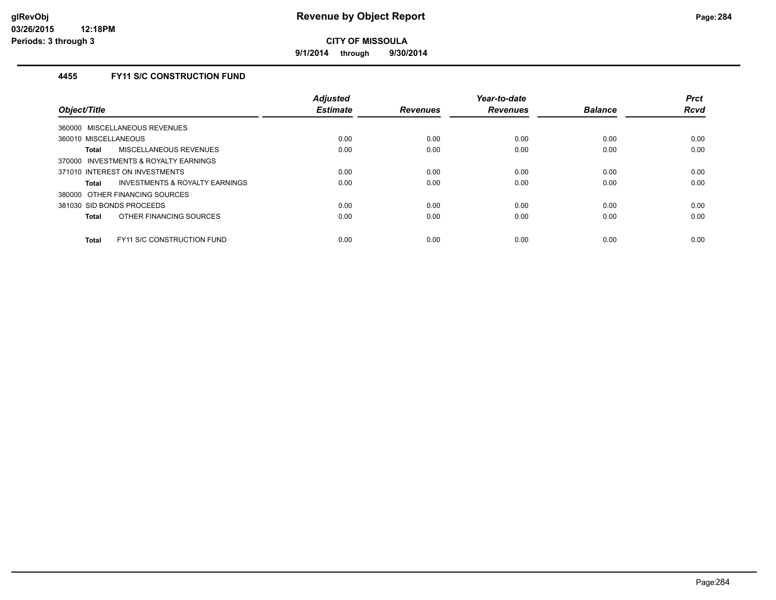**9/1/2014 through 9/30/2014**

### **4455 FY11 S/C CONSTRUCTION FUND**

| Object/Title                                       | <b>Adjusted</b><br><b>Estimate</b> | <b>Revenues</b> | Year-to-date<br><b>Revenues</b> | <b>Balance</b> | <b>Prct</b><br><b>Rcvd</b> |
|----------------------------------------------------|------------------------------------|-----------------|---------------------------------|----------------|----------------------------|
| 360000 MISCELLANEOUS REVENUES                      |                                    |                 |                                 |                |                            |
| 360010 MISCELLANEOUS                               | 0.00                               | 0.00            | 0.00                            | 0.00           | 0.00                       |
| MISCELLANEOUS REVENUES<br>Total                    | 0.00                               | 0.00            | 0.00                            | 0.00           | 0.00                       |
| 370000 INVESTMENTS & ROYALTY EARNINGS              |                                    |                 |                                 |                |                            |
| 371010 INTEREST ON INVESTMENTS                     | 0.00                               | 0.00            | 0.00                            | 0.00           | 0.00                       |
| <b>INVESTMENTS &amp; ROYALTY EARNINGS</b><br>Total | 0.00                               | 0.00            | 0.00                            | 0.00           | 0.00                       |
| 380000 OTHER FINANCING SOURCES                     |                                    |                 |                                 |                |                            |
| 381030 SID BONDS PROCEEDS                          | 0.00                               | 0.00            | 0.00                            | 0.00           | 0.00                       |
| OTHER FINANCING SOURCES<br>Total                   | 0.00                               | 0.00            | 0.00                            | 0.00           | 0.00                       |
| <b>FY11 S/C CONSTRUCTION FUND</b><br>Total         | 0.00                               | 0.00            | 0.00                            | 0.00           | 0.00                       |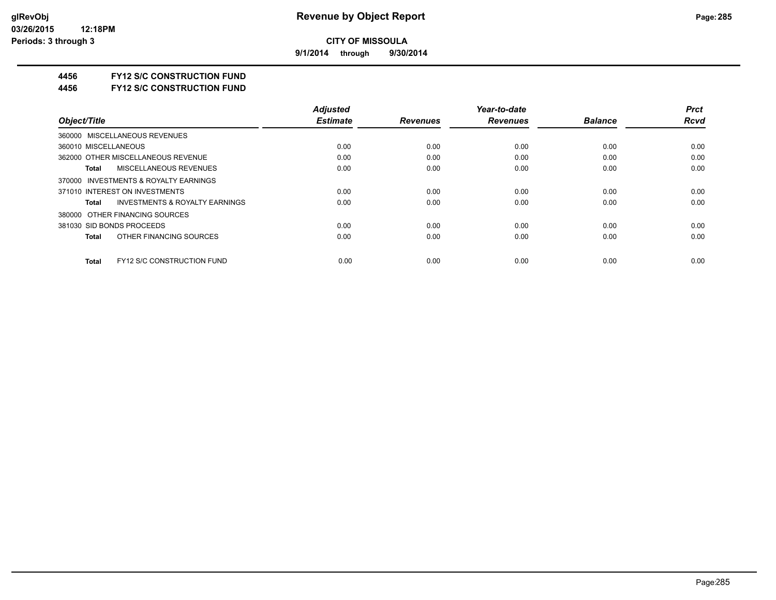**9/1/2014 through 9/30/2014**

#### **4456 FY12 S/C CONSTRUCTION FUND**

**4456 FY12 S/C CONSTRUCTION FUND**

|                                                    | <b>Adjusted</b> |                 | Year-to-date    |                | <b>Prct</b> |
|----------------------------------------------------|-----------------|-----------------|-----------------|----------------|-------------|
| Object/Title                                       | <b>Estimate</b> | <b>Revenues</b> | <b>Revenues</b> | <b>Balance</b> | <b>Rcvd</b> |
| 360000 MISCELLANEOUS REVENUES                      |                 |                 |                 |                |             |
| 360010 MISCELLANEOUS                               | 0.00            | 0.00            | 0.00            | 0.00           | 0.00        |
| 362000 OTHER MISCELLANEOUS REVENUE                 | 0.00            | 0.00            | 0.00            | 0.00           | 0.00        |
| MISCELLANEOUS REVENUES<br>Total                    | 0.00            | 0.00            | 0.00            | 0.00           | 0.00        |
| 370000 INVESTMENTS & ROYALTY EARNINGS              |                 |                 |                 |                |             |
| 371010 INTEREST ON INVESTMENTS                     | 0.00            | 0.00            | 0.00            | 0.00           | 0.00        |
| <b>INVESTMENTS &amp; ROYALTY EARNINGS</b><br>Total | 0.00            | 0.00            | 0.00            | 0.00           | 0.00        |
| 380000 OTHER FINANCING SOURCES                     |                 |                 |                 |                |             |
| 381030 SID BONDS PROCEEDS                          | 0.00            | 0.00            | 0.00            | 0.00           | 0.00        |
| OTHER FINANCING SOURCES<br>Total                   | 0.00            | 0.00            | 0.00            | 0.00           | 0.00        |
| <b>FY12 S/C CONSTRUCTION FUND</b><br>Total         | 0.00            | 0.00            | 0.00            | 0.00           | 0.00        |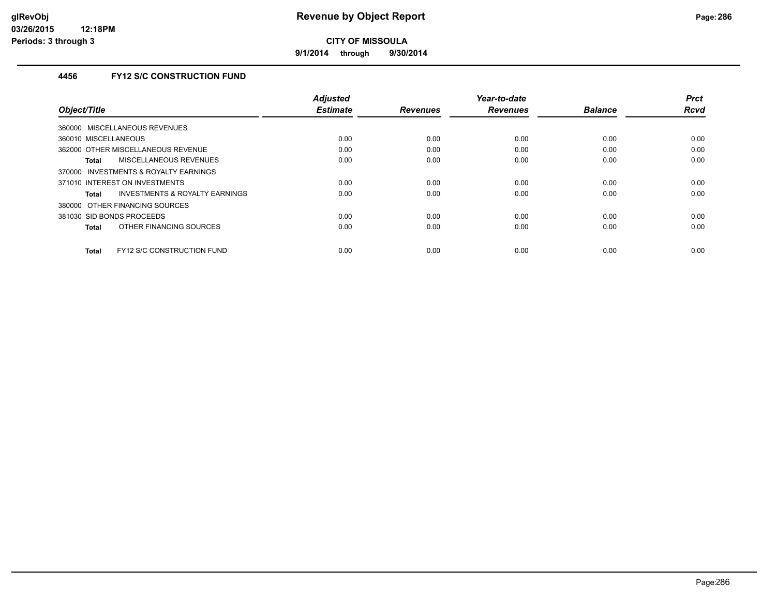**9/1/2014 through 9/30/2014**

### **4456 FY12 S/C CONSTRUCTION FUND**

|                                                    | <b>Adjusted</b><br><b>Estimate</b> |                 | Year-to-date    | <b>Balance</b> | <b>Prct</b><br><b>Rcvd</b> |
|----------------------------------------------------|------------------------------------|-----------------|-----------------|----------------|----------------------------|
| Object/Title                                       |                                    | <b>Revenues</b> | <b>Revenues</b> |                |                            |
| 360000 MISCELLANEOUS REVENUES                      |                                    |                 |                 |                |                            |
| 360010 MISCELLANEOUS                               | 0.00                               | 0.00            | 0.00            | 0.00           | 0.00                       |
| 362000 OTHER MISCELLANEOUS REVENUE                 | 0.00                               | 0.00            | 0.00            | 0.00           | 0.00                       |
| <b>MISCELLANEOUS REVENUES</b><br>Total             | 0.00                               | 0.00            | 0.00            | 0.00           | 0.00                       |
| INVESTMENTS & ROYALTY EARNINGS<br>370000           |                                    |                 |                 |                |                            |
| 371010 INTEREST ON INVESTMENTS                     | 0.00                               | 0.00            | 0.00            | 0.00           | 0.00                       |
| <b>INVESTMENTS &amp; ROYALTY EARNINGS</b><br>Total | 0.00                               | 0.00            | 0.00            | 0.00           | 0.00                       |
| 380000 OTHER FINANCING SOURCES                     |                                    |                 |                 |                |                            |
| 381030 SID BONDS PROCEEDS                          | 0.00                               | 0.00            | 0.00            | 0.00           | 0.00                       |
| OTHER FINANCING SOURCES<br>Total                   | 0.00                               | 0.00            | 0.00            | 0.00           | 0.00                       |
|                                                    |                                    |                 |                 |                |                            |
| <b>FY12 S/C CONSTRUCTION FUND</b><br>Total         | 0.00                               | 0.00            | 0.00            | 0.00           | 0.00                       |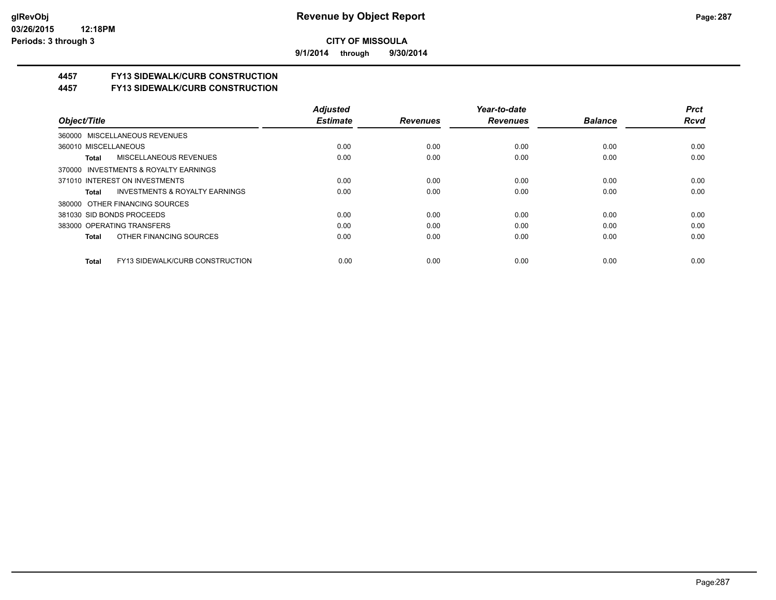**9/1/2014 through 9/30/2014**

# **4457 FY13 SIDEWALK/CURB CONSTRUCTION**

**4457 FY13 SIDEWALK/CURB CONSTRUCTION**

|                                                    | <b>Adiusted</b> |                 | Year-to-date    |                | <b>Prct</b> |
|----------------------------------------------------|-----------------|-----------------|-----------------|----------------|-------------|
| Object/Title                                       | <b>Estimate</b> | <b>Revenues</b> | <b>Revenues</b> | <b>Balance</b> | <b>Rcvd</b> |
| 360000 MISCELLANEOUS REVENUES                      |                 |                 |                 |                |             |
| 360010 MISCELLANEOUS                               | 0.00            | 0.00            | 0.00            | 0.00           | 0.00        |
| <b>MISCELLANEOUS REVENUES</b><br>Total             | 0.00            | 0.00            | 0.00            | 0.00           | 0.00        |
| 370000 INVESTMENTS & ROYALTY EARNINGS              |                 |                 |                 |                |             |
| 371010 INTEREST ON INVESTMENTS                     | 0.00            | 0.00            | 0.00            | 0.00           | 0.00        |
| <b>INVESTMENTS &amp; ROYALTY EARNINGS</b><br>Total | 0.00            | 0.00            | 0.00            | 0.00           | 0.00        |
| 380000 OTHER FINANCING SOURCES                     |                 |                 |                 |                |             |
| 381030 SID BONDS PROCEEDS                          | 0.00            | 0.00            | 0.00            | 0.00           | 0.00        |
| 383000 OPERATING TRANSFERS                         | 0.00            | 0.00            | 0.00            | 0.00           | 0.00        |
| OTHER FINANCING SOURCES<br>Total                   | 0.00            | 0.00            | 0.00            | 0.00           | 0.00        |
| FY13 SIDEWALK/CURB CONSTRUCTION<br>Total           | 0.00            | 0.00            | 0.00            | 0.00           | 0.00        |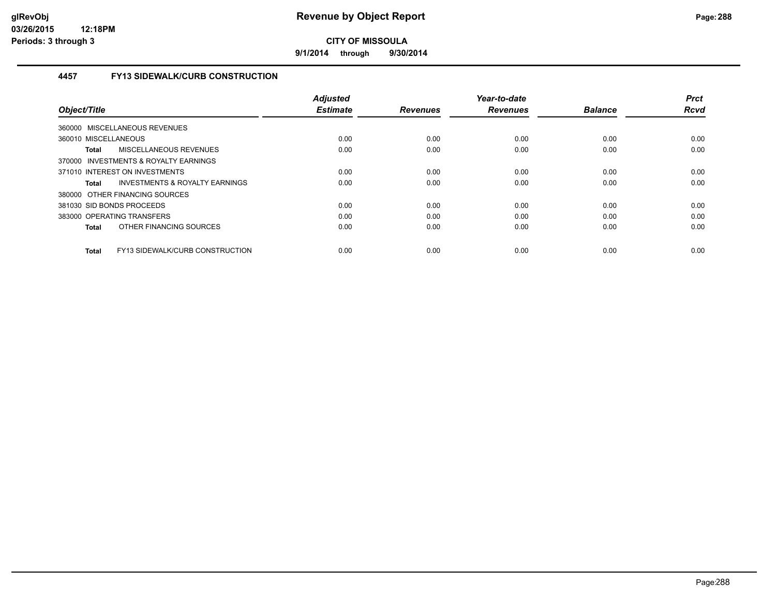**9/1/2014 through 9/30/2014**

### **4457 FY13 SIDEWALK/CURB CONSTRUCTION**

| Object/Title                                    | <b>Adjusted</b><br><b>Estimate</b> | <b>Revenues</b> | Year-to-date<br><b>Revenues</b> | <b>Balance</b> | <b>Prct</b><br><b>Rcvd</b> |
|-------------------------------------------------|------------------------------------|-----------------|---------------------------------|----------------|----------------------------|
| <b>MISCELLANEOUS REVENUES</b><br>360000         |                                    |                 |                                 |                |                            |
| 360010 MISCELLANEOUS                            | 0.00                               | 0.00            | 0.00                            | 0.00           | 0.00                       |
| MISCELLANEOUS REVENUES<br>Total                 | 0.00                               | 0.00            | 0.00                            | 0.00           | 0.00                       |
| 370000 INVESTMENTS & ROYALTY EARNINGS           |                                    |                 |                                 |                |                            |
| 371010 INTEREST ON INVESTMENTS                  | 0.00                               | 0.00            | 0.00                            | 0.00           | 0.00                       |
| INVESTMENTS & ROYALTY EARNINGS<br>Total         | 0.00                               | 0.00            | 0.00                            | 0.00           | 0.00                       |
| 380000 OTHER FINANCING SOURCES                  |                                    |                 |                                 |                |                            |
| 381030 SID BONDS PROCEEDS                       | 0.00                               | 0.00            | 0.00                            | 0.00           | 0.00                       |
| 383000 OPERATING TRANSFERS                      | 0.00                               | 0.00            | 0.00                            | 0.00           | 0.00                       |
| OTHER FINANCING SOURCES<br><b>Total</b>         | 0.00                               | 0.00            | 0.00                            | 0.00           | 0.00                       |
| FY13 SIDEWALK/CURB CONSTRUCTION<br><b>Total</b> | 0.00                               | 0.00            | 0.00                            | 0.00           | 0.00                       |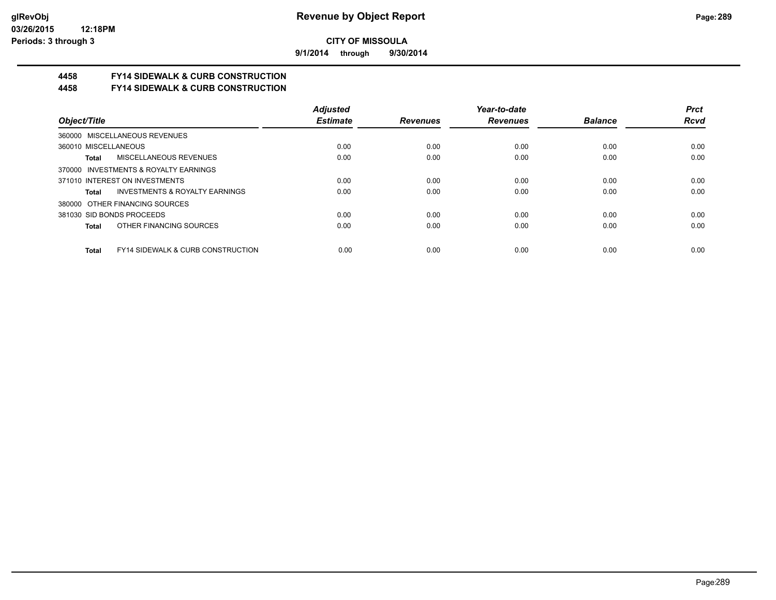**9/1/2014 through 9/30/2014**

# **4458 FY14 SIDEWALK & CURB CONSTRUCTION**

**4458 FY14 SIDEWALK & CURB CONSTRUCTION**

|                                                              | <b>Adjusted</b> |                 | Year-to-date    |                | <b>Prct</b> |
|--------------------------------------------------------------|-----------------|-----------------|-----------------|----------------|-------------|
| Object/Title                                                 | <b>Estimate</b> | <b>Revenues</b> | <b>Revenues</b> | <b>Balance</b> | <b>Rcvd</b> |
| 360000 MISCELLANEOUS REVENUES                                |                 |                 |                 |                |             |
| 360010 MISCELLANEOUS                                         | 0.00            | 0.00            | 0.00            | 0.00           | 0.00        |
| <b>MISCELLANEOUS REVENUES</b><br>Total                       | 0.00            | 0.00            | 0.00            | 0.00           | 0.00        |
| 370000 INVESTMENTS & ROYALTY EARNINGS                        |                 |                 |                 |                |             |
| 371010 INTEREST ON INVESTMENTS                               | 0.00            | 0.00            | 0.00            | 0.00           | 0.00        |
| INVESTMENTS & ROYALTY EARNINGS<br>Total                      | 0.00            | 0.00            | 0.00            | 0.00           | 0.00        |
| 380000 OTHER FINANCING SOURCES                               |                 |                 |                 |                |             |
| 381030 SID BONDS PROCEEDS                                    | 0.00            | 0.00            | 0.00            | 0.00           | 0.00        |
| OTHER FINANCING SOURCES<br><b>Total</b>                      | 0.00            | 0.00            | 0.00            | 0.00           | 0.00        |
|                                                              |                 |                 |                 |                |             |
| <b>FY14 SIDEWALK &amp; CURB CONSTRUCTION</b><br><b>Total</b> | 0.00            | 0.00            | 0.00            | 0.00           | 0.00        |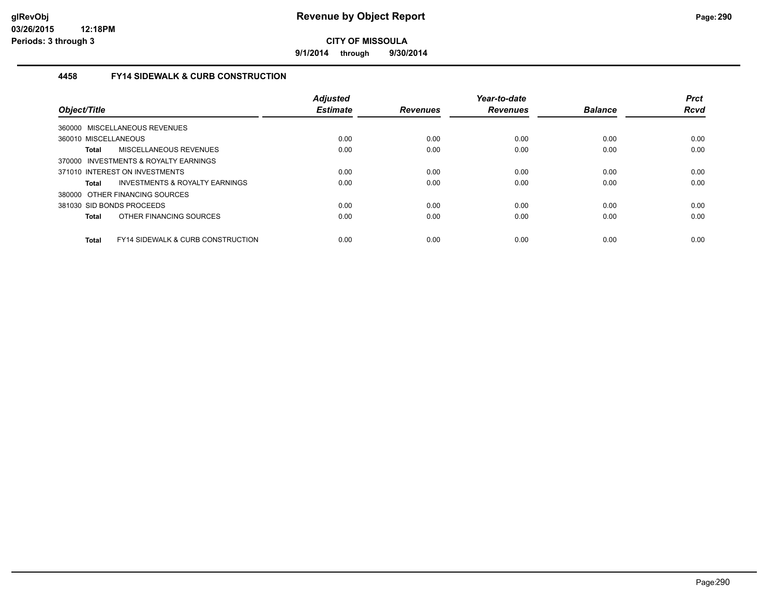**9/1/2014 through 9/30/2014**

# **4458 FY14 SIDEWALK & CURB CONSTRUCTION**

| Object/Title         |                                              | <b>Adjusted</b><br><b>Estimate</b> | <b>Revenues</b> | Year-to-date<br><b>Revenues</b> | <b>Balance</b> | <b>Prct</b><br><b>Rcvd</b> |
|----------------------|----------------------------------------------|------------------------------------|-----------------|---------------------------------|----------------|----------------------------|
|                      | 360000 MISCELLANEOUS REVENUES                |                                    |                 |                                 |                |                            |
| 360010 MISCELLANEOUS |                                              | 0.00                               | 0.00            | 0.00                            | 0.00           | 0.00                       |
| <b>Total</b>         | MISCELLANEOUS REVENUES                       | 0.00                               | 0.00            | 0.00                            | 0.00           | 0.00                       |
|                      | 370000 INVESTMENTS & ROYALTY EARNINGS        |                                    |                 |                                 |                |                            |
|                      | 371010 INTEREST ON INVESTMENTS               | 0.00                               | 0.00            | 0.00                            | 0.00           | 0.00                       |
| <b>Total</b>         | INVESTMENTS & ROYALTY EARNINGS               | 0.00                               | 0.00            | 0.00                            | 0.00           | 0.00                       |
|                      | 380000 OTHER FINANCING SOURCES               |                                    |                 |                                 |                |                            |
|                      | 381030 SID BONDS PROCEEDS                    | 0.00                               | 0.00            | 0.00                            | 0.00           | 0.00                       |
| <b>Total</b>         | OTHER FINANCING SOURCES                      | 0.00                               | 0.00            | 0.00                            | 0.00           | 0.00                       |
| <b>Total</b>         | <b>FY14 SIDEWALK &amp; CURB CONSTRUCTION</b> | 0.00                               | 0.00            | 0.00                            | 0.00           | 0.00                       |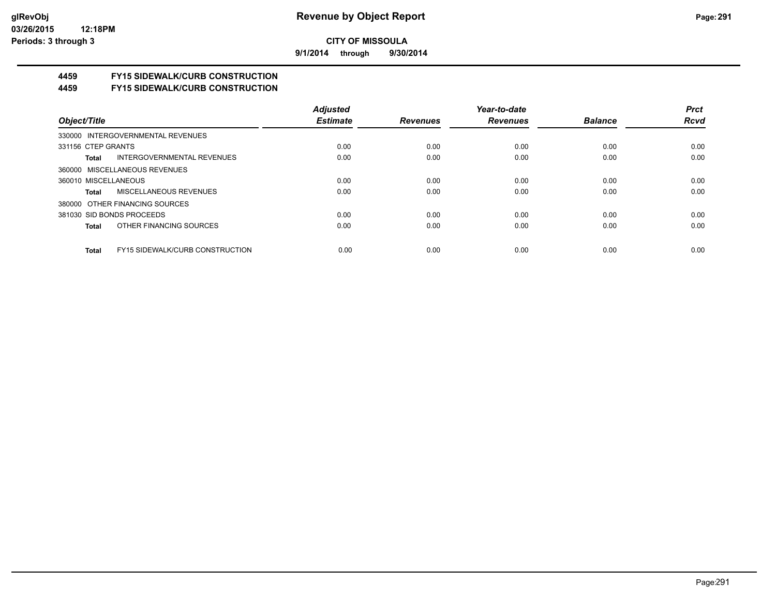**9/1/2014 through 9/30/2014**

# **4459 FY15 SIDEWALK/CURB CONSTRUCTION**

**4459 FY15 SIDEWALK/CURB CONSTRUCTION**

|                                        | <b>Adjusted</b> |                 | Year-to-date    |                | <b>Prct</b> |
|----------------------------------------|-----------------|-----------------|-----------------|----------------|-------------|
| Object/Title                           | <b>Estimate</b> | <b>Revenues</b> | <b>Revenues</b> | <b>Balance</b> | <b>Rcvd</b> |
| 330000 INTERGOVERNMENTAL REVENUES      |                 |                 |                 |                |             |
| 331156 CTEP GRANTS                     | 0.00            | 0.00            | 0.00            | 0.00           | 0.00        |
| INTERGOVERNMENTAL REVENUES<br>Total    | 0.00            | 0.00            | 0.00            | 0.00           | 0.00        |
| 360000 MISCELLANEOUS REVENUES          |                 |                 |                 |                |             |
| 360010 MISCELLANEOUS                   | 0.00            | 0.00            | 0.00            | 0.00           | 0.00        |
| MISCELLANEOUS REVENUES<br>Total        | 0.00            | 0.00            | 0.00            | 0.00           | 0.00        |
| 380000 OTHER FINANCING SOURCES         |                 |                 |                 |                |             |
| 381030 SID BONDS PROCEEDS              | 0.00            | 0.00            | 0.00            | 0.00           | 0.00        |
| OTHER FINANCING SOURCES<br>Total       | 0.00            | 0.00            | 0.00            | 0.00           | 0.00        |
| <b>FY15 SIDEWALK/CURB CONSTRUCTION</b> | 0.00            | 0.00            | 0.00            | 0.00           | 0.00        |
| <b>Total</b>                           |                 |                 |                 |                |             |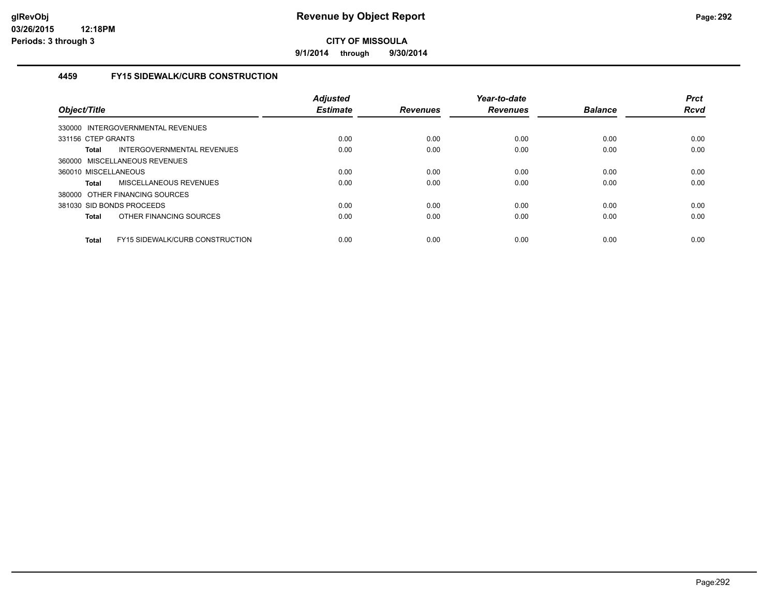**9/1/2014 through 9/30/2014**

# **4459 FY15 SIDEWALK/CURB CONSTRUCTION**

| Object/Title                                    | <b>Adjusted</b><br><b>Estimate</b> | <b>Revenues</b> | Year-to-date<br><b>Revenues</b> | <b>Balance</b> | <b>Prct</b><br><b>Rcvd</b> |
|-------------------------------------------------|------------------------------------|-----------------|---------------------------------|----------------|----------------------------|
| INTERGOVERNMENTAL REVENUES<br>330000            |                                    |                 |                                 |                |                            |
| 331156 CTEP GRANTS                              | 0.00                               | 0.00            | 0.00                            | 0.00           | 0.00                       |
| INTERGOVERNMENTAL REVENUES<br>Total             | 0.00                               | 0.00            | 0.00                            | 0.00           | 0.00                       |
| 360000 MISCELLANEOUS REVENUES                   |                                    |                 |                                 |                |                            |
| 360010 MISCELLANEOUS                            | 0.00                               | 0.00            | 0.00                            | 0.00           | 0.00                       |
| MISCELLANEOUS REVENUES<br>Total                 | 0.00                               | 0.00            | 0.00                            | 0.00           | 0.00                       |
| 380000 OTHER FINANCING SOURCES                  |                                    |                 |                                 |                |                            |
| 381030 SID BONDS PROCEEDS                       | 0.00                               | 0.00            | 0.00                            | 0.00           | 0.00                       |
| OTHER FINANCING SOURCES<br>Total                | 0.00                               | 0.00            | 0.00                            | 0.00           | 0.00                       |
| FY15 SIDEWALK/CURB CONSTRUCTION<br><b>Total</b> | 0.00                               | 0.00            | 0.00                            | 0.00           | 0.00                       |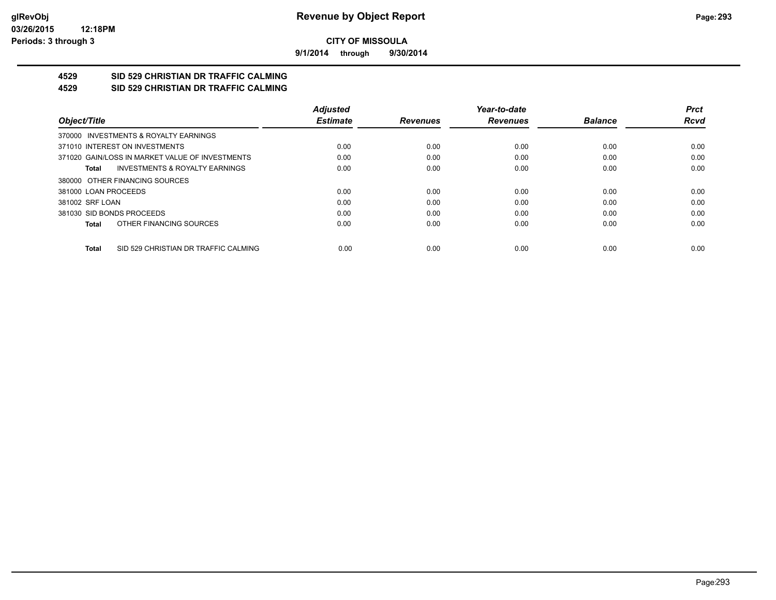**9/1/2014 through 9/30/2014**

### **4529 SID 529 CHRISTIAN DR TRAFFIC CALMING 4529 SID 529 CHRISTIAN DR TRAFFIC CALMING**

|                      |                                                 | <b>Adjusted</b> |                 | Year-to-date    |                | <b>Prct</b> |
|----------------------|-------------------------------------------------|-----------------|-----------------|-----------------|----------------|-------------|
| Object/Title         |                                                 | <b>Estimate</b> | <b>Revenues</b> | <b>Revenues</b> | <b>Balance</b> | <b>Rcvd</b> |
|                      | 370000 INVESTMENTS & ROYALTY EARNINGS           |                 |                 |                 |                |             |
|                      | 371010 INTEREST ON INVESTMENTS                  | 0.00            | 0.00            | 0.00            | 0.00           | 0.00        |
|                      | 371020 GAIN/LOSS IN MARKET VALUE OF INVESTMENTS | 0.00            | 0.00            | 0.00            | 0.00           | 0.00        |
| Total                | <b>INVESTMENTS &amp; ROYALTY EARNINGS</b>       | 0.00            | 0.00            | 0.00            | 0.00           | 0.00        |
|                      | 380000 OTHER FINANCING SOURCES                  |                 |                 |                 |                |             |
| 381000 LOAN PROCEEDS |                                                 | 0.00            | 0.00            | 0.00            | 0.00           | 0.00        |
| 381002 SRF LOAN      |                                                 | 0.00            | 0.00            | 0.00            | 0.00           | 0.00        |
|                      | 381030 SID BONDS PROCEEDS                       | 0.00            | 0.00            | 0.00            | 0.00           | 0.00        |
| Total                | OTHER FINANCING SOURCES                         | 0.00            | 0.00            | 0.00            | 0.00           | 0.00        |
| Total                | SID 529 CHRISTIAN DR TRAFFIC CALMING            | 0.00            | 0.00            | 0.00            | 0.00           | 0.00        |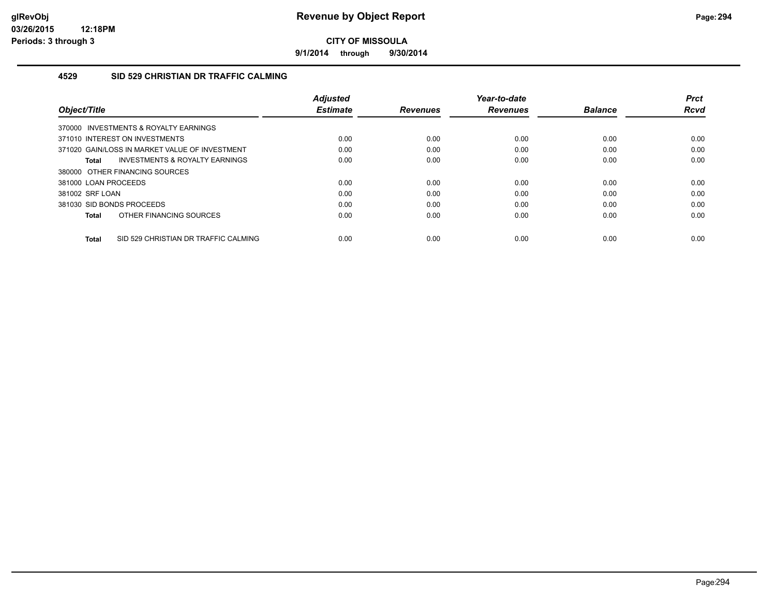**9/1/2014 through 9/30/2014**

## **4529 SID 529 CHRISTIAN DR TRAFFIC CALMING**

| Object/Title                                         | <b>Adjusted</b><br><b>Estimate</b> | <b>Revenues</b> | Year-to-date<br><b>Revenues</b> | <b>Balance</b> | <b>Prct</b><br><b>Rcvd</b> |
|------------------------------------------------------|------------------------------------|-----------------|---------------------------------|----------------|----------------------------|
| 370000 INVESTMENTS & ROYALTY EARNINGS                |                                    |                 |                                 |                |                            |
| 371010 INTEREST ON INVESTMENTS                       | 0.00                               | 0.00            | 0.00                            | 0.00           | 0.00                       |
| 371020 GAIN/LOSS IN MARKET VALUE OF INVESTMENT       | 0.00                               | 0.00            | 0.00                            | 0.00           | 0.00                       |
| INVESTMENTS & ROYALTY EARNINGS<br>Total              | 0.00                               | 0.00            | 0.00                            | 0.00           | 0.00                       |
| 380000 OTHER FINANCING SOURCES                       |                                    |                 |                                 |                |                            |
| 381000 LOAN PROCEEDS                                 | 0.00                               | 0.00            | 0.00                            | 0.00           | 0.00                       |
| 381002 SRF LOAN                                      | 0.00                               | 0.00            | 0.00                            | 0.00           | 0.00                       |
| 381030 SID BONDS PROCEEDS                            | 0.00                               | 0.00            | 0.00                            | 0.00           | 0.00                       |
| OTHER FINANCING SOURCES<br>Total                     | 0.00                               | 0.00            | 0.00                            | 0.00           | 0.00                       |
| SID 529 CHRISTIAN DR TRAFFIC CALMING<br><b>Total</b> | 0.00                               | 0.00            | 0.00                            | 0.00           | 0.00                       |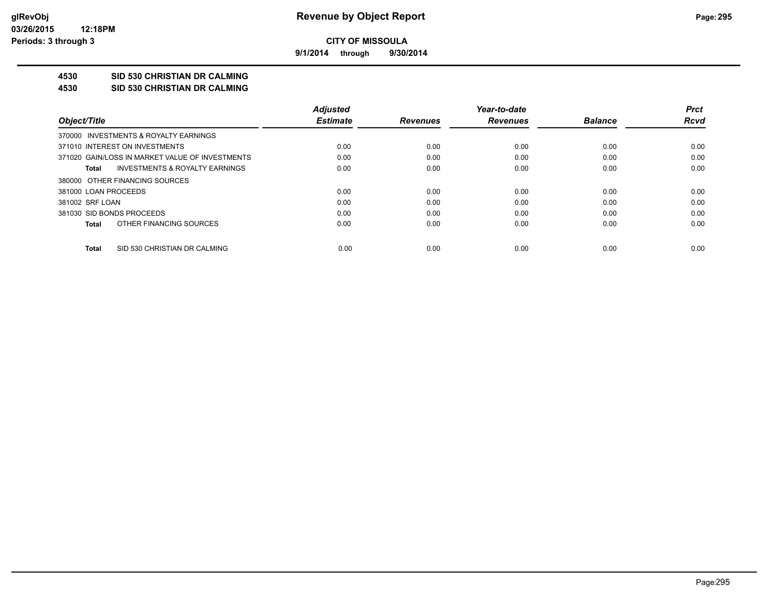**9/1/2014 through 9/30/2014**

# **4530 SID 530 CHRISTIAN DR CALMING**

#### **4530 SID 530 CHRISTIAN DR CALMING**

|                           |                                                 | <b>Adjusted</b> |                 | Year-to-date    |                | <b>Prct</b> |
|---------------------------|-------------------------------------------------|-----------------|-----------------|-----------------|----------------|-------------|
| Object/Title              |                                                 | <b>Estimate</b> | <b>Revenues</b> | <b>Revenues</b> | <b>Balance</b> | <b>Rcvd</b> |
|                           | 370000 INVESTMENTS & ROYALTY EARNINGS           |                 |                 |                 |                |             |
|                           | 371010 INTEREST ON INVESTMENTS                  | 0.00            | 0.00            | 0.00            | 0.00           | 0.00        |
|                           | 371020 GAIN/LOSS IN MARKET VALUE OF INVESTMENTS | 0.00            | 0.00            | 0.00            | 0.00           | 0.00        |
| Total                     | INVESTMENTS & ROYALTY EARNINGS                  | 0.00            | 0.00            | 0.00            | 0.00           | 0.00        |
|                           | 380000 OTHER FINANCING SOURCES                  |                 |                 |                 |                |             |
| 381000 LOAN PROCEEDS      |                                                 | 0.00            | 0.00            | 0.00            | 0.00           | 0.00        |
| 381002 SRF LOAN           |                                                 | 0.00            | 0.00            | 0.00            | 0.00           | 0.00        |
| 381030 SID BONDS PROCEEDS |                                                 | 0.00            | 0.00            | 0.00            | 0.00           | 0.00        |
| Total                     | OTHER FINANCING SOURCES                         | 0.00            | 0.00            | 0.00            | 0.00           | 0.00        |
| Total                     | SID 530 CHRISTIAN DR CALMING                    | 0.00            | 0.00            | 0.00            | 0.00           | 0.00        |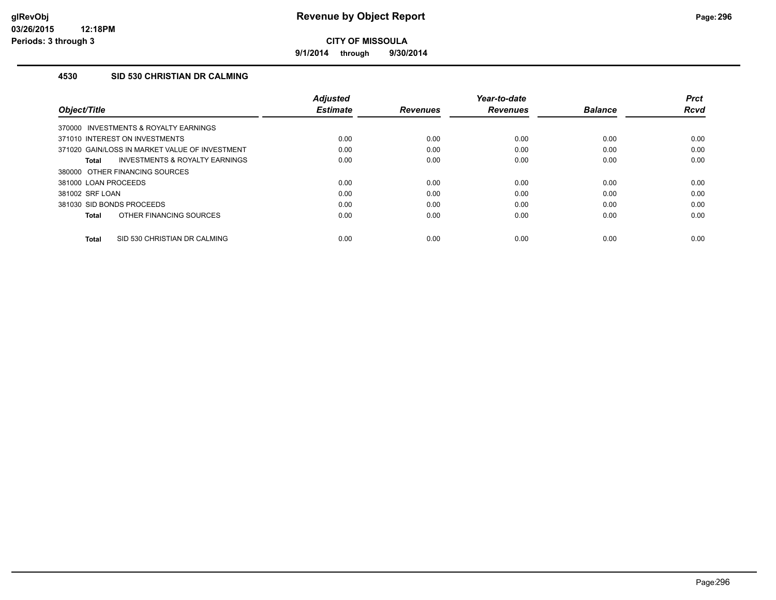**9/1/2014 through 9/30/2014**

# **4530 SID 530 CHRISTIAN DR CALMING**

| Object/Title                                   | <b>Adjusted</b><br><b>Estimate</b> | <b>Revenues</b> | Year-to-date<br><b>Revenues</b> | <b>Balance</b> | <b>Prct</b><br><b>Rcvd</b> |
|------------------------------------------------|------------------------------------|-----------------|---------------------------------|----------------|----------------------------|
| 370000 INVESTMENTS & ROYALTY EARNINGS          |                                    |                 |                                 |                |                            |
| 371010 INTEREST ON INVESTMENTS                 | 0.00                               | 0.00            | 0.00                            | 0.00           | 0.00                       |
| 371020 GAIN/LOSS IN MARKET VALUE OF INVESTMENT | 0.00                               | 0.00            | 0.00                            | 0.00           | 0.00                       |
| INVESTMENTS & ROYALTY EARNINGS<br>Total        | 0.00                               | 0.00            | 0.00                            | 0.00           | 0.00                       |
| 380000 OTHER FINANCING SOURCES                 |                                    |                 |                                 |                |                            |
| 381000 LOAN PROCEEDS                           | 0.00                               | 0.00            | 0.00                            | 0.00           | 0.00                       |
| 381002 SRF LOAN                                | 0.00                               | 0.00            | 0.00                            | 0.00           | 0.00                       |
| 381030 SID BONDS PROCEEDS                      | 0.00                               | 0.00            | 0.00                            | 0.00           | 0.00                       |
| OTHER FINANCING SOURCES<br><b>Total</b>        | 0.00                               | 0.00            | 0.00                            | 0.00           | 0.00                       |
| SID 530 CHRISTIAN DR CALMING<br><b>Total</b>   | 0.00                               | 0.00            | 0.00                            | 0.00           | 0.00                       |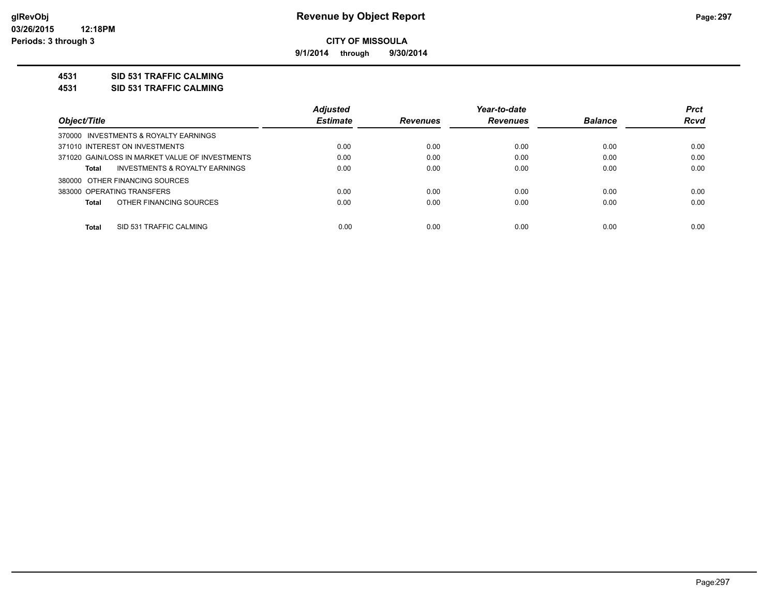**9/1/2014 through 9/30/2014**

## **4531 SID 531 TRAFFIC CALMING**

**4531 SID 531 TRAFFIC CALMING**

|                                                 | <b>Adjusted</b> |                 | Year-to-date    |                | <b>Prct</b> |
|-------------------------------------------------|-----------------|-----------------|-----------------|----------------|-------------|
| Object/Title                                    | <b>Estimate</b> | <b>Revenues</b> | <b>Revenues</b> | <b>Balance</b> | <b>Rcvd</b> |
| 370000 INVESTMENTS & ROYALTY EARNINGS           |                 |                 |                 |                |             |
| 371010 INTEREST ON INVESTMENTS                  | 0.00            | 0.00            | 0.00            | 0.00           | 0.00        |
| 371020 GAIN/LOSS IN MARKET VALUE OF INVESTMENTS | 0.00            | 0.00            | 0.00            | 0.00           | 0.00        |
| INVESTMENTS & ROYALTY EARNINGS<br>Total         | 0.00            | 0.00            | 0.00            | 0.00           | 0.00        |
| 380000 OTHER FINANCING SOURCES                  |                 |                 |                 |                |             |
| 383000 OPERATING TRANSFERS                      | 0.00            | 0.00            | 0.00            | 0.00           | 0.00        |
| OTHER FINANCING SOURCES<br><b>Total</b>         | 0.00            | 0.00            | 0.00            | 0.00           | 0.00        |
| <b>Total</b><br>SID 531 TRAFFIC CALMING         | 0.00            | 0.00            | 0.00            | 0.00           | 0.00        |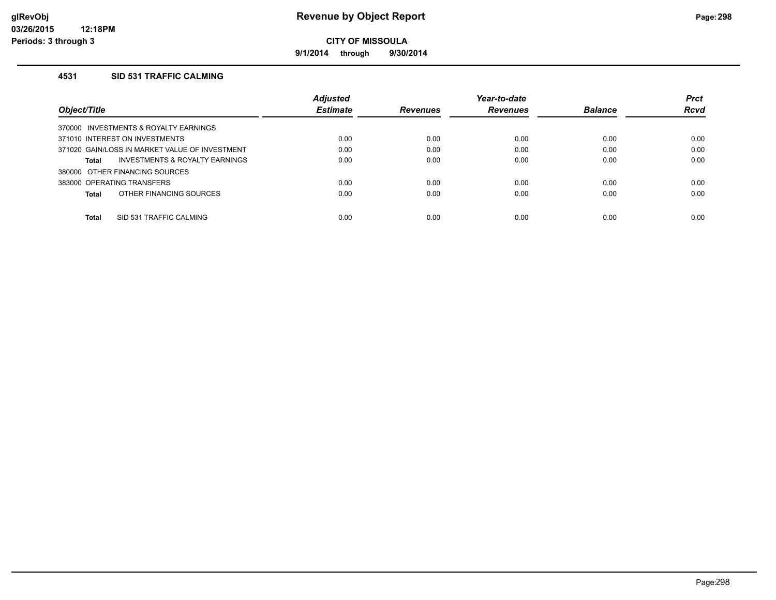**9/1/2014 through 9/30/2014**

### **4531 SID 531 TRAFFIC CALMING**

|                                                | <b>Adjusted</b> |                 | Year-to-date    |                | <b>Prct</b> |
|------------------------------------------------|-----------------|-----------------|-----------------|----------------|-------------|
| Object/Title                                   | <b>Estimate</b> | <b>Revenues</b> | <b>Revenues</b> | <b>Balance</b> | <b>Rcvd</b> |
| 370000 INVESTMENTS & ROYALTY EARNINGS          |                 |                 |                 |                |             |
| 371010 INTEREST ON INVESTMENTS                 | 0.00            | 0.00            | 0.00            | 0.00           | 0.00        |
| 371020 GAIN/LOSS IN MARKET VALUE OF INVESTMENT | 0.00            | 0.00            | 0.00            | 0.00           | 0.00        |
| INVESTMENTS & ROYALTY EARNINGS<br>Total        | 0.00            | 0.00            | 0.00            | 0.00           | 0.00        |
| 380000 OTHER FINANCING SOURCES                 |                 |                 |                 |                |             |
| 383000 OPERATING TRANSFERS                     | 0.00            | 0.00            | 0.00            | 0.00           | 0.00        |
| OTHER FINANCING SOURCES<br>Total               | 0.00            | 0.00            | 0.00            | 0.00           | 0.00        |
|                                                |                 |                 |                 |                |             |
| <b>Total</b><br>SID 531 TRAFFIC CALMING        | 0.00            | 0.00            | 0.00            | 0.00           | 0.00        |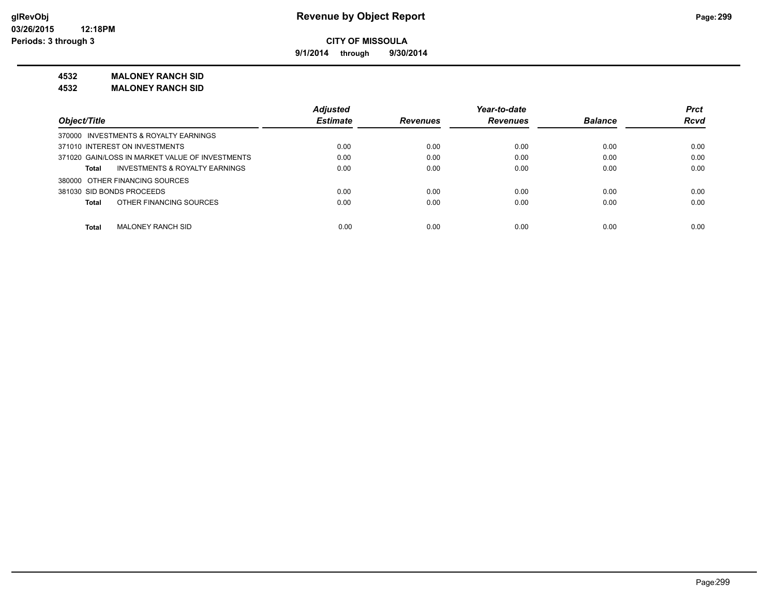**9/1/2014 through 9/30/2014**

### **4532 MALONEY RANCH SID**

**4532 MALONEY RANCH SID**

|                                                    | <b>Adjusted</b> |                 | Year-to-date    |                | <b>Prct</b> |
|----------------------------------------------------|-----------------|-----------------|-----------------|----------------|-------------|
| Object/Title                                       | <b>Estimate</b> | <b>Revenues</b> | <b>Revenues</b> | <b>Balance</b> | <b>Rcvd</b> |
| 370000 INVESTMENTS & ROYALTY EARNINGS              |                 |                 |                 |                |             |
| 371010 INTEREST ON INVESTMENTS                     | 0.00            | 0.00            | 0.00            | 0.00           | 0.00        |
| 371020 GAIN/LOSS IN MARKET VALUE OF INVESTMENTS    | 0.00            | 0.00            | 0.00            | 0.00           | 0.00        |
| <b>INVESTMENTS &amp; ROYALTY EARNINGS</b><br>Total | 0.00            | 0.00            | 0.00            | 0.00           | 0.00        |
| 380000 OTHER FINANCING SOURCES                     |                 |                 |                 |                |             |
| 381030 SID BONDS PROCEEDS                          | 0.00            | 0.00            | 0.00            | 0.00           | 0.00        |
| OTHER FINANCING SOURCES<br>Total                   | 0.00            | 0.00            | 0.00            | 0.00           | 0.00        |
|                                                    |                 |                 |                 |                |             |
| MALONEY RANCH SID<br><b>Total</b>                  | 0.00            | 0.00            | 0.00            | 0.00           | 0.00        |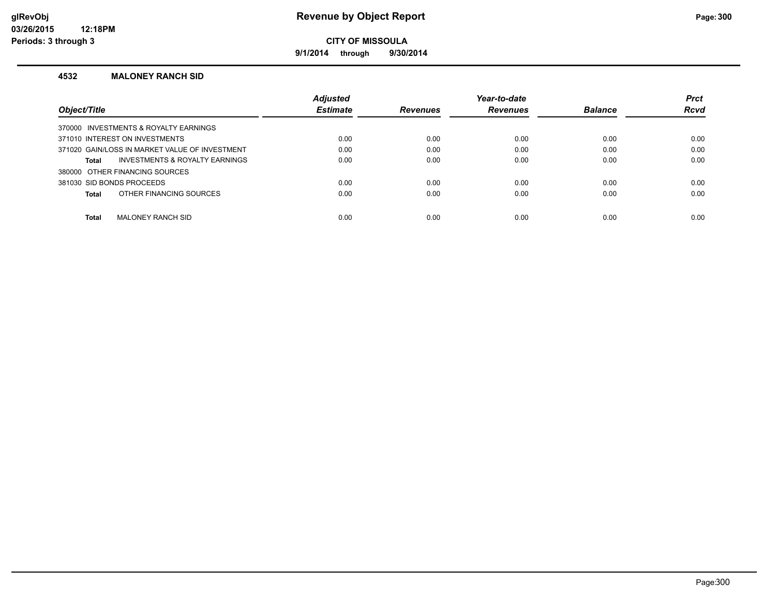**9/1/2014 through 9/30/2014**

### **4532 MALONEY RANCH SID**

|                           |                                                | <b>Adjusted</b> |                 | Year-to-date    |                | <b>Prct</b> |
|---------------------------|------------------------------------------------|-----------------|-----------------|-----------------|----------------|-------------|
| Object/Title              |                                                | <b>Estimate</b> | <b>Revenues</b> | <b>Revenues</b> | <b>Balance</b> | <b>Rcvd</b> |
|                           | 370000 INVESTMENTS & ROYALTY EARNINGS          |                 |                 |                 |                |             |
|                           | 371010 INTEREST ON INVESTMENTS                 | 0.00            | 0.00            | 0.00            | 0.00           | 0.00        |
|                           | 371020 GAIN/LOSS IN MARKET VALUE OF INVESTMENT | 0.00            | 0.00            | 0.00            | 0.00           | 0.00        |
| Total                     | INVESTMENTS & ROYALTY EARNINGS                 | 0.00            | 0.00            | 0.00            | 0.00           | 0.00        |
|                           | 380000 OTHER FINANCING SOURCES                 |                 |                 |                 |                |             |
| 381030 SID BONDS PROCEEDS |                                                | 0.00            | 0.00            | 0.00            | 0.00           | 0.00        |
| Total                     | OTHER FINANCING SOURCES                        | 0.00            | 0.00            | 0.00            | 0.00           | 0.00        |
| <b>Total</b>              | <b>MALONEY RANCH SID</b>                       | 0.00            | 0.00            | 0.00            | 0.00           | 0.00        |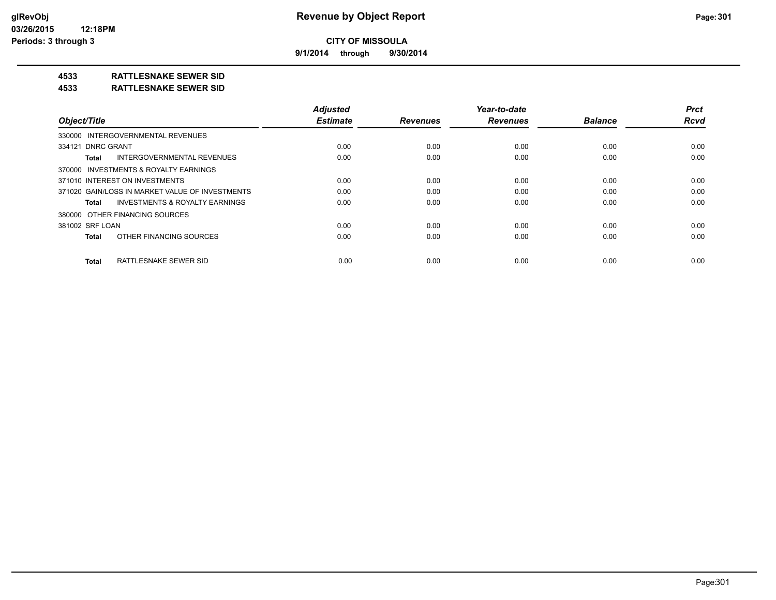**9/1/2014 through 9/30/2014**

# **4533 RATTLESNAKE SEWER SID**

#### **4533 RATTLESNAKE SEWER SID**

| Object/Title                                       | <b>Adjusted</b><br><b>Estimate</b> | <b>Revenues</b> | Year-to-date<br><b>Revenues</b> | <b>Balance</b> | <b>Prct</b><br><b>Rcvd</b> |
|----------------------------------------------------|------------------------------------|-----------------|---------------------------------|----------------|----------------------------|
| 330000 INTERGOVERNMENTAL REVENUES                  |                                    |                 |                                 |                |                            |
| 334121 DNRC GRANT                                  | 0.00                               | 0.00            | 0.00                            | 0.00           | 0.00                       |
| INTERGOVERNMENTAL REVENUES<br><b>Total</b>         | 0.00                               | 0.00            | 0.00                            | 0.00           | 0.00                       |
| 370000 INVESTMENTS & ROYALTY EARNINGS              |                                    |                 |                                 |                |                            |
| 371010 INTEREST ON INVESTMENTS                     | 0.00                               | 0.00            | 0.00                            | 0.00           | 0.00                       |
| 371020 GAIN/LOSS IN MARKET VALUE OF INVESTMENTS    | 0.00                               | 0.00            | 0.00                            | 0.00           | 0.00                       |
| <b>INVESTMENTS &amp; ROYALTY EARNINGS</b><br>Total | 0.00                               | 0.00            | 0.00                            | 0.00           | 0.00                       |
| 380000 OTHER FINANCING SOURCES                     |                                    |                 |                                 |                |                            |
| 381002 SRF LOAN                                    | 0.00                               | 0.00            | 0.00                            | 0.00           | 0.00                       |
| OTHER FINANCING SOURCES<br><b>Total</b>            | 0.00                               | 0.00            | 0.00                            | 0.00           | 0.00                       |
| RATTLESNAKE SEWER SID<br><b>Total</b>              | 0.00                               | 0.00            | 0.00                            | 0.00           | 0.00                       |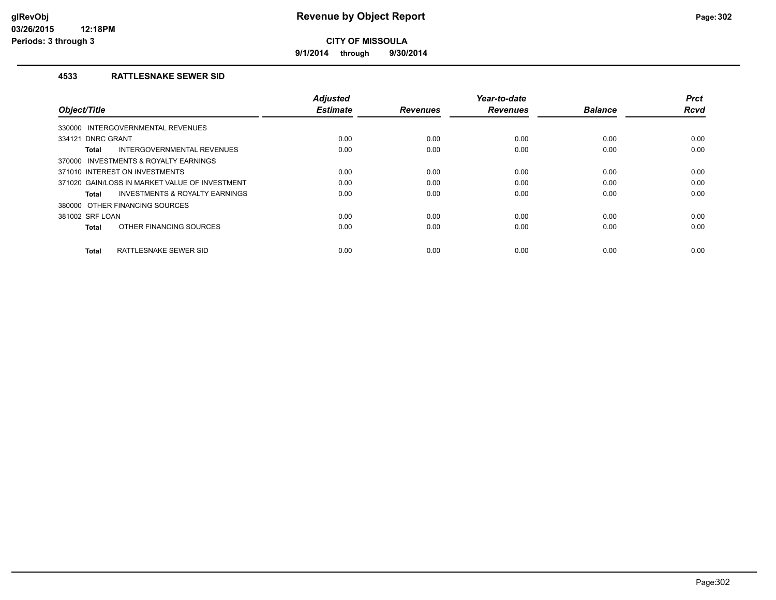**9/1/2014 through 9/30/2014**

## **4533 RATTLESNAKE SEWER SID**

| Object/Title                                   | <b>Adjusted</b><br><b>Estimate</b> | <b>Revenues</b> | Year-to-date<br><b>Revenues</b> | <b>Balance</b> | <b>Prct</b><br><b>Rcvd</b> |
|------------------------------------------------|------------------------------------|-----------------|---------------------------------|----------------|----------------------------|
| INTERGOVERNMENTAL REVENUES<br>330000           |                                    |                 |                                 |                |                            |
| 334121 DNRC GRANT                              | 0.00                               | 0.00            | 0.00                            | 0.00           | 0.00                       |
| INTERGOVERNMENTAL REVENUES<br>Total            | 0.00                               | 0.00            | 0.00                            | 0.00           | 0.00                       |
| 370000 INVESTMENTS & ROYALTY EARNINGS          |                                    |                 |                                 |                |                            |
| 371010 INTEREST ON INVESTMENTS                 | 0.00                               | 0.00            | 0.00                            | 0.00           | 0.00                       |
| 371020 GAIN/LOSS IN MARKET VALUE OF INVESTMENT | 0.00                               | 0.00            | 0.00                            | 0.00           | 0.00                       |
| INVESTMENTS & ROYALTY EARNINGS<br>Total        | 0.00                               | 0.00            | 0.00                            | 0.00           | 0.00                       |
| 380000 OTHER FINANCING SOURCES                 |                                    |                 |                                 |                |                            |
| 381002 SRF LOAN                                | 0.00                               | 0.00            | 0.00                            | 0.00           | 0.00                       |
| OTHER FINANCING SOURCES<br><b>Total</b>        | 0.00                               | 0.00            | 0.00                            | 0.00           | 0.00                       |
| RATTLESNAKE SEWER SID<br><b>Total</b>          | 0.00                               | 0.00            | 0.00                            | 0.00           | 0.00                       |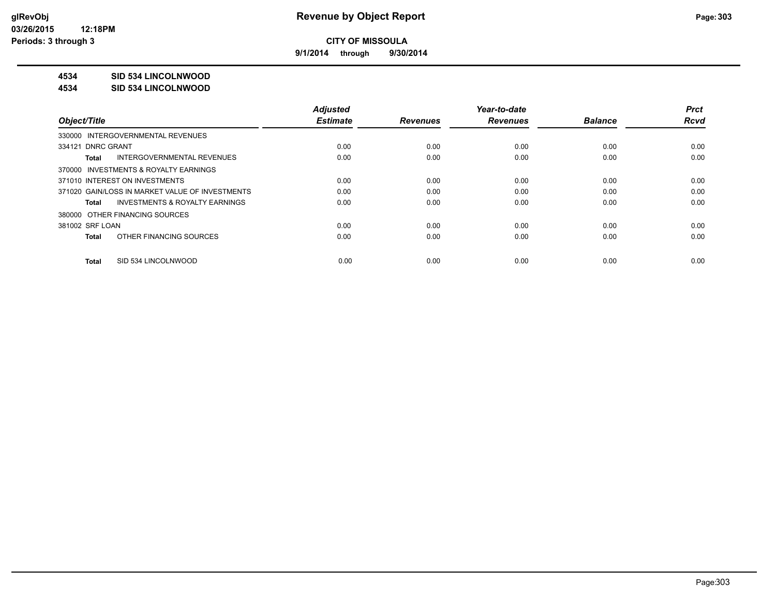**9/1/2014 through 9/30/2014**

# **4534 SID 534 LINCOLNWOOD**

#### **4534 SID 534 LINCOLNWOOD**

|                                                    | <b>Adjusted</b> |                 | Year-to-date    |                | <b>Prct</b> |
|----------------------------------------------------|-----------------|-----------------|-----------------|----------------|-------------|
| Object/Title                                       | <b>Estimate</b> | <b>Revenues</b> | <b>Revenues</b> | <b>Balance</b> | <b>Rcvd</b> |
| 330000 INTERGOVERNMENTAL REVENUES                  |                 |                 |                 |                |             |
| 334121 DNRC GRANT                                  | 0.00            | 0.00            | 0.00            | 0.00           | 0.00        |
| <b>INTERGOVERNMENTAL REVENUES</b><br>Total         | 0.00            | 0.00            | 0.00            | 0.00           | 0.00        |
| 370000 INVESTMENTS & ROYALTY EARNINGS              |                 |                 |                 |                |             |
| 371010 INTEREST ON INVESTMENTS                     | 0.00            | 0.00            | 0.00            | 0.00           | 0.00        |
| 371020 GAIN/LOSS IN MARKET VALUE OF INVESTMENTS    | 0.00            | 0.00            | 0.00            | 0.00           | 0.00        |
| <b>INVESTMENTS &amp; ROYALTY EARNINGS</b><br>Total | 0.00            | 0.00            | 0.00            | 0.00           | 0.00        |
| 380000 OTHER FINANCING SOURCES                     |                 |                 |                 |                |             |
| 381002 SRF LOAN                                    | 0.00            | 0.00            | 0.00            | 0.00           | 0.00        |
| OTHER FINANCING SOURCES<br>Total                   | 0.00            | 0.00            | 0.00            | 0.00           | 0.00        |
|                                                    |                 |                 |                 |                |             |
| SID 534 LINCOLNWOOD<br>Total                       | 0.00            | 0.00            | 0.00            | 0.00           | 0.00        |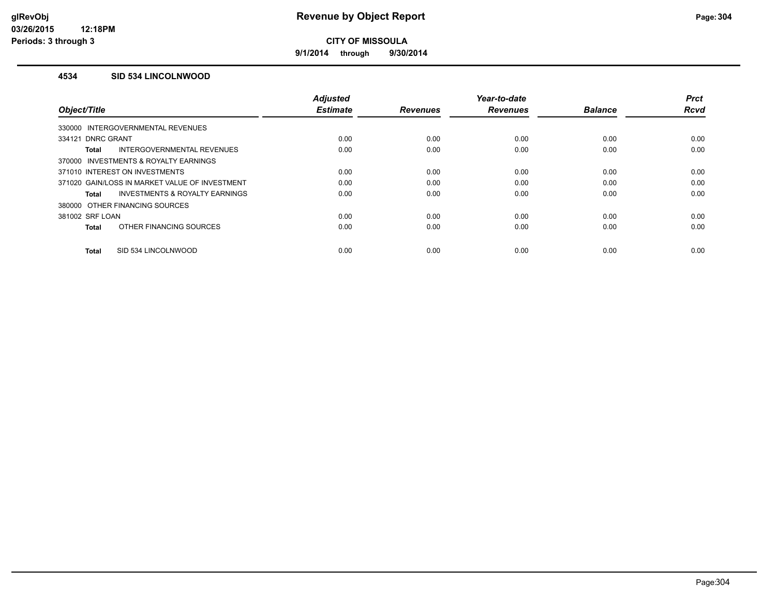**9/1/2014 through 9/30/2014**

### **4534 SID 534 LINCOLNWOOD**

|                                                | <b>Adjusted</b> |                 | Year-to-date    |                | <b>Prct</b> |
|------------------------------------------------|-----------------|-----------------|-----------------|----------------|-------------|
| Object/Title                                   | <b>Estimate</b> | <b>Revenues</b> | <b>Revenues</b> | <b>Balance</b> | <b>Rcvd</b> |
| 330000 INTERGOVERNMENTAL REVENUES              |                 |                 |                 |                |             |
| 334121 DNRC GRANT                              | 0.00            | 0.00            | 0.00            | 0.00           | 0.00        |
| INTERGOVERNMENTAL REVENUES<br>Total            | 0.00            | 0.00            | 0.00            | 0.00           | 0.00        |
| 370000 INVESTMENTS & ROYALTY EARNINGS          |                 |                 |                 |                |             |
| 371010 INTEREST ON INVESTMENTS                 | 0.00            | 0.00            | 0.00            | 0.00           | 0.00        |
| 371020 GAIN/LOSS IN MARKET VALUE OF INVESTMENT | 0.00            | 0.00            | 0.00            | 0.00           | 0.00        |
| INVESTMENTS & ROYALTY EARNINGS<br>Total        | 0.00            | 0.00            | 0.00            | 0.00           | 0.00        |
| 380000 OTHER FINANCING SOURCES                 |                 |                 |                 |                |             |
| 381002 SRF LOAN                                | 0.00            | 0.00            | 0.00            | 0.00           | 0.00        |
| OTHER FINANCING SOURCES<br><b>Total</b>        | 0.00            | 0.00            | 0.00            | 0.00           | 0.00        |
|                                                |                 |                 |                 |                |             |
| SID 534 LINCOLNWOOD<br><b>Total</b>            | 0.00            | 0.00            | 0.00            | 0.00           | 0.00        |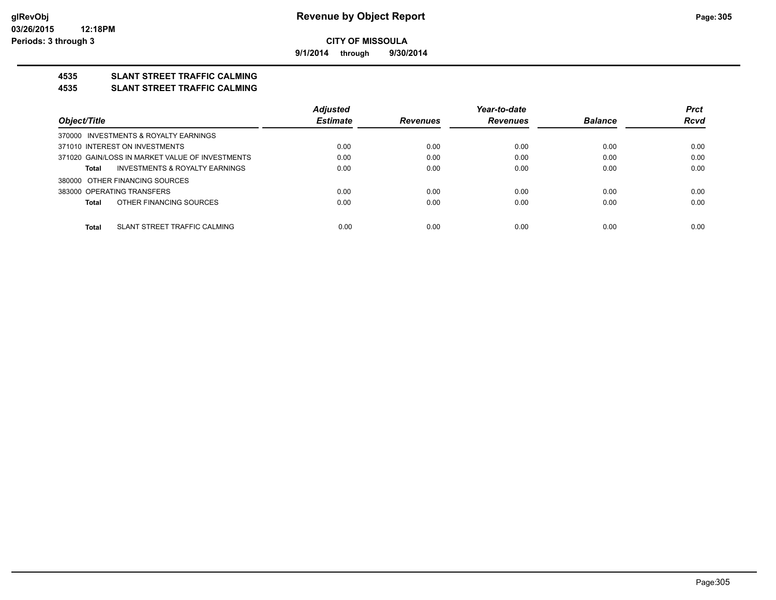**9/1/2014 through 9/30/2014**

# **4535 SLANT STREET TRAFFIC CALMING**

### **4535 SLANT STREET TRAFFIC CALMING**

| <b>Adjusted</b> |                 | Year-to-date    |                | <b>Prct</b> |
|-----------------|-----------------|-----------------|----------------|-------------|
| <b>Estimate</b> | <b>Revenues</b> | <b>Revenues</b> | <b>Balance</b> | <b>Rcvd</b> |
|                 |                 |                 |                |             |
| 0.00            | 0.00            | 0.00            | 0.00           | 0.00        |
| 0.00            | 0.00            | 0.00            | 0.00           | 0.00        |
| 0.00            | 0.00            | 0.00            | 0.00           | 0.00        |
|                 |                 |                 |                |             |
| 0.00            | 0.00            | 0.00            | 0.00           | 0.00        |
| 0.00            | 0.00            | 0.00            | 0.00           | 0.00        |
|                 |                 |                 |                | 0.00        |
|                 | 0.00            | 0.00            | 0.00           | 0.00        |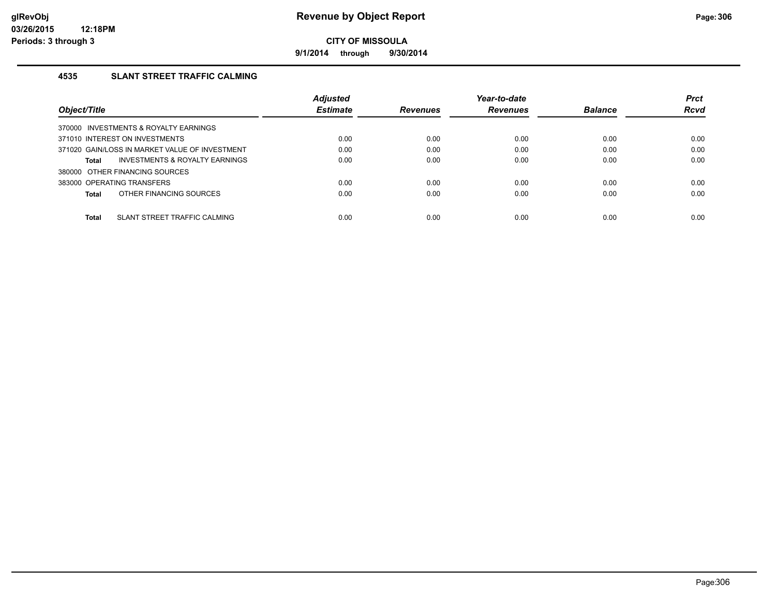**9/1/2014 through 9/30/2014**

# **4535 SLANT STREET TRAFFIC CALMING**

|                                                    | <b>Adjusted</b> |                 | Year-to-date    |                | <b>Prct</b> |
|----------------------------------------------------|-----------------|-----------------|-----------------|----------------|-------------|
| Object/Title                                       | <b>Estimate</b> | <b>Revenues</b> | <b>Revenues</b> | <b>Balance</b> | <b>Rcvd</b> |
| 370000 INVESTMENTS & ROYALTY EARNINGS              |                 |                 |                 |                |             |
| 371010 INTEREST ON INVESTMENTS                     | 0.00            | 0.00            | 0.00            | 0.00           | 0.00        |
| 371020 GAIN/LOSS IN MARKET VALUE OF INVESTMENT     | 0.00            | 0.00            | 0.00            | 0.00           | 0.00        |
| <b>INVESTMENTS &amp; ROYALTY EARNINGS</b><br>Total | 0.00            | 0.00            | 0.00            | 0.00           | 0.00        |
| 380000 OTHER FINANCING SOURCES                     |                 |                 |                 |                |             |
| 383000 OPERATING TRANSFERS                         | 0.00            | 0.00            | 0.00            | 0.00           | 0.00        |
| OTHER FINANCING SOURCES<br>Total                   | 0.00            | 0.00            | 0.00            | 0.00           | 0.00        |
|                                                    |                 |                 |                 |                |             |
| SLANT STREET TRAFFIC CALMING<br>Total              | 0.00            | 0.00            | 0.00            | 0.00           | 0.00        |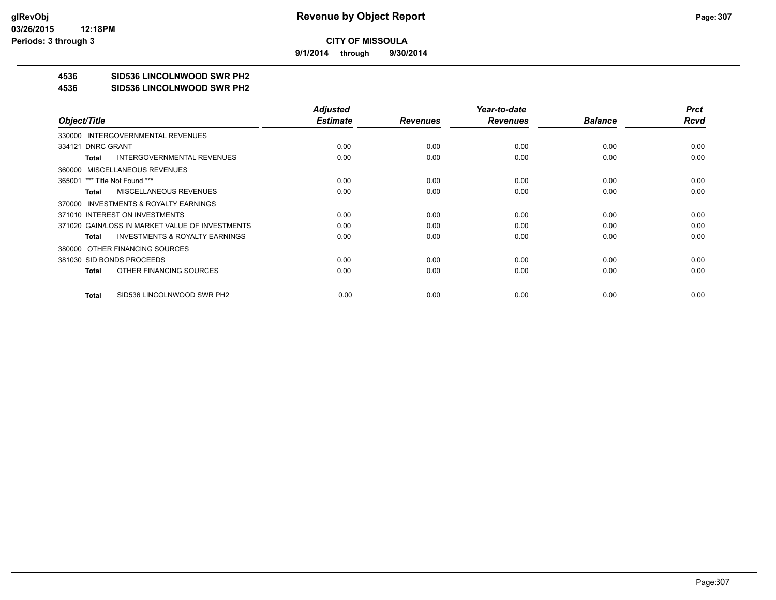**9/1/2014 through 9/30/2014**

# **4536 SID536 LINCOLNWOOD SWR PH2**

#### **4536 SID536 LINCOLNWOOD SWR PH2**

|                                                    | <b>Adjusted</b> |                 | Year-to-date    |                | <b>Prct</b> |
|----------------------------------------------------|-----------------|-----------------|-----------------|----------------|-------------|
| Object/Title                                       | <b>Estimate</b> | <b>Revenues</b> | <b>Revenues</b> | <b>Balance</b> | Rcvd        |
| 330000 INTERGOVERNMENTAL REVENUES                  |                 |                 |                 |                |             |
| 334121 DNRC GRANT                                  | 0.00            | 0.00            | 0.00            | 0.00           | 0.00        |
| <b>INTERGOVERNMENTAL REVENUES</b><br>Total         | 0.00            | 0.00            | 0.00            | 0.00           | 0.00        |
| 360000 MISCELLANEOUS REVENUES                      |                 |                 |                 |                |             |
| 365001 *** Title Not Found ***                     | 0.00            | 0.00            | 0.00            | 0.00           | 0.00        |
| <b>MISCELLANEOUS REVENUES</b><br>Total             | 0.00            | 0.00            | 0.00            | 0.00           | 0.00        |
| 370000 INVESTMENTS & ROYALTY EARNINGS              |                 |                 |                 |                |             |
| 371010 INTEREST ON INVESTMENTS                     | 0.00            | 0.00            | 0.00            | 0.00           | 0.00        |
| 371020 GAIN/LOSS IN MARKET VALUE OF INVESTMENTS    | 0.00            | 0.00            | 0.00            | 0.00           | 0.00        |
| <b>INVESTMENTS &amp; ROYALTY EARNINGS</b><br>Total | 0.00            | 0.00            | 0.00            | 0.00           | 0.00        |
| 380000 OTHER FINANCING SOURCES                     |                 |                 |                 |                |             |
| 381030 SID BONDS PROCEEDS                          | 0.00            | 0.00            | 0.00            | 0.00           | 0.00        |
| OTHER FINANCING SOURCES<br>Total                   | 0.00            | 0.00            | 0.00            | 0.00           | 0.00        |
|                                                    |                 |                 |                 |                |             |
| SID536 LINCOLNWOOD SWR PH2<br>Total                | 0.00            | 0.00            | 0.00            | 0.00           | 0.00        |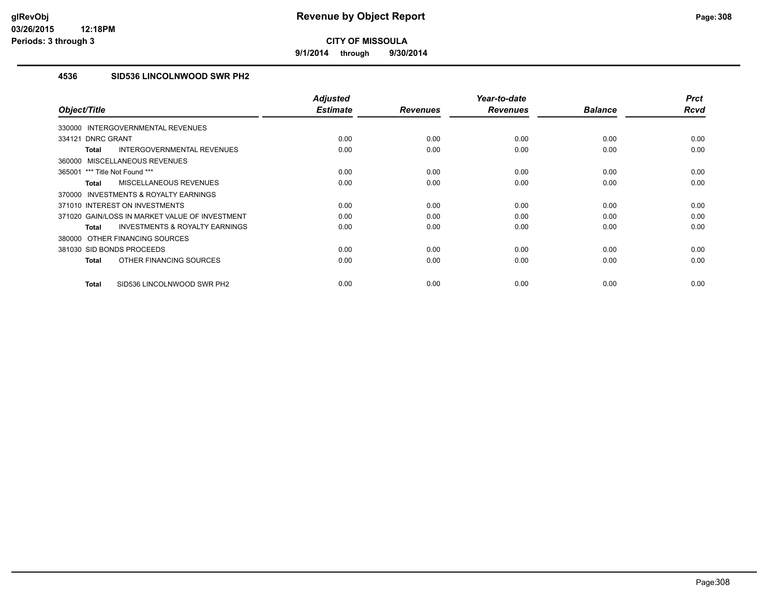**9/1/2014 through 9/30/2014**

# **4536 SID536 LINCOLNWOOD SWR PH2**

| Object/Title                                              | Adjusted<br><b>Estimate</b> | <b>Revenues</b> | Year-to-date<br><b>Revenues</b> | <b>Balance</b> | <b>Prct</b><br><b>Rcvd</b> |
|-----------------------------------------------------------|-----------------------------|-----------------|---------------------------------|----------------|----------------------------|
| 330000 INTERGOVERNMENTAL REVENUES                         |                             |                 |                                 |                |                            |
| <b>DNRC GRANT</b><br>334121                               | 0.00                        | 0.00            | 0.00                            | 0.00           | 0.00                       |
| <b>INTERGOVERNMENTAL REVENUES</b><br><b>Total</b>         | 0.00                        | 0.00            | 0.00                            | 0.00           | 0.00                       |
| 360000 MISCELLANEOUS REVENUES                             |                             |                 |                                 |                |                            |
| 365001 *** Title Not Found ***                            | 0.00                        | 0.00            | 0.00                            | 0.00           | 0.00                       |
| <b>MISCELLANEOUS REVENUES</b><br><b>Total</b>             | 0.00                        | 0.00            | 0.00                            | 0.00           | 0.00                       |
| 370000 INVESTMENTS & ROYALTY EARNINGS                     |                             |                 |                                 |                |                            |
| 371010 INTEREST ON INVESTMENTS                            | 0.00                        | 0.00            | 0.00                            | 0.00           | 0.00                       |
| 371020 GAIN/LOSS IN MARKET VALUE OF INVESTMENT            | 0.00                        | 0.00            | 0.00                            | 0.00           | 0.00                       |
| <b>INVESTMENTS &amp; ROYALTY EARNINGS</b><br><b>Total</b> | 0.00                        | 0.00            | 0.00                            | 0.00           | 0.00                       |
| 380000 OTHER FINANCING SOURCES                            |                             |                 |                                 |                |                            |
| 381030 SID BONDS PROCEEDS                                 | 0.00                        | 0.00            | 0.00                            | 0.00           | 0.00                       |
| OTHER FINANCING SOURCES<br><b>Total</b>                   | 0.00                        | 0.00            | 0.00                            | 0.00           | 0.00                       |
| SID536 LINCOLNWOOD SWR PH2<br><b>Total</b>                | 0.00                        | 0.00            | 0.00                            | 0.00           | 0.00                       |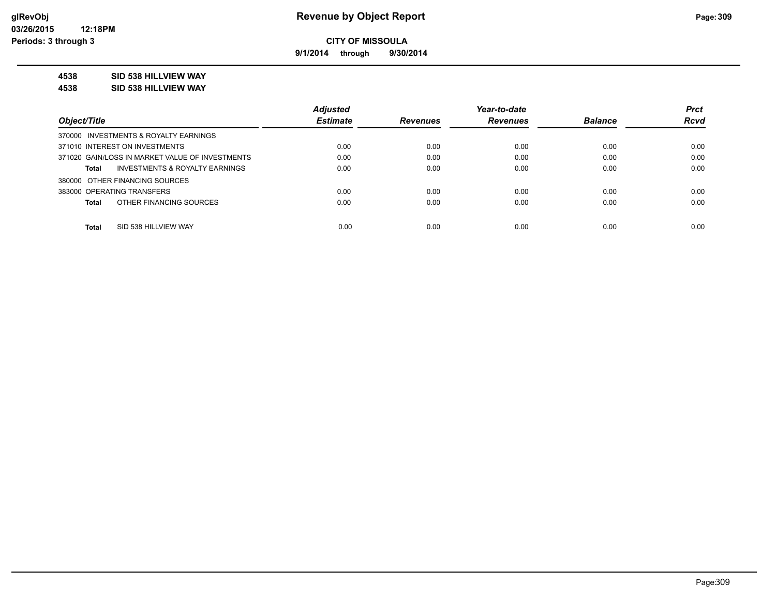**9/1/2014 through 9/30/2014**

# **4538 SID 538 HILLVIEW WAY**

#### **4538 SID 538 HILLVIEW WAY**

|                                                 | <b>Adjusted</b> |                 | Year-to-date    |                | <b>Prct</b> |
|-------------------------------------------------|-----------------|-----------------|-----------------|----------------|-------------|
| Object/Title                                    | <b>Estimate</b> | <b>Revenues</b> | <b>Revenues</b> | <b>Balance</b> | <b>Rcvd</b> |
| 370000 INVESTMENTS & ROYALTY EARNINGS           |                 |                 |                 |                |             |
| 371010 INTEREST ON INVESTMENTS                  | 0.00            | 0.00            | 0.00            | 0.00           | 0.00        |
| 371020 GAIN/LOSS IN MARKET VALUE OF INVESTMENTS | 0.00            | 0.00            | 0.00            | 0.00           | 0.00        |
| INVESTMENTS & ROYALTY EARNINGS<br>Total         | 0.00            | 0.00            | 0.00            | 0.00           | 0.00        |
| 380000 OTHER FINANCING SOURCES                  |                 |                 |                 |                |             |
| 383000 OPERATING TRANSFERS                      | 0.00            | 0.00            | 0.00            | 0.00           | 0.00        |
| OTHER FINANCING SOURCES<br>Total                | 0.00            | 0.00            | 0.00            | 0.00           | 0.00        |
|                                                 |                 |                 |                 |                |             |
| Total<br>SID 538 HILLVIEW WAY                   | 0.00            | 0.00            | 0.00            | 0.00           | 0.00        |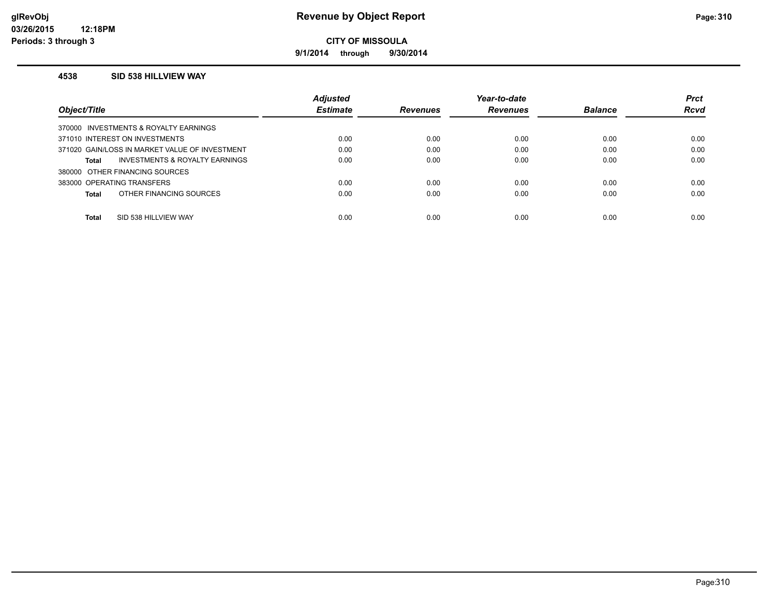**9/1/2014 through 9/30/2014**

### **4538 SID 538 HILLVIEW WAY**

|                                                | <b>Adjusted</b> |                 | Year-to-date    |                | <b>Prct</b> |
|------------------------------------------------|-----------------|-----------------|-----------------|----------------|-------------|
| Object/Title                                   | <b>Estimate</b> | <b>Revenues</b> | <b>Revenues</b> | <b>Balance</b> | <b>Rcvd</b> |
| 370000 INVESTMENTS & ROYALTY EARNINGS          |                 |                 |                 |                |             |
| 371010 INTEREST ON INVESTMENTS                 | 0.00            | 0.00            | 0.00            | 0.00           | 0.00        |
| 371020 GAIN/LOSS IN MARKET VALUE OF INVESTMENT | 0.00            | 0.00            | 0.00            | 0.00           | 0.00        |
| INVESTMENTS & ROYALTY EARNINGS<br>Total        | 0.00            | 0.00            | 0.00            | 0.00           | 0.00        |
| 380000 OTHER FINANCING SOURCES                 |                 |                 |                 |                |             |
| 383000 OPERATING TRANSFERS                     | 0.00            | 0.00            | 0.00            | 0.00           | 0.00        |
| OTHER FINANCING SOURCES<br>Total               | 0.00            | 0.00            | 0.00            | 0.00           | 0.00        |
|                                                |                 |                 |                 |                |             |
| <b>Total</b><br>SID 538 HILLVIEW WAY           | 0.00            | 0.00            | 0.00            | 0.00           | 0.00        |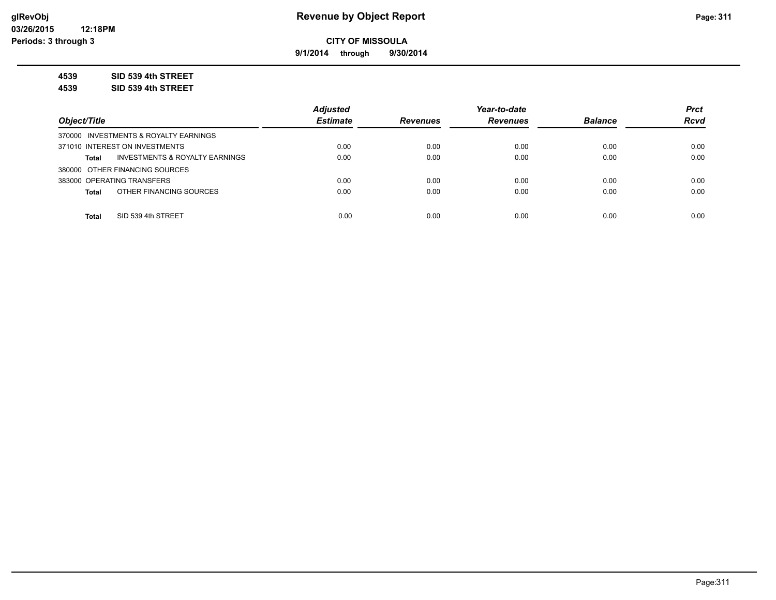**9/1/2014 through 9/30/2014**

**4539 SID 539 4th STREET**

**4539 SID 539 4th STREET**

|                                                | <b>Adjusted</b> |                 | Year-to-date    |                | <b>Prct</b> |
|------------------------------------------------|-----------------|-----------------|-----------------|----------------|-------------|
| Object/Title                                   | <b>Estimate</b> | <b>Revenues</b> | <b>Revenues</b> | <b>Balance</b> | <b>Rcvd</b> |
| 370000 INVESTMENTS & ROYALTY EARNINGS          |                 |                 |                 |                |             |
| 371010 INTEREST ON INVESTMENTS                 | 0.00            | 0.00            | 0.00            | 0.00           | 0.00        |
| INVESTMENTS & ROYALTY EARNINGS<br><b>Total</b> | 0.00            | 0.00            | 0.00            | 0.00           | 0.00        |
| 380000 OTHER FINANCING SOURCES                 |                 |                 |                 |                |             |
| 383000 OPERATING TRANSFERS                     | 0.00            | 0.00            | 0.00            | 0.00           | 0.00        |
| OTHER FINANCING SOURCES<br><b>Total</b>        | 0.00            | 0.00            | 0.00            | 0.00           | 0.00        |
|                                                |                 |                 |                 |                |             |
| SID 539 4th STREET<br><b>Total</b>             | 0.00            | 0.00            | 0.00            | 0.00           | 0.00        |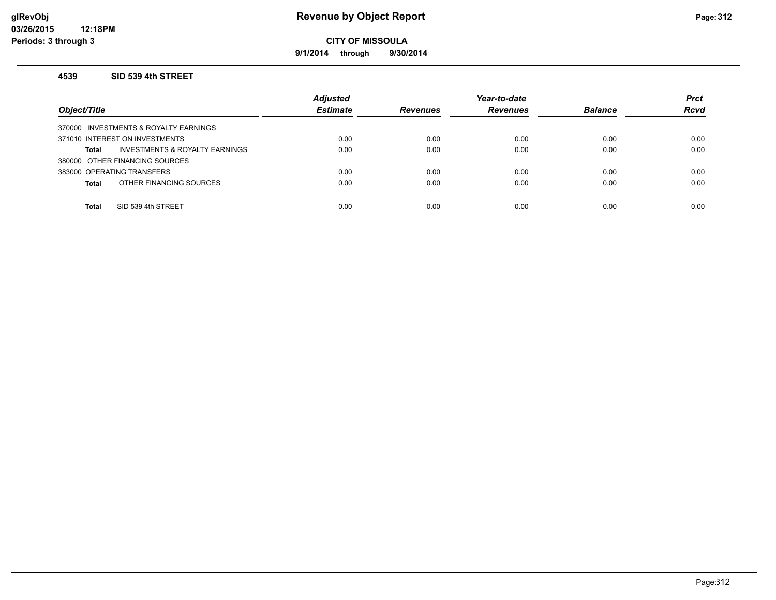# **glRevObj Revenue by Object Report Page:312**

**CITY OF MISSOULA**

**9/1/2014 through 9/30/2014**

### **4539 SID 539 4th STREET**

| Object/Title                            | <b>Adjusted</b><br><b>Estimate</b> | Revenues | Year-to-date<br><b>Revenues</b> | <b>Balance</b> | <b>Prct</b><br><b>Rcvd</b> |
|-----------------------------------------|------------------------------------|----------|---------------------------------|----------------|----------------------------|
| 370000 INVESTMENTS & ROYALTY EARNINGS   |                                    |          |                                 |                |                            |
| 371010 INTEREST ON INVESTMENTS          | 0.00                               | 0.00     | 0.00                            | 0.00           | 0.00                       |
| INVESTMENTS & ROYALTY EARNINGS<br>Total | 0.00                               | 0.00     | 0.00                            | 0.00           | 0.00                       |
| 380000 OTHER FINANCING SOURCES          |                                    |          |                                 |                |                            |
| 383000 OPERATING TRANSFERS              | 0.00                               | 0.00     | 0.00                            | 0.00           | 0.00                       |
| OTHER FINANCING SOURCES<br><b>Total</b> | 0.00                               | 0.00     | 0.00                            | 0.00           | 0.00                       |
|                                         |                                    |          |                                 |                |                            |
| SID 539 4th STREET<br>Total             | 0.00                               | 0.00     | 0.00                            | 0.00           | 0.00                       |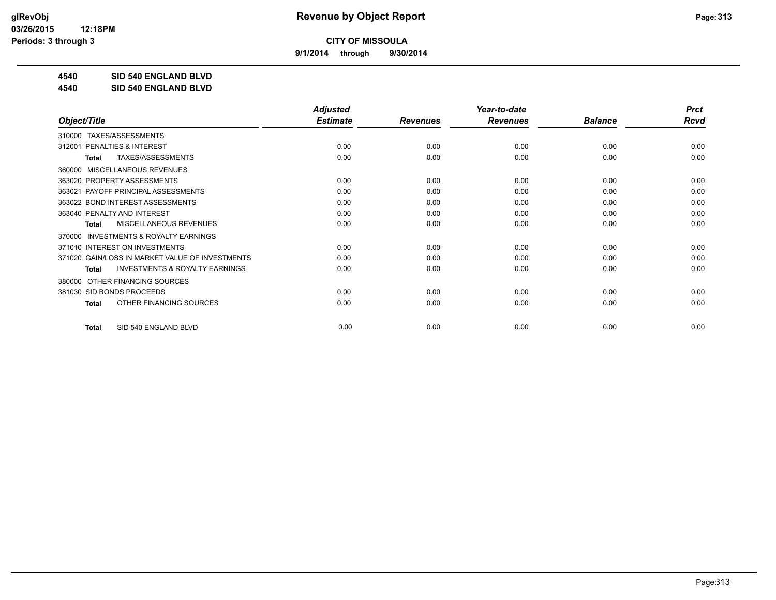**9/1/2014 through 9/30/2014**

**4540 SID 540 ENGLAND BLVD**

**4540 SID 540 ENGLAND BLVD**

|                                                           | <b>Adjusted</b> |                 | Year-to-date    |                | <b>Prct</b> |
|-----------------------------------------------------------|-----------------|-----------------|-----------------|----------------|-------------|
| Object/Title                                              | <b>Estimate</b> | <b>Revenues</b> | <b>Revenues</b> | <b>Balance</b> | <b>Rcvd</b> |
| TAXES/ASSESSMENTS<br>310000                               |                 |                 |                 |                |             |
| PENALTIES & INTEREST<br>312001                            | 0.00            | 0.00            | 0.00            | 0.00           | 0.00        |
| TAXES/ASSESSMENTS<br><b>Total</b>                         | 0.00            | 0.00            | 0.00            | 0.00           | 0.00        |
| MISCELLANEOUS REVENUES<br>360000                          |                 |                 |                 |                |             |
| 363020 PROPERTY ASSESSMENTS                               | 0.00            | 0.00            | 0.00            | 0.00           | 0.00        |
| PAYOFF PRINCIPAL ASSESSMENTS<br>363021                    | 0.00            | 0.00            | 0.00            | 0.00           | 0.00        |
| 363022 BOND INTEREST ASSESSMENTS                          | 0.00            | 0.00            | 0.00            | 0.00           | 0.00        |
| 363040 PENALTY AND INTEREST                               | 0.00            | 0.00            | 0.00            | 0.00           | 0.00        |
| <b>MISCELLANEOUS REVENUES</b><br>Total                    | 0.00            | 0.00            | 0.00            | 0.00           | 0.00        |
| <b>INVESTMENTS &amp; ROYALTY EARNINGS</b><br>370000       |                 |                 |                 |                |             |
| 371010 INTEREST ON INVESTMENTS                            | 0.00            | 0.00            | 0.00            | 0.00           | 0.00        |
| 371020 GAIN/LOSS IN MARKET VALUE OF INVESTMENTS           | 0.00            | 0.00            | 0.00            | 0.00           | 0.00        |
| <b>INVESTMENTS &amp; ROYALTY EARNINGS</b><br><b>Total</b> | 0.00            | 0.00            | 0.00            | 0.00           | 0.00        |
| OTHER FINANCING SOURCES<br>380000                         |                 |                 |                 |                |             |
| 381030 SID BONDS PROCEEDS                                 | 0.00            | 0.00            | 0.00            | 0.00           | 0.00        |
| OTHER FINANCING SOURCES<br><b>Total</b>                   | 0.00            | 0.00            | 0.00            | 0.00           | 0.00        |
|                                                           |                 |                 |                 |                |             |
| SID 540 ENGLAND BLVD<br><b>Total</b>                      | 0.00            | 0.00            | 0.00            | 0.00           | 0.00        |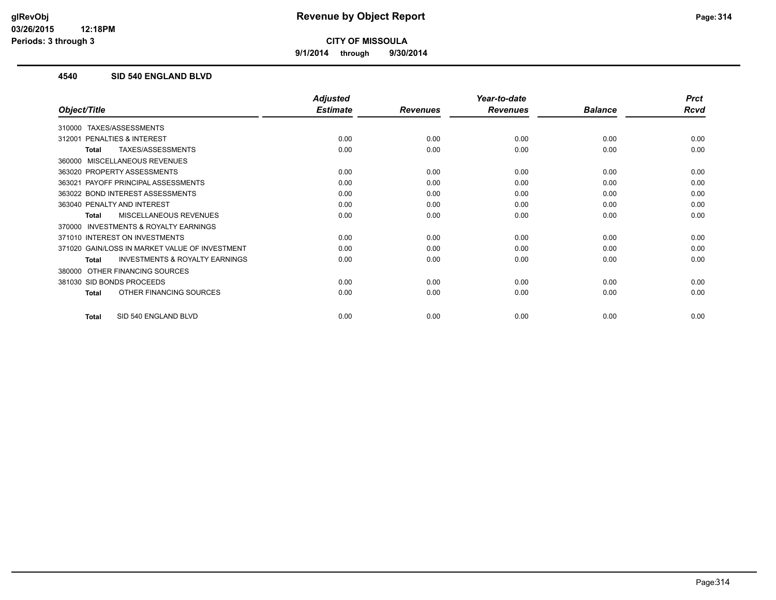**9/1/2014 through 9/30/2014**

## **4540 SID 540 ENGLAND BLVD**

|                                                           | <b>Adjusted</b> |                 | Year-to-date    |                | <b>Prct</b> |
|-----------------------------------------------------------|-----------------|-----------------|-----------------|----------------|-------------|
| Object/Title                                              | <b>Estimate</b> | <b>Revenues</b> | <b>Revenues</b> | <b>Balance</b> | <b>Rcvd</b> |
| TAXES/ASSESSMENTS<br>310000                               |                 |                 |                 |                |             |
| <b>PENALTIES &amp; INTEREST</b><br>312001                 | 0.00            | 0.00            | 0.00            | 0.00           | 0.00        |
| TAXES/ASSESSMENTS<br><b>Total</b>                         | 0.00            | 0.00            | 0.00            | 0.00           | 0.00        |
| MISCELLANEOUS REVENUES<br>360000                          |                 |                 |                 |                |             |
| 363020 PROPERTY ASSESSMENTS                               | 0.00            | 0.00            | 0.00            | 0.00           | 0.00        |
| PAYOFF PRINCIPAL ASSESSMENTS<br>363021                    | 0.00            | 0.00            | 0.00            | 0.00           | 0.00        |
| 363022 BOND INTEREST ASSESSMENTS                          | 0.00            | 0.00            | 0.00            | 0.00           | 0.00        |
| 363040 PENALTY AND INTEREST                               | 0.00            | 0.00            | 0.00            | 0.00           | 0.00        |
| <b>MISCELLANEOUS REVENUES</b><br>Total                    | 0.00            | 0.00            | 0.00            | 0.00           | 0.00        |
| INVESTMENTS & ROYALTY EARNINGS<br>370000                  |                 |                 |                 |                |             |
| 371010 INTEREST ON INVESTMENTS                            | 0.00            | 0.00            | 0.00            | 0.00           | 0.00        |
| 371020 GAIN/LOSS IN MARKET VALUE OF INVESTMENT            | 0.00            | 0.00            | 0.00            | 0.00           | 0.00        |
| <b>INVESTMENTS &amp; ROYALTY EARNINGS</b><br><b>Total</b> | 0.00            | 0.00            | 0.00            | 0.00           | 0.00        |
| OTHER FINANCING SOURCES<br>380000                         |                 |                 |                 |                |             |
| 381030 SID BONDS PROCEEDS                                 | 0.00            | 0.00            | 0.00            | 0.00           | 0.00        |
| OTHER FINANCING SOURCES<br>Total                          | 0.00            | 0.00            | 0.00            | 0.00           | 0.00        |
| SID 540 ENGLAND BLVD<br><b>Total</b>                      | 0.00            | 0.00            | 0.00            | 0.00           | 0.00        |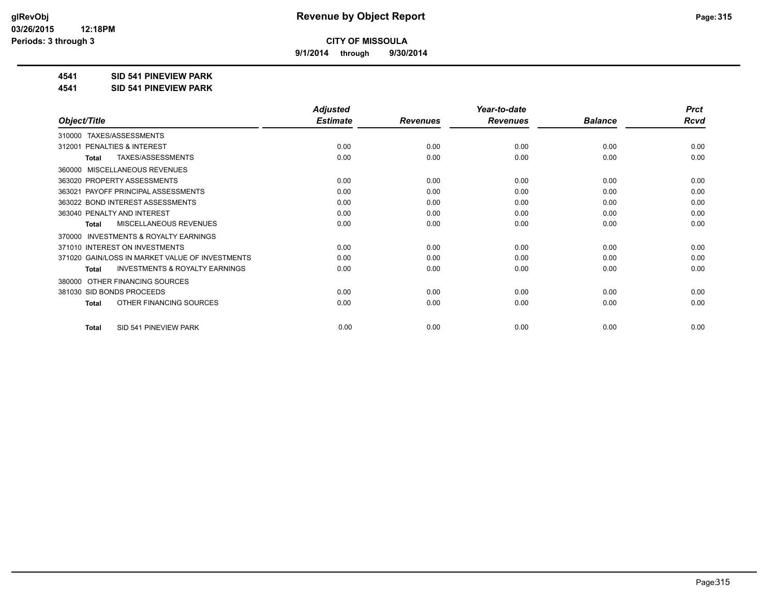**9/1/2014 through 9/30/2014**

## **4541 SID 541 PINEVIEW PARK**

**4541 SID 541 PINEVIEW PARK**

|                                                           | <b>Adjusted</b> |                 | Year-to-date    |                | <b>Prct</b> |
|-----------------------------------------------------------|-----------------|-----------------|-----------------|----------------|-------------|
| Object/Title                                              | <b>Estimate</b> | <b>Revenues</b> | <b>Revenues</b> | <b>Balance</b> | <b>Rcvd</b> |
| TAXES/ASSESSMENTS<br>310000                               |                 |                 |                 |                |             |
| PENALTIES & INTEREST<br>312001                            | 0.00            | 0.00            | 0.00            | 0.00           | 0.00        |
| TAXES/ASSESSMENTS<br><b>Total</b>                         | 0.00            | 0.00            | 0.00            | 0.00           | 0.00        |
| MISCELLANEOUS REVENUES<br>360000                          |                 |                 |                 |                |             |
| 363020 PROPERTY ASSESSMENTS                               | 0.00            | 0.00            | 0.00            | 0.00           | 0.00        |
| PAYOFF PRINCIPAL ASSESSMENTS<br>363021                    | 0.00            | 0.00            | 0.00            | 0.00           | 0.00        |
| 363022 BOND INTEREST ASSESSMENTS                          | 0.00            | 0.00            | 0.00            | 0.00           | 0.00        |
| 363040 PENALTY AND INTEREST                               | 0.00            | 0.00            | 0.00            | 0.00           | 0.00        |
| <b>MISCELLANEOUS REVENUES</b><br>Total                    | 0.00            | 0.00            | 0.00            | 0.00           | 0.00        |
| <b>INVESTMENTS &amp; ROYALTY EARNINGS</b><br>370000       |                 |                 |                 |                |             |
| 371010 INTEREST ON INVESTMENTS                            | 0.00            | 0.00            | 0.00            | 0.00           | 0.00        |
| 371020 GAIN/LOSS IN MARKET VALUE OF INVESTMENTS           | 0.00            | 0.00            | 0.00            | 0.00           | 0.00        |
| <b>INVESTMENTS &amp; ROYALTY EARNINGS</b><br><b>Total</b> | 0.00            | 0.00            | 0.00            | 0.00           | 0.00        |
| OTHER FINANCING SOURCES<br>380000                         |                 |                 |                 |                |             |
| 381030 SID BONDS PROCEEDS                                 | 0.00            | 0.00            | 0.00            | 0.00           | 0.00        |
| OTHER FINANCING SOURCES<br><b>Total</b>                   | 0.00            | 0.00            | 0.00            | 0.00           | 0.00        |
|                                                           |                 |                 |                 |                |             |
| SID 541 PINEVIEW PARK<br><b>Total</b>                     | 0.00            | 0.00            | 0.00            | 0.00           | 0.00        |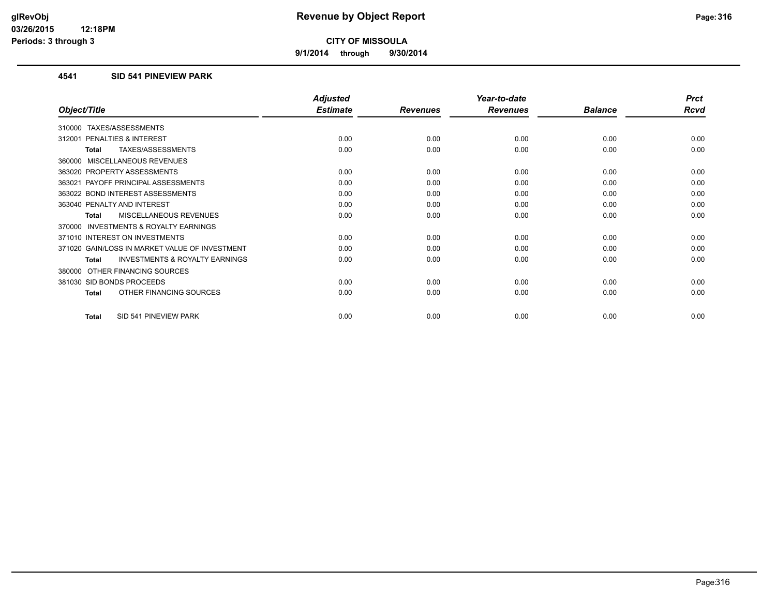**9/1/2014 through 9/30/2014**

### **4541 SID 541 PINEVIEW PARK**

|                                                           | <b>Adjusted</b> |                 | Year-to-date    |                | <b>Prct</b> |
|-----------------------------------------------------------|-----------------|-----------------|-----------------|----------------|-------------|
| Object/Title                                              | <b>Estimate</b> | <b>Revenues</b> | <b>Revenues</b> | <b>Balance</b> | <b>Rcvd</b> |
| TAXES/ASSESSMENTS<br>310000                               |                 |                 |                 |                |             |
| PENALTIES & INTEREST<br>312001                            | 0.00            | 0.00            | 0.00            | 0.00           | 0.00        |
| TAXES/ASSESSMENTS<br>Total                                | 0.00            | 0.00            | 0.00            | 0.00           | 0.00        |
| MISCELLANEOUS REVENUES<br>360000                          |                 |                 |                 |                |             |
| 363020 PROPERTY ASSESSMENTS                               | 0.00            | 0.00            | 0.00            | 0.00           | 0.00        |
| PAYOFF PRINCIPAL ASSESSMENTS<br>363021                    | 0.00            | 0.00            | 0.00            | 0.00           | 0.00        |
| 363022 BOND INTEREST ASSESSMENTS                          | 0.00            | 0.00            | 0.00            | 0.00           | 0.00        |
| 363040 PENALTY AND INTEREST                               | 0.00            | 0.00            | 0.00            | 0.00           | 0.00        |
| <b>MISCELLANEOUS REVENUES</b><br>Total                    | 0.00            | 0.00            | 0.00            | 0.00           | 0.00        |
| INVESTMENTS & ROYALTY EARNINGS<br>370000                  |                 |                 |                 |                |             |
| 371010 INTEREST ON INVESTMENTS                            | 0.00            | 0.00            | 0.00            | 0.00           | 0.00        |
| 371020 GAIN/LOSS IN MARKET VALUE OF INVESTMENT            | 0.00            | 0.00            | 0.00            | 0.00           | 0.00        |
| <b>INVESTMENTS &amp; ROYALTY EARNINGS</b><br><b>Total</b> | 0.00            | 0.00            | 0.00            | 0.00           | 0.00        |
| OTHER FINANCING SOURCES<br>380000                         |                 |                 |                 |                |             |
| 381030 SID BONDS PROCEEDS                                 | 0.00            | 0.00            | 0.00            | 0.00           | 0.00        |
| OTHER FINANCING SOURCES<br>Total                          | 0.00            | 0.00            | 0.00            | 0.00           | 0.00        |
| SID 541 PINEVIEW PARK<br><b>Total</b>                     | 0.00            | 0.00            | 0.00            | 0.00           | 0.00        |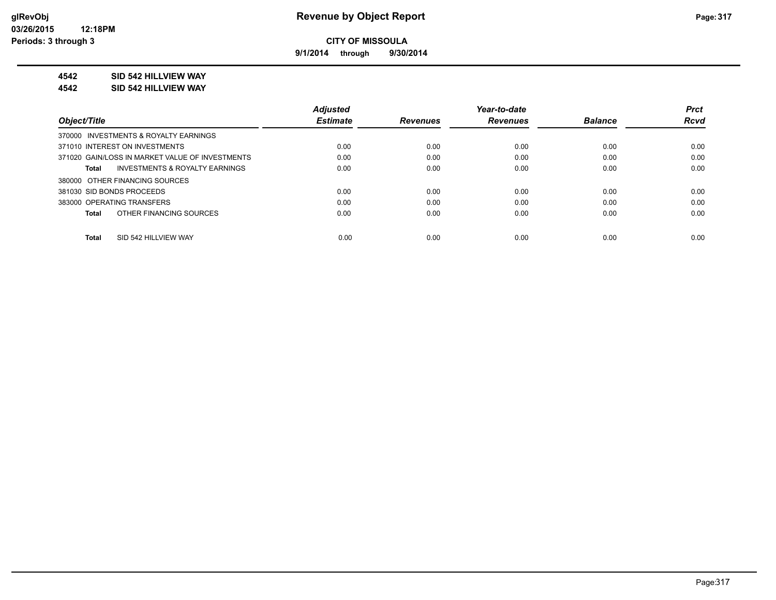**9/1/2014 through 9/30/2014**

## **4542 SID 542 HILLVIEW WAY**

#### **4542 SID 542 HILLVIEW WAY**

|                                                 | <b>Adjusted</b> |                 | Year-to-date    |                | <b>Prct</b> |
|-------------------------------------------------|-----------------|-----------------|-----------------|----------------|-------------|
| Object/Title                                    | <b>Estimate</b> | <b>Revenues</b> | <b>Revenues</b> | <b>Balance</b> | <b>Rcvd</b> |
| 370000 INVESTMENTS & ROYALTY EARNINGS           |                 |                 |                 |                |             |
| 371010 INTEREST ON INVESTMENTS                  | 0.00            | 0.00            | 0.00            | 0.00           | 0.00        |
| 371020 GAIN/LOSS IN MARKET VALUE OF INVESTMENTS | 0.00            | 0.00            | 0.00            | 0.00           | 0.00        |
| INVESTMENTS & ROYALTY EARNINGS<br>Total         | 0.00            | 0.00            | 0.00            | 0.00           | 0.00        |
| 380000 OTHER FINANCING SOURCES                  |                 |                 |                 |                |             |
| 381030 SID BONDS PROCEEDS                       | 0.00            | 0.00            | 0.00            | 0.00           | 0.00        |
| 383000 OPERATING TRANSFERS                      | 0.00            | 0.00            | 0.00            | 0.00           | 0.00        |
| OTHER FINANCING SOURCES<br>Total                | 0.00            | 0.00            | 0.00            | 0.00           | 0.00        |
|                                                 |                 |                 |                 |                |             |
| SID 542 HILLVIEW WAY<br>Total                   | 0.00            | 0.00            | 0.00            | 0.00           | 0.00        |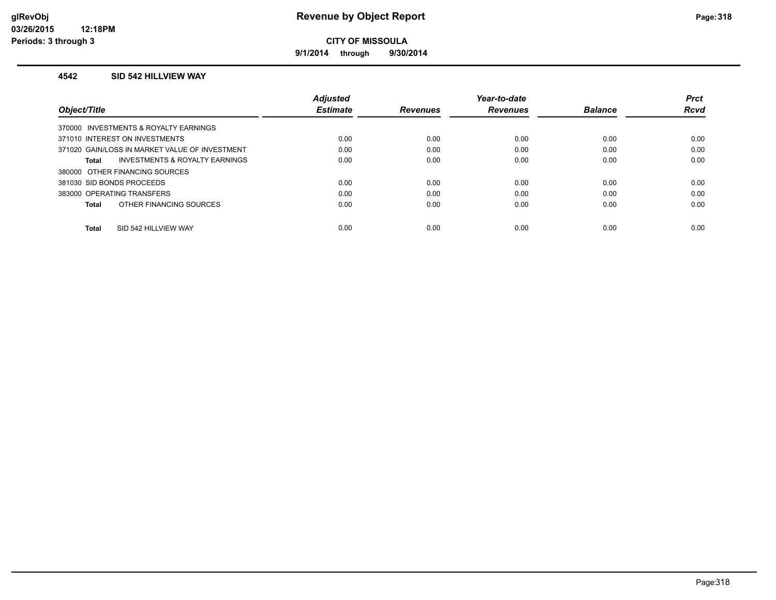**9/1/2014 through 9/30/2014**

### **4542 SID 542 HILLVIEW WAY**

|                                                    | <b>Adjusted</b> |                 | Year-to-date    |                | <b>Prct</b> |
|----------------------------------------------------|-----------------|-----------------|-----------------|----------------|-------------|
| Object/Title                                       | <b>Estimate</b> | <b>Revenues</b> | <b>Revenues</b> | <b>Balance</b> | <b>Rcvd</b> |
| 370000 INVESTMENTS & ROYALTY EARNINGS              |                 |                 |                 |                |             |
| 371010 INTEREST ON INVESTMENTS                     | 0.00            | 0.00            | 0.00            | 0.00           | 0.00        |
| 371020 GAIN/LOSS IN MARKET VALUE OF INVESTMENT     | 0.00            | 0.00            | 0.00            | 0.00           | 0.00        |
| <b>INVESTMENTS &amp; ROYALTY EARNINGS</b><br>Total | 0.00            | 0.00            | 0.00            | 0.00           | 0.00        |
| 380000 OTHER FINANCING SOURCES                     |                 |                 |                 |                |             |
| 381030 SID BONDS PROCEEDS                          | 0.00            | 0.00            | 0.00            | 0.00           | 0.00        |
| 383000 OPERATING TRANSFERS                         | 0.00            | 0.00            | 0.00            | 0.00           | 0.00        |
| OTHER FINANCING SOURCES<br>Total                   | 0.00            | 0.00            | 0.00            | 0.00           | 0.00        |
|                                                    |                 |                 |                 |                |             |
| SID 542 HILLVIEW WAY<br><b>Total</b>               | 0.00            | 0.00            | 0.00            | 0.00           | 0.00        |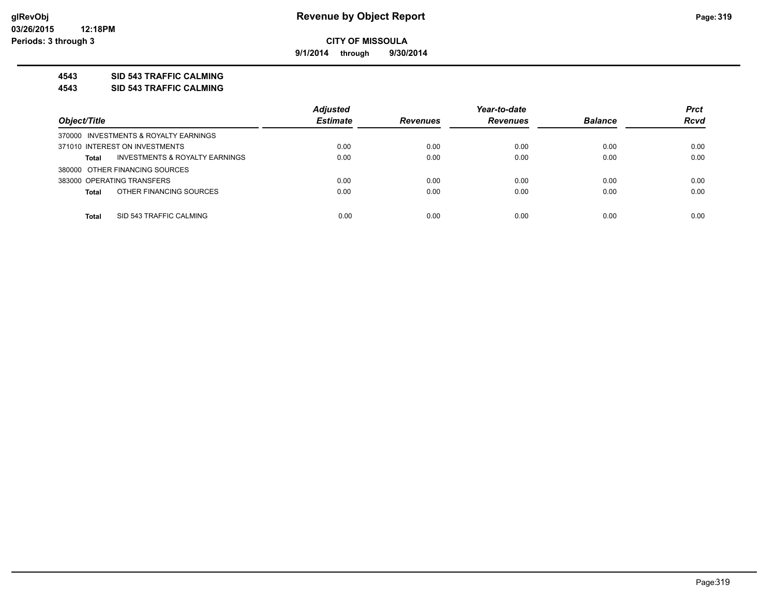**9/1/2014 through 9/30/2014**

### **4543 SID 543 TRAFFIC CALMING**

**4543 SID 543 TRAFFIC CALMING**

|                                         | <b>Adjusted</b> |                 | Year-to-date    |                | <b>Prct</b> |
|-----------------------------------------|-----------------|-----------------|-----------------|----------------|-------------|
| Object/Title                            | <b>Estimate</b> | <b>Revenues</b> | <b>Revenues</b> | <b>Balance</b> | <b>Rcvd</b> |
| 370000 INVESTMENTS & ROYALTY EARNINGS   |                 |                 |                 |                |             |
| 371010 INTEREST ON INVESTMENTS          | 0.00            | 0.00            | 0.00            | 0.00           | 0.00        |
| INVESTMENTS & ROYALTY EARNINGS<br>Total | 0.00            | 0.00            | 0.00            | 0.00           | 0.00        |
| 380000 OTHER FINANCING SOURCES          |                 |                 |                 |                |             |
| 383000 OPERATING TRANSFERS              | 0.00            | 0.00            | 0.00            | 0.00           | 0.00        |
| OTHER FINANCING SOURCES<br><b>Total</b> | 0.00            | 0.00            | 0.00            | 0.00           | 0.00        |
|                                         |                 |                 |                 |                |             |
| SID 543 TRAFFIC CALMING<br><b>Total</b> | 0.00            | 0.00            | 0.00            | 0.00           | 0.00        |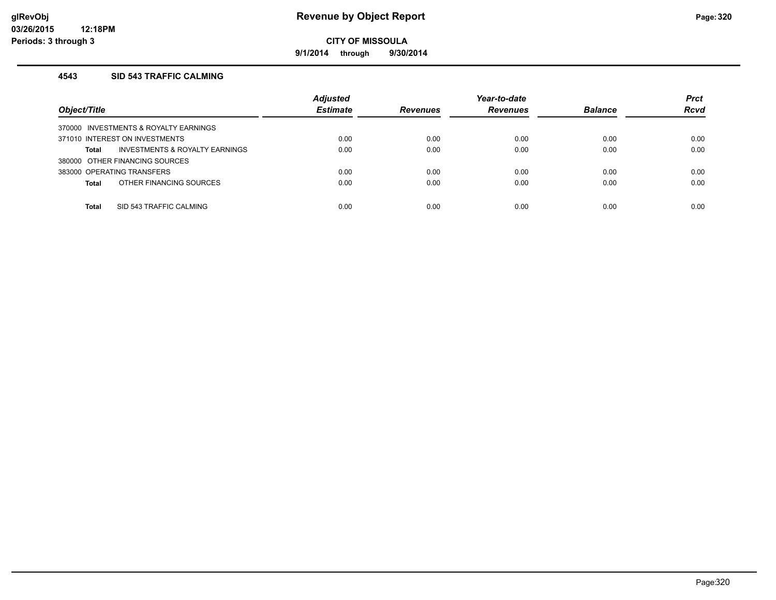**9/1/2014 through 9/30/2014**

### **4543 SID 543 TRAFFIC CALMING**

| Object/Title                                       | <b>Adjusted</b><br><b>Estimate</b> | <b>Revenues</b> | Year-to-date<br><b>Revenues</b> | <b>Balance</b> | <b>Prct</b><br><b>Rcvd</b> |
|----------------------------------------------------|------------------------------------|-----------------|---------------------------------|----------------|----------------------------|
| 370000 INVESTMENTS & ROYALTY EARNINGS              |                                    |                 |                                 |                |                            |
| 371010 INTEREST ON INVESTMENTS                     | 0.00                               | 0.00            | 0.00                            | 0.00           | 0.00                       |
| <b>INVESTMENTS &amp; ROYALTY EARNINGS</b><br>Total | 0.00                               | 0.00            | 0.00                            | 0.00           | 0.00                       |
| 380000 OTHER FINANCING SOURCES                     |                                    |                 |                                 |                |                            |
| 383000 OPERATING TRANSFERS                         | 0.00                               | 0.00            | 0.00                            | 0.00           | 0.00                       |
| OTHER FINANCING SOURCES<br>Total                   | 0.00                               | 0.00            | 0.00                            | 0.00           | 0.00                       |
|                                                    |                                    |                 |                                 |                |                            |
| SID 543 TRAFFIC CALMING<br><b>Total</b>            | 0.00                               | 0.00            | 0.00                            | 0.00           | 0.00                       |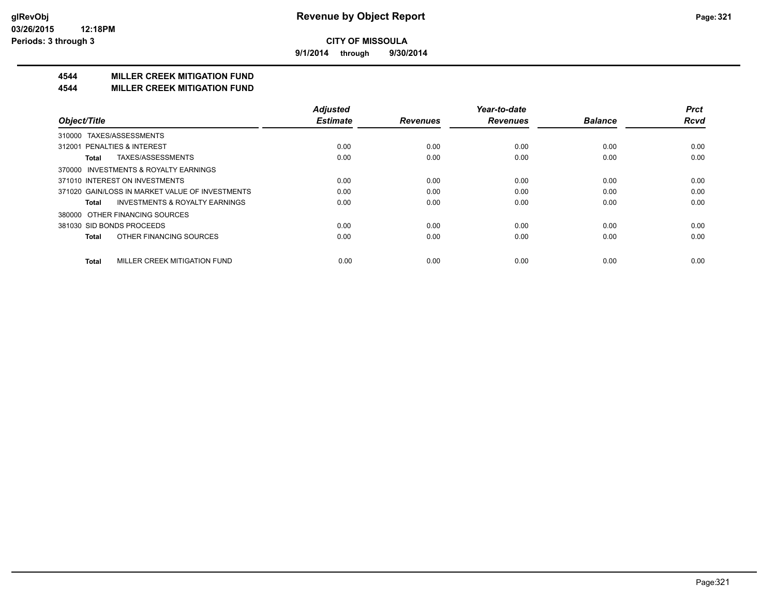**9/1/2014 through 9/30/2014**

# **4544 MILLER CREEK MITIGATION FUND**

#### **4544 MILLER CREEK MITIGATION FUND**

|                                                    | <b>Adjusted</b> |                 | Year-to-date    |                | <b>Prct</b> |
|----------------------------------------------------|-----------------|-----------------|-----------------|----------------|-------------|
| Object/Title                                       | <b>Estimate</b> | <b>Revenues</b> | <b>Revenues</b> | <b>Balance</b> | <b>Rcvd</b> |
| TAXES/ASSESSMENTS<br>310000                        |                 |                 |                 |                |             |
| 312001 PENALTIES & INTEREST                        | 0.00            | 0.00            | 0.00            | 0.00           | 0.00        |
| TAXES/ASSESSMENTS<br>Total                         | 0.00            | 0.00            | 0.00            | 0.00           | 0.00        |
| 370000 INVESTMENTS & ROYALTY EARNINGS              |                 |                 |                 |                |             |
| 371010 INTEREST ON INVESTMENTS                     | 0.00            | 0.00            | 0.00            | 0.00           | 0.00        |
| 371020 GAIN/LOSS IN MARKET VALUE OF INVESTMENTS    | 0.00            | 0.00            | 0.00            | 0.00           | 0.00        |
| <b>INVESTMENTS &amp; ROYALTY EARNINGS</b><br>Total | 0.00            | 0.00            | 0.00            | 0.00           | 0.00        |
| OTHER FINANCING SOURCES<br>380000                  |                 |                 |                 |                |             |
| 381030 SID BONDS PROCEEDS                          | 0.00            | 0.00            | 0.00            | 0.00           | 0.00        |
| OTHER FINANCING SOURCES<br><b>Total</b>            | 0.00            | 0.00            | 0.00            | 0.00           | 0.00        |
| MILLER CREEK MITIGATION FUND<br><b>Total</b>       | 0.00            | 0.00            | 0.00            | 0.00           | 0.00        |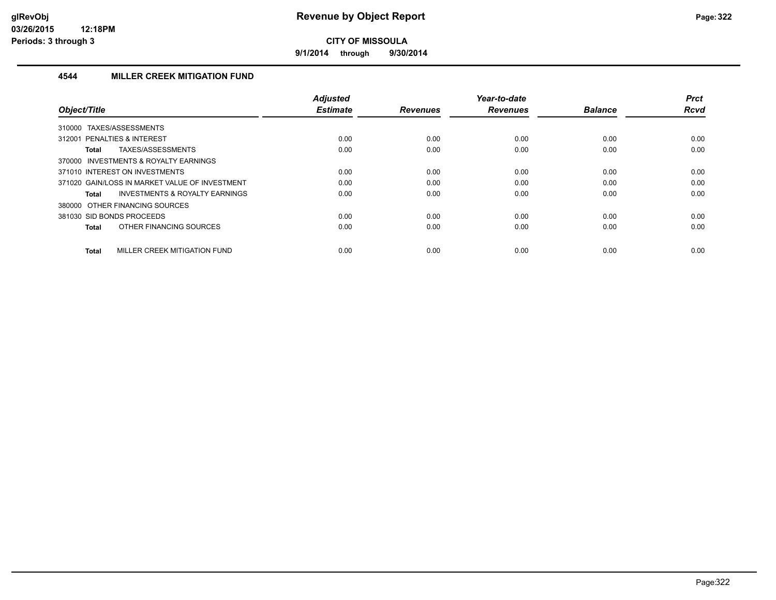**9/1/2014 through 9/30/2014**

# **4544 MILLER CREEK MITIGATION FUND**

|                                                    | <b>Adjusted</b> |                 | Year-to-date    |                | <b>Prct</b> |
|----------------------------------------------------|-----------------|-----------------|-----------------|----------------|-------------|
| Object/Title                                       | <b>Estimate</b> | <b>Revenues</b> | <b>Revenues</b> | <b>Balance</b> | <b>Rcvd</b> |
| TAXES/ASSESSMENTS<br>310000                        |                 |                 |                 |                |             |
| 312001 PENALTIES & INTEREST                        | 0.00            | 0.00            | 0.00            | 0.00           | 0.00        |
| TAXES/ASSESSMENTS<br><b>Total</b>                  | 0.00            | 0.00            | 0.00            | 0.00           | 0.00        |
| 370000 INVESTMENTS & ROYALTY EARNINGS              |                 |                 |                 |                |             |
| 371010 INTEREST ON INVESTMENTS                     | 0.00            | 0.00            | 0.00            | 0.00           | 0.00        |
| 371020 GAIN/LOSS IN MARKET VALUE OF INVESTMENT     | 0.00            | 0.00            | 0.00            | 0.00           | 0.00        |
| <b>INVESTMENTS &amp; ROYALTY EARNINGS</b><br>Total | 0.00            | 0.00            | 0.00            | 0.00           | 0.00        |
| 380000 OTHER FINANCING SOURCES                     |                 |                 |                 |                |             |
| 381030 SID BONDS PROCEEDS                          | 0.00            | 0.00            | 0.00            | 0.00           | 0.00        |
| OTHER FINANCING SOURCES<br><b>Total</b>            | 0.00            | 0.00            | 0.00            | 0.00           | 0.00        |
|                                                    |                 |                 |                 |                |             |
| MILLER CREEK MITIGATION FUND<br><b>Total</b>       | 0.00            | 0.00            | 0.00            | 0.00           | 0.00        |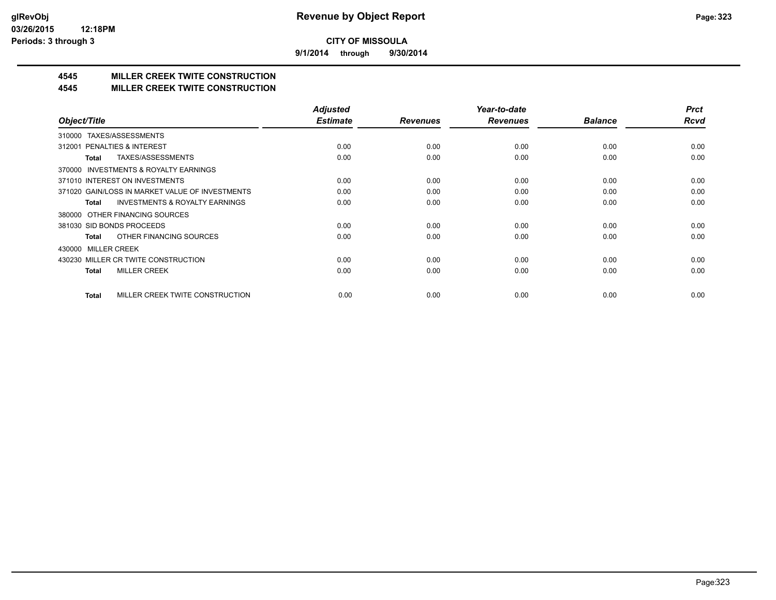**9/1/2014 through 9/30/2014**

# **4545 MILLER CREEK TWITE CONSTRUCTION**

### **4545 MILLER CREEK TWITE CONSTRUCTION**

|                                                     | <b>Adjusted</b> |                 | Year-to-date    |                | <b>Prct</b> |
|-----------------------------------------------------|-----------------|-----------------|-----------------|----------------|-------------|
| Object/Title                                        | <b>Estimate</b> | <b>Revenues</b> | <b>Revenues</b> | <b>Balance</b> | <b>Rcvd</b> |
| TAXES/ASSESSMENTS<br>310000                         |                 |                 |                 |                |             |
| 312001 PENALTIES & INTEREST                         | 0.00            | 0.00            | 0.00            | 0.00           | 0.00        |
| TAXES/ASSESSMENTS<br>Total                          | 0.00            | 0.00            | 0.00            | 0.00           | 0.00        |
| <b>INVESTMENTS &amp; ROYALTY EARNINGS</b><br>370000 |                 |                 |                 |                |             |
| 371010 INTEREST ON INVESTMENTS                      | 0.00            | 0.00            | 0.00            | 0.00           | 0.00        |
| 371020 GAIN/LOSS IN MARKET VALUE OF INVESTMENTS     | 0.00            | 0.00            | 0.00            | 0.00           | 0.00        |
| <b>INVESTMENTS &amp; ROYALTY EARNINGS</b><br>Total  | 0.00            | 0.00            | 0.00            | 0.00           | 0.00        |
| 380000 OTHER FINANCING SOURCES                      |                 |                 |                 |                |             |
| 381030 SID BONDS PROCEEDS                           | 0.00            | 0.00            | 0.00            | 0.00           | 0.00        |
| OTHER FINANCING SOURCES<br>Total                    | 0.00            | 0.00            | 0.00            | 0.00           | 0.00        |
| 430000 MILLER CREEK                                 |                 |                 |                 |                |             |
| 430230 MILLER CR TWITE CONSTRUCTION                 | 0.00            | 0.00            | 0.00            | 0.00           | 0.00        |
| <b>MILLER CREEK</b><br><b>Total</b>                 | 0.00            | 0.00            | 0.00            | 0.00           | 0.00        |
|                                                     |                 |                 |                 |                |             |
| MILLER CREEK TWITE CONSTRUCTION<br>Total            | 0.00            | 0.00            | 0.00            | 0.00           | 0.00        |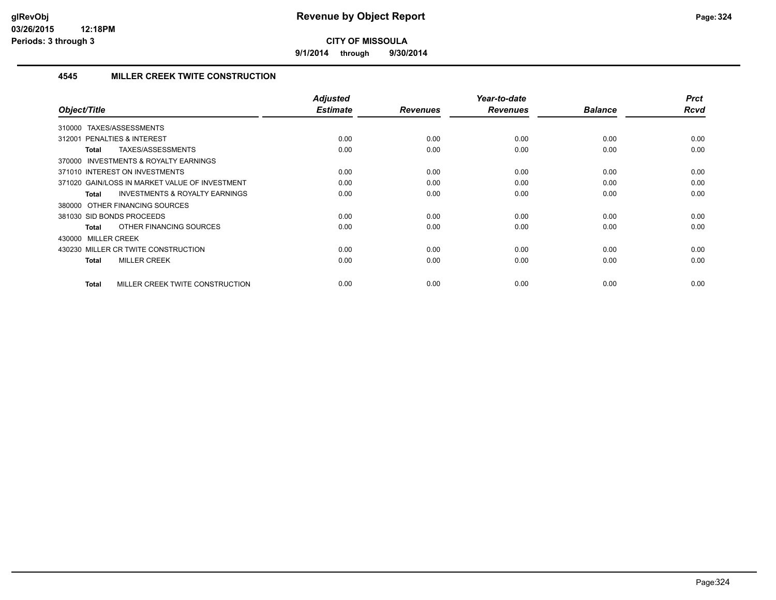**9/1/2014 through 9/30/2014**

# **4545 MILLER CREEK TWITE CONSTRUCTION**

| Object/Title                                              | <b>Adjusted</b><br><b>Estimate</b> | <b>Revenues</b> | Year-to-date<br><b>Revenues</b> | <b>Balance</b> | <b>Prct</b><br><b>Rcvd</b> |
|-----------------------------------------------------------|------------------------------------|-----------------|---------------------------------|----------------|----------------------------|
|                                                           |                                    |                 |                                 |                |                            |
| 310000 TAXES/ASSESSMENTS                                  |                                    |                 |                                 |                |                            |
| 312001 PENALTIES & INTEREST                               | 0.00                               | 0.00            | 0.00                            | 0.00           | 0.00                       |
| TAXES/ASSESSMENTS<br>Total                                | 0.00                               | 0.00            | 0.00                            | 0.00           | 0.00                       |
| INVESTMENTS & ROYALTY EARNINGS<br>370000                  |                                    |                 |                                 |                |                            |
| 371010 INTEREST ON INVESTMENTS                            | 0.00                               | 0.00            | 0.00                            | 0.00           | 0.00                       |
| 371020 GAIN/LOSS IN MARKET VALUE OF INVESTMENT            | 0.00                               | 0.00            | 0.00                            | 0.00           | 0.00                       |
| <b>INVESTMENTS &amp; ROYALTY EARNINGS</b><br><b>Total</b> | 0.00                               | 0.00            | 0.00                            | 0.00           | 0.00                       |
| 380000 OTHER FINANCING SOURCES                            |                                    |                 |                                 |                |                            |
| 381030 SID BONDS PROCEEDS                                 | 0.00                               | 0.00            | 0.00                            | 0.00           | 0.00                       |
| OTHER FINANCING SOURCES<br>Total                          | 0.00                               | 0.00            | 0.00                            | 0.00           | 0.00                       |
| 430000 MILLER CREEK                                       |                                    |                 |                                 |                |                            |
| 430230 MILLER CR TWITE CONSTRUCTION                       | 0.00                               | 0.00            | 0.00                            | 0.00           | 0.00                       |
| <b>MILLER CREEK</b><br><b>Total</b>                       | 0.00                               | 0.00            | 0.00                            | 0.00           | 0.00                       |
|                                                           |                                    |                 |                                 |                |                            |
| MILLER CREEK TWITE CONSTRUCTION<br><b>Total</b>           | 0.00                               | 0.00            | 0.00                            | 0.00           | 0.00                       |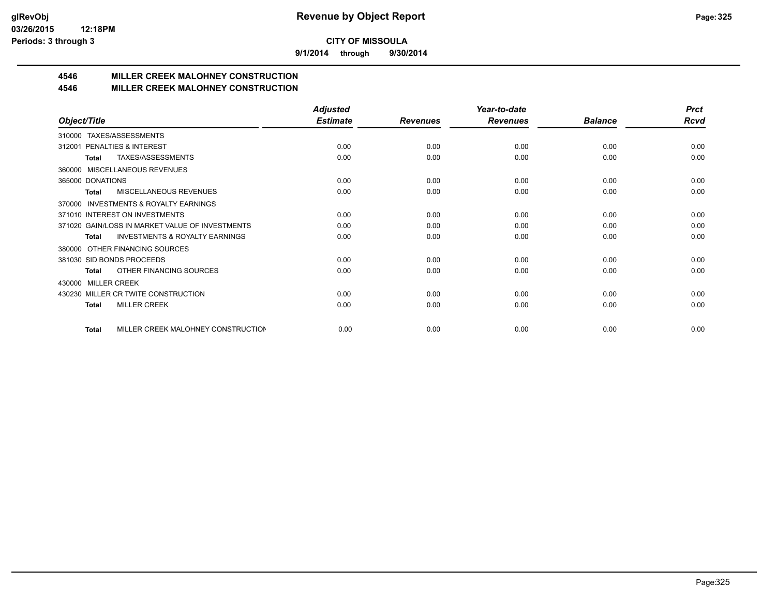**9/1/2014 through 9/30/2014**

# **4546 MILLER CREEK MALOHNEY CONSTRUCTION**

### **4546 MILLER CREEK MALOHNEY CONSTRUCTION**

|                                                     | <b>Adjusted</b> |                 | Year-to-date    |                | <b>Prct</b> |
|-----------------------------------------------------|-----------------|-----------------|-----------------|----------------|-------------|
| Object/Title                                        | <b>Estimate</b> | <b>Revenues</b> | <b>Revenues</b> | <b>Balance</b> | <b>Rcvd</b> |
| TAXES/ASSESSMENTS<br>310000                         |                 |                 |                 |                |             |
| PENALTIES & INTEREST<br>312001                      | 0.00            | 0.00            | 0.00            | 0.00           | 0.00        |
| TAXES/ASSESSMENTS<br><b>Total</b>                   | 0.00            | 0.00            | 0.00            | 0.00           | 0.00        |
| MISCELLANEOUS REVENUES<br>360000                    |                 |                 |                 |                |             |
| 365000 DONATIONS                                    | 0.00            | 0.00            | 0.00            | 0.00           | 0.00        |
| <b>MISCELLANEOUS REVENUES</b><br>Total              | 0.00            | 0.00            | 0.00            | 0.00           | 0.00        |
| <b>INVESTMENTS &amp; ROYALTY EARNINGS</b><br>370000 |                 |                 |                 |                |             |
| 371010 INTEREST ON INVESTMENTS                      | 0.00            | 0.00            | 0.00            | 0.00           | 0.00        |
| 371020 GAIN/LOSS IN MARKET VALUE OF INVESTMENTS     | 0.00            | 0.00            | 0.00            | 0.00           | 0.00        |
| <b>INVESTMENTS &amp; ROYALTY EARNINGS</b><br>Total  | 0.00            | 0.00            | 0.00            | 0.00           | 0.00        |
| OTHER FINANCING SOURCES<br>380000                   |                 |                 |                 |                |             |
| 381030 SID BONDS PROCEEDS                           | 0.00            | 0.00            | 0.00            | 0.00           | 0.00        |
| OTHER FINANCING SOURCES<br><b>Total</b>             | 0.00            | 0.00            | 0.00            | 0.00           | 0.00        |
| <b>MILLER CREEK</b><br>430000                       |                 |                 |                 |                |             |
| 430230 MILLER CR TWITE CONSTRUCTION                 | 0.00            | 0.00            | 0.00            | 0.00           | 0.00        |
| <b>MILLER CREEK</b><br><b>Total</b>                 | 0.00            | 0.00            | 0.00            | 0.00           | 0.00        |
|                                                     |                 |                 |                 |                |             |
| MILLER CREEK MALOHNEY CONSTRUCTION<br><b>Total</b>  | 0.00            | 0.00            | 0.00            | 0.00           | 0.00        |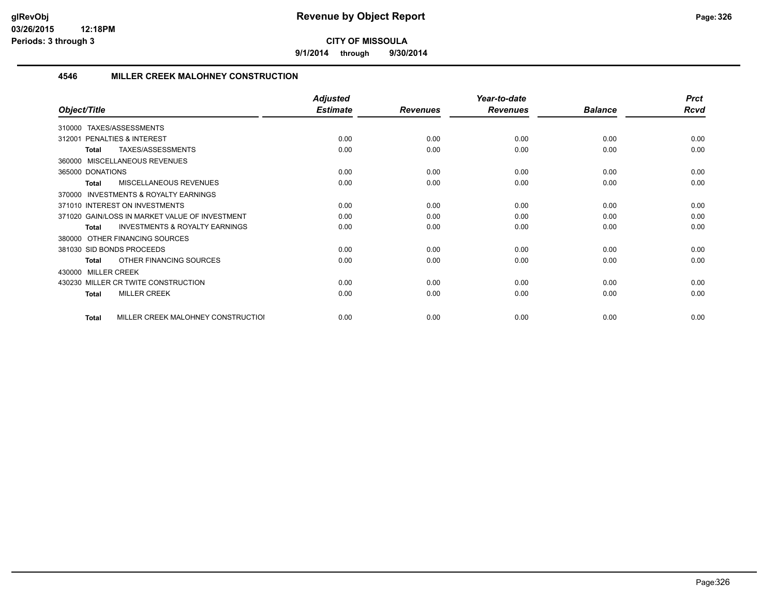**9/1/2014 through 9/30/2014**

### **4546 MILLER CREEK MALOHNEY CONSTRUCTION**

|                                                    | <b>Adjusted</b> |                 | Year-to-date    |                | <b>Prct</b> |
|----------------------------------------------------|-----------------|-----------------|-----------------|----------------|-------------|
| Object/Title                                       | <b>Estimate</b> | <b>Revenues</b> | <b>Revenues</b> | <b>Balance</b> | <b>Rcvd</b> |
| TAXES/ASSESSMENTS<br>310000                        |                 |                 |                 |                |             |
| <b>PENALTIES &amp; INTEREST</b><br>312001          | 0.00            | 0.00            | 0.00            | 0.00           | 0.00        |
| TAXES/ASSESSMENTS<br><b>Total</b>                  | 0.00            | 0.00            | 0.00            | 0.00           | 0.00        |
| 360000 MISCELLANEOUS REVENUES                      |                 |                 |                 |                |             |
| 365000 DONATIONS                                   | 0.00            | 0.00            | 0.00            | 0.00           | 0.00        |
| <b>MISCELLANEOUS REVENUES</b><br>Total             | 0.00            | 0.00            | 0.00            | 0.00           | 0.00        |
| INVESTMENTS & ROYALTY EARNINGS<br>370000           |                 |                 |                 |                |             |
| 371010 INTEREST ON INVESTMENTS                     | 0.00            | 0.00            | 0.00            | 0.00           | 0.00        |
| 371020 GAIN/LOSS IN MARKET VALUE OF INVESTMENT     | 0.00            | 0.00            | 0.00            | 0.00           | 0.00        |
| <b>INVESTMENTS &amp; ROYALTY EARNINGS</b><br>Total | 0.00            | 0.00            | 0.00            | 0.00           | 0.00        |
| OTHER FINANCING SOURCES<br>380000                  |                 |                 |                 |                |             |
| 381030 SID BONDS PROCEEDS                          | 0.00            | 0.00            | 0.00            | 0.00           | 0.00        |
| OTHER FINANCING SOURCES<br><b>Total</b>            | 0.00            | 0.00            | 0.00            | 0.00           | 0.00        |
| 430000 MILLER CREEK                                |                 |                 |                 |                |             |
| 430230 MILLER CR TWITE CONSTRUCTION                | 0.00            | 0.00            | 0.00            | 0.00           | 0.00        |
| <b>MILLER CREEK</b><br><b>Total</b>                | 0.00            | 0.00            | 0.00            | 0.00           | 0.00        |
| MILLER CREEK MALOHNEY CONSTRUCTIOI<br>Total        | 0.00            | 0.00            | 0.00            | 0.00           | 0.00        |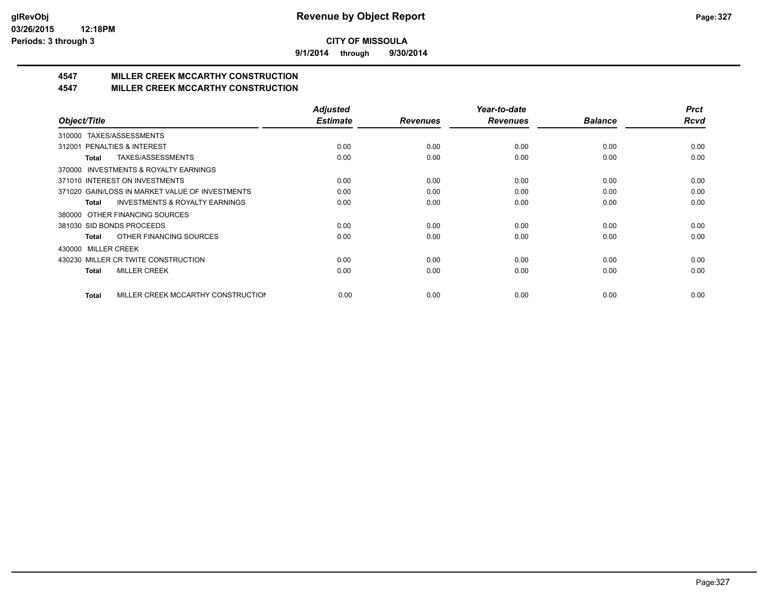**9/1/2014 through 9/30/2014**

# **4547 MILLER CREEK MCCARTHY CONSTRUCTION**

### **4547 MILLER CREEK MCCARTHY CONSTRUCTION**

|                                                     | <b>Adjusted</b> |                 | Year-to-date    |                | <b>Prct</b> |
|-----------------------------------------------------|-----------------|-----------------|-----------------|----------------|-------------|
| Object/Title                                        | <b>Estimate</b> | <b>Revenues</b> | <b>Revenues</b> | <b>Balance</b> | Rcvd        |
| TAXES/ASSESSMENTS<br>310000                         |                 |                 |                 |                |             |
| 312001 PENALTIES & INTEREST                         | 0.00            | 0.00            | 0.00            | 0.00           | 0.00        |
| TAXES/ASSESSMENTS<br>Total                          | 0.00            | 0.00            | 0.00            | 0.00           | 0.00        |
| <b>INVESTMENTS &amp; ROYALTY EARNINGS</b><br>370000 |                 |                 |                 |                |             |
| 371010 INTEREST ON INVESTMENTS                      | 0.00            | 0.00            | 0.00            | 0.00           | 0.00        |
| 371020 GAIN/LOSS IN MARKET VALUE OF INVESTMENTS     | 0.00            | 0.00            | 0.00            | 0.00           | 0.00        |
| <b>INVESTMENTS &amp; ROYALTY EARNINGS</b><br>Total  | 0.00            | 0.00            | 0.00            | 0.00           | 0.00        |
| 380000 OTHER FINANCING SOURCES                      |                 |                 |                 |                |             |
| 381030 SID BONDS PROCEEDS                           | 0.00            | 0.00            | 0.00            | 0.00           | 0.00        |
| OTHER FINANCING SOURCES<br>Total                    | 0.00            | 0.00            | 0.00            | 0.00           | 0.00        |
| <b>MILLER CREEK</b><br>430000                       |                 |                 |                 |                |             |
| 430230 MILLER CR TWITE CONSTRUCTION                 | 0.00            | 0.00            | 0.00            | 0.00           | 0.00        |
| <b>MILLER CREEK</b><br>Total                        | 0.00            | 0.00            | 0.00            | 0.00           | 0.00        |
|                                                     |                 |                 |                 |                |             |
| MILLER CREEK MCCARTHY CONSTRUCTION<br><b>Total</b>  | 0.00            | 0.00            | 0.00            | 0.00           | 0.00        |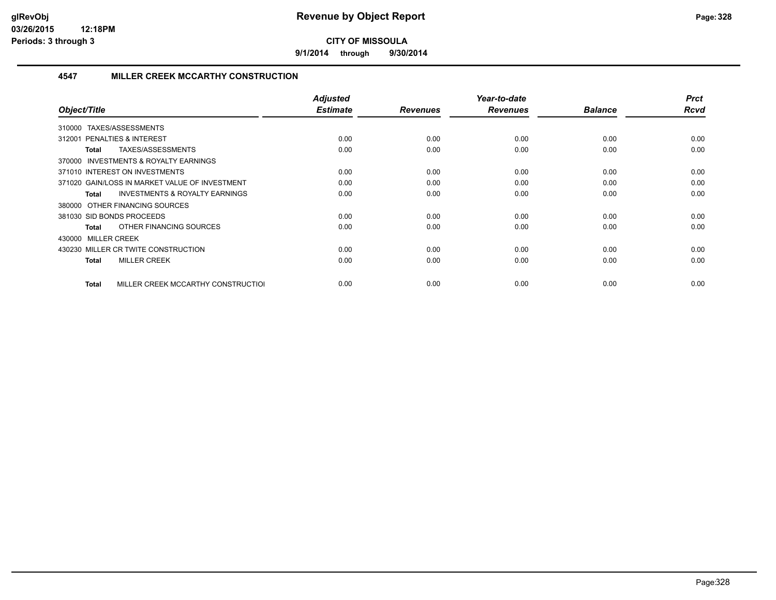**9/1/2014 through 9/30/2014**

### **4547 MILLER CREEK MCCARTHY CONSTRUCTION**

| Object/Title                                              | <b>Adjusted</b><br><b>Estimate</b> | <b>Revenues</b> | Year-to-date<br><b>Revenues</b> | <b>Balance</b> | <b>Prct</b><br>Rcvd |
|-----------------------------------------------------------|------------------------------------|-----------------|---------------------------------|----------------|---------------------|
| TAXES/ASSESSMENTS<br>310000                               |                                    |                 |                                 |                |                     |
| 312001 PENALTIES & INTEREST                               | 0.00                               | 0.00            | 0.00                            | 0.00           | 0.00                |
| TAXES/ASSESSMENTS<br>Total                                | 0.00                               | 0.00            | 0.00                            | 0.00           | 0.00                |
| INVESTMENTS & ROYALTY EARNINGS<br>370000                  |                                    |                 |                                 |                |                     |
| 371010 INTEREST ON INVESTMENTS                            | 0.00                               | 0.00            | 0.00                            | 0.00           | 0.00                |
| 371020 GAIN/LOSS IN MARKET VALUE OF INVESTMENT            | 0.00                               | 0.00            | 0.00                            | 0.00           | 0.00                |
| <b>INVESTMENTS &amp; ROYALTY EARNINGS</b><br><b>Total</b> | 0.00                               | 0.00            | 0.00                            | 0.00           | 0.00                |
| 380000 OTHER FINANCING SOURCES                            |                                    |                 |                                 |                |                     |
| 381030 SID BONDS PROCEEDS                                 | 0.00                               | 0.00            | 0.00                            | 0.00           | 0.00                |
| OTHER FINANCING SOURCES<br><b>Total</b>                   | 0.00                               | 0.00            | 0.00                            | 0.00           | 0.00                |
| 430000 MILLER CREEK                                       |                                    |                 |                                 |                |                     |
| 430230 MILLER CR TWITE CONSTRUCTION                       | 0.00                               | 0.00            | 0.00                            | 0.00           | 0.00                |
| <b>MILLER CREEK</b><br><b>Total</b>                       | 0.00                               | 0.00            | 0.00                            | 0.00           | 0.00                |
|                                                           |                                    |                 |                                 |                |                     |
| MILLER CREEK MCCARTHY CONSTRUCTIOL<br><b>Total</b>        | 0.00                               | 0.00            | 0.00                            | 0.00           | 0.00                |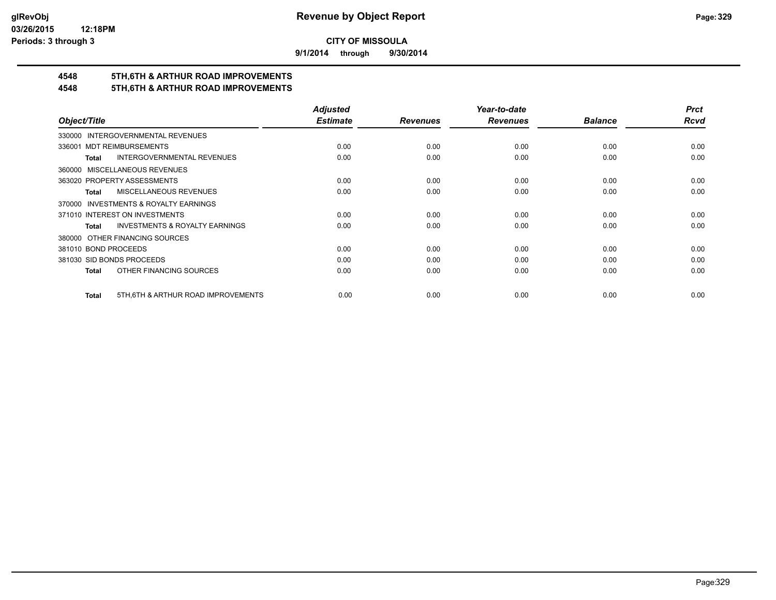**9/1/2014 through 9/30/2014**

# **4548 5TH,6TH & ARTHUR ROAD IMPROVEMENTS**

# **4548 5TH,6TH & ARTHUR ROAD IMPROVEMENTS**

|                                                     | <b>Adjusted</b> |                 | Year-to-date    |                | <b>Prct</b> |
|-----------------------------------------------------|-----------------|-----------------|-----------------|----------------|-------------|
| Object/Title                                        | <b>Estimate</b> | <b>Revenues</b> | <b>Revenues</b> | <b>Balance</b> | <b>Rcvd</b> |
| 330000 INTERGOVERNMENTAL REVENUES                   |                 |                 |                 |                |             |
| <b>MDT REIMBURSEMENTS</b><br>336001                 | 0.00            | 0.00            | 0.00            | 0.00           | 0.00        |
| INTERGOVERNMENTAL REVENUES<br>Total                 | 0.00            | 0.00            | 0.00            | 0.00           | 0.00        |
| 360000 MISCELLANEOUS REVENUES                       |                 |                 |                 |                |             |
| 363020 PROPERTY ASSESSMENTS                         | 0.00            | 0.00            | 0.00            | 0.00           | 0.00        |
| <b>MISCELLANEOUS REVENUES</b><br>Total              | 0.00            | 0.00            | 0.00            | 0.00           | 0.00        |
| 370000 INVESTMENTS & ROYALTY EARNINGS               |                 |                 |                 |                |             |
| 371010 INTEREST ON INVESTMENTS                      | 0.00            | 0.00            | 0.00            | 0.00           | 0.00        |
| <b>INVESTMENTS &amp; ROYALTY EARNINGS</b><br>Total  | 0.00            | 0.00            | 0.00            | 0.00           | 0.00        |
| 380000 OTHER FINANCING SOURCES                      |                 |                 |                 |                |             |
| 381010 BOND PROCEEDS                                | 0.00            | 0.00            | 0.00            | 0.00           | 0.00        |
| 381030 SID BONDS PROCEEDS                           | 0.00            | 0.00            | 0.00            | 0.00           | 0.00        |
| OTHER FINANCING SOURCES<br>Total                    | 0.00            | 0.00            | 0.00            | 0.00           | 0.00        |
| 5TH, 6TH & ARTHUR ROAD IMPROVEMENTS<br><b>Total</b> | 0.00            | 0.00            | 0.00            | 0.00           | 0.00        |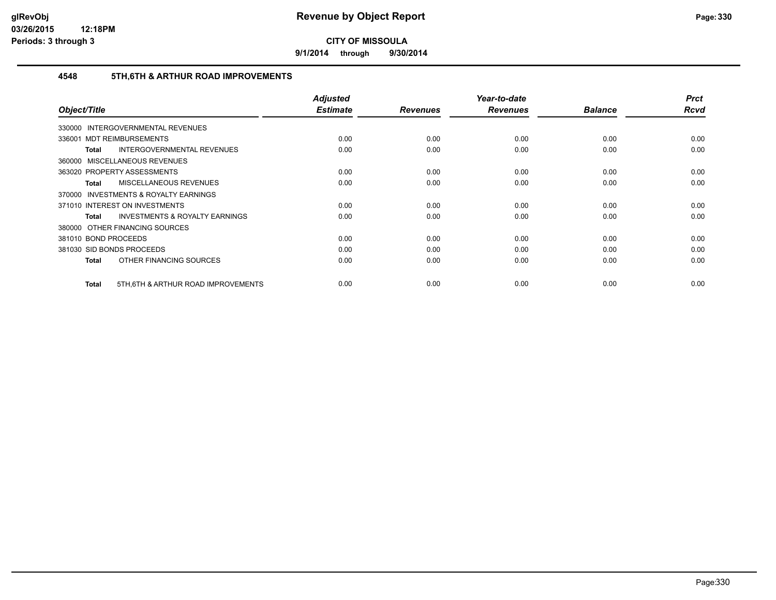**9/1/2014 through 9/30/2014**

### **4548 5TH,6TH & ARTHUR ROAD IMPROVEMENTS**

| Object/Title                                       | <b>Adjusted</b><br><b>Estimate</b> | <b>Revenues</b> | Year-to-date<br><b>Revenues</b> | <b>Balance</b> | <b>Prct</b><br><b>Rcvd</b> |
|----------------------------------------------------|------------------------------------|-----------------|---------------------------------|----------------|----------------------------|
| <b>INTERGOVERNMENTAL REVENUES</b><br>330000        |                                    |                 |                                 |                |                            |
| 336001 MDT REIMBURSEMENTS                          | 0.00                               | 0.00            | 0.00                            | 0.00           | 0.00                       |
| <b>INTERGOVERNMENTAL REVENUES</b><br>Total         | 0.00                               | 0.00            | 0.00                            | 0.00           | 0.00                       |
| 360000 MISCELLANEOUS REVENUES                      |                                    |                 |                                 |                |                            |
| 363020 PROPERTY ASSESSMENTS                        | 0.00                               | 0.00            | 0.00                            | 0.00           | 0.00                       |
| <b>MISCELLANEOUS REVENUES</b><br>Total             | 0.00                               | 0.00            | 0.00                            | 0.00           | 0.00                       |
| 370000 INVESTMENTS & ROYALTY EARNINGS              |                                    |                 |                                 |                |                            |
| 371010 INTEREST ON INVESTMENTS                     | 0.00                               | 0.00            | 0.00                            | 0.00           | 0.00                       |
| <b>INVESTMENTS &amp; ROYALTY EARNINGS</b><br>Total | 0.00                               | 0.00            | 0.00                            | 0.00           | 0.00                       |
| 380000 OTHER FINANCING SOURCES                     |                                    |                 |                                 |                |                            |
| 381010 BOND PROCEEDS                               | 0.00                               | 0.00            | 0.00                            | 0.00           | 0.00                       |
| 381030 SID BONDS PROCEEDS                          | 0.00                               | 0.00            | 0.00                            | 0.00           | 0.00                       |
| OTHER FINANCING SOURCES<br>Total                   | 0.00                               | 0.00            | 0.00                            | 0.00           | 0.00                       |
| 5TH, 6TH & ARTHUR ROAD IMPROVEMENTS<br>Total       | 0.00                               | 0.00            | 0.00                            | 0.00           | 0.00                       |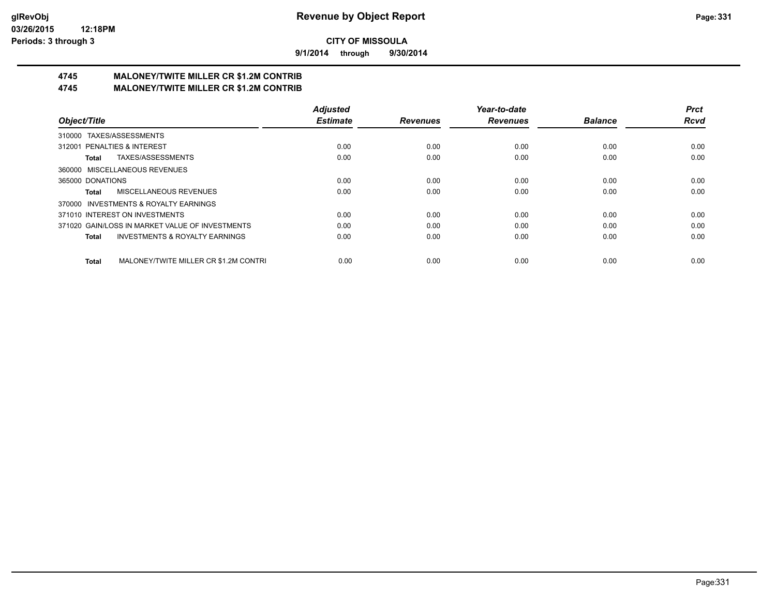**9/1/2014 through 9/30/2014**

# **4745 MALONEY/TWITE MILLER CR \$1.2M CONTRIB**

**4745 MALONEY/TWITE MILLER CR \$1.2M CONTRIB**

|                                                       | <b>Adjusted</b> |                 | Year-to-date    |                | <b>Prct</b> |
|-------------------------------------------------------|-----------------|-----------------|-----------------|----------------|-------------|
| Object/Title                                          | <b>Estimate</b> | <b>Revenues</b> | <b>Revenues</b> | <b>Balance</b> | <b>Rcvd</b> |
| 310000 TAXES/ASSESSMENTS                              |                 |                 |                 |                |             |
| 312001 PENALTIES & INTEREST                           | 0.00            | 0.00            | 0.00            | 0.00           | 0.00        |
| TAXES/ASSESSMENTS<br>Total                            | 0.00            | 0.00            | 0.00            | 0.00           | 0.00        |
| 360000 MISCELLANEOUS REVENUES                         |                 |                 |                 |                |             |
| 365000 DONATIONS                                      | 0.00            | 0.00            | 0.00            | 0.00           | 0.00        |
| MISCELLANEOUS REVENUES<br>Total                       | 0.00            | 0.00            | 0.00            | 0.00           | 0.00        |
| 370000 INVESTMENTS & ROYALTY EARNINGS                 |                 |                 |                 |                |             |
| 371010 INTEREST ON INVESTMENTS                        | 0.00            | 0.00            | 0.00            | 0.00           | 0.00        |
| 371020 GAIN/LOSS IN MARKET VALUE OF INVESTMENTS       | 0.00            | 0.00            | 0.00            | 0.00           | 0.00        |
| <b>INVESTMENTS &amp; ROYALTY EARNINGS</b><br>Total    | 0.00            | 0.00            | 0.00            | 0.00           | 0.00        |
| MALONEY/TWITE MILLER CR \$1.2M CONTRI<br><b>Total</b> | 0.00            | 0.00            | 0.00            | 0.00           | 0.00        |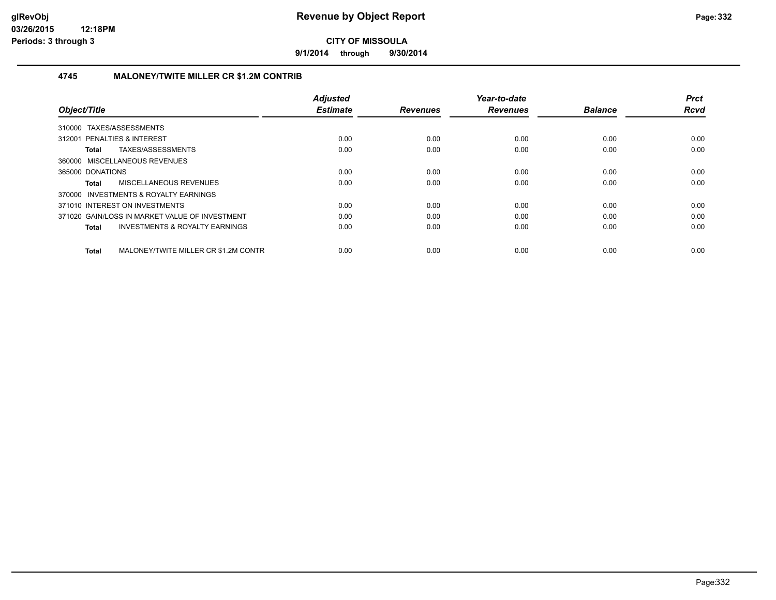**9/1/2014 through 9/30/2014**

### **4745 MALONEY/TWITE MILLER CR \$1.2M CONTRIB**

| Object/Title                                              | <b>Adjusted</b><br><b>Estimate</b> | <b>Revenues</b> | Year-to-date<br><b>Revenues</b> | <b>Balance</b> | <b>Prct</b><br><b>Rcvd</b> |
|-----------------------------------------------------------|------------------------------------|-----------------|---------------------------------|----------------|----------------------------|
| 310000 TAXES/ASSESSMENTS                                  |                                    |                 |                                 |                |                            |
| 312001 PENALTIES & INTEREST                               | 0.00                               | 0.00            | 0.00                            | 0.00           | 0.00                       |
| TAXES/ASSESSMENTS<br>Total                                | 0.00                               | 0.00            | 0.00                            | 0.00           | 0.00                       |
| 360000 MISCELLANEOUS REVENUES                             |                                    |                 |                                 |                |                            |
| 365000 DONATIONS                                          | 0.00                               | 0.00            | 0.00                            | 0.00           | 0.00                       |
| MISCELLANEOUS REVENUES<br>Total                           | 0.00                               | 0.00            | 0.00                            | 0.00           | 0.00                       |
| 370000 INVESTMENTS & ROYALTY EARNINGS                     |                                    |                 |                                 |                |                            |
| 371010 INTEREST ON INVESTMENTS                            | 0.00                               | 0.00            | 0.00                            | 0.00           | 0.00                       |
| 371020 GAIN/LOSS IN MARKET VALUE OF INVESTMENT            | 0.00                               | 0.00            | 0.00                            | 0.00           | 0.00                       |
| <b>INVESTMENTS &amp; ROYALTY EARNINGS</b><br><b>Total</b> | 0.00                               | 0.00            | 0.00                            | 0.00           | 0.00                       |
| MALONEY/TWITE MILLER CR \$1.2M CONTR<br>Total             | 0.00                               | 0.00            | 0.00                            | 0.00           | 0.00                       |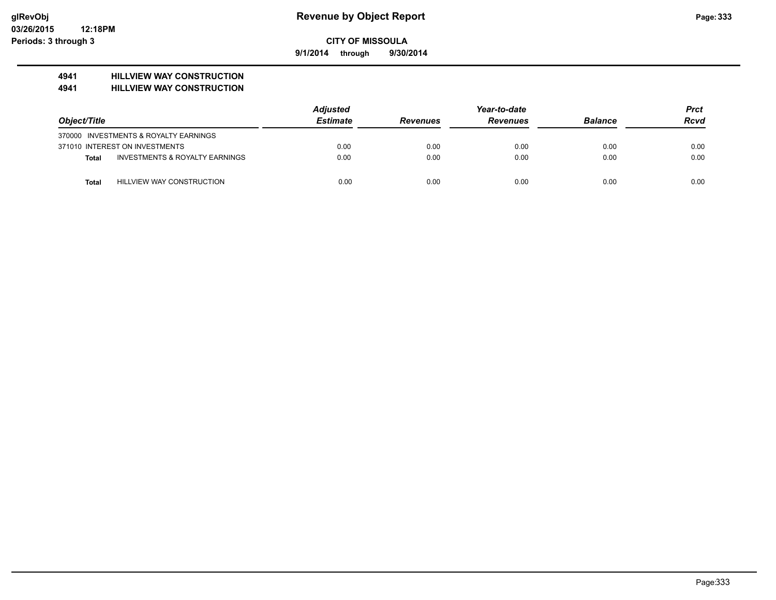**9/1/2014 through 9/30/2014**

# **4941 HILLVIEW WAY CONSTRUCTION**

### **4941 HILLVIEW WAY CONSTRUCTION**

|              |                                           | <b>Adjusted</b> |                 |                 | <b>Prct</b>    |             |
|--------------|-------------------------------------------|-----------------|-----------------|-----------------|----------------|-------------|
| Object/Title |                                           | <b>Estimate</b> | <b>Revenues</b> | <b>Revenues</b> | <b>Balance</b> | <b>Rcvd</b> |
|              | 370000 INVESTMENTS & ROYALTY EARNINGS     |                 |                 |                 |                |             |
|              | 371010 INTEREST ON INVESTMENTS            | 0.00            | 0.00            | 0.00            | 0.00           | 0.00        |
| Total        | <b>INVESTMENTS &amp; ROYALTY EARNINGS</b> | 0.00            | 0.00            | 0.00            | 0.00           | 0.00        |
| Total        | <b>HILLVIEW WAY CONSTRUCTION</b>          | 0.00            | 0.00            | 0.00            | 0.00           | 0.00        |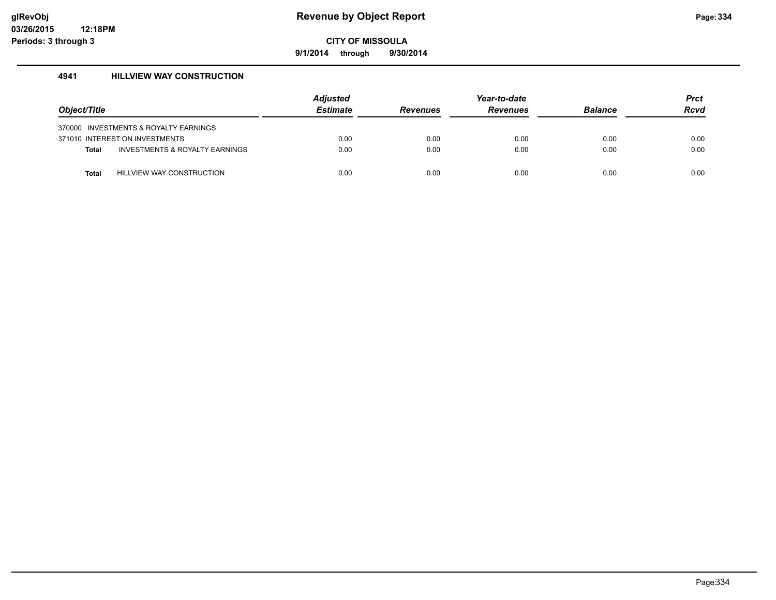**9/1/2014 through 9/30/2014**

### **4941 HILLVIEW WAY CONSTRUCTION**

|              |                                       | <b>Adjusted</b> |                 | Year-to-date    |                | <b>Prct</b> |
|--------------|---------------------------------------|-----------------|-----------------|-----------------|----------------|-------------|
| Object/Title |                                       | <b>Estimate</b> | <b>Revenues</b> | <b>Revenues</b> | <b>Balance</b> | <b>Rcvd</b> |
|              | 370000 INVESTMENTS & ROYALTY EARNINGS |                 |                 |                 |                |             |
|              | 371010 INTEREST ON INVESTMENTS        | 0.00            | 0.00            | 0.00            | 0.00           | 0.00        |
| <b>Total</b> | INVESTMENTS & ROYALTY EARNINGS        | 0.00            | 0.00            | 0.00            | 0.00           | 0.00        |
|              |                                       |                 |                 |                 |                |             |
| Total        | HILLVIEW WAY CONSTRUCTION             | 0.00            | 0.00            | 0.00            | 0.00           | 0.00        |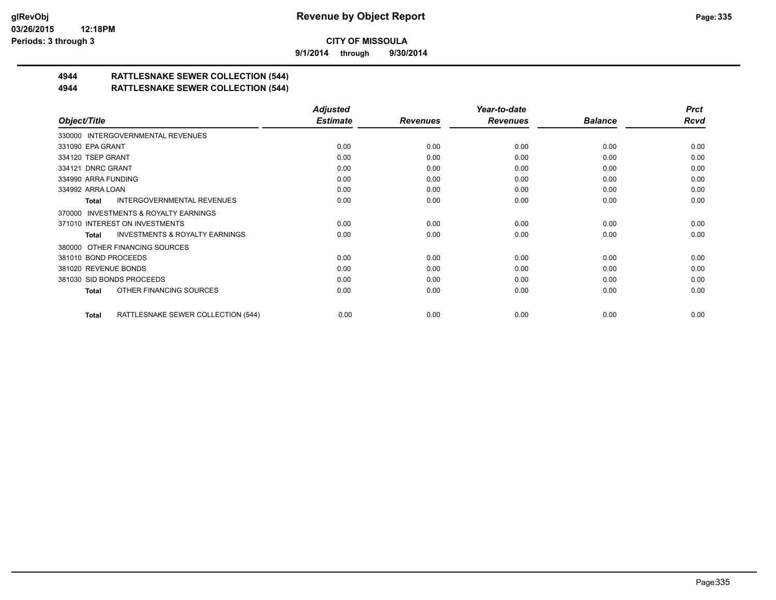**9/1/2014 through 9/30/2014**

# **4944 RATTLESNAKE SEWER COLLECTION (544)**

### **4944 RATTLESNAKE SEWER COLLECTION (544)**

|                                                    | <b>Adjusted</b> |                 | Year-to-date    |                | <b>Prct</b> |
|----------------------------------------------------|-----------------|-----------------|-----------------|----------------|-------------|
| Object/Title                                       | <b>Estimate</b> | <b>Revenues</b> | <b>Revenues</b> | <b>Balance</b> | <b>Rcvd</b> |
| 330000 INTERGOVERNMENTAL REVENUES                  |                 |                 |                 |                |             |
| 331090 EPA GRANT                                   | 0.00            | 0.00            | 0.00            | 0.00           | 0.00        |
| 334120 TSEP GRANT                                  | 0.00            | 0.00            | 0.00            | 0.00           | 0.00        |
| 334121 DNRC GRANT                                  | 0.00            | 0.00            | 0.00            | 0.00           | 0.00        |
| 334990 ARRA FUNDING                                | 0.00            | 0.00            | 0.00            | 0.00           | 0.00        |
| 334992 ARRA LOAN                                   | 0.00            | 0.00            | 0.00            | 0.00           | 0.00        |
| <b>INTERGOVERNMENTAL REVENUES</b><br>Total         | 0.00            | 0.00            | 0.00            | 0.00           | 0.00        |
| 370000 INVESTMENTS & ROYALTY EARNINGS              |                 |                 |                 |                |             |
| 371010 INTEREST ON INVESTMENTS                     | 0.00            | 0.00            | 0.00            | 0.00           | 0.00        |
| <b>INVESTMENTS &amp; ROYALTY EARNINGS</b><br>Total | 0.00            | 0.00            | 0.00            | 0.00           | 0.00        |
| 380000 OTHER FINANCING SOURCES                     |                 |                 |                 |                |             |
| 381010 BOND PROCEEDS                               | 0.00            | 0.00            | 0.00            | 0.00           | 0.00        |
| 381020 REVENUE BONDS                               | 0.00            | 0.00            | 0.00            | 0.00           | 0.00        |
| 381030 SID BONDS PROCEEDS                          | 0.00            | 0.00            | 0.00            | 0.00           | 0.00        |
| OTHER FINANCING SOURCES<br>Total                   | 0.00            | 0.00            | 0.00            | 0.00           | 0.00        |
| RATTLESNAKE SEWER COLLECTION (544)<br>Total        | 0.00            | 0.00            | 0.00            | 0.00           | 0.00        |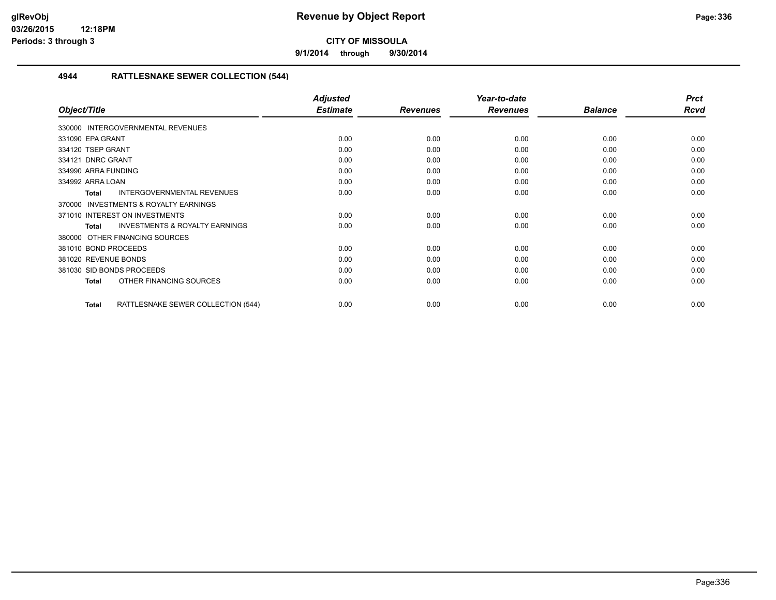**9/1/2014 through 9/30/2014**

### **4944 RATTLESNAKE SEWER COLLECTION (544)**

|                                                           | <b>Adjusted</b> |                 | Year-to-date    |                | <b>Prct</b> |
|-----------------------------------------------------------|-----------------|-----------------|-----------------|----------------|-------------|
| Object/Title                                              | <b>Estimate</b> | <b>Revenues</b> | <b>Revenues</b> | <b>Balance</b> | <b>Rcvd</b> |
| 330000 INTERGOVERNMENTAL REVENUES                         |                 |                 |                 |                |             |
| 331090 EPA GRANT                                          | 0.00            | 0.00            | 0.00            | 0.00           | 0.00        |
| 334120 TSEP GRANT                                         | 0.00            | 0.00            | 0.00            | 0.00           | 0.00        |
| 334121 DNRC GRANT                                         | 0.00            | 0.00            | 0.00            | 0.00           | 0.00        |
| 334990 ARRA FUNDING                                       | 0.00            | 0.00            | 0.00            | 0.00           | 0.00        |
| 334992 ARRA LOAN                                          | 0.00            | 0.00            | 0.00            | 0.00           | 0.00        |
| <b>INTERGOVERNMENTAL REVENUES</b><br><b>Total</b>         | 0.00            | 0.00            | 0.00            | 0.00           | 0.00        |
| INVESTMENTS & ROYALTY EARNINGS<br>370000                  |                 |                 |                 |                |             |
| 371010 INTEREST ON INVESTMENTS                            | 0.00            | 0.00            | 0.00            | 0.00           | 0.00        |
| <b>INVESTMENTS &amp; ROYALTY EARNINGS</b><br><b>Total</b> | 0.00            | 0.00            | 0.00            | 0.00           | 0.00        |
| 380000 OTHER FINANCING SOURCES                            |                 |                 |                 |                |             |
| 381010 BOND PROCEEDS                                      | 0.00            | 0.00            | 0.00            | 0.00           | 0.00        |
| 381020 REVENUE BONDS                                      | 0.00            | 0.00            | 0.00            | 0.00           | 0.00        |
| 381030 SID BONDS PROCEEDS                                 | 0.00            | 0.00            | 0.00            | 0.00           | 0.00        |
| OTHER FINANCING SOURCES<br><b>Total</b>                   | 0.00            | 0.00            | 0.00            | 0.00           | 0.00        |
| RATTLESNAKE SEWER COLLECTION (544)<br><b>Total</b>        | 0.00            | 0.00            | 0.00            | 0.00           | 0.00        |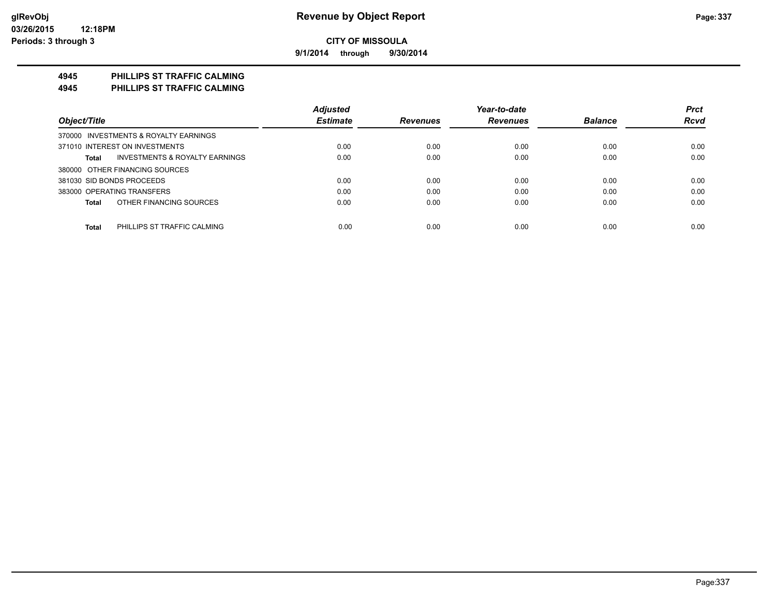**9/1/2014 through 9/30/2014**

## **4945 PHILLIPS ST TRAFFIC CALMING**

**4945 PHILLIPS ST TRAFFIC CALMING**

|                                                    | <b>Adjusted</b> |                 | Year-to-date    |                | <b>Prct</b> |
|----------------------------------------------------|-----------------|-----------------|-----------------|----------------|-------------|
| Object/Title                                       | <b>Estimate</b> | <b>Revenues</b> | <b>Revenues</b> | <b>Balance</b> | Rcvd        |
| 370000 INVESTMENTS & ROYALTY EARNINGS              |                 |                 |                 |                |             |
| 371010 INTEREST ON INVESTMENTS                     | 0.00            | 0.00            | 0.00            | 0.00           | 0.00        |
| <b>INVESTMENTS &amp; ROYALTY EARNINGS</b><br>Total | 0.00            | 0.00            | 0.00            | 0.00           | 0.00        |
| 380000 OTHER FINANCING SOURCES                     |                 |                 |                 |                |             |
| 381030 SID BONDS PROCEEDS                          | 0.00            | 0.00            | 0.00            | 0.00           | 0.00        |
| 383000 OPERATING TRANSFERS                         | 0.00            | 0.00            | 0.00            | 0.00           | 0.00        |
| OTHER FINANCING SOURCES<br><b>Total</b>            | 0.00            | 0.00            | 0.00            | 0.00           | 0.00        |
|                                                    |                 |                 |                 |                |             |
| <b>Total</b><br>PHILLIPS ST TRAFFIC CALMING        | 0.00            | 0.00            | 0.00            | 0.00           | 0.00        |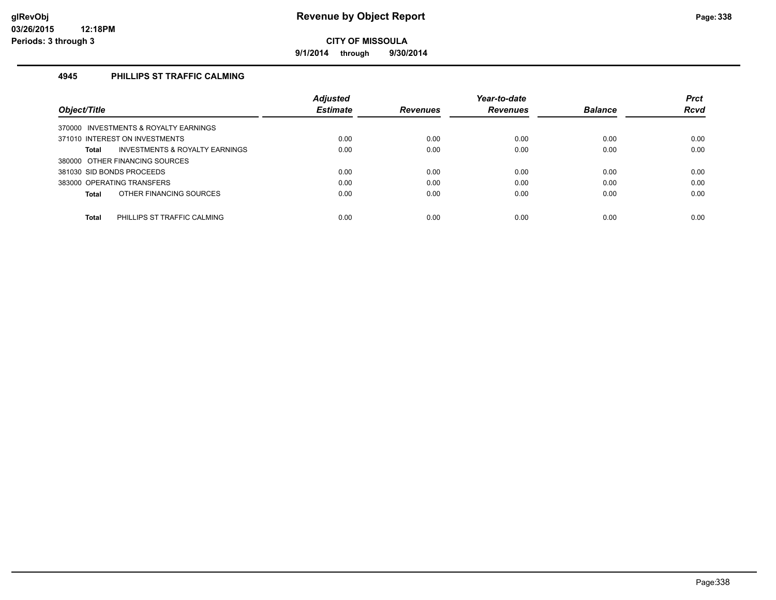**9/1/2014 through 9/30/2014**

### **4945 PHILLIPS ST TRAFFIC CALMING**

|                                                    | <b>Adjusted</b> |                 | Year-to-date    |                | <b>Prct</b> |
|----------------------------------------------------|-----------------|-----------------|-----------------|----------------|-------------|
| Object/Title                                       | <b>Estimate</b> | <b>Revenues</b> | <b>Revenues</b> | <b>Balance</b> | <b>Rcvd</b> |
| 370000 INVESTMENTS & ROYALTY EARNINGS              |                 |                 |                 |                |             |
| 371010 INTEREST ON INVESTMENTS                     | 0.00            | 0.00            | 0.00            | 0.00           | 0.00        |
| <b>INVESTMENTS &amp; ROYALTY EARNINGS</b><br>Total | 0.00            | 0.00            | 0.00            | 0.00           | 0.00        |
| 380000 OTHER FINANCING SOURCES                     |                 |                 |                 |                |             |
| 381030 SID BONDS PROCEEDS                          | 0.00            | 0.00            | 0.00            | 0.00           | 0.00        |
| 383000 OPERATING TRANSFERS                         | 0.00            | 0.00            | 0.00            | 0.00           | 0.00        |
| OTHER FINANCING SOURCES<br>Total                   | 0.00            | 0.00            | 0.00            | 0.00           | 0.00        |
|                                                    |                 |                 |                 |                |             |
| <b>Total</b><br>PHILLIPS ST TRAFFIC CALMING        | 0.00            | 0.00            | 0.00            | 0.00           | 0.00        |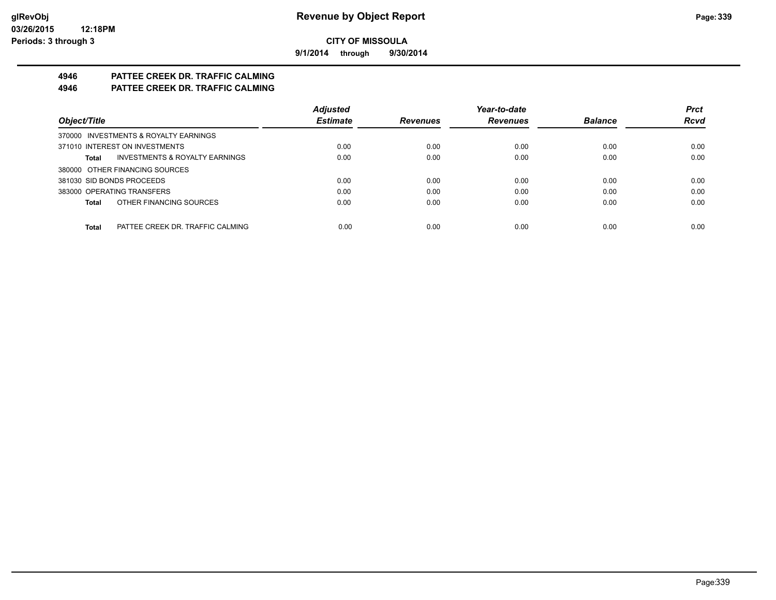**9/1/2014 through 9/30/2014**

# **4946 PATTEE CREEK DR. TRAFFIC CALMING**

# **4946 PATTEE CREEK DR. TRAFFIC CALMING**

|                                                    | <b>Adjusted</b> |                 | Year-to-date    |                | <b>Prct</b> |
|----------------------------------------------------|-----------------|-----------------|-----------------|----------------|-------------|
| Object/Title                                       | <b>Estimate</b> | <b>Revenues</b> | <b>Revenues</b> | <b>Balance</b> | <b>Rcvd</b> |
| 370000 INVESTMENTS & ROYALTY EARNINGS              |                 |                 |                 |                |             |
| 371010 INTEREST ON INVESTMENTS                     | 0.00            | 0.00            | 0.00            | 0.00           | 0.00        |
| <b>INVESTMENTS &amp; ROYALTY EARNINGS</b><br>Total | 0.00            | 0.00            | 0.00            | 0.00           | 0.00        |
| 380000 OTHER FINANCING SOURCES                     |                 |                 |                 |                |             |
| 381030 SID BONDS PROCEEDS                          | 0.00            | 0.00            | 0.00            | 0.00           | 0.00        |
| 383000 OPERATING TRANSFERS                         | 0.00            | 0.00            | 0.00            | 0.00           | 0.00        |
| OTHER FINANCING SOURCES<br>Total                   | 0.00            | 0.00            | 0.00            | 0.00           | 0.00        |
|                                                    |                 |                 |                 |                |             |
| Total<br>PATTEE CREEK DR. TRAFFIC CALMING          | 0.00            | 0.00            | 0.00            | 0.00           | 0.00        |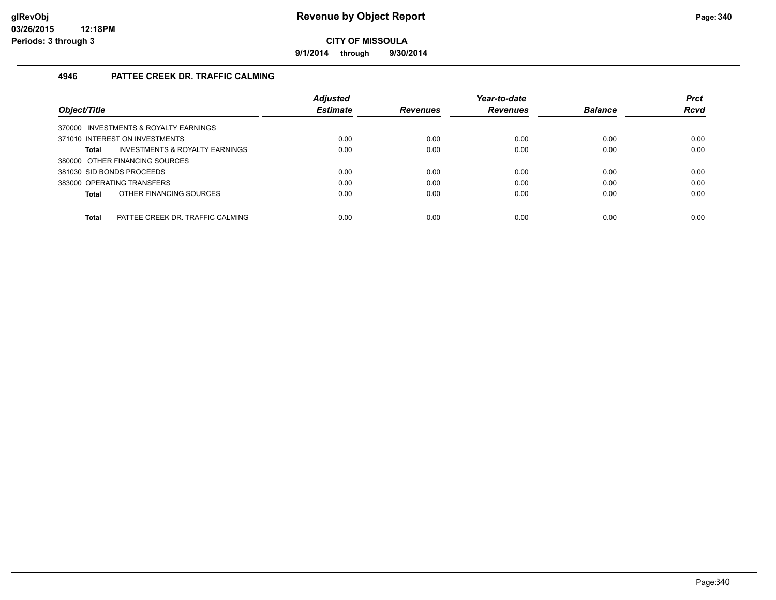**9/1/2014 through 9/30/2014**

### **4946 PATTEE CREEK DR. TRAFFIC CALMING**

| Object/Title                                     | <b>Adjusted</b><br><b>Estimate</b> | <b>Revenues</b> | Year-to-date<br><b>Revenues</b> | <b>Balance</b> | <b>Prct</b><br><b>Rcvd</b> |
|--------------------------------------------------|------------------------------------|-----------------|---------------------------------|----------------|----------------------------|
| 370000 INVESTMENTS & ROYALTY EARNINGS            |                                    |                 |                                 |                |                            |
| 371010 INTEREST ON INVESTMENTS                   | 0.00                               | 0.00            | 0.00                            | 0.00           | 0.00                       |
| INVESTMENTS & ROYALTY EARNINGS<br>Total          | 0.00                               | 0.00            | 0.00                            | 0.00           | 0.00                       |
| 380000 OTHER FINANCING SOURCES                   |                                    |                 |                                 |                |                            |
| 381030 SID BONDS PROCEEDS                        | 0.00                               | 0.00            | 0.00                            | 0.00           | 0.00                       |
| 383000 OPERATING TRANSFERS                       | 0.00                               | 0.00            | 0.00                            | 0.00           | 0.00                       |
| OTHER FINANCING SOURCES<br>Total                 | 0.00                               | 0.00            | 0.00                            | 0.00           | 0.00                       |
|                                                  |                                    |                 |                                 |                |                            |
| <b>Total</b><br>PATTEE CREEK DR. TRAFFIC CALMING | 0.00                               | 0.00            | 0.00                            | 0.00           | 0.00                       |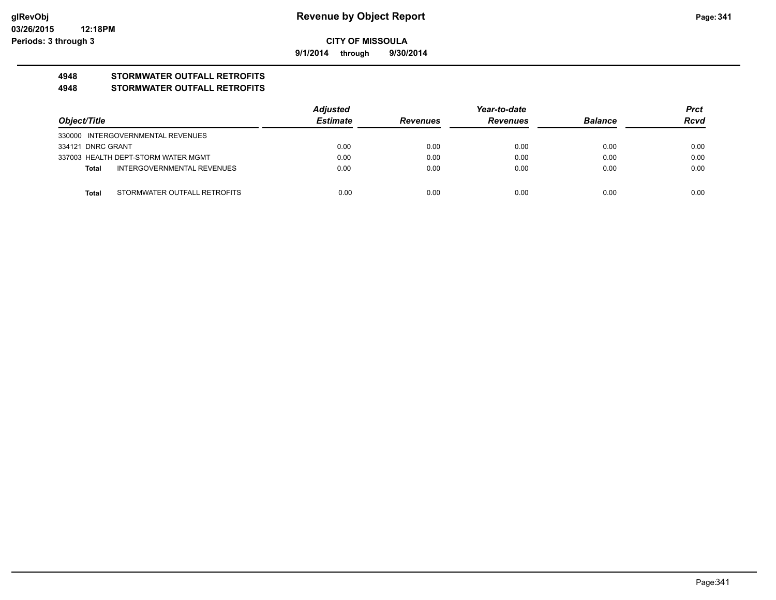**9/1/2014 through 9/30/2014**

# **4948 STORMWATER OUTFALL RETROFITS**

### **4948 STORMWATER OUTFALL RETROFITS**

|                   |                                     | Adjusted        | Year-to-date    |                 |                | <b>Prct</b> |
|-------------------|-------------------------------------|-----------------|-----------------|-----------------|----------------|-------------|
| Object/Title      |                                     | <b>Estimate</b> | <b>Revenues</b> | <b>Revenues</b> | <b>Balance</b> | <b>Rcvd</b> |
|                   | 330000 INTERGOVERNMENTAL REVENUES   |                 |                 |                 |                |             |
| 334121 DNRC GRANT |                                     | 0.00            | 0.00            | 0.00            | 0.00           | 0.00        |
|                   | 337003 HEALTH DEPT-STORM WATER MGMT | 0.00            | 0.00            | 0.00            | 0.00           | 0.00        |
| Total             | INTERGOVERNMENTAL REVENUES          | 0.00            | 0.00            | 0.00            | 0.00           | 0.00        |
|                   |                                     |                 |                 |                 |                |             |
| Total             | STORMWATER OUTFALL RETROFITS        | 0.00            | 0.00            | 0.00            | 0.00           | 0.00        |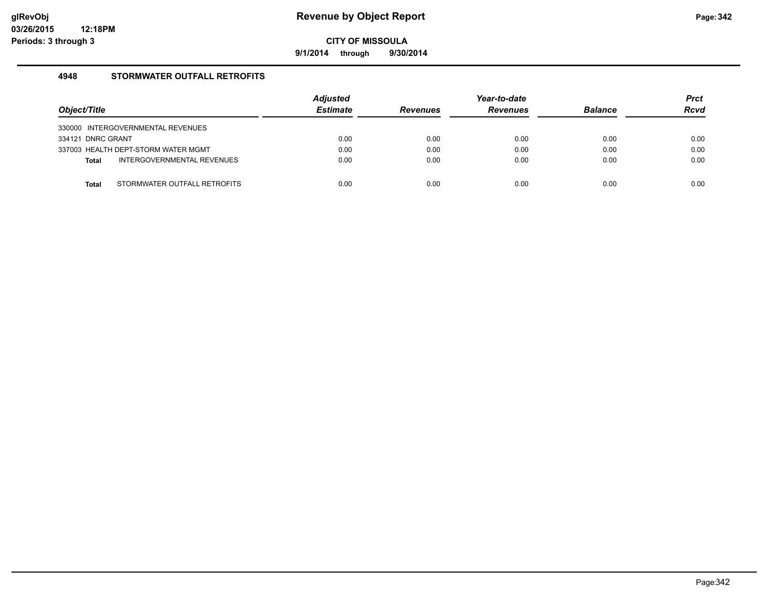**9/1/2014 through 9/30/2014**

### **4948 STORMWATER OUTFALL RETROFITS**

| Object/Title                               | <b>Adjusted</b><br><b>Estimate</b> | <b>Revenues</b> | Year-to-date<br><b>Revenues</b> | <b>Balance</b> | <b>Prct</b><br><b>Rcvd</b> |
|--------------------------------------------|------------------------------------|-----------------|---------------------------------|----------------|----------------------------|
| 330000 INTERGOVERNMENTAL REVENUES          |                                    |                 |                                 |                |                            |
| 334121 DNRC GRANT                          | 0.00                               | 0.00            | 0.00                            | 0.00           | 0.00                       |
| 337003 HEALTH DEPT-STORM WATER MGMT        | 0.00                               | 0.00            | 0.00                            | 0.00           | 0.00                       |
| INTERGOVERNMENTAL REVENUES<br><b>Total</b> | 0.00                               | 0.00            | 0.00                            | 0.00           | 0.00                       |
|                                            |                                    |                 |                                 |                |                            |
| STORMWATER OUTFALL RETROFITS<br>Total      | 0.00                               | 0.00            | 0.00                            | 0.00           | 0.00                       |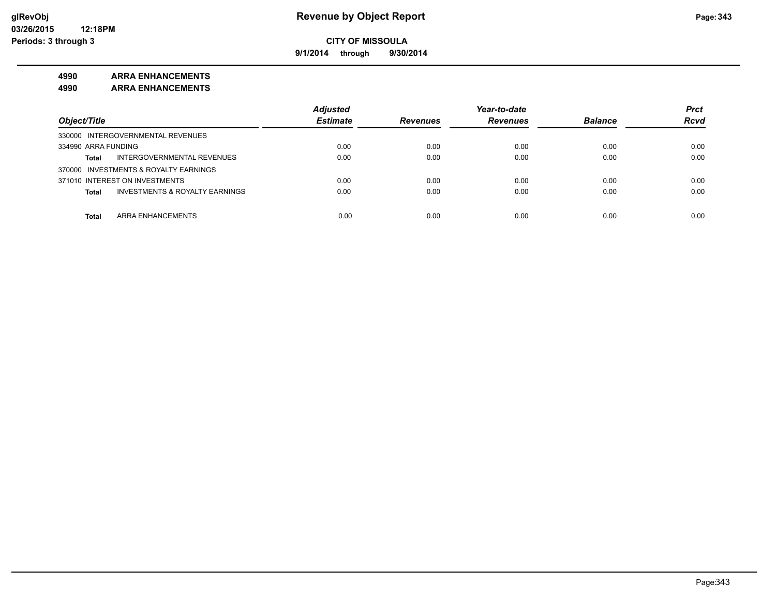**9/1/2014 through 9/30/2014**

### **4990 ARRA ENHANCEMENTS**

**4990 ARRA ENHANCEMENTS**

|                                                    | <b>Adiusted</b> |                 | Year-to-date    |                | <b>Prct</b> |
|----------------------------------------------------|-----------------|-----------------|-----------------|----------------|-------------|
| Object/Title                                       | <b>Estimate</b> | <b>Revenues</b> | <b>Revenues</b> | <b>Balance</b> | <b>Rcvd</b> |
| 330000 INTERGOVERNMENTAL REVENUES                  |                 |                 |                 |                |             |
| 334990 ARRA FUNDING                                | 0.00            | 0.00            | 0.00            | 0.00           | 0.00        |
| INTERGOVERNMENTAL REVENUES<br><b>Total</b>         | 0.00            | 0.00            | 0.00            | 0.00           | 0.00        |
| 370000 INVESTMENTS & ROYALTY EARNINGS              |                 |                 |                 |                |             |
| 371010 INTEREST ON INVESTMENTS                     | 0.00            | 0.00            | 0.00            | 0.00           | 0.00        |
| <b>INVESTMENTS &amp; ROYALTY EARNINGS</b><br>Total | 0.00            | 0.00            | 0.00            | 0.00           | 0.00        |
| <b>ARRA ENHANCEMENTS</b><br>Total                  | 0.00            | 0.00            | 0.00            | 0.00           | 0.00        |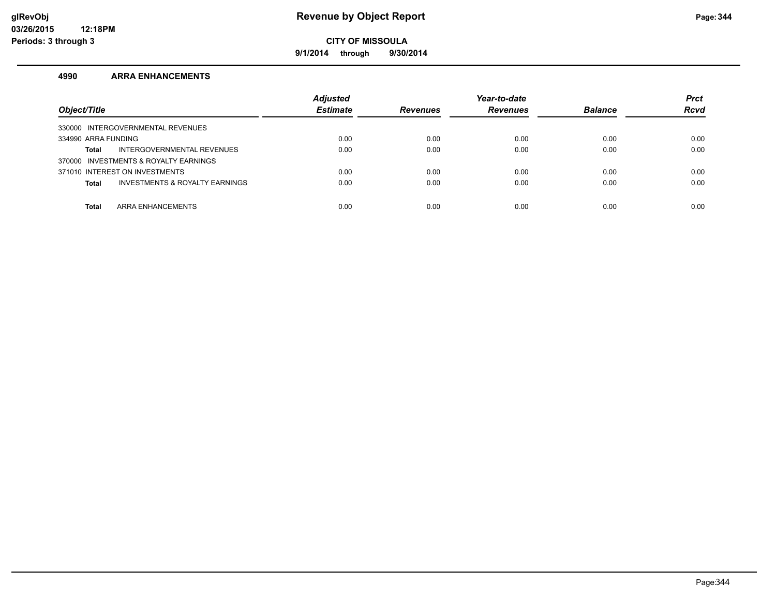**9/1/2014 through 9/30/2014**

### **4990 ARRA ENHANCEMENTS**

| Object/Title                                   | <b>Adjusted</b><br><b>Estimate</b> | <b>Revenues</b> | Year-to-date<br><b>Revenues</b> | <b>Balance</b> | <b>Prct</b><br><b>Rcvd</b> |
|------------------------------------------------|------------------------------------|-----------------|---------------------------------|----------------|----------------------------|
| 330000 INTERGOVERNMENTAL REVENUES              |                                    |                 |                                 |                |                            |
| 334990 ARRA FUNDING                            | 0.00                               | 0.00            | 0.00                            | 0.00           | 0.00                       |
| INTERGOVERNMENTAL REVENUES<br>Total            | 0.00                               | 0.00            | 0.00                            | 0.00           | 0.00                       |
| 370000 INVESTMENTS & ROYALTY EARNINGS          |                                    |                 |                                 |                |                            |
| 371010 INTEREST ON INVESTMENTS                 | 0.00                               | 0.00            | 0.00                            | 0.00           | 0.00                       |
| INVESTMENTS & ROYALTY EARNINGS<br><b>Total</b> | 0.00                               | 0.00            | 0.00                            | 0.00           | 0.00                       |
|                                                |                                    |                 |                                 |                |                            |
| ARRA ENHANCEMENTS<br><b>Total</b>              | 0.00                               | 0.00            | 0.00                            | 0.00           | 0.00                       |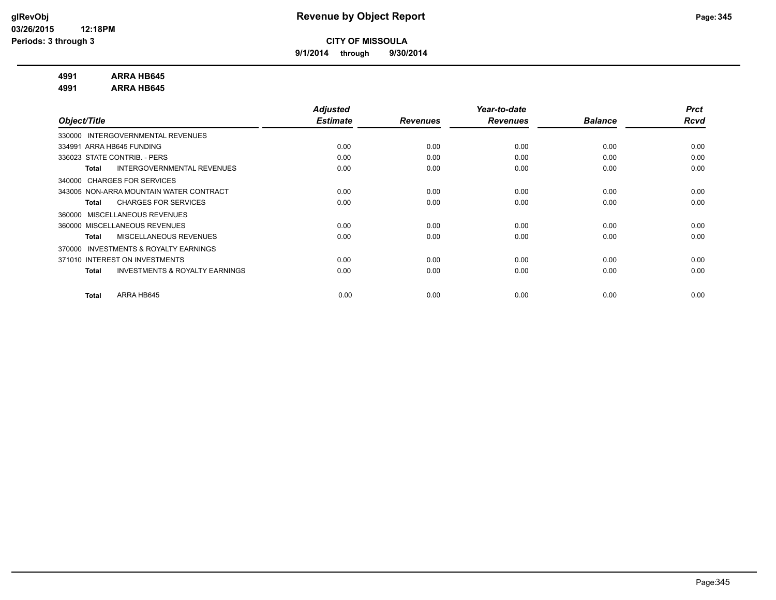**9/1/2014 through 9/30/2014**

### **4991 ARRA HB645**

**4991 ARRA HB645**

|                                                     | <b>Adjusted</b> |                 | Year-to-date    |                | <b>Prct</b> |
|-----------------------------------------------------|-----------------|-----------------|-----------------|----------------|-------------|
| Object/Title                                        | <b>Estimate</b> | <b>Revenues</b> | <b>Revenues</b> | <b>Balance</b> | Rcvd        |
| 330000 INTERGOVERNMENTAL REVENUES                   |                 |                 |                 |                |             |
| 334991 ARRA HB645 FUNDING                           | 0.00            | 0.00            | 0.00            | 0.00           | 0.00        |
| 336023 STATE CONTRIB. - PERS                        | 0.00            | 0.00            | 0.00            | 0.00           | 0.00        |
| INTERGOVERNMENTAL REVENUES<br>Total                 | 0.00            | 0.00            | 0.00            | 0.00           | 0.00        |
| 340000 CHARGES FOR SERVICES                         |                 |                 |                 |                |             |
| 343005 NON-ARRA MOUNTAIN WATER CONTRACT             | 0.00            | 0.00            | 0.00            | 0.00           | 0.00        |
| <b>CHARGES FOR SERVICES</b><br>Total                | 0.00            | 0.00            | 0.00            | 0.00           | 0.00        |
| 360000 MISCELLANEOUS REVENUES                       |                 |                 |                 |                |             |
| 360000 MISCELLANEOUS REVENUES                       | 0.00            | 0.00            | 0.00            | 0.00           | 0.00        |
| <b>MISCELLANEOUS REVENUES</b><br>Total              | 0.00            | 0.00            | 0.00            | 0.00           | 0.00        |
| <b>INVESTMENTS &amp; ROYALTY EARNINGS</b><br>370000 |                 |                 |                 |                |             |
| 371010 INTEREST ON INVESTMENTS                      | 0.00            | 0.00            | 0.00            | 0.00           | 0.00        |
| <b>INVESTMENTS &amp; ROYALTY EARNINGS</b><br>Total  | 0.00            | 0.00            | 0.00            | 0.00           | 0.00        |
|                                                     |                 |                 |                 |                |             |
| ARRA HB645<br><b>Total</b>                          | 0.00            | 0.00            | 0.00            | 0.00           | 0.00        |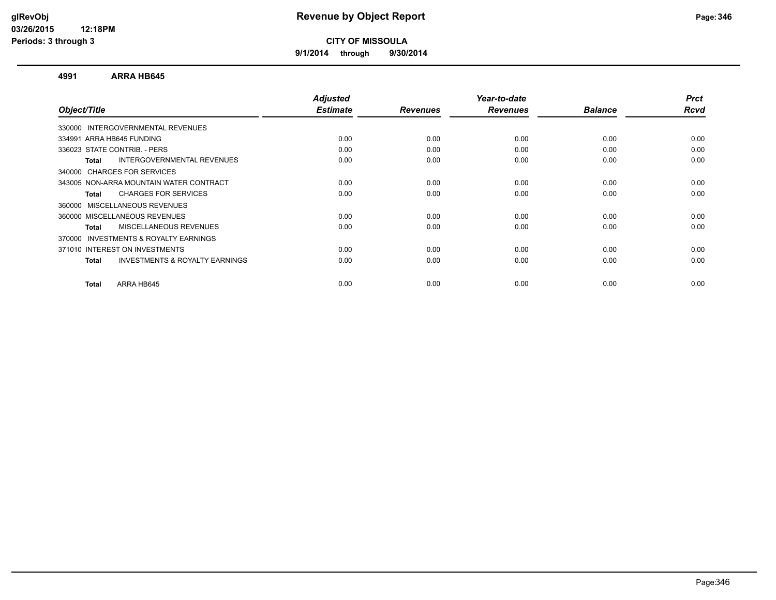**9/1/2014 through 9/30/2014**

### **4991 ARRA HB645**

| Object/Title                                        | <b>Adjusted</b><br><b>Estimate</b> | <b>Revenues</b> | Year-to-date<br><b>Revenues</b> | <b>Balance</b> | <b>Prct</b><br>Rcvd |
|-----------------------------------------------------|------------------------------------|-----------------|---------------------------------|----------------|---------------------|
|                                                     |                                    |                 |                                 |                |                     |
| 330000 INTERGOVERNMENTAL REVENUES                   |                                    |                 |                                 |                |                     |
| 334991 ARRA HB645 FUNDING                           | 0.00                               | 0.00            | 0.00                            | 0.00           | 0.00                |
| 336023 STATE CONTRIB. - PERS                        | 0.00                               | 0.00            | 0.00                            | 0.00           | 0.00                |
| INTERGOVERNMENTAL REVENUES<br>Total                 | 0.00                               | 0.00            | 0.00                            | 0.00           | 0.00                |
| 340000 CHARGES FOR SERVICES                         |                                    |                 |                                 |                |                     |
| 343005 NON-ARRA MOUNTAIN WATER CONTRACT             | 0.00                               | 0.00            | 0.00                            | 0.00           | 0.00                |
| <b>CHARGES FOR SERVICES</b><br>Total                | 0.00                               | 0.00            | 0.00                            | 0.00           | 0.00                |
| 360000 MISCELLANEOUS REVENUES                       |                                    |                 |                                 |                |                     |
| 360000 MISCELLANEOUS REVENUES                       | 0.00                               | 0.00            | 0.00                            | 0.00           | 0.00                |
| <b>MISCELLANEOUS REVENUES</b><br>Total              | 0.00                               | 0.00            | 0.00                            | 0.00           | 0.00                |
| <b>INVESTMENTS &amp; ROYALTY EARNINGS</b><br>370000 |                                    |                 |                                 |                |                     |
| 371010 INTEREST ON INVESTMENTS                      | 0.00                               | 0.00            | 0.00                            | 0.00           | 0.00                |
| <b>INVESTMENTS &amp; ROYALTY EARNINGS</b><br>Total  | 0.00                               | 0.00            | 0.00                            | 0.00           | 0.00                |
|                                                     |                                    |                 |                                 |                |                     |
| ARRA HB645<br>Total                                 | 0.00                               | 0.00            | 0.00                            | 0.00           | 0.00                |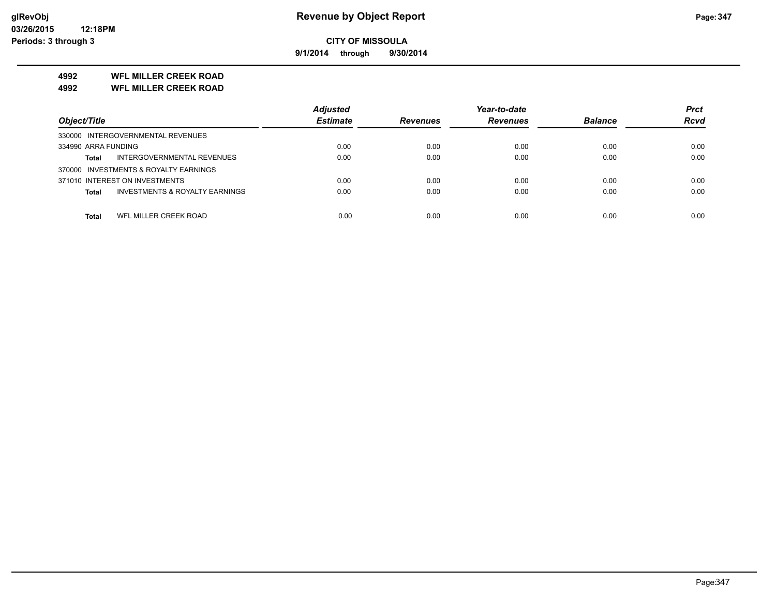**9/1/2014 through 9/30/2014**

### **4992 WFL MILLER CREEK ROAD**

**4992 WFL MILLER CREEK ROAD**

|                                                           | <b>Adjusted</b> |                 | Year-to-date    |                | <b>Prct</b> |
|-----------------------------------------------------------|-----------------|-----------------|-----------------|----------------|-------------|
| Object/Title                                              | <b>Estimate</b> | <b>Revenues</b> | <b>Revenues</b> | <b>Balance</b> | <b>Rcvd</b> |
| 330000 INTERGOVERNMENTAL REVENUES                         |                 |                 |                 |                |             |
| 334990 ARRA FUNDING                                       | 0.00            | 0.00            | 0.00            | 0.00           | 0.00        |
| <b>INTERGOVERNMENTAL REVENUES</b><br><b>Total</b>         | 0.00            | 0.00            | 0.00            | 0.00           | 0.00        |
| 370000 INVESTMENTS & ROYALTY EARNINGS                     |                 |                 |                 |                |             |
| 371010 INTEREST ON INVESTMENTS                            | 0.00            | 0.00            | 0.00            | 0.00           | 0.00        |
| <b>INVESTMENTS &amp; ROYALTY EARNINGS</b><br><b>Total</b> | 0.00            | 0.00            | 0.00            | 0.00           | 0.00        |
|                                                           |                 |                 |                 |                |             |
| WFL MILLER CREEK ROAD<br>Total                            | 0.00            | 0.00            | 0.00            | 0.00           | 0.00        |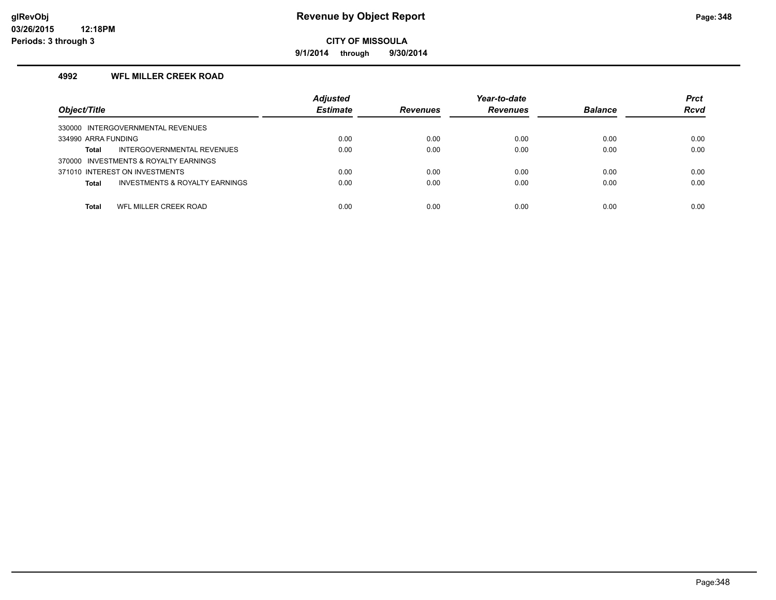**9/1/2014 through 9/30/2014**

### **4992 WFL MILLER CREEK ROAD**

| Object/Title                                              | <b>Adjusted</b><br><b>Estimate</b> | <b>Revenues</b> | Year-to-date<br><b>Revenues</b> | <b>Balance</b> | <b>Prct</b><br><b>Rcvd</b> |
|-----------------------------------------------------------|------------------------------------|-----------------|---------------------------------|----------------|----------------------------|
| 330000 INTERGOVERNMENTAL REVENUES                         |                                    |                 |                                 |                |                            |
| 334990 ARRA FUNDING                                       | 0.00                               | 0.00            | 0.00                            | 0.00           | 0.00                       |
| INTERGOVERNMENTAL REVENUES<br>Total                       | 0.00                               | 0.00            | 0.00                            | 0.00           | 0.00                       |
| 370000 INVESTMENTS & ROYALTY EARNINGS                     |                                    |                 |                                 |                |                            |
| 371010 INTEREST ON INVESTMENTS                            | 0.00                               | 0.00            | 0.00                            | 0.00           | 0.00                       |
| <b>INVESTMENTS &amp; ROYALTY EARNINGS</b><br><b>Total</b> | 0.00                               | 0.00            | 0.00                            | 0.00           | 0.00                       |
|                                                           |                                    |                 |                                 |                |                            |
| WFL MILLER CREEK ROAD<br>Total                            | 0.00                               | 0.00            | 0.00                            | 0.00           | 0.00                       |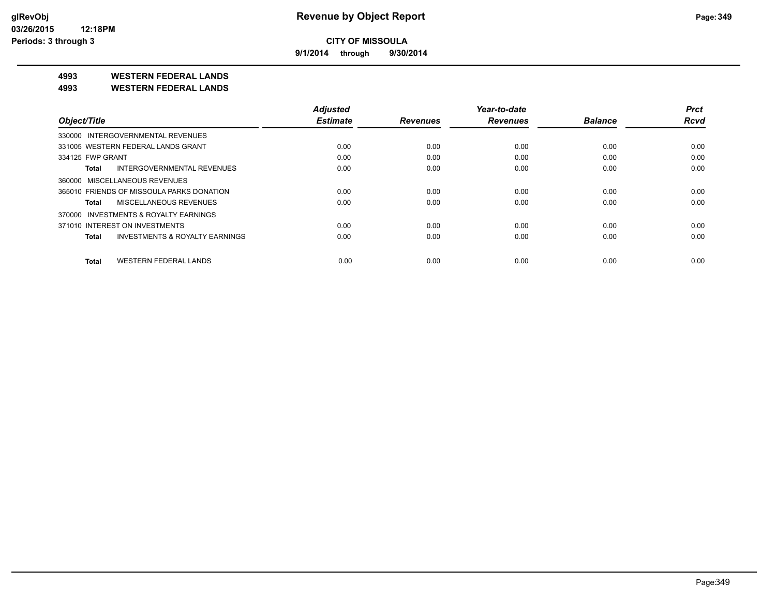**9/1/2014 through 9/30/2014**

**4993 WESTERN FEDERAL LANDS**

**4993 WESTERN FEDERAL LANDS**

|                                              | <b>Adjusted</b> |                 | Year-to-date    |                | <b>Prct</b> |
|----------------------------------------------|-----------------|-----------------|-----------------|----------------|-------------|
| Object/Title                                 | <b>Estimate</b> | <b>Revenues</b> | <b>Revenues</b> | <b>Balance</b> | <b>Rcvd</b> |
| 330000 INTERGOVERNMENTAL REVENUES            |                 |                 |                 |                |             |
| 331005 WESTERN FEDERAL LANDS GRANT           | 0.00            | 0.00            | 0.00            | 0.00           | 0.00        |
| 334125 FWP GRANT                             | 0.00            | 0.00            | 0.00            | 0.00           | 0.00        |
| INTERGOVERNMENTAL REVENUES<br>Total          | 0.00            | 0.00            | 0.00            | 0.00           | 0.00        |
| 360000 MISCELLANEOUS REVENUES                |                 |                 |                 |                |             |
| 365010 FRIENDS OF MISSOULA PARKS DONATION    | 0.00            | 0.00            | 0.00            | 0.00           | 0.00        |
| MISCELLANEOUS REVENUES<br>Total              | 0.00            | 0.00            | 0.00            | 0.00           | 0.00        |
| 370000 INVESTMENTS & ROYALTY EARNINGS        |                 |                 |                 |                |             |
| 371010 INTEREST ON INVESTMENTS               | 0.00            | 0.00            | 0.00            | 0.00           | 0.00        |
| INVESTMENTS & ROYALTY EARNINGS<br>Total      | 0.00            | 0.00            | 0.00            | 0.00           | 0.00        |
| <b>WESTERN FEDERAL LANDS</b><br><b>Total</b> | 0.00            | 0.00            | 0.00            | 0.00           | 0.00        |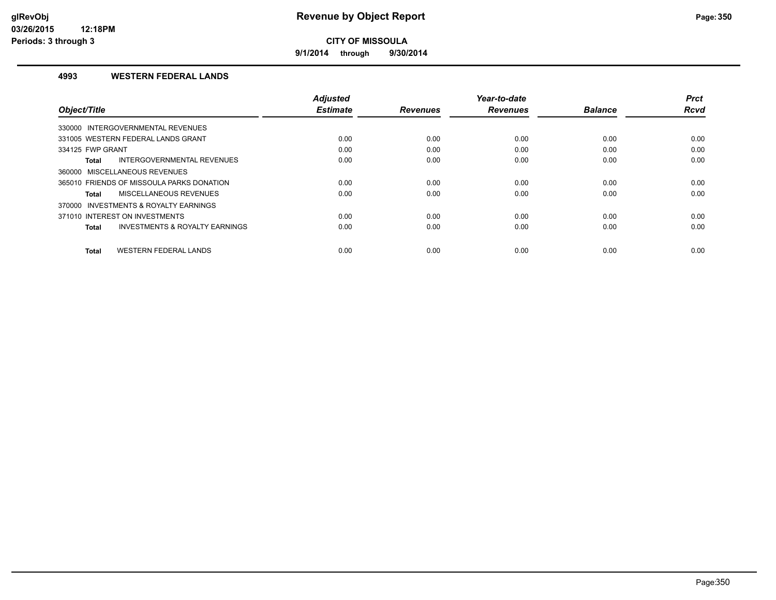**9/1/2014 through 9/30/2014**

### **4993 WESTERN FEDERAL LANDS**

|                                                    | <b>Adjusted</b> |                 | Year-to-date    |                | <b>Prct</b> |
|----------------------------------------------------|-----------------|-----------------|-----------------|----------------|-------------|
| Object/Title                                       | <b>Estimate</b> | <b>Revenues</b> | <b>Revenues</b> | <b>Balance</b> | <b>Rcvd</b> |
| 330000 INTERGOVERNMENTAL REVENUES                  |                 |                 |                 |                |             |
| 331005 WESTERN FEDERAL LANDS GRANT                 | 0.00            | 0.00            | 0.00            | 0.00           | 0.00        |
| 334125 FWP GRANT                                   | 0.00            | 0.00            | 0.00            | 0.00           | 0.00        |
| INTERGOVERNMENTAL REVENUES<br><b>Total</b>         | 0.00            | 0.00            | 0.00            | 0.00           | 0.00        |
| 360000 MISCELLANEOUS REVENUES                      |                 |                 |                 |                |             |
| 365010 FRIENDS OF MISSOULA PARKS DONATION          | 0.00            | 0.00            | 0.00            | 0.00           | 0.00        |
| MISCELLANEOUS REVENUES<br>Total                    | 0.00            | 0.00            | 0.00            | 0.00           | 0.00        |
| 370000 INVESTMENTS & ROYALTY EARNINGS              |                 |                 |                 |                |             |
| 371010 INTEREST ON INVESTMENTS                     | 0.00            | 0.00            | 0.00            | 0.00           | 0.00        |
| <b>INVESTMENTS &amp; ROYALTY EARNINGS</b><br>Total | 0.00            | 0.00            | 0.00            | 0.00           | 0.00        |
|                                                    |                 |                 |                 |                |             |
| <b>WESTERN FEDERAL LANDS</b><br><b>Total</b>       | 0.00            | 0.00            | 0.00            | 0.00           | 0.00        |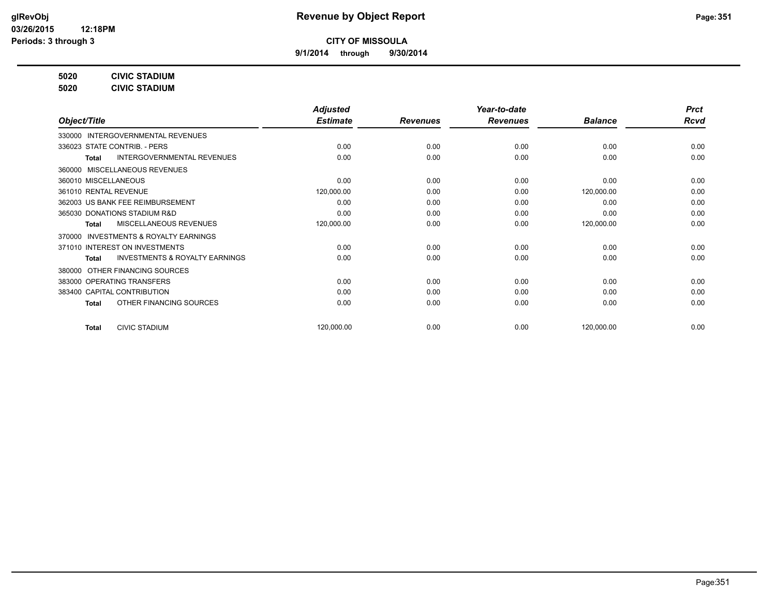**9/1/2014 through 9/30/2014**

**5020 CIVIC STADIUM**

**5020 CIVIC STADIUM**

|                                                    | <b>Adjusted</b> |                 | Year-to-date    |                | <b>Prct</b> |
|----------------------------------------------------|-----------------|-----------------|-----------------|----------------|-------------|
| Object/Title                                       | <b>Estimate</b> | <b>Revenues</b> | <b>Revenues</b> | <b>Balance</b> | <b>Rcvd</b> |
| INTERGOVERNMENTAL REVENUES<br>330000               |                 |                 |                 |                |             |
| 336023 STATE CONTRIB. - PERS                       | 0.00            | 0.00            | 0.00            | 0.00           | 0.00        |
| <b>INTERGOVERNMENTAL REVENUES</b><br>Total         | 0.00            | 0.00            | 0.00            | 0.00           | 0.00        |
| 360000 MISCELLANEOUS REVENUES                      |                 |                 |                 |                |             |
| 360010 MISCELLANEOUS                               | 0.00            | 0.00            | 0.00            | 0.00           | 0.00        |
| 361010 RENTAL REVENUE                              | 120,000.00      | 0.00            | 0.00            | 120,000.00     | 0.00        |
| 362003 US BANK FEE REIMBURSEMENT                   | 0.00            | 0.00            | 0.00            | 0.00           | 0.00        |
| 365030 DONATIONS STADIUM R&D                       | 0.00            | 0.00            | 0.00            | 0.00           | 0.00        |
| MISCELLANEOUS REVENUES<br><b>Total</b>             | 120,000.00      | 0.00            | 0.00            | 120,000.00     | 0.00        |
| 370000 INVESTMENTS & ROYALTY EARNINGS              |                 |                 |                 |                |             |
| 371010 INTEREST ON INVESTMENTS                     | 0.00            | 0.00            | 0.00            | 0.00           | 0.00        |
| <b>INVESTMENTS &amp; ROYALTY EARNINGS</b><br>Total | 0.00            | 0.00            | 0.00            | 0.00           | 0.00        |
| 380000 OTHER FINANCING SOURCES                     |                 |                 |                 |                |             |
| 383000 OPERATING TRANSFERS                         | 0.00            | 0.00            | 0.00            | 0.00           | 0.00        |
| 383400 CAPITAL CONTRIBUTION                        | 0.00            | 0.00            | 0.00            | 0.00           | 0.00        |
| OTHER FINANCING SOURCES<br><b>Total</b>            | 0.00            | 0.00            | 0.00            | 0.00           | 0.00        |
|                                                    |                 |                 |                 |                |             |
| <b>CIVIC STADIUM</b><br><b>Total</b>               | 120,000.00      | 0.00            | 0.00            | 120,000.00     | 0.00        |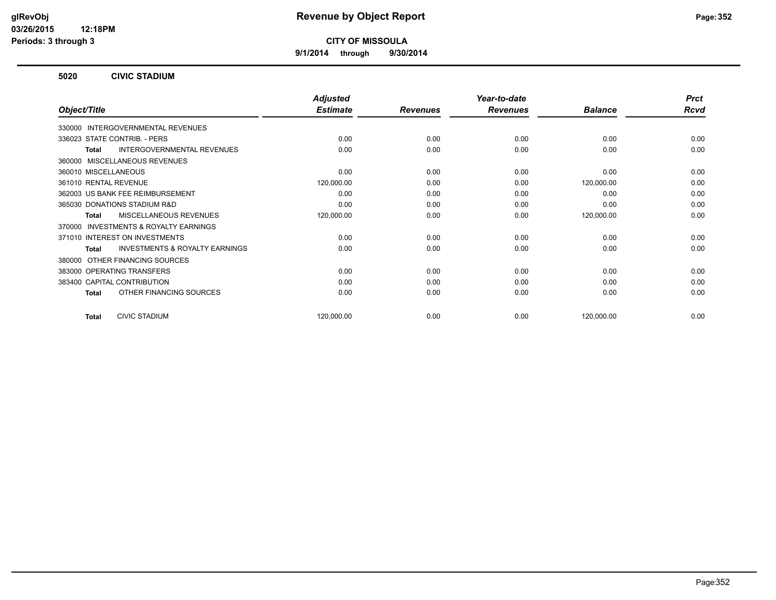**9/1/2014 through 9/30/2014**

### **5020 CIVIC STADIUM**

|                                                           | <b>Adjusted</b> |                 | Year-to-date    |                | <b>Prct</b> |
|-----------------------------------------------------------|-----------------|-----------------|-----------------|----------------|-------------|
| Object/Title                                              | <b>Estimate</b> | <b>Revenues</b> | <b>Revenues</b> | <b>Balance</b> | <b>Rcvd</b> |
| 330000 INTERGOVERNMENTAL REVENUES                         |                 |                 |                 |                |             |
| 336023 STATE CONTRIB. - PERS                              | 0.00            | 0.00            | 0.00            | 0.00           | 0.00        |
| <b>INTERGOVERNMENTAL REVENUES</b><br>Total                | 0.00            | 0.00            | 0.00            | 0.00           | 0.00        |
| 360000 MISCELLANEOUS REVENUES                             |                 |                 |                 |                |             |
| 360010 MISCELLANEOUS                                      | 0.00            | 0.00            | 0.00            | 0.00           | 0.00        |
| 361010 RENTAL REVENUE                                     | 120,000.00      | 0.00            | 0.00            | 120,000.00     | 0.00        |
| 362003 US BANK FEE REIMBURSEMENT                          | 0.00            | 0.00            | 0.00            | 0.00           | 0.00        |
| 365030 DONATIONS STADIUM R&D                              | 0.00            | 0.00            | 0.00            | 0.00           | 0.00        |
| <b>MISCELLANEOUS REVENUES</b><br><b>Total</b>             | 120,000.00      | 0.00            | 0.00            | 120,000.00     | 0.00        |
| INVESTMENTS & ROYALTY EARNINGS<br>370000                  |                 |                 |                 |                |             |
| 371010 INTEREST ON INVESTMENTS                            | 0.00            | 0.00            | 0.00            | 0.00           | 0.00        |
| <b>INVESTMENTS &amp; ROYALTY EARNINGS</b><br><b>Total</b> | 0.00            | 0.00            | 0.00            | 0.00           | 0.00        |
| OTHER FINANCING SOURCES<br>380000                         |                 |                 |                 |                |             |
| 383000 OPERATING TRANSFERS                                | 0.00            | 0.00            | 0.00            | 0.00           | 0.00        |
| 383400 CAPITAL CONTRIBUTION                               | 0.00            | 0.00            | 0.00            | 0.00           | 0.00        |
| OTHER FINANCING SOURCES<br>Total                          | 0.00            | 0.00            | 0.00            | 0.00           | 0.00        |
| <b>CIVIC STADIUM</b><br><b>Total</b>                      | 120,000.00      | 0.00            | 0.00            | 120,000.00     | 0.00        |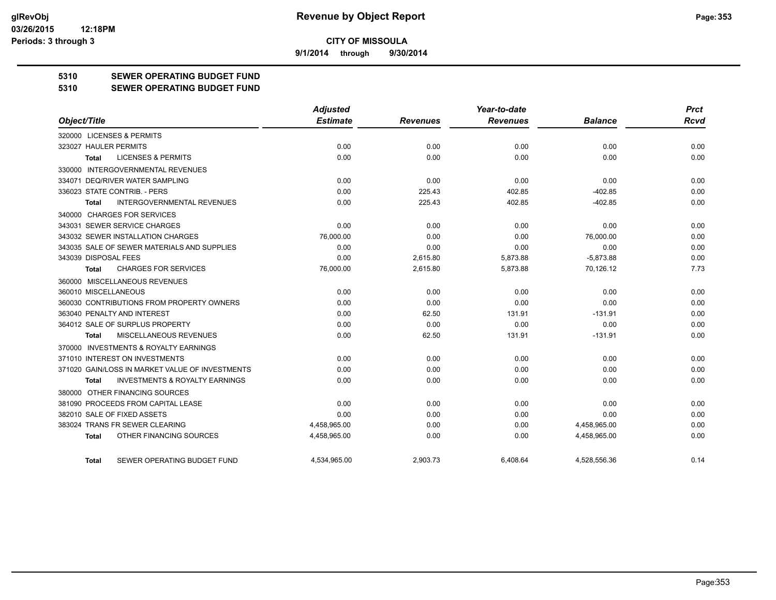**9/1/2014 through 9/30/2014**

### **5310 SEWER OPERATING BUDGET FUND**

#### **5310 SEWER OPERATING BUDGET FUND**

|                                                    | <b>Adjusted</b> |                 | Year-to-date    |                | <b>Prct</b> |
|----------------------------------------------------|-----------------|-----------------|-----------------|----------------|-------------|
| Object/Title                                       | <b>Estimate</b> | <b>Revenues</b> | <b>Revenues</b> | <b>Balance</b> | <b>Rcvd</b> |
| 320000 LICENSES & PERMITS                          |                 |                 |                 |                |             |
| 323027 HAULER PERMITS                              | 0.00            | 0.00            | 0.00            | 0.00           | 0.00        |
| <b>LICENSES &amp; PERMITS</b><br><b>Total</b>      | 0.00            | 0.00            | 0.00            | 0.00           | 0.00        |
| 330000 INTERGOVERNMENTAL REVENUES                  |                 |                 |                 |                |             |
| 334071 DEQ/RIVER WATER SAMPLING                    | 0.00            | 0.00            | 0.00            | 0.00           | 0.00        |
| 336023 STATE CONTRIB. - PERS                       | 0.00            | 225.43          | 402.85          | $-402.85$      | 0.00        |
| <b>INTERGOVERNMENTAL REVENUES</b><br><b>Total</b>  | 0.00            | 225.43          | 402.85          | $-402.85$      | 0.00        |
| 340000 CHARGES FOR SERVICES                        |                 |                 |                 |                |             |
| 343031 SEWER SERVICE CHARGES                       | 0.00            | 0.00            | 0.00            | 0.00           | 0.00        |
| 343032 SEWER INSTALLATION CHARGES                  | 76,000.00       | 0.00            | 0.00            | 76,000.00      | 0.00        |
| 343035 SALE OF SEWER MATERIALS AND SUPPLIES        | 0.00            | 0.00            | 0.00            | 0.00           | 0.00        |
| 343039 DISPOSAL FEES                               | 0.00            | 2,615.80        | 5,873.88        | $-5,873.88$    | 0.00        |
| <b>CHARGES FOR SERVICES</b><br><b>Total</b>        | 76,000.00       | 2,615.80        | 5,873.88        | 70,126.12      | 7.73        |
| 360000 MISCELLANEOUS REVENUES                      |                 |                 |                 |                |             |
| 360010 MISCELLANEOUS                               | 0.00            | 0.00            | 0.00            | 0.00           | 0.00        |
| 360030 CONTRIBUTIONS FROM PROPERTY OWNERS          | 0.00            | 0.00            | 0.00            | 0.00           | 0.00        |
| 363040 PENALTY AND INTEREST                        | 0.00            | 62.50           | 131.91          | $-131.91$      | 0.00        |
| 364012 SALE OF SURPLUS PROPERTY                    | 0.00            | 0.00            | 0.00            | 0.00           | 0.00        |
| MISCELLANEOUS REVENUES<br>Total                    | 0.00            | 62.50           | 131.91          | $-131.91$      | 0.00        |
| 370000 INVESTMENTS & ROYALTY EARNINGS              |                 |                 |                 |                |             |
| 371010 INTEREST ON INVESTMENTS                     | 0.00            | 0.00            | 0.00            | 0.00           | 0.00        |
| 371020 GAIN/LOSS IN MARKET VALUE OF INVESTMENTS    | 0.00            | 0.00            | 0.00            | 0.00           | 0.00        |
| <b>INVESTMENTS &amp; ROYALTY EARNINGS</b><br>Total | 0.00            | 0.00            | 0.00            | 0.00           | 0.00        |
| 380000 OTHER FINANCING SOURCES                     |                 |                 |                 |                |             |
| 381090 PROCEEDS FROM CAPITAL LEASE                 | 0.00            | 0.00            | 0.00            | 0.00           | 0.00        |
| 382010 SALE OF FIXED ASSETS                        | 0.00            | 0.00            | 0.00            | 0.00           | 0.00        |
| 383024 TRANS FR SEWER CLEARING                     | 4,458,965.00    | 0.00            | 0.00            | 4,458,965.00   | 0.00        |
| OTHER FINANCING SOURCES<br><b>Total</b>            | 4,458,965.00    | 0.00            | 0.00            | 4,458,965.00   | 0.00        |
| SEWER OPERATING BUDGET FUND<br>Total               | 4.534.965.00    | 2.903.73        | 6.408.64        | 4.528.556.36   | 0.14        |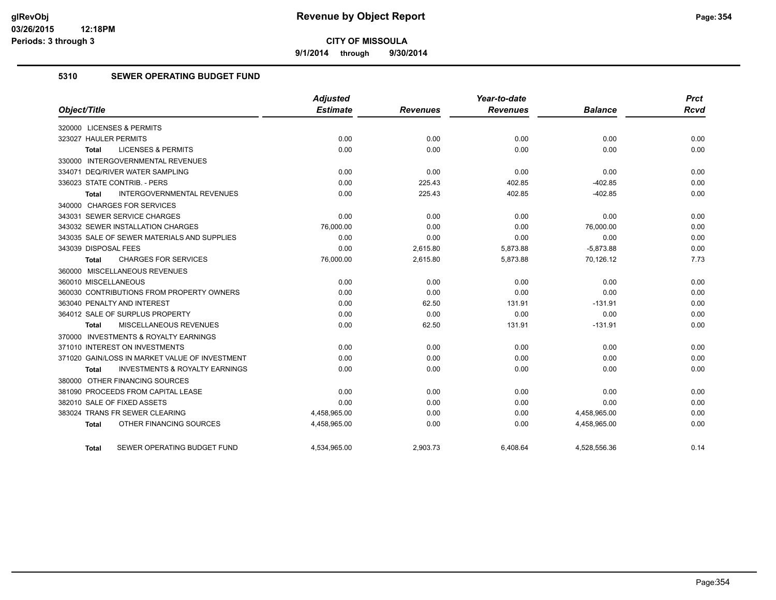**9/1/2014 through 9/30/2014**

### **5310 SEWER OPERATING BUDGET FUND**

| Object/Title                                       | <b>Adjusted</b><br><b>Estimate</b> | <b>Revenues</b> | Year-to-date<br><b>Revenues</b> | <b>Balance</b> | <b>Prct</b><br><b>Rcvd</b> |
|----------------------------------------------------|------------------------------------|-----------------|---------------------------------|----------------|----------------------------|
|                                                    |                                    |                 |                                 |                |                            |
| 320000 LICENSES & PERMITS                          |                                    |                 |                                 |                |                            |
| 323027 HAULER PERMITS                              | 0.00                               | 0.00            | 0.00                            | 0.00           | 0.00                       |
| <b>LICENSES &amp; PERMITS</b><br><b>Total</b>      | 0.00                               | 0.00            | 0.00                            | 0.00           | 0.00                       |
| 330000 INTERGOVERNMENTAL REVENUES                  |                                    |                 |                                 |                |                            |
| 334071 DEQ/RIVER WATER SAMPLING                    | 0.00                               | 0.00            | 0.00                            | 0.00           | 0.00                       |
| 336023 STATE CONTRIB. - PERS                       | 0.00                               | 225.43          | 402.85                          | $-402.85$      | 0.00                       |
| INTERGOVERNMENTAL REVENUES<br><b>Total</b>         | 0.00                               | 225.43          | 402.85                          | $-402.85$      | 0.00                       |
| 340000 CHARGES FOR SERVICES                        |                                    |                 |                                 |                |                            |
| 343031 SEWER SERVICE CHARGES                       | 0.00                               | 0.00            | 0.00                            | 0.00           | 0.00                       |
| 343032 SEWER INSTALLATION CHARGES                  | 76,000.00                          | 0.00            | 0.00                            | 76,000.00      | 0.00                       |
| 343035 SALE OF SEWER MATERIALS AND SUPPLIES        | 0.00                               | 0.00            | 0.00                            | 0.00           | 0.00                       |
| 343039 DISPOSAL FEES                               | 0.00                               | 2,615.80        | 5,873.88                        | $-5,873.88$    | 0.00                       |
| <b>CHARGES FOR SERVICES</b><br><b>Total</b>        | 76,000.00                          | 2,615.80        | 5,873.88                        | 70,126.12      | 7.73                       |
| 360000 MISCELLANEOUS REVENUES                      |                                    |                 |                                 |                |                            |
| 360010 MISCELLANEOUS                               | 0.00                               | 0.00            | 0.00                            | 0.00           | 0.00                       |
| 360030 CONTRIBUTIONS FROM PROPERTY OWNERS          | 0.00                               | 0.00            | 0.00                            | 0.00           | 0.00                       |
| 363040 PENALTY AND INTEREST                        | 0.00                               | 62.50           | 131.91                          | $-131.91$      | 0.00                       |
| 364012 SALE OF SURPLUS PROPERTY                    | 0.00                               | 0.00            | 0.00                            | 0.00           | 0.00                       |
| MISCELLANEOUS REVENUES<br><b>Total</b>             | 0.00                               | 62.50           | 131.91                          | $-131.91$      | 0.00                       |
| 370000 INVESTMENTS & ROYALTY EARNINGS              |                                    |                 |                                 |                |                            |
| 371010 INTEREST ON INVESTMENTS                     | 0.00                               | 0.00            | 0.00                            | 0.00           | 0.00                       |
| 371020 GAIN/LOSS IN MARKET VALUE OF INVESTMENT     | 0.00                               | 0.00            | 0.00                            | 0.00           | 0.00                       |
| <b>INVESTMENTS &amp; ROYALTY EARNINGS</b><br>Total | 0.00                               | 0.00            | 0.00                            | 0.00           | 0.00                       |
| 380000 OTHER FINANCING SOURCES                     |                                    |                 |                                 |                |                            |
| 381090 PROCEEDS FROM CAPITAL LEASE                 | 0.00                               | 0.00            | 0.00                            | 0.00           | 0.00                       |
| 382010 SALE OF FIXED ASSETS                        | 0.00                               | 0.00            | 0.00                            | 0.00           | 0.00                       |
| 383024 TRANS FR SEWER CLEARING                     | 4,458,965.00                       | 0.00            | 0.00                            | 4,458,965.00   | 0.00                       |
| OTHER FINANCING SOURCES<br><b>Total</b>            | 4,458,965.00                       | 0.00            | 0.00                            | 4,458,965.00   | 0.00                       |
| SEWER OPERATING BUDGET FUND<br><b>Total</b>        | 4,534,965.00                       | 2,903.73        | 6.408.64                        | 4,528,556.36   | 0.14                       |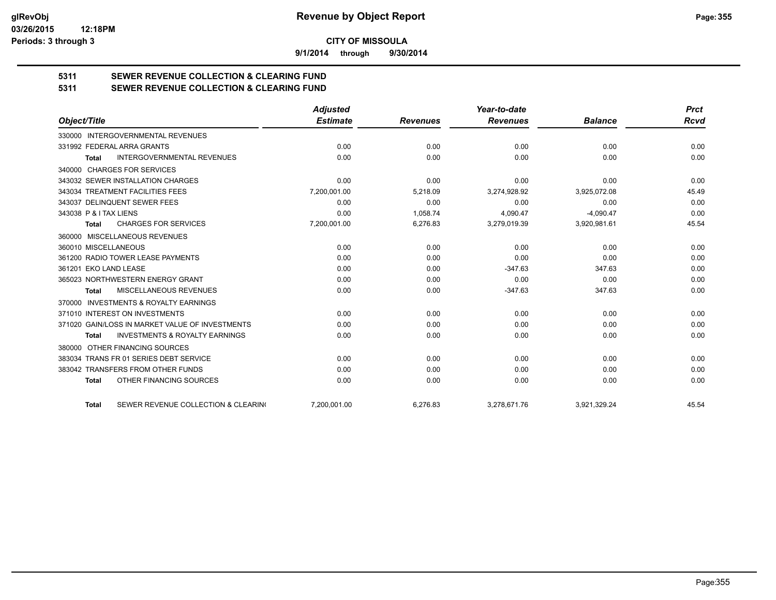**9/1/2014 through 9/30/2014**

# **5311 SEWER REVENUE COLLECTION & CLEARING FUND**

| 5311 | SEWER REVENUE COLLECTION & CLEARING FUND |
|------|------------------------------------------|
|      |                                          |

|                                                           | <b>Adjusted</b> |                 | Year-to-date    |                | <b>Prct</b> |
|-----------------------------------------------------------|-----------------|-----------------|-----------------|----------------|-------------|
| Object/Title                                              | <b>Estimate</b> | <b>Revenues</b> | <b>Revenues</b> | <b>Balance</b> | <b>Rcvd</b> |
| 330000 INTERGOVERNMENTAL REVENUES                         |                 |                 |                 |                |             |
| 331992 FEDERAL ARRA GRANTS                                | 0.00            | 0.00            | 0.00            | 0.00           | 0.00        |
| <b>INTERGOVERNMENTAL REVENUES</b><br><b>Total</b>         | 0.00            | 0.00            | 0.00            | 0.00           | 0.00        |
| 340000 CHARGES FOR SERVICES                               |                 |                 |                 |                |             |
| 343032 SEWER INSTALLATION CHARGES                         | 0.00            | 0.00            | 0.00            | 0.00           | 0.00        |
| 343034 TREATMENT FACILITIES FEES                          | 7,200,001.00    | 5.218.09        | 3,274,928.92    | 3,925,072.08   | 45.49       |
| 343037 DELINQUENT SEWER FEES                              | 0.00            | 0.00            | 0.00            | 0.00           | 0.00        |
| 343038 P & I TAX LIENS                                    | 0.00            | 1,058.74        | 4,090.47        | $-4,090.47$    | 0.00        |
| <b>CHARGES FOR SERVICES</b><br><b>Total</b>               | 7,200,001.00    | 6,276.83        | 3,279,019.39    | 3,920,981.61   | 45.54       |
| MISCELLANEOUS REVENUES<br>360000                          |                 |                 |                 |                |             |
| 360010 MISCELLANEOUS                                      | 0.00            | 0.00            | 0.00            | 0.00           | 0.00        |
| 361200 RADIO TOWER LEASE PAYMENTS                         | 0.00            | 0.00            | 0.00            | 0.00           | 0.00        |
| 361201 EKO LAND LEASE                                     | 0.00            | 0.00            | $-347.63$       | 347.63         | 0.00        |
| 365023 NORTHWESTERN ENERGY GRANT                          | 0.00            | 0.00            | 0.00            | 0.00           | 0.00        |
| MISCELLANEOUS REVENUES<br><b>Total</b>                    | 0.00            | 0.00            | $-347.63$       | 347.63         | 0.00        |
| 370000 INVESTMENTS & ROYALTY EARNINGS                     |                 |                 |                 |                |             |
| 371010 INTEREST ON INVESTMENTS                            | 0.00            | 0.00            | 0.00            | 0.00           | 0.00        |
| 371020 GAIN/LOSS IN MARKET VALUE OF INVESTMENTS           | 0.00            | 0.00            | 0.00            | 0.00           | 0.00        |
| <b>INVESTMENTS &amp; ROYALTY EARNINGS</b><br><b>Total</b> | 0.00            | 0.00            | 0.00            | 0.00           | 0.00        |
| OTHER FINANCING SOURCES<br>380000                         |                 |                 |                 |                |             |
| 383034 TRANS FR 01 SERIES DEBT SERVICE                    | 0.00            | 0.00            | 0.00            | 0.00           | 0.00        |
| 383042 TRANSFERS FROM OTHER FUNDS                         | 0.00            | 0.00            | 0.00            | 0.00           | 0.00        |
| OTHER FINANCING SOURCES<br><b>Total</b>                   | 0.00            | 0.00            | 0.00            | 0.00           | 0.00        |
| SEWER REVENUE COLLECTION & CLEARING<br><b>Total</b>       | 7,200,001.00    | 6,276.83        | 3,278,671.76    | 3,921,329.24   | 45.54       |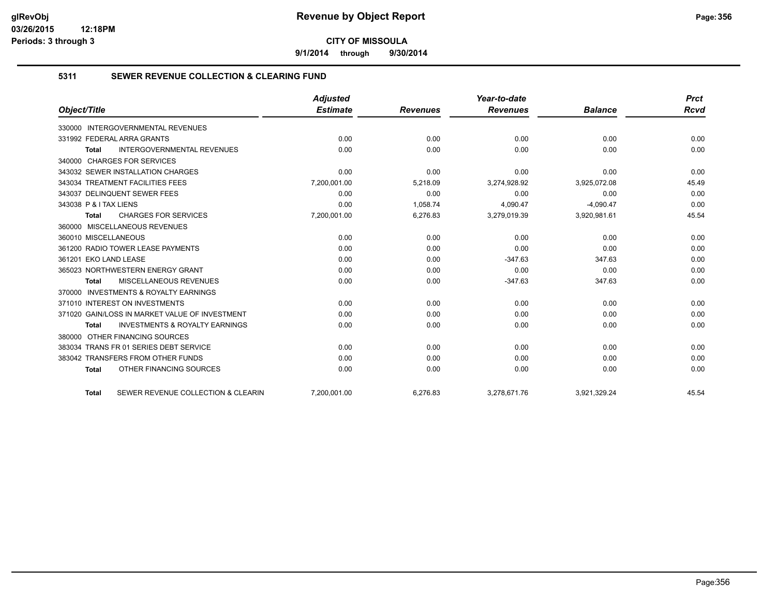**9/1/2014 through 9/30/2014**

### **5311 SEWER REVENUE COLLECTION & CLEARING FUND**

|                                                           | <b>Adjusted</b> |                 | Year-to-date    |                | <b>Prct</b> |
|-----------------------------------------------------------|-----------------|-----------------|-----------------|----------------|-------------|
| Object/Title                                              | <b>Estimate</b> | <b>Revenues</b> | <b>Revenues</b> | <b>Balance</b> | <b>Rcvd</b> |
| <b>INTERGOVERNMENTAL REVENUES</b><br>330000               |                 |                 |                 |                |             |
| 331992 FEDERAL ARRA GRANTS                                | 0.00            | 0.00            | 0.00            | 0.00           | 0.00        |
| <b>INTERGOVERNMENTAL REVENUES</b><br><b>Total</b>         | 0.00            | 0.00            | 0.00            | 0.00           | 0.00        |
| 340000 CHARGES FOR SERVICES                               |                 |                 |                 |                |             |
| 343032 SEWER INSTALLATION CHARGES                         | 0.00            | 0.00            | 0.00            | 0.00           | 0.00        |
| 343034 TREATMENT FACILITIES FEES                          | 7,200,001.00    | 5,218.09        | 3,274,928.92    | 3,925,072.08   | 45.49       |
| 343037 DELINQUENT SEWER FEES                              | 0.00            | 0.00            | 0.00            | 0.00           | 0.00        |
| 343038 P & I TAX LIENS                                    | 0.00            | 1.058.74        | 4.090.47        | $-4.090.47$    | 0.00        |
| <b>CHARGES FOR SERVICES</b><br><b>Total</b>               | 7,200,001.00    | 6,276.83        | 3,279,019.39    | 3,920,981.61   | 45.54       |
| 360000 MISCELLANEOUS REVENUES                             |                 |                 |                 |                |             |
| 360010 MISCELLANEOUS                                      | 0.00            | 0.00            | 0.00            | 0.00           | 0.00        |
| 361200 RADIO TOWER LEASE PAYMENTS                         | 0.00            | 0.00            | 0.00            | 0.00           | 0.00        |
| 361201 EKO LAND LEASE                                     | 0.00            | 0.00            | $-347.63$       | 347.63         | 0.00        |
| 365023 NORTHWESTERN ENERGY GRANT                          | 0.00            | 0.00            | 0.00            | 0.00           | 0.00        |
| MISCELLANEOUS REVENUES<br><b>Total</b>                    | 0.00            | 0.00            | $-347.63$       | 347.63         | 0.00        |
| 370000 INVESTMENTS & ROYALTY EARNINGS                     |                 |                 |                 |                |             |
| 371010 INTEREST ON INVESTMENTS                            | 0.00            | 0.00            | 0.00            | 0.00           | 0.00        |
| 371020 GAIN/LOSS IN MARKET VALUE OF INVESTMENT            | 0.00            | 0.00            | 0.00            | 0.00           | 0.00        |
| <b>INVESTMENTS &amp; ROYALTY EARNINGS</b><br><b>Total</b> | 0.00            | 0.00            | 0.00            | 0.00           | 0.00        |
| OTHER FINANCING SOURCES<br>380000                         |                 |                 |                 |                |             |
| 383034 TRANS FR 01 SERIES DEBT SERVICE                    | 0.00            | 0.00            | 0.00            | 0.00           | 0.00        |
| 383042 TRANSFERS FROM OTHER FUNDS                         | 0.00            | 0.00            | 0.00            | 0.00           | 0.00        |
| OTHER FINANCING SOURCES<br><b>Total</b>                   | 0.00            | 0.00            | 0.00            | 0.00           | 0.00        |
| SEWER REVENUE COLLECTION & CLEARIN<br><b>Total</b>        | 7,200,001.00    | 6,276.83        | 3,278,671.76    | 3,921,329.24   | 45.54       |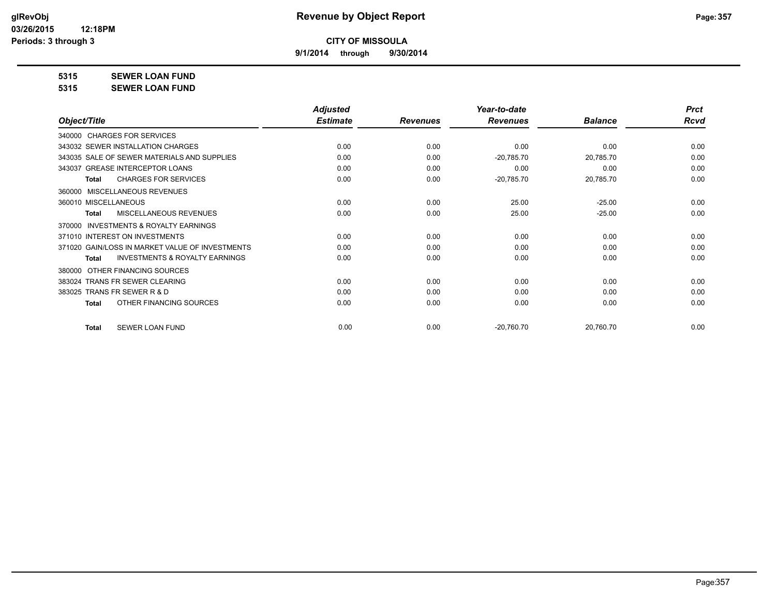**9/1/2014 through 9/30/2014**

**5315 SEWER LOAN FUND**

**5315 SEWER LOAN FUND**

|                                                           | <b>Adjusted</b> |                 | Year-to-date    |                | <b>Prct</b> |
|-----------------------------------------------------------|-----------------|-----------------|-----------------|----------------|-------------|
| Object/Title                                              | <b>Estimate</b> | <b>Revenues</b> | <b>Revenues</b> | <b>Balance</b> | <b>Rcvd</b> |
| 340000 CHARGES FOR SERVICES                               |                 |                 |                 |                |             |
| 343032 SEWER INSTALLATION CHARGES                         | 0.00            | 0.00            | 0.00            | 0.00           | 0.00        |
| 343035 SALE OF SEWER MATERIALS AND SUPPLIES               | 0.00            | 0.00            | $-20,785.70$    | 20,785.70      | 0.00        |
| 343037 GREASE INTERCEPTOR LOANS                           | 0.00            | 0.00            | 0.00            | 0.00           | 0.00        |
| <b>CHARGES FOR SERVICES</b><br><b>Total</b>               | 0.00            | 0.00            | $-20,785.70$    | 20,785.70      | 0.00        |
| MISCELLANEOUS REVENUES<br>360000                          |                 |                 |                 |                |             |
| 360010 MISCELLANEOUS                                      | 0.00            | 0.00            | 25.00           | $-25.00$       | 0.00        |
| MISCELLANEOUS REVENUES<br><b>Total</b>                    | 0.00            | 0.00            | 25.00           | $-25.00$       | 0.00        |
| <b>INVESTMENTS &amp; ROYALTY EARNINGS</b><br>370000       |                 |                 |                 |                |             |
| 371010 INTEREST ON INVESTMENTS                            | 0.00            | 0.00            | 0.00            | 0.00           | 0.00        |
| 371020 GAIN/LOSS IN MARKET VALUE OF INVESTMENTS           | 0.00            | 0.00            | 0.00            | 0.00           | 0.00        |
| <b>INVESTMENTS &amp; ROYALTY EARNINGS</b><br><b>Total</b> | 0.00            | 0.00            | 0.00            | 0.00           | 0.00        |
| OTHER FINANCING SOURCES<br>380000                         |                 |                 |                 |                |             |
| 383024 TRANS FR SEWER CLEARING                            | 0.00            | 0.00            | 0.00            | 0.00           | 0.00        |
| 383025 TRANS FR SEWER R & D                               | 0.00            | 0.00            | 0.00            | 0.00           | 0.00        |
| OTHER FINANCING SOURCES<br><b>Total</b>                   | 0.00            | 0.00            | 0.00            | 0.00           | 0.00        |
|                                                           |                 |                 |                 |                |             |
| <b>SEWER LOAN FUND</b><br><b>Total</b>                    | 0.00            | 0.00            | $-20,760.70$    | 20,760.70      | 0.00        |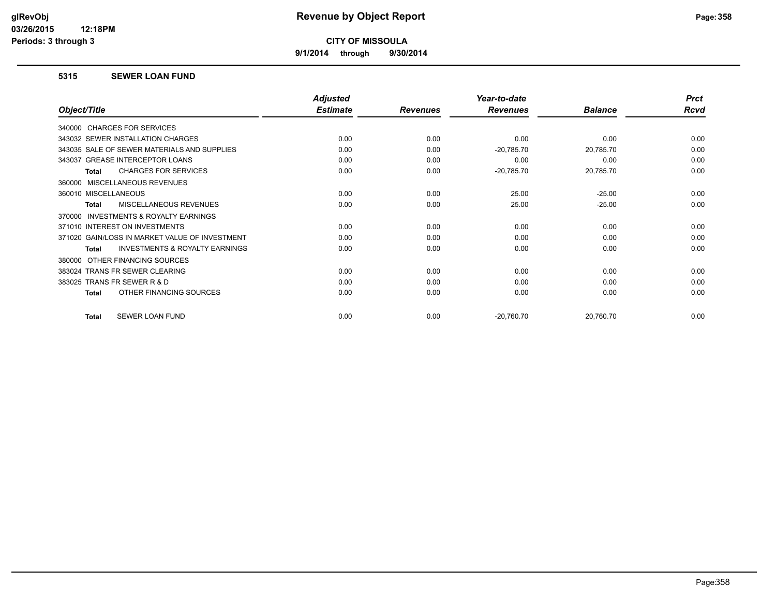**9/1/2014 through 9/30/2014**

### **5315 SEWER LOAN FUND**

|                                                    | <b>Adjusted</b> |                 | Year-to-date    |                | <b>Prct</b> |
|----------------------------------------------------|-----------------|-----------------|-----------------|----------------|-------------|
| Object/Title                                       | <b>Estimate</b> | <b>Revenues</b> | <b>Revenues</b> | <b>Balance</b> | <b>Rcvd</b> |
| 340000 CHARGES FOR SERVICES                        |                 |                 |                 |                |             |
| 343032 SEWER INSTALLATION CHARGES                  | 0.00            | 0.00            | 0.00            | 0.00           | 0.00        |
| 343035 SALE OF SEWER MATERIALS AND SUPPLIES        | 0.00            | 0.00            | $-20,785.70$    | 20,785.70      | 0.00        |
| 343037 GREASE INTERCEPTOR LOANS                    | 0.00            | 0.00            | 0.00            | 0.00           | 0.00        |
| <b>CHARGES FOR SERVICES</b><br>Total               | 0.00            | 0.00            | $-20,785.70$    | 20,785.70      | 0.00        |
| 360000 MISCELLANEOUS REVENUES                      |                 |                 |                 |                |             |
| 360010 MISCELLANEOUS                               | 0.00            | 0.00            | 25.00           | $-25.00$       | 0.00        |
| <b>MISCELLANEOUS REVENUES</b><br><b>Total</b>      | 0.00            | 0.00            | 25.00           | $-25.00$       | 0.00        |
| INVESTMENTS & ROYALTY EARNINGS<br>370000           |                 |                 |                 |                |             |
| 371010 INTEREST ON INVESTMENTS                     | 0.00            | 0.00            | 0.00            | 0.00           | 0.00        |
| 371020 GAIN/LOSS IN MARKET VALUE OF INVESTMENT     | 0.00            | 0.00            | 0.00            | 0.00           | 0.00        |
| <b>INVESTMENTS &amp; ROYALTY EARNINGS</b><br>Total | 0.00            | 0.00            | 0.00            | 0.00           | 0.00        |
| OTHER FINANCING SOURCES<br>380000                  |                 |                 |                 |                |             |
| 383024 TRANS FR SEWER CLEARING                     | 0.00            | 0.00            | 0.00            | 0.00           | 0.00        |
| 383025 TRANS FR SEWER R & D                        | 0.00            | 0.00            | 0.00            | 0.00           | 0.00        |
| OTHER FINANCING SOURCES<br>Total                   | 0.00            | 0.00            | 0.00            | 0.00           | 0.00        |
| SEWER LOAN FUND<br><b>Total</b>                    | 0.00            | 0.00            | $-20,760.70$    | 20,760.70      | 0.00        |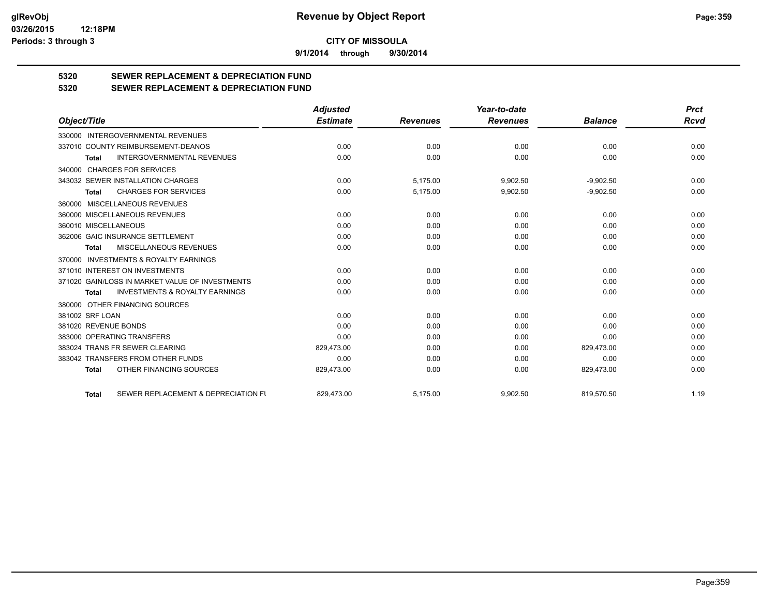**9/1/2014 through 9/30/2014**

# **5320 SEWER REPLACEMENT & DEPRECIATION FUND**

# **5320 SEWER REPLACEMENT & DEPRECIATION FUND**

|                                                           | <b>Adjusted</b> |                 | Year-to-date    |                | <b>Prct</b> |
|-----------------------------------------------------------|-----------------|-----------------|-----------------|----------------|-------------|
| Object/Title                                              | <b>Estimate</b> | <b>Revenues</b> | <b>Revenues</b> | <b>Balance</b> | Rcvd        |
| <b>INTERGOVERNMENTAL REVENUES</b><br>330000               |                 |                 |                 |                |             |
| 337010 COUNTY REIMBURSEMENT-DEANOS                        | 0.00            | 0.00            | 0.00            | 0.00           | 0.00        |
| <b>INTERGOVERNMENTAL REVENUES</b><br><b>Total</b>         | 0.00            | 0.00            | 0.00            | 0.00           | 0.00        |
| 340000 CHARGES FOR SERVICES                               |                 |                 |                 |                |             |
| 343032 SEWER INSTALLATION CHARGES                         | 0.00            | 5,175.00        | 9,902.50        | $-9,902.50$    | 0.00        |
| <b>CHARGES FOR SERVICES</b><br>Total                      | 0.00            | 5,175.00        | 9,902.50        | $-9,902.50$    | 0.00        |
| 360000 MISCELLANEOUS REVENUES                             |                 |                 |                 |                |             |
| 360000 MISCELLANEOUS REVENUES                             | 0.00            | 0.00            | 0.00            | 0.00           | 0.00        |
| 360010 MISCELLANEOUS                                      | 0.00            | 0.00            | 0.00            | 0.00           | 0.00        |
| 362006 GAIC INSURANCE SETTLEMENT                          | 0.00            | 0.00            | 0.00            | 0.00           | 0.00        |
| MISCELLANEOUS REVENUES<br>Total                           | 0.00            | 0.00            | 0.00            | 0.00           | 0.00        |
| 370000 INVESTMENTS & ROYALTY EARNINGS                     |                 |                 |                 |                |             |
| 371010 INTEREST ON INVESTMENTS                            | 0.00            | 0.00            | 0.00            | 0.00           | 0.00        |
| 371020 GAIN/LOSS IN MARKET VALUE OF INVESTMENTS           | 0.00            | 0.00            | 0.00            | 0.00           | 0.00        |
| <b>INVESTMENTS &amp; ROYALTY EARNINGS</b><br><b>Total</b> | 0.00            | 0.00            | 0.00            | 0.00           | 0.00        |
| 380000 OTHER FINANCING SOURCES                            |                 |                 |                 |                |             |
| 381002 SRF LOAN                                           | 0.00            | 0.00            | 0.00            | 0.00           | 0.00        |
| 381020 REVENUE BONDS                                      | 0.00            | 0.00            | 0.00            | 0.00           | 0.00        |
| 383000 OPERATING TRANSFERS                                | 0.00            | 0.00            | 0.00            | 0.00           | 0.00        |
| 383024 TRANS FR SEWER CLEARING                            | 829,473.00      | 0.00            | 0.00            | 829,473.00     | 0.00        |
| 383042 TRANSFERS FROM OTHER FUNDS                         | 0.00            | 0.00            | 0.00            | 0.00           | 0.00        |
| OTHER FINANCING SOURCES<br><b>Total</b>                   | 829,473.00      | 0.00            | 0.00            | 829,473.00     | 0.00        |
| SEWER REPLACEMENT & DEPRECIATION FU<br><b>Total</b>       | 829.473.00      | 5,175.00        | 9,902.50        | 819,570.50     | 1.19        |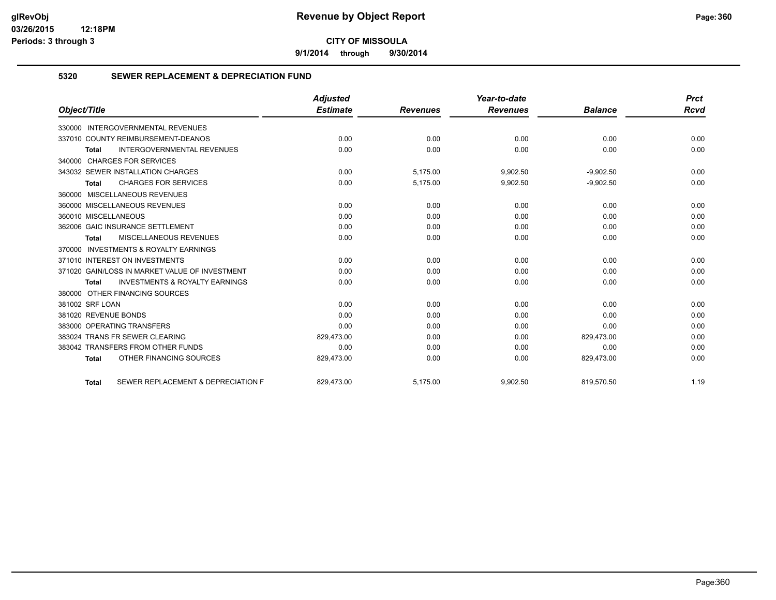**9/1/2014 through 9/30/2014**

### **5320 SEWER REPLACEMENT & DEPRECIATION FUND**

| Object/Title                                              | <b>Adjusted</b> |                 | Year-to-date    |                | <b>Prct</b> |
|-----------------------------------------------------------|-----------------|-----------------|-----------------|----------------|-------------|
|                                                           | <b>Estimate</b> | <b>Revenues</b> | <b>Revenues</b> | <b>Balance</b> | <b>Rcvd</b> |
| 330000 INTERGOVERNMENTAL REVENUES                         |                 |                 |                 |                |             |
| 337010 COUNTY REIMBURSEMENT-DEANOS                        | 0.00            | 0.00            | 0.00            | 0.00           | 0.00        |
| <b>INTERGOVERNMENTAL REVENUES</b><br><b>Total</b>         | 0.00            | 0.00            | 0.00            | 0.00           | 0.00        |
| 340000 CHARGES FOR SERVICES                               |                 |                 |                 |                |             |
| 343032 SEWER INSTALLATION CHARGES                         | 0.00            | 5,175.00        | 9,902.50        | $-9,902.50$    | 0.00        |
| <b>CHARGES FOR SERVICES</b><br><b>Total</b>               | 0.00            | 5,175.00        | 9,902.50        | $-9,902.50$    | 0.00        |
| 360000 MISCELLANEOUS REVENUES                             |                 |                 |                 |                |             |
| 360000 MISCELLANEOUS REVENUES                             | 0.00            | 0.00            | 0.00            | 0.00           | 0.00        |
| 360010 MISCELLANEOUS                                      | 0.00            | 0.00            | 0.00            | 0.00           | 0.00        |
| 362006 GAIC INSURANCE SETTLEMENT                          | 0.00            | 0.00            | 0.00            | 0.00           | 0.00        |
| MISCELLANEOUS REVENUES<br><b>Total</b>                    | 0.00            | 0.00            | 0.00            | 0.00           | 0.00        |
| <b>INVESTMENTS &amp; ROYALTY EARNINGS</b><br>370000       |                 |                 |                 |                |             |
| 371010 INTEREST ON INVESTMENTS                            | 0.00            | 0.00            | 0.00            | 0.00           | 0.00        |
| 371020 GAIN/LOSS IN MARKET VALUE OF INVESTMENT            | 0.00            | 0.00            | 0.00            | 0.00           | 0.00        |
| <b>INVESTMENTS &amp; ROYALTY EARNINGS</b><br><b>Total</b> | 0.00            | 0.00            | 0.00            | 0.00           | 0.00        |
| 380000 OTHER FINANCING SOURCES                            |                 |                 |                 |                |             |
| 381002 SRF LOAN                                           | 0.00            | 0.00            | 0.00            | 0.00           | 0.00        |
| 381020 REVENUE BONDS                                      | 0.00            | 0.00            | 0.00            | 0.00           | 0.00        |
| 383000 OPERATING TRANSFERS                                | 0.00            | 0.00            | 0.00            | 0.00           | 0.00        |
| 383024 TRANS FR SEWER CLEARING                            | 829,473.00      | 0.00            | 0.00            | 829,473.00     | 0.00        |
| 383042 TRANSFERS FROM OTHER FUNDS                         | 0.00            | 0.00            | 0.00            | 0.00           | 0.00        |
| OTHER FINANCING SOURCES<br><b>Total</b>                   | 829,473.00      | 0.00            | 0.00            | 829,473.00     | 0.00        |
| SEWER REPLACEMENT & DEPRECIATION F<br><b>Total</b>        | 829.473.00      | 5.175.00        | 9.902.50        | 819.570.50     | 1.19        |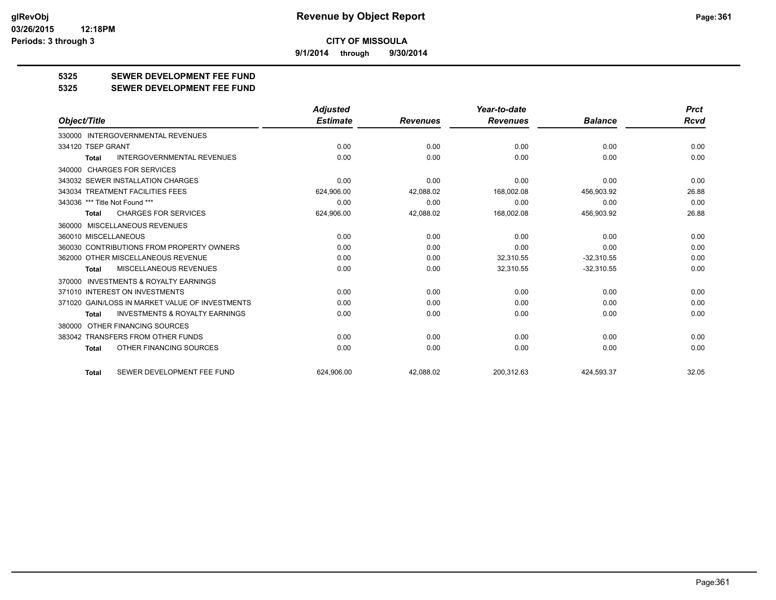**9/1/2014 through 9/30/2014**

## **5325 SEWER DEVELOPMENT FEE FUND**

#### **5325 SEWER DEVELOPMENT FEE FUND**

|                                                           | <b>Adjusted</b> |                 | Year-to-date    |                | <b>Prct</b> |
|-----------------------------------------------------------|-----------------|-----------------|-----------------|----------------|-------------|
| Object/Title                                              | <b>Estimate</b> | <b>Revenues</b> | <b>Revenues</b> | <b>Balance</b> | <b>Rcvd</b> |
| <b>INTERGOVERNMENTAL REVENUES</b><br>330000               |                 |                 |                 |                |             |
| 334120 TSEP GRANT                                         | 0.00            | 0.00            | 0.00            | 0.00           | 0.00        |
| <b>INTERGOVERNMENTAL REVENUES</b><br><b>Total</b>         | 0.00            | 0.00            | 0.00            | 0.00           | 0.00        |
| 340000 CHARGES FOR SERVICES                               |                 |                 |                 |                |             |
| 343032 SEWER INSTALLATION CHARGES                         | 0.00            | 0.00            | 0.00            | 0.00           | 0.00        |
| 343034 TREATMENT FACILITIES FEES                          | 624,906.00      | 42,088.02       | 168,002.08      | 456,903.92     | 26.88       |
| 343036 *** Title Not Found ***                            | 0.00            | 0.00            | 0.00            | 0.00           | 0.00        |
| <b>CHARGES FOR SERVICES</b><br><b>Total</b>               | 624,906.00      | 42,088.02       | 168,002.08      | 456,903.92     | 26.88       |
| 360000 MISCELLANEOUS REVENUES                             |                 |                 |                 |                |             |
| 360010 MISCELLANEOUS                                      | 0.00            | 0.00            | 0.00            | 0.00           | 0.00        |
| 360030 CONTRIBUTIONS FROM PROPERTY OWNERS                 | 0.00            | 0.00            | 0.00            | 0.00           | 0.00        |
| 362000 OTHER MISCELLANEOUS REVENUE                        | 0.00            | 0.00            | 32,310.55       | $-32,310.55$   | 0.00        |
| MISCELLANEOUS REVENUES<br><b>Total</b>                    | 0.00            | 0.00            | 32,310.55       | $-32,310.55$   | 0.00        |
| <b>INVESTMENTS &amp; ROYALTY EARNINGS</b><br>370000       |                 |                 |                 |                |             |
| 371010 INTEREST ON INVESTMENTS                            | 0.00            | 0.00            | 0.00            | 0.00           | 0.00        |
| 371020 GAIN/LOSS IN MARKET VALUE OF INVESTMENTS           | 0.00            | 0.00            | 0.00            | 0.00           | 0.00        |
| <b>INVESTMENTS &amp; ROYALTY EARNINGS</b><br><b>Total</b> | 0.00            | 0.00            | 0.00            | 0.00           | 0.00        |
| 380000 OTHER FINANCING SOURCES                            |                 |                 |                 |                |             |
| 383042 TRANSFERS FROM OTHER FUNDS                         | 0.00            | 0.00            | 0.00            | 0.00           | 0.00        |
| OTHER FINANCING SOURCES<br>Total                          | 0.00            | 0.00            | 0.00            | 0.00           | 0.00        |
| SEWER DEVELOPMENT FEE FUND<br><b>Total</b>                | 624.906.00      | 42.088.02       | 200,312.63      | 424.593.37     | 32.05       |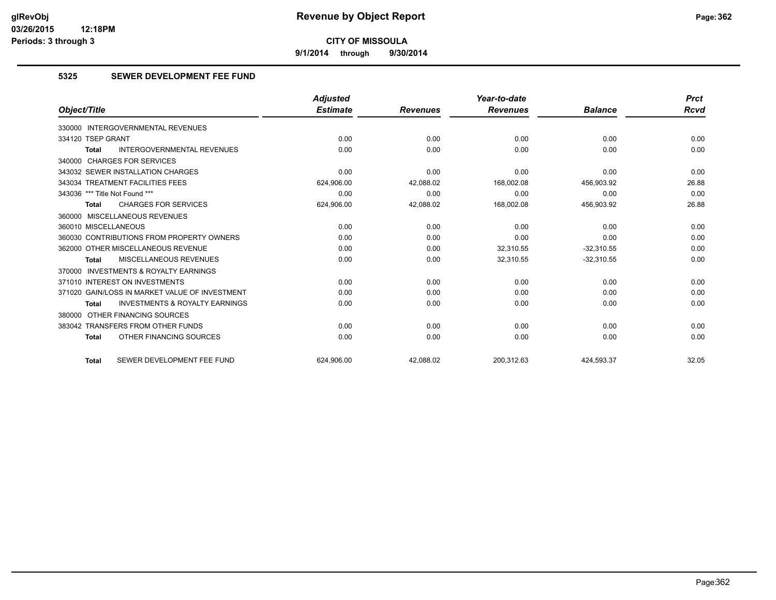**9/1/2014 through 9/30/2014**

#### **5325 SEWER DEVELOPMENT FEE FUND**

|                                                    | <b>Adjusted</b> |                 | Year-to-date    |                | <b>Prct</b> |
|----------------------------------------------------|-----------------|-----------------|-----------------|----------------|-------------|
| Object/Title                                       | <b>Estimate</b> | <b>Revenues</b> | <b>Revenues</b> | <b>Balance</b> | Rcvd        |
| 330000 INTERGOVERNMENTAL REVENUES                  |                 |                 |                 |                |             |
| 334120 TSEP GRANT                                  | 0.00            | 0.00            | 0.00            | 0.00           | 0.00        |
| <b>INTERGOVERNMENTAL REVENUES</b><br><b>Total</b>  | 0.00            | 0.00            | 0.00            | 0.00           | 0.00        |
| 340000 CHARGES FOR SERVICES                        |                 |                 |                 |                |             |
| 343032 SEWER INSTALLATION CHARGES                  | 0.00            | 0.00            | 0.00            | 0.00           | 0.00        |
| 343034 TREATMENT FACILITIES FEES                   | 624.906.00      | 42,088.02       | 168,002.08      | 456.903.92     | 26.88       |
| 343036 *** Title Not Found ***                     | 0.00            | 0.00            | 0.00            | 0.00           | 0.00        |
| <b>CHARGES FOR SERVICES</b><br><b>Total</b>        | 624,906.00      | 42,088.02       | 168,002.08      | 456,903.92     | 26.88       |
| 360000 MISCELLANEOUS REVENUES                      |                 |                 |                 |                |             |
| 360010 MISCELLANEOUS                               | 0.00            | 0.00            | 0.00            | 0.00           | 0.00        |
| 360030 CONTRIBUTIONS FROM PROPERTY OWNERS          | 0.00            | 0.00            | 0.00            | 0.00           | 0.00        |
| 362000 OTHER MISCELLANEOUS REVENUE                 | 0.00            | 0.00            | 32.310.55       | $-32,310.55$   | 0.00        |
| <b>MISCELLANEOUS REVENUES</b><br><b>Total</b>      | 0.00            | 0.00            | 32,310.55       | $-32,310.55$   | 0.00        |
| 370000 INVESTMENTS & ROYALTY EARNINGS              |                 |                 |                 |                |             |
| 371010 INTEREST ON INVESTMENTS                     | 0.00            | 0.00            | 0.00            | 0.00           | 0.00        |
| 371020 GAIN/LOSS IN MARKET VALUE OF INVESTMENT     | 0.00            | 0.00            | 0.00            | 0.00           | 0.00        |
| <b>INVESTMENTS &amp; ROYALTY EARNINGS</b><br>Total | 0.00            | 0.00            | 0.00            | 0.00           | 0.00        |
| 380000 OTHER FINANCING SOURCES                     |                 |                 |                 |                |             |
| 383042 TRANSFERS FROM OTHER FUNDS                  | 0.00            | 0.00            | 0.00            | 0.00           | 0.00        |
| OTHER FINANCING SOURCES<br><b>Total</b>            | 0.00            | 0.00            | 0.00            | 0.00           | 0.00        |
| SEWER DEVELOPMENT FEE FUND<br><b>Total</b>         | 624.906.00      | 42.088.02       | 200.312.63      | 424.593.37     | 32.05       |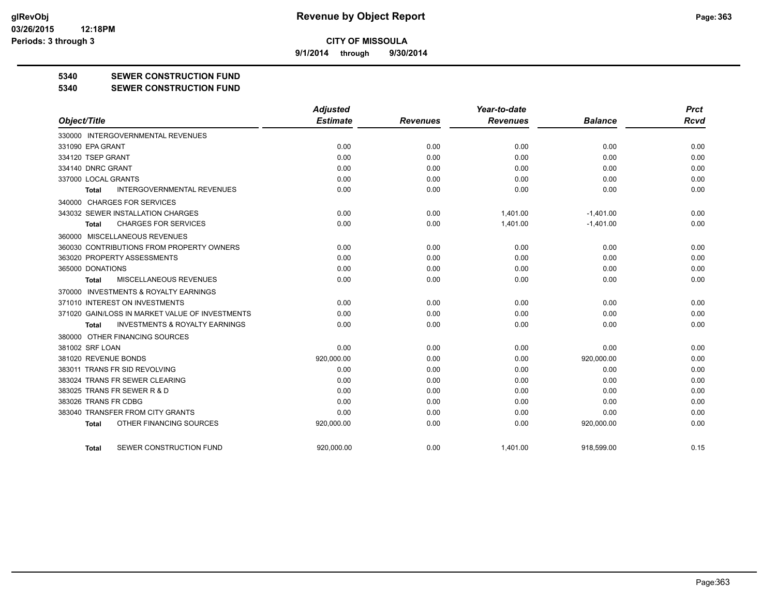**9/1/2014 through 9/30/2014**

#### **5340 SEWER CONSTRUCTION FUND**

#### **5340 SEWER CONSTRUCTION FUND**

|                                                    | <b>Adjusted</b> |                 | Year-to-date    |                | <b>Prct</b> |
|----------------------------------------------------|-----------------|-----------------|-----------------|----------------|-------------|
| Object/Title                                       | <b>Estimate</b> | <b>Revenues</b> | <b>Revenues</b> | <b>Balance</b> | <b>Rcvd</b> |
| 330000 INTERGOVERNMENTAL REVENUES                  |                 |                 |                 |                |             |
| 331090 EPA GRANT                                   | 0.00            | 0.00            | 0.00            | 0.00           | 0.00        |
| 334120 TSEP GRANT                                  | 0.00            | 0.00            | 0.00            | 0.00           | 0.00        |
| 334140 DNRC GRANT                                  | 0.00            | 0.00            | 0.00            | 0.00           | 0.00        |
| 337000 LOCAL GRANTS                                | 0.00            | 0.00            | 0.00            | 0.00           | 0.00        |
| <b>INTERGOVERNMENTAL REVENUES</b><br>Total         | 0.00            | 0.00            | 0.00            | 0.00           | 0.00        |
| 340000 CHARGES FOR SERVICES                        |                 |                 |                 |                |             |
| 343032 SEWER INSTALLATION CHARGES                  | 0.00            | 0.00            | 1,401.00        | $-1,401.00$    | 0.00        |
| <b>CHARGES FOR SERVICES</b><br>Total               | 0.00            | 0.00            | 1,401.00        | $-1,401.00$    | 0.00        |
| 360000 MISCELLANEOUS REVENUES                      |                 |                 |                 |                |             |
| 360030 CONTRIBUTIONS FROM PROPERTY OWNERS          | 0.00            | 0.00            | 0.00            | 0.00           | 0.00        |
| 363020 PROPERTY ASSESSMENTS                        | 0.00            | 0.00            | 0.00            | 0.00           | 0.00        |
| 365000 DONATIONS                                   | 0.00            | 0.00            | 0.00            | 0.00           | 0.00        |
| MISCELLANEOUS REVENUES<br>Total                    | 0.00            | 0.00            | 0.00            | 0.00           | 0.00        |
| 370000 INVESTMENTS & ROYALTY EARNINGS              |                 |                 |                 |                |             |
| 371010 INTEREST ON INVESTMENTS                     | 0.00            | 0.00            | 0.00            | 0.00           | 0.00        |
| 371020 GAIN/LOSS IN MARKET VALUE OF INVESTMENTS    | 0.00            | 0.00            | 0.00            | 0.00           | 0.00        |
| <b>INVESTMENTS &amp; ROYALTY EARNINGS</b><br>Total | 0.00            | 0.00            | 0.00            | 0.00           | 0.00        |
| 380000 OTHER FINANCING SOURCES                     |                 |                 |                 |                |             |
| 381002 SRF LOAN                                    | 0.00            | 0.00            | 0.00            | 0.00           | 0.00        |
| 381020 REVENUE BONDS                               | 920,000.00      | 0.00            | 0.00            | 920,000.00     | 0.00        |
| 383011 TRANS FR SID REVOLVING                      | 0.00            | 0.00            | 0.00            | 0.00           | 0.00        |
| 383024 TRANS FR SEWER CLEARING                     | 0.00            | 0.00            | 0.00            | 0.00           | 0.00        |
| 383025 TRANS FR SEWER R & D                        | 0.00            | 0.00            | 0.00            | 0.00           | 0.00        |
| 383026 TRANS FR CDBG                               | 0.00            | 0.00            | 0.00            | 0.00           | 0.00        |
| 383040 TRANSFER FROM CITY GRANTS                   | 0.00            | 0.00            | 0.00            | 0.00           | 0.00        |
| OTHER FINANCING SOURCES<br><b>Total</b>            | 920,000.00      | 0.00            | 0.00            | 920,000.00     | 0.00        |
| SEWER CONSTRUCTION FUND<br>Total                   | 920.000.00      | 0.00            | 1,401.00        | 918.599.00     | 0.15        |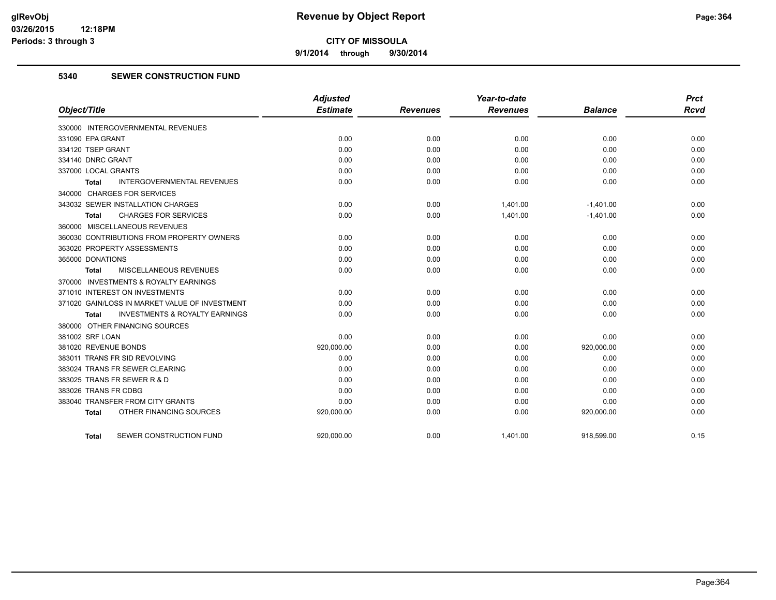**9/1/2014 through 9/30/2014**

#### **5340 SEWER CONSTRUCTION FUND**

|                                                           | <b>Adjusted</b> |                 | Year-to-date    |                | <b>Prct</b> |
|-----------------------------------------------------------|-----------------|-----------------|-----------------|----------------|-------------|
| Object/Title                                              | <b>Estimate</b> | <b>Revenues</b> | <b>Revenues</b> | <b>Balance</b> | <b>Rcvd</b> |
| 330000 INTERGOVERNMENTAL REVENUES                         |                 |                 |                 |                |             |
| 331090 EPA GRANT                                          | 0.00            | 0.00            | 0.00            | 0.00           | 0.00        |
| 334120 TSEP GRANT                                         | 0.00            | 0.00            | 0.00            | 0.00           | 0.00        |
| 334140 DNRC GRANT                                         | 0.00            | 0.00            | 0.00            | 0.00           | 0.00        |
| 337000 LOCAL GRANTS                                       | 0.00            | 0.00            | 0.00            | 0.00           | 0.00        |
| <b>INTERGOVERNMENTAL REVENUES</b><br>Total                | 0.00            | 0.00            | 0.00            | 0.00           | 0.00        |
| 340000 CHARGES FOR SERVICES                               |                 |                 |                 |                |             |
| 343032 SEWER INSTALLATION CHARGES                         | 0.00            | 0.00            | 1,401.00        | $-1,401.00$    | 0.00        |
| <b>CHARGES FOR SERVICES</b><br><b>Total</b>               | 0.00            | 0.00            | 1,401.00        | $-1,401.00$    | 0.00        |
| 360000 MISCELLANEOUS REVENUES                             |                 |                 |                 |                |             |
| 360030 CONTRIBUTIONS FROM PROPERTY OWNERS                 | 0.00            | 0.00            | 0.00            | 0.00           | 0.00        |
| 363020 PROPERTY ASSESSMENTS                               | 0.00            | 0.00            | 0.00            | 0.00           | 0.00        |
| 365000 DONATIONS                                          | 0.00            | 0.00            | 0.00            | 0.00           | 0.00        |
| MISCELLANEOUS REVENUES<br><b>Total</b>                    | 0.00            | 0.00            | 0.00            | 0.00           | 0.00        |
| 370000 INVESTMENTS & ROYALTY EARNINGS                     |                 |                 |                 |                |             |
| 371010 INTEREST ON INVESTMENTS                            | 0.00            | 0.00            | 0.00            | 0.00           | 0.00        |
| 371020 GAIN/LOSS IN MARKET VALUE OF INVESTMENT            | 0.00            | 0.00            | 0.00            | 0.00           | 0.00        |
| <b>INVESTMENTS &amp; ROYALTY EARNINGS</b><br><b>Total</b> | 0.00            | 0.00            | 0.00            | 0.00           | 0.00        |
| 380000 OTHER FINANCING SOURCES                            |                 |                 |                 |                |             |
| 381002 SRF LOAN                                           | 0.00            | 0.00            | 0.00            | 0.00           | 0.00        |
| 381020 REVENUE BONDS                                      | 920,000.00      | 0.00            | 0.00            | 920,000.00     | 0.00        |
| 383011 TRANS FR SID REVOLVING                             | 0.00            | 0.00            | 0.00            | 0.00           | 0.00        |
| 383024 TRANS FR SEWER CLEARING                            | 0.00            | 0.00            | 0.00            | 0.00           | 0.00        |
| 383025 TRANS FR SEWER R & D                               | 0.00            | 0.00            | 0.00            | 0.00           | 0.00        |
| 383026 TRANS FR CDBG                                      | 0.00            | 0.00            | 0.00            | 0.00           | 0.00        |
| 383040 TRANSFER FROM CITY GRANTS                          | 0.00            | 0.00            | 0.00            | 0.00           | 0.00        |
| OTHER FINANCING SOURCES<br><b>Total</b>                   | 920,000.00      | 0.00            | 0.00            | 920,000.00     | 0.00        |
| SEWER CONSTRUCTION FUND<br><b>Total</b>                   | 920.000.00      | 0.00            | 1.401.00        | 918.599.00     | 0.15        |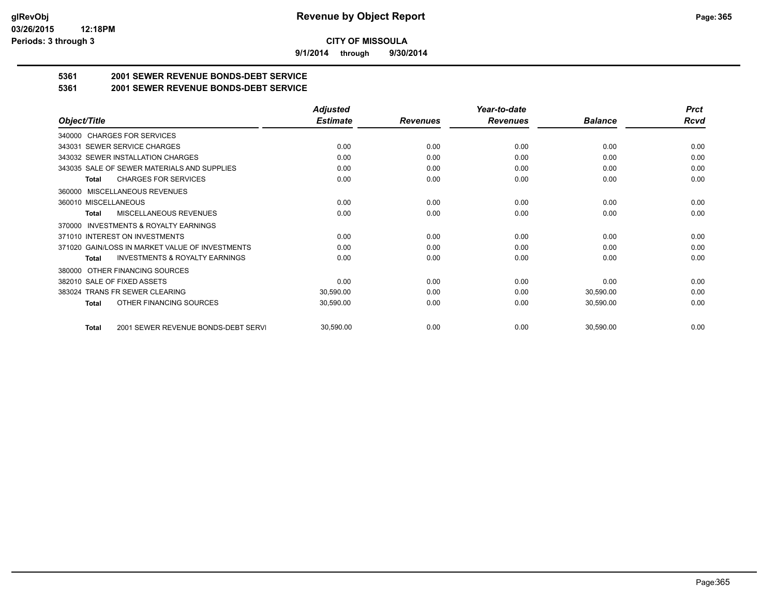**9/1/2014 through 9/30/2014**

# **5361 2001 SEWER REVENUE BONDS-DEBT SERVICE**

**5361 2001 SEWER REVENUE BONDS-DEBT SERVICE**

|                                                           | <b>Adjusted</b> |                 | Year-to-date    |                | <b>Prct</b> |
|-----------------------------------------------------------|-----------------|-----------------|-----------------|----------------|-------------|
| Object/Title                                              | <b>Estimate</b> | <b>Revenues</b> | <b>Revenues</b> | <b>Balance</b> | <b>Rcvd</b> |
| 340000 CHARGES FOR SERVICES                               |                 |                 |                 |                |             |
| SEWER SERVICE CHARGES<br>343031                           | 0.00            | 0.00            | 0.00            | 0.00           | 0.00        |
| 343032 SEWER INSTALLATION CHARGES                         | 0.00            | 0.00            | 0.00            | 0.00           | 0.00        |
| 343035 SALE OF SEWER MATERIALS AND SUPPLIES               | 0.00            | 0.00            | 0.00            | 0.00           | 0.00        |
| <b>CHARGES FOR SERVICES</b><br><b>Total</b>               | 0.00            | 0.00            | 0.00            | 0.00           | 0.00        |
| <b>MISCELLANEOUS REVENUES</b><br>360000                   |                 |                 |                 |                |             |
| 360010 MISCELLANEOUS                                      | 0.00            | 0.00            | 0.00            | 0.00           | 0.00        |
| <b>MISCELLANEOUS REVENUES</b><br>Total                    | 0.00            | 0.00            | 0.00            | 0.00           | 0.00        |
| INVESTMENTS & ROYALTY EARNINGS<br>370000                  |                 |                 |                 |                |             |
| 371010 INTEREST ON INVESTMENTS                            | 0.00            | 0.00            | 0.00            | 0.00           | 0.00        |
| 371020 GAIN/LOSS IN MARKET VALUE OF INVESTMENTS           | 0.00            | 0.00            | 0.00            | 0.00           | 0.00        |
| <b>INVESTMENTS &amp; ROYALTY EARNINGS</b><br><b>Total</b> | 0.00            | 0.00            | 0.00            | 0.00           | 0.00        |
| OTHER FINANCING SOURCES<br>380000                         |                 |                 |                 |                |             |
| 382010 SALE OF FIXED ASSETS                               | 0.00            | 0.00            | 0.00            | 0.00           | 0.00        |
| 383024 TRANS FR SEWER CLEARING                            | 30,590.00       | 0.00            | 0.00            | 30,590.00      | 0.00        |
| OTHER FINANCING SOURCES<br>Total                          | 30,590.00       | 0.00            | 0.00            | 30,590.00      | 0.00        |
| 2001 SEWER REVENUE BONDS-DEBT SERVI<br><b>Total</b>       | 30,590.00       | 0.00            | 0.00            | 30,590.00      | 0.00        |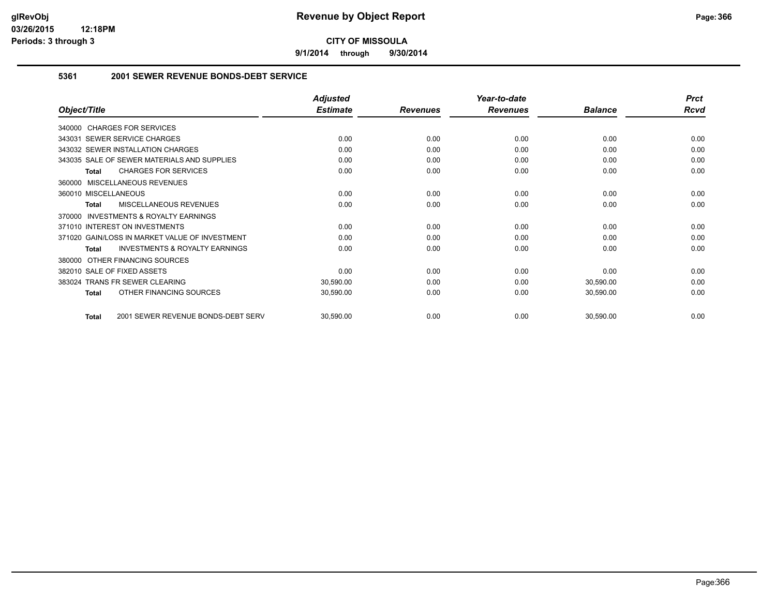**9/1/2014 through 9/30/2014**

#### **5361 2001 SEWER REVENUE BONDS-DEBT SERVICE**

|                                                     | <b>Adjusted</b> |                 | Year-to-date    |                | <b>Prct</b> |
|-----------------------------------------------------|-----------------|-----------------|-----------------|----------------|-------------|
| Object/Title                                        | <b>Estimate</b> | <b>Revenues</b> | <b>Revenues</b> | <b>Balance</b> | <b>Rcvd</b> |
| 340000 CHARGES FOR SERVICES                         |                 |                 |                 |                |             |
| <b>SEWER SERVICE CHARGES</b><br>343031              | 0.00            | 0.00            | 0.00            | 0.00           | 0.00        |
| 343032 SEWER INSTALLATION CHARGES                   | 0.00            | 0.00            | 0.00            | 0.00           | 0.00        |
| 343035 SALE OF SEWER MATERIALS AND SUPPLIES         | 0.00            | 0.00            | 0.00            | 0.00           | 0.00        |
| <b>CHARGES FOR SERVICES</b><br><b>Total</b>         | 0.00            | 0.00            | 0.00            | 0.00           | 0.00        |
| 360000 MISCELLANEOUS REVENUES                       |                 |                 |                 |                |             |
| 360010 MISCELLANEOUS                                | 0.00            | 0.00            | 0.00            | 0.00           | 0.00        |
| <b>MISCELLANEOUS REVENUES</b><br>Total              | 0.00            | 0.00            | 0.00            | 0.00           | 0.00        |
| <b>INVESTMENTS &amp; ROYALTY EARNINGS</b><br>370000 |                 |                 |                 |                |             |
| 371010 INTEREST ON INVESTMENTS                      | 0.00            | 0.00            | 0.00            | 0.00           | 0.00        |
| 371020 GAIN/LOSS IN MARKET VALUE OF INVESTMENT      | 0.00            | 0.00            | 0.00            | 0.00           | 0.00        |
| <b>INVESTMENTS &amp; ROYALTY EARNINGS</b><br>Total  | 0.00            | 0.00            | 0.00            | 0.00           | 0.00        |
| OTHER FINANCING SOURCES<br>380000                   |                 |                 |                 |                |             |
| 382010 SALE OF FIXED ASSETS                         | 0.00            | 0.00            | 0.00            | 0.00           | 0.00        |
| <b>TRANS FR SEWER CLEARING</b><br>383024            | 30,590.00       | 0.00            | 0.00            | 30,590.00      | 0.00        |
| OTHER FINANCING SOURCES<br><b>Total</b>             | 30,590.00       | 0.00            | 0.00            | 30,590.00      | 0.00        |
| 2001 SEWER REVENUE BONDS-DEBT SERV<br><b>Total</b>  | 30,590.00       | 0.00            | 0.00            | 30,590.00      | 0.00        |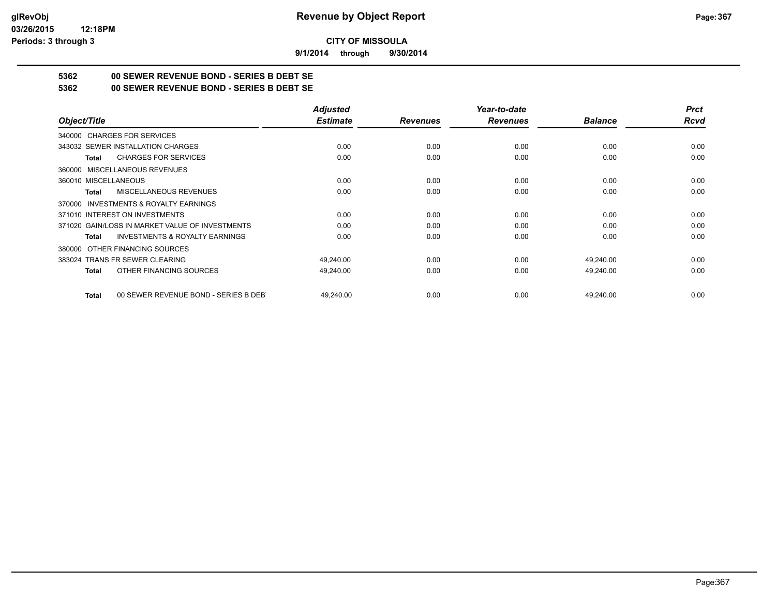**9/1/2014 through 9/30/2014**

# **5362 00 SEWER REVENUE BOND - SERIES B DEBT SE**

**5362 00 SEWER REVENUE BOND - SERIES B DEBT SE**

|                                                           | <b>Adjusted</b> |                 | Year-to-date    |                | <b>Prct</b> |
|-----------------------------------------------------------|-----------------|-----------------|-----------------|----------------|-------------|
| Object/Title                                              | <b>Estimate</b> | <b>Revenues</b> | <b>Revenues</b> | <b>Balance</b> | <b>Rcvd</b> |
| <b>CHARGES FOR SERVICES</b><br>340000                     |                 |                 |                 |                |             |
| 343032 SEWER INSTALLATION CHARGES                         | 0.00            | 0.00            | 0.00            | 0.00           | 0.00        |
| <b>CHARGES FOR SERVICES</b><br><b>Total</b>               | 0.00            | 0.00            | 0.00            | 0.00           | 0.00        |
| MISCELLANEOUS REVENUES<br>360000                          |                 |                 |                 |                |             |
| 360010 MISCELLANEOUS                                      | 0.00            | 0.00            | 0.00            | 0.00           | 0.00        |
| MISCELLANEOUS REVENUES<br>Total                           | 0.00            | 0.00            | 0.00            | 0.00           | 0.00        |
| <b>INVESTMENTS &amp; ROYALTY EARNINGS</b><br>370000       |                 |                 |                 |                |             |
| 371010 INTEREST ON INVESTMENTS                            | 0.00            | 0.00            | 0.00            | 0.00           | 0.00        |
| 371020 GAIN/LOSS IN MARKET VALUE OF INVESTMENTS           | 0.00            | 0.00            | 0.00            | 0.00           | 0.00        |
| <b>INVESTMENTS &amp; ROYALTY EARNINGS</b><br><b>Total</b> | 0.00            | 0.00            | 0.00            | 0.00           | 0.00        |
| OTHER FINANCING SOURCES<br>380000                         |                 |                 |                 |                |             |
| 383024 TRANS FR SEWER CLEARING                            | 49,240.00       | 0.00            | 0.00            | 49,240.00      | 0.00        |
| OTHER FINANCING SOURCES<br><b>Total</b>                   | 49,240.00       | 0.00            | 0.00            | 49,240.00      | 0.00        |
| 00 SEWER REVENUE BOND - SERIES B DEB<br><b>Total</b>      | 49.240.00       | 0.00            | 0.00            | 49,240.00      | 0.00        |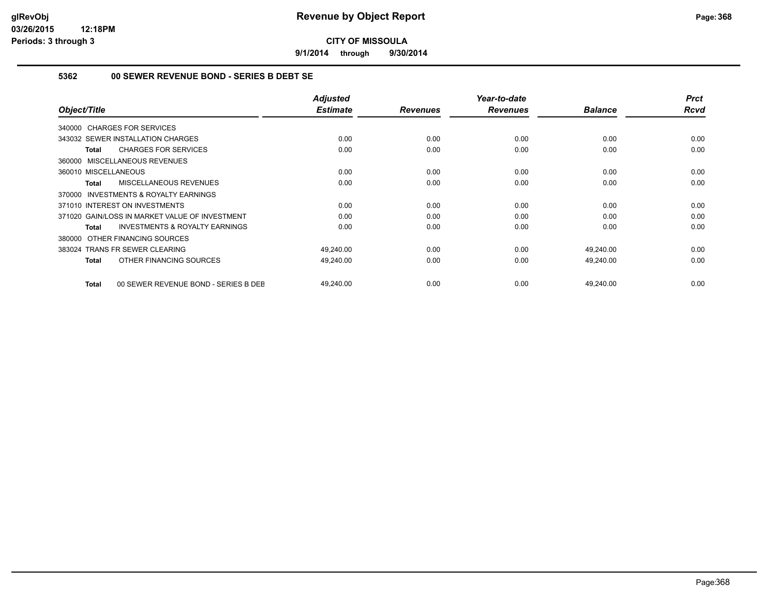**9/1/2014 through 9/30/2014**

#### **5362 00 SEWER REVENUE BOND - SERIES B DEBT SE**

| Object/Title                                        | <b>Adjusted</b><br><b>Estimate</b> | <b>Revenues</b> | Year-to-date<br><b>Revenues</b> | <b>Balance</b> | <b>Prct</b><br><b>Rcvd</b> |
|-----------------------------------------------------|------------------------------------|-----------------|---------------------------------|----------------|----------------------------|
| 340000 CHARGES FOR SERVICES                         |                                    |                 |                                 |                |                            |
| 343032 SEWER INSTALLATION CHARGES                   | 0.00                               | 0.00            | 0.00                            | 0.00           | 0.00                       |
|                                                     |                                    |                 |                                 |                |                            |
| <b>CHARGES FOR SERVICES</b><br>Total                | 0.00                               | 0.00            | 0.00                            | 0.00           | 0.00                       |
| 360000 MISCELLANEOUS REVENUES                       |                                    |                 |                                 |                |                            |
| 360010 MISCELLANEOUS                                | 0.00                               | 0.00            | 0.00                            | 0.00           | 0.00                       |
| <b>MISCELLANEOUS REVENUES</b><br>Total              | 0.00                               | 0.00            | 0.00                            | 0.00           | 0.00                       |
| <b>INVESTMENTS &amp; ROYALTY EARNINGS</b><br>370000 |                                    |                 |                                 |                |                            |
| 371010 INTEREST ON INVESTMENTS                      | 0.00                               | 0.00            | 0.00                            | 0.00           | 0.00                       |
| 371020 GAIN/LOSS IN MARKET VALUE OF INVESTMENT      | 0.00                               | 0.00            | 0.00                            | 0.00           | 0.00                       |
| <b>INVESTMENTS &amp; ROYALTY EARNINGS</b><br>Total  | 0.00                               | 0.00            | 0.00                            | 0.00           | 0.00                       |
| 380000 OTHER FINANCING SOURCES                      |                                    |                 |                                 |                |                            |
| 383024 TRANS FR SEWER CLEARING                      | 49,240.00                          | 0.00            | 0.00                            | 49,240.00      | 0.00                       |
| OTHER FINANCING SOURCES<br>Total                    | 49,240.00                          | 0.00            | 0.00                            | 49,240.00      | 0.00                       |
| 00 SEWER REVENUE BOND - SERIES B DEE<br>Total       | 49,240.00                          | 0.00            | 0.00                            | 49,240.00      | 0.00                       |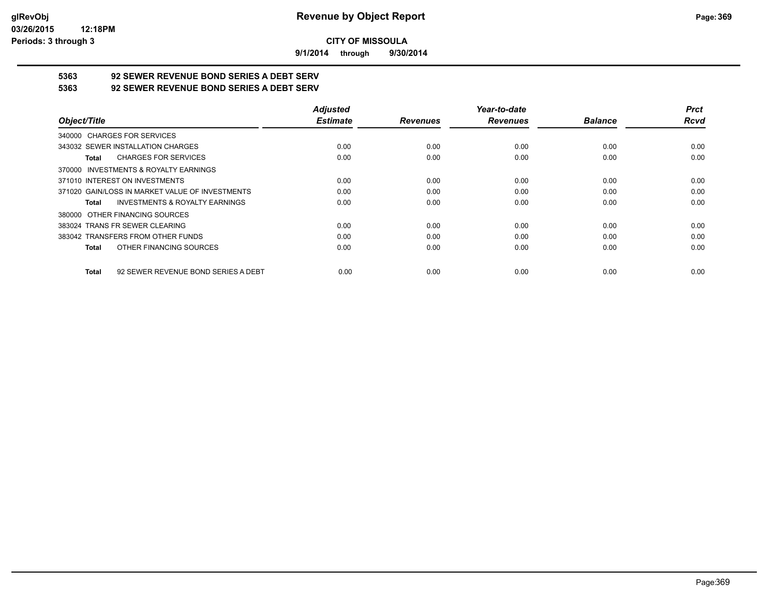**9/1/2014 through 9/30/2014**

# **5363 92 SEWER REVENUE BOND SERIES A DEBT SERV**

**5363 92 SEWER REVENUE BOND SERIES A DEBT SERV**

|                                                     | <b>Adjusted</b> |                 | Year-to-date    |                | <b>Prct</b> |
|-----------------------------------------------------|-----------------|-----------------|-----------------|----------------|-------------|
| Object/Title                                        | <b>Estimate</b> | <b>Revenues</b> | <b>Revenues</b> | <b>Balance</b> | <b>Rcvd</b> |
| 340000 CHARGES FOR SERVICES                         |                 |                 |                 |                |             |
| 343032 SEWER INSTALLATION CHARGES                   | 0.00            | 0.00            | 0.00            | 0.00           | 0.00        |
| <b>CHARGES FOR SERVICES</b><br>Total                | 0.00            | 0.00            | 0.00            | 0.00           | 0.00        |
| INVESTMENTS & ROYALTY EARNINGS<br>370000            |                 |                 |                 |                |             |
| 371010 INTEREST ON INVESTMENTS                      | 0.00            | 0.00            | 0.00            | 0.00           | 0.00        |
| 371020 GAIN/LOSS IN MARKET VALUE OF INVESTMENTS     | 0.00            | 0.00            | 0.00            | 0.00           | 0.00        |
| <b>INVESTMENTS &amp; ROYALTY EARNINGS</b><br>Total  | 0.00            | 0.00            | 0.00            | 0.00           | 0.00        |
| OTHER FINANCING SOURCES<br>380000                   |                 |                 |                 |                |             |
| 383024 TRANS FR SEWER CLEARING                      | 0.00            | 0.00            | 0.00            | 0.00           | 0.00        |
| 383042 TRANSFERS FROM OTHER FUNDS                   | 0.00            | 0.00            | 0.00            | 0.00           | 0.00        |
| OTHER FINANCING SOURCES<br>Total                    | 0.00            | 0.00            | 0.00            | 0.00           | 0.00        |
| 92 SEWER REVENUE BOND SERIES A DEBT<br><b>Total</b> | 0.00            | 0.00            | 0.00            | 0.00           | 0.00        |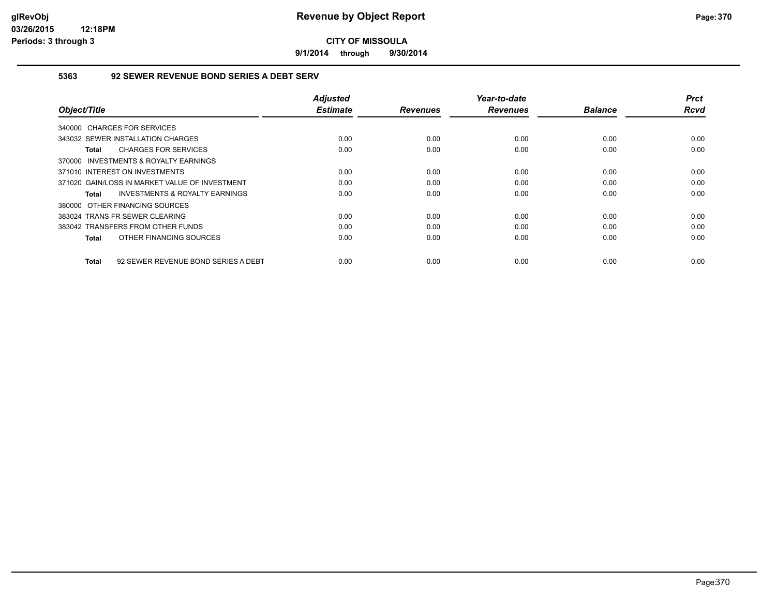**9/1/2014 through 9/30/2014**

#### **5363 92 SEWER REVENUE BOND SERIES A DEBT SERV**

| Object/Title                                        | <b>Adjusted</b><br><b>Estimate</b> | <b>Revenues</b> | Year-to-date<br><b>Revenues</b> | <b>Balance</b> | <b>Prct</b><br>Rcvd |
|-----------------------------------------------------|------------------------------------|-----------------|---------------------------------|----------------|---------------------|
| 340000 CHARGES FOR SERVICES                         |                                    |                 |                                 |                |                     |
| 343032 SEWER INSTALLATION CHARGES                   | 0.00                               | 0.00            | 0.00                            | 0.00           | 0.00                |
| <b>CHARGES FOR SERVICES</b><br>Total                | 0.00                               | 0.00            | 0.00                            | 0.00           | 0.00                |
| INVESTMENTS & ROYALTY EARNINGS<br>370000            |                                    |                 |                                 |                |                     |
| 371010 INTEREST ON INVESTMENTS                      | 0.00                               | 0.00            | 0.00                            | 0.00           | 0.00                |
| 371020 GAIN/LOSS IN MARKET VALUE OF INVESTMENT      | 0.00                               | 0.00            | 0.00                            | 0.00           | 0.00                |
| <b>INVESTMENTS &amp; ROYALTY EARNINGS</b><br>Total  | 0.00                               | 0.00            | 0.00                            | 0.00           | 0.00                |
| 380000 OTHER FINANCING SOURCES                      |                                    |                 |                                 |                |                     |
| 383024 TRANS FR SEWER CLEARING                      | 0.00                               | 0.00            | 0.00                            | 0.00           | 0.00                |
| 383042 TRANSFERS FROM OTHER FUNDS                   | 0.00                               | 0.00            | 0.00                            | 0.00           | 0.00                |
| OTHER FINANCING SOURCES<br>Total                    | 0.00                               | 0.00            | 0.00                            | 0.00           | 0.00                |
| 92 SEWER REVENUE BOND SERIES A DEBT<br><b>Total</b> | 0.00                               | 0.00            | 0.00                            | 0.00           | 0.00                |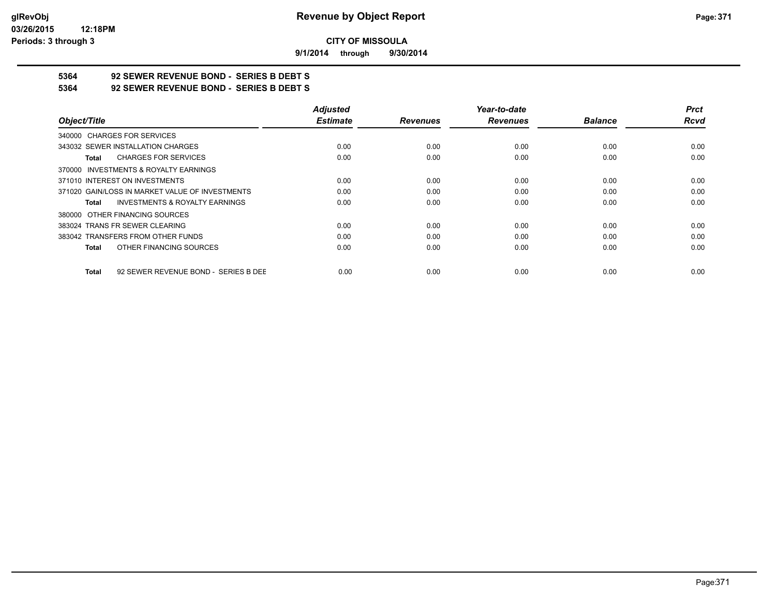**9/1/2014 through 9/30/2014**

# **5364 92 SEWER REVENUE BOND - SERIES B DEBT S**

**5364 92 SEWER REVENUE BOND - SERIES B DEBT S**

|                                                    | <b>Adjusted</b> |                 | Year-to-date    |                | <b>Prct</b> |
|----------------------------------------------------|-----------------|-----------------|-----------------|----------------|-------------|
| Object/Title                                       | <b>Estimate</b> | <b>Revenues</b> | <b>Revenues</b> | <b>Balance</b> | <b>Rcvd</b> |
| 340000 CHARGES FOR SERVICES                        |                 |                 |                 |                |             |
| 343032 SEWER INSTALLATION CHARGES                  | 0.00            | 0.00            | 0.00            | 0.00           | 0.00        |
| <b>CHARGES FOR SERVICES</b><br>Total               | 0.00            | 0.00            | 0.00            | 0.00           | 0.00        |
| 370000 INVESTMENTS & ROYALTY EARNINGS              |                 |                 |                 |                |             |
| 371010 INTEREST ON INVESTMENTS                     | 0.00            | 0.00            | 0.00            | 0.00           | 0.00        |
| 371020 GAIN/LOSS IN MARKET VALUE OF INVESTMENTS    | 0.00            | 0.00            | 0.00            | 0.00           | 0.00        |
| <b>INVESTMENTS &amp; ROYALTY EARNINGS</b><br>Total | 0.00            | 0.00            | 0.00            | 0.00           | 0.00        |
| 380000 OTHER FINANCING SOURCES                     |                 |                 |                 |                |             |
| 383024 TRANS FR SEWER CLEARING                     | 0.00            | 0.00            | 0.00            | 0.00           | 0.00        |
| 383042 TRANSFERS FROM OTHER FUNDS                  | 0.00            | 0.00            | 0.00            | 0.00           | 0.00        |
| OTHER FINANCING SOURCES<br>Total                   | 0.00            | 0.00            | 0.00            | 0.00           | 0.00        |
| 92 SEWER REVENUE BOND - SERIES B DEE<br>Total      | 0.00            | 0.00            | 0.00            | 0.00           | 0.00        |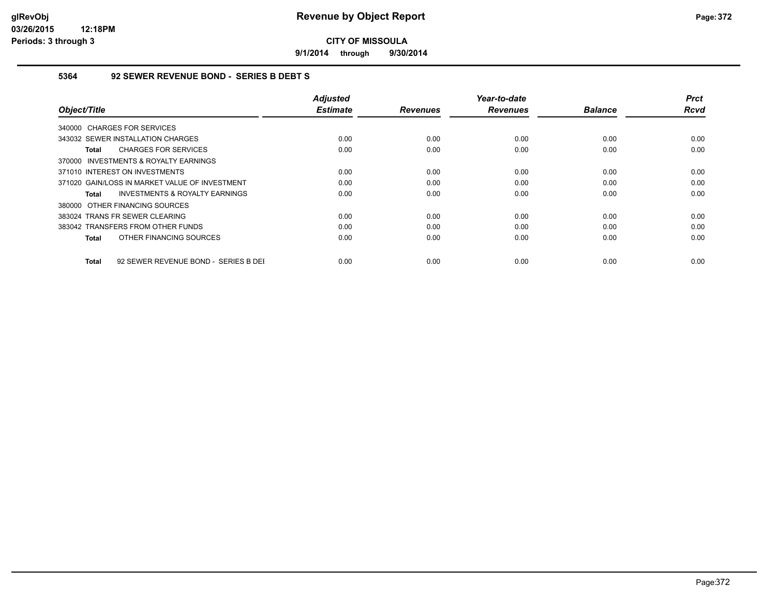**9/1/2014 through 9/30/2014**

#### **5364 92 SEWER REVENUE BOND - SERIES B DEBT S**

| Object/Title                                         | <b>Adjusted</b><br><b>Estimate</b> | <b>Revenues</b> | Year-to-date<br><b>Revenues</b> | <b>Balance</b> | <b>Prct</b><br>Rcvd |
|------------------------------------------------------|------------------------------------|-----------------|---------------------------------|----------------|---------------------|
| 340000 CHARGES FOR SERVICES                          |                                    |                 |                                 |                |                     |
| 343032 SEWER INSTALLATION CHARGES                    | 0.00                               | 0.00            | 0.00                            | 0.00           | 0.00                |
| <b>CHARGES FOR SERVICES</b><br>Total                 | 0.00                               | 0.00            | 0.00                            | 0.00           | 0.00                |
| 370000 INVESTMENTS & ROYALTY EARNINGS                |                                    |                 |                                 |                |                     |
| 371010 INTEREST ON INVESTMENTS                       | 0.00                               | 0.00            | 0.00                            | 0.00           | 0.00                |
| 371020 GAIN/LOSS IN MARKET VALUE OF INVESTMENT       | 0.00                               | 0.00            | 0.00                            | 0.00           | 0.00                |
| <b>INVESTMENTS &amp; ROYALTY EARNINGS</b><br>Total   | 0.00                               | 0.00            | 0.00                            | 0.00           | 0.00                |
| 380000 OTHER FINANCING SOURCES                       |                                    |                 |                                 |                |                     |
| 383024 TRANS FR SEWER CLEARING                       | 0.00                               | 0.00            | 0.00                            | 0.00           | 0.00                |
| 383042 TRANSFERS FROM OTHER FUNDS                    | 0.00                               | 0.00            | 0.00                            | 0.00           | 0.00                |
| OTHER FINANCING SOURCES<br>Total                     | 0.00                               | 0.00            | 0.00                            | 0.00           | 0.00                |
| 92 SEWER REVENUE BOND - SERIES B DEI<br><b>Total</b> | 0.00                               | 0.00            | 0.00                            | 0.00           | 0.00                |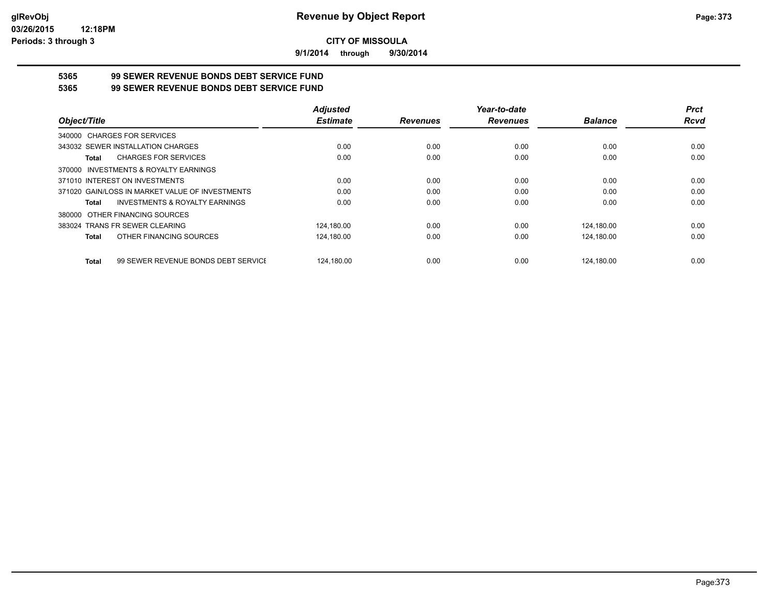**9/1/2014 through 9/30/2014**

# **5365 99 SEWER REVENUE BONDS DEBT SERVICE FUND**

**5365 99 SEWER REVENUE BONDS DEBT SERVICE FUND**

|                                                     | <b>Adjusted</b> |                 | Year-to-date    |                | <b>Prct</b> |
|-----------------------------------------------------|-----------------|-----------------|-----------------|----------------|-------------|
| Object/Title                                        | <b>Estimate</b> | <b>Revenues</b> | <b>Revenues</b> | <b>Balance</b> | <b>Rcvd</b> |
| 340000 CHARGES FOR SERVICES                         |                 |                 |                 |                |             |
| 343032 SEWER INSTALLATION CHARGES                   | 0.00            | 0.00            | 0.00            | 0.00           | 0.00        |
| <b>CHARGES FOR SERVICES</b><br>Total                | 0.00            | 0.00            | 0.00            | 0.00           | 0.00        |
| 370000 INVESTMENTS & ROYALTY EARNINGS               |                 |                 |                 |                |             |
| 371010 INTEREST ON INVESTMENTS                      | 0.00            | 0.00            | 0.00            | 0.00           | 0.00        |
| 371020 GAIN/LOSS IN MARKET VALUE OF INVESTMENTS     | 0.00            | 0.00            | 0.00            | 0.00           | 0.00        |
| <b>INVESTMENTS &amp; ROYALTY EARNINGS</b><br>Total  | 0.00            | 0.00            | 0.00            | 0.00           | 0.00        |
| 380000 OTHER FINANCING SOURCES                      |                 |                 |                 |                |             |
| 383024 TRANS FR SEWER CLEARING                      | 124.180.00      | 0.00            | 0.00            | 124,180.00     | 0.00        |
| OTHER FINANCING SOURCES<br>Total                    | 124,180.00      | 0.00            | 0.00            | 124.180.00     | 0.00        |
| 99 SEWER REVENUE BONDS DEBT SERVICE<br><b>Total</b> | 124.180.00      | 0.00            | 0.00            | 124.180.00     | 0.00        |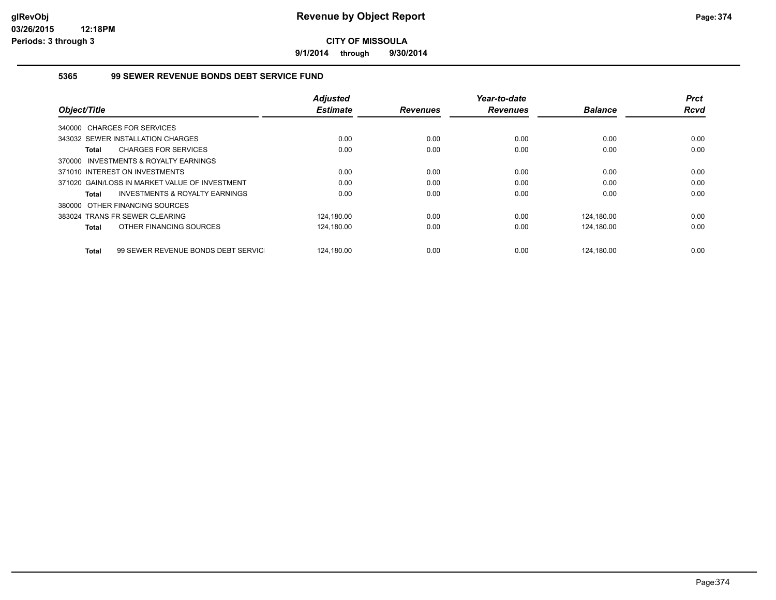**9/1/2014 through 9/30/2014**

#### **5365 99 SEWER REVENUE BONDS DEBT SERVICE FUND**

|                                |                                                | <b>Adjusted</b> |                 | Year-to-date    |                | <b>Prct</b> |
|--------------------------------|------------------------------------------------|-----------------|-----------------|-----------------|----------------|-------------|
| Object/Title                   |                                                | <b>Estimate</b> | <b>Revenues</b> | <b>Revenues</b> | <b>Balance</b> | <b>Rcvd</b> |
| 340000 CHARGES FOR SERVICES    |                                                |                 |                 |                 |                |             |
|                                | 343032 SEWER INSTALLATION CHARGES              | 0.00            | 0.00            | 0.00            | 0.00           | 0.00        |
| Total                          | <b>CHARGES FOR SERVICES</b>                    | 0.00            | 0.00            | 0.00            | 0.00           | 0.00        |
|                                | 370000 INVESTMENTS & ROYALTY EARNINGS          |                 |                 |                 |                |             |
| 371010 INTEREST ON INVESTMENTS |                                                | 0.00            | 0.00            | 0.00            | 0.00           | 0.00        |
|                                | 371020 GAIN/LOSS IN MARKET VALUE OF INVESTMENT | 0.00            | 0.00            | 0.00            | 0.00           | 0.00        |
| Total                          | <b>INVESTMENTS &amp; ROYALTY EARNINGS</b>      | 0.00            | 0.00            | 0.00            | 0.00           | 0.00        |
| 380000 OTHER FINANCING SOURCES |                                                |                 |                 |                 |                |             |
| 383024 TRANS FR SEWER CLEARING |                                                | 124,180.00      | 0.00            | 0.00            | 124,180.00     | 0.00        |
| Total                          | OTHER FINANCING SOURCES                        | 124,180.00      | 0.00            | 0.00            | 124,180.00     | 0.00        |
| Total                          | 99 SEWER REVENUE BONDS DEBT SERVIC             | 124.180.00      | 0.00            | 0.00            | 124.180.00     | 0.00        |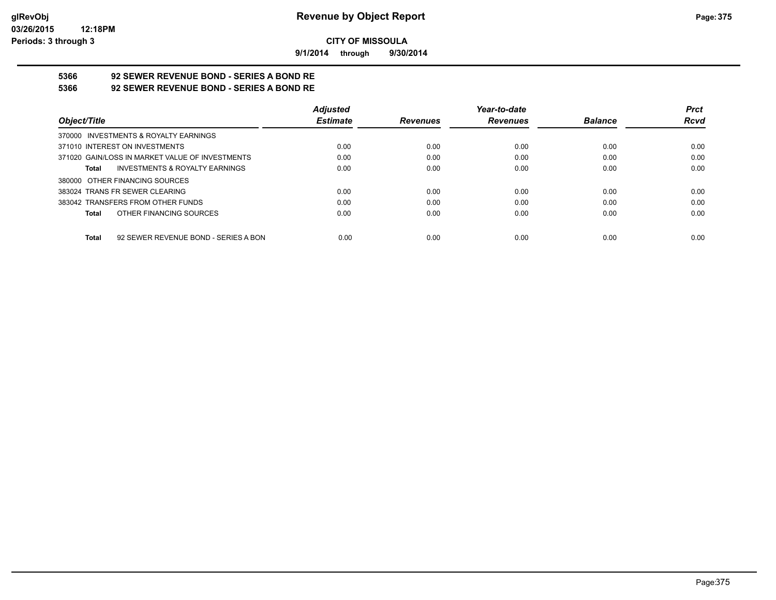**9/1/2014 through 9/30/2014**

# **5366 92 SEWER REVENUE BOND - SERIES A BOND RE**

**5366 92 SEWER REVENUE BOND - SERIES A BOND RE**

|                                                      | <b>Adjusted</b> |                 | Year-to-date    |                | <b>Prct</b> |
|------------------------------------------------------|-----------------|-----------------|-----------------|----------------|-------------|
| Object/Title                                         | <b>Estimate</b> | <b>Revenues</b> | <b>Revenues</b> | <b>Balance</b> | <b>Rcvd</b> |
| 370000 INVESTMENTS & ROYALTY EARNINGS                |                 |                 |                 |                |             |
| 371010 INTEREST ON INVESTMENTS                       | 0.00            | 0.00            | 0.00            | 0.00           | 0.00        |
| 371020 GAIN/LOSS IN MARKET VALUE OF INVESTMENTS      | 0.00            | 0.00            | 0.00            | 0.00           | 0.00        |
| INVESTMENTS & ROYALTY EARNINGS<br>Total              | 0.00            | 0.00            | 0.00            | 0.00           | 0.00        |
| 380000 OTHER FINANCING SOURCES                       |                 |                 |                 |                |             |
| 383024 TRANS FR SEWER CLEARING                       | 0.00            | 0.00            | 0.00            | 0.00           | 0.00        |
| 383042 TRANSFERS FROM OTHER FUNDS                    | 0.00            | 0.00            | 0.00            | 0.00           | 0.00        |
| OTHER FINANCING SOURCES<br>Total                     | 0.00            | 0.00            | 0.00            | 0.00           | 0.00        |
|                                                      |                 |                 |                 |                |             |
| 92 SEWER REVENUE BOND - SERIES A BON<br><b>Total</b> | 0.00            | 0.00            | 0.00            | 0.00           | 0.00        |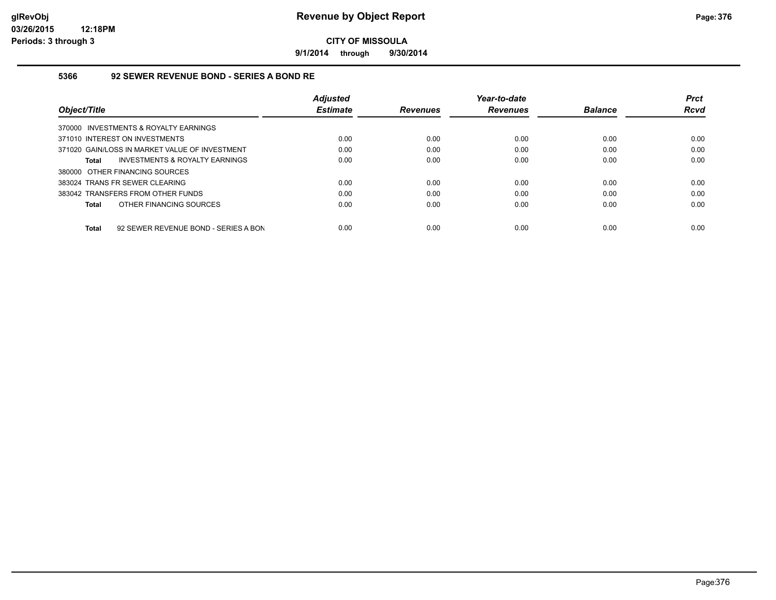**9/1/2014 through 9/30/2014**

#### **5366 92 SEWER REVENUE BOND - SERIES A BOND RE**

|                                                | <b>Adiusted</b> |                 | Year-to-date    |                | <b>Prct</b> |
|------------------------------------------------|-----------------|-----------------|-----------------|----------------|-------------|
| Object/Title                                   | <b>Estimate</b> | <b>Revenues</b> | <b>Revenues</b> | <b>Balance</b> | Rcvd        |
| 370000 INVESTMENTS & ROYALTY EARNINGS          |                 |                 |                 |                |             |
| 371010 INTEREST ON INVESTMENTS                 | 0.00            | 0.00            | 0.00            | 0.00           | 0.00        |
| 371020 GAIN/LOSS IN MARKET VALUE OF INVESTMENT | 0.00            | 0.00            | 0.00            | 0.00           | 0.00        |
| INVESTMENTS & ROYALTY EARNINGS<br>Total        | 0.00            | 0.00            | 0.00            | 0.00           | 0.00        |
| 380000 OTHER FINANCING SOURCES                 |                 |                 |                 |                |             |
| 383024 TRANS FR SEWER CLEARING                 | 0.00            | 0.00            | 0.00            | 0.00           | 0.00        |
| 383042 TRANSFERS FROM OTHER FUNDS              | 0.00            | 0.00            | 0.00            | 0.00           | 0.00        |
| OTHER FINANCING SOURCES<br>Total               | 0.00            | 0.00            | 0.00            | 0.00           | 0.00        |
|                                                |                 |                 |                 |                |             |
| 92 SEWER REVENUE BOND - SERIES A BON<br>Total  | 0.00            | 0.00            | 0.00            | 0.00           | 0.00        |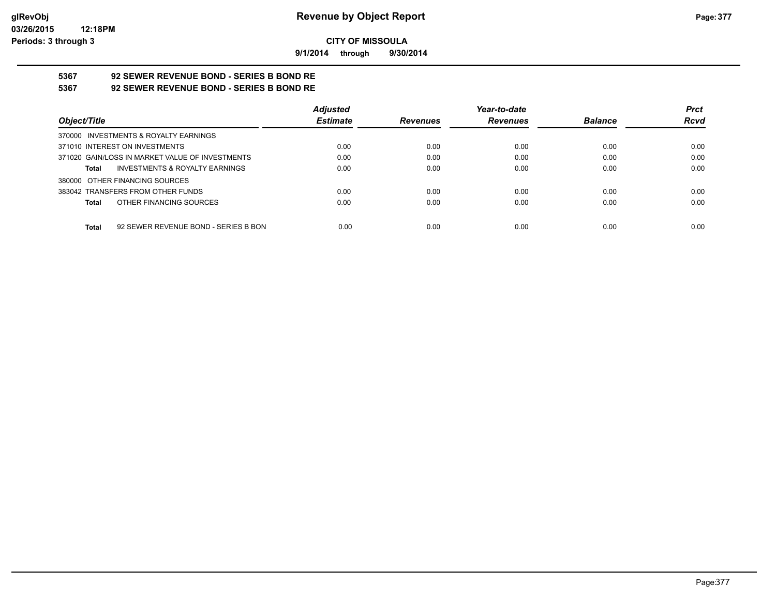**9/1/2014 through 9/30/2014**

# **5367 92 SEWER REVENUE BOND - SERIES B BOND RE**

**5367 92 SEWER REVENUE BOND - SERIES B BOND RE**

|                                                      | <b>Adjusted</b> |                 | Year-to-date    |                | <b>Prct</b> |
|------------------------------------------------------|-----------------|-----------------|-----------------|----------------|-------------|
| Object/Title                                         | <b>Estimate</b> | <b>Revenues</b> | <b>Revenues</b> | <b>Balance</b> | <b>Rcvd</b> |
| 370000 INVESTMENTS & ROYALTY EARNINGS                |                 |                 |                 |                |             |
| 371010 INTEREST ON INVESTMENTS                       | 0.00            | 0.00            | 0.00            | 0.00           | 0.00        |
| 371020 GAIN/LOSS IN MARKET VALUE OF INVESTMENTS      | 0.00            | 0.00            | 0.00            | 0.00           | 0.00        |
| INVESTMENTS & ROYALTY EARNINGS<br>Total              | 0.00            | 0.00            | 0.00            | 0.00           | 0.00        |
| 380000 OTHER FINANCING SOURCES                       |                 |                 |                 |                |             |
| 383042 TRANSFERS FROM OTHER FUNDS                    | 0.00            | 0.00            | 0.00            | 0.00           | 0.00        |
| OTHER FINANCING SOURCES<br>Total                     | 0.00            | 0.00            | 0.00            | 0.00           | 0.00        |
|                                                      |                 |                 |                 |                |             |
| 92 SEWER REVENUE BOND - SERIES B BON<br><b>Total</b> | 0.00            | 0.00            | 0.00            | 0.00           | 0.00        |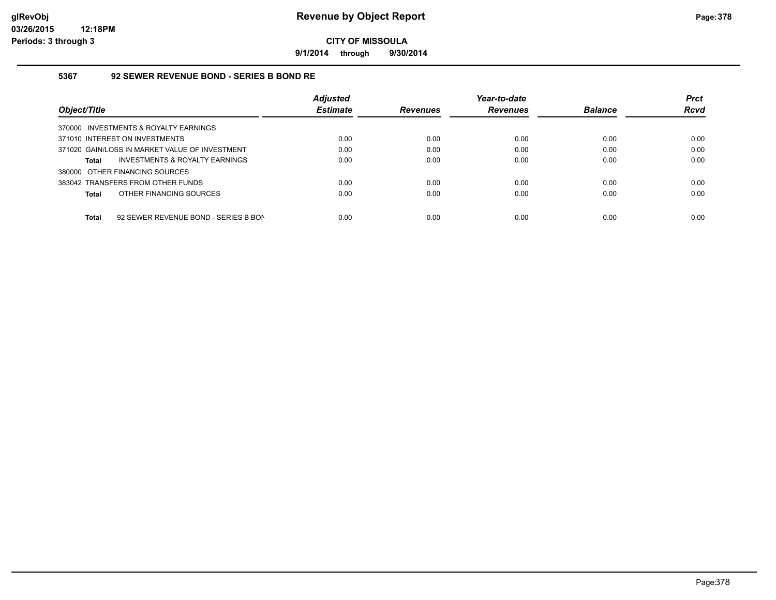**9/1/2014 through 9/30/2014**

#### **5367 92 SEWER REVENUE BOND - SERIES B BOND RE**

|                                                      | <b>Adjusted</b> |                 | Year-to-date    |                | <b>Prct</b> |
|------------------------------------------------------|-----------------|-----------------|-----------------|----------------|-------------|
| Object/Title                                         | <b>Estimate</b> | <b>Revenues</b> | <b>Revenues</b> | <b>Balance</b> | Rcvd        |
| 370000 INVESTMENTS & ROYALTY EARNINGS                |                 |                 |                 |                |             |
| 371010 INTEREST ON INVESTMENTS                       | 0.00            | 0.00            | 0.00            | 0.00           | 0.00        |
| 371020 GAIN/LOSS IN MARKET VALUE OF INVESTMENT       | 0.00            | 0.00            | 0.00            | 0.00           | 0.00        |
| INVESTMENTS & ROYALTY EARNINGS<br><b>Total</b>       | 0.00            | 0.00            | 0.00            | 0.00           | 0.00        |
| 380000 OTHER FINANCING SOURCES                       |                 |                 |                 |                |             |
| 383042 TRANSFERS FROM OTHER FUNDS                    | 0.00            | 0.00            | 0.00            | 0.00           | 0.00        |
| OTHER FINANCING SOURCES<br><b>Total</b>              | 0.00            | 0.00            | 0.00            | 0.00           | 0.00        |
| <b>Total</b><br>92 SEWER REVENUE BOND - SERIES B BON | 0.00            | 0.00            | 0.00            | 0.00           | 0.00        |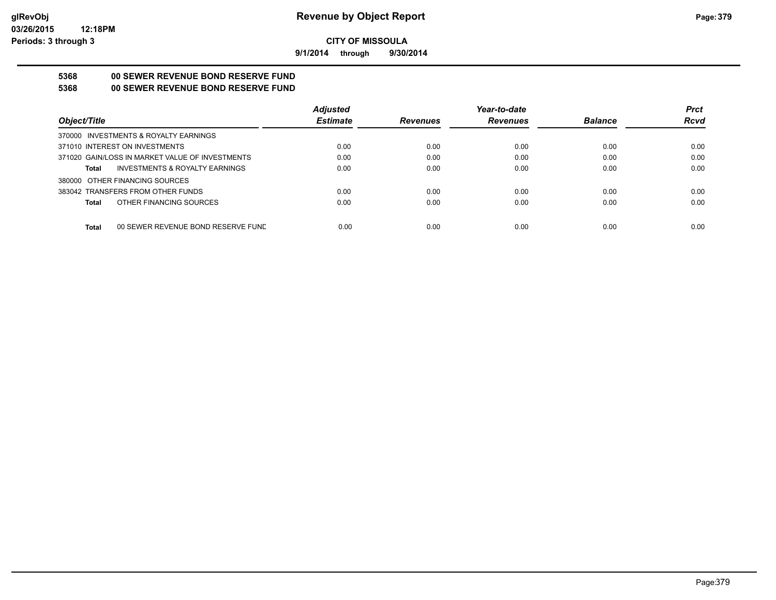**9/1/2014 through 9/30/2014**

# **5368 00 SEWER REVENUE BOND RESERVE FUND**

#### **5368 00 SEWER REVENUE BOND RESERVE FUND**

|                                                    | <b>Adjusted</b> |                 | Year-to-date    |                | <b>Prct</b> |
|----------------------------------------------------|-----------------|-----------------|-----------------|----------------|-------------|
| Object/Title                                       | <b>Estimate</b> | <b>Revenues</b> | <b>Revenues</b> | <b>Balance</b> | <b>Rcvd</b> |
| 370000 INVESTMENTS & ROYALTY EARNINGS              |                 |                 |                 |                |             |
| 371010 INTEREST ON INVESTMENTS                     | 0.00            | 0.00            | 0.00            | 0.00           | 0.00        |
| 371020 GAIN/LOSS IN MARKET VALUE OF INVESTMENTS    | 0.00            | 0.00            | 0.00            | 0.00           | 0.00        |
| <b>INVESTMENTS &amp; ROYALTY EARNINGS</b><br>Total | 0.00            | 0.00            | 0.00            | 0.00           | 0.00        |
| 380000 OTHER FINANCING SOURCES                     |                 |                 |                 |                |             |
| 383042 TRANSFERS FROM OTHER FUNDS                  | 0.00            | 0.00            | 0.00            | 0.00           | 0.00        |
| OTHER FINANCING SOURCES<br>Total                   | 0.00            | 0.00            | 0.00            | 0.00           | 0.00        |
|                                                    |                 |                 |                 |                |             |
| <b>Total</b><br>00 SEWER REVENUE BOND RESERVE FUND | 0.00            | 0.00            | 0.00            | 0.00           | 0.00        |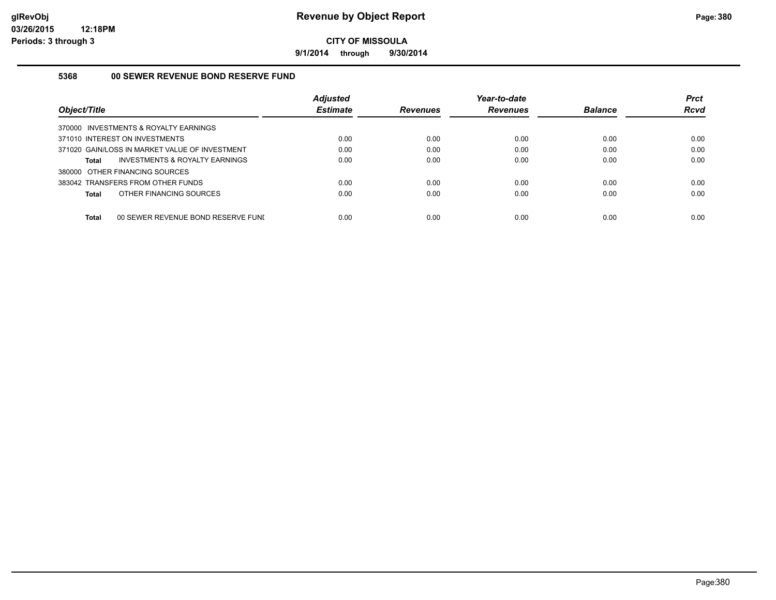**9/1/2014 through 9/30/2014**

#### **5368 00 SEWER REVENUE BOND RESERVE FUND**

| Object/Title                                       | <b>Adjusted</b><br><b>Estimate</b> | <b>Revenues</b> | Year-to-date<br><b>Revenues</b> | <b>Balance</b> | <b>Prct</b><br><b>Rcvd</b> |
|----------------------------------------------------|------------------------------------|-----------------|---------------------------------|----------------|----------------------------|
| 370000 INVESTMENTS & ROYALTY EARNINGS              |                                    |                 |                                 |                |                            |
| 371010 INTEREST ON INVESTMENTS                     | 0.00                               | 0.00            | 0.00                            | 0.00           | 0.00                       |
| 371020 GAIN/LOSS IN MARKET VALUE OF INVESTMENT     | 0.00                               | 0.00            | 0.00                            | 0.00           | 0.00                       |
| INVESTMENTS & ROYALTY EARNINGS<br>Total            | 0.00                               | 0.00            | 0.00                            | 0.00           | 0.00                       |
| 380000 OTHER FINANCING SOURCES                     |                                    |                 |                                 |                |                            |
| 383042 TRANSFERS FROM OTHER FUNDS                  | 0.00                               | 0.00            | 0.00                            | 0.00           | 0.00                       |
| OTHER FINANCING SOURCES<br><b>Total</b>            | 0.00                               | 0.00            | 0.00                            | 0.00           | 0.00                       |
|                                                    |                                    |                 |                                 |                |                            |
| <b>Total</b><br>00 SEWER REVENUE BOND RESERVE FUNI | 0.00                               | 0.00            | 0.00                            | 0.00           | 0.00                       |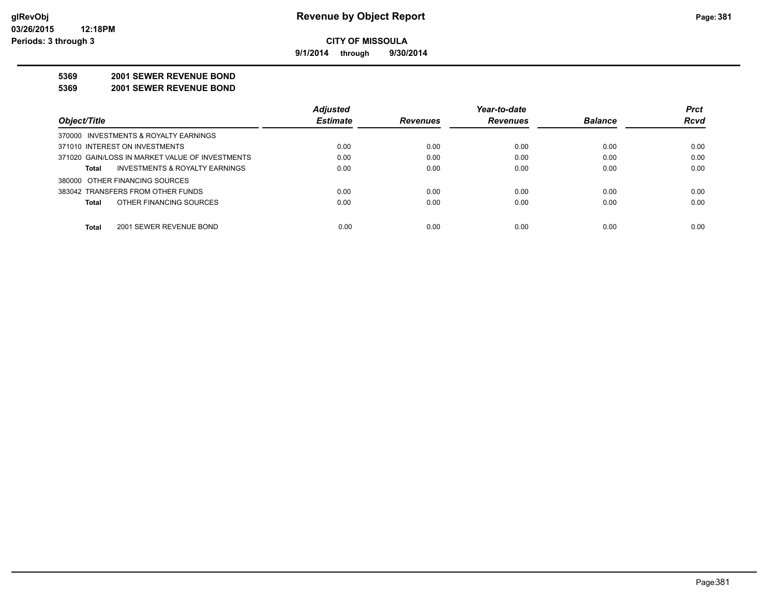**9/1/2014 through 9/30/2014**

#### **5369 2001 SEWER REVENUE BOND**

**5369 2001 SEWER REVENUE BOND**

|                                                 | <b>Adjusted</b> |                 | Year-to-date    |                | <b>Prct</b> |
|-------------------------------------------------|-----------------|-----------------|-----------------|----------------|-------------|
| Object/Title                                    | <b>Estimate</b> | <b>Revenues</b> | <b>Revenues</b> | <b>Balance</b> | <b>Rcvd</b> |
| 370000 INVESTMENTS & ROYALTY EARNINGS           |                 |                 |                 |                |             |
| 371010 INTEREST ON INVESTMENTS                  | 0.00            | 0.00            | 0.00            | 0.00           | 0.00        |
| 371020 GAIN/LOSS IN MARKET VALUE OF INVESTMENTS | 0.00            | 0.00            | 0.00            | 0.00           | 0.00        |
| INVESTMENTS & ROYALTY EARNINGS<br>Total         | 0.00            | 0.00            | 0.00            | 0.00           | 0.00        |
| 380000 OTHER FINANCING SOURCES                  |                 |                 |                 |                |             |
| 383042 TRANSFERS FROM OTHER FUNDS               | 0.00            | 0.00            | 0.00            | 0.00           | 0.00        |
| OTHER FINANCING SOURCES<br><b>Total</b>         | 0.00            | 0.00            | 0.00            | 0.00           | 0.00        |
| <b>Total</b><br>2001 SEWER REVENUE BOND         | 0.00            | 0.00            | 0.00            | 0.00           | 0.00        |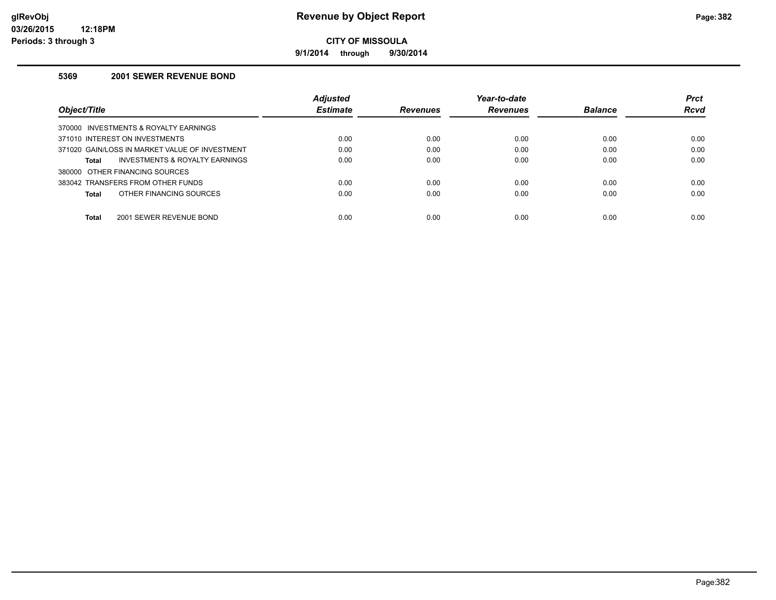**9/1/2014 through 9/30/2014**

#### **5369 2001 SEWER REVENUE BOND**

|                                                    | <b>Adjusted</b> |                 | Year-to-date    |                | <b>Prct</b> |
|----------------------------------------------------|-----------------|-----------------|-----------------|----------------|-------------|
| Object/Title                                       | <b>Estimate</b> | <b>Revenues</b> | <b>Revenues</b> | <b>Balance</b> | Rcvd        |
| INVESTMENTS & ROYALTY EARNINGS<br>370000           |                 |                 |                 |                |             |
| 371010 INTEREST ON INVESTMENTS                     | 0.00            | 0.00            | 0.00            | 0.00           | 0.00        |
| 371020 GAIN/LOSS IN MARKET VALUE OF INVESTMENT     | 0.00            | 0.00            | 0.00            | 0.00           | 0.00        |
| <b>INVESTMENTS &amp; ROYALTY EARNINGS</b><br>Total | 0.00            | 0.00            | 0.00            | 0.00           | 0.00        |
| 380000 OTHER FINANCING SOURCES                     |                 |                 |                 |                |             |
| 383042 TRANSFERS FROM OTHER FUNDS                  | 0.00            | 0.00            | 0.00            | 0.00           | 0.00        |
| OTHER FINANCING SOURCES<br>Total                   | 0.00            | 0.00            | 0.00            | 0.00           | 0.00        |
|                                                    |                 |                 |                 |                |             |
| Total<br>2001 SEWER REVENUE BOND                   | 0.00            | 0.00            | 0.00            | 0.00           | 0.00        |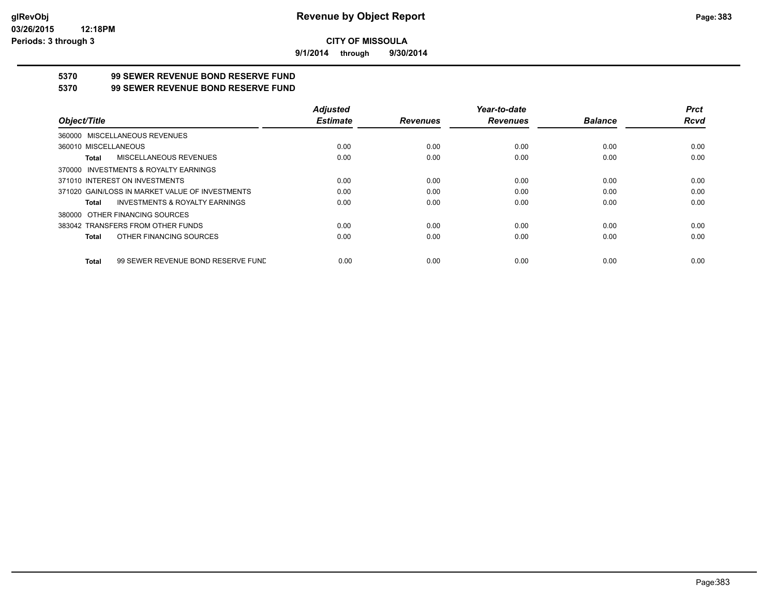**9/1/2014 through 9/30/2014**

# **5370 99 SEWER REVENUE BOND RESERVE FUND**

#### **5370 99 SEWER REVENUE BOND RESERVE FUND**

|                                                    | <b>Adjusted</b> |                 | Year-to-date    |                | <b>Prct</b> |
|----------------------------------------------------|-----------------|-----------------|-----------------|----------------|-------------|
| Object/Title                                       | <b>Estimate</b> | <b>Revenues</b> | <b>Revenues</b> | <b>Balance</b> | Rcvd        |
| 360000 MISCELLANEOUS REVENUES                      |                 |                 |                 |                |             |
| 360010 MISCELLANEOUS                               | 0.00            | 0.00            | 0.00            | 0.00           | 0.00        |
| MISCELLANEOUS REVENUES<br>Total                    | 0.00            | 0.00            | 0.00            | 0.00           | 0.00        |
| 370000 INVESTMENTS & ROYALTY EARNINGS              |                 |                 |                 |                |             |
| 371010 INTEREST ON INVESTMENTS                     | 0.00            | 0.00            | 0.00            | 0.00           | 0.00        |
| 371020 GAIN/LOSS IN MARKET VALUE OF INVESTMENTS    | 0.00            | 0.00            | 0.00            | 0.00           | 0.00        |
| <b>INVESTMENTS &amp; ROYALTY EARNINGS</b><br>Total | 0.00            | 0.00            | 0.00            | 0.00           | 0.00        |
| 380000 OTHER FINANCING SOURCES                     |                 |                 |                 |                |             |
| 383042 TRANSFERS FROM OTHER FUNDS                  | 0.00            | 0.00            | 0.00            | 0.00           | 0.00        |
| OTHER FINANCING SOURCES<br>Total                   | 0.00            | 0.00            | 0.00            | 0.00           | 0.00        |
| 99 SEWER REVENUE BOND RESERVE FUND<br>Total        | 0.00            | 0.00            | 0.00            | 0.00           | 0.00        |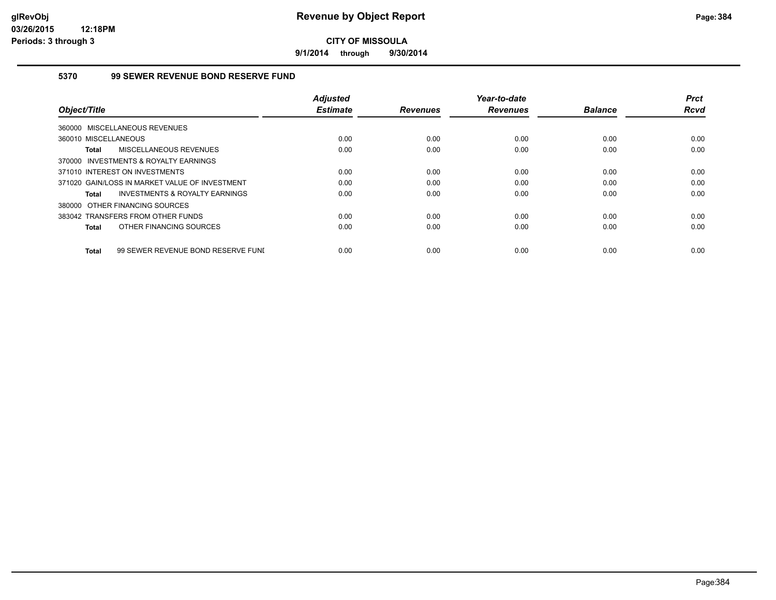**9/1/2014 through 9/30/2014**

#### **5370 99 SEWER REVENUE BOND RESERVE FUND**

|                                                    | <b>Adjusted</b> |                 | Year-to-date    |                | <b>Prct</b> |
|----------------------------------------------------|-----------------|-----------------|-----------------|----------------|-------------|
| Object/Title                                       | <b>Estimate</b> | <b>Revenues</b> | <b>Revenues</b> | <b>Balance</b> | <b>Rcvd</b> |
| 360000 MISCELLANEOUS REVENUES                      |                 |                 |                 |                |             |
| 360010 MISCELLANEOUS                               | 0.00            | 0.00            | 0.00            | 0.00           | 0.00        |
| MISCELLANEOUS REVENUES<br><b>Total</b>             | 0.00            | 0.00            | 0.00            | 0.00           | 0.00        |
| 370000 INVESTMENTS & ROYALTY EARNINGS              |                 |                 |                 |                |             |
| 371010 INTEREST ON INVESTMENTS                     | 0.00            | 0.00            | 0.00            | 0.00           | 0.00        |
| 371020 GAIN/LOSS IN MARKET VALUE OF INVESTMENT     | 0.00            | 0.00            | 0.00            | 0.00           | 0.00        |
| <b>INVESTMENTS &amp; ROYALTY EARNINGS</b><br>Total | 0.00            | 0.00            | 0.00            | 0.00           | 0.00        |
| 380000 OTHER FINANCING SOURCES                     |                 |                 |                 |                |             |
| 383042 TRANSFERS FROM OTHER FUNDS                  | 0.00            | 0.00            | 0.00            | 0.00           | 0.00        |
| OTHER FINANCING SOURCES<br>Total                   | 0.00            | 0.00            | 0.00            | 0.00           | 0.00        |
|                                                    |                 |                 |                 |                |             |
| 99 SEWER REVENUE BOND RESERVE FUNI<br><b>Total</b> | 0.00            | 0.00            | 0.00            | 0.00           | 0.00        |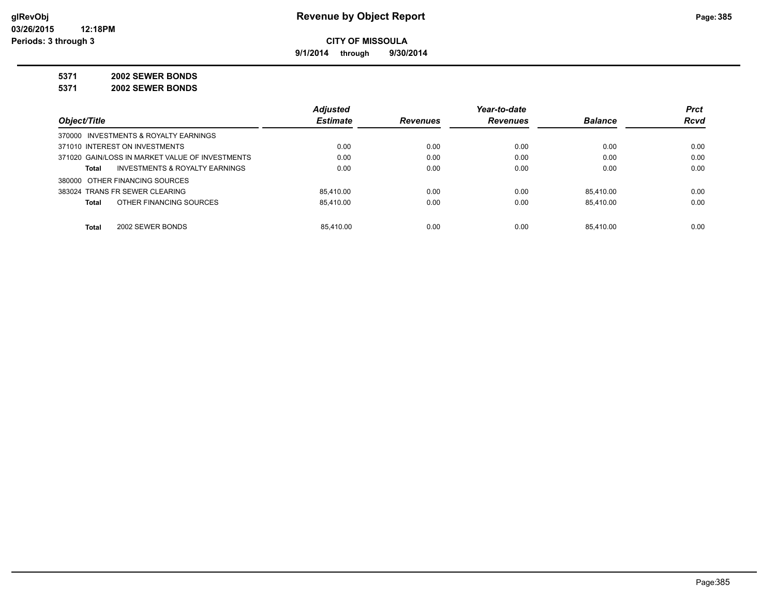**9/1/2014 through 9/30/2014**

## **5371 2002 SEWER BONDS**

**5371 2002 SEWER BONDS**

|                                                 | <b>Adjusted</b> |                 | Year-to-date    |                | <b>Prct</b> |
|-------------------------------------------------|-----------------|-----------------|-----------------|----------------|-------------|
| Object/Title                                    | <b>Estimate</b> | <b>Revenues</b> | <b>Revenues</b> | <b>Balance</b> | <b>Rcvd</b> |
| 370000 INVESTMENTS & ROYALTY EARNINGS           |                 |                 |                 |                |             |
| 371010 INTEREST ON INVESTMENTS                  | 0.00            | 0.00            | 0.00            | 0.00           | 0.00        |
| 371020 GAIN/LOSS IN MARKET VALUE OF INVESTMENTS | 0.00            | 0.00            | 0.00            | 0.00           | 0.00        |
| INVESTMENTS & ROYALTY EARNINGS<br><b>Total</b>  | 0.00            | 0.00            | 0.00            | 0.00           | 0.00        |
| 380000 OTHER FINANCING SOURCES                  |                 |                 |                 |                |             |
| 383024 TRANS FR SEWER CLEARING                  | 85.410.00       | 0.00            | 0.00            | 85.410.00      | 0.00        |
| OTHER FINANCING SOURCES<br><b>Total</b>         | 85.410.00       | 0.00            | 0.00            | 85.410.00      | 0.00        |
|                                                 |                 |                 |                 |                |             |
| <b>Total</b><br>2002 SEWER BONDS                | 85.410.00       | 0.00            | 0.00            | 85.410.00      | 0.00        |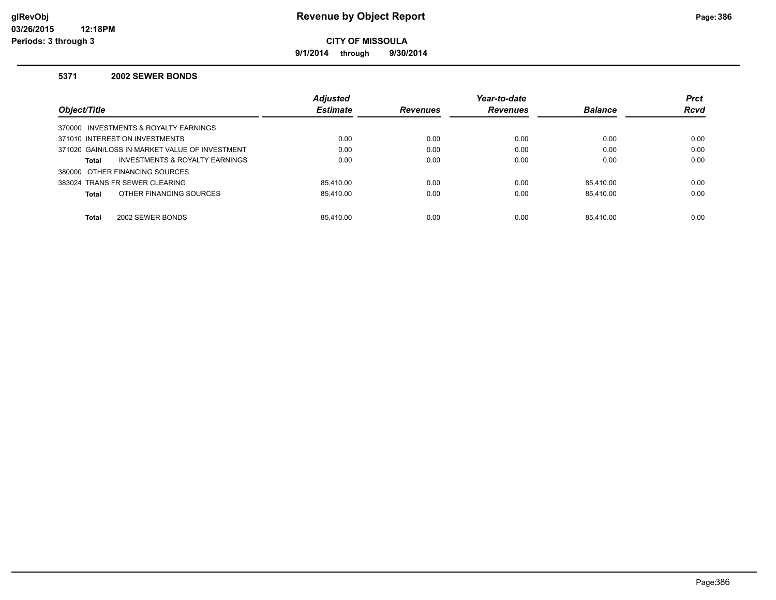#### **glRevObj Revenue by Object Report Page:386**

**CITY OF MISSOULA**

**9/1/2014 through 9/30/2014**

#### **5371 2002 SEWER BONDS**

|                                                | <b>Adjusted</b> |                 | Year-to-date    |                | <b>Prct</b> |
|------------------------------------------------|-----------------|-----------------|-----------------|----------------|-------------|
| Object/Title                                   | <b>Estimate</b> | <b>Revenues</b> | <b>Revenues</b> | <b>Balance</b> | <b>Rcvd</b> |
| 370000 INVESTMENTS & ROYALTY EARNINGS          |                 |                 |                 |                |             |
| 371010 INTEREST ON INVESTMENTS                 | 0.00            | 0.00            | 0.00            | 0.00           | 0.00        |
| 371020 GAIN/LOSS IN MARKET VALUE OF INVESTMENT | 0.00            | 0.00            | 0.00            | 0.00           | 0.00        |
| INVESTMENTS & ROYALTY EARNINGS<br>Total        | 0.00            | 0.00            | 0.00            | 0.00           | 0.00        |
| 380000 OTHER FINANCING SOURCES                 |                 |                 |                 |                |             |
| 383024 TRANS FR SEWER CLEARING                 | 85.410.00       | 0.00            | 0.00            | 85.410.00      | 0.00        |
| OTHER FINANCING SOURCES<br>Total               | 85.410.00       | 0.00            | 0.00            | 85.410.00      | 0.00        |
|                                                |                 |                 |                 |                |             |
| 2002 SEWER BONDS<br><b>Total</b>               | 85.410.00       | 0.00            | 0.00            | 85.410.00      | 0.00        |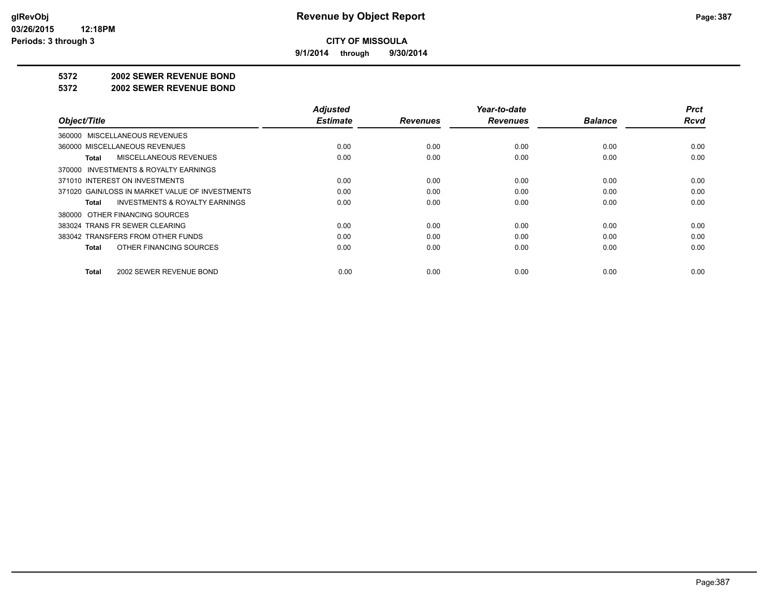**9/1/2014 through 9/30/2014**

#### **5372 2002 SEWER REVENUE BOND**

#### **5372 2002 SEWER REVENUE BOND**

| Object/Title                                       | <b>Adjusted</b><br><b>Estimate</b> | <b>Revenues</b> | Year-to-date<br><b>Revenues</b> | <b>Balance</b> | <b>Prct</b><br><b>Rcvd</b> |
|----------------------------------------------------|------------------------------------|-----------------|---------------------------------|----------------|----------------------------|
| 360000 MISCELLANEOUS REVENUES                      |                                    |                 |                                 |                |                            |
| 360000 MISCELLANEOUS REVENUES                      | 0.00                               | 0.00            | 0.00                            | 0.00           | 0.00                       |
| MISCELLANEOUS REVENUES<br>Total                    | 0.00                               | 0.00            | 0.00                            | 0.00           | 0.00                       |
| INVESTMENTS & ROYALTY EARNINGS<br>370000           |                                    |                 |                                 |                |                            |
| 371010 INTEREST ON INVESTMENTS                     | 0.00                               | 0.00            | 0.00                            | 0.00           | 0.00                       |
| 371020 GAIN/LOSS IN MARKET VALUE OF INVESTMENTS    | 0.00                               | 0.00            | 0.00                            | 0.00           | 0.00                       |
| <b>INVESTMENTS &amp; ROYALTY EARNINGS</b><br>Total | 0.00                               | 0.00            | 0.00                            | 0.00           | 0.00                       |
| 380000 OTHER FINANCING SOURCES                     |                                    |                 |                                 |                |                            |
| 383024 TRANS FR SEWER CLEARING                     | 0.00                               | 0.00            | 0.00                            | 0.00           | 0.00                       |
| 383042 TRANSFERS FROM OTHER FUNDS                  | 0.00                               | 0.00            | 0.00                            | 0.00           | 0.00                       |
| OTHER FINANCING SOURCES<br><b>Total</b>            | 0.00                               | 0.00            | 0.00                            | 0.00           | 0.00                       |
| 2002 SEWER REVENUE BOND<br><b>Total</b>            | 0.00                               | 0.00            | 0.00                            | 0.00           | 0.00                       |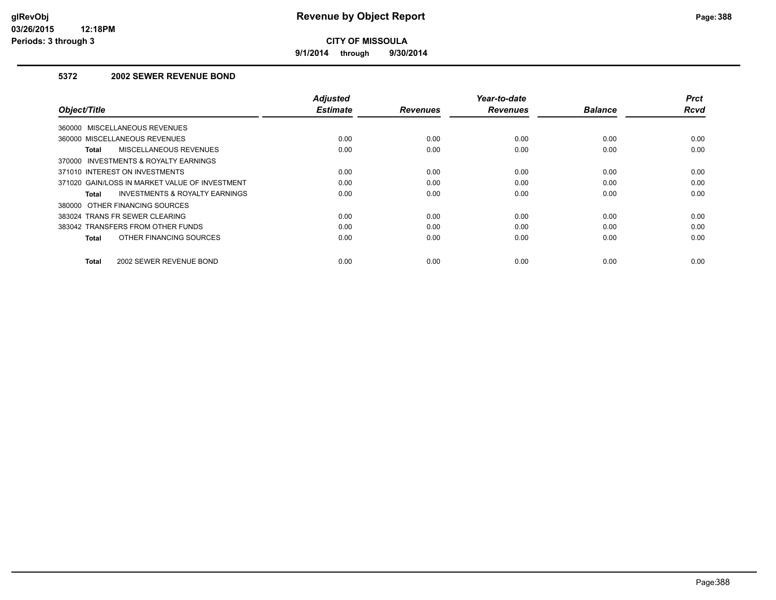**9/1/2014 through 9/30/2014**

#### **5372 2002 SEWER REVENUE BOND**

| Object/Title                                              | <b>Adjusted</b><br><b>Estimate</b> | <b>Revenues</b> | Year-to-date<br><b>Revenues</b> | <b>Balance</b> | <b>Prct</b><br>Rcvd |
|-----------------------------------------------------------|------------------------------------|-----------------|---------------------------------|----------------|---------------------|
| 360000 MISCELLANEOUS REVENUES                             |                                    |                 |                                 |                |                     |
| 360000 MISCELLANEOUS REVENUES                             | 0.00                               | 0.00            | 0.00                            | 0.00           | 0.00                |
| MISCELLANEOUS REVENUES<br><b>Total</b>                    | 0.00                               | 0.00            | 0.00                            | 0.00           | 0.00                |
| 370000 INVESTMENTS & ROYALTY EARNINGS                     |                                    |                 |                                 |                |                     |
| 371010 INTEREST ON INVESTMENTS                            | 0.00                               | 0.00            | 0.00                            | 0.00           | 0.00                |
| 371020 GAIN/LOSS IN MARKET VALUE OF INVESTMENT            | 0.00                               | 0.00            | 0.00                            | 0.00           | 0.00                |
| <b>INVESTMENTS &amp; ROYALTY EARNINGS</b><br><b>Total</b> | 0.00                               | 0.00            | 0.00                            | 0.00           | 0.00                |
| 380000 OTHER FINANCING SOURCES                            |                                    |                 |                                 |                |                     |
| 383024 TRANS FR SEWER CLEARING                            | 0.00                               | 0.00            | 0.00                            | 0.00           | 0.00                |
| 383042 TRANSFERS FROM OTHER FUNDS                         | 0.00                               | 0.00            | 0.00                            | 0.00           | 0.00                |
| OTHER FINANCING SOURCES<br><b>Total</b>                   | 0.00                               | 0.00            | 0.00                            | 0.00           | 0.00                |
| 2002 SEWER REVENUE BOND<br><b>Total</b>                   | 0.00                               | 0.00            | 0.00                            | 0.00           | 0.00                |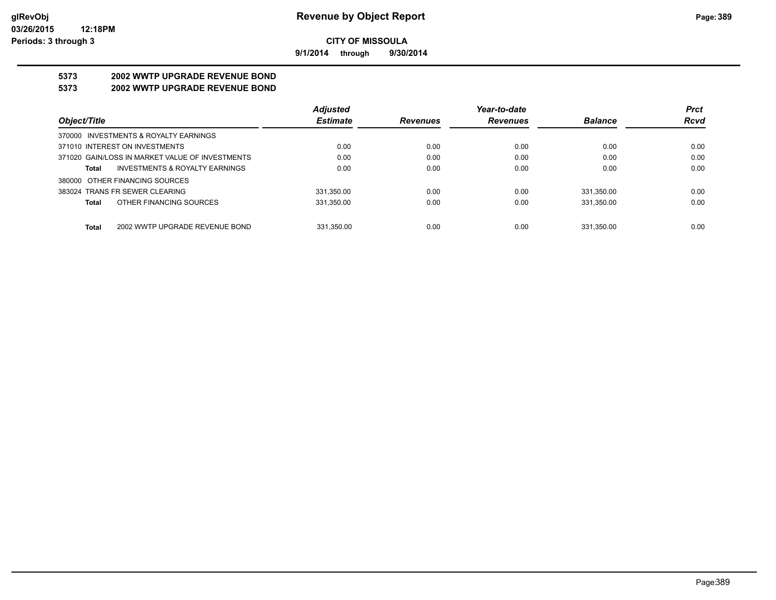**9/1/2014 through 9/30/2014**

# **5373 2002 WWTP UPGRADE REVENUE BOND**

#### **5373 2002 WWTP UPGRADE REVENUE BOND**

|                                                 | <b>Adjusted</b> |                 | Year-to-date    |                | <b>Prct</b> |
|-------------------------------------------------|-----------------|-----------------|-----------------|----------------|-------------|
| Object/Title                                    | <b>Estimate</b> | <b>Revenues</b> | <b>Revenues</b> | <b>Balance</b> | <b>Rcvd</b> |
| 370000 INVESTMENTS & ROYALTY EARNINGS           |                 |                 |                 |                |             |
| 371010 INTEREST ON INVESTMENTS                  | 0.00            | 0.00            | 0.00            | 0.00           | 0.00        |
| 371020 GAIN/LOSS IN MARKET VALUE OF INVESTMENTS | 0.00            | 0.00            | 0.00            | 0.00           | 0.00        |
| INVESTMENTS & ROYALTY EARNINGS<br>Total         | 0.00            | 0.00            | 0.00            | 0.00           | 0.00        |
| 380000 OTHER FINANCING SOURCES                  |                 |                 |                 |                |             |
| 383024 TRANS FR SEWER CLEARING                  | 331.350.00      | 0.00            | 0.00            | 331.350.00     | 0.00        |
| OTHER FINANCING SOURCES<br>Total                | 331,350.00      | 0.00            | 0.00            | 331,350.00     | 0.00        |
|                                                 |                 |                 |                 |                |             |
| 2002 WWTP UPGRADE REVENUE BOND<br>Total         | 331.350.00      | 0.00            | 0.00            | 331.350.00     | 0.00        |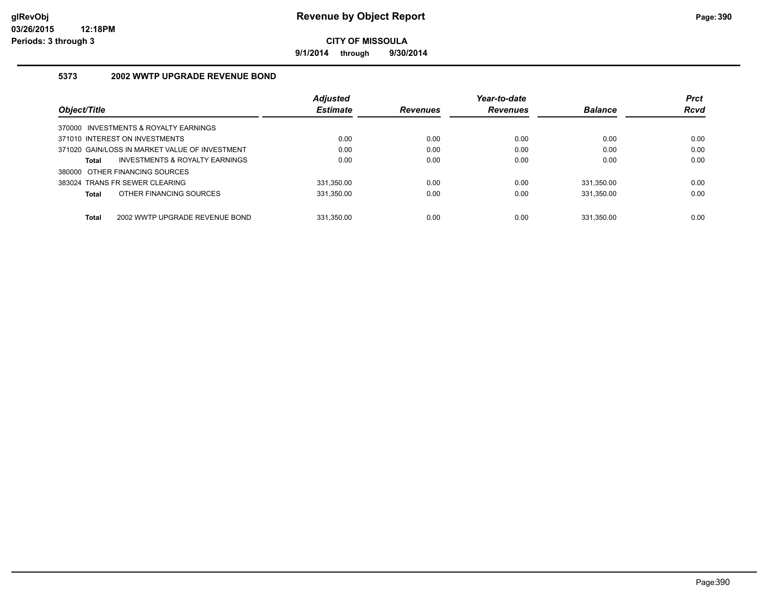**9/1/2014 through 9/30/2014**

#### **5373 2002 WWTP UPGRADE REVENUE BOND**

|                                                | <b>Adjusted</b> |                 | Year-to-date    |                | <b>Prct</b> |
|------------------------------------------------|-----------------|-----------------|-----------------|----------------|-------------|
| Object/Title                                   | <b>Estimate</b> | <b>Revenues</b> | <b>Revenues</b> | <b>Balance</b> | <b>Rcvd</b> |
| 370000 INVESTMENTS & ROYALTY EARNINGS          |                 |                 |                 |                |             |
| 371010 INTEREST ON INVESTMENTS                 | 0.00            | 0.00            | 0.00            | 0.00           | 0.00        |
| 371020 GAIN/LOSS IN MARKET VALUE OF INVESTMENT | 0.00            | 0.00            | 0.00            | 0.00           | 0.00        |
| INVESTMENTS & ROYALTY EARNINGS<br>Total        | 0.00            | 0.00            | 0.00            | 0.00           | 0.00        |
| 380000 OTHER FINANCING SOURCES                 |                 |                 |                 |                |             |
| 383024 TRANS FR SEWER CLEARING                 | 331.350.00      | 0.00            | 0.00            | 331.350.00     | 0.00        |
| OTHER FINANCING SOURCES<br>Total               | 331,350.00      | 0.00            | 0.00            | 331,350.00     | 0.00        |
|                                                |                 |                 |                 |                |             |
| <b>Total</b><br>2002 WWTP UPGRADE REVENUE BOND | 331.350.00      | 0.00            | 0.00            | 331.350.00     | 0.00        |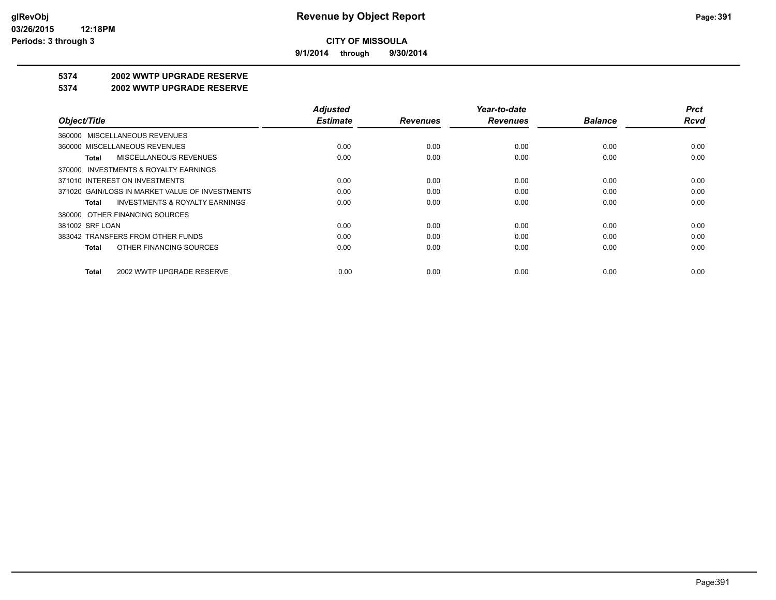**9/1/2014 through 9/30/2014**

### **5374 2002 WWTP UPGRADE RESERVE**

#### **5374 2002 WWTP UPGRADE RESERVE**

|                                                    | <b>Adjusted</b> |                 | Year-to-date    |                | <b>Prct</b> |
|----------------------------------------------------|-----------------|-----------------|-----------------|----------------|-------------|
| Object/Title                                       | <b>Estimate</b> | <b>Revenues</b> | <b>Revenues</b> | <b>Balance</b> | <b>Rcvd</b> |
| 360000 MISCELLANEOUS REVENUES                      |                 |                 |                 |                |             |
| 360000 MISCELLANEOUS REVENUES                      | 0.00            | 0.00            | 0.00            | 0.00           | 0.00        |
| <b>MISCELLANEOUS REVENUES</b><br>Total             | 0.00            | 0.00            | 0.00            | 0.00           | 0.00        |
| 370000 INVESTMENTS & ROYALTY EARNINGS              |                 |                 |                 |                |             |
| 371010 INTEREST ON INVESTMENTS                     | 0.00            | 0.00            | 0.00            | 0.00           | 0.00        |
| 371020 GAIN/LOSS IN MARKET VALUE OF INVESTMENTS    | 0.00            | 0.00            | 0.00            | 0.00           | 0.00        |
| <b>INVESTMENTS &amp; ROYALTY EARNINGS</b><br>Total | 0.00            | 0.00            | 0.00            | 0.00           | 0.00        |
| 380000 OTHER FINANCING SOURCES                     |                 |                 |                 |                |             |
| 381002 SRF LOAN                                    | 0.00            | 0.00            | 0.00            | 0.00           | 0.00        |
| 383042 TRANSFERS FROM OTHER FUNDS                  | 0.00            | 0.00            | 0.00            | 0.00           | 0.00        |
| OTHER FINANCING SOURCES<br>Total                   | 0.00            | 0.00            | 0.00            | 0.00           | 0.00        |
| 2002 WWTP UPGRADE RESERVE<br>Total                 | 0.00            | 0.00            | 0.00            | 0.00           | 0.00        |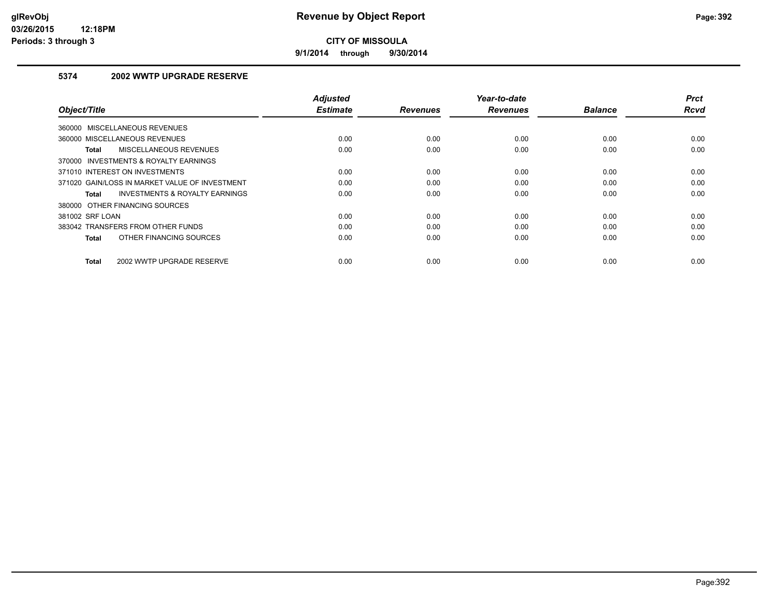**9/1/2014 through 9/30/2014**

#### **5374 2002 WWTP UPGRADE RESERVE**

| Object/Title                                   | <b>Adjusted</b><br><b>Estimate</b> | <b>Revenues</b> | Year-to-date<br><b>Revenues</b> | <b>Balance</b> | <b>Prct</b><br>Rcvd |
|------------------------------------------------|------------------------------------|-----------------|---------------------------------|----------------|---------------------|
| 360000 MISCELLANEOUS REVENUES                  |                                    |                 |                                 |                |                     |
| 360000 MISCELLANEOUS REVENUES                  | 0.00                               | 0.00            | 0.00                            | 0.00           | 0.00                |
| MISCELLANEOUS REVENUES<br><b>Total</b>         | 0.00                               | 0.00            | 0.00                            | 0.00           | 0.00                |
| 370000 INVESTMENTS & ROYALTY EARNINGS          |                                    |                 |                                 |                |                     |
| 371010 INTEREST ON INVESTMENTS                 | 0.00                               | 0.00            | 0.00                            | 0.00           | 0.00                |
| 371020 GAIN/LOSS IN MARKET VALUE OF INVESTMENT | 0.00                               | 0.00            | 0.00                            | 0.00           | 0.00                |
| INVESTMENTS & ROYALTY EARNINGS<br>Total        | 0.00                               | 0.00            | 0.00                            | 0.00           | 0.00                |
| 380000 OTHER FINANCING SOURCES                 |                                    |                 |                                 |                |                     |
| 381002 SRF LOAN                                | 0.00                               | 0.00            | 0.00                            | 0.00           | 0.00                |
| 383042 TRANSFERS FROM OTHER FUNDS              | 0.00                               | 0.00            | 0.00                            | 0.00           | 0.00                |
| OTHER FINANCING SOURCES<br><b>Total</b>        | 0.00                               | 0.00            | 0.00                            | 0.00           | 0.00                |
| 2002 WWTP UPGRADE RESERVE<br><b>Total</b>      | 0.00                               | 0.00            | 0.00                            | 0.00           | 0.00                |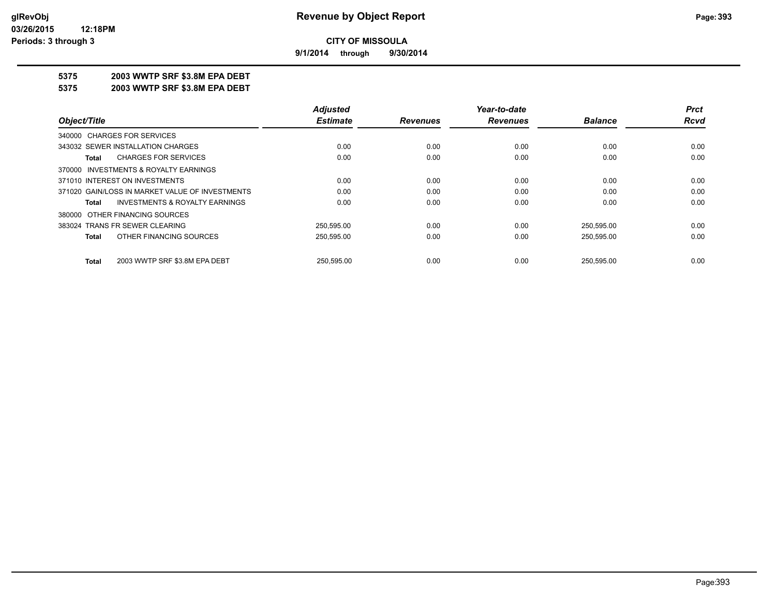**9/1/2014 through 9/30/2014**

#### **5375 2003 WWTP SRF \$3.8M EPA DEBT**

**5375 2003 WWTP SRF \$3.8M EPA DEBT**

|                                                    | <b>Adjusted</b> |                 | Year-to-date    |                | <b>Prct</b> |
|----------------------------------------------------|-----------------|-----------------|-----------------|----------------|-------------|
| Object/Title                                       | <b>Estimate</b> | <b>Revenues</b> | <b>Revenues</b> | <b>Balance</b> | Rcvd        |
| 340000 CHARGES FOR SERVICES                        |                 |                 |                 |                |             |
| 343032 SEWER INSTALLATION CHARGES                  | 0.00            | 0.00            | 0.00            | 0.00           | 0.00        |
| <b>CHARGES FOR SERVICES</b><br>Total               | 0.00            | 0.00            | 0.00            | 0.00           | 0.00        |
| 370000 INVESTMENTS & ROYALTY EARNINGS              |                 |                 |                 |                |             |
| 371010 INTEREST ON INVESTMENTS                     | 0.00            | 0.00            | 0.00            | 0.00           | 0.00        |
| 371020 GAIN/LOSS IN MARKET VALUE OF INVESTMENTS    | 0.00            | 0.00            | 0.00            | 0.00           | 0.00        |
| <b>INVESTMENTS &amp; ROYALTY EARNINGS</b><br>Total | 0.00            | 0.00            | 0.00            | 0.00           | 0.00        |
| 380000 OTHER FINANCING SOURCES                     |                 |                 |                 |                |             |
| 383024 TRANS FR SEWER CLEARING                     | 250,595.00      | 0.00            | 0.00            | 250,595.00     | 0.00        |
| OTHER FINANCING SOURCES<br>Total                   | 250,595.00      | 0.00            | 0.00            | 250,595.00     | 0.00        |
| 2003 WWTP SRF \$3.8M EPA DEBT<br>Total             | 250.595.00      | 0.00            | 0.00            | 250.595.00     | 0.00        |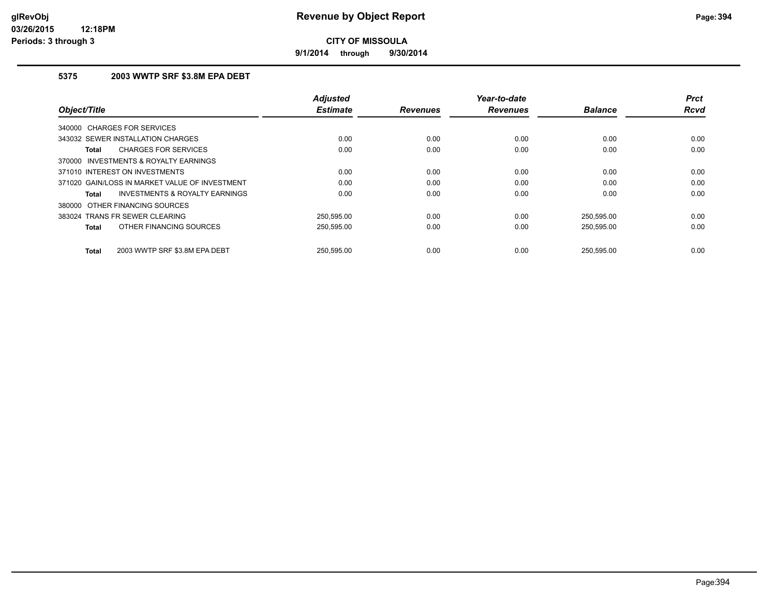**9/1/2014 through 9/30/2014**

#### **5375 2003 WWTP SRF \$3.8M EPA DEBT**

| Object/Title                                       | <b>Adjusted</b><br><b>Estimate</b> | <b>Revenues</b> | Year-to-date<br><b>Revenues</b> | <b>Balance</b> | <b>Prct</b><br><b>Rcvd</b> |
|----------------------------------------------------|------------------------------------|-----------------|---------------------------------|----------------|----------------------------|
|                                                    |                                    |                 |                                 |                |                            |
| <b>CHARGES FOR SERVICES</b><br>340000              |                                    |                 |                                 |                |                            |
| 343032 SEWER INSTALLATION CHARGES                  | 0.00                               | 0.00            | 0.00                            | 0.00           | 0.00                       |
| <b>CHARGES FOR SERVICES</b><br>Total               | 0.00                               | 0.00            | 0.00                            | 0.00           | 0.00                       |
| INVESTMENTS & ROYALTY EARNINGS<br>370000           |                                    |                 |                                 |                |                            |
| 371010 INTEREST ON INVESTMENTS                     | 0.00                               | 0.00            | 0.00                            | 0.00           | 0.00                       |
| 371020 GAIN/LOSS IN MARKET VALUE OF INVESTMENT     | 0.00                               | 0.00            | 0.00                            | 0.00           | 0.00                       |
| <b>INVESTMENTS &amp; ROYALTY EARNINGS</b><br>Total | 0.00                               | 0.00            | 0.00                            | 0.00           | 0.00                       |
| OTHER FINANCING SOURCES<br>380000                  |                                    |                 |                                 |                |                            |
| 383024 TRANS FR SEWER CLEARING                     | 250,595.00                         | 0.00            | 0.00                            | 250,595.00     | 0.00                       |
| OTHER FINANCING SOURCES<br><b>Total</b>            | 250,595.00                         | 0.00            | 0.00                            | 250,595.00     | 0.00                       |
| 2003 WWTP SRF \$3.8M EPA DEBT<br>Total             | 250.595.00                         | 0.00            | 0.00                            | 250.595.00     | 0.00                       |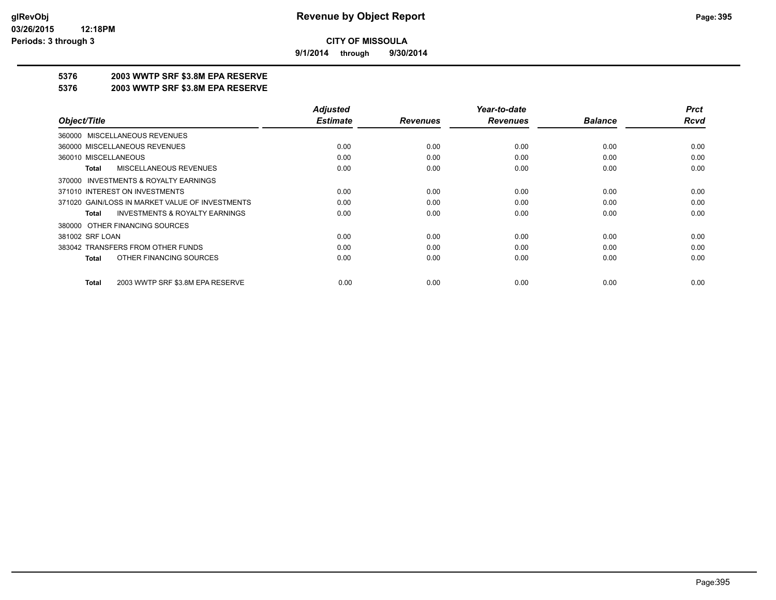**9/1/2014 through 9/30/2014**

### **5376 2003 WWTP SRF \$3.8M EPA RESERVE**

#### **5376 2003 WWTP SRF \$3.8M EPA RESERVE**

|                                                    | <b>Adjusted</b> |                 | Year-to-date    |                | <b>Prct</b> |
|----------------------------------------------------|-----------------|-----------------|-----------------|----------------|-------------|
| Object/Title                                       | <b>Estimate</b> | <b>Revenues</b> | <b>Revenues</b> | <b>Balance</b> | <b>Rcvd</b> |
| 360000 MISCELLANEOUS REVENUES                      |                 |                 |                 |                |             |
| 360000 MISCELLANEOUS REVENUES                      | 0.00            | 0.00            | 0.00            | 0.00           | 0.00        |
| 360010 MISCELLANEOUS                               | 0.00            | 0.00            | 0.00            | 0.00           | 0.00        |
| MISCELLANEOUS REVENUES<br>Total                    | 0.00            | 0.00            | 0.00            | 0.00           | 0.00        |
| 370000 INVESTMENTS & ROYALTY EARNINGS              |                 |                 |                 |                |             |
| 371010 INTEREST ON INVESTMENTS                     | 0.00            | 0.00            | 0.00            | 0.00           | 0.00        |
| 371020 GAIN/LOSS IN MARKET VALUE OF INVESTMENTS    | 0.00            | 0.00            | 0.00            | 0.00           | 0.00        |
| <b>INVESTMENTS &amp; ROYALTY EARNINGS</b><br>Total | 0.00            | 0.00            | 0.00            | 0.00           | 0.00        |
| 380000 OTHER FINANCING SOURCES                     |                 |                 |                 |                |             |
| 381002 SRF LOAN                                    | 0.00            | 0.00            | 0.00            | 0.00           | 0.00        |
| 383042 TRANSFERS FROM OTHER FUNDS                  | 0.00            | 0.00            | 0.00            | 0.00           | 0.00        |
| OTHER FINANCING SOURCES<br><b>Total</b>            | 0.00            | 0.00            | 0.00            | 0.00           | 0.00        |
| 2003 WWTP SRF \$3.8M EPA RESERVE<br><b>Total</b>   | 0.00            | 0.00            | 0.00            | 0.00           | 0.00        |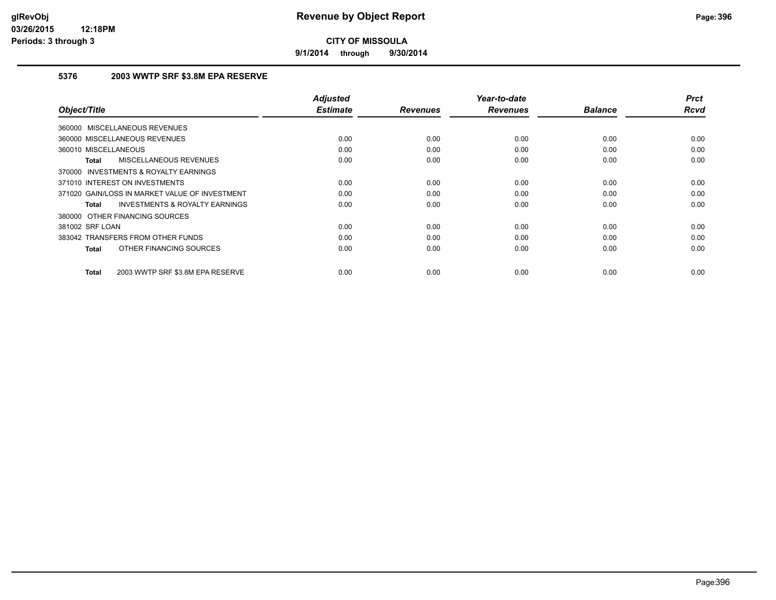**9/1/2014 through 9/30/2014**

#### **5376 2003 WWTP SRF \$3.8M EPA RESERVE**

|                                                           | <b>Adjusted</b> |                 | Year-to-date    |                | <b>Prct</b> |
|-----------------------------------------------------------|-----------------|-----------------|-----------------|----------------|-------------|
| Object/Title                                              | <b>Estimate</b> | <b>Revenues</b> | <b>Revenues</b> | <b>Balance</b> | <b>Rcvd</b> |
| 360000 MISCELLANEOUS REVENUES                             |                 |                 |                 |                |             |
| 360000 MISCELLANEOUS REVENUES                             | 0.00            | 0.00            | 0.00            | 0.00           | 0.00        |
| 360010 MISCELLANEOUS                                      | 0.00            | 0.00            | 0.00            | 0.00           | 0.00        |
| <b>MISCELLANEOUS REVENUES</b><br><b>Total</b>             | 0.00            | 0.00            | 0.00            | 0.00           | 0.00        |
| <b>INVESTMENTS &amp; ROYALTY EARNINGS</b><br>370000       |                 |                 |                 |                |             |
| 371010 INTEREST ON INVESTMENTS                            | 0.00            | 0.00            | 0.00            | 0.00           | 0.00        |
| 371020 GAIN/LOSS IN MARKET VALUE OF INVESTMENT            | 0.00            | 0.00            | 0.00            | 0.00           | 0.00        |
| <b>INVESTMENTS &amp; ROYALTY EARNINGS</b><br><b>Total</b> | 0.00            | 0.00            | 0.00            | 0.00           | 0.00        |
| 380000 OTHER FINANCING SOURCES                            |                 |                 |                 |                |             |
| 381002 SRF LOAN                                           | 0.00            | 0.00            | 0.00            | 0.00           | 0.00        |
| 383042 TRANSFERS FROM OTHER FUNDS                         | 0.00            | 0.00            | 0.00            | 0.00           | 0.00        |
| OTHER FINANCING SOURCES<br><b>Total</b>                   | 0.00            | 0.00            | 0.00            | 0.00           | 0.00        |
| 2003 WWTP SRF \$3.8M EPA RESERVE<br><b>Total</b>          | 0.00            | 0.00            | 0.00            | 0.00           | 0.00        |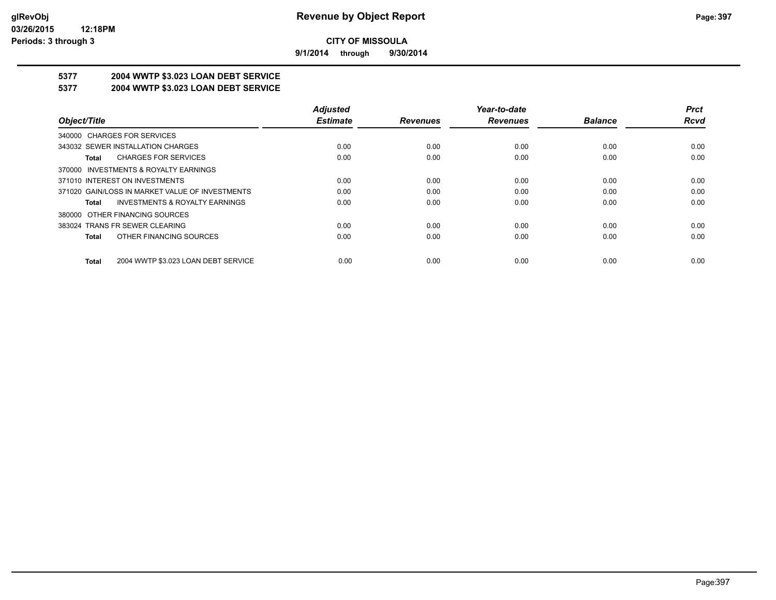**9/1/2014 through 9/30/2014**

# **5377 2004 WWTP \$3.023 LOAN DEBT SERVICE**

## **5377 2004 WWTP \$3.023 LOAN DEBT SERVICE**

|                                                     | <b>Adjusted</b> |                 | Year-to-date    |                | <b>Prct</b> |
|-----------------------------------------------------|-----------------|-----------------|-----------------|----------------|-------------|
| Object/Title                                        | <b>Estimate</b> | <b>Revenues</b> | <b>Revenues</b> | <b>Balance</b> | Rcvd        |
| 340000 CHARGES FOR SERVICES                         |                 |                 |                 |                |             |
| 343032 SEWER INSTALLATION CHARGES                   | 0.00            | 0.00            | 0.00            | 0.00           | 0.00        |
| <b>CHARGES FOR SERVICES</b><br>Total                | 0.00            | 0.00            | 0.00            | 0.00           | 0.00        |
| 370000 INVESTMENTS & ROYALTY EARNINGS               |                 |                 |                 |                |             |
| 371010 INTEREST ON INVESTMENTS                      | 0.00            | 0.00            | 0.00            | 0.00           | 0.00        |
| 371020 GAIN/LOSS IN MARKET VALUE OF INVESTMENTS     | 0.00            | 0.00            | 0.00            | 0.00           | 0.00        |
| <b>INVESTMENTS &amp; ROYALTY EARNINGS</b><br>Total  | 0.00            | 0.00            | 0.00            | 0.00           | 0.00        |
| 380000 OTHER FINANCING SOURCES                      |                 |                 |                 |                |             |
| 383024 TRANS FR SEWER CLEARING                      | 0.00            | 0.00            | 0.00            | 0.00           | 0.00        |
| OTHER FINANCING SOURCES<br>Total                    | 0.00            | 0.00            | 0.00            | 0.00           | 0.00        |
| 2004 WWTP \$3.023 LOAN DEBT SERVICE<br><b>Total</b> | 0.00            | 0.00            | 0.00            | 0.00           | 0.00        |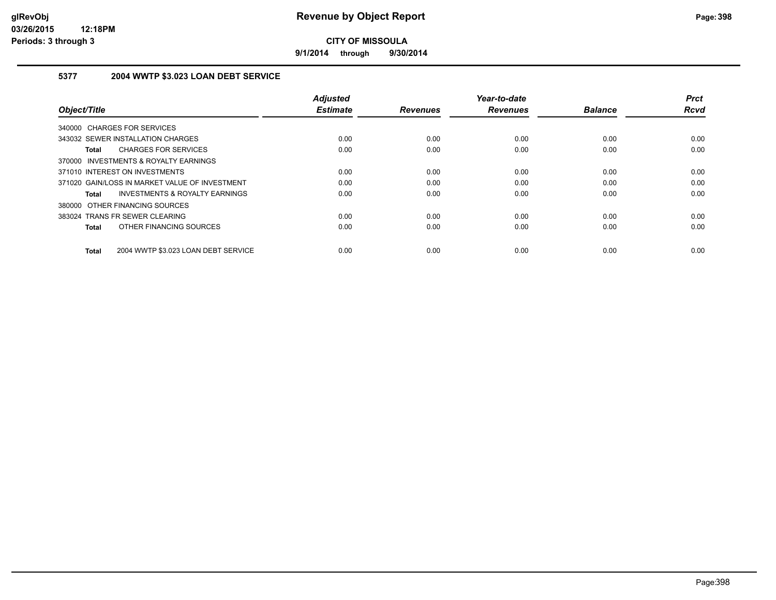**9/1/2014 through 9/30/2014**

## **5377 2004 WWTP \$3.023 LOAN DEBT SERVICE**

| Object/Title                                        | <b>Adjusted</b><br><b>Estimate</b> | <b>Revenues</b> | Year-to-date<br><b>Revenues</b> | <b>Balance</b> | <b>Prct</b><br><b>Rcvd</b> |
|-----------------------------------------------------|------------------------------------|-----------------|---------------------------------|----------------|----------------------------|
| 340000 CHARGES FOR SERVICES                         |                                    |                 |                                 |                |                            |
| 343032 SEWER INSTALLATION CHARGES                   | 0.00                               | 0.00            | 0.00                            | 0.00           | 0.00                       |
| <b>CHARGES FOR SERVICES</b><br>Total                | 0.00                               | 0.00            | 0.00                            | 0.00           | 0.00                       |
| 370000 INVESTMENTS & ROYALTY EARNINGS               |                                    |                 |                                 |                |                            |
| 371010 INTEREST ON INVESTMENTS                      | 0.00                               | 0.00            | 0.00                            | 0.00           | 0.00                       |
| 371020 GAIN/LOSS IN MARKET VALUE OF INVESTMENT      | 0.00                               | 0.00            | 0.00                            | 0.00           | 0.00                       |
| INVESTMENTS & ROYALTY EARNINGS<br>Total             | 0.00                               | 0.00            | 0.00                            | 0.00           | 0.00                       |
| 380000 OTHER FINANCING SOURCES                      |                                    |                 |                                 |                |                            |
| 383024 TRANS FR SEWER CLEARING                      | 0.00                               | 0.00            | 0.00                            | 0.00           | 0.00                       |
| OTHER FINANCING SOURCES<br><b>Total</b>             | 0.00                               | 0.00            | 0.00                            | 0.00           | 0.00                       |
| 2004 WWTP \$3.023 LOAN DEBT SERVICE<br><b>Total</b> | 0.00                               | 0.00            | 0.00                            | 0.00           | 0.00                       |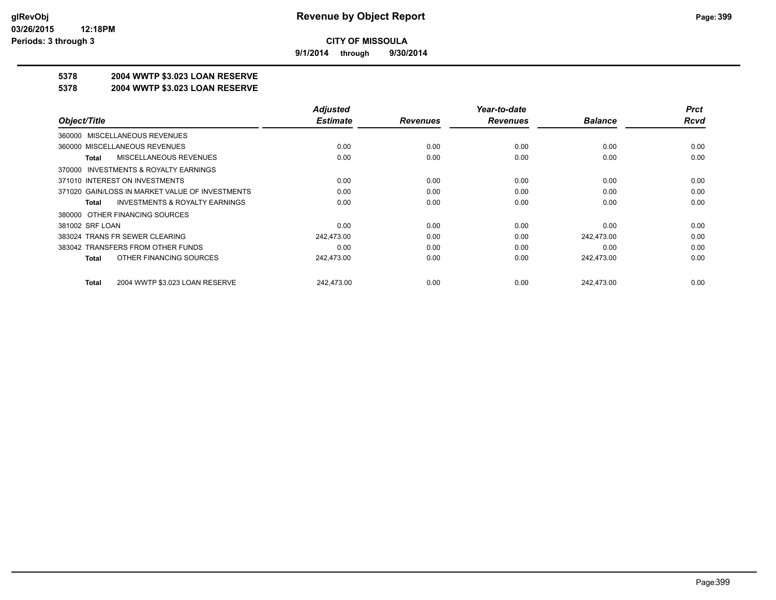**9/1/2014 through 9/30/2014**

## **5378 2004 WWTP \$3.023 LOAN RESERVE**

#### **5378 2004 WWTP \$3.023 LOAN RESERVE**

|                                                    | <b>Adjusted</b> |                 | Year-to-date    |                | <b>Prct</b> |
|----------------------------------------------------|-----------------|-----------------|-----------------|----------------|-------------|
| Object/Title                                       | <b>Estimate</b> | <b>Revenues</b> | <b>Revenues</b> | <b>Balance</b> | <b>Rcvd</b> |
| 360000 MISCELLANEOUS REVENUES                      |                 |                 |                 |                |             |
| 360000 MISCELLANEOUS REVENUES                      | 0.00            | 0.00            | 0.00            | 0.00           | 0.00        |
| MISCELLANEOUS REVENUES<br>Total                    | 0.00            | 0.00            | 0.00            | 0.00           | 0.00        |
| 370000 INVESTMENTS & ROYALTY EARNINGS              |                 |                 |                 |                |             |
| 371010 INTEREST ON INVESTMENTS                     | 0.00            | 0.00            | 0.00            | 0.00           | 0.00        |
| 371020 GAIN/LOSS IN MARKET VALUE OF INVESTMENTS    | 0.00            | 0.00            | 0.00            | 0.00           | 0.00        |
| <b>INVESTMENTS &amp; ROYALTY EARNINGS</b><br>Total | 0.00            | 0.00            | 0.00            | 0.00           | 0.00        |
| 380000 OTHER FINANCING SOURCES                     |                 |                 |                 |                |             |
| 381002 SRF LOAN                                    | 0.00            | 0.00            | 0.00            | 0.00           | 0.00        |
| 383024 TRANS FR SEWER CLEARING                     | 242.473.00      | 0.00            | 0.00            | 242.473.00     | 0.00        |
| 383042 TRANSFERS FROM OTHER FUNDS                  | 0.00            | 0.00            | 0.00            | 0.00           | 0.00        |
| OTHER FINANCING SOURCES<br>Total                   | 242,473.00      | 0.00            | 0.00            | 242,473.00     | 0.00        |
| 2004 WWTP \$3.023 LOAN RESERVE<br>Total            | 242.473.00      | 0.00            | 0.00            | 242.473.00     | 0.00        |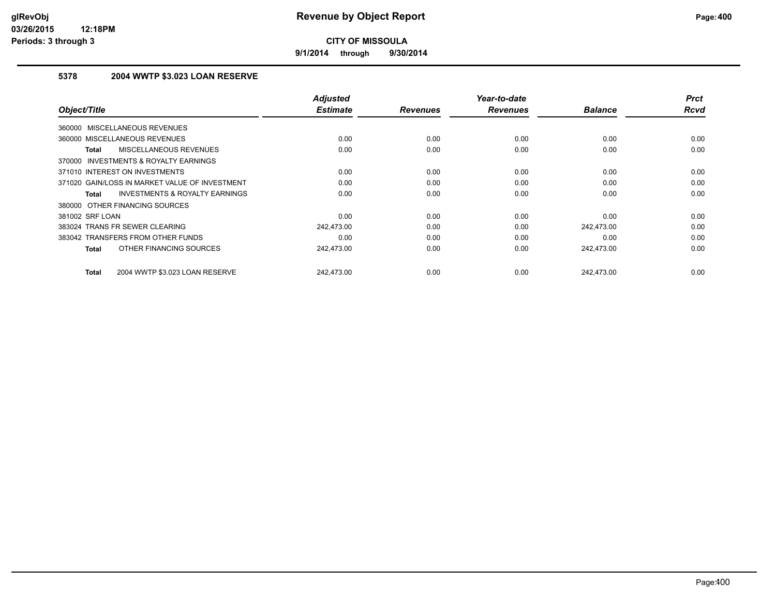**9/1/2014 through 9/30/2014**

## **5378 2004 WWTP \$3.023 LOAN RESERVE**

| Object/Title                                              | <b>Adjusted</b><br><b>Estimate</b> | <b>Revenues</b> | Year-to-date<br><b>Revenues</b> | <b>Balance</b> | <b>Prct</b><br><b>Rcvd</b> |
|-----------------------------------------------------------|------------------------------------|-----------------|---------------------------------|----------------|----------------------------|
| MISCELLANEOUS REVENUES<br>360000                          |                                    |                 |                                 |                |                            |
|                                                           | 0.00                               | 0.00            |                                 |                | 0.00                       |
| 360000 MISCELLANEOUS REVENUES                             |                                    |                 | 0.00                            | 0.00           |                            |
| MISCELLANEOUS REVENUES<br><b>Total</b>                    | 0.00                               | 0.00            | 0.00                            | 0.00           | 0.00                       |
| 370000 INVESTMENTS & ROYALTY EARNINGS                     |                                    |                 |                                 |                |                            |
| 371010 INTEREST ON INVESTMENTS                            | 0.00                               | 0.00            | 0.00                            | 0.00           | 0.00                       |
| 371020 GAIN/LOSS IN MARKET VALUE OF INVESTMENT            | 0.00                               | 0.00            | 0.00                            | 0.00           | 0.00                       |
| <b>INVESTMENTS &amp; ROYALTY EARNINGS</b><br><b>Total</b> | 0.00                               | 0.00            | 0.00                            | 0.00           | 0.00                       |
| 380000 OTHER FINANCING SOURCES                            |                                    |                 |                                 |                |                            |
| 381002 SRF LOAN                                           | 0.00                               | 0.00            | 0.00                            | 0.00           | 0.00                       |
| 383024 TRANS FR SEWER CLEARING                            | 242,473.00                         | 0.00            | 0.00                            | 242,473.00     | 0.00                       |
| 383042 TRANSFERS FROM OTHER FUNDS                         | 0.00                               | 0.00            | 0.00                            | 0.00           | 0.00                       |
| OTHER FINANCING SOURCES<br><b>Total</b>                   | 242,473.00                         | 0.00            | 0.00                            | 242,473.00     | 0.00                       |
| 2004 WWTP \$3.023 LOAN RESERVE<br><b>Total</b>            | 242.473.00                         | 0.00            | 0.00                            | 242.473.00     | 0.00                       |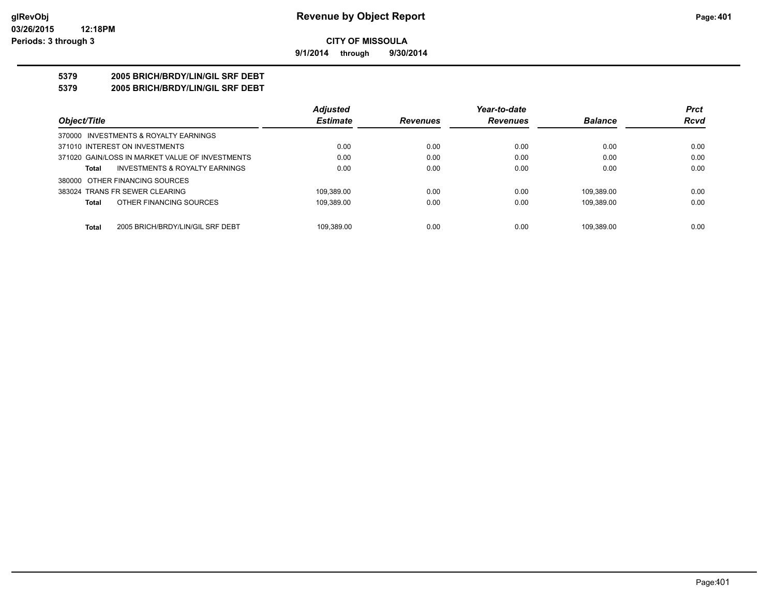**9/1/2014 through 9/30/2014**

# **5379 2005 BRICH/BRDY/LIN/GIL SRF DEBT**

**5379 2005 BRICH/BRDY/LIN/GIL SRF DEBT**

|                                                  | <b>Adjusted</b> |                 | Year-to-date    |                | <b>Prct</b> |
|--------------------------------------------------|-----------------|-----------------|-----------------|----------------|-------------|
| Object/Title                                     | <b>Estimate</b> | <b>Revenues</b> | <b>Revenues</b> | <b>Balance</b> | <b>Rcvd</b> |
| 370000 INVESTMENTS & ROYALTY EARNINGS            |                 |                 |                 |                |             |
| 371010 INTEREST ON INVESTMENTS                   | 0.00            | 0.00            | 0.00            | 0.00           | 0.00        |
| 371020 GAIN/LOSS IN MARKET VALUE OF INVESTMENTS  | 0.00            | 0.00            | 0.00            | 0.00           | 0.00        |
| INVESTMENTS & ROYALTY EARNINGS<br>Total          | 0.00            | 0.00            | 0.00            | 0.00           | 0.00        |
| 380000 OTHER FINANCING SOURCES                   |                 |                 |                 |                |             |
| 383024 TRANS FR SEWER CLEARING                   | 109.389.00      | 0.00            | 0.00            | 109.389.00     | 0.00        |
| OTHER FINANCING SOURCES<br><b>Total</b>          | 109,389.00      | 0.00            | 0.00            | 109.389.00     | 0.00        |
|                                                  |                 |                 |                 |                |             |
| <b>Total</b><br>2005 BRICH/BRDY/LIN/GIL SRF DEBT | 109.389.00      | 0.00            | 0.00            | 109.389.00     | 0.00        |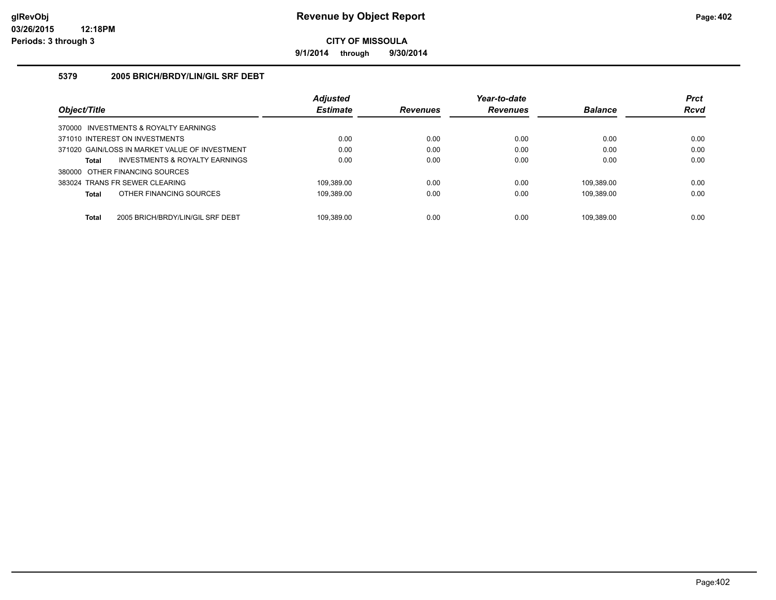**9/1/2014 through 9/30/2014**

### **5379 2005 BRICH/BRDY/LIN/GIL SRF DEBT**

|                                                  | <b>Adjusted</b> |                 | Year-to-date    |                | <b>Prct</b> |
|--------------------------------------------------|-----------------|-----------------|-----------------|----------------|-------------|
| Object/Title                                     | <b>Estimate</b> | <b>Revenues</b> | <b>Revenues</b> | <b>Balance</b> | <b>Rcvd</b> |
| 370000 INVESTMENTS & ROYALTY EARNINGS            |                 |                 |                 |                |             |
| 371010 INTEREST ON INVESTMENTS                   | 0.00            | 0.00            | 0.00            | 0.00           | 0.00        |
| 371020 GAIN/LOSS IN MARKET VALUE OF INVESTMENT   | 0.00            | 0.00            | 0.00            | 0.00           | 0.00        |
| INVESTMENTS & ROYALTY EARNINGS<br>Total          | 0.00            | 0.00            | 0.00            | 0.00           | 0.00        |
| 380000 OTHER FINANCING SOURCES                   |                 |                 |                 |                |             |
| 383024 TRANS FR SEWER CLEARING                   | 109.389.00      | 0.00            | 0.00            | 109.389.00     | 0.00        |
| OTHER FINANCING SOURCES<br>Total                 | 109.389.00      | 0.00            | 0.00            | 109.389.00     | 0.00        |
|                                                  |                 |                 |                 |                |             |
| <b>Total</b><br>2005 BRICH/BRDY/LIN/GIL SRF DEBT | 109.389.00      | 0.00            | 0.00            | 109.389.00     | 0.00        |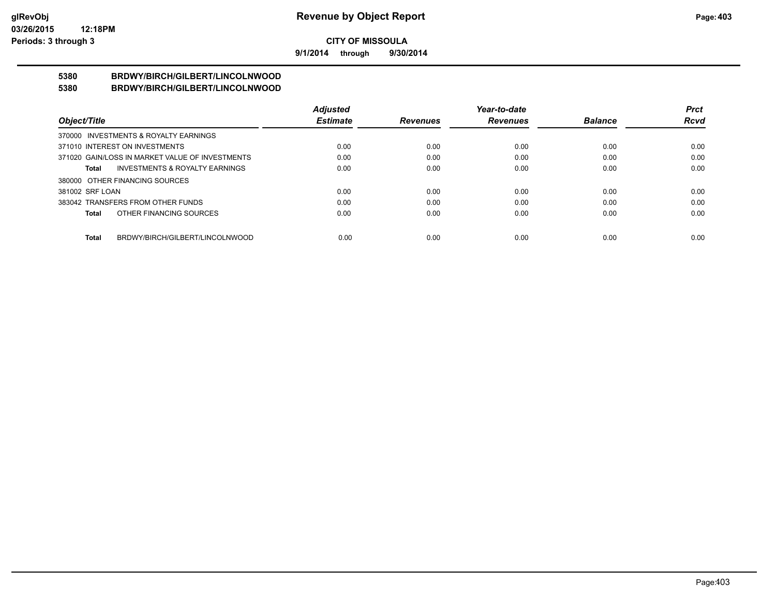**9/1/2014 through 9/30/2014**

#### **5380 BRDWY/BIRCH/GILBERT/LINCOLNWOOD 5380 BRDWY/BIRCH/GILBERT/LINCOLNWOOD**

|                                                    | <b>Adjusted</b> |                 | Year-to-date    |                | <b>Prct</b> |
|----------------------------------------------------|-----------------|-----------------|-----------------|----------------|-------------|
| Object/Title                                       | <b>Estimate</b> | <b>Revenues</b> | <b>Revenues</b> | <b>Balance</b> | <b>Rcvd</b> |
| 370000 INVESTMENTS & ROYALTY EARNINGS              |                 |                 |                 |                |             |
| 371010 INTEREST ON INVESTMENTS                     | 0.00            | 0.00            | 0.00            | 0.00           | 0.00        |
| 371020 GAIN/LOSS IN MARKET VALUE OF INVESTMENTS    | 0.00            | 0.00            | 0.00            | 0.00           | 0.00        |
| <b>INVESTMENTS &amp; ROYALTY EARNINGS</b><br>Total | 0.00            | 0.00            | 0.00            | 0.00           | 0.00        |
| 380000 OTHER FINANCING SOURCES                     |                 |                 |                 |                |             |
| 381002 SRF LOAN                                    | 0.00            | 0.00            | 0.00            | 0.00           | 0.00        |
| 383042 TRANSFERS FROM OTHER FUNDS                  | 0.00            | 0.00            | 0.00            | 0.00           | 0.00        |
| OTHER FINANCING SOURCES<br><b>Total</b>            | 0.00            | 0.00            | 0.00            | 0.00           | 0.00        |
|                                                    |                 |                 |                 |                |             |
| BRDWY/BIRCH/GILBERT/LINCOLNWOOD<br><b>Total</b>    | 0.00            | 0.00            | 0.00            | 0.00           | 0.00        |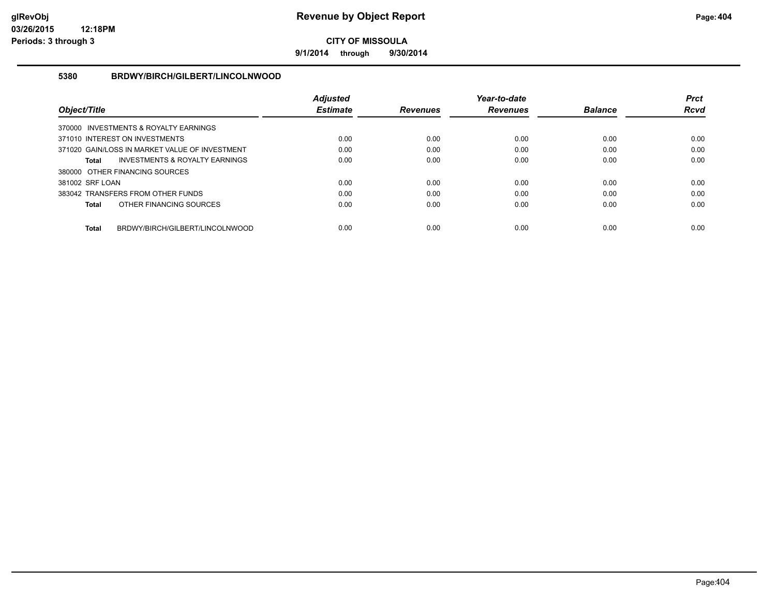**9/1/2014 through 9/30/2014**

### **5380 BRDWY/BIRCH/GILBERT/LINCOLNWOOD**

|                                       |                                                | <b>Adjusted</b> |                 | Year-to-date    |                | <b>Prct</b> |
|---------------------------------------|------------------------------------------------|-----------------|-----------------|-----------------|----------------|-------------|
| Object/Title                          |                                                | <b>Estimate</b> | <b>Revenues</b> | <b>Revenues</b> | <b>Balance</b> | <b>Rcvd</b> |
| 370000 INVESTMENTS & ROYALTY EARNINGS |                                                |                 |                 |                 |                |             |
| 371010 INTEREST ON INVESTMENTS        |                                                | 0.00            | 0.00            | 0.00            | 0.00           | 0.00        |
|                                       | 371020 GAIN/LOSS IN MARKET VALUE OF INVESTMENT | 0.00            | 0.00            | 0.00            | 0.00           | 0.00        |
| <b>Total</b>                          | INVESTMENTS & ROYALTY EARNINGS                 | 0.00            | 0.00            | 0.00            | 0.00           | 0.00        |
| 380000 OTHER FINANCING SOURCES        |                                                |                 |                 |                 |                |             |
| 381002 SRF LOAN                       |                                                | 0.00            | 0.00            | 0.00            | 0.00           | 0.00        |
| 383042 TRANSFERS FROM OTHER FUNDS     |                                                | 0.00            | 0.00            | 0.00            | 0.00           | 0.00        |
| <b>Total</b>                          | OTHER FINANCING SOURCES                        | 0.00            | 0.00            | 0.00            | 0.00           | 0.00        |
| <b>Total</b>                          | BRDWY/BIRCH/GILBERT/LINCOLNWOOD                | 0.00            | 0.00            | 0.00            | 0.00           | 0.00        |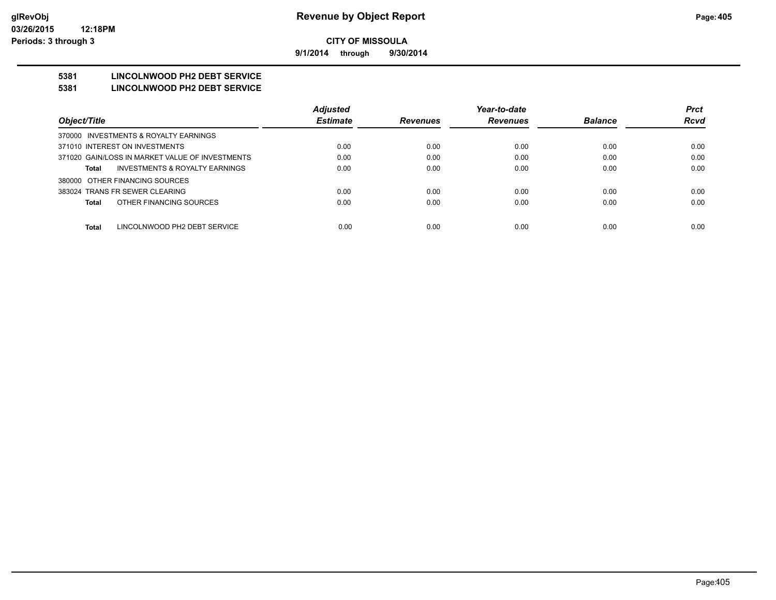**9/1/2014 through 9/30/2014**

# **5381 LINCOLNWOOD PH2 DEBT SERVICE**

#### **5381 LINCOLNWOOD PH2 DEBT SERVICE**

|                                                 | <b>Adjusted</b> |                 | Year-to-date    |                | <b>Prct</b> |
|-------------------------------------------------|-----------------|-----------------|-----------------|----------------|-------------|
| Object/Title                                    | <b>Estimate</b> | <b>Revenues</b> | <b>Revenues</b> | <b>Balance</b> | <b>Rcvd</b> |
| 370000 INVESTMENTS & ROYALTY EARNINGS           |                 |                 |                 |                |             |
| 371010 INTEREST ON INVESTMENTS                  | 0.00            | 0.00            | 0.00            | 0.00           | 0.00        |
| 371020 GAIN/LOSS IN MARKET VALUE OF INVESTMENTS | 0.00            | 0.00            | 0.00            | 0.00           | 0.00        |
| INVESTMENTS & ROYALTY EARNINGS<br>Total         | 0.00            | 0.00            | 0.00            | 0.00           | 0.00        |
| 380000 OTHER FINANCING SOURCES                  |                 |                 |                 |                |             |
| 383024 TRANS FR SEWER CLEARING                  | 0.00            | 0.00            | 0.00            | 0.00           | 0.00        |
| OTHER FINANCING SOURCES<br>Total                | 0.00            | 0.00            | 0.00            | 0.00           | 0.00        |
|                                                 |                 |                 |                 |                |             |
| <b>Total</b><br>LINCOLNWOOD PH2 DEBT SERVICE    | 0.00            | 0.00            | 0.00            | 0.00           | 0.00        |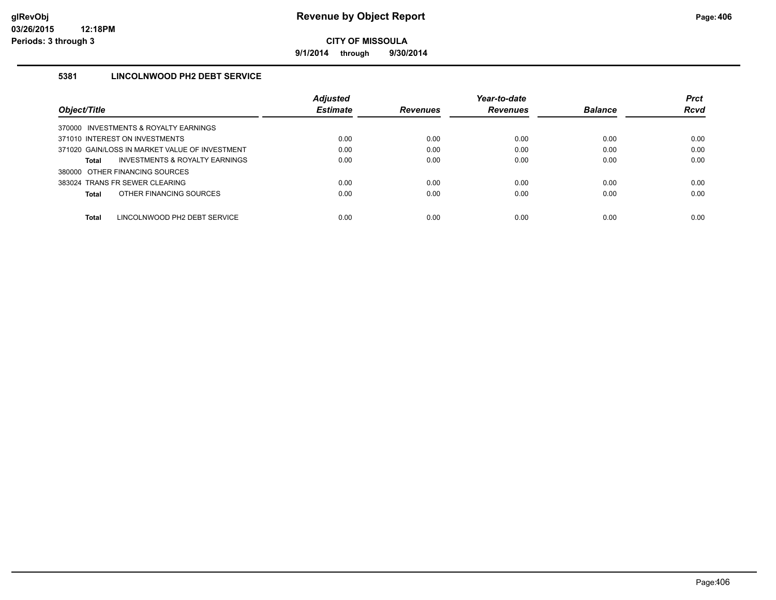**9/1/2014 through 9/30/2014**

## **5381 LINCOLNWOOD PH2 DEBT SERVICE**

|                                                    | <b>Adjusted</b> |                 | Year-to-date    |                | <b>Prct</b> |
|----------------------------------------------------|-----------------|-----------------|-----------------|----------------|-------------|
| Object/Title                                       | <b>Estimate</b> | <b>Revenues</b> | <b>Revenues</b> | <b>Balance</b> | Rcvd        |
| 370000 INVESTMENTS & ROYALTY EARNINGS              |                 |                 |                 |                |             |
| 371010 INTEREST ON INVESTMENTS                     | 0.00            | 0.00            | 0.00            | 0.00           | 0.00        |
| 371020 GAIN/LOSS IN MARKET VALUE OF INVESTMENT     | 0.00            | 0.00            | 0.00            | 0.00           | 0.00        |
| <b>INVESTMENTS &amp; ROYALTY EARNINGS</b><br>Total | 0.00            | 0.00            | 0.00            | 0.00           | 0.00        |
| 380000 OTHER FINANCING SOURCES                     |                 |                 |                 |                |             |
| 383024 TRANS FR SEWER CLEARING                     | 0.00            | 0.00            | 0.00            | 0.00           | 0.00        |
| OTHER FINANCING SOURCES<br>Total                   | 0.00            | 0.00            | 0.00            | 0.00           | 0.00        |
|                                                    |                 |                 |                 |                |             |
| LINCOLNWOOD PH2 DEBT SERVICE<br><b>Total</b>       | 0.00            | 0.00            | 0.00            | 0.00           | 0.00        |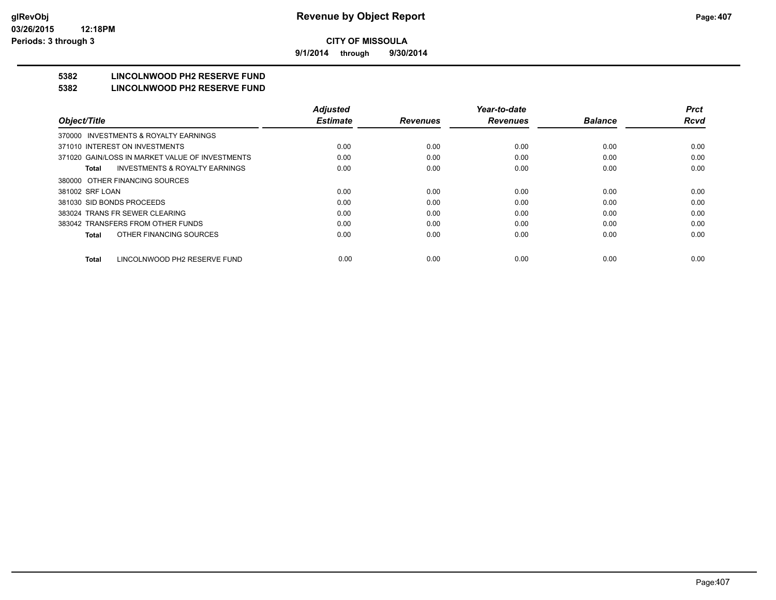**9/1/2014 through 9/30/2014**

# **5382 LINCOLNWOOD PH2 RESERVE FUND**

#### **5382 LINCOLNWOOD PH2 RESERVE FUND**

|                                                    | <b>Adjusted</b> |                 | Year-to-date    |                | <b>Prct</b> |
|----------------------------------------------------|-----------------|-----------------|-----------------|----------------|-------------|
| Object/Title                                       | <b>Estimate</b> | <b>Revenues</b> | <b>Revenues</b> | <b>Balance</b> | <b>Rcvd</b> |
| INVESTMENTS & ROYALTY EARNINGS<br>370000           |                 |                 |                 |                |             |
| 371010 INTEREST ON INVESTMENTS                     | 0.00            | 0.00            | 0.00            | 0.00           | 0.00        |
| 371020 GAIN/LOSS IN MARKET VALUE OF INVESTMENTS    | 0.00            | 0.00            | 0.00            | 0.00           | 0.00        |
| <b>INVESTMENTS &amp; ROYALTY EARNINGS</b><br>Total | 0.00            | 0.00            | 0.00            | 0.00           | 0.00        |
| 380000 OTHER FINANCING SOURCES                     |                 |                 |                 |                |             |
| 381002 SRF LOAN                                    | 0.00            | 0.00            | 0.00            | 0.00           | 0.00        |
| 381030 SID BONDS PROCEEDS                          | 0.00            | 0.00            | 0.00            | 0.00           | 0.00        |
| 383024 TRANS FR SEWER CLEARING                     | 0.00            | 0.00            | 0.00            | 0.00           | 0.00        |
| 383042 TRANSFERS FROM OTHER FUNDS                  | 0.00            | 0.00            | 0.00            | 0.00           | 0.00        |
| OTHER FINANCING SOURCES<br>Total                   | 0.00            | 0.00            | 0.00            | 0.00           | 0.00        |
| LINCOLNWOOD PH2 RESERVE FUND<br><b>Total</b>       | 0.00            | 0.00            | 0.00            | 0.00           | 0.00        |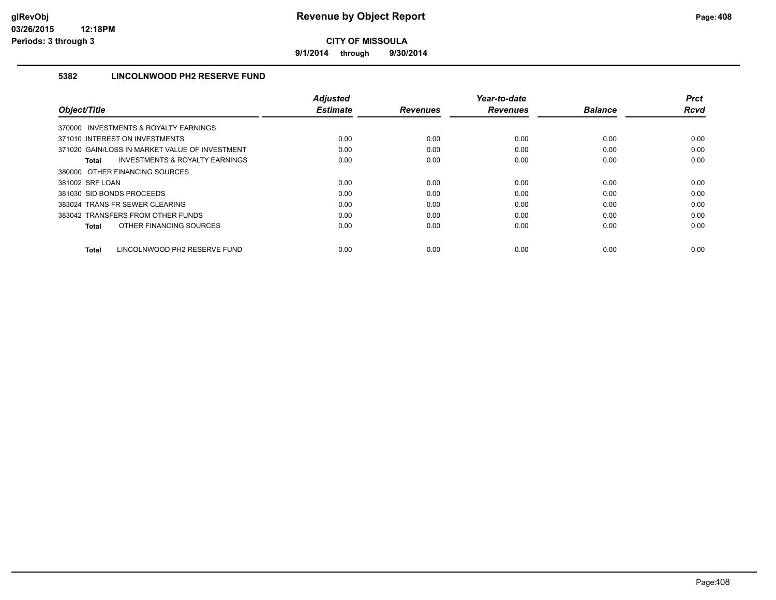**9/1/2014 through 9/30/2014**

## **5382 LINCOLNWOOD PH2 RESERVE FUND**

|                                                           | <b>Adiusted</b> |                 | Year-to-date    |                | <b>Prct</b> |
|-----------------------------------------------------------|-----------------|-----------------|-----------------|----------------|-------------|
| Object/Title                                              | <b>Estimate</b> | <b>Revenues</b> | <b>Revenues</b> | <b>Balance</b> | <b>Rcvd</b> |
| 370000 INVESTMENTS & ROYALTY EARNINGS                     |                 |                 |                 |                |             |
| 371010 INTEREST ON INVESTMENTS                            | 0.00            | 0.00            | 0.00            | 0.00           | 0.00        |
| 371020 GAIN/LOSS IN MARKET VALUE OF INVESTMENT            | 0.00            | 0.00            | 0.00            | 0.00           | 0.00        |
| <b>INVESTMENTS &amp; ROYALTY EARNINGS</b><br><b>Total</b> | 0.00            | 0.00            | 0.00            | 0.00           | 0.00        |
| 380000 OTHER FINANCING SOURCES                            |                 |                 |                 |                |             |
| 381002 SRF LOAN                                           | 0.00            | 0.00            | 0.00            | 0.00           | 0.00        |
| 381030 SID BONDS PROCEEDS                                 | 0.00            | 0.00            | 0.00            | 0.00           | 0.00        |
| 383024 TRANS FR SEWER CLEARING                            | 0.00            | 0.00            | 0.00            | 0.00           | 0.00        |
| 383042 TRANSFERS FROM OTHER FUNDS                         | 0.00            | 0.00            | 0.00            | 0.00           | 0.00        |
| OTHER FINANCING SOURCES<br><b>Total</b>                   | 0.00            | 0.00            | 0.00            | 0.00           | 0.00        |
|                                                           |                 |                 |                 |                |             |
| LINCOLNWOOD PH2 RESERVE FUND<br><b>Total</b>              | 0.00            | 0.00            | 0.00            | 0.00           | 0.00        |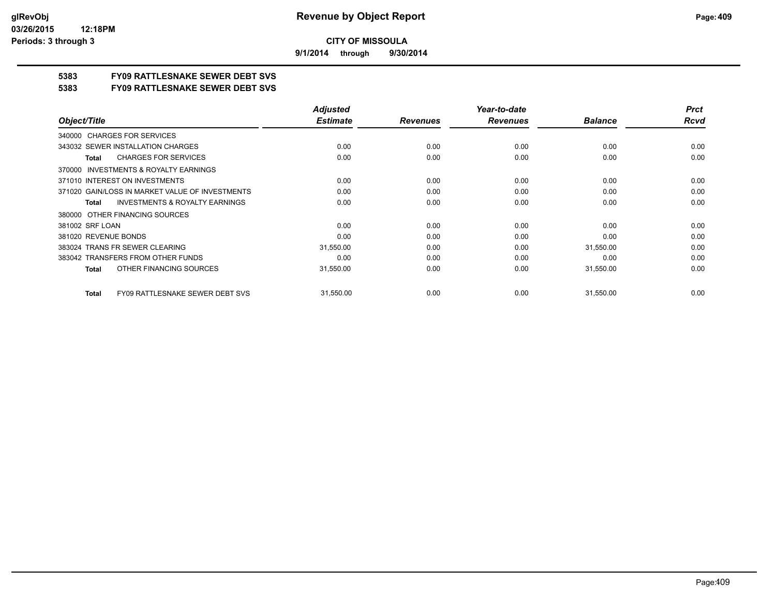**9/1/2014 through 9/30/2014**

# **5383 FY09 RATTLESNAKE SEWER DEBT SVS**

**5383 FY09 RATTLESNAKE SEWER DEBT SVS**

|                                                           | <b>Adjusted</b> |                 | Year-to-date    |                | <b>Prct</b> |
|-----------------------------------------------------------|-----------------|-----------------|-----------------|----------------|-------------|
| Object/Title                                              | <b>Estimate</b> | <b>Revenues</b> | <b>Revenues</b> | <b>Balance</b> | <b>Rcvd</b> |
| <b>CHARGES FOR SERVICES</b><br>340000                     |                 |                 |                 |                |             |
| 343032 SEWER INSTALLATION CHARGES                         | 0.00            | 0.00            | 0.00            | 0.00           | 0.00        |
| <b>CHARGES FOR SERVICES</b><br><b>Total</b>               | 0.00            | 0.00            | 0.00            | 0.00           | 0.00        |
| <b>INVESTMENTS &amp; ROYALTY EARNINGS</b><br>370000       |                 |                 |                 |                |             |
| 371010 INTEREST ON INVESTMENTS                            | 0.00            | 0.00            | 0.00            | 0.00           | 0.00        |
| 371020 GAIN/LOSS IN MARKET VALUE OF INVESTMENTS           | 0.00            | 0.00            | 0.00            | 0.00           | 0.00        |
| <b>INVESTMENTS &amp; ROYALTY EARNINGS</b><br><b>Total</b> | 0.00            | 0.00            | 0.00            | 0.00           | 0.00        |
| OTHER FINANCING SOURCES<br>380000                         |                 |                 |                 |                |             |
| 381002 SRF LOAN                                           | 0.00            | 0.00            | 0.00            | 0.00           | 0.00        |
| 381020 REVENUE BONDS                                      | 0.00            | 0.00            | 0.00            | 0.00           | 0.00        |
| 383024 TRANS FR SEWER CLEARING                            | 31,550.00       | 0.00            | 0.00            | 31,550.00      | 0.00        |
| 383042 TRANSFERS FROM OTHER FUNDS                         | 0.00            | 0.00            | 0.00            | 0.00           | 0.00        |
| OTHER FINANCING SOURCES<br><b>Total</b>                   | 31,550.00       | 0.00            | 0.00            | 31,550.00      | 0.00        |
| <b>FY09 RATTLESNAKE SEWER DEBT SVS</b><br><b>Total</b>    | 31,550.00       | 0.00            | 0.00            | 31,550.00      | 0.00        |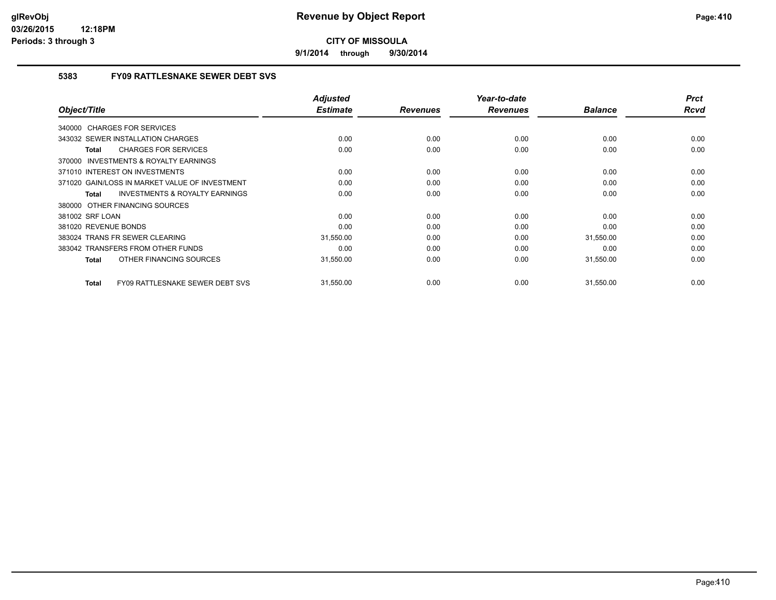**9/1/2014 through 9/30/2014**

## **5383 FY09 RATTLESNAKE SEWER DEBT SVS**

| Object/Title                                              | <b>Adjusted</b><br><b>Estimate</b> | <b>Revenues</b> | Year-to-date<br><b>Revenues</b> | <b>Balance</b> | <b>Prct</b><br>Rcvd |
|-----------------------------------------------------------|------------------------------------|-----------------|---------------------------------|----------------|---------------------|
|                                                           |                                    |                 |                                 |                |                     |
| 340000 CHARGES FOR SERVICES                               |                                    |                 |                                 |                |                     |
| 343032 SEWER INSTALLATION CHARGES                         | 0.00                               | 0.00            | 0.00                            | 0.00           | 0.00                |
| <b>CHARGES FOR SERVICES</b><br>Total                      | 0.00                               | 0.00            | 0.00                            | 0.00           | 0.00                |
| <b>INVESTMENTS &amp; ROYALTY EARNINGS</b><br>370000       |                                    |                 |                                 |                |                     |
| 371010 INTEREST ON INVESTMENTS                            | 0.00                               | 0.00            | 0.00                            | 0.00           | 0.00                |
| 371020 GAIN/LOSS IN MARKET VALUE OF INVESTMENT            | 0.00                               | 0.00            | 0.00                            | 0.00           | 0.00                |
| <b>INVESTMENTS &amp; ROYALTY EARNINGS</b><br><b>Total</b> | 0.00                               | 0.00            | 0.00                            | 0.00           | 0.00                |
| 380000 OTHER FINANCING SOURCES                            |                                    |                 |                                 |                |                     |
| 381002 SRF LOAN                                           | 0.00                               | 0.00            | 0.00                            | 0.00           | 0.00                |
| 381020 REVENUE BONDS                                      | 0.00                               | 0.00            | 0.00                            | 0.00           | 0.00                |
| 383024 TRANS FR SEWER CLEARING                            | 31,550.00                          | 0.00            | 0.00                            | 31,550.00      | 0.00                |
| 383042 TRANSFERS FROM OTHER FUNDS                         | 0.00                               | 0.00            | 0.00                            | 0.00           | 0.00                |
| OTHER FINANCING SOURCES<br><b>Total</b>                   | 31,550.00                          | 0.00            | 0.00                            | 31,550.00      | 0.00                |
| <b>FY09 RATTLESNAKE SEWER DEBT SVS</b><br><b>Total</b>    | 31,550.00                          | 0.00            | 0.00                            | 31,550.00      | 0.00                |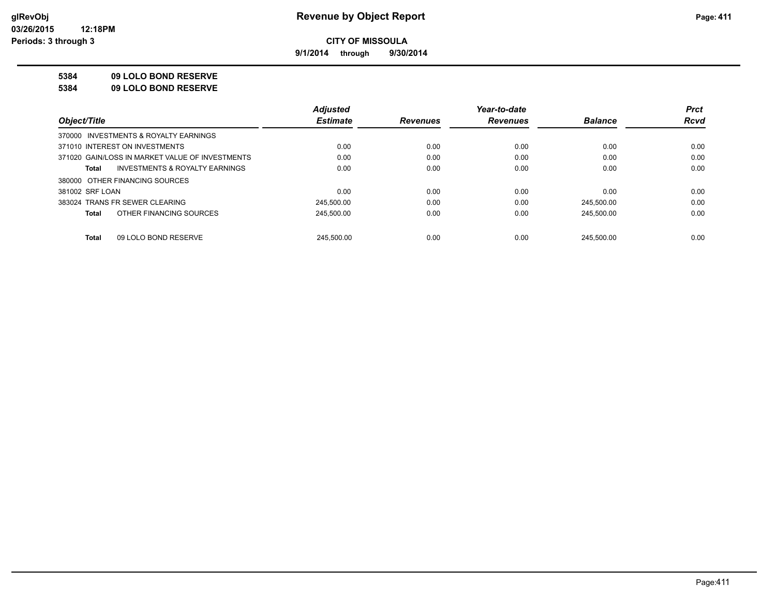**9/1/2014 through 9/30/2014**

## **5384 09 LOLO BOND RESERVE**

**5384 09 LOLO BOND RESERVE**

|                                                    | <b>Adjusted</b> |                 | Year-to-date    |                | <b>Prct</b> |
|----------------------------------------------------|-----------------|-----------------|-----------------|----------------|-------------|
| Object/Title                                       | <b>Estimate</b> | <b>Revenues</b> | <b>Revenues</b> | <b>Balance</b> | <b>Rcvd</b> |
| 370000 INVESTMENTS & ROYALTY EARNINGS              |                 |                 |                 |                |             |
| 371010 INTEREST ON INVESTMENTS                     | 0.00            | 0.00            | 0.00            | 0.00           | 0.00        |
| 371020 GAIN/LOSS IN MARKET VALUE OF INVESTMENTS    | 0.00            | 0.00            | 0.00            | 0.00           | 0.00        |
| <b>INVESTMENTS &amp; ROYALTY EARNINGS</b><br>Total | 0.00            | 0.00            | 0.00            | 0.00           | 0.00        |
| 380000 OTHER FINANCING SOURCES                     |                 |                 |                 |                |             |
| 381002 SRF LOAN                                    | 0.00            | 0.00            | 0.00            | 0.00           | 0.00        |
| 383024 TRANS FR SEWER CLEARING                     | 245.500.00      | 0.00            | 0.00            | 245.500.00     | 0.00        |
| OTHER FINANCING SOURCES<br>Total                   | 245.500.00      | 0.00            | 0.00            | 245.500.00     | 0.00        |
|                                                    |                 |                 |                 |                |             |
| 09 LOLO BOND RESERVE<br>Total                      | 245.500.00      | 0.00            | 0.00            | 245.500.00     | 0.00        |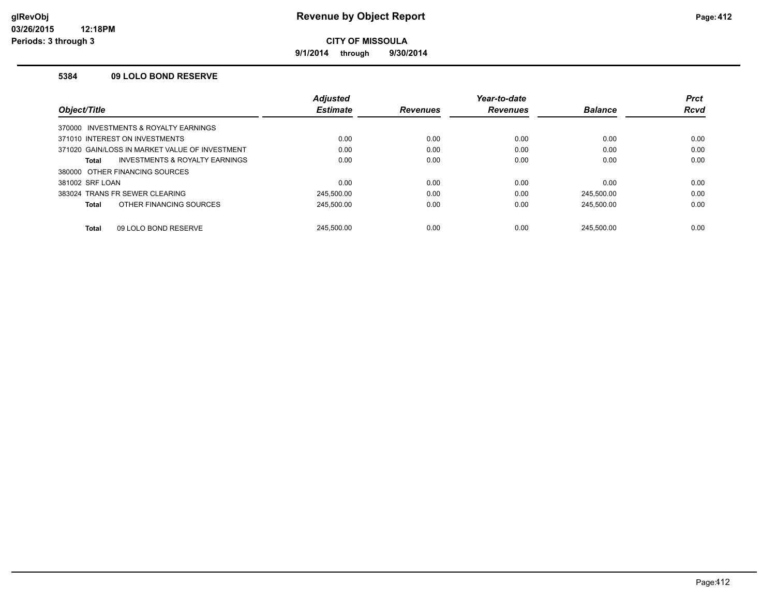**9/1/2014 through 9/30/2014**

#### **5384 09 LOLO BOND RESERVE**

|                                                | <b>Adjusted</b> |                 | Year-to-date    |                | <b>Prct</b> |
|------------------------------------------------|-----------------|-----------------|-----------------|----------------|-------------|
| Object/Title                                   | <b>Estimate</b> | <b>Revenues</b> | <b>Revenues</b> | <b>Balance</b> | <b>Rcvd</b> |
| 370000 INVESTMENTS & ROYALTY EARNINGS          |                 |                 |                 |                |             |
| 371010 INTEREST ON INVESTMENTS                 | 0.00            | 0.00            | 0.00            | 0.00           | 0.00        |
| 371020 GAIN/LOSS IN MARKET VALUE OF INVESTMENT | 0.00            | 0.00            | 0.00            | 0.00           | 0.00        |
| INVESTMENTS & ROYALTY EARNINGS<br>Total        | 0.00            | 0.00            | 0.00            | 0.00           | 0.00        |
| 380000 OTHER FINANCING SOURCES                 |                 |                 |                 |                |             |
| 381002 SRF LOAN                                | 0.00            | 0.00            | 0.00            | 0.00           | 0.00        |
| 383024 TRANS FR SEWER CLEARING                 | 245.500.00      | 0.00            | 0.00            | 245.500.00     | 0.00        |
| OTHER FINANCING SOURCES<br>Total               | 245.500.00      | 0.00            | 0.00            | 245.500.00     | 0.00        |
| 09 LOLO BOND RESERVE<br><b>Total</b>           | 245.500.00      | 0.00            | 0.00            | 245.500.00     | 0.00        |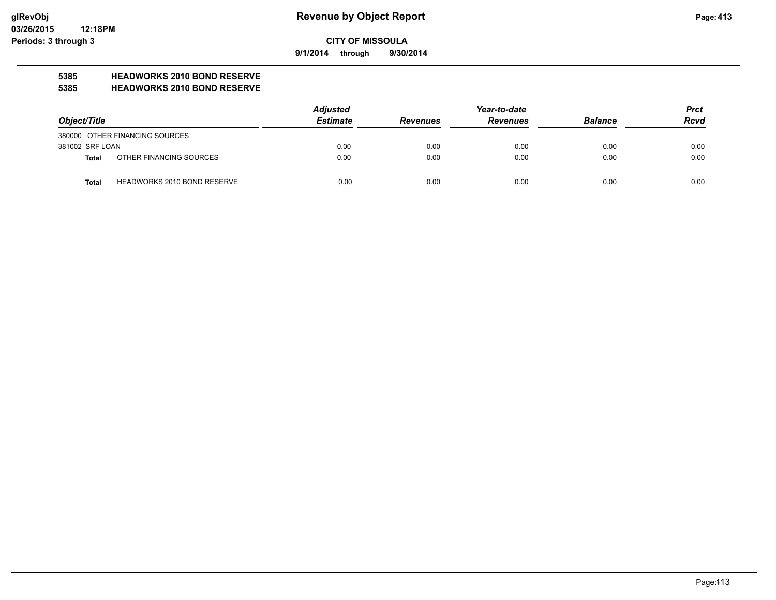**9/1/2014 through 9/30/2014**

# **5385 HEADWORKS 2010 BOND RESERVE**

#### **5385 HEADWORKS 2010 BOND RESERVE**

|                 |                                    | <b>Adjusted</b> |                 | Year-to-date    |                |             |  |
|-----------------|------------------------------------|-----------------|-----------------|-----------------|----------------|-------------|--|
| Object/Title    |                                    | <b>Estimate</b> | <b>Revenues</b> | <b>Revenues</b> | <b>Balance</b> | <b>Rcvd</b> |  |
|                 | 380000 OTHER FINANCING SOURCES     |                 |                 |                 |                |             |  |
| 381002 SRF LOAN |                                    | 0.00            | 0.00            | 0.00            | 0.00           | 0.00        |  |
| <b>Total</b>    | OTHER FINANCING SOURCES            | 0.00            | 0.00            | 0.00            | 0.00           | 0.00        |  |
| <b>Total</b>    | <b>HEADWORKS 2010 BOND RESERVE</b> | 0.00            | 0.00            | 0.00            | 0.00           | 0.00        |  |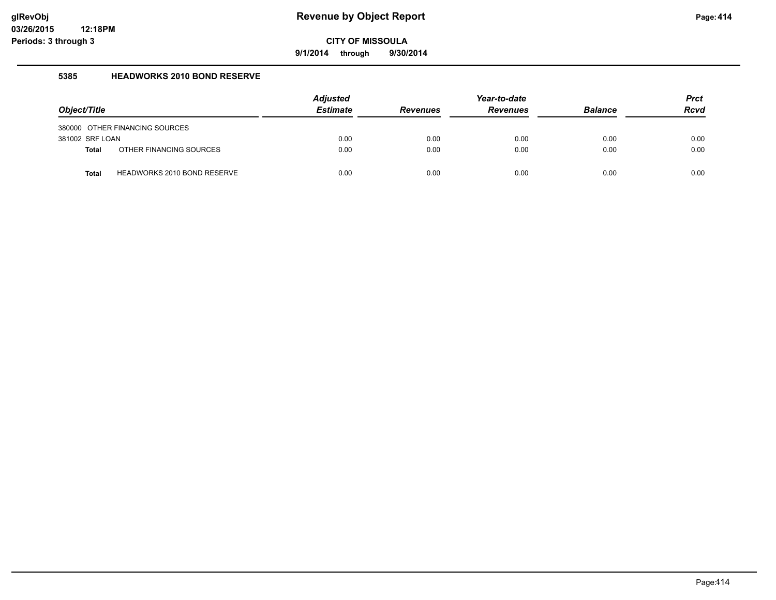**9/1/2014 through 9/30/2014**

#### **5385 HEADWORKS 2010 BOND RESERVE**

|                 |                                    | <b>Adjusted</b> |                 | Year-to-date    |                | <b>Prct</b> |
|-----------------|------------------------------------|-----------------|-----------------|-----------------|----------------|-------------|
| Object/Title    |                                    | <b>Estimate</b> | <b>Revenues</b> | <b>Revenues</b> | <b>Balance</b> | <b>Rcvd</b> |
|                 | 380000 OTHER FINANCING SOURCES     |                 |                 |                 |                |             |
| 381002 SRF LOAN |                                    | 0.00            | 0.00            | 0.00            | 0.00           | 0.00        |
| <b>Total</b>    | OTHER FINANCING SOURCES            | 0.00            | 0.00            | 0.00            | 0.00           | 0.00        |
| <b>Total</b>    | <b>HEADWORKS 2010 BOND RESERVE</b> | 0.00            | 0.00            | 0.00            | 0.00           | 0.00        |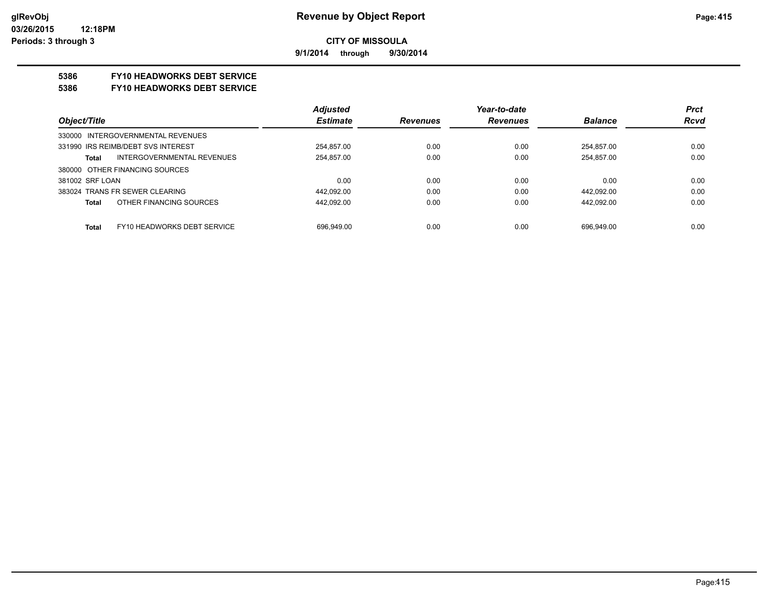**9/1/2014 through 9/30/2014**

## **5386 FY10 HEADWORKS DEBT SERVICE**

#### **5386 FY10 HEADWORKS DEBT SERVICE**

|                                      | <b>Adjusted</b> |                 | Year-to-date    |                | <b>Prct</b> |
|--------------------------------------|-----------------|-----------------|-----------------|----------------|-------------|
| Object/Title                         | <b>Estimate</b> | <b>Revenues</b> | <b>Revenues</b> | <b>Balance</b> | <b>Rcvd</b> |
| 330000 INTERGOVERNMENTAL REVENUES    |                 |                 |                 |                |             |
| 331990 IRS REIMB/DEBT SVS INTEREST   | 254.857.00      | 0.00            | 0.00            | 254.857.00     | 0.00        |
| INTERGOVERNMENTAL REVENUES<br>Total  | 254,857.00      | 0.00            | 0.00            | 254,857.00     | 0.00        |
| 380000 OTHER FINANCING SOURCES       |                 |                 |                 |                |             |
| 381002 SRF LOAN                      | 0.00            | 0.00            | 0.00            | 0.00           | 0.00        |
| 383024 TRANS FR SEWER CLEARING       | 442,092.00      | 0.00            | 0.00            | 442,092.00     | 0.00        |
| OTHER FINANCING SOURCES<br>Total     | 442.092.00      | 0.00            | 0.00            | 442.092.00     | 0.00        |
|                                      |                 |                 |                 |                |             |
| FY10 HEADWORKS DEBT SERVICE<br>Total | 696.949.00      | 0.00            | 0.00            | 696.949.00     | 0.00        |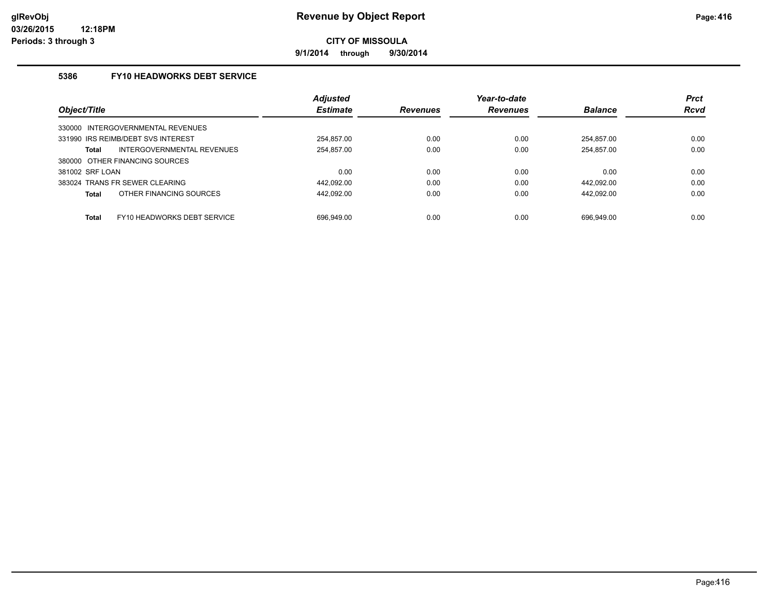**9/1/2014 through 9/30/2014**

## **5386 FY10 HEADWORKS DEBT SERVICE**

|                                    |                                   | <b>Adjusted</b> |                 | Year-to-date    |                | <b>Prct</b> |
|------------------------------------|-----------------------------------|-----------------|-----------------|-----------------|----------------|-------------|
| Object/Title                       |                                   | <b>Estimate</b> | <b>Revenues</b> | <b>Revenues</b> | <b>Balance</b> | <b>Rcvd</b> |
| 330000 INTERGOVERNMENTAL REVENUES  |                                   |                 |                 |                 |                |             |
| 331990 IRS REIMB/DEBT SVS INTEREST |                                   | 254.857.00      | 0.00            | 0.00            | 254.857.00     | 0.00        |
| Total                              | <b>INTERGOVERNMENTAL REVENUES</b> | 254,857.00      | 0.00            | 0.00            | 254.857.00     | 0.00        |
| 380000 OTHER FINANCING SOURCES     |                                   |                 |                 |                 |                |             |
| 381002 SRF LOAN                    |                                   | 0.00            | 0.00            | 0.00            | 0.00           | 0.00        |
| 383024 TRANS FR SEWER CLEARING     |                                   | 442.092.00      | 0.00            | 0.00            | 442.092.00     | 0.00        |
| Total                              | OTHER FINANCING SOURCES           | 442.092.00      | 0.00            | 0.00            | 442.092.00     | 0.00        |
| Total                              | FY10 HEADWORKS DEBT SERVICE       | 696.949.00      | 0.00            | 0.00            | 696.949.00     | 0.00        |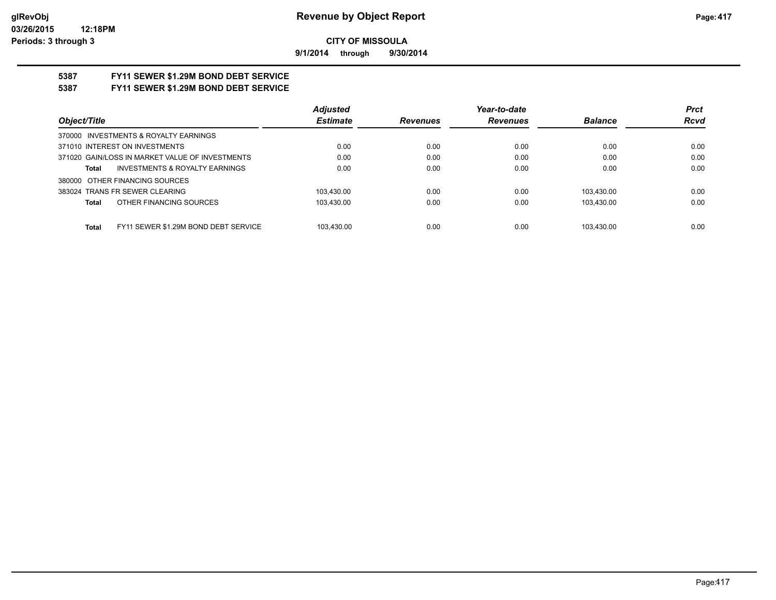**9/1/2014 through 9/30/2014**

# **5387 FY11 SEWER \$1.29M BOND DEBT SERVICE**

# **5387 FY11 SEWER \$1.29M BOND DEBT SERVICE**

|                                                      | <b>Adjusted</b> |                 | Year-to-date    |                | <b>Prct</b> |
|------------------------------------------------------|-----------------|-----------------|-----------------|----------------|-------------|
| Object/Title                                         | <b>Estimate</b> | <b>Revenues</b> | <b>Revenues</b> | <b>Balance</b> | <b>Rcvd</b> |
| 370000 INVESTMENTS & ROYALTY EARNINGS                |                 |                 |                 |                |             |
| 371010 INTEREST ON INVESTMENTS                       | 0.00            | 0.00            | 0.00            | 0.00           | 0.00        |
| 371020 GAIN/LOSS IN MARKET VALUE OF INVESTMENTS      | 0.00            | 0.00            | 0.00            | 0.00           | 0.00        |
| <b>INVESTMENTS &amp; ROYALTY EARNINGS</b><br>Total   | 0.00            | 0.00            | 0.00            | 0.00           | 0.00        |
| 380000 OTHER FINANCING SOURCES                       |                 |                 |                 |                |             |
| 383024 TRANS FR SEWER CLEARING                       | 103.430.00      | 0.00            | 0.00            | 103.430.00     | 0.00        |
| OTHER FINANCING SOURCES<br>Total                     | 103.430.00      | 0.00            | 0.00            | 103.430.00     | 0.00        |
|                                                      |                 |                 |                 |                |             |
| FY11 SEWER \$1.29M BOND DEBT SERVICE<br><b>Total</b> | 103.430.00      | 0.00            | 0.00            | 103.430.00     | 0.00        |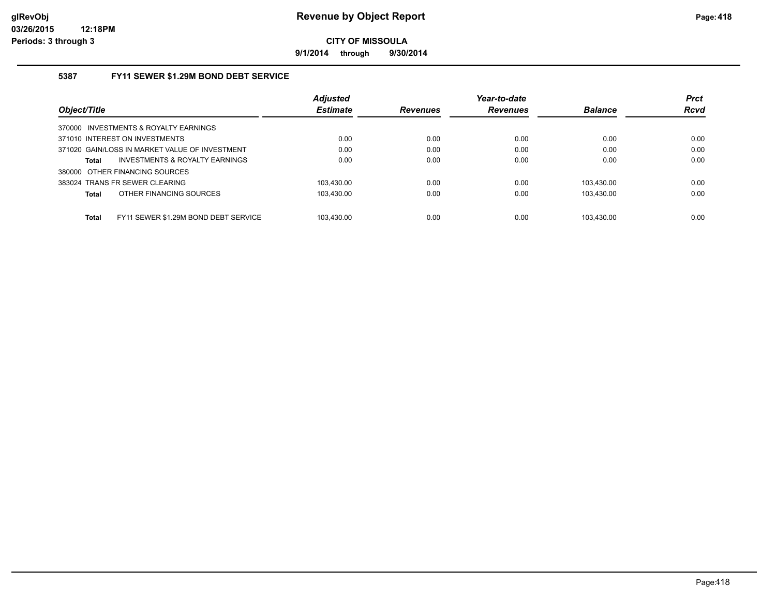**9/1/2014 through 9/30/2014**

## **5387 FY11 SEWER \$1.29M BOND DEBT SERVICE**

|                                                      | <b>Adjusted</b> |                 | Year-to-date    |                | <b>Prct</b> |
|------------------------------------------------------|-----------------|-----------------|-----------------|----------------|-------------|
| Object/Title                                         | <b>Estimate</b> | <b>Revenues</b> | <b>Revenues</b> | <b>Balance</b> | <b>Rcvd</b> |
| 370000 INVESTMENTS & ROYALTY EARNINGS                |                 |                 |                 |                |             |
| 371010 INTEREST ON INVESTMENTS                       | 0.00            | 0.00            | 0.00            | 0.00           | 0.00        |
| 371020 GAIN/LOSS IN MARKET VALUE OF INVESTMENT       | 0.00            | 0.00            | 0.00            | 0.00           | 0.00        |
| INVESTMENTS & ROYALTY EARNINGS<br><b>Total</b>       | 0.00            | 0.00            | 0.00            | 0.00           | 0.00        |
| 380000 OTHER FINANCING SOURCES                       |                 |                 |                 |                |             |
| 383024 TRANS FR SEWER CLEARING                       | 103.430.00      | 0.00            | 0.00            | 103.430.00     | 0.00        |
| OTHER FINANCING SOURCES<br><b>Total</b>              | 103.430.00      | 0.00            | 0.00            | 103.430.00     | 0.00        |
|                                                      |                 |                 |                 |                |             |
| FY11 SEWER \$1.29M BOND DEBT SERVICE<br><b>Total</b> | 103.430.00      | 0.00            | 0.00            | 103.430.00     | 0.00        |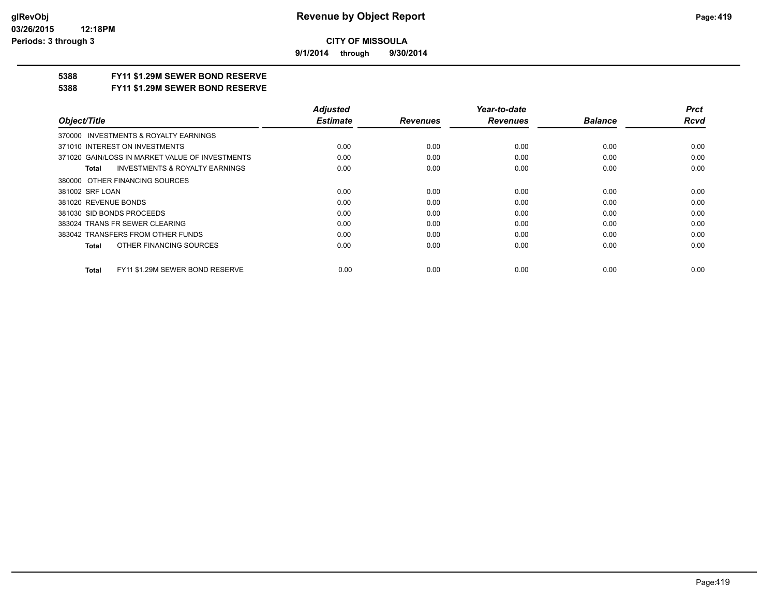**9/1/2014 through 9/30/2014**

## **5388 FY11 \$1.29M SEWER BOND RESERVE**

#### **5388 FY11 \$1.29M SEWER BOND RESERVE**

|                                                           | <b>Adjusted</b> |                 | Year-to-date    |                | <b>Prct</b> |
|-----------------------------------------------------------|-----------------|-----------------|-----------------|----------------|-------------|
| Object/Title                                              | <b>Estimate</b> | <b>Revenues</b> | <b>Revenues</b> | <b>Balance</b> | <b>Rcvd</b> |
| 370000 INVESTMENTS & ROYALTY EARNINGS                     |                 |                 |                 |                |             |
| 371010 INTEREST ON INVESTMENTS                            | 0.00            | 0.00            | 0.00            | 0.00           | 0.00        |
| 371020 GAIN/LOSS IN MARKET VALUE OF INVESTMENTS           | 0.00            | 0.00            | 0.00            | 0.00           | 0.00        |
| <b>INVESTMENTS &amp; ROYALTY EARNINGS</b><br><b>Total</b> | 0.00            | 0.00            | 0.00            | 0.00           | 0.00        |
| 380000 OTHER FINANCING SOURCES                            |                 |                 |                 |                |             |
| 381002 SRF LOAN                                           | 0.00            | 0.00            | 0.00            | 0.00           | 0.00        |
| 381020 REVENUE BONDS                                      | 0.00            | 0.00            | 0.00            | 0.00           | 0.00        |
| 381030 SID BONDS PROCEEDS                                 | 0.00            | 0.00            | 0.00            | 0.00           | 0.00        |
| 383024 TRANS FR SEWER CLEARING                            | 0.00            | 0.00            | 0.00            | 0.00           | 0.00        |
| 383042 TRANSFERS FROM OTHER FUNDS                         | 0.00            | 0.00            | 0.00            | 0.00           | 0.00        |
| OTHER FINANCING SOURCES<br><b>Total</b>                   | 0.00            | 0.00            | 0.00            | 0.00           | 0.00        |
| FY11 \$1.29M SEWER BOND RESERVE<br><b>Total</b>           | 0.00            | 0.00            | 0.00            | 0.00           | 0.00        |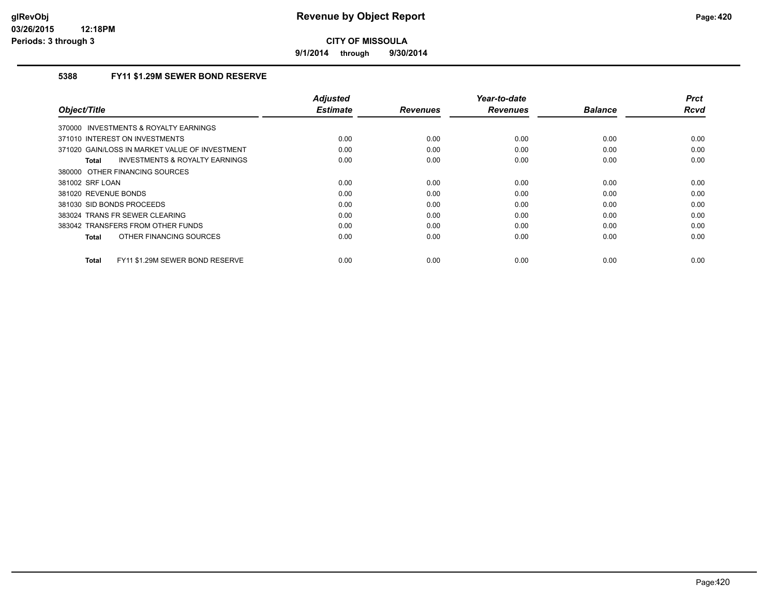**9/1/2014 through 9/30/2014**

## **5388 FY11 \$1.29M SEWER BOND RESERVE**

|                                                           | <b>Adjusted</b> |                 | Year-to-date    |                | <b>Prct</b> |
|-----------------------------------------------------------|-----------------|-----------------|-----------------|----------------|-------------|
| Object/Title                                              | <b>Estimate</b> | <b>Revenues</b> | <b>Revenues</b> | <b>Balance</b> | <b>Rcvd</b> |
| 370000 INVESTMENTS & ROYALTY EARNINGS                     |                 |                 |                 |                |             |
| 371010 INTEREST ON INVESTMENTS                            | 0.00            | 0.00            | 0.00            | 0.00           | 0.00        |
| 371020 GAIN/LOSS IN MARKET VALUE OF INVESTMENT            | 0.00            | 0.00            | 0.00            | 0.00           | 0.00        |
| <b>INVESTMENTS &amp; ROYALTY EARNINGS</b><br><b>Total</b> | 0.00            | 0.00            | 0.00            | 0.00           | 0.00        |
| 380000 OTHER FINANCING SOURCES                            |                 |                 |                 |                |             |
| 381002 SRF LOAN                                           | 0.00            | 0.00            | 0.00            | 0.00           | 0.00        |
| 381020 REVENUE BONDS                                      | 0.00            | 0.00            | 0.00            | 0.00           | 0.00        |
| 381030 SID BONDS PROCEEDS                                 | 0.00            | 0.00            | 0.00            | 0.00           | 0.00        |
| 383024 TRANS FR SEWER CLEARING                            | 0.00            | 0.00            | 0.00            | 0.00           | 0.00        |
| 383042 TRANSFERS FROM OTHER FUNDS                         | 0.00            | 0.00            | 0.00            | 0.00           | 0.00        |
| OTHER FINANCING SOURCES<br><b>Total</b>                   | 0.00            | 0.00            | 0.00            | 0.00           | 0.00        |
| FY11 \$1.29M SEWER BOND RESERVE<br><b>Total</b>           | 0.00            | 0.00            | 0.00            | 0.00           | 0.00        |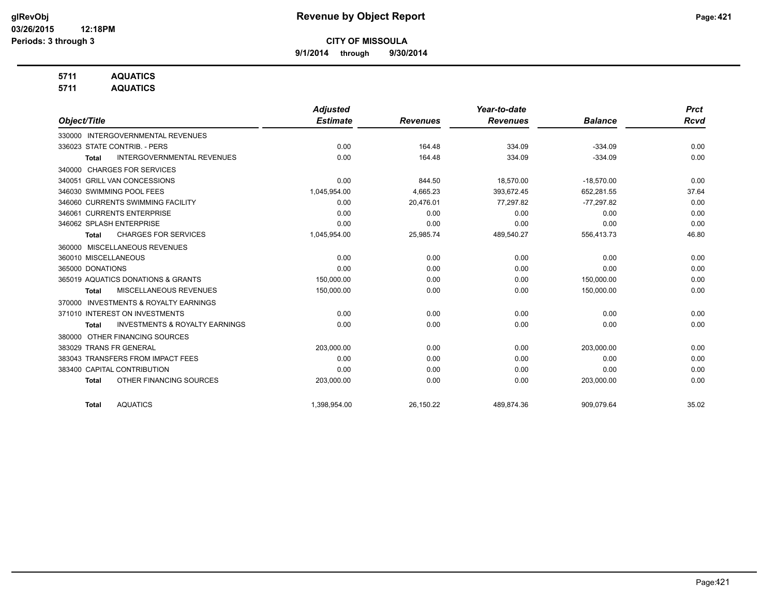**9/1/2014 through 9/30/2014**

# **5711 AQUATICS**

**5711 AQUATICS**

|                                                           | <b>Adjusted</b> |                 | Year-to-date    |                | <b>Prct</b> |
|-----------------------------------------------------------|-----------------|-----------------|-----------------|----------------|-------------|
| Object/Title                                              | <b>Estimate</b> | <b>Revenues</b> | <b>Revenues</b> | <b>Balance</b> | <b>Rcvd</b> |
| <b>INTERGOVERNMENTAL REVENUES</b><br>330000               |                 |                 |                 |                |             |
| 336023 STATE CONTRIB. - PERS                              | 0.00            | 164.48          | 334.09          | $-334.09$      | 0.00        |
| <b>INTERGOVERNMENTAL REVENUES</b><br><b>Total</b>         | 0.00            | 164.48          | 334.09          | $-334.09$      | 0.00        |
| <b>CHARGES FOR SERVICES</b><br>340000                     |                 |                 |                 |                |             |
| 340051 GRILL VAN CONCESSIONS                              | 0.00            | 844.50          | 18,570.00       | $-18,570.00$   | 0.00        |
| 346030 SWIMMING POOL FEES                                 | 1,045,954.00    | 4.665.23        | 393.672.45      | 652.281.55     | 37.64       |
| 346060 CURRENTS SWIMMING FACILITY                         | 0.00            | 20,476.01       | 77,297.82       | $-77,297.82$   | 0.00        |
| 346061 CURRENTS ENTERPRISE                                | 0.00            | 0.00            | 0.00            | 0.00           | 0.00        |
| 346062 SPLASH ENTERPRISE                                  | 0.00            | 0.00            | 0.00            | 0.00           | 0.00        |
| <b>CHARGES FOR SERVICES</b><br><b>Total</b>               | 1,045,954.00    | 25,985.74       | 489,540.27      | 556,413.73     | 46.80       |
| 360000 MISCELLANEOUS REVENUES                             |                 |                 |                 |                |             |
| 360010 MISCELLANEOUS                                      | 0.00            | 0.00            | 0.00            | 0.00           | 0.00        |
| 365000 DONATIONS                                          | 0.00            | 0.00            | 0.00            | 0.00           | 0.00        |
| 365019 AQUATICS DONATIONS & GRANTS                        | 150,000.00      | 0.00            | 0.00            | 150,000.00     | 0.00        |
| MISCELLANEOUS REVENUES<br><b>Total</b>                    | 150,000.00      | 0.00            | 0.00            | 150,000.00     | 0.00        |
| <b>INVESTMENTS &amp; ROYALTY EARNINGS</b><br>370000       |                 |                 |                 |                |             |
| 371010 INTEREST ON INVESTMENTS                            | 0.00            | 0.00            | 0.00            | 0.00           | 0.00        |
| <b>INVESTMENTS &amp; ROYALTY EARNINGS</b><br><b>Total</b> | 0.00            | 0.00            | 0.00            | 0.00           | 0.00        |
| OTHER FINANCING SOURCES<br>380000                         |                 |                 |                 |                |             |
| 383029 TRANS FR GENERAL                                   | 203.000.00      | 0.00            | 0.00            | 203,000.00     | 0.00        |
| 383043 TRANSFERS FROM IMPACT FEES                         | 0.00            | 0.00            | 0.00            | 0.00           | 0.00        |
| 383400 CAPITAL CONTRIBUTION                               | 0.00            | 0.00            | 0.00            | 0.00           | 0.00        |
| OTHER FINANCING SOURCES<br><b>Total</b>                   | 203,000.00      | 0.00            | 0.00            | 203,000.00     | 0.00        |
| <b>AQUATICS</b><br><b>Total</b>                           | 1,398,954.00    | 26,150.22       | 489,874.36      | 909,079.64     | 35.02       |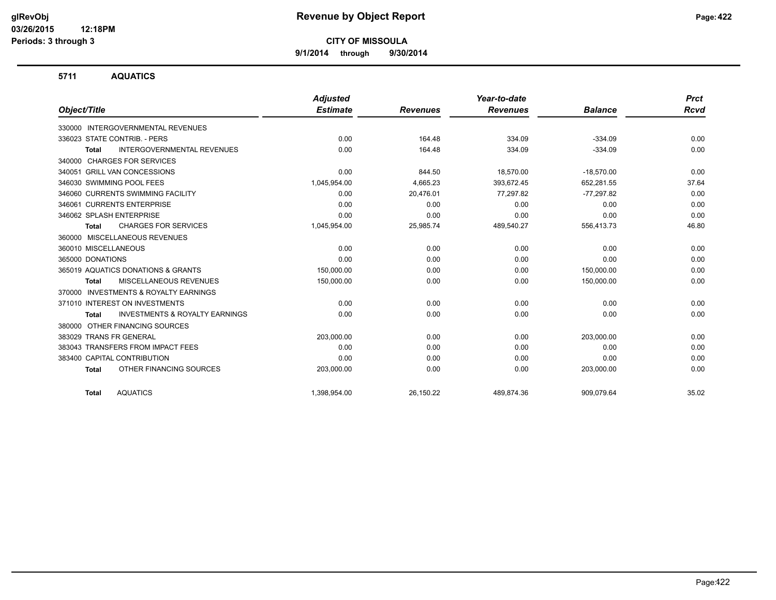**9/1/2014 through 9/30/2014**

#### **5711 AQUATICS**

|                                                           | <b>Adjusted</b> |                 | Year-to-date    |                | <b>Prct</b> |
|-----------------------------------------------------------|-----------------|-----------------|-----------------|----------------|-------------|
| Object/Title                                              | <b>Estimate</b> | <b>Revenues</b> | <b>Revenues</b> | <b>Balance</b> | <b>Rcvd</b> |
| 330000 INTERGOVERNMENTAL REVENUES                         |                 |                 |                 |                |             |
| 336023 STATE CONTRIB. - PERS                              | 0.00            | 164.48          | 334.09          | $-334.09$      | 0.00        |
| <b>INTERGOVERNMENTAL REVENUES</b><br><b>Total</b>         | 0.00            | 164.48          | 334.09          | $-334.09$      | 0.00        |
| 340000 CHARGES FOR SERVICES                               |                 |                 |                 |                |             |
| 340051 GRILL VAN CONCESSIONS                              | 0.00            | 844.50          | 18,570.00       | $-18,570.00$   | 0.00        |
| 346030 SWIMMING POOL FEES                                 | 1,045,954.00    | 4,665.23        | 393,672.45      | 652,281.55     | 37.64       |
| 346060 CURRENTS SWIMMING FACILITY                         | 0.00            | 20,476.01       | 77.297.82       | $-77.297.82$   | 0.00        |
| 346061 CURRENTS ENTERPRISE                                | 0.00            | 0.00            | 0.00            | 0.00           | 0.00        |
| 346062 SPLASH ENTERPRISE                                  | 0.00            | 0.00            | 0.00            | 0.00           | 0.00        |
| <b>CHARGES FOR SERVICES</b><br>Total                      | 1,045,954.00    | 25,985.74       | 489,540.27      | 556,413.73     | 46.80       |
| 360000 MISCELLANEOUS REVENUES                             |                 |                 |                 |                |             |
| 360010 MISCELLANEOUS                                      | 0.00            | 0.00            | 0.00            | 0.00           | 0.00        |
| 365000 DONATIONS                                          | 0.00            | 0.00            | 0.00            | 0.00           | 0.00        |
| 365019 AQUATICS DONATIONS & GRANTS                        | 150,000.00      | 0.00            | 0.00            | 150,000.00     | 0.00        |
| <b>MISCELLANEOUS REVENUES</b><br><b>Total</b>             | 150,000.00      | 0.00            | 0.00            | 150,000.00     | 0.00        |
| 370000 INVESTMENTS & ROYALTY EARNINGS                     |                 |                 |                 |                |             |
| 371010 INTEREST ON INVESTMENTS                            | 0.00            | 0.00            | 0.00            | 0.00           | 0.00        |
| <b>INVESTMENTS &amp; ROYALTY EARNINGS</b><br><b>Total</b> | 0.00            | 0.00            | 0.00            | 0.00           | 0.00        |
| 380000 OTHER FINANCING SOURCES                            |                 |                 |                 |                |             |
| 383029 TRANS FR GENERAL                                   | 203,000.00      | 0.00            | 0.00            | 203,000.00     | 0.00        |
| 383043 TRANSFERS FROM IMPACT FEES                         | 0.00            | 0.00            | 0.00            | 0.00           | 0.00        |
| 383400 CAPITAL CONTRIBUTION                               | 0.00            | 0.00            | 0.00            | 0.00           | 0.00        |
| OTHER FINANCING SOURCES<br><b>Total</b>                   | 203,000.00      | 0.00            | 0.00            | 203,000.00     | 0.00        |
| <b>AQUATICS</b><br><b>Total</b>                           | 1,398,954.00    | 26,150.22       | 489.874.36      | 909.079.64     | 35.02       |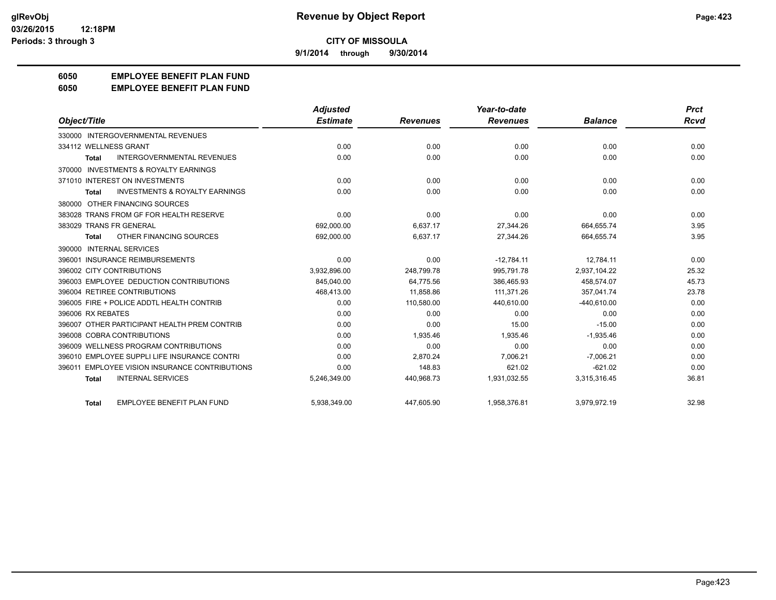**9/1/2014 through 9/30/2014**

# **6050 EMPLOYEE BENEFIT PLAN FUND**

#### **6050 EMPLOYEE BENEFIT PLAN FUND**

|                                                           | <b>Adjusted</b> |                 | Year-to-date    |                | <b>Prct</b> |
|-----------------------------------------------------------|-----------------|-----------------|-----------------|----------------|-------------|
| Object/Title                                              | <b>Estimate</b> | <b>Revenues</b> | <b>Revenues</b> | <b>Balance</b> | <b>Rcvd</b> |
| 330000 INTERGOVERNMENTAL REVENUES                         |                 |                 |                 |                |             |
| 334112 WELLNESS GRANT                                     | 0.00            | 0.00            | 0.00            | 0.00           | 0.00        |
| <b>INTERGOVERNMENTAL REVENUES</b><br><b>Total</b>         | 0.00            | 0.00            | 0.00            | 0.00           | 0.00        |
| 370000 INVESTMENTS & ROYALTY EARNINGS                     |                 |                 |                 |                |             |
| 371010 INTEREST ON INVESTMENTS                            | 0.00            | 0.00            | 0.00            | 0.00           | 0.00        |
| <b>INVESTMENTS &amp; ROYALTY EARNINGS</b><br><b>Total</b> | 0.00            | 0.00            | 0.00            | 0.00           | 0.00        |
| 380000 OTHER FINANCING SOURCES                            |                 |                 |                 |                |             |
| 383028 TRANS FROM GF FOR HEALTH RESERVE                   | 0.00            | 0.00            | 0.00            | 0.00           | 0.00        |
| 383029 TRANS FR GENERAL                                   | 692,000.00      | 6.637.17        | 27,344.26       | 664,655.74     | 3.95        |
| OTHER FINANCING SOURCES<br><b>Total</b>                   | 692,000.00      | 6.637.17        | 27,344.26       | 664,655.74     | 3.95        |
| 390000 INTERNAL SERVICES                                  |                 |                 |                 |                |             |
| 396001 INSURANCE REIMBURSEMENTS                           | 0.00            | 0.00            | $-12.784.11$    | 12.784.11      | 0.00        |
| 396002 CITY CONTRIBUTIONS                                 | 3.932.896.00    | 248.799.78      | 995.791.78      | 2.937.104.22   | 25.32       |
| 396003 EMPLOYEE DEDUCTION CONTRIBUTIONS                   | 845,040.00      | 64,775.56       | 386,465.93      | 458,574.07     | 45.73       |
| 396004 RETIREE CONTRIBUTIONS                              | 468,413.00      | 11,858.86       | 111,371.26      | 357,041.74     | 23.78       |
| 396005 FIRE + POLICE ADDTL HEALTH CONTRIB                 | 0.00            | 110,580.00      | 440.610.00      | $-440.610.00$  | 0.00        |
| 396006 RX REBATES                                         | 0.00            | 0.00            | 0.00            | 0.00           | 0.00        |
| 396007 OTHER PARTICIPANT HEALTH PREM CONTRIB              | 0.00            | 0.00            | 15.00           | $-15.00$       | 0.00        |
| 396008 COBRA CONTRIBUTIONS                                | 0.00            | 1.935.46        | 1.935.46        | $-1.935.46$    | 0.00        |
| 396009 WELLNESS PROGRAM CONTRIBUTIONS                     | 0.00            | 0.00            | 0.00            | 0.00           | 0.00        |
| 396010 EMPLOYEE SUPPLI LIFE INSURANCE CONTRI              | 0.00            | 2,870.24        | 7,006.21        | $-7,006.21$    | 0.00        |
| <b>EMPLOYEE VISION INSURANCE CONTRIBUTIONS</b><br>396011  | 0.00            | 148.83          | 621.02          | $-621.02$      | 0.00        |
| <b>INTERNAL SERVICES</b><br><b>Total</b>                  | 5,246,349.00    | 440,968.73      | 1,931,032.55    | 3,315,316.45   | 36.81       |
| <b>EMPLOYEE BENEFIT PLAN FUND</b><br><b>Total</b>         | 5,938,349.00    | 447,605.90      | 1,958,376.81    | 3,979,972.19   | 32.98       |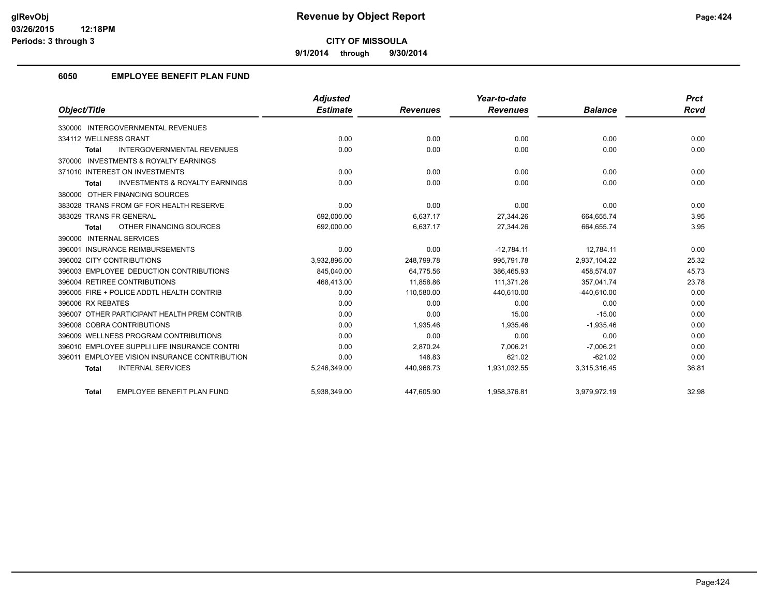**9/1/2014 through 9/30/2014**

## **6050 EMPLOYEE BENEFIT PLAN FUND**

|                                                           | Adjusted        |                 | Year-to-date    |                | <b>Prct</b> |
|-----------------------------------------------------------|-----------------|-----------------|-----------------|----------------|-------------|
| Object/Title                                              | <b>Estimate</b> | <b>Revenues</b> | <b>Revenues</b> | <b>Balance</b> | <b>Rcvd</b> |
| 330000 INTERGOVERNMENTAL REVENUES                         |                 |                 |                 |                |             |
| 334112 WELLNESS GRANT                                     | 0.00            | 0.00            | 0.00            | 0.00           | 0.00        |
| <b>INTERGOVERNMENTAL REVENUES</b><br><b>Total</b>         | 0.00            | 0.00            | 0.00            | 0.00           | 0.00        |
| 370000 INVESTMENTS & ROYALTY EARNINGS                     |                 |                 |                 |                |             |
| 371010 INTEREST ON INVESTMENTS                            | 0.00            | 0.00            | 0.00            | 0.00           | 0.00        |
| <b>INVESTMENTS &amp; ROYALTY EARNINGS</b><br><b>Total</b> | 0.00            | 0.00            | 0.00            | 0.00           | 0.00        |
| 380000 OTHER FINANCING SOURCES                            |                 |                 |                 |                |             |
| 383028 TRANS FROM GF FOR HEALTH RESERVE                   | 0.00            | 0.00            | 0.00            | 0.00           | 0.00        |
| 383029 TRANS FR GENERAL                                   | 692,000.00      | 6,637.17        | 27,344.26       | 664,655.74     | 3.95        |
| OTHER FINANCING SOURCES<br><b>Total</b>                   | 692,000.00      | 6,637.17        | 27,344.26       | 664,655.74     | 3.95        |
| 390000 INTERNAL SERVICES                                  |                 |                 |                 |                |             |
| 396001 INSURANCE REIMBURSEMENTS                           | 0.00            | 0.00            | $-12,784.11$    | 12,784.11      | 0.00        |
| 396002 CITY CONTRIBUTIONS                                 | 3,932,896.00    | 248,799.78      | 995,791.78      | 2,937,104.22   | 25.32       |
| 396003 EMPLOYEE DEDUCTION CONTRIBUTIONS                   | 845,040.00      | 64.775.56       | 386,465.93      | 458,574.07     | 45.73       |
| 396004 RETIREE CONTRIBUTIONS                              | 468.413.00      | 11.858.86       | 111.371.26      | 357.041.74     | 23.78       |
| 396005 FIRE + POLICE ADDTL HEALTH CONTRIB                 | 0.00            | 110,580.00      | 440.610.00      | $-440.610.00$  | 0.00        |
| 396006 RX REBATES                                         | 0.00            | 0.00            | 0.00            | 0.00           | 0.00        |
| 396007 OTHER PARTICIPANT HEALTH PREM CONTRIB              | 0.00            | 0.00            | 15.00           | $-15.00$       | 0.00        |
| 396008 COBRA CONTRIBUTIONS                                | 0.00            | 1.935.46        | 1.935.46        | $-1.935.46$    | 0.00        |
| 396009 WELLNESS PROGRAM CONTRIBUTIONS                     | 0.00            | 0.00            | 0.00            | 0.00           | 0.00        |
| 396010 EMPLOYEE SUPPLI LIFE INSURANCE CONTRI              | 0.00            | 2,870.24        | 7,006.21        | $-7,006.21$    | 0.00        |
| 396011 EMPLOYEE VISION INSURANCE CONTRIBUTION             | 0.00            | 148.83          | 621.02          | $-621.02$      | 0.00        |
| <b>INTERNAL SERVICES</b><br><b>Total</b>                  | 5,246,349.00    | 440,968.73      | 1,931,032.55    | 3,315,316.45   | 36.81       |
| <b>EMPLOYEE BENEFIT PLAN FUND</b><br><b>Total</b>         | 5,938,349.00    | 447,605.90      | 1,958,376.81    | 3,979,972.19   | 32.98       |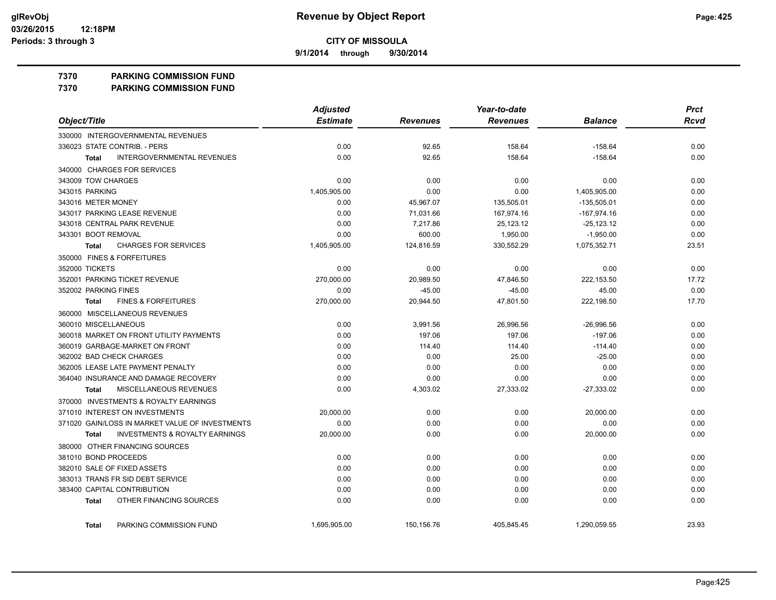**9/1/2014 through 9/30/2014**

#### **7370 PARKING COMMISSION FUND**

**7370 PARKING COMMISSION FUND**

|                                                           | <b>Adjusted</b> |                 | Year-to-date    |                | <b>Prct</b> |
|-----------------------------------------------------------|-----------------|-----------------|-----------------|----------------|-------------|
| Object/Title                                              | <b>Estimate</b> | <b>Revenues</b> | <b>Revenues</b> | <b>Balance</b> | <b>Rcvd</b> |
| 330000 INTERGOVERNMENTAL REVENUES                         |                 |                 |                 |                |             |
| 336023 STATE CONTRIB. - PERS                              | 0.00            | 92.65           | 158.64          | $-158.64$      | 0.00        |
| <b>INTERGOVERNMENTAL REVENUES</b><br><b>Total</b>         | 0.00            | 92.65           | 158.64          | $-158.64$      | 0.00        |
| 340000 CHARGES FOR SERVICES                               |                 |                 |                 |                |             |
| 343009 TOW CHARGES                                        | 0.00            | 0.00            | 0.00            | 0.00           | 0.00        |
| 343015 PARKING                                            | 1,405,905.00    | 0.00            | 0.00            | 1,405,905.00   | 0.00        |
| 343016 METER MONEY                                        | 0.00            | 45,967.07       | 135,505.01      | $-135,505.01$  | 0.00        |
| 343017 PARKING LEASE REVENUE                              | 0.00            | 71,031.66       | 167,974.16      | $-167,974.16$  | 0.00        |
| 343018 CENTRAL PARK REVENUE                               | 0.00            | 7,217.86        | 25,123.12       | $-25, 123.12$  | 0.00        |
| 343301 BOOT REMOVAL                                       | 0.00            | 600.00          | 1,950.00        | $-1,950.00$    | 0.00        |
| <b>CHARGES FOR SERVICES</b><br><b>Total</b>               | 1,405,905.00    | 124,816.59      | 330,552.29      | 1,075,352.71   | 23.51       |
| 350000 FINES & FORFEITURES                                |                 |                 |                 |                |             |
| 352000 TICKETS                                            | 0.00            | 0.00            | 0.00            | 0.00           | 0.00        |
| 352001 PARKING TICKET REVENUE                             | 270,000.00      | 20.989.50       | 47,846.50       | 222,153.50     | 17.72       |
| 352002 PARKING FINES                                      | 0.00            | $-45.00$        | $-45.00$        | 45.00          | 0.00        |
| <b>FINES &amp; FORFEITURES</b><br><b>Total</b>            | 270,000.00      | 20,944.50       | 47,801.50       | 222,198.50     | 17.70       |
| 360000 MISCELLANEOUS REVENUES                             |                 |                 |                 |                |             |
| 360010 MISCELLANEOUS                                      | 0.00            | 3,991.56        | 26,996.56       | $-26,996.56$   | 0.00        |
| 360018 MARKET ON FRONT UTILITY PAYMENTS                   | 0.00            | 197.06          | 197.06          | $-197.06$      | 0.00        |
| 360019 GARBAGE-MARKET ON FRONT                            | 0.00            | 114.40          | 114.40          | $-114.40$      | 0.00        |
| 362002 BAD CHECK CHARGES                                  | 0.00            | 0.00            | 25.00           | $-25.00$       | 0.00        |
| 362005 LEASE LATE PAYMENT PENALTY                         | 0.00            | 0.00            | 0.00            | 0.00           | 0.00        |
| 364040 INSURANCE AND DAMAGE RECOVERY                      | 0.00            | 0.00            | 0.00            | 0.00           | 0.00        |
| MISCELLANEOUS REVENUES<br><b>Total</b>                    | 0.00            | 4,303.02        | 27,333.02       | $-27,333.02$   | 0.00        |
| 370000 INVESTMENTS & ROYALTY EARNINGS                     |                 |                 |                 |                |             |
| 371010 INTEREST ON INVESTMENTS                            | 20,000.00       | 0.00            | 0.00            | 20,000.00      | 0.00        |
| 371020 GAIN/LOSS IN MARKET VALUE OF INVESTMENTS           | 0.00            | 0.00            | 0.00            | 0.00           | 0.00        |
| <b>INVESTMENTS &amp; ROYALTY EARNINGS</b><br><b>Total</b> | 20,000.00       | 0.00            | 0.00            | 20,000.00      | 0.00        |
| 380000 OTHER FINANCING SOURCES                            |                 |                 |                 |                |             |
| 381010 BOND PROCEEDS                                      | 0.00            | 0.00            | 0.00            | 0.00           | 0.00        |
| 382010 SALE OF FIXED ASSETS                               | 0.00            | 0.00            | 0.00            | 0.00           | 0.00        |
| 383013 TRANS FR SID DEBT SERVICE                          | 0.00            | 0.00            | 0.00            | 0.00           | 0.00        |
| 383400 CAPITAL CONTRIBUTION                               | 0.00            | 0.00            | 0.00            | 0.00           | 0.00        |
| OTHER FINANCING SOURCES<br><b>Total</b>                   | 0.00            | 0.00            | 0.00            | 0.00           | 0.00        |
| PARKING COMMISSION FUND<br><b>Total</b>                   | 1,695,905.00    | 150,156.76      | 405,845.45      | 1,290,059.55   | 23.93       |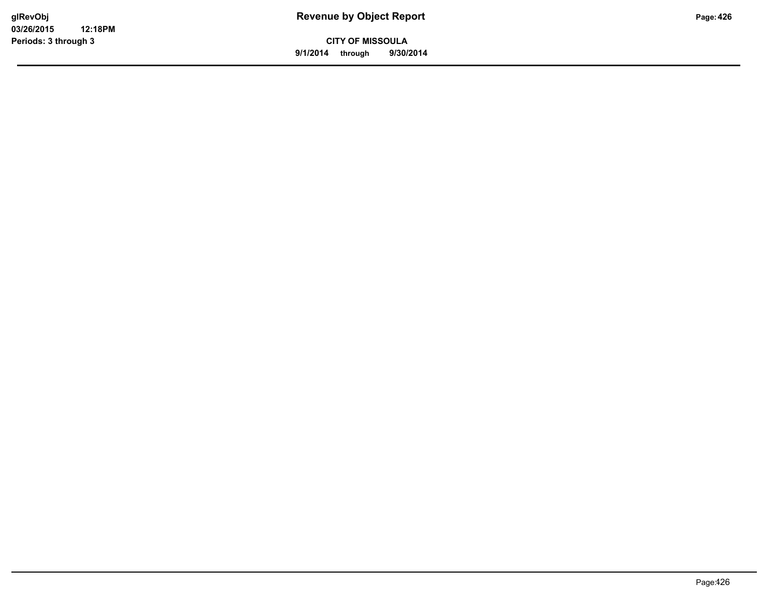**CITY OF MISSOULA 9/1/2014 through 9/30/2014**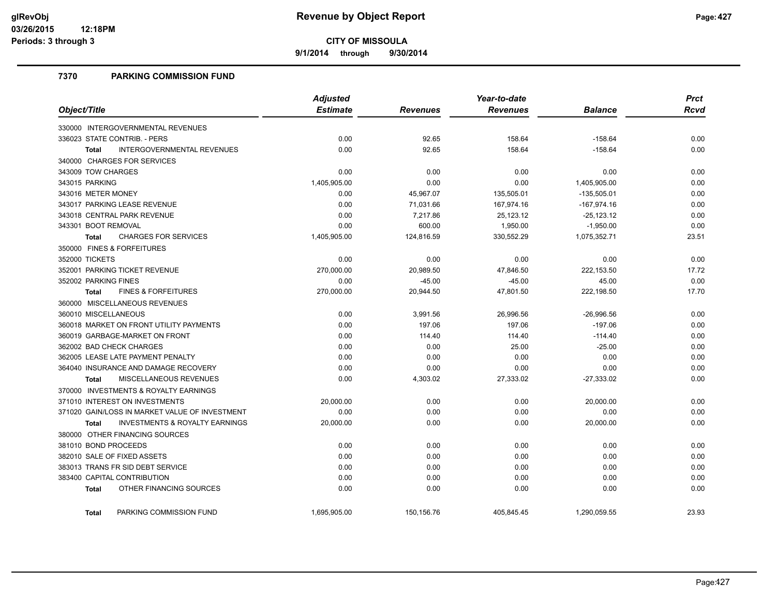**9/1/2014 through 9/30/2014**

## **7370 PARKING COMMISSION FUND**

|                                                           | <b>Adjusted</b> |                 | Year-to-date    |                | <b>Prct</b> |
|-----------------------------------------------------------|-----------------|-----------------|-----------------|----------------|-------------|
| Object/Title                                              | <b>Estimate</b> | <b>Revenues</b> | <b>Revenues</b> | <b>Balance</b> | <b>Rcvd</b> |
| 330000 INTERGOVERNMENTAL REVENUES                         |                 |                 |                 |                |             |
| 336023 STATE CONTRIB. - PERS                              | 0.00            | 92.65           | 158.64          | $-158.64$      | 0.00        |
| INTERGOVERNMENTAL REVENUES<br><b>Total</b>                | 0.00            | 92.65           | 158.64          | $-158.64$      | 0.00        |
| 340000 CHARGES FOR SERVICES                               |                 |                 |                 |                |             |
| 343009 TOW CHARGES                                        | 0.00            | 0.00            | 0.00            | 0.00           | 0.00        |
| 343015 PARKING                                            | 1,405,905.00    | 0.00            | 0.00            | 1,405,905.00   | 0.00        |
| 343016 METER MONEY                                        | 0.00            | 45,967.07       | 135,505.01      | $-135,505.01$  | 0.00        |
| 343017 PARKING LEASE REVENUE                              | 0.00            | 71,031.66       | 167,974.16      | -167,974.16    | 0.00        |
| 343018 CENTRAL PARK REVENUE                               | 0.00            | 7,217.86        | 25,123.12       | $-25, 123.12$  | 0.00        |
| 343301 BOOT REMOVAL                                       | 0.00            | 600.00          | 1,950.00        | $-1,950.00$    | 0.00        |
| <b>CHARGES FOR SERVICES</b><br><b>Total</b>               | 1,405,905.00    | 124,816.59      | 330,552.29      | 1,075,352.71   | 23.51       |
| 350000 FINES & FORFEITURES                                |                 |                 |                 |                |             |
| 352000 TICKETS                                            | 0.00            | 0.00            | 0.00            | 0.00           | 0.00        |
| 352001 PARKING TICKET REVENUE                             | 270,000.00      | 20,989.50       | 47,846.50       | 222,153.50     | 17.72       |
| 352002 PARKING FINES                                      | 0.00            | $-45.00$        | $-45.00$        | 45.00          | 0.00        |
| <b>FINES &amp; FORFEITURES</b><br><b>Total</b>            | 270,000.00      | 20,944.50       | 47,801.50       | 222,198.50     | 17.70       |
| 360000 MISCELLANEOUS REVENUES                             |                 |                 |                 |                |             |
| 360010 MISCELLANEOUS                                      | 0.00            | 3,991.56        | 26,996.56       | $-26,996.56$   | 0.00        |
| 360018 MARKET ON FRONT UTILITY PAYMENTS                   | 0.00            | 197.06          | 197.06          | $-197.06$      | 0.00        |
| 360019 GARBAGE-MARKET ON FRONT                            | 0.00            | 114.40          | 114.40          | $-114.40$      | 0.00        |
| 362002 BAD CHECK CHARGES                                  | 0.00            | 0.00            | 25.00           | $-25.00$       | 0.00        |
| 362005 LEASE LATE PAYMENT PENALTY                         | 0.00            | 0.00            | 0.00            | 0.00           | 0.00        |
| 364040 INSURANCE AND DAMAGE RECOVERY                      | 0.00            | 0.00            | 0.00            | 0.00           | 0.00        |
| MISCELLANEOUS REVENUES<br><b>Total</b>                    | 0.00            | 4,303.02        | 27,333.02       | $-27,333.02$   | 0.00        |
| 370000 INVESTMENTS & ROYALTY EARNINGS                     |                 |                 |                 |                |             |
| 371010 INTEREST ON INVESTMENTS                            | 20,000.00       | 0.00            | 0.00            | 20,000.00      | 0.00        |
| 371020 GAIN/LOSS IN MARKET VALUE OF INVESTMENT            | 0.00            | 0.00            | 0.00            | 0.00           | 0.00        |
| <b>INVESTMENTS &amp; ROYALTY EARNINGS</b><br><b>Total</b> | 20,000.00       | 0.00            | 0.00            | 20,000.00      | 0.00        |
| 380000 OTHER FINANCING SOURCES                            |                 |                 |                 |                |             |
| 381010 BOND PROCEEDS                                      | 0.00            | 0.00            | 0.00            | 0.00           | 0.00        |
| 382010 SALE OF FIXED ASSETS                               | 0.00            | 0.00            | 0.00            | 0.00           | 0.00        |
| 383013 TRANS FR SID DEBT SERVICE                          | 0.00            | 0.00            | 0.00            | 0.00           | 0.00        |
| 383400 CAPITAL CONTRIBUTION                               | 0.00            | 0.00            | 0.00            | 0.00           | 0.00        |
| OTHER FINANCING SOURCES<br><b>Total</b>                   | 0.00            | 0.00            | 0.00            | 0.00           | 0.00        |
| PARKING COMMISSION FUND<br><b>Total</b>                   | 1,695,905.00    | 150,156.76      | 405,845.45      | 1,290,059.55   | 23.93       |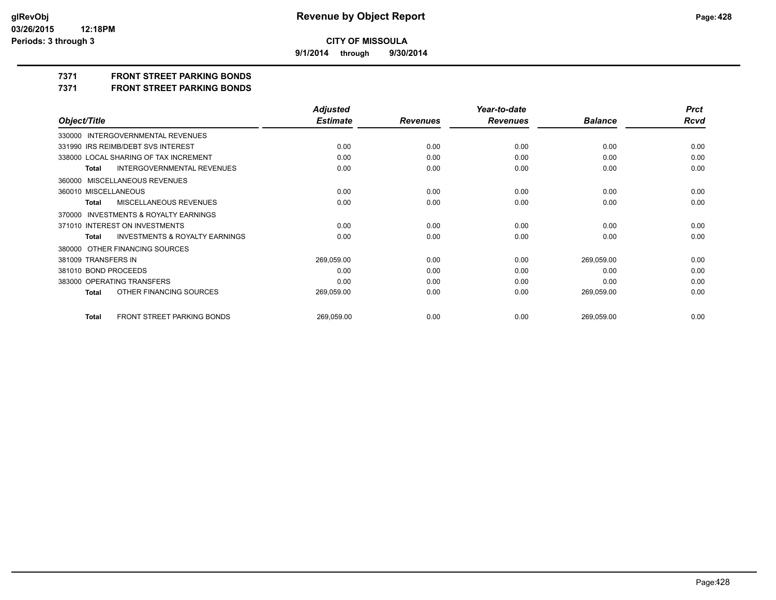**9/1/2014 through 9/30/2014**

## **7371 FRONT STREET PARKING BONDS**

**7371 FRONT STREET PARKING BONDS**

|                                                    | <b>Adjusted</b> |                 | Year-to-date    |                | <b>Prct</b> |
|----------------------------------------------------|-----------------|-----------------|-----------------|----------------|-------------|
| Object/Title                                       | <b>Estimate</b> | <b>Revenues</b> | <b>Revenues</b> | <b>Balance</b> | Rcvd        |
| 330000 INTERGOVERNMENTAL REVENUES                  |                 |                 |                 |                |             |
| 331990 IRS REIMB/DEBT SVS INTEREST                 | 0.00            | 0.00            | 0.00            | 0.00           | 0.00        |
| 338000 LOCAL SHARING OF TAX INCREMENT              | 0.00            | 0.00            | 0.00            | 0.00           | 0.00        |
| <b>INTERGOVERNMENTAL REVENUES</b><br>Total         | 0.00            | 0.00            | 0.00            | 0.00           | 0.00        |
| 360000 MISCELLANEOUS REVENUES                      |                 |                 |                 |                |             |
| 360010 MISCELLANEOUS                               | 0.00            | 0.00            | 0.00            | 0.00           | 0.00        |
| MISCELLANEOUS REVENUES<br>Total                    | 0.00            | 0.00            | 0.00            | 0.00           | 0.00        |
| 370000 INVESTMENTS & ROYALTY EARNINGS              |                 |                 |                 |                |             |
| 371010 INTEREST ON INVESTMENTS                     | 0.00            | 0.00            | 0.00            | 0.00           | 0.00        |
| <b>INVESTMENTS &amp; ROYALTY EARNINGS</b><br>Total | 0.00            | 0.00            | 0.00            | 0.00           | 0.00        |
| 380000 OTHER FINANCING SOURCES                     |                 |                 |                 |                |             |
| 381009 TRANSFERS IN                                | 269,059.00      | 0.00            | 0.00            | 269,059.00     | 0.00        |
| 381010 BOND PROCEEDS                               | 0.00            | 0.00            | 0.00            | 0.00           | 0.00        |
| 383000 OPERATING TRANSFERS                         | 0.00            | 0.00            | 0.00            | 0.00           | 0.00        |
| OTHER FINANCING SOURCES<br><b>Total</b>            | 269,059.00      | 0.00            | 0.00            | 269,059.00     | 0.00        |
| <b>FRONT STREET PARKING BONDS</b><br><b>Total</b>  | 269,059.00      | 0.00            | 0.00            | 269,059.00     | 0.00        |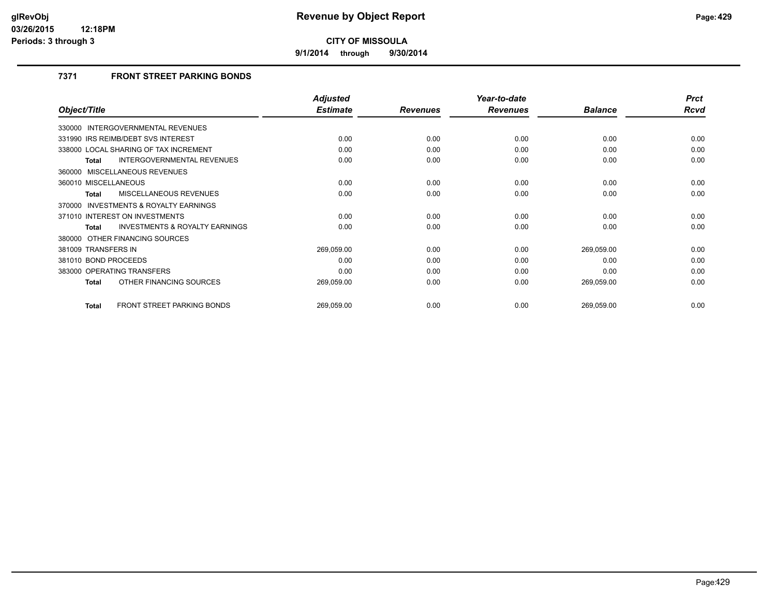**9/1/2014 through 9/30/2014**

## **7371 FRONT STREET PARKING BONDS**

|                                                           | <b>Adjusted</b> |                 | Year-to-date    |                | <b>Prct</b> |
|-----------------------------------------------------------|-----------------|-----------------|-----------------|----------------|-------------|
| Object/Title                                              | <b>Estimate</b> | <b>Revenues</b> | <b>Revenues</b> | <b>Balance</b> | Rcvd        |
| 330000 INTERGOVERNMENTAL REVENUES                         |                 |                 |                 |                |             |
| 331990 IRS REIMB/DEBT SVS INTEREST                        | 0.00            | 0.00            | 0.00            | 0.00           | 0.00        |
| 338000 LOCAL SHARING OF TAX INCREMENT                     | 0.00            | 0.00            | 0.00            | 0.00           | 0.00        |
| INTERGOVERNMENTAL REVENUES<br>Total                       | 0.00            | 0.00            | 0.00            | 0.00           | 0.00        |
| 360000 MISCELLANEOUS REVENUES                             |                 |                 |                 |                |             |
| 360010 MISCELLANEOUS                                      | 0.00            | 0.00            | 0.00            | 0.00           | 0.00        |
| MISCELLANEOUS REVENUES<br><b>Total</b>                    | 0.00            | 0.00            | 0.00            | 0.00           | 0.00        |
| 370000 INVESTMENTS & ROYALTY EARNINGS                     |                 |                 |                 |                |             |
| 371010 INTEREST ON INVESTMENTS                            | 0.00            | 0.00            | 0.00            | 0.00           | 0.00        |
| <b>INVESTMENTS &amp; ROYALTY EARNINGS</b><br><b>Total</b> | 0.00            | 0.00            | 0.00            | 0.00           | 0.00        |
| 380000 OTHER FINANCING SOURCES                            |                 |                 |                 |                |             |
| 381009 TRANSFERS IN                                       | 269,059.00      | 0.00            | 0.00            | 269,059.00     | 0.00        |
| 381010 BOND PROCEEDS                                      | 0.00            | 0.00            | 0.00            | 0.00           | 0.00        |
| 383000 OPERATING TRANSFERS                                | 0.00            | 0.00            | 0.00            | 0.00           | 0.00        |
| OTHER FINANCING SOURCES<br><b>Total</b>                   | 269,059.00      | 0.00            | 0.00            | 269,059.00     | 0.00        |
| <b>FRONT STREET PARKING BONDS</b><br><b>Total</b>         | 269,059.00      | 0.00            | 0.00            | 269,059.00     | 0.00        |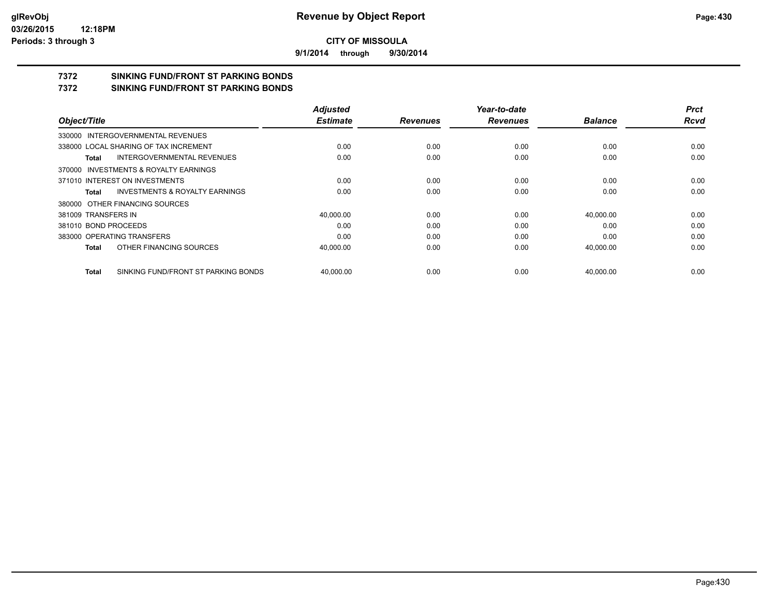**9/1/2014 through 9/30/2014**

# **7372 SINKING FUND/FRONT ST PARKING BONDS**

**7372 SINKING FUND/FRONT ST PARKING BONDS**

|                                              | <b>Adjusted</b> |                 | Year-to-date    |                | <b>Prct</b> |
|----------------------------------------------|-----------------|-----------------|-----------------|----------------|-------------|
| Object/Title                                 | <b>Estimate</b> | <b>Revenues</b> | <b>Revenues</b> | <b>Balance</b> | <b>Rcvd</b> |
| 330000 INTERGOVERNMENTAL REVENUES            |                 |                 |                 |                |             |
| 338000 LOCAL SHARING OF TAX INCREMENT        | 0.00            | 0.00            | 0.00            | 0.00           | 0.00        |
| INTERGOVERNMENTAL REVENUES<br>Total          | 0.00            | 0.00            | 0.00            | 0.00           | 0.00        |
| 370000 INVESTMENTS & ROYALTY EARNINGS        |                 |                 |                 |                |             |
| 371010 INTEREST ON INVESTMENTS               | 0.00            | 0.00            | 0.00            | 0.00           | 0.00        |
| INVESTMENTS & ROYALTY EARNINGS<br>Total      | 0.00            | 0.00            | 0.00            | 0.00           | 0.00        |
| 380000 OTHER FINANCING SOURCES               |                 |                 |                 |                |             |
| 381009 TRANSFERS IN                          | 40,000.00       | 0.00            | 0.00            | 40,000.00      | 0.00        |
| 381010 BOND PROCEEDS                         | 0.00            | 0.00            | 0.00            | 0.00           | 0.00        |
| 383000 OPERATING TRANSFERS                   | 0.00            | 0.00            | 0.00            | 0.00           | 0.00        |
| OTHER FINANCING SOURCES<br>Total             | 40,000.00       | 0.00            | 0.00            | 40,000.00      | 0.00        |
| SINKING FUND/FRONT ST PARKING BONDS<br>Total | 40.000.00       | 0.00            | 0.00            | 40.000.00      | 0.00        |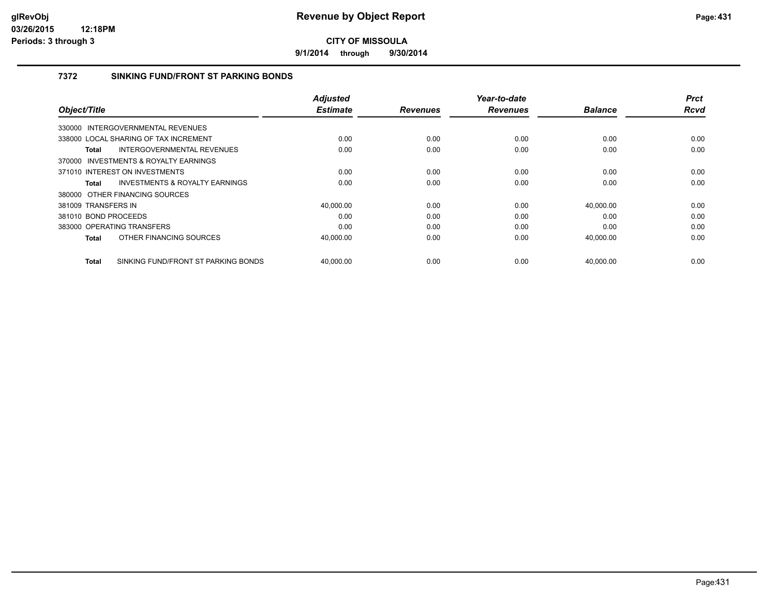**9/1/2014 through 9/30/2014**

#### **7372 SINKING FUND/FRONT ST PARKING BONDS**

| Object/Title         |                                           | <b>Adjusted</b><br><b>Estimate</b> | <b>Revenues</b> | Year-to-date<br><b>Revenues</b> | <b>Balance</b> | <b>Prct</b><br>Rcvd |
|----------------------|-------------------------------------------|------------------------------------|-----------------|---------------------------------|----------------|---------------------|
|                      |                                           |                                    |                 |                                 |                |                     |
|                      | 330000 INTERGOVERNMENTAL REVENUES         |                                    |                 |                                 |                |                     |
|                      | 338000 LOCAL SHARING OF TAX INCREMENT     | 0.00                               | 0.00            | 0.00                            | 0.00           | 0.00                |
| <b>Total</b>         | <b>INTERGOVERNMENTAL REVENUES</b>         | 0.00                               | 0.00            | 0.00                            | 0.00           | 0.00                |
| 370000               | <b>INVESTMENTS &amp; ROYALTY EARNINGS</b> |                                    |                 |                                 |                |                     |
|                      | 371010 INTEREST ON INVESTMENTS            | 0.00                               | 0.00            | 0.00                            | 0.00           | 0.00                |
| Total                | <b>INVESTMENTS &amp; ROYALTY EARNINGS</b> | 0.00                               | 0.00            | 0.00                            | 0.00           | 0.00                |
|                      | 380000 OTHER FINANCING SOURCES            |                                    |                 |                                 |                |                     |
| 381009 TRANSFERS IN  |                                           | 40,000.00                          | 0.00            | 0.00                            | 40,000.00      | 0.00                |
| 381010 BOND PROCEEDS |                                           | 0.00                               | 0.00            | 0.00                            | 0.00           | 0.00                |
|                      | 383000 OPERATING TRANSFERS                | 0.00                               | 0.00            | 0.00                            | 0.00           | 0.00                |
| <b>Total</b>         | OTHER FINANCING SOURCES                   | 40,000.00                          | 0.00            | 0.00                            | 40,000.00      | 0.00                |
| <b>Total</b>         | SINKING FUND/FRONT ST PARKING BONDS       | 40.000.00                          | 0.00            | 0.00                            | 40.000.00      | 0.00                |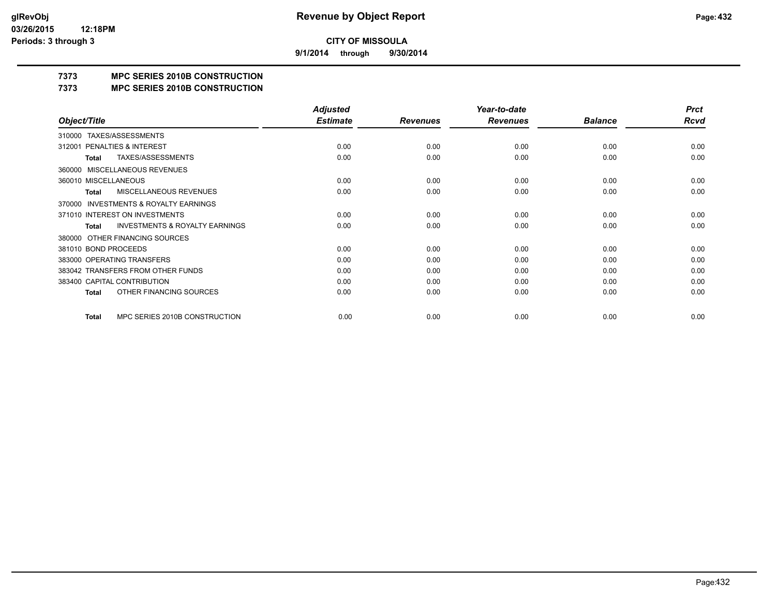**9/1/2014 through 9/30/2014**

# **7373 MPC SERIES 2010B CONSTRUCTION**

#### **7373 MPC SERIES 2010B CONSTRUCTION**

|                                                     | <b>Adjusted</b> |                 | Year-to-date    |                | <b>Prct</b> |
|-----------------------------------------------------|-----------------|-----------------|-----------------|----------------|-------------|
| Object/Title                                        | <b>Estimate</b> | <b>Revenues</b> | <b>Revenues</b> | <b>Balance</b> | Rcvd        |
| TAXES/ASSESSMENTS<br>310000                         |                 |                 |                 |                |             |
| PENALTIES & INTEREST<br>312001                      | 0.00            | 0.00            | 0.00            | 0.00           | 0.00        |
| TAXES/ASSESSMENTS<br>Total                          | 0.00            | 0.00            | 0.00            | 0.00           | 0.00        |
| MISCELLANEOUS REVENUES<br>360000                    |                 |                 |                 |                |             |
| 360010 MISCELLANEOUS                                | 0.00            | 0.00            | 0.00            | 0.00           | 0.00        |
| <b>MISCELLANEOUS REVENUES</b><br>Total              | 0.00            | 0.00            | 0.00            | 0.00           | 0.00        |
| <b>INVESTMENTS &amp; ROYALTY EARNINGS</b><br>370000 |                 |                 |                 |                |             |
| 371010 INTEREST ON INVESTMENTS                      | 0.00            | 0.00            | 0.00            | 0.00           | 0.00        |
| <b>INVESTMENTS &amp; ROYALTY EARNINGS</b><br>Total  | 0.00            | 0.00            | 0.00            | 0.00           | 0.00        |
| OTHER FINANCING SOURCES<br>380000                   |                 |                 |                 |                |             |
| 381010 BOND PROCEEDS                                | 0.00            | 0.00            | 0.00            | 0.00           | 0.00        |
| 383000 OPERATING TRANSFERS                          | 0.00            | 0.00            | 0.00            | 0.00           | 0.00        |
| 383042 TRANSFERS FROM OTHER FUNDS                   | 0.00            | 0.00            | 0.00            | 0.00           | 0.00        |
| 383400 CAPITAL CONTRIBUTION                         | 0.00            | 0.00            | 0.00            | 0.00           | 0.00        |
| OTHER FINANCING SOURCES<br><b>Total</b>             | 0.00            | 0.00            | 0.00            | 0.00           | 0.00        |
| MPC SERIES 2010B CONSTRUCTION<br>Total              | 0.00            | 0.00            | 0.00            | 0.00           | 0.00        |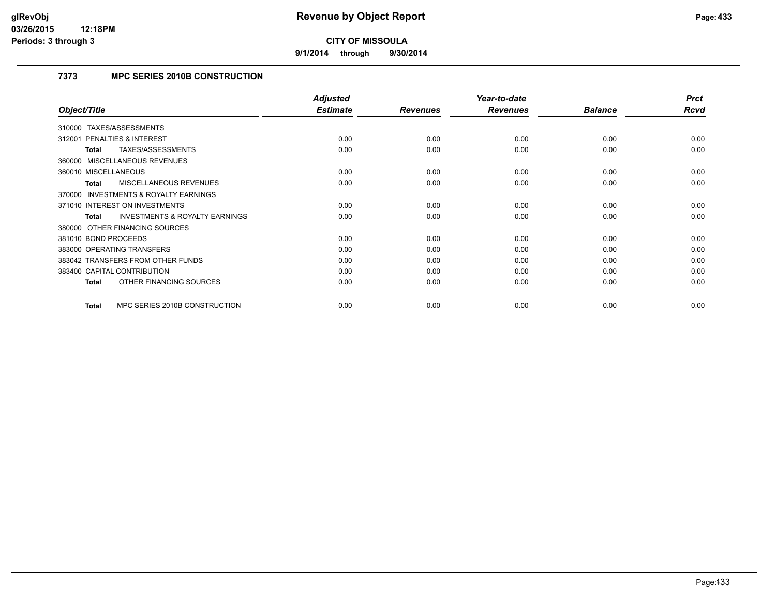**9/1/2014 through 9/30/2014**

# **7373 MPC SERIES 2010B CONSTRUCTION**

|                                                    | <b>Adjusted</b> |                 | Year-to-date    |                | <b>Prct</b> |
|----------------------------------------------------|-----------------|-----------------|-----------------|----------------|-------------|
| Object/Title                                       | <b>Estimate</b> | <b>Revenues</b> | <b>Revenues</b> | <b>Balance</b> | Rcvd        |
| TAXES/ASSESSMENTS<br>310000                        |                 |                 |                 |                |             |
| PENALTIES & INTEREST<br>312001                     | 0.00            | 0.00            | 0.00            | 0.00           | 0.00        |
| TAXES/ASSESSMENTS<br>Total                         | 0.00            | 0.00            | 0.00            | 0.00           | 0.00        |
| 360000 MISCELLANEOUS REVENUES                      |                 |                 |                 |                |             |
| 360010 MISCELLANEOUS                               | 0.00            | 0.00            | 0.00            | 0.00           | 0.00        |
| MISCELLANEOUS REVENUES<br>Total                    | 0.00            | 0.00            | 0.00            | 0.00           | 0.00        |
| 370000 INVESTMENTS & ROYALTY EARNINGS              |                 |                 |                 |                |             |
| 371010 INTEREST ON INVESTMENTS                     | 0.00            | 0.00            | 0.00            | 0.00           | 0.00        |
| <b>INVESTMENTS &amp; ROYALTY EARNINGS</b><br>Total | 0.00            | 0.00            | 0.00            | 0.00           | 0.00        |
| 380000 OTHER FINANCING SOURCES                     |                 |                 |                 |                |             |
| 381010 BOND PROCEEDS                               | 0.00            | 0.00            | 0.00            | 0.00           | 0.00        |
| 383000 OPERATING TRANSFERS                         | 0.00            | 0.00            | 0.00            | 0.00           | 0.00        |
| 383042 TRANSFERS FROM OTHER FUNDS                  | 0.00            | 0.00            | 0.00            | 0.00           | 0.00        |
| 383400 CAPITAL CONTRIBUTION                        | 0.00            | 0.00            | 0.00            | 0.00           | 0.00        |
| OTHER FINANCING SOURCES<br>Total                   | 0.00            | 0.00            | 0.00            | 0.00           | 0.00        |
|                                                    |                 |                 |                 |                |             |
| MPC SERIES 2010B CONSTRUCTION<br><b>Total</b>      | 0.00            | 0.00            | 0.00            | 0.00           | 0.00        |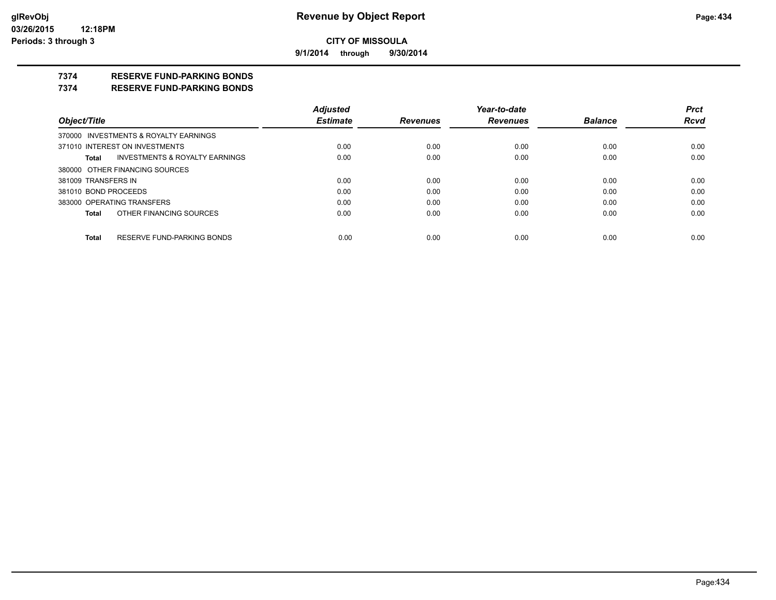**9/1/2014 through 9/30/2014**

# **7374 RESERVE FUND-PARKING BONDS**

#### **7374 RESERVE FUND-PARKING BONDS**

|                                |                                       | <b>Adjusted</b> |                 | Year-to-date    |                | <b>Prct</b> |
|--------------------------------|---------------------------------------|-----------------|-----------------|-----------------|----------------|-------------|
| Object/Title                   |                                       | <b>Estimate</b> | <b>Revenues</b> | <b>Revenues</b> | <b>Balance</b> | <b>Rcvd</b> |
|                                | 370000 INVESTMENTS & ROYALTY EARNINGS |                 |                 |                 |                |             |
| 371010 INTEREST ON INVESTMENTS |                                       | 0.00            | 0.00            | 0.00            | 0.00           | 0.00        |
| Total                          | INVESTMENTS & ROYALTY EARNINGS        | 0.00            | 0.00            | 0.00            | 0.00           | 0.00        |
| 380000 OTHER FINANCING SOURCES |                                       |                 |                 |                 |                |             |
| 381009 TRANSFERS IN            |                                       | 0.00            | 0.00            | 0.00            | 0.00           | 0.00        |
| 381010 BOND PROCEEDS           |                                       | 0.00            | 0.00            | 0.00            | 0.00           | 0.00        |
| 383000 OPERATING TRANSFERS     |                                       | 0.00            | 0.00            | 0.00            | 0.00           | 0.00        |
| Total                          | OTHER FINANCING SOURCES               | 0.00            | 0.00            | 0.00            | 0.00           | 0.00        |
|                                |                                       |                 |                 |                 |                |             |
| <b>Total</b>                   | RESERVE FUND-PARKING BONDS            | 0.00            | 0.00            | 0.00            | 0.00           | 0.00        |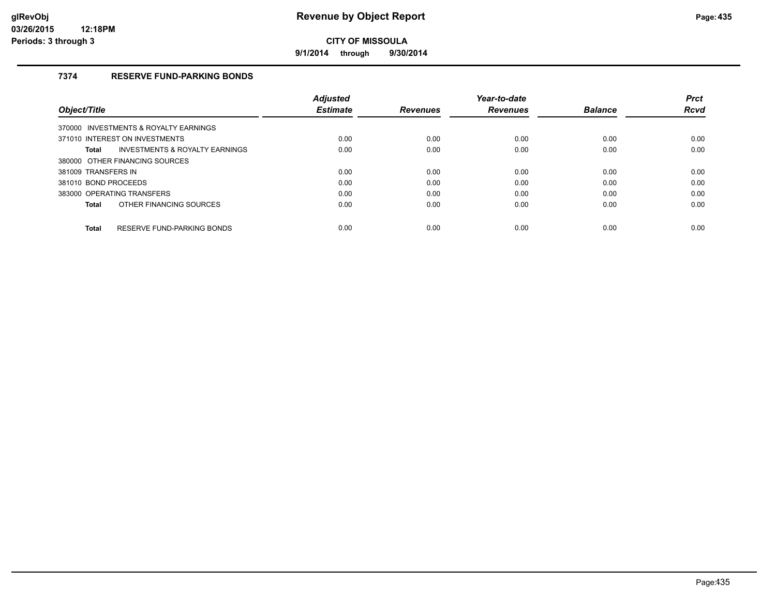**9/1/2014 through 9/30/2014**

# **7374 RESERVE FUND-PARKING BONDS**

|                                                    | <b>Adiusted</b> |                 | Year-to-date    |                | <b>Prct</b> |
|----------------------------------------------------|-----------------|-----------------|-----------------|----------------|-------------|
| Object/Title                                       | <b>Estimate</b> | <b>Revenues</b> | <b>Revenues</b> | <b>Balance</b> | <b>Rcvd</b> |
| 370000 INVESTMENTS & ROYALTY EARNINGS              |                 |                 |                 |                |             |
| 371010 INTEREST ON INVESTMENTS                     | 0.00            | 0.00            | 0.00            | 0.00           | 0.00        |
| <b>INVESTMENTS &amp; ROYALTY EARNINGS</b><br>Total | 0.00            | 0.00            | 0.00            | 0.00           | 0.00        |
| 380000 OTHER FINANCING SOURCES                     |                 |                 |                 |                |             |
| 381009 TRANSFERS IN                                | 0.00            | 0.00            | 0.00            | 0.00           | 0.00        |
| 381010 BOND PROCEEDS                               | 0.00            | 0.00            | 0.00            | 0.00           | 0.00        |
| 383000 OPERATING TRANSFERS                         | 0.00            | 0.00            | 0.00            | 0.00           | 0.00        |
| OTHER FINANCING SOURCES<br>Total                   | 0.00            | 0.00            | 0.00            | 0.00           | 0.00        |
| RESERVE FUND-PARKING BONDS<br><b>Total</b>         | 0.00            | 0.00            | 0.00            | 0.00           | 0.00        |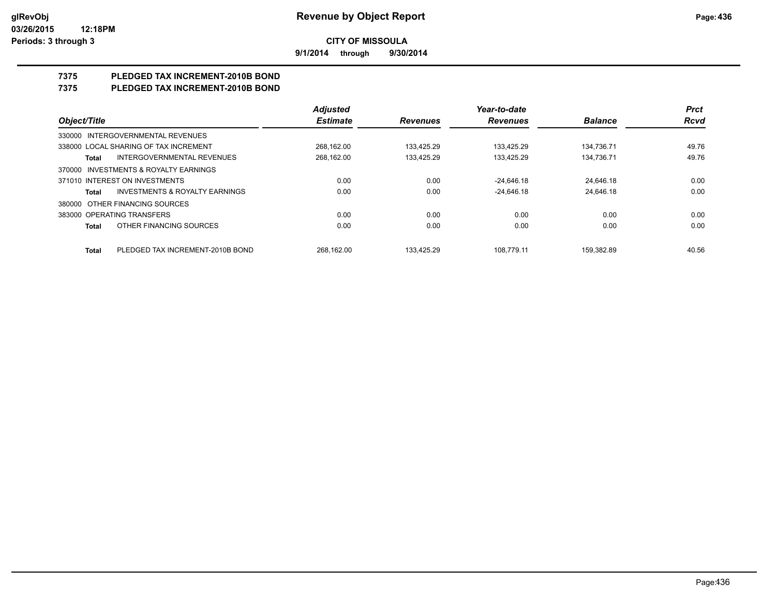**9/1/2014 through 9/30/2014**

# **7375 PLEDGED TAX INCREMENT-2010B BOND**

# **7375 PLEDGED TAX INCREMENT-2010B BOND**

|              |                                           | <b>Adjusted</b> |                 | Year-to-date    |                | <b>Prct</b> |
|--------------|-------------------------------------------|-----------------|-----------------|-----------------|----------------|-------------|
| Object/Title |                                           | <b>Estimate</b> | <b>Revenues</b> | <b>Revenues</b> | <b>Balance</b> | <b>Rcvd</b> |
|              | 330000 INTERGOVERNMENTAL REVENUES         |                 |                 |                 |                |             |
|              | 338000 LOCAL SHARING OF TAX INCREMENT     | 268.162.00      | 133.425.29      | 133.425.29      | 134.736.71     | 49.76       |
| Total        | INTERGOVERNMENTAL REVENUES                | 268.162.00      | 133.425.29      | 133.425.29      | 134.736.71     | 49.76       |
|              | 370000 INVESTMENTS & ROYALTY EARNINGS     |                 |                 |                 |                |             |
|              | 371010 INTEREST ON INVESTMENTS            | 0.00            | 0.00            | $-24.646.18$    | 24.646.18      | 0.00        |
| Total        | <b>INVESTMENTS &amp; ROYALTY EARNINGS</b> | 0.00            | 0.00            | $-24.646.18$    | 24.646.18      | 0.00        |
|              | 380000 OTHER FINANCING SOURCES            |                 |                 |                 |                |             |
|              | 383000 OPERATING TRANSFERS                | 0.00            | 0.00            | 0.00            | 0.00           | 0.00        |
| <b>Total</b> | OTHER FINANCING SOURCES                   | 0.00            | 0.00            | 0.00            | 0.00           | 0.00        |
| <b>Total</b> | PLEDGED TAX INCREMENT-2010B BOND          | 268.162.00      | 133.425.29      | 108.779.11      | 159.382.89     | 40.56       |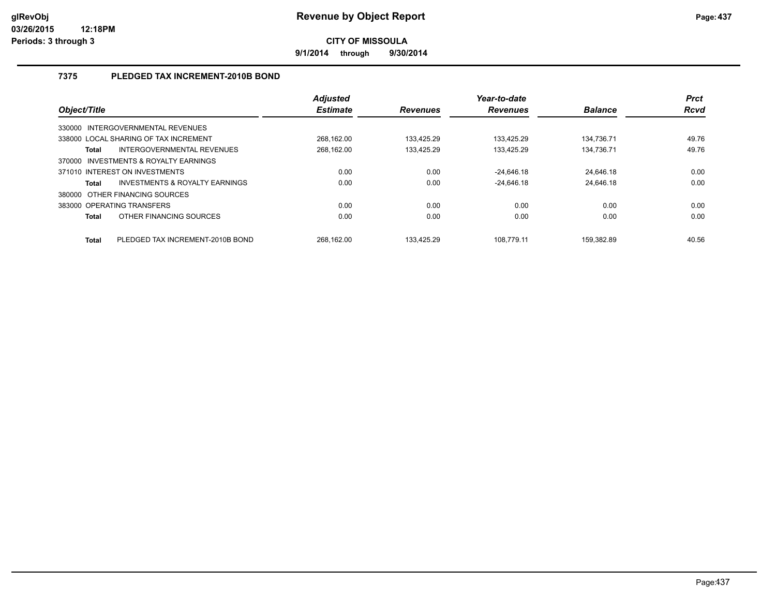**9/1/2014 through 9/30/2014**

# **7375 PLEDGED TAX INCREMENT-2010B BOND**

| Object/Title |                                       | <b>Adjusted</b><br><b>Estimate</b> | <b>Revenues</b> | Year-to-date<br><b>Revenues</b> | <b>Balance</b> | <b>Prct</b><br>Rcvd |
|--------------|---------------------------------------|------------------------------------|-----------------|---------------------------------|----------------|---------------------|
|              | 330000 INTERGOVERNMENTAL REVENUES     |                                    |                 |                                 |                |                     |
|              | 338000 LOCAL SHARING OF TAX INCREMENT | 268.162.00                         | 133.425.29      | 133.425.29                      | 134.736.71     | 49.76               |
| <b>Total</b> | INTERGOVERNMENTAL REVENUES            | 268.162.00                         | 133.425.29      | 133.425.29                      | 134.736.71     | 49.76               |
|              | 370000 INVESTMENTS & ROYALTY EARNINGS |                                    |                 |                                 |                |                     |
|              | 371010 INTEREST ON INVESTMENTS        | 0.00                               | 0.00            | $-24.646.18$                    | 24.646.18      | 0.00                |
| <b>Total</b> | INVESTMENTS & ROYALTY EARNINGS        | 0.00                               | 0.00            | $-24.646.18$                    | 24.646.18      | 0.00                |
| 380000       | OTHER FINANCING SOURCES               |                                    |                 |                                 |                |                     |
|              | 383000 OPERATING TRANSFERS            | 0.00                               | 0.00            | 0.00                            | 0.00           | 0.00                |
| <b>Total</b> | OTHER FINANCING SOURCES               | 0.00                               | 0.00            | 0.00                            | 0.00           | 0.00                |
| <b>Total</b> | PLEDGED TAX INCREMENT-2010B BOND      | 268.162.00                         | 133.425.29      | 108.779.11                      | 159.382.89     | 40.56               |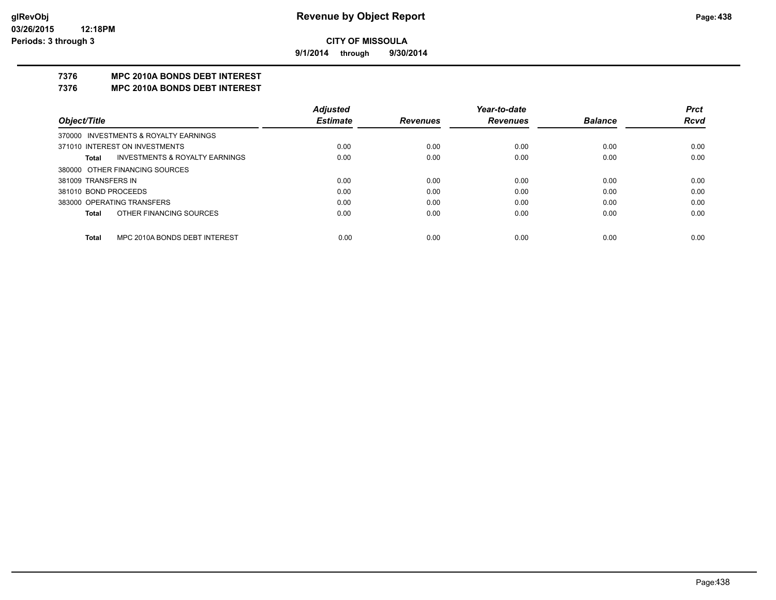**9/1/2014 through 9/30/2014**

# **7376 MPC 2010A BONDS DEBT INTEREST**

#### **7376 MPC 2010A BONDS DEBT INTEREST**

|                      |                                           | <b>Adjusted</b> |                 | Year-to-date    |                | <b>Prct</b> |
|----------------------|-------------------------------------------|-----------------|-----------------|-----------------|----------------|-------------|
| Object/Title         |                                           | <b>Estimate</b> | <b>Revenues</b> | <b>Revenues</b> | <b>Balance</b> | <b>Rcvd</b> |
|                      | 370000 INVESTMENTS & ROYALTY EARNINGS     |                 |                 |                 |                |             |
|                      | 371010 INTEREST ON INVESTMENTS            | 0.00            | 0.00            | 0.00            | 0.00           | 0.00        |
| Total                | <b>INVESTMENTS &amp; ROYALTY EARNINGS</b> | 0.00            | 0.00            | 0.00            | 0.00           | 0.00        |
|                      | 380000 OTHER FINANCING SOURCES            |                 |                 |                 |                |             |
| 381009 TRANSFERS IN  |                                           | 0.00            | 0.00            | 0.00            | 0.00           | 0.00        |
| 381010 BOND PROCEEDS |                                           | 0.00            | 0.00            | 0.00            | 0.00           | 0.00        |
|                      | 383000 OPERATING TRANSFERS                | 0.00            | 0.00            | 0.00            | 0.00           | 0.00        |
| Total                | OTHER FINANCING SOURCES                   | 0.00            | 0.00            | 0.00            | 0.00           | 0.00        |
|                      |                                           |                 |                 |                 |                |             |
| Total                | MPC 2010A BONDS DEBT INTEREST             | 0.00            | 0.00            | 0.00            | 0.00           | 0.00        |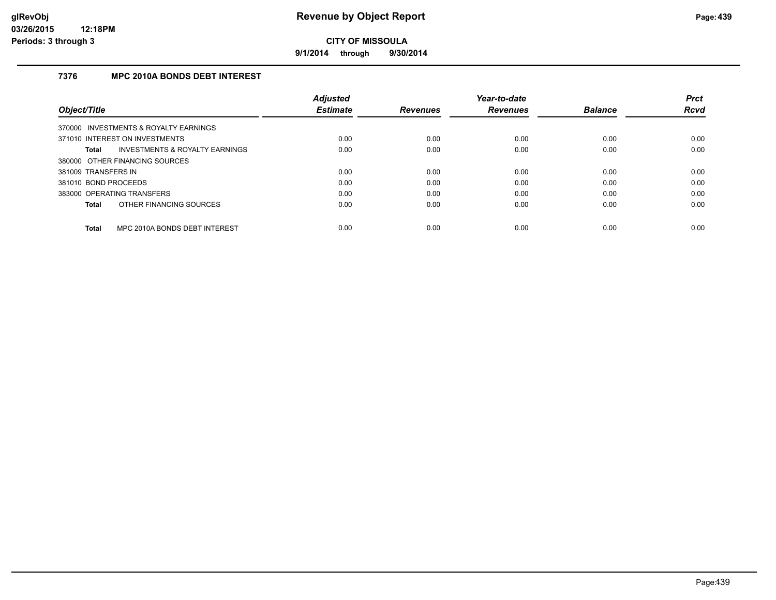**9/1/2014 through 9/30/2014**

# **7376 MPC 2010A BONDS DEBT INTEREST**

|                                               | <b>Adjusted</b> |                 | Year-to-date    |                | <b>Prct</b> |
|-----------------------------------------------|-----------------|-----------------|-----------------|----------------|-------------|
| Object/Title                                  | <b>Estimate</b> | <b>Revenues</b> | <b>Revenues</b> | <b>Balance</b> | <b>Rcvd</b> |
| 370000 INVESTMENTS & ROYALTY EARNINGS         |                 |                 |                 |                |             |
| 371010 INTEREST ON INVESTMENTS                | 0.00            | 0.00            | 0.00            | 0.00           | 0.00        |
| INVESTMENTS & ROYALTY EARNINGS<br>Total       | 0.00            | 0.00            | 0.00            | 0.00           | 0.00        |
| 380000 OTHER FINANCING SOURCES                |                 |                 |                 |                |             |
| 381009 TRANSFERS IN                           | 0.00            | 0.00            | 0.00            | 0.00           | 0.00        |
| 381010 BOND PROCEEDS                          | 0.00            | 0.00            | 0.00            | 0.00           | 0.00        |
| 383000 OPERATING TRANSFERS                    | 0.00            | 0.00            | 0.00            | 0.00           | 0.00        |
| OTHER FINANCING SOURCES<br>Total              | 0.00            | 0.00            | 0.00            | 0.00           | 0.00        |
| MPC 2010A BONDS DEBT INTEREST<br><b>Total</b> | 0.00            | 0.00            | 0.00            | 0.00           | 0.00        |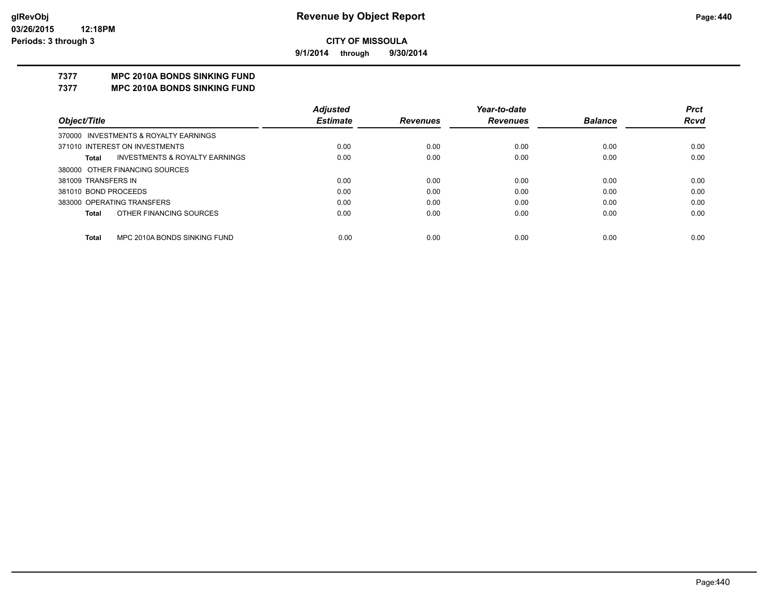**9/1/2014 through 9/30/2014**

# **7377 MPC 2010A BONDS SINKING FUND**

**7377 MPC 2010A BONDS SINKING FUND**

|                                                           | <b>Adjusted</b> |                 | Year-to-date    |                | <b>Prct</b> |
|-----------------------------------------------------------|-----------------|-----------------|-----------------|----------------|-------------|
| Object/Title                                              | <b>Estimate</b> | <b>Revenues</b> | <b>Revenues</b> | <b>Balance</b> | <b>Rcvd</b> |
| 370000 INVESTMENTS & ROYALTY EARNINGS                     |                 |                 |                 |                |             |
| 371010 INTEREST ON INVESTMENTS                            | 0.00            | 0.00            | 0.00            | 0.00           | 0.00        |
| <b>INVESTMENTS &amp; ROYALTY EARNINGS</b><br><b>Total</b> | 0.00            | 0.00            | 0.00            | 0.00           | 0.00        |
| 380000 OTHER FINANCING SOURCES                            |                 |                 |                 |                |             |
| 381009 TRANSFERS IN                                       | 0.00            | 0.00            | 0.00            | 0.00           | 0.00        |
| 381010 BOND PROCEEDS                                      | 0.00            | 0.00            | 0.00            | 0.00           | 0.00        |
| 383000 OPERATING TRANSFERS                                | 0.00            | 0.00            | 0.00            | 0.00           | 0.00        |
| OTHER FINANCING SOURCES<br><b>Total</b>                   | 0.00            | 0.00            | 0.00            | 0.00           | 0.00        |
| MPC 2010A BONDS SINKING FUND<br><b>Total</b>              | 0.00            | 0.00            | 0.00            | 0.00           | 0.00        |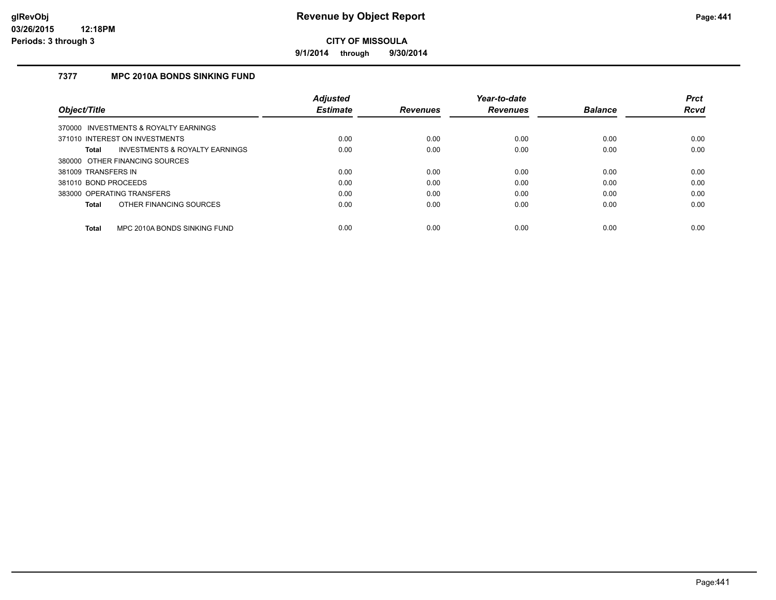**9/1/2014 through 9/30/2014**

# **7377 MPC 2010A BONDS SINKING FUND**

|                                                | <b>Adiusted</b> |                 | Year-to-date    |                | <b>Prct</b> |
|------------------------------------------------|-----------------|-----------------|-----------------|----------------|-------------|
| Object/Title                                   | <b>Estimate</b> | <b>Revenues</b> | <b>Revenues</b> | <b>Balance</b> | <b>Rcvd</b> |
| 370000 INVESTMENTS & ROYALTY EARNINGS          |                 |                 |                 |                |             |
| 371010 INTEREST ON INVESTMENTS                 | 0.00            | 0.00            | 0.00            | 0.00           | 0.00        |
| INVESTMENTS & ROYALTY EARNINGS<br><b>Total</b> | 0.00            | 0.00            | 0.00            | 0.00           | 0.00        |
| 380000 OTHER FINANCING SOURCES                 |                 |                 |                 |                |             |
| 381009 TRANSFERS IN                            | 0.00            | 0.00            | 0.00            | 0.00           | 0.00        |
| 381010 BOND PROCEEDS                           | 0.00            | 0.00            | 0.00            | 0.00           | 0.00        |
| 383000 OPERATING TRANSFERS                     | 0.00            | 0.00            | 0.00            | 0.00           | 0.00        |
| OTHER FINANCING SOURCES<br><b>Total</b>        | 0.00            | 0.00            | 0.00            | 0.00           | 0.00        |
|                                                |                 |                 |                 |                |             |
| MPC 2010A BONDS SINKING FUND<br><b>Total</b>   | 0.00            | 0.00            | 0.00            | 0.00           | 0.00        |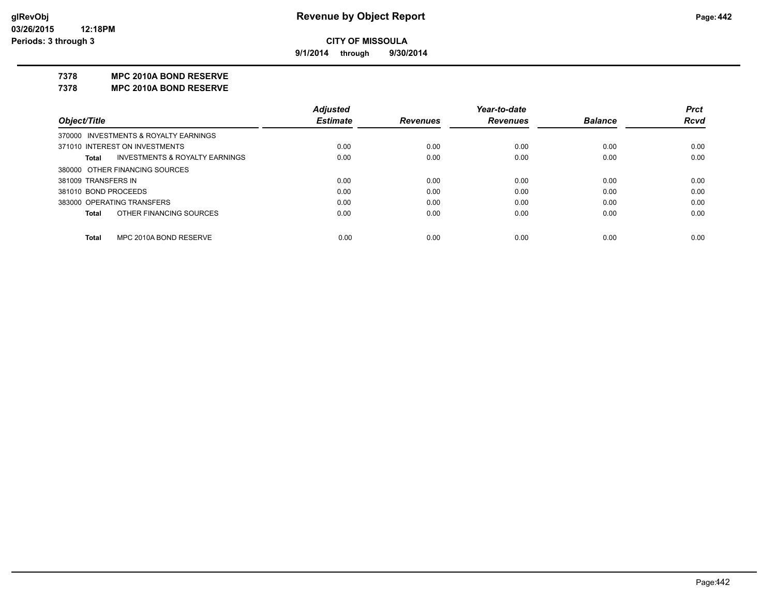**9/1/2014 through 9/30/2014**

#### **7378 MPC 2010A BOND RESERVE**

**7378 MPC 2010A BOND RESERVE**

|                                                           | <b>Adjusted</b> |                 | Year-to-date    |                | <b>Prct</b> |
|-----------------------------------------------------------|-----------------|-----------------|-----------------|----------------|-------------|
| Object/Title                                              | <b>Estimate</b> | <b>Revenues</b> | <b>Revenues</b> | <b>Balance</b> | <b>Rcvd</b> |
| 370000 INVESTMENTS & ROYALTY EARNINGS                     |                 |                 |                 |                |             |
| 371010 INTEREST ON INVESTMENTS                            | 0.00            | 0.00            | 0.00            | 0.00           | 0.00        |
| <b>INVESTMENTS &amp; ROYALTY EARNINGS</b><br><b>Total</b> | 0.00            | 0.00            | 0.00            | 0.00           | 0.00        |
| 380000 OTHER FINANCING SOURCES                            |                 |                 |                 |                |             |
| 381009 TRANSFERS IN                                       | 0.00            | 0.00            | 0.00            | 0.00           | 0.00        |
| 381010 BOND PROCEEDS                                      | 0.00            | 0.00            | 0.00            | 0.00           | 0.00        |
| 383000 OPERATING TRANSFERS                                | 0.00            | 0.00            | 0.00            | 0.00           | 0.00        |
| OTHER FINANCING SOURCES<br><b>Total</b>                   | 0.00            | 0.00            | 0.00            | 0.00           | 0.00        |
| MPC 2010A BOND RESERVE<br><b>Total</b>                    | 0.00            | 0.00            | 0.00            | 0.00           | 0.00        |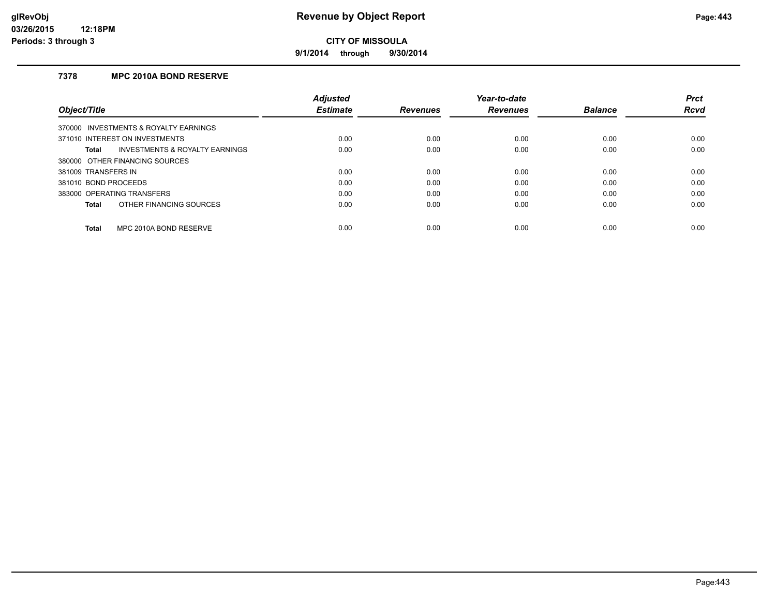**9/1/2014 through 9/30/2014**

# **7378 MPC 2010A BOND RESERVE**

|                                                | <b>Adjusted</b> |                 | Year-to-date    |                | <b>Prct</b> |
|------------------------------------------------|-----------------|-----------------|-----------------|----------------|-------------|
| Object/Title                                   | <b>Estimate</b> | <b>Revenues</b> | <b>Revenues</b> | <b>Balance</b> | <b>Rcvd</b> |
| 370000 INVESTMENTS & ROYALTY EARNINGS          |                 |                 |                 |                |             |
| 371010 INTEREST ON INVESTMENTS                 | 0.00            | 0.00            | 0.00            | 0.00           | 0.00        |
| INVESTMENTS & ROYALTY EARNINGS<br><b>Total</b> | 0.00            | 0.00            | 0.00            | 0.00           | 0.00        |
| 380000 OTHER FINANCING SOURCES                 |                 |                 |                 |                |             |
| 381009 TRANSFERS IN                            | 0.00            | 0.00            | 0.00            | 0.00           | 0.00        |
| 381010 BOND PROCEEDS                           | 0.00            | 0.00            | 0.00            | 0.00           | 0.00        |
| 383000 OPERATING TRANSFERS                     | 0.00            | 0.00            | 0.00            | 0.00           | 0.00        |
| OTHER FINANCING SOURCES<br><b>Total</b>        | 0.00            | 0.00            | 0.00            | 0.00           | 0.00        |
| MPC 2010A BOND RESERVE<br><b>Total</b>         | 0.00            | 0.00            | 0.00            | 0.00           | 0.00        |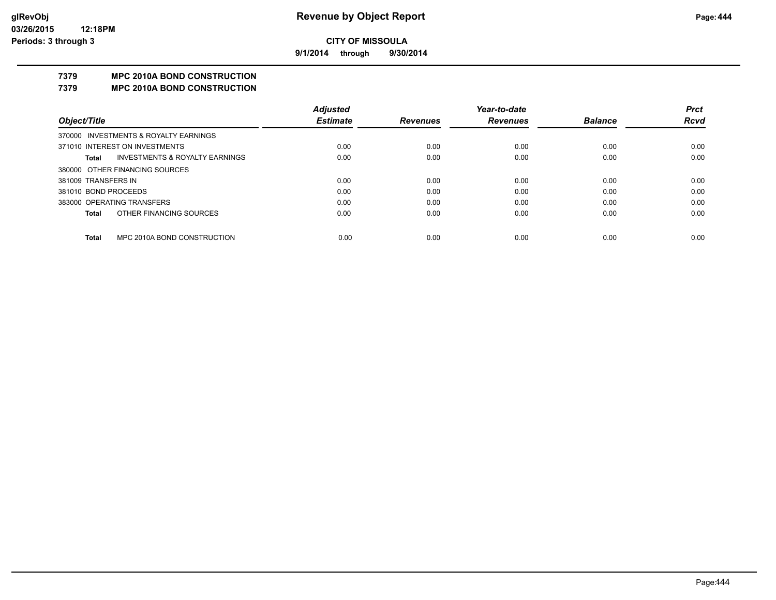**9/1/2014 through 9/30/2014**

# **7379 MPC 2010A BOND CONSTRUCTION**

#### **7379 MPC 2010A BOND CONSTRUCTION**

|                      |                                       | <b>Adjusted</b> |                 | Year-to-date    |                | <b>Prct</b> |
|----------------------|---------------------------------------|-----------------|-----------------|-----------------|----------------|-------------|
| Object/Title         |                                       | <b>Estimate</b> | <b>Revenues</b> | <b>Revenues</b> | <b>Balance</b> | <b>Rcvd</b> |
|                      | 370000 INVESTMENTS & ROYALTY EARNINGS |                 |                 |                 |                |             |
|                      | 371010 INTEREST ON INVESTMENTS        | 0.00            | 0.00            | 0.00            | 0.00           | 0.00        |
| Total                | INVESTMENTS & ROYALTY EARNINGS        | 0.00            | 0.00            | 0.00            | 0.00           | 0.00        |
|                      | 380000 OTHER FINANCING SOURCES        |                 |                 |                 |                |             |
| 381009 TRANSFERS IN  |                                       | 0.00            | 0.00            | 0.00            | 0.00           | 0.00        |
| 381010 BOND PROCEEDS |                                       | 0.00            | 0.00            | 0.00            | 0.00           | 0.00        |
|                      | 383000 OPERATING TRANSFERS            | 0.00            | 0.00            | 0.00            | 0.00           | 0.00        |
| <b>Total</b>         | OTHER FINANCING SOURCES               | 0.00            | 0.00            | 0.00            | 0.00           | 0.00        |
|                      |                                       |                 |                 |                 |                |             |
| <b>Total</b>         | MPC 2010A BOND CONSTRUCTION           | 0.00            | 0.00            | 0.00            | 0.00           | 0.00        |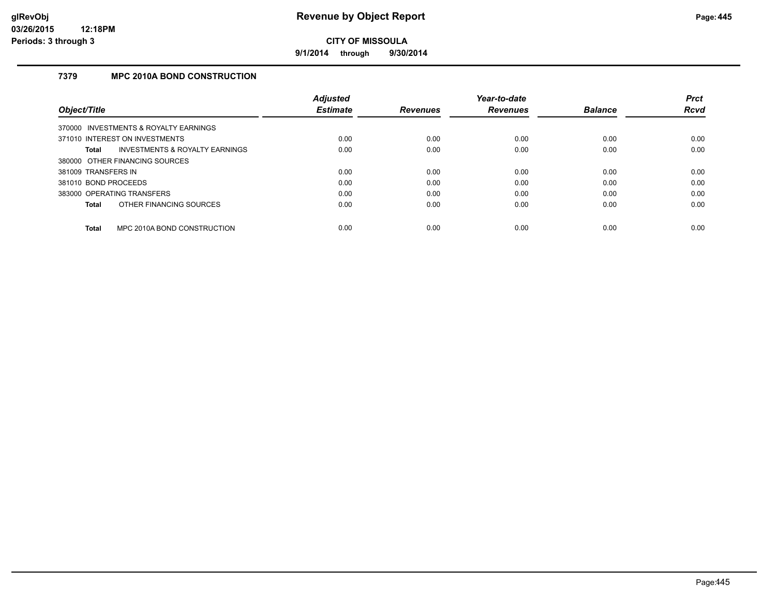**9/1/2014 through 9/30/2014**

# **7379 MPC 2010A BOND CONSTRUCTION**

|                      |                                       | <b>Adjusted</b> |                 | Year-to-date    |                | <b>Prct</b> |
|----------------------|---------------------------------------|-----------------|-----------------|-----------------|----------------|-------------|
| Object/Title         |                                       | <b>Estimate</b> | <b>Revenues</b> | <b>Revenues</b> | <b>Balance</b> | <b>Rcvd</b> |
|                      | 370000 INVESTMENTS & ROYALTY EARNINGS |                 |                 |                 |                |             |
|                      | 371010 INTEREST ON INVESTMENTS        | 0.00            | 0.00            | 0.00            | 0.00           | 0.00        |
| <b>Total</b>         | INVESTMENTS & ROYALTY EARNINGS        | 0.00            | 0.00            | 0.00            | 0.00           | 0.00        |
|                      | 380000 OTHER FINANCING SOURCES        |                 |                 |                 |                |             |
| 381009 TRANSFERS IN  |                                       | 0.00            | 0.00            | 0.00            | 0.00           | 0.00        |
| 381010 BOND PROCEEDS |                                       | 0.00            | 0.00            | 0.00            | 0.00           | 0.00        |
|                      | 383000 OPERATING TRANSFERS            | 0.00            | 0.00            | 0.00            | 0.00           | 0.00        |
| <b>Total</b>         | OTHER FINANCING SOURCES               | 0.00            | 0.00            | 0.00            | 0.00           | 0.00        |
| <b>Total</b>         | MPC 2010A BOND CONSTRUCTION           | 0.00            | 0.00            | 0.00            | 0.00           | 0.00        |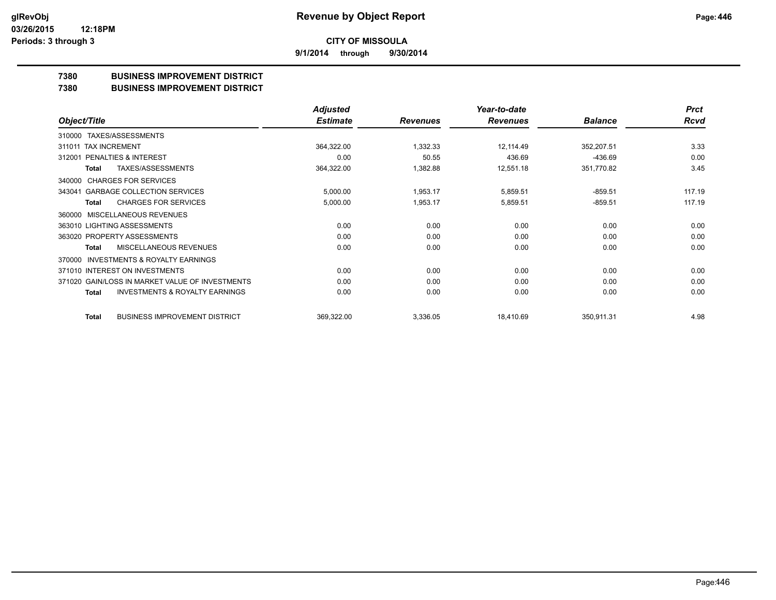**9/1/2014 through 9/30/2014**

# **7380 BUSINESS IMPROVEMENT DISTRICT**

#### **7380 BUSINESS IMPROVEMENT DISTRICT**

|                                                     | <b>Adjusted</b> |                 | Year-to-date    |                | <b>Prct</b> |
|-----------------------------------------------------|-----------------|-----------------|-----------------|----------------|-------------|
| Object/Title                                        | <b>Estimate</b> | <b>Revenues</b> | <b>Revenues</b> | <b>Balance</b> | Rcvd        |
| TAXES/ASSESSMENTS<br>310000                         |                 |                 |                 |                |             |
| 311011 TAX INCREMENT                                | 364,322.00      | 1,332.33        | 12,114.49       | 352,207.51     | 3.33        |
| <b>PENALTIES &amp; INTEREST</b><br>312001           | 0.00            | 50.55           | 436.69          | $-436.69$      | 0.00        |
| <b>TAXES/ASSESSMENTS</b><br><b>Total</b>            | 364,322.00      | 1,382.88        | 12,551.18       | 351,770.82     | 3.45        |
| <b>CHARGES FOR SERVICES</b><br>340000               |                 |                 |                 |                |             |
| <b>GARBAGE COLLECTION SERVICES</b><br>343041        | 5,000.00        | 1,953.17        | 5,859.51        | $-859.51$      | 117.19      |
| <b>CHARGES FOR SERVICES</b><br><b>Total</b>         | 5,000.00        | 1,953.17        | 5,859.51        | $-859.51$      | 117.19      |
| <b>MISCELLANEOUS REVENUES</b><br>360000             |                 |                 |                 |                |             |
| 363010 LIGHTING ASSESSMENTS                         | 0.00            | 0.00            | 0.00            | 0.00           | 0.00        |
| 363020 PROPERTY ASSESSMENTS                         | 0.00            | 0.00            | 0.00            | 0.00           | 0.00        |
| MISCELLANEOUS REVENUES<br>Total                     | 0.00            | 0.00            | 0.00            | 0.00           | 0.00        |
| <b>INVESTMENTS &amp; ROYALTY EARNINGS</b><br>370000 |                 |                 |                 |                |             |
| 371010 INTEREST ON INVESTMENTS                      | 0.00            | 0.00            | 0.00            | 0.00           | 0.00        |
| 371020 GAIN/LOSS IN MARKET VALUE OF INVESTMENTS     | 0.00            | 0.00            | 0.00            | 0.00           | 0.00        |
| <b>INVESTMENTS &amp; ROYALTY EARNINGS</b><br>Total  | 0.00            | 0.00            | 0.00            | 0.00           | 0.00        |
| <b>BUSINESS IMPROVEMENT DISTRICT</b><br>Total       | 369,322.00      | 3,336.05        | 18,410.69       | 350,911.31     | 4.98        |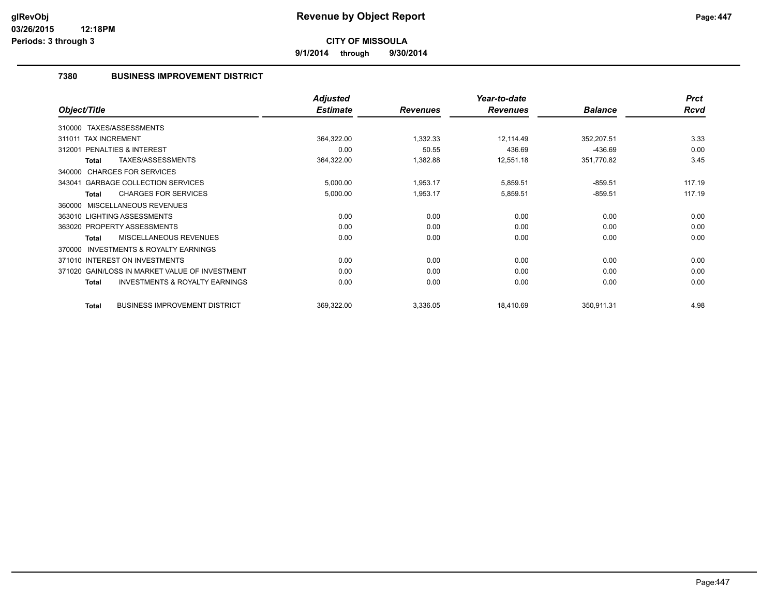**9/1/2014 through 9/30/2014**

# **7380 BUSINESS IMPROVEMENT DISTRICT**

|                                                    | <b>Adjusted</b> |                 | Year-to-date    |                | <b>Prct</b> |
|----------------------------------------------------|-----------------|-----------------|-----------------|----------------|-------------|
| Object/Title                                       | <b>Estimate</b> | <b>Revenues</b> | <b>Revenues</b> | <b>Balance</b> | Rcvd        |
| 310000 TAXES/ASSESSMENTS                           |                 |                 |                 |                |             |
| 311011 TAX INCREMENT                               | 364,322.00      | 1,332.33        | 12,114.49       | 352,207.51     | 3.33        |
| PENALTIES & INTEREST<br>312001                     | 0.00            | 50.55           | 436.69          | -436.69        | 0.00        |
| TAXES/ASSESSMENTS<br><b>Total</b>                  | 364,322.00      | 1,382.88        | 12,551.18       | 351,770.82     | 3.45        |
| 340000 CHARGES FOR SERVICES                        |                 |                 |                 |                |             |
| 343041 GARBAGE COLLECTION SERVICES                 | 5,000.00        | 1,953.17        | 5,859.51        | $-859.51$      | 117.19      |
| <b>CHARGES FOR SERVICES</b><br><b>Total</b>        | 5,000.00        | 1,953.17        | 5,859.51        | $-859.51$      | 117.19      |
| MISCELLANEOUS REVENUES<br>360000                   |                 |                 |                 |                |             |
| 363010 LIGHTING ASSESSMENTS                        | 0.00            | 0.00            | 0.00            | 0.00           | 0.00        |
| 363020 PROPERTY ASSESSMENTS                        | 0.00            | 0.00            | 0.00            | 0.00           | 0.00        |
| <b>MISCELLANEOUS REVENUES</b><br><b>Total</b>      | 0.00            | 0.00            | 0.00            | 0.00           | 0.00        |
| INVESTMENTS & ROYALTY EARNINGS<br>370000           |                 |                 |                 |                |             |
| 371010 INTEREST ON INVESTMENTS                     | 0.00            | 0.00            | 0.00            | 0.00           | 0.00        |
| 371020 GAIN/LOSS IN MARKET VALUE OF INVESTMENT     | 0.00            | 0.00            | 0.00            | 0.00           | 0.00        |
| <b>INVESTMENTS &amp; ROYALTY EARNINGS</b><br>Total | 0.00            | 0.00            | 0.00            | 0.00           | 0.00        |
| <b>BUSINESS IMPROVEMENT DISTRICT</b><br>Total      | 369,322.00      | 3,336.05        | 18,410.69       | 350,911.31     | 4.98        |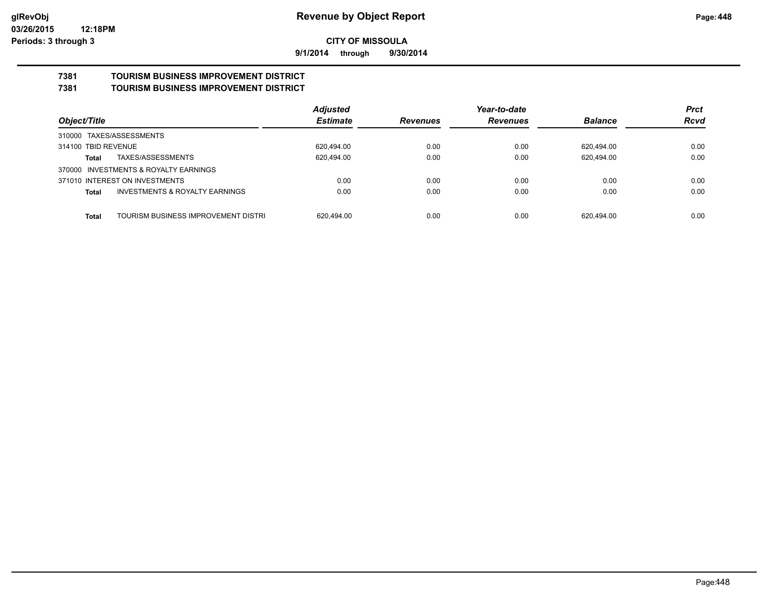**9/1/2014 through 9/30/2014**

#### **7381 TOURISM BUSINESS IMPROVEMENT DISTRICT 7381 TOURISM BUSINESS IMPROVEMENT DISTRICT**

|                                                     | <b>Adjusted</b> |                 | Year-to-date    |                | <b>Prct</b> |
|-----------------------------------------------------|-----------------|-----------------|-----------------|----------------|-------------|
| Object/Title                                        | <b>Estimate</b> | <b>Revenues</b> | <b>Revenues</b> | <b>Balance</b> | <b>Rcvd</b> |
| 310000 TAXES/ASSESSMENTS                            |                 |                 |                 |                |             |
| 314100 TBID REVENUE                                 | 620.494.00      | 0.00            | 0.00            | 620.494.00     | 0.00        |
| TAXES/ASSESSMENTS<br>Total                          | 620.494.00      | 0.00            | 0.00            | 620.494.00     | 0.00        |
| 370000 INVESTMENTS & ROYALTY EARNINGS               |                 |                 |                 |                |             |
| 371010 INTEREST ON INVESTMENTS                      | 0.00            | 0.00            | 0.00            | 0.00           | 0.00        |
| <b>INVESTMENTS &amp; ROYALTY EARNINGS</b><br>Total  | 0.00            | 0.00            | 0.00            | 0.00           | 0.00        |
|                                                     |                 |                 |                 |                |             |
| TOURISM BUSINESS IMPROVEMENT DISTRI<br><b>Total</b> | 620.494.00      | 0.00            | 0.00            | 620.494.00     | 0.00        |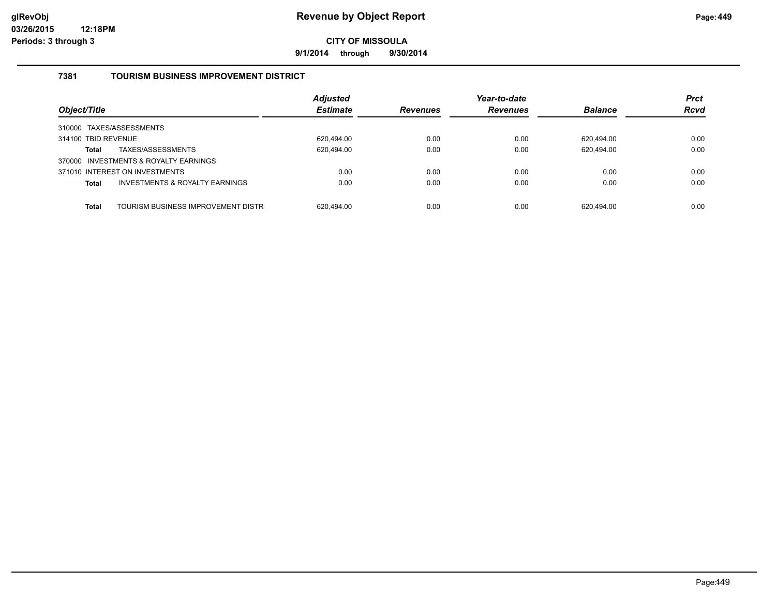**9/1/2014 through 9/30/2014**

# **7381 TOURISM BUSINESS IMPROVEMENT DISTRICT**

| Object/Title                                              | <b>Adjusted</b><br><b>Estimate</b> | <b>Revenues</b> | Year-to-date<br><b>Revenues</b> | <b>Balance</b> | <b>Prct</b><br><b>Rcvd</b> |
|-----------------------------------------------------------|------------------------------------|-----------------|---------------------------------|----------------|----------------------------|
| 310000 TAXES/ASSESSMENTS                                  |                                    |                 |                                 |                |                            |
| 314100 TBID REVENUE                                       | 620.494.00                         | 0.00            | 0.00                            | 620.494.00     | 0.00                       |
| TAXES/ASSESSMENTS<br><b>Total</b>                         | 620,494.00                         | 0.00            | 0.00                            | 620,494.00     | 0.00                       |
| 370000 INVESTMENTS & ROYALTY EARNINGS                     |                                    |                 |                                 |                |                            |
| 371010 INTEREST ON INVESTMENTS                            | 0.00                               | 0.00            | 0.00                            | 0.00           | 0.00                       |
| <b>INVESTMENTS &amp; ROYALTY EARNINGS</b><br><b>Total</b> | 0.00                               | 0.00            | 0.00                            | 0.00           | 0.00                       |
|                                                           |                                    |                 |                                 |                |                            |
| TOURISM BUSINESS IMPROVEMENT DISTR<br><b>Total</b>        | 620.494.00                         | 0.00            | 0.00                            | 620.494.00     | 0.00                       |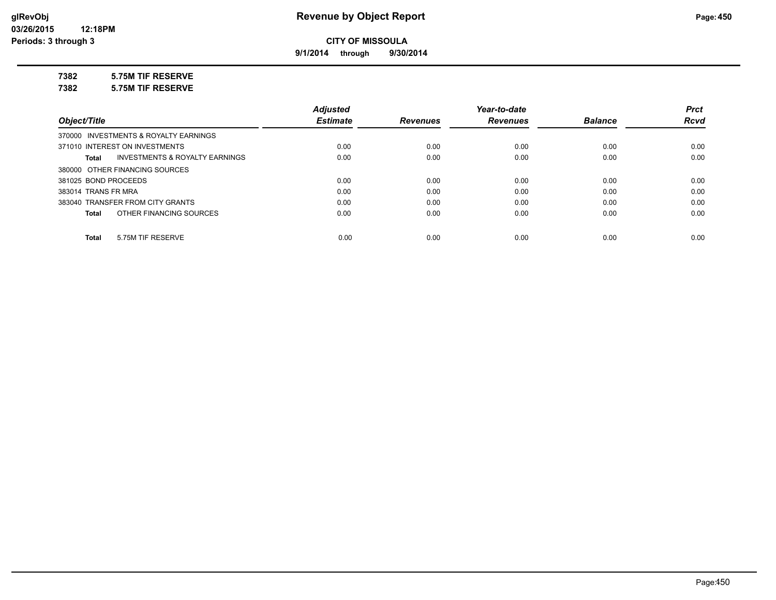**9/1/2014 through 9/30/2014**

# **7382 5.75M TIF RESERVE**

**7382 5.75M TIF RESERVE**

|                                         | <b>Adjusted</b> |                 | Year-to-date    |                | <b>Prct</b><br><b>Rcvd</b> |
|-----------------------------------------|-----------------|-----------------|-----------------|----------------|----------------------------|
| Object/Title                            | <b>Estimate</b> | <b>Revenues</b> | <b>Revenues</b> | <b>Balance</b> |                            |
| 370000 INVESTMENTS & ROYALTY EARNINGS   |                 |                 |                 |                |                            |
| 371010 INTEREST ON INVESTMENTS          | 0.00            | 0.00            | 0.00            | 0.00           | 0.00                       |
| INVESTMENTS & ROYALTY EARNINGS<br>Total | 0.00            | 0.00            | 0.00            | 0.00           | 0.00                       |
| 380000 OTHER FINANCING SOURCES          |                 |                 |                 |                |                            |
| 381025 BOND PROCEEDS                    | 0.00            | 0.00            | 0.00            | 0.00           | 0.00                       |
| 383014 TRANS FR MRA                     | 0.00            | 0.00            | 0.00            | 0.00           | 0.00                       |
| 383040 TRANSFER FROM CITY GRANTS        | 0.00            | 0.00            | 0.00            | 0.00           | 0.00                       |
| OTHER FINANCING SOURCES<br>Total        | 0.00            | 0.00            | 0.00            | 0.00           | 0.00                       |
|                                         |                 |                 |                 |                |                            |
| 5.75M TIF RESERVE<br><b>Total</b>       | 0.00            | 0.00            | 0.00            | 0.00           | 0.00                       |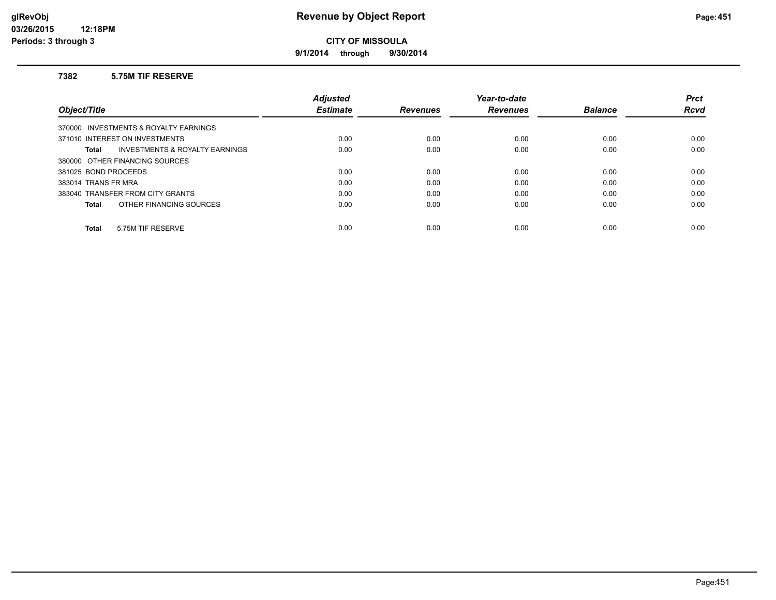**9/1/2014 through 9/30/2014**

#### **7382 5.75M TIF RESERVE**

|                                                    | <b>Adiusted</b> |                 | Year-to-date    |                | <b>Prct</b> |
|----------------------------------------------------|-----------------|-----------------|-----------------|----------------|-------------|
| Object/Title                                       | <b>Estimate</b> | <b>Revenues</b> | <b>Revenues</b> | <b>Balance</b> | <b>Rcvd</b> |
| 370000 INVESTMENTS & ROYALTY EARNINGS              |                 |                 |                 |                |             |
| 371010 INTEREST ON INVESTMENTS                     | 0.00            | 0.00            | 0.00            | 0.00           | 0.00        |
| <b>INVESTMENTS &amp; ROYALTY EARNINGS</b><br>Total | 0.00            | 0.00            | 0.00            | 0.00           | 0.00        |
| 380000 OTHER FINANCING SOURCES                     |                 |                 |                 |                |             |
| 381025 BOND PROCEEDS                               | 0.00            | 0.00            | 0.00            | 0.00           | 0.00        |
| 383014 TRANS FR MRA                                | 0.00            | 0.00            | 0.00            | 0.00           | 0.00        |
| 383040 TRANSFER FROM CITY GRANTS                   | 0.00            | 0.00            | 0.00            | 0.00           | 0.00        |
| OTHER FINANCING SOURCES<br>Total                   | 0.00            | 0.00            | 0.00            | 0.00           | 0.00        |
|                                                    |                 |                 |                 |                |             |
| 5.75M TIF RESERVE<br><b>Total</b>                  | 0.00            | 0.00            | 0.00            | 0.00           | 0.00        |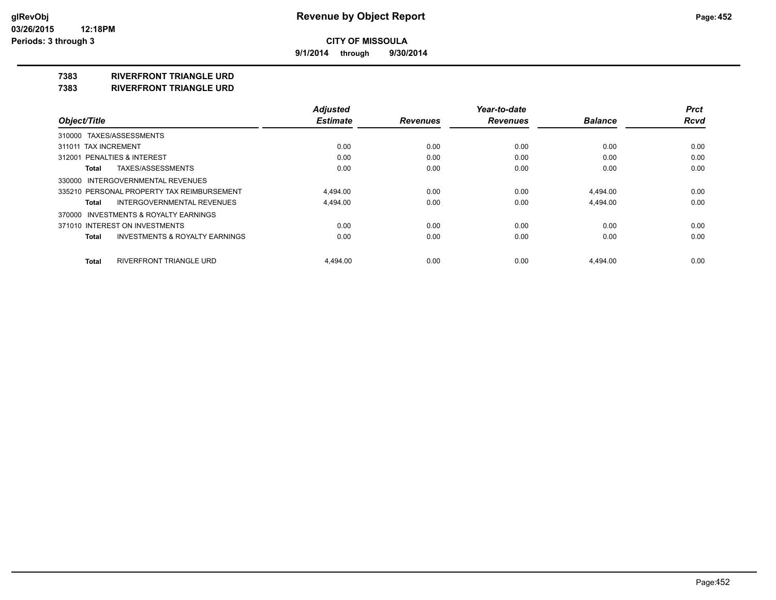**9/1/2014 through 9/30/2014**

## **7383 RIVERFRONT TRIANGLE URD**

**7383 RIVERFRONT TRIANGLE URD**

|                                            | <b>Adjusted</b> |                 | Year-to-date    |                | <b>Prct</b> |
|--------------------------------------------|-----------------|-----------------|-----------------|----------------|-------------|
| Object/Title                               | <b>Estimate</b> | <b>Revenues</b> | <b>Revenues</b> | <b>Balance</b> | <b>Rcvd</b> |
| 310000 TAXES/ASSESSMENTS                   |                 |                 |                 |                |             |
| 311011 TAX INCREMENT                       | 0.00            | 0.00            | 0.00            | 0.00           | 0.00        |
| 312001 PENALTIES & INTEREST                | 0.00            | 0.00            | 0.00            | 0.00           | 0.00        |
| TAXES/ASSESSMENTS<br>Total                 | 0.00            | 0.00            | 0.00            | 0.00           | 0.00        |
| 330000 INTERGOVERNMENTAL REVENUES          |                 |                 |                 |                |             |
| 335210 PERSONAL PROPERTY TAX REIMBURSEMENT | 4.494.00        | 0.00            | 0.00            | 4.494.00       | 0.00        |
| INTERGOVERNMENTAL REVENUES<br>Total        | 4,494.00        | 0.00            | 0.00            | 4,494.00       | 0.00        |
| 370000 INVESTMENTS & ROYALTY EARNINGS      |                 |                 |                 |                |             |
| 371010 INTEREST ON INVESTMENTS             | 0.00            | 0.00            | 0.00            | 0.00           | 0.00        |
| INVESTMENTS & ROYALTY EARNINGS<br>Total    | 0.00            | 0.00            | 0.00            | 0.00           | 0.00        |
| RIVERFRONT TRIANGLE URD<br>Total           | 4.494.00        | 0.00            | 0.00            | 4.494.00       | 0.00        |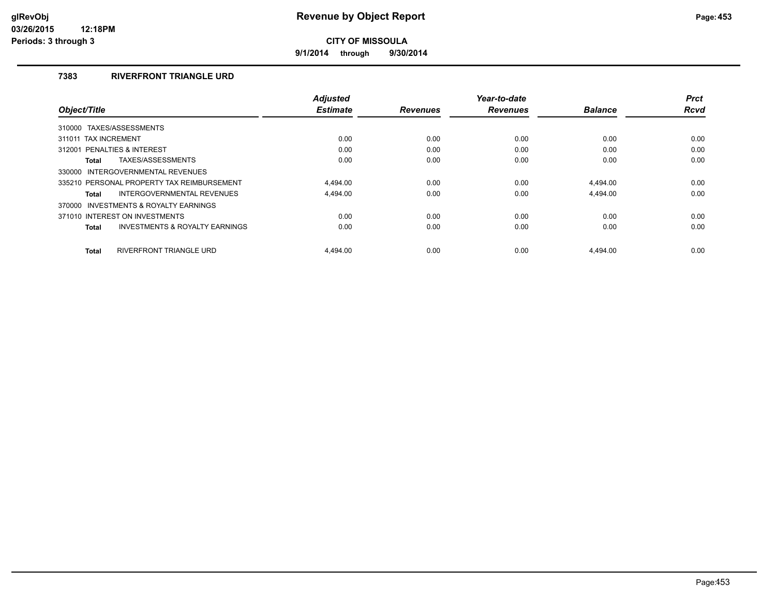**9/1/2014 through 9/30/2014**

# **7383 RIVERFRONT TRIANGLE URD**

| Object/Title                                              | <b>Adjusted</b><br><b>Estimate</b> | <b>Revenues</b> | Year-to-date<br><b>Revenues</b> | <b>Balance</b> | <b>Prct</b><br><b>Rcvd</b> |
|-----------------------------------------------------------|------------------------------------|-----------------|---------------------------------|----------------|----------------------------|
|                                                           |                                    |                 |                                 |                |                            |
| 310000 TAXES/ASSESSMENTS                                  |                                    |                 |                                 |                |                            |
| 311011 TAX INCREMENT                                      | 0.00                               | 0.00            | 0.00                            | 0.00           | 0.00                       |
| PENALTIES & INTEREST<br>312001                            | 0.00                               | 0.00            | 0.00                            | 0.00           | 0.00                       |
| TAXES/ASSESSMENTS<br><b>Total</b>                         | 0.00                               | 0.00            | 0.00                            | 0.00           | 0.00                       |
| INTERGOVERNMENTAL REVENUES<br>330000                      |                                    |                 |                                 |                |                            |
| 335210 PERSONAL PROPERTY TAX REIMBURSEMENT                | 4.494.00                           | 0.00            | 0.00                            | 4.494.00       | 0.00                       |
| INTERGOVERNMENTAL REVENUES<br><b>Total</b>                | 4.494.00                           | 0.00            | 0.00                            | 4.494.00       | 0.00                       |
| 370000 INVESTMENTS & ROYALTY EARNINGS                     |                                    |                 |                                 |                |                            |
| 371010 INTEREST ON INVESTMENTS                            | 0.00                               | 0.00            | 0.00                            | 0.00           | 0.00                       |
| <b>INVESTMENTS &amp; ROYALTY EARNINGS</b><br><b>Total</b> | 0.00                               | 0.00            | 0.00                            | 0.00           | 0.00                       |
| <b>RIVERFRONT TRIANGLE URD</b><br><b>Total</b>            | 4.494.00                           | 0.00            | 0.00                            | 4.494.00       | 0.00                       |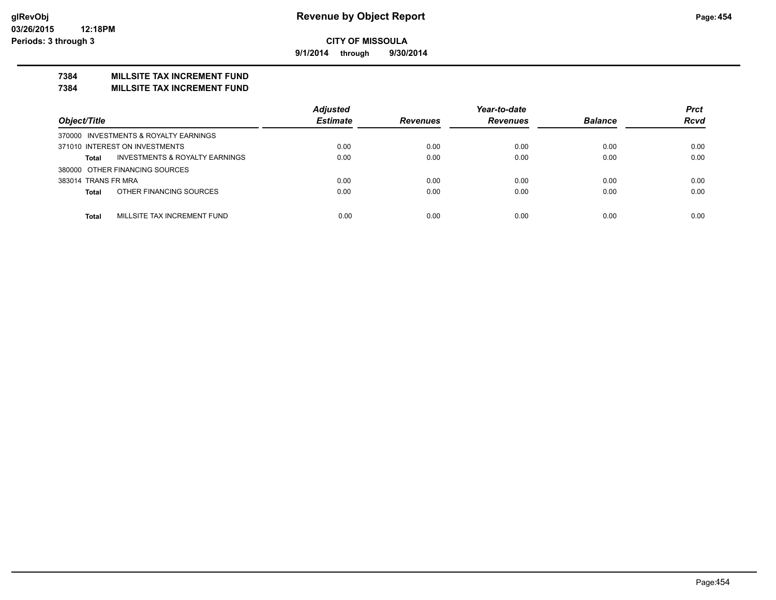**9/1/2014 through 9/30/2014**

# **7384 MILLSITE TAX INCREMENT FUND**

#### **7384 MILLSITE TAX INCREMENT FUND**

|                                                           | <b>Adjusted</b> |                 | Year-to-date    |                | <b>Prct</b> |
|-----------------------------------------------------------|-----------------|-----------------|-----------------|----------------|-------------|
| Object/Title                                              | <b>Estimate</b> | <b>Revenues</b> | <b>Revenues</b> | <b>Balance</b> | <b>Rcvd</b> |
| 370000 INVESTMENTS & ROYALTY EARNINGS                     |                 |                 |                 |                |             |
| 371010 INTEREST ON INVESTMENTS                            | 0.00            | 0.00            | 0.00            | 0.00           | 0.00        |
| <b>INVESTMENTS &amp; ROYALTY EARNINGS</b><br><b>Total</b> | 0.00            | 0.00            | 0.00            | 0.00           | 0.00        |
| 380000 OTHER FINANCING SOURCES                            |                 |                 |                 |                |             |
| 383014 TRANS FR MRA                                       | 0.00            | 0.00            | 0.00            | 0.00           | 0.00        |
| OTHER FINANCING SOURCES<br><b>Total</b>                   | 0.00            | 0.00            | 0.00            | 0.00           | 0.00        |
|                                                           |                 |                 |                 |                |             |
| MILLSITE TAX INCREMENT FUND<br><b>Total</b>               | 0.00            | 0.00            | 0.00            | 0.00           | 0.00        |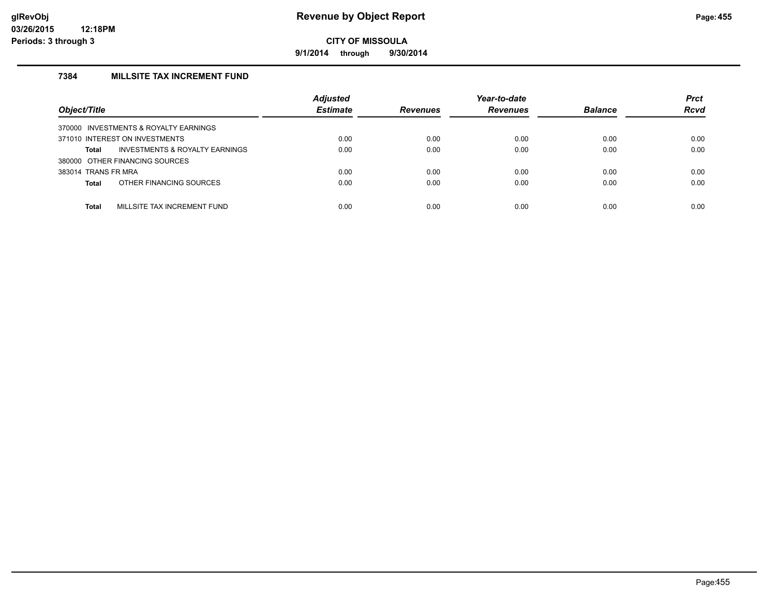**9/1/2014 through 9/30/2014**

# **7384 MILLSITE TAX INCREMENT FUND**

| Object/Title                                       | <b>Adjusted</b><br><b>Estimate</b> | <b>Revenues</b> | Year-to-date<br><b>Revenues</b> | <b>Balance</b> | <b>Prct</b><br><b>Rcvd</b> |
|----------------------------------------------------|------------------------------------|-----------------|---------------------------------|----------------|----------------------------|
| INVESTMENTS & ROYALTY EARNINGS<br>370000           |                                    |                 |                                 |                |                            |
| 371010 INTEREST ON INVESTMENTS                     | 0.00                               | 0.00            | 0.00                            | 0.00           | 0.00                       |
| <b>INVESTMENTS &amp; ROYALTY EARNINGS</b><br>Total | 0.00                               | 0.00            | 0.00                            | 0.00           | 0.00                       |
| 380000 OTHER FINANCING SOURCES                     |                                    |                 |                                 |                |                            |
| 383014 TRANS FR MRA                                | 0.00                               | 0.00            | 0.00                            | 0.00           | 0.00                       |
| OTHER FINANCING SOURCES<br><b>Total</b>            | 0.00                               | 0.00            | 0.00                            | 0.00           | 0.00                       |
| MILLSITE TAX INCREMENT FUND<br>Total               | 0.00                               | 0.00            | 0.00                            | 0.00           | 0.00                       |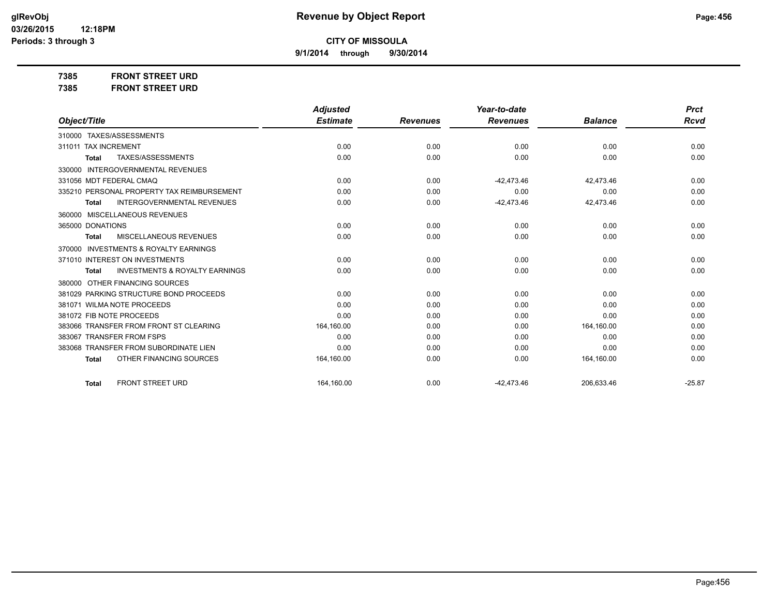**9/1/2014 through 9/30/2014**

**7385 FRONT STREET URD 7385 FRONT STREET URD**

|                                                           | <b>Adjusted</b> |                 | Year-to-date    |                | <b>Prct</b> |
|-----------------------------------------------------------|-----------------|-----------------|-----------------|----------------|-------------|
| Object/Title                                              | <b>Estimate</b> | <b>Revenues</b> | <b>Revenues</b> | <b>Balance</b> | <b>Rcvd</b> |
| 310000 TAXES/ASSESSMENTS                                  |                 |                 |                 |                |             |
| 311011 TAX INCREMENT                                      | 0.00            | 0.00            | 0.00            | 0.00           | 0.00        |
| TAXES/ASSESSMENTS<br><b>Total</b>                         | 0.00            | 0.00            | 0.00            | 0.00           | 0.00        |
| <b>INTERGOVERNMENTAL REVENUES</b><br>330000               |                 |                 |                 |                |             |
| 331056 MDT FEDERAL CMAQ                                   | 0.00            | 0.00            | $-42,473.46$    | 42,473.46      | 0.00        |
| 335210 PERSONAL PROPERTY TAX REIMBURSEMENT                | 0.00            | 0.00            | 0.00            | 0.00           | 0.00        |
| <b>INTERGOVERNMENTAL REVENUES</b><br><b>Total</b>         | 0.00            | 0.00            | $-42,473.46$    | 42,473.46      | 0.00        |
| 360000 MISCELLANEOUS REVENUES                             |                 |                 |                 |                |             |
| 365000 DONATIONS                                          | 0.00            | 0.00            | 0.00            | 0.00           | 0.00        |
| MISCELLANEOUS REVENUES<br><b>Total</b>                    | 0.00            | 0.00            | 0.00            | 0.00           | 0.00        |
| <b>INVESTMENTS &amp; ROYALTY EARNINGS</b><br>370000       |                 |                 |                 |                |             |
| 371010 INTEREST ON INVESTMENTS                            | 0.00            | 0.00            | 0.00            | 0.00           | 0.00        |
| <b>INVESTMENTS &amp; ROYALTY EARNINGS</b><br><b>Total</b> | 0.00            | 0.00            | 0.00            | 0.00           | 0.00        |
| OTHER FINANCING SOURCES<br>380000                         |                 |                 |                 |                |             |
| 381029 PARKING STRUCTURE BOND PROCEEDS                    | 0.00            | 0.00            | 0.00            | 0.00           | 0.00        |
| 381071 WILMA NOTE PROCEEDS                                | 0.00            | 0.00            | 0.00            | 0.00           | 0.00        |
| 381072 FIB NOTE PROCEEDS                                  | 0.00            | 0.00            | 0.00            | 0.00           | 0.00        |
| 383066 TRANSFER FROM FRONT ST CLEARING                    | 164,160.00      | 0.00            | 0.00            | 164,160.00     | 0.00        |
| 383067 TRANSFER FROM FSPS                                 | 0.00            | 0.00            | 0.00            | 0.00           | 0.00        |
| 383068 TRANSFER FROM SUBORDINATE LIEN                     | 0.00            | 0.00            | 0.00            | 0.00           | 0.00        |
| OTHER FINANCING SOURCES<br><b>Total</b>                   | 164,160.00      | 0.00            | 0.00            | 164,160.00     | 0.00        |
| <b>FRONT STREET URD</b><br><b>Total</b>                   | 164,160.00      | 0.00            | $-42,473.46$    | 206,633.46     | $-25.87$    |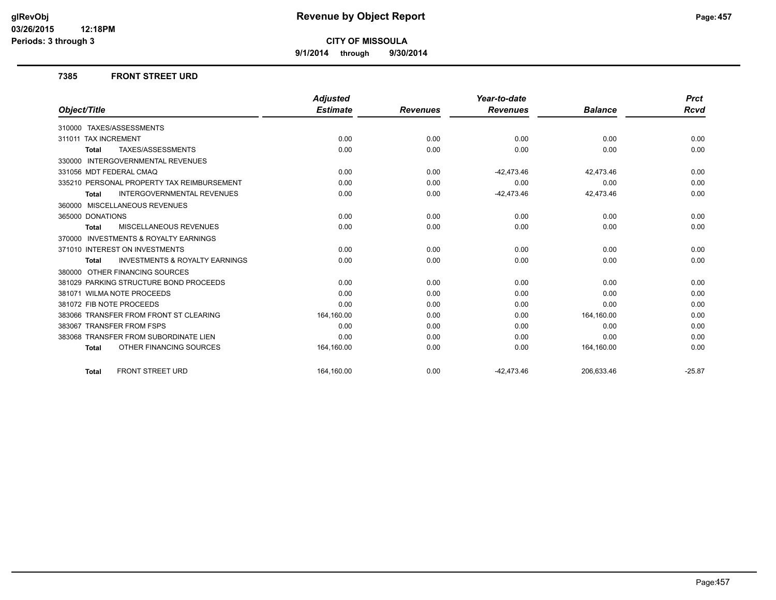**9/1/2014 through 9/30/2014**

### **7385 FRONT STREET URD**

|                                                           | <b>Adjusted</b> |                 | Year-to-date    |                | <b>Prct</b> |
|-----------------------------------------------------------|-----------------|-----------------|-----------------|----------------|-------------|
| Object/Title                                              | <b>Estimate</b> | <b>Revenues</b> | <b>Revenues</b> | <b>Balance</b> | <b>Rcvd</b> |
| 310000 TAXES/ASSESSMENTS                                  |                 |                 |                 |                |             |
| 311011 TAX INCREMENT                                      | 0.00            | 0.00            | 0.00            | 0.00           | 0.00        |
| TAXES/ASSESSMENTS<br><b>Total</b>                         | 0.00            | 0.00            | 0.00            | 0.00           | 0.00        |
| <b>INTERGOVERNMENTAL REVENUES</b><br>330000               |                 |                 |                 |                |             |
| 331056 MDT FEDERAL CMAQ                                   | 0.00            | 0.00            | $-42,473.46$    | 42,473.46      | 0.00        |
| 335210 PERSONAL PROPERTY TAX REIMBURSEMENT                | 0.00            | 0.00            | 0.00            | 0.00           | 0.00        |
| <b>INTERGOVERNMENTAL REVENUES</b><br><b>Total</b>         | 0.00            | 0.00            | $-42,473.46$    | 42,473.46      | 0.00        |
| 360000 MISCELLANEOUS REVENUES                             |                 |                 |                 |                |             |
| 365000 DONATIONS                                          | 0.00            | 0.00            | 0.00            | 0.00           | 0.00        |
| MISCELLANEOUS REVENUES<br><b>Total</b>                    | 0.00            | 0.00            | 0.00            | 0.00           | 0.00        |
| <b>INVESTMENTS &amp; ROYALTY EARNINGS</b><br>370000       |                 |                 |                 |                |             |
| 371010 INTEREST ON INVESTMENTS                            | 0.00            | 0.00            | 0.00            | 0.00           | 0.00        |
| <b>INVESTMENTS &amp; ROYALTY EARNINGS</b><br><b>Total</b> | 0.00            | 0.00            | 0.00            | 0.00           | 0.00        |
| 380000 OTHER FINANCING SOURCES                            |                 |                 |                 |                |             |
| 381029 PARKING STRUCTURE BOND PROCEEDS                    | 0.00            | 0.00            | 0.00            | 0.00           | 0.00        |
| 381071 WILMA NOTE PROCEEDS                                | 0.00            | 0.00            | 0.00            | 0.00           | 0.00        |
| 381072 FIB NOTE PROCEEDS                                  | 0.00            | 0.00            | 0.00            | 0.00           | 0.00        |
| 383066 TRANSFER FROM FRONT ST CLEARING                    | 164,160.00      | 0.00            | 0.00            | 164,160.00     | 0.00        |
| 383067 TRANSFER FROM FSPS                                 | 0.00            | 0.00            | 0.00            | 0.00           | 0.00        |
| 383068 TRANSFER FROM SUBORDINATE LIEN                     | 0.00            | 0.00            | 0.00            | 0.00           | 0.00        |
| OTHER FINANCING SOURCES<br><b>Total</b>                   | 164,160.00      | 0.00            | 0.00            | 164,160.00     | 0.00        |
| <b>FRONT STREET URD</b><br><b>Total</b>                   | 164.160.00      | 0.00            | $-42,473.46$    | 206,633.46     | $-25.87$    |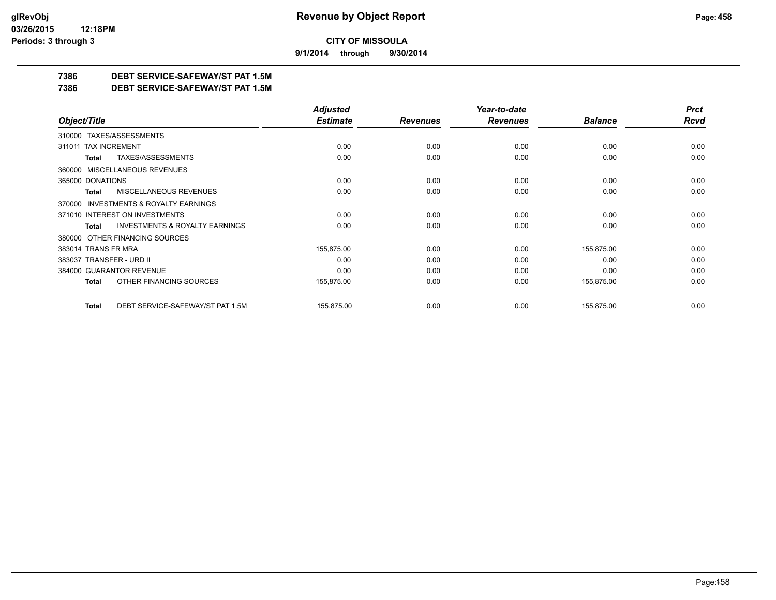**9/1/2014 through 9/30/2014**

# **7386 DEBT SERVICE-SAFEWAY/ST PAT 1.5M**

**7386 DEBT SERVICE-SAFEWAY/ST PAT 1.5M**

|                                                     | <b>Adjusted</b> |                 | Year-to-date    |                | <b>Prct</b> |
|-----------------------------------------------------|-----------------|-----------------|-----------------|----------------|-------------|
| Object/Title                                        | <b>Estimate</b> | <b>Revenues</b> | <b>Revenues</b> | <b>Balance</b> | <b>Rcvd</b> |
| 310000 TAXES/ASSESSMENTS                            |                 |                 |                 |                |             |
| 311011 TAX INCREMENT                                | 0.00            | 0.00            | 0.00            | 0.00           | 0.00        |
| TAXES/ASSESSMENTS<br>Total                          | 0.00            | 0.00            | 0.00            | 0.00           | 0.00        |
| 360000 MISCELLANEOUS REVENUES                       |                 |                 |                 |                |             |
| 365000 DONATIONS                                    | 0.00            | 0.00            | 0.00            | 0.00           | 0.00        |
| <b>MISCELLANEOUS REVENUES</b><br>Total              | 0.00            | 0.00            | 0.00            | 0.00           | 0.00        |
| <b>INVESTMENTS &amp; ROYALTY EARNINGS</b><br>370000 |                 |                 |                 |                |             |
| 371010 INTEREST ON INVESTMENTS                      | 0.00            | 0.00            | 0.00            | 0.00           | 0.00        |
| <b>INVESTMENTS &amp; ROYALTY EARNINGS</b><br>Total  | 0.00            | 0.00            | 0.00            | 0.00           | 0.00        |
| OTHER FINANCING SOURCES<br>380000                   |                 |                 |                 |                |             |
| 383014 TRANS FR MRA                                 | 155,875.00      | 0.00            | 0.00            | 155,875.00     | 0.00        |
| 383037 TRANSFER - URD II                            | 0.00            | 0.00            | 0.00            | 0.00           | 0.00        |
| 384000 GUARANTOR REVENUE                            | 0.00            | 0.00            | 0.00            | 0.00           | 0.00        |
| OTHER FINANCING SOURCES<br>Total                    | 155,875.00      | 0.00            | 0.00            | 155,875.00     | 0.00        |
| DEBT SERVICE-SAFEWAY/ST PAT 1.5M<br><b>Total</b>    | 155,875.00      | 0.00            | 0.00            | 155,875.00     | 0.00        |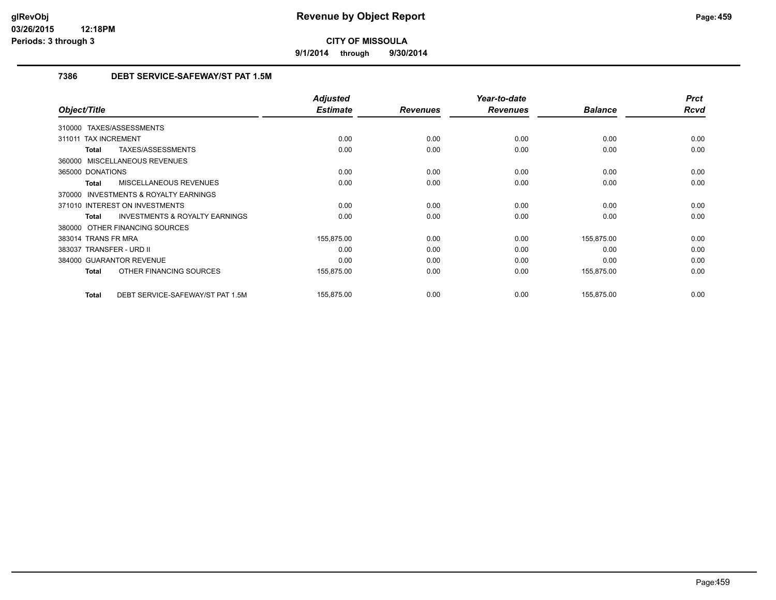**9/1/2014 through 9/30/2014**

# **7386 DEBT SERVICE-SAFEWAY/ST PAT 1.5M**

|                                                           | <b>Adjusted</b> |                 | Year-to-date    |                | <b>Prct</b> |
|-----------------------------------------------------------|-----------------|-----------------|-----------------|----------------|-------------|
| Object/Title                                              | <b>Estimate</b> | <b>Revenues</b> | <b>Revenues</b> | <b>Balance</b> | <b>Rcvd</b> |
| 310000 TAXES/ASSESSMENTS                                  |                 |                 |                 |                |             |
| 311011 TAX INCREMENT                                      | 0.00            | 0.00            | 0.00            | 0.00           | 0.00        |
| <b>TAXES/ASSESSMENTS</b><br><b>Total</b>                  | 0.00            | 0.00            | 0.00            | 0.00           | 0.00        |
| 360000 MISCELLANEOUS REVENUES                             |                 |                 |                 |                |             |
| 365000 DONATIONS                                          | 0.00            | 0.00            | 0.00            | 0.00           | 0.00        |
| MISCELLANEOUS REVENUES<br><b>Total</b>                    | 0.00            | 0.00            | 0.00            | 0.00           | 0.00        |
| <b>INVESTMENTS &amp; ROYALTY EARNINGS</b><br>370000       |                 |                 |                 |                |             |
| 371010 INTEREST ON INVESTMENTS                            | 0.00            | 0.00            | 0.00            | 0.00           | 0.00        |
| <b>INVESTMENTS &amp; ROYALTY EARNINGS</b><br><b>Total</b> | 0.00            | 0.00            | 0.00            | 0.00           | 0.00        |
| 380000 OTHER FINANCING SOURCES                            |                 |                 |                 |                |             |
| 383014 TRANS FR MRA                                       | 155,875.00      | 0.00            | 0.00            | 155,875.00     | 0.00        |
| 383037 TRANSFER - URD II                                  | 0.00            | 0.00            | 0.00            | 0.00           | 0.00        |
| 384000 GUARANTOR REVENUE                                  | 0.00            | 0.00            | 0.00            | 0.00           | 0.00        |
| OTHER FINANCING SOURCES<br><b>Total</b>                   | 155,875.00      | 0.00            | 0.00            | 155,875.00     | 0.00        |
| DEBT SERVICE-SAFEWAY/ST PAT 1.5M<br><b>Total</b>          | 155,875.00      | 0.00            | 0.00            | 155,875.00     | 0.00        |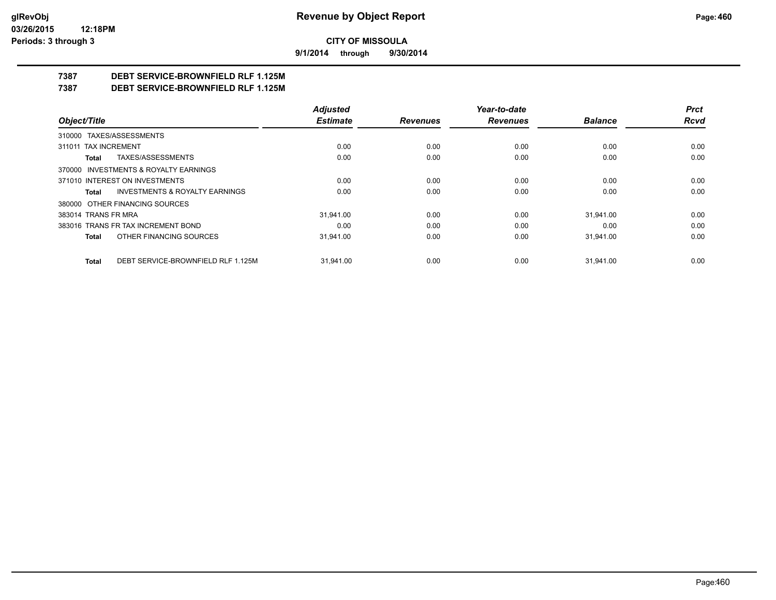**9/1/2014 through 9/30/2014**

# **7387 DEBT SERVICE-BROWNFIELD RLF 1.125M**

**7387 DEBT SERVICE-BROWNFIELD RLF 1.125M**

|                                                    | <b>Adjusted</b> |                 | Year-to-date    |                | Prct |
|----------------------------------------------------|-----------------|-----------------|-----------------|----------------|------|
| Object/Title                                       | <b>Estimate</b> | <b>Revenues</b> | <b>Revenues</b> | <b>Balance</b> | Rcvd |
| 310000 TAXES/ASSESSMENTS                           |                 |                 |                 |                |      |
| 311011 TAX INCREMENT                               | 0.00            | 0.00            | 0.00            | 0.00           | 0.00 |
| TAXES/ASSESSMENTS<br>Total                         | 0.00            | 0.00            | 0.00            | 0.00           | 0.00 |
| 370000 INVESTMENTS & ROYALTY EARNINGS              |                 |                 |                 |                |      |
| 371010 INTEREST ON INVESTMENTS                     | 0.00            | 0.00            | 0.00            | 0.00           | 0.00 |
| <b>INVESTMENTS &amp; ROYALTY EARNINGS</b><br>Total | 0.00            | 0.00            | 0.00            | 0.00           | 0.00 |
| 380000 OTHER FINANCING SOURCES                     |                 |                 |                 |                |      |
| 383014 TRANS FR MRA                                | 31.941.00       | 0.00            | 0.00            | 31.941.00      | 0.00 |
| 383016 TRANS FR TAX INCREMENT BOND                 | 0.00            | 0.00            | 0.00            | 0.00           | 0.00 |
| OTHER FINANCING SOURCES<br>Total                   | 31,941.00       | 0.00            | 0.00            | 31,941.00      | 0.00 |
| DEBT SERVICE-BROWNFIELD RLF 1.125M<br><b>Total</b> | 31.941.00       | 0.00            | 0.00            | 31.941.00      | 0.00 |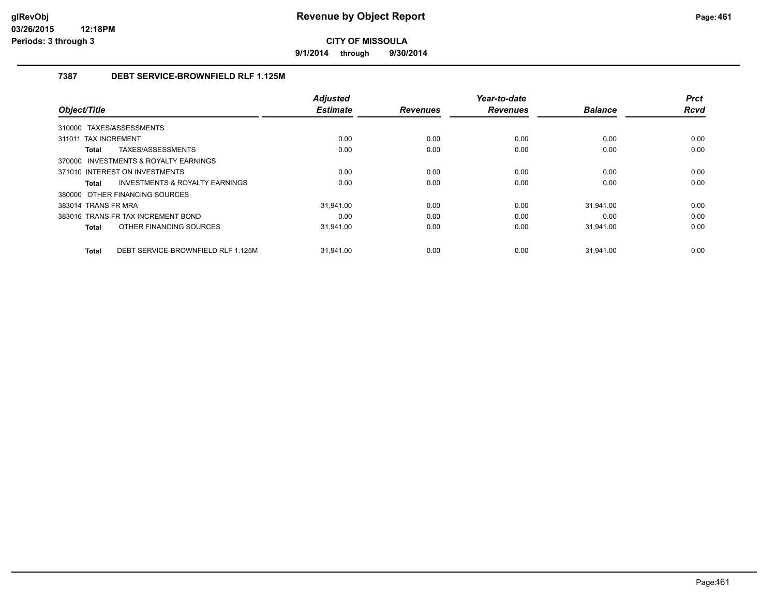**9/1/2014 through 9/30/2014**

# **7387 DEBT SERVICE-BROWNFIELD RLF 1.125M**

|                                             | <b>Adjusted</b> |                 | Year-to-date    |                | <b>Prct</b> |
|---------------------------------------------|-----------------|-----------------|-----------------|----------------|-------------|
| Object/Title                                | <b>Estimate</b> | <b>Revenues</b> | <b>Revenues</b> | <b>Balance</b> | <b>Rcvd</b> |
| 310000 TAXES/ASSESSMENTS                    |                 |                 |                 |                |             |
| 311011 TAX INCREMENT                        | 0.00            | 0.00            | 0.00            | 0.00           | 0.00        |
| TAXES/ASSESSMENTS<br>Total                  | 0.00            | 0.00            | 0.00            | 0.00           | 0.00        |
| 370000 INVESTMENTS & ROYALTY EARNINGS       |                 |                 |                 |                |             |
| 371010 INTEREST ON INVESTMENTS              | 0.00            | 0.00            | 0.00            | 0.00           | 0.00        |
| INVESTMENTS & ROYALTY EARNINGS<br>Total     | 0.00            | 0.00            | 0.00            | 0.00           | 0.00        |
| 380000 OTHER FINANCING SOURCES              |                 |                 |                 |                |             |
| 383014 TRANS FR MRA                         | 31.941.00       | 0.00            | 0.00            | 31.941.00      | 0.00        |
| 383016 TRANS FR TAX INCREMENT BOND          | 0.00            | 0.00            | 0.00            | 0.00           | 0.00        |
| OTHER FINANCING SOURCES<br>Total            | 31,941.00       | 0.00            | 0.00            | 31,941.00      | 0.00        |
|                                             |                 |                 |                 |                |             |
| DEBT SERVICE-BROWNFIELD RLF 1.125M<br>Total | 31.941.00       | 0.00            | 0.00            | 31.941.00      | 0.00        |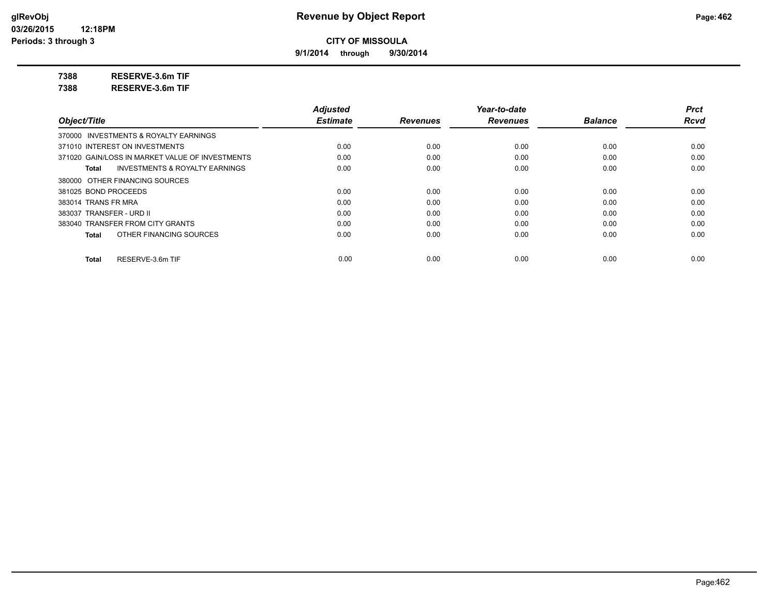**9/1/2014 through 9/30/2014**

**7388 RESERVE-3.6m TIF**

**7388 RESERVE-3.6m TIF**

|                                                    | <b>Adjusted</b> |                 | Year-to-date    |                | <b>Prct</b> |
|----------------------------------------------------|-----------------|-----------------|-----------------|----------------|-------------|
| Object/Title                                       | <b>Estimate</b> | <b>Revenues</b> | <b>Revenues</b> | <b>Balance</b> | <b>Rcvd</b> |
| 370000 INVESTMENTS & ROYALTY EARNINGS              |                 |                 |                 |                |             |
| 371010 INTEREST ON INVESTMENTS                     | 0.00            | 0.00            | 0.00            | 0.00           | 0.00        |
| 371020 GAIN/LOSS IN MARKET VALUE OF INVESTMENTS    | 0.00            | 0.00            | 0.00            | 0.00           | 0.00        |
| <b>INVESTMENTS &amp; ROYALTY EARNINGS</b><br>Total | 0.00            | 0.00            | 0.00            | 0.00           | 0.00        |
| 380000 OTHER FINANCING SOURCES                     |                 |                 |                 |                |             |
| 381025 BOND PROCEEDS                               | 0.00            | 0.00            | 0.00            | 0.00           | 0.00        |
| 383014 TRANS FR MRA                                | 0.00            | 0.00            | 0.00            | 0.00           | 0.00        |
| 383037 TRANSFER - URD II                           | 0.00            | 0.00            | 0.00            | 0.00           | 0.00        |
| 383040 TRANSFER FROM CITY GRANTS                   | 0.00            | 0.00            | 0.00            | 0.00           | 0.00        |
| OTHER FINANCING SOURCES<br>Total                   | 0.00            | 0.00            | 0.00            | 0.00           | 0.00        |
| RESERVE-3.6m TIF<br>Total                          | 0.00            | 0.00            | 0.00            | 0.00           | 0.00        |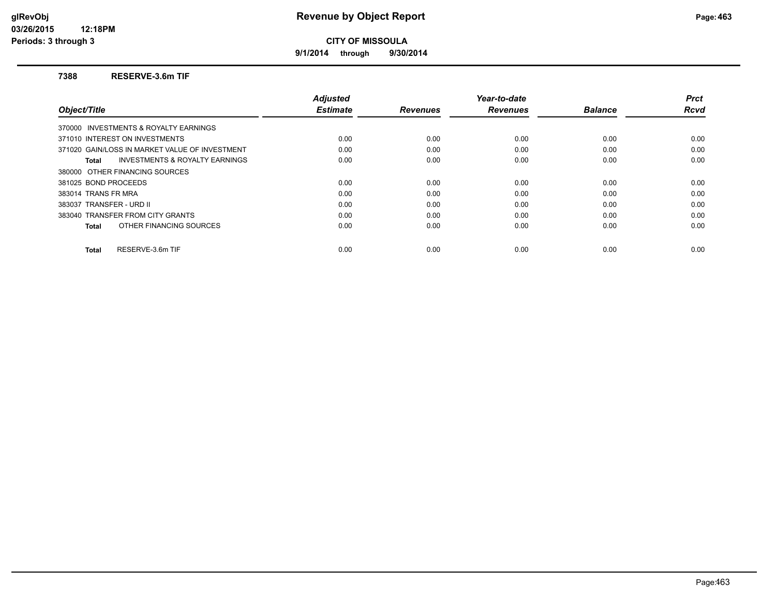**9/1/2014 through 9/30/2014**

#### **7388 RESERVE-3.6m TIF**

|                                                    | <b>Adjusted</b> |                 | Year-to-date    |                | <b>Prct</b> |
|----------------------------------------------------|-----------------|-----------------|-----------------|----------------|-------------|
| Object/Title                                       | <b>Estimate</b> | <b>Revenues</b> | <b>Revenues</b> | <b>Balance</b> | Rcvd        |
| 370000 INVESTMENTS & ROYALTY EARNINGS              |                 |                 |                 |                |             |
| 371010 INTEREST ON INVESTMENTS                     | 0.00            | 0.00            | 0.00            | 0.00           | 0.00        |
| 371020 GAIN/LOSS IN MARKET VALUE OF INVESTMENT     | 0.00            | 0.00            | 0.00            | 0.00           | 0.00        |
| <b>INVESTMENTS &amp; ROYALTY EARNINGS</b><br>Total | 0.00            | 0.00            | 0.00            | 0.00           | 0.00        |
| 380000 OTHER FINANCING SOURCES                     |                 |                 |                 |                |             |
| 381025 BOND PROCEEDS                               | 0.00            | 0.00            | 0.00            | 0.00           | 0.00        |
| 383014 TRANS FR MRA                                | 0.00            | 0.00            | 0.00            | 0.00           | 0.00        |
| 383037 TRANSFER - URD II                           | 0.00            | 0.00            | 0.00            | 0.00           | 0.00        |
| 383040 TRANSFER FROM CITY GRANTS                   | 0.00            | 0.00            | 0.00            | 0.00           | 0.00        |
| OTHER FINANCING SOURCES<br>Total                   | 0.00            | 0.00            | 0.00            | 0.00           | 0.00        |
| RESERVE-3.6m TIF<br><b>Total</b>                   | 0.00            | 0.00            | 0.00            | 0.00           | 0.00        |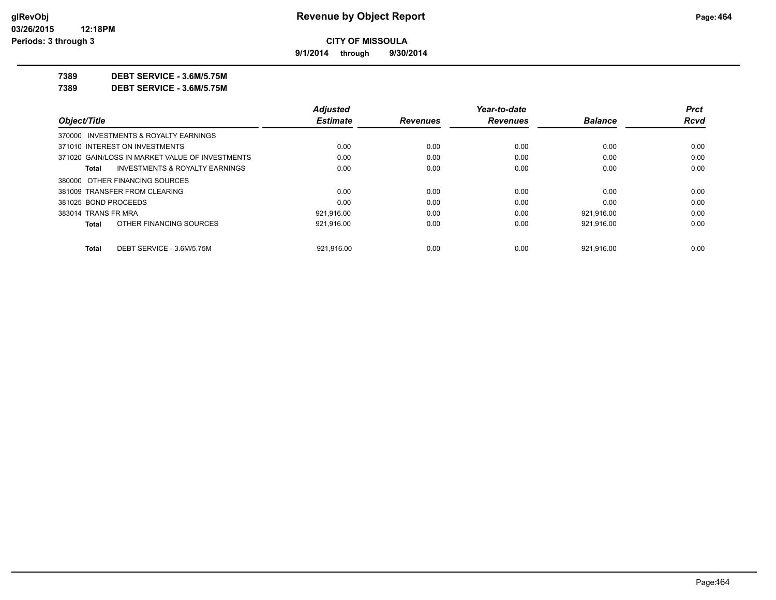**9/1/2014 through 9/30/2014**

**7389 DEBT SERVICE - 3.6M/5.75M**

**7389 DEBT SERVICE - 3.6M/5.75M**

|                                                 |                                           | Adjusted        |                 | Year-to-date    |                | <b>Prct</b> |
|-------------------------------------------------|-------------------------------------------|-----------------|-----------------|-----------------|----------------|-------------|
| Object/Title                                    |                                           | <b>Estimate</b> | <b>Revenues</b> | <b>Revenues</b> | <b>Balance</b> | Rcvd        |
| 370000 INVESTMENTS & ROYALTY EARNINGS           |                                           |                 |                 |                 |                |             |
| 371010 INTEREST ON INVESTMENTS                  |                                           | 0.00            | 0.00            | 0.00            | 0.00           | 0.00        |
| 371020 GAIN/LOSS IN MARKET VALUE OF INVESTMENTS |                                           | 0.00            | 0.00            | 0.00            | 0.00           | 0.00        |
| Total                                           | <b>INVESTMENTS &amp; ROYALTY EARNINGS</b> | 0.00            | 0.00            | 0.00            | 0.00           | 0.00        |
| 380000 OTHER FINANCING SOURCES                  |                                           |                 |                 |                 |                |             |
| 381009 TRANSFER FROM CLEARING                   |                                           | 0.00            | 0.00            | 0.00            | 0.00           | 0.00        |
| 381025 BOND PROCEEDS                            |                                           | 0.00            | 0.00            | 0.00            | 0.00           | 0.00        |
| 383014 TRANS FR MRA                             |                                           | 921.916.00      | 0.00            | 0.00            | 921.916.00     | 0.00        |
| Total                                           | OTHER FINANCING SOURCES                   | 921,916.00      | 0.00            | 0.00            | 921,916.00     | 0.00        |
| Total                                           | DEBT SERVICE - 3.6M/5.75M                 | 921.916.00      | 0.00            | 0.00            | 921.916.00     | 0.00        |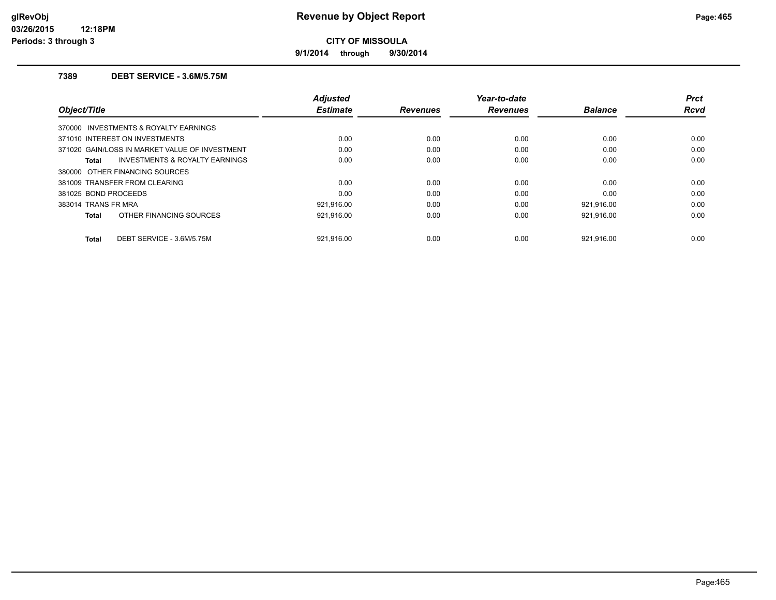**9/1/2014 through 9/30/2014**

# **7389 DEBT SERVICE - 3.6M/5.75M**

| Object/Title                                       | <b>Adjusted</b><br><b>Estimate</b> | <b>Revenues</b> | Year-to-date<br><b>Revenues</b> | <b>Balance</b> | Prct<br><b>Rcvd</b> |
|----------------------------------------------------|------------------------------------|-----------------|---------------------------------|----------------|---------------------|
| 370000 INVESTMENTS & ROYALTY EARNINGS              |                                    |                 |                                 |                |                     |
| 371010 INTEREST ON INVESTMENTS                     | 0.00                               | 0.00            | 0.00                            | 0.00           | 0.00                |
| 371020 GAIN/LOSS IN MARKET VALUE OF INVESTMENT     | 0.00                               | 0.00            | 0.00                            | 0.00           | 0.00                |
| <b>INVESTMENTS &amp; ROYALTY EARNINGS</b><br>Total | 0.00                               | 0.00            | 0.00                            | 0.00           | 0.00                |
| 380000 OTHER FINANCING SOURCES                     |                                    |                 |                                 |                |                     |
| 381009 TRANSFER FROM CLEARING                      | 0.00                               | 0.00            | 0.00                            | 0.00           | 0.00                |
| 381025 BOND PROCEEDS                               | 0.00                               | 0.00            | 0.00                            | 0.00           | 0.00                |
| 383014 TRANS FR MRA                                | 921,916.00                         | 0.00            | 0.00                            | 921,916.00     | 0.00                |
| OTHER FINANCING SOURCES<br>Total                   | 921,916.00                         | 0.00            | 0.00                            | 921.916.00     | 0.00                |
| DEBT SERVICE - 3.6M/5.75M<br>Total                 | 921.916.00                         | 0.00            | 0.00                            | 921.916.00     | 0.00                |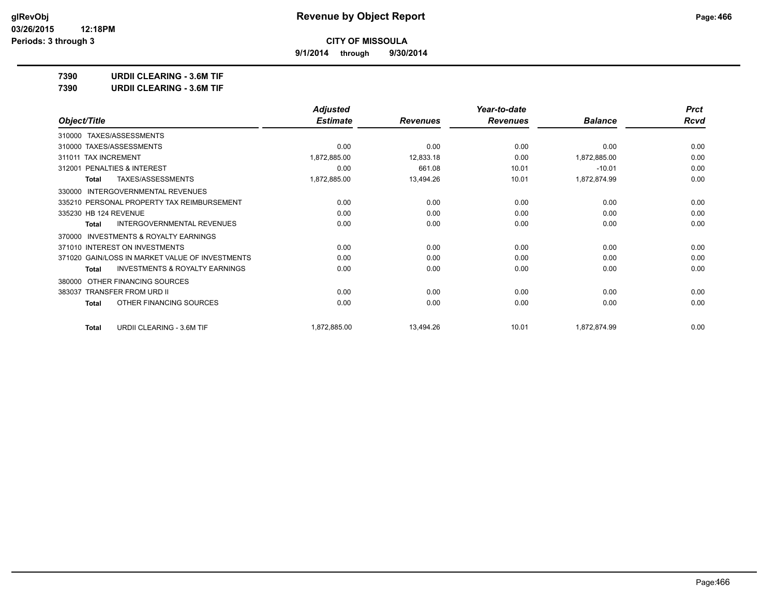**9/1/2014 through 9/30/2014**

**7390 URDII CLEARING - 3.6M TIF**

| 7390 | <b>URDII CLEARING - 3.6M TIF</b> |
|------|----------------------------------|
|------|----------------------------------|

|                                                     | <b>Adjusted</b> |                 | Year-to-date    |                | <b>Prct</b> |
|-----------------------------------------------------|-----------------|-----------------|-----------------|----------------|-------------|
| Object/Title                                        | <b>Estimate</b> | <b>Revenues</b> | <b>Revenues</b> | <b>Balance</b> | <b>Rcvd</b> |
| 310000 TAXES/ASSESSMENTS                            |                 |                 |                 |                |             |
| 310000 TAXES/ASSESSMENTS                            | 0.00            | 0.00            | 0.00            | 0.00           | 0.00        |
| 311011 TAX INCREMENT                                | 1,872,885.00    | 12,833.18       | 0.00            | 1,872,885.00   | 0.00        |
| PENALTIES & INTEREST<br>312001                      | 0.00            | 661.08          | 10.01           | $-10.01$       | 0.00        |
| TAXES/ASSESSMENTS<br><b>Total</b>                   | 1,872,885.00    | 13,494.26       | 10.01           | 1,872,874.99   | 0.00        |
| INTERGOVERNMENTAL REVENUES<br>330000                |                 |                 |                 |                |             |
| 335210 PERSONAL PROPERTY TAX REIMBURSEMENT          | 0.00            | 0.00            | 0.00            | 0.00           | 0.00        |
| 335230 HB 124 REVENUE                               | 0.00            | 0.00            | 0.00            | 0.00           | 0.00        |
| INTERGOVERNMENTAL REVENUES<br>Total                 | 0.00            | 0.00            | 0.00            | 0.00           | 0.00        |
| <b>INVESTMENTS &amp; ROYALTY EARNINGS</b><br>370000 |                 |                 |                 |                |             |
| 371010 INTEREST ON INVESTMENTS                      | 0.00            | 0.00            | 0.00            | 0.00           | 0.00        |
| 371020 GAIN/LOSS IN MARKET VALUE OF INVESTMENTS     | 0.00            | 0.00            | 0.00            | 0.00           | 0.00        |
| <b>INVESTMENTS &amp; ROYALTY EARNINGS</b><br>Total  | 0.00            | 0.00            | 0.00            | 0.00           | 0.00        |
| OTHER FINANCING SOURCES<br>380000                   |                 |                 |                 |                |             |
| 383037 TRANSFER FROM URD II                         | 0.00            | 0.00            | 0.00            | 0.00           | 0.00        |
| OTHER FINANCING SOURCES<br><b>Total</b>             | 0.00            | 0.00            | 0.00            | 0.00           | 0.00        |
| <b>URDII CLEARING - 3.6M TIF</b><br><b>Total</b>    | 1,872,885.00    | 13,494.26       | 10.01           | 1,872,874.99   | 0.00        |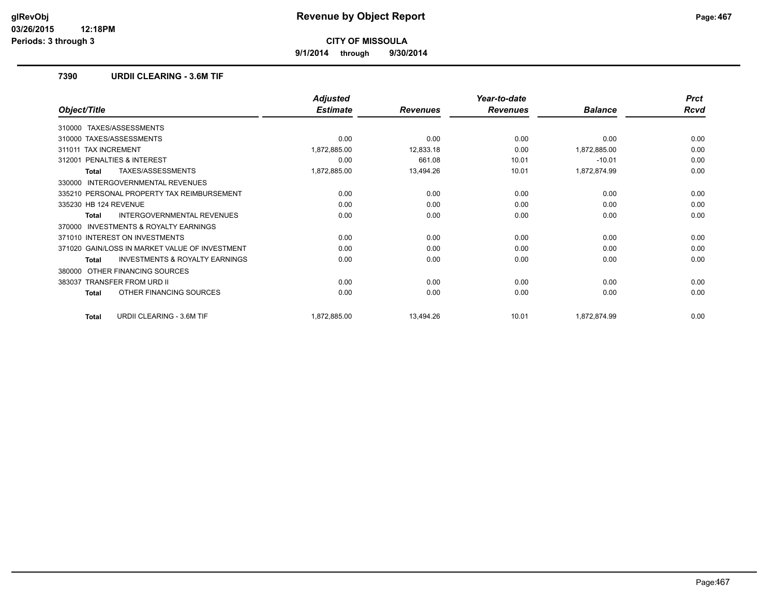**9/1/2014 through 9/30/2014**

## **7390 URDII CLEARING - 3.6M TIF**

|                                                     | <b>Adjusted</b> |                 | Year-to-date    |                | <b>Prct</b> |
|-----------------------------------------------------|-----------------|-----------------|-----------------|----------------|-------------|
| Object/Title                                        | <b>Estimate</b> | <b>Revenues</b> | <b>Revenues</b> | <b>Balance</b> | <b>Rcvd</b> |
| <b>TAXES/ASSESSMENTS</b><br>310000                  |                 |                 |                 |                |             |
| 310000 TAXES/ASSESSMENTS                            | 0.00            | 0.00            | 0.00            | 0.00           | 0.00        |
| 311011 TAX INCREMENT                                | 1,872,885.00    | 12,833.18       | 0.00            | 1,872,885.00   | 0.00        |
| 312001 PENALTIES & INTEREST                         | 0.00            | 661.08          | 10.01           | $-10.01$       | 0.00        |
| TAXES/ASSESSMENTS<br><b>Total</b>                   | 1,872,885.00    | 13,494.26       | 10.01           | 1,872,874.99   | 0.00        |
| <b>INTERGOVERNMENTAL REVENUES</b><br>330000         |                 |                 |                 |                |             |
| 335210 PERSONAL PROPERTY TAX REIMBURSEMENT          | 0.00            | 0.00            | 0.00            | 0.00           | 0.00        |
| 335230 HB 124 REVENUE                               | 0.00            | 0.00            | 0.00            | 0.00           | 0.00        |
| <b>INTERGOVERNMENTAL REVENUES</b><br>Total          | 0.00            | 0.00            | 0.00            | 0.00           | 0.00        |
| <b>INVESTMENTS &amp; ROYALTY EARNINGS</b><br>370000 |                 |                 |                 |                |             |
| 371010 INTEREST ON INVESTMENTS                      | 0.00            | 0.00            | 0.00            | 0.00           | 0.00        |
| 371020 GAIN/LOSS IN MARKET VALUE OF INVESTMENT      | 0.00            | 0.00            | 0.00            | 0.00           | 0.00        |
| <b>INVESTMENTS &amp; ROYALTY EARNINGS</b><br>Total  | 0.00            | 0.00            | 0.00            | 0.00           | 0.00        |
| OTHER FINANCING SOURCES<br>380000                   |                 |                 |                 |                |             |
| <b>TRANSFER FROM URD II</b><br>383037               | 0.00            | 0.00            | 0.00            | 0.00           | 0.00        |
| OTHER FINANCING SOURCES<br><b>Total</b>             | 0.00            | 0.00            | 0.00            | 0.00           | 0.00        |
| <b>URDII CLEARING - 3.6M TIF</b><br>Total           | 1,872,885.00    | 13,494.26       | 10.01           | 1,872,874.99   | 0.00        |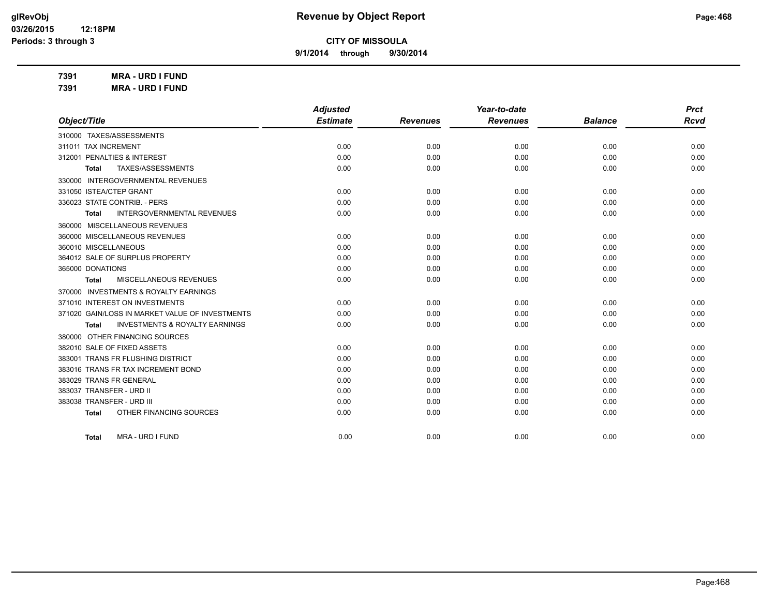**9/1/2014 through 9/30/2014**

**7391 MRA - URD I FUND 7391 MRA - URD I FUND**

|                                                           | <b>Adjusted</b> |                 | Year-to-date    |                | <b>Prct</b> |
|-----------------------------------------------------------|-----------------|-----------------|-----------------|----------------|-------------|
| Object/Title                                              | <b>Estimate</b> | <b>Revenues</b> | <b>Revenues</b> | <b>Balance</b> | <b>Rcvd</b> |
| 310000 TAXES/ASSESSMENTS                                  |                 |                 |                 |                |             |
| 311011 TAX INCREMENT                                      | 0.00            | 0.00            | 0.00            | 0.00           | 0.00        |
| 312001 PENALTIES & INTEREST                               | 0.00            | 0.00            | 0.00            | 0.00           | 0.00        |
| TAXES/ASSESSMENTS<br><b>Total</b>                         | 0.00            | 0.00            | 0.00            | 0.00           | 0.00        |
| 330000 INTERGOVERNMENTAL REVENUES                         |                 |                 |                 |                |             |
| 331050 ISTEA/CTEP GRANT                                   | 0.00            | 0.00            | 0.00            | 0.00           | 0.00        |
| 336023 STATE CONTRIB. - PERS                              | 0.00            | 0.00            | 0.00            | 0.00           | 0.00        |
| <b>INTERGOVERNMENTAL REVENUES</b><br><b>Total</b>         | 0.00            | 0.00            | 0.00            | 0.00           | 0.00        |
| 360000 MISCELLANEOUS REVENUES                             |                 |                 |                 |                |             |
| 360000 MISCELLANEOUS REVENUES                             | 0.00            | 0.00            | 0.00            | 0.00           | 0.00        |
| 360010 MISCELLANEOUS                                      | 0.00            | 0.00            | 0.00            | 0.00           | 0.00        |
| 364012 SALE OF SURPLUS PROPERTY                           | 0.00            | 0.00            | 0.00            | 0.00           | 0.00        |
| 365000 DONATIONS                                          | 0.00            | 0.00            | 0.00            | 0.00           | 0.00        |
| MISCELLANEOUS REVENUES<br>Total                           | 0.00            | 0.00            | 0.00            | 0.00           | 0.00        |
| 370000 INVESTMENTS & ROYALTY EARNINGS                     |                 |                 |                 |                |             |
| 371010 INTEREST ON INVESTMENTS                            | 0.00            | 0.00            | 0.00            | 0.00           | 0.00        |
| 371020 GAIN/LOSS IN MARKET VALUE OF INVESTMENTS           | 0.00            | 0.00            | 0.00            | 0.00           | 0.00        |
| <b>INVESTMENTS &amp; ROYALTY EARNINGS</b><br><b>Total</b> | 0.00            | 0.00            | 0.00            | 0.00           | 0.00        |
| 380000 OTHER FINANCING SOURCES                            |                 |                 |                 |                |             |
| 382010 SALE OF FIXED ASSETS                               | 0.00            | 0.00            | 0.00            | 0.00           | 0.00        |
| 383001 TRANS FR FLUSHING DISTRICT                         | 0.00            | 0.00            | 0.00            | 0.00           | 0.00        |
| 383016 TRANS FR TAX INCREMENT BOND                        | 0.00            | 0.00            | 0.00            | 0.00           | 0.00        |
| 383029 TRANS FR GENERAL                                   | 0.00            | 0.00            | 0.00            | 0.00           | 0.00        |
| 383037 TRANSFER - URD II                                  | 0.00            | 0.00            | 0.00            | 0.00           | 0.00        |
| 383038 TRANSFER - URD III                                 | 0.00            | 0.00            | 0.00            | 0.00           | 0.00        |
| OTHER FINANCING SOURCES<br><b>Total</b>                   | 0.00            | 0.00            | 0.00            | 0.00           | 0.00        |
| <b>MRA - URD I FUND</b><br>Total                          | 0.00            | 0.00            | 0.00            | 0.00           | 0.00        |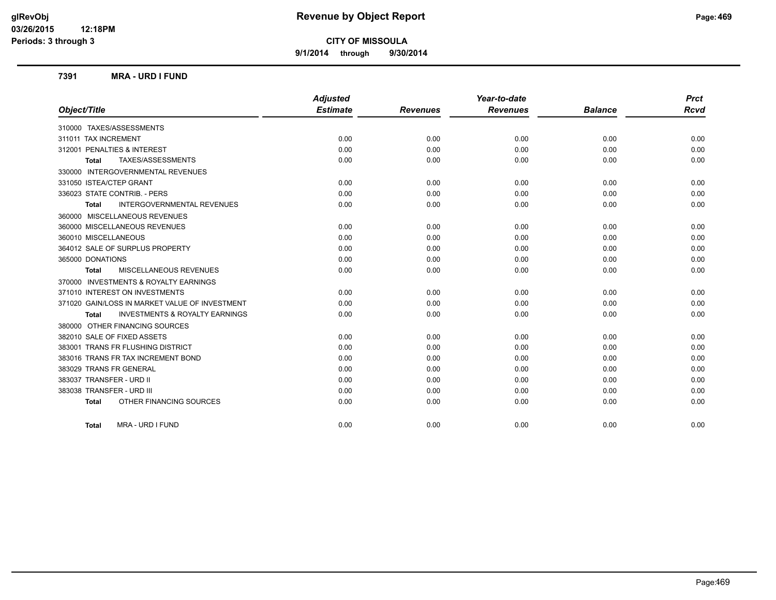# **glRevObj Revenue by Object Report Page:469**

**CITY OF MISSOULA**

**9/1/2014 through 9/30/2014**

#### **7391 MRA - URD I FUND**

|                                                           | <b>Adjusted</b> |                 | Year-to-date    |                | <b>Prct</b> |
|-----------------------------------------------------------|-----------------|-----------------|-----------------|----------------|-------------|
| Object/Title                                              | <b>Estimate</b> | <b>Revenues</b> | <b>Revenues</b> | <b>Balance</b> | <b>Rcvd</b> |
| 310000 TAXES/ASSESSMENTS                                  |                 |                 |                 |                |             |
| 311011 TAX INCREMENT                                      | 0.00            | 0.00            | 0.00            | 0.00           | 0.00        |
| 312001 PENALTIES & INTEREST                               | 0.00            | 0.00            | 0.00            | 0.00           | 0.00        |
| TAXES/ASSESSMENTS<br><b>Total</b>                         | 0.00            | 0.00            | 0.00            | 0.00           | 0.00        |
| 330000 INTERGOVERNMENTAL REVENUES                         |                 |                 |                 |                |             |
| 331050 ISTEA/CTEP GRANT                                   | 0.00            | 0.00            | 0.00            | 0.00           | 0.00        |
| 336023 STATE CONTRIB. - PERS                              | 0.00            | 0.00            | 0.00            | 0.00           | 0.00        |
| <b>INTERGOVERNMENTAL REVENUES</b><br><b>Total</b>         | 0.00            | 0.00            | 0.00            | 0.00           | 0.00        |
| 360000 MISCELLANEOUS REVENUES                             |                 |                 |                 |                |             |
| 360000 MISCELLANEOUS REVENUES                             | 0.00            | 0.00            | 0.00            | 0.00           | 0.00        |
| 360010 MISCELLANEOUS                                      | 0.00            | 0.00            | 0.00            | 0.00           | 0.00        |
| 364012 SALE OF SURPLUS PROPERTY                           | 0.00            | 0.00            | 0.00            | 0.00           | 0.00        |
| 365000 DONATIONS                                          | 0.00            | 0.00            | 0.00            | 0.00           | 0.00        |
| <b>MISCELLANEOUS REVENUES</b><br><b>Total</b>             | 0.00            | 0.00            | 0.00            | 0.00           | 0.00        |
| 370000 INVESTMENTS & ROYALTY EARNINGS                     |                 |                 |                 |                |             |
| 371010 INTEREST ON INVESTMENTS                            | 0.00            | 0.00            | 0.00            | 0.00           | 0.00        |
| 371020 GAIN/LOSS IN MARKET VALUE OF INVESTMENT            | 0.00            | 0.00            | 0.00            | 0.00           | 0.00        |
| <b>INVESTMENTS &amp; ROYALTY EARNINGS</b><br><b>Total</b> | 0.00            | 0.00            | 0.00            | 0.00           | 0.00        |
| 380000 OTHER FINANCING SOURCES                            |                 |                 |                 |                |             |
| 382010 SALE OF FIXED ASSETS                               | 0.00            | 0.00            | 0.00            | 0.00           | 0.00        |
| 383001 TRANS FR FLUSHING DISTRICT                         | 0.00            | 0.00            | 0.00            | 0.00           | 0.00        |
| 383016 TRANS FR TAX INCREMENT BOND                        | 0.00            | 0.00            | 0.00            | 0.00           | 0.00        |
| 383029 TRANS FR GENERAL                                   | 0.00            | 0.00            | 0.00            | 0.00           | 0.00        |
| 383037 TRANSFER - URD II                                  | 0.00            | 0.00            | 0.00            | 0.00           | 0.00        |
| 383038 TRANSFER - URD III                                 | 0.00            | 0.00            | 0.00            | 0.00           | 0.00        |
| OTHER FINANCING SOURCES<br><b>Total</b>                   | 0.00            | 0.00            | 0.00            | 0.00           | 0.00        |
| MRA - URD I FUND<br><b>Total</b>                          | 0.00            | 0.00            | 0.00            | 0.00           | 0.00        |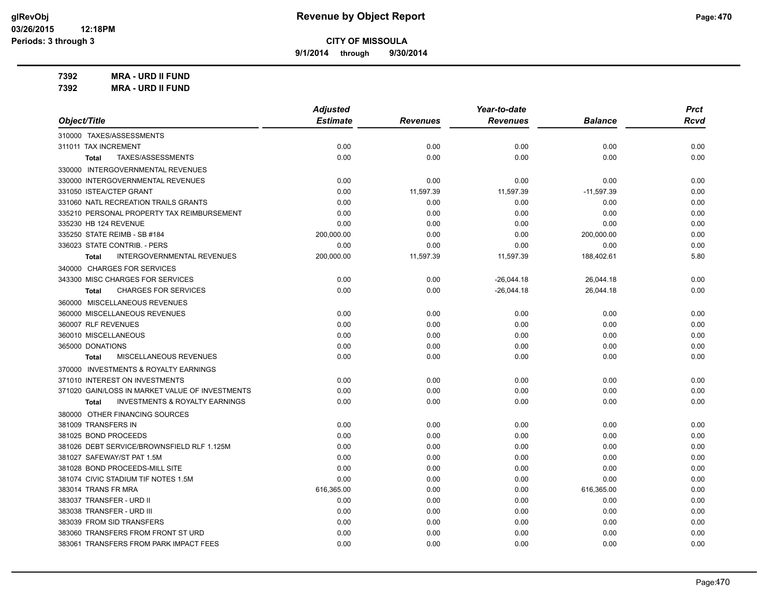**9/1/2014 through 9/30/2014**

**7392 MRA - URD II FUND 7392 MRA - URD II FUND**

|                                                    | <b>Adjusted</b> |                 | Year-to-date    |                | Prct        |
|----------------------------------------------------|-----------------|-----------------|-----------------|----------------|-------------|
| Object/Title                                       | <b>Estimate</b> | <b>Revenues</b> | <b>Revenues</b> | <b>Balance</b> | <b>Rcvd</b> |
| 310000 TAXES/ASSESSMENTS                           |                 |                 |                 |                |             |
| 311011 TAX INCREMENT                               | 0.00            | 0.00            | 0.00            | 0.00           | 0.00        |
| TAXES/ASSESSMENTS<br>Total                         | 0.00            | 0.00            | 0.00            | 0.00           | 0.00        |
| 330000 INTERGOVERNMENTAL REVENUES                  |                 |                 |                 |                |             |
| 330000 INTERGOVERNMENTAL REVENUES                  | 0.00            | 0.00            | 0.00            | 0.00           | 0.00        |
| 331050 ISTEA/CTEP GRANT                            | 0.00            | 11,597.39       | 11,597.39       | $-11,597.39$   | 0.00        |
| 331060 NATL RECREATION TRAILS GRANTS               | 0.00            | 0.00            | 0.00            | 0.00           | 0.00        |
| 335210 PERSONAL PROPERTY TAX REIMBURSEMENT         | 0.00            | 0.00            | 0.00            | 0.00           | 0.00        |
| 335230 HB 124 REVENUE                              | 0.00            | 0.00            | 0.00            | 0.00           | 0.00        |
| 335250 STATE REIMB - SB #184                       | 200,000.00      | 0.00            | 0.00            | 200,000.00     | 0.00        |
| 336023 STATE CONTRIB. - PERS                       | 0.00            | 0.00            | 0.00            | 0.00           | 0.00        |
| <b>INTERGOVERNMENTAL REVENUES</b><br>Total         | 200,000.00      | 11,597.39       | 11,597.39       | 188,402.61     | 5.80        |
| 340000 CHARGES FOR SERVICES                        |                 |                 |                 |                |             |
| 343300 MISC CHARGES FOR SERVICES                   | 0.00            | 0.00            | $-26,044.18$    | 26,044.18      | 0.00        |
| <b>CHARGES FOR SERVICES</b><br><b>Total</b>        | 0.00            | 0.00            | $-26,044.18$    | 26,044.18      | 0.00        |
| 360000 MISCELLANEOUS REVENUES                      |                 |                 |                 |                |             |
| 360000 MISCELLANEOUS REVENUES                      | 0.00            | 0.00            | 0.00            | 0.00           | 0.00        |
| 360007 RLF REVENUES                                | 0.00            | 0.00            | 0.00            | 0.00           | 0.00        |
| 360010 MISCELLANEOUS                               | 0.00            | 0.00            | 0.00            | 0.00           | 0.00        |
| 365000 DONATIONS                                   | 0.00            | 0.00            | 0.00            | 0.00           | 0.00        |
| MISCELLANEOUS REVENUES<br><b>Total</b>             | 0.00            | 0.00            | 0.00            | 0.00           | 0.00        |
| 370000 INVESTMENTS & ROYALTY EARNINGS              |                 |                 |                 |                |             |
| 371010 INTEREST ON INVESTMENTS                     | 0.00            | 0.00            | 0.00            | 0.00           | 0.00        |
| 371020 GAIN/LOSS IN MARKET VALUE OF INVESTMENTS    | 0.00            | 0.00            | 0.00            | 0.00           | 0.00        |
| <b>INVESTMENTS &amp; ROYALTY EARNINGS</b><br>Total | 0.00            | 0.00            | 0.00            | 0.00           | 0.00        |
| 380000 OTHER FINANCING SOURCES                     |                 |                 |                 |                |             |
| 381009 TRANSFERS IN                                | 0.00            | 0.00            | 0.00            | 0.00           | 0.00        |
| 381025 BOND PROCEEDS                               | 0.00            | 0.00            | 0.00            | 0.00           | 0.00        |
| 381026 DEBT SERVICE/BROWNSFIELD RLF 1.125M         | 0.00            | 0.00            | 0.00            | 0.00           | 0.00        |
| 381027 SAFEWAY/ST PAT 1.5M                         | 0.00            | 0.00            | 0.00            | 0.00           | 0.00        |
| 381028 BOND PROCEEDS-MILL SITE                     | 0.00            | 0.00            | 0.00            | 0.00           | 0.00        |
| 381074 CIVIC STADIUM TIF NOTES 1.5M                | 0.00            | 0.00            | 0.00            | 0.00           | 0.00        |
| 383014 TRANS FR MRA                                | 616,365.00      | 0.00            | 0.00            | 616,365.00     | 0.00        |
| 383037 TRANSFER - URD II                           | 0.00            | 0.00            | 0.00            | 0.00           | 0.00        |
| 383038 TRANSFER - URD III                          | 0.00            | 0.00            | 0.00            | 0.00           | 0.00        |
| 383039 FROM SID TRANSFERS                          | 0.00            | 0.00            | 0.00            | 0.00           | 0.00        |
| 383060 TRANSFERS FROM FRONT ST URD                 | 0.00            | 0.00            | 0.00            | 0.00           | 0.00        |
| 383061 TRANSFERS FROM PARK IMPACT FEES             | 0.00            | 0.00            | 0.00            | 0.00           | 0.00        |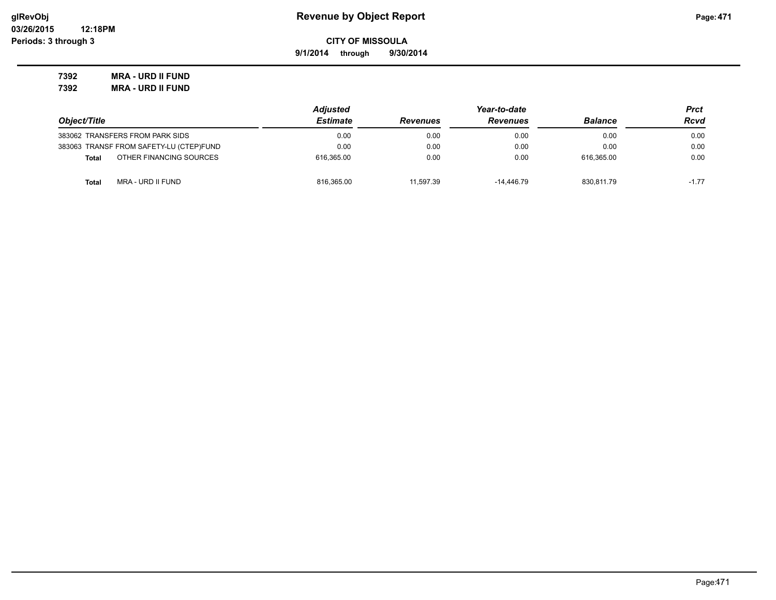**9/1/2014 through 9/30/2014**

**7392 MRA - URD II FUND 7392 MRA - URD II FUND**

|                                         | <b>Adjusted</b> |                 | Prct            |                |         |
|-----------------------------------------|-----------------|-----------------|-----------------|----------------|---------|
| Object/Title                            | <b>Estimate</b> | <b>Revenues</b> | <b>Revenues</b> | <b>Balance</b> | Rcvd    |
| 383062 TRANSFERS FROM PARK SIDS         | 0.00            | 0.00            | 0.00            | 0.00           | 0.00    |
| 383063 TRANSF FROM SAFETY-LU (CTEP)FUND | 0.00            | 0.00            | 0.00            | 0.00           | 0.00    |
| OTHER FINANCING SOURCES<br><b>Total</b> | 616.365.00      | 0.00            | 0.00            | 616.365.00     | 0.00    |
| MRA - URD II FUND<br>Total              | 816.365.00      | 11.597.39       | $-14.446.79$    | 830.811.79     | $-1.77$ |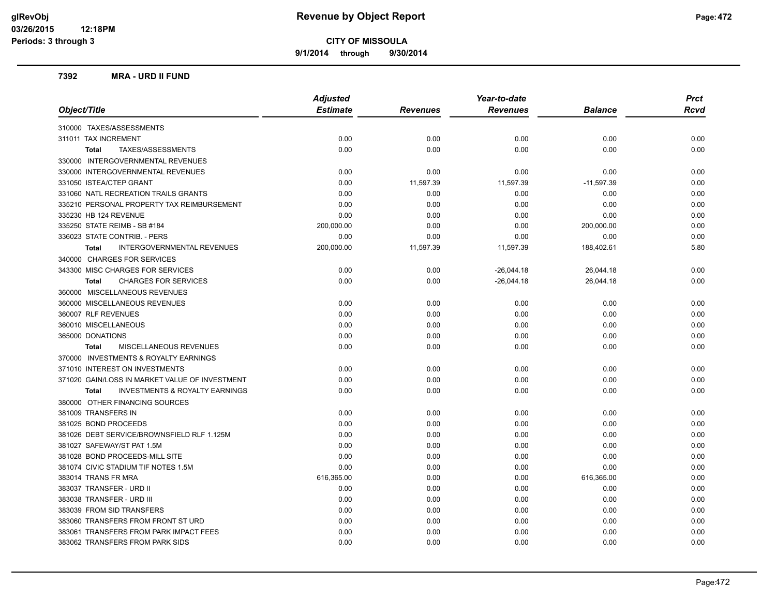**9/1/2014 through 9/30/2014**

#### **7392 MRA - URD II FUND**

|                                                           | <b>Adjusted</b> |                 | Year-to-date    | <b>Prct</b>    |             |
|-----------------------------------------------------------|-----------------|-----------------|-----------------|----------------|-------------|
| Object/Title                                              | <b>Estimate</b> | <b>Revenues</b> | <b>Revenues</b> | <b>Balance</b> | <b>Rcvd</b> |
| 310000 TAXES/ASSESSMENTS                                  |                 |                 |                 |                |             |
| 311011 TAX INCREMENT                                      | 0.00            | 0.00            | 0.00            | 0.00           | 0.00        |
| TAXES/ASSESSMENTS<br><b>Total</b>                         | 0.00            | 0.00            | 0.00            | 0.00           | 0.00        |
| 330000 INTERGOVERNMENTAL REVENUES                         |                 |                 |                 |                |             |
| 330000 INTERGOVERNMENTAL REVENUES                         | 0.00            | 0.00            | 0.00            | 0.00           | 0.00        |
| 331050 ISTEA/CTEP GRANT                                   | 0.00            | 11,597.39       | 11,597.39       | $-11,597.39$   | 0.00        |
| 331060 NATL RECREATION TRAILS GRANTS                      | 0.00            | 0.00            | 0.00            | 0.00           | 0.00        |
| 335210 PERSONAL PROPERTY TAX REIMBURSEMENT                | 0.00            | 0.00            | 0.00            | 0.00           | 0.00        |
| 335230 HB 124 REVENUE                                     | 0.00            | 0.00            | 0.00            | 0.00           | 0.00        |
| 335250 STATE REIMB - SB #184                              | 200,000.00      | 0.00            | 0.00            | 200,000.00     | 0.00        |
| 336023 STATE CONTRIB. - PERS                              | 0.00            | 0.00            | 0.00            | 0.00           | 0.00        |
| INTERGOVERNMENTAL REVENUES<br><b>Total</b>                | 200,000.00      | 11,597.39       | 11,597.39       | 188,402.61     | 5.80        |
| 340000 CHARGES FOR SERVICES                               |                 |                 |                 |                |             |
| 343300 MISC CHARGES FOR SERVICES                          | 0.00            | 0.00            | $-26,044.18$    | 26,044.18      | 0.00        |
| <b>CHARGES FOR SERVICES</b><br><b>Total</b>               | 0.00            | 0.00            | $-26,044.18$    | 26,044.18      | 0.00        |
| 360000 MISCELLANEOUS REVENUES                             |                 |                 |                 |                |             |
| 360000 MISCELLANEOUS REVENUES                             | 0.00            | 0.00            | 0.00            | 0.00           | 0.00        |
| 360007 RLF REVENUES                                       | 0.00            | 0.00            | 0.00            | 0.00           | 0.00        |
| 360010 MISCELLANEOUS                                      | 0.00            | 0.00            | 0.00            | 0.00           | 0.00        |
| 365000 DONATIONS                                          | 0.00            | 0.00            | 0.00            | 0.00           | 0.00        |
| <b>MISCELLANEOUS REVENUES</b><br><b>Total</b>             | 0.00            | 0.00            | 0.00            | 0.00           | 0.00        |
| 370000 INVESTMENTS & ROYALTY EARNINGS                     |                 |                 |                 |                |             |
| 371010 INTEREST ON INVESTMENTS                            | 0.00            | 0.00            | 0.00            | 0.00           | 0.00        |
| 371020 GAIN/LOSS IN MARKET VALUE OF INVESTMENT            | 0.00            | 0.00            | 0.00            | 0.00           | 0.00        |
| <b>INVESTMENTS &amp; ROYALTY EARNINGS</b><br><b>Total</b> | 0.00            | 0.00            | 0.00            | 0.00           | 0.00        |
| 380000 OTHER FINANCING SOURCES                            |                 |                 |                 |                |             |
| 381009 TRANSFERS IN                                       | 0.00            | 0.00            | 0.00            | 0.00           | 0.00        |
| 381025 BOND PROCEEDS                                      | 0.00            | 0.00            | 0.00            | 0.00           | 0.00        |
| 381026 DEBT SERVICE/BROWNSFIELD RLF 1.125M                | 0.00            | 0.00            | 0.00            | 0.00           | 0.00        |
| 381027 SAFEWAY/ST PAT 1.5M                                | 0.00            | 0.00            | 0.00            | 0.00           | 0.00        |
| 381028 BOND PROCEEDS-MILL SITE                            | 0.00            | 0.00            | 0.00            | 0.00           | 0.00        |
| 381074 CIVIC STADIUM TIF NOTES 1.5M                       | 0.00            | 0.00            | 0.00            | 0.00           | 0.00        |
| 383014 TRANS FR MRA                                       | 616,365.00      | 0.00            | 0.00            | 616,365.00     | 0.00        |
| 383037 TRANSFER - URD II                                  | 0.00            | 0.00            | 0.00            | 0.00           | 0.00        |
| 383038 TRANSFER - URD III                                 | 0.00            | 0.00            | 0.00            | 0.00           | 0.00        |
| 383039 FROM SID TRANSFERS                                 | 0.00            | 0.00            | 0.00            | 0.00           | 0.00        |
| 383060 TRANSFERS FROM FRONT ST URD                        | 0.00            | 0.00            | 0.00            | 0.00           | 0.00        |
| 383061 TRANSFERS FROM PARK IMPACT FEES                    | 0.00            | 0.00            | 0.00            | 0.00           | 0.00        |
| 383062 TRANSFERS FROM PARK SIDS                           | 0.00            | 0.00            | 0.00            | 0.00           | 0.00        |
|                                                           |                 |                 |                 |                |             |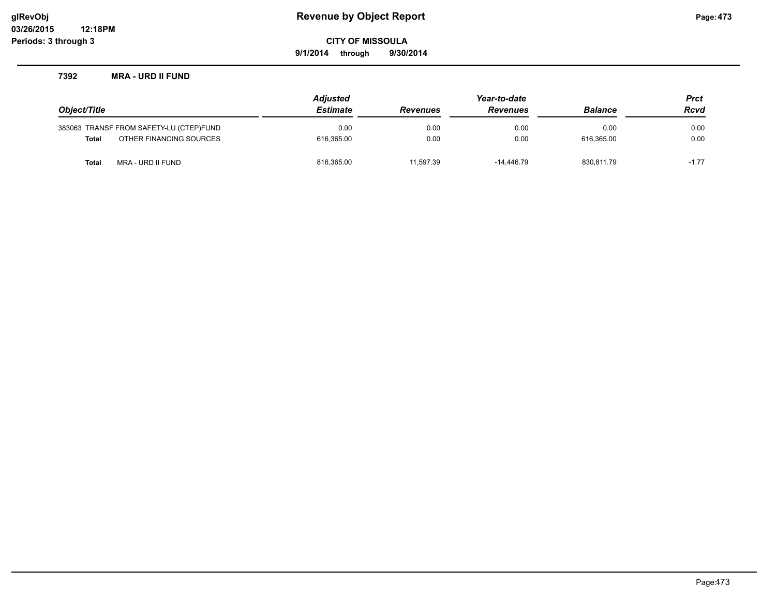# **glRevObj Revenue by Object Report Page:473**

**CITY OF MISSOULA**

**9/1/2014 through 9/30/2014**

#### **7392 MRA - URD II FUND**

|              |                                         | <b>Adjusted</b> |                 |                 | <b>Prct</b>    |             |
|--------------|-----------------------------------------|-----------------|-----------------|-----------------|----------------|-------------|
| Object/Title |                                         | <b>Estimate</b> | <b>Revenues</b> | <b>Revenues</b> | <b>Balance</b> | <b>Rcvd</b> |
|              | 383063 TRANSF FROM SAFETY-LU (CTEP)FUND | 0.00            | 0.00            | 0.00            | 0.00           | 0.00        |
| <b>Total</b> | OTHER FINANCING SOURCES                 | 616.365.00      | 0.00            | 0.00            | 616.365.00     | 0.00        |
| Total        | MRA - URD II FUND                       | 816,365.00      | 11.597.39       | -14.446.79      | 830,811.79     | $-1.77$     |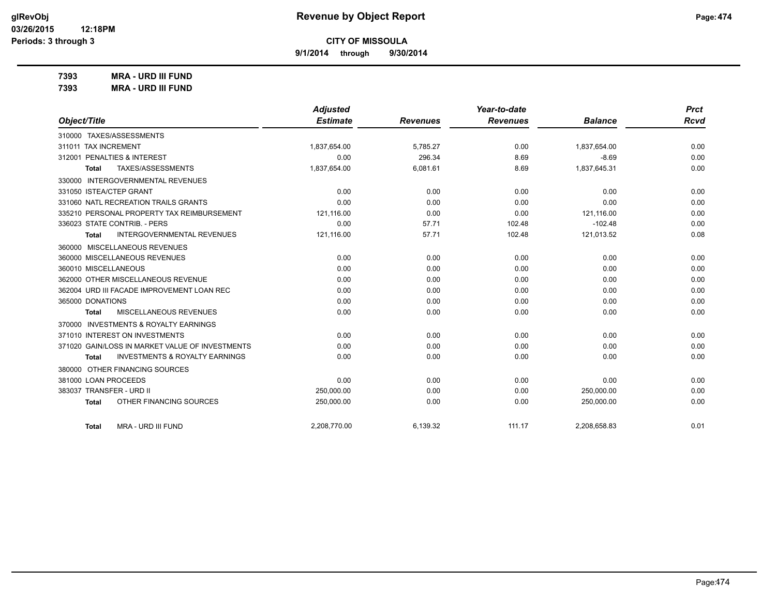**9/1/2014 through 9/30/2014**

**7393 MRA - URD III FUND**

**7393 MRA - URD III FUND**

|                                                           | <b>Adjusted</b> |                 | Year-to-date    |                | <b>Prct</b> |
|-----------------------------------------------------------|-----------------|-----------------|-----------------|----------------|-------------|
| Object/Title                                              | <b>Estimate</b> | <b>Revenues</b> | <b>Revenues</b> | <b>Balance</b> | <b>Rcvd</b> |
| 310000 TAXES/ASSESSMENTS                                  |                 |                 |                 |                |             |
| 311011 TAX INCREMENT                                      | 1,837,654.00    | 5,785.27        | 0.00            | 1,837,654.00   | 0.00        |
| 312001 PENALTIES & INTEREST                               | 0.00            | 296.34          | 8.69            | $-8.69$        | 0.00        |
| TAXES/ASSESSMENTS<br><b>Total</b>                         | 1,837,654.00    | 6,081.61        | 8.69            | 1,837,645.31   | 0.00        |
| 330000 INTERGOVERNMENTAL REVENUES                         |                 |                 |                 |                |             |
| 331050 ISTEA/CTEP GRANT                                   | 0.00            | 0.00            | 0.00            | 0.00           | 0.00        |
| 331060 NATL RECREATION TRAILS GRANTS                      | 0.00            | 0.00            | 0.00            | 0.00           | 0.00        |
| 335210 PERSONAL PROPERTY TAX REIMBURSEMENT                | 121,116.00      | 0.00            | 0.00            | 121.116.00     | 0.00        |
| 336023 STATE CONTRIB. - PERS                              | 0.00            | 57.71           | 102.48          | $-102.48$      | 0.00        |
| <b>INTERGOVERNMENTAL REVENUES</b><br>Total                | 121,116.00      | 57.71           | 102.48          | 121,013.52     | 0.08        |
| 360000 MISCELLANEOUS REVENUES                             |                 |                 |                 |                |             |
| 360000 MISCELLANEOUS REVENUES                             | 0.00            | 0.00            | 0.00            | 0.00           | 0.00        |
| 360010 MISCELLANEOUS                                      | 0.00            | 0.00            | 0.00            | 0.00           | 0.00        |
| 362000 OTHER MISCELLANEOUS REVENUE                        | 0.00            | 0.00            | 0.00            | 0.00           | 0.00        |
| 362004 URD III FACADE IMPROVEMENT LOAN REC                | 0.00            | 0.00            | 0.00            | 0.00           | 0.00        |
| 365000 DONATIONS                                          | 0.00            | 0.00            | 0.00            | 0.00           | 0.00        |
| MISCELLANEOUS REVENUES<br><b>Total</b>                    | 0.00            | 0.00            | 0.00            | 0.00           | 0.00        |
| <b>INVESTMENTS &amp; ROYALTY EARNINGS</b><br>370000       |                 |                 |                 |                |             |
| 371010 INTEREST ON INVESTMENTS                            | 0.00            | 0.00            | 0.00            | 0.00           | 0.00        |
| 371020 GAIN/LOSS IN MARKET VALUE OF INVESTMENTS           | 0.00            | 0.00            | 0.00            | 0.00           | 0.00        |
| <b>INVESTMENTS &amp; ROYALTY EARNINGS</b><br><b>Total</b> | 0.00            | 0.00            | 0.00            | 0.00           | 0.00        |
| 380000 OTHER FINANCING SOURCES                            |                 |                 |                 |                |             |
| 381000 LOAN PROCEEDS                                      | 0.00            | 0.00            | 0.00            | 0.00           | 0.00        |
| 383037 TRANSFER - URD II                                  | 250,000.00      | 0.00            | 0.00            | 250,000.00     | 0.00        |
| OTHER FINANCING SOURCES<br><b>Total</b>                   | 250,000.00      | 0.00            | 0.00            | 250,000.00     | 0.00        |
| MRA - URD III FUND<br><b>Total</b>                        | 2,208,770.00    | 6,139.32        | 111.17          | 2,208,658.83   | 0.01        |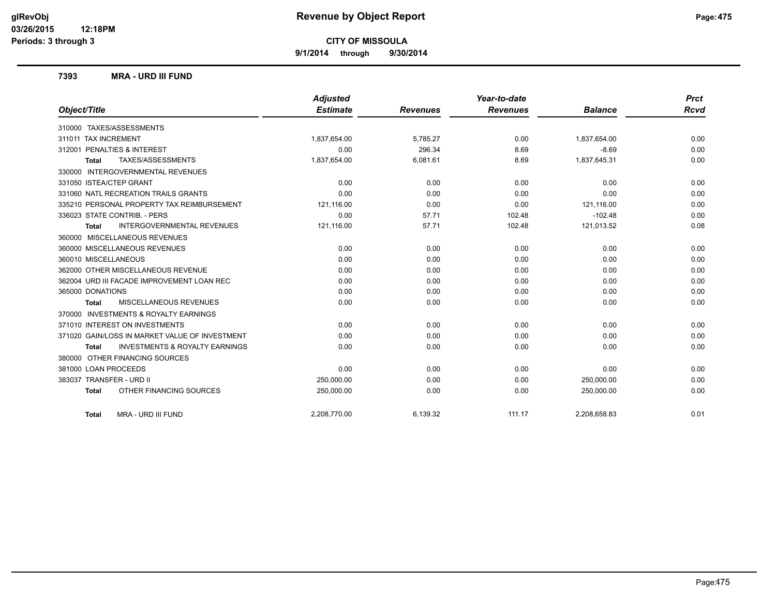**9/1/2014 through 9/30/2014**

#### **7393 MRA - URD III FUND**

|                                                           | <b>Adjusted</b> |                 | Year-to-date    |                | <b>Prct</b> |
|-----------------------------------------------------------|-----------------|-----------------|-----------------|----------------|-------------|
| Object/Title                                              | <b>Estimate</b> | <b>Revenues</b> | <b>Revenues</b> | <b>Balance</b> | <b>Rcvd</b> |
| 310000 TAXES/ASSESSMENTS                                  |                 |                 |                 |                |             |
| 311011 TAX INCREMENT                                      | 1,837,654.00    | 5,785.27        | 0.00            | 1,837,654.00   | 0.00        |
| 312001 PENALTIES & INTEREST                               | 0.00            | 296.34          | 8.69            | $-8.69$        | 0.00        |
| TAXES/ASSESSMENTS<br><b>Total</b>                         | 1,837,654.00    | 6,081.61        | 8.69            | 1,837,645.31   | 0.00        |
| 330000 INTERGOVERNMENTAL REVENUES                         |                 |                 |                 |                |             |
| 331050 ISTEA/CTEP GRANT                                   | 0.00            | 0.00            | 0.00            | 0.00           | 0.00        |
| 331060 NATL RECREATION TRAILS GRANTS                      | 0.00            | 0.00            | 0.00            | 0.00           | 0.00        |
| 335210 PERSONAL PROPERTY TAX REIMBURSEMENT                | 121.116.00      | 0.00            | 0.00            | 121.116.00     | 0.00        |
| 336023 STATE CONTRIB. - PERS                              | 0.00            | 57.71           | 102.48          | $-102.48$      | 0.00        |
| <b>INTERGOVERNMENTAL REVENUES</b><br><b>Total</b>         | 121,116.00      | 57.71           | 102.48          | 121,013.52     | 0.08        |
| 360000 MISCELLANEOUS REVENUES                             |                 |                 |                 |                |             |
| 360000 MISCELLANEOUS REVENUES                             | 0.00            | 0.00            | 0.00            | 0.00           | 0.00        |
| 360010 MISCELLANEOUS                                      | 0.00            | 0.00            | 0.00            | 0.00           | 0.00        |
| 362000 OTHER MISCELLANEOUS REVENUE                        | 0.00            | 0.00            | 0.00            | 0.00           | 0.00        |
| 362004 URD III FACADE IMPROVEMENT LOAN REC                | 0.00            | 0.00            | 0.00            | 0.00           | 0.00        |
| 365000 DONATIONS                                          | 0.00            | 0.00            | 0.00            | 0.00           | 0.00        |
| MISCELLANEOUS REVENUES<br><b>Total</b>                    | 0.00            | 0.00            | 0.00            | 0.00           | 0.00        |
| 370000 INVESTMENTS & ROYALTY EARNINGS                     |                 |                 |                 |                |             |
| 371010 INTEREST ON INVESTMENTS                            | 0.00            | 0.00            | 0.00            | 0.00           | 0.00        |
| 371020 GAIN/LOSS IN MARKET VALUE OF INVESTMENT            | 0.00            | 0.00            | 0.00            | 0.00           | 0.00        |
| <b>INVESTMENTS &amp; ROYALTY EARNINGS</b><br><b>Total</b> | 0.00            | 0.00            | 0.00            | 0.00           | 0.00        |
| 380000 OTHER FINANCING SOURCES                            |                 |                 |                 |                |             |
| 381000 LOAN PROCEEDS                                      | 0.00            | 0.00            | 0.00            | 0.00           | 0.00        |
| 383037 TRANSFER - URD II                                  | 250,000.00      | 0.00            | 0.00            | 250,000.00     | 0.00        |
| OTHER FINANCING SOURCES<br><b>Total</b>                   | 250,000.00      | 0.00            | 0.00            | 250,000.00     | 0.00        |
| MRA - URD III FUND<br><b>Total</b>                        | 2,208,770.00    | 6,139.32        | 111.17          | 2,208,658.83   | 0.01        |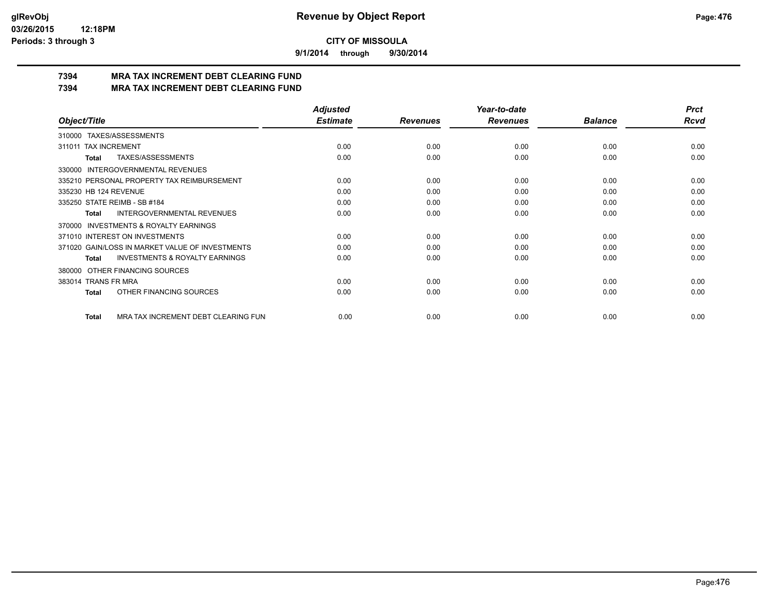**9/1/2014 through 9/30/2014**

# **7394 MRA TAX INCREMENT DEBT CLEARING FUND**

**7394 MRA TAX INCREMENT DEBT CLEARING FUND**

|                                                     | <b>Adjusted</b> |                 | Year-to-date    |                | <b>Prct</b> |
|-----------------------------------------------------|-----------------|-----------------|-----------------|----------------|-------------|
| Object/Title                                        | <b>Estimate</b> | <b>Revenues</b> | <b>Revenues</b> | <b>Balance</b> | <b>Rcvd</b> |
| 310000 TAXES/ASSESSMENTS                            |                 |                 |                 |                |             |
| <b>TAX INCREMENT</b><br>311011                      | 0.00            | 0.00            | 0.00            | 0.00           | 0.00        |
| TAXES/ASSESSMENTS<br>Total                          | 0.00            | 0.00            | 0.00            | 0.00           | 0.00        |
| <b>INTERGOVERNMENTAL REVENUES</b><br>330000         |                 |                 |                 |                |             |
| 335210 PERSONAL PROPERTY TAX REIMBURSEMENT          | 0.00            | 0.00            | 0.00            | 0.00           | 0.00        |
| 335230 HB 124 REVENUE                               | 0.00            | 0.00            | 0.00            | 0.00           | 0.00        |
| 335250 STATE REIMB - SB #184                        | 0.00            | 0.00            | 0.00            | 0.00           | 0.00        |
| INTERGOVERNMENTAL REVENUES<br>Total                 | 0.00            | 0.00            | 0.00            | 0.00           | 0.00        |
| <b>INVESTMENTS &amp; ROYALTY EARNINGS</b><br>370000 |                 |                 |                 |                |             |
| 371010 INTEREST ON INVESTMENTS                      | 0.00            | 0.00            | 0.00            | 0.00           | 0.00        |
| 371020 GAIN/LOSS IN MARKET VALUE OF INVESTMENTS     | 0.00            | 0.00            | 0.00            | 0.00           | 0.00        |
| <b>INVESTMENTS &amp; ROYALTY EARNINGS</b><br>Total  | 0.00            | 0.00            | 0.00            | 0.00           | 0.00        |
| OTHER FINANCING SOURCES<br>380000                   |                 |                 |                 |                |             |
| 383014 TRANS FR MRA                                 | 0.00            | 0.00            | 0.00            | 0.00           | 0.00        |
| OTHER FINANCING SOURCES<br>Total                    | 0.00            | 0.00            | 0.00            | 0.00           | 0.00        |
| MRA TAX INCREMENT DEBT CLEARING FUN<br>Total        | 0.00            | 0.00            | 0.00            | 0.00           | 0.00        |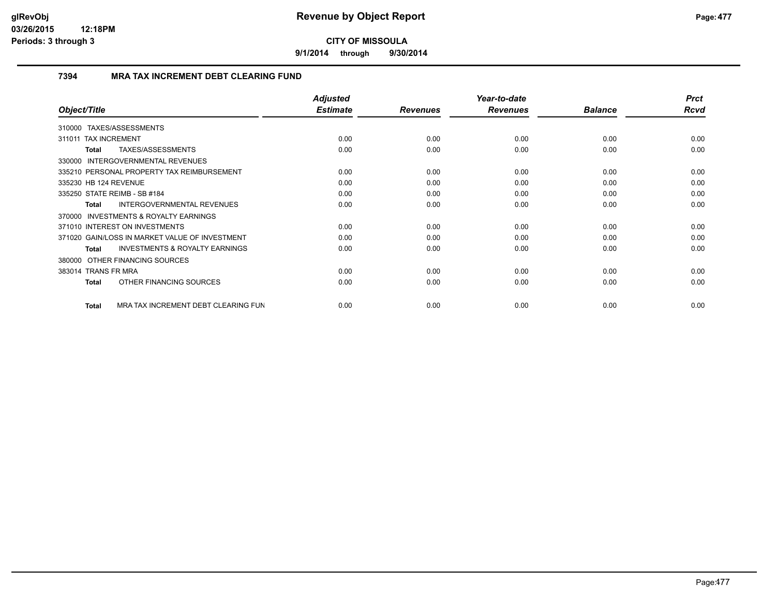**9/1/2014 through 9/30/2014**

## **7394 MRA TAX INCREMENT DEBT CLEARING FUND**

| Object/Title                                        | <b>Adjusted</b><br><b>Estimate</b> | <b>Revenues</b> | Year-to-date<br><b>Revenues</b> | <b>Balance</b> | <b>Prct</b><br>Rcvd |
|-----------------------------------------------------|------------------------------------|-----------------|---------------------------------|----------------|---------------------|
| TAXES/ASSESSMENTS<br>310000                         |                                    |                 |                                 |                |                     |
| 311011 TAX INCREMENT                                | 0.00                               | 0.00            | 0.00                            | 0.00           | 0.00                |
| TAXES/ASSESSMENTS<br>Total                          | 0.00                               | 0.00            | 0.00                            | 0.00           | 0.00                |
| 330000 INTERGOVERNMENTAL REVENUES                   |                                    |                 |                                 |                |                     |
| 335210 PERSONAL PROPERTY TAX REIMBURSEMENT          | 0.00                               | 0.00            | 0.00                            | 0.00           | 0.00                |
| 335230 HB 124 REVENUE                               | 0.00                               | 0.00            | 0.00                            | 0.00           | 0.00                |
| 335250 STATE REIMB - SB #184                        | 0.00                               | 0.00            | 0.00                            | 0.00           | 0.00                |
| <b>INTERGOVERNMENTAL REVENUES</b><br><b>Total</b>   | 0.00                               | 0.00            | 0.00                            | 0.00           | 0.00                |
| <b>INVESTMENTS &amp; ROYALTY EARNINGS</b><br>370000 |                                    |                 |                                 |                |                     |
| 371010 INTEREST ON INVESTMENTS                      | 0.00                               | 0.00            | 0.00                            | 0.00           | 0.00                |
| 371020 GAIN/LOSS IN MARKET VALUE OF INVESTMENT      | 0.00                               | 0.00            | 0.00                            | 0.00           | 0.00                |
| <b>INVESTMENTS &amp; ROYALTY EARNINGS</b><br>Total  | 0.00                               | 0.00            | 0.00                            | 0.00           | 0.00                |
| 380000 OTHER FINANCING SOURCES                      |                                    |                 |                                 |                |                     |
| 383014 TRANS FR MRA                                 | 0.00                               | 0.00            | 0.00                            | 0.00           | 0.00                |
| OTHER FINANCING SOURCES<br><b>Total</b>             | 0.00                               | 0.00            | 0.00                            | 0.00           | 0.00                |
| MRA TAX INCREMENT DEBT CLEARING FUN<br><b>Total</b> | 0.00                               | 0.00            | 0.00                            | 0.00           | 0.00                |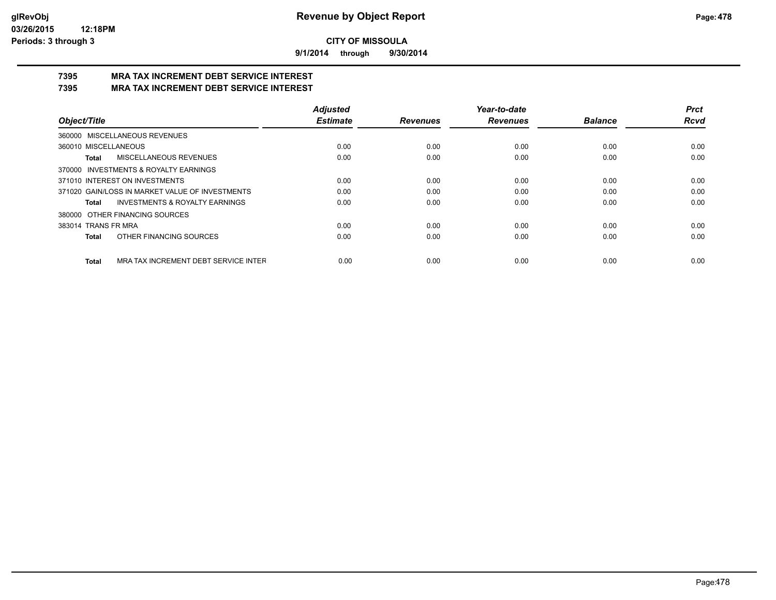**9/1/2014 through 9/30/2014**

#### **7395 MRA TAX INCREMENT DEBT SERVICE INTEREST 7395 MRA TAX INCREMENT DEBT SERVICE INTEREST**

|                                                      | <b>Adjusted</b> |                 | Year-to-date    |                | Prct        |
|------------------------------------------------------|-----------------|-----------------|-----------------|----------------|-------------|
| Object/Title                                         | <b>Estimate</b> | <b>Revenues</b> | <b>Revenues</b> | <b>Balance</b> | <b>Rcvd</b> |
| 360000 MISCELLANEOUS REVENUES                        |                 |                 |                 |                |             |
| 360010 MISCELLANEOUS                                 | 0.00            | 0.00            | 0.00            | 0.00           | 0.00        |
| MISCELLANEOUS REVENUES<br>Total                      | 0.00            | 0.00            | 0.00            | 0.00           | 0.00        |
| 370000 INVESTMENTS & ROYALTY EARNINGS                |                 |                 |                 |                |             |
| 371010 INTEREST ON INVESTMENTS                       | 0.00            | 0.00            | 0.00            | 0.00           | 0.00        |
| 371020 GAIN/LOSS IN MARKET VALUE OF INVESTMENTS      | 0.00            | 0.00            | 0.00            | 0.00           | 0.00        |
| <b>INVESTMENTS &amp; ROYALTY EARNINGS</b><br>Total   | 0.00            | 0.00            | 0.00            | 0.00           | 0.00        |
| OTHER FINANCING SOURCES<br>380000                    |                 |                 |                 |                |             |
| 383014 TRANS FR MRA                                  | 0.00            | 0.00            | 0.00            | 0.00           | 0.00        |
| OTHER FINANCING SOURCES<br>Total                     | 0.00            | 0.00            | 0.00            | 0.00           | 0.00        |
| MRA TAX INCREMENT DEBT SERVICE INTER<br><b>Total</b> | 0.00            | 0.00            | 0.00            | 0.00           | 0.00        |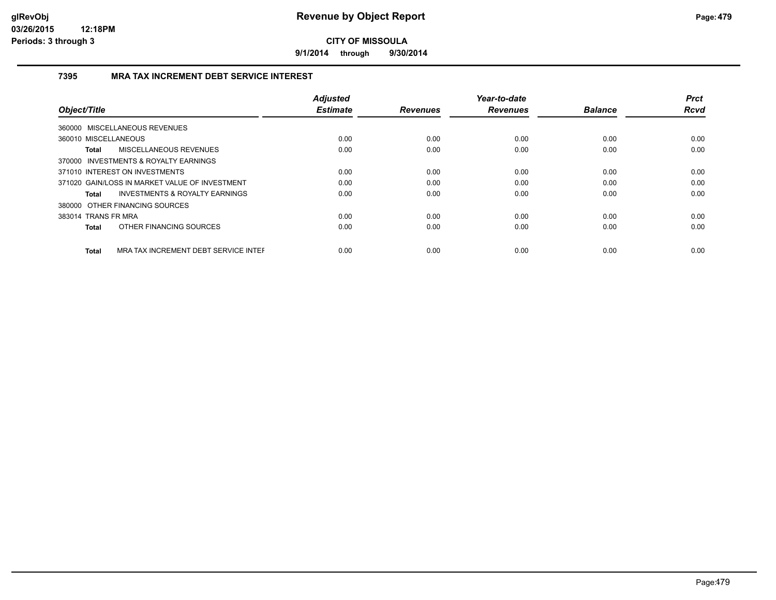**9/1/2014 through 9/30/2014**

## **7395 MRA TAX INCREMENT DEBT SERVICE INTEREST**

|                                                      | <b>Adjusted</b> |                 | Year-to-date    |                | <b>Prct</b> |
|------------------------------------------------------|-----------------|-----------------|-----------------|----------------|-------------|
| Object/Title                                         | <b>Estimate</b> | <b>Revenues</b> | <b>Revenues</b> | <b>Balance</b> | <b>Rcvd</b> |
| 360000 MISCELLANEOUS REVENUES                        |                 |                 |                 |                |             |
| 360010 MISCELLANEOUS                                 | 0.00            | 0.00            | 0.00            | 0.00           | 0.00        |
| MISCELLANEOUS REVENUES<br>Total                      | 0.00            | 0.00            | 0.00            | 0.00           | 0.00        |
| 370000 INVESTMENTS & ROYALTY EARNINGS                |                 |                 |                 |                |             |
| 371010 INTEREST ON INVESTMENTS                       | 0.00            | 0.00            | 0.00            | 0.00           | 0.00        |
| 371020 GAIN/LOSS IN MARKET VALUE OF INVESTMENT       | 0.00            | 0.00            | 0.00            | 0.00           | 0.00        |
| <b>INVESTMENTS &amp; ROYALTY EARNINGS</b><br>Total   | 0.00            | 0.00            | 0.00            | 0.00           | 0.00        |
| 380000 OTHER FINANCING SOURCES                       |                 |                 |                 |                |             |
| 383014 TRANS FR MRA                                  | 0.00            | 0.00            | 0.00            | 0.00           | 0.00        |
| OTHER FINANCING SOURCES<br>Total                     | 0.00            | 0.00            | 0.00            | 0.00           | 0.00        |
| MRA TAX INCREMENT DEBT SERVICE INTER<br><b>Total</b> | 0.00            | 0.00            | 0.00            | 0.00           | 0.00        |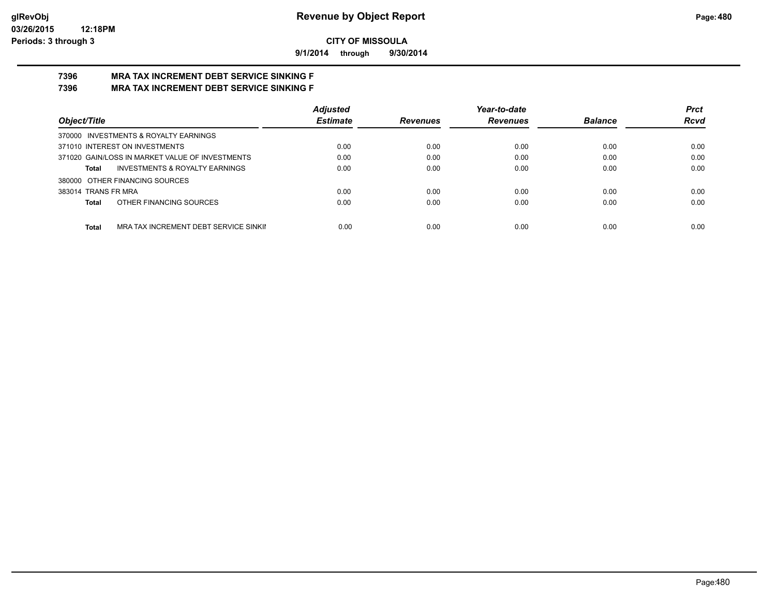**9/1/2014 through 9/30/2014**

#### **7396 MRA TAX INCREMENT DEBT SERVICE SINKING F 7396 MRA TAX INCREMENT DEBT SERVICE SINKING F**

|                                                 | <b>Adjusted</b> |                 | Year-to-date    |                | <b>Prct</b> |
|-------------------------------------------------|-----------------|-----------------|-----------------|----------------|-------------|
| Object/Title                                    | <b>Estimate</b> | <b>Revenues</b> | <b>Revenues</b> | <b>Balance</b> | <b>Rcvd</b> |
| 370000 INVESTMENTS & ROYALTY EARNINGS           |                 |                 |                 |                |             |
| 371010 INTEREST ON INVESTMENTS                  | 0.00            | 0.00            | 0.00            | 0.00           | 0.00        |
| 371020 GAIN/LOSS IN MARKET VALUE OF INVESTMENTS | 0.00            | 0.00            | 0.00            | 0.00           | 0.00        |
| INVESTMENTS & ROYALTY EARNINGS<br>Total         | 0.00            | 0.00            | 0.00            | 0.00           | 0.00        |
| 380000 OTHER FINANCING SOURCES                  |                 |                 |                 |                |             |
| 383014 TRANS FR MRA                             | 0.00            | 0.00            | 0.00            | 0.00           | 0.00        |
| OTHER FINANCING SOURCES<br>Total                | 0.00            | 0.00            | 0.00            | 0.00           | 0.00        |
|                                                 |                 |                 |                 |                |             |
| Total<br>MRA TAX INCREMENT DEBT SERVICE SINKII  | 0.00            | 0.00            | 0.00            | 0.00           | 0.00        |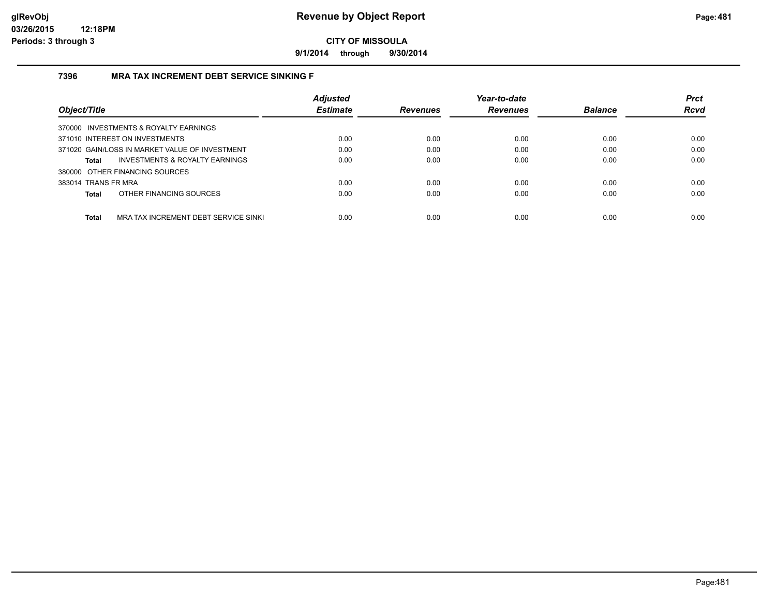**9/1/2014 through 9/30/2014**

### **7396 MRA TAX INCREMENT DEBT SERVICE SINKING F**

| <b>Adjusted</b>                                                                                                                                                                                                                |                 | Year-to-date    |                | <b>Prct</b> |
|--------------------------------------------------------------------------------------------------------------------------------------------------------------------------------------------------------------------------------|-----------------|-----------------|----------------|-------------|
| <b>Estimate</b>                                                                                                                                                                                                                | <b>Revenues</b> | <b>Revenues</b> | <b>Balance</b> | <b>Rcvd</b> |
|                                                                                                                                                                                                                                |                 |                 |                |             |
| 0.00                                                                                                                                                                                                                           | 0.00            | 0.00            | 0.00           | 0.00        |
| 0.00                                                                                                                                                                                                                           | 0.00            | 0.00            | 0.00           | 0.00        |
| 0.00                                                                                                                                                                                                                           | 0.00            | 0.00            | 0.00           | 0.00        |
|                                                                                                                                                                                                                                |                 |                 |                |             |
| 0.00                                                                                                                                                                                                                           | 0.00            | 0.00            | 0.00           | 0.00        |
| 0.00                                                                                                                                                                                                                           | 0.00            | 0.00            | 0.00           | 0.00        |
|                                                                                                                                                                                                                                |                 |                 |                | 0.00        |
| 370000 INVESTMENTS & ROYALTY EARNINGS<br>371020 GAIN/LOSS IN MARKET VALUE OF INVESTMENT<br>INVESTMENTS & ROYALTY EARNINGS<br>380000 OTHER FINANCING SOURCES<br>OTHER FINANCING SOURCES<br>MRA TAX INCREMENT DEBT SERVICE SINKI | 0.00            | 0.00            | 0.00           | 0.00        |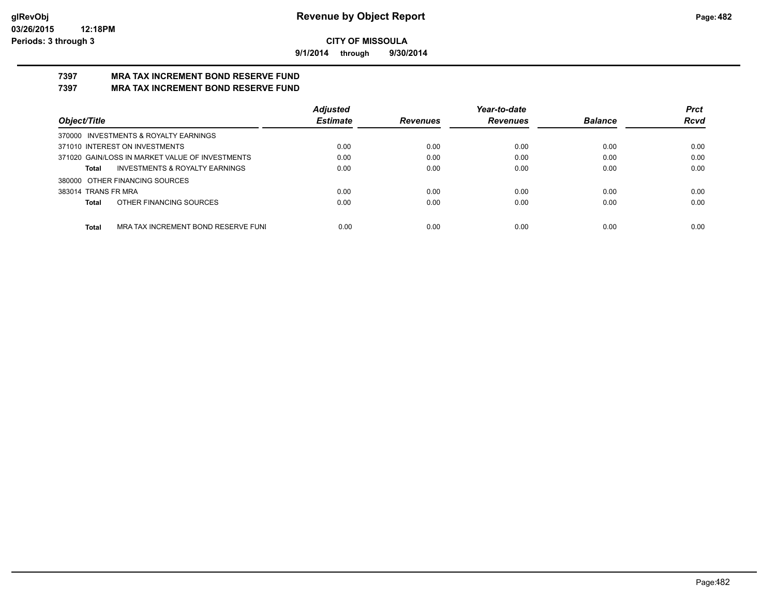**9/1/2014 through 9/30/2014**

#### **7397 MRA TAX INCREMENT BOND RESERVE FUND 7397 MRA TAX INCREMENT BOND RESERVE FUND**

|                                                     | <b>Adjusted</b> |                 | Year-to-date    |                | <b>Prct</b> |
|-----------------------------------------------------|-----------------|-----------------|-----------------|----------------|-------------|
| Object/Title                                        | <b>Estimate</b> | <b>Revenues</b> | <b>Revenues</b> | <b>Balance</b> | <b>Rcvd</b> |
| 370000 INVESTMENTS & ROYALTY EARNINGS               |                 |                 |                 |                |             |
| 371010 INTEREST ON INVESTMENTS                      | 0.00            | 0.00            | 0.00            | 0.00           | 0.00        |
| 371020 GAIN/LOSS IN MARKET VALUE OF INVESTMENTS     | 0.00            | 0.00            | 0.00            | 0.00           | 0.00        |
| <b>INVESTMENTS &amp; ROYALTY EARNINGS</b><br>Total  | 0.00            | 0.00            | 0.00            | 0.00           | 0.00        |
| 380000 OTHER FINANCING SOURCES                      |                 |                 |                 |                |             |
| 383014 TRANS FR MRA                                 | 0.00            | 0.00            | 0.00            | 0.00           | 0.00        |
| OTHER FINANCING SOURCES<br>Total                    | 0.00            | 0.00            | 0.00            | 0.00           | 0.00        |
|                                                     |                 |                 |                 |                |             |
| <b>Total</b><br>MRA TAX INCREMENT BOND RESERVE FUNI | 0.00            | 0.00            | 0.00            | 0.00           | 0.00        |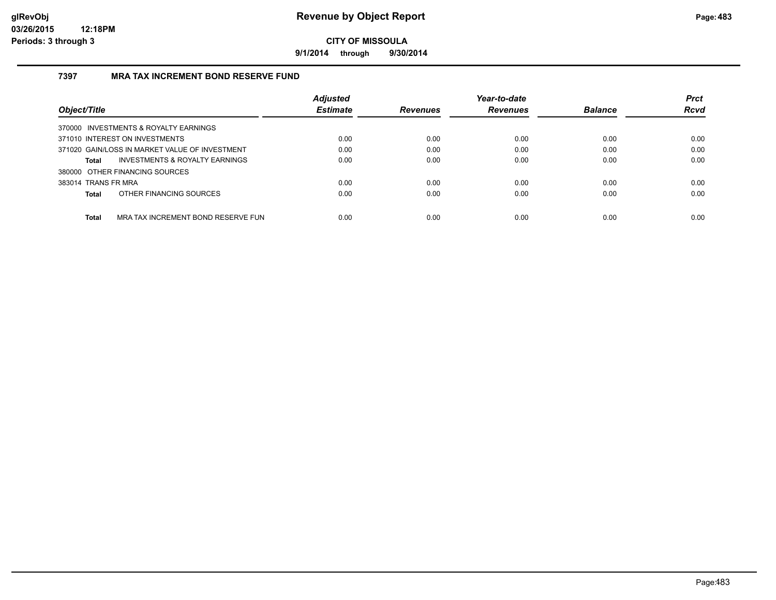**9/1/2014 through 9/30/2014**

## **7397 MRA TAX INCREMENT BOND RESERVE FUND**

| Object/Title                                       | <b>Adjusted</b><br><b>Estimate</b> | <b>Revenues</b> | Year-to-date<br><b>Revenues</b> | <b>Balance</b> | <b>Prct</b><br><b>Rcvd</b> |
|----------------------------------------------------|------------------------------------|-----------------|---------------------------------|----------------|----------------------------|
|                                                    |                                    |                 |                                 |                |                            |
| 370000 INVESTMENTS & ROYALTY EARNINGS              |                                    |                 |                                 |                |                            |
| 371010 INTEREST ON INVESTMENTS                     | 0.00                               | 0.00            | 0.00                            | 0.00           | 0.00                       |
| 371020 GAIN/LOSS IN MARKET VALUE OF INVESTMENT     | 0.00                               | 0.00            | 0.00                            | 0.00           | 0.00                       |
| INVESTMENTS & ROYALTY EARNINGS<br><b>Total</b>     | 0.00                               | 0.00            | 0.00                            | 0.00           | 0.00                       |
| 380000 OTHER FINANCING SOURCES                     |                                    |                 |                                 |                |                            |
| 383014 TRANS FR MRA                                | 0.00                               | 0.00            | 0.00                            | 0.00           | 0.00                       |
| OTHER FINANCING SOURCES<br><b>Total</b>            | 0.00                               | 0.00            | 0.00                            | 0.00           | 0.00                       |
|                                                    |                                    |                 |                                 |                |                            |
| <b>Total</b><br>MRA TAX INCREMENT BOND RESERVE FUN | 0.00                               | 0.00            | 0.00                            | 0.00           | 0.00                       |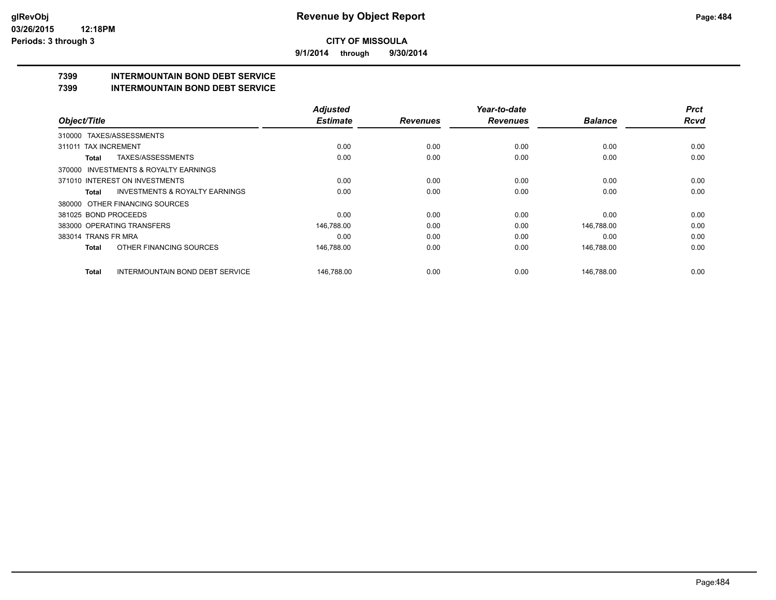**9/1/2014 through 9/30/2014**

# **7399 INTERMOUNTAIN BOND DEBT SERVICE**

#### **7399 INTERMOUNTAIN BOND DEBT SERVICE**

|                                                           | <b>Adjusted</b> |                 | Year-to-date    |                | <b>Prct</b> |
|-----------------------------------------------------------|-----------------|-----------------|-----------------|----------------|-------------|
| Object/Title                                              | <b>Estimate</b> | <b>Revenues</b> | <b>Revenues</b> | <b>Balance</b> | <b>Rcvd</b> |
| TAXES/ASSESSMENTS<br>310000                               |                 |                 |                 |                |             |
| 311011 TAX INCREMENT                                      | 0.00            | 0.00            | 0.00            | 0.00           | 0.00        |
| TAXES/ASSESSMENTS<br>Total                                | 0.00            | 0.00            | 0.00            | 0.00           | 0.00        |
| 370000 INVESTMENTS & ROYALTY EARNINGS                     |                 |                 |                 |                |             |
| 371010 INTEREST ON INVESTMENTS                            | 0.00            | 0.00            | 0.00            | 0.00           | 0.00        |
| <b>INVESTMENTS &amp; ROYALTY EARNINGS</b><br><b>Total</b> | 0.00            | 0.00            | 0.00            | 0.00           | 0.00        |
| 380000 OTHER FINANCING SOURCES                            |                 |                 |                 |                |             |
| 381025 BOND PROCEEDS                                      | 0.00            | 0.00            | 0.00            | 0.00           | 0.00        |
| 383000 OPERATING TRANSFERS                                | 146,788.00      | 0.00            | 0.00            | 146,788.00     | 0.00        |
| 383014 TRANS FR MRA                                       | 0.00            | 0.00            | 0.00            | 0.00           | 0.00        |
| OTHER FINANCING SOURCES<br><b>Total</b>                   | 146,788.00      | 0.00            | 0.00            | 146,788.00     | 0.00        |
| <b>INTERMOUNTAIN BOND DEBT SERVICE</b><br><b>Total</b>    | 146.788.00      | 0.00            | 0.00            | 146.788.00     | 0.00        |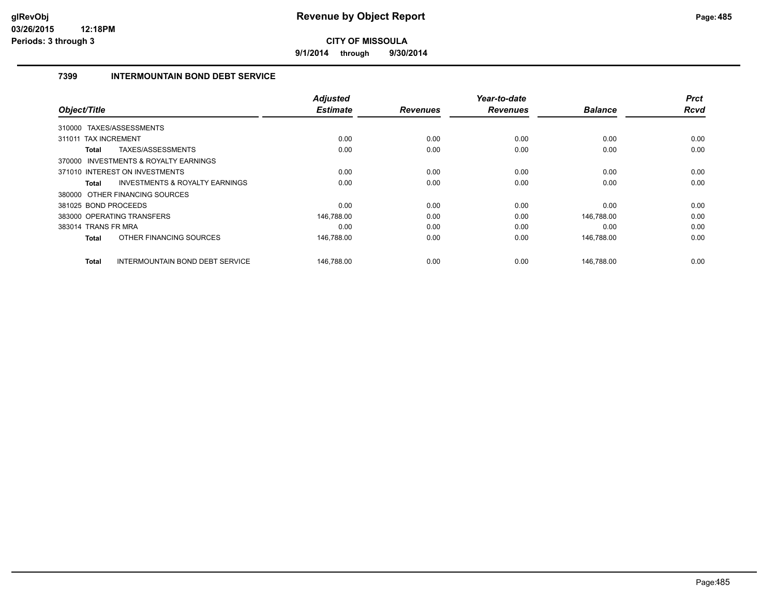**9/1/2014 through 9/30/2014**

# **7399 INTERMOUNTAIN BOND DEBT SERVICE**

| Object/Title         |                                           | <b>Adjusted</b><br><b>Estimate</b> |                 | Year-to-date<br><b>Revenues</b> | <b>Balance</b> | <b>Prct</b><br><b>Rcvd</b> |
|----------------------|-------------------------------------------|------------------------------------|-----------------|---------------------------------|----------------|----------------------------|
|                      |                                           |                                    | <b>Revenues</b> |                                 |                |                            |
|                      | 310000 TAXES/ASSESSMENTS                  |                                    |                 |                                 |                |                            |
| 311011               | <b>TAX INCREMENT</b>                      | 0.00                               | 0.00            | 0.00                            | 0.00           | 0.00                       |
| Total                | TAXES/ASSESSMENTS                         | 0.00                               | 0.00            | 0.00                            | 0.00           | 0.00                       |
|                      | 370000 INVESTMENTS & ROYALTY EARNINGS     |                                    |                 |                                 |                |                            |
|                      | 371010 INTEREST ON INVESTMENTS            | 0.00                               | 0.00            | 0.00                            | 0.00           | 0.00                       |
| Total                | <b>INVESTMENTS &amp; ROYALTY EARNINGS</b> | 0.00                               | 0.00            | 0.00                            | 0.00           | 0.00                       |
|                      | 380000 OTHER FINANCING SOURCES            |                                    |                 |                                 |                |                            |
| 381025 BOND PROCEEDS |                                           | 0.00                               | 0.00            | 0.00                            | 0.00           | 0.00                       |
|                      | 383000 OPERATING TRANSFERS                | 146,788.00                         | 0.00            | 0.00                            | 146,788.00     | 0.00                       |
| 383014 TRANS FR MRA  |                                           | 0.00                               | 0.00            | 0.00                            | 0.00           | 0.00                       |
| Total                | OTHER FINANCING SOURCES                   | 146,788.00                         | 0.00            | 0.00                            | 146,788.00     | 0.00                       |
| <b>Total</b>         | INTERMOUNTAIN BOND DEBT SERVICE           | 146,788.00                         | 0.00            | 0.00                            | 146,788.00     | 0.00                       |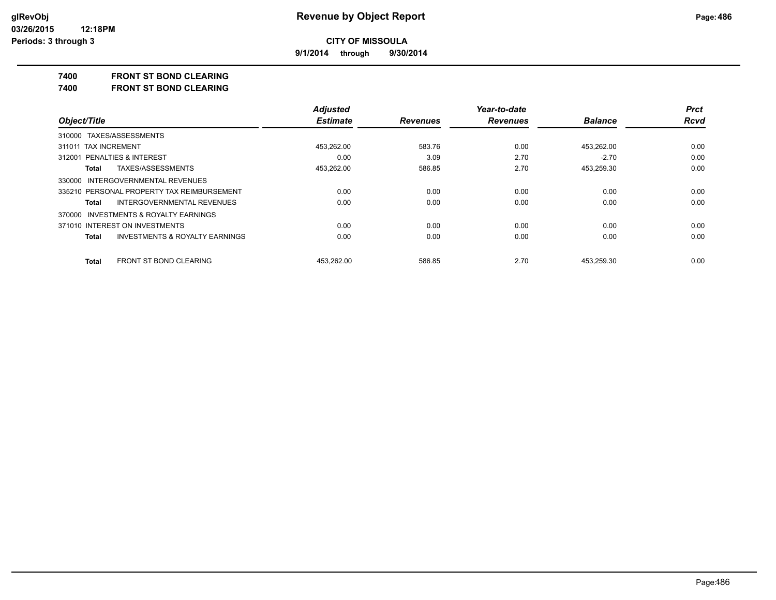**9/1/2014 through 9/30/2014**

#### **7400 FRONT ST BOND CLEARING**

**7400 FRONT ST BOND CLEARING**

|                                                    | <b>Adjusted</b> |                 | Year-to-date    |                | <b>Prct</b> |
|----------------------------------------------------|-----------------|-----------------|-----------------|----------------|-------------|
| Object/Title                                       | <b>Estimate</b> | <b>Revenues</b> | <b>Revenues</b> | <b>Balance</b> | <b>Rcvd</b> |
| 310000 TAXES/ASSESSMENTS                           |                 |                 |                 |                |             |
| 311011 TAX INCREMENT                               | 453,262.00      | 583.76          | 0.00            | 453,262.00     | 0.00        |
| 312001 PENALTIES & INTEREST                        | 0.00            | 3.09            | 2.70            | $-2.70$        | 0.00        |
| TAXES/ASSESSMENTS<br>Total                         | 453.262.00      | 586.85          | 2.70            | 453,259.30     | 0.00        |
| 330000 INTERGOVERNMENTAL REVENUES                  |                 |                 |                 |                |             |
| 335210 PERSONAL PROPERTY TAX REIMBURSEMENT         | 0.00            | 0.00            | 0.00            | 0.00           | 0.00        |
| INTERGOVERNMENTAL REVENUES<br>Total                | 0.00            | 0.00            | 0.00            | 0.00           | 0.00        |
| 370000 INVESTMENTS & ROYALTY EARNINGS              |                 |                 |                 |                |             |
| 371010 INTEREST ON INVESTMENTS                     | 0.00            | 0.00            | 0.00            | 0.00           | 0.00        |
| <b>INVESTMENTS &amp; ROYALTY EARNINGS</b><br>Total | 0.00            | 0.00            | 0.00            | 0.00           | 0.00        |
| <b>FRONT ST BOND CLEARING</b><br>Total             | 453.262.00      | 586.85          | 2.70            | 453.259.30     | 0.00        |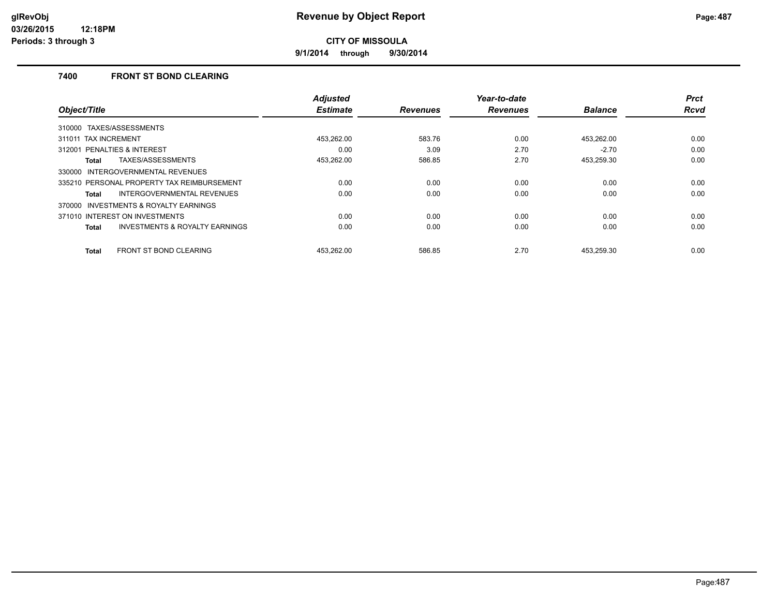**9/1/2014 through 9/30/2014**

## **7400 FRONT ST BOND CLEARING**

|                                                    | <b>Adjusted</b> |                 | Year-to-date    |                | <b>Prct</b> |
|----------------------------------------------------|-----------------|-----------------|-----------------|----------------|-------------|
| Object/Title                                       | <b>Estimate</b> | <b>Revenues</b> | <b>Revenues</b> | <b>Balance</b> | <b>Rcvd</b> |
| 310000 TAXES/ASSESSMENTS                           |                 |                 |                 |                |             |
| 311011 TAX INCREMENT                               | 453,262.00      | 583.76          | 0.00            | 453,262.00     | 0.00        |
| 312001 PENALTIES & INTEREST                        | 0.00            | 3.09            | 2.70            | $-2.70$        | 0.00        |
| TAXES/ASSESSMENTS<br>Total                         | 453,262.00      | 586.85          | 2.70            | 453,259.30     | 0.00        |
| INTERGOVERNMENTAL REVENUES<br>330000               |                 |                 |                 |                |             |
| 335210 PERSONAL PROPERTY TAX REIMBURSEMENT         | 0.00            | 0.00            | 0.00            | 0.00           | 0.00        |
| INTERGOVERNMENTAL REVENUES<br>Total                | 0.00            | 0.00            | 0.00            | 0.00           | 0.00        |
| INVESTMENTS & ROYALTY EARNINGS<br>370000           |                 |                 |                 |                |             |
| 371010 INTEREST ON INVESTMENTS                     | 0.00            | 0.00            | 0.00            | 0.00           | 0.00        |
| <b>INVESTMENTS &amp; ROYALTY EARNINGS</b><br>Total | 0.00            | 0.00            | 0.00            | 0.00           | 0.00        |
| <b>FRONT ST BOND CLEARING</b><br><b>Total</b>      | 453.262.00      | 586.85          | 2.70            | 453.259.30     | 0.00        |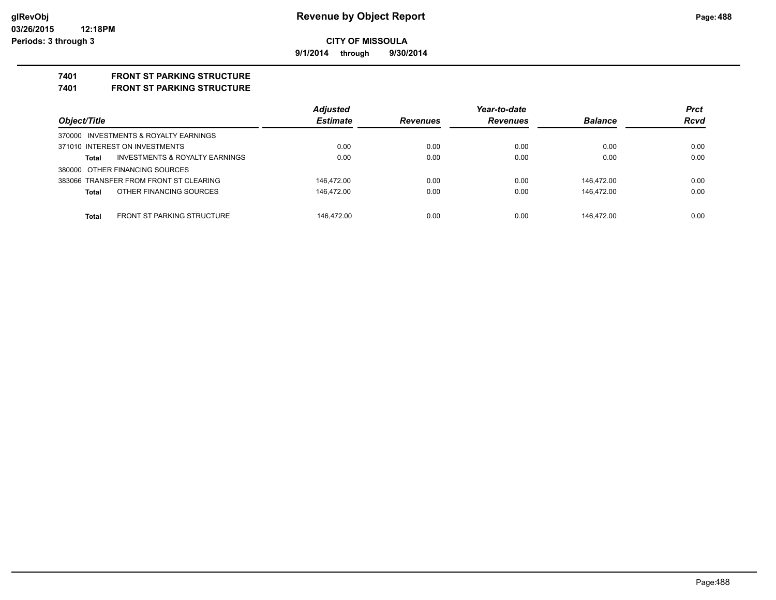**9/1/2014 through 9/30/2014**

# **7401 FRONT ST PARKING STRUCTURE**

#### **7401 FRONT ST PARKING STRUCTURE**

|                                            | <b>Adjusted</b> |                 | Year-to-date    |                | <b>Prct</b> |
|--------------------------------------------|-----------------|-----------------|-----------------|----------------|-------------|
| Object/Title                               | <b>Estimate</b> | <b>Revenues</b> | <b>Revenues</b> | <b>Balance</b> | <b>Rcvd</b> |
| 370000 INVESTMENTS & ROYALTY EARNINGS      |                 |                 |                 |                |             |
| 371010 INTEREST ON INVESTMENTS             | 0.00            | 0.00            | 0.00            | 0.00           | 0.00        |
| INVESTMENTS & ROYALTY EARNINGS<br>Total    | 0.00            | 0.00            | 0.00            | 0.00           | 0.00        |
| 380000 OTHER FINANCING SOURCES             |                 |                 |                 |                |             |
| 383066 TRANSFER FROM FRONT ST CLEARING     | 146.472.00      | 0.00            | 0.00            | 146.472.00     | 0.00        |
| OTHER FINANCING SOURCES<br><b>Total</b>    | 146.472.00      | 0.00            | 0.00            | 146.472.00     | 0.00        |
|                                            |                 |                 |                 |                |             |
| <b>FRONT ST PARKING STRUCTURE</b><br>Total | 146.472.00      | 0.00            | 0.00            | 146.472.00     | 0.00        |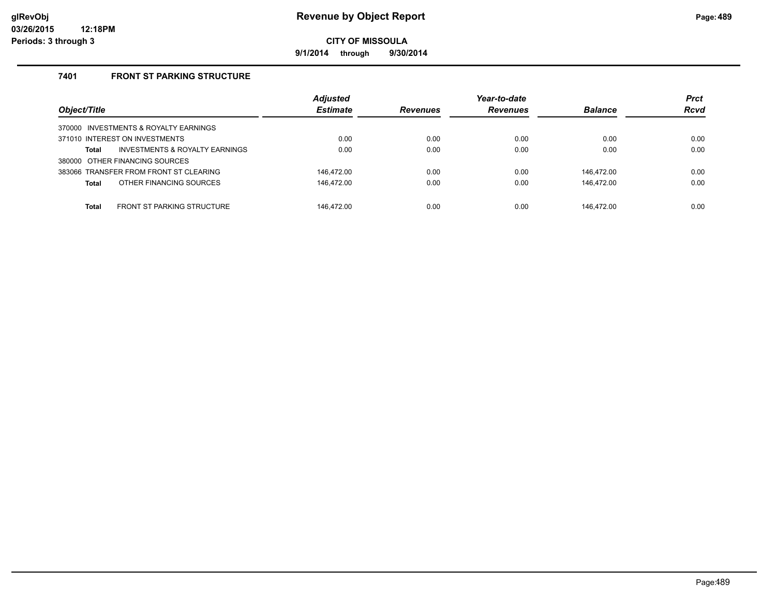**9/1/2014 through 9/30/2014**

# **7401 FRONT ST PARKING STRUCTURE**

| Object/Title                                       | <b>Adjusted</b><br><b>Estimate</b> | <b>Revenues</b> | Year-to-date<br><b>Revenues</b> | <b>Balance</b> | <b>Prct</b><br><b>Rcvd</b> |
|----------------------------------------------------|------------------------------------|-----------------|---------------------------------|----------------|----------------------------|
| 370000 INVESTMENTS & ROYALTY EARNINGS              |                                    |                 |                                 |                |                            |
| 371010 INTEREST ON INVESTMENTS                     | 0.00                               | 0.00            | 0.00                            | 0.00           | 0.00                       |
| <b>INVESTMENTS &amp; ROYALTY EARNINGS</b><br>Total | 0.00                               | 0.00            | 0.00                            | 0.00           | 0.00                       |
| 380000 OTHER FINANCING SOURCES                     |                                    |                 |                                 |                |                            |
| 383066 TRANSFER FROM FRONT ST CLEARING             | 146.472.00                         | 0.00            | 0.00                            | 146.472.00     | 0.00                       |
| OTHER FINANCING SOURCES<br>Total                   | 146,472.00                         | 0.00            | 0.00                            | 146,472.00     | 0.00                       |
|                                                    |                                    |                 |                                 |                |                            |
| <b>FRONT ST PARKING STRUCTURE</b><br>Total         | 146.472.00                         | 0.00            | 0.00                            | 146.472.00     | 0.00                       |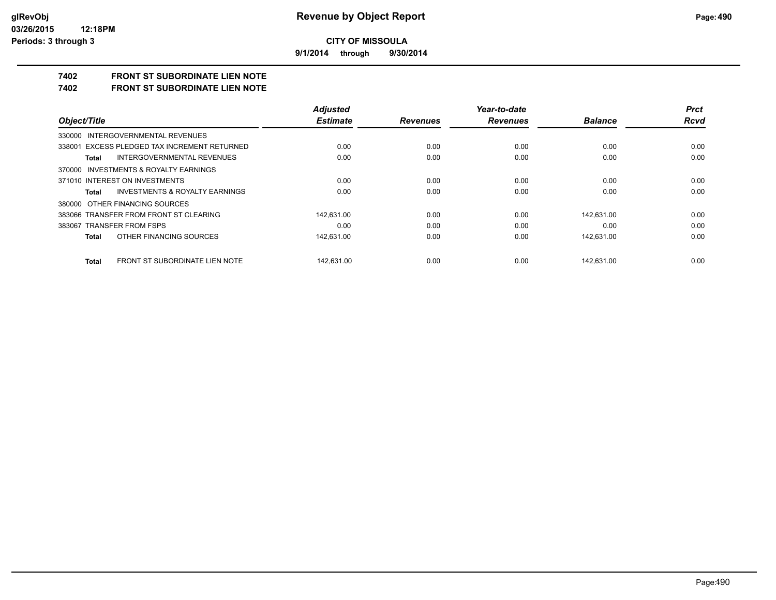**9/1/2014 through 9/30/2014**

# **7402 FRONT ST SUBORDINATE LIEN NOTE**

**7402 FRONT ST SUBORDINATE LIEN NOTE**

|                                                    | <b>Adjusted</b> |                 | Year-to-date    |                | <b>Prct</b> |
|----------------------------------------------------|-----------------|-----------------|-----------------|----------------|-------------|
| Object/Title                                       | <b>Estimate</b> | <b>Revenues</b> | <b>Revenues</b> | <b>Balance</b> | Rcvd        |
| 330000 INTERGOVERNMENTAL REVENUES                  |                 |                 |                 |                |             |
| 338001 EXCESS PLEDGED TAX INCREMENT RETURNED       | 0.00            | 0.00            | 0.00            | 0.00           | 0.00        |
| <b>INTERGOVERNMENTAL REVENUES</b><br>Total         | 0.00            | 0.00            | 0.00            | 0.00           | 0.00        |
| 370000 INVESTMENTS & ROYALTY EARNINGS              |                 |                 |                 |                |             |
| 371010 INTEREST ON INVESTMENTS                     | 0.00            | 0.00            | 0.00            | 0.00           | 0.00        |
| <b>INVESTMENTS &amp; ROYALTY EARNINGS</b><br>Total | 0.00            | 0.00            | 0.00            | 0.00           | 0.00        |
| 380000 OTHER FINANCING SOURCES                     |                 |                 |                 |                |             |
| 383066 TRANSFER FROM FRONT ST CLEARING             | 142.631.00      | 0.00            | 0.00            | 142.631.00     | 0.00        |
| 383067 TRANSFER FROM FSPS                          | 0.00            | 0.00            | 0.00            | 0.00           | 0.00        |
| OTHER FINANCING SOURCES<br>Total                   | 142,631.00      | 0.00            | 0.00            | 142,631.00     | 0.00        |
| FRONT ST SUBORDINATE LIEN NOTE<br>Total            | 142.631.00      | 0.00            | 0.00            | 142.631.00     | 0.00        |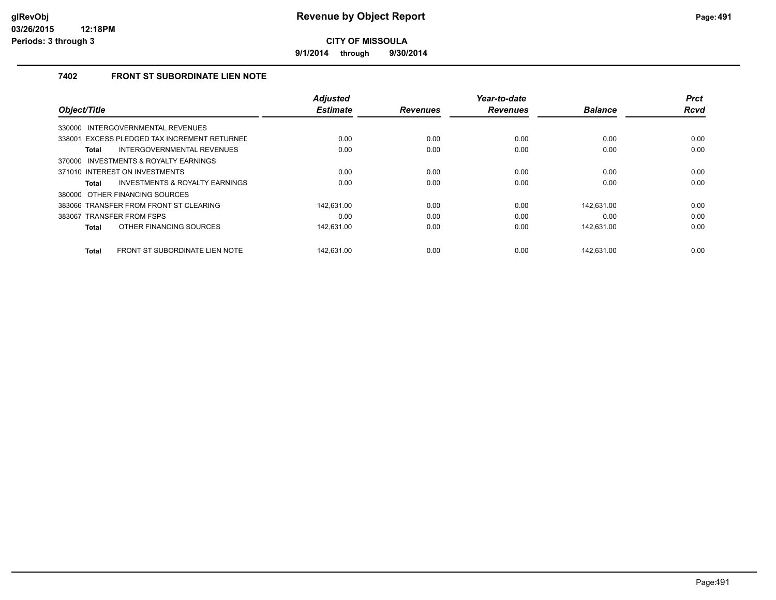**9/1/2014 through 9/30/2014**

# **7402 FRONT ST SUBORDINATE LIEN NOTE**

|                                                | <b>Adjusted</b> |                 | Year-to-date    |                | <b>Prct</b> |
|------------------------------------------------|-----------------|-----------------|-----------------|----------------|-------------|
| Object/Title                                   | <b>Estimate</b> | <b>Revenues</b> | <b>Revenues</b> | <b>Balance</b> | <b>Rcvd</b> |
| INTERGOVERNMENTAL REVENUES<br>330000           |                 |                 |                 |                |             |
| 338001 EXCESS PLEDGED TAX INCREMENT RETURNED   | 0.00            | 0.00            | 0.00            | 0.00           | 0.00        |
| INTERGOVERNMENTAL REVENUES<br><b>Total</b>     | 0.00            | 0.00            | 0.00            | 0.00           | 0.00        |
| 370000 INVESTMENTS & ROYALTY EARNINGS          |                 |                 |                 |                |             |
| 371010 INTEREST ON INVESTMENTS                 | 0.00            | 0.00            | 0.00            | 0.00           | 0.00        |
| INVESTMENTS & ROYALTY EARNINGS<br>Total        | 0.00            | 0.00            | 0.00            | 0.00           | 0.00        |
| 380000 OTHER FINANCING SOURCES                 |                 |                 |                 |                |             |
| 383066 TRANSFER FROM FRONT ST CLEARING         | 142.631.00      | 0.00            | 0.00            | 142.631.00     | 0.00        |
| 383067 TRANSFER FROM FSPS                      | 0.00            | 0.00            | 0.00            | 0.00           | 0.00        |
| OTHER FINANCING SOURCES<br><b>Total</b>        | 142,631.00      | 0.00            | 0.00            | 142,631.00     | 0.00        |
| FRONT ST SUBORDINATE LIEN NOTE<br><b>Total</b> | 142.631.00      | 0.00            | 0.00            | 142.631.00     | 0.00        |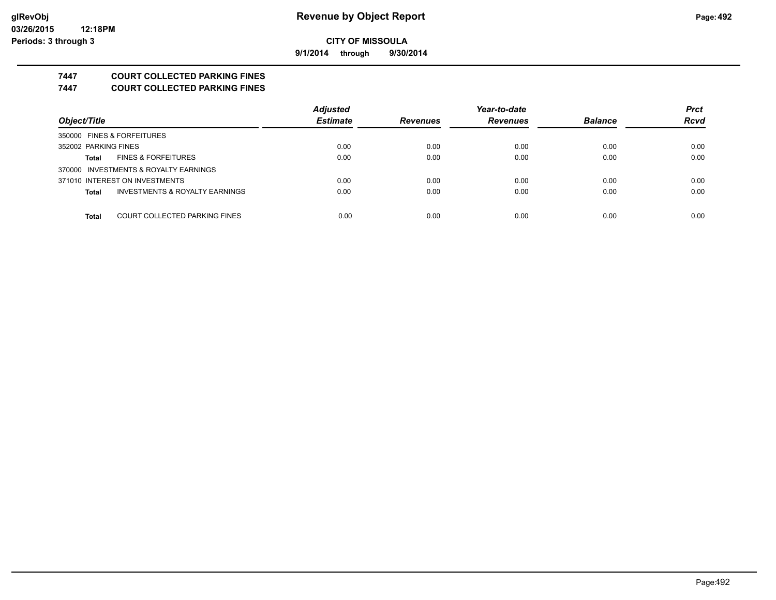**9/1/2014 through 9/30/2014**

# **7447 COURT COLLECTED PARKING FINES**

**7447 COURT COLLECTED PARKING FINES**

|                                                           | <b>Adjusted</b> |                 | Year-to-date    |                | <b>Prct</b> |
|-----------------------------------------------------------|-----------------|-----------------|-----------------|----------------|-------------|
| Object/Title                                              | <b>Estimate</b> | <b>Revenues</b> | <b>Revenues</b> | <b>Balance</b> | <b>Rcvd</b> |
| 350000 FINES & FORFEITURES                                |                 |                 |                 |                |             |
| 352002 PARKING FINES                                      | 0.00            | 0.00            | 0.00            | 0.00           | 0.00        |
| <b>FINES &amp; FORFEITURES</b><br><b>Total</b>            | 0.00            | 0.00            | 0.00            | 0.00           | 0.00        |
| 370000 INVESTMENTS & ROYALTY EARNINGS                     |                 |                 |                 |                |             |
| 371010 INTEREST ON INVESTMENTS                            | 0.00            | 0.00            | 0.00            | 0.00           | 0.00        |
| <b>INVESTMENTS &amp; ROYALTY EARNINGS</b><br><b>Total</b> | 0.00            | 0.00            | 0.00            | 0.00           | 0.00        |
| COURT COLLECTED PARKING FINES<br><b>Total</b>             | 0.00            | 0.00            | 0.00            | 0.00           | 0.00        |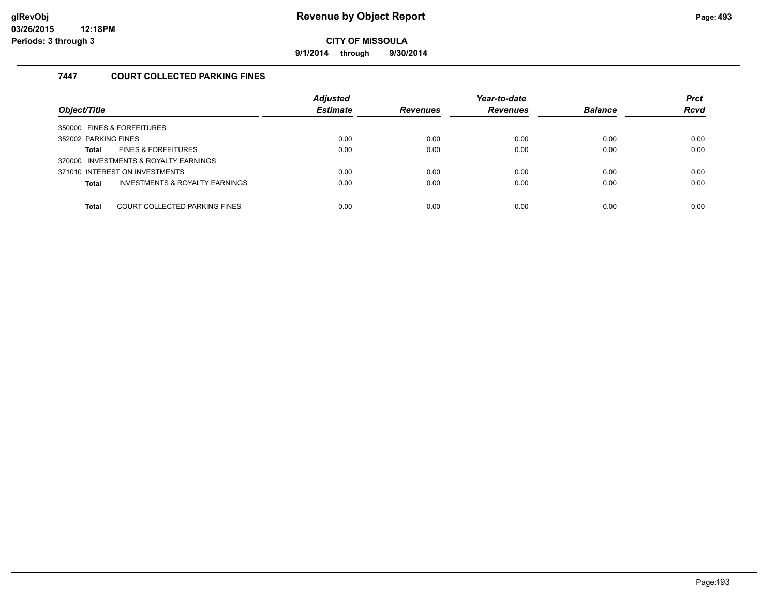**9/1/2014 through 9/30/2014**

# **7447 COURT COLLECTED PARKING FINES**

| Object/Title                                              | <b>Adjusted</b><br><b>Estimate</b> | <b>Revenues</b> | Year-to-date<br><b>Revenues</b> | <b>Balance</b> | <b>Prct</b><br><b>Rcvd</b> |
|-----------------------------------------------------------|------------------------------------|-----------------|---------------------------------|----------------|----------------------------|
| 350000 FINES & FORFEITURES                                |                                    |                 |                                 |                |                            |
| 352002 PARKING FINES                                      | 0.00                               | 0.00            | 0.00                            | 0.00           | 0.00                       |
| <b>FINES &amp; FORFEITURES</b><br>Total                   | 0.00                               | 0.00            | 0.00                            | 0.00           | 0.00                       |
| 370000 INVESTMENTS & ROYALTY EARNINGS                     |                                    |                 |                                 |                |                            |
| 371010 INTEREST ON INVESTMENTS                            | 0.00                               | 0.00            | 0.00                            | 0.00           | 0.00                       |
| <b>INVESTMENTS &amp; ROYALTY EARNINGS</b><br><b>Total</b> | 0.00                               | 0.00            | 0.00                            | 0.00           | 0.00                       |
|                                                           |                                    |                 |                                 |                |                            |
| COURT COLLECTED PARKING FINES<br><b>Total</b>             | 0.00                               | 0.00            | 0.00                            | 0.00           | 0.00                       |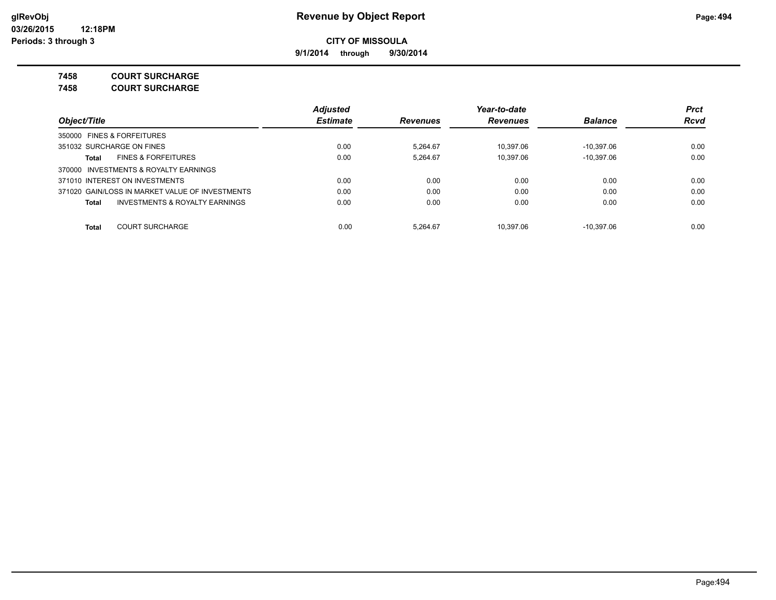**9/1/2014 through 9/30/2014**

**7458 COURT SURCHARGE**

**7458 COURT SURCHARGE**

|                                                    | <b>Adjusted</b> |                 | Year-to-date    |                | <b>Prct</b> |
|----------------------------------------------------|-----------------|-----------------|-----------------|----------------|-------------|
| Object/Title                                       | <b>Estimate</b> | <b>Revenues</b> | <b>Revenues</b> | <b>Balance</b> | <b>Rcvd</b> |
| 350000 FINES & FORFEITURES                         |                 |                 |                 |                |             |
| 351032 SURCHARGE ON FINES                          | 0.00            | 5.264.67        | 10.397.06       | $-10.397.06$   | 0.00        |
| <b>FINES &amp; FORFEITURES</b><br>Total            | 0.00            | 5.264.67        | 10.397.06       | $-10.397.06$   | 0.00        |
| 370000 INVESTMENTS & ROYALTY EARNINGS              |                 |                 |                 |                |             |
| 371010 INTEREST ON INVESTMENTS                     | 0.00            | 0.00            | 0.00            | 0.00           | 0.00        |
| 371020 GAIN/LOSS IN MARKET VALUE OF INVESTMENTS    | 0.00            | 0.00            | 0.00            | 0.00           | 0.00        |
| <b>INVESTMENTS &amp; ROYALTY EARNINGS</b><br>Total | 0.00            | 0.00            | 0.00            | 0.00           | 0.00        |
|                                                    |                 |                 |                 |                |             |
| <b>COURT SURCHARGE</b><br>Total                    | 0.00            | 5.264.67        | 10.397.06       | $-10.397.06$   | 0.00        |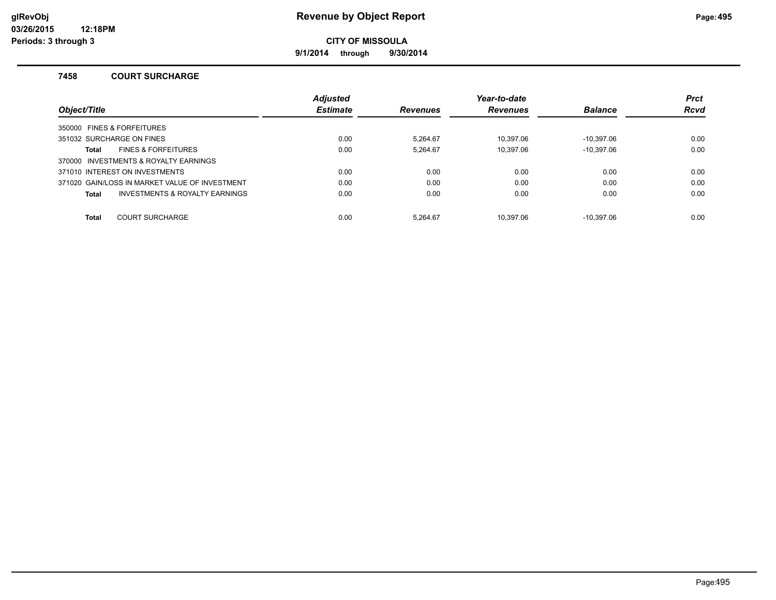**9/1/2014 through 9/30/2014**

#### **7458 COURT SURCHARGE**

|                                                | <b>Adjusted</b> |                 | Year-to-date    |                | <b>Prct</b> |
|------------------------------------------------|-----------------|-----------------|-----------------|----------------|-------------|
| Object/Title                                   | <b>Estimate</b> | <b>Revenues</b> | <b>Revenues</b> | <b>Balance</b> | <b>Rcvd</b> |
| 350000 FINES & FORFEITURES                     |                 |                 |                 |                |             |
| 351032 SURCHARGE ON FINES                      | 0.00            | 5.264.67        | 10.397.06       | $-10.397.06$   | 0.00        |
| <b>FINES &amp; FORFEITURES</b><br>Total        | 0.00            | 5.264.67        | 10.397.06       | $-10,397.06$   | 0.00        |
| 370000 INVESTMENTS & ROYALTY EARNINGS          |                 |                 |                 |                |             |
| 371010 INTEREST ON INVESTMENTS                 | 0.00            | 0.00            | 0.00            | 0.00           | 0.00        |
| 371020 GAIN/LOSS IN MARKET VALUE OF INVESTMENT | 0.00            | 0.00            | 0.00            | 0.00           | 0.00        |
| INVESTMENTS & ROYALTY EARNINGS<br><b>Total</b> | 0.00            | 0.00            | 0.00            | 0.00           | 0.00        |
| <b>COURT SURCHARGE</b><br><b>Total</b>         | 0.00            | 5.264.67        | 10.397.06       | $-10.397.06$   | 0.00        |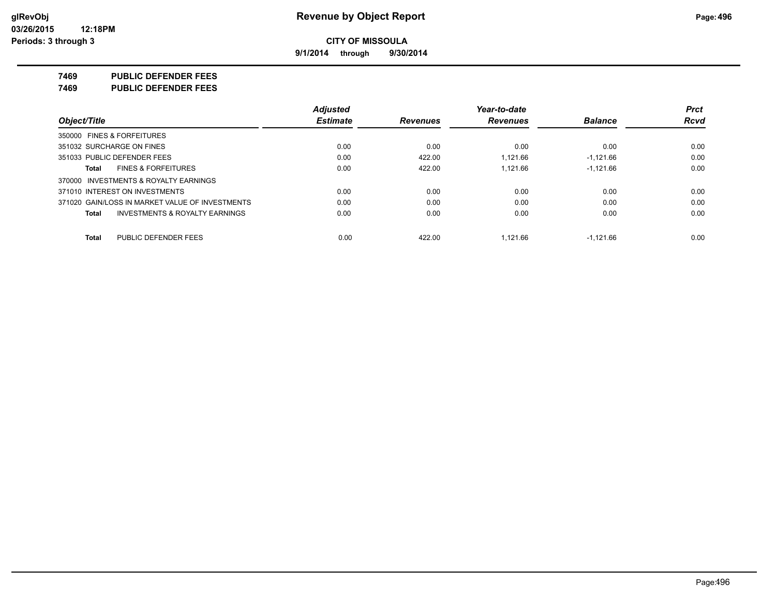**9/1/2014 through 9/30/2014**

**7469 PUBLIC DEFENDER FEES**

**7469 PUBLIC DEFENDER FEES**

|                                                    | <b>Adjusted</b> |                 | Year-to-date    |                | <b>Prct</b> |
|----------------------------------------------------|-----------------|-----------------|-----------------|----------------|-------------|
| Object/Title                                       | <b>Estimate</b> | <b>Revenues</b> | <b>Revenues</b> | <b>Balance</b> | <b>Rcvd</b> |
| 350000 FINES & FORFEITURES                         |                 |                 |                 |                |             |
| 351032 SURCHARGE ON FINES                          | 0.00            | 0.00            | 0.00            | 0.00           | 0.00        |
| 351033 PUBLIC DEFENDER FEES                        | 0.00            | 422.00          | 1.121.66        | $-1.121.66$    | 0.00        |
| <b>FINES &amp; FORFEITURES</b><br>Total            | 0.00            | 422.00          | 1.121.66        | $-1.121.66$    | 0.00        |
| 370000 INVESTMENTS & ROYALTY EARNINGS              |                 |                 |                 |                |             |
| 371010 INTEREST ON INVESTMENTS                     | 0.00            | 0.00            | 0.00            | 0.00           | 0.00        |
| 371020 GAIN/LOSS IN MARKET VALUE OF INVESTMENTS    | 0.00            | 0.00            | 0.00            | 0.00           | 0.00        |
| <b>INVESTMENTS &amp; ROYALTY EARNINGS</b><br>Total | 0.00            | 0.00            | 0.00            | 0.00           | 0.00        |
| PUBLIC DEFENDER FEES<br>Total                      | 0.00            | 422.00          | 1.121.66        | $-1.121.66$    | 0.00        |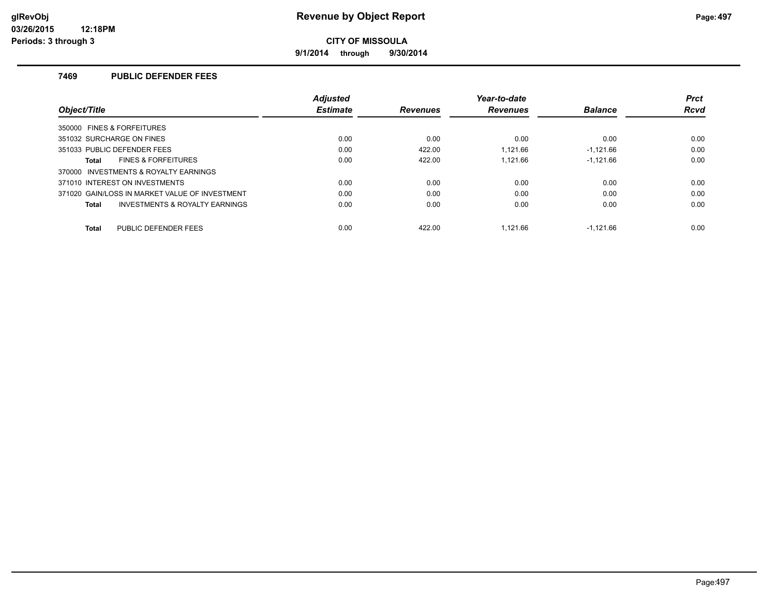**9/1/2014 through 9/30/2014**

### **7469 PUBLIC DEFENDER FEES**

|                                                | <b>Adiusted</b> |                 | Year-to-date    |                | <b>Prct</b> |
|------------------------------------------------|-----------------|-----------------|-----------------|----------------|-------------|
| Object/Title                                   | <b>Estimate</b> | <b>Revenues</b> | <b>Revenues</b> | <b>Balance</b> | Rcvd        |
| 350000 FINES & FORFEITURES                     |                 |                 |                 |                |             |
| 351032 SURCHARGE ON FINES                      | 0.00            | 0.00            | 0.00            | 0.00           | 0.00        |
| 351033 PUBLIC DEFENDER FEES                    | 0.00            | 422.00          | 1.121.66        | $-1.121.66$    | 0.00        |
| <b>FINES &amp; FORFEITURES</b><br><b>Total</b> | 0.00            | 422.00          | 1.121.66        | $-1.121.66$    | 0.00        |
| 370000 INVESTMENTS & ROYALTY EARNINGS          |                 |                 |                 |                |             |
| 371010 INTEREST ON INVESTMENTS                 | 0.00            | 0.00            | 0.00            | 0.00           | 0.00        |
| 371020 GAIN/LOSS IN MARKET VALUE OF INVESTMENT | 0.00            | 0.00            | 0.00            | 0.00           | 0.00        |
| INVESTMENTS & ROYALTY EARNINGS<br><b>Total</b> | 0.00            | 0.00            | 0.00            | 0.00           | 0.00        |
| PUBLIC DEFENDER FEES<br><b>Total</b>           | 0.00            | 422.00          | 1.121.66        | $-1.121.66$    | 0.00        |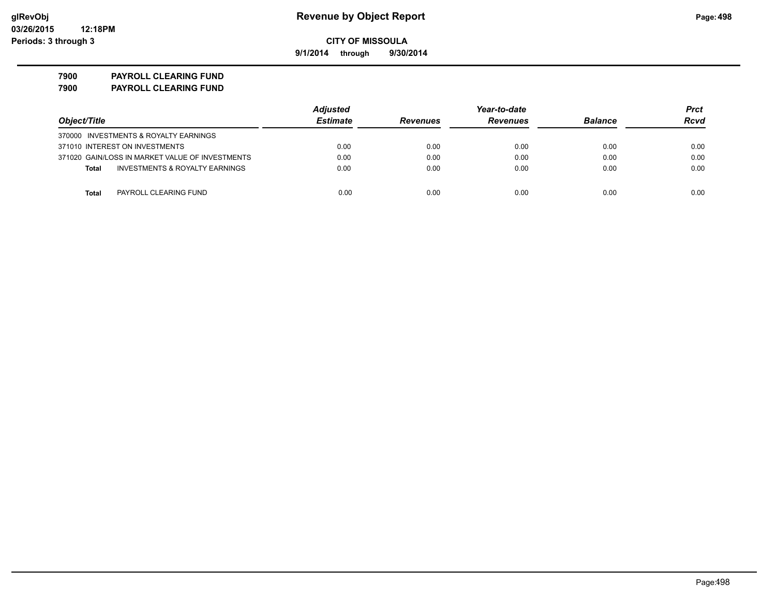**9/1/2014 through 9/30/2014**

**7900 PAYROLL CLEARING FUND 7900 PAYROLL CLEARING FUND**

|                                                 | <b>Adjusted</b> |                 | Year-to-date    |                |      |
|-------------------------------------------------|-----------------|-----------------|-----------------|----------------|------|
| Object/Title                                    | <b>Estimate</b> | <b>Revenues</b> | <b>Revenues</b> | <b>Balance</b> | Rcvd |
| 370000 INVESTMENTS & ROYALTY EARNINGS           |                 |                 |                 |                |      |
| 371010 INTEREST ON INVESTMENTS                  | 0.00            | 0.00            | 0.00            | 0.00           | 0.00 |
| 371020 GAIN/LOSS IN MARKET VALUE OF INVESTMENTS | 0.00            | 0.00            | 0.00            | 0.00           | 0.00 |
| INVESTMENTS & ROYALTY EARNINGS<br>Total         | 0.00            | 0.00            | 0.00            | 0.00           | 0.00 |
| Total<br>PAYROLL CLEARING FUND                  | 0.00            | 0.00            | 0.00            | 0.00           | 0.00 |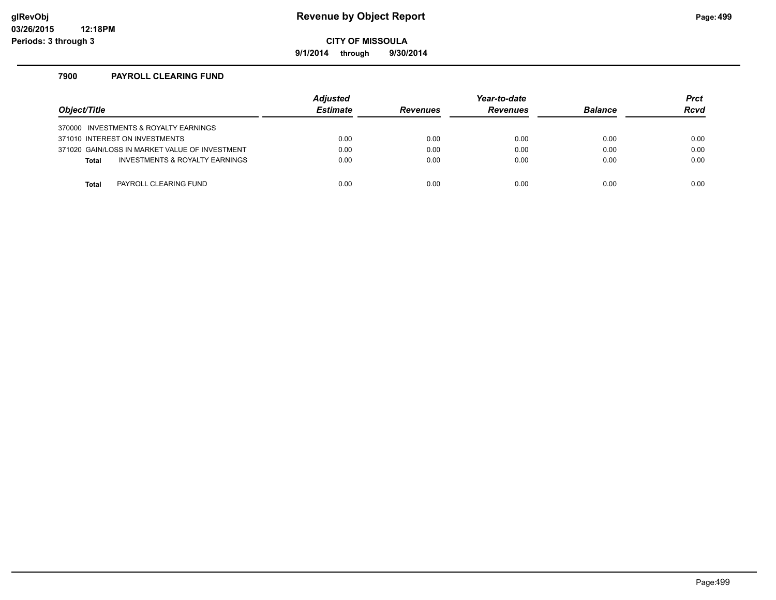# **glRevObj Revenue by Object Report Page:499**

**CITY OF MISSOULA**

**9/1/2014 through 9/30/2014**

## **7900 PAYROLL CLEARING FUND**

| Object/Title |                                                | <b>Adjusted</b><br><b>Estimate</b> | <b>Revenues</b> | Year-to-date<br><b>Revenues</b> | <b>Balance</b> | <b>Prct</b><br><b>Rcvd</b> |
|--------------|------------------------------------------------|------------------------------------|-----------------|---------------------------------|----------------|----------------------------|
|              | 370000 INVESTMENTS & ROYALTY EARNINGS          |                                    |                 |                                 |                |                            |
|              | 371010 INTEREST ON INVESTMENTS                 | 0.00                               | 0.00            | 0.00                            | 0.00           | 0.00                       |
|              | 371020 GAIN/LOSS IN MARKET VALUE OF INVESTMENT | 0.00                               | 0.00            | 0.00                            | 0.00           | 0.00                       |
| <b>Total</b> | INVESTMENTS & ROYALTY EARNINGS                 | 0.00                               | 0.00            | 0.00                            | 0.00           | 0.00                       |
|              |                                                |                                    |                 |                                 |                |                            |
| Total        | PAYROLL CLEARING FUND                          | 0.00                               | 0.00            | 0.00                            | 0.00           | 0.00                       |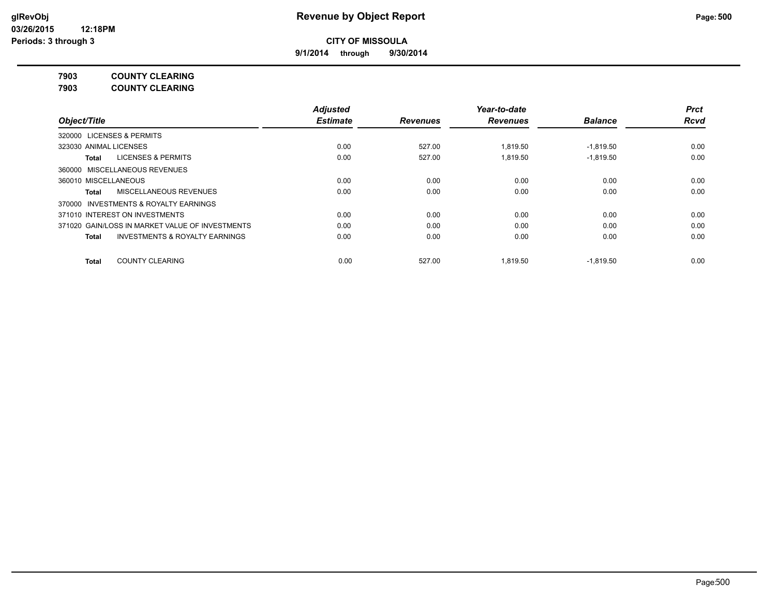**9/1/2014 through 9/30/2014**

**7903 COUNTY CLEARING**

**7903 COUNTY CLEARING**

|                                                    | <b>Adjusted</b> |                 | Year-to-date    |                | <b>Prct</b> |
|----------------------------------------------------|-----------------|-----------------|-----------------|----------------|-------------|
| Object/Title                                       | <b>Estimate</b> | <b>Revenues</b> | <b>Revenues</b> | <b>Balance</b> | <b>Rcvd</b> |
| 320000 LICENSES & PERMITS                          |                 |                 |                 |                |             |
| 323030 ANIMAL LICENSES                             | 0.00            | 527.00          | 1.819.50        | $-1.819.50$    | 0.00        |
| <b>LICENSES &amp; PERMITS</b><br>Total             | 0.00            | 527.00          | 1,819.50        | $-1,819.50$    | 0.00        |
| 360000 MISCELLANEOUS REVENUES                      |                 |                 |                 |                |             |
| 360010 MISCELLANEOUS                               | 0.00            | 0.00            | 0.00            | 0.00           | 0.00        |
| MISCELLANEOUS REVENUES<br>Total                    | 0.00            | 0.00            | 0.00            | 0.00           | 0.00        |
| 370000 INVESTMENTS & ROYALTY EARNINGS              |                 |                 |                 |                |             |
| 371010 INTEREST ON INVESTMENTS                     | 0.00            | 0.00            | 0.00            | 0.00           | 0.00        |
| 371020 GAIN/LOSS IN MARKET VALUE OF INVESTMENTS    | 0.00            | 0.00            | 0.00            | 0.00           | 0.00        |
| <b>INVESTMENTS &amp; ROYALTY EARNINGS</b><br>Total | 0.00            | 0.00            | 0.00            | 0.00           | 0.00        |
| <b>COUNTY CLEARING</b><br><b>Total</b>             | 0.00            | 527.00          | 1.819.50        | $-1,819.50$    | 0.00        |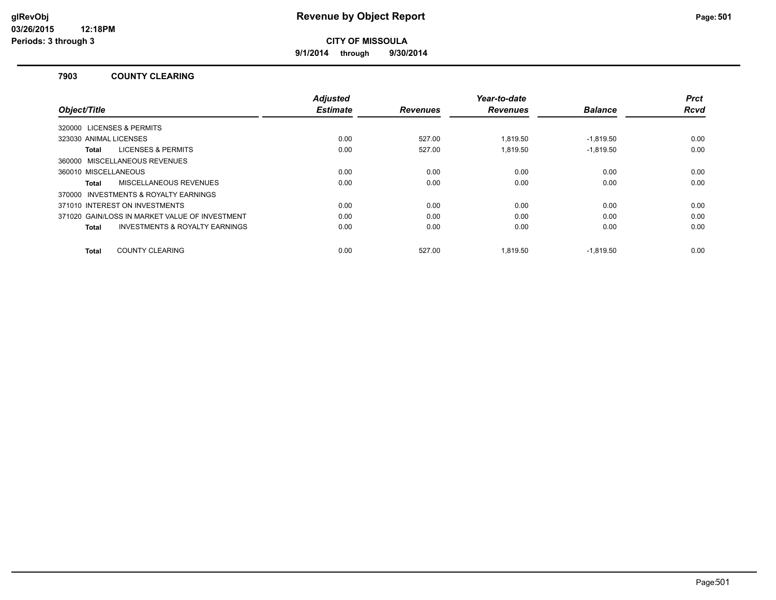**9/1/2014 through 9/30/2014**

#### **7903 COUNTY CLEARING**

|                                                           | <b>Adjusted</b> |                 | Year-to-date    |                | <b>Prct</b> |
|-----------------------------------------------------------|-----------------|-----------------|-----------------|----------------|-------------|
| Object/Title                                              | <b>Estimate</b> | <b>Revenues</b> | <b>Revenues</b> | <b>Balance</b> | <b>Rcvd</b> |
| 320000 LICENSES & PERMITS                                 |                 |                 |                 |                |             |
| 323030 ANIMAL LICENSES                                    | 0.00            | 527.00          | 1.819.50        | $-1.819.50$    | 0.00        |
| <b>LICENSES &amp; PERMITS</b><br>Total                    | 0.00            | 527.00          | 1.819.50        | $-1.819.50$    | 0.00        |
| 360000 MISCELLANEOUS REVENUES                             |                 |                 |                 |                |             |
| 360010 MISCELLANEOUS                                      | 0.00            | 0.00            | 0.00            | 0.00           | 0.00        |
| MISCELLANEOUS REVENUES<br>Total                           | 0.00            | 0.00            | 0.00            | 0.00           | 0.00        |
| 370000 INVESTMENTS & ROYALTY EARNINGS                     |                 |                 |                 |                |             |
| 371010 INTEREST ON INVESTMENTS                            | 0.00            | 0.00            | 0.00            | 0.00           | 0.00        |
| 371020 GAIN/LOSS IN MARKET VALUE OF INVESTMENT            | 0.00            | 0.00            | 0.00            | 0.00           | 0.00        |
| <b>INVESTMENTS &amp; ROYALTY EARNINGS</b><br><b>Total</b> | 0.00            | 0.00            | 0.00            | 0.00           | 0.00        |
|                                                           |                 |                 |                 |                |             |
| <b>COUNTY CLEARING</b><br>Total                           | 0.00            | 527.00          | 1.819.50        | $-1,819.50$    | 0.00        |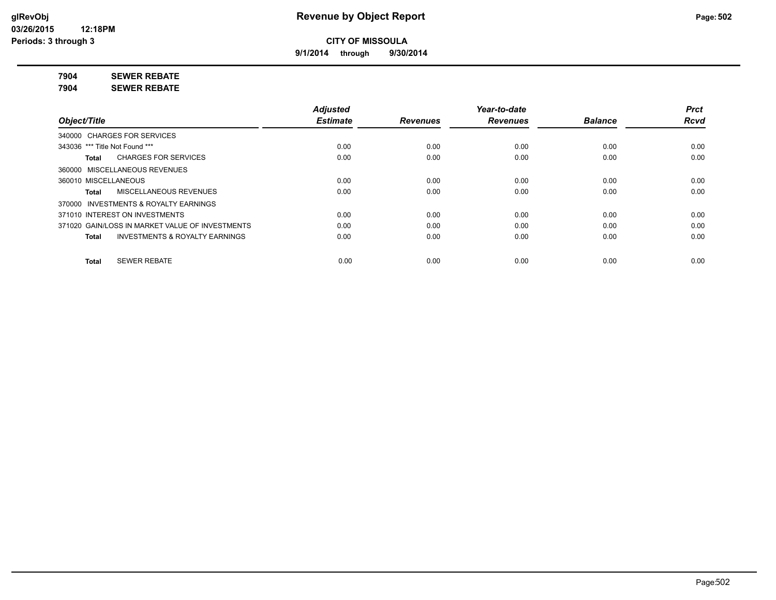**9/1/2014 through 9/30/2014**

**7904 SEWER REBATE**

**7904 SEWER REBATE**

|                                                    | <b>Adjusted</b> |                 | Year-to-date    |                | <b>Prct</b> |
|----------------------------------------------------|-----------------|-----------------|-----------------|----------------|-------------|
| Object/Title                                       | <b>Estimate</b> | <b>Revenues</b> | <b>Revenues</b> | <b>Balance</b> | <b>Rcvd</b> |
| 340000 CHARGES FOR SERVICES                        |                 |                 |                 |                |             |
| 343036 *** Title Not Found ***                     | 0.00            | 0.00            | 0.00            | 0.00           | 0.00        |
| <b>CHARGES FOR SERVICES</b><br>Total               | 0.00            | 0.00            | 0.00            | 0.00           | 0.00        |
| 360000 MISCELLANEOUS REVENUES                      |                 |                 |                 |                |             |
| 360010 MISCELLANEOUS                               | 0.00            | 0.00            | 0.00            | 0.00           | 0.00        |
| MISCELLANEOUS REVENUES<br>Total                    | 0.00            | 0.00            | 0.00            | 0.00           | 0.00        |
| 370000 INVESTMENTS & ROYALTY EARNINGS              |                 |                 |                 |                |             |
| 371010 INTEREST ON INVESTMENTS                     | 0.00            | 0.00            | 0.00            | 0.00           | 0.00        |
| 371020 GAIN/LOSS IN MARKET VALUE OF INVESTMENTS    | 0.00            | 0.00            | 0.00            | 0.00           | 0.00        |
| <b>INVESTMENTS &amp; ROYALTY EARNINGS</b><br>Total | 0.00            | 0.00            | 0.00            | 0.00           | 0.00        |
| <b>SEWER REBATE</b><br><b>Total</b>                | 0.00            | 0.00            | 0.00            | 0.00           | 0.00        |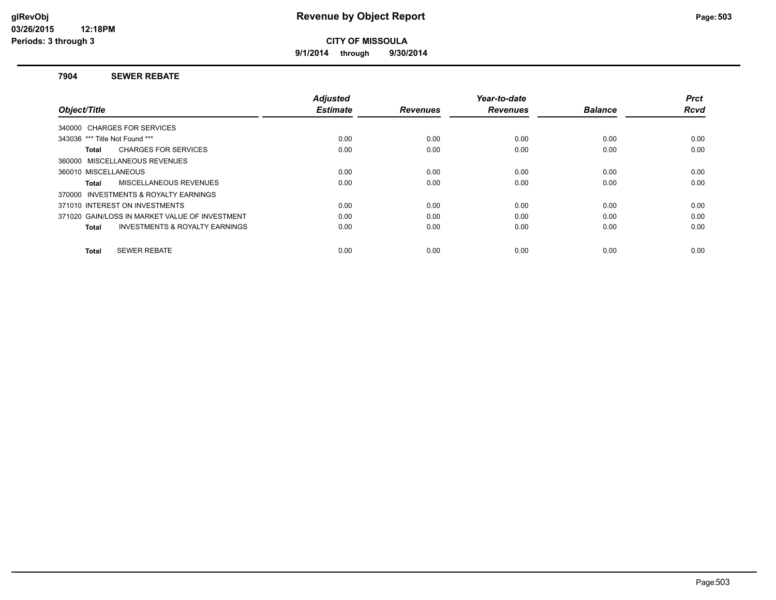**9/1/2014 through 9/30/2014**

#### **7904 SEWER REBATE**

|                                                    | <b>Adjusted</b> |                 | Year-to-date    |                | <b>Prct</b> |
|----------------------------------------------------|-----------------|-----------------|-----------------|----------------|-------------|
| Object/Title                                       | <b>Estimate</b> | <b>Revenues</b> | <b>Revenues</b> | <b>Balance</b> | <b>Rcvd</b> |
| 340000 CHARGES FOR SERVICES                        |                 |                 |                 |                |             |
| 343036 *** Title Not Found ***                     | 0.00            | 0.00            | 0.00            | 0.00           | 0.00        |
| <b>CHARGES FOR SERVICES</b><br>Total               | 0.00            | 0.00            | 0.00            | 0.00           | 0.00        |
| 360000 MISCELLANEOUS REVENUES                      |                 |                 |                 |                |             |
| 360010 MISCELLANEOUS                               | 0.00            | 0.00            | 0.00            | 0.00           | 0.00        |
| MISCELLANEOUS REVENUES<br>Total                    | 0.00            | 0.00            | 0.00            | 0.00           | 0.00        |
| 370000 INVESTMENTS & ROYALTY EARNINGS              |                 |                 |                 |                |             |
| 371010 INTEREST ON INVESTMENTS                     | 0.00            | 0.00            | 0.00            | 0.00           | 0.00        |
| 371020 GAIN/LOSS IN MARKET VALUE OF INVESTMENT     | 0.00            | 0.00            | 0.00            | 0.00           | 0.00        |
| <b>INVESTMENTS &amp; ROYALTY EARNINGS</b><br>Total | 0.00            | 0.00            | 0.00            | 0.00           | 0.00        |
|                                                    |                 |                 |                 |                |             |
| <b>SEWER REBATE</b><br>Total                       | 0.00            | 0.00            | 0.00            | 0.00           | 0.00        |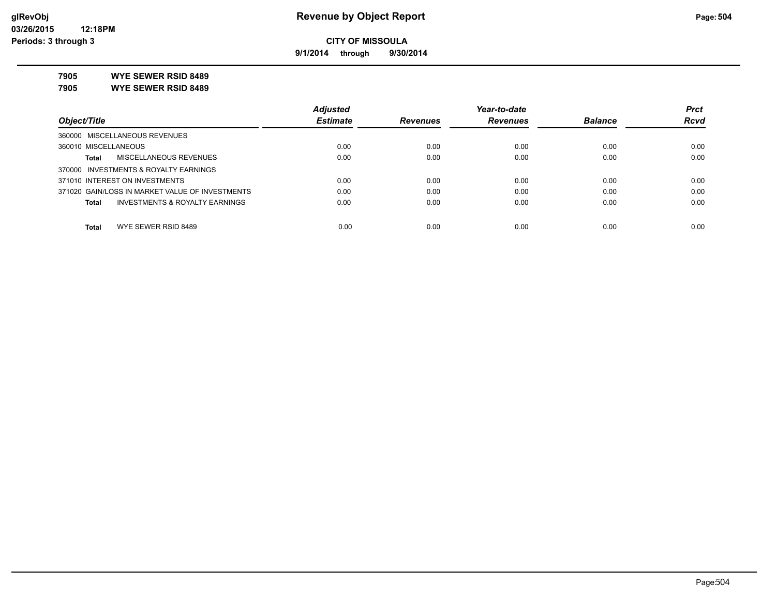**9/1/2014 through 9/30/2014**

**7905 WYE SEWER RSID 8489**

**7905 WYE SEWER RSID 8489**

|                                                 | <b>Adjusted</b> |                 | Year-to-date    |                | <b>Prct</b> |
|-------------------------------------------------|-----------------|-----------------|-----------------|----------------|-------------|
| Object/Title                                    | <b>Estimate</b> | <b>Revenues</b> | <b>Revenues</b> | <b>Balance</b> | <b>Rcvd</b> |
| 360000 MISCELLANEOUS REVENUES                   |                 |                 |                 |                |             |
| 360010 MISCELLANEOUS                            | 0.00            | 0.00            | 0.00            | 0.00           | 0.00        |
| MISCELLANEOUS REVENUES<br>Total                 | 0.00            | 0.00            | 0.00            | 0.00           | 0.00        |
| 370000 INVESTMENTS & ROYALTY EARNINGS           |                 |                 |                 |                |             |
| 371010 INTEREST ON INVESTMENTS                  | 0.00            | 0.00            | 0.00            | 0.00           | 0.00        |
| 371020 GAIN/LOSS IN MARKET VALUE OF INVESTMENTS | 0.00            | 0.00            | 0.00            | 0.00           | 0.00        |
| INVESTMENTS & ROYALTY EARNINGS<br>Total         | 0.00            | 0.00            | 0.00            | 0.00           | 0.00        |
|                                                 |                 |                 |                 |                |             |
| WYE SEWER RSID 8489<br>Total                    | 0.00            | 0.00            | 0.00            | 0.00           | 0.00        |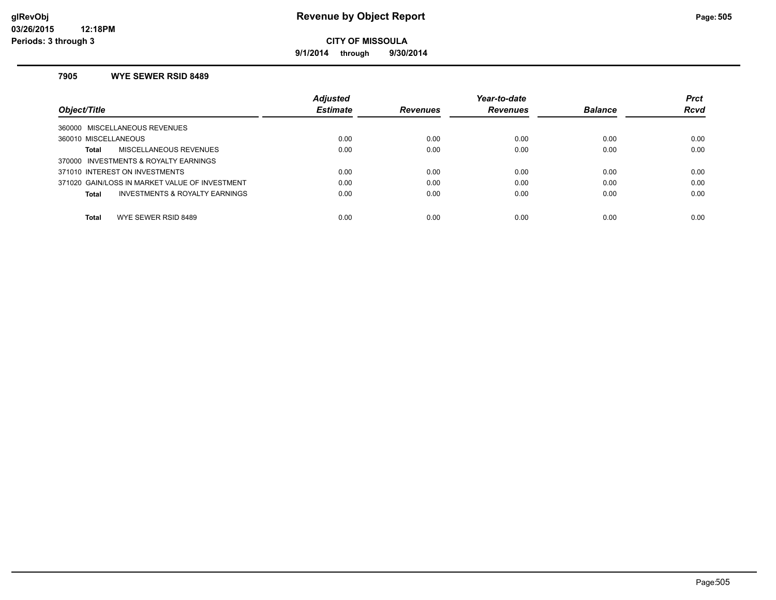**9/1/2014 through 9/30/2014**

#### **7905 WYE SEWER RSID 8489**

| Object/Title                                       | <b>Adjusted</b><br><b>Estimate</b> | <b>Revenues</b> | Year-to-date<br><b>Revenues</b> | <b>Balance</b> | <b>Prct</b><br><b>Rcvd</b> |
|----------------------------------------------------|------------------------------------|-----------------|---------------------------------|----------------|----------------------------|
| 360000 MISCELLANEOUS REVENUES                      |                                    |                 |                                 |                |                            |
| 360010 MISCELLANEOUS                               | 0.00                               | 0.00            | 0.00                            | 0.00           | 0.00                       |
| MISCELLANEOUS REVENUES<br>Total                    | 0.00                               | 0.00            | 0.00                            | 0.00           | 0.00                       |
| 370000 INVESTMENTS & ROYALTY EARNINGS              |                                    |                 |                                 |                |                            |
| 371010 INTEREST ON INVESTMENTS                     | 0.00                               | 0.00            | 0.00                            | 0.00           | 0.00                       |
| 371020 GAIN/LOSS IN MARKET VALUE OF INVESTMENT     | 0.00                               | 0.00            | 0.00                            | 0.00           | 0.00                       |
| <b>INVESTMENTS &amp; ROYALTY EARNINGS</b><br>Total | 0.00                               | 0.00            | 0.00                            | 0.00           | 0.00                       |
| WYE SEWER RSID 8489<br>Total                       | 0.00                               | 0.00            | 0.00                            | 0.00           | 0.00                       |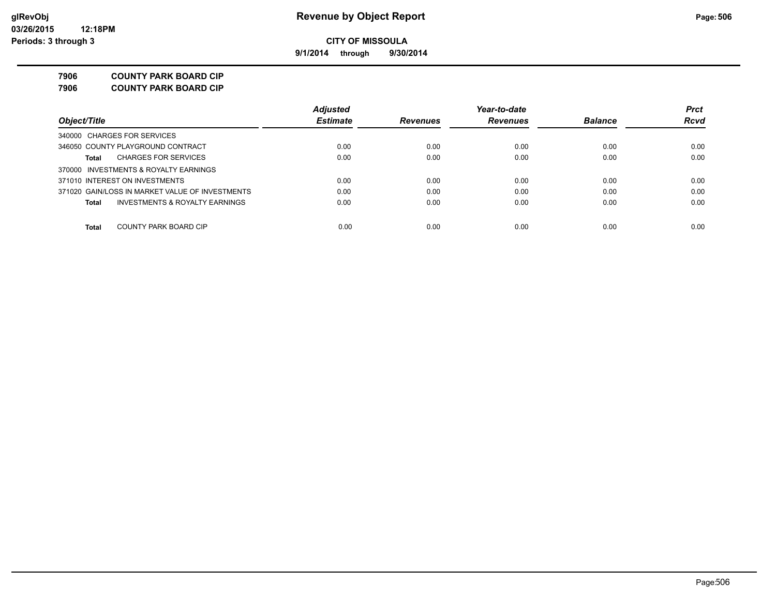**9/1/2014 through 9/30/2014**

**7906 COUNTY PARK BOARD CIP**

**7906 COUNTY PARK BOARD CIP**

|                                                 | <b>Adjusted</b> |                 | Year-to-date    |                | <b>Prct</b> |
|-------------------------------------------------|-----------------|-----------------|-----------------|----------------|-------------|
| Object/Title                                    | <b>Estimate</b> | <b>Revenues</b> | <b>Revenues</b> | <b>Balance</b> | <b>Rcvd</b> |
| 340000 CHARGES FOR SERVICES                     |                 |                 |                 |                |             |
| 346050 COUNTY PLAYGROUND CONTRACT               | 0.00            | 0.00            | 0.00            | 0.00           | 0.00        |
| <b>CHARGES FOR SERVICES</b><br>Total            | 0.00            | 0.00            | 0.00            | 0.00           | 0.00        |
| 370000 INVESTMENTS & ROYALTY EARNINGS           |                 |                 |                 |                |             |
| 371010 INTEREST ON INVESTMENTS                  | 0.00            | 0.00            | 0.00            | 0.00           | 0.00        |
| 371020 GAIN/LOSS IN MARKET VALUE OF INVESTMENTS | 0.00            | 0.00            | 0.00            | 0.00           | 0.00        |
| INVESTMENTS & ROYALTY EARNINGS<br>Total         | 0.00            | 0.00            | 0.00            | 0.00           | 0.00        |
|                                                 |                 |                 |                 |                |             |
| COUNTY PARK BOARD CIP<br>Total                  | 0.00            | 0.00            | 0.00            | 0.00           | 0.00        |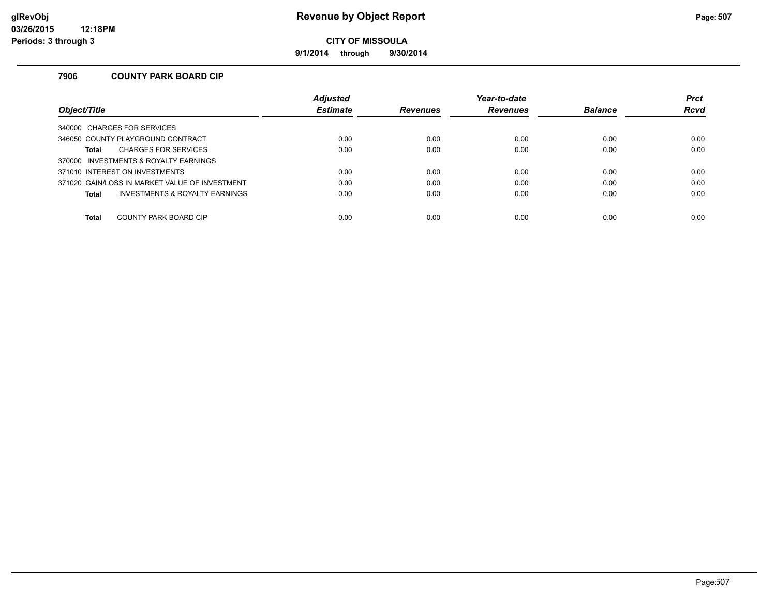**9/1/2014 through 9/30/2014**

#### **7906 COUNTY PARK BOARD CIP**

|                                                | <b>Adjusted</b> |                 | Year-to-date    |                | <b>Prct</b> |
|------------------------------------------------|-----------------|-----------------|-----------------|----------------|-------------|
| Object/Title                                   | <b>Estimate</b> | <b>Revenues</b> | <b>Revenues</b> | <b>Balance</b> | <b>Rcvd</b> |
| 340000 CHARGES FOR SERVICES                    |                 |                 |                 |                |             |
| 346050 COUNTY PLAYGROUND CONTRACT              | 0.00            | 0.00            | 0.00            | 0.00           | 0.00        |
| <b>CHARGES FOR SERVICES</b><br><b>Total</b>    | 0.00            | 0.00            | 0.00            | 0.00           | 0.00        |
| 370000 INVESTMENTS & ROYALTY EARNINGS          |                 |                 |                 |                |             |
| 371010 INTEREST ON INVESTMENTS                 | 0.00            | 0.00            | 0.00            | 0.00           | 0.00        |
| 371020 GAIN/LOSS IN MARKET VALUE OF INVESTMENT | 0.00            | 0.00            | 0.00            | 0.00           | 0.00        |
| INVESTMENTS & ROYALTY EARNINGS<br><b>Total</b> | 0.00            | 0.00            | 0.00            | 0.00           | 0.00        |
|                                                |                 |                 |                 |                |             |
| <b>Total</b><br>COUNTY PARK BOARD CIP          | 0.00            | 0.00            | 0.00            | 0.00           | 0.00        |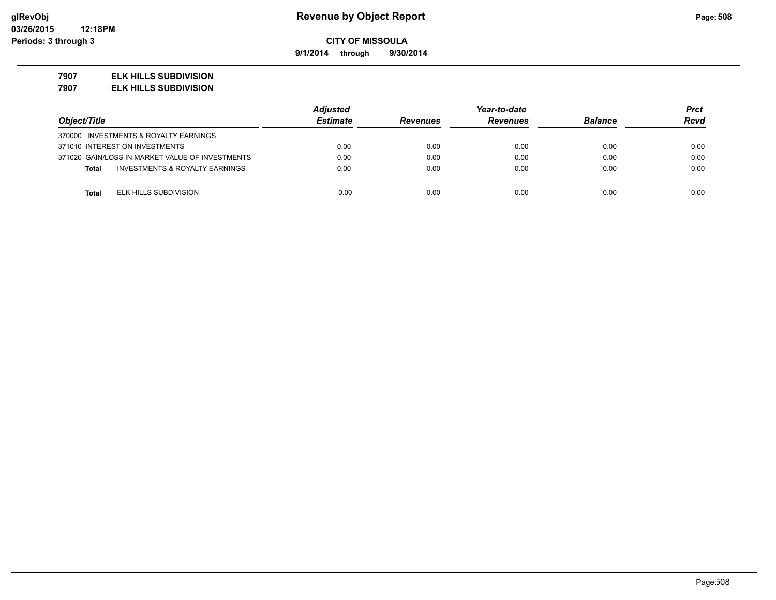**9/1/2014 through 9/30/2014**

#### **7907 ELK HILLS SUBDIVISION**

**7907 ELK HILLS SUBDIVISION**

|                                                           | <b>Adjusted</b> |                 | Year-to-date    |                | Prct        |
|-----------------------------------------------------------|-----------------|-----------------|-----------------|----------------|-------------|
| Object/Title                                              | <b>Estimate</b> | <b>Revenues</b> | <b>Revenues</b> | <b>Balance</b> | <b>Rcvd</b> |
| 370000 INVESTMENTS & ROYALTY EARNINGS                     |                 |                 |                 |                |             |
| 371010 INTEREST ON INVESTMENTS                            | 0.00            | 0.00            | 0.00            | 0.00           | 0.00        |
| 371020 GAIN/LOSS IN MARKET VALUE OF INVESTMENTS           | 0.00            | 0.00            | 0.00            | 0.00           | 0.00        |
| <b>INVESTMENTS &amp; ROYALTY EARNINGS</b><br><b>Total</b> | 0.00            | 0.00            | 0.00            | 0.00           | 0.00        |
|                                                           |                 |                 |                 |                |             |
| ELK HILLS SUBDIVISION<br><b>Total</b>                     | 0.00            | 0.00            | 0.00            | 0.00           | 0.00        |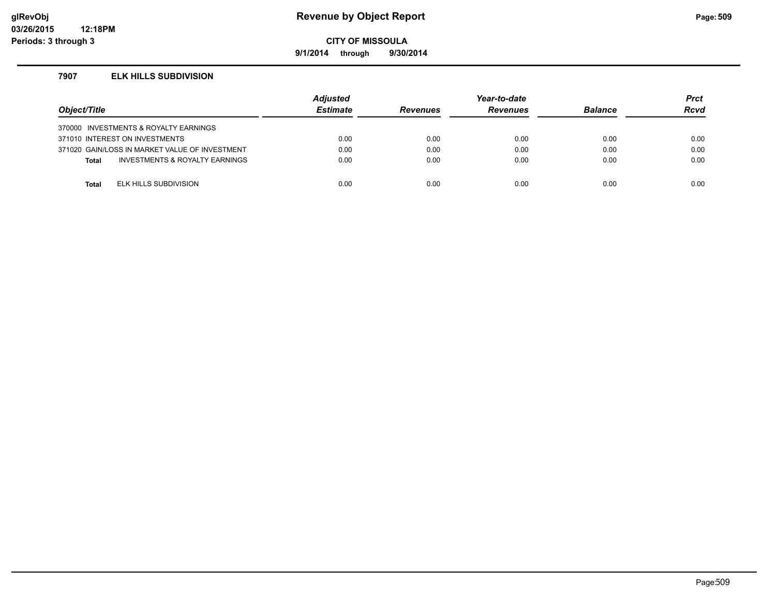### **glRevObj Revenue by Object Report Page:509**

**CITY OF MISSOULA**

**9/1/2014 through 9/30/2014**

#### **7907 ELK HILLS SUBDIVISION**

| Object/Title |                                                | <b>Adjusted</b><br><b>Estimate</b> | <b>Revenues</b> | Year-to-date<br><b>Revenues</b> | <b>Balance</b> | <b>Prct</b><br>Rcvd |
|--------------|------------------------------------------------|------------------------------------|-----------------|---------------------------------|----------------|---------------------|
|              | 370000 INVESTMENTS & ROYALTY EARNINGS          |                                    |                 |                                 |                |                     |
|              | 371010 INTEREST ON INVESTMENTS                 | 0.00                               | 0.00            | 0.00                            | 0.00           | 0.00                |
|              | 371020 GAIN/LOSS IN MARKET VALUE OF INVESTMENT | 0.00                               | 0.00            | 0.00                            | 0.00           | 0.00                |
| <b>Total</b> | <b>INVESTMENTS &amp; ROYALTY EARNINGS</b>      | 0.00                               | 0.00            | 0.00                            | 0.00           | 0.00                |
|              |                                                |                                    |                 |                                 |                |                     |
| Total        | ELK HILLS SUBDIVISION                          | 0.00                               | 0.00            | 0.00                            | 0.00           | 0.00                |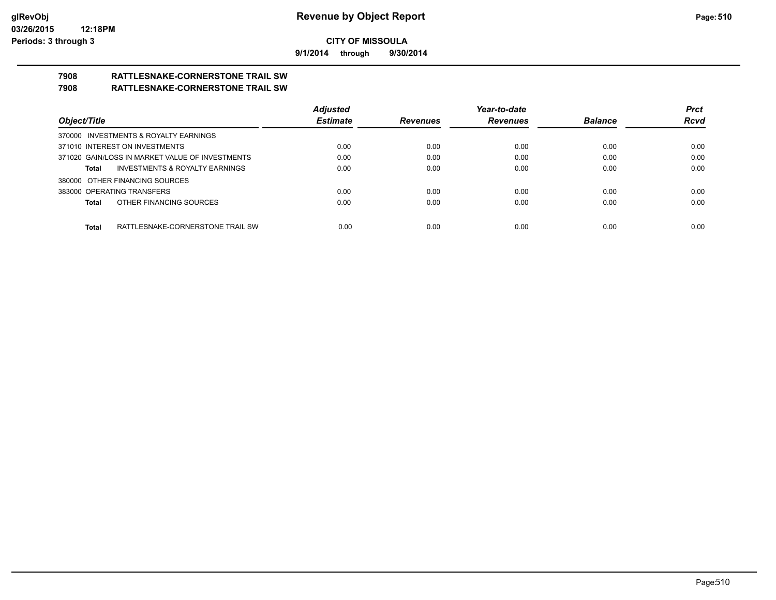**9/1/2014 through 9/30/2014**

# **7908 RATTLESNAKE-CORNERSTONE TRAIL SW**

### **7908 RATTLESNAKE-CORNERSTONE TRAIL SW**

|                                                    | <b>Adjusted</b> |                 | Year-to-date    |                | <b>Prct</b> |
|----------------------------------------------------|-----------------|-----------------|-----------------|----------------|-------------|
| Object/Title                                       | <b>Estimate</b> | <b>Revenues</b> | <b>Revenues</b> | <b>Balance</b> | <b>Rcvd</b> |
| 370000 INVESTMENTS & ROYALTY EARNINGS              |                 |                 |                 |                |             |
| 371010 INTEREST ON INVESTMENTS                     | 0.00            | 0.00            | 0.00            | 0.00           | 0.00        |
| 371020 GAIN/LOSS IN MARKET VALUE OF INVESTMENTS    | 0.00            | 0.00            | 0.00            | 0.00           | 0.00        |
| <b>INVESTMENTS &amp; ROYALTY EARNINGS</b><br>Total | 0.00            | 0.00            | 0.00            | 0.00           | 0.00        |
| 380000 OTHER FINANCING SOURCES                     |                 |                 |                 |                |             |
| 383000 OPERATING TRANSFERS                         | 0.00            | 0.00            | 0.00            | 0.00           | 0.00        |
| OTHER FINANCING SOURCES<br>Total                   | 0.00            | 0.00            | 0.00            | 0.00           | 0.00        |
|                                                    |                 |                 |                 |                |             |
| RATTLESNAKE-CORNERSTONE TRAIL SW<br>Total          | 0.00            | 0.00            | 0.00            | 0.00           | 0.00        |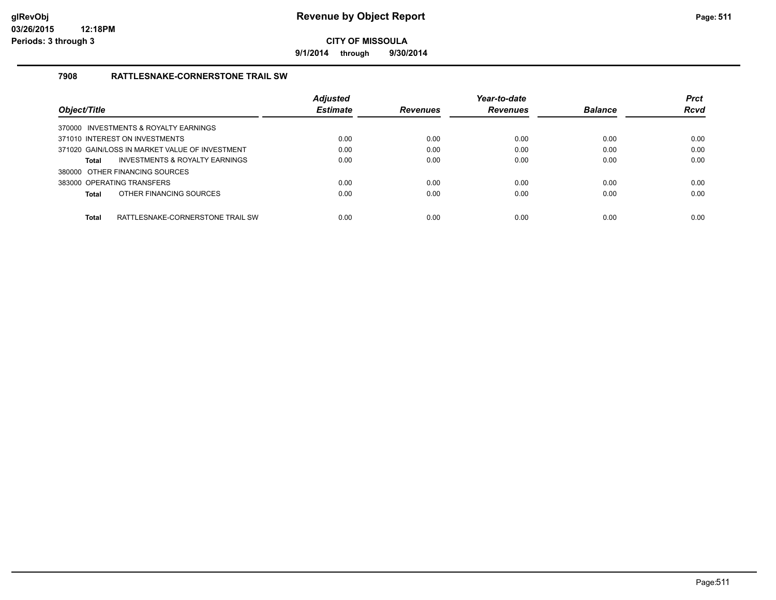**9/1/2014 through 9/30/2014**

### **7908 RATTLESNAKE-CORNERSTONE TRAIL SW**

|                                                |                                  | <b>Adjusted</b> |                 | Year-to-date    |                | <b>Prct</b> |
|------------------------------------------------|----------------------------------|-----------------|-----------------|-----------------|----------------|-------------|
| Object/Title                                   |                                  | <b>Estimate</b> | <b>Revenues</b> | <b>Revenues</b> | <b>Balance</b> | <b>Rcvd</b> |
| 370000 INVESTMENTS & ROYALTY EARNINGS          |                                  |                 |                 |                 |                |             |
| 371010 INTEREST ON INVESTMENTS                 |                                  | 0.00            | 0.00            | 0.00            | 0.00           | 0.00        |
| 371020 GAIN/LOSS IN MARKET VALUE OF INVESTMENT |                                  | 0.00            | 0.00            | 0.00            | 0.00           | 0.00        |
| Total                                          | INVESTMENTS & ROYALTY EARNINGS   | 0.00            | 0.00            | 0.00            | 0.00           | 0.00        |
| 380000 OTHER FINANCING SOURCES                 |                                  |                 |                 |                 |                |             |
| 383000 OPERATING TRANSFERS                     |                                  | 0.00            | 0.00            | 0.00            | 0.00           | 0.00        |
| OTHER FINANCING SOURCES<br>Total               |                                  | 0.00            | 0.00            | 0.00            | 0.00           | 0.00        |
| <b>Total</b>                                   | RATTLESNAKE-CORNERSTONE TRAIL SW | 0.00            | 0.00            | 0.00            | 0.00           | 0.00        |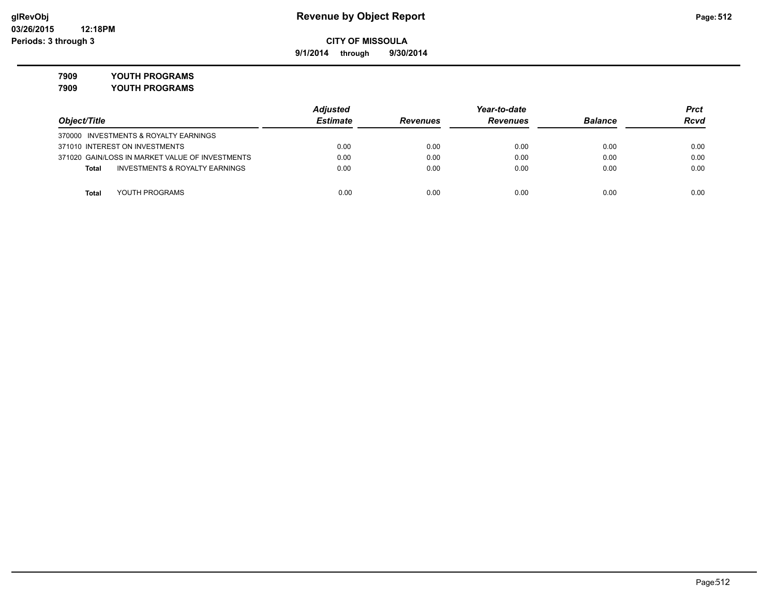**9/1/2014 through 9/30/2014**

**7909 YOUTH PROGRAMS**

**7909 YOUTH PROGRAMS**

|                                                 | <b>Adjusted</b> |                 | Year-to-date    |                | Prct        |
|-------------------------------------------------|-----------------|-----------------|-----------------|----------------|-------------|
| Object/Title                                    | <b>Estimate</b> | <b>Revenues</b> | <b>Revenues</b> | <b>Balance</b> | <b>Rcvd</b> |
| 370000 INVESTMENTS & ROYALTY EARNINGS           |                 |                 |                 |                |             |
| 371010 INTEREST ON INVESTMENTS                  | 0.00            | 0.00            | 0.00            | 0.00           | 0.00        |
| 371020 GAIN/LOSS IN MARKET VALUE OF INVESTMENTS | 0.00            | 0.00            | 0.00            | 0.00           | 0.00        |
| INVESTMENTS & ROYALTY EARNINGS<br>Total         | 0.00            | 0.00            | 0.00            | 0.00           | 0.00        |
|                                                 |                 |                 |                 |                |             |
| YOUTH PROGRAMS<br>Total                         | 0.00            | 0.00            | 0.00            | 0.00           | 0.00        |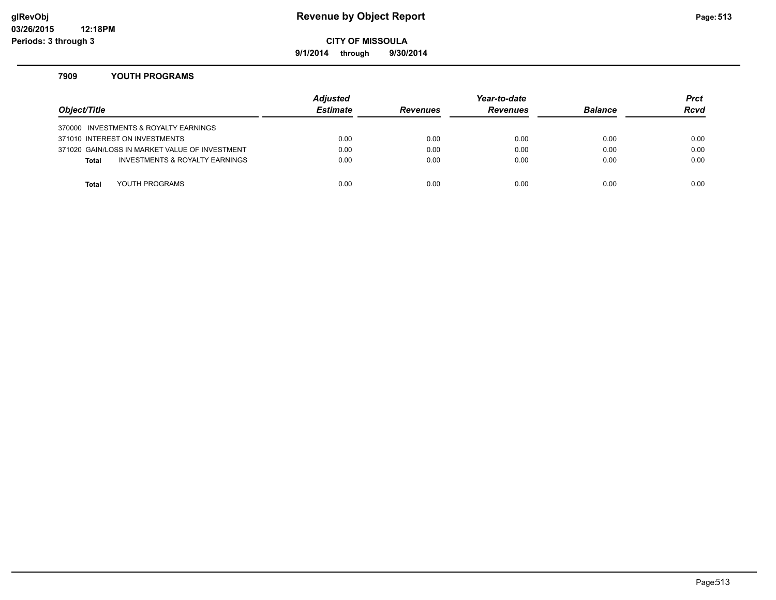### **glRevObj Revenue by Object Report Page:513**

**CITY OF MISSOULA**

**9/1/2014 through 9/30/2014**

#### **7909 YOUTH PROGRAMS**

| Object/Title |                                                | <b>Adjusted</b><br><b>Estimate</b> | <b>Revenues</b> | Year-to-date<br><b>Revenues</b> | <b>Balance</b> | <b>Prct</b><br><b>Rcvd</b> |
|--------------|------------------------------------------------|------------------------------------|-----------------|---------------------------------|----------------|----------------------------|
|              | 370000 INVESTMENTS & ROYALTY EARNINGS          |                                    |                 |                                 |                |                            |
|              | 371010 INTEREST ON INVESTMENTS                 | 0.00                               | 0.00            | 0.00                            | 0.00           | 0.00                       |
|              | 371020 GAIN/LOSS IN MARKET VALUE OF INVESTMENT | 0.00                               | 0.00            | 0.00                            | 0.00           | 0.00                       |
| Total        | INVESTMENTS & ROYALTY EARNINGS                 | 0.00                               | 0.00            | 0.00                            | 0.00           | 0.00                       |
|              |                                                |                                    |                 |                                 |                |                            |
| <b>Total</b> | YOUTH PROGRAMS                                 | 0.00                               | 0.00            | 0.00                            | 0.00           | 0.00                       |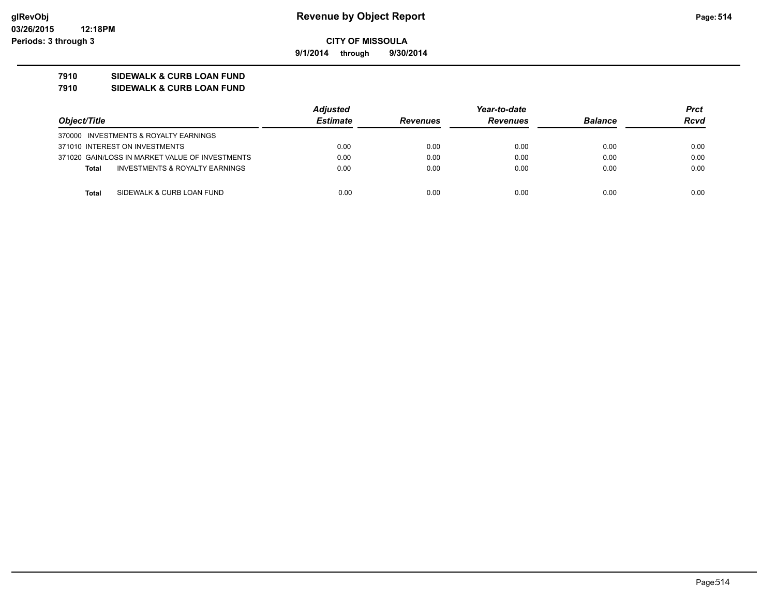**9/1/2014 through 9/30/2014**

### **7910 SIDEWALK & CURB LOAN FUND**

**7910 SIDEWALK & CURB LOAN FUND**

|                                                           | <b>Adjusted</b> |                 | Year-to-date    |                | Prct        |
|-----------------------------------------------------------|-----------------|-----------------|-----------------|----------------|-------------|
| Object/Title                                              | <b>Estimate</b> | <b>Revenues</b> | <b>Revenues</b> | <b>Balance</b> | <b>Rcvd</b> |
| 370000 INVESTMENTS & ROYALTY EARNINGS                     |                 |                 |                 |                |             |
| 371010 INTEREST ON INVESTMENTS                            | 0.00            | 0.00            | 0.00            | 0.00           | 0.00        |
| 371020 GAIN/LOSS IN MARKET VALUE OF INVESTMENTS           | 0.00            | 0.00            | 0.00            | 0.00           | 0.00        |
| <b>INVESTMENTS &amp; ROYALTY EARNINGS</b><br><b>Total</b> | 0.00            | 0.00            | 0.00            | 0.00           | 0.00        |
|                                                           |                 |                 |                 |                |             |
| SIDEWALK & CURB LOAN FUND<br><b>Total</b>                 | 0.00            | 0.00            | 0.00            | 0.00           | 0.00        |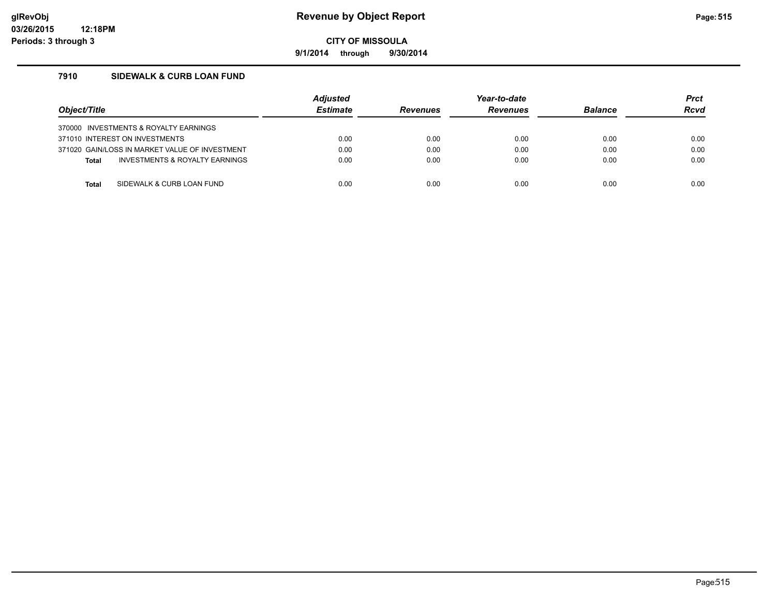**9/1/2014 through 9/30/2014**

### **7910 SIDEWALK & CURB LOAN FUND**

| Object/Title |                                                | <b>Adjusted</b><br><b>Estimate</b> | <b>Revenues</b> | Year-to-date<br><b>Revenues</b> | <b>Balance</b> | <b>Prct</b><br><b>Rcvd</b> |
|--------------|------------------------------------------------|------------------------------------|-----------------|---------------------------------|----------------|----------------------------|
|              | 370000 INVESTMENTS & ROYALTY EARNINGS          |                                    |                 |                                 |                |                            |
|              | 371010 INTEREST ON INVESTMENTS                 | 0.00                               | 0.00            | 0.00                            | 0.00           | 0.00                       |
|              | 371020 GAIN/LOSS IN MARKET VALUE OF INVESTMENT | 0.00                               | 0.00            | 0.00                            | 0.00           | 0.00                       |
| <b>Total</b> | INVESTMENTS & ROYALTY EARNINGS                 | 0.00                               | 0.00            | 0.00                            | 0.00           | 0.00                       |
|              |                                                |                                    |                 |                                 |                |                            |
| Total        | SIDEWALK & CURB LOAN FUND                      | 0.00                               | 0.00            | 0.00                            | 0.00           | 0.00                       |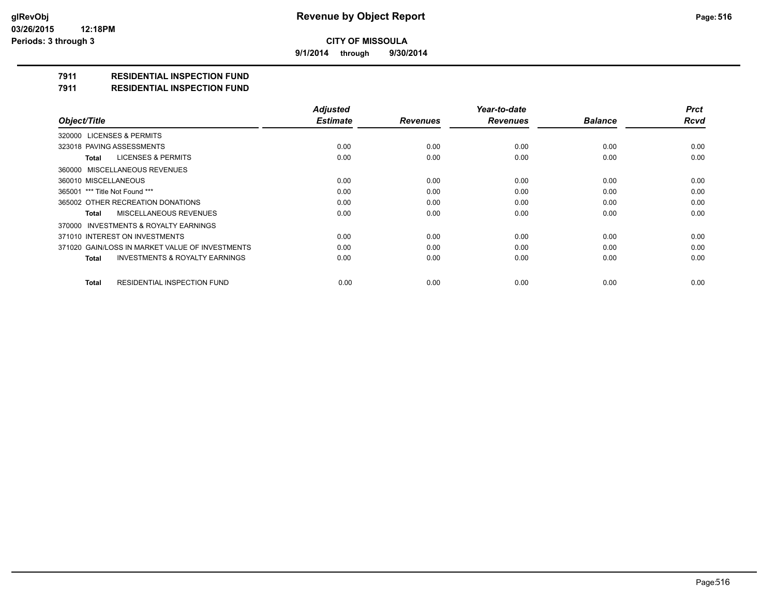**9/1/2014 through 9/30/2014**

### **7911 RESIDENTIAL INSPECTION FUND**

#### **7911 RESIDENTIAL INSPECTION FUND**

|                                                    | <b>Adjusted</b> |                 | Year-to-date    |                | <b>Prct</b> |
|----------------------------------------------------|-----------------|-----------------|-----------------|----------------|-------------|
| Object/Title                                       | <b>Estimate</b> | <b>Revenues</b> | <b>Revenues</b> | <b>Balance</b> | <b>Rcvd</b> |
| 320000 LICENSES & PERMITS                          |                 |                 |                 |                |             |
| 323018 PAVING ASSESSMENTS                          | 0.00            | 0.00            | 0.00            | 0.00           | 0.00        |
| LICENSES & PERMITS<br>Total                        | 0.00            | 0.00            | 0.00            | 0.00           | 0.00        |
| 360000 MISCELLANEOUS REVENUES                      |                 |                 |                 |                |             |
| 360010 MISCELLANEOUS                               | 0.00            | 0.00            | 0.00            | 0.00           | 0.00        |
| 365001 *** Title Not Found ***                     | 0.00            | 0.00            | 0.00            | 0.00           | 0.00        |
| 365002 OTHER RECREATION DONATIONS                  | 0.00            | 0.00            | 0.00            | 0.00           | 0.00        |
| MISCELLANEOUS REVENUES<br>Total                    | 0.00            | 0.00            | 0.00            | 0.00           | 0.00        |
| 370000 INVESTMENTS & ROYALTY EARNINGS              |                 |                 |                 |                |             |
| 371010 INTEREST ON INVESTMENTS                     | 0.00            | 0.00            | 0.00            | 0.00           | 0.00        |
| 371020 GAIN/LOSS IN MARKET VALUE OF INVESTMENTS    | 0.00            | 0.00            | 0.00            | 0.00           | 0.00        |
| <b>INVESTMENTS &amp; ROYALTY EARNINGS</b><br>Total | 0.00            | 0.00            | 0.00            | 0.00           | 0.00        |
| <b>RESIDENTIAL INSPECTION FUND</b><br><b>Total</b> | 0.00            | 0.00            | 0.00            | 0.00           | 0.00        |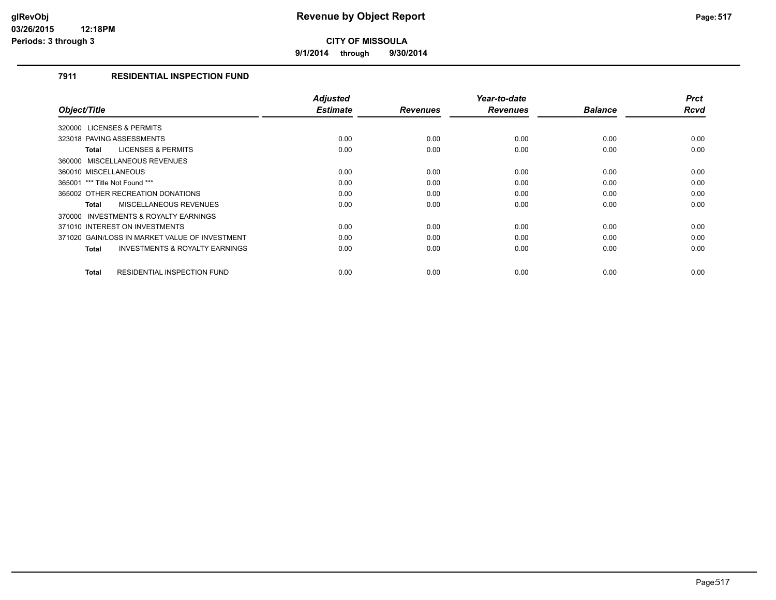**9/1/2014 through 9/30/2014**

### **7911 RESIDENTIAL INSPECTION FUND**

|                                                    | <b>Adjusted</b><br><b>Estimate</b> | <b>Revenues</b> | Year-to-date<br><b>Revenues</b> | <b>Balance</b> | <b>Prct</b><br><b>Rcvd</b> |
|----------------------------------------------------|------------------------------------|-----------------|---------------------------------|----------------|----------------------------|
| Object/Title                                       |                                    |                 |                                 |                |                            |
| 320000 LICENSES & PERMITS                          |                                    |                 |                                 |                |                            |
| 323018 PAVING ASSESSMENTS                          | 0.00                               | 0.00            | 0.00                            | 0.00           | 0.00                       |
| <b>LICENSES &amp; PERMITS</b><br>Total             | 0.00                               | 0.00            | 0.00                            | 0.00           | 0.00                       |
| 360000 MISCELLANEOUS REVENUES                      |                                    |                 |                                 |                |                            |
| 360010 MISCELLANEOUS                               | 0.00                               | 0.00            | 0.00                            | 0.00           | 0.00                       |
| 365001 *** Title Not Found ***                     | 0.00                               | 0.00            | 0.00                            | 0.00           | 0.00                       |
| 365002 OTHER RECREATION DONATIONS                  | 0.00                               | 0.00            | 0.00                            | 0.00           | 0.00                       |
| <b>MISCELLANEOUS REVENUES</b><br>Total             | 0.00                               | 0.00            | 0.00                            | 0.00           | 0.00                       |
| INVESTMENTS & ROYALTY EARNINGS<br>370000           |                                    |                 |                                 |                |                            |
| 371010 INTEREST ON INVESTMENTS                     | 0.00                               | 0.00            | 0.00                            | 0.00           | 0.00                       |
| 371020 GAIN/LOSS IN MARKET VALUE OF INVESTMENT     | 0.00                               | 0.00            | 0.00                            | 0.00           | 0.00                       |
| <b>INVESTMENTS &amp; ROYALTY EARNINGS</b><br>Total | 0.00                               | 0.00            | 0.00                            | 0.00           | 0.00                       |
|                                                    |                                    |                 |                                 |                |                            |
| <b>RESIDENTIAL INSPECTION FUND</b><br><b>Total</b> | 0.00                               | 0.00            | 0.00                            | 0.00           | 0.00                       |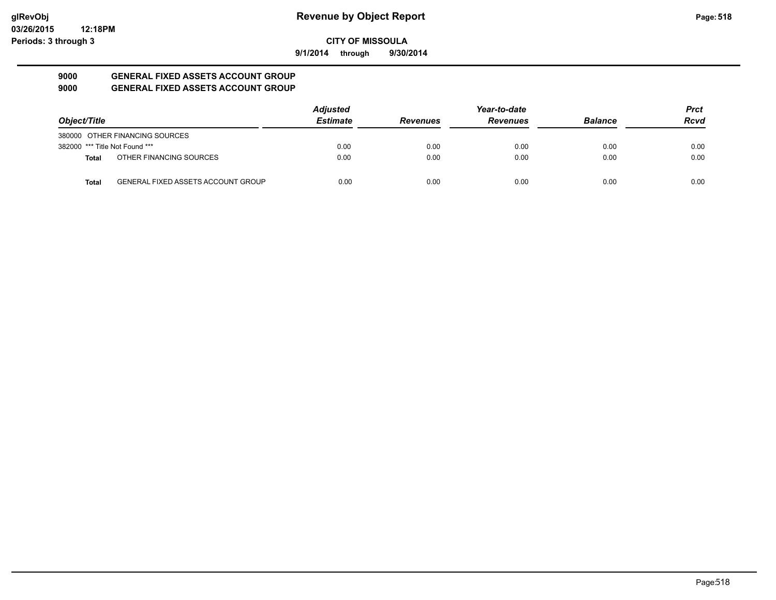**9/1/2014 through 9/30/2014**

#### **9000 GENERAL FIXED ASSETS ACCOUNT GROUP 9000 GENERAL FIXED ASSETS ACCOUNT GROUP**

| Object/Title                   |                                           | <b>Adjusted</b> |                 | Year-to-date    |                | <b>Prct</b> |
|--------------------------------|-------------------------------------------|-----------------|-----------------|-----------------|----------------|-------------|
|                                |                                           | <b>Estimate</b> | <b>Revenues</b> | <b>Revenues</b> | <b>Balance</b> | <b>Rcvd</b> |
|                                | 380000 OTHER FINANCING SOURCES            |                 |                 |                 |                |             |
| 382000 *** Title Not Found *** |                                           | 0.00            | 0.00            | 0.00            | 0.00           | 0.00        |
| <b>Total</b>                   | OTHER FINANCING SOURCES                   | 0.00            | 0.00            | 0.00            | 0.00           | 0.00        |
| <b>Total</b>                   | <b>GENERAL FIXED ASSETS ACCOUNT GROUP</b> | 0.00            | 0.00            | 0.00            | 0.00           | 0.00        |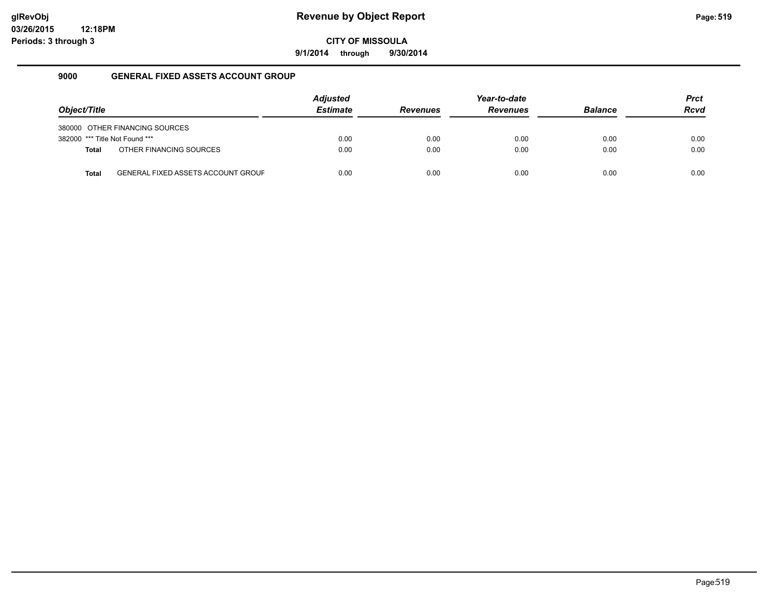**9/1/2014 through 9/30/2014**

#### **9000 GENERAL FIXED ASSETS ACCOUNT GROUP**

|                                |                                           | <b>Adjusted</b> |                 | Year-to-date   |             | <b>Prct</b> |
|--------------------------------|-------------------------------------------|-----------------|-----------------|----------------|-------------|-------------|
| Object/Title                   | <b>Estimate</b>                           | <b>Revenues</b> | <b>Revenues</b> | <b>Balance</b> | <b>Rcvd</b> |             |
|                                | 380000 OTHER FINANCING SOURCES            |                 |                 |                |             |             |
| 382000 *** Title Not Found *** |                                           | 0.00            | 0.00            | 0.00           | 0.00        | 0.00        |
| <b>Total</b>                   | OTHER FINANCING SOURCES                   | 0.00            | 0.00            | 0.00           | 0.00        | 0.00        |
| Total                          | <b>GENERAL FIXED ASSETS ACCOUNT GROUF</b> | 0.00            | 0.00            | 0.00           | 0.00        | 0.00        |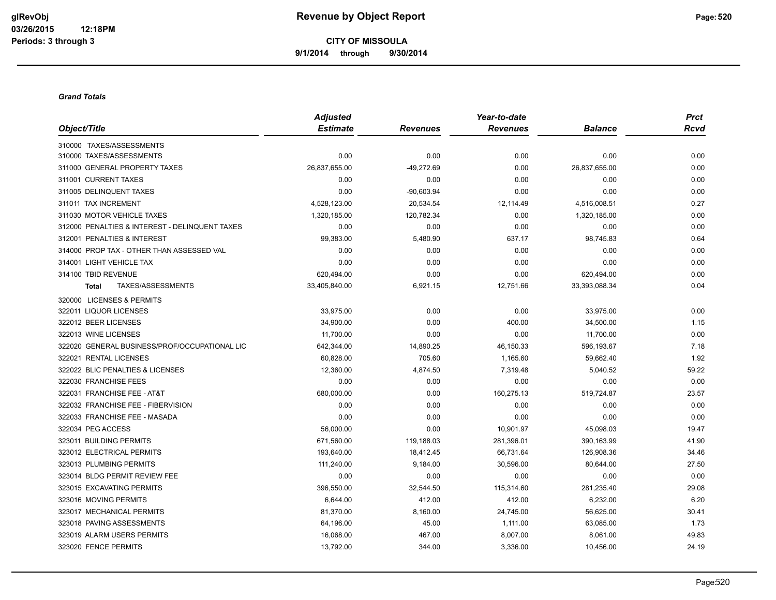**CITY OF MISSOULA 9/1/2014 through 9/30/2014**

#### *Grand Totals*

|                                                | <b>Adjusted</b> |                 | Year-to-date    |                | <b>Prct</b> |
|------------------------------------------------|-----------------|-----------------|-----------------|----------------|-------------|
| Object/Title                                   | <b>Estimate</b> | <b>Revenues</b> | <b>Revenues</b> | <b>Balance</b> | <b>Rcvd</b> |
| 310000 TAXES/ASSESSMENTS                       |                 |                 |                 |                |             |
| 310000 TAXES/ASSESSMENTS                       | 0.00            | 0.00            | 0.00            | 0.00           | 0.00        |
| 311000 GENERAL PROPERTY TAXES                  | 26,837,655.00   | $-49,272.69$    | 0.00            | 26,837,655.00  | 0.00        |
| 311001 CURRENT TAXES                           | 0.00            | 0.00            | 0.00            | 0.00           | 0.00        |
| 311005 DELINQUENT TAXES                        | 0.00            | $-90,603.94$    | 0.00            | 0.00           | 0.00        |
| 311011 TAX INCREMENT                           | 4,528,123.00    | 20,534.54       | 12,114.49       | 4,516,008.51   | 0.27        |
| 311030 MOTOR VEHICLE TAXES                     | 1,320,185.00    | 120,782.34      | 0.00            | 1,320,185.00   | 0.00        |
| 312000 PENALTIES & INTEREST - DELINQUENT TAXES | 0.00            | 0.00            | 0.00            | 0.00           | 0.00        |
| 312001 PENALTIES & INTEREST                    | 99,383.00       | 5,480.90        | 637.17          | 98,745.83      | 0.64        |
| 314000 PROP TAX - OTHER THAN ASSESSED VAL      | 0.00            | 0.00            | 0.00            | 0.00           | 0.00        |
| 314001 LIGHT VEHICLE TAX                       | 0.00            | 0.00            | 0.00            | 0.00           | 0.00        |
| 314100 TBID REVENUE                            | 620,494.00      | 0.00            | 0.00            | 620,494.00     | 0.00        |
| TAXES/ASSESSMENTS<br><b>Total</b>              | 33,405,840.00   | 6,921.15        | 12,751.66       | 33,393,088.34  | 0.04        |
| 320000 LICENSES & PERMITS                      |                 |                 |                 |                |             |
| 322011 LIQUOR LICENSES                         | 33,975.00       | 0.00            | 0.00            | 33,975.00      | 0.00        |
| 322012 BEER LICENSES                           | 34,900.00       | 0.00            | 400.00          | 34,500.00      | 1.15        |
| 322013 WINE LICENSES                           | 11,700.00       | 0.00            | 0.00            | 11,700.00      | 0.00        |
| 322020 GENERAL BUSINESS/PROF/OCCUPATIONAL LIC  | 642,344.00      | 14,890.25       | 46,150.33       | 596,193.67     | 7.18        |
| 322021 RENTAL LICENSES                         | 60,828.00       | 705.60          | 1,165.60        | 59,662.40      | 1.92        |
| 322022 BLIC PENALTIES & LICENSES               | 12,360.00       | 4,874.50        | 7,319.48        | 5,040.52       | 59.22       |
| 322030 FRANCHISE FEES                          | 0.00            | 0.00            | 0.00            | 0.00           | 0.00        |
| 322031 FRANCHISE FEE - AT&T                    | 680,000.00      | 0.00            | 160,275.13      | 519,724.87     | 23.57       |
| 322032 FRANCHISE FEE - FIBERVISION             | 0.00            | 0.00            | 0.00            | 0.00           | 0.00        |
| 322033 FRANCHISE FEE - MASADA                  | 0.00            | 0.00            | 0.00            | 0.00           | 0.00        |
| 322034 PEG ACCESS                              | 56,000.00       | 0.00            | 10,901.97       | 45,098.03      | 19.47       |
| 323011 BUILDING PERMITS                        | 671,560.00      | 119,188.03      | 281,396.01      | 390,163.99     | 41.90       |
| 323012 ELECTRICAL PERMITS                      | 193,640.00      | 18,412.45       | 66,731.64       | 126,908.36     | 34.46       |
| 323013 PLUMBING PERMITS                        | 111,240.00      | 9,184.00        | 30,596.00       | 80,644.00      | 27.50       |
| 323014 BLDG PERMIT REVIEW FEE                  | 0.00            | 0.00            | 0.00            | 0.00           | 0.00        |
| 323015 EXCAVATING PERMITS                      | 396,550.00      | 32,544.50       | 115,314.60      | 281,235.40     | 29.08       |
| 323016 MOVING PERMITS                          | 6,644.00        | 412.00          | 412.00          | 6,232.00       | 6.20        |
| 323017 MECHANICAL PERMITS                      | 81,370.00       | 8,160.00        | 24,745.00       | 56,625.00      | 30.41       |
| 323018 PAVING ASSESSMENTS                      | 64,196.00       | 45.00           | 1,111.00        | 63,085.00      | 1.73        |
| 323019 ALARM USERS PERMITS                     | 16,068.00       | 467.00          | 8,007.00        | 8,061.00       | 49.83       |
| 323020 FENCE PERMITS                           | 13,792.00       | 344.00          | 3,336.00        | 10,456.00      | 24.19       |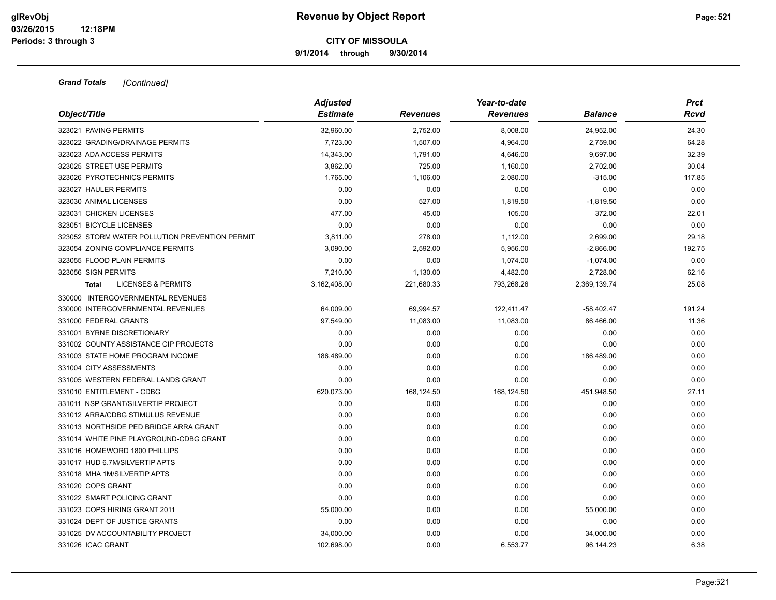**9/1/2014 through 9/30/2014**

| Object/Title                                   | <b>Adjusted</b><br><b>Estimate</b> | <b>Revenues</b> | Year-to-date<br><b>Revenues</b> | <b>Balance</b> | <b>Prct</b><br><b>Rcvd</b> |
|------------------------------------------------|------------------------------------|-----------------|---------------------------------|----------------|----------------------------|
|                                                |                                    |                 |                                 |                |                            |
| 323021 PAVING PERMITS                          | 32,960.00                          | 2,752.00        | 8,008.00                        | 24,952.00      | 24.30                      |
| 323022 GRADING/DRAINAGE PERMITS                | 7,723.00                           | 1,507.00        | 4,964.00                        | 2,759.00       | 64.28                      |
| 323023 ADA ACCESS PERMITS                      | 14,343.00                          | 1,791.00        | 4,646.00                        | 9,697.00       | 32.39                      |
| 323025 STREET USE PERMITS                      | 3.862.00                           | 725.00          | 1,160.00                        | 2,702.00       | 30.04                      |
| 323026 PYROTECHNICS PERMITS                    | 1,765.00                           | 1,106.00        | 2,080.00                        | $-315.00$      | 117.85                     |
| 323027 HAULER PERMITS                          | 0.00                               | 0.00            | 0.00                            | 0.00           | 0.00                       |
| 323030 ANIMAL LICENSES                         | 0.00                               | 527.00          | 1,819.50                        | $-1,819.50$    | 0.00                       |
| 323031 CHICKEN LICENSES                        | 477.00                             | 45.00           | 105.00                          | 372.00         | 22.01                      |
| 323051 BICYCLE LICENSES                        | 0.00                               | 0.00            | 0.00                            | 0.00           | 0.00                       |
| 323052 STORM WATER POLLUTION PREVENTION PERMIT | 3,811.00                           | 278.00          | 1,112.00                        | 2,699.00       | 29.18                      |
| 323054 ZONING COMPLIANCE PERMITS               | 3,090.00                           | 2,592.00        | 5,956.00                        | $-2,866.00$    | 192.75                     |
| 323055 FLOOD PLAIN PERMITS                     | 0.00                               | 0.00            | 1,074.00                        | $-1,074.00$    | 0.00                       |
| 323056 SIGN PERMITS                            | 7,210.00                           | 1,130.00        | 4,482.00                        | 2,728.00       | 62.16                      |
| <b>LICENSES &amp; PERMITS</b><br><b>Total</b>  | 3,162,408.00                       | 221,680.33      | 793,268.26                      | 2,369,139.74   | 25.08                      |
| 330000 INTERGOVERNMENTAL REVENUES              |                                    |                 |                                 |                |                            |
| 330000 INTERGOVERNMENTAL REVENUES              | 64,009.00                          | 69,994.57       | 122,411.47                      | $-58,402.47$   | 191.24                     |
| 331000 FEDERAL GRANTS                          | 97,549.00                          | 11,083.00       | 11,083.00                       | 86,466.00      | 11.36                      |
| 331001 BYRNE DISCRETIONARY                     | 0.00                               | 0.00            | 0.00                            | 0.00           | 0.00                       |
| 331002 COUNTY ASSISTANCE CIP PROJECTS          | 0.00                               | 0.00            | 0.00                            | 0.00           | 0.00                       |
| 331003 STATE HOME PROGRAM INCOME               | 186,489.00                         | 0.00            | 0.00                            | 186,489.00     | 0.00                       |
| 331004 CITY ASSESSMENTS                        | 0.00                               | 0.00            | 0.00                            | 0.00           | 0.00                       |
| 331005 WESTERN FEDERAL LANDS GRANT             | 0.00                               | 0.00            | 0.00                            | 0.00           | 0.00                       |
| 331010 ENTITLEMENT - CDBG                      | 620,073.00                         | 168,124.50      | 168,124.50                      | 451,948.50     | 27.11                      |
| 331011 NSP GRANT/SILVERTIP PROJECT             | 0.00                               | 0.00            | 0.00                            | 0.00           | 0.00                       |
| 331012 ARRA/CDBG STIMULUS REVENUE              | 0.00                               | 0.00            | 0.00                            | 0.00           | 0.00                       |
| 331013 NORTHSIDE PED BRIDGE ARRA GRANT         | 0.00                               | 0.00            | 0.00                            | 0.00           | 0.00                       |
| 331014 WHITE PINE PLAYGROUND-CDBG GRANT        | 0.00                               | 0.00            | 0.00                            | 0.00           | 0.00                       |
| 331016 HOMEWORD 1800 PHILLIPS                  | 0.00                               | 0.00            | 0.00                            | 0.00           | 0.00                       |
| 331017 HUD 6.7M/SILVERTIP APTS                 | 0.00                               | 0.00            | 0.00                            | 0.00           | 0.00                       |
| 331018 MHA 1M/SILVERTIP APTS                   | 0.00                               | 0.00            | 0.00                            | 0.00           | 0.00                       |
| 331020 COPS GRANT                              | 0.00                               | 0.00            | 0.00                            | 0.00           | 0.00                       |
| 331022 SMART POLICING GRANT                    | 0.00                               | 0.00            | 0.00                            | 0.00           | 0.00                       |
| 331023 COPS HIRING GRANT 2011                  | 55,000.00                          | 0.00            | 0.00                            | 55,000.00      | 0.00                       |
| 331024 DEPT OF JUSTICE GRANTS                  | 0.00                               | 0.00            | 0.00                            | 0.00           | 0.00                       |
| 331025 DV ACCOUNTABILITY PROJECT               | 34,000.00                          | 0.00            | 0.00                            | 34,000.00      | 0.00                       |
| 331026 ICAC GRANT                              | 102.698.00                         | 0.00            | 6,553.77                        | 96,144.23      | 6.38                       |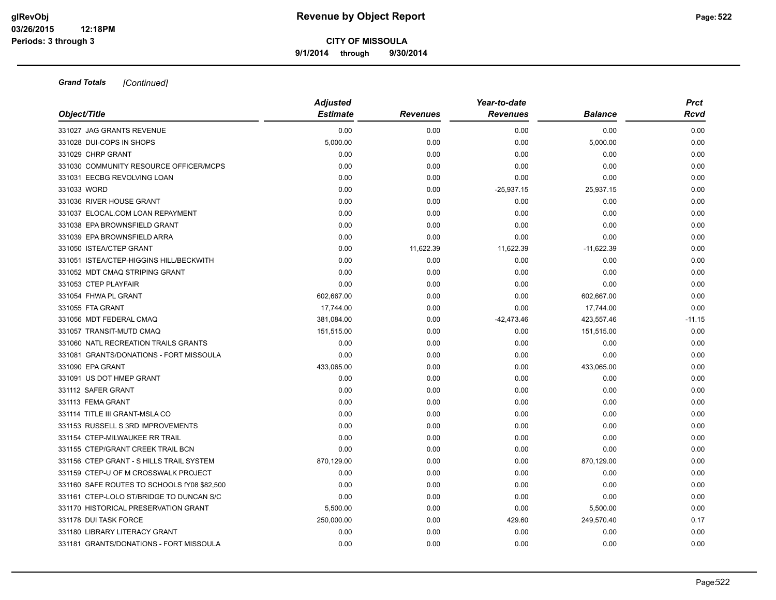**9/1/2014 through 9/30/2014**

|                                             | <b>Adjusted</b> |                 | Year-to-date    |                | <b>Prct</b> |  |
|---------------------------------------------|-----------------|-----------------|-----------------|----------------|-------------|--|
| Object/Title                                | <b>Estimate</b> | <b>Revenues</b> | <b>Revenues</b> | <b>Balance</b> | <b>Rcvd</b> |  |
| 331027 JAG GRANTS REVENUE                   | 0.00            | 0.00            | 0.00            | 0.00           | 0.00        |  |
| 331028 DUI-COPS IN SHOPS                    | 5,000.00        | 0.00            | 0.00            | 5,000.00       | 0.00        |  |
| 331029 CHRP GRANT                           | 0.00            | 0.00            | 0.00            | 0.00           | 0.00        |  |
| 331030 COMMUNITY RESOURCE OFFICER/MCPS      | 0.00            | 0.00            | 0.00            | 0.00           | 0.00        |  |
| 331031 EECBG REVOLVING LOAN                 | 0.00            | 0.00            | 0.00            | 0.00           | 0.00        |  |
| 331033 WORD                                 | 0.00            | 0.00            | $-25,937.15$    | 25,937.15      | 0.00        |  |
| 331036 RIVER HOUSE GRANT                    | 0.00            | 0.00            | 0.00            | 0.00           | 0.00        |  |
| 331037 ELOCAL.COM LOAN REPAYMENT            | 0.00            | 0.00            | 0.00            | 0.00           | 0.00        |  |
| 331038 EPA BROWNSFIELD GRANT                | 0.00            | 0.00            | 0.00            | 0.00           | 0.00        |  |
| 331039 EPA BROWNSFIELD ARRA                 | 0.00            | 0.00            | 0.00            | 0.00           | 0.00        |  |
| 331050 ISTEA/CTEP GRANT                     | 0.00            | 11,622.39       | 11,622.39       | $-11,622.39$   | 0.00        |  |
| 331051 ISTEA/CTEP-HIGGINS HILL/BECKWITH     | 0.00            | 0.00            | 0.00            | 0.00           | 0.00        |  |
| 331052 MDT CMAQ STRIPING GRANT              | 0.00            | 0.00            | 0.00            | 0.00           | 0.00        |  |
| 331053 CTEP PLAYFAIR                        | 0.00            | 0.00            | 0.00            | 0.00           | 0.00        |  |
| 331054 FHWA PL GRANT                        | 602,667.00      | 0.00            | 0.00            | 602,667.00     | 0.00        |  |
| 331055 FTA GRANT                            | 17,744.00       | 0.00            | 0.00            | 17,744.00      | 0.00        |  |
| 331056 MDT FEDERAL CMAQ                     | 381,084.00      | 0.00            | $-42,473.46$    | 423,557.46     | $-11.15$    |  |
| 331057 TRANSIT-MUTD CMAQ                    | 151,515.00      | 0.00            | 0.00            | 151,515.00     | 0.00        |  |
| 331060 NATL RECREATION TRAILS GRANTS        | 0.00            | 0.00            | 0.00            | 0.00           | 0.00        |  |
| 331081 GRANTS/DONATIONS - FORT MISSOULA     | 0.00            | 0.00            | 0.00            | 0.00           | 0.00        |  |
| 331090 EPA GRANT                            | 433,065.00      | 0.00            | 0.00            | 433,065.00     | 0.00        |  |
| 331091 US DOT HMEP GRANT                    | 0.00            | 0.00            | 0.00            | 0.00           | 0.00        |  |
| 331112 SAFER GRANT                          | 0.00            | 0.00            | 0.00            | 0.00           | 0.00        |  |
| 331113 FEMA GRANT                           | 0.00            | 0.00            | 0.00            | 0.00           | 0.00        |  |
| 331114 TITLE III GRANT-MSLA CO              | 0.00            | 0.00            | 0.00            | 0.00           | 0.00        |  |
| 331153 RUSSELL S 3RD IMPROVEMENTS           | 0.00            | 0.00            | 0.00            | 0.00           | 0.00        |  |
| 331154 CTEP-MILWAUKEE RR TRAIL              | 0.00            | 0.00            | 0.00            | 0.00           | 0.00        |  |
| 331155 CTEP/GRANT CREEK TRAIL BCN           | 0.00            | 0.00            | 0.00            | 0.00           | 0.00        |  |
| 331156 CTEP GRANT - S HILLS TRAIL SYSTEM    | 870,129.00      | 0.00            | 0.00            | 870,129.00     | 0.00        |  |
| 331159 CTEP-U OF M CROSSWALK PROJECT        | 0.00            | 0.00            | 0.00            | 0.00           | 0.00        |  |
| 331160 SAFE ROUTES TO SCHOOLS fY08 \$82,500 | 0.00            | 0.00            | 0.00            | 0.00           | 0.00        |  |
| 331161 CTEP-LOLO ST/BRIDGE TO DUNCAN S/C    | 0.00            | 0.00            | 0.00            | 0.00           | 0.00        |  |
| 331170 HISTORICAL PRESERVATION GRANT        | 5,500.00        | 0.00            | 0.00            | 5,500.00       | 0.00        |  |
| 331178 DUI TASK FORCE                       | 250,000.00      | 0.00            | 429.60          | 249,570.40     | 0.17        |  |
| 331180 LIBRARY LITERACY GRANT               | 0.00            | 0.00            | 0.00            | 0.00           | 0.00        |  |
| 331181 GRANTS/DONATIONS - FORT MISSOULA     | 0.00            | 0.00            | 0.00            | 0.00           | 0.00        |  |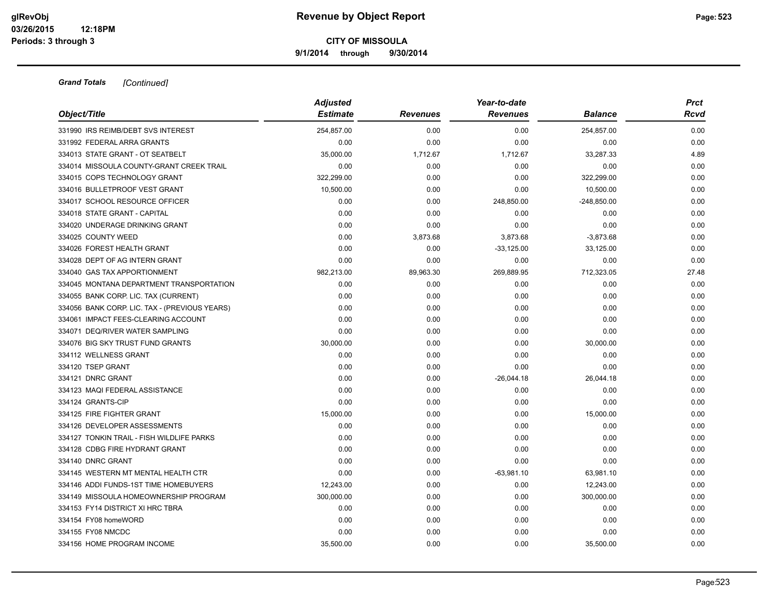**9/1/2014 through 9/30/2014**

|                                               | <b>Adjusted</b> |                 |                 | <b>Prct</b>    |       |
|-----------------------------------------------|-----------------|-----------------|-----------------|----------------|-------|
| Object/Title                                  | <b>Estimate</b> | <b>Revenues</b> | <b>Revenues</b> | <b>Balance</b> | Rcvd  |
| 331990 IRS REIMB/DEBT SVS INTEREST            | 254.857.00      | 0.00            | 0.00            | 254,857.00     | 0.00  |
| 331992 FEDERAL ARRA GRANTS                    | 0.00            | 0.00            | 0.00            | 0.00           | 0.00  |
| 334013 STATE GRANT - OT SEATBELT              | 35,000.00       | 1,712.67        | 1,712.67        | 33,287.33      | 4.89  |
| 334014 MISSOULA COUNTY-GRANT CREEK TRAIL      | 0.00            | 0.00            | 0.00            | 0.00           | 0.00  |
| 334015 COPS TECHNOLOGY GRANT                  | 322,299.00      | 0.00            | 0.00            | 322,299.00     | 0.00  |
| 334016 BULLETPROOF VEST GRANT                 | 10,500.00       | 0.00            | 0.00            | 10,500.00      | 0.00  |
| 334017 SCHOOL RESOURCE OFFICER                | 0.00            | 0.00            | 248,850.00      | $-248,850.00$  | 0.00  |
| 334018 STATE GRANT - CAPITAL                  | 0.00            | 0.00            | 0.00            | 0.00           | 0.00  |
| 334020 UNDERAGE DRINKING GRANT                | 0.00            | 0.00            | 0.00            | 0.00           | 0.00  |
| 334025 COUNTY WEED                            | 0.00            | 3,873.68        | 3,873.68        | $-3,873.68$    | 0.00  |
| 334026 FOREST HEALTH GRANT                    | 0.00            | 0.00            | $-33,125.00$    | 33,125.00      | 0.00  |
| 334028 DEPT OF AG INTERN GRANT                | 0.00            | 0.00            | 0.00            | 0.00           | 0.00  |
| 334040 GAS TAX APPORTIONMENT                  | 982,213.00      | 89,963.30       | 269,889.95      | 712,323.05     | 27.48 |
| 334045 MONTANA DEPARTMENT TRANSPORTATION      | 0.00            | 0.00            | 0.00            | 0.00           | 0.00  |
| 334055 BANK CORP. LIC. TAX (CURRENT)          | 0.00            | 0.00            | 0.00            | 0.00           | 0.00  |
| 334056 BANK CORP. LIC. TAX - (PREVIOUS YEARS) | 0.00            | 0.00            | 0.00            | 0.00           | 0.00  |
| 334061 IMPACT FEES-CLEARING ACCOUNT           | 0.00            | 0.00            | 0.00            | 0.00           | 0.00  |
| 334071 DEQ/RIVER WATER SAMPLING               | 0.00            | 0.00            | 0.00            | 0.00           | 0.00  |
| 334076 BIG SKY TRUST FUND GRANTS              | 30,000.00       | 0.00            | 0.00            | 30,000.00      | 0.00  |
| 334112 WELLNESS GRANT                         | 0.00            | 0.00            | 0.00            | 0.00           | 0.00  |
| 334120 TSEP GRANT                             | 0.00            | 0.00            | 0.00            | 0.00           | 0.00  |
| 334121 DNRC GRANT                             | 0.00            | 0.00            | $-26,044.18$    | 26,044.18      | 0.00  |
| 334123 MAQI FEDERAL ASSISTANCE                | 0.00            | 0.00            | 0.00            | 0.00           | 0.00  |
| 334124 GRANTS-CIP                             | 0.00            | 0.00            | 0.00            | 0.00           | 0.00  |
| 334125 FIRE FIGHTER GRANT                     | 15,000.00       | 0.00            | 0.00            | 15,000.00      | 0.00  |
| 334126 DEVELOPER ASSESSMENTS                  | 0.00            | 0.00            | 0.00            | 0.00           | 0.00  |
| 334127 TONKIN TRAIL - FISH WILDLIFE PARKS     | 0.00            | 0.00            | 0.00            | 0.00           | 0.00  |
| 334128 CDBG FIRE HYDRANT GRANT                | 0.00            | 0.00            | 0.00            | 0.00           | 0.00  |
| 334140 DNRC GRANT                             | 0.00            | 0.00            | 0.00            | 0.00           | 0.00  |
| 334145 WESTERN MT MENTAL HEALTH CTR           | 0.00            | 0.00            | $-63,981.10$    | 63,981.10      | 0.00  |
| 334146 ADDI FUNDS-1ST TIME HOMEBUYERS         | 12,243.00       | 0.00            | 0.00            | 12,243.00      | 0.00  |
| 334149 MISSOULA HOMEOWNERSHIP PROGRAM         | 300,000.00      | 0.00            | 0.00            | 300,000.00     | 0.00  |
| 334153 FY14 DISTRICT XI HRC TBRA              | 0.00            | 0.00            | 0.00            | 0.00           | 0.00  |
| 334154 FY08 homeWORD                          | 0.00            | 0.00            | 0.00            | 0.00           | 0.00  |
| 334155 FY08 NMCDC                             | 0.00            | 0.00            | 0.00            | 0.00           | 0.00  |
| 334156 HOME PROGRAM INCOME                    | 35.500.00       | 0.00            | 0.00            | 35,500.00      | 0.00  |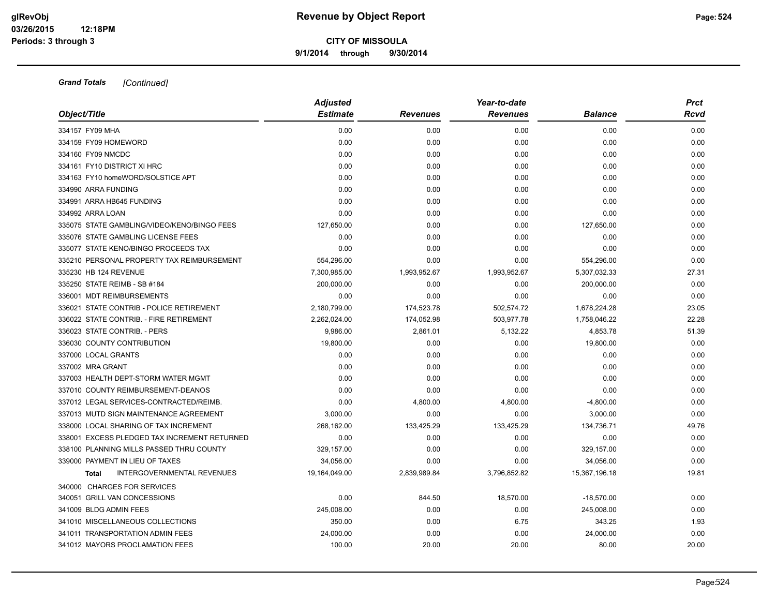**9/1/2014 through 9/30/2014**

|                                                   | <b>Adjusted</b> |                 | Year-to-date    |                | <b>Prct</b> |  |
|---------------------------------------------------|-----------------|-----------------|-----------------|----------------|-------------|--|
| Object/Title                                      | <b>Estimate</b> | <b>Revenues</b> | <b>Revenues</b> | <b>Balance</b> | Rcvd        |  |
| 334157 FY09 MHA                                   | 0.00            | 0.00            | 0.00            | 0.00           | 0.00        |  |
| 334159 FY09 HOMEWORD                              | 0.00            | 0.00            | 0.00            | 0.00           | 0.00        |  |
| 334160 FY09 NMCDC                                 | 0.00            | 0.00            | 0.00            | 0.00           | 0.00        |  |
| 334161 FY10 DISTRICT XI HRC                       | 0.00            | 0.00            | 0.00            | 0.00           | 0.00        |  |
| 334163 FY10 homeWORD/SOLSTICE APT                 | 0.00            | 0.00            | 0.00            | 0.00           | 0.00        |  |
| 334990 ARRA FUNDING                               | 0.00            | 0.00            | 0.00            | 0.00           | 0.00        |  |
| 334991 ARRA HB645 FUNDING                         | 0.00            | 0.00            | 0.00            | 0.00           | 0.00        |  |
| 334992 ARRA LOAN                                  | 0.00            | 0.00            | 0.00            | 0.00           | 0.00        |  |
| 335075 STATE GAMBLING/VIDEO/KENO/BINGO FEES       | 127,650.00      | 0.00            | 0.00            | 127,650.00     | 0.00        |  |
| 335076 STATE GAMBLING LICENSE FEES                | 0.00            | 0.00            | 0.00            | 0.00           | 0.00        |  |
| 335077 STATE KENO/BINGO PROCEEDS TAX              | 0.00            | 0.00            | 0.00            | 0.00           | 0.00        |  |
| 335210 PERSONAL PROPERTY TAX REIMBURSEMENT        | 554,296.00      | 0.00            | 0.00            | 554,296.00     | 0.00        |  |
| 335230 HB 124 REVENUE                             | 7,300,985.00    | 1,993,952.67    | 1,993,952.67    | 5,307,032.33   | 27.31       |  |
| 335250 STATE REIMB - SB #184                      | 200,000.00      | 0.00            | 0.00            | 200,000.00     | 0.00        |  |
| 336001 MDT REIMBURSEMENTS                         | 0.00            | 0.00            | 0.00            | 0.00           | 0.00        |  |
| 336021 STATE CONTRIB - POLICE RETIREMENT          | 2,180,799.00    | 174,523.78      | 502,574.72      | 1,678,224.28   | 23.05       |  |
| 336022 STATE CONTRIB. - FIRE RETIREMENT           | 2,262,024.00    | 174,052.98      | 503,977.78      | 1,758,046.22   | 22.28       |  |
| 336023 STATE CONTRIB. - PERS                      | 9,986.00        | 2,861.01        | 5,132.22        | 4,853.78       | 51.39       |  |
| 336030 COUNTY CONTRIBUTION                        | 19,800.00       | 0.00            | 0.00            | 19,800.00      | 0.00        |  |
| 337000 LOCAL GRANTS                               | 0.00            | 0.00            | 0.00            | 0.00           | 0.00        |  |
| 337002 MRA GRANT                                  | 0.00            | 0.00            | 0.00            | 0.00           | 0.00        |  |
| 337003 HEALTH DEPT-STORM WATER MGMT               | 0.00            | 0.00            | 0.00            | 0.00           | 0.00        |  |
| 337010 COUNTY REIMBURSEMENT-DEANOS                | 0.00            | 0.00            | 0.00            | 0.00           | 0.00        |  |
| 337012 LEGAL SERVICES-CONTRACTED/REIMB.           | 0.00            | 4,800.00        | 4,800.00        | $-4,800.00$    | 0.00        |  |
| 337013 MUTD SIGN MAINTENANCE AGREEMENT            | 3,000.00        | 0.00            | 0.00            | 3,000.00       | 0.00        |  |
| 338000 LOCAL SHARING OF TAX INCREMENT             | 268,162.00      | 133,425.29      | 133,425.29      | 134,736.71     | 49.76       |  |
| 338001 EXCESS PLEDGED TAX INCREMENT RETURNED      | 0.00            | 0.00            | 0.00            | 0.00           | 0.00        |  |
| 338100 PLANNING MILLS PASSED THRU COUNTY          | 329,157.00      | 0.00            | 0.00            | 329,157.00     | 0.00        |  |
| 339000 PAYMENT IN LIEU OF TAXES                   | 34,056.00       | 0.00            | 0.00            | 34,056.00      | 0.00        |  |
| <b>INTERGOVERNMENTAL REVENUES</b><br><b>Total</b> | 19,164,049.00   | 2,839,989.84    | 3,796,852.82    | 15,367,196.18  | 19.81       |  |
| 340000 CHARGES FOR SERVICES                       |                 |                 |                 |                |             |  |
| 340051 GRILL VAN CONCESSIONS                      | 0.00            | 844.50          | 18,570.00       | $-18,570.00$   | 0.00        |  |
| 341009 BLDG ADMIN FEES                            | 245,008.00      | 0.00            | 0.00            | 245,008.00     | 0.00        |  |
| 341010 MISCELLANEOUS COLLECTIONS                  | 350.00          | 0.00            | 6.75            | 343.25         | 1.93        |  |
| 341011 TRANSPORTATION ADMIN FEES                  | 24,000.00       | 0.00            | 0.00            | 24,000.00      | 0.00        |  |
| 341012 MAYORS PROCLAMATION FEES                   | 100.00          | 20.00           | 20.00           | 80.00          | 20.00       |  |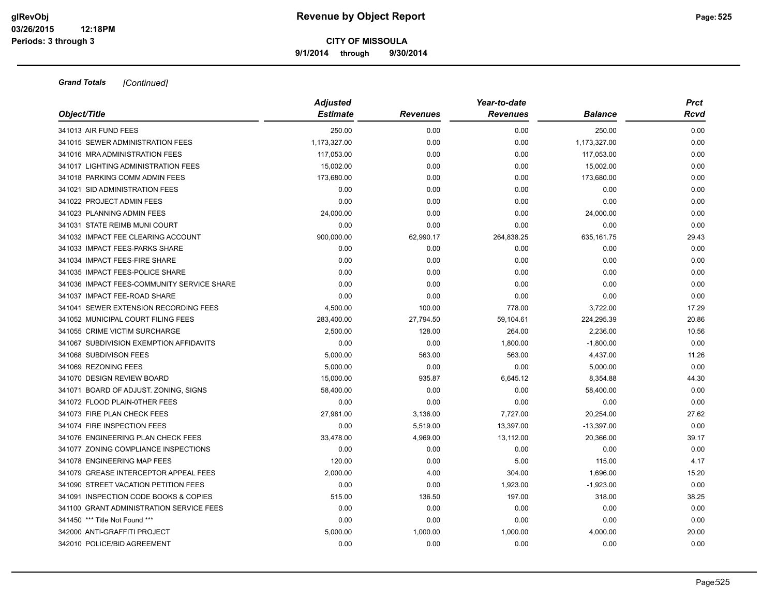**9/1/2014 through 9/30/2014**

| Object/Title                               | <b>Adjusted</b> |                 | Year-to-date    |                | <b>Prct</b> |
|--------------------------------------------|-----------------|-----------------|-----------------|----------------|-------------|
|                                            | <b>Estimate</b> | <b>Revenues</b> | <b>Revenues</b> | <b>Balance</b> | Rcvd        |
| 341013 AIR FUND FEES                       | 250.00          | 0.00            | 0.00            | 250.00         | 0.00        |
| 341015 SEWER ADMINISTRATION FEES           | 1,173,327.00    | 0.00            | 0.00            | 1,173,327.00   | 0.00        |
| 341016 MRA ADMINISTRATION FEES             | 117,053.00      | 0.00            | 0.00            | 117,053.00     | 0.00        |
| 341017 LIGHTING ADMINISTRATION FEES        | 15,002.00       | 0.00            | 0.00            | 15,002.00      | 0.00        |
| 341018 PARKING COMM ADMIN FEES             | 173,680.00      | 0.00            | 0.00            | 173,680.00     | 0.00        |
| 341021 SID ADMINISTRATION FEES             | 0.00            | 0.00            | 0.00            | 0.00           | 0.00        |
| 341022 PROJECT ADMIN FEES                  | 0.00            | 0.00            | 0.00            | 0.00           | 0.00        |
| 341023 PLANNING ADMIN FEES                 | 24,000.00       | 0.00            | 0.00            | 24,000.00      | 0.00        |
| 341031 STATE REIMB MUNI COURT              | 0.00            | 0.00            | 0.00            | 0.00           | 0.00        |
| 341032 IMPACT FEE CLEARING ACCOUNT         | 900,000.00      | 62,990.17       | 264,838.25      | 635,161.75     | 29.43       |
| 341033 IMPACT FEES-PARKS SHARE             | 0.00            | 0.00            | 0.00            | 0.00           | 0.00        |
| 341034 IMPACT FEES-FIRE SHARE              | 0.00            | 0.00            | 0.00            | 0.00           | 0.00        |
| 341035 IMPACT FEES-POLICE SHARE            | 0.00            | 0.00            | 0.00            | 0.00           | 0.00        |
| 341036 IMPACT FEES-COMMUNITY SERVICE SHARE | 0.00            | 0.00            | 0.00            | 0.00           | 0.00        |
| 341037 IMPACT FEE-ROAD SHARE               | 0.00            | 0.00            | 0.00            | 0.00           | 0.00        |
| 341041 SEWER EXTENSION RECORDING FEES      | 4,500.00        | 100.00          | 778.00          | 3,722.00       | 17.29       |
| 341052 MUNICIPAL COURT FILING FEES         | 283,400.00      | 27,794.50       | 59,104.61       | 224,295.39     | 20.86       |
| 341055 CRIME VICTIM SURCHARGE              | 2,500.00        | 128.00          | 264.00          | 2,236.00       | 10.56       |
| 341067 SUBDIVISION EXEMPTION AFFIDAVITS    | 0.00            | 0.00            | 1,800.00        | $-1,800.00$    | 0.00        |
| 341068 SUBDIVISON FEES                     | 5,000.00        | 563.00          | 563.00          | 4,437.00       | 11.26       |
| 341069 REZONING FEES                       | 5.000.00        | 0.00            | 0.00            | 5,000.00       | 0.00        |
| 341070 DESIGN REVIEW BOARD                 | 15,000.00       | 935.87          | 6,645.12        | 8,354.88       | 44.30       |
| 341071 BOARD OF ADJUST. ZONING, SIGNS      | 58,400.00       | 0.00            | 0.00            | 58,400.00      | 0.00        |
| 341072 FLOOD PLAIN-0THER FEES              | 0.00            | 0.00            | 0.00            | 0.00           | 0.00        |
| 341073 FIRE PLAN CHECK FEES                | 27,981.00       | 3,136.00        | 7,727.00        | 20,254.00      | 27.62       |
| 341074 FIRE INSPECTION FEES                | 0.00            | 5,519.00        | 13,397.00       | $-13,397.00$   | 0.00        |
| 341076 ENGINEERING PLAN CHECK FEES         | 33,478.00       | 4,969.00        | 13,112.00       | 20,366.00      | 39.17       |
| 341077 ZONING COMPLIANCE INSPECTIONS       | 0.00            | 0.00            | 0.00            | 0.00           | 0.00        |
| 341078 ENGINEERING MAP FEES                | 120.00          | 0.00            | 5.00            | 115.00         | 4.17        |
| 341079 GREASE INTERCEPTOR APPEAL FEES      | 2,000.00        | 4.00            | 304.00          | 1,696.00       | 15.20       |
| 341090 STREET VACATION PETITION FEES       | 0.00            | 0.00            | 1,923.00        | $-1,923.00$    | 0.00        |
| 341091 INSPECTION CODE BOOKS & COPIES      | 515.00          | 136.50          | 197.00          | 318.00         | 38.25       |
| 341100 GRANT ADMINISTRATION SERVICE FEES   | 0.00            | 0.00            | 0.00            | 0.00           | 0.00        |
| 341450 *** Title Not Found ***             | 0.00            | 0.00            | 0.00            | 0.00           | 0.00        |
| 342000 ANTI-GRAFFITI PROJECT               | 5,000.00        | 1,000.00        | 1,000.00        | 4,000.00       | 20.00       |
| 342010 POLICE/BID AGREEMENT                | 0.00            | 0.00            | 0.00            | 0.00           | 0.00        |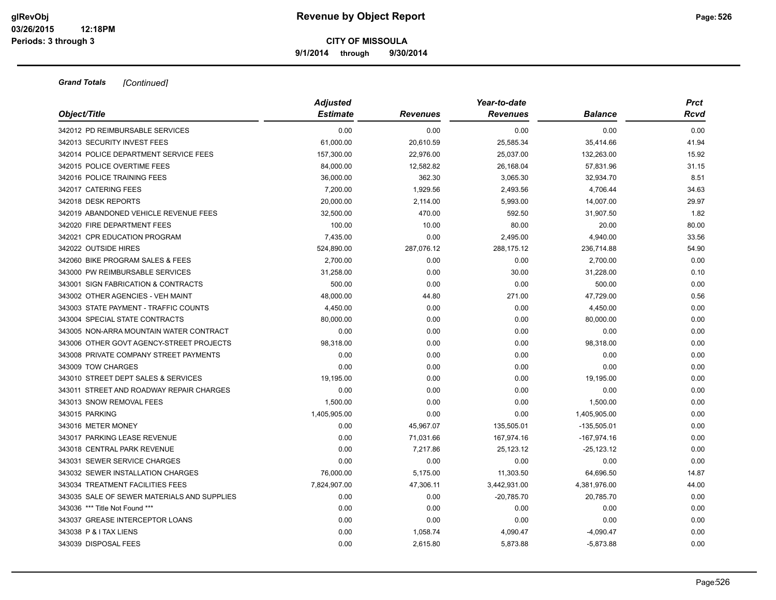**9/1/2014 through 9/30/2014**

|                                             | <b>Adjusted</b> |                 | Year-to-date    |                | <b>Prct</b> |  |
|---------------------------------------------|-----------------|-----------------|-----------------|----------------|-------------|--|
| Object/Title                                | <b>Estimate</b> | <b>Revenues</b> | <b>Revenues</b> | <b>Balance</b> | Rcvd        |  |
| 342012 PD REIMBURSABLE SERVICES             | 0.00            | 0.00            | 0.00            | 0.00           | 0.00        |  |
| 342013 SECURITY INVEST FEES                 | 61,000.00       | 20,610.59       | 25,585.34       | 35,414.66      | 41.94       |  |
| 342014 POLICE DEPARTMENT SERVICE FEES       | 157,300.00      | 22,976.00       | 25,037.00       | 132,263.00     | 15.92       |  |
| 342015 POLICE OVERTIME FEES                 | 84,000.00       | 12,582.82       | 26,168.04       | 57,831.96      | 31.15       |  |
| 342016 POLICE TRAINING FEES                 | 36,000.00       | 362.30          | 3,065.30        | 32,934.70      | 8.51        |  |
| 342017 CATERING FEES                        | 7,200.00        | 1,929.56        | 2,493.56        | 4,706.44       | 34.63       |  |
| 342018 DESK REPORTS                         | 20,000.00       | 2,114.00        | 5,993.00        | 14,007.00      | 29.97       |  |
| 342019 ABANDONED VEHICLE REVENUE FEES       | 32,500.00       | 470.00          | 592.50          | 31,907.50      | 1.82        |  |
| 342020 FIRE DEPARTMENT FEES                 | 100.00          | 10.00           | 80.00           | 20.00          | 80.00       |  |
| 342021 CPR EDUCATION PROGRAM                | 7,435.00        | 0.00            | 2,495.00        | 4,940.00       | 33.56       |  |
| 342022 OUTSIDE HIRES                        | 524,890.00      | 287,076.12      | 288,175.12      | 236,714.88     | 54.90       |  |
| 342060 BIKE PROGRAM SALES & FEES            | 2,700.00        | 0.00            | 0.00            | 2,700.00       | 0.00        |  |
| 343000 PW REIMBURSABLE SERVICES             | 31,258.00       | 0.00            | 30.00           | 31,228.00      | 0.10        |  |
| 343001 SIGN FABRICATION & CONTRACTS         | 500.00          | 0.00            | 0.00            | 500.00         | 0.00        |  |
| 343002 OTHER AGENCIES - VEH MAINT           | 48,000.00       | 44.80           | 271.00          | 47,729.00      | 0.56        |  |
| 343003 STATE PAYMENT - TRAFFIC COUNTS       | 4,450.00        | 0.00            | 0.00            | 4,450.00       | 0.00        |  |
| 343004 SPECIAL STATE CONTRACTS              | 80,000.00       | 0.00            | 0.00            | 80,000.00      | 0.00        |  |
| 343005 NON-ARRA MOUNTAIN WATER CONTRACT     | 0.00            | 0.00            | 0.00            | 0.00           | 0.00        |  |
| 343006 OTHER GOVT AGENCY-STREET PROJECTS    | 98,318.00       | 0.00            | 0.00            | 98,318.00      | 0.00        |  |
| 343008 PRIVATE COMPANY STREET PAYMENTS      | 0.00            | 0.00            | 0.00            | 0.00           | 0.00        |  |
| 343009 TOW CHARGES                          | 0.00            | 0.00            | 0.00            | 0.00           | 0.00        |  |
| 343010 STREET DEPT SALES & SERVICES         | 19,195.00       | 0.00            | 0.00            | 19,195.00      | 0.00        |  |
| 343011 STREET AND ROADWAY REPAIR CHARGES    | 0.00            | 0.00            | 0.00            | 0.00           | 0.00        |  |
| 343013 SNOW REMOVAL FEES                    | 1,500.00        | 0.00            | 0.00            | 1,500.00       | 0.00        |  |
| 343015 PARKING                              | 1,405,905.00    | 0.00            | 0.00            | 1,405,905.00   | 0.00        |  |
| 343016 METER MONEY                          | 0.00            | 45,967.07       | 135,505.01      | $-135,505.01$  | 0.00        |  |
| 343017 PARKING LEASE REVENUE                | 0.00            | 71,031.66       | 167,974.16      | $-167,974.16$  | 0.00        |  |
| 343018 CENTRAL PARK REVENUE                 | 0.00            | 7,217.86        | 25,123.12       | $-25, 123.12$  | 0.00        |  |
| 343031 SEWER SERVICE CHARGES                | 0.00            | 0.00            | 0.00            | 0.00           | 0.00        |  |
| 343032 SEWER INSTALLATION CHARGES           | 76,000.00       | 5,175.00        | 11,303.50       | 64,696.50      | 14.87       |  |
| 343034 TREATMENT FACILITIES FEES            | 7,824,907.00    | 47,306.11       | 3,442,931.00    | 4,381,976.00   | 44.00       |  |
| 343035 SALE OF SEWER MATERIALS AND SUPPLIES | 0.00            | 0.00            | $-20,785.70$    | 20,785.70      | 0.00        |  |
| 343036 *** Title Not Found ***              | 0.00            | 0.00            | 0.00            | 0.00           | 0.00        |  |
| 343037 GREASE INTERCEPTOR LOANS             | 0.00            | 0.00            | 0.00            | 0.00           | 0.00        |  |
| 343038 P & I TAX LIENS                      | 0.00            | 1,058.74        | 4,090.47        | $-4,090.47$    | 0.00        |  |
| 343039 DISPOSAL FEES                        | 0.00            | 2,615.80        | 5,873.88        | $-5,873.88$    | 0.00        |  |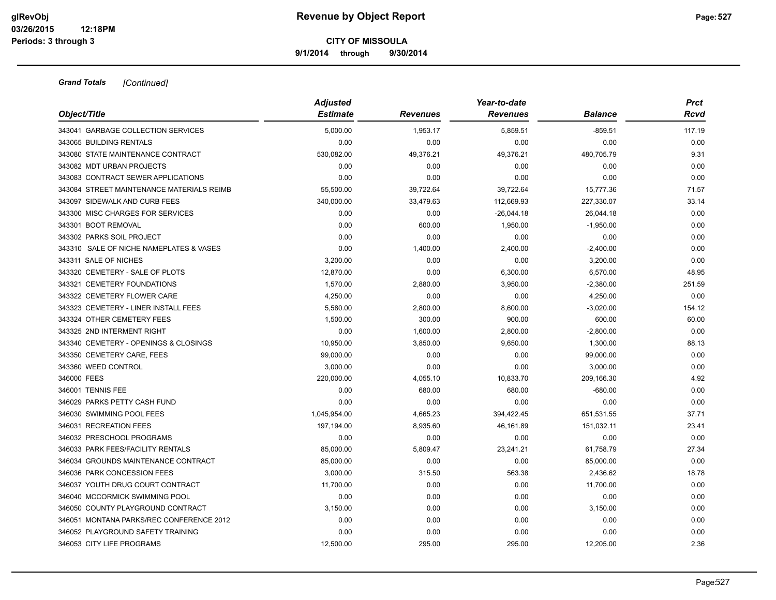**9/1/2014 through 9/30/2014**

| Object/Title                              | <b>Adjusted</b><br><b>Estimate</b> | <b>Revenues</b> | Year-to-date<br><b>Revenues</b> | <b>Balance</b> | <b>Prct</b><br>Rcvd |
|-------------------------------------------|------------------------------------|-----------------|---------------------------------|----------------|---------------------|
| 343041 GARBAGE COLLECTION SERVICES        | 5,000.00                           | 1,953.17        | 5,859.51                        | $-859.51$      | 117.19              |
| 343065 BUILDING RENTALS                   | 0.00                               | 0.00            | 0.00                            | 0.00           | 0.00                |
| 343080 STATE MAINTENANCE CONTRACT         | 530,082.00                         | 49,376.21       | 49,376.21                       | 480,705.79     | 9.31                |
| 343082 MDT URBAN PROJECTS                 | 0.00                               | 0.00            | 0.00                            | 0.00           | 0.00                |
| 343083 CONTRACT SEWER APPLICATIONS        | 0.00                               | 0.00            | 0.00                            | 0.00           | 0.00                |
| 343084 STREET MAINTENANCE MATERIALS REIMB | 55,500.00                          | 39,722.64       | 39,722.64                       | 15,777.36      | 71.57               |
| 343097 SIDEWALK AND CURB FEES             | 340,000.00                         | 33,479.63       | 112,669.93                      | 227,330.07     | 33.14               |
| 343300 MISC CHARGES FOR SERVICES          | 0.00                               | 0.00            | $-26,044.18$                    | 26,044.18      | 0.00                |
| 343301 BOOT REMOVAL                       | 0.00                               | 600.00          | 1,950.00                        | $-1,950.00$    | 0.00                |
| 343302 PARKS SOIL PROJECT                 | 0.00                               | 0.00            | 0.00                            | 0.00           | 0.00                |
| 343310 SALE OF NICHE NAMEPLATES & VASES   | 0.00                               | 1,400.00        | 2,400.00                        | $-2,400.00$    | 0.00                |
| 343311 SALE OF NICHES                     | 3,200.00                           | 0.00            | 0.00                            | 3,200.00       | 0.00                |
| 343320 CEMETERY - SALE OF PLOTS           | 12,870.00                          | 0.00            | 6,300.00                        | 6,570.00       | 48.95               |
| 343321 CEMETERY FOUNDATIONS               | 1,570.00                           | 2,880.00        | 3,950.00                        | $-2,380.00$    | 251.59              |
| 343322 CEMETERY FLOWER CARE               | 4,250.00                           | 0.00            | 0.00                            | 4,250.00       | 0.00                |
| 343323 CEMETERY - LINER INSTALL FEES      | 5,580.00                           | 2,800.00        | 8,600.00                        | $-3,020.00$    | 154.12              |
| 343324 OTHER CEMETERY FEES                | 1,500.00                           | 300.00          | 900.00                          | 600.00         | 60.00               |
| 343325 2ND INTERMENT RIGHT                | 0.00                               | 1,600.00        | 2,800.00                        | $-2,800.00$    | 0.00                |
| 343340 CEMETERY - OPENINGS & CLOSINGS     | 10,950.00                          | 3,850.00        | 9,650.00                        | 1,300.00       | 88.13               |
| 343350 CEMETERY CARE, FEES                | 99,000.00                          | 0.00            | 0.00                            | 99,000.00      | 0.00                |
| 343360 WEED CONTROL                       | 3,000.00                           | 0.00            | 0.00                            | 3,000.00       | 0.00                |
| 346000 FEES                               | 220,000.00                         | 4,055.10        | 10,833.70                       | 209,166.30     | 4.92                |
| 346001 TENNIS FEE                         | 0.00                               | 680.00          | 680.00                          | $-680.00$      | 0.00                |
| 346029 PARKS PETTY CASH FUND              | 0.00                               | 0.00            | 0.00                            | 0.00           | 0.00                |
| 346030 SWIMMING POOL FEES                 | 1,045,954.00                       | 4,665.23        | 394,422.45                      | 651,531.55     | 37.71               |
| 346031 RECREATION FEES                    | 197,194.00                         | 8,935.60        | 46,161.89                       | 151,032.11     | 23.41               |
| 346032 PRESCHOOL PROGRAMS                 | 0.00                               | 0.00            | 0.00                            | 0.00           | 0.00                |
| 346033 PARK FEES/FACILITY RENTALS         | 85,000.00                          | 5,809.47        | 23,241.21                       | 61,758.79      | 27.34               |
| 346034 GROUNDS MAINTENANCE CONTRACT       | 85,000.00                          | 0.00            | 0.00                            | 85,000.00      | 0.00                |
| 346036 PARK CONCESSION FEES               | 3,000.00                           | 315.50          | 563.38                          | 2,436.62       | 18.78               |
| 346037 YOUTH DRUG COURT CONTRACT          | 11,700.00                          | 0.00            | 0.00                            | 11,700.00      | 0.00                |
| 346040 MCCORMICK SWIMMING POOL            | 0.00                               | 0.00            | 0.00                            | 0.00           | 0.00                |
| 346050 COUNTY PLAYGROUND CONTRACT         | 3,150.00                           | 0.00            | 0.00                            | 3,150.00       | 0.00                |
| 346051 MONTANA PARKS/REC CONFERENCE 2012  | 0.00                               | 0.00            | 0.00                            | 0.00           | 0.00                |
| 346052 PLAYGROUND SAFETY TRAINING         | 0.00                               | 0.00            | 0.00                            | 0.00           | 0.00                |
| 346053 CITY LIFE PROGRAMS                 | 12,500.00                          | 295.00          | 295.00                          | 12,205.00      | 2.36                |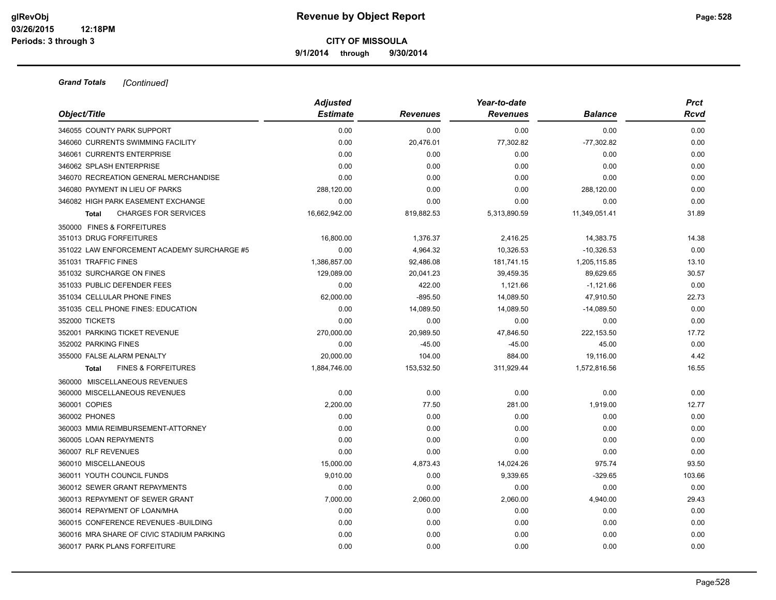**9/1/2014 through 9/30/2014**

|                                                | <b>Adjusted</b> |                 | Year-to-date    |                | <b>Prct</b> |
|------------------------------------------------|-----------------|-----------------|-----------------|----------------|-------------|
| Object/Title                                   | <b>Estimate</b> | <b>Revenues</b> | <b>Revenues</b> | <b>Balance</b> | Rcvd        |
| 346055 COUNTY PARK SUPPORT                     | 0.00            | 0.00            | 0.00            | 0.00           | 0.00        |
| 346060 CURRENTS SWIMMING FACILITY              | 0.00            | 20,476.01       | 77,302.82       | $-77,302.82$   | 0.00        |
| 346061 CURRENTS ENTERPRISE                     | 0.00            | 0.00            | 0.00            | 0.00           | 0.00        |
| 346062 SPLASH ENTERPRISE                       | 0.00            | 0.00            | 0.00            | 0.00           | 0.00        |
| 346070 RECREATION GENERAL MERCHANDISE          | 0.00            | 0.00            | 0.00            | 0.00           | 0.00        |
| 346080 PAYMENT IN LIEU OF PARKS                | 288,120.00      | 0.00            | 0.00            | 288,120.00     | 0.00        |
| 346082 HIGH PARK EASEMENT EXCHANGE             | 0.00            | 0.00            | 0.00            | 0.00           | 0.00        |
| <b>CHARGES FOR SERVICES</b><br><b>Total</b>    | 16,662,942.00   | 819,882.53      | 5,313,890.59    | 11,349,051.41  | 31.89       |
| 350000 FINES & FORFEITURES                     |                 |                 |                 |                |             |
| 351013 DRUG FORFEITURES                        | 16,800.00       | 1,376.37        | 2,416.25        | 14,383.75      | 14.38       |
| 351022 LAW ENFORCEMENT ACADEMY SURCHARGE #5    | 0.00            | 4,964.32        | 10,326.53       | $-10,326.53$   | 0.00        |
| 351031 TRAFFIC FINES                           | 1,386,857.00    | 92,486.08       | 181,741.15      | 1,205,115.85   | 13.10       |
| 351032 SURCHARGE ON FINES                      | 129,089.00      | 20,041.23       | 39,459.35       | 89,629.65      | 30.57       |
| 351033 PUBLIC DEFENDER FEES                    | 0.00            | 422.00          | 1,121.66        | $-1,121.66$    | 0.00        |
| 351034 CELLULAR PHONE FINES                    | 62,000.00       | $-895.50$       | 14,089.50       | 47,910.50      | 22.73       |
| 351035 CELL PHONE FINES: EDUCATION             | 0.00            | 14,089.50       | 14,089.50       | $-14,089.50$   | 0.00        |
| 352000 TICKETS                                 | 0.00            | 0.00            | 0.00            | 0.00           | 0.00        |
| 352001 PARKING TICKET REVENUE                  | 270,000.00      | 20,989.50       | 47,846.50       | 222,153.50     | 17.72       |
| 352002 PARKING FINES                           | 0.00            | $-45.00$        | $-45.00$        | 45.00          | 0.00        |
| 355000 FALSE ALARM PENALTY                     | 20,000.00       | 104.00          | 884.00          | 19,116.00      | 4.42        |
| <b>FINES &amp; FORFEITURES</b><br><b>Total</b> | 1,884,746.00    | 153,532.50      | 311,929.44      | 1,572,816.56   | 16.55       |
| 360000 MISCELLANEOUS REVENUES                  |                 |                 |                 |                |             |
| 360000 MISCELLANEOUS REVENUES                  | 0.00            | 0.00            | 0.00            | 0.00           | 0.00        |
| 360001 COPIES                                  | 2,200.00        | 77.50           | 281.00          | 1,919.00       | 12.77       |
| 360002 PHONES                                  | 0.00            | 0.00            | 0.00            | 0.00           | 0.00        |
| 360003 MMIA REIMBURSEMENT-ATTORNEY             | 0.00            | 0.00            | 0.00            | 0.00           | 0.00        |
| 360005 LOAN REPAYMENTS                         | 0.00            | 0.00            | 0.00            | 0.00           | 0.00        |
| 360007 RLF REVENUES                            | 0.00            | 0.00            | 0.00            | 0.00           | 0.00        |
| 360010 MISCELLANEOUS                           | 15,000.00       | 4,873.43        | 14,024.26       | 975.74         | 93.50       |
| 360011 YOUTH COUNCIL FUNDS                     | 9,010.00        | 0.00            | 9,339.65        | $-329.65$      | 103.66      |
| 360012 SEWER GRANT REPAYMENTS                  | 0.00            | 0.00            | 0.00            | 0.00           | 0.00        |
| 360013 REPAYMENT OF SEWER GRANT                | 7,000.00        | 2,060.00        | 2,060.00        | 4,940.00       | 29.43       |
| 360014 REPAYMENT OF LOAN/MHA                   | 0.00            | 0.00            | 0.00            | 0.00           | 0.00        |
| 360015 CONFERENCE REVENUES - BUILDING          | 0.00            | 0.00            | 0.00            | 0.00           | 0.00        |
| 360016 MRA SHARE OF CIVIC STADIUM PARKING      | 0.00            | 0.00            | 0.00            | 0.00           | 0.00        |
| 360017 PARK PLANS FORFEITURE                   | 0.00            | 0.00            | 0.00            | 0.00           | 0.00        |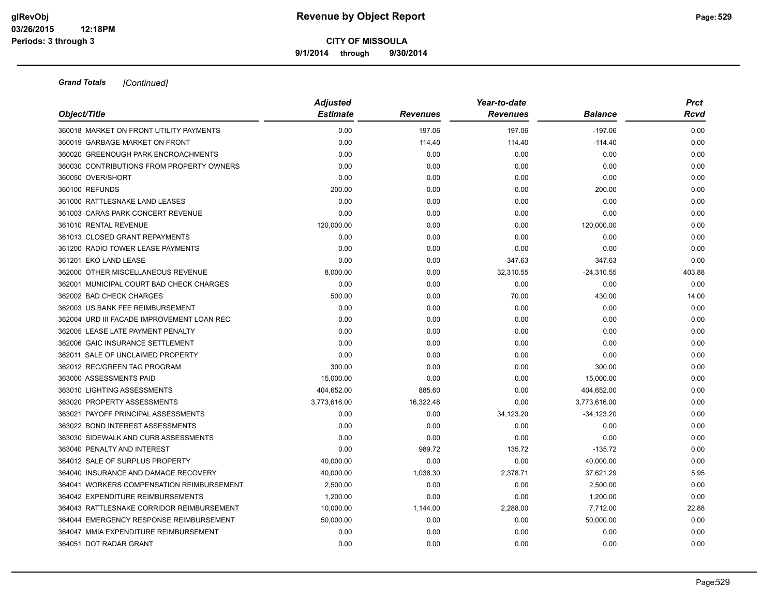**9/1/2014 through 9/30/2014**

| Object/Title                               | <b>Adjusted</b> |                 | Year-to-date    |                |        |
|--------------------------------------------|-----------------|-----------------|-----------------|----------------|--------|
|                                            | <b>Estimate</b> | <b>Revenues</b> | <b>Revenues</b> | <b>Balance</b> | Rcvd   |
| 360018 MARKET ON FRONT UTILITY PAYMENTS    | 0.00            | 197.06          | 197.06          | $-197.06$      | 0.00   |
| 360019 GARBAGE-MARKET ON FRONT             | 0.00            | 114.40          | 114.40          | $-114.40$      | 0.00   |
| 360020 GREENOUGH PARK ENCROACHMENTS        | 0.00            | 0.00            | 0.00            | 0.00           | 0.00   |
| 360030 CONTRIBUTIONS FROM PROPERTY OWNERS  | 0.00            | 0.00            | 0.00            | 0.00           | 0.00   |
| 360050 OVER/SHORT                          | 0.00            | 0.00            | 0.00            | 0.00           | 0.00   |
| 360100 REFUNDS                             | 200.00          | 0.00            | 0.00            | 200.00         | 0.00   |
| 361000 RATTLESNAKE LAND LEASES             | 0.00            | 0.00            | 0.00            | 0.00           | 0.00   |
| 361003 CARAS PARK CONCERT REVENUE          | 0.00            | 0.00            | 0.00            | 0.00           | 0.00   |
| 361010 RENTAL REVENUE                      | 120,000.00      | 0.00            | 0.00            | 120,000.00     | 0.00   |
| 361013 CLOSED GRANT REPAYMENTS             | 0.00            | 0.00            | 0.00            | 0.00           | 0.00   |
| 361200 RADIO TOWER LEASE PAYMENTS          | 0.00            | 0.00            | 0.00            | 0.00           | 0.00   |
| 361201 EKO LAND LEASE                      | 0.00            | 0.00            | $-347.63$       | 347.63         | 0.00   |
| 362000 OTHER MISCELLANEOUS REVENUE         | 8,000.00        | 0.00            | 32,310.55       | $-24,310.55$   | 403.88 |
| 362001 MUNICIPAL COURT BAD CHECK CHARGES   | 0.00            | 0.00            | 0.00            | 0.00           | 0.00   |
| 362002 BAD CHECK CHARGES                   | 500.00          | 0.00            | 70.00           | 430.00         | 14.00  |
| 362003 US BANK FEE REIMBURSEMENT           | 0.00            | 0.00            | 0.00            | 0.00           | 0.00   |
| 362004 URD III FACADE IMPROVEMENT LOAN REC | 0.00            | 0.00            | 0.00            | 0.00           | 0.00   |
| 362005 LEASE LATE PAYMENT PENALTY          | 0.00            | 0.00            | 0.00            | 0.00           | 0.00   |
| 362006 GAIC INSURANCE SETTLEMENT           | 0.00            | 0.00            | 0.00            | 0.00           | 0.00   |
| 362011 SALE OF UNCLAIMED PROPERTY          | 0.00            | 0.00            | 0.00            | 0.00           | 0.00   |
| 362012 REC/GREEN TAG PROGRAM               | 300.00          | 0.00            | 0.00            | 300.00         | 0.00   |
| 363000 ASSESSMENTS PAID                    | 15,000.00       | 0.00            | 0.00            | 15,000.00      | 0.00   |
| 363010 LIGHTING ASSESSMENTS                | 404,652.00      | 885.60          | 0.00            | 404,652.00     | 0.00   |
| 363020 PROPERTY ASSESSMENTS                | 3,773,616.00    | 16,322.48       | 0.00            | 3,773,616.00   | 0.00   |
| 363021 PAYOFF PRINCIPAL ASSESSMENTS        | 0.00            | 0.00            | 34,123.20       | $-34,123.20$   | 0.00   |
| 363022 BOND INTEREST ASSESSMENTS           | 0.00            | 0.00            | 0.00            | 0.00           | 0.00   |
| 363030 SIDEWALK AND CURB ASSESSMENTS       | 0.00            | 0.00            | 0.00            | 0.00           | 0.00   |
| 363040 PENALTY AND INTEREST                | 0.00            | 989.72          | 135.72          | $-135.72$      | 0.00   |
| 364012 SALE OF SURPLUS PROPERTY            | 40,000.00       | 0.00            | 0.00            | 40,000.00      | 0.00   |
| 364040 INSURANCE AND DAMAGE RECOVERY       | 40,000.00       | 1,038.30        | 2,378.71        | 37,621.29      | 5.95   |
| 364041 WORKERS COMPENSATION REIMBURSEMENT  | 2,500.00        | 0.00            | 0.00            | 2,500.00       | 0.00   |
| 364042 EXPENDITURE REIMBURSEMENTS          | 1,200.00        | 0.00            | 0.00            | 1,200.00       | 0.00   |
| 364043 RATTLESNAKE CORRIDOR REIMBURSEMENT  | 10,000.00       | 1,144.00        | 2,288.00        | 7,712.00       | 22.88  |
| 364044 EMERGENCY RESPONSE REIMBURSEMENT    | 50,000.00       | 0.00            | 0.00            | 50,000.00      | 0.00   |
| 364047 MMIA EXPENDITURE REIMBURSEMENT      | 0.00            | 0.00            | 0.00            | 0.00           | 0.00   |
| 364051 DOT RADAR GRANT                     | 0.00            | 0.00            | 0.00            | 0.00           | 0.00   |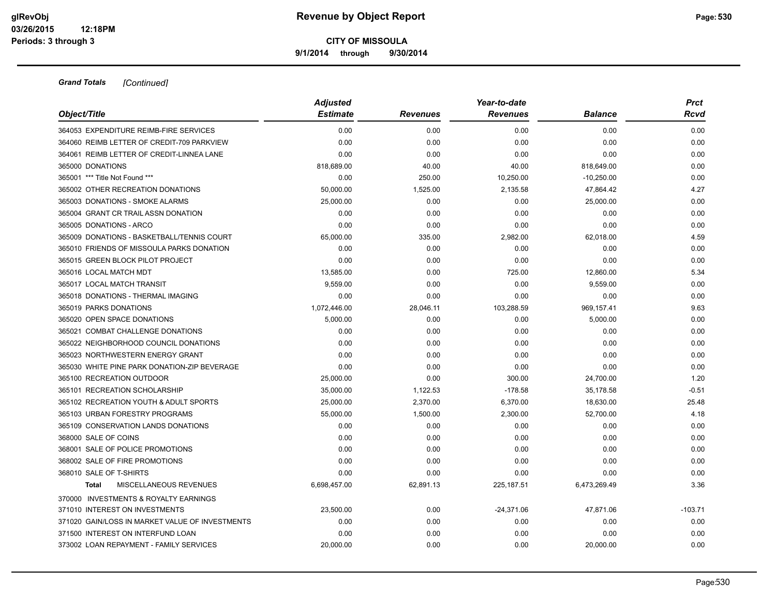**9/1/2014 through 9/30/2014**

| Object/Title                                    | <b>Adjusted</b> |                 | Year-to-date    |                | <b>Prct</b> |
|-------------------------------------------------|-----------------|-----------------|-----------------|----------------|-------------|
|                                                 | <b>Estimate</b> | <b>Revenues</b> | <b>Revenues</b> | <b>Balance</b> | Rcvd        |
| 364053 EXPENDITURE REIMB-FIRE SERVICES          | 0.00            | 0.00            | 0.00            | 0.00           | 0.00        |
| 364060 REIMB LETTER OF CREDIT-709 PARKVIEW      | 0.00            | 0.00            | 0.00            | 0.00           | 0.00        |
| 364061 REIMB LETTER OF CREDIT-LINNEA LANE       | 0.00            | 0.00            | 0.00            | 0.00           | 0.00        |
| 365000 DONATIONS                                | 818,689.00      | 40.00           | 40.00           | 818,649.00     | 0.00        |
| 365001 *** Title Not Found ***                  | 0.00            | 250.00          | 10,250.00       | $-10,250.00$   | 0.00        |
| 365002 OTHER RECREATION DONATIONS               | 50,000.00       | 1,525.00        | 2,135.58        | 47,864.42      | 4.27        |
| 365003 DONATIONS - SMOKE ALARMS                 | 25,000.00       | 0.00            | 0.00            | 25,000.00      | 0.00        |
| 365004 GRANT CR TRAIL ASSN DONATION             | 0.00            | 0.00            | 0.00            | 0.00           | 0.00        |
| 365005 DONATIONS - ARCO                         | 0.00            | 0.00            | 0.00            | 0.00           | 0.00        |
| 365009 DONATIONS - BASKETBALL/TENNIS COURT      | 65,000.00       | 335.00          | 2,982.00        | 62,018.00      | 4.59        |
| 365010 FRIENDS OF MISSOULA PARKS DONATION       | 0.00            | 0.00            | 0.00            | 0.00           | 0.00        |
| 365015 GREEN BLOCK PILOT PROJECT                | 0.00            | 0.00            | 0.00            | 0.00           | 0.00        |
| 365016 LOCAL MATCH MDT                          | 13,585.00       | 0.00            | 725.00          | 12,860.00      | 5.34        |
| 365017 LOCAL MATCH TRANSIT                      | 9,559.00        | 0.00            | 0.00            | 9,559.00       | 0.00        |
| 365018 DONATIONS - THERMAL IMAGING              | 0.00            | 0.00            | 0.00            | 0.00           | 0.00        |
| 365019 PARKS DONATIONS                          | 1,072,446.00    | 28,046.11       | 103,288.59      | 969,157.41     | 9.63        |
| 365020 OPEN SPACE DONATIONS                     | 5,000.00        | 0.00            | 0.00            | 5,000.00       | 0.00        |
| 365021 COMBAT CHALLENGE DONATIONS               | 0.00            | 0.00            | 0.00            | 0.00           | 0.00        |
| 365022 NEIGHBORHOOD COUNCIL DONATIONS           | 0.00            | 0.00            | 0.00            | 0.00           | 0.00        |
| 365023 NORTHWESTERN ENERGY GRANT                | 0.00            | 0.00            | 0.00            | 0.00           | 0.00        |
| 365030 WHITE PINE PARK DONATION-ZIP BEVERAGE    | 0.00            | 0.00            | 0.00            | 0.00           | 0.00        |
| 365100 RECREATION OUTDOOR                       | 25,000.00       | 0.00            | 300.00          | 24,700.00      | 1.20        |
| 365101 RECREATION SCHOLARSHIP                   | 35,000.00       | 1,122.53        | $-178.58$       | 35,178.58      | $-0.51$     |
| 365102 RECREATION YOUTH & ADULT SPORTS          | 25,000.00       | 2,370.00        | 6,370.00        | 18,630.00      | 25.48       |
| 365103 URBAN FORESTRY PROGRAMS                  | 55,000.00       | 1,500.00        | 2,300.00        | 52,700.00      | 4.18        |
| 365109 CONSERVATION LANDS DONATIONS             | 0.00            | 0.00            | 0.00            | 0.00           | 0.00        |
| 368000 SALE OF COINS                            | 0.00            | 0.00            | 0.00            | 0.00           | 0.00        |
| 368001 SALE OF POLICE PROMOTIONS                | 0.00            | 0.00            | 0.00            | 0.00           | 0.00        |
| 368002 SALE OF FIRE PROMOTIONS                  | 0.00            | 0.00            | 0.00            | 0.00           | 0.00        |
| 368010 SALE OF T-SHIRTS                         | 0.00            | 0.00            | 0.00            | 0.00           | 0.00        |
| <b>MISCELLANEOUS REVENUES</b><br><b>Total</b>   | 6,698,457.00    | 62,891.13       | 225, 187.51     | 6,473,269.49   | 3.36        |
| 370000 INVESTMENTS & ROYALTY EARNINGS           |                 |                 |                 |                |             |
| 371010 INTEREST ON INVESTMENTS                  | 23,500.00       | 0.00            | $-24,371.06$    | 47,871.06      | $-103.71$   |
| 371020 GAIN/LOSS IN MARKET VALUE OF INVESTMENTS | 0.00            | 0.00            | 0.00            | 0.00           | 0.00        |
| 371500 INTEREST ON INTERFUND LOAN               | 0.00            | 0.00            | 0.00            | 0.00           | 0.00        |
| 373002 LOAN REPAYMENT - FAMILY SERVICES         | 20.000.00       | 0.00            | 0.00            | 20,000.00      | 0.00        |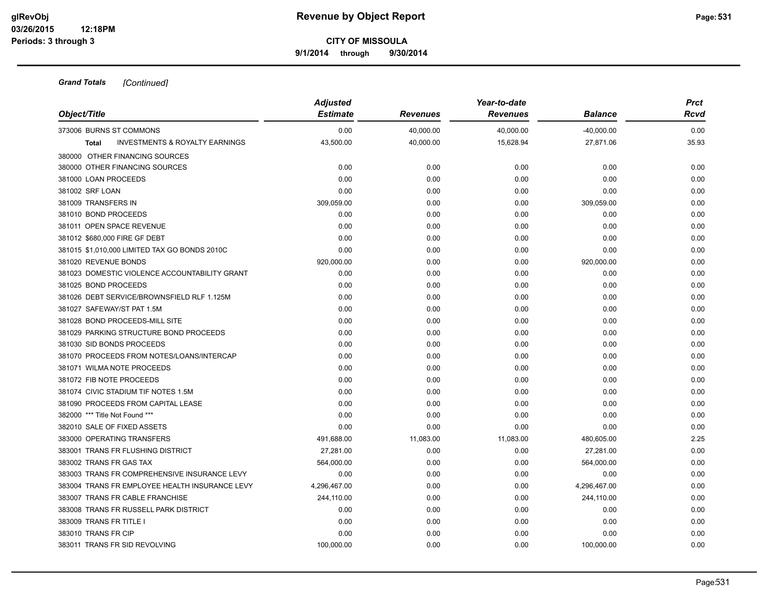**9/1/2014 through 9/30/2014**

| Object/Title                                              | <b>Adjusted</b> |                 | Year-to-date    |                | Prct  |
|-----------------------------------------------------------|-----------------|-----------------|-----------------|----------------|-------|
|                                                           | <b>Estimate</b> | <b>Revenues</b> | <b>Revenues</b> | <b>Balance</b> | Rcvd  |
| 373006 BURNS ST COMMONS                                   | 0.00            | 40,000.00       | 40,000.00       | $-40,000.00$   | 0.00  |
| <b>INVESTMENTS &amp; ROYALTY EARNINGS</b><br><b>Total</b> | 43,500.00       | 40,000.00       | 15,628.94       | 27,871.06      | 35.93 |
| 380000 OTHER FINANCING SOURCES                            |                 |                 |                 |                |       |
| 380000 OTHER FINANCING SOURCES                            | 0.00            | 0.00            | 0.00            | 0.00           | 0.00  |
| 381000 LOAN PROCEEDS                                      | 0.00            | 0.00            | 0.00            | 0.00           | 0.00  |
| 381002 SRF LOAN                                           | 0.00            | 0.00            | 0.00            | 0.00           | 0.00  |
| 381009 TRANSFERS IN                                       | 309,059.00      | 0.00            | 0.00            | 309,059.00     | 0.00  |
| 381010 BOND PROCEEDS                                      | 0.00            | 0.00            | 0.00            | 0.00           | 0.00  |
| 381011 OPEN SPACE REVENUE                                 | 0.00            | 0.00            | 0.00            | 0.00           | 0.00  |
| 381012 \$680,000 FIRE GF DEBT                             | 0.00            | 0.00            | 0.00            | 0.00           | 0.00  |
| 381015 \$1,010,000 LIMITED TAX GO BONDS 2010C             | 0.00            | 0.00            | 0.00            | 0.00           | 0.00  |
| 381020 REVENUE BONDS                                      | 920,000.00      | 0.00            | 0.00            | 920,000.00     | 0.00  |
| 381023 DOMESTIC VIOLENCE ACCOUNTABILITY GRANT             | 0.00            | 0.00            | 0.00            | 0.00           | 0.00  |
| 381025 BOND PROCEEDS                                      | 0.00            | 0.00            | 0.00            | 0.00           | 0.00  |
| 381026 DEBT SERVICE/BROWNSFIELD RLF 1.125M                | 0.00            | 0.00            | 0.00            | 0.00           | 0.00  |
| 381027 SAFEWAY/ST PAT 1.5M                                | 0.00            | 0.00            | 0.00            | 0.00           | 0.00  |
| 381028 BOND PROCEEDS-MILL SITE                            | 0.00            | 0.00            | 0.00            | 0.00           | 0.00  |
| 381029 PARKING STRUCTURE BOND PROCEEDS                    | 0.00            | 0.00            | 0.00            | 0.00           | 0.00  |
| 381030 SID BONDS PROCEEDS                                 | 0.00            | 0.00            | 0.00            | 0.00           | 0.00  |
| 381070 PROCEEDS FROM NOTES/LOANS/INTERCAP                 | 0.00            | 0.00            | 0.00            | 0.00           | 0.00  |
| 381071 WILMA NOTE PROCEEDS                                | 0.00            | 0.00            | 0.00            | 0.00           | 0.00  |
| 381072 FIB NOTE PROCEEDS                                  | 0.00            | 0.00            | 0.00            | 0.00           | 0.00  |
| 381074 CIVIC STADIUM TIF NOTES 1.5M                       | 0.00            | 0.00            | 0.00            | 0.00           | 0.00  |
| 381090 PROCEEDS FROM CAPITAL LEASE                        | 0.00            | 0.00            | 0.00            | 0.00           | 0.00  |
| 382000 *** Title Not Found ***                            | 0.00            | 0.00            | 0.00            | 0.00           | 0.00  |
| 382010 SALE OF FIXED ASSETS                               | 0.00            | 0.00            | 0.00            | 0.00           | 0.00  |
| 383000 OPERATING TRANSFERS                                | 491,688.00      | 11,083.00       | 11,083.00       | 480,605.00     | 2.25  |
| 383001 TRANS FR FLUSHING DISTRICT                         | 27,281.00       | 0.00            | 0.00            | 27,281.00      | 0.00  |
| 383002 TRANS FR GAS TAX                                   | 564,000.00      | 0.00            | 0.00            | 564,000.00     | 0.00  |
| 383003 TRANS FR COMPREHENSIVE INSURANCE LEVY              | 0.00            | 0.00            | 0.00            | 0.00           | 0.00  |
| 383004 TRANS FR EMPLOYEE HEALTH INSURANCE LEVY            | 4,296,467.00    | 0.00            | 0.00            | 4,296,467.00   | 0.00  |
| 383007 TRANS FR CABLE FRANCHISE                           | 244,110.00      | 0.00            | 0.00            | 244,110.00     | 0.00  |
| 383008 TRANS FR RUSSELL PARK DISTRICT                     | 0.00            | 0.00            | 0.00            | 0.00           | 0.00  |
| 383009 TRANS FR TITLE I                                   | 0.00            | 0.00            | 0.00            | 0.00           | 0.00  |
| 383010 TRANS FR CIP                                       | 0.00            | 0.00            | 0.00            | 0.00           | 0.00  |
| 383011 TRANS FR SID REVOLVING                             | 100.000.00      | 0.00            | 0.00            | 100.000.00     | 0.00  |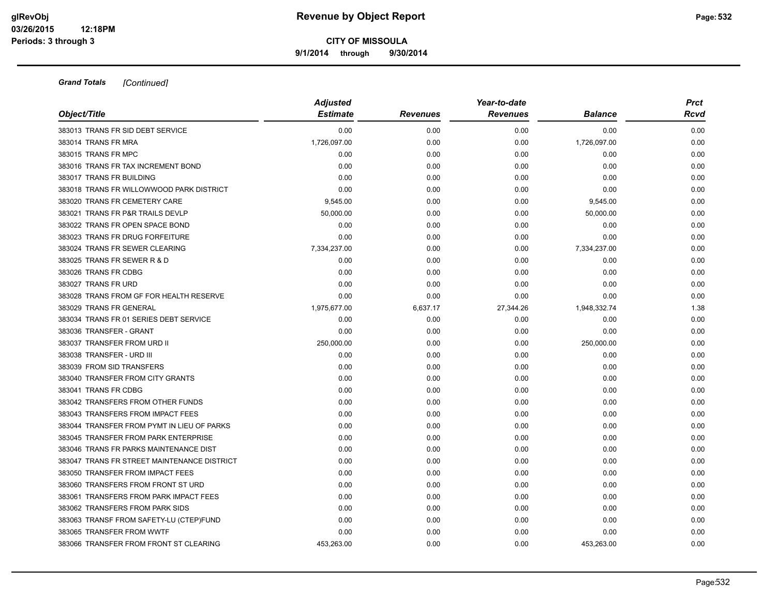**9/1/2014 through 9/30/2014**

| Object/Title                                | <b>Adjusted</b><br><b>Estimate</b> | <b>Revenues</b> | Year-to-date<br><b>Revenues</b> | <b>Balance</b> | <b>Prct</b><br>Rcvd |
|---------------------------------------------|------------------------------------|-----------------|---------------------------------|----------------|---------------------|
|                                             |                                    |                 |                                 |                |                     |
| 383013 TRANS FR SID DEBT SERVICE            | 0.00                               | 0.00            | 0.00                            | 0.00           | 0.00                |
| 383014 TRANS FR MRA                         | 1,726,097.00                       | 0.00            | 0.00                            | 1,726,097.00   | 0.00                |
| 383015 TRANS FR MPC                         | 0.00                               | 0.00            | 0.00                            | 0.00           | 0.00                |
| 383016 TRANS FR TAX INCREMENT BOND          | 0.00                               | 0.00            | 0.00                            | 0.00           | 0.00                |
| 383017 TRANS FR BUILDING                    | 0.00                               | 0.00            | 0.00                            | 0.00           | 0.00                |
| 383018 TRANS FR WILLOWWOOD PARK DISTRICT    | 0.00                               | 0.00            | 0.00                            | 0.00           | 0.00                |
| 383020 TRANS FR CEMETERY CARE               | 9,545.00                           | 0.00            | 0.00                            | 9,545.00       | 0.00                |
| 383021 TRANS FR P&R TRAILS DEVLP            | 50,000.00                          | 0.00            | 0.00                            | 50,000.00      | 0.00                |
| 383022 TRANS FR OPEN SPACE BOND             | 0.00                               | 0.00            | 0.00                            | 0.00           | 0.00                |
| 383023 TRANS FR DRUG FORFEITURE             | 0.00                               | 0.00            | 0.00                            | 0.00           | 0.00                |
| 383024 TRANS FR SEWER CLEARING              | 7,334,237.00                       | 0.00            | 0.00                            | 7,334,237.00   | 0.00                |
| 383025 TRANS FR SEWER R & D                 | 0.00                               | 0.00            | 0.00                            | 0.00           | 0.00                |
| 383026 TRANS FR CDBG                        | 0.00                               | 0.00            | 0.00                            | 0.00           | 0.00                |
| 383027 TRANS FR URD                         | 0.00                               | 0.00            | 0.00                            | 0.00           | 0.00                |
| 383028 TRANS FROM GF FOR HEALTH RESERVE     | 0.00                               | 0.00            | 0.00                            | 0.00           | 0.00                |
| 383029 TRANS FR GENERAL                     | 1,975,677.00                       | 6,637.17        | 27,344.26                       | 1,948,332.74   | 1.38                |
| 383034 TRANS FR 01 SERIES DEBT SERVICE      | 0.00                               | 0.00            | 0.00                            | 0.00           | 0.00                |
| 383036 TRANSFER - GRANT                     | 0.00                               | 0.00            | 0.00                            | 0.00           | 0.00                |
| 383037 TRANSFER FROM URD II                 | 250,000.00                         | 0.00            | 0.00                            | 250,000.00     | 0.00                |
| 383038 TRANSFER - URD III                   | 0.00                               | 0.00            | 0.00                            | 0.00           | 0.00                |
| 383039 FROM SID TRANSFERS                   | 0.00                               | 0.00            | 0.00                            | 0.00           | 0.00                |
| 383040 TRANSFER FROM CITY GRANTS            | 0.00                               | 0.00            | 0.00                            | 0.00           | 0.00                |
| 383041 TRANS FR CDBG                        | 0.00                               | 0.00            | 0.00                            | 0.00           | 0.00                |
| 383042 TRANSFERS FROM OTHER FUNDS           | 0.00                               | 0.00            | 0.00                            | 0.00           | 0.00                |
| 383043 TRANSFERS FROM IMPACT FEES           | 0.00                               | 0.00            | 0.00                            | 0.00           | 0.00                |
| 383044 TRANSFER FROM PYMT IN LIEU OF PARKS  | 0.00                               | 0.00            | 0.00                            | 0.00           | 0.00                |
| 383045 TRANSFER FROM PARK ENTERPRISE        | 0.00                               | 0.00            | 0.00                            | 0.00           | 0.00                |
| 383046 TRANS FR PARKS MAINTENANCE DIST      | 0.00                               | 0.00            | 0.00                            | 0.00           | 0.00                |
| 383047 TRANS FR STREET MAINTENANCE DISTRICT | 0.00                               | 0.00            | 0.00                            | 0.00           | 0.00                |
| 383050 TRANSFER FROM IMPACT FEES            | 0.00                               | 0.00            | 0.00                            | 0.00           | 0.00                |
| 383060 TRANSFERS FROM FRONT ST URD          | 0.00                               | 0.00            | 0.00                            | 0.00           | 0.00                |
| 383061 TRANSFERS FROM PARK IMPACT FEES      | 0.00                               | 0.00            | 0.00                            | 0.00           | 0.00                |
| 383062 TRANSFERS FROM PARK SIDS             | 0.00                               | 0.00            | 0.00                            | 0.00           | 0.00                |
| 383063 TRANSF FROM SAFETY-LU (CTEP)FUND     | 0.00                               | 0.00            | 0.00                            | 0.00           | 0.00                |
| 383065 TRANSFER FROM WWTF                   | 0.00                               | 0.00            | 0.00                            | 0.00           | 0.00                |
| 383066 TRANSFER FROM FRONT ST CLEARING      | 453.263.00                         | 0.00            | 0.00                            | 453,263.00     | 0.00                |